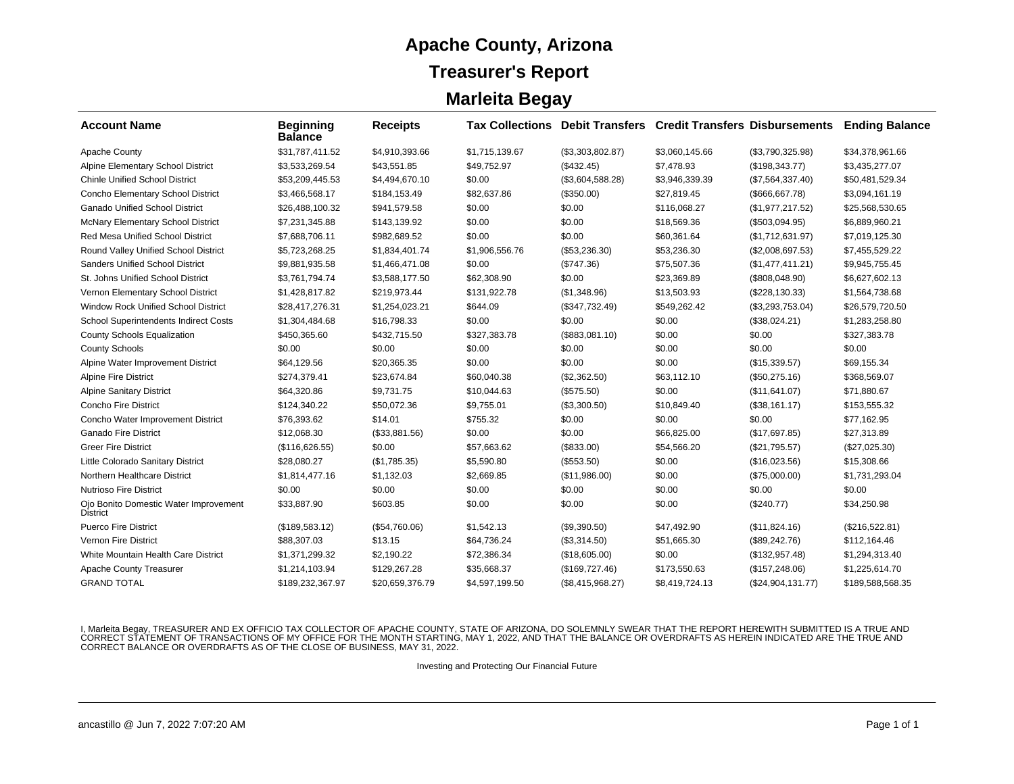### **Apache County, Arizona Treasurer's Report Marleita Begay**

| <b>Account Name</b>                                      | <b>Beginning</b><br><b>Balance</b> | <b>Receipts</b> |                |                    | <b>Tax Collections Debit Transfers Credit Transfers Disbursements</b> |                     | <b>Ending Balance</b> |
|----------------------------------------------------------|------------------------------------|-----------------|----------------|--------------------|-----------------------------------------------------------------------|---------------------|-----------------------|
| Apache County                                            | \$31,787,411.52                    | \$4,910,393.66  | \$1,715,139.67 | (\$3,303,802.87)   | \$3,060,145.66                                                        | (\$3,790,325.98)    | \$34,378,961.66       |
| Alpine Elementary School District                        | \$3,533,269.54                     | \$43,551.85     | \$49,752.97    | (\$432.45)         | \$7,478.93                                                            | (\$198,343.77)      | \$3,435,277.07        |
| <b>Chinle Unified School District</b>                    | \$53,209,445.53                    | \$4,494,670.10  | \$0.00         | (\$3,604,588.28)   | \$3,946,339.39                                                        | (\$7,564,337.40)    | \$50,481,529.34       |
| Concho Elementary School District                        | \$3,466,568.17                     | \$184.153.49    | \$82,637.86    | (\$350.00)         | \$27,819.45                                                           | (\$666, 667.78)     | \$3,094,161.19        |
| <b>Ganado Unified School District</b>                    | \$26,488,100.32                    | \$941,579.58    | \$0.00         | \$0.00             | \$116,068.27                                                          | (\$1,977,217.52)    | \$25,568,530.65       |
| McNary Elementary School District                        | \$7,231,345.88                     | \$143,139.92    | \$0.00         | \$0.00             | \$18,569.36                                                           | (\$503,094.95)      | \$6,889,960.21        |
| Red Mesa Unified School District                         | \$7,688,706.11                     | \$982,689.52    | \$0.00         | \$0.00             | \$60,361.64                                                           | (\$1,712,631.97)    | \$7,019,125.30        |
| Round Valley Unified School District                     | \$5,723,268.25                     | \$1,834,401.74  | \$1,906,556.76 | (\$53,236.30)      | \$53,236.30                                                           | (\$2,008,697.53)    | \$7,455,529.22        |
| Sanders Unified School District                          | \$9,881,935.58                     | \$1,466,471.08  | \$0.00         | (\$747.36)         | \$75,507.36                                                           | (\$1,477,411.21)    | \$9,945,755.45        |
| St. Johns Unified School District                        | \$3,761,794.74                     | \$3,588,177.50  | \$62,308.90    | \$0.00             | \$23,369.89                                                           | (\$808,048.90)      | \$6,627,602.13        |
| Vernon Elementary School District                        | \$1,428,817.82                     | \$219,973.44    | \$131,922.78   | (\$1,348.96)       | \$13,503.93                                                           | (\$228, 130.33)     | \$1,564,738.68        |
| Window Rock Unified School District                      | \$28,417,276.31                    | \$1,254,023.21  | \$644.09       | (\$347,732.49)     | \$549,262.42                                                          | (\$3,293,753.04)    | \$26,579,720.50       |
| School Superintendents Indirect Costs                    | \$1,304,484.68                     | \$16,798.33     | \$0.00         | \$0.00             | \$0.00                                                                | (\$38,024.21)       | \$1,283,258.80        |
| <b>County Schools Equalization</b>                       | \$450,365.60                       | \$432,715.50    | \$327,383.78   | (\$883,081.10)     | \$0.00                                                                | \$0.00              | \$327,383.78          |
| <b>County Schools</b>                                    | \$0.00                             | \$0.00          | \$0.00         | \$0.00             | \$0.00                                                                | \$0.00              | \$0.00                |
| Alpine Water Improvement District                        | \$64,129.56                        | \$20,365.35     | \$0.00         | \$0.00             | \$0.00                                                                | (\$15,339.57)       | \$69,155.34           |
| Alpine Fire District                                     | \$274,379.41                       | \$23,674.84     | \$60,040.38    | (\$2,362.50)       | \$63,112.10                                                           | (\$50,275.16)       | \$368,569.07          |
| <b>Alpine Sanitary District</b>                          | \$64,320.86                        | \$9,731.75      | \$10,044.63    | (\$575.50)         | \$0.00                                                                | (\$11,641.07)       | \$71,880.67           |
| <b>Concho Fire District</b>                              | \$124,340.22                       | \$50,072.36     | \$9,755.01     | (\$3,300.50)       | \$10,849.40                                                           | (\$38,161.17)       | \$153,555.32          |
| Concho Water Improvement District                        | \$76,393.62                        | \$14.01         | \$755.32       | \$0.00             | \$0.00                                                                | \$0.00              | \$77,162.95           |
| <b>Ganado Fire District</b>                              | \$12.068.30                        | (\$33,881.56)   | \$0.00         | \$0.00             | \$66,825.00                                                           | (\$17,697.85)       | \$27,313.89           |
| <b>Greer Fire District</b>                               | (\$116,626.55)                     | \$0.00          | \$57,663.62    | (\$833.00)         | \$54,566.20                                                           | (\$21,795.57)       | $(\$27,025.30)$       |
| Little Colorado Sanitary District                        | \$28,080.27                        | (\$1,785.35)    | \$5,590.80     | (\$553.50)         | \$0.00                                                                | (\$16,023.56)       | \$15,308.66           |
| Northern Healthcare District                             | \$1,814,477.16                     | \$1,132.03      | \$2,669.85     | (\$11,986.00)      | \$0.00                                                                | (\$75,000.00)       | \$1,731,293.04        |
| <b>Nutrioso Fire District</b>                            | \$0.00                             | \$0.00          | \$0.00         | \$0.00             | \$0.00                                                                | \$0.00              | \$0.00                |
| Ojo Bonito Domestic Water Improvement<br><b>District</b> | \$33,887.90                        | \$603.85        | \$0.00         | \$0.00             | \$0.00                                                                | (\$240.77)          | \$34,250.98           |
| <b>Puerco Fire District</b>                              | (\$189,583.12)                     | (\$54,760.06)   | \$1,542.13     | (\$9,390.50)       | \$47.492.90                                                           | (\$11,824.16)       | (\$216,522.81)        |
| Vernon Fire District                                     | \$88,307.03                        | \$13.15         | \$64,736.24    | (\$3,314.50)       | \$51,665.30                                                           | (\$89,242.76)       | \$112,164.46          |
| White Mountain Health Care District                      | \$1,371,299.32                     | \$2,190.22      | \$72,386.34    | (\$18,605.00)      | \$0.00                                                                | (\$132,957.48)      | \$1,294,313.40        |
| Apache County Treasurer                                  | \$1,214,103.94                     | \$129,267.28    | \$35,668.37    | (\$169,727.46)     | \$173,550.63                                                          | (\$157, 248.06)     | \$1,225,614.70        |
| <b>GRAND TOTAL</b>                                       | \$189,232,367.97                   | \$20,659,376.79 | \$4,597,199.50 | $(\$8,415,968.27)$ | \$8,419,724.13                                                        | $(\$24,904,131.77)$ | \$189,588,568.35      |

I, Marleita Begay, TREASURER AND EX OFFICIO TAX COLLECTOR OF APACHE COUNTY, STATE OF ARIZONA, DO SOLEMNLY SWEAR THAT THE REPORT HEREWITH SUBMITTED IS A TRUE AND<br>CORRECT STATEMENT OF TRANSACTIONS OF MY OFFICE FOR THE MONTH

Investing and Protecting Our Financial Future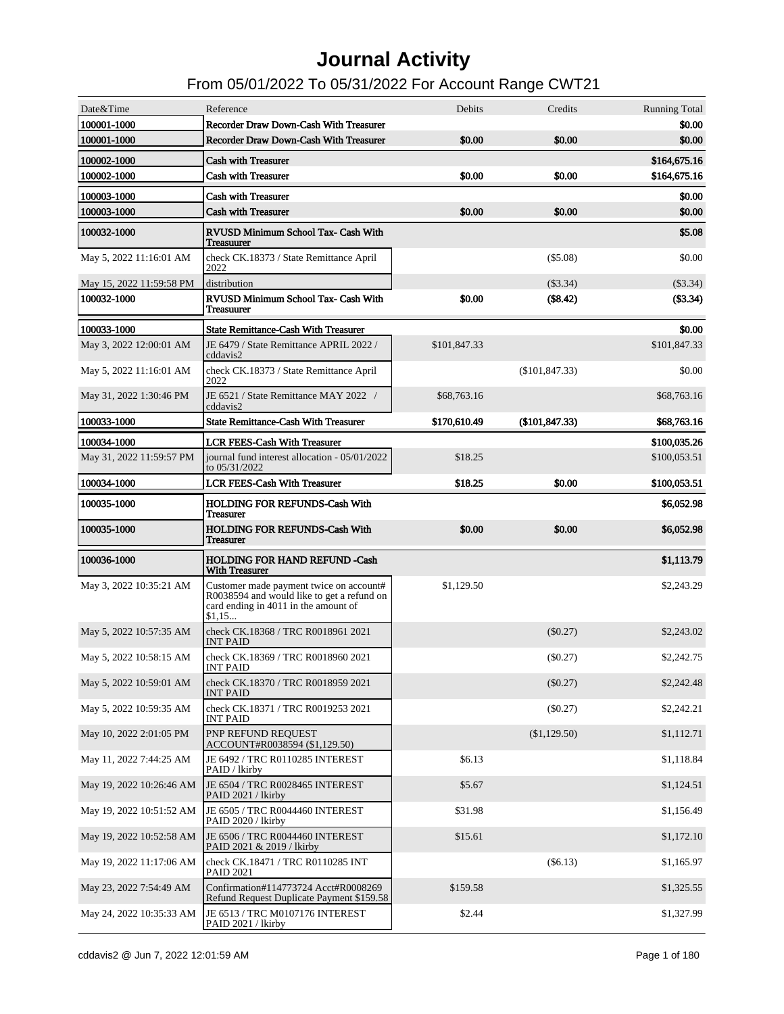| Date&Time                                           | Reference                                                                                                                     | Debits             | Credits          | <b>Running Total</b>     |
|-----------------------------------------------------|-------------------------------------------------------------------------------------------------------------------------------|--------------------|------------------|--------------------------|
| 100001-1000                                         | Recorder Draw Down-Cash With Treasurer                                                                                        |                    |                  | \$0.00                   |
| 100001-1000                                         | Recorder Draw Down-Cash With Treasurer                                                                                        | \$0.00             | \$0.00           | \$0.00                   |
| 100002-1000                                         | <b>Cash with Treasurer</b>                                                                                                    |                    |                  | \$164,675.16             |
| 100002-1000                                         | <b>Cash with Treasurer</b>                                                                                                    | \$0.00             | \$0.00           | \$164,675.16             |
| 100003-1000                                         | <b>Cash with Treasurer</b>                                                                                                    |                    |                  | \$0.00                   |
| 100003-1000                                         | <b>Cash with Treasurer</b>                                                                                                    | \$0.00             | \$0.00           | \$0.00                   |
| 100032-1000                                         | RVUSD Minimum School Tax- Cash With<br>Treasuurer                                                                             |                    |                  | \$5.08                   |
| May 5, 2022 11:16:01 AM                             | check CK.18373 / State Remittance April<br>2022                                                                               |                    | $(\$5.08)$       | \$0.00                   |
| May 15, 2022 11:59:58 PM                            | distribution                                                                                                                  |                    | $(\$3.34)$       | $(\$3.34)$               |
| 100032-1000                                         | RVUSD Minimum School Tax- Cash With<br>Treasuurer                                                                             | \$0.00             | (\$8.42)         | (\$3.34)                 |
| 100033-1000                                         | <b>State Remittance-Cash With Treasurer</b>                                                                                   |                    |                  | \$0.00                   |
| May 3, 2022 12:00:01 AM                             | JE 6479 / State Remittance APRIL 2022 /<br>cddavis2                                                                           | \$101,847.33       |                  | \$101,847.33             |
| May 5, 2022 11:16:01 AM                             | check CK.18373 / State Remittance April<br>2022                                                                               |                    | $(\$101,847.33)$ | \$0.00                   |
| May 31, 2022 1:30:46 PM                             | JE 6521 / State Remittance MAY 2022 /<br>cddavis2                                                                             | \$68,763.16        |                  | \$68,763.16              |
| 100033-1000                                         | <b>State Remittance-Cash With Treasurer</b>                                                                                   | \$170,610.49       | (\$101, 847.33)  | \$68,763.16              |
| 100034-1000                                         | <b>LCR FEES-Cash With Treasurer</b>                                                                                           |                    |                  | \$100,035.26             |
| May 31, 2022 11:59:57 PM                            | journal fund interest allocation - 05/01/2022<br>to 05/31/2022                                                                | \$18.25            |                  | \$100,053.51             |
| 100034-1000                                         | <b>LCR FEES-Cash With Treasurer</b>                                                                                           | \$18.25            | \$0.00           | \$100,053.51             |
| 100035-1000                                         | <b>HOLDING FOR REFUNDS-Cash With</b><br><b>Treasurer</b>                                                                      |                    |                  | \$6,052.98               |
| 100035-1000                                         | <b>HOLDING FOR REFUNDS-Cash With</b>                                                                                          | \$0.00             | \$0.00           | \$6,052.98               |
|                                                     | <b>Treasurer</b>                                                                                                              |                    |                  |                          |
| 100036-1000                                         | <b>HOLDING FOR HAND REFUND -Cash</b><br><b>With Treasurer</b>                                                                 |                    |                  | \$1,113.79               |
| May 3, 2022 10:35:21 AM                             | Customer made payment twice on account#<br>R0038594 and would like to get a refund on<br>card ending in 4011 in the amount of | \$1,129.50         |                  | \$2,243.29               |
| May 5, 2022 10:57:35 AM                             | \$1,15<br>check CK.18368 / TRC R0018961 2021<br><b>INT PAID</b>                                                               |                    | $(\$0.27)$       | \$2,243.02               |
| May 5, 2022 10:58:15 AM                             | check CK.18369 / TRC R0018960 2021<br><b>INT PAID</b>                                                                         |                    | $(\$0.27)$       | \$2,242.75               |
| May 5, 2022 10:59:01 AM                             | check CK.18370 / TRC R0018959 2021<br><b>INT PAID</b>                                                                         |                    | (\$0.27)         | \$2,242.48               |
| May 5, 2022 10:59:35 AM                             | check CK.18371 / TRC R0019253 2021<br><b>INT PAID</b>                                                                         |                    | $(\$0.27)$       | \$2,242.21               |
| May 10, 2022 2:01:05 PM                             | PNP REFUND REQUEST<br>ACCOUNT#R0038594 (\$1,129.50)                                                                           |                    | (\$1,129.50)     | \$1,112.71               |
| May 11, 2022 7:44:25 AM                             | JE 6492 / TRC R0110285 INTEREST<br>PAID / lkirby                                                                              | \$6.13             |                  | \$1,118.84               |
| May 19, 2022 10:26:46 AM                            | JE 6504 / TRC R0028465 INTEREST<br>PAID 2021 / lkirby                                                                         | \$5.67             |                  | \$1,124.51               |
| May 19, 2022 10:51:52 AM                            | JE 6505 / TRC R0044460 INTEREST<br>PAID 2020 / lkirby                                                                         | \$31.98            |                  | \$1,156.49               |
| May 19, 2022 10:52:58 AM                            | JE 6506 / TRC R0044460 INTEREST<br>PAID 2021 & 2019 / lkirby                                                                  | \$15.61            |                  | \$1,172.10               |
|                                                     | May 19, 2022 11:17:06 AM check CK.18471 / TRC R0110285 INT<br><b>PAID 2021</b>                                                |                    | (\$6.13)         | \$1,165.97               |
| May 23, 2022 7:54:49 AM<br>May 24, 2022 10:35:33 AM | Confirmation#114773724 Acct#R0008269<br>Refund Request Duplicate Payment \$159.58<br>JE 6513 / TRC M0107176 INTEREST          | \$159.58<br>\$2.44 |                  | \$1,325.55<br>\$1,327.99 |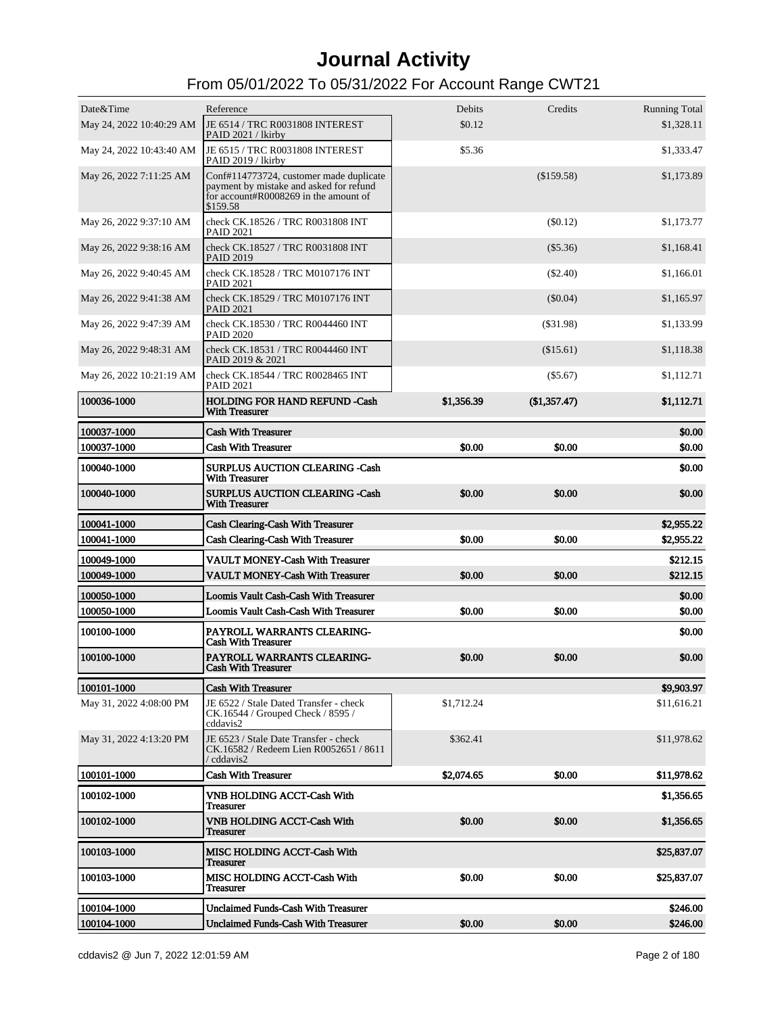| Date&Time                | Reference                                                                                                                               | Debits     | Credits      | <b>Running Total</b> |
|--------------------------|-----------------------------------------------------------------------------------------------------------------------------------------|------------|--------------|----------------------|
|                          | May 24, 2022 10:40:29 AM JE 6514 / TRC R0031808 INTEREST<br>PAID 2021 / lkirby                                                          | \$0.12     |              | \$1,328.11           |
| May 24, 2022 10:43:40 AM | JE 6515 / TRC R0031808 INTEREST<br>PAID 2019 / lkirby                                                                                   | \$5.36     |              | \$1,333.47           |
| May 26, 2022 7:11:25 AM  | Conf#114773724, customer made duplicate<br>payment by mistake and asked for refund<br>for account#R0008269 in the amount of<br>\$159.58 |            | $(\$159.58)$ | \$1,173.89           |
| May 26, 2022 9:37:10 AM  | check CK.18526 / TRC R0031808 INT<br><b>PAID 2021</b>                                                                                   |            | $(\$0.12)$   | \$1,173.77           |
| May 26, 2022 9:38:16 AM  | check CK.18527 / TRC R0031808 INT<br><b>PAID 2019</b>                                                                                   |            | $(\$5.36)$   | \$1,168.41           |
| May 26, 2022 9:40:45 AM  | check CK.18528 / TRC M0107176 INT<br><b>PAID 2021</b>                                                                                   |            | $(\$2.40)$   | \$1,166.01           |
| May 26, 2022 9:41:38 AM  | check CK.18529 / TRC M0107176 INT<br><b>PAID 2021</b>                                                                                   |            | $(\$0.04)$   | \$1,165.97           |
| May 26, 2022 9:47:39 AM  | check CK.18530 / TRC R0044460 INT<br><b>PAID 2020</b>                                                                                   |            | $($ \$31.98) | \$1,133.99           |
| May 26, 2022 9:48:31 AM  | check CK.18531 / TRC R0044460 INT<br>PAID 2019 & 2021                                                                                   |            | (\$15.61)    | \$1,118.38           |
| May 26, 2022 10:21:19 AM | check CK.18544 / TRC R0028465 INT<br><b>PAID 2021</b>                                                                                   |            | $(\$5.67)$   | \$1,112.71           |
| 100036-1000              | <b>HOLDING FOR HAND REFUND -Cash</b><br><b>With Treasurer</b>                                                                           | \$1,356.39 | (\$1,357.47) | \$1,112.71           |
| 100037-1000              | <b>Cash With Treasurer</b>                                                                                                              |            |              | \$0.00               |
| 100037-1000              | <b>Cash With Treasurer</b>                                                                                                              | \$0.00     | \$0.00       | \$0.00               |
| 100040-1000              | <b>SURPLUS AUCTION CLEARING -Cash</b><br><b>With Treasurer</b>                                                                          |            |              | \$0.00               |
| 100040-1000              | <b>SURPLUS AUCTION CLEARING -Cash</b><br><b>With Treasurer</b>                                                                          | \$0.00     | \$0.00       | \$0.00               |
| 100041-1000              | <b>Cash Clearing-Cash With Treasurer</b>                                                                                                |            |              | \$2,955.22           |
| 100041-1000              | <b>Cash Clearing-Cash With Treasurer</b>                                                                                                | \$0.00     | \$0.00       | \$2,955.22           |
| 100049-1000              | <b>VAULT MONEY-Cash With Treasurer</b>                                                                                                  |            |              | \$212.15             |
| 100049-1000              | <b>VAULT MONEY-Cash With Treasurer</b>                                                                                                  | \$0.00     | \$0.00       | \$212.15             |
| 100050-1000              | Loomis Vault Cash-Cash With Treasurer                                                                                                   |            |              | \$0.00               |
| 100050-1000              | Loomis Vault Cash-Cash With Treasurer                                                                                                   | \$0.00     | \$0.00       | \$0.00               |
| 100100-1000              | PAYROLL WARRANTS CLEARING-<br><b>Cash With Treasurer</b>                                                                                |            |              | \$0.00               |
| 100100-1000              | PAYROLL WARRANTS CLEARING-<br><b>Cash With Treasurer</b>                                                                                | \$0.00     | \$0.00       | \$0.00               |
| 100101-1000              | <b>Cash With Treasurer</b>                                                                                                              |            |              | \$9,903.97           |
| May 31, 2022 4:08:00 PM  | JE 6522 / Stale Dated Transfer - check<br>CK.16544 / Grouped Check / 8595 /<br>cddavis2                                                 | \$1,712.24 |              | \$11,616.21          |
| May 31, 2022 4:13:20 PM  | JE 6523 / Stale Date Transfer - check<br>CK.16582 / Redeem Lien R0052651 / 8611<br>/ cddavis2                                           | \$362.41   |              | \$11,978.62          |
| 100101-1000              | <b>Cash With Treasurer</b>                                                                                                              | \$2,074.65 | \$0.00       | \$11,978.62          |
| 100102-1000              | <b>VNB HOLDING ACCT-Cash With</b><br><b>Treasurer</b>                                                                                   |            |              | \$1,356.65           |
| 100102-1000              | VNB HOLDING ACCT-Cash With<br>Treasurer                                                                                                 | \$0.00     | \$0.00       | \$1,356.65           |
| 100103-1000              | <b>MISC HOLDING ACCT-Cash With</b><br>Treasurer                                                                                         |            |              | \$25,837.07          |
| 100103-1000              | <b>MISC HOLDING ACCT-Cash With</b><br><b>Treasurer</b>                                                                                  | \$0.00     | \$0.00       | \$25,837.07          |
| 100104-1000              | <b>Unclaimed Funds-Cash With Treasurer</b>                                                                                              |            |              | \$246.00             |
| 100104-1000              | <b>Unclaimed Funds-Cash With Treasurer</b>                                                                                              | \$0.00     | \$0.00       | \$246.00             |
|                          |                                                                                                                                         |            |              |                      |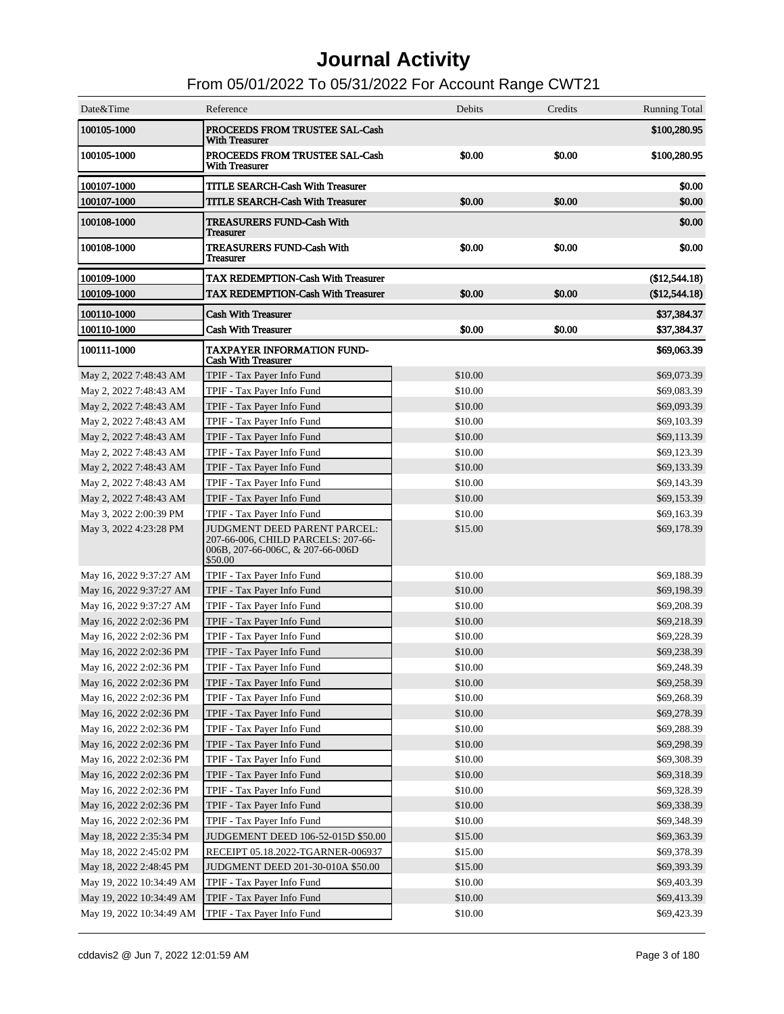| Date&Time                | Reference                                                                                                                  | Debits  | Credits | <b>Running Total</b> |
|--------------------------|----------------------------------------------------------------------------------------------------------------------------|---------|---------|----------------------|
| 100105-1000              | PROCEEDS FROM TRUSTEE SAL-Cash<br>With Treasurer                                                                           |         |         | \$100,280.95         |
| 100105-1000              | PROCEEDS FROM TRUSTEE SAL-Cash<br><b>With Treasurer</b>                                                                    | \$0.00  | \$0.00  | \$100,280.95         |
| 100107-1000              | <b>TITLE SEARCH-Cash With Treasurer</b>                                                                                    |         |         | \$0.00               |
| 100107-1000              | <b>TITLE SEARCH-Cash With Treasurer</b>                                                                                    | \$0.00  | \$0.00  | \$0.00               |
| 100108-1000              | <b>TREASURERS FUND-Cash With</b><br>Treasurer                                                                              |         |         | \$0.00               |
| 100108-1000              | <b>TREASURERS FUND-Cash With</b><br>Treasurer                                                                              | \$0.00  | \$0.00  | \$0.00               |
| 100109-1000              | <b>TAX REDEMPTION-Cash With Treasurer</b>                                                                                  |         |         | (\$12,544.18)        |
| 100109-1000              | <b>TAX REDEMPTION-Cash With Treasurer</b>                                                                                  | \$0.00  | \$0.00  | (\$12,544.18)        |
| 100110-1000              | <b>Cash With Treasurer</b>                                                                                                 |         |         | \$37,384.37          |
| 100110-1000              | <b>Cash With Treasurer</b>                                                                                                 | \$0.00  | \$0.00  | \$37,384.37          |
| 100111-1000              | <b>TAXPAYER INFORMATION FUND-</b><br><b>Cash With Treasurer</b>                                                            |         |         | \$69,063.39          |
| May 2, 2022 7:48:43 AM   | TPIF - Tax Payer Info Fund                                                                                                 | \$10.00 |         | \$69,073.39          |
| May 2, 2022 7:48:43 AM   | TPIF - Tax Payer Info Fund                                                                                                 | \$10.00 |         | \$69,083.39          |
| May 2, 2022 7:48:43 AM   | TPIF - Tax Payer Info Fund                                                                                                 | \$10.00 |         | \$69,093.39          |
| May 2, 2022 7:48:43 AM   | TPIF - Tax Payer Info Fund                                                                                                 | \$10.00 |         | \$69,103.39          |
| May 2, 2022 7:48:43 AM   | TPIF - Tax Payer Info Fund                                                                                                 | \$10.00 |         | \$69,113.39          |
| May 2, 2022 7:48:43 AM   | TPIF - Tax Payer Info Fund                                                                                                 | \$10.00 |         | \$69,123.39          |
| May 2, 2022 7:48:43 AM   | TPIF - Tax Payer Info Fund                                                                                                 | \$10.00 |         | \$69,133.39          |
| May 2, 2022 7:48:43 AM   | TPIF - Tax Payer Info Fund                                                                                                 | \$10.00 |         | \$69,143.39          |
| May 2, 2022 7:48:43 AM   | TPIF - Tax Payer Info Fund                                                                                                 | \$10.00 |         | \$69,153.39          |
| May 3, 2022 2:00:39 PM   | TPIF - Tax Payer Info Fund                                                                                                 | \$10.00 |         | \$69,163.39          |
| May 3, 2022 4:23:28 PM   | <b>JUDGMENT DEED PARENT PARCEL:</b><br>207-66-006, CHILD PARCELS: 207-66-<br>006B, 207-66-006C, $& 207-66-006D$<br>\$50.00 | \$15.00 |         | \$69,178.39          |
| May 16, 2022 9:37:27 AM  | TPIF - Tax Payer Info Fund                                                                                                 | \$10.00 |         | \$69,188.39          |
| May 16, 2022 9:37:27 AM  | TPIF - Tax Payer Info Fund                                                                                                 | \$10.00 |         | \$69,198.39          |
| May 16, 2022 9:37:27 AM  | TPIF - Tax Payer Info Fund                                                                                                 | \$10.00 |         | \$69,208.39          |
| May 16, 2022 2:02:36 PM  | TPIF - Tax Payer Info Fund                                                                                                 | \$10.00 |         | \$69,218.39          |
| May 16, 2022 2:02:36 PM  | TPIF - Tax Payer Info Fund                                                                                                 | \$10.00 |         | \$69,228.39          |
| May 16, 2022 2:02:36 PM  | TPIF - Tax Payer Info Fund                                                                                                 | \$10.00 |         | \$69,238.39          |
| May 16, 2022 2:02:36 PM  | TPIF - Tax Payer Info Fund                                                                                                 | \$10.00 |         | \$69,248.39          |
| May 16, 2022 2:02:36 PM  | TPIF - Tax Payer Info Fund                                                                                                 | \$10.00 |         | \$69,258.39          |
| May 16, 2022 2:02:36 PM  | TPIF - Tax Payer Info Fund                                                                                                 | \$10.00 |         | \$69,268.39          |
| May 16, 2022 2:02:36 PM  | TPIF - Tax Payer Info Fund                                                                                                 | \$10.00 |         | \$69,278.39          |
| May 16, 2022 2:02:36 PM  | TPIF - Tax Payer Info Fund                                                                                                 | \$10.00 |         | \$69,288.39          |
| May 16, 2022 2:02:36 PM  | TPIF - Tax Payer Info Fund                                                                                                 | \$10.00 |         | \$69,298.39          |
| May 16, 2022 2:02:36 PM  | TPIF - Tax Payer Info Fund                                                                                                 | \$10.00 |         | \$69,308.39          |
| May 16, 2022 2:02:36 PM  | TPIF - Tax Payer Info Fund                                                                                                 | \$10.00 |         | \$69,318.39          |
| May 16, 2022 2:02:36 PM  | TPIF - Tax Payer Info Fund                                                                                                 | \$10.00 |         | \$69,328.39          |
| May 16, 2022 2:02:36 PM  | TPIF - Tax Payer Info Fund                                                                                                 | \$10.00 |         | \$69,338.39          |
| May 16, 2022 2:02:36 PM  | TPIF - Tax Payer Info Fund                                                                                                 | \$10.00 |         | \$69,348.39          |
| May 18, 2022 2:35:34 PM  | JUDGEMENT DEED 106-52-015D \$50.00                                                                                         | \$15.00 |         | \$69,363.39          |
| May 18, 2022 2:45:02 PM  | RECEIPT 05.18.2022-TGARNER-006937                                                                                          | \$15.00 |         | \$69,378.39          |
| May 18, 2022 2:48:45 PM  | JUDGMENT DEED 201-30-010A \$50.00                                                                                          | \$15.00 |         | \$69,393.39          |
| May 19, 2022 10:34:49 AM | TPIF - Tax Payer Info Fund                                                                                                 | \$10.00 |         | \$69,403.39          |
| May 19, 2022 10:34:49 AM | TPIF - Tax Payer Info Fund                                                                                                 | \$10.00 |         | \$69,413.39          |
| May 19, 2022 10:34:49 AM | TPIF - Tax Payer Info Fund                                                                                                 | \$10.00 |         | \$69,423.39          |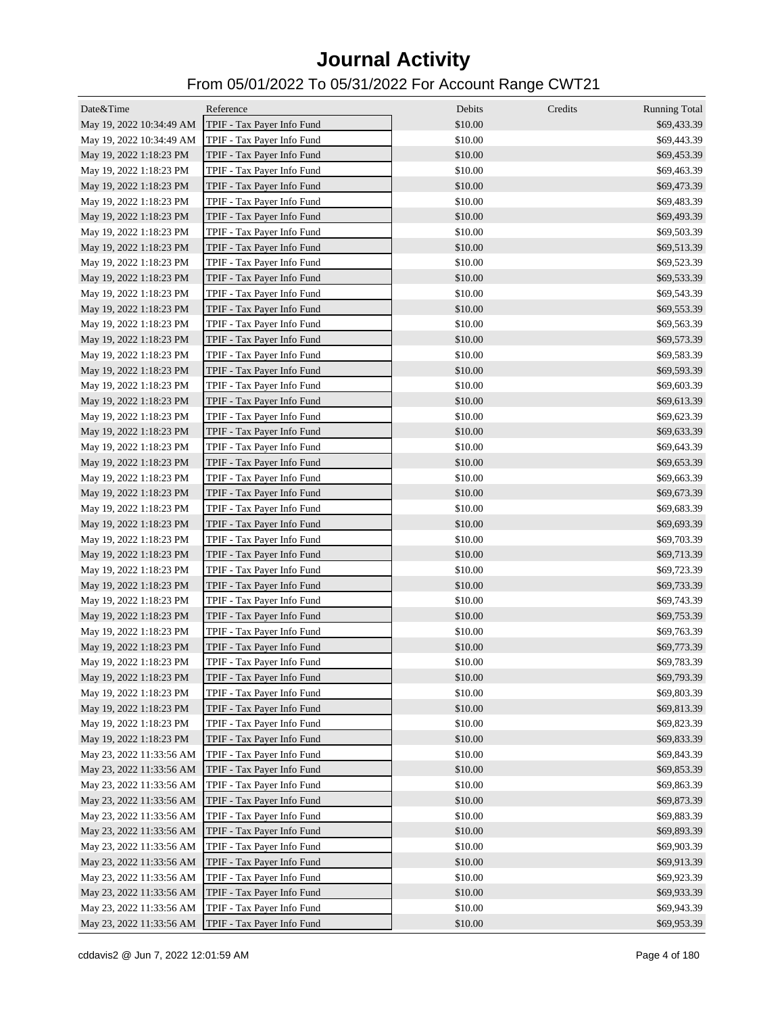| Date&Time                | Reference                  | Debits  | Credits<br><b>Running Total</b> |
|--------------------------|----------------------------|---------|---------------------------------|
| May 19, 2022 10:34:49 AM | TPIF - Tax Payer Info Fund | \$10.00 | \$69,433.39                     |
| May 19, 2022 10:34:49 AM | TPIF - Tax Payer Info Fund | \$10.00 | \$69,443.39                     |
| May 19, 2022 1:18:23 PM  | TPIF - Tax Payer Info Fund | \$10.00 | \$69,453.39                     |
| May 19, 2022 1:18:23 PM  | TPIF - Tax Payer Info Fund | \$10.00 | \$69,463.39                     |
| May 19, 2022 1:18:23 PM  | TPIF - Tax Payer Info Fund | \$10.00 | \$69,473.39                     |
| May 19, 2022 1:18:23 PM  | TPIF - Tax Payer Info Fund | \$10.00 | \$69,483.39                     |
| May 19, 2022 1:18:23 PM  | TPIF - Tax Payer Info Fund | \$10.00 | \$69,493.39                     |
| May 19, 2022 1:18:23 PM  | TPIF - Tax Payer Info Fund | \$10.00 | \$69,503.39                     |
| May 19, 2022 1:18:23 PM  | TPIF - Tax Payer Info Fund | \$10.00 | \$69,513.39                     |
| May 19, 2022 1:18:23 PM  | TPIF - Tax Payer Info Fund | \$10.00 | \$69,523.39                     |
| May 19, 2022 1:18:23 PM  | TPIF - Tax Payer Info Fund | \$10.00 | \$69,533.39                     |
| May 19, 2022 1:18:23 PM  | TPIF - Tax Payer Info Fund | \$10.00 | \$69,543.39                     |
| May 19, 2022 1:18:23 PM  | TPIF - Tax Payer Info Fund | \$10.00 | \$69,553.39                     |
| May 19, 2022 1:18:23 PM  | TPIF - Tax Payer Info Fund | \$10.00 | \$69,563.39                     |
| May 19, 2022 1:18:23 PM  | TPIF - Tax Payer Info Fund | \$10.00 | \$69,573.39                     |
| May 19, 2022 1:18:23 PM  | TPIF - Tax Payer Info Fund | \$10.00 | \$69,583.39                     |
| May 19, 2022 1:18:23 PM  | TPIF - Tax Payer Info Fund | \$10.00 | \$69,593.39                     |
| May 19, 2022 1:18:23 PM  | TPIF - Tax Payer Info Fund | \$10.00 | \$69,603.39                     |
| May 19, 2022 1:18:23 PM  | TPIF - Tax Payer Info Fund | \$10.00 | \$69,613.39                     |
| May 19, 2022 1:18:23 PM  | TPIF - Tax Payer Info Fund | \$10.00 | \$69,623.39                     |
| May 19, 2022 1:18:23 PM  | TPIF - Tax Payer Info Fund | \$10.00 | \$69,633.39                     |
| May 19, 2022 1:18:23 PM  | TPIF - Tax Payer Info Fund | \$10.00 | \$69,643.39                     |
| May 19, 2022 1:18:23 PM  | TPIF - Tax Payer Info Fund | \$10.00 | \$69,653.39                     |
| May 19, 2022 1:18:23 PM  | TPIF - Tax Payer Info Fund | \$10.00 | \$69,663.39                     |
| May 19, 2022 1:18:23 PM  | TPIF - Tax Payer Info Fund | \$10.00 | \$69,673.39                     |
| May 19, 2022 1:18:23 PM  | TPIF - Tax Payer Info Fund | \$10.00 | \$69,683.39                     |
| May 19, 2022 1:18:23 PM  | TPIF - Tax Payer Info Fund | \$10.00 | \$69,693.39                     |
| May 19, 2022 1:18:23 PM  | TPIF - Tax Payer Info Fund | \$10.00 | \$69,703.39                     |
| May 19, 2022 1:18:23 PM  | TPIF - Tax Payer Info Fund | \$10.00 | \$69,713.39                     |
| May 19, 2022 1:18:23 PM  | TPIF - Tax Payer Info Fund | \$10.00 | \$69,723.39                     |
| May 19, 2022 1:18:23 PM  | TPIF - Tax Payer Info Fund | \$10.00 | \$69,733.39                     |
| May 19, 2022 1:18:23 PM  | TPIF - Tax Payer Info Fund | \$10.00 | \$69,743.39                     |
| May 19, 2022 1:18:23 PM  | TPIF - Tax Payer Info Fund | \$10.00 | \$69,753.39                     |
| May 19, 2022 1:18:23 PM  | TPIF - Tax Payer Info Fund | \$10.00 | \$69,763.39                     |
| May 19, 2022 1:18:23 PM  | TPIF - Tax Payer Info Fund | \$10.00 | \$69,773.39                     |
| May 19, 2022 1:18:23 PM  | TPIF - Tax Payer Info Fund | \$10.00 | \$69,783.39                     |
| May 19, 2022 1:18:23 PM  | TPIF - Tax Payer Info Fund | \$10.00 | \$69,793.39                     |
| May 19, 2022 1:18:23 PM  | TPIF - Tax Payer Info Fund | \$10.00 | \$69,803.39                     |
| May 19, 2022 1:18:23 PM  | TPIF - Tax Payer Info Fund | \$10.00 | \$69,813.39                     |
| May 19, 2022 1:18:23 PM  | TPIF - Tax Payer Info Fund | \$10.00 | \$69,823.39                     |
| May 19, 2022 1:18:23 PM  | TPIF - Tax Payer Info Fund | \$10.00 | \$69,833.39                     |
| May 23, 2022 11:33:56 AM | TPIF - Tax Payer Info Fund | \$10.00 | \$69,843.39                     |
| May 23, 2022 11:33:56 AM |                            |         |                                 |
|                          | TPIF - Tax Payer Info Fund | \$10.00 | \$69,853.39                     |
| May 23, 2022 11:33:56 AM | TPIF - Tax Payer Info Fund | \$10.00 | \$69,863.39                     |
| May 23, 2022 11:33:56 AM | TPIF - Tax Payer Info Fund | \$10.00 | \$69,873.39                     |
| May 23, 2022 11:33:56 AM | TPIF - Tax Payer Info Fund | \$10.00 | \$69,883.39                     |
| May 23, 2022 11:33:56 AM | TPIF - Tax Payer Info Fund | \$10.00 | \$69,893.39                     |
| May 23, 2022 11:33:56 AM | TPIF - Tax Payer Info Fund | \$10.00 | \$69,903.39                     |
| May 23, 2022 11:33:56 AM | TPIF - Tax Payer Info Fund | \$10.00 | \$69,913.39                     |
| May 23, 2022 11:33:56 AM | TPIF - Tax Payer Info Fund | \$10.00 | \$69,923.39                     |
| May 23, 2022 11:33:56 AM | TPIF - Tax Payer Info Fund | \$10.00 | \$69,933.39                     |
| May 23, 2022 11:33:56 AM | TPIF - Tax Payer Info Fund | \$10.00 | \$69,943.39                     |
| May 23, 2022 11:33:56 AM | TPIF - Tax Payer Info Fund | \$10.00 | \$69,953.39                     |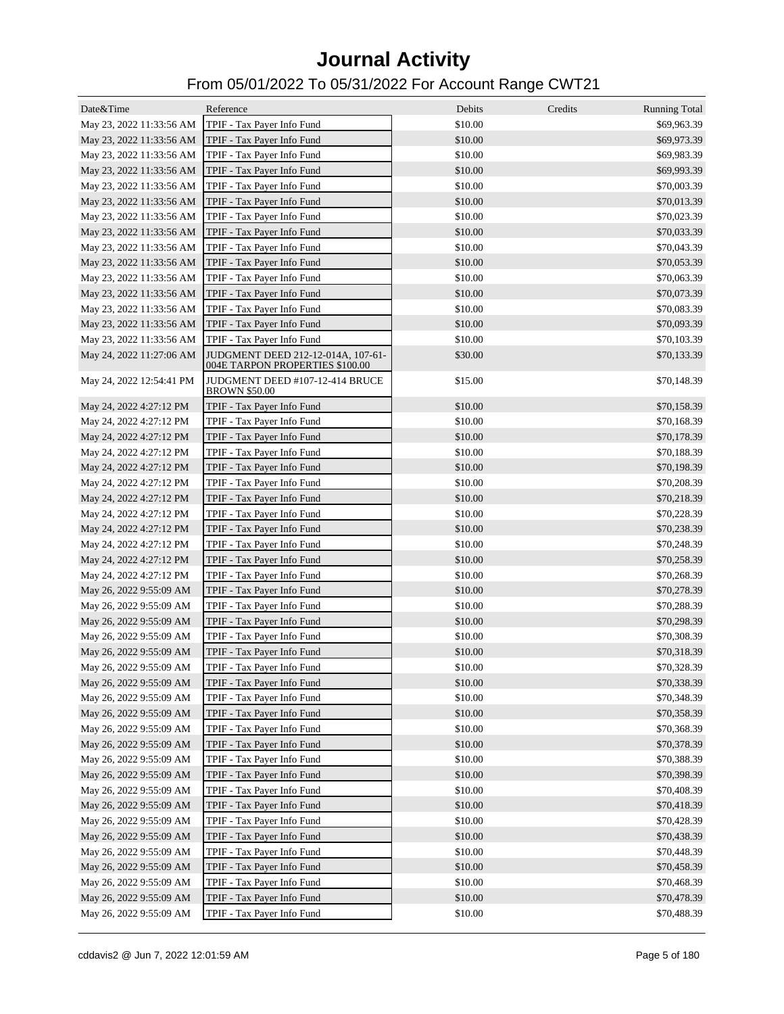| Date&Time                | Reference                                                             | Debits  | Credits<br><b>Running Total</b> |
|--------------------------|-----------------------------------------------------------------------|---------|---------------------------------|
| May 23, 2022 11:33:56 AM | TPIF - Tax Payer Info Fund                                            | \$10.00 | \$69,963.39                     |
| May 23, 2022 11:33:56 AM | TPIF - Tax Payer Info Fund                                            | \$10.00 | \$69,973.39                     |
| May 23, 2022 11:33:56 AM | TPIF - Tax Payer Info Fund                                            | \$10.00 | \$69,983.39                     |
| May 23, 2022 11:33:56 AM | TPIF - Tax Payer Info Fund                                            | \$10.00 | \$69,993.39                     |
| May 23, 2022 11:33:56 AM | TPIF - Tax Payer Info Fund                                            | \$10.00 | \$70,003.39                     |
| May 23, 2022 11:33:56 AM | TPIF - Tax Payer Info Fund                                            | \$10.00 | \$70,013.39                     |
| May 23, 2022 11:33:56 AM | TPIF - Tax Payer Info Fund                                            | \$10.00 | \$70,023.39                     |
| May 23, 2022 11:33:56 AM | TPIF - Tax Payer Info Fund                                            | \$10.00 | \$70,033.39                     |
| May 23, 2022 11:33:56 AM | TPIF - Tax Payer Info Fund                                            | \$10.00 | \$70,043.39                     |
| May 23, 2022 11:33:56 AM | TPIF - Tax Payer Info Fund                                            | \$10.00 | \$70,053.39                     |
| May 23, 2022 11:33:56 AM | TPIF - Tax Payer Info Fund                                            | \$10.00 | \$70,063.39                     |
| May 23, 2022 11:33:56 AM | TPIF - Tax Payer Info Fund                                            | \$10.00 | \$70,073.39                     |
| May 23, 2022 11:33:56 AM | TPIF - Tax Payer Info Fund                                            | \$10.00 | \$70,083.39                     |
| May 23, 2022 11:33:56 AM | TPIF - Tax Payer Info Fund                                            | \$10.00 | \$70,093.39                     |
| May 23, 2022 11:33:56 AM | TPIF - Tax Payer Info Fund                                            | \$10.00 | \$70,103.39                     |
| May 24, 2022 11:27:06 AM | JUDGMENT DEED 212-12-014A, 107-61-<br>004E TARPON PROPERTIES \$100.00 | \$30.00 | \$70,133.39                     |
| May 24, 2022 12:54:41 PM | JUDGMENT DEED #107-12-414 BRUCE<br><b>BROWN \$50.00</b>               | \$15.00 | \$70,148.39                     |
| May 24, 2022 4:27:12 PM  | TPIF - Tax Payer Info Fund                                            | \$10.00 | \$70,158.39                     |
| May 24, 2022 4:27:12 PM  | TPIF - Tax Payer Info Fund                                            | \$10.00 | \$70,168.39                     |
| May 24, 2022 4:27:12 PM  | TPIF - Tax Payer Info Fund                                            | \$10.00 | \$70,178.39                     |
| May 24, 2022 4:27:12 PM  | TPIF - Tax Payer Info Fund                                            | \$10.00 | \$70,188.39                     |
| May 24, 2022 4:27:12 PM  | TPIF - Tax Payer Info Fund                                            | \$10.00 | \$70,198.39                     |
| May 24, 2022 4:27:12 PM  | TPIF - Tax Payer Info Fund                                            | \$10.00 | \$70,208.39                     |
| May 24, 2022 4:27:12 PM  | TPIF - Tax Payer Info Fund                                            | \$10.00 | \$70,218.39                     |
| May 24, 2022 4:27:12 PM  | TPIF - Tax Payer Info Fund                                            | \$10.00 | \$70,228.39                     |
| May 24, 2022 4:27:12 PM  | TPIF - Tax Payer Info Fund                                            | \$10.00 | \$70,238.39                     |
| May 24, 2022 4:27:12 PM  | TPIF - Tax Payer Info Fund                                            | \$10.00 | \$70,248.39                     |
| May 24, 2022 4:27:12 PM  | TPIF - Tax Payer Info Fund                                            | \$10.00 | \$70,258.39                     |
| May 24, 2022 4:27:12 PM  | TPIF - Tax Payer Info Fund                                            | \$10.00 | \$70,268.39                     |
| May 26, 2022 9:55:09 AM  | TPIF - Tax Payer Info Fund                                            | \$10.00 | \$70,278.39                     |
| May 26, 2022 9:55:09 AM  | TPIF - Tax Payer Info Fund                                            | \$10.00 | \$70,288.39                     |
| May 26, 2022 9:55:09 AM  | TPIF - Tax Payer Info Fund                                            | \$10.00 | \$70,298.39                     |
| May 26, 2022 9:55:09 AM  | TPIF - Tax Payer Info Fund                                            | \$10.00 | \$70,308.39                     |
| May 26, 2022 9:55:09 AM  | TPIF - Tax Payer Info Fund                                            | \$10.00 | \$70,318.39                     |
| May 26, 2022 9:55:09 AM  | TPIF - Tax Payer Info Fund                                            | \$10.00 | \$70,328.39                     |
| May 26, 2022 9:55:09 AM  | TPIF - Tax Payer Info Fund                                            | \$10.00 | \$70,338.39                     |
| May 26, 2022 9:55:09 AM  | TPIF - Tax Payer Info Fund                                            | \$10.00 | \$70,348.39                     |
| May 26, 2022 9:55:09 AM  | TPIF - Tax Payer Info Fund                                            | \$10.00 | \$70,358.39                     |
| May 26, 2022 9:55:09 AM  | TPIF - Tax Payer Info Fund                                            | \$10.00 | \$70,368.39                     |
| May 26, 2022 9:55:09 AM  | TPIF - Tax Payer Info Fund                                            | \$10.00 | \$70,378.39                     |
| May 26, 2022 9:55:09 AM  | TPIF - Tax Payer Info Fund                                            | \$10.00 | \$70,388.39                     |
| May 26, 2022 9:55:09 AM  | TPIF - Tax Payer Info Fund                                            | \$10.00 | \$70,398.39                     |
| May 26, 2022 9:55:09 AM  | TPIF - Tax Payer Info Fund                                            | \$10.00 | \$70,408.39                     |
| May 26, 2022 9:55:09 AM  | TPIF - Tax Payer Info Fund                                            | \$10.00 | \$70,418.39                     |
| May 26, 2022 9:55:09 AM  | TPIF - Tax Payer Info Fund                                            | \$10.00 | \$70,428.39                     |
| May 26, 2022 9:55:09 AM  | TPIF - Tax Payer Info Fund                                            | \$10.00 | \$70,438.39                     |
| May 26, 2022 9:55:09 AM  | TPIF - Tax Payer Info Fund                                            | \$10.00 | \$70,448.39                     |
| May 26, 2022 9:55:09 AM  | TPIF - Tax Payer Info Fund                                            | \$10.00 | \$70,458.39                     |
| May 26, 2022 9:55:09 AM  | TPIF - Tax Payer Info Fund                                            | \$10.00 | \$70,468.39                     |
| May 26, 2022 9:55:09 AM  | TPIF - Tax Payer Info Fund                                            | \$10.00 | \$70,478.39                     |
| May 26, 2022 9:55:09 AM  | TPIF - Tax Payer Info Fund                                            | \$10.00 | \$70,488.39                     |
|                          |                                                                       |         |                                 |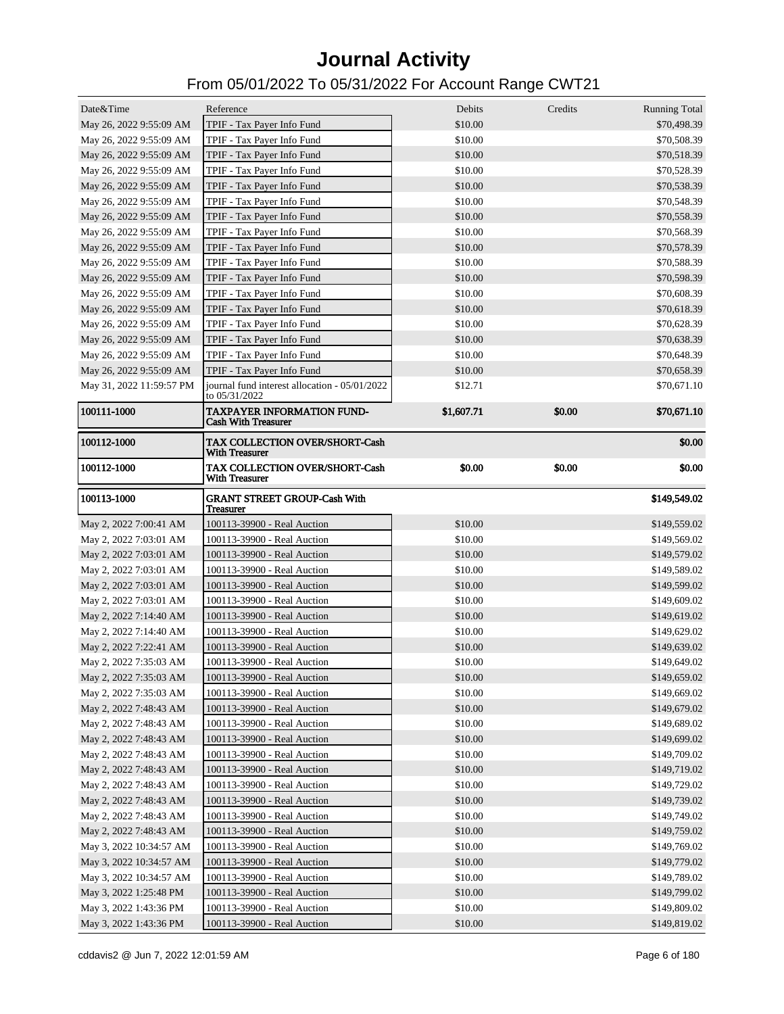| Date&Time                | Reference                                                       | Debits     | Credits | <b>Running Total</b> |
|--------------------------|-----------------------------------------------------------------|------------|---------|----------------------|
| May 26, 2022 9:55:09 AM  | TPIF - Tax Payer Info Fund                                      | \$10.00    |         | \$70,498.39          |
| May 26, 2022 9:55:09 AM  | TPIF - Tax Payer Info Fund                                      | \$10.00    |         | \$70,508.39          |
| May 26, 2022 9:55:09 AM  | TPIF - Tax Payer Info Fund                                      | \$10.00    |         | \$70,518.39          |
| May 26, 2022 9:55:09 AM  | TPIF - Tax Payer Info Fund                                      | \$10.00    |         | \$70,528.39          |
| May 26, 2022 9:55:09 AM  | TPIF - Tax Payer Info Fund                                      | \$10.00    |         | \$70,538.39          |
| May 26, 2022 9:55:09 AM  | TPIF - Tax Payer Info Fund                                      | \$10.00    |         | \$70,548.39          |
| May 26, 2022 9:55:09 AM  | TPIF - Tax Payer Info Fund                                      | \$10.00    |         | \$70,558.39          |
| May 26, 2022 9:55:09 AM  | TPIF - Tax Payer Info Fund                                      | \$10.00    |         | \$70,568.39          |
| May 26, 2022 9:55:09 AM  | TPIF - Tax Payer Info Fund                                      | \$10.00    |         | \$70,578.39          |
| May 26, 2022 9:55:09 AM  | TPIF - Tax Payer Info Fund                                      | \$10.00    |         | \$70,588.39          |
| May 26, 2022 9:55:09 AM  | TPIF - Tax Payer Info Fund                                      | \$10.00    |         | \$70,598.39          |
| May 26, 2022 9:55:09 AM  | TPIF - Tax Payer Info Fund                                      | \$10.00    |         | \$70,608.39          |
| May 26, 2022 9:55:09 AM  | TPIF - Tax Payer Info Fund                                      | \$10.00    |         | \$70,618.39          |
| May 26, 2022 9:55:09 AM  | TPIF - Tax Payer Info Fund                                      | \$10.00    |         | \$70,628.39          |
| May 26, 2022 9:55:09 AM  | TPIF - Tax Payer Info Fund                                      | \$10.00    |         | \$70,638.39          |
| May 26, 2022 9:55:09 AM  | TPIF - Tax Payer Info Fund                                      | \$10.00    |         | \$70,648.39          |
| May 26, 2022 9:55:09 AM  | TPIF - Tax Payer Info Fund                                      | \$10.00    |         | \$70,658.39          |
| May 31, 2022 11:59:57 PM | journal fund interest allocation - 05/01/2022                   | \$12.71    |         | \$70,671.10          |
|                          | to 05/31/2022                                                   |            |         |                      |
| 100111-1000              | <b>TAXPAYER INFORMATION FUND-</b><br><b>Cash With Treasurer</b> | \$1,607.71 | \$0.00  | \$70,671.10          |
| 100112-1000              | <b>TAX COLLECTION OVER/SHORT-Cash</b><br><b>With Treasurer</b>  |            |         | \$0.00               |
| 100112-1000              | <b>TAX COLLECTION OVER/SHORT-Cash</b><br><b>With Treasurer</b>  | \$0.00     | \$0.00  | \$0.00               |
| 100113-1000              | <b>GRANT STREET GROUP-Cash With</b><br><b>Treasurer</b>         |            |         | \$149,549.02         |
| May 2, 2022 7:00:41 AM   | 100113-39900 - Real Auction                                     | \$10.00    |         | \$149,559.02         |
| May 2, 2022 7:03:01 AM   | 100113-39900 - Real Auction                                     | \$10.00    |         | \$149,569.02         |
| May 2, 2022 7:03:01 AM   | 100113-39900 - Real Auction                                     | \$10.00    |         | \$149,579.02         |
| May 2, 2022 7:03:01 AM   | 100113-39900 - Real Auction                                     | \$10.00    |         | \$149,589.02         |
| May 2, 2022 7:03:01 AM   | 100113-39900 - Real Auction                                     | \$10.00    |         | \$149,599.02         |
| May 2, 2022 7:03:01 AM   | 100113-39900 - Real Auction                                     | \$10.00    |         | \$149,609.02         |
| May 2, 2022 7:14:40 AM   | 100113-39900 - Real Auction                                     | \$10.00    |         | \$149,619.02         |
| May 2, 2022 7:14:40 AM   | 100113-39900 - Real Auction                                     | \$10.00    |         | \$149,629.02         |
| May 2, 2022 7:22:41 AM   | 100113-39900 - Real Auction                                     | \$10.00    |         | \$149,639.02         |
| May 2, 2022 7:35:03 AM   | 100113-39900 - Real Auction                                     | \$10.00    |         | \$149,649.02         |
| May 2, 2022 7:35:03 AM   | 100113-39900 - Real Auction                                     | \$10.00    |         | \$149,659.02         |
| May 2, 2022 7:35:03 AM   | 100113-39900 - Real Auction                                     | \$10.00    |         | \$149,669.02         |
| May 2, 2022 7:48:43 AM   | 100113-39900 - Real Auction                                     | \$10.00    |         | \$149,679.02         |
| May 2, 2022 7:48:43 AM   |                                                                 |            |         |                      |
| May 2, 2022 7:48:43 AM   | 100113-39900 - Real Auction                                     | \$10.00    |         | \$149,689.02         |
|                          | 100113-39900 - Real Auction                                     | \$10.00    |         | \$149,699.02         |
| May 2, 2022 7:48:43 AM   | 100113-39900 - Real Auction                                     | \$10.00    |         | \$149,709.02         |
| May 2, 2022 7:48:43 AM   | 100113-39900 - Real Auction                                     | \$10.00    |         | \$149,719.02         |
| May 2, 2022 7:48:43 AM   | 100113-39900 - Real Auction                                     | \$10.00    |         | \$149,729.02         |
| May 2, 2022 7:48:43 AM   | 100113-39900 - Real Auction                                     | \$10.00    |         | \$149,739.02         |
| May 2, 2022 7:48:43 AM   | 100113-39900 - Real Auction                                     | \$10.00    |         | \$149,749.02         |
| May 2, 2022 7:48:43 AM   | 100113-39900 - Real Auction                                     | \$10.00    |         | \$149,759.02         |
| May 3, 2022 10:34:57 AM  | 100113-39900 - Real Auction                                     | \$10.00    |         | \$149,769.02         |
| May 3, 2022 10:34:57 AM  | 100113-39900 - Real Auction                                     | \$10.00    |         | \$149,779.02         |
| May 3, 2022 10:34:57 AM  | 100113-39900 - Real Auction                                     | \$10.00    |         | \$149,789.02         |
| May 3, 2022 1:25:48 PM   | 100113-39900 - Real Auction                                     | \$10.00    |         | \$149,799.02         |
| May 3, 2022 1:43:36 PM   | 100113-39900 - Real Auction                                     | \$10.00    |         | \$149,809.02         |
| May 3, 2022 1:43:36 PM   | 100113-39900 - Real Auction                                     | \$10.00    |         | \$149,819.02         |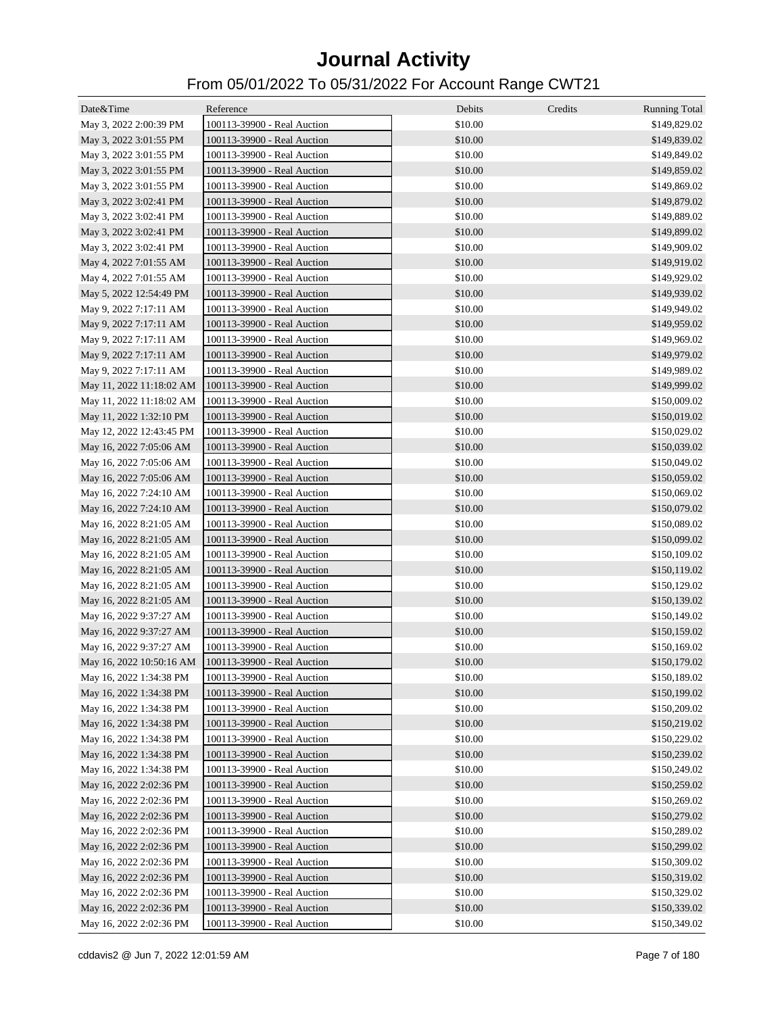| Date&Time                | Reference                   | Debits  | Credits | <b>Running Total</b> |
|--------------------------|-----------------------------|---------|---------|----------------------|
| May 3, 2022 2:00:39 PM   | 100113-39900 - Real Auction | \$10.00 |         | \$149,829.02         |
| May 3, 2022 3:01:55 PM   | 100113-39900 - Real Auction | \$10.00 |         | \$149,839.02         |
| May 3, 2022 3:01:55 PM   | 100113-39900 - Real Auction | \$10.00 |         | \$149,849.02         |
| May 3, 2022 3:01:55 PM   | 100113-39900 - Real Auction | \$10.00 |         | \$149,859.02         |
| May 3, 2022 3:01:55 PM   | 100113-39900 - Real Auction | \$10.00 |         | \$149,869.02         |
| May 3, 2022 3:02:41 PM   | 100113-39900 - Real Auction | \$10.00 |         | \$149,879.02         |
| May 3, 2022 3:02:41 PM   | 100113-39900 - Real Auction | \$10.00 |         | \$149,889.02         |
| May 3, 2022 3:02:41 PM   | 100113-39900 - Real Auction | \$10.00 |         | \$149,899.02         |
| May 3, 2022 3:02:41 PM   | 100113-39900 - Real Auction | \$10.00 |         | \$149,909.02         |
| May 4, 2022 7:01:55 AM   | 100113-39900 - Real Auction | \$10.00 |         | \$149,919.02         |
| May 4, 2022 7:01:55 AM   | 100113-39900 - Real Auction | \$10.00 |         | \$149,929.02         |
| May 5, 2022 12:54:49 PM  | 100113-39900 - Real Auction | \$10.00 |         | \$149,939.02         |
| May 9, 2022 7:17:11 AM   | 100113-39900 - Real Auction | \$10.00 |         | \$149,949.02         |
| May 9, 2022 7:17:11 AM   | 100113-39900 - Real Auction | \$10.00 |         | \$149,959.02         |
| May 9, 2022 7:17:11 AM   | 100113-39900 - Real Auction | \$10.00 |         | \$149,969.02         |
| May 9, 2022 7:17:11 AM   | 100113-39900 - Real Auction | \$10.00 |         | \$149,979.02         |
| May 9, 2022 7:17:11 AM   | 100113-39900 - Real Auction | \$10.00 |         | \$149,989.02         |
| May 11, 2022 11:18:02 AM | 100113-39900 - Real Auction | \$10.00 |         | \$149,999.02         |
| May 11, 2022 11:18:02 AM | 100113-39900 - Real Auction | \$10.00 |         | \$150,009.02         |
| May 11, 2022 1:32:10 PM  | 100113-39900 - Real Auction | \$10.00 |         | \$150,019.02         |
| May 12, 2022 12:43:45 PM | 100113-39900 - Real Auction | \$10.00 |         | \$150,029.02         |
| May 16, 2022 7:05:06 AM  | 100113-39900 - Real Auction | \$10.00 |         | \$150,039.02         |
| May 16, 2022 7:05:06 AM  | 100113-39900 - Real Auction | \$10.00 |         | \$150,049.02         |
| May 16, 2022 7:05:06 AM  | 100113-39900 - Real Auction | \$10.00 |         | \$150,059.02         |
| May 16, 2022 7:24:10 AM  | 100113-39900 - Real Auction | \$10.00 |         | \$150,069.02         |
| May 16, 2022 7:24:10 AM  | 100113-39900 - Real Auction | \$10.00 |         | \$150,079.02         |
| May 16, 2022 8:21:05 AM  | 100113-39900 - Real Auction | \$10.00 |         | \$150,089.02         |
| May 16, 2022 8:21:05 AM  | 100113-39900 - Real Auction | \$10.00 |         | \$150,099.02         |
| May 16, 2022 8:21:05 AM  | 100113-39900 - Real Auction | \$10.00 |         | \$150,109.02         |
| May 16, 2022 8:21:05 AM  | 100113-39900 - Real Auction | \$10.00 |         | \$150,119.02         |
| May 16, 2022 8:21:05 AM  | 100113-39900 - Real Auction | \$10.00 |         | \$150,129.02         |
| May 16, 2022 8:21:05 AM  | 100113-39900 - Real Auction | \$10.00 |         | \$150,139.02         |
| May 16, 2022 9:37:27 AM  | 100113-39900 - Real Auction | \$10.00 |         | \$150,149.02         |
| May 16, 2022 9:37:27 AM  | 100113-39900 - Real Auction | \$10.00 |         | \$150,159.02         |
| May 16, 2022 9:37:27 AM  | 100113-39900 - Real Auction | \$10.00 |         | \$150,169.02         |
| May 16, 2022 10:50:16 AM | 100113-39900 - Real Auction | \$10.00 |         | \$150,179.02         |
| May 16, 2022 1:34:38 PM  | 100113-39900 - Real Auction | \$10.00 |         | \$150,189.02         |
| May 16, 2022 1:34:38 PM  | 100113-39900 - Real Auction | \$10.00 |         | \$150,199.02         |
| May 16, 2022 1:34:38 PM  | 100113-39900 - Real Auction | \$10.00 |         | \$150,209.02         |
| May 16, 2022 1:34:38 PM  | 100113-39900 - Real Auction | \$10.00 |         | \$150,219.02         |
| May 16, 2022 1:34:38 PM  | 100113-39900 - Real Auction | \$10.00 |         | \$150,229.02         |
| May 16, 2022 1:34:38 PM  | 100113-39900 - Real Auction | \$10.00 |         | \$150,239.02         |
| May 16, 2022 1:34:38 PM  | 100113-39900 - Real Auction | \$10.00 |         | \$150,249.02         |
| May 16, 2022 2:02:36 PM  | 100113-39900 - Real Auction | \$10.00 |         | \$150,259.02         |
| May 16, 2022 2:02:36 PM  | 100113-39900 - Real Auction | \$10.00 |         | \$150,269.02         |
| May 16, 2022 2:02:36 PM  | 100113-39900 - Real Auction | \$10.00 |         | \$150,279.02         |
| May 16, 2022 2:02:36 PM  | 100113-39900 - Real Auction | \$10.00 |         | \$150,289.02         |
| May 16, 2022 2:02:36 PM  | 100113-39900 - Real Auction | \$10.00 |         | \$150,299.02         |
| May 16, 2022 2:02:36 PM  | 100113-39900 - Real Auction | \$10.00 |         | \$150,309.02         |
| May 16, 2022 2:02:36 PM  | 100113-39900 - Real Auction | \$10.00 |         | \$150,319.02         |
| May 16, 2022 2:02:36 PM  | 100113-39900 - Real Auction | \$10.00 |         | \$150,329.02         |
| May 16, 2022 2:02:36 PM  | 100113-39900 - Real Auction | \$10.00 |         | \$150,339.02         |
| May 16, 2022 2:02:36 PM  | 100113-39900 - Real Auction | \$10.00 |         | \$150,349.02         |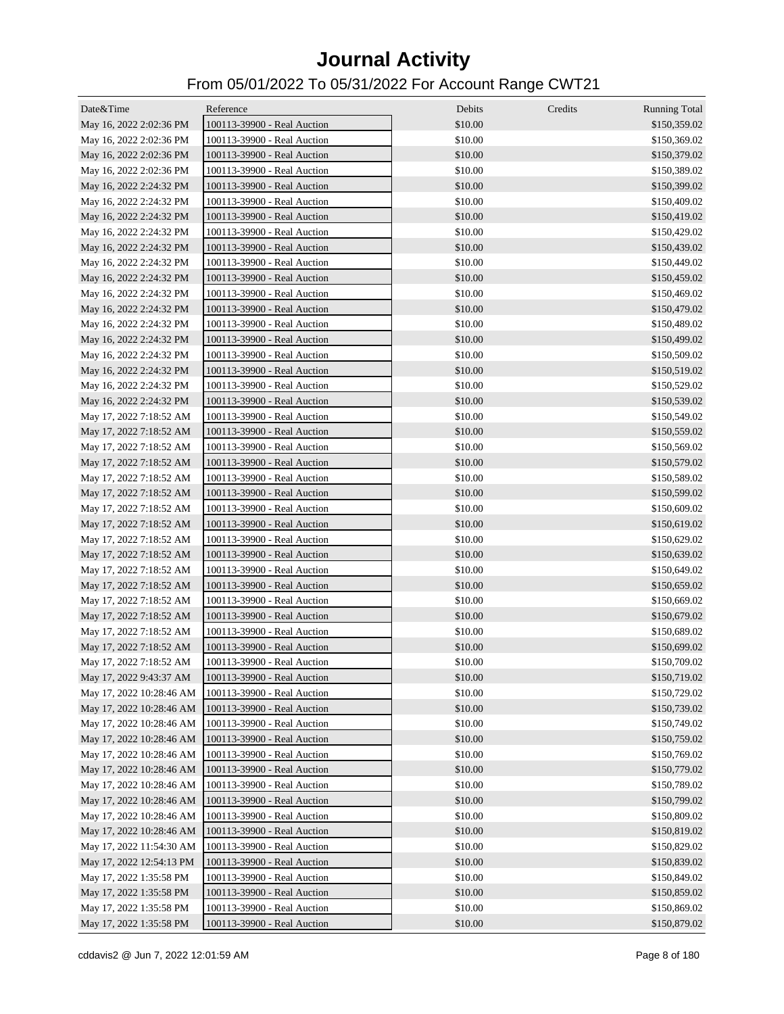| Date&Time                | Reference                   | Debits  | Credits | <b>Running Total</b> |
|--------------------------|-----------------------------|---------|---------|----------------------|
| May 16, 2022 2:02:36 PM  | 100113-39900 - Real Auction | \$10.00 |         | \$150,359.02         |
| May 16, 2022 2:02:36 PM  | 100113-39900 - Real Auction | \$10.00 |         | \$150,369.02         |
| May 16, 2022 2:02:36 PM  | 100113-39900 - Real Auction | \$10.00 |         | \$150,379.02         |
| May 16, 2022 2:02:36 PM  | 100113-39900 - Real Auction | \$10.00 |         | \$150,389.02         |
|                          |                             | \$10.00 |         |                      |
| May 16, 2022 2:24:32 PM  | 100113-39900 - Real Auction |         |         | \$150,399.02         |
| May 16, 2022 2:24:32 PM  | 100113-39900 - Real Auction | \$10.00 |         | \$150,409.02         |
| May 16, 2022 2:24:32 PM  | 100113-39900 - Real Auction | \$10.00 |         | \$150,419.02         |
| May 16, 2022 2:24:32 PM  | 100113-39900 - Real Auction | \$10.00 |         | \$150,429.02         |
| May 16, 2022 2:24:32 PM  | 100113-39900 - Real Auction | \$10.00 |         | \$150,439.02         |
| May 16, 2022 2:24:32 PM  | 100113-39900 - Real Auction | \$10.00 |         | \$150,449.02         |
| May 16, 2022 2:24:32 PM  | 100113-39900 - Real Auction | \$10.00 |         | \$150,459.02         |
| May 16, 2022 2:24:32 PM  | 100113-39900 - Real Auction | \$10.00 |         | \$150,469.02         |
| May 16, 2022 2:24:32 PM  | 100113-39900 - Real Auction | \$10.00 |         | \$150,479.02         |
| May 16, 2022 2:24:32 PM  | 100113-39900 - Real Auction | \$10.00 |         | \$150,489.02         |
| May 16, 2022 2:24:32 PM  | 100113-39900 - Real Auction | \$10.00 |         | \$150,499.02         |
| May 16, 2022 2:24:32 PM  | 100113-39900 - Real Auction | \$10.00 |         | \$150,509.02         |
| May 16, 2022 2:24:32 PM  | 100113-39900 - Real Auction | \$10.00 |         | \$150,519.02         |
| May 16, 2022 2:24:32 PM  | 100113-39900 - Real Auction | \$10.00 |         | \$150,529.02         |
| May 16, 2022 2:24:32 PM  | 100113-39900 - Real Auction | \$10.00 |         | \$150,539.02         |
| May 17, 2022 7:18:52 AM  | 100113-39900 - Real Auction | \$10.00 |         | \$150,549.02         |
| May 17, 2022 7:18:52 AM  | 100113-39900 - Real Auction | \$10.00 |         | \$150,559.02         |
| May 17, 2022 7:18:52 AM  | 100113-39900 - Real Auction | \$10.00 |         | \$150,569.02         |
| May 17, 2022 7:18:52 AM  | 100113-39900 - Real Auction | \$10.00 |         | \$150,579.02         |
| May 17, 2022 7:18:52 AM  | 100113-39900 - Real Auction | \$10.00 |         | \$150,589.02         |
| May 17, 2022 7:18:52 AM  | 100113-39900 - Real Auction | \$10.00 |         | \$150,599.02         |
| May 17, 2022 7:18:52 AM  | 100113-39900 - Real Auction | \$10.00 |         | \$150,609.02         |
| May 17, 2022 7:18:52 AM  | 100113-39900 - Real Auction | \$10.00 |         | \$150,619.02         |
| May 17, 2022 7:18:52 AM  | 100113-39900 - Real Auction | \$10.00 |         | \$150,629.02         |
| May 17, 2022 7:18:52 AM  | 100113-39900 - Real Auction | \$10.00 |         | \$150,639.02         |
| May 17, 2022 7:18:52 AM  | 100113-39900 - Real Auction | \$10.00 |         | \$150,649.02         |
| May 17, 2022 7:18:52 AM  | 100113-39900 - Real Auction | \$10.00 |         | \$150,659.02         |
| May 17, 2022 7:18:52 AM  | 100113-39900 - Real Auction | \$10.00 |         | \$150,669.02         |
| May 17, 2022 7:18:52 AM  | 100113-39900 - Real Auction | \$10.00 |         | \$150,679.02         |
| May 17, 2022 7:18:52 AM  | 100113-39900 - Real Auction | \$10.00 |         | \$150,689.02         |
| May 17, 2022 7:18:52 AM  | 100113-39900 - Real Auction | \$10.00 |         | \$150,699.02         |
| May 17, 2022 7:18:52 AM  | 100113-39900 - Real Auction | \$10.00 |         | \$150,709.02         |
| May 17, 2022 9:43:37 AM  | 100113-39900 - Real Auction | \$10.00 |         | \$150,719.02         |
| May 17, 2022 10:28:46 AM | 100113-39900 - Real Auction | \$10.00 |         | \$150,729.02         |
| May 17, 2022 10:28:46 AM | 100113-39900 - Real Auction | \$10.00 |         | \$150,739.02         |
| May 17, 2022 10:28:46 AM | 100113-39900 - Real Auction | \$10.00 |         | \$150,749.02         |
| May 17, 2022 10:28:46 AM | 100113-39900 - Real Auction | \$10.00 |         | \$150,759.02         |
| May 17, 2022 10:28:46 AM | 100113-39900 - Real Auction | \$10.00 |         | \$150,769.02         |
| May 17, 2022 10:28:46 AM | 100113-39900 - Real Auction | \$10.00 |         | \$150,779.02         |
| May 17, 2022 10:28:46 AM | 100113-39900 - Real Auction | \$10.00 |         | \$150,789.02         |
|                          |                             | \$10.00 |         |                      |
| May 17, 2022 10:28:46 AM | 100113-39900 - Real Auction |         |         | \$150,799.02         |
| May 17, 2022 10:28:46 AM | 100113-39900 - Real Auction | \$10.00 |         | \$150,809.02         |
| May 17, 2022 10:28:46 AM | 100113-39900 - Real Auction | \$10.00 |         | \$150,819.02         |
| May 17, 2022 11:54:30 AM | 100113-39900 - Real Auction | \$10.00 |         | \$150,829.02         |
| May 17, 2022 12:54:13 PM | 100113-39900 - Real Auction | \$10.00 |         | \$150,839.02         |
| May 17, 2022 1:35:58 PM  | 100113-39900 - Real Auction | \$10.00 |         | \$150,849.02         |
| May 17, 2022 1:35:58 PM  | 100113-39900 - Real Auction | \$10.00 |         | \$150,859.02         |
| May 17, 2022 1:35:58 PM  | 100113-39900 - Real Auction | \$10.00 |         | \$150,869.02         |
| May 17, 2022 1:35:58 PM  | 100113-39900 - Real Auction | \$10.00 |         | \$150,879.02         |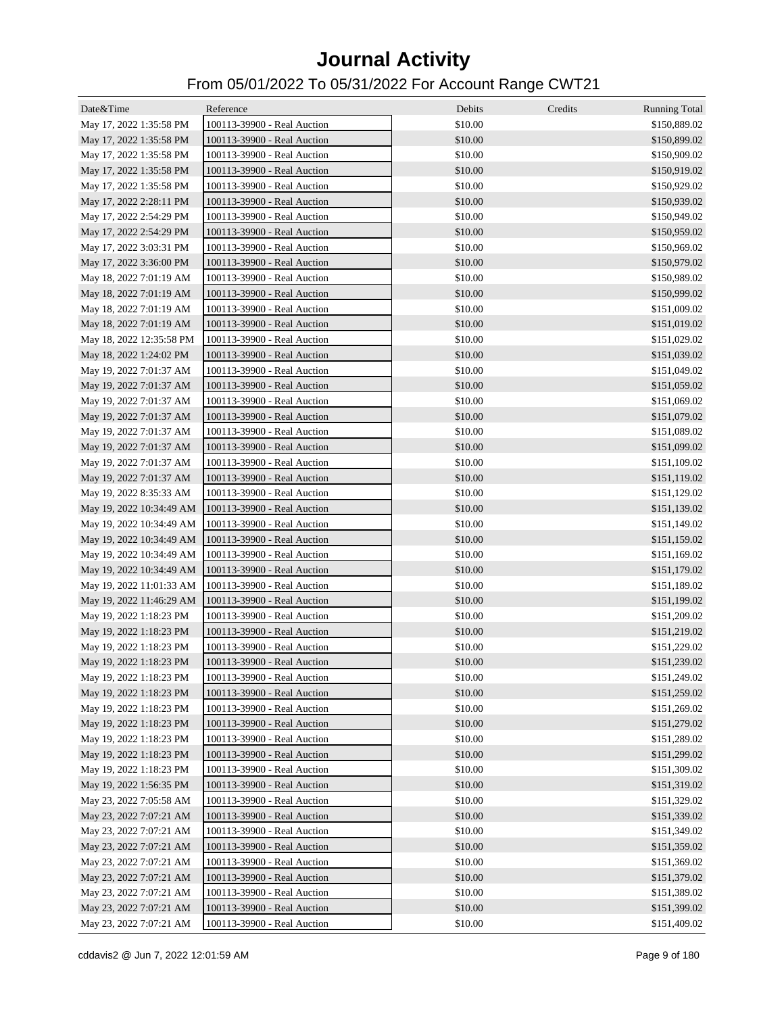| Date&Time                | Reference                   | Debits  | Credits | <b>Running Total</b> |
|--------------------------|-----------------------------|---------|---------|----------------------|
| May 17, 2022 1:35:58 PM  | 100113-39900 - Real Auction | \$10.00 |         | \$150,889.02         |
| May 17, 2022 1:35:58 PM  | 100113-39900 - Real Auction | \$10.00 |         | \$150,899.02         |
| May 17, 2022 1:35:58 PM  | 100113-39900 - Real Auction | \$10.00 |         | \$150,909.02         |
| May 17, 2022 1:35:58 PM  | 100113-39900 - Real Auction | \$10.00 |         | \$150,919.02         |
| May 17, 2022 1:35:58 PM  | 100113-39900 - Real Auction | \$10.00 |         | \$150,929.02         |
| May 17, 2022 2:28:11 PM  | 100113-39900 - Real Auction | \$10.00 |         | \$150,939.02         |
| May 17, 2022 2:54:29 PM  | 100113-39900 - Real Auction | \$10.00 |         | \$150,949.02         |
| May 17, 2022 2:54:29 PM  | 100113-39900 - Real Auction | \$10.00 |         | \$150,959.02         |
| May 17, 2022 3:03:31 PM  | 100113-39900 - Real Auction | \$10.00 |         | \$150,969.02         |
| May 17, 2022 3:36:00 PM  | 100113-39900 - Real Auction | \$10.00 |         | \$150,979.02         |
| May 18, 2022 7:01:19 AM  | 100113-39900 - Real Auction | \$10.00 |         | \$150,989.02         |
| May 18, 2022 7:01:19 AM  | 100113-39900 - Real Auction | \$10.00 |         | \$150,999.02         |
| May 18, 2022 7:01:19 AM  | 100113-39900 - Real Auction | \$10.00 |         | \$151,009.02         |
| May 18, 2022 7:01:19 AM  | 100113-39900 - Real Auction | \$10.00 |         | \$151,019.02         |
| May 18, 2022 12:35:58 PM | 100113-39900 - Real Auction | \$10.00 |         | \$151,029.02         |
| May 18, 2022 1:24:02 PM  | 100113-39900 - Real Auction | \$10.00 |         | \$151,039.02         |
| May 19, 2022 7:01:37 AM  | 100113-39900 - Real Auction | \$10.00 |         | \$151,049.02         |
| May 19, 2022 7:01:37 AM  | 100113-39900 - Real Auction | \$10.00 |         | \$151,059.02         |
| May 19, 2022 7:01:37 AM  | 100113-39900 - Real Auction | \$10.00 |         | \$151,069.02         |
| May 19, 2022 7:01:37 AM  | 100113-39900 - Real Auction | \$10.00 |         | \$151,079.02         |
| May 19, 2022 7:01:37 AM  | 100113-39900 - Real Auction | \$10.00 |         | \$151,089.02         |
| May 19, 2022 7:01:37 AM  | 100113-39900 - Real Auction | \$10.00 |         | \$151,099.02         |
| May 19, 2022 7:01:37 AM  | 100113-39900 - Real Auction | \$10.00 |         | \$151,109.02         |
| May 19, 2022 7:01:37 AM  | 100113-39900 - Real Auction | \$10.00 |         | \$151,119.02         |
| May 19, 2022 8:35:33 AM  | 100113-39900 - Real Auction | \$10.00 |         | \$151,129.02         |
| May 19, 2022 10:34:49 AM | 100113-39900 - Real Auction | \$10.00 |         | \$151,139.02         |
| May 19, 2022 10:34:49 AM | 100113-39900 - Real Auction | \$10.00 |         | \$151,149.02         |
| May 19, 2022 10:34:49 AM | 100113-39900 - Real Auction | \$10.00 |         | \$151,159.02         |
| May 19, 2022 10:34:49 AM | 100113-39900 - Real Auction | \$10.00 |         | \$151,169.02         |
| May 19, 2022 10:34:49 AM | 100113-39900 - Real Auction | \$10.00 |         | \$151,179.02         |
| May 19, 2022 11:01:33 AM | 100113-39900 - Real Auction | \$10.00 |         | \$151,189.02         |
| May 19, 2022 11:46:29 AM | 100113-39900 - Real Auction | \$10.00 |         | \$151,199.02         |
| May 19, 2022 1:18:23 PM  | 100113-39900 - Real Auction | \$10.00 |         | \$151,209.02         |
| May 19, 2022 1:18:23 PM  | 100113-39900 - Real Auction | \$10.00 |         | \$151,219.02         |
| May 19, 2022 1:18:23 PM  | 100113-39900 - Real Auction | \$10.00 |         | \$151,229.02         |
| May 19, 2022 1:18:23 PM  | 100113-39900 - Real Auction | \$10.00 |         | \$151,239.02         |
| May 19, 2022 1:18:23 PM  | 100113-39900 - Real Auction | \$10.00 |         | \$151,249.02         |
| May 19, 2022 1:18:23 PM  | 100113-39900 - Real Auction | \$10.00 |         | \$151,259.02         |
| May 19, 2022 1:18:23 PM  | 100113-39900 - Real Auction | \$10.00 |         | \$151,269.02         |
| May 19, 2022 1:18:23 PM  | 100113-39900 - Real Auction | \$10.00 |         | \$151,279.02         |
| May 19, 2022 1:18:23 PM  | 100113-39900 - Real Auction | \$10.00 |         | \$151,289.02         |
| May 19, 2022 1:18:23 PM  | 100113-39900 - Real Auction | \$10.00 |         | \$151,299.02         |
| May 19, 2022 1:18:23 PM  | 100113-39900 - Real Auction | \$10.00 |         | \$151,309.02         |
| May 19, 2022 1:56:35 PM  | 100113-39900 - Real Auction | \$10.00 |         | \$151,319.02         |
| May 23, 2022 7:05:58 AM  | 100113-39900 - Real Auction | \$10.00 |         | \$151,329.02         |
| May 23, 2022 7:07:21 AM  | 100113-39900 - Real Auction | \$10.00 |         | \$151,339.02         |
| May 23, 2022 7:07:21 AM  | 100113-39900 - Real Auction | \$10.00 |         | \$151,349.02         |
| May 23, 2022 7:07:21 AM  | 100113-39900 - Real Auction | \$10.00 |         | \$151,359.02         |
| May 23, 2022 7:07:21 AM  | 100113-39900 - Real Auction | \$10.00 |         | \$151,369.02         |
| May 23, 2022 7:07:21 AM  | 100113-39900 - Real Auction | \$10.00 |         | \$151,379.02         |
| May 23, 2022 7:07:21 AM  | 100113-39900 - Real Auction | \$10.00 |         | \$151,389.02         |
| May 23, 2022 7:07:21 AM  | 100113-39900 - Real Auction | \$10.00 |         | \$151,399.02         |
| May 23, 2022 7:07:21 AM  | 100113-39900 - Real Auction | \$10.00 |         | \$151,409.02         |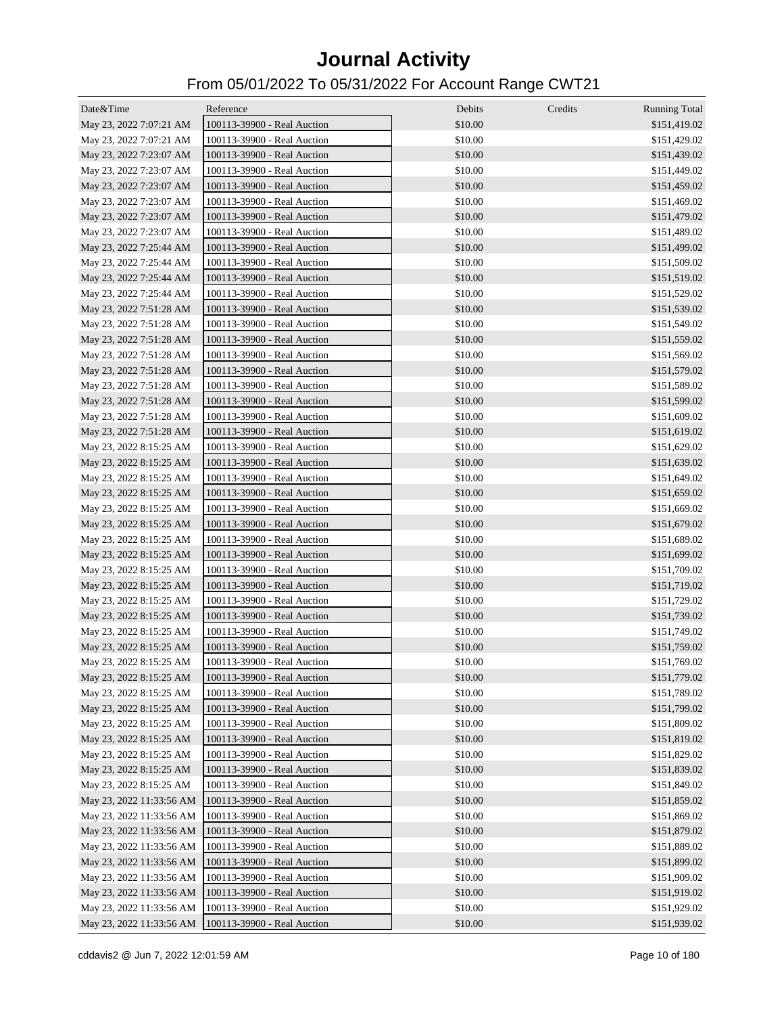| Date&Time                | Reference                   | Debits  | Credits | <b>Running Total</b> |
|--------------------------|-----------------------------|---------|---------|----------------------|
| May 23, 2022 7:07:21 AM  | 100113-39900 - Real Auction | \$10.00 |         | \$151,419.02         |
| May 23, 2022 7:07:21 AM  | 100113-39900 - Real Auction | \$10.00 |         | \$151,429.02         |
| May 23, 2022 7:23:07 AM  | 100113-39900 - Real Auction | \$10.00 |         | \$151,439.02         |
| May 23, 2022 7:23:07 AM  | 100113-39900 - Real Auction | \$10.00 |         | \$151,449.02         |
| May 23, 2022 7:23:07 AM  | 100113-39900 - Real Auction | \$10.00 |         | \$151,459.02         |
| May 23, 2022 7:23:07 AM  | 100113-39900 - Real Auction | \$10.00 |         | \$151,469.02         |
| May 23, 2022 7:23:07 AM  | 100113-39900 - Real Auction | \$10.00 |         | \$151,479.02         |
| May 23, 2022 7:23:07 AM  | 100113-39900 - Real Auction | \$10.00 |         | \$151,489.02         |
| May 23, 2022 7:25:44 AM  | 100113-39900 - Real Auction | \$10.00 |         | \$151,499.02         |
| May 23, 2022 7:25:44 AM  | 100113-39900 - Real Auction | \$10.00 |         | \$151,509.02         |
| May 23, 2022 7:25:44 AM  | 100113-39900 - Real Auction | \$10.00 |         | \$151,519.02         |
| May 23, 2022 7:25:44 AM  | 100113-39900 - Real Auction | \$10.00 |         | \$151,529.02         |
| May 23, 2022 7:51:28 AM  | 100113-39900 - Real Auction | \$10.00 |         | \$151,539.02         |
| May 23, 2022 7:51:28 AM  | 100113-39900 - Real Auction | \$10.00 |         | \$151,549.02         |
| May 23, 2022 7:51:28 AM  | 100113-39900 - Real Auction | \$10.00 |         | \$151,559.02         |
| May 23, 2022 7:51:28 AM  | 100113-39900 - Real Auction | \$10.00 |         | \$151,569.02         |
| May 23, 2022 7:51:28 AM  | 100113-39900 - Real Auction | \$10.00 |         | \$151,579.02         |
| May 23, 2022 7:51:28 AM  | 100113-39900 - Real Auction | \$10.00 |         | \$151,589.02         |
| May 23, 2022 7:51:28 AM  | 100113-39900 - Real Auction | \$10.00 |         | \$151,599.02         |
| May 23, 2022 7:51:28 AM  | 100113-39900 - Real Auction | \$10.00 |         | \$151,609.02         |
| May 23, 2022 7:51:28 AM  | 100113-39900 - Real Auction | \$10.00 |         | \$151,619.02         |
| May 23, 2022 8:15:25 AM  | 100113-39900 - Real Auction | \$10.00 |         | \$151,629.02         |
| May 23, 2022 8:15:25 AM  | 100113-39900 - Real Auction | \$10.00 |         | \$151,639.02         |
| May 23, 2022 8:15:25 AM  | 100113-39900 - Real Auction | \$10.00 |         | \$151,649.02         |
| May 23, 2022 8:15:25 AM  | 100113-39900 - Real Auction | \$10.00 |         | \$151,659.02         |
| May 23, 2022 8:15:25 AM  | 100113-39900 - Real Auction | \$10.00 |         | \$151,669.02         |
| May 23, 2022 8:15:25 AM  | 100113-39900 - Real Auction | \$10.00 |         | \$151,679.02         |
| May 23, 2022 8:15:25 AM  | 100113-39900 - Real Auction | \$10.00 |         | \$151,689.02         |
| May 23, 2022 8:15:25 AM  | 100113-39900 - Real Auction | \$10.00 |         | \$151,699.02         |
| May 23, 2022 8:15:25 AM  | 100113-39900 - Real Auction | \$10.00 |         | \$151,709.02         |
| May 23, 2022 8:15:25 AM  | 100113-39900 - Real Auction | \$10.00 |         | \$151,719.02         |
| May 23, 2022 8:15:25 AM  | 100113-39900 - Real Auction | \$10.00 |         | \$151,729.02         |
| May 23, 2022 8:15:25 AM  | 100113-39900 - Real Auction | \$10.00 |         | \$151,739.02         |
| May 23, 2022 8:15:25 AM  | 100113-39900 - Real Auction | \$10.00 |         | \$151,749.02         |
| May 23, 2022 8:15:25 AM  | 100113-39900 - Real Auction | \$10.00 |         | \$151,759.02         |
| May 23, 2022 8:15:25 AM  | 100113-39900 - Real Auction | \$10.00 |         | \$151,769.02         |
| May 23, 2022 8:15:25 AM  | 100113-39900 - Real Auction | \$10.00 |         | \$151,779.02         |
| May 23, 2022 8:15:25 AM  | 100113-39900 - Real Auction | \$10.00 |         | \$151,789.02         |
| May 23, 2022 8:15:25 AM  | 100113-39900 - Real Auction | \$10.00 |         | \$151,799.02         |
| May 23, 2022 8:15:25 AM  | 100113-39900 - Real Auction | \$10.00 |         | \$151,809.02         |
| May 23, 2022 8:15:25 AM  | 100113-39900 - Real Auction | \$10.00 |         | \$151,819.02         |
| May 23, 2022 8:15:25 AM  | 100113-39900 - Real Auction | \$10.00 |         | \$151,829.02         |
| May 23, 2022 8:15:25 AM  | 100113-39900 - Real Auction | \$10.00 |         | \$151,839.02         |
| May 23, 2022 8:15:25 AM  | 100113-39900 - Real Auction | \$10.00 |         | \$151,849.02         |
| May 23, 2022 11:33:56 AM | 100113-39900 - Real Auction | \$10.00 |         | \$151,859.02         |
| May 23, 2022 11:33:56 AM | 100113-39900 - Real Auction | \$10.00 |         | \$151,869.02         |
| May 23, 2022 11:33:56 AM | 100113-39900 - Real Auction | \$10.00 |         | \$151,879.02         |
| May 23, 2022 11:33:56 AM | 100113-39900 - Real Auction | \$10.00 |         | \$151,889.02         |
| May 23, 2022 11:33:56 AM | 100113-39900 - Real Auction | \$10.00 |         | \$151,899.02         |
| May 23, 2022 11:33:56 AM | 100113-39900 - Real Auction | \$10.00 |         | \$151,909.02         |
| May 23, 2022 11:33:56 AM | 100113-39900 - Real Auction | \$10.00 |         | \$151,919.02         |
| May 23, 2022 11:33:56 AM | 100113-39900 - Real Auction | \$10.00 |         | \$151,929.02         |
| May 23, 2022 11:33:56 AM | 100113-39900 - Real Auction | \$10.00 |         | \$151,939.02         |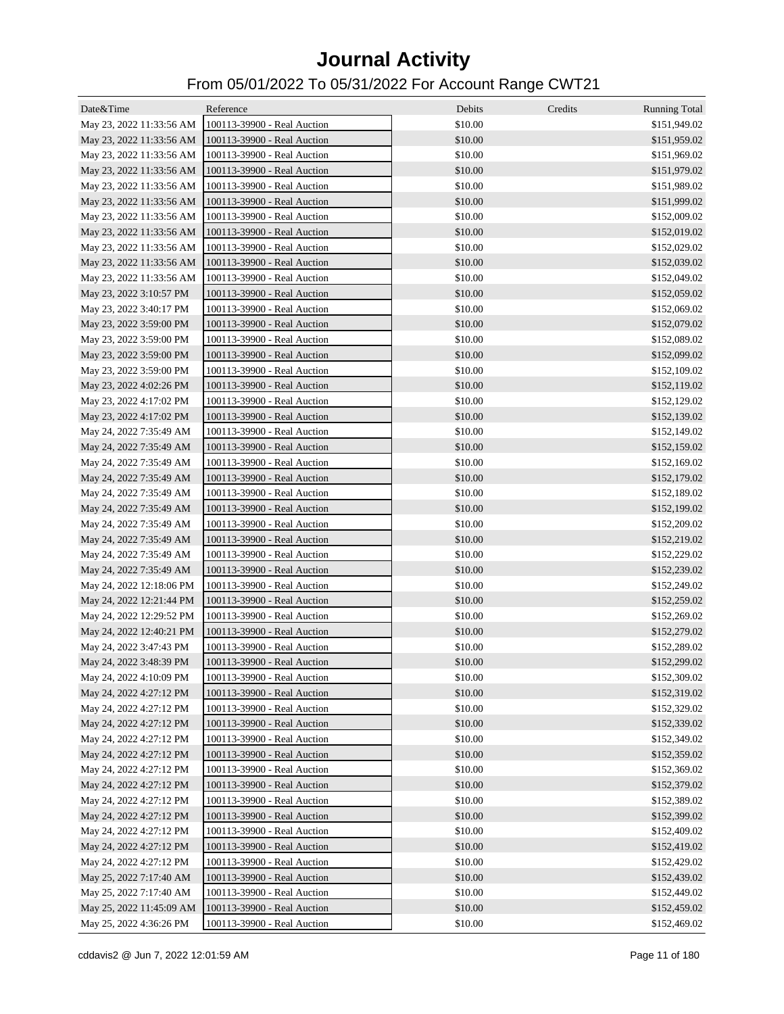| Date&Time                | Reference                   | Debits  | Credits | <b>Running Total</b> |
|--------------------------|-----------------------------|---------|---------|----------------------|
| May 23, 2022 11:33:56 AM | 100113-39900 - Real Auction | \$10.00 |         | \$151,949.02         |
| May 23, 2022 11:33:56 AM | 100113-39900 - Real Auction | \$10.00 |         | \$151,959.02         |
| May 23, 2022 11:33:56 AM | 100113-39900 - Real Auction | \$10.00 |         | \$151,969.02         |
| May 23, 2022 11:33:56 AM | 100113-39900 - Real Auction | \$10.00 |         | \$151,979.02         |
| May 23, 2022 11:33:56 AM | 100113-39900 - Real Auction | \$10.00 |         | \$151,989.02         |
| May 23, 2022 11:33:56 AM | 100113-39900 - Real Auction | \$10.00 |         | \$151,999.02         |
| May 23, 2022 11:33:56 AM | 100113-39900 - Real Auction | \$10.00 |         | \$152,009.02         |
| May 23, 2022 11:33:56 AM | 100113-39900 - Real Auction | \$10.00 |         | \$152,019.02         |
| May 23, 2022 11:33:56 AM | 100113-39900 - Real Auction | \$10.00 |         | \$152,029.02         |
| May 23, 2022 11:33:56 AM | 100113-39900 - Real Auction | \$10.00 |         | \$152,039.02         |
| May 23, 2022 11:33:56 AM | 100113-39900 - Real Auction | \$10.00 |         | \$152,049.02         |
| May 23, 2022 3:10:57 PM  | 100113-39900 - Real Auction | \$10.00 |         | \$152,059.02         |
| May 23, 2022 3:40:17 PM  | 100113-39900 - Real Auction | \$10.00 |         | \$152,069.02         |
| May 23, 2022 3:59:00 PM  | 100113-39900 - Real Auction | \$10.00 |         | \$152,079.02         |
| May 23, 2022 3:59:00 PM  | 100113-39900 - Real Auction | \$10.00 |         | \$152,089.02         |
| May 23, 2022 3:59:00 PM  | 100113-39900 - Real Auction | \$10.00 |         | \$152,099.02         |
| May 23, 2022 3:59:00 PM  | 100113-39900 - Real Auction | \$10.00 |         | \$152,109.02         |
| May 23, 2022 4:02:26 PM  | 100113-39900 - Real Auction | \$10.00 |         | \$152,119.02         |
| May 23, 2022 4:17:02 PM  | 100113-39900 - Real Auction | \$10.00 |         | \$152,129.02         |
| May 23, 2022 4:17:02 PM  | 100113-39900 - Real Auction | \$10.00 |         | \$152,139.02         |
| May 24, 2022 7:35:49 AM  | 100113-39900 - Real Auction | \$10.00 |         | \$152,149.02         |
| May 24, 2022 7:35:49 AM  | 100113-39900 - Real Auction | \$10.00 |         | \$152,159.02         |
| May 24, 2022 7:35:49 AM  | 100113-39900 - Real Auction | \$10.00 |         | \$152,169.02         |
| May 24, 2022 7:35:49 AM  | 100113-39900 - Real Auction | \$10.00 |         | \$152,179.02         |
| May 24, 2022 7:35:49 AM  | 100113-39900 - Real Auction | \$10.00 |         | \$152,189.02         |
| May 24, 2022 7:35:49 AM  | 100113-39900 - Real Auction | \$10.00 |         | \$152,199.02         |
| May 24, 2022 7:35:49 AM  | 100113-39900 - Real Auction | \$10.00 |         | \$152,209.02         |
| May 24, 2022 7:35:49 AM  | 100113-39900 - Real Auction | \$10.00 |         | \$152,219.02         |
| May 24, 2022 7:35:49 AM  | 100113-39900 - Real Auction | \$10.00 |         | \$152,229.02         |
| May 24, 2022 7:35:49 AM  | 100113-39900 - Real Auction | \$10.00 |         | \$152,239.02         |
| May 24, 2022 12:18:06 PM | 100113-39900 - Real Auction | \$10.00 |         | \$152,249.02         |
| May 24, 2022 12:21:44 PM | 100113-39900 - Real Auction | \$10.00 |         | \$152,259.02         |
| May 24, 2022 12:29:52 PM | 100113-39900 - Real Auction | \$10.00 |         | \$152,269.02         |
| May 24, 2022 12:40:21 PM | 100113-39900 - Real Auction | \$10.00 |         | \$152,279.02         |
| May 24, 2022 3:47:43 PM  | 100113-39900 - Real Auction | \$10.00 |         | \$152,289.02         |
| May 24, 2022 3:48:39 PM  | 100113-39900 - Real Auction | \$10.00 |         | \$152,299.02         |
| May 24, 2022 4:10:09 PM  | 100113-39900 - Real Auction | \$10.00 |         | \$152,309.02         |
| May 24, 2022 4:27:12 PM  | 100113-39900 - Real Auction | \$10.00 |         | \$152,319.02         |
| May 24, 2022 4:27:12 PM  | 100113-39900 - Real Auction | \$10.00 |         | \$152,329.02         |
| May 24, 2022 4:27:12 PM  | 100113-39900 - Real Auction | \$10.00 |         | \$152,339.02         |
| May 24, 2022 4:27:12 PM  | 100113-39900 - Real Auction | \$10.00 |         | \$152,349.02         |
| May 24, 2022 4:27:12 PM  | 100113-39900 - Real Auction | \$10.00 |         | \$152,359.02         |
| May 24, 2022 4:27:12 PM  | 100113-39900 - Real Auction | \$10.00 |         | \$152,369.02         |
| May 24, 2022 4:27:12 PM  | 100113-39900 - Real Auction | \$10.00 |         | \$152,379.02         |
| May 24, 2022 4:27:12 PM  | 100113-39900 - Real Auction | \$10.00 |         | \$152,389.02         |
| May 24, 2022 4:27:12 PM  | 100113-39900 - Real Auction | \$10.00 |         | \$152,399.02         |
| May 24, 2022 4:27:12 PM  | 100113-39900 - Real Auction | \$10.00 |         | \$152,409.02         |
| May 24, 2022 4:27:12 PM  | 100113-39900 - Real Auction | \$10.00 |         | \$152,419.02         |
| May 24, 2022 4:27:12 PM  | 100113-39900 - Real Auction | \$10.00 |         | \$152,429.02         |
| May 25, 2022 7:17:40 AM  | 100113-39900 - Real Auction | \$10.00 |         | \$152,439.02         |
| May 25, 2022 7:17:40 AM  | 100113-39900 - Real Auction | \$10.00 |         | \$152,449.02         |
| May 25, 2022 11:45:09 AM | 100113-39900 - Real Auction | \$10.00 |         | \$152,459.02         |
| May 25, 2022 4:36:26 PM  | 100113-39900 - Real Auction | \$10.00 |         | \$152,469.02         |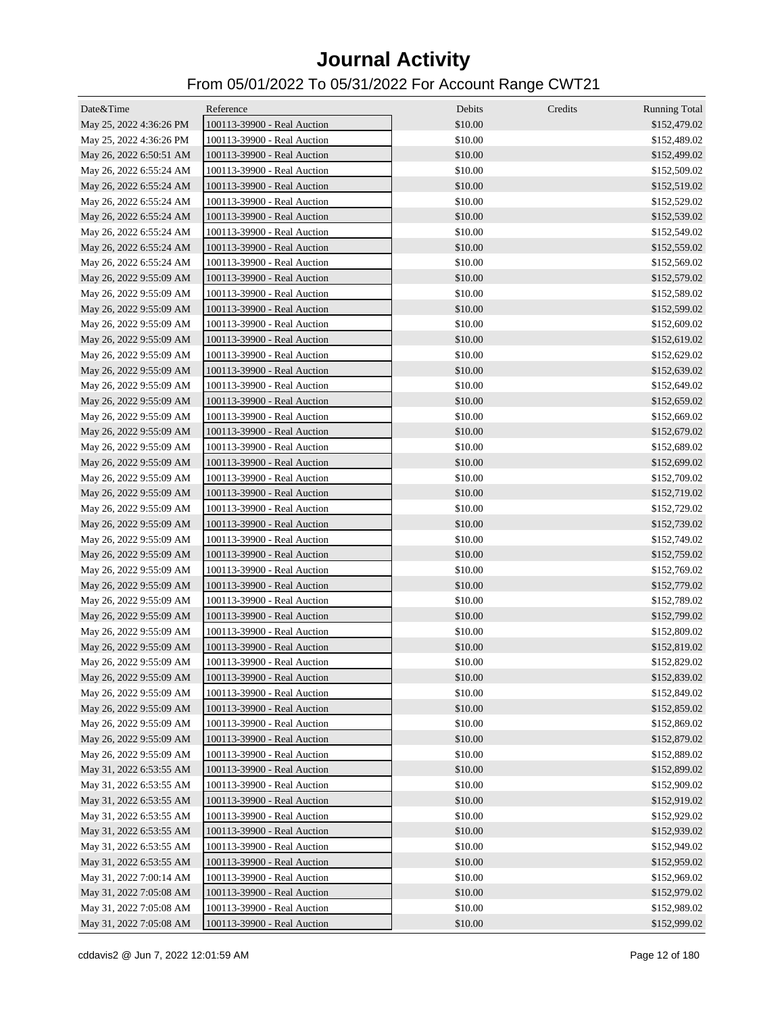| Date&Time               | Reference                   | Debits  | Credits | <b>Running Total</b> |
|-------------------------|-----------------------------|---------|---------|----------------------|
| May 25, 2022 4:36:26 PM | 100113-39900 - Real Auction | \$10.00 |         | \$152,479.02         |
| May 25, 2022 4:36:26 PM | 100113-39900 - Real Auction | \$10.00 |         | \$152,489.02         |
| May 26, 2022 6:50:51 AM | 100113-39900 - Real Auction | \$10.00 |         | \$152,499.02         |
| May 26, 2022 6:55:24 AM | 100113-39900 - Real Auction | \$10.00 |         | \$152,509.02         |
| May 26, 2022 6:55:24 AM | 100113-39900 - Real Auction | \$10.00 |         | \$152,519.02         |
| May 26, 2022 6:55:24 AM | 100113-39900 - Real Auction | \$10.00 |         | \$152,529.02         |
| May 26, 2022 6:55:24 AM | 100113-39900 - Real Auction | \$10.00 |         | \$152,539.02         |
| May 26, 2022 6:55:24 AM | 100113-39900 - Real Auction | \$10.00 |         | \$152,549.02         |
| May 26, 2022 6:55:24 AM | 100113-39900 - Real Auction | \$10.00 |         | \$152,559.02         |
| May 26, 2022 6:55:24 AM | 100113-39900 - Real Auction | \$10.00 |         | \$152,569.02         |
| May 26, 2022 9:55:09 AM | 100113-39900 - Real Auction | \$10.00 |         | \$152,579.02         |
| May 26, 2022 9:55:09 AM | 100113-39900 - Real Auction | \$10.00 |         | \$152,589.02         |
| May 26, 2022 9:55:09 AM | 100113-39900 - Real Auction | \$10.00 |         | \$152,599.02         |
| May 26, 2022 9:55:09 AM | 100113-39900 - Real Auction | \$10.00 |         | \$152,609.02         |
| May 26, 2022 9:55:09 AM | 100113-39900 - Real Auction | \$10.00 |         | \$152,619.02         |
| May 26, 2022 9:55:09 AM | 100113-39900 - Real Auction | \$10.00 |         | \$152,629.02         |
| May 26, 2022 9:55:09 AM | 100113-39900 - Real Auction | \$10.00 |         | \$152,639.02         |
| May 26, 2022 9:55:09 AM | 100113-39900 - Real Auction | \$10.00 |         | \$152,649.02         |
| May 26, 2022 9:55:09 AM | 100113-39900 - Real Auction | \$10.00 |         | \$152,659.02         |
| May 26, 2022 9:55:09 AM | 100113-39900 - Real Auction | \$10.00 |         | \$152,669.02         |
| May 26, 2022 9:55:09 AM | 100113-39900 - Real Auction | \$10.00 |         | \$152,679.02         |
| May 26, 2022 9:55:09 AM | 100113-39900 - Real Auction | \$10.00 |         | \$152,689.02         |
| May 26, 2022 9:55:09 AM | 100113-39900 - Real Auction | \$10.00 |         | \$152,699.02         |
| May 26, 2022 9:55:09 AM | 100113-39900 - Real Auction | \$10.00 |         | \$152,709.02         |
| May 26, 2022 9:55:09 AM | 100113-39900 - Real Auction | \$10.00 |         | \$152,719.02         |
| May 26, 2022 9:55:09 AM | 100113-39900 - Real Auction | \$10.00 |         | \$152,729.02         |
| May 26, 2022 9:55:09 AM | 100113-39900 - Real Auction | \$10.00 |         | \$152,739.02         |
| May 26, 2022 9:55:09 AM | 100113-39900 - Real Auction | \$10.00 |         | \$152,749.02         |
| May 26, 2022 9:55:09 AM | 100113-39900 - Real Auction | \$10.00 |         | \$152,759.02         |
| May 26, 2022 9:55:09 AM | 100113-39900 - Real Auction | \$10.00 |         | \$152,769.02         |
| May 26, 2022 9:55:09 AM | 100113-39900 - Real Auction | \$10.00 |         | \$152,779.02         |
| May 26, 2022 9:55:09 AM | 100113-39900 - Real Auction | \$10.00 |         | \$152,789.02         |
| May 26, 2022 9:55:09 AM | 100113-39900 - Real Auction | \$10.00 |         | \$152,799.02         |
| May 26, 2022 9:55:09 AM | 100113-39900 - Real Auction | \$10.00 |         | \$152,809.02         |
| May 26, 2022 9:55:09 AM | 100113-39900 - Real Auction | \$10.00 |         | \$152,819.02         |
| May 26, 2022 9:55:09 AM | 100113-39900 - Real Auction | \$10.00 |         | \$152,829.02         |
| May 26, 2022 9:55:09 AM | 100113-39900 - Real Auction | \$10.00 |         | \$152,839.02         |
| May 26, 2022 9:55:09 AM | 100113-39900 - Real Auction | \$10.00 |         | \$152,849.02         |
| May 26, 2022 9:55:09 AM | 100113-39900 - Real Auction | \$10.00 |         | \$152,859.02         |
| May 26, 2022 9:55:09 AM | 100113-39900 - Real Auction | \$10.00 |         | \$152,869.02         |
| May 26, 2022 9:55:09 AM | 100113-39900 - Real Auction | \$10.00 |         | \$152,879.02         |
| May 26, 2022 9:55:09 AM | 100113-39900 - Real Auction | \$10.00 |         | \$152,889.02         |
| May 31, 2022 6:53:55 AM | 100113-39900 - Real Auction | \$10.00 |         | \$152,899.02         |
| May 31, 2022 6:53:55 AM | 100113-39900 - Real Auction | \$10.00 |         | \$152,909.02         |
| May 31, 2022 6:53:55 AM | 100113-39900 - Real Auction | \$10.00 |         | \$152,919.02         |
| May 31, 2022 6:53:55 AM | 100113-39900 - Real Auction | \$10.00 |         | \$152,929.02         |
| May 31, 2022 6:53:55 AM | 100113-39900 - Real Auction | \$10.00 |         | \$152,939.02         |
| May 31, 2022 6:53:55 AM | 100113-39900 - Real Auction | \$10.00 |         | \$152,949.02         |
| May 31, 2022 6:53:55 AM | 100113-39900 - Real Auction | \$10.00 |         | \$152,959.02         |
| May 31, 2022 7:00:14 AM | 100113-39900 - Real Auction | \$10.00 |         | \$152,969.02         |
| May 31, 2022 7:05:08 AM | 100113-39900 - Real Auction | \$10.00 |         | \$152,979.02         |
| May 31, 2022 7:05:08 AM | 100113-39900 - Real Auction | \$10.00 |         | \$152,989.02         |
| May 31, 2022 7:05:08 AM | 100113-39900 - Real Auction | \$10.00 |         | \$152,999.02         |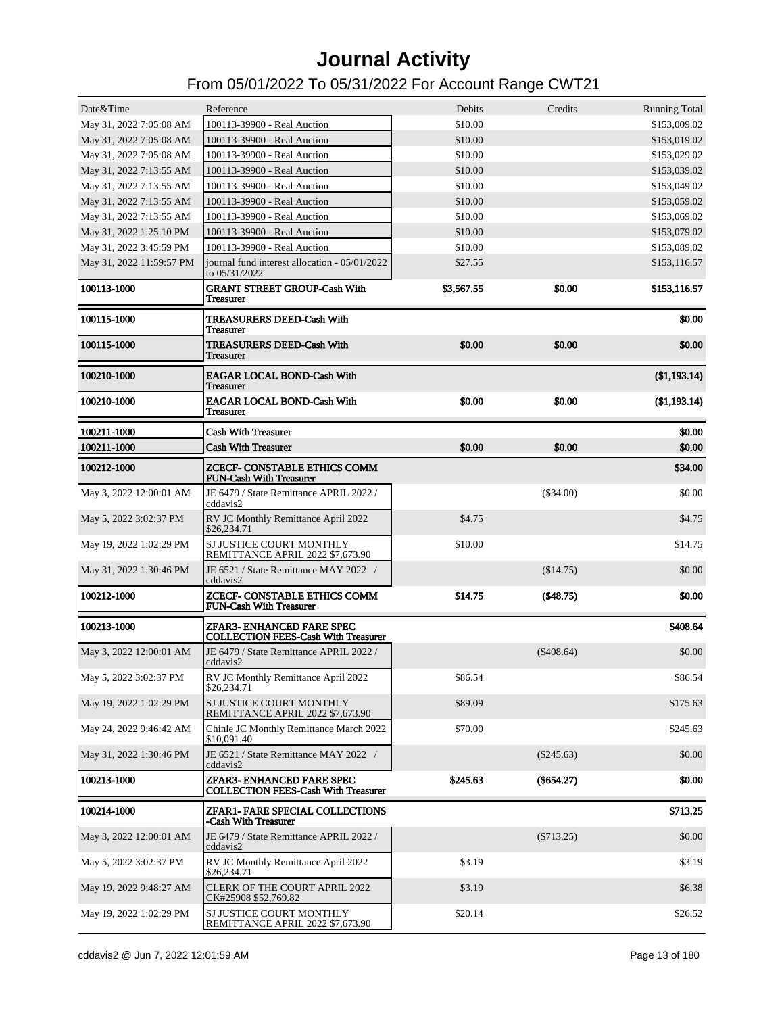| Date&Time                | Reference                                                               | Debits     | Credits      | <b>Running Total</b> |
|--------------------------|-------------------------------------------------------------------------|------------|--------------|----------------------|
| May 31, 2022 7:05:08 AM  | 100113-39900 - Real Auction                                             | \$10.00    |              | \$153,009.02         |
| May 31, 2022 7:05:08 AM  | 100113-39900 - Real Auction                                             | \$10.00    |              | \$153,019.02         |
| May 31, 2022 7:05:08 AM  | 100113-39900 - Real Auction                                             | \$10.00    |              | \$153,029.02         |
| May 31, 2022 7:13:55 AM  | 100113-39900 - Real Auction                                             | \$10.00    |              | \$153,039.02         |
| May 31, 2022 7:13:55 AM  | 100113-39900 - Real Auction                                             | \$10.00    |              | \$153,049.02         |
| May 31, 2022 7:13:55 AM  | 100113-39900 - Real Auction                                             | \$10.00    |              | \$153,059.02         |
| May 31, 2022 7:13:55 AM  | 100113-39900 - Real Auction                                             | \$10.00    |              | \$153,069.02         |
| May 31, 2022 1:25:10 PM  | 100113-39900 - Real Auction                                             | \$10.00    |              | \$153,079.02         |
| May 31, 2022 3:45:59 PM  | 100113-39900 - Real Auction                                             | \$10.00    |              | \$153,089.02         |
| May 31, 2022 11:59:57 PM | journal fund interest allocation - 05/01/2022<br>to 05/31/2022          | \$27.55    |              | \$153,116.57         |
| 100113-1000              | <b>GRANT STREET GROUP-Cash With</b><br><b>Treasurer</b>                 | \$3,567.55 | \$0.00       | \$153,116.57         |
| 100115-1000              | <b>TREASURERS DEED-Cash With</b><br><b>Treasurer</b>                    |            |              | \$0.00               |
| 100115-1000              | <b>TREASURERS DEED-Cash With</b><br>Treasurer                           | \$0.00     | \$0.00       | \$0.00               |
| 100210-1000              | <b>EAGAR LOCAL BOND-Cash With</b><br>Treasurer                          |            |              | (\$1,193.14)         |
| 100210-1000              | <b>EAGAR LOCAL BOND-Cash With</b><br>Treasurer                          | \$0.00     | \$0.00       | (\$1,193.14)         |
| 100211-1000              | <b>Cash With Treasurer</b>                                              |            |              | \$0.00               |
| 100211-1000              | <b>Cash With Treasurer</b>                                              | \$0.00     | \$0.00       | \$0.00               |
| 100212-1000              | ZCECF- CONSTABLE ETHICS COMM<br><b>FUN-Cash With Treasurer</b>          |            |              | \$34.00              |
| May 3, 2022 12:00:01 AM  | JE 6479 / State Remittance APRIL 2022 /<br>cddavis2                     |            | (\$34.00)    | \$0.00               |
| May 5, 2022 3:02:37 PM   | RV JC Monthly Remittance April 2022<br>\$26,234.71                      | \$4.75     |              | \$4.75               |
| May 19, 2022 1:02:29 PM  | SJ JUSTICE COURT MONTHLY<br>REMITTANCE APRIL 2022 \$7,673.90            | \$10.00    |              | \$14.75              |
| May 31, 2022 1:30:46 PM  | JE 6521 / State Remittance MAY 2022 /<br>cddavis2                       |            | (\$14.75)    | \$0.00               |
| 100212-1000              | ZCECF- CONSTABLE ETHICS COMM<br><b>FUN-Cash With Treasurer</b>          | \$14.75    | (\$48.75)    | \$0.00               |
| 100213-1000              | ZFAR3- ENHANCED FARE SPEC<br><b>COLLECTION FEES-Cash With Treasurer</b> |            |              | \$408.64             |
| May 3, 2022 12:00:01 AM  | JE 6479 / State Remittance APRIL 2022 /<br>cddavis2                     |            | $(\$408.64)$ | \$0.00               |
| May 5, 2022 3:02:37 PM   | RV JC Monthly Remittance April 2022<br>\$26,234.71                      | \$86.54    |              | \$86.54              |
| May 19, 2022 1:02:29 PM  | SJ JUSTICE COURT MONTHLY<br>REMITTANCE APRIL 2022 \$7,673.90            | \$89.09    |              | \$175.63             |
| May 24, 2022 9:46:42 AM  | Chinle JC Monthly Remittance March 2022<br>\$10,091.40                  | \$70.00    |              | \$245.63             |
| May 31, 2022 1:30:46 PM  | JE 6521 / State Remittance MAY 2022 /<br>cddavis2                       |            | $(\$245.63)$ | \$0.00               |
| 100213-1000              | ZFAR3- ENHANCED FARE SPEC<br><b>COLLECTION FEES-Cash With Treasurer</b> | \$245.63   | $(\$654.27)$ | \$0.00               |
| 100214-1000              | ZFAR1- FARE SPECIAL COLLECTIONS<br>-Cash With Treasurer                 |            |              | \$713.25             |
| May 3, 2022 12:00:01 AM  | JE 6479 / State Remittance APRIL 2022 /<br>cddavis2                     |            | $(\$713.25)$ | \$0.00               |
| May 5, 2022 3:02:37 PM   | RV JC Monthly Remittance April 2022<br>\$26,234.71                      | \$3.19     |              | \$3.19               |
| May 19, 2022 9:48:27 AM  | <b>CLERK OF THE COURT APRIL 2022</b><br>CK#25908 \$52,769.82            | \$3.19     |              | \$6.38               |
| May 19, 2022 1:02:29 PM  | SJ JUSTICE COURT MONTHLY<br>REMITTANCE APRIL 2022 \$7,673.90            | \$20.14    |              | \$26.52              |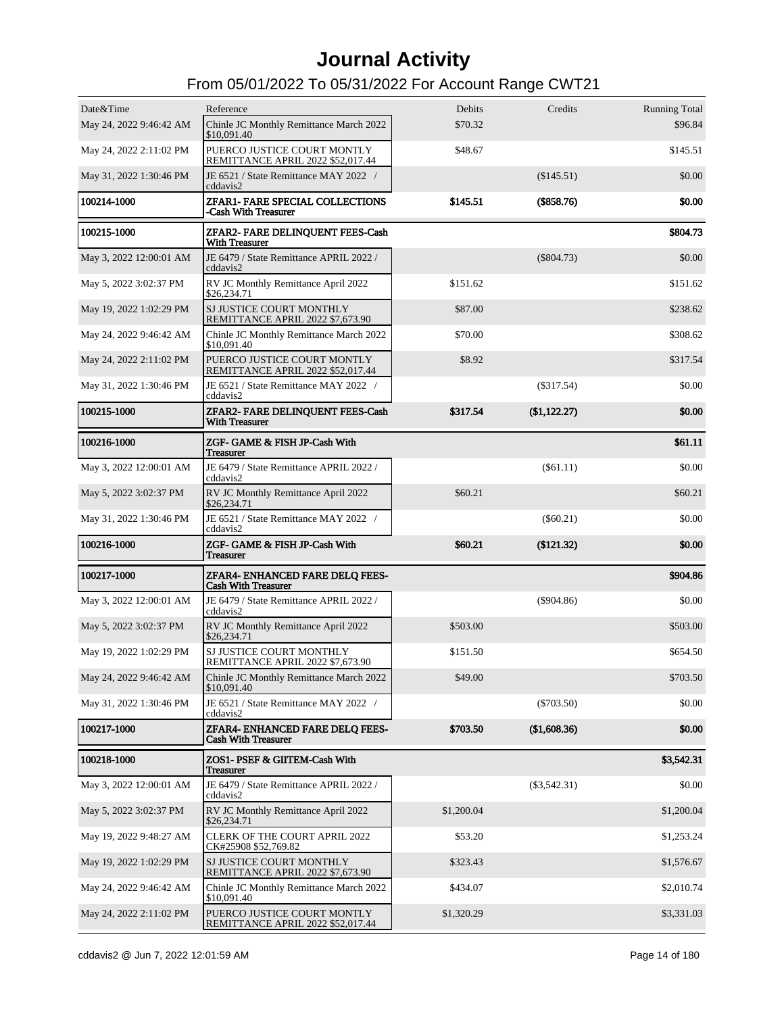| Date&Time               | Reference                                                        | Debits     | Credits        | <b>Running Total</b> |
|-------------------------|------------------------------------------------------------------|------------|----------------|----------------------|
| May 24, 2022 9:46:42 AM | Chinle JC Monthly Remittance March 2022<br>\$10,091.40           | \$70.32    |                | \$96.84              |
| May 24, 2022 2:11:02 PM | PUERCO JUSTICE COURT MONTLY<br>REMITTANCE APRIL 2022 \$52,017.44 | \$48.67    |                | \$145.51             |
| May 31, 2022 1:30:46 PM | JE 6521 / State Remittance MAY 2022 /<br>cddavis2                |            | (\$145.51)     | \$0.00               |
| 100214-1000             | ZFAR1- FARE SPECIAL COLLECTIONS<br>-Cash With Treasurer          | \$145.51   | (\$858.76)     | \$0.00               |
| 100215-1000             | ZFAR2- FARE DELINQUENT FEES-Cash<br><b>With Treasurer</b>        |            |                | \$804.73             |
| May 3, 2022 12:00:01 AM | JE 6479 / State Remittance APRIL 2022 /<br>cddavis2              |            | $(\$804.73)$   | \$0.00               |
| May 5, 2022 3:02:37 PM  | RV JC Monthly Remittance April 2022<br>\$26,234.71               | \$151.62   |                | \$151.62             |
| May 19, 2022 1:02:29 PM | SJ JUSTICE COURT MONTHLY<br>REMITTANCE APRIL 2022 \$7,673.90     | \$87.00    |                | \$238.62             |
| May 24, 2022 9:46:42 AM | Chinle JC Monthly Remittance March 2022<br>\$10,091.40           | \$70.00    |                | \$308.62             |
| May 24, 2022 2:11:02 PM | PUERCO JUSTICE COURT MONTLY<br>REMITTANCE APRIL 2022 \$52,017.44 | \$8.92     |                | \$317.54             |
| May 31, 2022 1:30:46 PM | JE 6521 / State Remittance MAY 2022 /<br>cddavis2                |            | $(\$317.54)$   | \$0.00               |
| 100215-1000             | ZFAR2- FARE DELINQUENT FEES-Cash<br><b>With Treasurer</b>        | \$317.54   | (\$1,122.27)   | \$0.00               |
| 100216-1000             | ZGF- GAME & FISH JP-Cash With<br><b>Treasurer</b>                |            |                | \$61.11              |
| May 3, 2022 12:00:01 AM | JE 6479 / State Remittance APRIL 2022 /<br>cddavis2              |            | $($ \$61.11)   | \$0.00               |
| May 5, 2022 3:02:37 PM  | RV JC Monthly Remittance April 2022<br>\$26,234.71               | \$60.21    |                | \$60.21              |
| May 31, 2022 1:30:46 PM | JE 6521 / State Remittance MAY 2022 /<br>cddavis2                |            | $(\$60.21)$    | \$0.00               |
| 100216-1000             | ZGF- GAME & FISH JP-Cash With<br>Treasurer                       | \$60.21    | (\$121.32)     | \$0.00               |
| 100217-1000             | ZFAR4- ENHANCED FARE DELQ FEES-<br><b>Cash With Treasurer</b>    |            |                | \$904.86             |
| May 3, 2022 12:00:01 AM | JE 6479 / State Remittance APRIL 2022 /<br>cddavis2              |            | $(\$904.86)$   | \$0.00               |
| May 5, 2022 3:02:37 PM  | RV JC Monthly Remittance April 2022<br>\$26,234.71               | \$503.00   |                | \$503.00             |
| May 19, 2022 1:02:29 PM | SJ JUSTICE COURT MONTHLY<br>REMITTANCE APRIL 2022 \$7,673.90     | \$151.50   |                | \$654.50             |
| May 24, 2022 9:46:42 AM | Chinle JC Monthly Remittance March 2022<br>\$10,091.40           | \$49.00    |                | \$703.50             |
| May 31, 2022 1:30:46 PM | JE 6521 / State Remittance MAY 2022 /<br>cddavis2                |            | $(\$703.50)$   | \$0.00               |
| 100217-1000             | ZFAR4- ENHANCED FARE DELQ FEES-<br><b>Cash With Treasurer</b>    | \$703.50   | (\$1,608.36)   | \$0.00               |
| 100218-1000             | ZOS1- PSEF & GIITEM-Cash With<br>Treasurer                       |            |                | \$3,542.31           |
| May 3, 2022 12:00:01 AM | JE 6479 / State Remittance APRIL 2022 /<br>cddavis2              |            | $(\$3,542.31)$ | \$0.00               |
| May 5, 2022 3:02:37 PM  | RV JC Monthly Remittance April 2022<br>\$26,234.71               | \$1,200.04 |                | \$1,200.04           |
| May 19, 2022 9:48:27 AM | <b>CLERK OF THE COURT APRIL 2022</b><br>CK#25908 \$52,769.82     | \$53.20    |                | \$1,253.24           |
| May 19, 2022 1:02:29 PM | SJ JUSTICE COURT MONTHLY<br>REMITTANCE APRIL 2022 \$7,673.90     | \$323.43   |                | \$1,576.67           |
| May 24, 2022 9:46:42 AM | Chinle JC Monthly Remittance March 2022<br>\$10,091.40           | \$434.07   |                | \$2,010.74           |
| May 24, 2022 2:11:02 PM | PUERCO JUSTICE COURT MONTLY<br>REMITTANCE APRIL 2022 \$52,017.44 | \$1,320.29 |                | \$3,331.03           |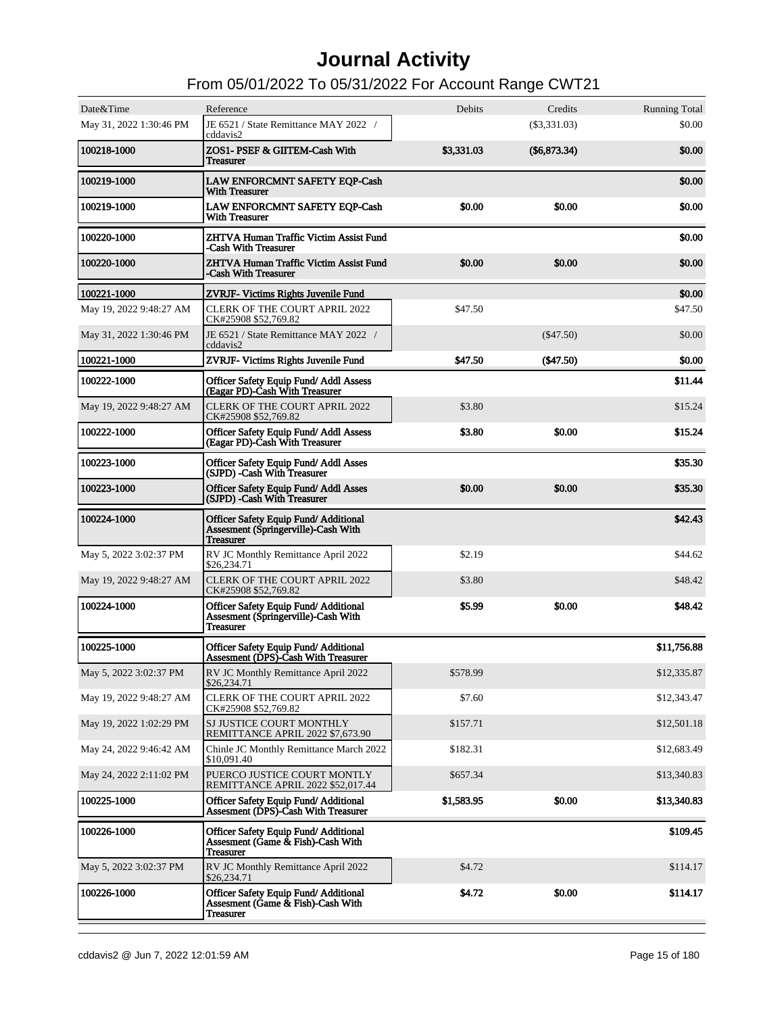| Date&Time<br>May 31, 2022 1:30:46 PM | Reference<br>JE 6521 / State Remittance MAY 2022 /                                                     | Debits     | Credits<br>$(\$3,331.03)$ | <b>Running Total</b><br>\$0.00 |
|--------------------------------------|--------------------------------------------------------------------------------------------------------|------------|---------------------------|--------------------------------|
| 100218-1000                          | cddavis2<br>ZOS1- PSEF & GIITEM-Cash With<br><b>Treasurer</b>                                          | \$3,331.03 | $(\$6,873.34)$            | \$0.00                         |
| 100219-1000                          | <b>LAW ENFORCMNT SAFETY EQP-Cash</b><br><b>With Treasurer</b>                                          |            |                           | \$0.00                         |
| 100219-1000                          | <b>LAW ENFORCMNT SAFETY EQP-Cash</b><br><b>With Treasurer</b>                                          | \$0.00     | \$0.00                    | \$0.00                         |
| 100220-1000                          | ZHTVA Human Traffic Victim Assist Fund<br>-Cash With Treasurer                                         |            |                           | \$0.00                         |
| 100220-1000                          | ZHTVA Human Traffic Victim Assist Fund<br>-Cash With Treasurer                                         | \$0.00     | \$0.00                    | \$0.00                         |
| 100221-1000                          | ZVRJF- Victims Rights Juvenile Fund                                                                    |            |                           | \$0.00                         |
| May 19, 2022 9:48:27 AM              | <b>CLERK OF THE COURT APRIL 2022</b><br>CK#25908 \$52,769.82                                           | \$47.50    |                           | \$47.50                        |
| May 31, 2022 1:30:46 PM              | JE 6521 / State Remittance MAY 2022 /<br>cddavis2                                                      |            | $(\$47.50)$               | \$0.00                         |
| 100221-1000                          | ZVRJF- Victims Rights Juvenile Fund                                                                    | \$47.50    | (\$47.50)                 | \$0.00                         |
| 100222-1000                          | Officer Safety Equip Fund/ Addl Assess<br>(Eagar PD)-Cash With Treasurer                               |            |                           | \$11.44                        |
| May 19, 2022 9:48:27 AM              | <b>CLERK OF THE COURT APRIL 2022</b><br>CK#25908 \$52,769.82                                           | \$3.80     |                           | \$15.24                        |
| 100222-1000                          | Officer Safety Equip Fund/Addl Assess<br>(Eagar PD)-Cash With Treasurer                                | \$3.80     | \$0.00                    | \$15.24                        |
| 100223-1000                          | <b>Officer Safety Equip Fund/ Addl Asses</b><br>(SJPD) - Cash With Treasurer                           |            |                           | \$35.30                        |
| 100223-1000                          | Officer Safety Equip Fund/Addl Asses<br>(SJPD) -Cash With Treasurer                                    | \$0.00     | \$0.00                    | \$35.30                        |
| 100224-1000                          | <b>Officer Safety Equip Fund/Additional</b><br>Assesment (Springerville)-Cash With<br><b>Treasurer</b> |            |                           | \$42.43                        |
| May 5, 2022 3:02:37 PM               | RV JC Monthly Remittance April 2022<br>\$26,234.71                                                     | \$2.19     |                           | \$44.62                        |
| May 19, 2022 9:48:27 AM              | <b>CLERK OF THE COURT APRIL 2022</b><br>CK#25908 \$52,769.82                                           | \$3.80     |                           | \$48.42                        |
| 100224-1000                          | Officer Safety Equip Fund/ Additional<br>Assesment (Springerville)-Cash With<br><b>Treasurer</b>       | \$5.99     | \$0.00                    | \$48.42                        |
| 100225-1000                          | <b>Officer Safety Equip Fund/Additional</b><br><b>Assesment (DPS)-Cash With Treasurer</b>              |            |                           | \$11,756.88                    |
| May 5, 2022 3:02:37 PM               | RV JC Monthly Remittance April 2022<br>\$26,234.71                                                     | \$578.99   |                           | \$12,335.87                    |
| May 19, 2022 9:48:27 AM              | CLERK OF THE COURT APRIL 2022<br>CK#25908 \$52,769.82                                                  | \$7.60     |                           | \$12,343.47                    |
| May 19, 2022 1:02:29 PM              | SJ JUSTICE COURT MONTHLY<br>REMITTANCE APRIL 2022 \$7,673.90                                           | \$157.71   |                           | \$12,501.18                    |
| May 24, 2022 9:46:42 AM              | Chinle JC Monthly Remittance March 2022<br>\$10,091.40                                                 | \$182.31   |                           | \$12,683.49                    |
| May 24, 2022 2:11:02 PM              | PUERCO JUSTICE COURT MONTLY<br>REMITTANCE APRIL 2022 \$52,017.44                                       | \$657.34   |                           | \$13,340.83                    |
| 100225-1000                          | Officer Safety Equip Fund/Additional<br>Assesment (DPS)-Cash With Treasurer                            | \$1,583.95 | \$0.00                    | \$13,340.83                    |
| 100226-1000                          | <b>Officer Safety Equip Fund/Additional</b><br>Assesment (Game & Fish)-Cash With<br><b>Treasurer</b>   |            |                           | \$109.45                       |
| May 5, 2022 3:02:37 PM               | RV JC Monthly Remittance April 2022<br>\$26,234.71                                                     | \$4.72     |                           | \$114.17                       |
| 100226-1000                          | Officer Safety Equip Fund/Additional<br>Assesment (Game & Fish)-Cash With<br><b>Treasurer</b>          | \$4.72     | \$0.00                    | \$114.17                       |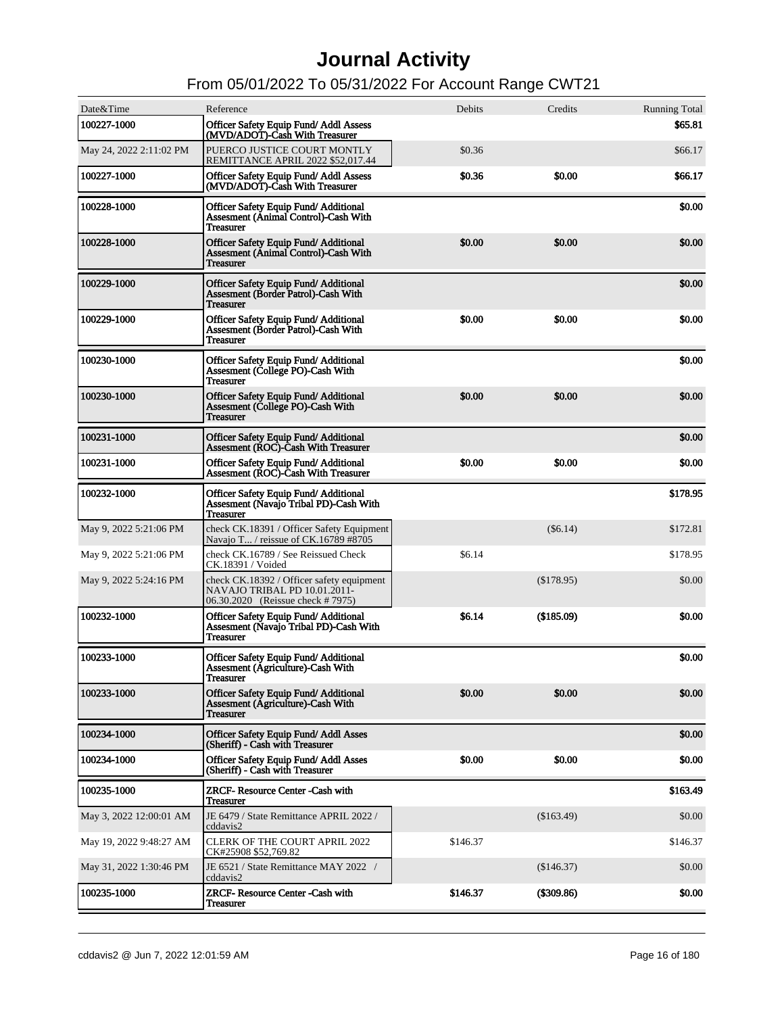| Date&Time               | Reference                                                                                                      | Debits   | Credits      | <b>Running Total</b> |
|-------------------------|----------------------------------------------------------------------------------------------------------------|----------|--------------|----------------------|
| 100227-1000             | <b>Officer Safety Equip Fund/Addl Assess</b><br>(MVD/ADOT)-Cash With Treasurer                                 |          |              | \$65.81              |
| May 24, 2022 2:11:02 PM | PUERCO JUSTICE COURT MONTLY<br>REMITTANCE APRIL 2022 \$52,017.44                                               | \$0.36   |              | \$66.17              |
| 100227-1000             | Officer Safety Equip Fund/ Addl Assess<br>(MVD/ADOT)-Cash With Treasurer                                       | \$0.36   | \$0.00       | \$66.17              |
| 100228-1000             | <b>Officer Safety Equip Fund/Additional</b><br>Assesment (Animal Control)-Cash With<br><b>Treasurer</b>        |          |              | \$0.00               |
| 100228-1000             | <b>Officer Safety Equip Fund/Additional</b><br><b>Assesment (Animal Control)-Cash With</b><br><b>Treasurer</b> | \$0.00   | \$0.00       | \$0.00               |
| 100229-1000             | <b>Officer Safety Equip Fund/Additional</b><br>Assesment (Border Patrol)-Cash With<br><b>Treasurer</b>         |          |              | \$0.00               |
| 100229-1000             | <b>Officer Safety Equip Fund/Additional</b><br><b>Assesment (Border Patrol)-Cash With</b><br><b>Treasurer</b>  | \$0.00   | \$0.00       | \$0.00               |
| 100230-1000             | <b>Officer Safety Equip Fund/Additional</b><br>Assesment (College PO)-Cash With<br><b>Treasurer</b>            |          |              | \$0.00               |
| 100230-1000             | <b>Officer Safety Equip Fund/Additional</b><br>Assesment (College PO)-Cash With<br><b>Treasurer</b>            | \$0.00   | \$0.00       | \$0.00               |
| 100231-1000             | <b>Officer Safety Equip Fund/Additional</b><br>Assesment (ROC)-Cash With Treasurer                             |          |              | \$0.00               |
| 100231-1000             | <b>Officer Safety Equip Fund/Additional</b><br><b>Assesment (ROC)-Cash With Treasurer</b>                      | \$0.00   | \$0.00       | \$0.00               |
| 100232-1000             | Officer Safety Equip Fund/Additional<br>Assesment (Navajo Tribal PD)-Cash With<br><b>Treasurer</b>             |          |              | \$178.95             |
| May 9, 2022 5:21:06 PM  | check CK.18391 / Officer Safety Equipment<br>Navajo T / reissue of CK.16789 #8705                              |          | $(\$6.14)$   | \$172.81             |
| May 9, 2022 5:21:06 PM  | check CK.16789 / See Reissued Check<br>CK.18391 / Voided                                                       | \$6.14   |              | \$178.95             |
| May 9, 2022 5:24:16 PM  | check CK.18392 / Officer safety equipment<br>NAVAJO TRIBAL PD 10.01.2011-<br>06.30.2020 (Reissue check # 7975) |          | (\$178.95)   | \$0.00               |
| 100232-1000             | Officer Safety Equip Fund/Additional<br>Assesment (Navajo Tribal PD)-Cash With<br><b>Treasurer</b>             | \$6.14   | (\$185.09)   | \$0.00               |
| 100233-1000             | <b>Officer Safety Equip Fund/Additional</b><br>Assesment (Agriculture)-Cash With<br><b>Treasurer</b>           |          |              | \$0.00               |
| 100233-1000             | <b>Officer Safety Equip Fund/Additional</b><br>Assesment (Agriculture)-Cash With<br><b>Treasurer</b>           | \$0.00   | \$0.00       | \$0.00               |
| 100234-1000             | Officer Safety Equip Fund/Addl Asses<br>(Sheriff) - Cash with Treasurer                                        |          |              | \$0.00               |
| 100234-1000             | Officer Safety Equip Fund/Addl Asses<br>(Sheriff) - Cash with Treasurer                                        | \$0.00   | \$0.00       | \$0.00               |
| 100235-1000             | <b>ZRCF- Resource Center - Cash with</b><br><b>Treasurer</b>                                                   |          |              | \$163.49             |
| May 3, 2022 12:00:01 AM | JE 6479 / State Remittance APRIL 2022 /<br>cddavis2                                                            |          | (\$163.49)   | \$0.00               |
| May 19, 2022 9:48:27 AM | <b>CLERK OF THE COURT APRIL 2022</b><br>CK#25908 \$52,769.82                                                   | \$146.37 |              | \$146.37             |
| May 31, 2022 1:30:46 PM | JE 6521 / State Remittance MAY 2022 /<br>cddavis2                                                              |          | (\$146.37)   | \$0.00               |
| 100235-1000             | <b>ZRCF- Resource Center -Cash with</b><br><b>Treasurer</b>                                                    | \$146.37 | $(\$309.86)$ | \$0.00               |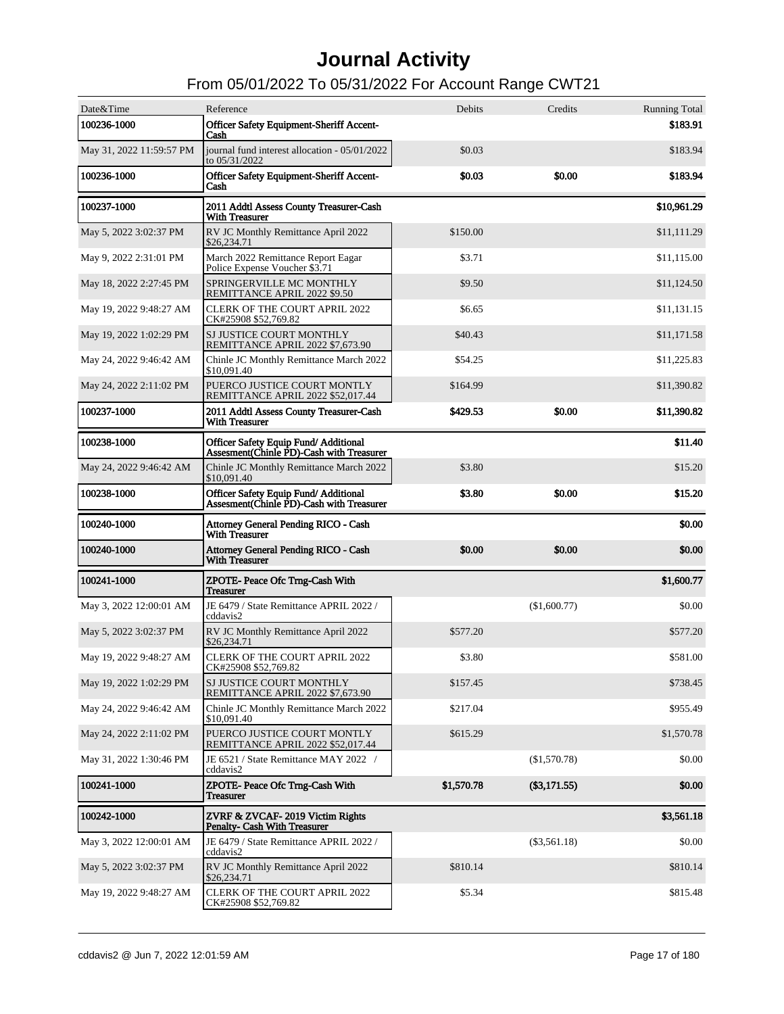| Date&Time                | Reference                                                                                | Debits     | Credits        | <b>Running Total</b> |
|--------------------------|------------------------------------------------------------------------------------------|------------|----------------|----------------------|
| 100236-1000              | Officer Safety Equipment-Sheriff Accent-<br>Cash                                         |            |                | \$183.91             |
| May 31, 2022 11:59:57 PM | journal fund interest allocation - 05/01/2022<br>to 05/31/2022                           | \$0.03     |                | \$183.94             |
| 100236-1000              | Officer Safety Equipment-Sheriff Accent-<br>Cash                                         | \$0.03     | \$0.00         | \$183.94             |
| 100237-1000              | 2011 Addtl Assess County Treasurer-Cash<br><b>With Treasurer</b>                         |            |                | \$10,961.29          |
| May 5, 2022 3:02:37 PM   | RV JC Monthly Remittance April 2022<br>\$26,234.71                                       | \$150.00   |                | \$11,111.29          |
| May 9, 2022 2:31:01 PM   | March 2022 Remittance Report Eagar<br>Police Expense Voucher \$3.71                      | \$3.71     |                | \$11,115.00          |
| May 18, 2022 2:27:45 PM  | SPRINGERVILLE MC MONTHLY<br>REMITTANCE APRIL 2022 \$9.50                                 | \$9.50     |                | \$11,124.50          |
| May 19, 2022 9:48:27 AM  | <b>CLERK OF THE COURT APRIL 2022</b><br>CK#25908 \$52,769.82                             | \$6.65     |                | \$11,131.15          |
| May 19, 2022 1:02:29 PM  | SJ JUSTICE COURT MONTHLY<br>REMITTANCE APRIL 2022 \$7,673.90                             | \$40.43    |                | \$11,171.58          |
| May 24, 2022 9:46:42 AM  | Chinle JC Monthly Remittance March 2022<br>\$10,091.40                                   | \$54.25    |                | \$11,225.83          |
| May 24, 2022 2:11:02 PM  | PUERCO JUSTICE COURT MONTLY<br>REMITTANCE APRIL 2022 \$52,017.44                         | \$164.99   |                | \$11,390.82          |
| 100237-1000              | 2011 Addtl Assess County Treasurer-Cash<br><b>With Treasurer</b>                         | \$429.53   | \$0.00         | \$11,390.82          |
| 100238-1000              | <b>Officer Safety Equip Fund/Additional</b><br>Assesment (Chinle PD)-Cash with Treasurer |            |                | \$11.40              |
| May 24, 2022 9:46:42 AM  | Chinle JC Monthly Remittance March 2022<br>\$10,091.40                                   | \$3.80     |                | \$15.20              |
| 100238-1000              | Officer Safety Equip Fund/Additional<br>Assesment(Chinle PD)-Cash with Treasurer         | \$3.80     | \$0.00         | \$15.20              |
|                          |                                                                                          |            |                |                      |
| 100240-1000              | <b>Attorney General Pending RICO - Cash</b><br><b>With Treasurer</b>                     |            |                | \$0.00               |
| 100240-1000              | <b>Attorney General Pending RICO - Cash</b><br><b>With Treasurer</b>                     | \$0.00     | \$0.00         | \$0.00               |
| 100241-1000              | ZPOTE- Peace Ofc Trng-Cash With<br><b>Treasurer</b>                                      |            |                | \$1,600.77           |
| May 3, 2022 12:00:01 AM  | JE 6479 / State Remittance APRIL 2022 /<br>cddavis2                                      |            | (\$1,600.77)   | \$0.00               |
| May 5, 2022 3:02:37 PM   | RV JC Monthly Remittance April 2022<br>\$26,234.71                                       | \$577.20   |                | \$577.20             |
| May 19, 2022 9:48:27 AM  | <b>CLERK OF THE COURT APRIL 2022</b><br>CK#25908 \$52,769.82                             | \$3.80     |                | \$581.00             |
| May 19, 2022 1:02:29 PM  | SJ JUSTICE COURT MONTHLY<br>REMITTANCE APRIL 2022 \$7,673.90                             | \$157.45   |                | \$738.45             |
| May 24, 2022 9:46:42 AM  | Chinle JC Monthly Remittance March 2022<br>\$10,091.40                                   | \$217.04   |                | \$955.49             |
| May 24, 2022 2:11:02 PM  | PUERCO JUSTICE COURT MONTLY<br>REMITTANCE APRIL 2022 \$52,017.44                         | \$615.29   |                | \$1,570.78           |
| May 31, 2022 1:30:46 PM  | JE 6521 / State Remittance MAY 2022 /<br>cddavis2                                        |            | (\$1,570.78)   | \$0.00               |
| 100241-1000              | ZPOTE- Peace Ofc Trng-Cash With<br><b>Treasurer</b>                                      | \$1,570.78 | $(\$3,171.55)$ | \$0.00               |
| 100242-1000              | ZVRF & ZVCAF-2019 Victim Rights<br><b>Penalty- Cash With Treasurer</b>                   |            |                | \$3,561.18           |
| May 3, 2022 12:00:01 AM  | JE 6479 / State Remittance APRIL 2022 /<br>cddavis2                                      |            | $(\$3,561.18)$ | \$0.00               |
| May 5, 2022 3:02:37 PM   | RV JC Monthly Remittance April 2022<br>\$26,234.71                                       | \$810.14   |                | \$810.14             |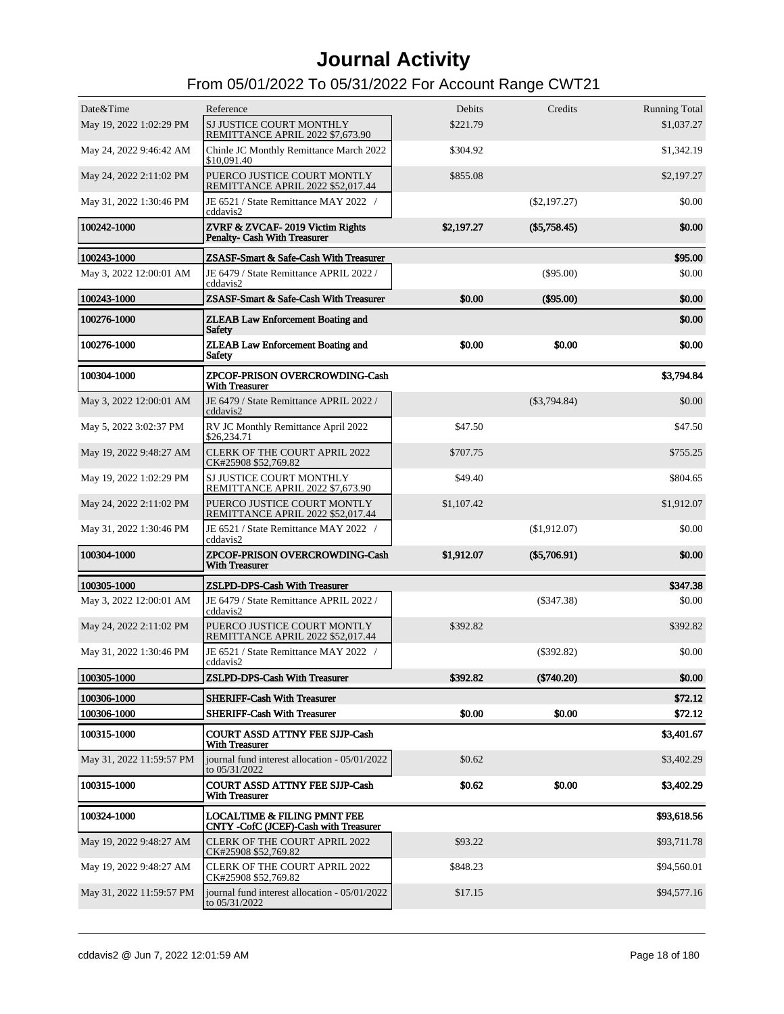| Date&Time<br>May 19, 2022 1:02:29 PM | Reference<br>SJ JUSTICE COURT MONTHLY                                           | Debits<br>\$221.79 | Credits        | <b>Running Total</b><br>\$1,037.27 |
|--------------------------------------|---------------------------------------------------------------------------------|--------------------|----------------|------------------------------------|
| May 24, 2022 9:46:42 AM              | REMITTANCE APRIL 2022 \$7,673.90<br>Chinle JC Monthly Remittance March 2022     | \$304.92           |                | \$1,342.19                         |
|                                      | \$10,091.40                                                                     |                    |                |                                    |
| May 24, 2022 2:11:02 PM              | PUERCO JUSTICE COURT MONTLY<br>REMITTANCE APRIL 2022 \$52,017.44                | \$855.08           |                | \$2,197.27                         |
| May 31, 2022 1:30:46 PM              | JE 6521 / State Remittance MAY 2022 /<br>cddavis2                               |                    | $(\$2,197.27)$ | \$0.00                             |
| 100242-1000                          | ZVRF & ZVCAF-2019 Victim Rights<br><b>Penalty- Cash With Treasurer</b>          | \$2,197.27         | $(\$5,758.45)$ | \$0.00                             |
| 100243-1000                          | ZSASF-Smart & Safe-Cash With Treasurer                                          |                    |                | \$95.00                            |
| May 3, 2022 12:00:01 AM              | JE 6479 / State Remittance APRIL 2022 /<br>cddavis2                             |                    | $(\$95.00)$    | \$0.00                             |
| 100243-1000                          | ZSASF-Smart & Safe-Cash With Treasurer                                          | \$0.00             | $($ \$95.00)   | \$0.00                             |
| 100276-1000                          | <b>ZLEAB Law Enforcement Boating and</b><br><b>Safety</b>                       |                    |                | \$0.00                             |
| 100276-1000                          | <b>ZLEAB Law Enforcement Boating and</b><br><b>Safety</b>                       | \$0.00             | \$0.00         | \$0.00                             |
| 100304-1000                          | ZPCOF-PRISON OVERCROWDING-Cash<br><b>With Treasurer</b>                         |                    |                | \$3,794.84                         |
| May 3, 2022 12:00:01 AM              | JE 6479 / State Remittance APRIL 2022 /<br>cddavis2                             |                    | $(\$3,794.84)$ | \$0.00                             |
| May 5, 2022 3:02:37 PM               | RV JC Monthly Remittance April 2022<br>\$26,234.71                              | \$47.50            |                | \$47.50                            |
| May 19, 2022 9:48:27 AM              | <b>CLERK OF THE COURT APRIL 2022</b><br>CK#25908 \$52,769.82                    | \$707.75           |                | \$755.25                           |
| May 19, 2022 1:02:29 PM              | SJ JUSTICE COURT MONTHLY<br>REMITTANCE APRIL 2022 \$7,673.90                    | \$49.40            |                | \$804.65                           |
| May 24, 2022 2:11:02 PM              | PUERCO JUSTICE COURT MONTLY<br>REMITTANCE APRIL 2022 \$52,017.44                | \$1,107.42         |                | \$1,912.07                         |
| May 31, 2022 1:30:46 PM              | JE 6521 / State Remittance MAY 2022 /<br>cddavis2                               |                    | (\$1,912.07)   | \$0.00                             |
| 100304-1000                          | ZPCOF-PRISON OVERCROWDING-Cash<br><b>With Treasurer</b>                         | \$1,912.07         | $(\$5,706.91)$ | \$0.00                             |
| 100305-1000                          | <b>ZSLPD-DPS-Cash With Treasurer</b>                                            |                    |                | \$347.38                           |
| May 3, 2022 12:00:01 AM              | JE 6479 / State Remittance APRIL 2022 /<br>cddavis2                             |                    | $($ \$347.38)  | \$0.00                             |
| May 24, 2022 2:11:02 PM              | PUERCO JUSTICE COURT MONTLY<br>REMITTANCE APRIL 2022 \$52,017.44                | \$392.82           |                | \$392.82                           |
| May 31, 2022 1:30:46 PM              | JE 6521 / State Remittance MAY 2022 /<br>cddavis2                               |                    | $(\$392.82)$   | \$0.00                             |
| 100305-1000                          | <b>ZSLPD-DPS-Cash With Treasurer</b>                                            | \$392.82           | (\$740.20)     | \$0.00                             |
| 100306-1000<br>100306-1000           | <b>SHERIFF-Cash With Treasurer</b><br><b>SHERIFF-Cash With Treasurer</b>        | \$0.00             | \$0.00         | \$72.12<br>\$72.12                 |
| 100315-1000                          | <b>COURT ASSD ATTNY FEE SJJP-Cash</b>                                           |                    |                | \$3,401.67                         |
|                                      | <b>With Treasurer</b>                                                           |                    |                |                                    |
| May 31, 2022 11:59:57 PM             | journal fund interest allocation - 05/01/2022<br>to 05/31/2022                  | \$0.62             |                | \$3,402.29                         |
| 100315-1000                          | COURT ASSD ATTNY FEE SJJP-Cash<br><b>With Treasurer</b>                         | \$0.62             | \$0.00         | \$3,402.29                         |
| 100324-1000                          | <b>LOCALTIME &amp; FILING PMNT FEE</b><br>CNTY -CofC (JCEF)-Cash with Treasurer |                    |                | \$93,618.56                        |
| May 19, 2022 9:48:27 AM              | <b>CLERK OF THE COURT APRIL 2022</b><br>CK#25908 \$52,769.82                    | \$93.22            |                | \$93,711.78                        |
| May 19, 2022 9:48:27 AM              | <b>CLERK OF THE COURT APRIL 2022</b><br>CK#25908 \$52,769.82                    | \$848.23           |                | \$94,560.01                        |
| May 31, 2022 11:59:57 PM             | journal fund interest allocation - 05/01/2022<br>to 05/31/2022                  | \$17.15            |                | \$94,577.16                        |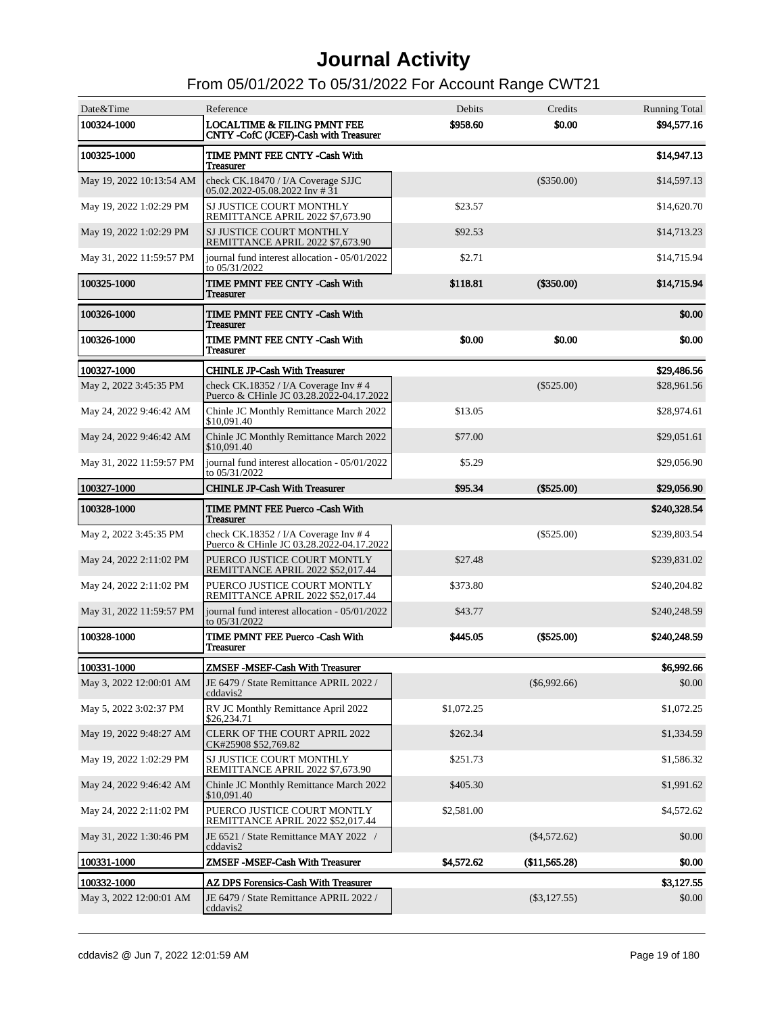| Date&Time                | Reference                                                                        | Debits     | Credits        | <b>Running Total</b> |
|--------------------------|----------------------------------------------------------------------------------|------------|----------------|----------------------|
| 100324-1000              | <b>LOCALTIME &amp; FILING PMNT FEE</b><br>CNTY -CofC (JCEF)-Cash with Treasurer  | \$958.60   | \$0.00         | \$94,577.16          |
| 100325-1000              | TIME PMNT FEE CNTY -Cash With<br><b>Treasurer</b>                                |            |                | \$14,947.13          |
| May 19, 2022 10:13:54 AM | check CK.18470 / I/A Coverage SJJC<br>05.02.2022-05.08.2022 Inv # 31             |            | $(\$350.00)$   | \$14,597.13          |
| May 19, 2022 1:02:29 PM  | SJ JUSTICE COURT MONTHLY<br>REMITTANCE APRIL 2022 \$7,673.90                     | \$23.57    |                | \$14,620.70          |
| May 19, 2022 1:02:29 PM  | SJ JUSTICE COURT MONTHLY<br>REMITTANCE APRIL 2022 \$7,673.90                     | \$92.53    |                | \$14,713.23          |
| May 31, 2022 11:59:57 PM | iournal fund interest allocation - 05/01/2022<br>to 05/31/2022                   | \$2.71     |                | \$14,715.94          |
| 100325-1000              | TIME PMNT FEE CNTY -Cash With<br><b>Treasurer</b>                                | \$118.81   | (\$350.00)     | \$14,715.94          |
| 100326-1000              | TIME PMNT FEE CNTY -Cash With<br><b>Treasurer</b>                                |            |                | \$0.00               |
| 100326-1000              | TIME PMNT FEE CNTY -Cash With<br><b>Treasurer</b>                                | \$0.00     | \$0.00         | \$0.00               |
| 100327-1000              | <b>CHINLE JP-Cash With Treasurer</b>                                             |            |                | \$29,486.56          |
| May 2, 2022 3:45:35 PM   | check CK.18352 / I/A Coverage Inv #4<br>Puerco & CHinle JC 03.28.2022-04.17.2022 |            | $(\$525.00)$   | \$28,961.56          |
| May 24, 2022 9:46:42 AM  | Chinle JC Monthly Remittance March 2022<br>\$10,091.40                           | \$13.05    |                | \$28,974.61          |
| May 24, 2022 9:46:42 AM  | Chinle JC Monthly Remittance March 2022<br>\$10,091.40                           | \$77.00    |                | \$29,051.61          |
| May 31, 2022 11:59:57 PM | journal fund interest allocation - 05/01/2022<br>to 05/31/2022                   | \$5.29     |                | \$29,056.90          |
| 100327-1000              | <b>CHINLE JP-Cash With Treasurer</b>                                             | \$95.34    | $(\$525.00)$   | \$29,056.90          |
| 100328-1000              | TIME PMNT FEE Puerco -Cash With<br><b>Treasurer</b>                              |            |                | \$240,328.54         |
| May 2, 2022 3:45:35 PM   | check CK.18352 / I/A Coverage Inv #4<br>Puerco & CHinle JC 03.28.2022-04.17.2022 |            | $(\$525.00)$   | \$239,803.54         |
| May 24, 2022 2:11:02 PM  | PUERCO JUSTICE COURT MONTLY<br>REMITTANCE APRIL 2022 \$52,017.44                 | \$27.48    |                | \$239,831.02         |
| May 24, 2022 2:11:02 PM  | PUERCO JUSTICE COURT MONTLY<br>REMITTANCE APRIL 2022 \$52,017.44                 | \$373.80   |                | \$240,204.82         |
| May 31, 2022 11:59:57 PM | journal fund interest allocation - 05/01/2022<br>to 05/31/2022                   | \$43.77    |                | \$240,248.59         |
| 100328-1000              | TIME PMNT FEE Puerco -Cash With<br><b>Treasurer</b>                              | \$445.05   | $(\$525.00)$   | \$240.248.59         |
| 100331-1000              | ZMSEF-MSEF-Cash With Treasurer                                                   |            |                | \$6,992.66           |
| May 3, 2022 12:00:01 AM  | JE 6479 / State Remittance APRIL 2022 /<br>cddavis2                              |            | $(\$6,992.66)$ | \$0.00               |
| May 5, 2022 3:02:37 PM   | RV JC Monthly Remittance April 2022<br>\$26,234.71                               | \$1,072.25 |                | \$1,072.25           |
| May 19, 2022 9:48:27 AM  | <b>CLERK OF THE COURT APRIL 2022</b><br>CK#25908 \$52,769.82                     | \$262.34   |                | \$1,334.59           |
| May 19, 2022 1:02:29 PM  | SJ JUSTICE COURT MONTHLY<br>REMITTANCE APRIL 2022 \$7,673.90                     | \$251.73   |                | \$1,586.32           |
| May 24, 2022 9:46:42 AM  | Chinle JC Monthly Remittance March 2022<br>\$10,091.40                           | \$405.30   |                | \$1,991.62           |
| May 24, 2022 2:11:02 PM  | PUERCO JUSTICE COURT MONTLY<br>REMITTANCE APRIL 2022 \$52,017.44                 | \$2,581.00 |                | \$4,572.62           |
| May 31, 2022 1:30:46 PM  | JE 6521 / State Remittance MAY 2022 /<br>cddavis2                                |            | $(\$4,572.62)$ | \$0.00               |
| 100331-1000              | ZMSEF-MSEF-Cash With Treasurer                                                   | \$4,572.62 | (\$11,565.28)  | \$0.00               |
| 100332-1000              | AZ DPS Forensics-Cash With Treasurer                                             |            |                | \$3,127.55           |
| May 3, 2022 12:00:01 AM  | JE 6479 / State Remittance APRIL 2022 /<br>cddavis2                              |            | $(\$3,127.55)$ | \$0.00               |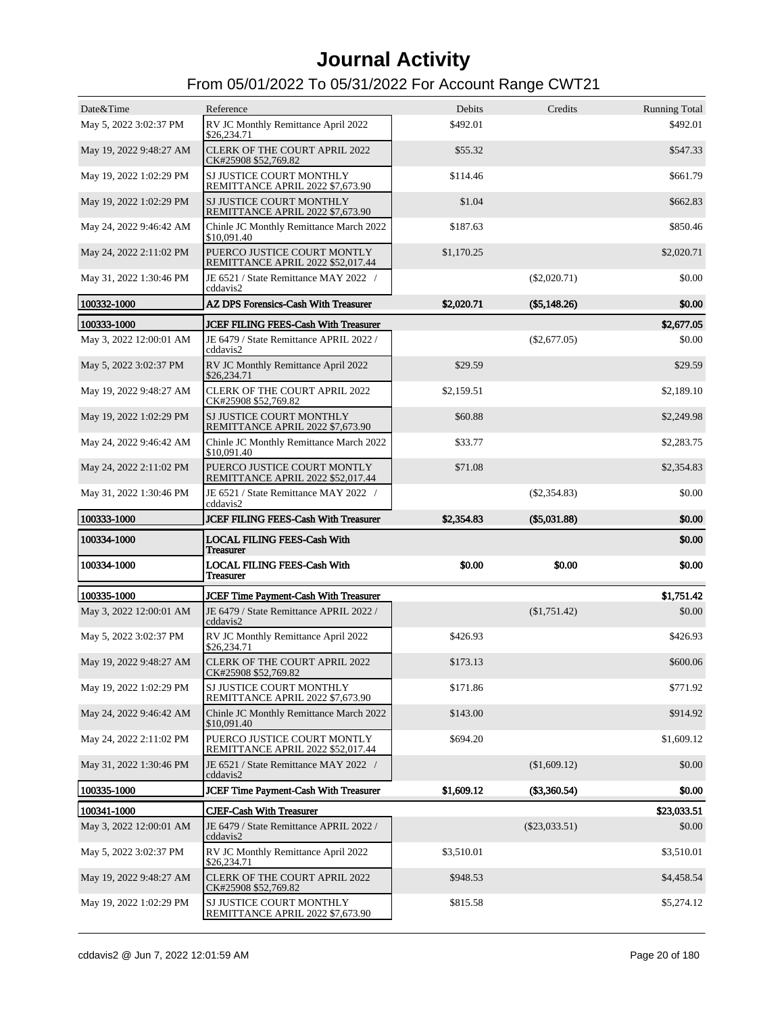| Date&Time               | Reference                                                        | Debits     | Credits         | <b>Running Total</b> |
|-------------------------|------------------------------------------------------------------|------------|-----------------|----------------------|
| May 5, 2022 3:02:37 PM  | RV JC Monthly Remittance April 2022<br>\$26,234.71               | \$492.01   |                 | \$492.01             |
| May 19, 2022 9:48:27 AM | <b>CLERK OF THE COURT APRIL 2022</b><br>CK#25908 \$52,769.82     | \$55.32    |                 | \$547.33             |
| May 19, 2022 1:02:29 PM | SJ JUSTICE COURT MONTHLY<br>REMITTANCE APRIL 2022 \$7,673.90     | \$114.46   |                 | \$661.79             |
| May 19, 2022 1:02:29 PM | SJ JUSTICE COURT MONTHLY<br>REMITTANCE APRIL 2022 \$7,673.90     | \$1.04     |                 | \$662.83             |
| May 24, 2022 9:46:42 AM | Chinle JC Monthly Remittance March 2022<br>\$10,091.40           | \$187.63   |                 | \$850.46             |
| May 24, 2022 2:11:02 PM | PUERCO JUSTICE COURT MONTLY<br>REMITTANCE APRIL 2022 \$52,017.44 | \$1,170.25 |                 | \$2,020.71           |
| May 31, 2022 1:30:46 PM | JE 6521 / State Remittance MAY 2022 /<br>cddavis2                |            | $(\$2,020.71)$  | \$0.00               |
| 100332-1000             | AZ DPS Forensics-Cash With Treasurer                             | \$2,020.71 | $(\$5,148.26)$  | \$0.00               |
| 100333-1000             | <b>JCEF FILING FEES-Cash With Treasurer</b>                      |            |                 | \$2,677.05           |
| May 3, 2022 12:00:01 AM | JE 6479 / State Remittance APRIL 2022 /<br>cddavis2              |            | $(\$2,677.05)$  | \$0.00               |
| May 5, 2022 3:02:37 PM  | RV JC Monthly Remittance April 2022<br>\$26,234.71               | \$29.59    |                 | \$29.59              |
| May 19, 2022 9:48:27 AM | <b>CLERK OF THE COURT APRIL 2022</b><br>CK#25908 \$52,769.82     | \$2,159.51 |                 | \$2,189.10           |
| May 19, 2022 1:02:29 PM | SJ JUSTICE COURT MONTHLY<br>REMITTANCE APRIL 2022 \$7,673.90     | \$60.88    |                 | \$2,249.98           |
| May 24, 2022 9:46:42 AM | Chinle JC Monthly Remittance March 2022<br>\$10,091.40           | \$33.77    |                 | \$2,283.75           |
| May 24, 2022 2:11:02 PM | PUERCO JUSTICE COURT MONTLY<br>REMITTANCE APRIL 2022 \$52,017.44 | \$71.08    |                 | \$2,354.83           |
| May 31, 2022 1:30:46 PM | JE 6521 / State Remittance MAY 2022 /<br>cddavis2                |            | $(\$2,354.83)$  | \$0.00               |
|                         |                                                                  |            |                 |                      |
| 100333-1000             | <b>JCEF FILING FEES-Cash With Treasurer</b>                      | \$2,354.83 | $(\$5,031.88)$  | \$0.00               |
| 100334-1000             | <b>LOCAL FILING FEES-Cash With</b><br><b>Treasurer</b>           |            |                 | \$0.00               |
| 100334-1000             | <b>LOCAL FILING FEES-Cash With</b><br><b>Treasurer</b>           | \$0.00     | \$0.00          | \$0.00               |
| 100335-1000             | <b>JCEF Time Payment-Cash With Treasurer</b>                     |            |                 | \$1,751.42           |
| May 3, 2022 12:00:01 AM | JE 6479 / State Remittance APRIL 2022 /<br>cddavis2              |            | (\$1,751.42)    | \$0.00               |
| May 5, 2022 3:02:37 PM  | RV JC Monthly Remittance April 2022<br>\$26,234.71               | \$426.93   |                 | \$426.93             |
| May 19, 2022 9:48:27 AM | <b>CLERK OF THE COURT APRIL 2022</b><br>CK#25908 \$52,769.82     | \$173.13   |                 | \$600.06             |
| May 19, 2022 1:02:29 PM | SJ JUSTICE COURT MONTHLY<br>REMITTANCE APRIL 2022 \$7,673.90     | \$171.86   |                 | \$771.92             |
| May 24, 2022 9:46:42 AM | Chinle JC Monthly Remittance March 2022<br>\$10,091.40           | \$143.00   |                 | \$914.92             |
| May 24, 2022 2:11:02 PM | PUERCO JUSTICE COURT MONTLY<br>REMITTANCE APRIL 2022 \$52,017.44 | \$694.20   |                 | \$1,609.12           |
| May 31, 2022 1:30:46 PM | JE 6521 / State Remittance MAY 2022 /<br>cddavis2                |            | (\$1,609.12)    | \$0.00               |
| 100335-1000             | <b>JCEF Time Payment-Cash With Treasurer</b>                     | \$1,609.12 | (\$3,360.54)    | \$0.00               |
| 100341-1000             | <b>CJEF-Cash With Treasurer</b>                                  |            |                 | \$23,033.51          |
| May 3, 2022 12:00:01 AM | JE 6479 / State Remittance APRIL 2022 /<br>cddavis2              |            | $(\$23,033.51)$ | \$0.00               |
| May 5, 2022 3:02:37 PM  | RV JC Monthly Remittance April 2022<br>\$26,234.71               | \$3,510.01 |                 | \$3,510.01           |
| May 19, 2022 9:48:27 AM | <b>CLERK OF THE COURT APRIL 2022</b><br>CK#25908 \$52,769.82     | \$948.53   |                 | \$4,458.54           |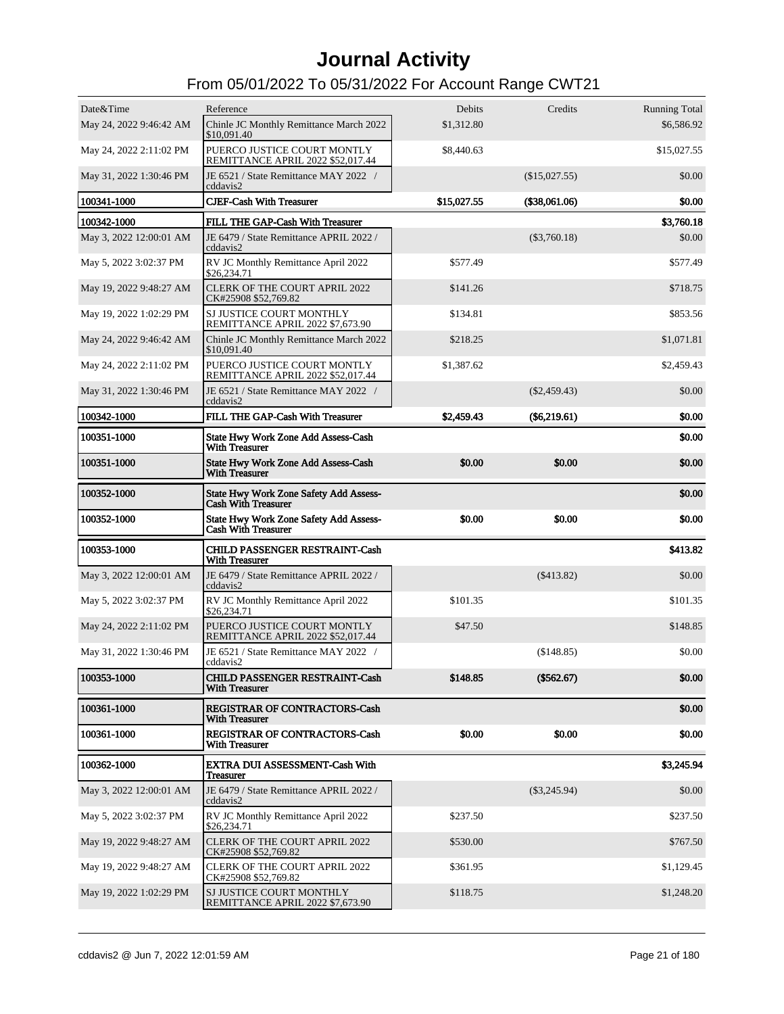| Date&Time               | Reference                                                                   | Debits      | Credits             | <b>Running Total</b> |
|-------------------------|-----------------------------------------------------------------------------|-------------|---------------------|----------------------|
| May 24, 2022 9:46:42 AM | Chinle JC Monthly Remittance March 2022<br>\$10,091.40                      | \$1,312.80  |                     | \$6,586.92           |
| May 24, 2022 2:11:02 PM | PUERCO JUSTICE COURT MONTLY<br>REMITTANCE APRIL 2022 \$52,017.44            | \$8,440.63  |                     | \$15,027.55          |
| May 31, 2022 1:30:46 PM | JE 6521 / State Remittance MAY 2022 /<br>cddavis2                           |             | (\$15,027.55)       | \$0.00               |
| 100341-1000             | <b>CJEF-Cash With Treasurer</b>                                             | \$15,027.55 | $($ \$38,061.06 $)$ | \$0.00               |
| 100342-1000             | FILL THE GAP-Cash With Treasurer                                            |             |                     | \$3,760.18           |
| May 3, 2022 12:00:01 AM | JE 6479 / State Remittance APRIL 2022 /<br>cddavis2                         |             | $(\$3,760.18)$      | \$0.00               |
| May 5, 2022 3:02:37 PM  | RV JC Monthly Remittance April 2022<br>\$26,234.71                          | \$577.49    |                     | \$577.49             |
| May 19, 2022 9:48:27 AM | <b>CLERK OF THE COURT APRIL 2022</b><br>CK#25908 \$52,769.82                | \$141.26    |                     | \$718.75             |
| May 19, 2022 1:02:29 PM | SJ JUSTICE COURT MONTHLY<br>REMITTANCE APRIL 2022 \$7,673.90                | \$134.81    |                     | \$853.56             |
| May 24, 2022 9:46:42 AM | Chinle JC Monthly Remittance March 2022<br>\$10,091.40                      | \$218.25    |                     | \$1,071.81           |
| May 24, 2022 2:11:02 PM | PUERCO JUSTICE COURT MONTLY<br>REMITTANCE APRIL 2022 \$52.017.44            | \$1,387.62  |                     | \$2,459.43           |
| May 31, 2022 1:30:46 PM | JE 6521 / State Remittance MAY 2022 /<br>cddavis2                           |             | $(\$2,459.43)$      | \$0.00               |
| 100342-1000             | FILL THE GAP-Cash With Treasurer                                            | \$2,459.43  | $(\$6,219.61)$      | \$0.00               |
| 100351-1000             | State Hwy Work Zone Add Assess-Cash<br><b>With Treasurer</b>                |             |                     | \$0.00               |
| 100351-1000             | State Hwy Work Zone Add Assess-Cash<br><b>With Treasurer</b>                | \$0.00      | \$0.00              | \$0.00               |
| 100352-1000             | <b>State Hwy Work Zone Safety Add Assess-</b><br><b>Cash With Treasurer</b> |             |                     | \$0.00               |
| 100352-1000             | State Hwy Work Zone Safety Add Assess-<br><b>Cash With Treasurer</b>        | \$0.00      | \$0.00              | \$0.00               |
| 100353-1000             | CHILD PASSENGER RESTRAINT-Cash<br><b>With Treasurer</b>                     |             |                     | \$413.82             |
| May 3, 2022 12:00:01 AM | JE 6479 / State Remittance APRIL 2022 /<br>cddavis2                         |             | $(\$413.82)$        | \$0.00               |
| May 5, 2022 3:02:37 PM  | RV JC Monthly Remittance April 2022<br>\$26,234.71                          | \$101.35    |                     | \$101.35             |
| May 24, 2022 2:11:02 PM | PUERCO JUSTICE COURT MONTLY<br>REMITTANCE APRIL 2022 \$52,017.44            | \$47.50     |                     | \$148.85             |
| May 31, 2022 1:30:46 PM | JE 6521 / State Remittance MAY 2022 /<br>cddavis2                           |             | (\$148.85)          | \$0.00               |
| 100353-1000             | <b>CHILD PASSENGER RESTRAINT-Cash</b><br><b>With Treasurer</b>              | \$148.85    | (\$562.67)          | \$0.00               |
| 100361-1000             | REGISTRAR OF CONTRACTORS-Cash<br><b>With Treasurer</b>                      |             |                     | \$0.00               |
| 100361-1000             | REGISTRAR OF CONTRACTORS-Cash<br><b>With Treasurer</b>                      | \$0.00      | \$0.00              | \$0.00               |
| 100362-1000             | <b>EXTRA DUI ASSESSMENT-Cash With</b>                                       |             |                     | \$3,245.94           |
|                         | Treasurer                                                                   |             |                     |                      |
| May 3, 2022 12:00:01 AM | JE 6479 / State Remittance APRIL 2022 /<br>cddavis2                         |             | $(\$3,245.94)$      | \$0.00               |
| May 5, 2022 3:02:37 PM  | RV JC Monthly Remittance April 2022<br>\$26,234.71                          | \$237.50    |                     | \$237.50             |
| May 19, 2022 9:48:27 AM | <b>CLERK OF THE COURT APRIL 2022</b><br>CK#25908 \$52,769.82                | \$530.00    |                     | \$767.50             |
| May 19, 2022 9:48:27 AM | CLERK OF THE COURT APRIL 2022<br>CK#25908 \$52,769.82                       | \$361.95    |                     | \$1,129.45           |
| May 19, 2022 1:02:29 PM | SJ JUSTICE COURT MONTHLY<br>REMITTANCE APRIL 2022 \$7,673.90                | \$118.75    |                     | \$1,248.20           |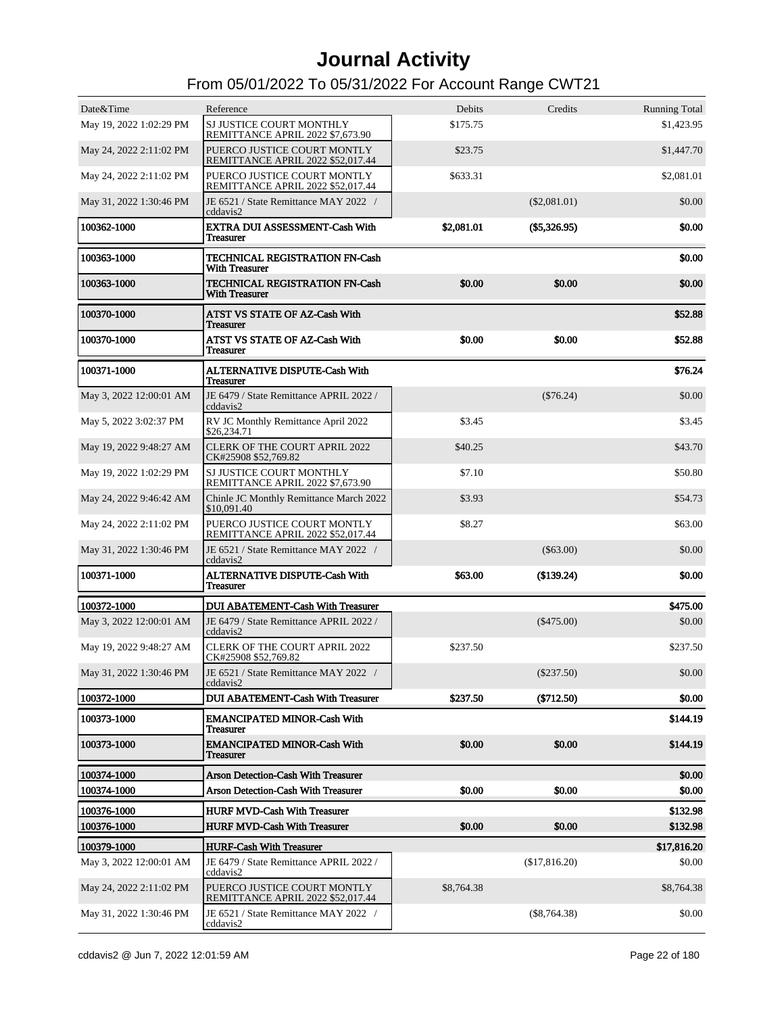| Date&Time                  | Reference                                                                  | Debits     | Credits        | <b>Running Total</b> |
|----------------------------|----------------------------------------------------------------------------|------------|----------------|----------------------|
| May 19, 2022 1:02:29 PM    | SJ JUSTICE COURT MONTHLY<br>REMITTANCE APRIL 2022 \$7,673.90               | \$175.75   |                | \$1,423.95           |
| May 24, 2022 2:11:02 PM    | PUERCO JUSTICE COURT MONTLY<br>REMITTANCE APRIL 2022 \$52.017.44           | \$23.75    |                | \$1,447.70           |
| May 24, 2022 2:11:02 PM    | PUERCO JUSTICE COURT MONTLY<br>REMITTANCE APRIL 2022 \$52,017.44           | \$633.31   |                | \$2,081.01           |
| May 31, 2022 1:30:46 PM    | JE 6521 / State Remittance MAY 2022 /<br>cddavis2                          |            | $(\$2,081.01)$ | \$0.00               |
| 100362-1000                | EXTRA DUI ASSESSMENT-Cash With<br><b>Treasurer</b>                         | \$2,081.01 | $(\$5,326.95)$ | \$0.00               |
| 100363-1000                | <b>TECHNICAL REGISTRATION FN-Cash</b><br><b>With Treasurer</b>             |            |                | \$0.00               |
| 100363-1000                | <b>TECHNICAL REGISTRATION FN-Cash</b><br><b>With Treasurer</b>             | \$0.00     | \$0.00         | \$0.00               |
| 100370-1000                | ATST VS STATE OF AZ-Cash With<br><b>Treasurer</b>                          |            |                | \$52.88              |
| 100370-1000                | ATST VS STATE OF AZ-Cash With<br><b>Treasurer</b>                          | \$0.00     | \$0.00         | \$52.88              |
| 100371-1000                | ALTERNATIVE DISPUTE-Cash With<br><b>Treasurer</b>                          |            |                | \$76.24              |
| May 3, 2022 12:00:01 AM    | JE 6479 / State Remittance APRIL 2022 /<br>cddavis2                        |            | $(\$76.24)$    | \$0.00               |
| May 5, 2022 3:02:37 PM     | RV JC Monthly Remittance April 2022<br>\$26,234.71                         | \$3.45     |                | \$3.45               |
| May 19, 2022 9:48:27 AM    | <b>CLERK OF THE COURT APRIL 2022</b><br>CK#25908 \$52,769.82               | \$40.25    |                | \$43.70              |
| May 19, 2022 1:02:29 PM    | SJ JUSTICE COURT MONTHLY<br>REMITTANCE APRIL 2022 \$7,673.90               | \$7.10     |                | \$50.80              |
| May 24, 2022 9:46:42 AM    | Chinle JC Monthly Remittance March 2022<br>\$10,091.40                     | \$3.93     |                | \$54.73              |
| May 24, 2022 2:11:02 PM    | PUERCO JUSTICE COURT MONTLY<br>REMITTANCE APRIL 2022 \$52,017.44           | \$8.27     |                | \$63.00              |
| May 31, 2022 1:30:46 PM    | JE 6521 / State Remittance MAY 2022 /<br>cddavis2                          |            | $(\$63.00)$    | \$0.00               |
| 100371-1000                | <b>ALTERNATIVE DISPUTE-Cash With</b><br><b>Treasurer</b>                   | \$63.00    | (\$139.24)     | \$0.00               |
| 100372-1000                | <b>DUI ABATEMENT-Cash With Treasurer</b>                                   |            |                | \$475.00             |
| May 3, 2022 12:00:01 AM    | JE 6479 / State Remittance APRIL 2022 /<br>cddavis2                        |            | $(\$475.00)$   | \$0.00               |
| May 19, 2022 9:48:27 AM    | <b>CLERK OF THE COURT APRIL 2022</b><br>CK#25908 \$52,769.82               | \$237.50   |                | \$237.50             |
| May 31, 2022 1:30:46 PM    | JE 6521 / State Remittance MAY 2022 /<br>cddavis2                          |            | $(\$237.50)$   | \$0.00               |
| 100372-1000                | <b>DUI ABATEMENT-Cash With Treasurer</b>                                   | \$237.50   | (\$712.50)     | \$0.00               |
| 100373-1000                | <b>EMANCIPATED MINOR-Cash With</b><br><b>Treasurer</b>                     |            |                | \$144.19             |
| 100373-1000                | <b>EMANCIPATED MINOR-Cash With</b><br><b>Treasurer</b>                     | \$0.00     | \$0.00         | \$144.19             |
| 100374-1000                | <b>Arson Detection-Cash With Treasurer</b>                                 |            |                | \$0.00               |
| 100374-1000                | <b>Arson Detection-Cash With Treasurer</b>                                 | \$0.00     | \$0.00         | \$0.00               |
|                            |                                                                            |            |                |                      |
| 100376-1000<br>100376-1000 | <b>HURF MVD-Cash With Treasurer</b><br><b>HURF MVD-Cash With Treasurer</b> | \$0.00     | \$0.00         | \$132.98<br>\$132.98 |
|                            |                                                                            |            |                |                      |
| 100379-1000                | <b>HURF-Cash With Treasurer</b>                                            |            |                | \$17,816.20          |
| May 3, 2022 12:00:01 AM    | JE 6479 / State Remittance APRIL 2022 /<br>cddavis2                        |            | (\$17,816.20)  | \$0.00               |
| May 24, 2022 2:11:02 PM    | PUERCO JUSTICE COURT MONTLY<br>REMITTANCE APRIL 2022 \$52,017.44           | \$8,764.38 |                | \$8,764.38           |
| May 31, 2022 1:30:46 PM    | JE 6521 / State Remittance MAY 2022 /<br>cddavis2                          |            | $(\$8,764.38)$ | \$0.00               |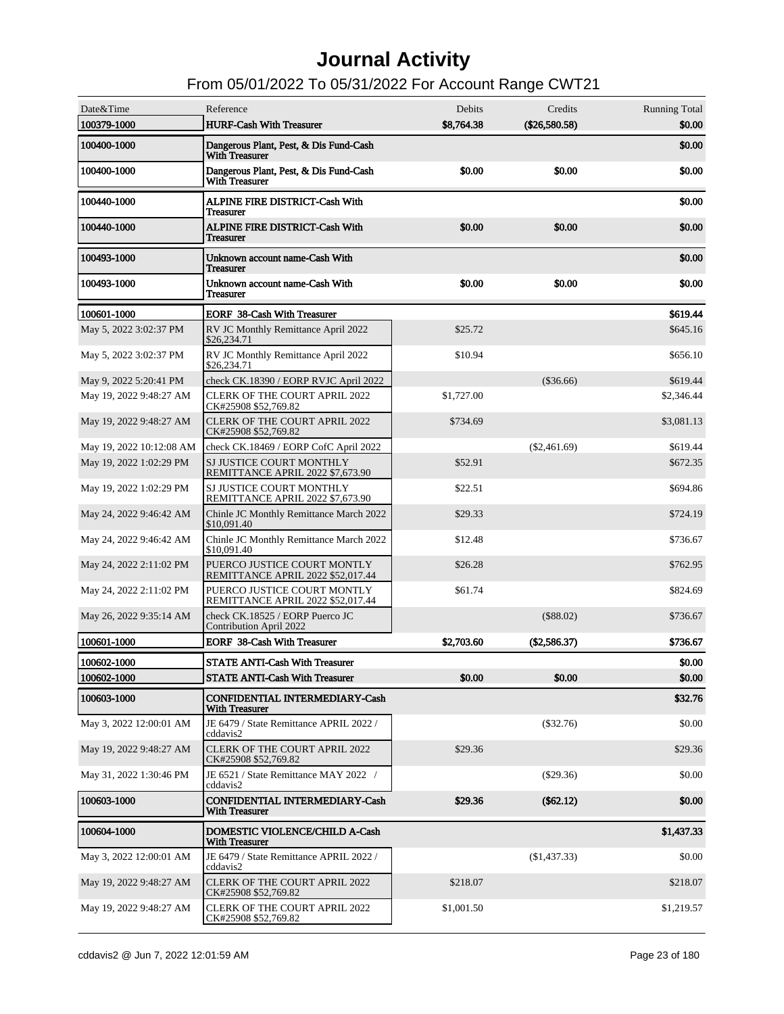| Date&Time<br>100379-1000 | Reference<br><b>HURF-Cash With Treasurer</b>                      | Debits<br>\$8,764.38 | Credits<br>(\$26,580.58) | <b>Running Total</b><br>\$0.00 |
|--------------------------|-------------------------------------------------------------------|----------------------|--------------------------|--------------------------------|
| 100400-1000              | Dangerous Plant, Pest, & Dis Fund-Cash<br><b>With Treasurer</b>   |                      |                          | \$0.00                         |
| 100400-1000              | Dangerous Plant, Pest, & Dis Fund-Cash<br><b>With Treasurer</b>   | \$0.00               | \$0.00                   | \$0.00                         |
| 100440-1000              | ALPINE FIRE DISTRICT-Cash With<br><b>Treasurer</b>                |                      |                          | \$0.00                         |
| 100440-1000              | <b>ALPINE FIRE DISTRICT-Cash With</b><br><b>Treasurer</b>         | \$0.00               | \$0.00                   | \$0.00                         |
| 100493-1000              | Unknown account name-Cash With<br><b>Treasurer</b>                |                      |                          | \$0.00                         |
| 100493-1000              | Unknown account name-Cash With<br><b>Treasurer</b>                | \$0.00               | \$0.00                   | \$0.00                         |
| 100601-1000              | <b>EORF 38-Cash With Treasurer</b>                                |                      |                          | \$619.44                       |
| May 5, 2022 3:02:37 PM   | RV JC Monthly Remittance April 2022<br>\$26,234.71                | \$25.72              |                          | \$645.16                       |
| May 5, 2022 3:02:37 PM   | RV JC Monthly Remittance April 2022<br>\$26,234.71                | \$10.94              |                          | \$656.10                       |
| May 9, 2022 5:20:41 PM   | check CK.18390 / EORP RVJC April 2022                             |                      | $(\$36.66)$              | \$619.44                       |
| May 19, 2022 9:48:27 AM  | <b>CLERK OF THE COURT APRIL 2022</b><br>CK#25908 \$52,769.82      | \$1,727.00           |                          | \$2,346.44                     |
| May 19, 2022 9:48:27 AM  | <b>CLERK OF THE COURT APRIL 2022</b><br>CK#25908 \$52,769.82      | \$734.69             |                          | \$3,081.13                     |
| May 19, 2022 10:12:08 AM | check CK.18469 / EORP CofC April 2022                             |                      | $(\$2,461.69)$           | \$619.44                       |
| May 19, 2022 1:02:29 PM  | SJ JUSTICE COURT MONTHLY<br>REMITTANCE APRIL 2022 \$7,673.90      | \$52.91              |                          | \$672.35                       |
| May 19, 2022 1:02:29 PM  | SJ JUSTICE COURT MONTHLY<br>REMITTANCE APRIL 2022 \$7,673.90      | \$22.51              |                          | \$694.86                       |
| May 24, 2022 9:46:42 AM  | Chinle JC Monthly Remittance March 2022<br>\$10,091.40            | \$29.33              |                          | \$724.19                       |
| May 24, 2022 9:46:42 AM  | Chinle JC Monthly Remittance March 2022<br>\$10,091.40            | \$12.48              |                          | \$736.67                       |
| May 24, 2022 2:11:02 PM  | PUERCO JUSTICE COURT MONTLY<br>REMITTANCE APRIL 2022 \$52,017.44  | \$26.28              |                          | \$762.95                       |
| May 24, 2022 2:11:02 PM  | PUERCO JUSTICE COURT MONTLY<br>REMITTANCE APRIL 2022 \$52,017.44  | \$61.74              |                          | \$824.69                       |
| May 26, 2022 9:35:14 AM  | check CK.18525 / EORP Puerco JC<br><b>Contribution April 2022</b> |                      | (\$88.02)                | \$736.67                       |
| 100601-1000              | <b>EORF 38-Cash With Treasurer</b>                                | \$2,703.60           | $(\$2,586.37)$           | \$736.67                       |
| 100602-1000              | <b>STATE ANTI-Cash With Treasurer</b>                             |                      |                          | \$0.00                         |
| 100602-1000              | <b>STATE ANTI-Cash With Treasurer</b>                             | \$0.00               | \$0.00                   | \$0.00                         |
| 100603-1000              | <b>CONFIDENTIAL INTERMEDIARY-Cash</b><br><b>With Treasurer</b>    |                      |                          | \$32.76                        |
| May 3, 2022 12:00:01 AM  | JE 6479 / State Remittance APRIL 2022 /<br>cddavis2               |                      | $(\$32.76)$              | \$0.00                         |
| May 19, 2022 9:48:27 AM  | <b>CLERK OF THE COURT APRIL 2022</b><br>CK#25908 \$52,769.82      | \$29.36              |                          | \$29.36                        |
| May 31, 2022 1:30:46 PM  | JE 6521 / State Remittance MAY 2022 /<br>cddavis2                 |                      | $(\$29.36)$              | \$0.00                         |
| 100603-1000              | CONFIDENTIAL INTERMEDIARY-Cash<br><b>With Treasurer</b>           | \$29.36              | $(\$62.12)$              | \$0.00                         |
| 100604-1000              | DOMESTIC VIOLENCE/CHILD A-Cash<br><b>With Treasurer</b>           |                      |                          | \$1,437.33                     |
| May 3, 2022 12:00:01 AM  | JE 6479 / State Remittance APRIL 2022 /<br>cddavis2               |                      | $(\$1,437.33)$           | \$0.00                         |
| May 19, 2022 9:48:27 AM  | <b>CLERK OF THE COURT APRIL 2022</b><br>CK#25908 \$52,769.82      | \$218.07             |                          | \$218.07                       |
| May 19, 2022 9:48:27 AM  | <b>CLERK OF THE COURT APRIL 2022</b><br>CK#25908 \$52,769.82      | \$1,001.50           |                          | \$1,219.57                     |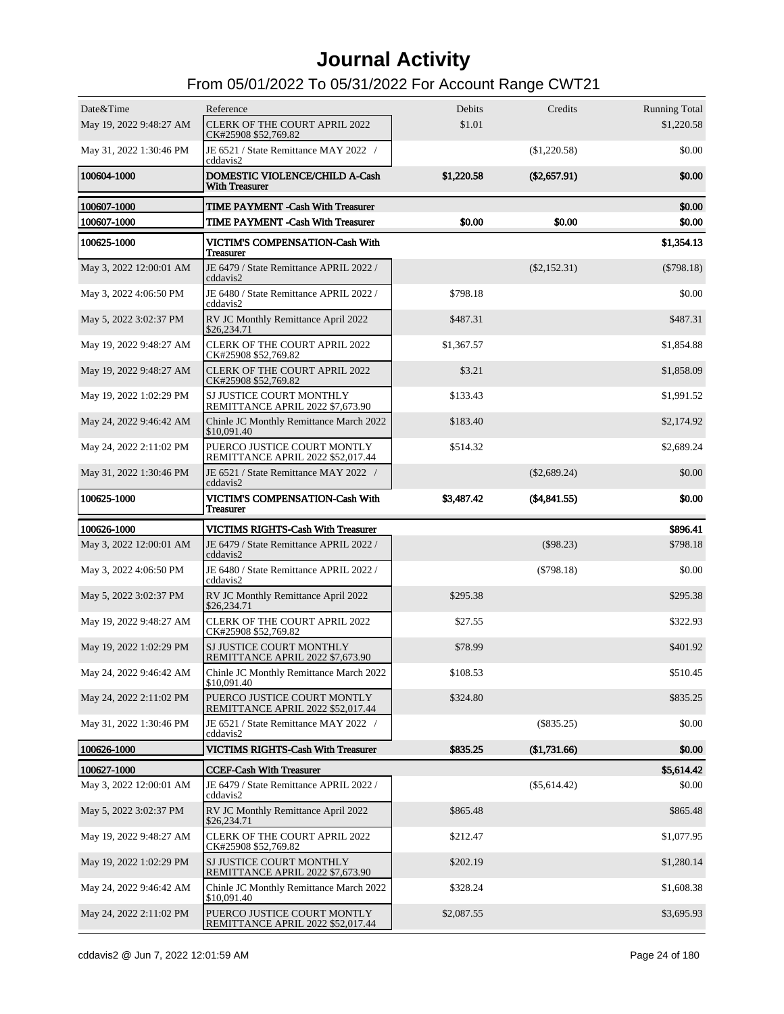| Date&Time               | Reference                                                        | Debits     | Credits        | <b>Running Total</b> |
|-------------------------|------------------------------------------------------------------|------------|----------------|----------------------|
| May 19, 2022 9:48:27 AM | <b>CLERK OF THE COURT APRIL 2022</b><br>CK#25908 \$52,769.82     | \$1.01     |                | \$1,220.58           |
| May 31, 2022 1:30:46 PM | JE 6521 / State Remittance MAY 2022 /<br>cddavis2                |            | (\$1,220.58)   | \$0.00               |
| 100604-1000             | DOMESTIC VIOLENCE/CHILD A-Cash<br><b>With Treasurer</b>          | \$1,220.58 | $(\$2,657.91)$ | \$0.00               |
| 100607-1000             | <b>TIME PAYMENT - Cash With Treasurer</b>                        |            |                | \$0.00               |
| 100607-1000             | <b>TIME PAYMENT - Cash With Treasurer</b>                        | \$0.00     | \$0.00         | \$0.00               |
| 100625-1000             | <b>VICTIM'S COMPENSATION-Cash With</b><br><b>Treasurer</b>       |            |                | \$1,354.13           |
| May 3, 2022 12:00:01 AM | JE 6479 / State Remittance APRIL 2022 /<br>cddavis2              |            | $(\$2,152.31)$ | $(\$798.18)$         |
| May 3, 2022 4:06:50 PM  | JE 6480 / State Remittance APRIL 2022 /<br>cddavis2              | \$798.18   |                | \$0.00               |
| May 5, 2022 3:02:37 PM  | RV JC Monthly Remittance April 2022<br>\$26,234.71               | \$487.31   |                | \$487.31             |
| May 19, 2022 9:48:27 AM | <b>CLERK OF THE COURT APRIL 2022</b><br>CK#25908 \$52,769.82     | \$1,367.57 |                | \$1,854.88           |
| May 19, 2022 9:48:27 AM | <b>CLERK OF THE COURT APRIL 2022</b><br>CK#25908 \$52,769.82     | \$3.21     |                | \$1,858.09           |
| May 19, 2022 1:02:29 PM | SJ JUSTICE COURT MONTHLY<br>REMITTANCE APRIL 2022 \$7,673.90     | \$133.43   |                | \$1,991.52           |
| May 24, 2022 9:46:42 AM | Chinle JC Monthly Remittance March 2022<br>\$10,091.40           | \$183.40   |                | \$2,174.92           |
| May 24, 2022 2:11:02 PM | PUERCO JUSTICE COURT MONTLY<br>REMITTANCE APRIL 2022 \$52,017.44 | \$514.32   |                | \$2,689.24           |
| May 31, 2022 1:30:46 PM | JE 6521 / State Remittance MAY 2022 /<br>cddavis2                |            | $(\$2,689.24)$ | \$0.00               |
| 100625-1000             | VICTIM'S COMPENSATION-Cash With<br><b>Treasurer</b>              | \$3,487.42 | (\$4,841.55)   | \$0.00               |
| 100626-1000             | VICTIMS RIGHTS-Cash With Treasurer                               |            |                | \$896.41             |
| May 3, 2022 12:00:01 AM | JE 6479 / State Remittance APRIL 2022 /<br>cddavis2              |            | $(\$98.23)$    | \$798.18             |
| May 3, 2022 4:06:50 PM  | JE 6480 / State Remittance APRIL 2022 /<br>cddavis2              |            | $(\$798.18)$   | \$0.00               |
| May 5, 2022 3:02:37 PM  | RV JC Monthly Remittance April 2022<br>\$26,234.71               | \$295.38   |                | \$295.38             |
| May 19, 2022 9:48:27 AM | <b>CLERK OF THE COURT APRIL 2022</b><br>CK#25908 \$52,769.82     | \$27.55    |                | \$322.93             |
| May 19, 2022 1:02:29 PM | SJ JUSTICE COURT MONTHLY<br>REMITTANCE APRIL 2022 \$7,673.90     | \$78.99    |                | \$401.92             |
| May 24, 2022 9:46:42 AM | Chinle JC Monthly Remittance March 2022<br>\$10,091.40           | \$108.53   |                | \$510.45             |
| May 24, 2022 2:11:02 PM | PUERCO JUSTICE COURT MONTLY<br>REMITTANCE APRIL 2022 \$52,017.44 | \$324.80   |                | \$835.25             |
| May 31, 2022 1:30:46 PM |                                                                  |            |                |                      |
|                         | JE 6521 / State Remittance MAY 2022 /<br>cddavis2                |            | $(\$835.25)$   | \$0.00               |
| 100626-1000             | <b>VICTIMS RIGHTS-Cash With Treasurer</b>                        | \$835.25   | \$1,731.66     | \$0.00               |
| 100627-1000             | <b>CCEF-Cash With Treasurer</b>                                  |            |                | \$5,614.42           |
| May 3, 2022 12:00:01 AM | JE 6479 / State Remittance APRIL 2022 /<br>cddavis2              |            | $(\$5,614.42)$ | \$0.00               |
| May 5, 2022 3:02:37 PM  | RV JC Monthly Remittance April 2022<br>\$26,234.71               | \$865.48   |                | \$865.48             |
| May 19, 2022 9:48:27 AM | <b>CLERK OF THE COURT APRIL 2022</b><br>CK#25908 \$52,769.82     | \$212.47   |                | \$1,077.95           |
| May 19, 2022 1:02:29 PM | SJ JUSTICE COURT MONTHLY<br>REMITTANCE APRIL 2022 \$7,673.90     | \$202.19   |                | \$1,280.14           |
| May 24, 2022 9:46:42 AM | Chinle JC Monthly Remittance March 2022<br>\$10,091.40           | \$328.24   |                | \$1,608.38           |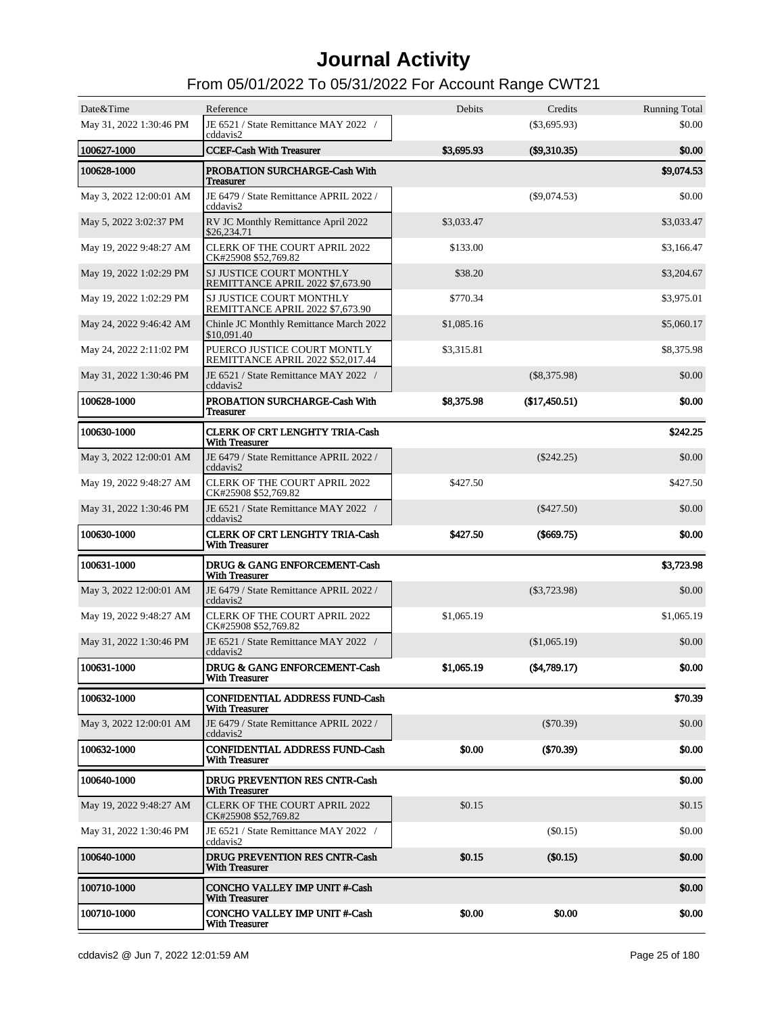| Date&Time               | Reference                                                        | Debits     | Credits        | <b>Running Total</b> |
|-------------------------|------------------------------------------------------------------|------------|----------------|----------------------|
| May 31, 2022 1:30:46 PM | JE 6521 / State Remittance MAY 2022 /<br>cddavis2                |            | $(\$3,695.93)$ | \$0.00               |
| 100627-1000             | <b>CCEF-Cash With Treasurer</b>                                  | \$3,695.93 | $(\$9,310.35)$ | \$0.00               |
| 100628-1000             | PROBATION SURCHARGE-Cash With<br><b>Treasurer</b>                |            |                | \$9,074.53           |
| May 3, 2022 12:00:01 AM | JE 6479 / State Remittance APRIL 2022 /<br>cddavis2              |            | $(\$9,074.53)$ | \$0.00               |
| May 5, 2022 3:02:37 PM  | RV JC Monthly Remittance April 2022<br>\$26,234.71               | \$3,033.47 |                | \$3,033.47           |
| May 19, 2022 9:48:27 AM | <b>CLERK OF THE COURT APRIL 2022</b><br>CK#25908 \$52,769.82     | \$133.00   |                | \$3,166.47           |
| May 19, 2022 1:02:29 PM | SJ JUSTICE COURT MONTHLY<br>REMITTANCE APRIL 2022 \$7,673.90     | \$38.20    |                | \$3,204.67           |
| May 19, 2022 1:02:29 PM | SJ JUSTICE COURT MONTHLY<br>REMITTANCE APRIL 2022 \$7,673.90     | \$770.34   |                | \$3,975.01           |
| May 24, 2022 9:46:42 AM | Chinle JC Monthly Remittance March 2022<br>\$10,091.40           | \$1,085.16 |                | \$5,060.17           |
| May 24, 2022 2:11:02 PM | PUERCO JUSTICE COURT MONTLY<br>REMITTANCE APRIL 2022 \$52,017.44 | \$3,315.81 |                | \$8,375.98           |
| May 31, 2022 1:30:46 PM | JE 6521 / State Remittance MAY 2022 /<br>cddavis2                |            | $(\$8,375.98)$ | \$0.00               |
| 100628-1000             | PROBATION SURCHARGE-Cash With<br>Treasurer                       | \$8,375.98 | (\$17,450.51)  | \$0.00               |
| 100630-1000             | <b>CLERK OF CRT LENGHTY TRIA-Cash</b><br><b>With Treasurer</b>   |            |                | \$242.25             |
| May 3, 2022 12:00:01 AM | JE 6479 / State Remittance APRIL 2022 /<br>cddavis2              |            | $(\$242.25)$   | \$0.00               |
| May 19, 2022 9:48:27 AM | <b>CLERK OF THE COURT APRIL 2022</b><br>CK#25908 \$52,769.82     | \$427.50   |                | \$427.50             |
| May 31, 2022 1:30:46 PM | JE 6521 / State Remittance MAY 2022 /<br>cddavis2                |            | $(\$427.50)$   | \$0.00               |
| 100630-1000             | <b>CLERK OF CRT LENGHTY TRIA-Cash</b><br><b>With Treasurer</b>   | \$427.50   | $(\$669.75)$   | \$0.00               |
| 100631-1000             | DRUG & GANG ENFORCEMENT-Cash<br><b>With Treasurer</b>            |            |                | \$3,723.98           |
| May 3, 2022 12:00:01 AM | JE 6479 / State Remittance APRIL 2022 /<br>cddavis2              |            | $(\$3,723.98)$ | \$0.00               |
| May 19, 2022 9:48:27 AM | CLERK OF THE COURT APRIL 2022<br>CK#25908 \$52,769.82            | \$1,065.19 |                | \$1,065.19           |
| May 31, 2022 1:30:46 PM | JE 6521 / State Remittance MAY 2022 /<br>cddavis2                |            | (\$1,065.19)   | \$0.00               |
| 100631-1000             | DRUG & GANG ENFORCEMENT-Cash<br><b>With Treasurer</b>            | \$1,065.19 | (\$4,789.17)   | \$0.00               |
| 100632-1000             | <b>CONFIDENTIAL ADDRESS FUND-Cash</b><br><b>With Treasurer</b>   |            |                | \$70.39              |
| May 3, 2022 12:00:01 AM | JE 6479 / State Remittance APRIL 2022 /<br>cddavis2              |            | $(\$70.39)$    | \$0.00               |
| 100632-1000             | <b>CONFIDENTIAL ADDRESS FUND-Cash</b><br><b>With Treasurer</b>   | \$0.00     | $(\$70.39)$    | \$0.00               |
| 100640-1000             | <b>DRUG PREVENTION RES CNTR-Cash</b><br><b>With Treasurer</b>    |            |                | \$0.00               |
| May 19, 2022 9:48:27 AM | <b>CLERK OF THE COURT APRIL 2022</b><br>CK#25908 \$52,769.82     | \$0.15     |                | \$0.15               |
| May 31, 2022 1:30:46 PM | JE 6521 / State Remittance MAY 2022 /<br>cddavis2                |            | (S0.15)        | \$0.00               |
| 100640-1000             | <b>DRUG PREVENTION RES CNTR-Cash</b><br><b>With Treasurer</b>    | \$0.15     | (\$0.15)       | \$0.00               |
| 100710-1000             | <b>CONCHO VALLEY IMP UNIT #-Cash</b><br><b>With Treasurer</b>    |            |                | \$0.00               |
| 100710-1000             | CONCHO VALLEY IMP UNIT #-Cash<br><b>With Treasurer</b>           | \$0.00     | \$0.00         | \$0.00               |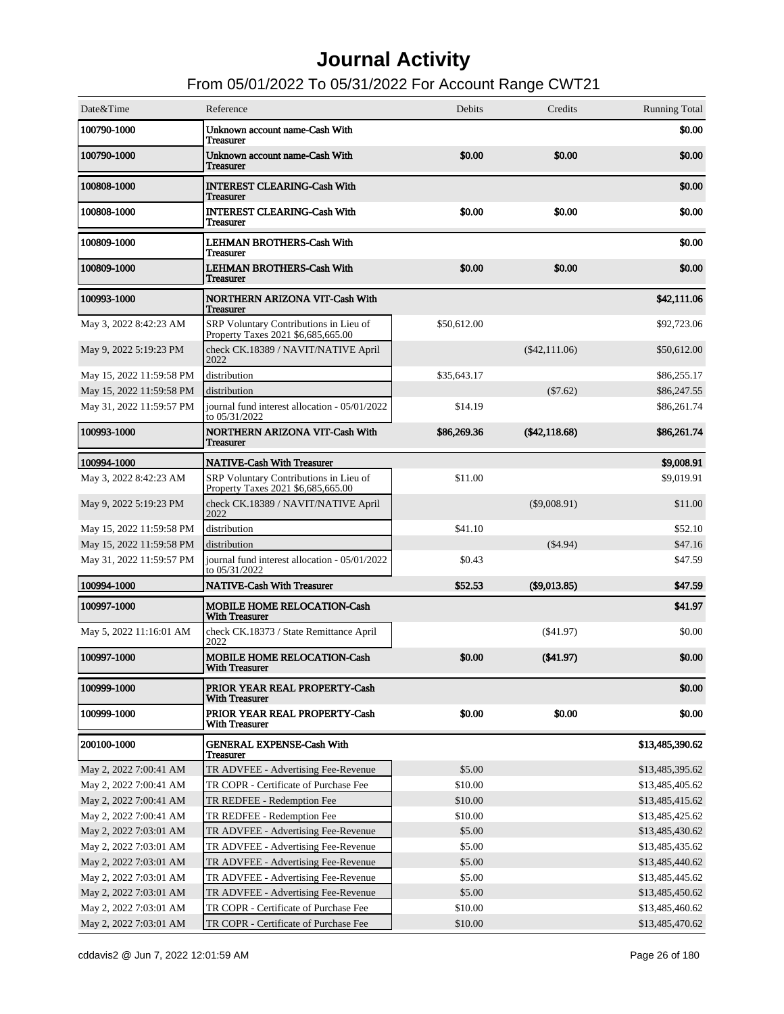| Date&Time                | Reference                                                                    | Debits      | Credits         | <b>Running Total</b> |
|--------------------------|------------------------------------------------------------------------------|-------------|-----------------|----------------------|
| 100790-1000              | Unknown account name-Cash With<br><b>Treasurer</b>                           |             |                 | \$0.00               |
| 100790-1000              | Unknown account name-Cash With<br><b>Treasurer</b>                           | \$0.00      | \$0.00          | \$0.00               |
| 100808-1000              | <b>INTEREST CLEARING-Cash With</b><br><b>Treasurer</b>                       |             |                 | \$0.00               |
| 100808-1000              | <b>INTEREST CLEARING-Cash With</b><br><b>Treasurer</b>                       | \$0.00      | \$0.00          | \$0.00               |
| 100809-1000              | <b>LEHMAN BROTHERS-Cash With</b><br><b>Treasurer</b>                         |             |                 | \$0.00               |
| 100809-1000              | <b>LEHMAN BROTHERS-Cash With</b><br><b>Treasurer</b>                         | \$0.00      | \$0.00          | \$0.00               |
| 100993-1000              | <b>NORTHERN ARIZONA VIT-Cash With</b><br><b>Treasurer</b>                    |             |                 | \$42,111.06          |
| May 3, 2022 8:42:23 AM   | SRP Voluntary Contributions in Lieu of<br>Property Taxes 2021 \$6,685,665.00 | \$50,612.00 |                 | \$92,723.06          |
| May 9, 2022 5:19:23 PM   | check CK.18389 / NAVIT/NATIVE April<br>2022                                  |             | $(\$42,111.06)$ | \$50,612.00          |
| May 15, 2022 11:59:58 PM | distribution                                                                 | \$35,643.17 |                 | \$86,255.17          |
| May 15, 2022 11:59:58 PM | distribution                                                                 |             | (\$7.62)        | \$86,247.55          |
| May 31, 2022 11:59:57 PM | journal fund interest allocation - 05/01/2022<br>to 05/31/2022               | \$14.19     |                 | \$86,261.74          |
| 100993-1000              | <b>NORTHERN ARIZONA VIT-Cash With</b><br><b>Treasurer</b>                    | \$86,269.36 | $(\$42,118.68)$ | \$86,261.74          |
| 100994-1000              | <b>NATIVE-Cash With Treasurer</b>                                            |             |                 | \$9,008.91           |
| May 3, 2022 8:42:23 AM   | SRP Voluntary Contributions in Lieu of<br>Property Taxes 2021 \$6,685,665.00 | \$11.00     |                 | \$9,019.91           |
| May 9, 2022 5:19:23 PM   | check CK.18389 / NAVIT/NATIVE April<br>2022                                  |             | $(\$9,008.91)$  | \$11.00              |
| May 15, 2022 11:59:58 PM | distribution                                                                 | \$41.10     |                 | \$52.10              |
| May 15, 2022 11:59:58 PM | distribution                                                                 |             | ( \$4.94)       | \$47.16              |
| May 31, 2022 11:59:57 PM | journal fund interest allocation - 05/01/2022<br>to 05/31/2022               | \$0.43      |                 | \$47.59              |
| 100994-1000              | <b>NATIVE-Cash With Treasurer</b>                                            | \$52.53     | (\$9,013.85)    | \$47.59              |
| 100997-1000              | <b>MOBILE HOME RELOCATION-Cash</b><br><b>With Treasurer</b>                  |             |                 | \$41.97              |
| May 5, 2022 11:16:01 AM  | check CK.18373 / State Remittance April<br>2022                              |             | (S41.97)        | \$0.00               |
| 100997-1000              | <b>MOBILE HOME RELOCATION-Cash</b><br><b>With Treasurer</b>                  | \$0.00      | $(\$41.97)$     | \$0.00               |
| 100999-1000              | PRIOR YEAR REAL PROPERTY-Cash<br><b>With Treasurer</b>                       |             |                 | \$0.00               |
| 100999-1000              | PRIOR YEAR REAL PROPERTY-Cash<br><b>With Treasurer</b>                       | \$0.00      | \$0.00          | \$0.00               |
| 200100-1000              | <b>GENERAL EXPENSE-Cash With</b><br><b>Treasurer</b>                         |             |                 | \$13,485,390.62      |
| May 2, 2022 7:00:41 AM   | TR ADVFEE - Advertising Fee-Revenue                                          | \$5.00      |                 | \$13,485,395.62      |
| May 2, 2022 7:00:41 AM   | TR COPR - Certificate of Purchase Fee                                        | \$10.00     |                 | \$13,485,405.62      |
| May 2, 2022 7:00:41 AM   | TR REDFEE - Redemption Fee                                                   | \$10.00     |                 | \$13,485,415.62      |
| May 2, 2022 7:00:41 AM   | TR REDFEE - Redemption Fee                                                   | \$10.00     |                 | \$13,485,425.62      |
| May 2, 2022 7:03:01 AM   | TR ADVFEE - Advertising Fee-Revenue                                          | \$5.00      |                 | \$13,485,430.62      |
| May 2, 2022 7:03:01 AM   | TR ADVFEE - Advertising Fee-Revenue                                          | \$5.00      |                 | \$13,485,435.62      |
| May 2, 2022 7:03:01 AM   | TR ADVFEE - Advertising Fee-Revenue                                          | \$5.00      |                 | \$13,485,440.62      |
| May 2, 2022 7:03:01 AM   | TR ADVFEE - Advertising Fee-Revenue                                          | \$5.00      |                 | \$13,485,445.62      |
| May 2, 2022 7:03:01 AM   | TR ADVFEE - Advertising Fee-Revenue                                          | \$5.00      |                 | \$13,485,450.62      |
| May 2, 2022 7:03:01 AM   | TR COPR - Certificate of Purchase Fee                                        | \$10.00     |                 | \$13,485,460.62      |
| May 2, 2022 7:03:01 AM   | TR COPR - Certificate of Purchase Fee                                        | \$10.00     |                 | \$13,485,470.62      |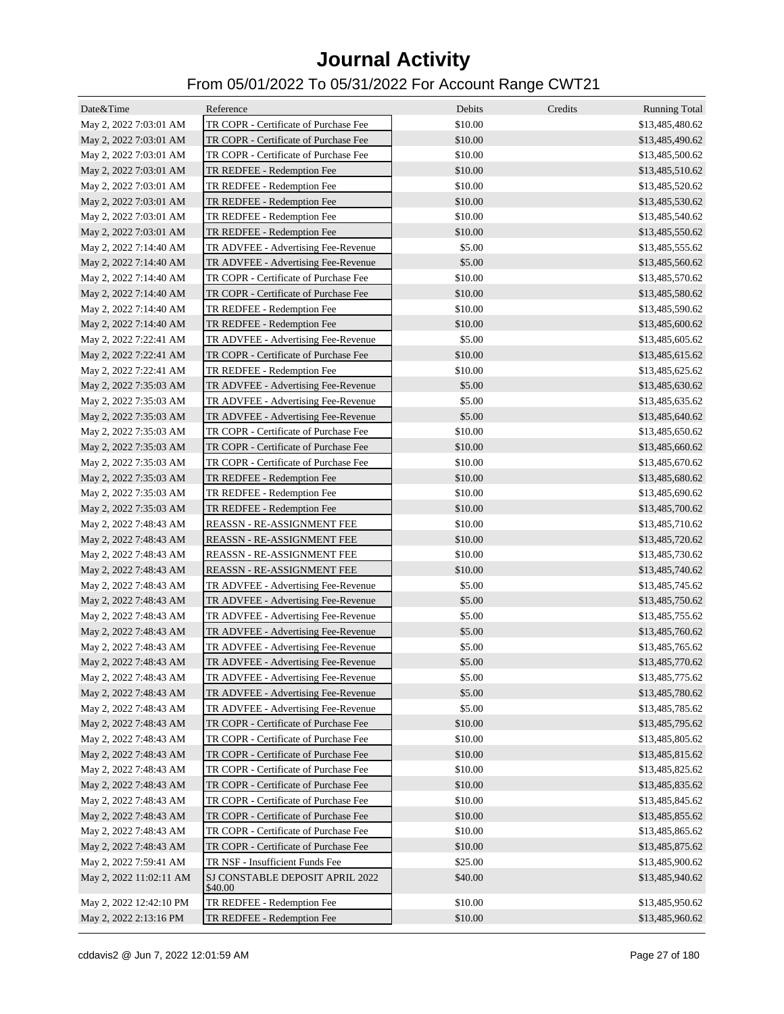| Date&Time               | Reference                                                                      | Debits  | Credits | <b>Running Total</b> |
|-------------------------|--------------------------------------------------------------------------------|---------|---------|----------------------|
| May 2, 2022 7:03:01 AM  | TR COPR - Certificate of Purchase Fee                                          | \$10.00 |         | \$13,485,480.62      |
| May 2, 2022 7:03:01 AM  | TR COPR - Certificate of Purchase Fee                                          | \$10.00 |         | \$13,485,490.62      |
| May 2, 2022 7:03:01 AM  | TR COPR - Certificate of Purchase Fee                                          | \$10.00 |         | \$13,485,500.62      |
| May 2, 2022 7:03:01 AM  | TR REDFEE - Redemption Fee                                                     | \$10.00 |         | \$13,485,510.62      |
| May 2, 2022 7:03:01 AM  | TR REDFEE - Redemption Fee                                                     | \$10.00 |         | \$13,485,520.62      |
| May 2, 2022 7:03:01 AM  | TR REDFEE - Redemption Fee                                                     | \$10.00 |         | \$13,485,530.62      |
| May 2, 2022 7:03:01 AM  | TR REDFEE - Redemption Fee                                                     | \$10.00 |         | \$13,485,540.62      |
| May 2, 2022 7:03:01 AM  | TR REDFEE - Redemption Fee                                                     | \$10.00 |         | \$13,485,550.62      |
| May 2, 2022 7:14:40 AM  | TR ADVFEE - Advertising Fee-Revenue                                            | \$5.00  |         | \$13,485,555.62      |
| May 2, 2022 7:14:40 AM  | TR ADVFEE - Advertising Fee-Revenue                                            | \$5.00  |         | \$13,485,560.62      |
| May 2, 2022 7:14:40 AM  | TR COPR - Certificate of Purchase Fee                                          | \$10.00 |         | \$13,485,570.62      |
| May 2, 2022 7:14:40 AM  | TR COPR - Certificate of Purchase Fee                                          | \$10.00 |         | \$13,485,580.62      |
| May 2, 2022 7:14:40 AM  | TR REDFEE - Redemption Fee                                                     | \$10.00 |         | \$13,485,590.62      |
| May 2, 2022 7:14:40 AM  | TR REDFEE - Redemption Fee                                                     | \$10.00 |         | \$13,485,600.62      |
| May 2, 2022 7:22:41 AM  | TR ADVFEE - Advertising Fee-Revenue                                            | \$5.00  |         | \$13,485,605.62      |
| May 2, 2022 7:22:41 AM  | TR COPR - Certificate of Purchase Fee                                          | \$10.00 |         | \$13,485,615.62      |
| May 2, 2022 7:22:41 AM  | TR REDFEE - Redemption Fee                                                     | \$10.00 |         | \$13,485,625.62      |
| May 2, 2022 7:35:03 AM  | TR ADVFEE - Advertising Fee-Revenue                                            | \$5.00  |         | \$13,485,630.62      |
|                         | TR ADVFEE - Advertising Fee-Revenue                                            | \$5.00  |         | \$13,485,635.62      |
| May 2, 2022 7:35:03 AM  | TR ADVFEE - Advertising Fee-Revenue                                            | \$5.00  |         |                      |
| May 2, 2022 7:35:03 AM  | TR COPR - Certificate of Purchase Fee                                          | \$10.00 |         | \$13,485,640.62      |
| May 2, 2022 7:35:03 AM  |                                                                                |         |         | \$13,485,650.62      |
| May 2, 2022 7:35:03 AM  | TR COPR - Certificate of Purchase Fee<br>TR COPR - Certificate of Purchase Fee | \$10.00 |         | \$13,485,660.62      |
| May 2, 2022 7:35:03 AM  |                                                                                | \$10.00 |         | \$13,485,670.62      |
| May 2, 2022 7:35:03 AM  | TR REDFEE - Redemption Fee                                                     | \$10.00 |         | \$13,485,680.62      |
| May 2, 2022 7:35:03 AM  | TR REDFEE - Redemption Fee                                                     | \$10.00 |         | \$13,485,690.62      |
| May 2, 2022 7:35:03 AM  | TR REDFEE - Redemption Fee                                                     | \$10.00 |         | \$13,485,700.62      |
| May 2, 2022 7:48:43 AM  | REASSN - RE-ASSIGNMENT FEE                                                     | \$10.00 |         | \$13,485,710.62      |
| May 2, 2022 7:48:43 AM  | <b>REASSN - RE-ASSIGNMENT FEE</b>                                              | \$10.00 |         | \$13,485,720.62      |
| May 2, 2022 7:48:43 AM  | REASSN - RE-ASSIGNMENT FEE                                                     | \$10.00 |         | \$13,485,730.62      |
| May 2, 2022 7:48:43 AM  | REASSN - RE-ASSIGNMENT FEE                                                     | \$10.00 |         | \$13,485,740.62      |
| May 2, 2022 7:48:43 AM  | TR ADVFEE - Advertising Fee-Revenue                                            | \$5.00  |         | \$13,485,745.62      |
| May 2, 2022 7:48:43 AM  | TR ADVFEE - Advertising Fee-Revenue                                            | \$5.00  |         | \$13,485,750.62      |
| May 2, 2022 7:48:43 AM  | TR ADVFEE - Advertising Fee-Revenue                                            | \$5.00  |         | \$13,485,755.62      |
| May 2, 2022 7:48:43 AM  | TR ADVFEE - Advertising Fee-Revenue                                            | \$5.00  |         | \$13,485,760.62      |
| May 2, 2022 7:48:43 AM  | TR ADVFEE - Advertising Fee-Revenue                                            | \$5.00  |         | \$13,485,765.62      |
| May 2, 2022 7:48:43 AM  | TR ADVFEE - Advertising Fee-Revenue                                            | \$5.00  |         | \$13,485,770.62      |
| May 2, 2022 7:48:43 AM  | TR ADVFEE - Advertising Fee-Revenue                                            | \$5.00  |         | \$13,485,775.62      |
| May 2, 2022 7:48:43 AM  | TR ADVFEE - Advertising Fee-Revenue                                            | \$5.00  |         | \$13,485,780.62      |
| May 2, 2022 7:48:43 AM  | TR ADVFEE - Advertising Fee-Revenue                                            | \$5.00  |         | \$13,485,785.62      |
| May 2, 2022 7:48:43 AM  | TR COPR - Certificate of Purchase Fee                                          | \$10.00 |         | \$13,485,795.62      |
| May 2, 2022 7:48:43 AM  | TR COPR - Certificate of Purchase Fee                                          | \$10.00 |         | \$13,485,805.62      |
| May 2, 2022 7:48:43 AM  | TR COPR - Certificate of Purchase Fee                                          | \$10.00 |         | \$13,485,815.62      |
| May 2, 2022 7:48:43 AM  | TR COPR - Certificate of Purchase Fee                                          | \$10.00 |         | \$13,485,825.62      |
| May 2, 2022 7:48:43 AM  | TR COPR - Certificate of Purchase Fee                                          | \$10.00 |         | \$13,485,835.62      |
| May 2, 2022 7:48:43 AM  | TR COPR - Certificate of Purchase Fee                                          | \$10.00 |         | \$13,485,845.62      |
| May 2, 2022 7:48:43 AM  | TR COPR - Certificate of Purchase Fee                                          | \$10.00 |         | \$13,485,855.62      |
| May 2, 2022 7:48:43 AM  | TR COPR - Certificate of Purchase Fee                                          | \$10.00 |         | \$13,485,865.62      |
| May 2, 2022 7:48:43 AM  | TR COPR - Certificate of Purchase Fee                                          | \$10.00 |         | \$13,485,875.62      |
| May 2, 2022 7:59:41 AM  | TR NSF - Insufficient Funds Fee                                                | \$25.00 |         | \$13,485,900.62      |
| May 2, 2022 11:02:11 AM | SJ CONSTABLE DEPOSIT APRIL 2022<br>\$40.00                                     | \$40.00 |         | \$13,485,940.62      |
| May 2, 2022 12:42:10 PM | TR REDFEE - Redemption Fee                                                     | \$10.00 |         | \$13,485,950.62      |
| May 2, 2022 2:13:16 PM  | TR REDFEE - Redemption Fee                                                     | \$10.00 |         | \$13,485,960.62      |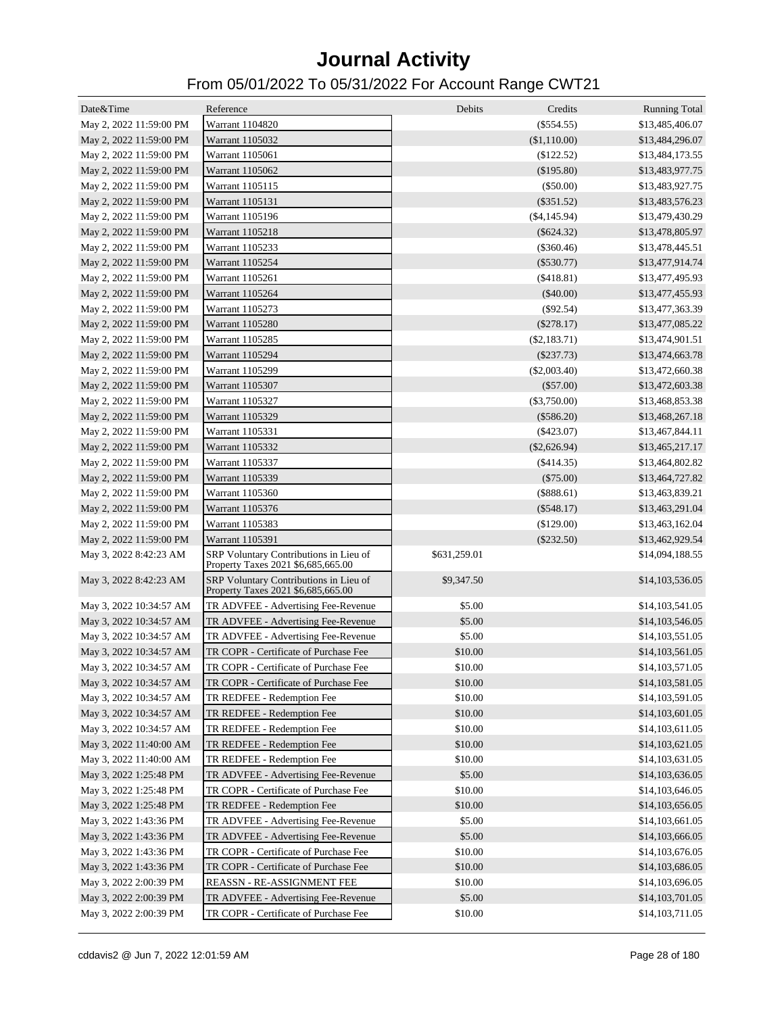| Date&Time               | Reference                                                                    | Debits       | Credits        | <b>Running Total</b> |
|-------------------------|------------------------------------------------------------------------------|--------------|----------------|----------------------|
| May 2, 2022 11:59:00 PM | Warrant 1104820                                                              |              | $(\$554.55)$   | \$13,485,406.07      |
| May 2, 2022 11:59:00 PM | Warrant 1105032                                                              |              | (\$1,110.00)   | \$13,484,296.07      |
| May 2, 2022 11:59:00 PM | Warrant 1105061                                                              |              | $(\$122.52)$   | \$13,484,173.55      |
| May 2, 2022 11:59:00 PM | Warrant 1105062                                                              |              | (\$195.80)     | \$13,483,977.75      |
| May 2, 2022 11:59:00 PM | Warrant 1105115                                                              |              | $(\$50.00)$    | \$13,483,927.75      |
| May 2, 2022 11:59:00 PM | Warrant 1105131                                                              |              | $(\$351.52)$   | \$13,483,576.23      |
|                         |                                                                              |              |                |                      |
| May 2, 2022 11:59:00 PM | Warrant 1105196                                                              |              | $(\$4,145.94)$ | \$13,479,430.29      |
| May 2, 2022 11:59:00 PM | Warrant 1105218                                                              |              | $(\$624.32)$   | \$13,478,805.97      |
| May 2, 2022 11:59:00 PM | Warrant 1105233                                                              |              | (\$360.46)     | \$13,478,445.51      |
| May 2, 2022 11:59:00 PM | Warrant 1105254                                                              |              | $(\$530.77)$   | \$13,477,914.74      |
| May 2, 2022 11:59:00 PM | Warrant 1105261                                                              |              | $(\$418.81)$   | \$13,477,495.93      |
| May 2, 2022 11:59:00 PM | Warrant 1105264                                                              |              | $(\$40.00)$    | \$13,477,455.93      |
| May 2, 2022 11:59:00 PM | Warrant 1105273                                                              |              | $(\$92.54)$    | \$13,477,363.39      |
| May 2, 2022 11:59:00 PM | Warrant 1105280                                                              |              | $(\$278.17)$   | \$13,477,085.22      |
| May 2, 2022 11:59:00 PM | Warrant 1105285                                                              |              | $(\$2,183.71)$ | \$13,474,901.51      |
| May 2, 2022 11:59:00 PM | Warrant 1105294                                                              |              | $(\$237.73)$   | \$13,474,663.78      |
| May 2, 2022 11:59:00 PM | Warrant 1105299                                                              |              | $(\$2,003.40)$ | \$13,472,660.38      |
| May 2, 2022 11:59:00 PM | Warrant 1105307                                                              |              | $(\$57.00)$    | \$13,472,603.38      |
| May 2, 2022 11:59:00 PM | Warrant 1105327                                                              |              | $(\$3,750.00)$ | \$13,468,853.38      |
| May 2, 2022 11:59:00 PM | Warrant 1105329                                                              |              | $(\$586.20)$   | \$13,468,267.18      |
| May 2, 2022 11:59:00 PM | Warrant 1105331                                                              |              | $(\$423.07)$   | \$13,467,844.11      |
| May 2, 2022 11:59:00 PM | Warrant 1105332                                                              |              | $(\$2,626.94)$ | \$13,465,217.17      |
| May 2, 2022 11:59:00 PM | Warrant 1105337                                                              |              | $(\$414.35)$   | \$13,464,802.82      |
| May 2, 2022 11:59:00 PM | Warrant 1105339                                                              |              | $(\$75.00)$    | \$13,464,727.82      |
| May 2, 2022 11:59:00 PM | Warrant 1105360                                                              |              | $(\$888.61)$   | \$13,463,839.21      |
| May 2, 2022 11:59:00 PM | Warrant 1105376                                                              |              | $(\$548.17)$   | \$13,463,291.04      |
| May 2, 2022 11:59:00 PM | Warrant 1105383                                                              |              | (\$129.00)     | \$13,463,162.04      |
| May 2, 2022 11:59:00 PM | Warrant 1105391                                                              |              | $(\$232.50)$   | \$13,462,929.54      |
| May 3, 2022 8:42:23 AM  | SRP Voluntary Contributions in Lieu of                                       | \$631,259.01 |                | \$14,094,188.55      |
|                         | Property Taxes 2021 \$6,685,665.00                                           |              |                |                      |
| May 3, 2022 8:42:23 AM  | SRP Voluntary Contributions in Lieu of<br>Property Taxes 2021 \$6,685,665.00 | \$9,347.50   |                | \$14,103,536.05      |
| May 3, 2022 10:34:57 AM | TR ADVFEE - Advertising Fee-Revenue                                          | \$5.00       |                | \$14,103,541.05      |
| May 3, 2022 10:34:57 AM | TR ADVFEE - Advertising Fee-Revenue                                          | \$5.00       |                | \$14,103,546.05      |
| May 3, 2022 10:34:57 AM | TR ADVFEE - Advertising Fee-Revenue                                          | \$5.00       |                | \$14,103,551.05      |
| May 3, 2022 10:34:57 AM | TR COPR - Certificate of Purchase Fee                                        | \$10.00      |                | \$14,103,561.05      |
| May 3, 2022 10:34:57 AM | TR COPR - Certificate of Purchase Fee                                        | \$10.00      |                | \$14,103,571.05      |
| May 3, 2022 10:34:57 AM | TR COPR - Certificate of Purchase Fee                                        | \$10.00      |                | \$14,103,581.05      |
| May 3, 2022 10:34:57 AM | TR REDFEE - Redemption Fee                                                   | \$10.00      |                | \$14,103,591.05      |
| May 3, 2022 10:34:57 AM | TR REDFEE - Redemption Fee                                                   | \$10.00      |                | \$14,103,601.05      |
| May 3, 2022 10:34:57 AM | TR REDFEE - Redemption Fee                                                   | \$10.00      |                | \$14,103,611.05      |
| May 3, 2022 11:40:00 AM | TR REDFEE - Redemption Fee                                                   | \$10.00      |                | \$14,103,621.05      |
| May 3, 2022 11:40:00 AM | TR REDFEE - Redemption Fee                                                   | \$10.00      |                | \$14,103,631.05      |
|                         | TR ADVFEE - Advertising Fee-Revenue                                          |              |                |                      |
| May 3, 2022 1:25:48 PM  |                                                                              | \$5.00       |                | \$14,103,636.05      |
| May 3, 2022 1:25:48 PM  | TR COPR - Certificate of Purchase Fee                                        | \$10.00      |                | \$14,103,646.05      |
| May 3, 2022 1:25:48 PM  | TR REDFEE - Redemption Fee                                                   | \$10.00      |                | \$14,103,656.05      |
| May 3, 2022 1:43:36 PM  | TR ADVFEE - Advertising Fee-Revenue                                          | \$5.00       |                | \$14,103,661.05      |
| May 3, 2022 1:43:36 PM  | TR ADVFEE - Advertising Fee-Revenue                                          | \$5.00       |                | \$14,103,666.05      |
| May 3, 2022 1:43:36 PM  | TR COPR - Certificate of Purchase Fee                                        | \$10.00      |                | \$14,103,676.05      |
| May 3, 2022 1:43:36 PM  | TR COPR - Certificate of Purchase Fee                                        | \$10.00      |                | \$14,103,686.05      |
| May 3, 2022 2:00:39 PM  | REASSN - RE-ASSIGNMENT FEE                                                   | \$10.00      |                | \$14,103,696.05      |
| May 3, 2022 2:00:39 PM  | TR ADVFEE - Advertising Fee-Revenue                                          | \$5.00       |                | \$14,103,701.05      |
| May 3, 2022 2:00:39 PM  | TR COPR - Certificate of Purchase Fee                                        | \$10.00      |                | \$14,103,711.05      |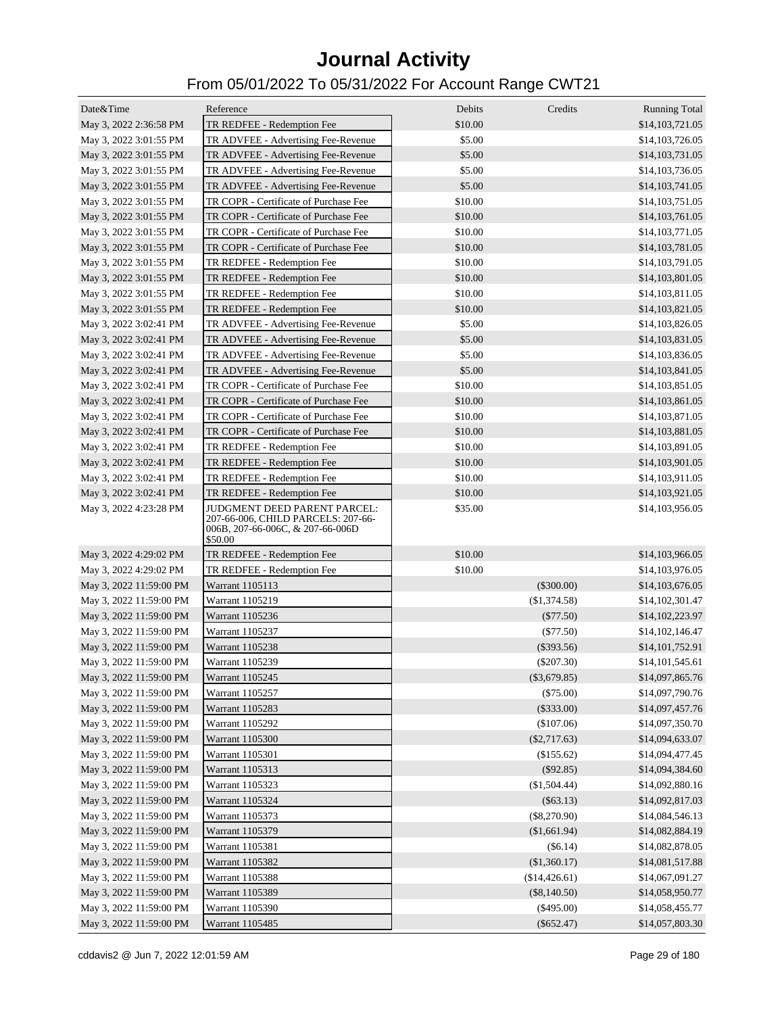| Date&Time               | Reference                                                                         | Debits  | Credits        | <b>Running Total</b> |
|-------------------------|-----------------------------------------------------------------------------------|---------|----------------|----------------------|
| May 3, 2022 2:36:58 PM  | TR REDFEE - Redemption Fee                                                        | \$10.00 |                | \$14,103,721.05      |
| May 3, 2022 3:01:55 PM  | TR ADVFEE - Advertising Fee-Revenue                                               | \$5.00  |                | \$14,103,726.05      |
| May 3, 2022 3:01:55 PM  | TR ADVFEE - Advertising Fee-Revenue                                               | \$5.00  |                | \$14,103,731.05      |
| May 3, 2022 3:01:55 PM  | TR ADVFEE - Advertising Fee-Revenue                                               | \$5.00  |                | \$14,103,736.05      |
| May 3, 2022 3:01:55 PM  | TR ADVFEE - Advertising Fee-Revenue                                               | \$5.00  |                | \$14,103,741.05      |
| May 3, 2022 3:01:55 PM  | TR COPR - Certificate of Purchase Fee                                             | \$10.00 |                | \$14,103,751.05      |
| May 3, 2022 3:01:55 PM  | TR COPR - Certificate of Purchase Fee                                             | \$10.00 |                | \$14,103,761.05      |
| May 3, 2022 3:01:55 PM  | TR COPR - Certificate of Purchase Fee                                             | \$10.00 |                | \$14,103,771.05      |
| May 3, 2022 3:01:55 PM  | TR COPR - Certificate of Purchase Fee                                             | \$10.00 |                | \$14,103,781.05      |
| May 3, 2022 3:01:55 PM  | TR REDFEE - Redemption Fee                                                        | \$10.00 |                | \$14,103,791.05      |
| May 3, 2022 3:01:55 PM  | TR REDFEE - Redemption Fee                                                        | \$10.00 |                | \$14,103,801.05      |
| May 3, 2022 3:01:55 PM  | TR REDFEE - Redemption Fee                                                        | \$10.00 |                | \$14,103,811.05      |
| May 3, 2022 3:01:55 PM  | TR REDFEE - Redemption Fee                                                        | \$10.00 |                | \$14,103,821.05      |
| May 3, 2022 3:02:41 PM  | TR ADVFEE - Advertising Fee-Revenue                                               | \$5.00  |                | \$14,103,826.05      |
| May 3, 2022 3:02:41 PM  | TR ADVFEE - Advertising Fee-Revenue                                               | \$5.00  |                | \$14,103,831.05      |
| May 3, 2022 3:02:41 PM  | TR ADVFEE - Advertising Fee-Revenue                                               | \$5.00  |                | \$14,103,836.05      |
| May 3, 2022 3:02:41 PM  | TR ADVFEE - Advertising Fee-Revenue                                               | \$5.00  |                | \$14,103,841.05      |
| May 3, 2022 3:02:41 PM  | TR COPR - Certificate of Purchase Fee                                             | \$10.00 |                | \$14,103,851.05      |
| May 3, 2022 3:02:41 PM  | TR COPR - Certificate of Purchase Fee                                             | \$10.00 |                | \$14,103,861.05      |
| May 3, 2022 3:02:41 PM  | TR COPR - Certificate of Purchase Fee                                             | \$10.00 |                | \$14,103,871.05      |
| May 3, 2022 3:02:41 PM  | TR COPR - Certificate of Purchase Fee                                             | \$10.00 |                | \$14,103,881.05      |
| May 3, 2022 3:02:41 PM  | TR REDFEE - Redemption Fee                                                        | \$10.00 |                | \$14,103,891.05      |
| May 3, 2022 3:02:41 PM  | TR REDFEE - Redemption Fee                                                        | \$10.00 |                | \$14,103,901.05      |
| May 3, 2022 3:02:41 PM  | TR REDFEE - Redemption Fee                                                        | \$10.00 |                | \$14,103,911.05      |
| May 3, 2022 3:02:41 PM  | TR REDFEE - Redemption Fee                                                        | \$10.00 |                | \$14,103,921.05      |
| May 3, 2022 4:23:28 PM  | JUDGMENT DEED PARENT PARCEL:                                                      | \$35.00 |                | \$14,103,956.05      |
|                         | 207-66-006, CHILD PARCELS: 207-66-<br>006B, 207-66-006C, & 207-66-006D<br>\$50.00 |         |                |                      |
| May 3, 2022 4:29:02 PM  | TR REDFEE - Redemption Fee                                                        | \$10.00 |                | \$14,103,966.05      |
| May 3, 2022 4:29:02 PM  | TR REDFEE - Redemption Fee                                                        | \$10.00 |                | \$14,103,976.05      |
| May 3, 2022 11:59:00 PM | Warrant 1105113                                                                   |         | $(\$300.00)$   | \$14,103,676.05      |
| May 3, 2022 11:59:00 PM | Warrant 1105219                                                                   |         | (\$1,374.58)   | \$14,102,301.47      |
| May 3, 2022 11:59:00 PM | Warrant 1105236                                                                   |         | $(\$77.50)$    | \$14,102,223.97      |
| May 3, 2022 11:59:00 PM | Warrant 1105237                                                                   |         | $(\$77.50)$    | \$14,102,146.47      |
| May 3, 2022 11:59:00 PM | Warrant 1105238                                                                   |         | $(\$393.56)$   | \$14,101,752.91      |
| May 3, 2022 11:59:00 PM | Warrant 1105239                                                                   |         | $(\$207.30)$   | \$14,101,545.61      |
| May 3, 2022 11:59:00 PM | Warrant 1105245                                                                   |         | $(\$3,679.85)$ | \$14,097,865.76      |
| May 3, 2022 11:59:00 PM | Warrant 1105257                                                                   |         | (\$75.00)      | \$14,097,790.76      |
| May 3, 2022 11:59:00 PM | Warrant 1105283                                                                   |         | $(\$333.00)$   | \$14,097,457.76      |
| May 3, 2022 11:59:00 PM | Warrant 1105292                                                                   |         | (\$107.06)     | \$14,097,350.70      |
| May 3, 2022 11:59:00 PM | Warrant 1105300                                                                   |         | $(\$2,717.63)$ | \$14,094,633.07      |
| May 3, 2022 11:59:00 PM | Warrant 1105301                                                                   |         | (\$155.62)     | \$14,094,477.45      |
| May 3, 2022 11:59:00 PM | Warrant 1105313                                                                   |         | $(\$92.85)$    | \$14,094,384.60      |
| May 3, 2022 11:59:00 PM | Warrant 1105323                                                                   |         | (\$1,504.44)   | \$14,092,880.16      |
| May 3, 2022 11:59:00 PM | Warrant 1105324                                                                   |         | $(\$63.13)$    | \$14,092,817.03      |
| May 3, 2022 11:59:00 PM | Warrant 1105373                                                                   |         | $(\$8,270.90)$ | \$14,084,546.13      |
| May 3, 2022 11:59:00 PM | Warrant 1105379                                                                   |         | (\$1,661.94)   | \$14,082,884.19      |
| May 3, 2022 11:59:00 PM | Warrant 1105381                                                                   |         | $(\$6.14)$     | \$14,082,878.05      |
| May 3, 2022 11:59:00 PM | Warrant 1105382                                                                   |         | (\$1,360.17)   | \$14,081,517.88      |
| May 3, 2022 11:59:00 PM | Warrant 1105388                                                                   |         | (\$14,426.61)  | \$14,067,091.27      |
| May 3, 2022 11:59:00 PM | Warrant 1105389                                                                   |         | $(\$8,140.50)$ | \$14,058,950.77      |
| May 3, 2022 11:59:00 PM | Warrant 1105390                                                                   |         | $(\$495.00)$   | \$14,058,455.77      |
| May 3, 2022 11:59:00 PM | Warrant 1105485                                                                   |         | $(\$652.47)$   | \$14,057,803.30      |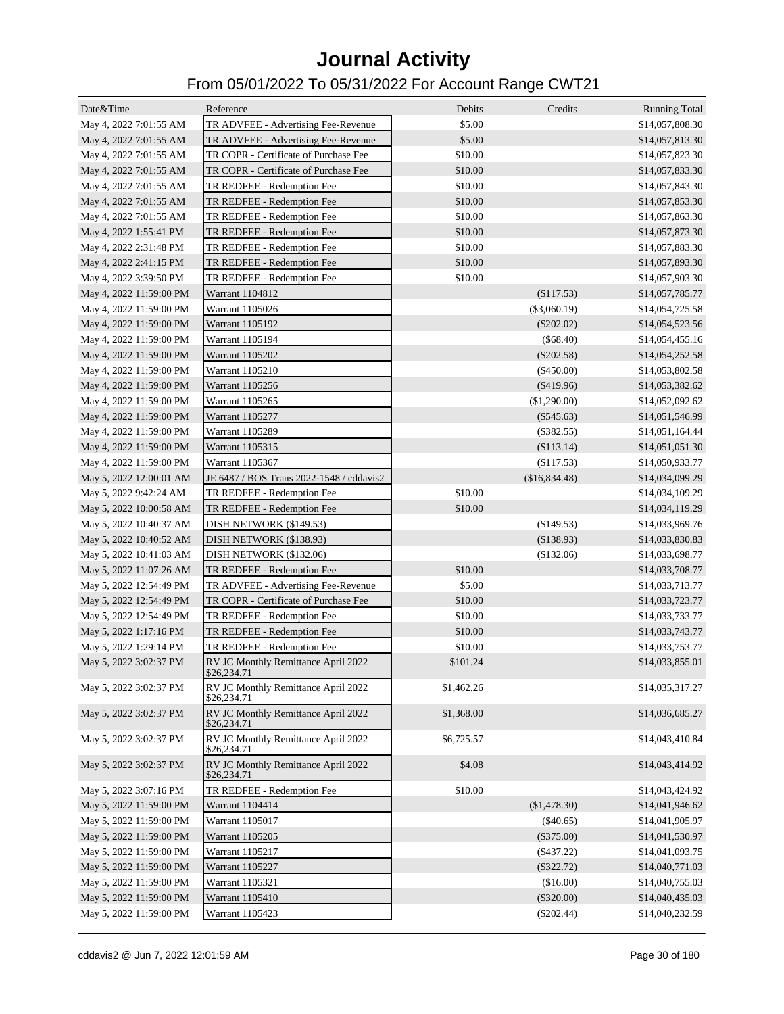| Date&Time               | Reference                                          | Debits     | Credits        | <b>Running Total</b> |
|-------------------------|----------------------------------------------------|------------|----------------|----------------------|
| May 4, 2022 7:01:55 AM  | TR ADVFEE - Advertising Fee-Revenue                | \$5.00     |                | \$14,057,808.30      |
| May 4, 2022 7:01:55 AM  | TR ADVFEE - Advertising Fee-Revenue                | \$5.00     |                | \$14,057,813.30      |
| May 4, 2022 7:01:55 AM  | TR COPR - Certificate of Purchase Fee              | \$10.00    |                | \$14,057,823.30      |
| May 4, 2022 7:01:55 AM  | TR COPR - Certificate of Purchase Fee              | \$10.00    |                | \$14,057,833.30      |
| May 4, 2022 7:01:55 AM  | TR REDFEE - Redemption Fee                         | \$10.00    |                | \$14,057,843.30      |
| May 4, 2022 7:01:55 AM  | TR REDFEE - Redemption Fee                         | \$10.00    |                | \$14,057,853.30      |
| May 4, 2022 7:01:55 AM  | TR REDFEE - Redemption Fee                         | \$10.00    |                | \$14,057,863.30      |
| May 4, 2022 1:55:41 PM  | TR REDFEE - Redemption Fee                         | \$10.00    |                | \$14,057,873.30      |
| May 4, 2022 2:31:48 PM  | TR REDFEE - Redemption Fee                         | \$10.00    |                | \$14,057,883.30      |
| May 4, 2022 2:41:15 PM  | TR REDFEE - Redemption Fee                         | \$10.00    |                | \$14,057,893.30      |
| May 4, 2022 3:39:50 PM  | TR REDFEE - Redemption Fee                         | \$10.00    |                | \$14,057,903.30      |
| May 4, 2022 11:59:00 PM | Warrant 1104812                                    |            | (\$117.53)     | \$14,057,785.77      |
| May 4, 2022 11:59:00 PM | Warrant 1105026                                    |            | $(\$3,060.19)$ | \$14,054,725.58      |
| May 4, 2022 11:59:00 PM | Warrant 1105192                                    |            | $(\$202.02)$   | \$14,054,523.56      |
| May 4, 2022 11:59:00 PM | Warrant 1105194                                    |            | (\$68.40)      | \$14,054,455.16      |
| May 4, 2022 11:59:00 PM | Warrant 1105202                                    |            | $(\$202.58)$   | \$14,054,252.58      |
| May 4, 2022 11:59:00 PM | Warrant 1105210                                    |            | $(\$450.00)$   | \$14,053,802.58      |
| May 4, 2022 11:59:00 PM | Warrant 1105256                                    |            | $(\$419.96)$   | \$14,053,382.62      |
|                         | Warrant 1105265                                    |            | (\$1,290.00)   |                      |
| May 4, 2022 11:59:00 PM |                                                    |            |                | \$14,052,092.62      |
| May 4, 2022 11:59:00 PM | Warrant 1105277                                    |            | $(\$545.63)$   | \$14,051,546.99      |
| May 4, 2022 11:59:00 PM | Warrant 1105289                                    |            | $(\$382.55)$   | \$14,051,164.44      |
| May 4, 2022 11:59:00 PM | Warrant 1105315                                    |            | (\$113.14)     | \$14,051,051.30      |
| May 4, 2022 11:59:00 PM | Warrant 1105367                                    |            | (\$117.53)     | \$14,050,933.77      |
| May 5, 2022 12:00:01 AM | JE 6487 / BOS Trans 2022-1548 / cddavis2           |            | (\$16,834.48)  | \$14,034,099.29      |
| May 5, 2022 9:42:24 AM  | TR REDFEE - Redemption Fee                         | \$10.00    |                | \$14,034,109.29      |
| May 5, 2022 10:00:58 AM | TR REDFEE - Redemption Fee                         | \$10.00    |                | \$14,034,119.29      |
| May 5, 2022 10:40:37 AM | DISH NETWORK (\$149.53)                            |            | (\$149.53)     | \$14,033,969.76      |
| May 5, 2022 10:40:52 AM | DISH NETWORK (\$138.93)                            |            | (\$138.93)     | \$14,033,830.83      |
| May 5, 2022 10:41:03 AM | DISH NETWORK (\$132.06)                            |            | (\$132.06)     | \$14,033,698.77      |
| May 5, 2022 11:07:26 AM | TR REDFEE - Redemption Fee                         | \$10.00    |                | \$14,033,708.77      |
| May 5, 2022 12:54:49 PM | TR ADVFEE - Advertising Fee-Revenue                | \$5.00     |                | \$14,033,713.77      |
| May 5, 2022 12:54:49 PM | TR COPR - Certificate of Purchase Fee              | \$10.00    |                | \$14,033,723.77      |
| May 5, 2022 12:54:49 PM | TR REDFEE - Redemption Fee                         | \$10.00    |                | \$14,033,733.77      |
| May 5, 2022 1:17:16 PM  | TR REDFEE - Redemption Fee                         | \$10.00    |                | \$14,033,743.77      |
| May 5, 2022 1:29:14 PM  | TR REDFEE - Redemption Fee                         | \$10.00    |                | \$14,033,753.77      |
| May 5, 2022 3:02:37 PM  | RV JC Monthly Remittance April 2022<br>20,234.71   | \$101.24   |                | \$14,033,855.01      |
| May 5, 2022 3:02:37 PM  | RV JC Monthly Remittance April 2022<br>\$26,234.71 | \$1,462.26 |                | \$14,035,317.27      |
| May 5, 2022 3:02:37 PM  | RV JC Monthly Remittance April 2022<br>\$26,234.71 | \$1,368.00 |                | \$14,036,685.27      |
| May 5, 2022 3:02:37 PM  | RV JC Monthly Remittance April 2022<br>\$26,234.71 | \$6,725.57 |                | \$14,043,410.84      |
| May 5, 2022 3:02:37 PM  | RV JC Monthly Remittance April 2022<br>\$26,234.71 | \$4.08     |                | \$14,043,414.92      |
| May 5, 2022 3:07:16 PM  | TR REDFEE - Redemption Fee                         | \$10.00    |                | \$14,043,424.92      |
| May 5, 2022 11:59:00 PM | Warrant 1104414                                    |            | (\$1,478.30)   | \$14,041,946.62      |
| May 5, 2022 11:59:00 PM | Warrant 1105017                                    |            | $(\$40.65)$    | \$14,041,905.97      |
| May 5, 2022 11:59:00 PM | Warrant 1105205                                    |            | $(\$375.00)$   | \$14,041,530.97      |
| May 5, 2022 11:59:00 PM | Warrant 1105217                                    |            | $(\$437.22)$   | \$14,041,093.75      |
| May 5, 2022 11:59:00 PM | Warrant 1105227                                    |            | $(\$322.72)$   | \$14,040,771.03      |
| May 5, 2022 11:59:00 PM | Warrant 1105321                                    |            | (\$16.00)      | \$14,040,755.03      |
| May 5, 2022 11:59:00 PM | Warrant 1105410                                    |            | $(\$320.00)$   | \$14,040,435.03      |
| May 5, 2022 11:59:00 PM | Warrant 1105423                                    |            | $(\$202.44)$   | \$14,040,232.59      |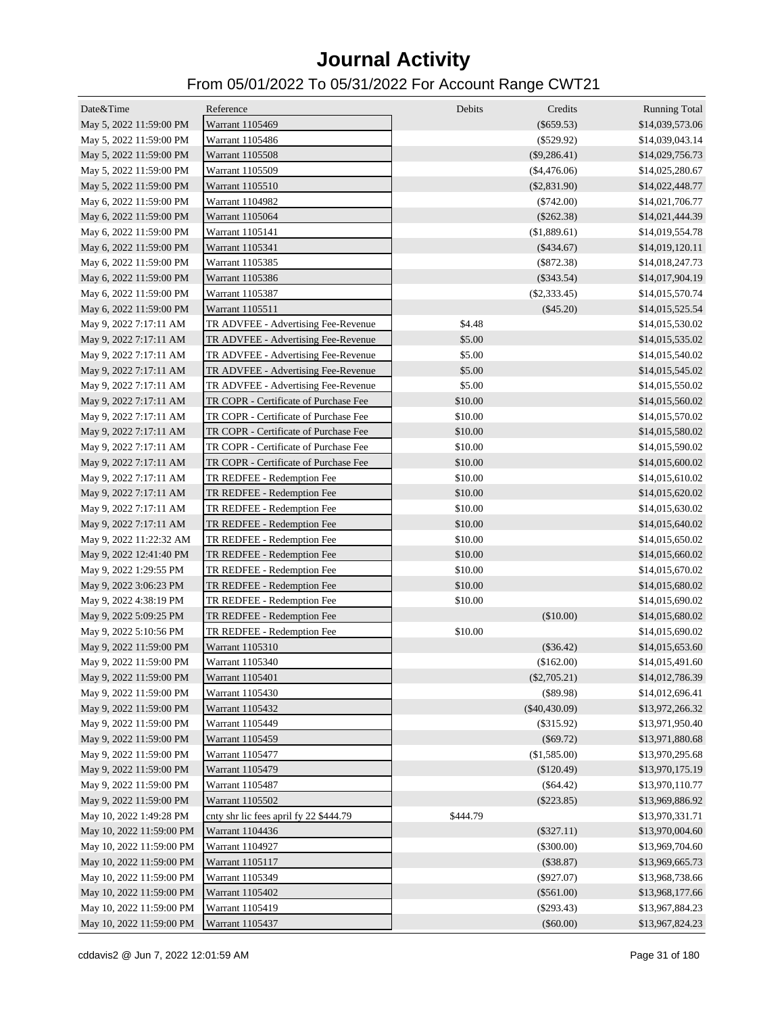| Date&Time                | Reference                              | Debits   | Credits         | <b>Running Total</b> |
|--------------------------|----------------------------------------|----------|-----------------|----------------------|
| May 5, 2022 11:59:00 PM  | Warrant 1105469                        |          | $(\$659.53)$    | \$14,039,573.06      |
| May 5, 2022 11:59:00 PM  | Warrant 1105486                        |          | $(\$529.92)$    | \$14,039,043.14      |
| May 5, 2022 11:59:00 PM  | Warrant 1105508                        |          | $(\$9,286.41)$  | \$14,029,756.73      |
| May 5, 2022 11:59:00 PM  | Warrant 1105509                        |          | $(\$4,476.06)$  | \$14,025,280.67      |
| May 5, 2022 11:59:00 PM  | Warrant 1105510                        |          | $(\$2,831.90)$  | \$14,022,448.77      |
| May 6, 2022 11:59:00 PM  | Warrant 1104982                        |          | $(\$742.00)$    | \$14,021,706.77      |
| May 6, 2022 11:59:00 PM  | Warrant 1105064                        |          | $(\$262.38)$    | \$14,021,444.39      |
| May 6, 2022 11:59:00 PM  | Warrant 1105141                        |          | (\$1,889.61)    | \$14,019,554.78      |
| May 6, 2022 11:59:00 PM  | Warrant 1105341                        |          | $(\$434.67)$    | \$14,019,120.11      |
| May 6, 2022 11:59:00 PM  | Warrant 1105385                        |          | $(\$872.38)$    | \$14,018,247.73      |
| May 6, 2022 11:59:00 PM  | Warrant 1105386                        |          | $(\$343.54)$    | \$14,017,904.19      |
| May 6, 2022 11:59:00 PM  | Warrant 1105387                        |          | $(\$2,333.45)$  | \$14,015,570.74      |
| May 6, 2022 11:59:00 PM  | Warrant 1105511                        |          | $(\$45.20)$     | \$14,015,525.54      |
| May 9, 2022 7:17:11 AM   | TR ADVFEE - Advertising Fee-Revenue    | \$4.48   |                 | \$14,015,530.02      |
| May 9, 2022 7:17:11 AM   | TR ADVFEE - Advertising Fee-Revenue    | \$5.00   |                 | \$14,015,535.02      |
| May 9, 2022 7:17:11 AM   | TR ADVFEE - Advertising Fee-Revenue    | \$5.00   |                 | \$14,015,540.02      |
| May 9, 2022 7:17:11 AM   | TR ADVFEE - Advertising Fee-Revenue    | \$5.00   |                 | \$14,015,545.02      |
| May 9, 2022 7:17:11 AM   | TR ADVFEE - Advertising Fee-Revenue    | \$5.00   |                 | \$14,015,550.02      |
| May 9, 2022 7:17:11 AM   | TR COPR - Certificate of Purchase Fee  | \$10.00  |                 | \$14,015,560.02      |
| May 9, 2022 7:17:11 AM   | TR COPR - Certificate of Purchase Fee  | \$10.00  |                 | \$14,015,570.02      |
| May 9, 2022 7:17:11 AM   | TR COPR - Certificate of Purchase Fee  | \$10.00  |                 | \$14,015,580.02      |
| May 9, 2022 7:17:11 AM   | TR COPR - Certificate of Purchase Fee  | \$10.00  |                 | \$14,015,590.02      |
| May 9, 2022 7:17:11 AM   | TR COPR - Certificate of Purchase Fee  | \$10.00  |                 | \$14,015,600.02      |
| May 9, 2022 7:17:11 AM   | TR REDFEE - Redemption Fee             | \$10.00  |                 | \$14,015,610.02      |
| May 9, 2022 7:17:11 AM   | TR REDFEE - Redemption Fee             | \$10.00  |                 | \$14,015,620.02      |
| May 9, 2022 7:17:11 AM   | TR REDFEE - Redemption Fee             | \$10.00  |                 | \$14,015,630.02      |
| May 9, 2022 7:17:11 AM   | TR REDFEE - Redemption Fee             | \$10.00  |                 | \$14,015,640.02      |
| May 9, 2022 11:22:32 AM  | TR REDFEE - Redemption Fee             | \$10.00  |                 | \$14,015,650.02      |
| May 9, 2022 12:41:40 PM  | TR REDFEE - Redemption Fee             | \$10.00  |                 | \$14,015,660.02      |
| May 9, 2022 1:29:55 PM   | TR REDFEE - Redemption Fee             | \$10.00  |                 | \$14,015,670.02      |
| May 9, 2022 3:06:23 PM   | TR REDFEE - Redemption Fee             | \$10.00  |                 | \$14,015,680.02      |
| May 9, 2022 4:38:19 PM   | TR REDFEE - Redemption Fee             | \$10.00  |                 | \$14,015,690.02      |
| May 9, 2022 5:09:25 PM   | TR REDFEE - Redemption Fee             |          | (\$10.00)       | \$14,015,680.02      |
| May 9, 2022 5:10:56 PM   | TR REDFEE - Redemption Fee             | \$10.00  |                 | \$14,015,690.02      |
| May 9, 2022 11:59:00 PM  | Warrant 1105310                        |          | $(\$36.42)$     | \$14,015,653.60      |
| May 9, 2022 11:59:00 PM  | Warrant 1105340                        |          | (\$162.00)      | \$14,015,491.60      |
| May 9, 2022 11:59:00 PM  | Warrant 1105401                        |          | $(\$2,705.21)$  | \$14,012,786.39      |
| May 9, 2022 11:59:00 PM  | Warrant 1105430                        |          | (\$89.98)       | \$14,012,696.41      |
| May 9, 2022 11:59:00 PM  | Warrant 1105432                        |          | $(\$40,430.09)$ | \$13,972,266.32      |
| May 9, 2022 11:59:00 PM  | Warrant 1105449                        |          | $(\$315.92)$    | \$13,971,950.40      |
| May 9, 2022 11:59:00 PM  | Warrant 1105459                        |          | $(\$69.72)$     | \$13,971,880.68      |
| May 9, 2022 11:59:00 PM  | Warrant 1105477                        |          | (\$1,585.00)    | \$13,970,295.68      |
| May 9, 2022 11:59:00 PM  | Warrant 1105479                        |          | $(\$120.49)$    | \$13,970,175.19      |
| May 9, 2022 11:59:00 PM  | Warrant 1105487                        |          | (\$64.42)       | \$13,970,110.77      |
| May 9, 2022 11:59:00 PM  | Warrant 1105502                        |          | $(\$223.85)$    | \$13,969,886.92      |
| May 10, 2022 1:49:28 PM  | cnty shr lic fees april fy 22 \$444.79 | \$444.79 |                 | \$13,970,331.71      |
| May 10, 2022 11:59:00 PM | Warrant 1104436                        |          | $(\$327.11)$    | \$13,970,004.60      |
| May 10, 2022 11:59:00 PM | Warrant 1104927                        |          | $(\$300.00)$    | \$13,969,704.60      |
| May 10, 2022 11:59:00 PM | Warrant 1105117                        |          | (\$38.87)       | \$13,969,665.73      |
| May 10, 2022 11:59:00 PM | Warrant 1105349                        |          | $(\$927.07)$    | \$13,968,738.66      |
| May 10, 2022 11:59:00 PM | Warrant 1105402                        |          | $(\$561.00)$    | \$13,968,177.66      |
| May 10, 2022 11:59:00 PM | Warrant 1105419                        |          | $(\$293.43)$    | \$13,967,884.23      |
| May 10, 2022 11:59:00 PM | Warrant 1105437                        |          | $(\$60.00)$     | \$13,967,824.23      |
|                          |                                        |          |                 |                      |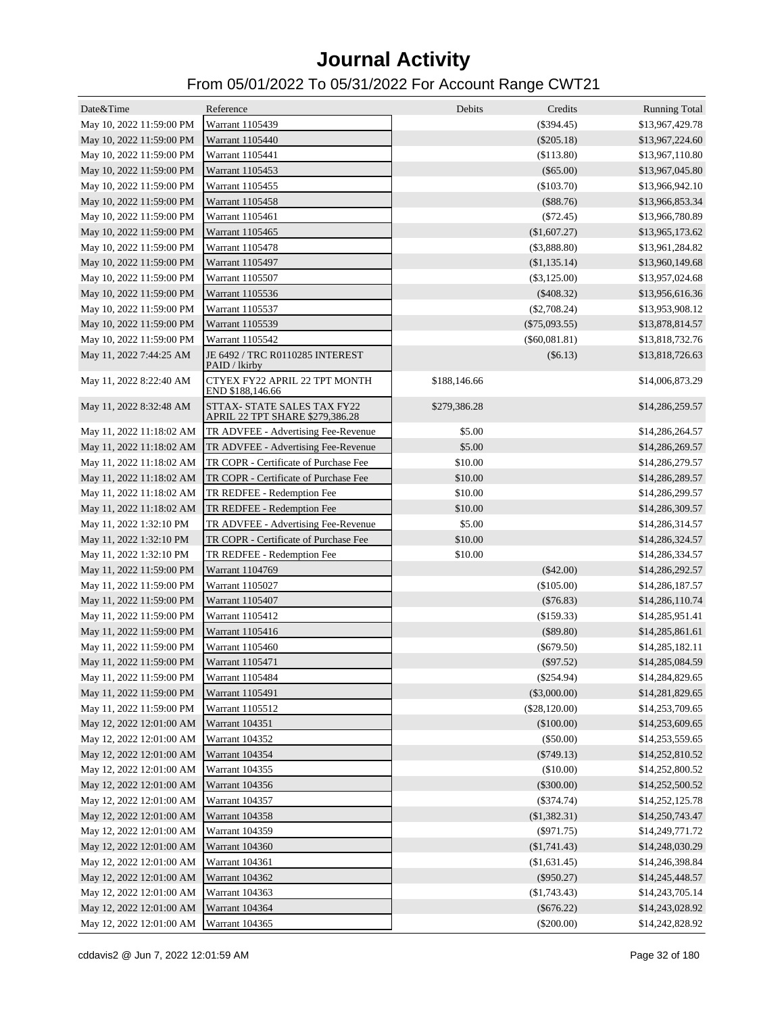| Date&Time                | Reference                                                      | Debits       | Credits         | <b>Running Total</b> |
|--------------------------|----------------------------------------------------------------|--------------|-----------------|----------------------|
| May 10, 2022 11:59:00 PM | Warrant 1105439                                                |              | $(\$394.45)$    | \$13,967,429.78      |
| May 10, 2022 11:59:00 PM | Warrant 1105440                                                |              | $(\$205.18)$    | \$13,967,224.60      |
| May 10, 2022 11:59:00 PM | Warrant 1105441                                                |              | (\$113.80)      | \$13,967,110.80      |
| May 10, 2022 11:59:00 PM | Warrant 1105453                                                |              | $(\$65.00)$     | \$13,967,045.80      |
| May 10, 2022 11:59:00 PM | Warrant 1105455                                                |              | $(\$103.70)$    | \$13,966,942.10      |
| May 10, 2022 11:59:00 PM | Warrant 1105458                                                |              | (\$88.76)       | \$13,966,853.34      |
| May 10, 2022 11:59:00 PM | Warrant 1105461                                                |              | $(\$72.45)$     | \$13,966,780.89      |
| May 10, 2022 11:59:00 PM | Warrant 1105465                                                |              | (\$1,607.27)    | \$13,965,173.62      |
| May 10, 2022 11:59:00 PM | Warrant 1105478                                                |              | (\$3,888.80)    | \$13,961,284.82      |
| May 10, 2022 11:59:00 PM | Warrant 1105497                                                |              | (\$1,135.14)    | \$13,960,149.68      |
| May 10, 2022 11:59:00 PM | Warrant 1105507                                                |              | $(\$3,125.00)$  | \$13,957,024.68      |
| May 10, 2022 11:59:00 PM | Warrant 1105536                                                |              | $(\$408.32)$    | \$13,956,616.36      |
| May 10, 2022 11:59:00 PM | Warrant 1105537                                                |              | $(\$2,708.24)$  | \$13,953,908.12      |
| May 10, 2022 11:59:00 PM | Warrant 1105539                                                |              | $(\$75,093.55)$ | \$13,878,814.57      |
| May 10, 2022 11:59:00 PM | Warrant 1105542                                                |              | $(\$60,081.81)$ | \$13,818,732.76      |
| May 11, 2022 7:44:25 AM  | JE 6492 / TRC R0110285 INTEREST<br>PAID / lkirby               |              | (\$6.13)        | \$13,818,726.63      |
| May 11, 2022 8:22:40 AM  | CTYEX FY22 APRIL 22 TPT MONTH<br>END \$188,146.66              | \$188,146.66 |                 | \$14,006,873.29      |
| May 11, 2022 8:32:48 AM  | STTAX- STATE SALES TAX FY22<br>APRIL 22 TPT SHARE \$279,386.28 | \$279,386.28 |                 | \$14,286,259.57      |
| May 11, 2022 11:18:02 AM | TR ADVFEE - Advertising Fee-Revenue                            | \$5.00       |                 | \$14,286,264.57      |
| May 11, 2022 11:18:02 AM | TR ADVFEE - Advertising Fee-Revenue                            | \$5.00       |                 | \$14,286,269.57      |
| May 11, 2022 11:18:02 AM | TR COPR - Certificate of Purchase Fee                          | \$10.00      |                 | \$14,286,279.57      |
| May 11, 2022 11:18:02 AM | TR COPR - Certificate of Purchase Fee                          | \$10.00      |                 | \$14,286,289.57      |
| May 11, 2022 11:18:02 AM | TR REDFEE - Redemption Fee                                     | \$10.00      |                 | \$14,286,299.57      |
| May 11, 2022 11:18:02 AM | TR REDFEE - Redemption Fee                                     | \$10.00      |                 | \$14,286,309.57      |
| May 11, 2022 1:32:10 PM  | TR ADVFEE - Advertising Fee-Revenue                            | \$5.00       |                 | \$14,286,314.57      |
| May 11, 2022 1:32:10 PM  | TR COPR - Certificate of Purchase Fee                          | \$10.00      |                 | \$14,286,324.57      |
| May 11, 2022 1:32:10 PM  | TR REDFEE - Redemption Fee                                     | \$10.00      |                 | \$14,286,334.57      |
| May 11, 2022 11:59:00 PM | Warrant 1104769                                                |              | $(\$42.00)$     | \$14,286,292.57      |
| May 11, 2022 11:59:00 PM | Warrant 1105027                                                |              | $(\$105.00)$    | \$14,286,187.57      |
| May 11, 2022 11:59:00 PM | Warrant 1105407                                                |              | $(\$76.83)$     | \$14,286,110.74      |
| May 11, 2022 11:59:00 PM | Warrant 1105412                                                |              | (\$159.33)      | \$14,285,951.41      |
| May 11, 2022 11:59:00 PM | Warrant 1105416                                                |              | (\$89.80)       | \$14,285,861.61      |
| May 11, 2022 11:59:00 PM | Warrant 1105460                                                |              | $(\$679.50)$    | \$14,285,182.11      |
| May 11, 2022 11:59:00 PM | Warrant 1105471                                                |              | $(\$97.52)$     | \$14,285,084.59      |
| May 11, 2022 11:59:00 PM | Warrant 1105484                                                |              | $(\$254.94)$    | \$14,284,829.65      |
| May 11, 2022 11:59:00 PM | Warrant 1105491                                                |              | $(\$3,000.00)$  | \$14,281,829.65      |
| May 11, 2022 11:59:00 PM | Warrant 1105512                                                |              | $(\$28,120.00)$ | \$14,253,709.65      |
| May 12, 2022 12:01:00 AM | Warrant 104351                                                 |              | (\$100.00)      | \$14,253,609.65      |
| May 12, 2022 12:01:00 AM | Warrant 104352                                                 |              | (\$50.00)       | \$14,253,559.65      |
| May 12, 2022 12:01:00 AM | Warrant 104354                                                 |              | $(\$749.13)$    | \$14,252,810.52      |
| May 12, 2022 12:01:00 AM | Warrant 104355                                                 |              | (\$10.00)       | \$14,252,800.52      |
| May 12, 2022 12:01:00 AM | Warrant 104356                                                 |              | $(\$300.00)$    | \$14,252,500.52      |
| May 12, 2022 12:01:00 AM | Warrant 104357                                                 |              | $(\$374.74)$    | \$14,252,125.78      |
|                          |                                                                |              |                 |                      |
| May 12, 2022 12:01:00 AM | Warrant 104358                                                 |              | (\$1,382.31)    | \$14,250,743.47      |
| May 12, 2022 12:01:00 AM | Warrant 104359                                                 |              | $(\$971.75)$    | \$14,249,771.72      |
| May 12, 2022 12:01:00 AM | Warrant 104360                                                 |              | $(\$1,741.43)$  | \$14,248,030.29      |
| May 12, 2022 12:01:00 AM | Warrant 104361                                                 |              | (\$1,631.45)    | \$14,246,398.84      |
| May 12, 2022 12:01:00 AM | Warrant 104362                                                 |              | $(\$950.27)$    | \$14,245,448.57      |
| May 12, 2022 12:01:00 AM | Warrant 104363                                                 |              | $(\$1,743.43)$  | \$14,243,705.14      |
| May 12, 2022 12:01:00 AM | Warrant 104364                                                 |              | $(\$676.22)$    | \$14,243,028.92      |
| May 12, 2022 12:01:00 AM | Warrant 104365                                                 |              | $(\$200.00)$    | \$14,242,828.92      |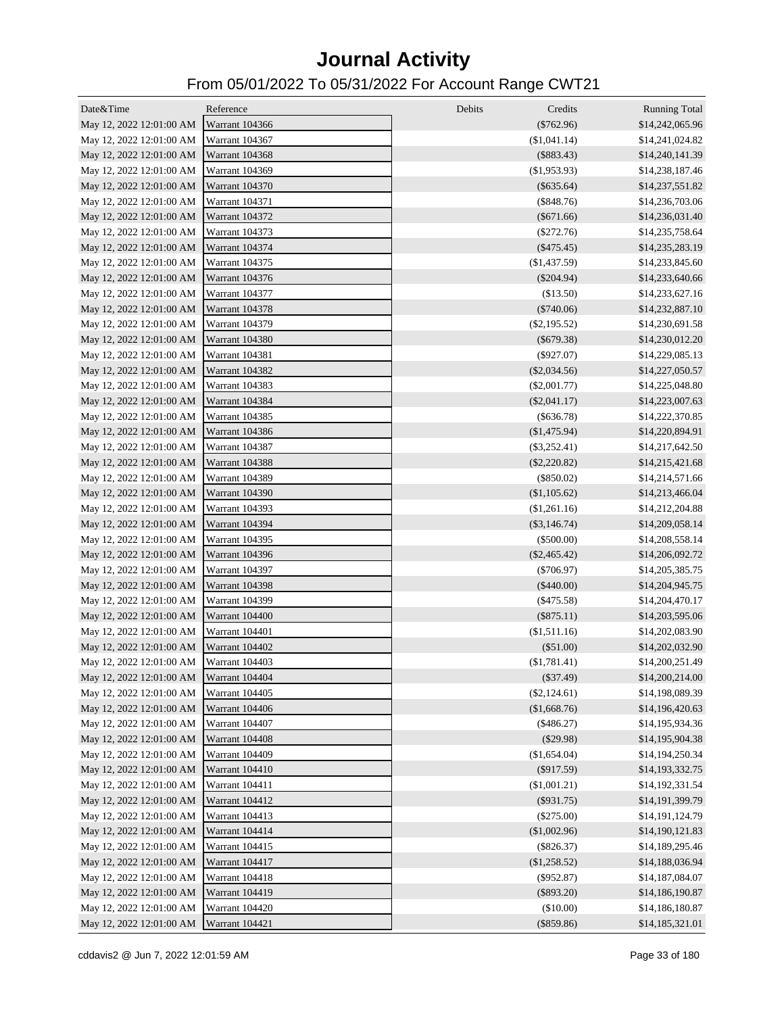| Date&Time                               | Reference             | Debits<br>Credits | <b>Running Total</b> |
|-----------------------------------------|-----------------------|-------------------|----------------------|
| May 12, 2022 12:01:00 AM Warrant 104366 |                       | $(\$762.96)$      | \$14,242,065.96      |
| May 12, 2022 12:01:00 AM                | Warrant 104367        | (\$1,041.14)      | \$14,241,024.82      |
| May 12, 2022 12:01:00 AM                | Warrant 104368        | $(\$883.43)$      | \$14,240,141.39      |
| May 12, 2022 12:01:00 AM                | Warrant 104369        | $(\$1,953.93)$    | \$14,238,187.46      |
| May 12, 2022 12:01:00 AM                | Warrant 104370        | $(\$635.64)$      | \$14,237,551.82      |
| May 12, 2022 12:01:00 AM                | Warrant 104371        | $(\$848.76)$      | \$14,236,703.06      |
| May 12, 2022 12:01:00 AM                | Warrant 104372        | $(\$671.66)$      | \$14,236,031.40      |
| May 12, 2022 12:01:00 AM                | Warrant 104373        | $(\$272.76)$      | \$14,235,758.64      |
| May 12, 2022 12:01:00 AM                | Warrant 104374        | $(\$475.45)$      | \$14,235,283.19      |
| May 12, 2022 12:01:00 AM                | Warrant 104375        | $(\$1,437.59)$    | \$14,233,845.60      |
| May 12, 2022 12:01:00 AM                | Warrant 104376        | $(\$204.94)$      | \$14,233,640.66      |
| May 12, 2022 12:01:00 AM                | Warrant 104377        | (\$13.50)         | \$14,233,627.16      |
| May 12, 2022 12:01:00 AM                | Warrant 104378        | $(\$740.06)$      | \$14,232,887.10      |
| May 12, 2022 12:01:00 AM                | Warrant 104379        | $(\$2,195.52)$    | \$14,230,691.58      |
| May 12, 2022 12:01:00 AM                | Warrant 104380        | $(\$679.38)$      | \$14,230,012.20      |
| May 12, 2022 12:01:00 AM                | Warrant 104381        | $(\$927.07)$      | \$14,229,085.13      |
| May 12, 2022 12:01:00 AM                | Warrant 104382        | $(\$2,034.56)$    | \$14,227,050.57      |
| May 12, 2022 12:01:00 AM                | Warrant 104383        | $(\$2,001.77)$    | \$14,225,048.80      |
| May 12, 2022 12:01:00 AM                | Warrant 104384        | $(\$2,041.17)$    | \$14,223,007.63      |
| May 12, 2022 12:01:00 AM                | Warrant 104385        | $(\$636.78)$      | \$14,222,370.85      |
| May 12, 2022 12:01:00 AM                | Warrant 104386        | (\$1,475.94)      | \$14,220,894.91      |
| May 12, 2022 12:01:00 AM                | Warrant 104387        | $(\$3,252.41)$    | \$14,217,642.50      |
| May 12, 2022 12:01:00 AM                | Warrant 104388        | $(\$2,220.82)$    | \$14,215,421.68      |
| May 12, 2022 12:01:00 AM                | Warrant 104389        | $(\$850.02)$      | \$14,214,571.66      |
| May 12, 2022 12:01:00 AM                | <b>Warrant 104390</b> | (\$1,105.62)      | \$14,213,466.04      |
| May 12, 2022 12:01:00 AM                | Warrant 104393        | (\$1,261.16)      | \$14,212,204.88      |
| May 12, 2022 12:01:00 AM                | Warrant 104394        | $(\$3,146.74)$    | \$14,209,058.14      |
| May 12, 2022 12:01:00 AM                | Warrant 104395        | $(\$500.00)$      | \$14,208,558.14      |
| May 12, 2022 12:01:00 AM                | Warrant 104396        | $(\$2,465.42)$    | \$14,206,092.72      |
| May 12, 2022 12:01:00 AM                | Warrant 104397        | $(\$706.97)$      | \$14,205,385.75      |
| May 12, 2022 12:01:00 AM                | <b>Warrant 104398</b> | $(\$440.00)$      | \$14,204,945.75      |
| May 12, 2022 12:01:00 AM                | Warrant 104399        | $(\$475.58)$      | \$14,204,470.17      |
| May 12, 2022 12:01:00 AM                | Warrant 104400        | $(\$875.11)$      | \$14,203,595.06      |
| May 12, 2022 12:01:00 AM                | Warrant 104401        | (\$1,511.16)      | \$14,202,083.90      |
| May 12, 2022 12:01:00 AM                | Warrant 104402        | (\$51.00)         | \$14,202,032.90      |
| May 12, 2022 12:01:00 AM Warrant 104403 |                       | (\$1,781.41)      | \$14,200,251.49      |
| May 12, 2022 12:01:00 AM                | Warrant 104404        | $(\$37.49)$       | \$14,200,214.00      |
| May 12, 2022 12:01:00 AM                | Warrant 104405        | $(\$2,124.61)$    | \$14,198,089.39      |
| May 12, 2022 12:01:00 AM                | Warrant 104406        | (\$1,668.76)      | \$14,196,420.63      |
| May 12, 2022 12:01:00 AM                | Warrant 104407        | $(\$486.27)$      | \$14,195,934.36      |
| May 12, 2022 12:01:00 AM                | <b>Warrant 104408</b> | (\$29.98)         | \$14,195,904.38      |
| May 12, 2022 12:01:00 AM                | <b>Warrant 104409</b> | (\$1,654.04)      | \$14,194,250.34      |
| May 12, 2022 12:01:00 AM                | Warrant 104410        | $(\$917.59)$      | \$14,193,332.75      |
| May 12, 2022 12:01:00 AM                | Warrant 104411        | (\$1,001.21)      | \$14,192,331.54      |
| May 12, 2022 12:01:00 AM                | Warrant 104412        | $(\$931.75)$      | \$14,191,399.79      |
| May 12, 2022 12:01:00 AM                | Warrant 104413        | $(\$275.00)$      | \$14,191,124.79      |
| May 12, 2022 12:01:00 AM                | Warrant 104414        | (\$1,002.96)      | \$14,190,121.83      |
| May 12, 2022 12:01:00 AM                | Warrant 104415        | $(\$826.37)$      | \$14,189,295.46      |
| May 12, 2022 12:01:00 AM                | Warrant 104417        | (\$1,258.52)      | \$14,188,036.94      |
| May 12, 2022 12:01:00 AM                | Warrant 104418        | $(\$952.87)$      | \$14,187,084.07      |
| May 12, 2022 12:01:00 AM                | Warrant 104419        | $(\$893.20)$      | \$14,186,190.87      |
| May 12, 2022 12:01:00 AM                | Warrant 104420        | (\$10.00)         | \$14,186,180.87      |
| May 12, 2022 12:01:00 AM                | Warrant 104421        | $(\$859.86)$      | \$14,185,321.01      |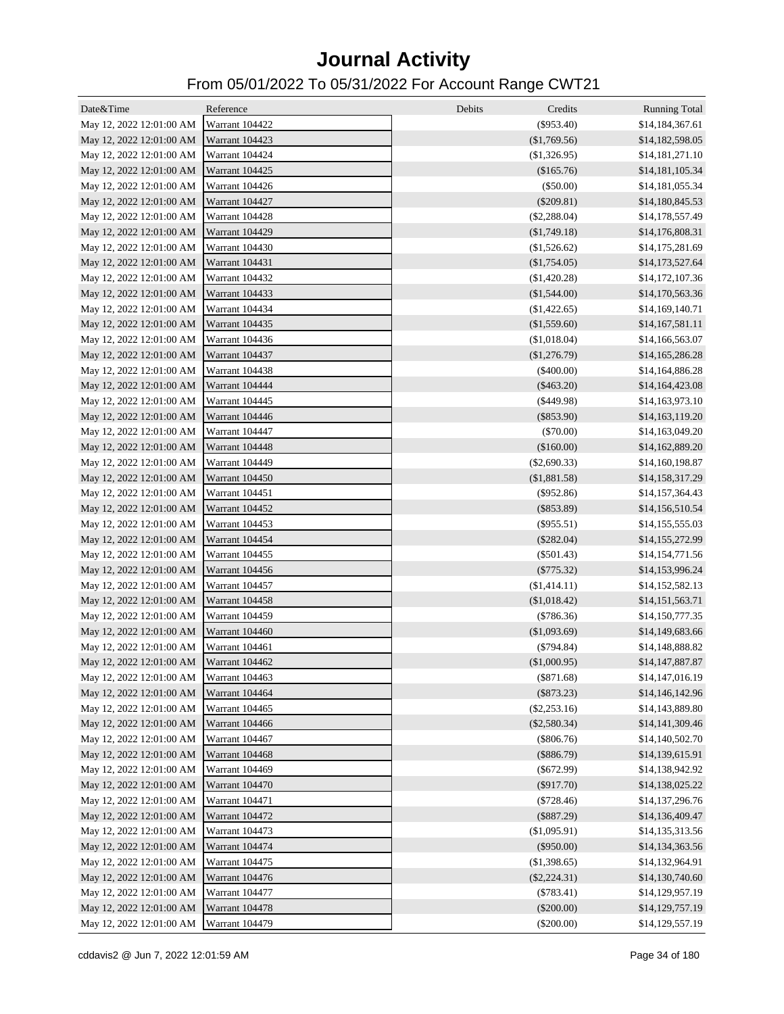| Date&Time                               | Reference             | Debits<br>Credits | <b>Running Total</b> |
|-----------------------------------------|-----------------------|-------------------|----------------------|
| May 12, 2022 12:01:00 AM Warrant 104422 |                       | $(\$953.40)$      | \$14,184,367.61      |
| May 12, 2022 12:01:00 AM Warrant 104423 |                       | (\$1,769.56)      | \$14,182,598.05      |
| May 12, 2022 12:01:00 AM                | Warrant 104424        | (\$1,326.95)      | \$14,181,271.10      |
| May 12, 2022 12:01:00 AM                | Warrant 104425        | (\$165.76)        | \$14,181,105.34      |
| May 12, 2022 12:01:00 AM                | Warrant 104426        | (\$50.00)         | \$14,181,055.34      |
| May 12, 2022 12:01:00 AM                | Warrant 104427        | $(\$209.81)$      | \$14,180,845.53      |
| May 12, 2022 12:01:00 AM                | Warrant 104428        | $(\$2,288.04)$    | \$14,178,557.49      |
| May 12, 2022 12:01:00 AM                | Warrant 104429        | (\$1,749.18)      | \$14,176,808.31      |
| May 12, 2022 12:01:00 AM                | Warrant 104430        | (\$1,526.62)      | \$14,175,281.69      |
| May 12, 2022 12:01:00 AM                | <b>Warrant 104431</b> | (\$1,754.05)      | \$14,173,527.64      |
| May 12, 2022 12:01:00 AM                | Warrant 104432        | (\$1,420.28)      | \$14,172,107.36      |
| May 12, 2022 12:01:00 AM                | Warrant 104433        | (\$1,544.00)      | \$14,170,563.36      |
| May 12, 2022 12:01:00 AM                | Warrant 104434        | (\$1,422.65)      | \$14,169,140.71      |
| May 12, 2022 12:01:00 AM                | Warrant 104435        | (\$1,559.60)      | \$14,167,581.11      |
| May 12, 2022 12:01:00 AM                | Warrant 104436        | (\$1,018.04)      | \$14,166,563.07      |
| May 12, 2022 12:01:00 AM                | Warrant 104437        | (\$1,276.79)      | \$14,165,286.28      |
| May 12, 2022 12:01:00 AM                | Warrant 104438        | $(\$400.00)$      | \$14,164,886.28      |
| May 12, 2022 12:01:00 AM                | Warrant 104444        | $(\$463.20)$      | \$14,164,423.08      |
| May 12, 2022 12:01:00 AM                | <b>Warrant 104445</b> | $(\$449.98)$      | \$14,163,973.10      |
| May 12, 2022 12:01:00 AM                | Warrant 104446        | $(\$853.90)$      | \$14,163,119.20      |
| May 12, 2022 12:01:00 AM                | Warrant 104447        | (\$70.00)         | \$14,163,049.20      |
| May 12, 2022 12:01:00 AM                | Warrant 104448        | (\$160.00)        | \$14,162,889.20      |
| May 12, 2022 12:01:00 AM                | Warrant 104449        | $(\$2,690.33)$    | \$14,160,198.87      |
| May 12, 2022 12:01:00 AM                | Warrant 104450        | (\$1,881.58)      | \$14,158,317.29      |
| May 12, 2022 12:01:00 AM                | Warrant 104451        | $(\$952.86)$      | \$14,157,364.43      |
| May 12, 2022 12:01:00 AM                | Warrant 104452        | $(\$853.89)$      | \$14,156,510.54      |
| May 12, 2022 12:01:00 AM                | Warrant 104453        | $(\$955.51)$      | \$14,155,555.03      |
| May 12, 2022 12:01:00 AM                | Warrant 104454        | $(\$282.04)$      | \$14,155,272.99      |
| May 12, 2022 12:01:00 AM                | Warrant 104455        | $(\$501.43)$      | \$14,154,771.56      |
| May 12, 2022 12:01:00 AM                | Warrant 104456        | $(\$775.32)$      | \$14,153,996.24      |
| May 12, 2022 12:01:00 AM                | Warrant 104457        | (\$1,414.11)      | \$14,152,582.13      |
| May 12, 2022 12:01:00 AM                | Warrant 104458        | (\$1,018.42)      | \$14,151,563.71      |
| May 12, 2022 12:01:00 AM                | Warrant 104459        | (\$786.36)        | \$14,150,777.35      |
| May 12, 2022 12:01:00 AM                | Warrant 104460        | (\$1,093.69)      | \$14,149,683.66      |
| May 12, 2022 12:01:00 AM                | Warrant 104461        | $(\$794.84)$      | \$14,148,888.82      |
| May 12, 2022 12:01:00 AM Warrant 104462 |                       | $(\$1,000.95)$    | \$14,147,887.87      |
| May 12, 2022 12:01:00 AM                | Warrant 104463        | $(\$871.68)$      | \$14,147,016.19      |
| May 12, 2022 12:01:00 AM                | Warrant 104464        | $(\$873.23)$      | \$14,146,142.96      |
| May 12, 2022 12:01:00 AM                | Warrant 104465        | $(\$2,253.16)$    | \$14,143,889.80      |
| May 12, 2022 12:01:00 AM                | Warrant 104466        | $(\$2,580.34)$    | \$14,141,309.46      |
| May 12, 2022 12:01:00 AM                | Warrant 104467        | $(\$806.76)$      | \$14,140,502.70      |
| May 12, 2022 12:01:00 AM                | Warrant 104468        | (\$886.79)        | \$14,139,615.91      |
| May 12, 2022 12:01:00 AM                | Warrant 104469        | $(\$672.99)$      | \$14,138,942.92      |
| May 12, 2022 12:01:00 AM                | Warrant 104470        | $(\$917.70)$      | \$14,138,025.22      |
| May 12, 2022 12:01:00 AM                | Warrant 104471        | $(\$728.46)$      | \$14,137,296.76      |
| May 12, 2022 12:01:00 AM                | Warrant 104472        | $(\$887.29)$      | \$14,136,409.47      |
| May 12, 2022 12:01:00 AM                | Warrant 104473        | (\$1,095.91)      | \$14,135,313.56      |
| May 12, 2022 12:01:00 AM                | Warrant 104474        | $(\$950.00)$      | \$14,134,363.56      |
| May 12, 2022 12:01:00 AM                | Warrant 104475        | (\$1,398.65)      | \$14,132,964.91      |
| May 12, 2022 12:01:00 AM                | Warrant 104476        | $(\$2,224.31)$    | \$14,130,740.60      |
| May 12, 2022 12:01:00 AM                | Warrant 104477        | (\$783.41)        | \$14,129,957.19      |
| May 12, 2022 12:01:00 AM                | Warrant 104478        | $(\$200.00)$      | \$14,129,757.19      |
| May 12, 2022 12:01:00 AM                | Warrant 104479        | $(\$200.00)$      | \$14,129,557.19      |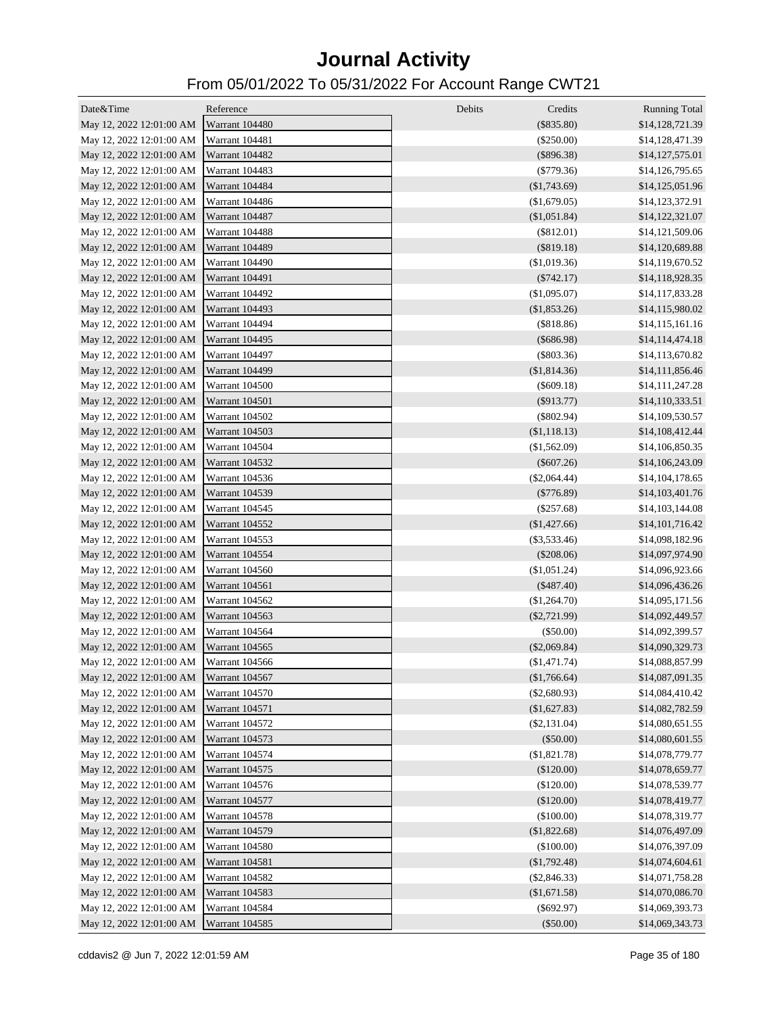| Date&Time                               | Reference             | Debits<br>Credits | <b>Running Total</b> |
|-----------------------------------------|-----------------------|-------------------|----------------------|
| May 12, 2022 12:01:00 AM Warrant 104480 |                       | $(\$835.80)$      | \$14,128,721.39      |
| May 12, 2022 12:01:00 AM                | Warrant 104481        | $(\$250.00)$      | \$14,128,471.39      |
| May 12, 2022 12:01:00 AM                | Warrant 104482        | $(\$896.38)$      | \$14,127,575.01      |
| May 12, 2022 12:01:00 AM                | Warrant 104483        | $(\$779.36)$      | \$14,126,795.65      |
| May 12, 2022 12:01:00 AM                | Warrant 104484        | $(\$1,743.69)$    | \$14,125,051.96      |
| May 12, 2022 12:01:00 AM                | Warrant 104486        | (\$1,679.05)      | \$14,123,372.91      |
| May 12, 2022 12:01:00 AM                | Warrant 104487        | $(\$1,051.84)$    | \$14,122,321.07      |
| May 12, 2022 12:01:00 AM                | Warrant 104488        | $(\$812.01)$      | \$14,121,509.06      |
| May 12, 2022 12:01:00 AM                | <b>Warrant 104489</b> | $(\$819.18)$      | \$14,120,689.88      |
| May 12, 2022 12:01:00 AM                | Warrant 104490        | (\$1,019.36)      | \$14,119,670.52      |
| May 12, 2022 12:01:00 AM                | Warrant 104491        | $(\$742.17)$      | \$14,118,928.35      |
| May 12, 2022 12:01:00 AM                | Warrant 104492        | (\$1,095.07)      | \$14,117,833.28      |
| May 12, 2022 12:01:00 AM                | Warrant 104493        | (\$1,853.26)      | \$14,115,980.02      |
| May 12, 2022 12:01:00 AM                | Warrant 104494        | (\$818.86)        | \$14,115,161.16      |
| May 12, 2022 12:01:00 AM                | Warrant 104495        | $(\$686.98)$      | \$14,114,474.18      |
| May 12, 2022 12:01:00 AM                | Warrant 104497        | $(\$803.36)$      | \$14,113,670.82      |
| May 12, 2022 12:01:00 AM                | Warrant 104499        | (\$1,814.36)      | \$14,111,856.46      |
| May 12, 2022 12:01:00 AM                | Warrant 104500        | $(\$609.18)$      | \$14,111,247.28      |
| May 12, 2022 12:01:00 AM                | Warrant 104501        | $(\$913.77)$      | \$14,110,333.51      |
| May 12, 2022 12:01:00 AM                | Warrant 104502        | $(\$802.94)$      | \$14,109,530.57      |
| May 12, 2022 12:01:00 AM                | Warrant 104503        | (\$1,118.13)      | \$14,108,412.44      |
| May 12, 2022 12:01:00 AM                | Warrant 104504        | (\$1,562.09)      | \$14,106,850.35      |
| May 12, 2022 12:01:00 AM                | Warrant 104532        | $(\$607.26)$      | \$14,106,243.09      |
| May 12, 2022 12:01:00 AM                | Warrant 104536        | $(\$2,064.44)$    | \$14,104,178.65      |
| May 12, 2022 12:01:00 AM                | Warrant 104539        | $(\$776.89)$      | \$14,103,401.76      |
| May 12, 2022 12:01:00 AM                | Warrant 104545        | $(\$257.68)$      | \$14,103,144.08      |
| May 12, 2022 12:01:00 AM                | Warrant 104552        | $(\$1,427.66)$    | \$14,101,716.42      |
| May 12, 2022 12:01:00 AM                | Warrant 104553        | $(\$3,533.46)$    | \$14,098,182.96      |
| May 12, 2022 12:01:00 AM                | Warrant 104554        | $(\$208.06)$      | \$14,097,974.90      |
| May 12, 2022 12:01:00 AM                | Warrant 104560        | (\$1,051.24)      | \$14,096,923.66      |
| May 12, 2022 12:01:00 AM                | Warrant 104561        | $(\$487.40)$      | \$14,096,436.26      |
| May 12, 2022 12:01:00 AM                | Warrant 104562        | (\$1,264.70)      | \$14,095,171.56      |
| May 12, 2022 12:01:00 AM                | Warrant 104563        | $(\$2,721.99)$    | \$14,092,449.57      |
| May 12, 2022 12:01:00 AM                | Warrant 104564        | $(\$50.00)$       | \$14,092,399.57      |
| May 12, 2022 12:01:00 AM                | Warrant 104565        | $(\$2,069.84)$    | \$14,090,329.73      |
| May 12, 2022 12:01:00 AM                | Warrant 104566        | $(\$1,471.74)$    | \$14,088,857.99      |
| May 12, 2022 12:01:00 AM                | Warrant 104567        | (\$1,766.64)      | \$14,087,091.35      |
| May 12, 2022 12:01:00 AM                | Warrant 104570        | $(\$2,680.93)$    | \$14,084,410.42      |
| May 12, 2022 12:01:00 AM                | Warrant 104571        | (\$1,627.83)      | \$14,082,782.59      |
| May 12, 2022 12:01:00 AM                | Warrant 104572        | $(\$2,131.04)$    | \$14,080,651.55      |
| May 12, 2022 12:01:00 AM                | Warrant 104573        | $(\$50.00)$       | \$14,080,601.55      |
| May 12, 2022 12:01:00 AM                | Warrant 104574        | (\$1,821.78)      | \$14,078,779.77      |
| May 12, 2022 12:01:00 AM                | Warrant 104575        | $(\$120.00)$      | \$14,078,659.77      |
| May 12, 2022 12:01:00 AM                | Warrant 104576        | (\$120.00)        | \$14,078,539.77      |
| May 12, 2022 12:01:00 AM                | Warrant 104577        | $(\$120.00)$      | \$14,078,419.77      |
| May 12, 2022 12:01:00 AM                | Warrant 104578        | (\$100.00)        | \$14,078,319.77      |
| May 12, 2022 12:01:00 AM                | Warrant 104579        | (\$1,822.68)      | \$14,076,497.09      |
| May 12, 2022 12:01:00 AM                | Warrant 104580        | (\$100.00)        | \$14,076,397.09      |
| May 12, 2022 12:01:00 AM                | Warrant 104581        | (\$1,792.48)      | \$14,074,604.61      |
| May 12, 2022 12:01:00 AM                | Warrant 104582        | $(\$2,846.33)$    | \$14,071,758.28      |
| May 12, 2022 12:01:00 AM                | Warrant 104583        | (\$1,671.58)      | \$14,070,086.70      |
| May 12, 2022 12:01:00 AM                | Warrant 104584        | $(\$692.97)$      | \$14,069,393.73      |
| May 12, 2022 12:01:00 AM                | Warrant 104585        | $(\$50.00)$       | \$14,069,343.73      |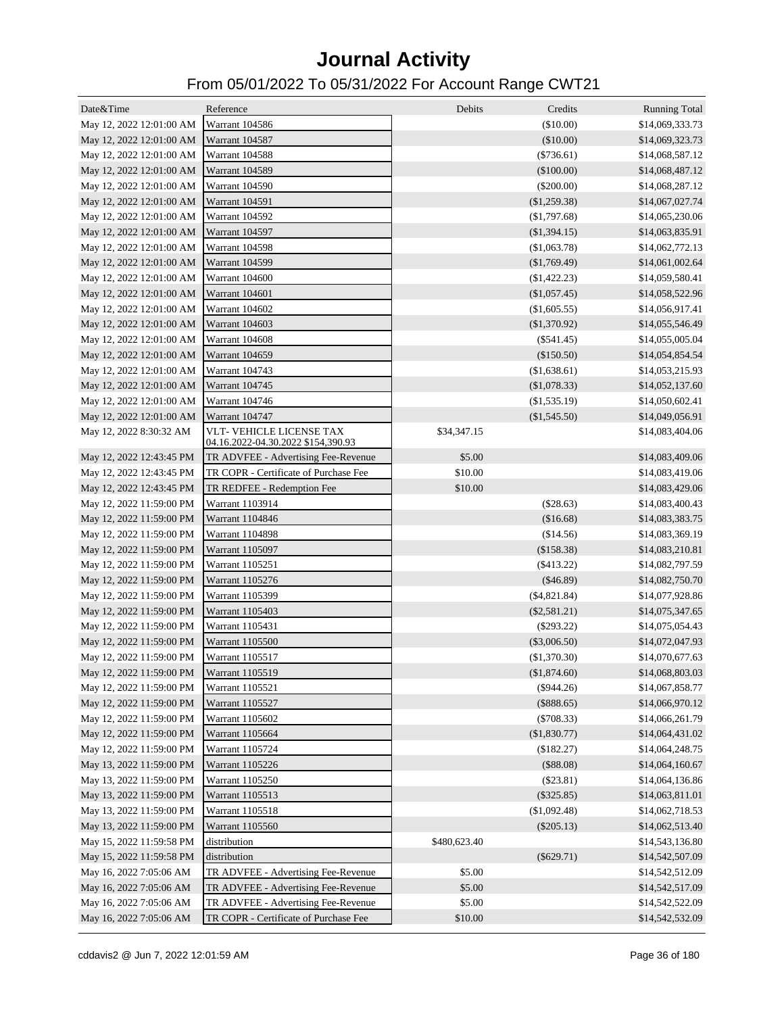| Date&Time                                | Reference                                                             | Debits       | Credits        | <b>Running Total</b> |
|------------------------------------------|-----------------------------------------------------------------------|--------------|----------------|----------------------|
| May 12, 2022 12:01:00 AM                 | Warrant 104586                                                        |              | (\$10.00)      | \$14,069,333.73      |
| May 12, 2022 12:01:00 AM                 | Warrant 104587                                                        |              | (\$10.00)      | \$14,069,323.73      |
| May 12, 2022 12:01:00 AM                 | Warrant 104588                                                        |              | $(\$736.61)$   | \$14,068,587.12      |
| May 12, 2022 12:01:00 AM                 | Warrant 104589                                                        |              | (\$100.00)     | \$14,068,487.12      |
| May 12, 2022 12:01:00 AM                 | Warrant 104590                                                        |              | $(\$200.00)$   | \$14,068,287.12      |
| May 12, 2022 12:01:00 AM                 | Warrant 104591                                                        |              | (\$1,259.38)   | \$14,067,027.74      |
| May 12, 2022 12:01:00 AM                 | Warrant 104592                                                        |              | (\$1,797.68)   | \$14,065,230.06      |
| May 12, 2022 12:01:00 AM                 | Warrant 104597                                                        |              | (\$1,394.15)   | \$14,063,835.91      |
| May 12, 2022 12:01:00 AM                 | <b>Warrant 104598</b>                                                 |              | (\$1,063.78)   | \$14,062,772.13      |
| May 12, 2022 12:01:00 AM                 | Warrant 104599                                                        |              | (\$1,769.49)   | \$14,061,002.64      |
| May 12, 2022 12:01:00 AM                 | Warrant 104600                                                        |              | $(\$1,422.23)$ | \$14,059,580.41      |
| May 12, 2022 12:01:00 AM                 | Warrant 104601                                                        |              | (\$1,057.45)   | \$14,058,522.96      |
| May 12, 2022 12:01:00 AM                 | Warrant 104602                                                        |              |                | \$14,056,917.41      |
|                                          | Warrant 104603                                                        |              | (\$1,605.55)   |                      |
| May 12, 2022 12:01:00 AM                 | Warrant 104608                                                        |              | (\$1,370.92)   | \$14,055,546.49      |
| May 12, 2022 12:01:00 AM                 |                                                                       |              | $(\$541.45)$   | \$14,055,005.04      |
| May 12, 2022 12:01:00 AM                 | Warrant 104659<br>Warrant 104743                                      |              | (\$150.50)     | \$14,054,854.54      |
| May 12, 2022 12:01:00 AM                 |                                                                       |              | (\$1,638.61)   | \$14,053,215.93      |
| May 12, 2022 12:01:00 AM                 | <b>Warrant 104745</b>                                                 |              | (\$1,078.33)   | \$14,052,137.60      |
| May 12, 2022 12:01:00 AM                 | Warrant 104746                                                        |              | $(\$1,535.19)$ | \$14,050,602.41      |
| May 12, 2022 12:01:00 AM                 | Warrant 104747                                                        |              | (\$1,545.50)   | \$14,049,056.91      |
| May 12, 2022 8:30:32 AM                  | <b>VLT- VEHICLE LICENSE TAX</b><br>04.16.2022-04.30.2022 \$154,390.93 | \$34,347.15  |                | \$14,083,404.06      |
| May 12, 2022 12:43:45 PM                 | TR ADVFEE - Advertising Fee-Revenue                                   | \$5.00       |                | \$14,083,409.06      |
| May 12, 2022 12:43:45 PM                 | TR COPR - Certificate of Purchase Fee                                 | \$10.00      |                | \$14,083,419.06      |
| May 12, 2022 12:43:45 PM                 | TR REDFEE - Redemption Fee                                            | \$10.00      |                | \$14,083,429.06      |
| May 12, 2022 11:59:00 PM                 | Warrant 1103914                                                       |              | (\$28.63)      | \$14,083,400.43      |
| May 12, 2022 11:59:00 PM                 | Warrant 1104846                                                       |              | (\$16.68)      | \$14,083,383.75      |
| May 12, 2022 11:59:00 PM                 | Warrant 1104898                                                       |              | (\$14.56)      | \$14,083,369.19      |
| May 12, 2022 11:59:00 PM                 | <b>Warrant 1105097</b>                                                |              | (\$158.38)     | \$14,083,210.81      |
| May 12, 2022 11:59:00 PM                 | Warrant 1105251                                                       |              | $(\$413.22)$   | \$14,082,797.59      |
| May 12, 2022 11:59:00 PM                 | Warrant 1105276                                                       |              | $(\$46.89)$    | \$14,082,750.70      |
| May 12, 2022 11:59:00 PM                 | Warrant 1105399                                                       |              | $(\$4,821.84)$ | \$14,077,928.86      |
| May 12, 2022 11:59:00 PM                 | Warrant 1105403                                                       |              | $(\$2,581.21)$ | \$14,075,347.65      |
| May 12, 2022 11:59:00 PM                 | Warrant 1105431                                                       |              | $(\$293.22)$   | \$14,075,054.43      |
| May 12, 2022 11:59:00 PM                 | <b>Warrant 1105500</b>                                                |              | $(\$3,006.50)$ | \$14,072,047.93      |
| May 12, 2022 11:59:00 PM                 | Warrant 1105517                                                       |              | (\$1,370.30)   | \$14,070,677.63      |
| May 12, 2022 11:59:00 PM Warrant 1105519 |                                                                       |              | (\$1,874.60)   | \$14,068,803.03      |
| May 12, 2022 11:59:00 PM                 | Warrant 1105521                                                       |              | $(\$944.26)$   | \$14,067,858.77      |
| May 12, 2022 11:59:00 PM                 | Warrant 1105527                                                       |              | $(\$888.65)$   | \$14,066,970.12      |
| May 12, 2022 11:59:00 PM                 | Warrant 1105602                                                       |              | $(\$708.33)$   | \$14,066,261.79      |
| May 12, 2022 11:59:00 PM                 | Warrant 1105664                                                       |              | (\$1,830.77)   | \$14,064,431.02      |
| May 12, 2022 11:59:00 PM                 | Warrant 1105724                                                       |              | (\$182.27)     | \$14,064,248.75      |
| May 13, 2022 11:59:00 PM                 | Warrant 1105226                                                       |              | (\$88.08)      | \$14,064,160.67      |
| May 13, 2022 11:59:00 PM                 | Warrant 1105250                                                       |              | (\$23.81)      | \$14,064,136.86      |
| May 13, 2022 11:59:00 PM                 | Warrant 1105513                                                       |              | $(\$325.85)$   | \$14,063,811.01      |
| May 13, 2022 11:59:00 PM                 | Warrant 1105518                                                       |              | (\$1,092.48)   | \$14,062,718.53      |
| May 13, 2022 11:59:00 PM                 | Warrant 1105560                                                       |              | $(\$205.13)$   | \$14,062,513.40      |
| May 15, 2022 11:59:58 PM                 | distribution                                                          | \$480,623.40 |                | \$14,543,136.80      |
| May 15, 2022 11:59:58 PM                 | distribution                                                          |              | $(\$629.71)$   | \$14,542,507.09      |
| May 16, 2022 7:05:06 AM                  | TR ADVFEE - Advertising Fee-Revenue                                   | \$5.00       |                | \$14,542,512.09      |
| May 16, 2022 7:05:06 AM                  | TR ADVFEE - Advertising Fee-Revenue                                   | \$5.00       |                | \$14,542,517.09      |
| May 16, 2022 7:05:06 AM                  | TR ADVFEE - Advertising Fee-Revenue                                   | \$5.00       |                | \$14,542,522.09      |
| May 16, 2022 7:05:06 AM                  | TR COPR - Certificate of Purchase Fee                                 | \$10.00      |                | \$14,542,532.09      |
|                                          |                                                                       |              |                |                      |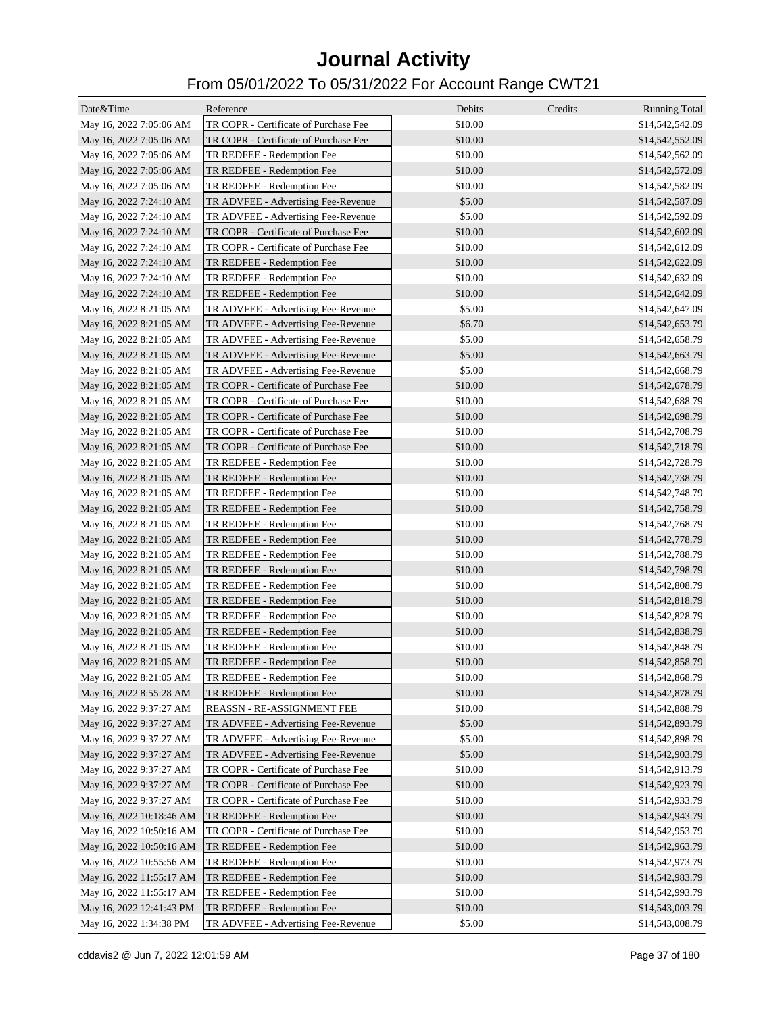| Date&Time                | Reference                             | Debits    | Credits | <b>Running Total</b> |
|--------------------------|---------------------------------------|-----------|---------|----------------------|
| May 16, 2022 7:05:06 AM  | TR COPR - Certificate of Purchase Fee | \$10.00   |         | \$14,542,542.09      |
| May 16, 2022 7:05:06 AM  | TR COPR - Certificate of Purchase Fee | \$10.00   |         | \$14,542,552.09      |
| May 16, 2022 7:05:06 AM  | TR REDFEE - Redemption Fee            | \$10.00   |         | \$14,542,562.09      |
| May 16, 2022 7:05:06 AM  | TR REDFEE - Redemption Fee            | \$10.00   |         | \$14,542,572.09      |
| May 16, 2022 7:05:06 AM  | TR REDFEE - Redemption Fee            | \$10.00   |         | \$14,542,582.09      |
| May 16, 2022 7:24:10 AM  | TR ADVFEE - Advertising Fee-Revenue   | \$5.00    |         | \$14,542,587.09      |
| May 16, 2022 7:24:10 AM  | TR ADVFEE - Advertising Fee-Revenue   | \$5.00    |         | \$14,542,592.09      |
| May 16, 2022 7:24:10 AM  | TR COPR - Certificate of Purchase Fee | \$10.00   |         | \$14,542,602.09      |
| May 16, 2022 7:24:10 AM  | TR COPR - Certificate of Purchase Fee | \$10.00   |         | \$14,542,612.09      |
| May 16, 2022 7:24:10 AM  | TR REDFEE - Redemption Fee            | \$10.00   |         | \$14,542,622.09      |
| May 16, 2022 7:24:10 AM  | TR REDFEE - Redemption Fee            | \$10.00   |         | \$14,542,632.09      |
| May 16, 2022 7:24:10 AM  | TR REDFEE - Redemption Fee            | \$10.00   |         | \$14,542,642.09      |
| May 16, 2022 8:21:05 AM  | TR ADVFEE - Advertising Fee-Revenue   | \$5.00    |         | \$14,542,647.09      |
| May 16, 2022 8:21:05 AM  | TR ADVFEE - Advertising Fee-Revenue   | \$6.70    |         | \$14,542,653.79      |
| May 16, 2022 8:21:05 AM  | TR ADVFEE - Advertising Fee-Revenue   | \$5.00    |         | \$14,542,658.79      |
| May 16, 2022 8:21:05 AM  | TR ADVFEE - Advertising Fee-Revenue   | \$5.00    |         | \$14,542,663.79      |
| May 16, 2022 8:21:05 AM  | TR ADVFEE - Advertising Fee-Revenue   | \$5.00    |         | \$14,542,668.79      |
| May 16, 2022 8:21:05 AM  | TR COPR - Certificate of Purchase Fee | \$10.00   |         | \$14,542,678.79      |
| May 16, 2022 8:21:05 AM  | TR COPR - Certificate of Purchase Fee | \$10.00   |         | \$14,542,688.79      |
| May 16, 2022 8:21:05 AM  | TR COPR - Certificate of Purchase Fee | \$10.00   |         | \$14,542,698.79      |
| May 16, 2022 8:21:05 AM  | TR COPR - Certificate of Purchase Fee | \$10.00   |         | \$14,542,708.79      |
| May 16, 2022 8:21:05 AM  | TR COPR - Certificate of Purchase Fee | \$10.00   |         | \$14,542,718.79      |
| May 16, 2022 8:21:05 AM  | TR REDFEE - Redemption Fee            | \$10.00   |         | \$14,542,728.79      |
| May 16, 2022 8:21:05 AM  | TR REDFEE - Redemption Fee            | \$10.00   |         | \$14,542,738.79      |
| May 16, 2022 8:21:05 AM  | TR REDFEE - Redemption Fee            | \$10.00   |         | \$14,542,748.79      |
| May 16, 2022 8:21:05 AM  | TR REDFEE - Redemption Fee            | \$10.00   |         | \$14,542,758.79      |
| May 16, 2022 8:21:05 AM  | TR REDFEE - Redemption Fee            | \$10.00   |         | \$14,542,768.79      |
| May 16, 2022 8:21:05 AM  | TR REDFEE - Redemption Fee            | \$10.00   |         | \$14,542,778.79      |
| May 16, 2022 8:21:05 AM  | TR REDFEE - Redemption Fee            | \$10.00   |         | \$14,542,788.79      |
| May 16, 2022 8:21:05 AM  | TR REDFEE - Redemption Fee            | \$10.00   |         | \$14,542,798.79      |
| May 16, 2022 8:21:05 AM  | TR REDFEE - Redemption Fee            | \$10.00   |         | \$14,542,808.79      |
| May 16, 2022 8:21:05 AM  | TR REDFEE - Redemption Fee            | \$10.00   |         | \$14,542,818.79      |
| May 16, 2022 8:21:05 AM  | TR REDFEE - Redemption Fee            | \$10.00   |         | \$14,542,828.79      |
| May 16, 2022 8:21:05 AM  | TR REDFEE - Redemption Fee            | \$10.00   |         | \$14,542,838.79      |
| May 16, 2022 8:21:05 AM  | TR REDFEE - Redemption Fee            | \$10.00   |         | \$14,542,848.79      |
| May 16, 2022 8:21:05 AM  | TR REDFEE - Redemption Fee            | \$10.00   |         | \$14,542,858.79      |
| May 16, 2022 8:21:05 AM  | TR REDFEE - Redemption Fee            | \$10.00   |         | \$14,542,868.79      |
| May 16, 2022 8:55:28 AM  | TR REDFEE - Redemption Fee            | \$10.00   |         | \$14,542,878.79      |
| May 16, 2022 9:37:27 AM  | REASSN - RE-ASSIGNMENT FEE            | \$10.00   |         | \$14,542,888.79      |
| May 16, 2022 9:37:27 AM  | TR ADVFEE - Advertising Fee-Revenue   | \$5.00    |         | \$14,542,893.79      |
| May 16, 2022 9:37:27 AM  | TR ADVFEE - Advertising Fee-Revenue   | \$5.00    |         | \$14,542,898.79      |
| May 16, 2022 9:37:27 AM  | TR ADVFEE - Advertising Fee-Revenue   | \$5.00    |         | \$14,542,903.79      |
| May 16, 2022 9:37:27 AM  | TR COPR - Certificate of Purchase Fee | $\$10.00$ |         | \$14,542,913.79      |
| May 16, 2022 9:37:27 AM  | TR COPR - Certificate of Purchase Fee | \$10.00   |         | \$14,542,923.79      |
| May 16, 2022 9:37:27 AM  | TR COPR - Certificate of Purchase Fee | \$10.00   |         | \$14,542,933.79      |
| May 16, 2022 10:18:46 AM | TR REDFEE - Redemption Fee            | \$10.00   |         | \$14,542,943.79      |
| May 16, 2022 10:50:16 AM | TR COPR - Certificate of Purchase Fee | \$10.00   |         | \$14,542,953.79      |
| May 16, 2022 10:50:16 AM | TR REDFEE - Redemption Fee            | \$10.00   |         | \$14,542,963.79      |
| May 16, 2022 10:55:56 AM | TR REDFEE - Redemption Fee            | \$10.00   |         | \$14,542,973.79      |
| May 16, 2022 11:55:17 AM | TR REDFEE - Redemption Fee            | \$10.00   |         | \$14,542,983.79      |
| May 16, 2022 11:55:17 AM | TR REDFEE - Redemption Fee            | \$10.00   |         | \$14,542,993.79      |
| May 16, 2022 12:41:43 PM | TR REDFEE - Redemption Fee            | \$10.00   |         | \$14,543,003.79      |
| May 16, 2022 1:34:38 PM  | TR ADVFEE - Advertising Fee-Revenue   | \$5.00    |         | \$14,543,008.79      |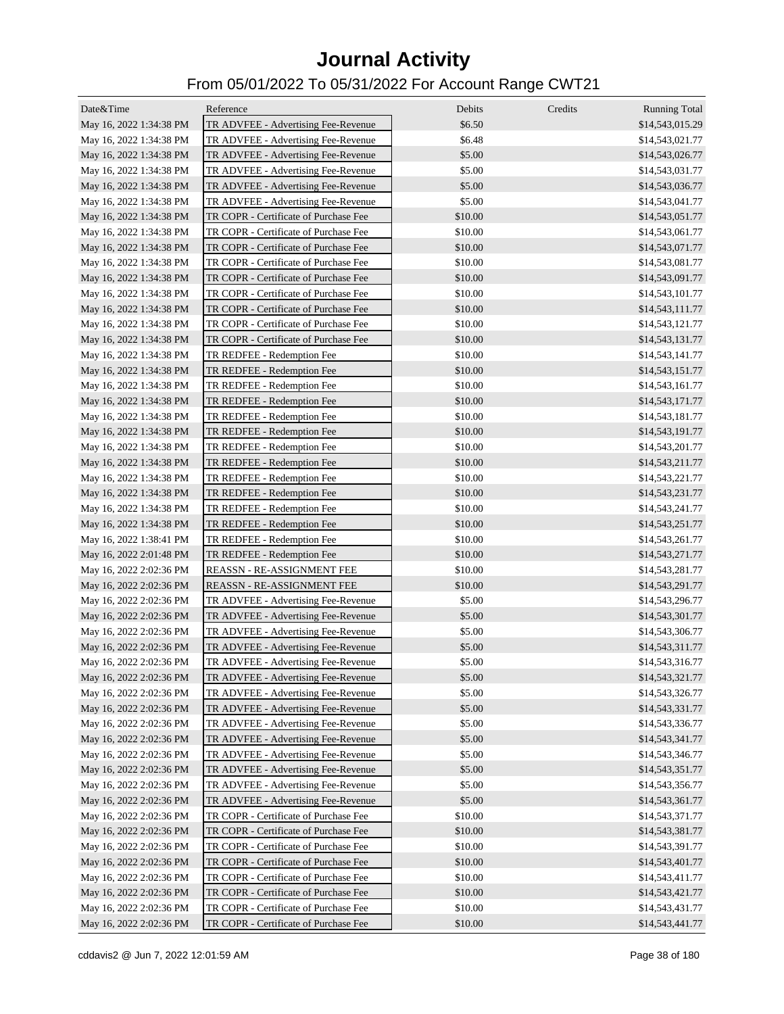| Date&Time               | Reference                             | Debits  | Credits | <b>Running Total</b> |
|-------------------------|---------------------------------------|---------|---------|----------------------|
| May 16, 2022 1:34:38 PM | TR ADVFEE - Advertising Fee-Revenue   | \$6.50  |         | \$14,543,015.29      |
| May 16, 2022 1:34:38 PM | TR ADVFEE - Advertising Fee-Revenue   | \$6.48  |         | \$14,543,021.77      |
| May 16, 2022 1:34:38 PM | TR ADVFEE - Advertising Fee-Revenue   | \$5.00  |         | \$14,543,026.77      |
| May 16, 2022 1:34:38 PM | TR ADVFEE - Advertising Fee-Revenue   | \$5.00  |         | \$14,543,031.77      |
| May 16, 2022 1:34:38 PM | TR ADVFEE - Advertising Fee-Revenue   | \$5.00  |         | \$14,543,036.77      |
| May 16, 2022 1:34:38 PM | TR ADVFEE - Advertising Fee-Revenue   | \$5.00  |         | \$14,543,041.77      |
| May 16, 2022 1:34:38 PM | TR COPR - Certificate of Purchase Fee | \$10.00 |         | \$14,543,051.77      |
| May 16, 2022 1:34:38 PM | TR COPR - Certificate of Purchase Fee | \$10.00 |         | \$14,543,061.77      |
| May 16, 2022 1:34:38 PM | TR COPR - Certificate of Purchase Fee | \$10.00 |         | \$14,543,071.77      |
| May 16, 2022 1:34:38 PM | TR COPR - Certificate of Purchase Fee | \$10.00 |         | \$14,543,081.77      |
| May 16, 2022 1:34:38 PM | TR COPR - Certificate of Purchase Fee | \$10.00 |         | \$14,543,091.77      |
| May 16, 2022 1:34:38 PM | TR COPR - Certificate of Purchase Fee | \$10.00 |         | \$14,543,101.77      |
| May 16, 2022 1:34:38 PM | TR COPR - Certificate of Purchase Fee | \$10.00 |         | \$14,543,111.77      |
| May 16, 2022 1:34:38 PM | TR COPR - Certificate of Purchase Fee | \$10.00 |         | \$14,543,121.77      |
| May 16, 2022 1:34:38 PM | TR COPR - Certificate of Purchase Fee | \$10.00 |         | \$14,543,131.77      |
| May 16, 2022 1:34:38 PM | TR REDFEE - Redemption Fee            | \$10.00 |         | \$14,543,141.77      |
| May 16, 2022 1:34:38 PM | TR REDFEE - Redemption Fee            | \$10.00 |         | \$14,543,151.77      |
| May 16, 2022 1:34:38 PM | TR REDFEE - Redemption Fee            | \$10.00 |         | \$14,543,161.77      |
| May 16, 2022 1:34:38 PM | TR REDFEE - Redemption Fee            | \$10.00 |         | \$14,543,171.77      |
| May 16, 2022 1:34:38 PM | TR REDFEE - Redemption Fee            | \$10.00 |         | \$14,543,181.77      |
| May 16, 2022 1:34:38 PM | TR REDFEE - Redemption Fee            | \$10.00 |         | \$14,543,191.77      |
| May 16, 2022 1:34:38 PM | TR REDFEE - Redemption Fee            | \$10.00 |         | \$14,543,201.77      |
| May 16, 2022 1:34:38 PM | TR REDFEE - Redemption Fee            | \$10.00 |         | \$14,543,211.77      |
| May 16, 2022 1:34:38 PM | TR REDFEE - Redemption Fee            | \$10.00 |         | \$14,543,221.77      |
| May 16, 2022 1:34:38 PM | TR REDFEE - Redemption Fee            | \$10.00 |         | \$14,543,231.77      |
| May 16, 2022 1:34:38 PM | TR REDFEE - Redemption Fee            | \$10.00 |         | \$14,543,241.77      |
| May 16, 2022 1:34:38 PM | TR REDFEE - Redemption Fee            | \$10.00 |         | \$14,543,251.77      |
| May 16, 2022 1:38:41 PM | TR REDFEE - Redemption Fee            | \$10.00 |         | \$14,543,261.77      |
| May 16, 2022 2:01:48 PM | TR REDFEE - Redemption Fee            | \$10.00 |         | \$14,543,271.77      |
| May 16, 2022 2:02:36 PM | REASSN - RE-ASSIGNMENT FEE            | \$10.00 |         | \$14,543,281.77      |
| May 16, 2022 2:02:36 PM | <b>REASSN - RE-ASSIGNMENT FEE</b>     | \$10.00 |         | \$14,543,291.77      |
| May 16, 2022 2:02:36 PM | TR ADVFEE - Advertising Fee-Revenue   | \$5.00  |         | \$14,543,296.77      |
| May 16, 2022 2:02:36 PM | TR ADVFEE - Advertising Fee-Revenue   | \$5.00  |         | \$14,543,301.77      |
| May 16, 2022 2:02:36 PM | TR ADVFEE - Advertising Fee-Revenue   | \$5.00  |         | \$14,543,306.77      |
| May 16, 2022 2:02:36 PM | TR ADVFEE - Advertising Fee-Revenue   | \$5.00  |         | \$14,543,311.77      |
| May 16, 2022 2:02:36 PM | TR ADVFEE - Advertising Fee-Revenue   | \$5.00  |         | \$14,543,316.77      |
| May 16, 2022 2:02:36 PM | TR ADVFEE - Advertising Fee-Revenue   | \$5.00  |         | \$14,543,321.77      |
| May 16, 2022 2:02:36 PM | TR ADVFEE - Advertising Fee-Revenue   | \$5.00  |         | \$14,543,326.77      |
| May 16, 2022 2:02:36 PM | TR ADVFEE - Advertising Fee-Revenue   | \$5.00  |         | \$14,543,331.77      |
| May 16, 2022 2:02:36 PM | TR ADVFEE - Advertising Fee-Revenue   | \$5.00  |         | \$14,543,336.77      |
| May 16, 2022 2:02:36 PM | TR ADVFEE - Advertising Fee-Revenue   | \$5.00  |         | \$14,543,341.77      |
| May 16, 2022 2:02:36 PM | TR ADVFEE - Advertising Fee-Revenue   | \$5.00  |         | \$14,543,346.77      |
| May 16, 2022 2:02:36 PM | TR ADVFEE - Advertising Fee-Revenue   | \$5.00  |         | \$14,543,351.77      |
| May 16, 2022 2:02:36 PM | TR ADVFEE - Advertising Fee-Revenue   | \$5.00  |         | \$14,543,356.77      |
| May 16, 2022 2:02:36 PM | TR ADVFEE - Advertising Fee-Revenue   | \$5.00  |         | \$14,543,361.77      |
| May 16, 2022 2:02:36 PM | TR COPR - Certificate of Purchase Fee | \$10.00 |         | \$14,543,371.77      |
| May 16, 2022 2:02:36 PM | TR COPR - Certificate of Purchase Fee | \$10.00 |         | \$14,543,381.77      |
| May 16, 2022 2:02:36 PM | TR COPR - Certificate of Purchase Fee | \$10.00 |         | \$14,543,391.77      |
| May 16, 2022 2:02:36 PM | TR COPR - Certificate of Purchase Fee | \$10.00 |         | \$14,543,401.77      |
| May 16, 2022 2:02:36 PM | TR COPR - Certificate of Purchase Fee | \$10.00 |         | \$14,543,411.77      |
| May 16, 2022 2:02:36 PM | TR COPR - Certificate of Purchase Fee | \$10.00 |         | \$14,543,421.77      |
| May 16, 2022 2:02:36 PM | TR COPR - Certificate of Purchase Fee | \$10.00 |         | \$14,543,431.77      |
| May 16, 2022 2:02:36 PM | TR COPR - Certificate of Purchase Fee | \$10.00 |         | \$14,543,441.77      |
|                         |                                       |         |         |                      |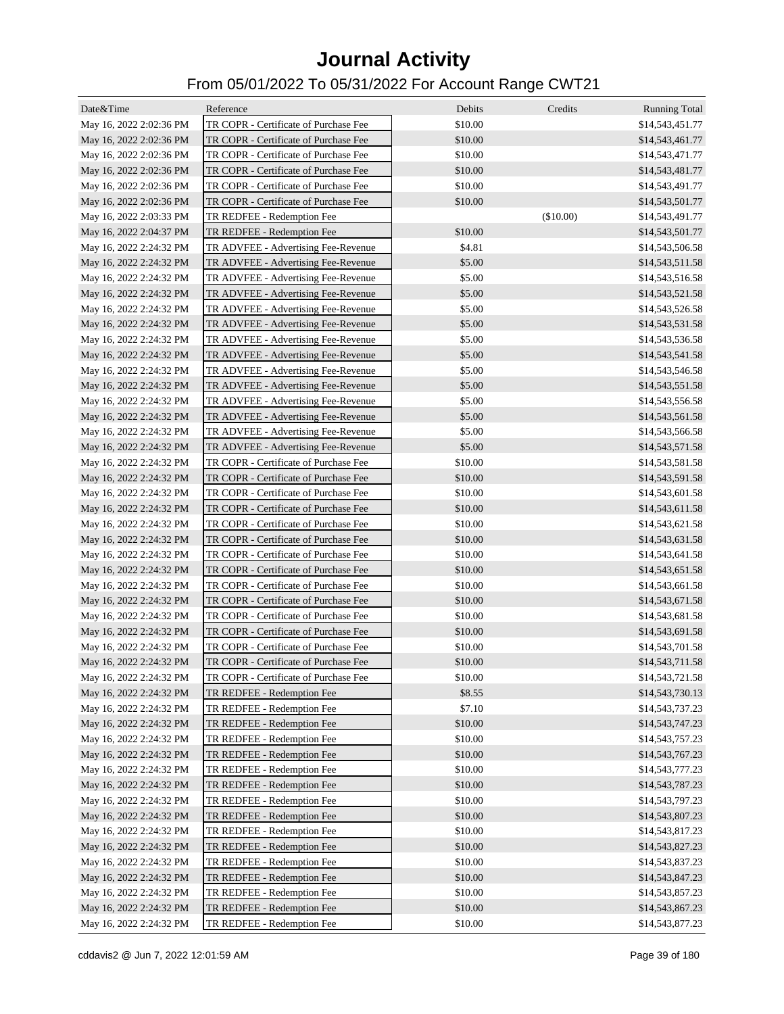| Date&Time                                          | Reference                             | Debits  | Credits   | <b>Running Total</b> |
|----------------------------------------------------|---------------------------------------|---------|-----------|----------------------|
| May 16, 2022 2:02:36 PM                            | TR COPR - Certificate of Purchase Fee | \$10.00 |           | \$14,543,451.77      |
| May 16, 2022 2:02:36 PM                            | TR COPR - Certificate of Purchase Fee | \$10.00 |           | \$14,543,461.77      |
| May 16, 2022 2:02:36 PM                            | TR COPR - Certificate of Purchase Fee | \$10.00 |           | \$14,543,471.77      |
| May 16, 2022 2:02:36 PM                            | TR COPR - Certificate of Purchase Fee | \$10.00 |           | \$14,543,481.77      |
| May 16, 2022 2:02:36 PM                            | TR COPR - Certificate of Purchase Fee | \$10.00 |           | \$14,543,491.77      |
| May 16, 2022 2:02:36 PM                            | TR COPR - Certificate of Purchase Fee | \$10.00 |           | \$14,543,501.77      |
| May 16, 2022 2:03:33 PM                            | TR REDFEE - Redemption Fee            |         | (\$10.00) | \$14,543,491.77      |
| May 16, 2022 2:04:37 PM                            | TR REDFEE - Redemption Fee            | \$10.00 |           | \$14,543,501.77      |
| May 16, 2022 2:24:32 PM                            | TR ADVFEE - Advertising Fee-Revenue   | \$4.81  |           | \$14,543,506.58      |
| May 16, 2022 2:24:32 PM                            | TR ADVFEE - Advertising Fee-Revenue   | \$5.00  |           | \$14,543,511.58      |
| May 16, 2022 2:24:32 PM                            | TR ADVFEE - Advertising Fee-Revenue   | \$5.00  |           | \$14,543,516.58      |
| May 16, 2022 2:24:32 PM                            | TR ADVFEE - Advertising Fee-Revenue   | \$5.00  |           | \$14,543,521.58      |
| May 16, 2022 2:24:32 PM                            | TR ADVFEE - Advertising Fee-Revenue   | \$5.00  |           | \$14,543,526.58      |
| May 16, 2022 2:24:32 PM                            | TR ADVFEE - Advertising Fee-Revenue   | \$5.00  |           | \$14,543,531.58      |
| May 16, 2022 2:24:32 PM                            | TR ADVFEE - Advertising Fee-Revenue   | \$5.00  |           | \$14,543,536.58      |
| May 16, 2022 2:24:32 PM                            | TR ADVFEE - Advertising Fee-Revenue   | \$5.00  |           | \$14,543,541.58      |
| May 16, 2022 2:24:32 PM                            | TR ADVFEE - Advertising Fee-Revenue   | \$5.00  |           | \$14,543,546.58      |
| May 16, 2022 2:24:32 PM                            | TR ADVFEE - Advertising Fee-Revenue   | \$5.00  |           | \$14,543,551.58      |
| May 16, 2022 2:24:32 PM                            | TR ADVFEE - Advertising Fee-Revenue   | \$5.00  |           | \$14,543,556.58      |
| May 16, 2022 2:24:32 PM                            | TR ADVFEE - Advertising Fee-Revenue   | \$5.00  |           | \$14,543,561.58      |
| May 16, 2022 2:24:32 PM                            | TR ADVFEE - Advertising Fee-Revenue   | \$5.00  |           | \$14,543,566.58      |
| May 16, 2022 2:24:32 PM                            | TR ADVFEE - Advertising Fee-Revenue   | \$5.00  |           | \$14,543,571.58      |
| May 16, 2022 2:24:32 PM                            | TR COPR - Certificate of Purchase Fee | \$10.00 |           | \$14,543,581.58      |
| May 16, 2022 2:24:32 PM                            | TR COPR - Certificate of Purchase Fee | \$10.00 |           | \$14,543,591.58      |
| May 16, 2022 2:24:32 PM                            | TR COPR - Certificate of Purchase Fee | \$10.00 |           | \$14,543,601.58      |
|                                                    | TR COPR - Certificate of Purchase Fee | \$10.00 |           | \$14,543,611.58      |
| May 16, 2022 2:24:32 PM<br>May 16, 2022 2:24:32 PM | TR COPR - Certificate of Purchase Fee | \$10.00 |           | \$14,543,621.58      |
|                                                    |                                       |         |           |                      |
| May 16, 2022 2:24:32 PM                            | TR COPR - Certificate of Purchase Fee | \$10.00 |           | \$14,543,631.58      |
| May 16, 2022 2:24:32 PM                            | TR COPR - Certificate of Purchase Fee | \$10.00 |           | \$14,543,641.58      |
| May 16, 2022 2:24:32 PM                            | TR COPR - Certificate of Purchase Fee | \$10.00 |           | \$14,543,651.58      |
| May 16, 2022 2:24:32 PM                            | TR COPR - Certificate of Purchase Fee | \$10.00 |           | \$14,543,661.58      |
| May 16, 2022 2:24:32 PM                            | TR COPR - Certificate of Purchase Fee | \$10.00 |           | \$14,543,671.58      |
| May 16, 2022 2:24:32 PM                            | TR COPR - Certificate of Purchase Fee | \$10.00 |           | \$14,543,681.58      |
| May 16, 2022 2:24:32 PM                            | TR COPR - Certificate of Purchase Fee | \$10.00 |           | \$14,543,691.58      |
| May 16, 2022 2:24:32 PM                            | TR COPR - Certificate of Purchase Fee | \$10.00 |           | \$14,543,701.58      |
| May 16, 2022 2:24:32 PM                            | TR COPR - Certificate of Purchase Fee | \$10.00 |           | \$14,543,711.58      |
| May 16, 2022 2:24:32 PM                            | TR COPR - Certificate of Purchase Fee | \$10.00 |           | \$14,543,721.58      |
| May 16, 2022 2:24:32 PM                            | TR REDFEE - Redemption Fee            | \$8.55  |           | \$14,543,730.13      |
| May 16, 2022 2:24:32 PM                            | TR REDFEE - Redemption Fee            | \$7.10  |           | \$14,543,737.23      |
| May 16, 2022 2:24:32 PM                            | TR REDFEE - Redemption Fee            | \$10.00 |           | \$14,543,747.23      |
| May 16, 2022 2:24:32 PM                            | TR REDFEE - Redemption Fee            | \$10.00 |           | \$14,543,757.23      |
| May 16, 2022 2:24:32 PM                            | TR REDFEE - Redemption Fee            | \$10.00 |           | \$14,543,767.23      |
| May 16, 2022 2:24:32 PM                            | TR REDFEE - Redemption Fee            | \$10.00 |           | \$14,543,777.23      |
| May 16, 2022 2:24:32 PM                            | TR REDFEE - Redemption Fee            | \$10.00 |           | \$14,543,787.23      |
| May 16, 2022 2:24:32 PM                            | TR REDFEE - Redemption Fee            | \$10.00 |           | \$14,543,797.23      |
| May 16, 2022 2:24:32 PM                            | TR REDFEE - Redemption Fee            | \$10.00 |           | \$14,543,807.23      |
| May 16, 2022 2:24:32 PM                            | TR REDFEE - Redemption Fee            | \$10.00 |           | \$14,543,817.23      |
| May 16, 2022 2:24:32 PM                            | TR REDFEE - Redemption Fee            | \$10.00 |           | \$14,543,827.23      |
| May 16, 2022 2:24:32 PM                            | TR REDFEE - Redemption Fee            | \$10.00 |           | \$14,543,837.23      |
| May 16, 2022 2:24:32 PM                            | TR REDFEE - Redemption Fee            | \$10.00 |           | \$14,543,847.23      |
| May 16, 2022 2:24:32 PM                            | TR REDFEE - Redemption Fee            | \$10.00 |           | \$14,543,857.23      |
| May 16, 2022 2:24:32 PM                            | TR REDFEE - Redemption Fee            | \$10.00 |           | \$14,543,867.23      |
| May 16, 2022 2:24:32 PM                            | TR REDFEE - Redemption Fee            | \$10.00 |           | \$14,543,877.23      |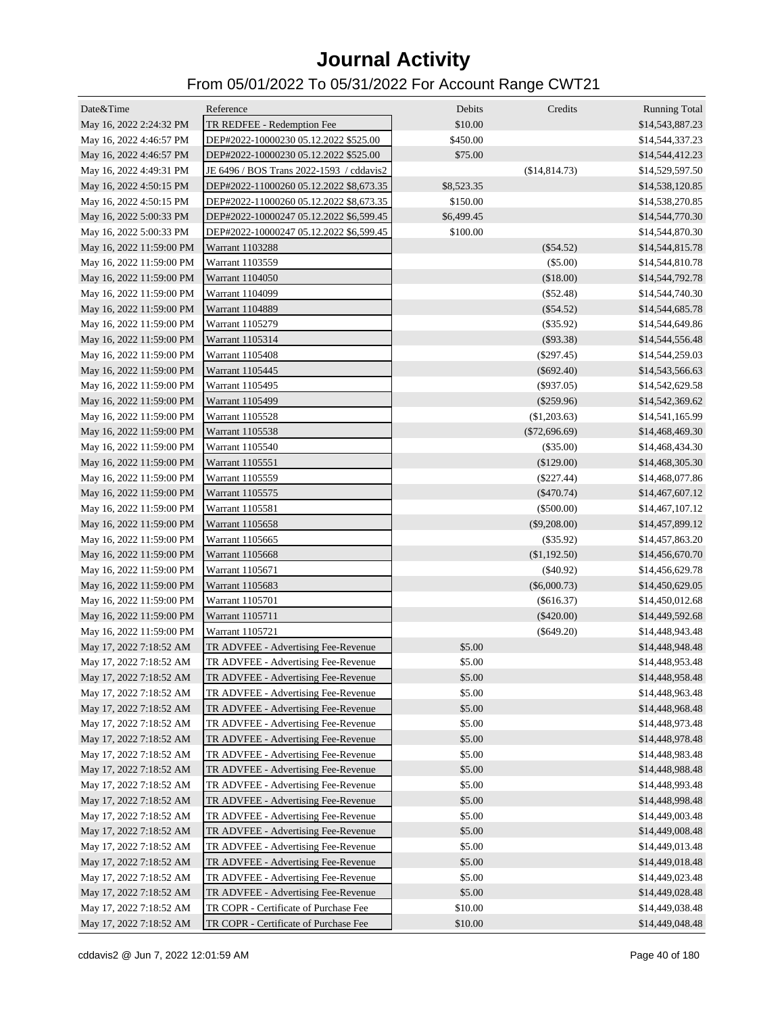| Date&Time                | Reference                                | Debits     | Credits         | <b>Running Total</b> |
|--------------------------|------------------------------------------|------------|-----------------|----------------------|
| May 16, 2022 2:24:32 PM  | TR REDFEE - Redemption Fee               | \$10.00    |                 | \$14,543,887.23      |
| May 16, 2022 4:46:57 PM  | DEP#2022-10000230 05.12.2022 \$525.00    | \$450.00   |                 | \$14,544,337.23      |
| May 16, 2022 4:46:57 PM  | DEP#2022-10000230 05.12.2022 \$525.00    | \$75.00    |                 | \$14,544,412.23      |
| May 16, 2022 4:49:31 PM  | JE 6496 / BOS Trans 2022-1593 / cddavis2 |            | (\$14,814.73)   | \$14,529,597.50      |
| May 16, 2022 4:50:15 PM  | DEP#2022-11000260 05.12.2022 \$8,673.35  | \$8,523.35 |                 | \$14,538,120.85      |
| May 16, 2022 4:50:15 PM  | DEP#2022-11000260 05.12.2022 \$8,673.35  | \$150.00   |                 | \$14,538,270.85      |
| May 16, 2022 5:00:33 PM  | DEP#2022-10000247 05.12.2022 \$6,599.45  | \$6,499.45 |                 | \$14,544,770.30      |
| May 16, 2022 5:00:33 PM  | DEP#2022-10000247 05.12.2022 \$6,599.45  | \$100.00   |                 | \$14,544,870.30      |
| May 16, 2022 11:59:00 PM | Warrant 1103288                          |            | $(\$54.52)$     | \$14,544,815.78      |
| May 16, 2022 11:59:00 PM | Warrant 1103559                          |            | $(\$5.00)$      | \$14,544,810.78      |
| May 16, 2022 11:59:00 PM | Warrant 1104050                          |            | (\$18.00)       | \$14,544,792.78      |
| May 16, 2022 11:59:00 PM | Warrant 1104099                          |            | $(\$52.48)$     | \$14,544,740.30      |
| May 16, 2022 11:59:00 PM | Warrant 1104889                          |            | $(\$54.52)$     | \$14,544,685.78      |
| May 16, 2022 11:59:00 PM | Warrant 1105279                          |            | $(\$35.92)$     | \$14,544,649.86      |
| May 16, 2022 11:59:00 PM | Warrant 1105314                          |            | (\$93.38)       | \$14,544,556.48      |
| May 16, 2022 11:59:00 PM | Warrant 1105408                          |            | $(\$297.45)$    | \$14,544,259.03      |
| May 16, 2022 11:59:00 PM | Warrant 1105445                          |            | $(\$692.40)$    | \$14,543,566.63      |
| May 16, 2022 11:59:00 PM | Warrant 1105495                          |            | $(\$937.05)$    | \$14,542,629.58      |
| May 16, 2022 11:59:00 PM | Warrant 1105499                          |            | $(\$259.96)$    | \$14,542,369.62      |
| May 16, 2022 11:59:00 PM | Warrant 1105528                          |            | (\$1,203.63)    | \$14,541,165.99      |
| May 16, 2022 11:59:00 PM | Warrant 1105538                          |            | $(\$72,696.69)$ | \$14,468,469.30      |
| May 16, 2022 11:59:00 PM | Warrant 1105540                          |            | $(\$35.00)$     | \$14,468,434.30      |
| May 16, 2022 11:59:00 PM | Warrant 1105551                          |            | (\$129.00)      | \$14,468,305.30      |
| May 16, 2022 11:59:00 PM | Warrant 1105559                          |            | $(\$227.44)$    | \$14,468,077.86      |
| May 16, 2022 11:59:00 PM | Warrant 1105575                          |            | $(\$470.74)$    | \$14,467,607.12      |
| May 16, 2022 11:59:00 PM | Warrant 1105581                          |            | $(\$500.00)$    | \$14,467,107.12      |
| May 16, 2022 11:59:00 PM | Warrant 1105658                          |            | $(\$9,208.00)$  | \$14,457,899.12      |
| May 16, 2022 11:59:00 PM | Warrant 1105665                          |            | (\$35.92)       | \$14,457,863.20      |
| May 16, 2022 11:59:00 PM | Warrant 1105668                          |            | (\$1,192.50)    | \$14,456,670.70      |
| May 16, 2022 11:59:00 PM | Warrant 1105671                          |            | $(\$40.92)$     | \$14,456,629.78      |
| May 16, 2022 11:59:00 PM | Warrant 1105683                          |            | $(\$6,000.73)$  | \$14,450,629.05      |
| May 16, 2022 11:59:00 PM | Warrant 1105701                          |            | $(\$616.37)$    | \$14,450,012.68      |
| May 16, 2022 11:59:00 PM | Warrant 1105711                          |            | $(\$420.00)$    | \$14,449,592.68      |
| May 16, 2022 11:59:00 PM | Warrant 1105721                          |            | $(\$649.20)$    | \$14,448,943.48      |
| May 17, 2022 7:18:52 AM  | TR ADVFEE - Advertising Fee-Revenue      | \$5.00     |                 | \$14,448,948.48      |
| May 17, 2022 7:18:52 AM  | TR ADVFEE - Advertising Fee-Revenue      | \$5.00     |                 | \$14,448,953.48      |
| May 17, 2022 7:18:52 AM  | TR ADVFEE - Advertising Fee-Revenue      | \$5.00     |                 | \$14,448,958.48      |
| May 17, 2022 7:18:52 AM  | TR ADVFEE - Advertising Fee-Revenue      | \$5.00     |                 | \$14,448,963.48      |
| May 17, 2022 7:18:52 AM  | TR ADVFEE - Advertising Fee-Revenue      | \$5.00     |                 | \$14,448,968.48      |
| May 17, 2022 7:18:52 AM  | TR ADVFEE - Advertising Fee-Revenue      | \$5.00     |                 | \$14,448,973.48      |
| May 17, 2022 7:18:52 AM  | TR ADVFEE - Advertising Fee-Revenue      | \$5.00     |                 | \$14,448,978.48      |
| May 17, 2022 7:18:52 AM  | TR ADVFEE - Advertising Fee-Revenue      | \$5.00     |                 | \$14,448,983.48      |
| May 17, 2022 7:18:52 AM  | TR ADVFEE - Advertising Fee-Revenue      | \$5.00     |                 | \$14,448,988.48      |
| May 17, 2022 7:18:52 AM  | TR ADVFEE - Advertising Fee-Revenue      | \$5.00     |                 | \$14,448,993.48      |
| May 17, 2022 7:18:52 AM  | TR ADVFEE - Advertising Fee-Revenue      | \$5.00     |                 | \$14,448,998.48      |
| May 17, 2022 7:18:52 AM  | TR ADVFEE - Advertising Fee-Revenue      | \$5.00     |                 | \$14,449,003.48      |
| May 17, 2022 7:18:52 AM  | TR ADVFEE - Advertising Fee-Revenue      | \$5.00     |                 | \$14,449,008.48      |
| May 17, 2022 7:18:52 AM  | TR ADVFEE - Advertising Fee-Revenue      | \$5.00     |                 | \$14,449,013.48      |
| May 17, 2022 7:18:52 AM  | TR ADVFEE - Advertising Fee-Revenue      | \$5.00     |                 | \$14,449,018.48      |
| May 17, 2022 7:18:52 AM  | TR ADVFEE - Advertising Fee-Revenue      | \$5.00     |                 | \$14,449,023.48      |
| May 17, 2022 7:18:52 AM  | TR ADVFEE - Advertising Fee-Revenue      | \$5.00     |                 | \$14,449,028.48      |
| May 17, 2022 7:18:52 AM  | TR COPR - Certificate of Purchase Fee    | \$10.00    |                 | \$14,449,038.48      |
| May 17, 2022 7:18:52 AM  | TR COPR - Certificate of Purchase Fee    | \$10.00    |                 | \$14,449,048.48      |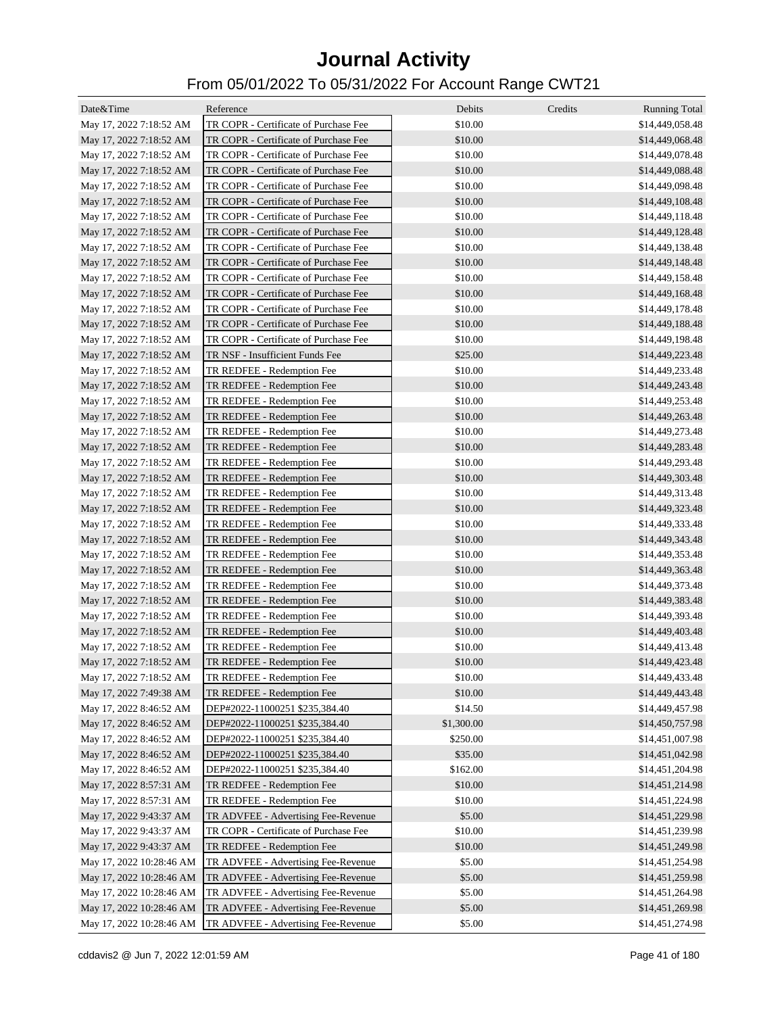| Date&Time                | Reference                             | Debits     | Credits | <b>Running Total</b> |
|--------------------------|---------------------------------------|------------|---------|----------------------|
| May 17, 2022 7:18:52 AM  | TR COPR - Certificate of Purchase Fee | \$10.00    |         | \$14,449,058.48      |
| May 17, 2022 7:18:52 AM  | TR COPR - Certificate of Purchase Fee | \$10.00    |         | \$14,449,068.48      |
| May 17, 2022 7:18:52 AM  | TR COPR - Certificate of Purchase Fee | \$10.00    |         | \$14,449,078.48      |
| May 17, 2022 7:18:52 AM  | TR COPR - Certificate of Purchase Fee | \$10.00    |         | \$14,449,088.48      |
| May 17, 2022 7:18:52 AM  | TR COPR - Certificate of Purchase Fee | \$10.00    |         | \$14,449,098.48      |
| May 17, 2022 7:18:52 AM  | TR COPR - Certificate of Purchase Fee | \$10.00    |         | \$14,449,108.48      |
| May 17, 2022 7:18:52 AM  | TR COPR - Certificate of Purchase Fee | \$10.00    |         | \$14,449,118.48      |
| May 17, 2022 7:18:52 AM  | TR COPR - Certificate of Purchase Fee | \$10.00    |         | \$14,449,128.48      |
| May 17, 2022 7:18:52 AM  | TR COPR - Certificate of Purchase Fee | \$10.00    |         | \$14,449,138.48      |
| May 17, 2022 7:18:52 AM  | TR COPR - Certificate of Purchase Fee | \$10.00    |         | \$14,449,148.48      |
| May 17, 2022 7:18:52 AM  | TR COPR - Certificate of Purchase Fee | \$10.00    |         | \$14,449,158.48      |
| May 17, 2022 7:18:52 AM  | TR COPR - Certificate of Purchase Fee | \$10.00    |         | \$14,449,168.48      |
| May 17, 2022 7:18:52 AM  | TR COPR - Certificate of Purchase Fee | \$10.00    |         | \$14,449,178.48      |
| May 17, 2022 7:18:52 AM  | TR COPR - Certificate of Purchase Fee | \$10.00    |         | \$14,449,188.48      |
| May 17, 2022 7:18:52 AM  | TR COPR - Certificate of Purchase Fee | \$10.00    |         | \$14,449,198.48      |
| May 17, 2022 7:18:52 AM  | TR NSF - Insufficient Funds Fee       | \$25.00    |         | \$14,449,223.48      |
| May 17, 2022 7:18:52 AM  | TR REDFEE - Redemption Fee            | \$10.00    |         | \$14,449,233.48      |
| May 17, 2022 7:18:52 AM  | TR REDFEE - Redemption Fee            | \$10.00    |         | \$14,449,243.48      |
| May 17, 2022 7:18:52 AM  | TR REDFEE - Redemption Fee            | \$10.00    |         | \$14,449,253.48      |
| May 17, 2022 7:18:52 AM  | TR REDFEE - Redemption Fee            | \$10.00    |         | \$14,449,263.48      |
| May 17, 2022 7:18:52 AM  | TR REDFEE - Redemption Fee            | \$10.00    |         | \$14,449,273.48      |
| May 17, 2022 7:18:52 AM  | TR REDFEE - Redemption Fee            | \$10.00    |         | \$14,449,283.48      |
| May 17, 2022 7:18:52 AM  | TR REDFEE - Redemption Fee            | \$10.00    |         | \$14,449,293.48      |
| May 17, 2022 7:18:52 AM  | TR REDFEE - Redemption Fee            | \$10.00    |         | \$14,449,303.48      |
| May 17, 2022 7:18:52 AM  | TR REDFEE - Redemption Fee            | \$10.00    |         | \$14,449,313.48      |
| May 17, 2022 7:18:52 AM  | TR REDFEE - Redemption Fee            | \$10.00    |         | \$14,449,323.48      |
| May 17, 2022 7:18:52 AM  | TR REDFEE - Redemption Fee            | \$10.00    |         | \$14,449,333.48      |
| May 17, 2022 7:18:52 AM  | TR REDFEE - Redemption Fee            | \$10.00    |         | \$14,449,343.48      |
| May 17, 2022 7:18:52 AM  | TR REDFEE - Redemption Fee            | \$10.00    |         | \$14,449,353.48      |
| May 17, 2022 7:18:52 AM  | TR REDFEE - Redemption Fee            | \$10.00    |         | \$14,449,363.48      |
| May 17, 2022 7:18:52 AM  | TR REDFEE - Redemption Fee            | \$10.00    |         | \$14,449,373.48      |
| May 17, 2022 7:18:52 AM  | TR REDFEE - Redemption Fee            | \$10.00    |         | \$14,449,383.48      |
| May 17, 2022 7:18:52 AM  | TR REDFEE - Redemption Fee            | \$10.00    |         | \$14,449,393.48      |
| May 17, 2022 7:18:52 AM  | TR REDFEE - Redemption Fee            | \$10.00    |         | \$14,449,403.48      |
| May 17, 2022 7:18:52 AM  | TR REDFEE - Redemption Fee            | \$10.00    |         | \$14,449,413.48      |
| May 17, 2022 7:18:52 AM  | TR REDFEE - Redemption Fee            | \$10.00    |         | \$14,449,423.48      |
| May 17, 2022 7:18:52 AM  | TR REDFEE - Redemption Fee            | \$10.00    |         | \$14,449,433.48      |
| May 17, 2022 7:49:38 AM  | TR REDFEE - Redemption Fee            | \$10.00    |         | \$14,449,443.48      |
| May 17, 2022 8:46:52 AM  | DEP#2022-11000251 \$235,384.40        | \$14.50    |         | \$14,449,457.98      |
| May 17, 2022 8:46:52 AM  | DEP#2022-11000251 \$235,384.40        | \$1,300.00 |         | \$14,450,757.98      |
| May 17, 2022 8:46:52 AM  | DEP#2022-11000251 \$235,384.40        | \$250.00   |         | \$14,451,007.98      |
| May 17, 2022 8:46:52 AM  | DEP#2022-11000251 \$235,384.40        | \$35.00    |         | \$14,451,042.98      |
| May 17, 2022 8:46:52 AM  | DEP#2022-11000251 \$235,384.40        | \$162.00   |         | \$14,451,204.98      |
| May 17, 2022 8:57:31 AM  | TR REDFEE - Redemption Fee            | \$10.00    |         | \$14,451,214.98      |
| May 17, 2022 8:57:31 AM  | TR REDFEE - Redemption Fee            | \$10.00    |         | \$14,451,224.98      |
| May 17, 2022 9:43:37 AM  | TR ADVFEE - Advertising Fee-Revenue   | \$5.00     |         | \$14,451,229.98      |
| May 17, 2022 9:43:37 AM  | TR COPR - Certificate of Purchase Fee | \$10.00    |         | \$14,451,239.98      |
| May 17, 2022 9:43:37 AM  | TR REDFEE - Redemption Fee            | \$10.00    |         | \$14,451,249.98      |
| May 17, 2022 10:28:46 AM | TR ADVFEE - Advertising Fee-Revenue   | \$5.00     |         | \$14,451,254.98      |
| May 17, 2022 10:28:46 AM | TR ADVFEE - Advertising Fee-Revenue   | \$5.00     |         | \$14,451,259.98      |
| May 17, 2022 10:28:46 AM | TR ADVFEE - Advertising Fee-Revenue   | \$5.00     |         | \$14,451,264.98      |
| May 17, 2022 10:28:46 AM | TR ADVFEE - Advertising Fee-Revenue   | \$5.00     |         | \$14,451,269.98      |
| May 17, 2022 10:28:46 AM | TR ADVFEE - Advertising Fee-Revenue   | \$5.00     |         | \$14,451,274.98      |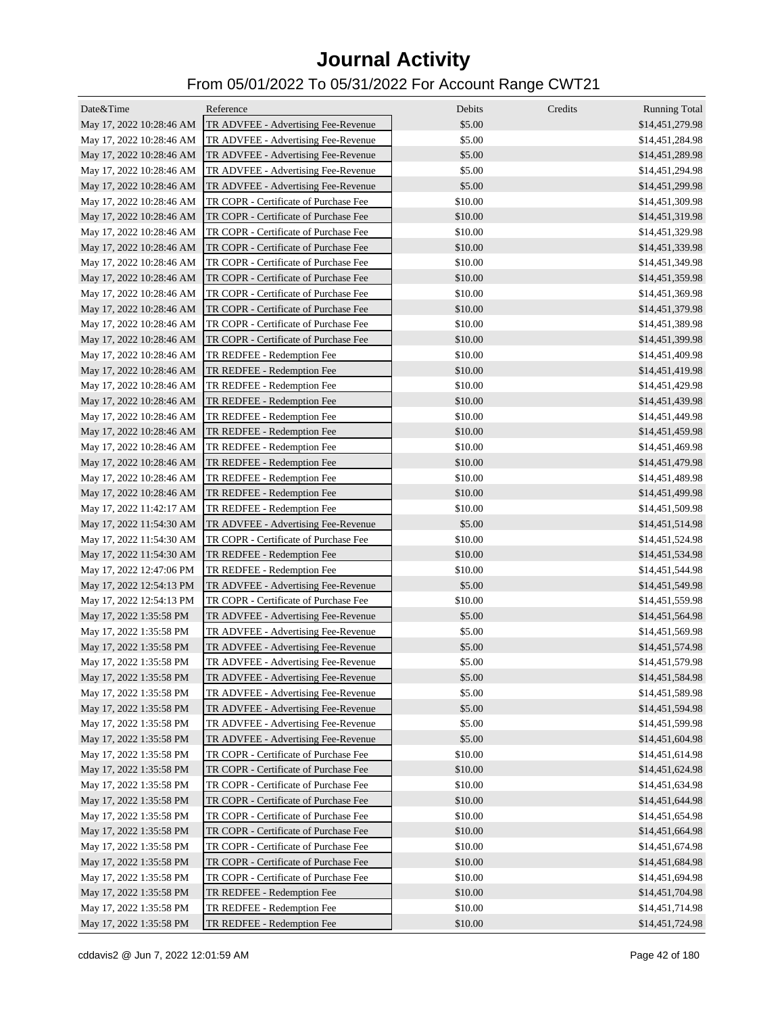| Date&Time                | Reference                             | Debits  | Credits | <b>Running Total</b> |
|--------------------------|---------------------------------------|---------|---------|----------------------|
| May 17, 2022 10:28:46 AM | TR ADVFEE - Advertising Fee-Revenue   | \$5.00  |         | \$14,451,279.98      |
| May 17, 2022 10:28:46 AM | TR ADVFEE - Advertising Fee-Revenue   | \$5.00  |         | \$14,451,284.98      |
| May 17, 2022 10:28:46 AM | TR ADVFEE - Advertising Fee-Revenue   | \$5.00  |         | \$14,451,289.98      |
| May 17, 2022 10:28:46 AM | TR ADVFEE - Advertising Fee-Revenue   | \$5.00  |         | \$14,451,294.98      |
| May 17, 2022 10:28:46 AM | TR ADVFEE - Advertising Fee-Revenue   | \$5.00  |         | \$14,451,299.98      |
| May 17, 2022 10:28:46 AM | TR COPR - Certificate of Purchase Fee | \$10.00 |         | \$14,451,309.98      |
| May 17, 2022 10:28:46 AM | TR COPR - Certificate of Purchase Fee | \$10.00 |         | \$14,451,319.98      |
| May 17, 2022 10:28:46 AM | TR COPR - Certificate of Purchase Fee | \$10.00 |         | \$14,451,329.98      |
| May 17, 2022 10:28:46 AM | TR COPR - Certificate of Purchase Fee | \$10.00 |         | \$14,451,339.98      |
| May 17, 2022 10:28:46 AM | TR COPR - Certificate of Purchase Fee | \$10.00 |         | \$14,451,349.98      |
| May 17, 2022 10:28:46 AM | TR COPR - Certificate of Purchase Fee | \$10.00 |         | \$14,451,359.98      |
| May 17, 2022 10:28:46 AM | TR COPR - Certificate of Purchase Fee | \$10.00 |         | \$14,451,369.98      |
| May 17, 2022 10:28:46 AM | TR COPR - Certificate of Purchase Fee | \$10.00 |         | \$14,451,379.98      |
| May 17, 2022 10:28:46 AM | TR COPR - Certificate of Purchase Fee | \$10.00 |         | \$14,451,389.98      |
| May 17, 2022 10:28:46 AM | TR COPR - Certificate of Purchase Fee | \$10.00 |         | \$14,451,399.98      |
| May 17, 2022 10:28:46 AM | TR REDFEE - Redemption Fee            | \$10.00 |         | \$14,451,409.98      |
| May 17, 2022 10:28:46 AM | TR REDFEE - Redemption Fee            | \$10.00 |         | \$14,451,419.98      |
| May 17, 2022 10:28:46 AM | TR REDFEE - Redemption Fee            | \$10.00 |         | \$14,451,429.98      |
| May 17, 2022 10:28:46 AM | TR REDFEE - Redemption Fee            | \$10.00 |         | \$14,451,439.98      |
| May 17, 2022 10:28:46 AM | TR REDFEE - Redemption Fee            | \$10.00 |         | \$14,451,449.98      |
| May 17, 2022 10:28:46 AM | TR REDFEE - Redemption Fee            | \$10.00 |         | \$14,451,459.98      |
| May 17, 2022 10:28:46 AM | TR REDFEE - Redemption Fee            | \$10.00 |         | \$14,451,469.98      |
| May 17, 2022 10:28:46 AM | TR REDFEE - Redemption Fee            | \$10.00 |         | \$14,451,479.98      |
| May 17, 2022 10:28:46 AM | TR REDFEE - Redemption Fee            | \$10.00 |         | \$14,451,489.98      |
| May 17, 2022 10:28:46 AM | TR REDFEE - Redemption Fee            | \$10.00 |         | \$14,451,499.98      |
| May 17, 2022 11:42:17 AM | TR REDFEE - Redemption Fee            | \$10.00 |         | \$14,451,509.98      |
| May 17, 2022 11:54:30 AM | TR ADVFEE - Advertising Fee-Revenue   | \$5.00  |         | \$14,451,514.98      |
| May 17, 2022 11:54:30 AM | TR COPR - Certificate of Purchase Fee | \$10.00 |         | \$14,451,524.98      |
| May 17, 2022 11:54:30 AM | TR REDFEE - Redemption Fee            | \$10.00 |         | \$14,451,534.98      |
| May 17, 2022 12:47:06 PM | TR REDFEE - Redemption Fee            | \$10.00 |         | \$14,451,544.98      |
| May 17, 2022 12:54:13 PM | TR ADVFEE - Advertising Fee-Revenue   | \$5.00  |         | \$14,451,549.98      |
| May 17, 2022 12:54:13 PM | TR COPR - Certificate of Purchase Fee | \$10.00 |         | \$14,451,559.98      |
| May 17, 2022 1:35:58 PM  | TR ADVFEE - Advertising Fee-Revenue   | \$5.00  |         | \$14,451,564.98      |
| May 17, 2022 1:35:58 PM  | TR ADVFEE - Advertising Fee-Revenue   | \$5.00  |         | \$14,451,569.98      |
| May 17, 2022 1:35:58 PM  | TR ADVFEE - Advertising Fee-Revenue   | \$5.00  |         | \$14,451,574.98      |
| May 17, 2022 1:35:58 PM  | TR ADVFEE - Advertising Fee-Revenue   | \$5.00  |         | \$14,451,579.98      |
| May 17, 2022 1:35:58 PM  | TR ADVFEE - Advertising Fee-Revenue   | \$5.00  |         | \$14,451,584.98      |
| May 17, 2022 1:35:58 PM  | TR ADVFEE - Advertising Fee-Revenue   | \$5.00  |         | \$14,451,589.98      |
| May 17, 2022 1:35:58 PM  | TR ADVFEE - Advertising Fee-Revenue   | \$5.00  |         | \$14,451,594.98      |
| May 17, 2022 1:35:58 PM  | TR ADVFEE - Advertising Fee-Revenue   | \$5.00  |         | \$14,451,599.98      |
| May 17, 2022 1:35:58 PM  | TR ADVFEE - Advertising Fee-Revenue   | \$5.00  |         | \$14,451,604.98      |
| May 17, 2022 1:35:58 PM  | TR COPR - Certificate of Purchase Fee | \$10.00 |         | \$14,451,614.98      |
| May 17, 2022 1:35:58 PM  | TR COPR - Certificate of Purchase Fee | \$10.00 |         | \$14,451,624.98      |
| May 17, 2022 1:35:58 PM  | TR COPR - Certificate of Purchase Fee | \$10.00 |         | \$14,451,634.98      |
| May 17, 2022 1:35:58 PM  | TR COPR - Certificate of Purchase Fee | \$10.00 |         | \$14,451,644.98      |
| May 17, 2022 1:35:58 PM  | TR COPR - Certificate of Purchase Fee | \$10.00 |         | \$14,451,654.98      |
| May 17, 2022 1:35:58 PM  | TR COPR - Certificate of Purchase Fee | \$10.00 |         | \$14,451,664.98      |
| May 17, 2022 1:35:58 PM  | TR COPR - Certificate of Purchase Fee | \$10.00 |         | \$14,451,674.98      |
| May 17, 2022 1:35:58 PM  | TR COPR - Certificate of Purchase Fee | \$10.00 |         | \$14,451,684.98      |
| May 17, 2022 1:35:58 PM  | TR COPR - Certificate of Purchase Fee | \$10.00 |         | \$14,451,694.98      |
| May 17, 2022 1:35:58 PM  | TR REDFEE - Redemption Fee            | \$10.00 |         | \$14,451,704.98      |
| May 17, 2022 1:35:58 PM  | TR REDFEE - Redemption Fee            | \$10.00 |         | \$14,451,714.98      |
| May 17, 2022 1:35:58 PM  | TR REDFEE - Redemption Fee            | \$10.00 |         | \$14,451,724.98      |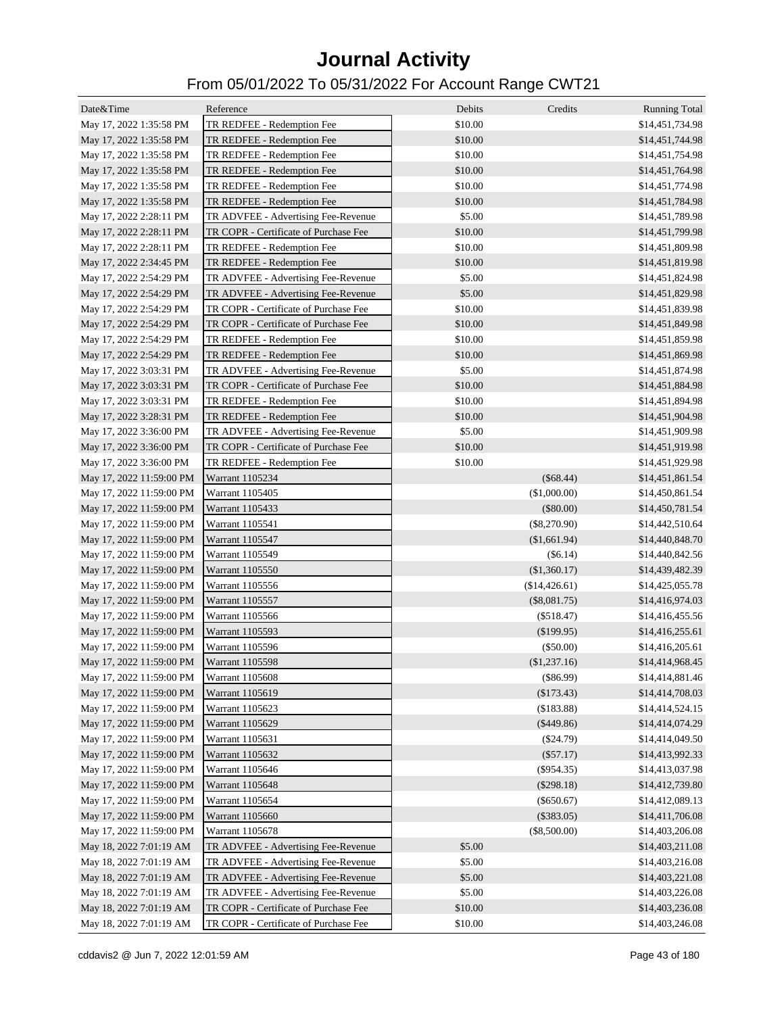| Date&Time                | Reference                             | Debits  | Credits        | <b>Running Total</b> |
|--------------------------|---------------------------------------|---------|----------------|----------------------|
| May 17, 2022 1:35:58 PM  | TR REDFEE - Redemption Fee            | \$10.00 |                | \$14,451,734.98      |
| May 17, 2022 1:35:58 PM  | TR REDFEE - Redemption Fee            | \$10.00 |                | \$14,451,744.98      |
| May 17, 2022 1:35:58 PM  | TR REDFEE - Redemption Fee            | \$10.00 |                | \$14,451,754.98      |
| May 17, 2022 1:35:58 PM  | TR REDFEE - Redemption Fee            | \$10.00 |                | \$14,451,764.98      |
| May 17, 2022 1:35:58 PM  | TR REDFEE - Redemption Fee            | \$10.00 |                | \$14,451,774.98      |
| May 17, 2022 1:35:58 PM  | TR REDFEE - Redemption Fee            | \$10.00 |                | \$14,451,784.98      |
| May 17, 2022 2:28:11 PM  | TR ADVFEE - Advertising Fee-Revenue   | \$5.00  |                | \$14,451,789.98      |
| May 17, 2022 2:28:11 PM  | TR COPR - Certificate of Purchase Fee | \$10.00 |                | \$14,451,799.98      |
| May 17, 2022 2:28:11 PM  | TR REDFEE - Redemption Fee            | \$10.00 |                | \$14,451,809.98      |
| May 17, 2022 2:34:45 PM  | TR REDFEE - Redemption Fee            | \$10.00 |                | \$14,451,819.98      |
| May 17, 2022 2:54:29 PM  | TR ADVFEE - Advertising Fee-Revenue   | \$5.00  |                | \$14,451,824.98      |
| May 17, 2022 2:54:29 PM  | TR ADVFEE - Advertising Fee-Revenue   | \$5.00  |                | \$14,451,829.98      |
| May 17, 2022 2:54:29 PM  | TR COPR - Certificate of Purchase Fee | \$10.00 |                | \$14,451,839.98      |
| May 17, 2022 2:54:29 PM  | TR COPR - Certificate of Purchase Fee | \$10.00 |                | \$14,451,849.98      |
| May 17, 2022 2:54:29 PM  | TR REDFEE - Redemption Fee            | \$10.00 |                | \$14,451,859.98      |
| May 17, 2022 2:54:29 PM  | TR REDFEE - Redemption Fee            | \$10.00 |                | \$14,451,869.98      |
| May 17, 2022 3:03:31 PM  | TR ADVFEE - Advertising Fee-Revenue   | \$5.00  |                | \$14,451,874.98      |
| May 17, 2022 3:03:31 PM  | TR COPR - Certificate of Purchase Fee | \$10.00 |                | \$14,451,884.98      |
| May 17, 2022 3:03:31 PM  | TR REDFEE - Redemption Fee            | \$10.00 |                | \$14,451,894.98      |
| May 17, 2022 3:28:31 PM  | TR REDFEE - Redemption Fee            | \$10.00 |                | \$14,451,904.98      |
| May 17, 2022 3:36:00 PM  | TR ADVFEE - Advertising Fee-Revenue   | \$5.00  |                | \$14,451,909.98      |
| May 17, 2022 3:36:00 PM  | TR COPR - Certificate of Purchase Fee | \$10.00 |                | \$14,451,919.98      |
| May 17, 2022 3:36:00 PM  | TR REDFEE - Redemption Fee            | \$10.00 |                | \$14,451,929.98      |
| May 17, 2022 11:59:00 PM | Warrant 1105234                       |         | (\$68.44)      | \$14,451,861.54      |
| May 17, 2022 11:59:00 PM | Warrant 1105405                       |         | (\$1,000.00)   | \$14,450,861.54      |
| May 17, 2022 11:59:00 PM | Warrant 1105433                       |         | $(\$80.00)$    | \$14,450,781.54      |
| May 17, 2022 11:59:00 PM | Warrant 1105541                       |         | $(\$8,270.90)$ | \$14,442,510.64      |
| May 17, 2022 11:59:00 PM | Warrant 1105547                       |         | (\$1,661.94)   | \$14,440,848.70      |
| May 17, 2022 11:59:00 PM | Warrant 1105549                       |         | (\$6.14)       | \$14,440,842.56      |
| May 17, 2022 11:59:00 PM | Warrant 1105550                       |         | (\$1,360.17)   | \$14,439,482.39      |
| May 17, 2022 11:59:00 PM | Warrant 1105556                       |         | (\$14,426.61)  | \$14,425,055.78      |
| May 17, 2022 11:59:00 PM | Warrant 1105557                       |         | $(\$8,081.75)$ | \$14,416,974.03      |
| May 17, 2022 11:59:00 PM | Warrant 1105566                       |         | $(\$518.47)$   | \$14,416,455.56      |
| May 17, 2022 11:59:00 PM | Warrant 1105593                       |         | (\$199.95)     | \$14,416,255.61      |
| May 17, 2022 11:59:00 PM | Warrant 1105596                       |         | (\$50.00)      | \$14,416,205.61      |
| May 17, 2022 11:59:00 PM | Warrant 1105598                       |         | (\$1,237.16)   | \$14,414,968.45      |
| May 17, 2022 11:59:00 PM | Warrant 1105608                       |         | (\$86.99)      | \$14,414,881.46      |
| May 17, 2022 11:59:00 PM | Warrant 1105619                       |         | (\$173.43)     | \$14,414,708.03      |
| May 17, 2022 11:59:00 PM | Warrant 1105623                       |         | (\$183.88)     | \$14,414,524.15      |
| May 17, 2022 11:59:00 PM | Warrant 1105629                       |         | $(\$449.86)$   | \$14,414,074.29      |
| May 17, 2022 11:59:00 PM | Warrant 1105631                       |         | (\$24.79)      | \$14,414,049.50      |
| May 17, 2022 11:59:00 PM | Warrant 1105632                       |         | (\$57.17)      | \$14,413,992.33      |
| May 17, 2022 11:59:00 PM | Warrant 1105646                       |         | $(\$954.35)$   | \$14,413,037.98      |
| May 17, 2022 11:59:00 PM | Warrant 1105648                       |         | $(\$298.18)$   | \$14,412,739.80      |
| May 17, 2022 11:59:00 PM | Warrant 1105654                       |         | $(\$650.67)$   | \$14,412,089.13      |
| May 17, 2022 11:59:00 PM | Warrant 1105660                       |         | $(\$383.05)$   | \$14,411,706.08      |
| May 17, 2022 11:59:00 PM | Warrant 1105678                       |         | $(\$8,500.00)$ | \$14,403,206.08      |
| May 18, 2022 7:01:19 AM  | TR ADVFEE - Advertising Fee-Revenue   | \$5.00  |                | \$14,403,211.08      |
| May 18, 2022 7:01:19 AM  | TR ADVFEE - Advertising Fee-Revenue   | \$5.00  |                | \$14,403,216.08      |
| May 18, 2022 7:01:19 AM  | TR ADVFEE - Advertising Fee-Revenue   | \$5.00  |                | \$14,403,221.08      |
| May 18, 2022 7:01:19 AM  | TR ADVFEE - Advertising Fee-Revenue   | \$5.00  |                | \$14,403,226.08      |
| May 18, 2022 7:01:19 AM  | TR COPR - Certificate of Purchase Fee | \$10.00 |                | \$14,403,236.08      |
| May 18, 2022 7:01:19 AM  | TR COPR - Certificate of Purchase Fee | \$10.00 |                | \$14,403,246.08      |
|                          |                                       |         |                |                      |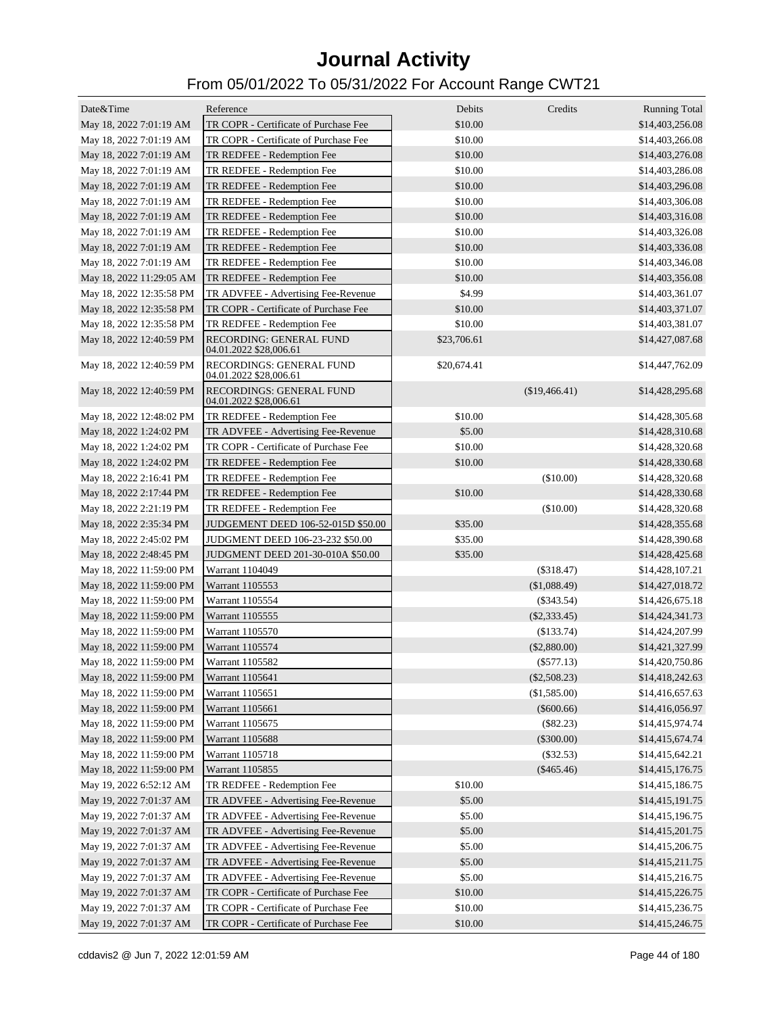| Date&Time                | Reference                                          | Debits      | Credits        | <b>Running Total</b> |
|--------------------------|----------------------------------------------------|-------------|----------------|----------------------|
| May 18, 2022 7:01:19 AM  | TR COPR - Certificate of Purchase Fee              | \$10.00     |                | \$14,403,256.08      |
| May 18, 2022 7:01:19 AM  | TR COPR - Certificate of Purchase Fee              | \$10.00     |                | \$14,403,266.08      |
| May 18, 2022 7:01:19 AM  | TR REDFEE - Redemption Fee                         | \$10.00     |                | \$14,403,276.08      |
| May 18, 2022 7:01:19 AM  | TR REDFEE - Redemption Fee                         | \$10.00     |                | \$14,403,286.08      |
| May 18, 2022 7:01:19 AM  | TR REDFEE - Redemption Fee                         | \$10.00     |                | \$14,403,296.08      |
| May 18, 2022 7:01:19 AM  | TR REDFEE - Redemption Fee                         | \$10.00     |                | \$14,403,306.08      |
| May 18, 2022 7:01:19 AM  | TR REDFEE - Redemption Fee                         | \$10.00     |                | \$14,403,316.08      |
| May 18, 2022 7:01:19 AM  | TR REDFEE - Redemption Fee                         | \$10.00     |                | \$14,403,326.08      |
| May 18, 2022 7:01:19 AM  | TR REDFEE - Redemption Fee                         | \$10.00     |                | \$14,403,336.08      |
| May 18, 2022 7:01:19 AM  | TR REDFEE - Redemption Fee                         | \$10.00     |                | \$14,403,346.08      |
| May 18, 2022 11:29:05 AM | TR REDFEE - Redemption Fee                         | \$10.00     |                | \$14,403,356.08      |
| May 18, 2022 12:35:58 PM | TR ADVFEE - Advertising Fee-Revenue                | \$4.99      |                | \$14,403,361.07      |
| May 18, 2022 12:35:58 PM | TR COPR - Certificate of Purchase Fee              | \$10.00     |                | \$14,403,371.07      |
| May 18, 2022 12:35:58 PM | TR REDFEE - Redemption Fee                         | \$10.00     |                | \$14,403,381.07      |
| May 18, 2022 12:40:59 PM | RECORDING: GENERAL FUND<br>04.01.2022 \$28,006.61  | \$23,706.61 |                | \$14,427,087.68      |
| May 18, 2022 12:40:59 PM | RECORDINGS: GENERAL FUND                           | \$20,674.41 |                | \$14,447,762.09      |
|                          | 04.01.2022 \$28,006.61                             |             |                |                      |
| May 18, 2022 12:40:59 PM | RECORDINGS: GENERAL FUND<br>04.01.2022 \$28,006.61 |             | (\$19,466.41)  | \$14,428,295.68      |
| May 18, 2022 12:48:02 PM | TR REDFEE - Redemption Fee                         | \$10.00     |                | \$14,428,305.68      |
| May 18, 2022 1:24:02 PM  | TR ADVFEE - Advertising Fee-Revenue                | \$5.00      |                | \$14,428,310.68      |
| May 18, 2022 1:24:02 PM  | TR COPR - Certificate of Purchase Fee              | \$10.00     |                | \$14,428,320.68      |
| May 18, 2022 1:24:02 PM  | TR REDFEE - Redemption Fee                         | \$10.00     |                | \$14,428,330.68      |
| May 18, 2022 2:16:41 PM  | TR REDFEE - Redemption Fee                         |             | (\$10.00)      | \$14,428,320.68      |
| May 18, 2022 2:17:44 PM  | TR REDFEE - Redemption Fee                         | \$10.00     |                | \$14,428,330.68      |
| May 18, 2022 2:21:19 PM  | TR REDFEE - Redemption Fee                         |             | (\$10.00)      | \$14,428,320.68      |
| May 18, 2022 2:35:34 PM  | JUDGEMENT DEED 106-52-015D \$50.00                 | \$35.00     |                | \$14,428,355.68      |
| May 18, 2022 2:45:02 PM  | JUDGMENT DEED 106-23-232 \$50.00                   | \$35.00     |                | \$14,428,390.68      |
| May 18, 2022 2:48:45 PM  | JUDGMENT DEED 201-30-010A \$50.00                  | \$35.00     |                | \$14,428,425.68      |
| May 18, 2022 11:59:00 PM | Warrant 1104049                                    |             | $(\$318.47)$   | \$14,428,107.21      |
| May 18, 2022 11:59:00 PM | Warrant 1105553                                    |             | (\$1,088.49)   | \$14,427,018.72      |
| May 18, 2022 11:59:00 PM | Warrant 1105554                                    |             | $(\$343.54)$   | \$14,426,675.18      |
| May 18, 2022 11:59:00 PM | Warrant 1105555                                    |             | $(\$2,333.45)$ | \$14,424,341.73      |
| May 18, 2022 11:59:00 PM | Warrant 1105570                                    |             | (\$133.74)     | \$14,424,207.99      |
| May 18, 2022 11:59:00 PM | Warrant 1105574                                    |             | $(\$2,880.00)$ | \$14,421,327.99      |
| May 18, 2022 11:59:00 PM | Warrant 1105582                                    |             | $(\$577.13)$   | \$14,420,750.86      |
| May 18, 2022 11:59:00 PM | Warrant 1105641                                    |             | $(\$2,508.23)$ | \$14,418,242.63      |
| May 18, 2022 11:59:00 PM | Warrant 1105651                                    |             | (\$1,585.00)   | \$14,416,657.63      |
| May 18, 2022 11:59:00 PM | Warrant 1105661                                    |             | $(\$600.66)$   | \$14,416,056.97      |
| May 18, 2022 11:59:00 PM | Warrant 1105675                                    |             | (\$82.23)      | \$14,415,974.74      |
| May 18, 2022 11:59:00 PM | Warrant 1105688                                    |             | $(\$300.00)$   | \$14,415,674.74      |
| May 18, 2022 11:59:00 PM | Warrant 1105718                                    |             | (\$32.53)      | \$14,415,642.21      |
| May 18, 2022 11:59:00 PM | Warrant 1105855                                    |             | $(\$465.46)$   | \$14,415,176.75      |
| May 19, 2022 6:52:12 AM  | TR REDFEE - Redemption Fee                         | \$10.00     |                | \$14,415,186.75      |
| May 19, 2022 7:01:37 AM  | TR ADVFEE - Advertising Fee-Revenue                | \$5.00      |                | \$14,415,191.75      |
| May 19, 2022 7:01:37 AM  | TR ADVFEE - Advertising Fee-Revenue                | \$5.00      |                | \$14,415,196.75      |
| May 19, 2022 7:01:37 AM  | TR ADVFEE - Advertising Fee-Revenue                | \$5.00      |                | \$14,415,201.75      |
| May 19, 2022 7:01:37 AM  | TR ADVFEE - Advertising Fee-Revenue                | \$5.00      |                | \$14,415,206.75      |
| May 19, 2022 7:01:37 AM  | TR ADVFEE - Advertising Fee-Revenue                | \$5.00      |                | \$14,415,211.75      |
| May 19, 2022 7:01:37 AM  | TR ADVFEE - Advertising Fee-Revenue                | \$5.00      |                | \$14,415,216.75      |
| May 19, 2022 7:01:37 AM  | TR COPR - Certificate of Purchase Fee              | \$10.00     |                | \$14,415,226.75      |
| May 19, 2022 7:01:37 AM  | TR COPR - Certificate of Purchase Fee              | \$10.00     |                | \$14,415,236.75      |
| May 19, 2022 7:01:37 AM  | TR COPR - Certificate of Purchase Fee              | \$10.00     |                | \$14,415,246.75      |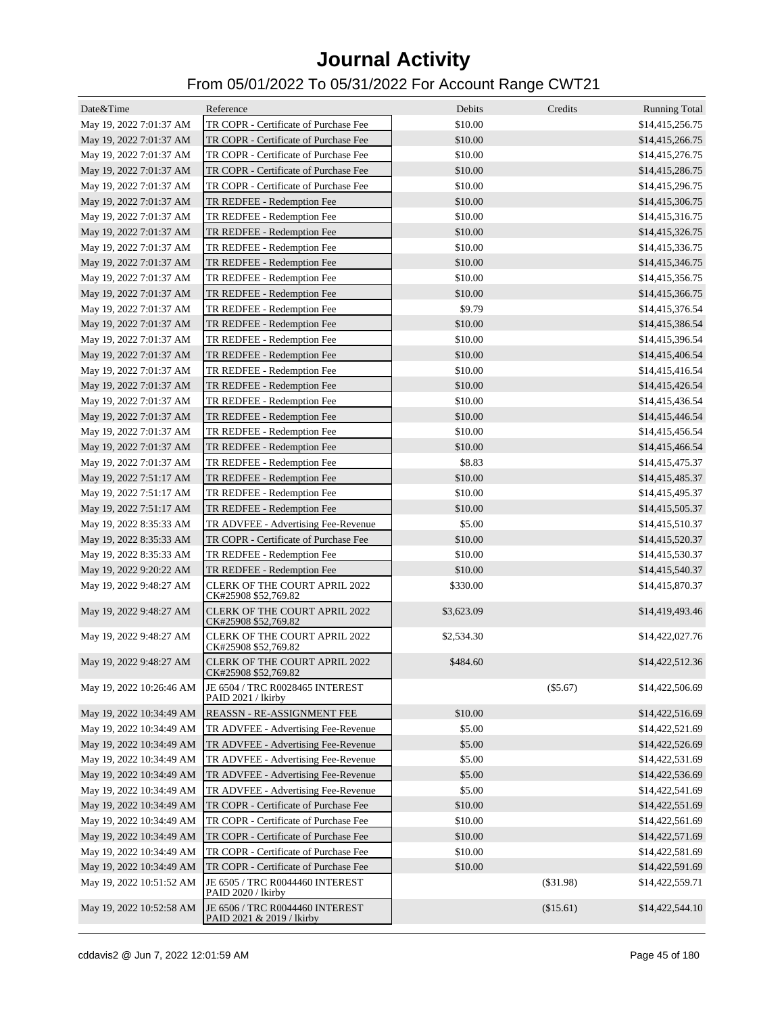| Date&Time                | Reference                                                    | Debits             | Credits    | <b>Running Total</b> |
|--------------------------|--------------------------------------------------------------|--------------------|------------|----------------------|
| May 19, 2022 7:01:37 AM  | TR COPR - Certificate of Purchase Fee                        | \$10.00            |            | \$14,415,256.75      |
| May 19, 2022 7:01:37 AM  | TR COPR - Certificate of Purchase Fee                        | \$10.00            |            | \$14,415,266.75      |
| May 19, 2022 7:01:37 AM  | TR COPR - Certificate of Purchase Fee                        | \$10.00            |            | \$14,415,276.75      |
| May 19, 2022 7:01:37 AM  | TR COPR - Certificate of Purchase Fee                        | \$10.00            |            | \$14,415,286.75      |
| May 19, 2022 7:01:37 AM  | TR COPR - Certificate of Purchase Fee                        | \$10.00            |            | \$14,415,296.75      |
| May 19, 2022 7:01:37 AM  | TR REDFEE - Redemption Fee                                   | \$10.00            |            | \$14,415,306.75      |
| May 19, 2022 7:01:37 AM  | TR REDFEE - Redemption Fee                                   | \$10.00            |            | \$14,415,316.75      |
| May 19, 2022 7:01:37 AM  | TR REDFEE - Redemption Fee                                   | \$10.00            |            | \$14,415,326.75      |
| May 19, 2022 7:01:37 AM  | TR REDFEE - Redemption Fee                                   | \$10.00            |            | \$14,415,336.75      |
| May 19, 2022 7:01:37 AM  | TR REDFEE - Redemption Fee                                   | \$10.00            |            | \$14,415,346.75      |
| May 19, 2022 7:01:37 AM  | TR REDFEE - Redemption Fee                                   | \$10.00            |            | \$14,415,356.75      |
| May 19, 2022 7:01:37 AM  | TR REDFEE - Redemption Fee                                   | \$10.00            |            | \$14,415,366.75      |
| May 19, 2022 7:01:37 AM  | TR REDFEE - Redemption Fee                                   | \$9.79             |            | \$14,415,376.54      |
| May 19, 2022 7:01:37 AM  | TR REDFEE - Redemption Fee                                   | \$10.00            |            | \$14,415,386.54      |
| May 19, 2022 7:01:37 AM  | TR REDFEE - Redemption Fee                                   | \$10.00            |            | \$14,415,396.54      |
| May 19, 2022 7:01:37 AM  | TR REDFEE - Redemption Fee                                   | \$10.00            |            | \$14,415,406.54      |
| May 19, 2022 7:01:37 AM  | TR REDFEE - Redemption Fee                                   | \$10.00            |            | \$14,415,416.54      |
| May 19, 2022 7:01:37 AM  | TR REDFEE - Redemption Fee                                   | \$10.00            |            | \$14,415,426.54      |
|                          | TR REDFEE - Redemption Fee                                   | \$10.00            |            | \$14,415,436.54      |
| May 19, 2022 7:01:37 AM  |                                                              |                    |            |                      |
| May 19, 2022 7:01:37 AM  | TR REDFEE - Redemption Fee<br>TR REDFEE - Redemption Fee     | \$10.00<br>\$10.00 |            | \$14,415,446.54      |
| May 19, 2022 7:01:37 AM  |                                                              |                    |            | \$14,415,456.54      |
| May 19, 2022 7:01:37 AM  | TR REDFEE - Redemption Fee                                   | \$10.00            |            | \$14,415,466.54      |
| May 19, 2022 7:01:37 AM  | TR REDFEE - Redemption Fee                                   | \$8.83             |            | \$14,415,475.37      |
| May 19, 2022 7:51:17 AM  | TR REDFEE - Redemption Fee                                   | \$10.00            |            | \$14,415,485.37      |
| May 19, 2022 7:51:17 AM  | TR REDFEE - Redemption Fee                                   | \$10.00            |            | \$14,415,495.37      |
| May 19, 2022 7:51:17 AM  | TR REDFEE - Redemption Fee                                   | \$10.00            |            | \$14,415,505.37      |
| May 19, 2022 8:35:33 AM  | TR ADVFEE - Advertising Fee-Revenue                          | \$5.00             |            | \$14,415,510.37      |
| May 19, 2022 8:35:33 AM  | TR COPR - Certificate of Purchase Fee                        | \$10.00            |            | \$14,415,520.37      |
| May 19, 2022 8:35:33 AM  | TR REDFEE - Redemption Fee                                   | \$10.00            |            | \$14,415,530.37      |
| May 19, 2022 9:20:22 AM  | TR REDFEE - Redemption Fee                                   | \$10.00            |            | \$14,415,540.37      |
| May 19, 2022 9:48:27 AM  | CLERK OF THE COURT APRIL 2022<br>CK#25908 \$52,769.82        | \$330.00           |            | \$14,415,870.37      |
| May 19, 2022 9:48:27 AM  | <b>CLERK OF THE COURT APRIL 2022</b><br>CK#25908 \$52,769.82 | \$3,623.09         |            | \$14,419,493.46      |
| May 19, 2022 9:48:27 AM  | <b>CLERK OF THE COURT APRIL 2022</b><br>CK#25908 \$52,769.82 | \$2,534.30         |            | \$14,422,027.76      |
| May 19, 2022 9:48:27 AM  | <b>CLERK OF THE COURT APRIL 2022</b><br>CK#25908 \$52,769.82 | \$484.60           |            | \$14,422,512.36      |
| May 19, 2022 10:26:46 AM | JE 6504 / TRC R0028465 INTEREST<br>PAID 2021 / lkirby        |                    | $(\$5.67)$ | \$14,422,506.69      |
| May 19, 2022 10:34:49 AM | REASSN - RE-ASSIGNMENT FEE                                   | \$10.00            |            | \$14,422,516.69      |
| May 19, 2022 10:34:49 AM | TR ADVFEE - Advertising Fee-Revenue                          | \$5.00             |            | \$14,422,521.69      |
| May 19, 2022 10:34:49 AM | TR ADVFEE - Advertising Fee-Revenue                          | \$5.00             |            | \$14,422,526.69      |
| May 19, 2022 10:34:49 AM | TR ADVFEE - Advertising Fee-Revenue                          | \$5.00             |            | \$14,422,531.69      |
| May 19, 2022 10:34:49 AM | TR ADVFEE - Advertising Fee-Revenue                          | \$5.00             |            | \$14,422,536.69      |
| May 19, 2022 10:34:49 AM | TR ADVFEE - Advertising Fee-Revenue                          | \$5.00             |            | \$14,422,541.69      |
| May 19, 2022 10:34:49 AM | TR COPR - Certificate of Purchase Fee                        | \$10.00            |            | \$14,422,551.69      |
| May 19, 2022 10:34:49 AM | TR COPR - Certificate of Purchase Fee                        | \$10.00            |            | \$14,422,561.69      |
| May 19, 2022 10:34:49 AM | TR COPR - Certificate of Purchase Fee                        | \$10.00            |            | \$14,422,571.69      |
| May 19, 2022 10:34:49 AM | TR COPR - Certificate of Purchase Fee                        | \$10.00            |            | \$14,422,581.69      |
| May 19, 2022 10:34:49 AM | TR COPR - Certificate of Purchase Fee                        | \$10.00            |            | \$14,422,591.69      |
| May 19, 2022 10:51:52 AM | JE 6505 / TRC R0044460 INTEREST<br>PAID 2020 / lkirby        |                    | (\$31.98)  | \$14,422,559.71      |
| May 19, 2022 10:52:58 AM | JE 6506 / TRC R0044460 INTEREST<br>PAID 2021 & 2019 / lkirby |                    | (\$15.61)  | \$14,422,544.10      |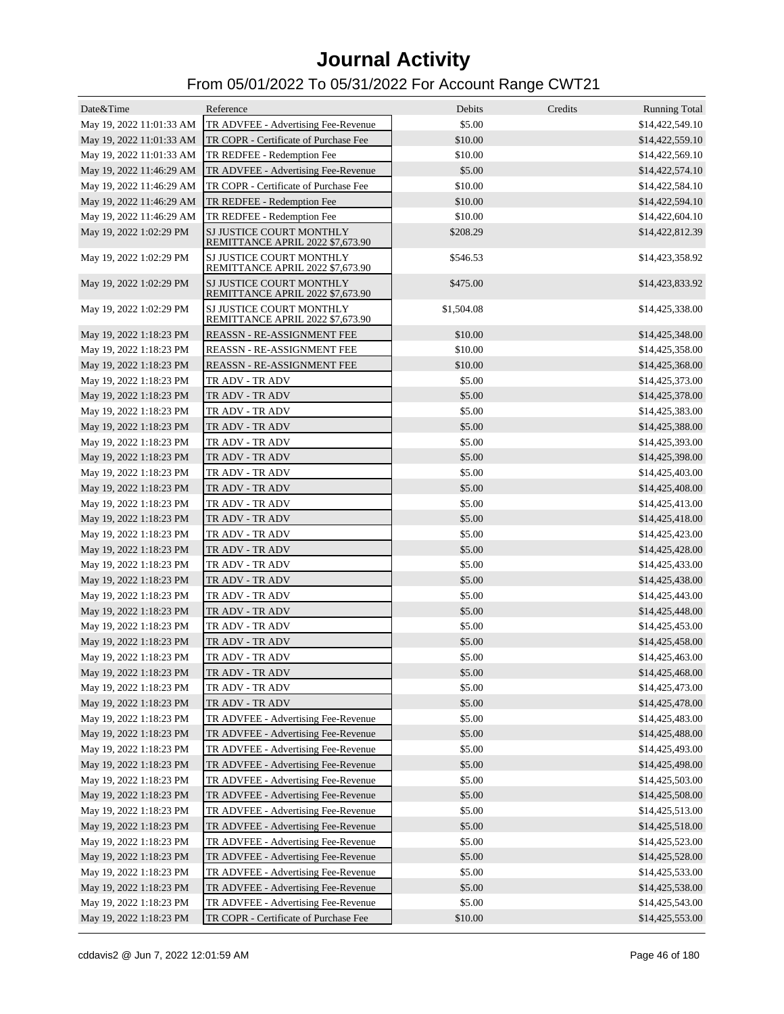| Date&Time                | Reference                                                    | Debits           | Credits | <b>Running Total</b> |
|--------------------------|--------------------------------------------------------------|------------------|---------|----------------------|
| May 19, 2022 11:01:33 AM | TR ADVFEE - Advertising Fee-Revenue                          | \$5.00           |         | \$14,422,549.10      |
| May 19, 2022 11:01:33 AM | TR COPR - Certificate of Purchase Fee                        | \$10.00          |         | \$14,422,559.10      |
| May 19, 2022 11:01:33 AM | TR REDFEE - Redemption Fee                                   | \$10.00          |         | \$14,422,569.10      |
| May 19, 2022 11:46:29 AM | TR ADVFEE - Advertising Fee-Revenue                          | \$5.00           |         | \$14,422,574.10      |
| May 19, 2022 11:46:29 AM | TR COPR - Certificate of Purchase Fee                        | \$10.00          |         | \$14,422,584.10      |
| May 19, 2022 11:46:29 AM | TR REDFEE - Redemption Fee                                   | \$10.00          |         | \$14,422,594.10      |
| May 19, 2022 11:46:29 AM | TR REDFEE - Redemption Fee                                   | \$10.00          |         | \$14,422,604.10      |
| May 19, 2022 1:02:29 PM  | SJ JUSTICE COURT MONTHLY                                     | \$208.29         |         | \$14,422,812.39      |
|                          | REMITTANCE APRIL 2022 \$7,673.90                             |                  |         |                      |
| May 19, 2022 1:02:29 PM  | SJ JUSTICE COURT MONTHLY<br>REMITTANCE APRIL 2022 \$7,673.90 | \$546.53         |         | \$14,423,358.92      |
| May 19, 2022 1:02:29 PM  | SJ JUSTICE COURT MONTHLY<br>REMITTANCE APRIL 2022 \$7,673.90 | \$475.00         |         | \$14,423,833.92      |
| May 19, 2022 1:02:29 PM  | SJ JUSTICE COURT MONTHLY<br>REMITTANCE APRIL 2022 \$7,673.90 | \$1,504.08       |         | \$14,425,338.00      |
| May 19, 2022 1:18:23 PM  | <b>REASSN - RE-ASSIGNMENT FEE</b>                            | \$10.00          |         | \$14,425,348.00      |
| May 19, 2022 1:18:23 PM  | <b>REASSN - RE-ASSIGNMENT FEE</b>                            | \$10.00          |         | \$14,425,358.00      |
| May 19, 2022 1:18:23 PM  | <b>REASSN - RE-ASSIGNMENT FEE</b>                            | \$10.00          |         | \$14,425,368.00      |
| May 19, 2022 1:18:23 PM  | TR ADV - TR ADV                                              | \$5.00           |         | \$14,425,373.00      |
| May 19, 2022 1:18:23 PM  | TR ADV - TR ADV                                              | \$5.00           |         | \$14,425,378.00      |
| May 19, 2022 1:18:23 PM  | TR ADV - TR ADV                                              | \$5.00           |         | \$14,425,383.00      |
| May 19, 2022 1:18:23 PM  | TR ADV - TR ADV                                              | \$5.00           |         | \$14,425,388.00      |
| May 19, 2022 1:18:23 PM  | TR ADV - TR ADV                                              | \$5.00           |         | \$14,425,393.00      |
| May 19, 2022 1:18:23 PM  | TR ADV - TR ADV                                              | \$5.00           |         | \$14,425,398.00      |
| May 19, 2022 1:18:23 PM  | TR ADV - TR ADV                                              | \$5.00           |         | \$14,425,403.00      |
| May 19, 2022 1:18:23 PM  | TR ADV - TR ADV                                              | \$5.00           |         | \$14,425,408.00      |
| May 19, 2022 1:18:23 PM  | TR ADV - TR ADV                                              | \$5.00           |         | \$14,425,413.00      |
| May 19, 2022 1:18:23 PM  | TR ADV - TR ADV                                              | \$5.00           |         | \$14,425,418.00      |
| May 19, 2022 1:18:23 PM  | TR ADV - TR ADV                                              | \$5.00           |         | \$14,425,423.00      |
| May 19, 2022 1:18:23 PM  | TR ADV - TR ADV                                              | \$5.00           |         | \$14,425,428.00      |
| May 19, 2022 1:18:23 PM  | TR ADV - TR ADV                                              | \$5.00           |         | \$14,425,433.00      |
| May 19, 2022 1:18:23 PM  | TR ADV - TR ADV                                              | \$5.00           |         | \$14,425,438.00      |
| May 19, 2022 1:18:23 PM  | TR ADV - TR ADV                                              | \$5.00           |         | \$14,425,443.00      |
| May 19, 2022 1:18:23 PM  | TR ADV - TR ADV                                              | \$5.00           |         | \$14,425,448.00      |
| May 19, 2022 1:18:23 PM  | TR ADV - TR ADV                                              | \$5.00           |         | \$14,425,453.00      |
|                          |                                                              |                  |         | \$14,425,458.00      |
| May 19, 2022 1:18:23 PM  | TR ADV - TR ADV                                              | \$5.00<br>\$5.00 |         |                      |
| May 19, 2022 1:18:23 PM  | TR ADV - TR ADV                                              |                  |         | \$14,425,463.00      |
| May 19, 2022 1:18:23 PM  | TR ADV - TR ADV                                              | \$5.00           |         | \$14,425,468.00      |
| May 19, 2022 1:18:23 PM  | TR ADV - TR ADV                                              | \$5.00           |         | \$14,425,473.00      |
| May 19, 2022 1:18:23 PM  | TR ADV - TR ADV                                              | \$5.00           |         | \$14,425,478.00      |
| May 19, 2022 1:18:23 PM  | TR ADVFEE - Advertising Fee-Revenue                          | \$5.00           |         | \$14,425,483.00      |
| May 19, 2022 1:18:23 PM  | TR ADVFEE - Advertising Fee-Revenue                          | \$5.00           |         | \$14,425,488.00      |
| May 19, 2022 1:18:23 PM  | TR ADVFEE - Advertising Fee-Revenue                          | \$5.00           |         | \$14,425,493.00      |
| May 19, 2022 1:18:23 PM  | TR ADVFEE - Advertising Fee-Revenue                          | \$5.00           |         | \$14,425,498.00      |
| May 19, 2022 1:18:23 PM  | TR ADVFEE - Advertising Fee-Revenue                          | \$5.00           |         | \$14,425,503.00      |
| May 19, 2022 1:18:23 PM  | TR ADVFEE - Advertising Fee-Revenue                          | \$5.00           |         | \$14,425,508.00      |
| May 19, 2022 1:18:23 PM  | TR ADVFEE - Advertising Fee-Revenue                          | \$5.00           |         | \$14,425,513.00      |
| May 19, 2022 1:18:23 PM  | TR ADVFEE - Advertising Fee-Revenue                          | \$5.00           |         | \$14,425,518.00      |
| May 19, 2022 1:18:23 PM  | TR ADVFEE - Advertising Fee-Revenue                          | \$5.00           |         | \$14,425,523.00      |
| May 19, 2022 1:18:23 PM  | TR ADVFEE - Advertising Fee-Revenue                          | \$5.00           |         | \$14,425,528.00      |
| May 19, 2022 1:18:23 PM  | TR ADVFEE - Advertising Fee-Revenue                          | \$5.00           |         | \$14,425,533.00      |
| May 19, 2022 1:18:23 PM  | TR ADVFEE - Advertising Fee-Revenue                          | \$5.00           |         | \$14,425,538.00      |
| May 19, 2022 1:18:23 PM  | TR ADVFEE - Advertising Fee-Revenue                          | \$5.00           |         | \$14,425,543.00      |
| May 19, 2022 1:18:23 PM  | TR COPR - Certificate of Purchase Fee                        | \$10.00          |         | \$14,425,553.00      |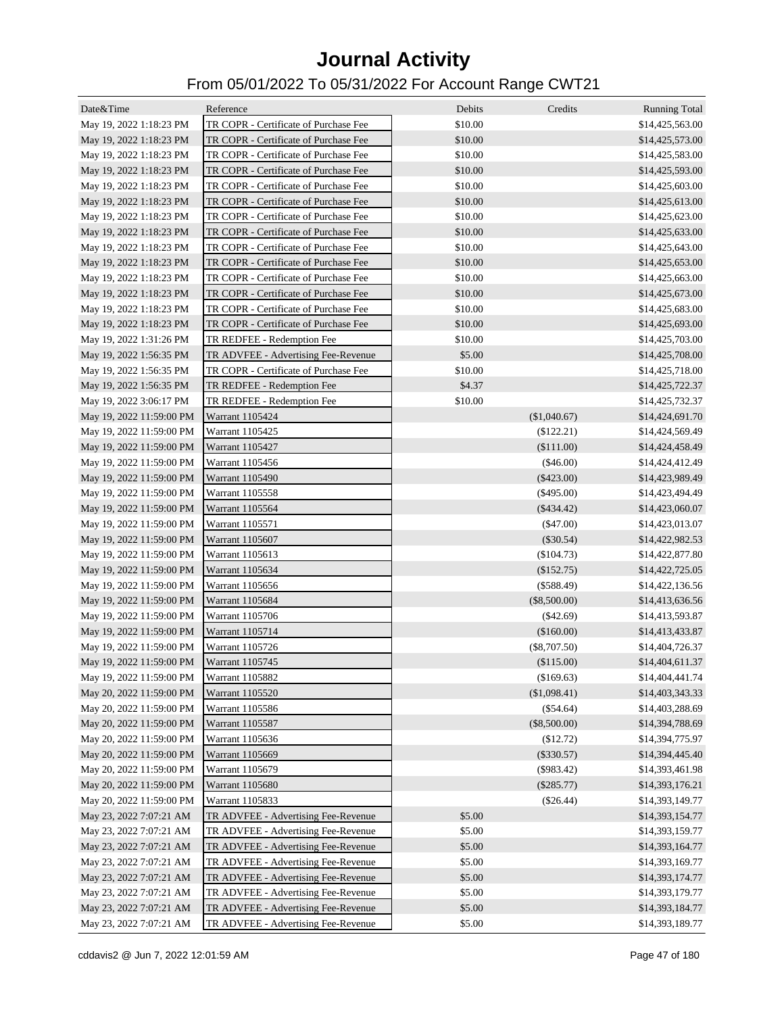| Date&Time                | Reference                             | Debits<br>Credits | <b>Running Total</b> |
|--------------------------|---------------------------------------|-------------------|----------------------|
| May 19, 2022 1:18:23 PM  | TR COPR - Certificate of Purchase Fee | \$10.00           | \$14,425,563.00      |
| May 19, 2022 1:18:23 PM  | TR COPR - Certificate of Purchase Fee | \$10.00           | \$14,425,573.00      |
| May 19, 2022 1:18:23 PM  | TR COPR - Certificate of Purchase Fee | \$10.00           | \$14,425,583.00      |
| May 19, 2022 1:18:23 PM  | TR COPR - Certificate of Purchase Fee | \$10.00           | \$14,425,593.00      |
| May 19, 2022 1:18:23 PM  | TR COPR - Certificate of Purchase Fee | \$10.00           | \$14,425,603.00      |
| May 19, 2022 1:18:23 PM  | TR COPR - Certificate of Purchase Fee | \$10.00           | \$14,425,613.00      |
| May 19, 2022 1:18:23 PM  | TR COPR - Certificate of Purchase Fee | \$10.00           | \$14,425,623.00      |
| May 19, 2022 1:18:23 PM  | TR COPR - Certificate of Purchase Fee | \$10.00           | \$14,425,633.00      |
| May 19, 2022 1:18:23 PM  | TR COPR - Certificate of Purchase Fee | \$10.00           | \$14,425,643.00      |
| May 19, 2022 1:18:23 PM  | TR COPR - Certificate of Purchase Fee | \$10.00           | \$14,425,653.00      |
| May 19, 2022 1:18:23 PM  | TR COPR - Certificate of Purchase Fee | \$10.00           | \$14,425,663.00      |
| May 19, 2022 1:18:23 PM  | TR COPR - Certificate of Purchase Fee | \$10.00           | \$14,425,673.00      |
| May 19, 2022 1:18:23 PM  | TR COPR - Certificate of Purchase Fee | \$10.00           | \$14,425,683.00      |
| May 19, 2022 1:18:23 PM  | TR COPR - Certificate of Purchase Fee | \$10.00           | \$14,425,693.00      |
| May 19, 2022 1:31:26 PM  | TR REDFEE - Redemption Fee            | \$10.00           | \$14,425,703.00      |
| May 19, 2022 1:56:35 PM  | TR ADVFEE - Advertising Fee-Revenue   | \$5.00            | \$14,425,708.00      |
| May 19, 2022 1:56:35 PM  | TR COPR - Certificate of Purchase Fee | \$10.00           | \$14,425,718.00      |
| May 19, 2022 1:56:35 PM  | TR REDFEE - Redemption Fee            | \$4.37            | \$14,425,722.37      |
| May 19, 2022 3:06:17 PM  | TR REDFEE - Redemption Fee            | \$10.00           | \$14,425,732.37      |
| May 19, 2022 11:59:00 PM | Warrant 1105424                       | (\$1,040.67)      | \$14,424,691.70      |
| May 19, 2022 11:59:00 PM | Warrant 1105425                       | (\$122.21)        | \$14,424,569.49      |
| May 19, 2022 11:59:00 PM | Warrant 1105427                       | (\$111.00)        | \$14,424,458.49      |
| May 19, 2022 11:59:00 PM | Warrant 1105456                       | $(\$46.00)$       | \$14,424,412.49      |
| May 19, 2022 11:59:00 PM | Warrant 1105490                       | $(\$423.00)$      | \$14,423,989.49      |
| May 19, 2022 11:59:00 PM | Warrant 1105558                       | $(\$495.00)$      | \$14,423,494.49      |
| May 19, 2022 11:59:00 PM | Warrant 1105564                       | $(\$434.42)$      | \$14,423,060.07      |
| May 19, 2022 11:59:00 PM | Warrant 1105571                       | $(\$47.00)$       | \$14,423,013.07      |
| May 19, 2022 11:59:00 PM | Warrant 1105607                       | $(\$30.54)$       | \$14,422,982.53      |
| May 19, 2022 11:59:00 PM | Warrant 1105613                       | $(\$104.73)$      | \$14,422,877.80      |
| May 19, 2022 11:59:00 PM | Warrant 1105634                       | (\$152.75)        | \$14,422,725.05      |
| May 19, 2022 11:59:00 PM | Warrant 1105656                       | $(\$588.49)$      | \$14,422,136.56      |
| May 19, 2022 11:59:00 PM | Warrant 1105684                       | $(\$8,500.00)$    | \$14,413,636.56      |
| May 19, 2022 11:59:00 PM | Warrant 1105706                       | $(\$42.69)$       | \$14,413,593.87      |
| May 19, 2022 11:59:00 PM | Warrant 1105714                       | (\$160.00)        | \$14,413,433.87      |
| May 19, 2022 11:59:00 PM | Warrant 1105726                       | $(\$8,707.50)$    | \$14,404,726.37      |
| May 19, 2022 11:59:00 PM | Warrant 1105745                       | (\$115.00)        | \$14,404,611.37      |
| May 19, 2022 11:59:00 PM | Warrant 1105882                       | (\$169.63)        | \$14,404,441.74      |
| May 20, 2022 11:59:00 PM | Warrant 1105520                       | (\$1,098.41)      | \$14,403,343.33      |
| May 20, 2022 11:59:00 PM | Warrant 1105586                       | $(\$54.64)$       | \$14,403,288.69      |
| May 20, 2022 11:59:00 PM | Warrant 1105587                       | $(\$8,500.00)$    | \$14,394,788.69      |
| May 20, 2022 11:59:00 PM | Warrant 1105636                       | \$12.72)          | \$14,394,775.97      |
| May 20, 2022 11:59:00 PM | Warrant 1105669                       | $(\$330.57)$      | \$14,394,445.40      |
| May 20, 2022 11:59:00 PM | Warrant 1105679                       | $(\$983.42)$      | \$14,393,461.98      |
| May 20, 2022 11:59:00 PM | Warrant 1105680                       | $(\$285.77)$      | \$14,393,176.21      |
| May 20, 2022 11:59:00 PM | Warrant 1105833                       | $(\$26.44)$       | \$14,393,149.77      |
| May 23, 2022 7:07:21 AM  | TR ADVFEE - Advertising Fee-Revenue   | \$5.00            | \$14,393,154.77      |
| May 23, 2022 7:07:21 AM  | TR ADVFEE - Advertising Fee-Revenue   | \$5.00            | \$14,393,159.77      |
| May 23, 2022 7:07:21 AM  | TR ADVFEE - Advertising Fee-Revenue   | \$5.00            | \$14,393,164.77      |
| May 23, 2022 7:07:21 AM  | TR ADVFEE - Advertising Fee-Revenue   | \$5.00            | \$14,393,169.77      |
| May 23, 2022 7:07:21 AM  | TR ADVFEE - Advertising Fee-Revenue   | \$5.00            | \$14,393,174.77      |
| May 23, 2022 7:07:21 AM  | TR ADVFEE - Advertising Fee-Revenue   | \$5.00            | \$14,393,179.77      |
| May 23, 2022 7:07:21 AM  | TR ADVFEE - Advertising Fee-Revenue   | \$5.00            | \$14,393,184.77      |
| May 23, 2022 7:07:21 AM  | TR ADVFEE - Advertising Fee-Revenue   | \$5.00            | \$14,393,189.77      |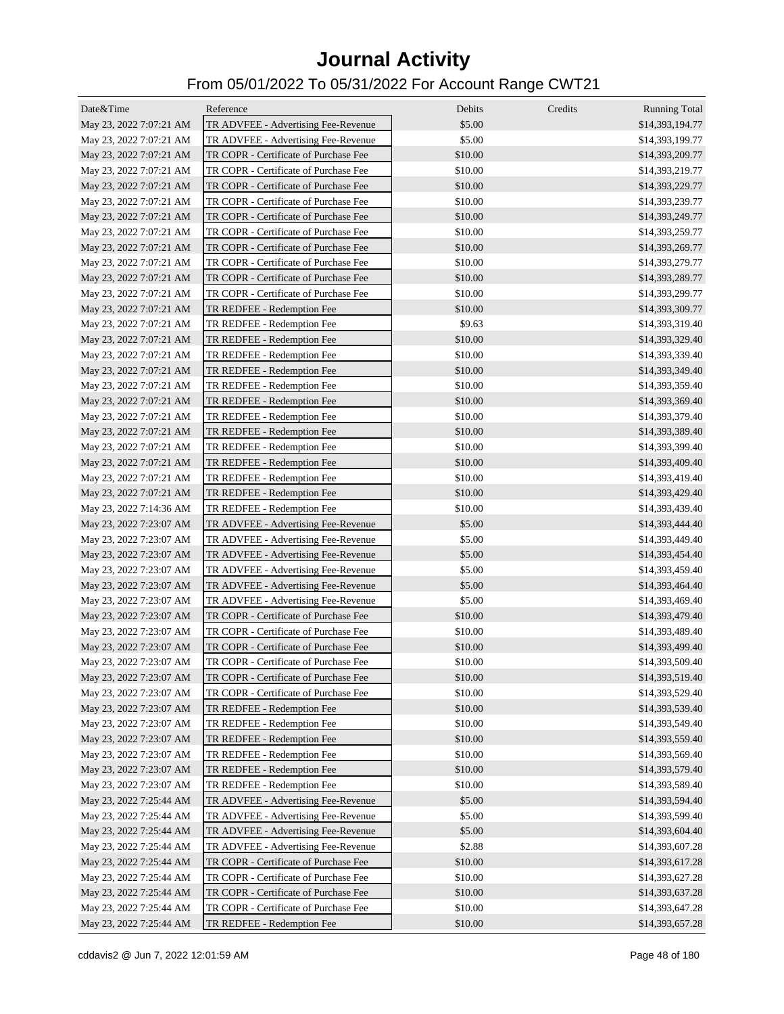| Date&Time               | Reference                             | Debits  | Credits | <b>Running Total</b> |
|-------------------------|---------------------------------------|---------|---------|----------------------|
| May 23, 2022 7:07:21 AM | TR ADVFEE - Advertising Fee-Revenue   | \$5.00  |         | \$14,393,194.77      |
| May 23, 2022 7:07:21 AM | TR ADVFEE - Advertising Fee-Revenue   | \$5.00  |         | \$14,393,199.77      |
| May 23, 2022 7:07:21 AM | TR COPR - Certificate of Purchase Fee | \$10.00 |         | \$14,393,209.77      |
| May 23, 2022 7:07:21 AM | TR COPR - Certificate of Purchase Fee | \$10.00 |         | \$14,393,219.77      |
| May 23, 2022 7:07:21 AM | TR COPR - Certificate of Purchase Fee | \$10.00 |         | \$14,393,229.77      |
| May 23, 2022 7:07:21 AM | TR COPR - Certificate of Purchase Fee | \$10.00 |         | \$14,393,239.77      |
| May 23, 2022 7:07:21 AM | TR COPR - Certificate of Purchase Fee | \$10.00 |         | \$14,393,249.77      |
| May 23, 2022 7:07:21 AM | TR COPR - Certificate of Purchase Fee | \$10.00 |         | \$14,393,259.77      |
| May 23, 2022 7:07:21 AM | TR COPR - Certificate of Purchase Fee | \$10.00 |         | \$14,393,269.77      |
| May 23, 2022 7:07:21 AM | TR COPR - Certificate of Purchase Fee | \$10.00 |         | \$14,393,279.77      |
| May 23, 2022 7:07:21 AM | TR COPR - Certificate of Purchase Fee | \$10.00 |         | \$14,393,289.77      |
| May 23, 2022 7:07:21 AM | TR COPR - Certificate of Purchase Fee | \$10.00 |         | \$14,393,299.77      |
| May 23, 2022 7:07:21 AM | TR REDFEE - Redemption Fee            | \$10.00 |         | \$14,393,309.77      |
| May 23, 2022 7:07:21 AM | TR REDFEE - Redemption Fee            | \$9.63  |         | \$14,393,319.40      |
| May 23, 2022 7:07:21 AM | TR REDFEE - Redemption Fee            | \$10.00 |         | \$14,393,329.40      |
| May 23, 2022 7:07:21 AM | TR REDFEE - Redemption Fee            | \$10.00 |         | \$14,393,339.40      |
| May 23, 2022 7:07:21 AM | TR REDFEE - Redemption Fee            | \$10.00 |         | \$14,393,349.40      |
|                         | TR REDFEE - Redemption Fee            | \$10.00 |         |                      |
| May 23, 2022 7:07:21 AM |                                       |         |         | \$14,393,359.40      |
| May 23, 2022 7:07:21 AM | TR REDFEE - Redemption Fee            | \$10.00 |         | \$14,393,369.40      |
| May 23, 2022 7:07:21 AM | TR REDFEE - Redemption Fee            | \$10.00 |         | \$14,393,379.40      |
| May 23, 2022 7:07:21 AM | TR REDFEE - Redemption Fee            | \$10.00 |         | \$14,393,389.40      |
| May 23, 2022 7:07:21 AM | TR REDFEE - Redemption Fee            | \$10.00 |         | \$14,393,399.40      |
| May 23, 2022 7:07:21 AM | TR REDFEE - Redemption Fee            | \$10.00 |         | \$14,393,409.40      |
| May 23, 2022 7:07:21 AM | TR REDFEE - Redemption Fee            | \$10.00 |         | \$14,393,419.40      |
| May 23, 2022 7:07:21 AM | TR REDFEE - Redemption Fee            | \$10.00 |         | \$14,393,429.40      |
| May 23, 2022 7:14:36 AM | TR REDFEE - Redemption Fee            | \$10.00 |         | \$14,393,439.40      |
| May 23, 2022 7:23:07 AM | TR ADVFEE - Advertising Fee-Revenue   | \$5.00  |         | \$14,393,444.40      |
| May 23, 2022 7:23:07 AM | TR ADVFEE - Advertising Fee-Revenue   | \$5.00  |         | \$14,393,449.40      |
| May 23, 2022 7:23:07 AM | TR ADVFEE - Advertising Fee-Revenue   | \$5.00  |         | \$14,393,454.40      |
| May 23, 2022 7:23:07 AM | TR ADVFEE - Advertising Fee-Revenue   | \$5.00  |         | \$14,393,459.40      |
| May 23, 2022 7:23:07 AM | TR ADVFEE - Advertising Fee-Revenue   | \$5.00  |         | \$14,393,464.40      |
| May 23, 2022 7:23:07 AM | TR ADVFEE - Advertising Fee-Revenue   | \$5.00  |         | \$14,393,469.40      |
| May 23, 2022 7:23:07 AM | TR COPR - Certificate of Purchase Fee | \$10.00 |         | \$14,393,479.40      |
| May 23, 2022 7:23:07 AM | TR COPR - Certificate of Purchase Fee | \$10.00 |         | \$14,393,489.40      |
| May 23, 2022 7:23:07 AM | TR COPR - Certificate of Purchase Fee | \$10.00 |         | \$14,393,499.40      |
| May 23, 2022 7:23:07 AM | TR COPR - Certificate of Purchase Fee | \$10.00 |         | \$14,393,509.40      |
| May 23, 2022 7:23:07 AM | TR COPR - Certificate of Purchase Fee | \$10.00 |         | \$14,393,519.40      |
| May 23, 2022 7:23:07 AM | TR COPR - Certificate of Purchase Fee | \$10.00 |         | \$14,393,529.40      |
| May 23, 2022 7:23:07 AM | TR REDFEE - Redemption Fee            | \$10.00 |         | \$14,393,539.40      |
| May 23, 2022 7:23:07 AM | TR REDFEE - Redemption Fee            | \$10.00 |         | \$14,393,549.40      |
| May 23, 2022 7:23:07 AM | TR REDFEE - Redemption Fee            | \$10.00 |         | \$14,393,559.40      |
| May 23, 2022 7:23:07 AM | TR REDFEE - Redemption Fee            | \$10.00 |         | \$14,393,569.40      |
| May 23, 2022 7:23:07 AM | TR REDFEE - Redemption Fee            | \$10.00 |         | \$14,393,579.40      |
| May 23, 2022 7:23:07 AM | TR REDFEE - Redemption Fee            | \$10.00 |         | \$14,393,589.40      |
| May 23, 2022 7:25:44 AM | TR ADVFEE - Advertising Fee-Revenue   | \$5.00  |         | \$14,393,594.40      |
| May 23, 2022 7:25:44 AM | TR ADVFEE - Advertising Fee-Revenue   | \$5.00  |         | \$14,393,599.40      |
| May 23, 2022 7:25:44 AM | TR ADVFEE - Advertising Fee-Revenue   | \$5.00  |         | \$14,393,604.40      |
| May 23, 2022 7:25:44 AM | TR ADVFEE - Advertising Fee-Revenue   | \$2.88  |         | \$14,393,607.28      |
| May 23, 2022 7:25:44 AM | TR COPR - Certificate of Purchase Fee | \$10.00 |         | \$14,393,617.28      |
| May 23, 2022 7:25:44 AM | TR COPR - Certificate of Purchase Fee | \$10.00 |         | \$14,393,627.28      |
| May 23, 2022 7:25:44 AM | TR COPR - Certificate of Purchase Fee | \$10.00 |         | \$14,393,637.28      |
| May 23, 2022 7:25:44 AM | TR COPR - Certificate of Purchase Fee | \$10.00 |         | \$14,393,647.28      |
| May 23, 2022 7:25:44 AM | TR REDFEE - Redemption Fee            | \$10.00 |         | \$14,393,657.28      |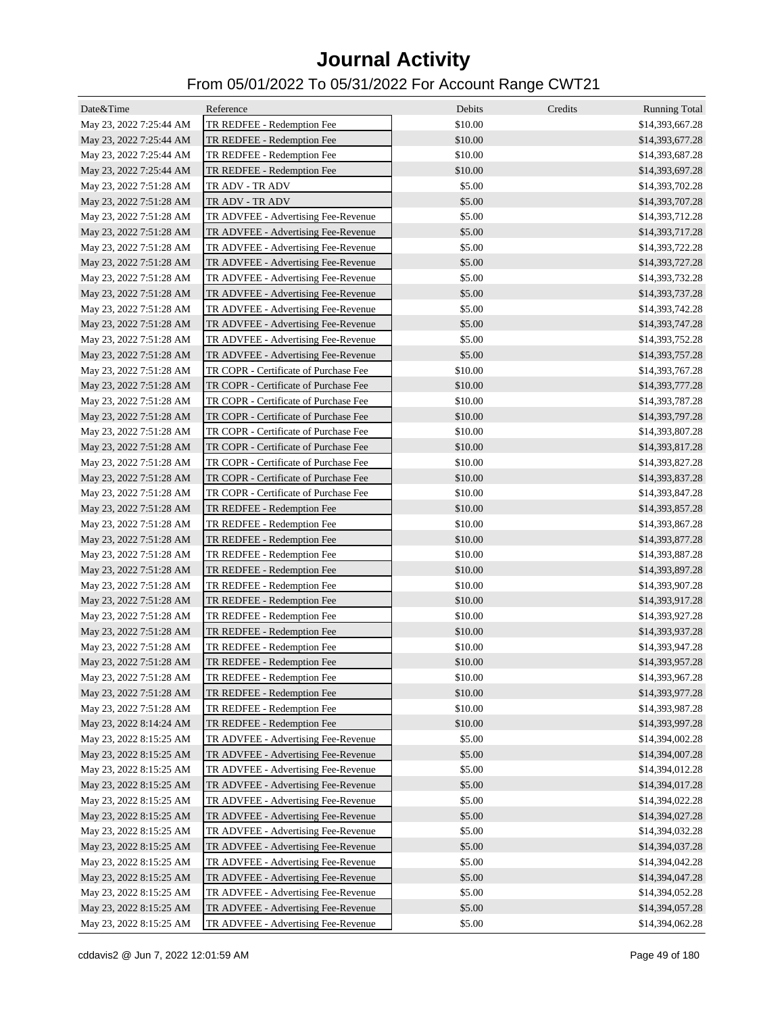| Date&Time               | Reference                             | Debits  | Credits | <b>Running Total</b> |
|-------------------------|---------------------------------------|---------|---------|----------------------|
| May 23, 2022 7:25:44 AM | TR REDFEE - Redemption Fee            | \$10.00 |         | \$14,393,667.28      |
| May 23, 2022 7:25:44 AM | TR REDFEE - Redemption Fee            | \$10.00 |         | \$14,393,677.28      |
| May 23, 2022 7:25:44 AM | TR REDFEE - Redemption Fee            | \$10.00 |         | \$14,393,687.28      |
| May 23, 2022 7:25:44 AM | TR REDFEE - Redemption Fee            | \$10.00 |         | \$14,393,697.28      |
| May 23, 2022 7:51:28 AM | TR ADV - TR ADV                       | \$5.00  |         | \$14,393,702.28      |
| May 23, 2022 7:51:28 AM | TR ADV - TR ADV                       | \$5.00  |         | \$14,393,707.28      |
| May 23, 2022 7:51:28 AM | TR ADVFEE - Advertising Fee-Revenue   | \$5.00  |         | \$14,393,712.28      |
| May 23, 2022 7:51:28 AM | TR ADVFEE - Advertising Fee-Revenue   | \$5.00  |         | \$14,393,717.28      |
| May 23, 2022 7:51:28 AM | TR ADVFEE - Advertising Fee-Revenue   | \$5.00  |         | \$14,393,722.28      |
| May 23, 2022 7:51:28 AM | TR ADVFEE - Advertising Fee-Revenue   | \$5.00  |         | \$14,393,727.28      |
| May 23, 2022 7:51:28 AM | TR ADVFEE - Advertising Fee-Revenue   | \$5.00  |         | \$14,393,732.28      |
| May 23, 2022 7:51:28 AM | TR ADVFEE - Advertising Fee-Revenue   | \$5.00  |         | \$14,393,737.28      |
| May 23, 2022 7:51:28 AM | TR ADVFEE - Advertising Fee-Revenue   | \$5.00  |         | \$14,393,742.28      |
| May 23, 2022 7:51:28 AM | TR ADVFEE - Advertising Fee-Revenue   | \$5.00  |         | \$14,393,747.28      |
| May 23, 2022 7:51:28 AM | TR ADVFEE - Advertising Fee-Revenue   | \$5.00  |         | \$14,393,752.28      |
| May 23, 2022 7:51:28 AM | TR ADVFEE - Advertising Fee-Revenue   | \$5.00  |         | \$14,393,757.28      |
| May 23, 2022 7:51:28 AM | TR COPR - Certificate of Purchase Fee | \$10.00 |         | \$14,393,767.28      |
| May 23, 2022 7:51:28 AM | TR COPR - Certificate of Purchase Fee | \$10.00 |         | \$14,393,777.28      |
| May 23, 2022 7:51:28 AM | TR COPR - Certificate of Purchase Fee | \$10.00 |         | \$14,393,787.28      |
| May 23, 2022 7:51:28 AM | TR COPR - Certificate of Purchase Fee | \$10.00 |         | \$14,393,797.28      |
| May 23, 2022 7:51:28 AM | TR COPR - Certificate of Purchase Fee | \$10.00 |         | \$14,393,807.28      |
| May 23, 2022 7:51:28 AM | TR COPR - Certificate of Purchase Fee | \$10.00 |         | \$14,393,817.28      |
| May 23, 2022 7:51:28 AM | TR COPR - Certificate of Purchase Fee | \$10.00 |         | \$14,393,827.28      |
| May 23, 2022 7:51:28 AM | TR COPR - Certificate of Purchase Fee | \$10.00 |         | \$14,393,837.28      |
| May 23, 2022 7:51:28 AM | TR COPR - Certificate of Purchase Fee | \$10.00 |         | \$14,393,847.28      |
| May 23, 2022 7:51:28 AM | TR REDFEE - Redemption Fee            | \$10.00 |         | \$14,393,857.28      |
| May 23, 2022 7:51:28 AM | TR REDFEE - Redemption Fee            | \$10.00 |         | \$14,393,867.28      |
| May 23, 2022 7:51:28 AM | TR REDFEE - Redemption Fee            | \$10.00 |         | \$14,393,877.28      |
| May 23, 2022 7:51:28 AM | TR REDFEE - Redemption Fee            | \$10.00 |         | \$14,393,887.28      |
| May 23, 2022 7:51:28 AM | TR REDFEE - Redemption Fee            | \$10.00 |         | \$14,393,897.28      |
| May 23, 2022 7:51:28 AM | TR REDFEE - Redemption Fee            | \$10.00 |         | \$14,393,907.28      |
| May 23, 2022 7:51:28 AM | TR REDFEE - Redemption Fee            | \$10.00 |         | \$14,393,917.28      |
| May 23, 2022 7:51:28 AM | TR REDFEE - Redemption Fee            | \$10.00 |         | \$14,393,927.28      |
| May 23, 2022 7:51:28 AM | TR REDFEE - Redemption Fee            | \$10.00 |         | \$14,393,937.28      |
| May 23, 2022 7:51:28 AM | TR REDFEE - Redemption Fee            | \$10.00 |         | \$14,393,947.28      |
| May 23, 2022 7:51:28 AM | TR REDFEE - Redemption Fee            | \$10.00 |         | \$14,393,957.28      |
| May 23, 2022 7:51:28 AM | TR REDFEE - Redemption Fee            | \$10.00 |         | \$14,393,967.28      |
| May 23, 2022 7:51:28 AM | TR REDFEE - Redemption Fee            | \$10.00 |         | \$14,393,977.28      |
| May 23, 2022 7:51:28 AM | TR REDFEE - Redemption Fee            | \$10.00 |         | \$14,393,987.28      |
| May 23, 2022 8:14:24 AM | TR REDFEE - Redemption Fee            | \$10.00 |         | \$14,393,997.28      |
| May 23, 2022 8:15:25 AM | TR ADVFEE - Advertising Fee-Revenue   | \$5.00  |         | \$14,394,002.28      |
| May 23, 2022 8:15:25 AM | TR ADVFEE - Advertising Fee-Revenue   | \$5.00  |         | \$14,394,007.28      |
| May 23, 2022 8:15:25 AM | TR ADVFEE - Advertising Fee-Revenue   | \$5.00  |         | \$14,394,012.28      |
| May 23, 2022 8:15:25 AM | TR ADVFEE - Advertising Fee-Revenue   | \$5.00  |         | \$14,394,017.28      |
| May 23, 2022 8:15:25 AM | TR ADVFEE - Advertising Fee-Revenue   | \$5.00  |         | \$14,394,022.28      |
| May 23, 2022 8:15:25 AM | TR ADVFEE - Advertising Fee-Revenue   | \$5.00  |         | \$14,394,027.28      |
| May 23, 2022 8:15:25 AM | TR ADVFEE - Advertising Fee-Revenue   | \$5.00  |         | \$14,394,032.28      |
| May 23, 2022 8:15:25 AM | TR ADVFEE - Advertising Fee-Revenue   | \$5.00  |         | \$14,394,037.28      |
| May 23, 2022 8:15:25 AM | TR ADVFEE - Advertising Fee-Revenue   | \$5.00  |         | \$14,394,042.28      |
| May 23, 2022 8:15:25 AM | TR ADVFEE - Advertising Fee-Revenue   | \$5.00  |         | \$14,394,047.28      |
| May 23, 2022 8:15:25 AM | TR ADVFEE - Advertising Fee-Revenue   | \$5.00  |         | \$14,394,052.28      |
| May 23, 2022 8:15:25 AM | TR ADVFEE - Advertising Fee-Revenue   | \$5.00  |         | \$14,394,057.28      |
| May 23, 2022 8:15:25 AM | TR ADVFEE - Advertising Fee-Revenue   | \$5.00  |         | \$14,394,062.28      |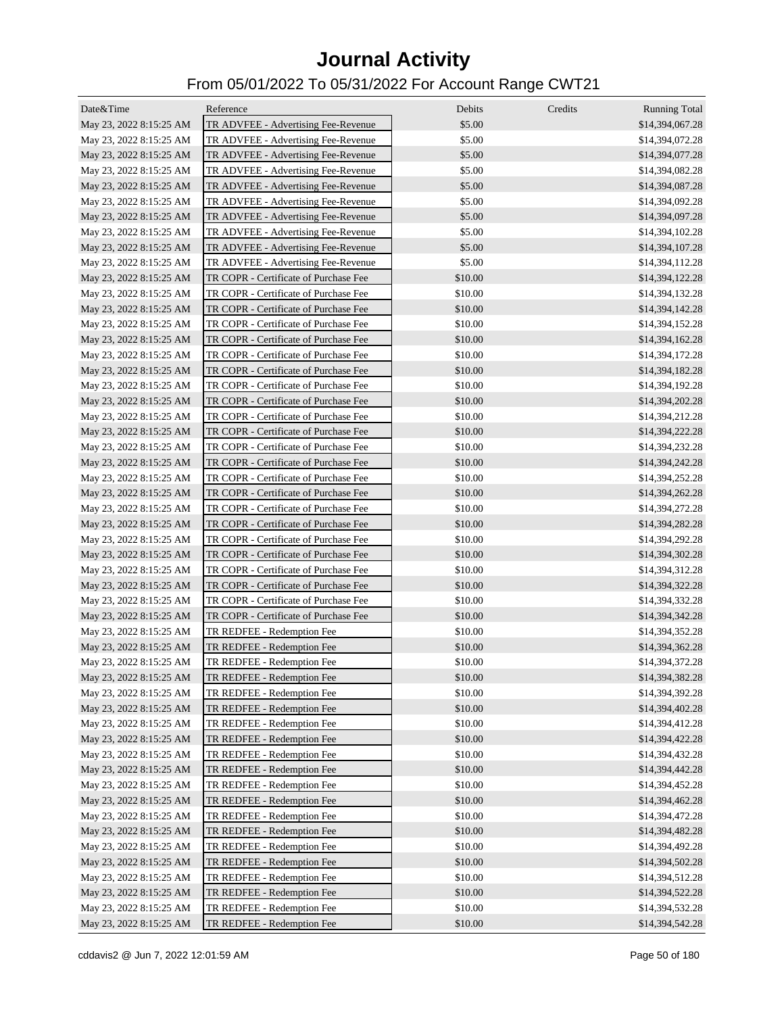| Date&Time               | Reference                             | Debits  | Credits | <b>Running Total</b>               |
|-------------------------|---------------------------------------|---------|---------|------------------------------------|
| May 23, 2022 8:15:25 AM | TR ADVFEE - Advertising Fee-Revenue   | \$5.00  |         | \$14,394,067.28                    |
| May 23, 2022 8:15:25 AM | TR ADVFEE - Advertising Fee-Revenue   | \$5.00  |         | \$14,394,072.28                    |
| May 23, 2022 8:15:25 AM | TR ADVFEE - Advertising Fee-Revenue   | \$5.00  |         | \$14,394,077.28                    |
| May 23, 2022 8:15:25 AM | TR ADVFEE - Advertising Fee-Revenue   | \$5.00  |         | \$14,394,082.28                    |
| May 23, 2022 8:15:25 AM | TR ADVFEE - Advertising Fee-Revenue   | \$5.00  |         | \$14,394,087.28                    |
| May 23, 2022 8:15:25 AM | TR ADVFEE - Advertising Fee-Revenue   | \$5.00  |         | \$14,394,092.28                    |
| May 23, 2022 8:15:25 AM | TR ADVFEE - Advertising Fee-Revenue   | \$5.00  |         | \$14,394,097.28                    |
| May 23, 2022 8:15:25 AM | TR ADVFEE - Advertising Fee-Revenue   | \$5.00  |         | \$14,394,102.28                    |
| May 23, 2022 8:15:25 AM | TR ADVFEE - Advertising Fee-Revenue   | \$5.00  |         | \$14,394,107.28                    |
| May 23, 2022 8:15:25 AM | TR ADVFEE - Advertising Fee-Revenue   | \$5.00  |         | \$14,394,112.28                    |
| May 23, 2022 8:15:25 AM | TR COPR - Certificate of Purchase Fee | \$10.00 |         | \$14,394,122.28                    |
| May 23, 2022 8:15:25 AM | TR COPR - Certificate of Purchase Fee | \$10.00 |         | \$14,394,132.28                    |
| May 23, 2022 8:15:25 AM | TR COPR - Certificate of Purchase Fee | \$10.00 |         | \$14,394,142.28                    |
| May 23, 2022 8:15:25 AM | TR COPR - Certificate of Purchase Fee | \$10.00 |         | \$14,394,152.28                    |
| May 23, 2022 8:15:25 AM | TR COPR - Certificate of Purchase Fee | \$10.00 |         | \$14,394,162.28                    |
| May 23, 2022 8:15:25 AM | TR COPR - Certificate of Purchase Fee | \$10.00 |         | \$14,394,172.28                    |
| May 23, 2022 8:15:25 AM | TR COPR - Certificate of Purchase Fee | \$10.00 |         | \$14,394,182.28                    |
| May 23, 2022 8:15:25 AM | TR COPR - Certificate of Purchase Fee | \$10.00 |         | \$14,394,192.28                    |
| May 23, 2022 8:15:25 AM | TR COPR - Certificate of Purchase Fee | \$10.00 |         | \$14,394,202.28                    |
| May 23, 2022 8:15:25 AM | TR COPR - Certificate of Purchase Fee | \$10.00 |         | \$14,394,212.28                    |
| May 23, 2022 8:15:25 AM | TR COPR - Certificate of Purchase Fee | \$10.00 |         | \$14,394,222.28                    |
| May 23, 2022 8:15:25 AM | TR COPR - Certificate of Purchase Fee | \$10.00 |         | \$14,394,232.28                    |
|                         | TR COPR - Certificate of Purchase Fee | \$10.00 |         |                                    |
| May 23, 2022 8:15:25 AM | TR COPR - Certificate of Purchase Fee | \$10.00 |         | \$14,394,242.28<br>\$14,394,252.28 |
| May 23, 2022 8:15:25 AM | TR COPR - Certificate of Purchase Fee | \$10.00 |         |                                    |
| May 23, 2022 8:15:25 AM | TR COPR - Certificate of Purchase Fee | \$10.00 |         | \$14,394,262.28                    |
| May 23, 2022 8:15:25 AM | TR COPR - Certificate of Purchase Fee | \$10.00 |         | \$14,394,272.28                    |
| May 23, 2022 8:15:25 AM | TR COPR - Certificate of Purchase Fee | \$10.00 |         | \$14,394,282.28                    |
| May 23, 2022 8:15:25 AM |                                       |         |         | \$14,394,292.28                    |
| May 23, 2022 8:15:25 AM | TR COPR - Certificate of Purchase Fee | \$10.00 |         | \$14,394,302.28                    |
| May 23, 2022 8:15:25 AM | TR COPR - Certificate of Purchase Fee | \$10.00 |         | \$14,394,312.28                    |
| May 23, 2022 8:15:25 AM | TR COPR - Certificate of Purchase Fee | \$10.00 |         | \$14,394,322.28                    |
| May 23, 2022 8:15:25 AM | TR COPR - Certificate of Purchase Fee | \$10.00 |         | \$14,394,332.28                    |
| May 23, 2022 8:15:25 AM | TR COPR - Certificate of Purchase Fee | \$10.00 |         | \$14,394,342.28                    |
| May 23, 2022 8:15:25 AM | TR REDFEE - Redemption Fee            | \$10.00 |         | \$14,394,352.28                    |
| May 23, 2022 8:15:25 AM | TR REDFEE - Redemption Fee            | \$10.00 |         | \$14,394,362.28                    |
| May 23, 2022 8:15:25 AM | TR REDFEE - Redemption Fee            | \$10.00 |         | \$14,394,372.28                    |
| May 23, 2022 8:15:25 AM | TR REDFEE - Redemption Fee            | \$10.00 |         | \$14,394,382.28                    |
| May 23, 2022 8:15:25 AM | TR REDFEE - Redemption Fee            | \$10.00 |         | \$14,394,392.28                    |
| May 23, 2022 8:15:25 AM | TR REDFEE - Redemption Fee            | \$10.00 |         | \$14,394,402.28                    |
| May 23, 2022 8:15:25 AM | TR REDFEE - Redemption Fee            | \$10.00 |         | \$14,394,412.28                    |
| May 23, 2022 8:15:25 AM | TR REDFEE - Redemption Fee            | \$10.00 |         | \$14,394,422.28                    |
| May 23, 2022 8:15:25 AM | TR REDFEE - Redemption Fee            | \$10.00 |         | \$14,394,432.28                    |
| May 23, 2022 8:15:25 AM | TR REDFEE - Redemption Fee            | \$10.00 |         | \$14,394,442.28                    |
| May 23, 2022 8:15:25 AM | TR REDFEE - Redemption Fee            | \$10.00 |         | \$14,394,452.28                    |
| May 23, 2022 8:15:25 AM | TR REDFEE - Redemption Fee            | \$10.00 |         | \$14,394,462.28                    |
| May 23, 2022 8:15:25 AM | TR REDFEE - Redemption Fee            | \$10.00 |         | \$14,394,472.28                    |
| May 23, 2022 8:15:25 AM | TR REDFEE - Redemption Fee            | \$10.00 |         | \$14,394,482.28                    |
| May 23, 2022 8:15:25 AM | TR REDFEE - Redemption Fee            | \$10.00 |         | \$14,394,492.28                    |
| May 23, 2022 8:15:25 AM | TR REDFEE - Redemption Fee            | \$10.00 |         | \$14,394,502.28                    |
| May 23, 2022 8:15:25 AM | TR REDFEE - Redemption Fee            | \$10.00 |         | \$14,394,512.28                    |
| May 23, 2022 8:15:25 AM | TR REDFEE - Redemption Fee            | \$10.00 |         | \$14,394,522.28                    |
| May 23, 2022 8:15:25 AM | TR REDFEE - Redemption Fee            | \$10.00 |         | \$14,394,532.28                    |
| May 23, 2022 8:15:25 AM | TR REDFEE - Redemption Fee            | \$10.00 |         | \$14,394,542.28                    |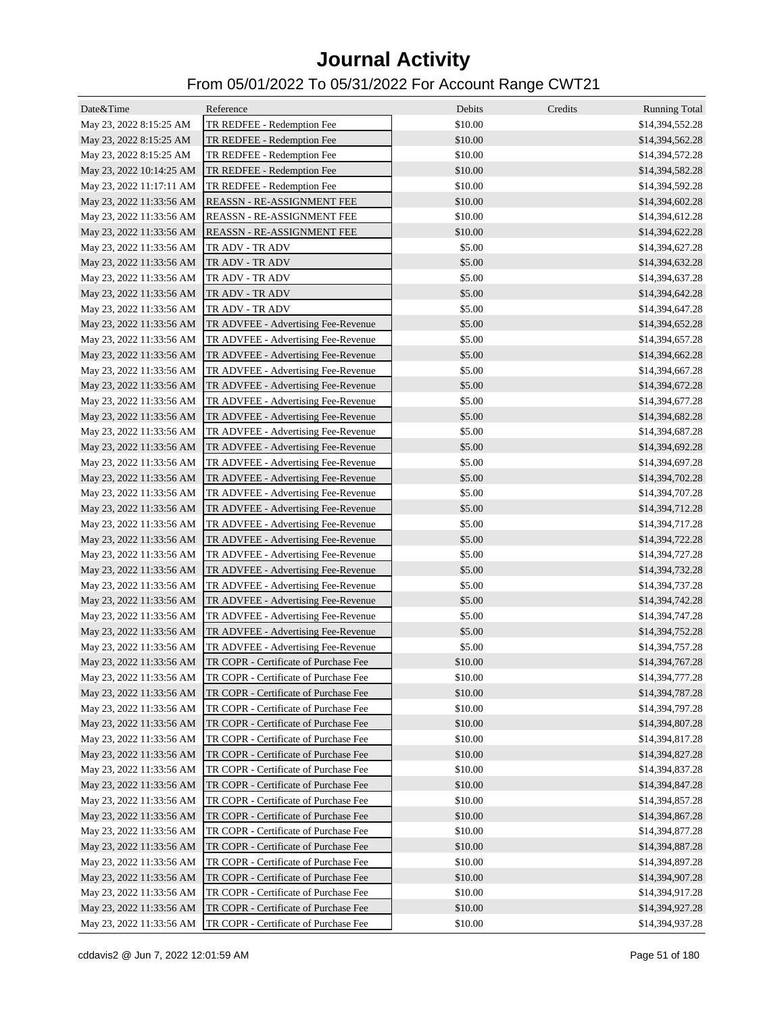| Date&Time                | Reference                                                      | Debits  | Credits | <b>Running Total</b> |
|--------------------------|----------------------------------------------------------------|---------|---------|----------------------|
| May 23, 2022 8:15:25 AM  | TR REDFEE - Redemption Fee                                     | \$10.00 |         | \$14,394,552.28      |
| May 23, 2022 8:15:25 AM  | TR REDFEE - Redemption Fee                                     | \$10.00 |         | \$14,394,562.28      |
| May 23, 2022 8:15:25 AM  | TR REDFEE - Redemption Fee                                     | \$10.00 |         | \$14,394,572.28      |
| May 23, 2022 10:14:25 AM | TR REDFEE - Redemption Fee                                     | \$10.00 |         | \$14,394,582.28      |
| May 23, 2022 11:17:11 AM | TR REDFEE - Redemption Fee                                     | \$10.00 |         | \$14,394,592.28      |
| May 23, 2022 11:33:56 AM | REASSN - RE-ASSIGNMENT FEE                                     | \$10.00 |         | \$14,394,602.28      |
| May 23, 2022 11:33:56 AM | REASSN - RE-ASSIGNMENT FEE                                     | \$10.00 |         | \$14,394,612.28      |
| May 23, 2022 11:33:56 AM | <b>REASSN - RE-ASSIGNMENT FEE</b>                              | \$10.00 |         | \$14,394,622.28      |
| May 23, 2022 11:33:56 AM | TR ADV - TR ADV                                                | \$5.00  |         | \$14,394,627.28      |
| May 23, 2022 11:33:56 AM | TR ADV - TR ADV                                                | \$5.00  |         | \$14,394,632.28      |
| May 23, 2022 11:33:56 AM | TR ADV - TR ADV                                                | \$5.00  |         | \$14,394,637.28      |
| May 23, 2022 11:33:56 AM | TR ADV - TR ADV                                                | \$5.00  |         | \$14,394,642.28      |
| May 23, 2022 11:33:56 AM | TR ADV - TR ADV                                                | \$5.00  |         | \$14,394,647.28      |
| May 23, 2022 11:33:56 AM | TR ADVFEE - Advertising Fee-Revenue                            | \$5.00  |         | \$14,394,652.28      |
| May 23, 2022 11:33:56 AM | TR ADVFEE - Advertising Fee-Revenue                            | \$5.00  |         | \$14,394,657.28      |
| May 23, 2022 11:33:56 AM | TR ADVFEE - Advertising Fee-Revenue                            | \$5.00  |         | \$14,394,662.28      |
| May 23, 2022 11:33:56 AM | TR ADVFEE - Advertising Fee-Revenue                            | \$5.00  |         | \$14,394,667.28      |
| May 23, 2022 11:33:56 AM | TR ADVFEE - Advertising Fee-Revenue                            | \$5.00  |         | \$14,394,672.28      |
| May 23, 2022 11:33:56 AM | TR ADVFEE - Advertising Fee-Revenue                            | \$5.00  |         | \$14,394,677.28      |
| May 23, 2022 11:33:56 AM | TR ADVFEE - Advertising Fee-Revenue                            | \$5.00  |         | \$14,394,682.28      |
| May 23, 2022 11:33:56 AM | TR ADVFEE - Advertising Fee-Revenue                            | \$5.00  |         | \$14,394,687.28      |
| May 23, 2022 11:33:56 AM | TR ADVFEE - Advertising Fee-Revenue                            | \$5.00  |         | \$14,394,692.28      |
| May 23, 2022 11:33:56 AM | TR ADVFEE - Advertising Fee-Revenue                            | \$5.00  |         | \$14,394,697.28      |
| May 23, 2022 11:33:56 AM | TR ADVFEE - Advertising Fee-Revenue                            | \$5.00  |         | \$14,394,702.28      |
| May 23, 2022 11:33:56 AM | TR ADVFEE - Advertising Fee-Revenue                            | \$5.00  |         | \$14,394,707.28      |
| May 23, 2022 11:33:56 AM | TR ADVFEE - Advertising Fee-Revenue                            | \$5.00  |         | \$14,394,712.28      |
| May 23, 2022 11:33:56 AM | TR ADVFEE - Advertising Fee-Revenue                            | \$5.00  |         | \$14,394,717.28      |
| May 23, 2022 11:33:56 AM | TR ADVFEE - Advertising Fee-Revenue                            | \$5.00  |         | \$14,394,722.28      |
| May 23, 2022 11:33:56 AM | TR ADVFEE - Advertising Fee-Revenue                            | \$5.00  |         | \$14,394,727.28      |
| May 23, 2022 11:33:56 AM | TR ADVFEE - Advertising Fee-Revenue                            | \$5.00  |         | \$14,394,732.28      |
| May 23, 2022 11:33:56 AM | TR ADVFEE - Advertising Fee-Revenue                            | \$5.00  |         | \$14,394,737.28      |
| May 23, 2022 11:33:56 AM | TR ADVFEE - Advertising Fee-Revenue                            | \$5.00  |         | \$14,394,742.28      |
| May 23, 2022 11:33:56 AM | TR ADVFEE - Advertising Fee-Revenue                            | \$5.00  |         | \$14,394,747.28      |
|                          | May 23, 2022 11:33:56 AM TR ADVFEE - Advertising Fee-Revenue   | \$5.00  |         | \$14,394,752.28      |
| May 23, 2022 11:33:56 AM | TR ADVFEE - Advertising Fee-Revenue                            | \$5.00  |         | \$14,394,757.28      |
|                          | May 23, 2022 11:33:56 AM TR COPR - Certificate of Purchase Fee | \$10.00 |         | \$14,394,767.28      |
| May 23, 2022 11:33:56 AM | TR COPR - Certificate of Purchase Fee                          | \$10.00 |         | \$14,394,777.28      |
| May 23, 2022 11:33:56 AM | TR COPR - Certificate of Purchase Fee                          | \$10.00 |         | \$14,394,787.28      |
| May 23, 2022 11:33:56 AM | TR COPR - Certificate of Purchase Fee                          | \$10.00 |         | \$14,394,797.28      |
| May 23, 2022 11:33:56 AM | TR COPR - Certificate of Purchase Fee                          | \$10.00 |         | \$14,394,807.28      |
| May 23, 2022 11:33:56 AM | TR COPR - Certificate of Purchase Fee                          | \$10.00 |         | \$14,394,817.28      |
| May 23, 2022 11:33:56 AM | TR COPR - Certificate of Purchase Fee                          | \$10.00 |         | \$14,394,827.28      |
| May 23, 2022 11:33:56 AM | TR COPR - Certificate of Purchase Fee                          | \$10.00 |         | \$14,394,837.28      |
| May 23, 2022 11:33:56 AM | TR COPR - Certificate of Purchase Fee                          | \$10.00 |         | \$14,394,847.28      |
| May 23, 2022 11:33:56 AM | TR COPR - Certificate of Purchase Fee                          | \$10.00 |         | \$14,394,857.28      |
| May 23, 2022 11:33:56 AM | TR COPR - Certificate of Purchase Fee                          | \$10.00 |         | \$14,394,867.28      |
| May 23, 2022 11:33:56 AM | TR COPR - Certificate of Purchase Fee                          | \$10.00 |         | \$14,394,877.28      |
| May 23, 2022 11:33:56 AM | TR COPR - Certificate of Purchase Fee                          | \$10.00 |         | \$14,394,887.28      |
| May 23, 2022 11:33:56 AM | TR COPR - Certificate of Purchase Fee                          | \$10.00 |         | \$14,394,897.28      |
| May 23, 2022 11:33:56 AM | TR COPR - Certificate of Purchase Fee                          | \$10.00 |         | \$14,394,907.28      |
| May 23, 2022 11:33:56 AM | TR COPR - Certificate of Purchase Fee                          | \$10.00 |         | \$14,394,917.28      |
| May 23, 2022 11:33:56 AM | TR COPR - Certificate of Purchase Fee                          | \$10.00 |         | \$14,394,927.28      |
| May 23, 2022 11:33:56 AM | TR COPR - Certificate of Purchase Fee                          | \$10.00 |         | \$14,394,937.28      |
|                          |                                                                |         |         |                      |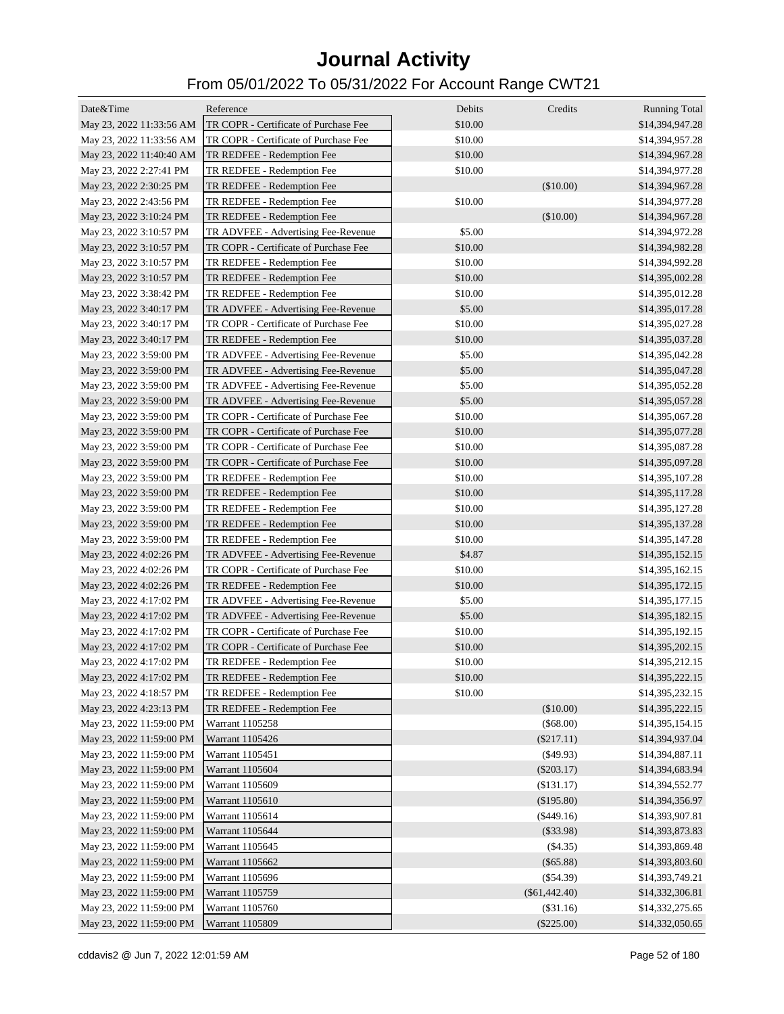| Date&Time                | Reference                                                                    | Debits  | Credits         |                                         |
|--------------------------|------------------------------------------------------------------------------|---------|-----------------|-----------------------------------------|
| May 23, 2022 11:33:56 AM | TR COPR - Certificate of Purchase Fee                                        | \$10.00 |                 | <b>Running Total</b><br>\$14,394,947.28 |
| May 23, 2022 11:33:56 AM | TR COPR - Certificate of Purchase Fee                                        | \$10.00 |                 | \$14,394,957.28                         |
| May 23, 2022 11:40:40 AM | TR REDFEE - Redemption Fee                                                   | \$10.00 |                 | \$14,394,967.28                         |
| May 23, 2022 2:27:41 PM  | TR REDFEE - Redemption Fee                                                   | \$10.00 |                 | \$14,394,977.28                         |
| May 23, 2022 2:30:25 PM  | TR REDFEE - Redemption Fee                                                   |         | (\$10.00)       | \$14,394,967.28                         |
|                          |                                                                              | \$10.00 |                 |                                         |
| May 23, 2022 2:43:56 PM  | TR REDFEE - Redemption Fee                                                   |         |                 | \$14,394,977.28                         |
| May 23, 2022 3:10:24 PM  | TR REDFEE - Redemption Fee                                                   | \$5.00  | (\$10.00)       | \$14,394,967.28                         |
| May 23, 2022 3:10:57 PM  | TR ADVFEE - Advertising Fee-Revenue<br>TR COPR - Certificate of Purchase Fee | \$10.00 |                 | \$14,394,972.28                         |
| May 23, 2022 3:10:57 PM  |                                                                              |         |                 | \$14,394,982.28                         |
| May 23, 2022 3:10:57 PM  | TR REDFEE - Redemption Fee                                                   | \$10.00 |                 | \$14,394,992.28                         |
| May 23, 2022 3:10:57 PM  | TR REDFEE - Redemption Fee                                                   | \$10.00 |                 | \$14,395,002.28                         |
| May 23, 2022 3:38:42 PM  | TR REDFEE - Redemption Fee                                                   | \$10.00 |                 | \$14,395,012.28                         |
| May 23, 2022 3:40:17 PM  | TR ADVFEE - Advertising Fee-Revenue                                          | \$5.00  |                 | \$14,395,017.28                         |
| May 23, 2022 3:40:17 PM  | TR COPR - Certificate of Purchase Fee                                        | \$10.00 |                 | \$14,395,027.28                         |
| May 23, 2022 3:40:17 PM  | TR REDFEE - Redemption Fee                                                   | \$10.00 |                 | \$14,395,037.28                         |
| May 23, 2022 3:59:00 PM  | TR ADVFEE - Advertising Fee-Revenue                                          | \$5.00  |                 | \$14,395,042.28                         |
| May 23, 2022 3:59:00 PM  | TR ADVFEE - Advertising Fee-Revenue                                          | \$5.00  |                 | \$14,395,047.28                         |
| May 23, 2022 3:59:00 PM  | TR ADVFEE - Advertising Fee-Revenue                                          | \$5.00  |                 | \$14,395,052.28                         |
| May 23, 2022 3:59:00 PM  | TR ADVFEE - Advertising Fee-Revenue                                          | \$5.00  |                 | \$14,395,057.28                         |
| May 23, 2022 3:59:00 PM  | TR COPR - Certificate of Purchase Fee                                        | \$10.00 |                 | \$14,395,067.28                         |
| May 23, 2022 3:59:00 PM  | TR COPR - Certificate of Purchase Fee                                        | \$10.00 |                 | \$14,395,077.28                         |
| May 23, 2022 3:59:00 PM  | TR COPR - Certificate of Purchase Fee                                        | \$10.00 |                 | \$14,395,087.28                         |
| May 23, 2022 3:59:00 PM  | TR COPR - Certificate of Purchase Fee                                        | \$10.00 |                 | \$14,395,097.28                         |
| May 23, 2022 3:59:00 PM  | TR REDFEE - Redemption Fee                                                   | \$10.00 |                 | \$14,395,107.28                         |
| May 23, 2022 3:59:00 PM  | TR REDFEE - Redemption Fee                                                   | \$10.00 |                 | \$14,395,117.28                         |
| May 23, 2022 3:59:00 PM  | TR REDFEE - Redemption Fee                                                   | \$10.00 |                 | \$14,395,127.28                         |
| May 23, 2022 3:59:00 PM  | TR REDFEE - Redemption Fee                                                   | \$10.00 |                 | \$14,395,137.28                         |
| May 23, 2022 3:59:00 PM  | TR REDFEE - Redemption Fee                                                   | \$10.00 |                 | \$14,395,147.28                         |
| May 23, 2022 4:02:26 PM  | TR ADVFEE - Advertising Fee-Revenue                                          | \$4.87  |                 | \$14,395,152.15                         |
| May 23, 2022 4:02:26 PM  | TR COPR - Certificate of Purchase Fee                                        | \$10.00 |                 | \$14,395,162.15                         |
| May 23, 2022 4:02:26 PM  | TR REDFEE - Redemption Fee                                                   | \$10.00 |                 | \$14,395,172.15                         |
| May 23, 2022 4:17:02 PM  | TR ADVFEE - Advertising Fee-Revenue                                          | \$5.00  |                 | \$14,395,177.15                         |
| May 23, 2022 4:17:02 PM  | TR ADVFEE - Advertising Fee-Revenue                                          | \$5.00  |                 | \$14,395,182.15                         |
| May 23, 2022 4:17:02 PM  | TR COPR - Certificate of Purchase Fee                                        | \$10.00 |                 | \$14,395,192.15                         |
| May 23, 2022 4:17:02 PM  | TR COPR - Certificate of Purchase Fee                                        | \$10.00 |                 | \$14,395,202.15                         |
| May 23, 2022 4:17:02 PM  | TR REDFEE - Redemption Fee                                                   | \$10.00 |                 | \$14,395,212.15                         |
| May 23, 2022 4:17:02 PM  | TR REDFEE - Redemption Fee                                                   | \$10.00 |                 | \$14,395,222.15                         |
| May 23, 2022 4:18:57 PM  | TR REDFEE - Redemption Fee                                                   | \$10.00 |                 | \$14,395,232.15                         |
| May 23, 2022 4:23:13 PM  | TR REDFEE - Redemption Fee                                                   |         | (\$10.00)       | \$14,395,222.15                         |
| May 23, 2022 11:59:00 PM | Warrant 1105258                                                              |         | (\$68.00)       | \$14,395,154.15                         |
|                          |                                                                              |         |                 |                                         |
| May 23, 2022 11:59:00 PM | Warrant 1105426                                                              |         | $(\$217.11)$    | \$14,394,937.04                         |
| May 23, 2022 11:59:00 PM | Warrant 1105451                                                              |         | $($ \$49.93)    | \$14,394,887.11                         |
| May 23, 2022 11:59:00 PM | Warrant 1105604                                                              |         | $(\$203.17)$    | \$14,394,683.94                         |
| May 23, 2022 11:59:00 PM | Warrant 1105609                                                              |         | (\$131.17)      | \$14,394,552.77                         |
| May 23, 2022 11:59:00 PM | Warrant 1105610                                                              |         | (\$195.80)      | \$14,394,356.97                         |
| May 23, 2022 11:59:00 PM | Warrant 1105614                                                              |         | (\$449.16)      | \$14,393,907.81                         |
| May 23, 2022 11:59:00 PM | Warrant 1105644                                                              |         | $(\$33.98)$     | \$14,393,873.83                         |
| May 23, 2022 11:59:00 PM | Warrant 1105645                                                              |         | $(\$4.35)$      | \$14,393,869.48                         |
| May 23, 2022 11:59:00 PM | Warrant 1105662                                                              |         | $(\$65.88)$     | \$14,393,803.60                         |
| May 23, 2022 11:59:00 PM | Warrant 1105696                                                              |         | $(\$54.39)$     | \$14,393,749.21                         |
| May 23, 2022 11:59:00 PM | Warrant 1105759                                                              |         | $(\$61,442.40)$ | \$14,332,306.81                         |
| May 23, 2022 11:59:00 PM | Warrant 1105760                                                              |         | (\$31.16)       | \$14,332,275.65                         |
| May 23, 2022 11:59:00 PM | Warrant 1105809                                                              |         | $(\$225.00)$    | \$14,332,050.65                         |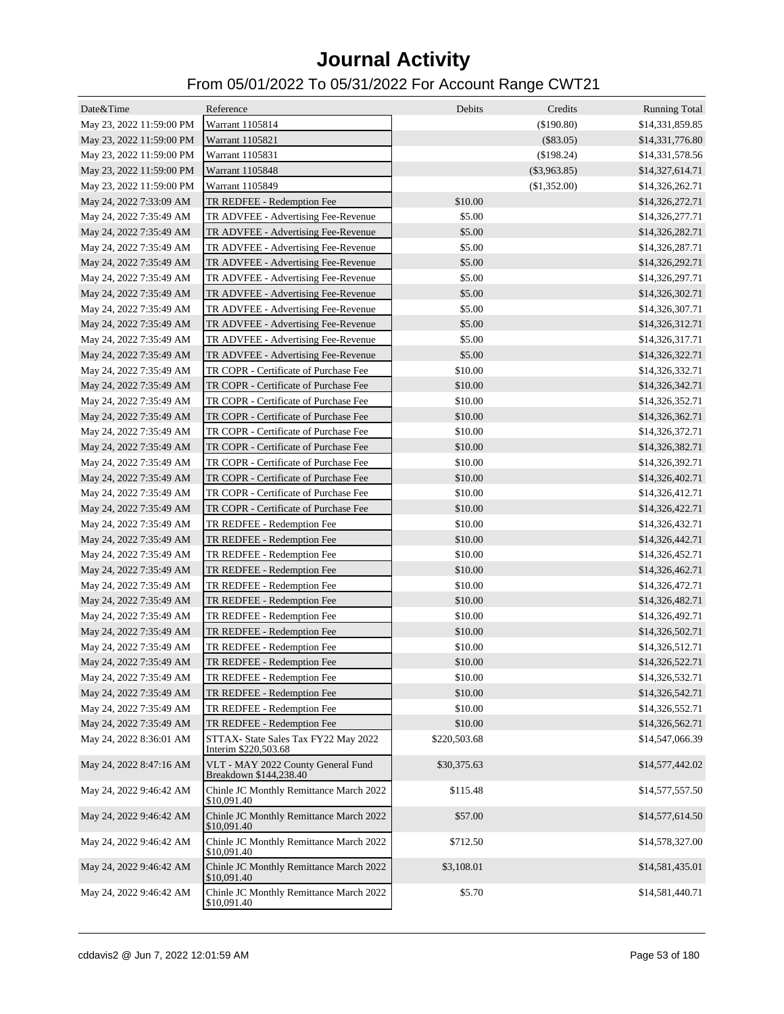| Date&Time                | Reference                                                    | Debits       | Credits        | <b>Running Total</b> |
|--------------------------|--------------------------------------------------------------|--------------|----------------|----------------------|
| May 23, 2022 11:59:00 PM | Warrant 1105814                                              |              | (\$190.80)     | \$14,331,859.85      |
| May 23, 2022 11:59:00 PM | Warrant 1105821                                              |              | $(\$83.05)$    | \$14,331,776.80      |
| May 23, 2022 11:59:00 PM | Warrant 1105831                                              |              | (\$198.24)     | \$14,331,578.56      |
| May 23, 2022 11:59:00 PM | Warrant 1105848                                              |              | $(\$3,963.85)$ | \$14,327,614.71      |
| May 23, 2022 11:59:00 PM | Warrant 1105849                                              |              | (\$1,352.00)   | \$14,326,262.71      |
| May 24, 2022 7:33:09 AM  | TR REDFEE - Redemption Fee                                   | \$10.00      |                | \$14,326,272.71      |
| May 24, 2022 7:35:49 AM  | TR ADVFEE - Advertising Fee-Revenue                          | \$5.00       |                | \$14,326,277.71      |
| May 24, 2022 7:35:49 AM  | TR ADVFEE - Advertising Fee-Revenue                          | \$5.00       |                | \$14,326,282.71      |
| May 24, 2022 7:35:49 AM  | TR ADVFEE - Advertising Fee-Revenue                          | \$5.00       |                | \$14,326,287.71      |
| May 24, 2022 7:35:49 AM  | TR ADVFEE - Advertising Fee-Revenue                          | \$5.00       |                | \$14,326,292.71      |
| May 24, 2022 7:35:49 AM  | TR ADVFEE - Advertising Fee-Revenue                          | \$5.00       |                | \$14,326,297.71      |
| May 24, 2022 7:35:49 AM  | TR ADVFEE - Advertising Fee-Revenue                          | \$5.00       |                | \$14,326,302.71      |
| May 24, 2022 7:35:49 AM  | TR ADVFEE - Advertising Fee-Revenue                          | \$5.00       |                | \$14,326,307.71      |
| May 24, 2022 7:35:49 AM  | TR ADVFEE - Advertising Fee-Revenue                          | \$5.00       |                | \$14,326,312.71      |
| May 24, 2022 7:35:49 AM  | TR ADVFEE - Advertising Fee-Revenue                          | \$5.00       |                | \$14,326,317.71      |
| May 24, 2022 7:35:49 AM  | TR ADVFEE - Advertising Fee-Revenue                          | \$5.00       |                | \$14,326,322.71      |
| May 24, 2022 7:35:49 AM  | TR COPR - Certificate of Purchase Fee                        | \$10.00      |                | \$14,326,332.71      |
| May 24, 2022 7:35:49 AM  | TR COPR - Certificate of Purchase Fee                        | \$10.00      |                | \$14,326,342.71      |
| May 24, 2022 7:35:49 AM  | TR COPR - Certificate of Purchase Fee                        | \$10.00      |                | \$14,326,352.71      |
| May 24, 2022 7:35:49 AM  | TR COPR - Certificate of Purchase Fee                        | \$10.00      |                | \$14,326,362.71      |
| May 24, 2022 7:35:49 AM  | TR COPR - Certificate of Purchase Fee                        | \$10.00      |                | \$14,326,372.71      |
| May 24, 2022 7:35:49 AM  | TR COPR - Certificate of Purchase Fee                        | \$10.00      |                | \$14,326,382.71      |
| May 24, 2022 7:35:49 AM  | TR COPR - Certificate of Purchase Fee                        | \$10.00      |                | \$14,326,392.71      |
| May 24, 2022 7:35:49 AM  | TR COPR - Certificate of Purchase Fee                        | \$10.00      |                | \$14,326,402.71      |
| May 24, 2022 7:35:49 AM  | TR COPR - Certificate of Purchase Fee                        | \$10.00      |                | \$14,326,412.71      |
| May 24, 2022 7:35:49 AM  | TR COPR - Certificate of Purchase Fee                        | \$10.00      |                | \$14,326,422.71      |
| May 24, 2022 7:35:49 AM  | TR REDFEE - Redemption Fee                                   | \$10.00      |                | \$14,326,432.71      |
| May 24, 2022 7:35:49 AM  | TR REDFEE - Redemption Fee                                   | \$10.00      |                | \$14,326,442.71      |
| May 24, 2022 7:35:49 AM  | TR REDFEE - Redemption Fee                                   | \$10.00      |                | \$14,326,452.71      |
| May 24, 2022 7:35:49 AM  | TR REDFEE - Redemption Fee                                   | \$10.00      |                | \$14,326,462.71      |
| May 24, 2022 7:35:49 AM  | TR REDFEE - Redemption Fee                                   | \$10.00      |                | \$14,326,472.71      |
| May 24, 2022 7:35:49 AM  | TR REDFEE - Redemption Fee                                   | \$10.00      |                | \$14,326,482.71      |
| May 24, 2022 7:35:49 AM  | TR REDFEE - Redemption Fee                                   | \$10.00      |                | \$14,326,492.71      |
| May 24, 2022 7:35:49 AM  | TR REDFEE - Redemption Fee                                   | \$10.00      |                | \$14,326,502.71      |
| May 24, 2022 7:35:49 AM  | TR REDFEE - Redemption Fee                                   | \$10.00      |                | \$14,326,512.71      |
| May 24, 2022 7:35:49 AM  | TR REDFEE - Redemption Fee                                   | \$10.00      |                | \$14,326,522.71      |
| May 24, 2022 7:35:49 AM  | TR REDFEE - Redemption Fee                                   | \$10.00      |                | \$14,326,532.71      |
| May 24, 2022 7:35:49 AM  | TR REDFEE - Redemption Fee                                   | \$10.00      |                | \$14,326,542.71      |
| May 24, 2022 7:35:49 AM  | TR REDFEE - Redemption Fee                                   | \$10.00      |                | \$14,326,552.71      |
| May 24, 2022 7:35:49 AM  | TR REDFEE - Redemption Fee                                   | \$10.00      |                | \$14,326,562.71      |
| May 24, 2022 8:36:01 AM  | STTAX- State Sales Tax FY22 May 2022<br>Interim \$220,503.68 | \$220,503.68 |                | \$14,547,066.39      |
| May 24, 2022 8:47:16 AM  | VLT - MAY 2022 County General Fund<br>Breakdown \$144,238.40 | \$30,375.63  |                | \$14,577,442.02      |
| May 24, 2022 9:46:42 AM  | Chinle JC Monthly Remittance March 2022<br>\$10,091.40       | \$115.48     |                | \$14,577,557.50      |
| May 24, 2022 9:46:42 AM  | Chinle JC Monthly Remittance March 2022<br>\$10,091.40       | \$57.00      |                | \$14,577,614.50      |
| May 24, 2022 9:46:42 AM  | Chinle JC Monthly Remittance March 2022<br>\$10,091.40       | \$712.50     |                | \$14,578,327.00      |
| May 24, 2022 9:46:42 AM  | Chinle JC Monthly Remittance March 2022<br>\$10,091.40       | \$3,108.01   |                | \$14,581,435.01      |
| May 24, 2022 9:46:42 AM  | Chinle JC Monthly Remittance March 2022<br>\$10,091.40       | \$5.70       |                | \$14,581,440.71      |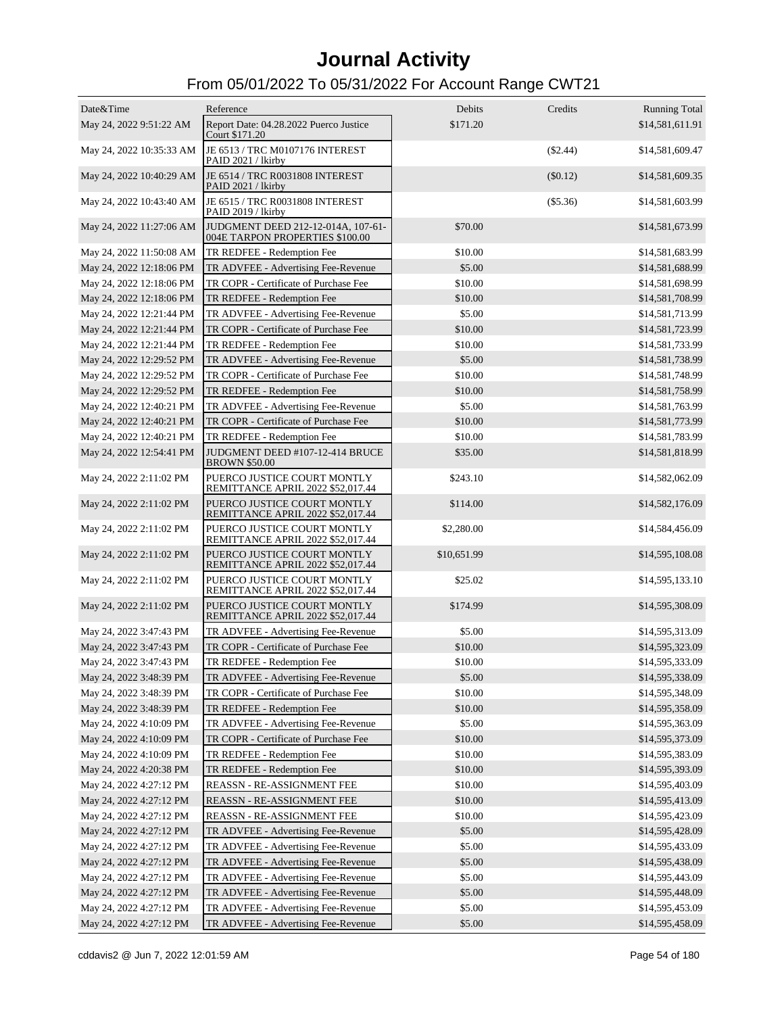| Date&Time                | Reference                                                                      | Debits      | Credits    | <b>Running Total</b> |
|--------------------------|--------------------------------------------------------------------------------|-------------|------------|----------------------|
| May 24, 2022 9:51:22 AM  | Report Date: 04.28.2022 Puerco Justice<br>Court \$171.20                       | \$171.20    |            | \$14,581,611.91      |
|                          | May 24, 2022 10:35:33 AM JE 6513 / TRC M0107176 INTEREST<br>PAID 2021 / lkirby |             | $(\$2.44)$ | \$14,581,609.47      |
| May 24, 2022 10:40:29 AM | JE 6514 / TRC R0031808 INTEREST<br>PAID 2021 / lkirby                          |             | $(\$0.12)$ | \$14,581,609.35      |
| May 24, 2022 10:43:40 AM | JE 6515 / TRC R0031808 INTEREST<br>PAID 2019 / lkirby                          |             | $(\$5.36)$ | \$14,581,603.99      |
| May 24, 2022 11:27:06 AM | JUDGMENT DEED 212-12-014A, 107-61-<br>004E TARPON PROPERTIES \$100.00          | \$70.00     |            | \$14,581,673.99      |
|                          | May 24, 2022 11:50:08 AM TR REDFEE - Redemption Fee                            | \$10.00     |            | \$14,581,683.99      |
| May 24, 2022 12:18:06 PM | TR ADVFEE - Advertising Fee-Revenue                                            | \$5.00      |            | \$14,581,688.99      |
| May 24, 2022 12:18:06 PM | TR COPR - Certificate of Purchase Fee                                          | \$10.00     |            | \$14,581,698.99      |
| May 24, 2022 12:18:06 PM | TR REDFEE - Redemption Fee                                                     | \$10.00     |            | \$14,581,708.99      |
| May 24, 2022 12:21:44 PM | TR ADVFEE - Advertising Fee-Revenue                                            | \$5.00      |            | \$14,581,713.99      |
| May 24, 2022 12:21:44 PM | TR COPR - Certificate of Purchase Fee                                          | \$10.00     |            | \$14,581,723.99      |
| May 24, 2022 12:21:44 PM | TR REDFEE - Redemption Fee                                                     | \$10.00     |            | \$14,581,733.99      |
| May 24, 2022 12:29:52 PM | TR ADVFEE - Advertising Fee-Revenue                                            | \$5.00      |            | \$14,581,738.99      |
| May 24, 2022 12:29:52 PM | TR COPR - Certificate of Purchase Fee                                          | \$10.00     |            | \$14,581,748.99      |
| May 24, 2022 12:29:52 PM | TR REDFEE - Redemption Fee                                                     | \$10.00     |            | \$14,581,758.99      |
| May 24, 2022 12:40:21 PM | TR ADVFEE - Advertising Fee-Revenue                                            | \$5.00      |            | \$14,581,763.99      |
| May 24, 2022 12:40:21 PM | TR COPR - Certificate of Purchase Fee                                          | \$10.00     |            | \$14,581,773.99      |
| May 24, 2022 12:40:21 PM | TR REDFEE - Redemption Fee                                                     | \$10.00     |            | \$14,581,783.99      |
| May 24, 2022 12:54:41 PM | JUDGMENT DEED #107-12-414 BRUCE<br><b>BROWN \$50.00</b>                        | \$35.00     |            | \$14,581,818.99      |
| May 24, 2022 2:11:02 PM  | PUERCO JUSTICE COURT MONTLY<br>REMITTANCE APRIL 2022 \$52,017.44               | \$243.10    |            | \$14,582,062.09      |
| May 24, 2022 2:11:02 PM  | PUERCO JUSTICE COURT MONTLY<br>REMITTANCE APRIL 2022 \$52,017.44               | \$114.00    |            | \$14,582,176.09      |
| May 24, 2022 2:11:02 PM  | PUERCO JUSTICE COURT MONTLY<br>REMITTANCE APRIL 2022 \$52,017.44               | \$2,280.00  |            | \$14,584,456.09      |
| May 24, 2022 2:11:02 PM  | PUERCO JUSTICE COURT MONTLY<br>REMITTANCE APRIL 2022 \$52,017.44               | \$10,651.99 |            | \$14,595,108.08      |
| May 24, 2022 2:11:02 PM  | PUERCO JUSTICE COURT MONTLY<br>REMITTANCE APRIL 2022 \$52,017.44               | \$25.02     |            | \$14,595,133.10      |
| May 24, 2022 2:11:02 PM  | PUERCO JUSTICE COURT MONTLY<br>REMITTANCE APRIL 2022 \$52,017.44               | \$174.99    |            | \$14,595,308.09      |
| May 24, 2022 3:47:43 PM  | TR ADVFEE - Advertising Fee-Revenue                                            | \$5.00      |            | \$14,595,313.09      |
| May 24, 2022 3:47:43 PM  | TR COPR - Certificate of Purchase Fee                                          | \$10.00     |            | \$14,595,323.09      |
| May 24, 2022 3:47:43 PM  | TR REDFEE - Redemption Fee                                                     | \$10.00     |            | \$14,595,333.09      |
| May 24, 2022 3:48:39 PM  | TR ADVFEE - Advertising Fee-Revenue                                            | \$5.00      |            | \$14,595,338.09      |
| May 24, 2022 3:48:39 PM  | TR COPR - Certificate of Purchase Fee                                          | \$10.00     |            | \$14,595,348.09      |
| May 24, 2022 3:48:39 PM  | TR REDFEE - Redemption Fee                                                     | \$10.00     |            | \$14,595,358.09      |
| May 24, 2022 4:10:09 PM  | TR ADVFEE - Advertising Fee-Revenue                                            | \$5.00      |            | \$14,595,363.09      |
| May 24, 2022 4:10:09 PM  | TR COPR - Certificate of Purchase Fee                                          | \$10.00     |            | \$14,595,373.09      |
| May 24, 2022 4:10:09 PM  | TR REDFEE - Redemption Fee                                                     | \$10.00     |            | \$14,595,383.09      |
| May 24, 2022 4:20:38 PM  | TR REDFEE - Redemption Fee                                                     | \$10.00     |            | \$14,595,393.09      |
| May 24, 2022 4:27:12 PM  | REASSN - RE-ASSIGNMENT FEE                                                     | \$10.00     |            | \$14,595,403.09      |
| May 24, 2022 4:27:12 PM  | REASSN - RE-ASSIGNMENT FEE                                                     | \$10.00     |            | \$14,595,413.09      |
| May 24, 2022 4:27:12 PM  | REASSN - RE-ASSIGNMENT FEE                                                     | \$10.00     |            | \$14,595,423.09      |
| May 24, 2022 4:27:12 PM  | TR ADVFEE - Advertising Fee-Revenue                                            | \$5.00      |            | \$14,595,428.09      |
| May 24, 2022 4:27:12 PM  | TR ADVFEE - Advertising Fee-Revenue                                            | \$5.00      |            | \$14,595,433.09      |
| May 24, 2022 4:27:12 PM  | TR ADVFEE - Advertising Fee-Revenue                                            | \$5.00      |            | \$14,595,438.09      |
| May 24, 2022 4:27:12 PM  | TR ADVFEE - Advertising Fee-Revenue                                            | \$5.00      |            | \$14,595,443.09      |
| May 24, 2022 4:27:12 PM  | TR ADVFEE - Advertising Fee-Revenue                                            | \$5.00      |            | \$14,595,448.09      |
| May 24, 2022 4:27:12 PM  | TR ADVFEE - Advertising Fee-Revenue                                            | \$5.00      |            | \$14,595,453.09      |
| May 24, 2022 4:27:12 PM  | TR ADVFEE - Advertising Fee-Revenue                                            | \$5.00      |            | \$14,595,458.09      |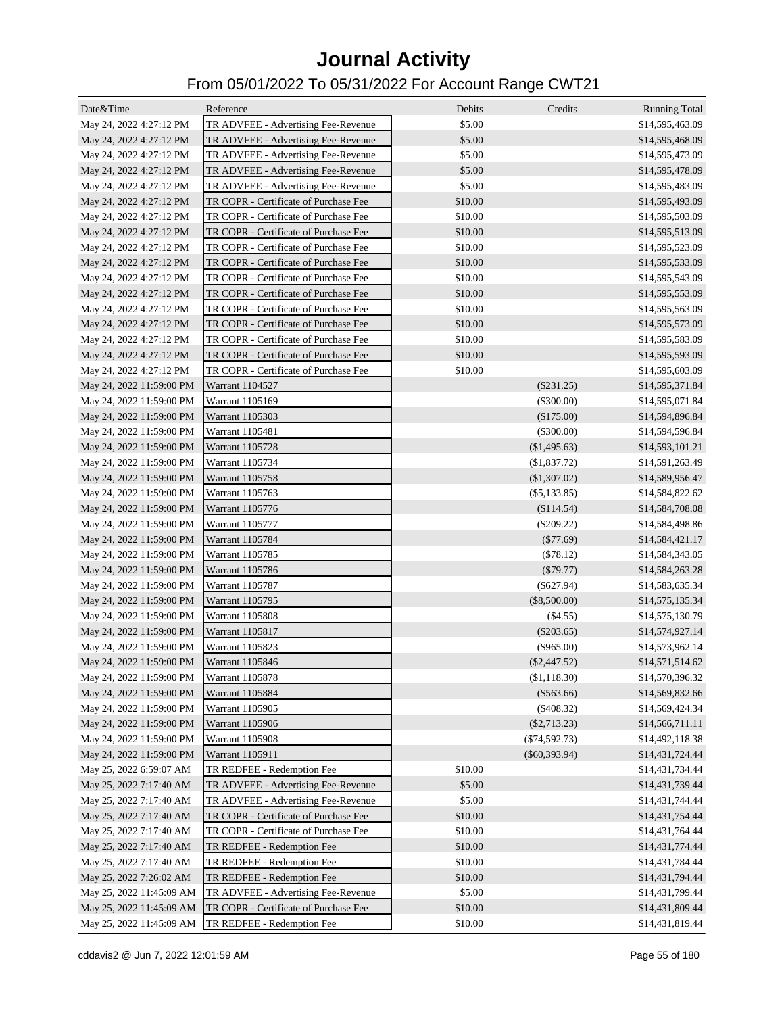| Date&Time                | Reference                             | Debits  | Credits         | <b>Running Total</b> |
|--------------------------|---------------------------------------|---------|-----------------|----------------------|
| May 24, 2022 4:27:12 PM  | TR ADVFEE - Advertising Fee-Revenue   | \$5.00  |                 | \$14,595,463.09      |
| May 24, 2022 4:27:12 PM  | TR ADVFEE - Advertising Fee-Revenue   | \$5.00  |                 | \$14,595,468.09      |
| May 24, 2022 4:27:12 PM  | TR ADVFEE - Advertising Fee-Revenue   | \$5.00  |                 | \$14,595,473.09      |
| May 24, 2022 4:27:12 PM  | TR ADVFEE - Advertising Fee-Revenue   | \$5.00  |                 | \$14,595,478.09      |
| May 24, 2022 4:27:12 PM  | TR ADVFEE - Advertising Fee-Revenue   | \$5.00  |                 | \$14,595,483.09      |
| May 24, 2022 4:27:12 PM  | TR COPR - Certificate of Purchase Fee | \$10.00 |                 | \$14,595,493.09      |
| May 24, 2022 4:27:12 PM  | TR COPR - Certificate of Purchase Fee | \$10.00 |                 | \$14,595,503.09      |
| May 24, 2022 4:27:12 PM  | TR COPR - Certificate of Purchase Fee | \$10.00 |                 | \$14,595,513.09      |
| May 24, 2022 4:27:12 PM  | TR COPR - Certificate of Purchase Fee | \$10.00 |                 | \$14,595,523.09      |
| May 24, 2022 4:27:12 PM  | TR COPR - Certificate of Purchase Fee | \$10.00 |                 | \$14,595,533.09      |
| May 24, 2022 4:27:12 PM  | TR COPR - Certificate of Purchase Fee | \$10.00 |                 | \$14,595,543.09      |
| May 24, 2022 4:27:12 PM  | TR COPR - Certificate of Purchase Fee | \$10.00 |                 |                      |
|                          | TR COPR - Certificate of Purchase Fee | \$10.00 |                 | \$14,595,553.09      |
| May 24, 2022 4:27:12 PM  |                                       |         |                 | \$14,595,563.09      |
| May 24, 2022 4:27:12 PM  | TR COPR - Certificate of Purchase Fee | \$10.00 |                 | \$14,595,573.09      |
| May 24, 2022 4:27:12 PM  | TR COPR - Certificate of Purchase Fee | \$10.00 |                 | \$14,595,583.09      |
| May 24, 2022 4:27:12 PM  | TR COPR - Certificate of Purchase Fee | \$10.00 |                 | \$14,595,593.09      |
| May 24, 2022 4:27:12 PM  | TR COPR - Certificate of Purchase Fee | \$10.00 |                 | \$14,595,603.09      |
| May 24, 2022 11:59:00 PM | Warrant 1104527                       |         | $(\$231.25)$    | \$14,595,371.84      |
| May 24, 2022 11:59:00 PM | Warrant 1105169                       |         | $(\$300.00)$    | \$14,595,071.84      |
| May 24, 2022 11:59:00 PM | Warrant 1105303                       |         | (\$175.00)      | \$14,594,896.84      |
| May 24, 2022 11:59:00 PM | Warrant 1105481                       |         | $(\$300.00)$    | \$14,594,596.84      |
| May 24, 2022 11:59:00 PM | Warrant 1105728                       |         | (\$1,495.63)    | \$14,593,101.21      |
| May 24, 2022 11:59:00 PM | Warrant 1105734                       |         | (\$1,837.72)    | \$14,591,263.49      |
| May 24, 2022 11:59:00 PM | Warrant 1105758                       |         | (\$1,307.02)    | \$14,589,956.47      |
| May 24, 2022 11:59:00 PM | Warrant 1105763                       |         | $(\$5,133.85)$  | \$14,584,822.62      |
| May 24, 2022 11:59:00 PM | Warrant 1105776                       |         | (\$114.54)      | \$14,584,708.08      |
| May 24, 2022 11:59:00 PM | Warrant 1105777                       |         | $(\$209.22)$    | \$14,584,498.86      |
| May 24, 2022 11:59:00 PM | Warrant 1105784                       |         | $(\$77.69)$     | \$14,584,421.17      |
| May 24, 2022 11:59:00 PM | Warrant 1105785                       |         | (\$78.12)       | \$14,584,343.05      |
| May 24, 2022 11:59:00 PM | Warrant 1105786                       |         | $(\$79.77)$     | \$14,584,263.28      |
| May 24, 2022 11:59:00 PM | Warrant 1105787                       |         | $(\$627.94)$    | \$14,583,635.34      |
| May 24, 2022 11:59:00 PM | Warrant 1105795                       |         | $(\$8,500.00)$  | \$14,575,135.34      |
| May 24, 2022 11:59:00 PM | Warrant 1105808                       |         | $(\$4.55)$      | \$14,575,130.79      |
| May 24, 2022 11:59:00 PM | Warrant 1105817                       |         | $(\$203.65)$    | \$14,574,927.14      |
| May 24, 2022 11:59:00 PM | Warrant 1105823                       |         | $(\$965.00)$    | \$14,573,962.14      |
| May 24, 2022 11:59:00 PM | Warrant 1105846                       |         | $(\$2,447.52)$  | \$14,571,514.62      |
| May 24, 2022 11:59:00 PM | Warrant 1105878                       |         | (\$1,118.30)    | \$14,570,396.32      |
| May 24, 2022 11:59:00 PM | Warrant 1105884                       |         | $(\$563.66)$    | \$14,569,832.66      |
| May 24, 2022 11:59:00 PM | Warrant 1105905                       |         | $(\$408.32)$    | \$14,569,424.34      |
| May 24, 2022 11:59:00 PM | Warrant 1105906                       |         | $(\$2,713.23)$  | \$14,566,711.11      |
| May 24, 2022 11:59:00 PM | Warrant 1105908                       |         | $(\$74,592.73)$ | \$14,492,118.38      |
| May 24, 2022 11:59:00 PM | Warrant 1105911                       |         | $(\$60,393.94)$ | \$14,431,724.44      |
| May 25, 2022 6:59:07 AM  | TR REDFEE - Redemption Fee            | \$10.00 |                 | \$14,431,734.44      |
| May 25, 2022 7:17:40 AM  | TR ADVFEE - Advertising Fee-Revenue   | \$5.00  |                 | \$14,431,739.44      |
| May 25, 2022 7:17:40 AM  | TR ADVFEE - Advertising Fee-Revenue   | \$5.00  |                 | \$14,431,744.44      |
| May 25, 2022 7:17:40 AM  | TR COPR - Certificate of Purchase Fee | \$10.00 |                 | \$14,431,754.44      |
| May 25, 2022 7:17:40 AM  | TR COPR - Certificate of Purchase Fee | \$10.00 |                 | \$14,431,764.44      |
| May 25, 2022 7:17:40 AM  | TR REDFEE - Redemption Fee            | \$10.00 |                 | \$14,431,774.44      |
| May 25, 2022 7:17:40 AM  | TR REDFEE - Redemption Fee            | \$10.00 |                 | \$14,431,784.44      |
| May 25, 2022 7:26:02 AM  | TR REDFEE - Redemption Fee            | \$10.00 |                 | \$14,431,794.44      |
| May 25, 2022 11:45:09 AM | TR ADVFEE - Advertising Fee-Revenue   | \$5.00  |                 | \$14,431,799.44      |
| May 25, 2022 11:45:09 AM | TR COPR - Certificate of Purchase Fee | \$10.00 |                 | \$14,431,809.44      |
| May 25, 2022 11:45:09 AM | TR REDFEE - Redemption Fee            | \$10.00 |                 | \$14,431,819.44      |
|                          |                                       |         |                 |                      |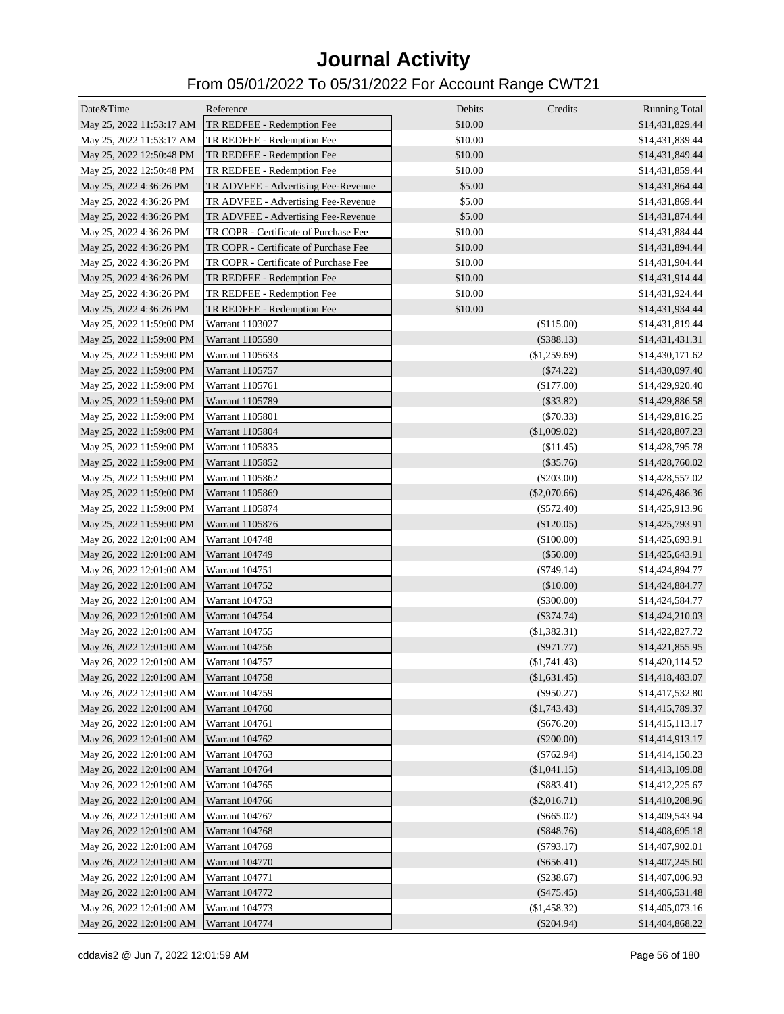| Date&Time                               | Reference                             | Debits  | Credits        | <b>Running Total</b> |
|-----------------------------------------|---------------------------------------|---------|----------------|----------------------|
| May 25, 2022 11:53:17 AM                | TR REDFEE - Redemption Fee            | \$10.00 |                | \$14,431,829.44      |
| May 25, 2022 11:53:17 AM                | TR REDFEE - Redemption Fee            | \$10.00 |                | \$14,431,839.44      |
| May 25, 2022 12:50:48 PM                | TR REDFEE - Redemption Fee            | \$10.00 |                | \$14,431,849.44      |
| May 25, 2022 12:50:48 PM                | TR REDFEE - Redemption Fee            | \$10.00 |                | \$14,431,859.44      |
| May 25, 2022 4:36:26 PM                 | TR ADVFEE - Advertising Fee-Revenue   | \$5.00  |                | \$14,431,864.44      |
| May 25, 2022 4:36:26 PM                 | TR ADVFEE - Advertising Fee-Revenue   | \$5.00  |                | \$14,431,869.44      |
| May 25, 2022 4:36:26 PM                 | TR ADVFEE - Advertising Fee-Revenue   | \$5.00  |                | \$14,431,874.44      |
| May 25, 2022 4:36:26 PM                 | TR COPR - Certificate of Purchase Fee | \$10.00 |                | \$14,431,884.44      |
| May 25, 2022 4:36:26 PM                 | TR COPR - Certificate of Purchase Fee | \$10.00 |                | \$14,431,894.44      |
| May 25, 2022 4:36:26 PM                 | TR COPR - Certificate of Purchase Fee | \$10.00 |                | \$14,431,904.44      |
| May 25, 2022 4:36:26 PM                 | TR REDFEE - Redemption Fee            | \$10.00 |                | \$14,431,914.44      |
| May 25, 2022 4:36:26 PM                 | TR REDFEE - Redemption Fee            | \$10.00 |                | \$14,431,924.44      |
| May 25, 2022 4:36:26 PM                 | TR REDFEE - Redemption Fee            | \$10.00 |                | \$14,431,934.44      |
| May 25, 2022 11:59:00 PM                | Warrant 1103027                       |         | (\$115.00)     | \$14,431,819.44      |
| May 25, 2022 11:59:00 PM                | Warrant 1105590                       |         | (\$388.13)     | \$14,431,431.31      |
|                                         | Warrant 1105633                       |         | (\$1,259.69)   | \$14,430,171.62      |
| May 25, 2022 11:59:00 PM                |                                       |         |                |                      |
| May 25, 2022 11:59:00 PM                | Warrant 1105757                       |         | $(\$74.22)$    | \$14,430,097.40      |
| May 25, 2022 11:59:00 PM                | Warrant 1105761                       |         | $(\$177.00)$   | \$14,429,920.40      |
| May 25, 2022 11:59:00 PM                | Warrant 1105789                       |         | $(\$33.82)$    | \$14,429,886.58      |
| May 25, 2022 11:59:00 PM                | Warrant 1105801                       |         | $(\$70.33)$    | \$14,429,816.25      |
| May 25, 2022 11:59:00 PM                | Warrant 1105804                       |         | (\$1,009.02)   | \$14,428,807.23      |
| May 25, 2022 11:59:00 PM                | Warrant 1105835                       |         | (\$11.45)      | \$14,428,795.78      |
| May 25, 2022 11:59:00 PM                | Warrant 1105852                       |         | $(\$35.76)$    | \$14,428,760.02      |
| May 25, 2022 11:59:00 PM                | Warrant 1105862                       |         | $(\$203.00)$   | \$14,428,557.02      |
| May 25, 2022 11:59:00 PM                | Warrant 1105869                       |         | $(\$2,070.66)$ | \$14,426,486.36      |
| May 25, 2022 11:59:00 PM                | Warrant 1105874                       |         | $(\$572.40)$   | \$14,425,913.96      |
| May 25, 2022 11:59:00 PM                | Warrant 1105876                       |         | $(\$120.05)$   | \$14,425,793.91      |
| May 26, 2022 12:01:00 AM                | Warrant 104748                        |         | (\$100.00)     | \$14,425,693.91      |
| May 26, 2022 12:01:00 AM                | Warrant 104749                        |         | (\$50.00)      | \$14,425,643.91      |
| May 26, 2022 12:01:00 AM                | Warrant 104751                        |         | $(\$749.14)$   | \$14,424,894.77      |
| May 26, 2022 12:01:00 AM                | Warrant 104752                        |         | (\$10.00)      | \$14,424,884.77      |
| May 26, 2022 12:01:00 AM                | Warrant 104753                        |         | $(\$300.00)$   | \$14,424,584.77      |
| May 26, 2022 12:01:00 AM                | Warrant 104754                        |         | $(\$374.74)$   | \$14,424,210.03      |
| May 26, 2022 12:01:00 AM                | Warrant 104755                        |         | $(\$1,382.31)$ | \$14,422,827.72      |
| May 26, 2022 12:01:00 AM                | Warrant 104756                        |         | $(\$971.77)$   | \$14,421,855.95      |
| May 26, 2022 12:01:00 AM                | Warrant 104757                        |         | $(\$1,741.43)$ | \$14,420,114.52      |
| May 26, 2022 12:01:00 AM Warrant 104758 |                                       |         | (\$1,631.45)   | \$14,418,483.07      |
| May 26, 2022 12:01:00 AM                | Warrant 104759                        |         | $(\$950.27)$   | \$14,417,532.80      |
| May 26, 2022 12:01:00 AM                | Warrant 104760                        |         | $(\$1,743.43)$ | \$14,415,789.37      |
| May 26, 2022 12:01:00 AM                | Warrant 104761                        |         | $(\$676.20)$   | \$14,415,113.17      |
| May 26, 2022 12:01:00 AM                | Warrant 104762                        |         | $(\$200.00)$   | \$14,414,913.17      |
| May 26, 2022 12:01:00 AM                | Warrant 104763                        |         | $(\$762.94)$   | \$14,414,150.23      |
| May 26, 2022 12:01:00 AM                | Warrant 104764                        |         | $(\$1,041.15)$ | \$14,413,109.08      |
| May 26, 2022 12:01:00 AM                | Warrant 104765                        |         | $(\$883.41)$   | \$14,412,225.67      |
| May 26, 2022 12:01:00 AM                | Warrant 104766                        |         | $(\$2,016.71)$ | \$14,410,208.96      |
| May 26, 2022 12:01:00 AM                | Warrant 104767                        |         | $(\$665.02)$   | \$14,409,543.94      |
| May 26, 2022 12:01:00 AM                | Warrant 104768                        |         | $(\$848.76)$   | \$14,408,695.18      |
| May 26, 2022 12:01:00 AM                | Warrant 104769                        |         | $(\$793.17)$   | \$14,407,902.01      |
| May 26, 2022 12:01:00 AM                | Warrant 104770                        |         | $(\$656.41)$   | \$14,407,245.60      |
| May 26, 2022 12:01:00 AM                | Warrant 104771                        |         | $(\$238.67)$   | \$14,407,006.93      |
| May 26, 2022 12:01:00 AM                | Warrant 104772                        |         | $(\$475.45)$   | \$14,406,531.48      |
| May 26, 2022 12:01:00 AM                | Warrant 104773                        |         | (\$1,458.32)   | \$14,405,073.16      |
| May 26, 2022 12:01:00 AM                | Warrant 104774                        |         | $(\$204.94)$   | \$14,404,868.22      |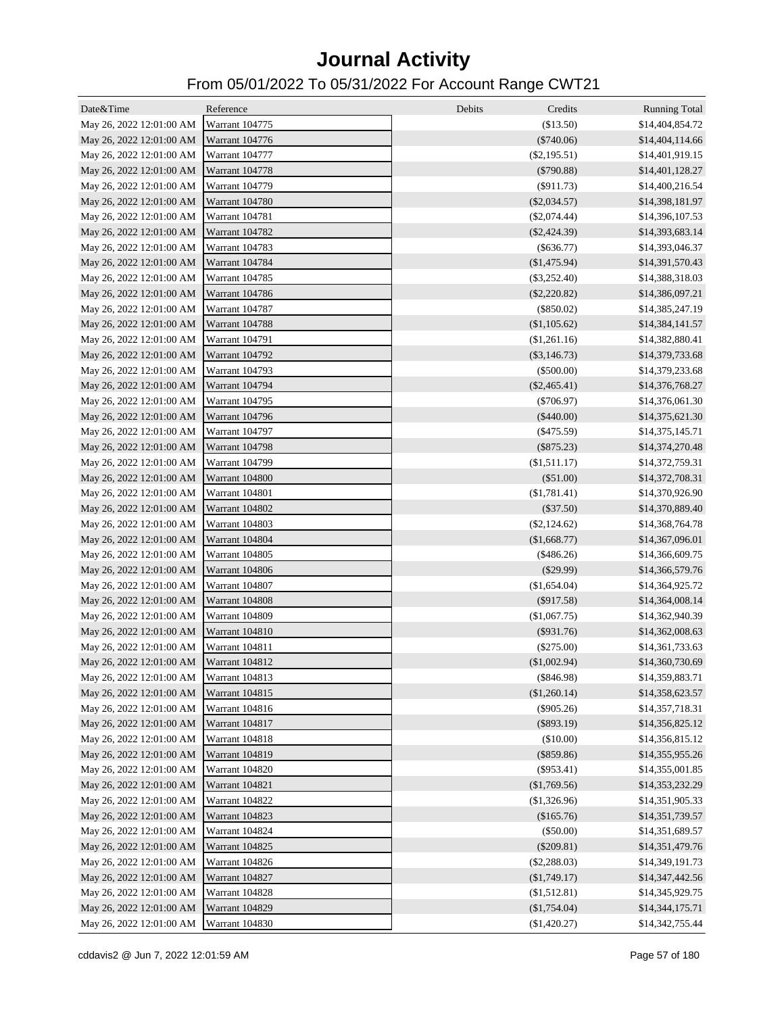| Date&Time                               | Reference             | Debits<br>Credits            | <b>Running Total</b>               |
|-----------------------------------------|-----------------------|------------------------------|------------------------------------|
| May 26, 2022 12:01:00 AM                | <b>Warrant 104775</b> | (\$13.50)                    | \$14,404,854.72                    |
| May 26, 2022 12:01:00 AM                | Warrant 104776        | $(\$740.06)$                 | \$14,404,114.66                    |
| May 26, 2022 12:01:00 AM                | Warrant 104777        | $(\$2,195.51)$               | \$14,401,919.15                    |
| May 26, 2022 12:01:00 AM                | Warrant 104778        | $(\$790.88)$                 | \$14,401,128.27                    |
| May 26, 2022 12:01:00 AM                | Warrant 104779        | $(\$911.73)$                 | \$14,400,216.54                    |
| May 26, 2022 12:01:00 AM                | Warrant 104780        | $(\$2,034.57)$               | \$14,398,181.97                    |
| May 26, 2022 12:01:00 AM                | Warrant 104781        | $(\$2,074.44)$               | \$14,396,107.53                    |
| May 26, 2022 12:01:00 AM                | Warrant 104782        | $(\$2,424.39)$               | \$14,393,683.14                    |
| May 26, 2022 12:01:00 AM                | Warrant 104783        | $(\$636.77)$                 | \$14,393,046.37                    |
| May 26, 2022 12:01:00 AM                | Warrant 104784        | (\$1,475.94)                 | \$14,391,570.43                    |
| May 26, 2022 12:01:00 AM                | Warrant 104785        | $(\$3,252.40)$               | \$14,388,318.03                    |
| May 26, 2022 12:01:00 AM                | Warrant 104786        | $(\$2,220.82)$               | \$14,386,097.21                    |
| May 26, 2022 12:01:00 AM                | Warrant 104787        | $(\$850.02)$                 | \$14,385,247.19                    |
| May 26, 2022 12:01:00 AM                | Warrant 104788        | (\$1,105.62)                 | \$14,384,141.57                    |
| May 26, 2022 12:01:00 AM                | Warrant 104791        | (\$1,261.16)                 | \$14,382,880.41                    |
| May 26, 2022 12:01:00 AM                | Warrant 104792        | $(\$3,146.73)$               | \$14,379,733.68                    |
| May 26, 2022 12:01:00 AM                | Warrant 104793        | $(\$500.00)$                 | \$14,379,233.68                    |
| May 26, 2022 12:01:00 AM                | Warrant 104794        | $(\$2,465.41)$               | \$14,376,768.27                    |
| May 26, 2022 12:01:00 AM                | Warrant 104795        | $(\$706.97)$                 | \$14,376,061.30                    |
| May 26, 2022 12:01:00 AM                | Warrant 104796        | $(\$440.00)$                 | \$14,375,621.30                    |
|                                         | Warrant 104797        |                              |                                    |
| May 26, 2022 12:01:00 AM                | Warrant 104798        | $(\$475.59)$<br>$(\$875.23)$ | \$14,375,145.71<br>\$14,374,270.48 |
| May 26, 2022 12:01:00 AM                | Warrant 104799        |                              |                                    |
| May 26, 2022 12:01:00 AM                |                       | $(\$1,511.17)$               | \$14,372,759.31                    |
| May 26, 2022 12:01:00 AM                | Warrant 104800        | (\$51.00)                    | \$14,372,708.31                    |
| May 26, 2022 12:01:00 AM                | Warrant 104801        | (\$1,781.41)                 | \$14,370,926.90                    |
| May 26, 2022 12:01:00 AM                | Warrant 104802        | $(\$37.50)$                  | \$14,370,889.40                    |
| May 26, 2022 12:01:00 AM                | Warrant 104803        | $(\$2,124.62)$               | \$14,368,764.78                    |
| May 26, 2022 12:01:00 AM                | Warrant 104804        | (\$1,668.77)                 | \$14,367,096.01                    |
| May 26, 2022 12:01:00 AM                | Warrant 104805        | $(\$486.26)$                 | \$14,366,609.75                    |
| May 26, 2022 12:01:00 AM                | Warrant 104806        | $(\$29.99)$                  | \$14,366,579.76                    |
| May 26, 2022 12:01:00 AM                | Warrant 104807        | (\$1,654.04)                 | \$14,364,925.72                    |
| May 26, 2022 12:01:00 AM                | Warrant 104808        | $(\$917.58)$                 | \$14,364,008.14                    |
| May 26, 2022 12:01:00 AM                | Warrant 104809        | (\$1,067.75)                 | \$14,362,940.39                    |
| May 26, 2022 12:01:00 AM                | Warrant 104810        | $(\$931.76)$                 | \$14,362,008.63                    |
| May 26, 2022 12:01:00 AM                | Warrant 104811        | $(\$275.00)$                 | \$14,361,733.63                    |
| May 26, 2022 12:01:00 AM Warrant 104812 |                       | $(\$1,002.94)$               | \$14,360,730.69                    |
| May 26, 2022 12:01:00 AM                | <b>Warrant 104813</b> | $(\$846.98)$                 | \$14,359,883.71                    |
| May 26, 2022 12:01:00 AM                | Warrant 104815        | (\$1,260.14)                 | \$14,358,623.57                    |
| May 26, 2022 12:01:00 AM                | Warrant 104816        | $(\$905.26)$                 | \$14,357,718.31                    |
| May 26, 2022 12:01:00 AM                | Warrant 104817        | $(\$893.19)$                 | \$14,356,825.12                    |
| May 26, 2022 12:01:00 AM                | Warrant 104818        | (\$10.00)                    | \$14,356,815.12                    |
| May 26, 2022 12:01:00 AM                | <b>Warrant 104819</b> | $(\$859.86)$                 | \$14,355,955.26                    |
| May 26, 2022 12:01:00 AM                | Warrant 104820        | $(\$953.41)$                 | \$14,355,001.85                    |
| May 26, 2022 12:01:00 AM                | Warrant 104821        | (\$1,769.56)                 | \$14,353,232.29                    |
| May 26, 2022 12:01:00 AM                | Warrant 104822        | (\$1,326.96)                 | \$14,351,905.33                    |
| May 26, 2022 12:01:00 AM                | Warrant 104823        | (\$165.76)                   | \$14,351,739.57                    |
| May 26, 2022 12:01:00 AM                | Warrant 104824        | (\$50.00)                    | \$14,351,689.57                    |
| May 26, 2022 12:01:00 AM                | Warrant 104825        | $(\$209.81)$                 | \$14,351,479.76                    |
| May 26, 2022 12:01:00 AM                | Warrant 104826        | $(\$2,288.03)$               | \$14,349,191.73                    |
| May 26, 2022 12:01:00 AM                | Warrant 104827        | (\$1,749.17)                 | \$14,347,442.56                    |
| May 26, 2022 12:01:00 AM                | Warrant 104828        | (\$1,512.81)                 | \$14,345,929.75                    |
| May 26, 2022 12:01:00 AM                | Warrant 104829        | (\$1,754.04)                 | \$14,344,175.71                    |
| May 26, 2022 12:01:00 AM                | Warrant 104830        | (\$1,420.27)                 | \$14,342,755.44                    |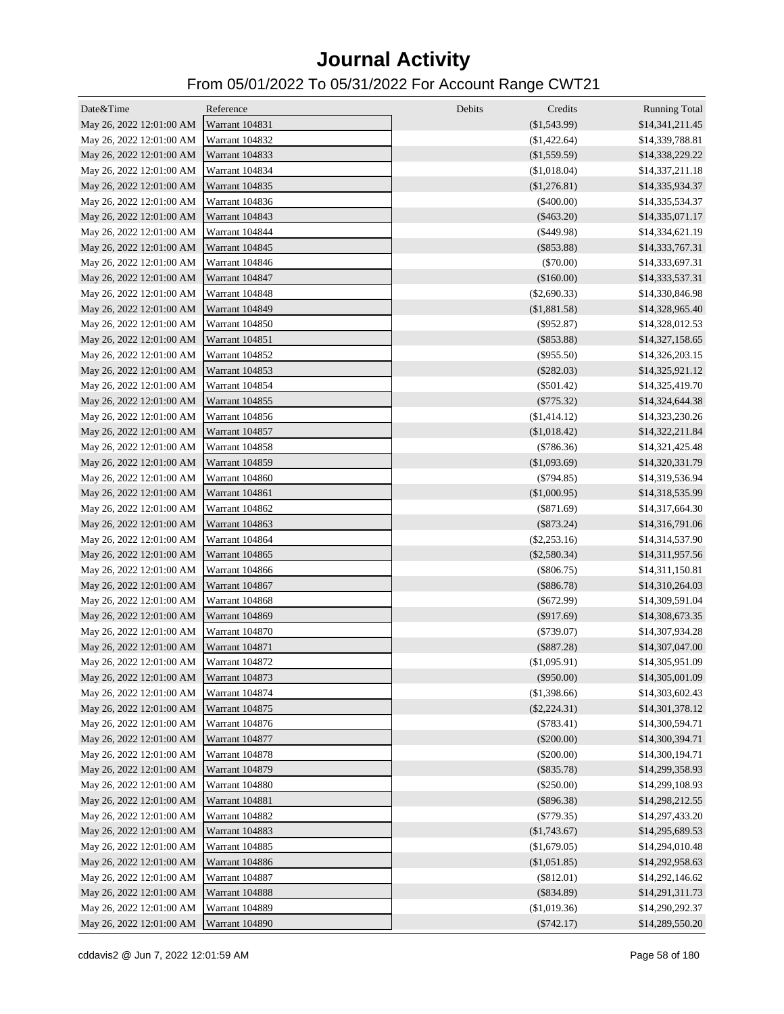| Date&Time                               | Reference             | Debits<br>Credits | <b>Running Total</b> |
|-----------------------------------------|-----------------------|-------------------|----------------------|
| May 26, 2022 12:01:00 AM Warrant 104831 |                       | $(\$1,543.99)$    | \$14,341,211.45      |
| May 26, 2022 12:01:00 AM                | Warrant 104832        | (\$1,422.64)      | \$14,339,788.81      |
| May 26, 2022 12:01:00 AM                | Warrant 104833        | (\$1,559.59)      | \$14,338,229.22      |
| May 26, 2022 12:01:00 AM                | Warrant 104834        | (\$1,018.04)      | \$14,337,211.18      |
| May 26, 2022 12:01:00 AM                | Warrant 104835        | (\$1,276.81)      | \$14,335,934.37      |
| May 26, 2022 12:01:00 AM                | Warrant 104836        | $(\$400.00)$      | \$14,335,534.37      |
| May 26, 2022 12:01:00 AM                | Warrant 104843        | $(\$463.20)$      | \$14,335,071.17      |
| May 26, 2022 12:01:00 AM                | Warrant 104844        | $(\$449.98)$      | \$14,334,621.19      |
| May 26, 2022 12:01:00 AM                | Warrant 104845        | $(\$853.88)$      | \$14,333,767.31      |
| May 26, 2022 12:01:00 AM                | Warrant 104846        | $(\$70.00)$       | \$14,333,697.31      |
| May 26, 2022 12:01:00 AM                | Warrant 104847        | (\$160.00)        | \$14,333,537.31      |
| May 26, 2022 12:01:00 AM                | Warrant 104848        | $(\$2,690.33)$    | \$14,330,846.98      |
| May 26, 2022 12:01:00 AM                | Warrant 104849        | (\$1,881.58)      | \$14,328,965.40      |
| May 26, 2022 12:01:00 AM                | Warrant 104850        | $(\$952.87)$      | \$14,328,012.53      |
| May 26, 2022 12:01:00 AM                | Warrant 104851        | $(\$853.88)$      | \$14,327,158.65      |
| May 26, 2022 12:01:00 AM                | Warrant 104852        | $(\$955.50)$      | \$14,326,203.15      |
| May 26, 2022 12:01:00 AM                | Warrant 104853        | $(\$282.03)$      | \$14,325,921.12      |
| May 26, 2022 12:01:00 AM                | Warrant 104854        | $(\$501.42)$      | \$14,325,419.70      |
| May 26, 2022 12:01:00 AM                | Warrant 104855        | $(\$775.32)$      | \$14,324,644.38      |
| May 26, 2022 12:01:00 AM                | Warrant 104856        | (\$1,414.12)      | \$14,323,230.26      |
| May 26, 2022 12:01:00 AM                | Warrant 104857        | (\$1,018.42)      | \$14,322,211.84      |
| May 26, 2022 12:01:00 AM                | Warrant 104858        | (\$786.36)        | \$14,321,425.48      |
| May 26, 2022 12:01:00 AM                | <b>Warrant 104859</b> | (\$1,093.69)      | \$14,320,331.79      |
| May 26, 2022 12:01:00 AM                | Warrant 104860        | $(\$794.85)$      | \$14,319,536.94      |
| May 26, 2022 12:01:00 AM                | Warrant 104861        | (\$1,000.95)      | \$14,318,535.99      |
| May 26, 2022 12:01:00 AM                | Warrant 104862        | $(\$871.69)$      | \$14,317,664.30      |
| May 26, 2022 12:01:00 AM                | Warrant 104863        | $(\$873.24)$      | \$14,316,791.06      |
| May 26, 2022 12:01:00 AM                | Warrant 104864        | $(\$2,253.16)$    | \$14,314,537.90      |
| May 26, 2022 12:01:00 AM                | Warrant 104865        | $(\$2,580.34)$    | \$14,311,957.56      |
| May 26, 2022 12:01:00 AM                | Warrant 104866        | $(\$806.75)$      | \$14,311,150.81      |
| May 26, 2022 12:01:00 AM                | Warrant 104867        | $(\$886.78)$      | \$14,310,264.03      |
| May 26, 2022 12:01:00 AM                | Warrant 104868        | $(\$672.99)$      | \$14,309,591.04      |
| May 26, 2022 12:01:00 AM                | Warrant 104869        | $(\$917.69)$      | \$14,308,673.35      |
| May 26, 2022 12:01:00 AM                | Warrant 104870        | $(\$739.07)$      | \$14,307,934.28      |
| May 26, 2022 12:01:00 AM                | Warrant 104871        | $(\$887.28)$      | \$14,307,047.00      |
| May 26, 2022 12:01:00 AM Warrant 104872 |                       | (\$1,095.91)      | \$14,305,951.09      |
| May 26, 2022 12:01:00 AM                | Warrant 104873        | (\$950.00)        | \$14,305,001.09      |
| May 26, 2022 12:01:00 AM                | Warrant 104874        | (\$1,398.66)      | \$14,303,602.43      |
| May 26, 2022 12:01:00 AM                | Warrant 104875        | $(\$2,224.31)$    | \$14,301,378.12      |
| May 26, 2022 12:01:00 AM                | Warrant 104876        | $(\$783.41)$      | \$14,300,594.71      |
| May 26, 2022 12:01:00 AM                | Warrant 104877        | $(\$200.00)$      | \$14,300,394.71      |
| May 26, 2022 12:01:00 AM                | Warrant 104878        | $(\$200.00)$      | \$14,300,194.71      |
| May 26, 2022 12:01:00 AM                | Warrant 104879        | $(\$835.78)$      | \$14,299,358.93      |
| May 26, 2022 12:01:00 AM                | <b>Warrant 104880</b> | $(\$250.00)$      | \$14,299,108.93      |
| May 26, 2022 12:01:00 AM                | Warrant 104881        | $(\$896.38)$      | \$14,298,212.55      |
| May 26, 2022 12:01:00 AM                | Warrant 104882        | $(\$779.35)$      | \$14,297,433.20      |
| May 26, 2022 12:01:00 AM                | Warrant 104883        | (\$1,743.67)      | \$14,295,689.53      |
| May 26, 2022 12:01:00 AM                | Warrant 104885        | (\$1,679.05)      | \$14,294,010.48      |
| May 26, 2022 12:01:00 AM                | Warrant 104886        | (\$1,051.85)      | \$14,292,958.63      |
| May 26, 2022 12:01:00 AM                | Warrant 104887        | $(\$812.01)$      | \$14,292,146.62      |
| May 26, 2022 12:01:00 AM                | Warrant 104888        | $(\$834.89)$      | \$14,291,311.73      |
| May 26, 2022 12:01:00 AM                | Warrant 104889        | (\$1,019.36)      | \$14,290,292.37      |
| May 26, 2022 12:01:00 AM                | Warrant 104890        | $(\$742.17)$      | \$14,289,550.20      |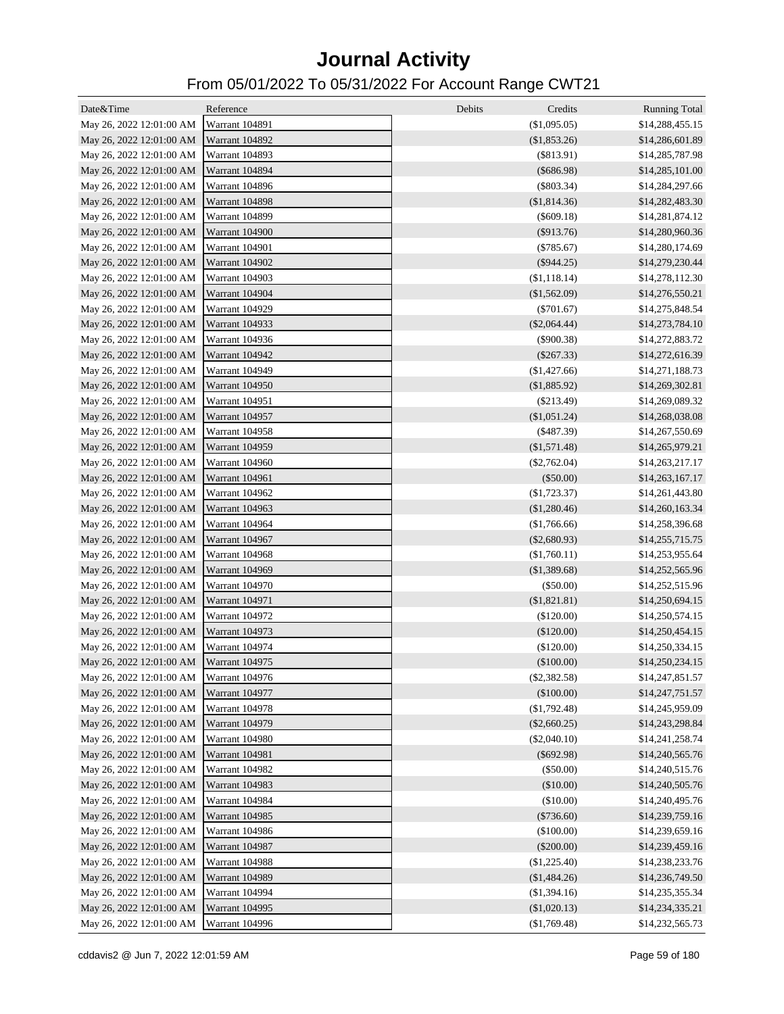| Date&Time                               | Reference             | Debits<br>Credits | <b>Running Total</b> |
|-----------------------------------------|-----------------------|-------------------|----------------------|
| May 26, 2022 12:01:00 AM Warrant 104891 |                       | (\$1,095.05)      | \$14,288,455.15      |
| May 26, 2022 12:01:00 AM                | Warrant 104892        | (\$1,853.26)      | \$14,286,601.89      |
| May 26, 2022 12:01:00 AM                | Warrant 104893        | $(\$813.91)$      | \$14,285,787.98      |
| May 26, 2022 12:01:00 AM                | Warrant 104894        | $(\$686.98)$      | \$14,285,101.00      |
| May 26, 2022 12:01:00 AM                | Warrant 104896        | $(\$803.34)$      | \$14,284,297.66      |
| May 26, 2022 12:01:00 AM                | Warrant 104898        | (\$1,814.36)      | \$14,282,483.30      |
| May 26, 2022 12:01:00 AM                | Warrant 104899        | $(\$609.18)$      | \$14,281,874.12      |
| May 26, 2022 12:01:00 AM                | <b>Warrant 104900</b> | $(\$913.76)$      | \$14,280,960.36      |
| May 26, 2022 12:01:00 AM                | Warrant 104901        | $(\$785.67)$      | \$14,280,174.69      |
| May 26, 2022 12:01:00 AM                | <b>Warrant 104902</b> | $(\$944.25)$      | \$14,279,230.44      |
| May 26, 2022 12:01:00 AM                | Warrant 104903        | (\$1,118.14)      | \$14,278,112.30      |
| May 26, 2022 12:01:00 AM                | <b>Warrant 104904</b> | (\$1,562.09)      | \$14,276,550.21      |
| May 26, 2022 12:01:00 AM                | Warrant 104929        | $(\$701.67)$      | \$14,275,848.54      |
| May 26, 2022 12:01:00 AM                | Warrant 104933        | $(\$2,064.44)$    | \$14,273,784.10      |
| May 26, 2022 12:01:00 AM                | Warrant 104936        | $(\$900.38)$      | \$14,272,883.72      |
| May 26, 2022 12:01:00 AM                | Warrant 104942        | $(\$267.33)$      | \$14,272,616.39      |
| May 26, 2022 12:01:00 AM                | <b>Warrant 104949</b> | (\$1,427.66)      | \$14,271,188.73      |
| May 26, 2022 12:01:00 AM                | Warrant 104950        | (\$1,885.92)      | \$14,269,302.81      |
| May 26, 2022 12:01:00 AM                | Warrant 104951        | $(\$213.49)$      | \$14,269,089.32      |
| May 26, 2022 12:01:00 AM                | Warrant 104957        | (\$1,051.24)      | \$14,268,038.08      |
| May 26, 2022 12:01:00 AM                | <b>Warrant 104958</b> | $(\$487.39)$      | \$14,267,550.69      |
| May 26, 2022 12:01:00 AM                | Warrant 104959        | $(\$1,571.48)$    | \$14,265,979.21      |
| May 26, 2022 12:01:00 AM                | Warrant 104960        | $(\$2,762.04)$    | \$14,263,217.17      |
| May 26, 2022 12:01:00 AM                | Warrant 104961        | $(\$50.00)$       | \$14,263,167.17      |
| May 26, 2022 12:01:00 AM                | Warrant 104962        | $(\$1,723.37)$    | \$14,261,443.80      |
| May 26, 2022 12:01:00 AM                | Warrant 104963        | $(\$1,280.46)$    | \$14,260,163.34      |
| May 26, 2022 12:01:00 AM                | Warrant 104964        | (\$1,766.66)      | \$14,258,396.68      |
| May 26, 2022 12:01:00 AM                | Warrant 104967        | $(\$2,680.93)$    | \$14,255,715.75      |
| May 26, 2022 12:01:00 AM                | Warrant 104968        | (\$1,760.11)      | \$14,253,955.64      |
| May 26, 2022 12:01:00 AM                | Warrant 104969        | (\$1,389.68)      | \$14,252,565.96      |
| May 26, 2022 12:01:00 AM                | Warrant 104970        | $(\$50.00)$       | \$14,252,515.96      |
| May 26, 2022 12:01:00 AM                | Warrant 104971        | (\$1,821.81)      | \$14,250,694.15      |
| May 26, 2022 12:01:00 AM                | Warrant 104972        | $(\$120.00)$      | \$14,250,574.15      |
| May 26, 2022 12:01:00 AM                | Warrant 104973        | (\$120.00)        | \$14,250,454.15      |
| May 26, 2022 12:01:00 AM                | Warrant 104974        | (\$120.00)        | \$14,250,334.15      |
| May 26, 2022 12:01:00 AM Warrant 104975 |                       | $(\$100.00)$      | \$14,250,234.15      |
| May 26, 2022 12:01:00 AM                | Warrant 104976        | $(\$2,382.58)$    | \$14,247,851.57      |
| May 26, 2022 12:01:00 AM                | Warrant 104977        | (\$100.00)        | \$14,247,751.57      |
| May 26, 2022 12:01:00 AM                | Warrant 104978        | $(\$1,792.48)$    | \$14,245,959.09      |
| May 26, 2022 12:01:00 AM                | <b>Warrant 104979</b> | $(\$2,660.25)$    | \$14,243,298.84      |
| May 26, 2022 12:01:00 AM                | <b>Warrant 104980</b> | $(\$2,040.10)$    | \$14,241,258.74      |
| May 26, 2022 12:01:00 AM                | Warrant 104981        | $(\$692.98)$      | \$14,240,565.76      |
| May 26, 2022 12:01:00 AM                | Warrant 104982        | $(\$50.00)$       | \$14,240,515.76      |
| May 26, 2022 12:01:00 AM                | Warrant 104983        | (\$10.00)         | \$14,240,505.76      |
| May 26, 2022 12:01:00 AM                | Warrant 104984        | (\$10.00)         | \$14,240,495.76      |
| May 26, 2022 12:01:00 AM                | Warrant 104985        | $(\$736.60)$      | \$14,239,759.16      |
| May 26, 2022 12:01:00 AM                | Warrant 104986        | (\$100.00)        | \$14,239,659.16      |
| May 26, 2022 12:01:00 AM                | Warrant 104987        | $(\$200.00)$      | \$14,239,459.16      |
| May 26, 2022 12:01:00 AM                | Warrant 104988        | (\$1,225.40)      | \$14,238,233.76      |
| May 26, 2022 12:01:00 AM                | Warrant 104989        | (\$1,484.26)      | \$14,236,749.50      |
| May 26, 2022 12:01:00 AM                | Warrant 104994        | $(\$1,394.16)$    | \$14,235,355.34      |
| May 26, 2022 12:01:00 AM                | Warrant 104995        | (\$1,020.13)      | \$14,234,335.21      |
| May 26, 2022 12:01:00 AM                | Warrant 104996        | (\$1,769.48)      | \$14,232,565.73      |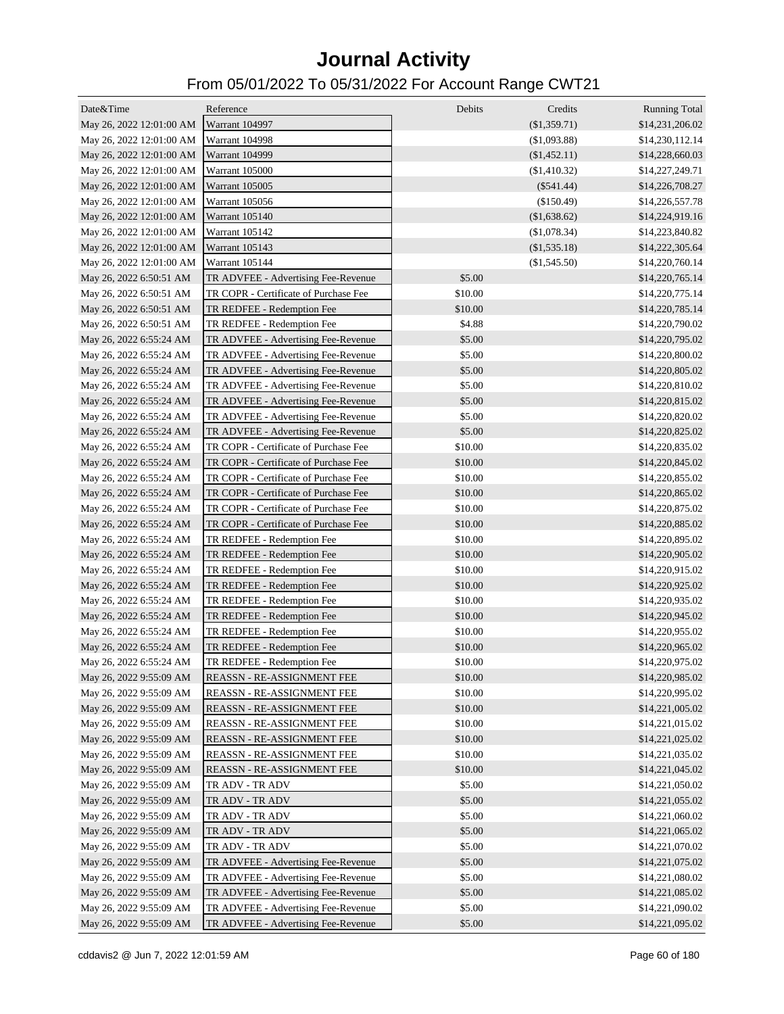| Date&Time                               | Reference                             | Debits  | Credits        | <b>Running Total</b> |
|-----------------------------------------|---------------------------------------|---------|----------------|----------------------|
| May 26, 2022 12:01:00 AM Warrant 104997 |                                       |         | (\$1,359.71)   | \$14,231,206.02      |
| May 26, 2022 12:01:00 AM                | Warrant 104998                        |         | (\$1,093.88)   | \$14,230,112.14      |
| May 26, 2022 12:01:00 AM                | <b>Warrant 104999</b>                 |         | (\$1,452.11)   | \$14,228,660.03      |
| May 26, 2022 12:01:00 AM                | Warrant 105000                        |         | $(\$1,410.32)$ | \$14,227,249.71      |
| May 26, 2022 12:01:00 AM                | <b>Warrant 105005</b>                 |         | $(\$541.44)$   | \$14,226,708.27      |
| May 26, 2022 12:01:00 AM                | Warrant 105056                        |         | (\$150.49)     | \$14,226,557.78      |
| May 26, 2022 12:01:00 AM                | <b>Warrant 105140</b>                 |         | (\$1,638.62)   | \$14,224,919.16      |
| May 26, 2022 12:01:00 AM                | Warrant 105142                        |         | (\$1,078.34)   | \$14,223,840.82      |
| May 26, 2022 12:01:00 AM                | Warrant 105143                        |         | $(\$1,535.18)$ | \$14,222,305.64      |
| May 26, 2022 12:01:00 AM                | Warrant 105144                        |         | $(\$1,545.50)$ | \$14,220,760.14      |
| May 26, 2022 6:50:51 AM                 | TR ADVFEE - Advertising Fee-Revenue   | \$5.00  |                | \$14,220,765.14      |
| May 26, 2022 6:50:51 AM                 | TR COPR - Certificate of Purchase Fee | \$10.00 |                | \$14,220,775.14      |
| May 26, 2022 6:50:51 AM                 | TR REDFEE - Redemption Fee            | \$10.00 |                | \$14,220,785.14      |
| May 26, 2022 6:50:51 AM                 | TR REDFEE - Redemption Fee            | \$4.88  |                | \$14,220,790.02      |
| May 26, 2022 6:55:24 AM                 | TR ADVFEE - Advertising Fee-Revenue   | \$5.00  |                | \$14,220,795.02      |
| May 26, 2022 6:55:24 AM                 | TR ADVFEE - Advertising Fee-Revenue   | \$5.00  |                | \$14,220,800.02      |
| May 26, 2022 6:55:24 AM                 | TR ADVFEE - Advertising Fee-Revenue   | \$5.00  |                | \$14,220,805.02      |
| May 26, 2022 6:55:24 AM                 | TR ADVFEE - Advertising Fee-Revenue   | \$5.00  |                | \$14,220,810.02      |
| May 26, 2022 6:55:24 AM                 | TR ADVFEE - Advertising Fee-Revenue   | \$5.00  |                | \$14,220,815.02      |
| May 26, 2022 6:55:24 AM                 | TR ADVFEE - Advertising Fee-Revenue   | \$5.00  |                | \$14,220,820.02      |
| May 26, 2022 6:55:24 AM                 | TR ADVFEE - Advertising Fee-Revenue   | \$5.00  |                | \$14,220,825.02      |
| May 26, 2022 6:55:24 AM                 | TR COPR - Certificate of Purchase Fee | \$10.00 |                | \$14,220,835.02      |
| May 26, 2022 6:55:24 AM                 | TR COPR - Certificate of Purchase Fee | \$10.00 |                | \$14,220,845.02      |
| May 26, 2022 6:55:24 AM                 | TR COPR - Certificate of Purchase Fee | \$10.00 |                | \$14,220,855.02      |
| May 26, 2022 6:55:24 AM                 | TR COPR - Certificate of Purchase Fee | \$10.00 |                | \$14,220,865.02      |
| May 26, 2022 6:55:24 AM                 | TR COPR - Certificate of Purchase Fee | \$10.00 |                | \$14,220,875.02      |
| May 26, 2022 6:55:24 AM                 | TR COPR - Certificate of Purchase Fee | \$10.00 |                | \$14,220,885.02      |
| May 26, 2022 6:55:24 AM                 | TR REDFEE - Redemption Fee            | \$10.00 |                | \$14,220,895.02      |
| May 26, 2022 6:55:24 AM                 | TR REDFEE - Redemption Fee            | \$10.00 |                | \$14,220,905.02      |
| May 26, 2022 6:55:24 AM                 | TR REDFEE - Redemption Fee            | \$10.00 |                | \$14,220,915.02      |
| May 26, 2022 6:55:24 AM                 | TR REDFEE - Redemption Fee            | \$10.00 |                | \$14,220,925.02      |
| May 26, 2022 6:55:24 AM                 | TR REDFEE - Redemption Fee            | \$10.00 |                | \$14,220,935.02      |
| May 26, 2022 6:55:24 AM                 | TR REDFEE - Redemption Fee            | \$10.00 |                | \$14,220,945.02      |
| May 26, 2022 6:55:24 AM                 | TR REDFEE - Redemption Fee            | \$10.00 |                | \$14,220,955.02      |
| May 26, 2022 6:55:24 AM                 | TR REDFEE - Redemption Fee            | \$10.00 |                | \$14,220,965.02      |
| May 26, 2022 6:55:24 AM                 | TR REDFEE - Redemption Fee            | \$10.00 |                | \$14,220,975.02      |
| May 26, 2022 9:55:09 AM                 | REASSN - RE-ASSIGNMENT FEE            | \$10.00 |                | \$14,220,985.02      |
| May 26, 2022 9:55:09 AM                 | REASSN - RE-ASSIGNMENT FEE            | \$10.00 |                | \$14,220,995.02      |
| May 26, 2022 9:55:09 AM                 | REASSN - RE-ASSIGNMENT FEE            | \$10.00 |                | \$14,221,005.02      |
| May 26, 2022 9:55:09 AM                 | REASSN - RE-ASSIGNMENT FEE            | \$10.00 |                | \$14,221,015.02      |
| May 26, 2022 9:55:09 AM                 | REASSN - RE-ASSIGNMENT FEE            | \$10.00 |                | \$14,221,025.02      |
| May 26, 2022 9:55:09 AM                 | REASSN - RE-ASSIGNMENT FEE            | \$10.00 |                | \$14,221,035.02      |
| May 26, 2022 9:55:09 AM                 | REASSN - RE-ASSIGNMENT FEE            | \$10.00 |                | \$14,221,045.02      |
| May 26, 2022 9:55:09 AM                 | TR ADV - TR ADV                       | \$5.00  |                | \$14,221,050.02      |
| May 26, 2022 9:55:09 AM                 | TR ADV - TR ADV                       | \$5.00  |                | \$14,221,055.02      |
| May 26, 2022 9:55:09 AM                 | TR ADV - TR ADV                       | \$5.00  |                | \$14,221,060.02      |
| May 26, 2022 9:55:09 AM                 | TR ADV - TR ADV                       | \$5.00  |                | \$14,221,065.02      |
| May 26, 2022 9:55:09 AM                 | TR ADV - TR ADV                       | \$5.00  |                | \$14,221,070.02      |
| May 26, 2022 9:55:09 AM                 | TR ADVFEE - Advertising Fee-Revenue   | \$5.00  |                | \$14,221,075.02      |
| May 26, 2022 9:55:09 AM                 | TR ADVFEE - Advertising Fee-Revenue   | \$5.00  |                | \$14,221,080.02      |
| May 26, 2022 9:55:09 AM                 | TR ADVFEE - Advertising Fee-Revenue   | \$5.00  |                | \$14,221,085.02      |
| May 26, 2022 9:55:09 AM                 | TR ADVFEE - Advertising Fee-Revenue   | \$5.00  |                | \$14,221,090.02      |
| May 26, 2022 9:55:09 AM                 | TR ADVFEE - Advertising Fee-Revenue   | \$5.00  |                | \$14,221,095.02      |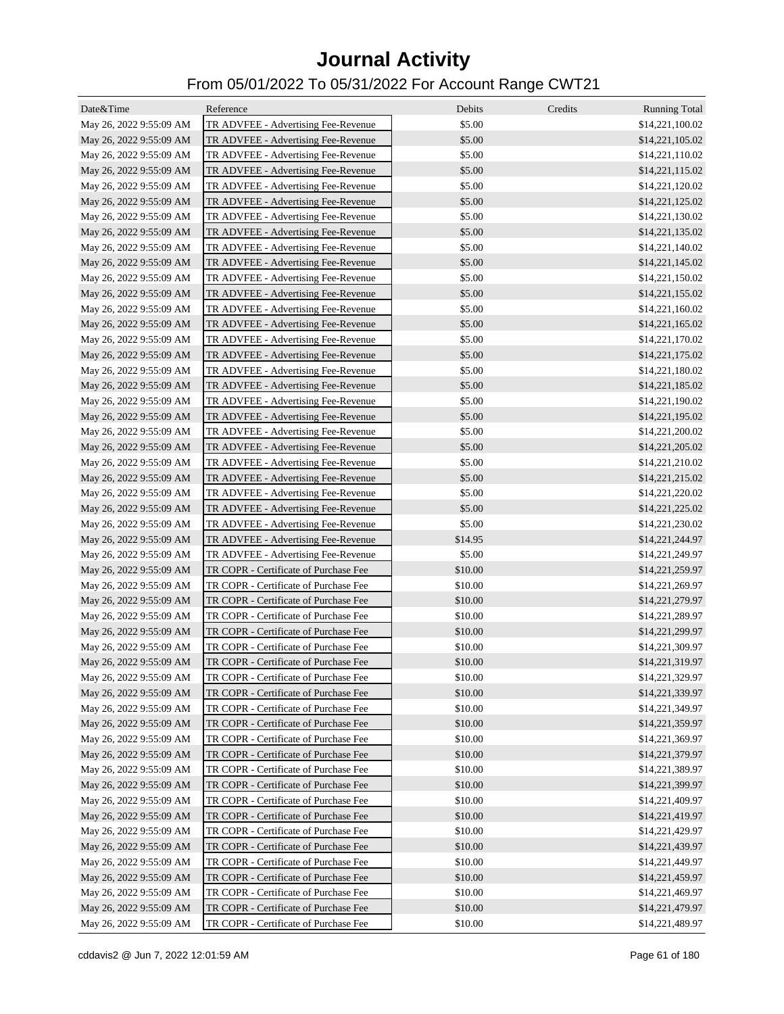| Date&Time               | Reference                                                                  | Debits  | Credits | <b>Running Total</b> |
|-------------------------|----------------------------------------------------------------------------|---------|---------|----------------------|
| May 26, 2022 9:55:09 AM | TR ADVFEE - Advertising Fee-Revenue                                        | \$5.00  |         | \$14,221,100.02      |
| May 26, 2022 9:55:09 AM | TR ADVFEE - Advertising Fee-Revenue                                        | \$5.00  |         | \$14,221,105.02      |
| May 26, 2022 9:55:09 AM | TR ADVFEE - Advertising Fee-Revenue                                        | \$5.00  |         | \$14,221,110.02      |
| May 26, 2022 9:55:09 AM | TR ADVFEE - Advertising Fee-Revenue                                        | \$5.00  |         | \$14,221,115.02      |
| May 26, 2022 9:55:09 AM | TR ADVFEE - Advertising Fee-Revenue                                        | \$5.00  |         | \$14,221,120.02      |
| May 26, 2022 9:55:09 AM | TR ADVFEE - Advertising Fee-Revenue                                        | \$5.00  |         | \$14,221,125.02      |
| May 26, 2022 9:55:09 AM | TR ADVFEE - Advertising Fee-Revenue                                        | \$5.00  |         | \$14,221,130.02      |
| May 26, 2022 9:55:09 AM | TR ADVFEE - Advertising Fee-Revenue                                        | \$5.00  |         | \$14,221,135.02      |
| May 26, 2022 9:55:09 AM | TR ADVFEE - Advertising Fee-Revenue                                        | \$5.00  |         | \$14,221,140.02      |
| May 26, 2022 9:55:09 AM | TR ADVFEE - Advertising Fee-Revenue                                        | \$5.00  |         | \$14,221,145.02      |
| May 26, 2022 9:55:09 AM | TR ADVFEE - Advertising Fee-Revenue                                        | \$5.00  |         | \$14,221,150.02      |
| May 26, 2022 9:55:09 AM | TR ADVFEE - Advertising Fee-Revenue                                        | \$5.00  |         | \$14,221,155.02      |
| May 26, 2022 9:55:09 AM | TR ADVFEE - Advertising Fee-Revenue                                        | \$5.00  |         | \$14,221,160.02      |
| May 26, 2022 9:55:09 AM | TR ADVFEE - Advertising Fee-Revenue                                        | \$5.00  |         | \$14,221,165.02      |
| May 26, 2022 9:55:09 AM | TR ADVFEE - Advertising Fee-Revenue                                        | \$5.00  |         | \$14,221,170.02      |
| May 26, 2022 9:55:09 AM | TR ADVFEE - Advertising Fee-Revenue                                        | \$5.00  |         | \$14,221,175.02      |
| May 26, 2022 9:55:09 AM | TR ADVFEE - Advertising Fee-Revenue                                        | \$5.00  |         | \$14,221,180.02      |
| May 26, 2022 9:55:09 AM |                                                                            | \$5.00  |         | \$14,221,185.02      |
|                         | TR ADVFEE - Advertising Fee-Revenue<br>TR ADVFEE - Advertising Fee-Revenue | \$5.00  |         | \$14,221,190.02      |
| May 26, 2022 9:55:09 AM |                                                                            | \$5.00  |         | \$14,221,195.02      |
| May 26, 2022 9:55:09 AM | TR ADVFEE - Advertising Fee-Revenue<br>TR ADVFEE - Advertising Fee-Revenue | \$5.00  |         |                      |
| May 26, 2022 9:55:09 AM |                                                                            | \$5.00  |         | \$14,221,200.02      |
| May 26, 2022 9:55:09 AM | TR ADVFEE - Advertising Fee-Revenue                                        | \$5.00  |         | \$14,221,205.02      |
| May 26, 2022 9:55:09 AM | TR ADVFEE - Advertising Fee-Revenue                                        |         |         | \$14,221,210.02      |
| May 26, 2022 9:55:09 AM | TR ADVFEE - Advertising Fee-Revenue                                        | \$5.00  |         | \$14,221,215.02      |
| May 26, 2022 9:55:09 AM | TR ADVFEE - Advertising Fee-Revenue                                        | \$5.00  |         | \$14,221,220.02      |
| May 26, 2022 9:55:09 AM | TR ADVFEE - Advertising Fee-Revenue                                        | \$5.00  |         | \$14,221,225.02      |
| May 26, 2022 9:55:09 AM | TR ADVFEE - Advertising Fee-Revenue                                        | \$5.00  |         | \$14,221,230.02      |
| May 26, 2022 9:55:09 AM | TR ADVFEE - Advertising Fee-Revenue                                        | \$14.95 |         | \$14,221,244.97      |
| May 26, 2022 9:55:09 AM | TR ADVFEE - Advertising Fee-Revenue                                        | \$5.00  |         | \$14,221,249.97      |
| May 26, 2022 9:55:09 AM | TR COPR - Certificate of Purchase Fee                                      | \$10.00 |         | \$14,221,259.97      |
| May 26, 2022 9:55:09 AM | TR COPR - Certificate of Purchase Fee                                      | \$10.00 |         | \$14,221,269.97      |
| May 26, 2022 9:55:09 AM | TR COPR - Certificate of Purchase Fee                                      | \$10.00 |         | \$14,221,279.97      |
| May 26, 2022 9:55:09 AM | TR COPR - Certificate of Purchase Fee                                      | \$10.00 |         | \$14,221,289.97      |
| May 26, 2022 9:55:09 AM | TR COPR - Certificate of Purchase Fee                                      | \$10.00 |         | \$14,221,299.97      |
| May 26, 2022 9:55:09 AM | TR COPR - Certificate of Purchase Fee                                      | \$10.00 |         | \$14,221,309.97      |
| May 26, 2022 9:55:09 AM | TR COPR - Certificate of Purchase Fee                                      | \$10.00 |         | \$14,221,319.97      |
| May 26, 2022 9:55:09 AM | TR COPR - Certificate of Purchase Fee                                      | \$10.00 |         | \$14,221,329.97      |
| May 26, 2022 9:55:09 AM | TR COPR - Certificate of Purchase Fee                                      | \$10.00 |         | \$14,221,339.97      |
| May 26, 2022 9:55:09 AM | TR COPR - Certificate of Purchase Fee                                      | \$10.00 |         | \$14,221,349.97      |
| May 26, 2022 9:55:09 AM | TR COPR - Certificate of Purchase Fee                                      | \$10.00 |         | \$14,221,359.97      |
| May 26, 2022 9:55:09 AM | TR COPR - Certificate of Purchase Fee                                      | \$10.00 |         | \$14,221,369.97      |
| May 26, 2022 9:55:09 AM | TR COPR - Certificate of Purchase Fee                                      | \$10.00 |         | \$14,221,379.97      |
| May 26, 2022 9:55:09 AM | TR COPR - Certificate of Purchase Fee                                      | \$10.00 |         | \$14,221,389.97      |
| May 26, 2022 9:55:09 AM | TR COPR - Certificate of Purchase Fee                                      | \$10.00 |         | \$14,221,399.97      |
| May 26, 2022 9:55:09 AM | TR COPR - Certificate of Purchase Fee                                      | \$10.00 |         | \$14,221,409.97      |
| May 26, 2022 9:55:09 AM | TR COPR - Certificate of Purchase Fee                                      | \$10.00 |         | \$14,221,419.97      |
| May 26, 2022 9:55:09 AM | TR COPR - Certificate of Purchase Fee                                      | \$10.00 |         | \$14,221,429.97      |
| May 26, 2022 9:55:09 AM | TR COPR - Certificate of Purchase Fee                                      | \$10.00 |         | \$14,221,439.97      |
| May 26, 2022 9:55:09 AM | TR COPR - Certificate of Purchase Fee                                      | \$10.00 |         | \$14,221,449.97      |
| May 26, 2022 9:55:09 AM | TR COPR - Certificate of Purchase Fee                                      | \$10.00 |         | \$14,221,459.97      |
| May 26, 2022 9:55:09 AM | TR COPR - Certificate of Purchase Fee                                      | \$10.00 |         | \$14,221,469.97      |
| May 26, 2022 9:55:09 AM | TR COPR - Certificate of Purchase Fee                                      | \$10.00 |         | \$14,221,479.97      |
| May 26, 2022 9:55:09 AM | TR COPR - Certificate of Purchase Fee                                      | \$10.00 |         | \$14,221,489.97      |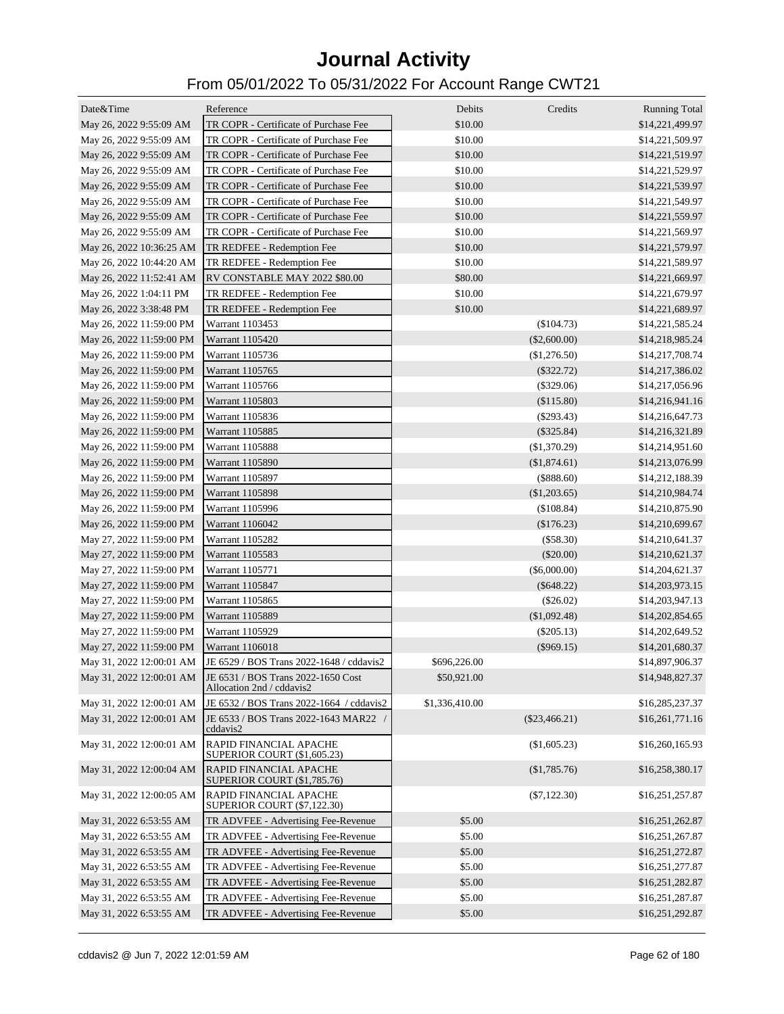| Date&Time                | Reference                                                                                | Debits         | Credits         | <b>Running Total</b> |
|--------------------------|------------------------------------------------------------------------------------------|----------------|-----------------|----------------------|
| May 26, 2022 9:55:09 AM  | TR COPR - Certificate of Purchase Fee                                                    | \$10.00        |                 | \$14,221,499.97      |
| May 26, 2022 9:55:09 AM  | TR COPR - Certificate of Purchase Fee                                                    | \$10.00        |                 | \$14,221,509.97      |
| May 26, 2022 9:55:09 AM  | TR COPR - Certificate of Purchase Fee                                                    | \$10.00        |                 | \$14,221,519.97      |
| May 26, 2022 9:55:09 AM  | TR COPR - Certificate of Purchase Fee                                                    | \$10.00        |                 | \$14,221,529.97      |
| May 26, 2022 9:55:09 AM  | TR COPR - Certificate of Purchase Fee                                                    | \$10.00        |                 | \$14,221,539.97      |
| May 26, 2022 9:55:09 AM  | TR COPR - Certificate of Purchase Fee                                                    | \$10.00        |                 | \$14,221,549.97      |
| May 26, 2022 9:55:09 AM  | TR COPR - Certificate of Purchase Fee                                                    | \$10.00        |                 | \$14,221,559.97      |
| May 26, 2022 9:55:09 AM  | TR COPR - Certificate of Purchase Fee                                                    | \$10.00        |                 | \$14,221,569.97      |
| May 26, 2022 10:36:25 AM | TR REDFEE - Redemption Fee                                                               | \$10.00        |                 | \$14,221,579.97      |
| May 26, 2022 10:44:20 AM | TR REDFEE - Redemption Fee                                                               | \$10.00        |                 | \$14,221,589.97      |
| May 26, 2022 11:52:41 AM | RV CONSTABLE MAY 2022 \$80.00                                                            | \$80.00        |                 | \$14,221,669.97      |
| May 26, 2022 1:04:11 PM  | TR REDFEE - Redemption Fee                                                               | \$10.00        |                 | \$14,221,679.97      |
|                          | TR REDFEE - Redemption Fee                                                               | \$10.00        |                 |                      |
| May 26, 2022 3:38:48 PM  |                                                                                          |                |                 | \$14,221,689.97      |
| May 26, 2022 11:59:00 PM | Warrant 1103453                                                                          |                | $(\$104.73)$    | \$14,221,585.24      |
| May 26, 2022 11:59:00 PM | Warrant 1105420                                                                          |                | $(\$2,600.00)$  | \$14,218,985.24      |
| May 26, 2022 11:59:00 PM | Warrant 1105736                                                                          |                | (\$1,276.50)    | \$14,217,708.74      |
| May 26, 2022 11:59:00 PM | Warrant 1105765                                                                          |                | $(\$322.72)$    | \$14,217,386.02      |
| May 26, 2022 11:59:00 PM | Warrant 1105766                                                                          |                | (\$329.06)      | \$14,217,056.96      |
| May 26, 2022 11:59:00 PM | Warrant 1105803                                                                          |                | (\$115.80)      | \$14,216,941.16      |
| May 26, 2022 11:59:00 PM | Warrant 1105836                                                                          |                | $(\$293.43)$    | \$14,216,647.73      |
| May 26, 2022 11:59:00 PM | Warrant 1105885                                                                          |                | $(\$325.84)$    | \$14,216,321.89      |
| May 26, 2022 11:59:00 PM | Warrant 1105888                                                                          |                | (\$1,370.29)    | \$14,214,951.60      |
| May 26, 2022 11:59:00 PM | Warrant 1105890                                                                          |                | (\$1,874.61)    | \$14,213,076.99      |
| May 26, 2022 11:59:00 PM | Warrant 1105897                                                                          |                | $(\$888.60)$    | \$14,212,188.39      |
| May 26, 2022 11:59:00 PM | Warrant 1105898                                                                          |                | $(\$1,203.65)$  | \$14,210,984.74      |
| May 26, 2022 11:59:00 PM | Warrant 1105996                                                                          |                | (\$108.84)      | \$14,210,875.90      |
| May 26, 2022 11:59:00 PM | Warrant 1106042                                                                          |                | (\$176.23)      | \$14,210,699.67      |
| May 27, 2022 11:59:00 PM | Warrant 1105282                                                                          |                | (\$58.30)       | \$14,210,641.37      |
| May 27, 2022 11:59:00 PM | Warrant 1105583                                                                          |                | $(\$20.00)$     | \$14,210,621.37      |
| May 27, 2022 11:59:00 PM | Warrant 1105771                                                                          |                | (\$6,000.00)    | \$14,204,621.37      |
| May 27, 2022 11:59:00 PM | Warrant 1105847                                                                          |                | $(\$648.22)$    | \$14,203,973.15      |
| May 27, 2022 11:59:00 PM | Warrant 1105865                                                                          |                | $(\$26.02)$     | \$14,203,947.13      |
| May 27, 2022 11:59:00 PM | Warrant 1105889                                                                          |                | (\$1,092.48)    | \$14,202,854.65      |
| May 27, 2022 11:59:00 PM | Warrant 1105929                                                                          |                | $(\$205.13)$    | \$14,202,649.52      |
| May 27, 2022 11:59:00 PM | Warrant 1106018                                                                          |                | $(\$969.15)$    | \$14,201,680.37      |
| May 31, 2022 12:00:01 AM | JE 6529 / BOS Trans 2022-1648 / cddavis2                                                 | \$696,226.00   |                 | \$14,897,906.37      |
|                          | May 31, 2022 12:00:01 AM JE 6531 / BOS Trans 2022-1650 Cost<br>Allocation 2nd / cddavis2 | \$50,921.00    |                 | \$14,948,827.37      |
| May 31, 2022 12:00:01 AM | JE 6532 / BOS Trans 2022-1664 / cddavis2                                                 | \$1,336,410.00 |                 | \$16,285,237.37      |
| May 31, 2022 12:00:01 AM | JE 6533 / BOS Trans 2022-1643 MAR22 /<br>cddavis2                                        |                | $(\$23,466.21)$ | \$16,261,771.16      |
| May 31, 2022 12:00:01 AM | RAPID FINANCIAL APACHE<br><b>SUPERIOR COURT (\$1,605.23)</b>                             |                | (\$1,605.23)    | \$16,260,165.93      |
| May 31, 2022 12:00:04 AM | RAPID FINANCIAL APACHE<br><b>SUPERIOR COURT (\$1,785.76)</b>                             |                | (\$1,785.76)    | \$16,258,380.17      |
| May 31, 2022 12:00:05 AM | RAPID FINANCIAL APACHE<br><b>SUPERIOR COURT (\$7,122.30)</b>                             |                | $(\$7,122.30)$  | \$16,251,257.87      |
| May 31, 2022 6:53:55 AM  | TR ADVFEE - Advertising Fee-Revenue                                                      | \$5.00         |                 | \$16,251,262.87      |
| May 31, 2022 6:53:55 AM  | TR ADVFEE - Advertising Fee-Revenue                                                      | \$5.00         |                 | \$16,251,267.87      |
| May 31, 2022 6:53:55 AM  | TR ADVFEE - Advertising Fee-Revenue                                                      | \$5.00         |                 | \$16,251,272.87      |
| May 31, 2022 6:53:55 AM  | TR ADVFEE - Advertising Fee-Revenue                                                      | \$5.00         |                 | \$16,251,277.87      |
| May 31, 2022 6:53:55 AM  | TR ADVFEE - Advertising Fee-Revenue                                                      | \$5.00         |                 | \$16,251,282.87      |
| May 31, 2022 6:53:55 AM  | TR ADVFEE - Advertising Fee-Revenue                                                      | \$5.00         |                 | \$16,251,287.87      |
| May 31, 2022 6:53:55 AM  | TR ADVFEE - Advertising Fee-Revenue                                                      | \$5.00         |                 | \$16,251,292.87      |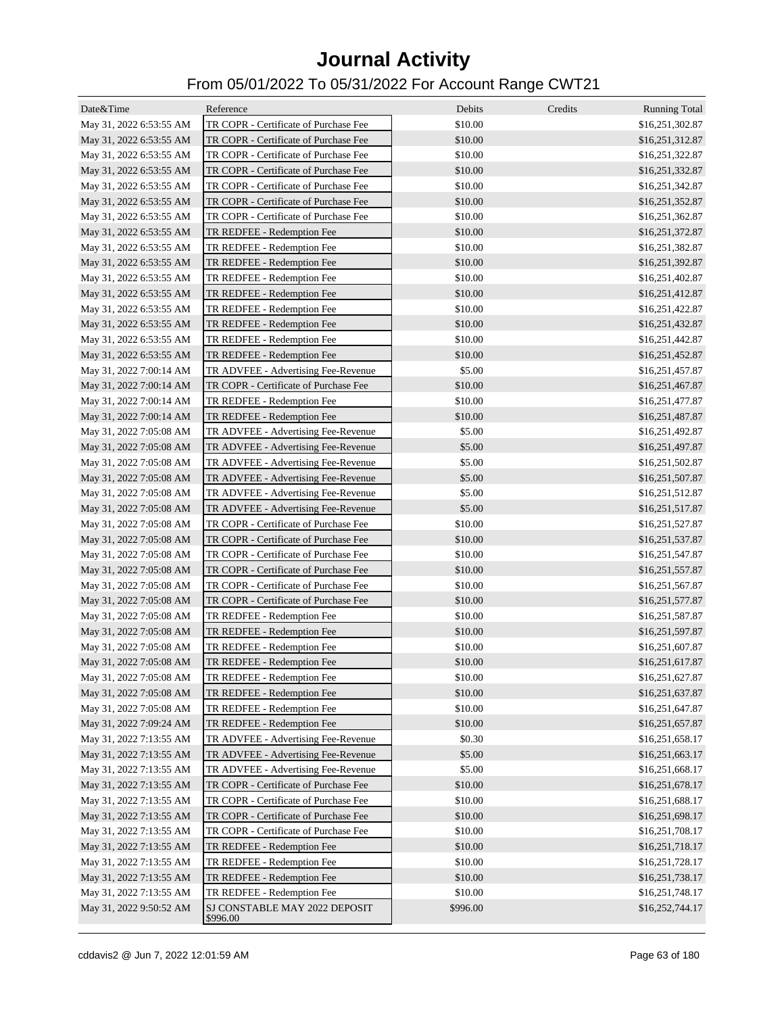| Date&Time               | Reference                                 | Debits   | Credits | <b>Running Total</b> |
|-------------------------|-------------------------------------------|----------|---------|----------------------|
| May 31, 2022 6:53:55 AM | TR COPR - Certificate of Purchase Fee     | \$10.00  |         | \$16,251,302.87      |
| May 31, 2022 6:53:55 AM | TR COPR - Certificate of Purchase Fee     | \$10.00  |         | \$16,251,312.87      |
| May 31, 2022 6:53:55 AM | TR COPR - Certificate of Purchase Fee     | \$10.00  |         | \$16,251,322.87      |
| May 31, 2022 6:53:55 AM | TR COPR - Certificate of Purchase Fee     | \$10.00  |         | \$16,251,332.87      |
| May 31, 2022 6:53:55 AM | TR COPR - Certificate of Purchase Fee     | \$10.00  |         | \$16,251,342.87      |
| May 31, 2022 6:53:55 AM | TR COPR - Certificate of Purchase Fee     | \$10.00  |         | \$16,251,352.87      |
| May 31, 2022 6:53:55 AM | TR COPR - Certificate of Purchase Fee     | \$10.00  |         | \$16,251,362.87      |
| May 31, 2022 6:53:55 AM | TR REDFEE - Redemption Fee                | \$10.00  |         | \$16,251,372.87      |
| May 31, 2022 6:53:55 AM | TR REDFEE - Redemption Fee                | \$10.00  |         | \$16,251,382.87      |
| May 31, 2022 6:53:55 AM | TR REDFEE - Redemption Fee                | \$10.00  |         | \$16,251,392.87      |
| May 31, 2022 6:53:55 AM | TR REDFEE - Redemption Fee                | \$10.00  |         | \$16,251,402.87      |
| May 31, 2022 6:53:55 AM | TR REDFEE - Redemption Fee                | \$10.00  |         | \$16,251,412.87      |
| May 31, 2022 6:53:55 AM | TR REDFEE - Redemption Fee                | \$10.00  |         | \$16,251,422.87      |
| May 31, 2022 6:53:55 AM | TR REDFEE - Redemption Fee                | \$10.00  |         | \$16,251,432.87      |
| May 31, 2022 6:53:55 AM | TR REDFEE - Redemption Fee                | \$10.00  |         | \$16,251,442.87      |
| May 31, 2022 6:53:55 AM | TR REDFEE - Redemption Fee                | \$10.00  |         | \$16,251,452.87      |
| May 31, 2022 7:00:14 AM | TR ADVFEE - Advertising Fee-Revenue       | \$5.00   |         | \$16,251,457.87      |
| May 31, 2022 7:00:14 AM | TR COPR - Certificate of Purchase Fee     | \$10.00  |         | \$16,251,467.87      |
| May 31, 2022 7:00:14 AM | TR REDFEE - Redemption Fee                | \$10.00  |         | \$16,251,477.87      |
| May 31, 2022 7:00:14 AM | TR REDFEE - Redemption Fee                | \$10.00  |         | \$16,251,487.87      |
| May 31, 2022 7:05:08 AM | TR ADVFEE - Advertising Fee-Revenue       | \$5.00   |         | \$16,251,492.87      |
| May 31, 2022 7:05:08 AM | TR ADVFEE - Advertising Fee-Revenue       | \$5.00   |         | \$16,251,497.87      |
| May 31, 2022 7:05:08 AM | TR ADVFEE - Advertising Fee-Revenue       | \$5.00   |         | \$16,251,502.87      |
| May 31, 2022 7:05:08 AM | TR ADVFEE - Advertising Fee-Revenue       | \$5.00   |         | \$16,251,507.87      |
| May 31, 2022 7:05:08 AM | TR ADVFEE - Advertising Fee-Revenue       | \$5.00   |         | \$16,251,512.87      |
| May 31, 2022 7:05:08 AM | TR ADVFEE - Advertising Fee-Revenue       | \$5.00   |         | \$16,251,517.87      |
| May 31, 2022 7:05:08 AM | TR COPR - Certificate of Purchase Fee     | \$10.00  |         | \$16,251,527.87      |
| May 31, 2022 7:05:08 AM | TR COPR - Certificate of Purchase Fee     | \$10.00  |         | \$16,251,537.87      |
| May 31, 2022 7:05:08 AM | TR COPR - Certificate of Purchase Fee     | \$10.00  |         | \$16,251,547.87      |
| May 31, 2022 7:05:08 AM | TR COPR - Certificate of Purchase Fee     | \$10.00  |         | \$16,251,557.87      |
| May 31, 2022 7:05:08 AM | TR COPR - Certificate of Purchase Fee     | \$10.00  |         | \$16,251,567.87      |
| May 31, 2022 7:05:08 AM | TR COPR - Certificate of Purchase Fee     | \$10.00  |         | \$16,251,577.87      |
| May 31, 2022 7:05:08 AM | TR REDFEE - Redemption Fee                | \$10.00  |         | \$16,251,587.87      |
| May 31, 2022 7:05:08 AM | TR REDFEE - Redemption Fee                | \$10.00  |         | \$16,251,597.87      |
| May 31, 2022 7:05:08 AM | TR REDFEE - Redemption Fee                | \$10.00  |         | \$16,251,607.87      |
| May 31, 2022 7:05:08 AM | TR REDFEE - Redemption Fee                | \$10.00  |         | \$16,251,617.87      |
| May 31, 2022 7:05:08 AM | TR REDFEE - Redemption Fee                | \$10.00  |         | \$16,251,627.87      |
| May 31, 2022 7:05:08 AM | TR REDFEE - Redemption Fee                | \$10.00  |         | \$16,251,637.87      |
| May 31, 2022 7:05:08 AM | TR REDFEE - Redemption Fee                | \$10.00  |         | \$16,251,647.87      |
| May 31, 2022 7:09:24 AM | TR REDFEE - Redemption Fee                | \$10.00  |         | \$16,251,657.87      |
| May 31, 2022 7:13:55 AM | TR ADVFEE - Advertising Fee-Revenue       | \$0.30   |         | \$16,251,658.17      |
| May 31, 2022 7:13:55 AM | TR ADVFEE - Advertising Fee-Revenue       | \$5.00   |         | \$16,251,663.17      |
| May 31, 2022 7:13:55 AM | TR ADVFEE - Advertising Fee-Revenue       | \$5.00   |         | \$16,251,668.17      |
| May 31, 2022 7:13:55 AM | TR COPR - Certificate of Purchase Fee     | \$10.00  |         | \$16,251,678.17      |
| May 31, 2022 7:13:55 AM | TR COPR - Certificate of Purchase Fee     | \$10.00  |         | \$16,251,688.17      |
| May 31, 2022 7:13:55 AM | TR COPR - Certificate of Purchase Fee     | \$10.00  |         | \$16,251,698.17      |
| May 31, 2022 7:13:55 AM | TR COPR - Certificate of Purchase Fee     | \$10.00  |         | \$16,251,708.17      |
| May 31, 2022 7:13:55 AM | TR REDFEE - Redemption Fee                | \$10.00  |         | \$16,251,718.17      |
| May 31, 2022 7:13:55 AM | TR REDFEE - Redemption Fee                | \$10.00  |         | \$16,251,728.17      |
| May 31, 2022 7:13:55 AM | TR REDFEE - Redemption Fee                | \$10.00  |         | \$16,251,738.17      |
| May 31, 2022 7:13:55 AM | TR REDFEE - Redemption Fee                | \$10.00  |         | \$16,251,748.17      |
| May 31, 2022 9:50:52 AM | SJ CONSTABLE MAY 2022 DEPOSIT<br>\$996.00 | \$996.00 |         | \$16,252,744.17      |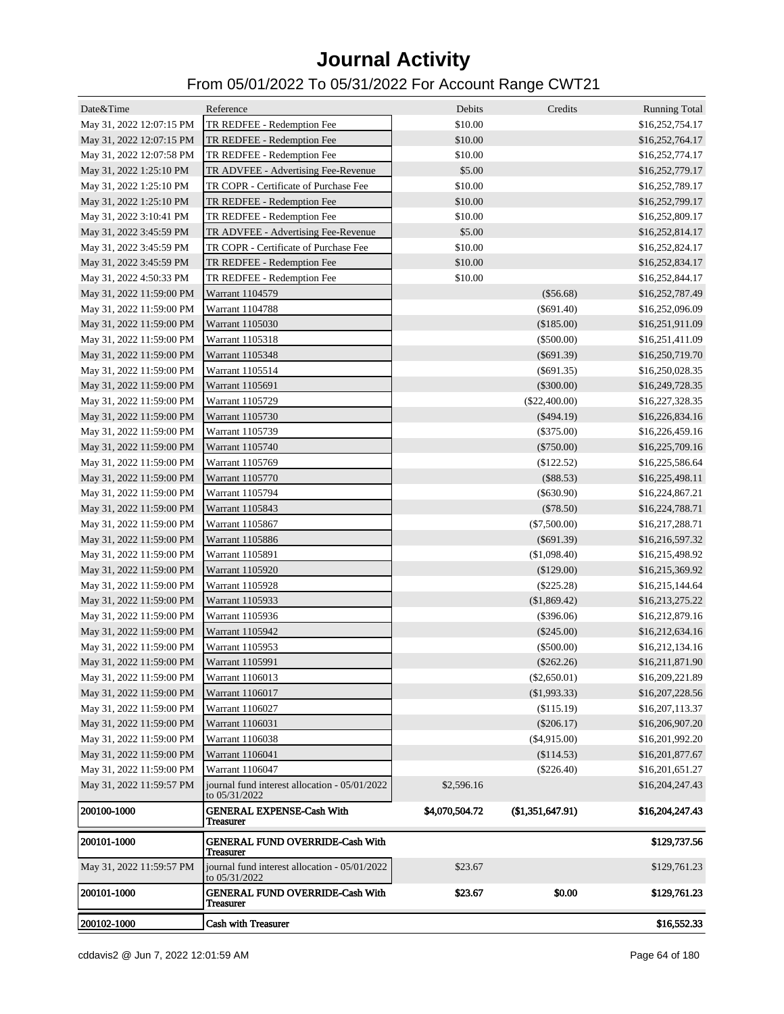| Date&Time                | Reference                                                      | Debits         | Credits          | <b>Running Total</b> |
|--------------------------|----------------------------------------------------------------|----------------|------------------|----------------------|
| May 31, 2022 12:07:15 PM | TR REDFEE - Redemption Fee                                     | \$10.00        |                  | \$16,252,754.17      |
| May 31, 2022 12:07:15 PM | TR REDFEE - Redemption Fee                                     | \$10.00        |                  | \$16,252,764.17      |
| May 31, 2022 12:07:58 PM | TR REDFEE - Redemption Fee                                     | \$10.00        |                  | \$16,252,774.17      |
| May 31, 2022 1:25:10 PM  | TR ADVFEE - Advertising Fee-Revenue                            | \$5.00         |                  | \$16,252,779.17      |
| May 31, 2022 1:25:10 PM  | TR COPR - Certificate of Purchase Fee                          | \$10.00        |                  | \$16,252,789.17      |
| May 31, 2022 1:25:10 PM  | TR REDFEE - Redemption Fee                                     | \$10.00        |                  | \$16,252,799.17      |
| May 31, 2022 3:10:41 PM  | TR REDFEE - Redemption Fee                                     | \$10.00        |                  | \$16,252,809.17      |
| May 31, 2022 3:45:59 PM  | TR ADVFEE - Advertising Fee-Revenue                            | \$5.00         |                  | \$16,252,814.17      |
| May 31, 2022 3:45:59 PM  | TR COPR - Certificate of Purchase Fee                          | \$10.00        |                  | \$16,252,824.17      |
| May 31, 2022 3:45:59 PM  | TR REDFEE - Redemption Fee                                     | \$10.00        |                  | \$16,252,834.17      |
| May 31, 2022 4:50:33 PM  | TR REDFEE - Redemption Fee                                     | \$10.00        |                  | \$16,252,844.17      |
| May 31, 2022 11:59:00 PM | Warrant 1104579                                                |                | $(\$56.68)$      | \$16,252,787.49      |
| May 31, 2022 11:59:00 PM | Warrant 1104788                                                |                | $(\$691.40)$     | \$16,252,096.09      |
| May 31, 2022 11:59:00 PM | Warrant 1105030                                                |                | (\$185.00)       | \$16,251,911.09      |
| May 31, 2022 11:59:00 PM | Warrant 1105318                                                |                | $(\$500.00)$     | \$16,251,411.09      |
| May 31, 2022 11:59:00 PM | Warrant 1105348                                                |                | $(\$691.39)$     | \$16,250,719.70      |
| May 31, 2022 11:59:00 PM | Warrant 1105514                                                |                | $(\$691.35)$     | \$16,250,028.35      |
| May 31, 2022 11:59:00 PM | Warrant 1105691                                                |                | $(\$300.00)$     | \$16,249,728.35      |
| May 31, 2022 11:59:00 PM | Warrant 1105729                                                |                | $(\$22,400.00)$  | \$16,227,328.35      |
| May 31, 2022 11:59:00 PM | Warrant 1105730                                                |                | $(\$494.19)$     | \$16,226,834.16      |
| May 31, 2022 11:59:00 PM | Warrant 1105739                                                |                | $(\$375.00)$     | \$16,226,459.16      |
| May 31, 2022 11:59:00 PM | Warrant 1105740                                                |                | $(\$750.00)$     | \$16,225,709.16      |
| May 31, 2022 11:59:00 PM | Warrant 1105769                                                |                | $(\$122.52)$     | \$16,225,586.64      |
| May 31, 2022 11:59:00 PM | Warrant 1105770                                                |                | (\$88.53)        | \$16,225,498.11      |
| May 31, 2022 11:59:00 PM | Warrant 1105794                                                |                | $(\$630.90)$     | \$16,224,867.21      |
| May 31, 2022 11:59:00 PM | Warrant 1105843                                                |                | $(\$78.50)$      | \$16,224,788.71      |
| May 31, 2022 11:59:00 PM | Warrant 1105867                                                |                | $(\$7,500.00)$   | \$16,217,288.71      |
| May 31, 2022 11:59:00 PM | Warrant 1105886                                                |                | $(\$691.39)$     | \$16,216,597.32      |
| May 31, 2022 11:59:00 PM | Warrant 1105891                                                |                | (\$1,098.40)     | \$16,215,498.92      |
| May 31, 2022 11:59:00 PM | Warrant 1105920                                                |                | (\$129.00)       | \$16,215,369.92      |
| May 31, 2022 11:59:00 PM | Warrant 1105928                                                |                | $(\$225.28)$     | \$16,215,144.64      |
| May 31, 2022 11:59:00 PM | Warrant 1105933                                                |                | (\$1,869.42)     | \$16,213,275.22      |
| May 31, 2022 11:59:00 PM | Warrant 1105936                                                |                | $(\$396.06)$     | \$16,212,879.16      |
| May 31, 2022 11:59:00 PM | Warrant 1105942                                                |                | $(\$245.00)$     | \$16,212,634.16      |
| May 31, 2022 11:59:00 PM | Warrant 1105953                                                |                | $(\$500.00)$     | \$16,212,134.16      |
| May 31, 2022 11:59:00 PM | Warrant 1105991                                                |                | $(\$262.26)$     | \$16,211,871.90      |
| May 31, 2022 11:59:00 PM | Warrant 1106013                                                |                | $(\$2,650.01)$   | \$16,209,221.89      |
| May 31, 2022 11:59:00 PM | Warrant 1106017                                                |                | (\$1,993.33)     | \$16,207,228.56      |
| May 31, 2022 11:59:00 PM | Warrant 1106027                                                |                | (\$115.19)       | \$16,207,113.37      |
| May 31, 2022 11:59:00 PM | Warrant 1106031                                                |                | $(\$206.17)$     | \$16,206,907.20      |
| May 31, 2022 11:59:00 PM | Warrant 1106038                                                |                | ( \$4, 915.00)   | \$16,201,992.20      |
| May 31, 2022 11:59:00 PM | Warrant 1106041                                                |                | (\$114.53)       | \$16,201,877.67      |
| May 31, 2022 11:59:00 PM | Warrant 1106047                                                |                | $(\$226.40)$     | \$16,201,651.27      |
| May 31, 2022 11:59:57 PM | journal fund interest allocation - 05/01/2022<br>to 05/31/2022 | \$2,596.16     |                  | \$16,204,247.43      |
| 200100-1000              | <b>GENERAL EXPENSE-Cash With</b><br>Treasurer                  | \$4,070,504.72 | (\$1,351,647.91) | \$16,204,247.43      |
| 200101-1000              | <b>GENERAL FUND OVERRIDE-Cash With</b><br><b>Treasurer</b>     |                |                  | \$129,737.56         |
| May 31, 2022 11:59:57 PM | journal fund interest allocation - 05/01/2022<br>to 05/31/2022 | \$23.67        |                  | \$129,761.23         |
| <b>200101-1000</b>       | <b>GENERAL FUND OVERRIDE-Cash With</b><br><b>Treasurer</b>     | \$23.67        | \$0.00           | \$129,761.23         |
| <b>200102-1000</b>       | <b>Cash with Treasurer</b>                                     |                |                  | \$16,552.33          |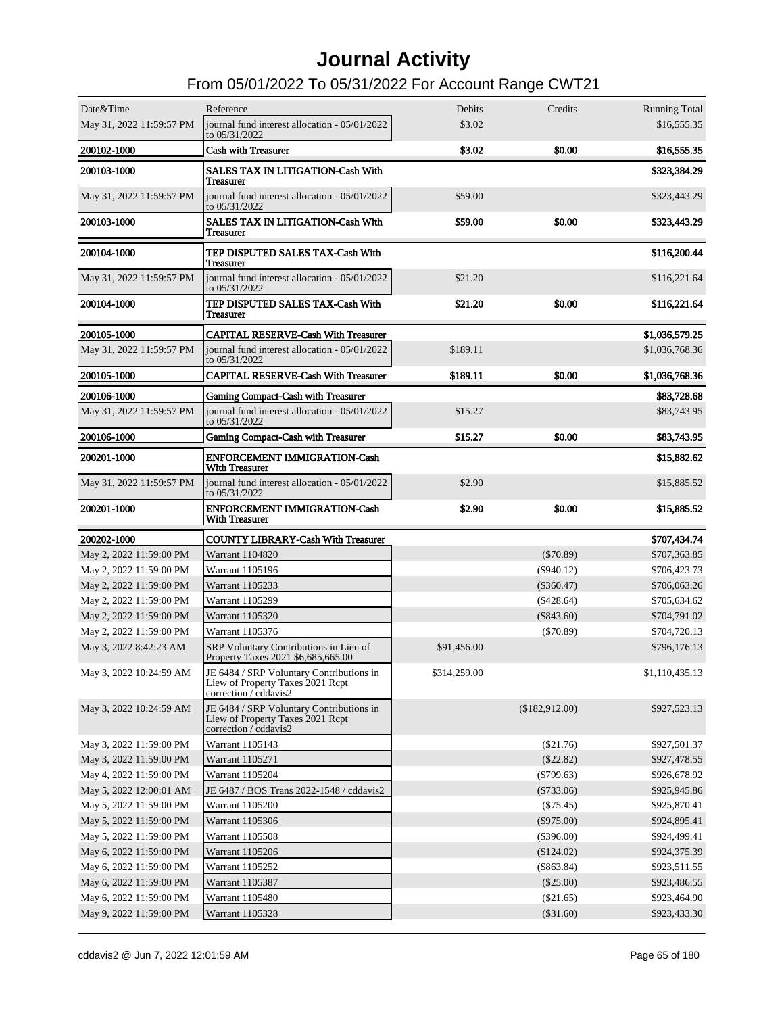| Date&Time                | Reference                                                                                             | Debits       | Credits        | <b>Running Total</b> |
|--------------------------|-------------------------------------------------------------------------------------------------------|--------------|----------------|----------------------|
| May 31, 2022 11:59:57 PM | journal fund interest allocation - 05/01/2022<br>to 05/31/2022                                        | \$3.02       |                | \$16,555.35          |
| 200102-1000              | <b>Cash with Treasurer</b>                                                                            | \$3.02       | \$0.00         | \$16,555.35          |
| 200103-1000              | <b>SALES TAX IN LITIGATION-Cash With</b><br><b>Treasurer</b>                                          |              |                | \$323,384.29         |
| May 31, 2022 11:59:57 PM | journal fund interest allocation - 05/01/2022<br>to 05/31/2022                                        | \$59.00      |                | \$323,443.29         |
| 200103-1000              | <b>SALES TAX IN LITIGATION-Cash With</b><br><b>Treasurer</b>                                          | \$59.00      | \$0.00         | \$323,443.29         |
| 200104-1000              | TEP DISPUTED SALES TAX-Cash With<br><b>Treasurer</b>                                                  |              |                | \$116,200.44         |
| May 31, 2022 11:59:57 PM | journal fund interest allocation - 05/01/2022<br>to 05/31/2022                                        | \$21.20      |                | \$116,221.64         |
| 200104-1000              | TEP DISPUTED SALES TAX-Cash With<br><b>Treasurer</b>                                                  | \$21.20      | \$0.00         | \$116,221.64         |
| 200105-1000              | <b>CAPITAL RESERVE-Cash With Treasurer</b>                                                            |              |                | \$1,036,579.25       |
| May 31, 2022 11:59:57 PM | journal fund interest allocation - 05/01/2022<br>to 05/31/2022                                        | \$189.11     |                | \$1,036,768.36       |
| 200105-1000              | <b>CAPITAL RESERVE-Cash With Treasurer</b>                                                            | \$189.11     | \$0.00         | \$1,036,768.36       |
| 200106-1000              | <b>Gaming Compact-Cash with Treasurer</b>                                                             |              |                | \$83,728.68          |
| May 31, 2022 11:59:57 PM | journal fund interest allocation - 05/01/2022<br>to 05/31/2022                                        | \$15.27      |                | \$83,743.95          |
| 200106-1000              | <b>Gaming Compact-Cash with Treasurer</b>                                                             | \$15.27      | \$0.00         | \$83,743.95          |
| 200201-1000              | <b>ENFORCEMENT IMMIGRATION-Cash</b><br><b>With Treasurer</b>                                          |              |                | \$15,882.62          |
| May 31, 2022 11:59:57 PM | journal fund interest allocation - 05/01/2022<br>to 05/31/2022                                        | \$2.90       |                | \$15,885.52          |
| 200201-1000              | <b>ENFORCEMENT IMMIGRATION-Cash</b><br><b>With Treasurer</b>                                          | \$2.90       | \$0.00         | \$15,885.52          |
| 200202-1000              | <b>COUNTY LIBRARY-Cash With Treasurer</b>                                                             |              |                | \$707,434.74         |
| May 2, 2022 11:59:00 PM  | Warrant 1104820                                                                                       |              | $(\$70.89)$    | \$707,363.85         |
| May 2, 2022 11:59:00 PM  | Warrant 1105196                                                                                       |              | $(\$940.12)$   | \$706,423.73         |
| May 2, 2022 11:59:00 PM  | Warrant 1105233                                                                                       |              | $(\$360.47)$   | \$706,063.26         |
| May 2, 2022 11:59:00 PM  | Warrant 1105299                                                                                       |              | $(\$428.64)$   | \$705,634.62         |
| May 2, 2022 11:59:00 PM  | Warrant 1105320                                                                                       |              | $(\$843.60)$   | \$704,791.02         |
| May 2, 2022 11:59:00 PM  | Warrant 1105376                                                                                       |              | (\$70.89)      | \$704,720.13         |
| May 3, 2022 8:42:23 AM   | SRP Voluntary Contributions in Lieu of<br>Property Taxes 2021 \$6,685,665.00                          | \$91,456.00  |                | \$796,176.13         |
| May 3, 2022 10:24:59 AM  | JE 6484 / SRP Voluntary Contributions in<br>Liew of Property Taxes 2021 Rcpt<br>correction / cddavis2 | \$314,259.00 |                | \$1,110,435.13       |
| May 3, 2022 10:24:59 AM  | JE 6484 / SRP Voluntary Contributions in<br>Liew of Property Taxes 2021 Rcpt<br>correction / cddavis2 |              | (\$182,912.00) | \$927,523.13         |
| May 3, 2022 11:59:00 PM  | Warrant 1105143                                                                                       |              | $(\$21.76)$    | \$927,501.37         |
| May 3, 2022 11:59:00 PM  | Warrant 1105271                                                                                       |              | $(\$22.82)$    | \$927,478.55         |
| May 4, 2022 11:59:00 PM  | Warrant 1105204                                                                                       |              | $(\$799.63)$   | \$926,678.92         |
| May 5, 2022 12:00:01 AM  | JE 6487 / BOS Trans 2022-1548 / cddavis2                                                              |              | $(\$733.06)$   | \$925,945.86         |
| May 5, 2022 11:59:00 PM  | Warrant 1105200                                                                                       |              | $(\$75.45)$    | \$925,870.41         |
| May 5, 2022 11:59:00 PM  | Warrant 1105306                                                                                       |              | $(\$975.00)$   | \$924,895.41         |
| May 5, 2022 11:59:00 PM  | Warrant 1105508                                                                                       |              | $(\$396.00)$   | \$924,499.41         |
| May 6, 2022 11:59:00 PM  | Warrant 1105206                                                                                       |              | $(\$124.02)$   | \$924,375.39         |
| May 6, 2022 11:59:00 PM  | Warrant 1105252                                                                                       |              | $(\$863.84)$   | \$923,511.55         |
| May 6, 2022 11:59:00 PM  | Warrant 1105387                                                                                       |              | $(\$25.00)$    | \$923,486.55         |
| May 6, 2022 11:59:00 PM  |                                                                                                       |              |                |                      |
|                          | Warrant 1105480                                                                                       |              | $(\$21.65)$    | \$923,464.90         |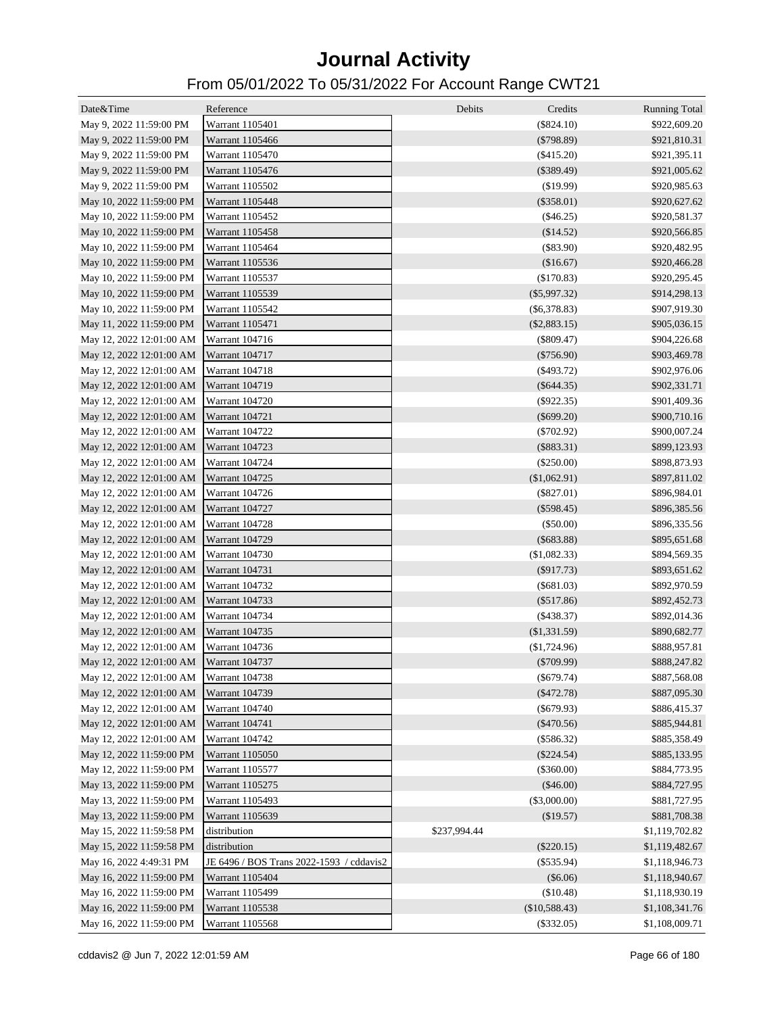| Date&Time                               | Reference                                | Debits<br>Credits  | <b>Running Total</b> |
|-----------------------------------------|------------------------------------------|--------------------|----------------------|
| May 9, 2022 11:59:00 PM                 | Warrant 1105401                          | $(\$824.10)$       | \$922,609.20         |
| May 9, 2022 11:59:00 PM                 | Warrant 1105466                          | ( \$798.89)        | \$921,810.31         |
| May 9, 2022 11:59:00 PM                 | Warrant 1105470                          | $(\$415.20)$       | \$921,395.11         |
| May 9, 2022 11:59:00 PM                 | Warrant 1105476                          | $(\$389.49)$       | \$921,005.62         |
| May 9, 2022 11:59:00 PM                 | Warrant 1105502                          | (\$19.99)          | \$920,985.63         |
| May 10, 2022 11:59:00 PM                | Warrant 1105448                          | $(\$358.01)$       | \$920,627.62         |
| May 10, 2022 11:59:00 PM                | Warrant 1105452                          | (\$46.25)          | \$920,581.37         |
| May 10, 2022 11:59:00 PM                | Warrant 1105458                          | (\$14.52)          | \$920,566.85         |
| May 10, 2022 11:59:00 PM                | Warrant 1105464                          | (\$83.90)          | \$920,482.95         |
| May 10, 2022 11:59:00 PM                | Warrant 1105536                          | (\$16.67)          | \$920,466.28         |
| May 10, 2022 11:59:00 PM                | Warrant 1105537                          | (\$170.83)         | \$920,295.45         |
| May 10, 2022 11:59:00 PM                | Warrant 1105539                          | $(\$5,997.32)$     | \$914,298.13         |
| May 10, 2022 11:59:00 PM                | Warrant 1105542                          | $($ \$6,378.83 $)$ | \$907,919.30         |
| May 11, 2022 11:59:00 PM                | Warrant 1105471                          | $(\$2,883.15)$     | \$905,036.15         |
| May 12, 2022 12:01:00 AM                | Warrant 104716                           | $(\$809.47)$       | \$904,226.68         |
| May 12, 2022 12:01:00 AM                | Warrant 104717                           | $(\$756.90)$       | \$903,469.78         |
| May 12, 2022 12:01:00 AM                | Warrant 104718                           | $(\$493.72)$       | \$902,976.06         |
| May 12, 2022 12:01:00 AM                | Warrant 104719                           | $(\$644.35)$       | \$902,331.71         |
| May 12, 2022 12:01:00 AM                | Warrant 104720                           | $(\$922.35)$       | \$901,409.36         |
| May 12, 2022 12:01:00 AM                | <b>Warrant 104721</b>                    | $(\$699.20)$       | \$900,710.16         |
| May 12, 2022 12:01:00 AM                | Warrant 104722                           | $(\$702.92)$       | \$900,007.24         |
| May 12, 2022 12:01:00 AM                | Warrant 104723                           | $(\$883.31)$       | \$899,123.93         |
| May 12, 2022 12:01:00 AM                | Warrant 104724                           | (\$250.00)         | \$898,873.93         |
| May 12, 2022 12:01:00 AM                | Warrant 104725                           | (\$1,062.91)       | \$897,811.02         |
| May 12, 2022 12:01:00 AM                | Warrant 104726                           | $(\$827.01)$       | \$896,984.01         |
| May 12, 2022 12:01:00 AM                | Warrant 104727                           | $(\$598.45)$       | \$896,385.56         |
| May 12, 2022 12:01:00 AM                | Warrant 104728                           | (\$50.00)          | \$896,335.56         |
| May 12, 2022 12:01:00 AM                | Warrant 104729                           | $(\$683.88)$       | \$895,651.68         |
| May 12, 2022 12:01:00 AM                | Warrant 104730                           | (\$1,082.33)       | \$894,569.35         |
| May 12, 2022 12:01:00 AM                | Warrant 104731                           | (\$917.73)         | \$893,651.62         |
| May 12, 2022 12:01:00 AM                | Warrant 104732                           | (\$681.03)         | \$892,970.59         |
| May 12, 2022 12:01:00 AM                | Warrant 104733                           | $(\$517.86)$       | \$892,452.73         |
| May 12, 2022 12:01:00 AM                | Warrant 104734                           | $(\$438.37)$       | \$892,014.36         |
| May 12, 2022 12:01:00 AM                | Warrant 104735                           | (\$1,331.59)       | \$890,682.77         |
| May 12, 2022 12:01:00 AM                | Warrant 104736                           | (\$1,724.96)       | \$888,957.81         |
| May 12, 2022 12:01:00 AM Warrant 104737 |                                          | $(\$709.99)$       | \$888,247.82         |
| May 12, 2022 12:01:00 AM                | Warrant 104738                           | $(\$679.74)$       | \$887,568.08         |
| May 12, 2022 12:01:00 AM                | Warrant 104739                           | $(\$472.78)$       | \$887,095.30         |
| May 12, 2022 12:01:00 AM                | Warrant 104740                           | $(\$679.93)$       | \$886,415.37         |
| May 12, 2022 12:01:00 AM                | Warrant 104741                           | $(\$470.56)$       | \$885,944.81         |
| May 12, 2022 12:01:00 AM                | Warrant 104742                           | $(\$586.32)$       | \$885,358.49         |
| May 12, 2022 11:59:00 PM                | Warrant 1105050                          | $(\$224.54)$       | \$885,133.95         |
| May 12, 2022 11:59:00 PM                | Warrant 1105577                          | $(\$360.00)$       | \$884,773.95         |
| May 13, 2022 11:59:00 PM                | Warrant 1105275                          | $(\$46.00)$        | \$884,727.95         |
| May 13, 2022 11:59:00 PM                | Warrant 1105493                          | $(\$3,000.00)$     | \$881,727.95         |
| May 13, 2022 11:59:00 PM                | Warrant 1105639                          | (\$19.57)          | \$881,708.38         |
| May 15, 2022 11:59:58 PM                | distribution                             | \$237,994.44       | \$1,119,702.82       |
| May 15, 2022 11:59:58 PM                | distribution                             | $(\$220.15)$       | \$1,119,482.67       |
| May 16, 2022 4:49:31 PM                 | JE 6496 / BOS Trans 2022-1593 / cddavis2 | $(\$535.94)$       | \$1,118,946.73       |
| May 16, 2022 11:59:00 PM                | Warrant 1105404                          | (\$6.06)           | \$1,118,940.67       |
| May 16, 2022 11:59:00 PM                | Warrant 1105499                          | (\$10.48)          | \$1,118,930.19       |
| May 16, 2022 11:59:00 PM                | Warrant 1105538                          | (\$10,588.43)      | \$1,108,341.76       |
| May 16, 2022 11:59:00 PM                | Warrant 1105568                          | $(\$332.05)$       | \$1,108,009.71       |
|                                         |                                          |                    |                      |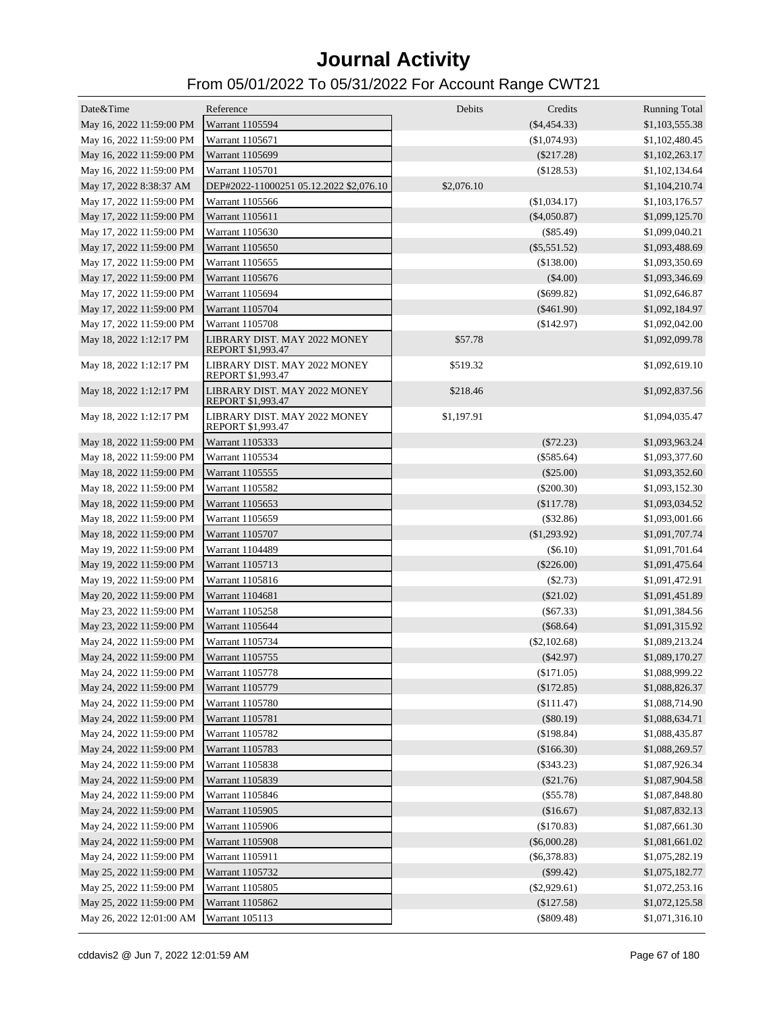| Date&Time                | Reference                                                | Debits     | Credits        | <b>Running Total</b> |
|--------------------------|----------------------------------------------------------|------------|----------------|----------------------|
| May 16, 2022 11:59:00 PM | Warrant 1105594                                          |            | $(\$4,454.33)$ | \$1,103,555.38       |
| May 16, 2022 11:59:00 PM | Warrant 1105671                                          |            | (\$1,074.93)   | \$1,102,480.45       |
| May 16, 2022 11:59:00 PM | Warrant 1105699                                          |            | $(\$217.28)$   | \$1,102,263.17       |
| May 16, 2022 11:59:00 PM | Warrant 1105701                                          |            | (\$128.53)     | \$1,102,134.64       |
| May 17, 2022 8:38:37 AM  | DEP#2022-11000251 05.12.2022 \$2,076.10                  | \$2,076.10 |                | \$1,104,210.74       |
| May 17, 2022 11:59:00 PM | Warrant 1105566                                          |            | (\$1,034.17)   | \$1,103,176.57       |
| May 17, 2022 11:59:00 PM | Warrant 1105611                                          |            | $(\$4,050.87)$ | \$1,099,125.70       |
| May 17, 2022 11:59:00 PM | Warrant 1105630                                          |            | $(\$85.49)$    | \$1,099,040.21       |
| May 17, 2022 11:59:00 PM | Warrant 1105650                                          |            | $(\$5,551.52)$ | \$1,093,488.69       |
| May 17, 2022 11:59:00 PM | Warrant 1105655                                          |            | (\$138.00)     | \$1,093,350.69       |
| May 17, 2022 11:59:00 PM | Warrant 1105676                                          |            | $(\$4.00)$     | \$1,093,346.69       |
| May 17, 2022 11:59:00 PM | Warrant 1105694                                          |            | $(\$699.82)$   | \$1,092,646.87       |
| May 17, 2022 11:59:00 PM | Warrant 1105704                                          |            | $(\$461.90)$   | \$1,092,184.97       |
| May 17, 2022 11:59:00 PM | Warrant 1105708                                          |            | (\$142.97)     | \$1,092,042.00       |
| May 18, 2022 1:12:17 PM  | LIBRARY DIST. MAY 2022 MONEY                             | \$57.78    |                | \$1,092,099.78       |
|                          | REPORT \$1,993.47                                        |            |                |                      |
| May 18, 2022 1:12:17 PM  | LIBRARY DIST. MAY 2022 MONEY<br>REPORT \$1,993.47        | \$519.32   |                | \$1,092,619.10       |
| May 18, 2022 1:12:17 PM  | LIBRARY DIST. MAY 2022 MONEY<br><b>REPORT \$1,993.47</b> | \$218.46   |                | \$1,092,837.56       |
| May 18, 2022 1:12:17 PM  | LIBRARY DIST. MAY 2022 MONEY<br>REPORT \$1,993.47        | \$1,197.91 |                | \$1,094,035.47       |
| May 18, 2022 11:59:00 PM | Warrant 1105333                                          |            | $(\$72.23)$    | \$1,093,963.24       |
| May 18, 2022 11:59:00 PM | Warrant 1105534                                          |            | $(\$585.64)$   | \$1,093,377.60       |
| May 18, 2022 11:59:00 PM | Warrant 1105555                                          |            | $(\$25.00)$    | \$1,093,352.60       |
| May 18, 2022 11:59:00 PM | Warrant 1105582                                          |            | $(\$200.30)$   | \$1,093,152.30       |
| May 18, 2022 11:59:00 PM | Warrant 1105653                                          |            | (\$117.78)     | \$1,093,034.52       |
| May 18, 2022 11:59:00 PM | Warrant 1105659                                          |            | $(\$32.86)$    | \$1,093,001.66       |
| May 18, 2022 11:59:00 PM | Warrant 1105707                                          |            | $(\$1,293.92)$ | \$1,091,707.74       |
| May 19, 2022 11:59:00 PM | Warrant 1104489                                          |            | $(\$6.10)$     | \$1,091,701.64       |
| May 19, 2022 11:59:00 PM | Warrant 1105713                                          |            | $(\$226.00)$   | \$1,091,475.64       |
| May 19, 2022 11:59:00 PM | Warrant 1105816                                          |            | $(\$2.73)$     | \$1,091,472.91       |
| May 20, 2022 11:59:00 PM | Warrant 1104681                                          |            | $(\$21.02)$    | \$1,091,451.89       |
| May 23, 2022 11:59:00 PM | Warrant 1105258                                          |            | $(\$67.33)$    | \$1,091,384.56       |
| May 23, 2022 11:59:00 PM | Warrant 1105644                                          |            | $(\$68.64)$    | \$1,091,315.92       |
| May 24, 2022 11:59:00 PM | Warrant 1105734                                          |            | $(\$2,102.68)$ | \$1,089,213.24       |
| May 24, 2022 11:59:00 PM | Warrant 1105755                                          |            | $(\$42.97)$    | \$1,089,170.27       |
| May 24, 2022 11:59:00 PM | Warrant 1105778                                          |            | (\$171.05)     | \$1,088,999.22       |
| May 24, 2022 11:59:00 PM | Warrant 1105779                                          |            | (\$172.85)     | \$1,088,826.37       |
| May 24, 2022 11:59:00 PM | Warrant 1105780                                          |            | (\$111.47)     | \$1,088,714.90       |
| May 24, 2022 11:59:00 PM | Warrant 1105781                                          |            | (\$80.19)      | \$1,088,634.71       |
| May 24, 2022 11:59:00 PM | Warrant 1105782                                          |            | (\$198.84)     | \$1,088,435.87       |
| May 24, 2022 11:59:00 PM | Warrant 1105783                                          |            | (\$166.30)     | \$1,088,269.57       |
| May 24, 2022 11:59:00 PM | Warrant 1105838                                          |            | $(\$343.23)$   | \$1,087,926.34       |
| May 24, 2022 11:59:00 PM | Warrant 1105839                                          |            | (\$21.76)      | \$1,087,904.58       |
| May 24, 2022 11:59:00 PM | Warrant 1105846                                          |            | (\$55.78)      | \$1,087,848.80       |
| May 24, 2022 11:59:00 PM | Warrant 1105905                                          |            | (\$16.67)      | \$1,087,832.13       |
| May 24, 2022 11:59:00 PM | Warrant 1105906                                          |            | (\$170.83)     | \$1,087,661.30       |
| May 24, 2022 11:59:00 PM | Warrant 1105908                                          |            | $(\$6,000.28)$ | \$1,081,661.02       |
| May 24, 2022 11:59:00 PM | Warrant 1105911                                          |            | $(\$6,378.83)$ | \$1,075,282.19       |
| May 25, 2022 11:59:00 PM | Warrant 1105732                                          |            | $(\$99.42)$    | \$1,075,182.77       |
| May 25, 2022 11:59:00 PM | Warrant 1105805                                          |            | $(\$2,929.61)$ | \$1,072,253.16       |
| May 25, 2022 11:59:00 PM | Warrant 1105862                                          |            | (\$127.58)     | \$1,072,125.58       |
| May 26, 2022 12:01:00 AM | Warrant 105113                                           |            | $(\$809.48)$   | \$1,071,316.10       |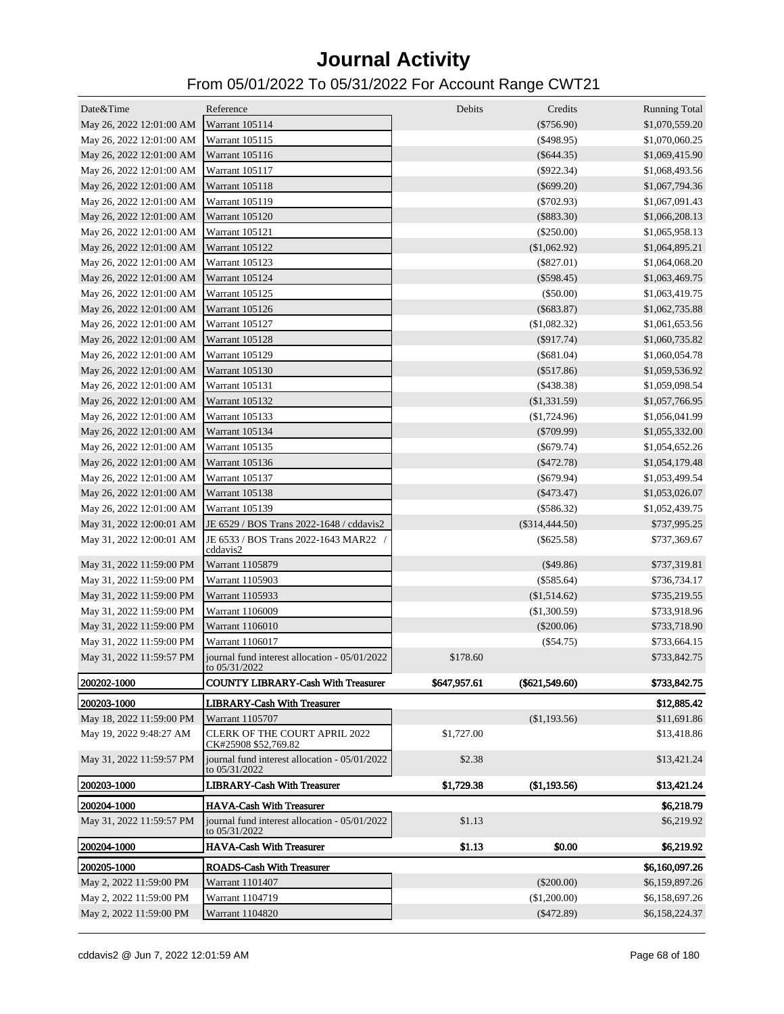| Date&Time                               | Reference                                                      | Debits       | Credits          | <b>Running Total</b> |
|-----------------------------------------|----------------------------------------------------------------|--------------|------------------|----------------------|
| May 26, 2022 12:01:00 AM Warrant 105114 |                                                                |              | $(\$756.90)$     | \$1,070,559.20       |
| May 26, 2022 12:01:00 AM                | Warrant 105115                                                 |              | $(\$498.95)$     | \$1,070,060.25       |
| May 26, 2022 12:01:00 AM                | Warrant 105116                                                 |              | $(\$644.35)$     | \$1,069,415.90       |
| May 26, 2022 12:01:00 AM                | Warrant 105117                                                 |              | $(\$922.34)$     | \$1,068,493.56       |
| May 26, 2022 12:01:00 AM                | Warrant 105118                                                 |              | $(\$699.20)$     | \$1,067,794.36       |
| May 26, 2022 12:01:00 AM                | Warrant 105119                                                 |              | $(\$702.93)$     | \$1,067,091.43       |
| May 26, 2022 12:01:00 AM                | <b>Warrant 105120</b>                                          |              | $(\$883.30)$     | \$1,066,208.13       |
| May 26, 2022 12:01:00 AM                | Warrant 105121                                                 |              | $(\$250.00)$     | \$1,065,958.13       |
| May 26, 2022 12:01:00 AM                | Warrant 105122                                                 |              | (\$1,062.92)     | \$1,064,895.21       |
| May 26, 2022 12:01:00 AM                | <b>Warrant 105123</b>                                          |              | $(\$827.01)$     | \$1,064,068.20       |
| May 26, 2022 12:01:00 AM                | Warrant 105124                                                 |              | $(\$598.45)$     | \$1,063,469.75       |
| May 26, 2022 12:01:00 AM                | Warrant 105125                                                 |              | (\$50.00)        | \$1,063,419.75       |
| May 26, 2022 12:01:00 AM                | Warrant 105126                                                 |              | $(\$683.87)$     | \$1,062,735.88       |
| May 26, 2022 12:01:00 AM                | Warrant 105127                                                 |              | (\$1,082.32)     | \$1,061,653.56       |
| May 26, 2022 12:01:00 AM                | Warrant 105128                                                 |              | $(\$917.74)$     | \$1,060,735.82       |
| May 26, 2022 12:01:00 AM                | <b>Warrant 105129</b>                                          |              | $(\$681.04)$     | \$1,060,054.78       |
| May 26, 2022 12:01:00 AM                | Warrant 105130                                                 |              | (\$517.86)       | \$1,059,536.92       |
| May 26, 2022 12:01:00 AM                | Warrant 105131                                                 |              | $(\$438.38)$     | \$1,059,098.54       |
| May 26, 2022 12:01:00 AM                | Warrant 105132                                                 |              | (\$1,331.59)     | \$1,057,766.95       |
| May 26, 2022 12:01:00 AM                | Warrant 105133                                                 |              | $(\$1,724.96)$   | \$1,056,041.99       |
| May 26, 2022 12:01:00 AM                | Warrant 105134                                                 |              | $(\$709.99)$     | \$1,055,332.00       |
| May 26, 2022 12:01:00 AM                | Warrant 105135                                                 |              | $(\$679.74)$     | \$1,054,652.26       |
| May 26, 2022 12:01:00 AM                | Warrant 105136                                                 |              | $(\$472.78)$     | \$1,054,179.48       |
| May 26, 2022 12:01:00 AM                | Warrant 105137                                                 |              | $(\$679.94)$     | \$1,053,499.54       |
| May 26, 2022 12:01:00 AM                | Warrant 105138                                                 |              | $(\$473.47)$     | \$1,053,026.07       |
| May 26, 2022 12:01:00 AM                | Warrant 105139                                                 |              | $(\$586.32)$     | \$1,052,439.75       |
| May 31, 2022 12:00:01 AM                | JE 6529 / BOS Trans 2022-1648 / cddavis2                       |              | $(\$314,444.50)$ | \$737,995.25         |
| May 31, 2022 12:00:01 AM                | JE 6533 / BOS Trans 2022-1643 MAR22 /<br>cddavis2              |              | $(\$625.58)$     | \$737,369.67         |
| May 31, 2022 11:59:00 PM                | Warrant 1105879                                                |              | (\$49.86)        | \$737,319.81         |
| May 31, 2022 11:59:00 PM                | Warrant 1105903                                                |              | $(\$585.64)$     | \$736,734.17         |
| May 31, 2022 11:59:00 PM                | Warrant 1105933                                                |              | (\$1,514.62)     | \$735,219.55         |
| May 31, 2022 11:59:00 PM                | Warrant 1106009                                                |              | $(\$1,300.59)$   | \$733,918.96         |
| May 31, 2022 11:59:00 PM                | Warrant 1106010                                                |              | $(\$200.06)$     | \$733,718.90         |
| May 31, 2022 11:59:00 PM                | Warrant 1106017                                                |              | (\$54.75)        | \$733,664.15         |
| May 31, 2022 11:59:57 PM                | journal fund interest allocation - 05/01/2022<br>to 05/31/2022 | \$178.60     |                  | \$733,842.75         |
| <b>200202-1000</b>                      | <b>COUNTY LIBRARY-Cash With Treasurer</b>                      | \$647,957.61 | $(\$621,549.60)$ | \$733,842.75         |
| 200203-1000                             | <b>LIBRARY-Cash With Treasurer</b>                             |              |                  | \$12,885.42          |
| May 18, 2022 11:59:00 PM                | Warrant 1105707                                                |              | (\$1,193.56)     | \$11,691.86          |
| May 19, 2022 9:48:27 AM                 | <b>CLERK OF THE COURT APRIL 2022</b><br>CK#25908 \$52,769.82   | \$1,727.00   |                  | \$13,418.86          |
| May 31, 2022 11:59:57 PM                | journal fund interest allocation - 05/01/2022<br>to 05/31/2022 | \$2.38       |                  | \$13,421.24          |
| 200203-1000                             | <b>LIBRARY-Cash With Treasurer</b>                             | \$1,729.38   | (\$1,193.56)     | \$13,421.24          |
| 200204-1000                             | <b>HAVA-Cash With Treasurer</b>                                |              |                  | \$6,218.79           |
| May 31, 2022 11:59:57 PM                | journal fund interest allocation - 05/01/2022<br>to 05/31/2022 | \$1.13       |                  | \$6,219.92           |
| 200204-1000                             | <b>HAVA-Cash With Treasurer</b>                                | \$1.13       | \$0.00           | \$6,219.92           |
| 200205-1000                             | <b>ROADS-Cash With Treasurer</b>                               |              |                  | \$6,160,097.26       |
| May 2, 2022 11:59:00 PM                 | Warrant 1101407                                                |              | $(\$200.00)$     | \$6,159,897.26       |
| May 2, 2022 11:59:00 PM                 | Warrant 1104719                                                |              | (\$1,200.00)     | \$6,158,697.26       |
| May 2, 2022 11:59:00 PM                 | Warrant 1104820                                                |              | $(\$472.89)$     | \$6,158,224.37       |
|                                         |                                                                |              |                  |                      |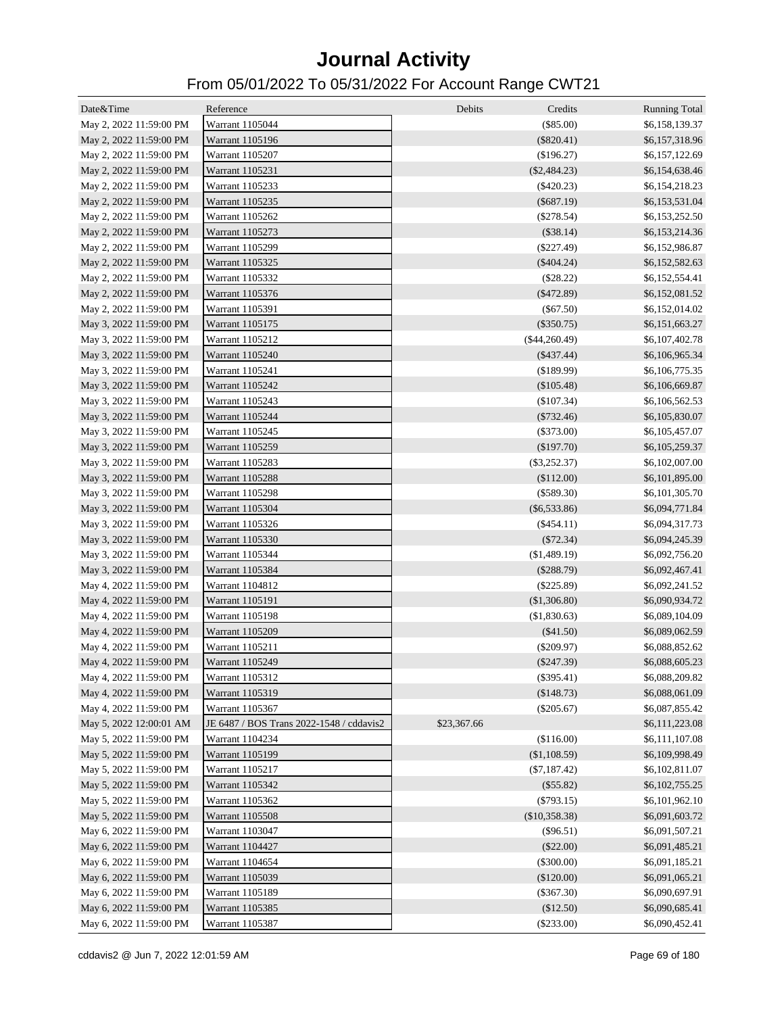| Date&Time               | Reference                                | Debits      | Credits                   | <b>Running Total</b>             |
|-------------------------|------------------------------------------|-------------|---------------------------|----------------------------------|
| May 2, 2022 11:59:00 PM | Warrant 1105044                          |             | (\$85.00)                 | \$6,158,139.37                   |
| May 2, 2022 11:59:00 PM | Warrant 1105196                          |             | $(\$820.41)$              | \$6,157,318.96                   |
| May 2, 2022 11:59:00 PM | Warrant 1105207                          |             | $(\$196.27)$              | \$6,157,122.69                   |
| May 2, 2022 11:59:00 PM | Warrant 1105231                          |             | $(\$2,484.23)$            | \$6,154,638.46                   |
| May 2, 2022 11:59:00 PM | Warrant 1105233                          |             | $(\$420.23)$              | \$6,154,218.23                   |
| May 2, 2022 11:59:00 PM | Warrant 1105235                          |             | $(\$687.19)$              | \$6,153,531.04                   |
|                         |                                          |             |                           |                                  |
| May 2, 2022 11:59:00 PM | Warrant 1105262                          |             | $(\$278.54)$              | \$6,153,252.50<br>\$6,153,214.36 |
| May 2, 2022 11:59:00 PM | Warrant 1105273                          |             | (\$38.14)<br>$(\$227.49)$ |                                  |
| May 2, 2022 11:59:00 PM | Warrant 1105299                          |             |                           | \$6,152,986.87                   |
| May 2, 2022 11:59:00 PM | Warrant 1105325                          |             | $(\$404.24)$              | \$6,152,582.63                   |
| May 2, 2022 11:59:00 PM | Warrant 1105332                          |             | (\$28.22)                 | \$6,152,554.41                   |
| May 2, 2022 11:59:00 PM | Warrant 1105376                          |             | $(\$472.89)$              | \$6,152,081.52                   |
| May 2, 2022 11:59:00 PM | Warrant 1105391                          |             | (\$67.50)                 | \$6,152,014.02                   |
| May 3, 2022 11:59:00 PM | Warrant 1105175                          |             | $(\$350.75)$              | \$6,151,663.27                   |
| May 3, 2022 11:59:00 PM | Warrant 1105212                          |             | $(\$44,260.49)$           | \$6,107,402.78                   |
| May 3, 2022 11:59:00 PM | Warrant 1105240                          |             | $(\$437.44)$              | \$6,106,965.34                   |
| May 3, 2022 11:59:00 PM | Warrant 1105241                          |             | (\$189.99)                | \$6,106,775.35                   |
| May 3, 2022 11:59:00 PM | Warrant 1105242                          |             | $(\$105.48)$              | \$6,106,669.87                   |
| May 3, 2022 11:59:00 PM | Warrant 1105243                          |             | $(\$107.34)$              | \$6,106,562.53                   |
| May 3, 2022 11:59:00 PM | Warrant 1105244                          |             | $(\$732.46)$              | \$6,105,830.07                   |
| May 3, 2022 11:59:00 PM | Warrant 1105245                          |             | $(\$373.00)$              | \$6,105,457.07                   |
| May 3, 2022 11:59:00 PM | Warrant 1105259                          |             | (\$197.70)                | \$6,105,259.37                   |
| May 3, 2022 11:59:00 PM | Warrant 1105283                          |             | $(\$3,252.37)$            | \$6,102,007.00                   |
| May 3, 2022 11:59:00 PM | Warrant 1105288                          |             | (\$112.00)                | \$6,101,895.00                   |
| May 3, 2022 11:59:00 PM | Warrant 1105298                          |             | $(\$589.30)$              | \$6,101,305.70                   |
| May 3, 2022 11:59:00 PM | Warrant 1105304                          |             | $(\$6,533.86)$            | \$6,094,771.84                   |
| May 3, 2022 11:59:00 PM | Warrant 1105326                          |             | $(\$454.11)$              | \$6,094,317.73                   |
| May 3, 2022 11:59:00 PM | Warrant 1105330                          |             | (\$72.34)                 | \$6,094,245.39                   |
| May 3, 2022 11:59:00 PM | Warrant 1105344                          |             | (\$1,489.19)              | \$6,092,756.20                   |
| May 3, 2022 11:59:00 PM | Warrant 1105384                          |             | $(\$288.79)$              | \$6,092,467.41                   |
| May 4, 2022 11:59:00 PM | Warrant 1104812                          |             | $(\$225.89)$              | \$6,092,241.52                   |
| May 4, 2022 11:59:00 PM | Warrant 1105191                          |             | (\$1,306.80)              | \$6,090,934.72                   |
| May 4, 2022 11:59:00 PM | Warrant 1105198                          |             | (\$1,830.63)              | \$6,089,104.09                   |
| May 4, 2022 11:59:00 PM | Warrant 1105209                          |             | (\$41.50)                 | \$6,089,062.59                   |
| May 4, 2022 11:59:00 PM | Warrant 1105211                          |             | $(\$209.97)$              | \$6,088,852.62                   |
| May 4, 2022 11:59:00 PM | Warrant 1105249                          |             | $(\$247.39)$              | \$6,088,605.23                   |
| May 4, 2022 11:59:00 PM | Warrant 1105312                          |             | $(\$395.41)$              | \$6,088,209.82                   |
| May 4, 2022 11:59:00 PM | Warrant 1105319                          |             | (\$148.73)                | \$6,088,061.09                   |
| May 4, 2022 11:59:00 PM | Warrant 1105367                          |             | $(\$205.67)$              | \$6,087,855.42                   |
| May 5, 2022 12:00:01 AM | JE 6487 / BOS Trans 2022-1548 / cddavis2 | \$23,367.66 |                           | \$6,111,223.08                   |
| May 5, 2022 11:59:00 PM | Warrant 1104234                          |             | (\$116.00)                | \$6,111,107.08                   |
| May 5, 2022 11:59:00 PM | Warrant 1105199                          |             | (\$1,108.59)              | \$6,109,998.49                   |
| May 5, 2022 11:59:00 PM | Warrant 1105217                          |             | $(\$7,187.42)$            | \$6,102,811.07                   |
| May 5, 2022 11:59:00 PM | Warrant 1105342                          |             | (\$55.82)                 | \$6,102,755.25                   |
| May 5, 2022 11:59:00 PM |                                          |             |                           |                                  |
|                         | Warrant 1105362                          |             | $(\$793.15)$              | \$6,101,962.10<br>\$6,091,603.72 |
| May 5, 2022 11:59:00 PM | Warrant 1105508                          |             | (\$10,358.38)             |                                  |
| May 6, 2022 11:59:00 PM | Warrant 1103047                          |             | $($ \$96.51)              | \$6,091,507.21                   |
| May 6, 2022 11:59:00 PM | Warrant 1104427                          |             | (\$22.00)                 | \$6,091,485.21                   |
| May 6, 2022 11:59:00 PM | Warrant 1104654                          |             | $(\$300.00)$              | \$6,091,185.21                   |
| May 6, 2022 11:59:00 PM | Warrant 1105039                          |             | (\$120.00)                | \$6,091,065.21                   |
| May 6, 2022 11:59:00 PM | Warrant 1105189                          |             | $(\$367.30)$              | \$6,090,697.91                   |
| May 6, 2022 11:59:00 PM | Warrant 1105385                          |             | (\$12.50)                 | \$6,090,685.41                   |
| May 6, 2022 11:59:00 PM | Warrant 1105387                          |             | $(\$233.00)$              | \$6,090,452.41                   |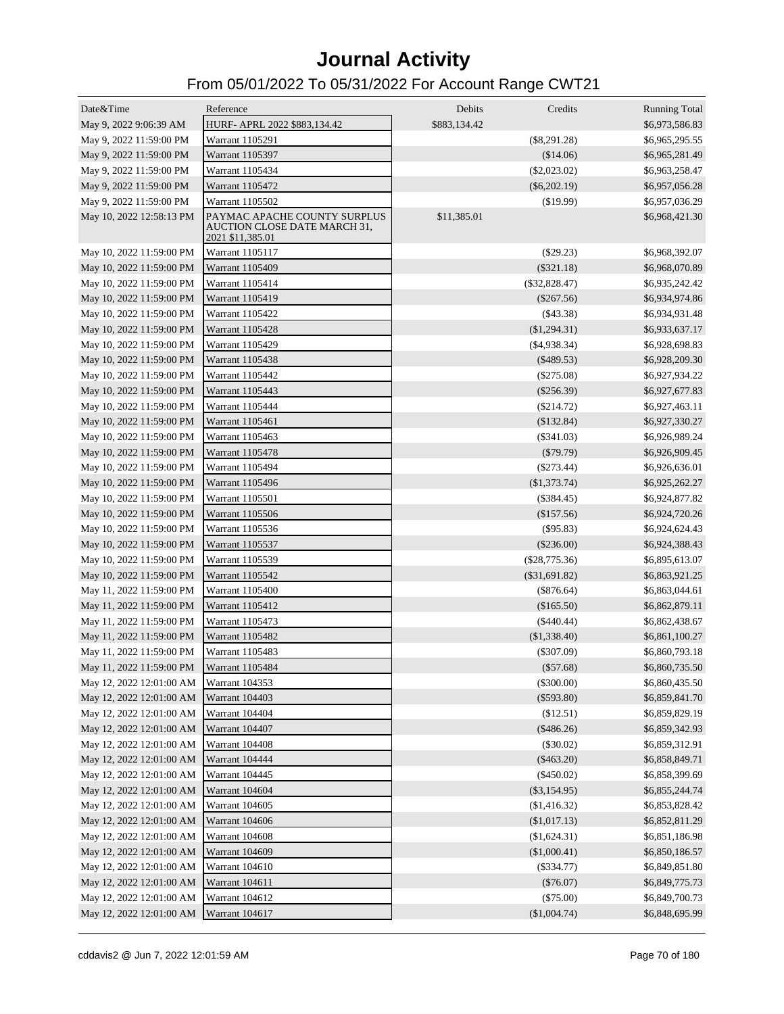| Date&Time                               | Reference                                                                        | Debits       | Credits         | <b>Running Total</b> |
|-----------------------------------------|----------------------------------------------------------------------------------|--------------|-----------------|----------------------|
| May 9, 2022 9:06:39 AM                  | HURF- APRL 2022 \$883,134.42                                                     | \$883,134.42 |                 | \$6,973,586.83       |
| May 9, 2022 11:59:00 PM                 | Warrant 1105291                                                                  |              | $(\$8,291.28)$  | \$6,965,295.55       |
| May 9, 2022 11:59:00 PM                 | Warrant 1105397                                                                  |              | (\$14.06)       | \$6,965,281.49       |
| May 9, 2022 11:59:00 PM                 | Warrant 1105434                                                                  |              | $(\$2,023.02)$  | \$6,963,258.47       |
| May 9, 2022 11:59:00 PM                 | Warrant 1105472                                                                  |              | $(\$6,202.19)$  | \$6,957,056.28       |
| May 9, 2022 11:59:00 PM                 | Warrant 1105502                                                                  |              | (\$19.99)       | \$6,957,036.29       |
| May 10, 2022 12:58:13 PM                | PAYMAC APACHE COUNTY SURPLUS<br>AUCTION CLOSE DATE MARCH 31,<br>2021 \$11,385.01 | \$11,385.01  |                 | \$6,968,421.30       |
| May 10, 2022 11:59:00 PM                | Warrant 1105117                                                                  |              | (\$29.23)       | \$6,968,392.07       |
| May 10, 2022 11:59:00 PM                | <b>Warrant 1105409</b>                                                           |              | $(\$321.18)$    | \$6,968,070.89       |
| May 10, 2022 11:59:00 PM                | Warrant 1105414                                                                  |              | $(\$32,828.47)$ | \$6,935,242.42       |
| May 10, 2022 11:59:00 PM                | <b>Warrant 1105419</b>                                                           |              | $(\$267.56)$    | \$6,934,974.86       |
| May 10, 2022 11:59:00 PM                | Warrant 1105422                                                                  |              | $($ \$43.38)    | \$6,934,931.48       |
| May 10, 2022 11:59:00 PM                | <b>Warrant 1105428</b>                                                           |              | (\$1,294.31)    | \$6,933,637.17       |
| May 10, 2022 11:59:00 PM                | Warrant 1105429                                                                  |              | $(\$4,938.34)$  | \$6,928,698.83       |
| May 10, 2022 11:59:00 PM                | Warrant 1105438                                                                  |              | $(\$489.53)$    | \$6,928,209.30       |
| May 10, 2022 11:59:00 PM                | Warrant 1105442                                                                  |              | $(\$275.08)$    | \$6,927,934.22       |
| May 10, 2022 11:59:00 PM                | Warrant 1105443                                                                  |              | $(\$256.39)$    | \$6,927,677.83       |
| May 10, 2022 11:59:00 PM                | Warrant 1105444                                                                  |              | $(\$214.72)$    | \$6,927,463.11       |
| May 10, 2022 11:59:00 PM                | Warrant 1105461                                                                  |              | (\$132.84)      | \$6,927,330.27       |
| May 10, 2022 11:59:00 PM                | Warrant 1105463                                                                  |              | $(\$341.03)$    | \$6,926,989.24       |
| May 10, 2022 11:59:00 PM                | Warrant 1105478                                                                  |              | $(\$79.79)$     | \$6,926,909.45       |
| May 10, 2022 11:59:00 PM                | Warrant 1105494                                                                  |              | $(\$273.44)$    | \$6,926,636.01       |
| May 10, 2022 11:59:00 PM                | <b>Warrant 1105496</b>                                                           |              | (\$1,373.74)    | \$6,925,262.27       |
| May 10, 2022 11:59:00 PM                | Warrant 1105501                                                                  |              | $(\$384.45)$    | \$6,924,877.82       |
| May 10, 2022 11:59:00 PM                | Warrant 1105506                                                                  |              | (\$157.56)      | \$6,924,720.26       |
| May 10, 2022 11:59:00 PM                | Warrant 1105536                                                                  |              | $($ \$95.83 $)$ | \$6,924,624.43       |
| May 10, 2022 11:59:00 PM                | Warrant 1105537                                                                  |              | $(\$236.00)$    | \$6,924,388.43       |
| May 10, 2022 11:59:00 PM                | Warrant 1105539                                                                  |              | $(\$28,775.36)$ | \$6,895,613.07       |
| May 10, 2022 11:59:00 PM                | Warrant 1105542                                                                  |              | $(\$31,691.82)$ | \$6,863,921.25       |
| May 11, 2022 11:59:00 PM                | <b>Warrant 1105400</b>                                                           |              | $(\$876.64)$    |                      |
|                                         | Warrant 1105412                                                                  |              |                 | \$6,863,044.61       |
| May 11, 2022 11:59:00 PM                |                                                                                  |              | (\$165.50)      | \$6,862,879.11       |
| May 11, 2022 11:59:00 PM                | Warrant 1105473                                                                  |              | $(\$440.44)$    | \$6,862,438.67       |
| May 11, 2022 11:59:00 PM                | Warrant 1105482                                                                  |              | (\$1,338.40)    | \$6,861,100.27       |
| May 11, 2022 11:59:00 PM                | Warrant 1105483                                                                  |              | $(\$307.09)$    | \$6,860,793.18       |
| May 11, 2022 11:59:00 PM                | Warrant 1105484                                                                  |              | $(\$57.68)$     | \$6,860,735.50       |
| May 12, 2022 12:01:00 AM Warrant 104353 |                                                                                  |              | $(\$300.00)$    | \$6,860,435.50       |
| May 12, 2022 12:01:00 AM                | <b>Warrant 104403</b>                                                            |              | $(\$593.80)$    | \$6,859,841.70       |
| May 12, 2022 12:01:00 AM                | Warrant 104404                                                                   |              | (\$12.51)       | \$6,859,829.19       |
| May 12, 2022 12:01:00 AM                | Warrant 104407                                                                   |              | (\$486.26)      | \$6,859,342.93       |
| May 12, 2022 12:01:00 AM                | <b>Warrant 104408</b>                                                            |              | (\$30.02)       | \$6,859,312.91       |
| May 12, 2022 12:01:00 AM                | Warrant 104444                                                                   |              | $(\$463.20)$    | \$6,858,849.71       |
| May 12, 2022 12:01:00 AM                | Warrant 104445                                                                   |              | $(\$450.02)$    | \$6,858,399.69       |
| May 12, 2022 12:01:00 AM                | Warrant 104604                                                                   |              | $(\$3,154.95)$  | \$6,855,244.74       |
| May 12, 2022 12:01:00 AM                | Warrant 104605                                                                   |              | (\$1,416.32)    | \$6,853,828.42       |
| May 12, 2022 12:01:00 AM                | Warrant 104606                                                                   |              | (\$1,017.13)    | \$6,852,811.29       |
| May 12, 2022 12:01:00 AM                | Warrant 104608                                                                   |              | (\$1,624.31)    | \$6,851,186.98       |
| May 12, 2022 12:01:00 AM                | Warrant 104609                                                                   |              | (\$1,000.41)    | \$6,850,186.57       |
| May 12, 2022 12:01:00 AM                | Warrant 104610                                                                   |              | $(\$334.77)$    | \$6,849,851.80       |
| May 12, 2022 12:01:00 AM                | Warrant 104611                                                                   |              | $(\$76.07)$     | \$6,849,775.73       |
| May 12, 2022 12:01:00 AM                | Warrant 104612                                                                   |              | $(\$75.00)$     | \$6,849,700.73       |
| May 12, 2022 12:01:00 AM Warrant 104617 |                                                                                  |              | (\$1,004.74)    | \$6,848,695.99       |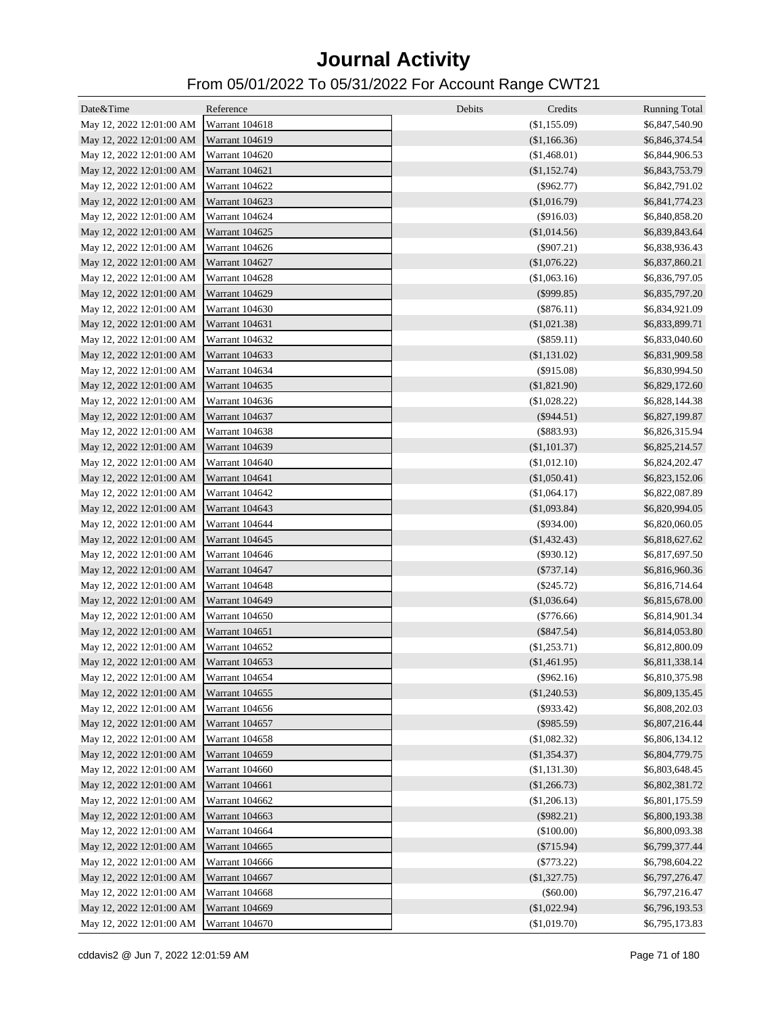| Date&Time                               | Reference                        | Debits<br>Credits              | <b>Running Total</b>             |
|-----------------------------------------|----------------------------------|--------------------------------|----------------------------------|
| May 12, 2022 12:01:00 AM Warrant 104618 |                                  | (\$1,155.09)                   | \$6,847,540.90                   |
| May 12, 2022 12:01:00 AM Warrant 104619 |                                  | (\$1,166.36)                   | \$6,846,374.54                   |
| May 12, 2022 12:01:00 AM Warrant 104620 |                                  | (\$1,468.01)                   | \$6,844,906.53                   |
| May 12, 2022 12:01:00 AM Warrant 104621 |                                  | (\$1,152.74)                   | \$6,843,753.79                   |
| May 12, 2022 12:01:00 AM Warrant 104622 |                                  | $(\$962.77)$                   | \$6,842,791.02                   |
| May 12, 2022 12:01:00 AM Warrant 104623 |                                  | (\$1,016.79)                   | \$6,841,774.23                   |
| May 12, 2022 12:01:00 AM Warrant 104624 |                                  | $(\$916.03)$                   | \$6,840,858.20                   |
| May 12, 2022 12:01:00 AM Warrant 104625 |                                  | (\$1,014.56)                   | \$6,839,843.64                   |
| May 12, 2022 12:01:00 AM Warrant 104626 |                                  | $(\$907.21)$                   | \$6,838,936.43                   |
| May 12, 2022 12:01:00 AM Warrant 104627 |                                  | (\$1,076.22)                   | \$6,837,860.21                   |
| May 12, 2022 12:01:00 AM Warrant 104628 |                                  | (\$1,063.16)                   | \$6,836,797.05                   |
| May 12, 2022 12:01:00 AM Warrant 104629 |                                  | $(\$999.85)$                   | \$6,835,797.20                   |
| May 12, 2022 12:01:00 AM Warrant 104630 |                                  | $(\$876.11)$                   | \$6,834,921.09                   |
| May 12, 2022 12:01:00 AM Warrant 104631 |                                  | (\$1,021.38)                   | \$6,833,899.71                   |
| May 12, 2022 12:01:00 AM Warrant 104632 |                                  | $(\$859.11)$                   | \$6,833,040.60                   |
| May 12, 2022 12:01:00 AM Warrant 104633 |                                  | (\$1,131.02)                   | \$6,831,909.58                   |
| May 12, 2022 12:01:00 AM Warrant 104634 |                                  | $(\$915.08)$                   | \$6,830,994.50                   |
| May 12, 2022 12:01:00 AM Warrant 104635 |                                  | (\$1,821.90)                   | \$6,829,172.60                   |
| May 12, 2022 12:01:00 AM Warrant 104636 |                                  | (\$1,028.22)                   | \$6,828,144.38                   |
| May 12, 2022 12:01:00 AM Warrant 104637 |                                  | $(\$944.51)$                   | \$6,827,199.87                   |
| May 12, 2022 12:01:00 AM Warrant 104638 |                                  | (\$883.93)                     | \$6,826,315.94                   |
| May 12, 2022 12:01:00 AM Warrant 104639 |                                  | (\$1,101.37)                   | \$6,825,214.57                   |
| May 12, 2022 12:01:00 AM Warrant 104640 |                                  | (\$1,012.10)                   | \$6,824,202.47                   |
| May 12, 2022 12:01:00 AM Warrant 104641 |                                  | (\$1,050.41)                   | \$6,823,152.06                   |
| May 12, 2022 12:01:00 AM Warrant 104642 |                                  | (\$1,064.17)                   | \$6,822,087.89                   |
| May 12, 2022 12:01:00 AM Warrant 104643 |                                  | (\$1,093.84)                   | \$6,820,994.05                   |
| May 12, 2022 12:01:00 AM Warrant 104644 |                                  | $(\$934.00)$                   | \$6,820,060.05                   |
| May 12, 2022 12:01:00 AM Warrant 104645 |                                  | (\$1,432.43)                   | \$6,818,627.62                   |
| May 12, 2022 12:01:00 AM Warrant 104646 |                                  | $(\$930.12)$                   | \$6,817,697.50                   |
| May 12, 2022 12:01:00 AM Warrant 104647 |                                  | $(\$737.14)$                   | \$6,816,960.36                   |
| May 12, 2022 12:01:00 AM Warrant 104648 |                                  | $(\$245.72)$                   | \$6,816,714.64                   |
| May 12, 2022 12:01:00 AM Warrant 104649 |                                  | (\$1,036.64)                   | \$6,815,678.00                   |
| May 12, 2022 12:01:00 AM Warrant 104650 |                                  | $(\$776.66)$                   | \$6,814,901.34                   |
| May 12, 2022 12:01:00 AM Warrant 104651 |                                  | $(\$847.54)$                   | \$6,814,053.80                   |
| May 12, 2022 12:01:00 AM Warrant 104652 |                                  | $(\$1,253.71)$                 | \$6,812,800.09                   |
| May 12, 2022 12:01:00 AM Warrant 104653 |                                  | (\$1,461.95)                   | \$6,811,338.14                   |
| May 12, 2022 12:01:00 AM Warrant 104654 |                                  | (\$962.16)                     | \$6,810,375.98                   |
| May 12, 2022 12:01:00 AM Warrant 104655 |                                  | (\$1,240.53)                   | \$6,809,135.45                   |
| May 12, 2022 12:01:00 AM                | Warrant 104656                   | $(\$933.42)$                   | \$6,808,202.03                   |
| May 12, 2022 12:01:00 AM                | Warrant 104657                   | $(\$985.59)$                   | \$6,807,216.44                   |
| May 12, 2022 12:01:00 AM                | Warrant 104658                   | (\$1,082.32)                   | \$6,806,134.12                   |
| May 12, 2022 12:01:00 AM                | Warrant 104659                   | (\$1,354.37)                   | \$6,804,779.75                   |
| May 12, 2022 12:01:00 AM                | Warrant 104660                   |                                |                                  |
| May 12, 2022 12:01:00 AM                | Warrant 104661                   | $(\$1,131.30)$<br>(\$1,266.73) | \$6,803,648.45                   |
| May 12, 2022 12:01:00 AM                |                                  |                                | \$6,802,381.72                   |
| May 12, 2022 12:01:00 AM                | Warrant 104662<br>Warrant 104663 | (\$1,206.13)<br>$(\$982.21)$   | \$6,801,175.59                   |
| May 12, 2022 12:01:00 AM                | Warrant 104664                   | (\$100.00)                     | \$6,800,193.38<br>\$6,800,093.38 |
| May 12, 2022 12:01:00 AM                | Warrant 104665                   | $(\$715.94)$                   | \$6,799,377.44                   |
| May 12, 2022 12:01:00 AM                | Warrant 104666                   | $(\$773.22)$                   | \$6,798,604.22                   |
| May 12, 2022 12:01:00 AM                | Warrant 104667                   | (\$1,327.75)                   | \$6,797,276.47                   |
| May 12, 2022 12:01:00 AM                | Warrant 104668                   | (\$60.00)                      | \$6,797,216.47                   |
| May 12, 2022 12:01:00 AM                | Warrant 104669                   | (\$1,022.94)                   | \$6,796,193.53                   |
| May 12, 2022 12:01:00 AM                | Warrant 104670                   | (\$1,019.70)                   | \$6,795,173.83                   |
|                                         |                                  |                                |                                  |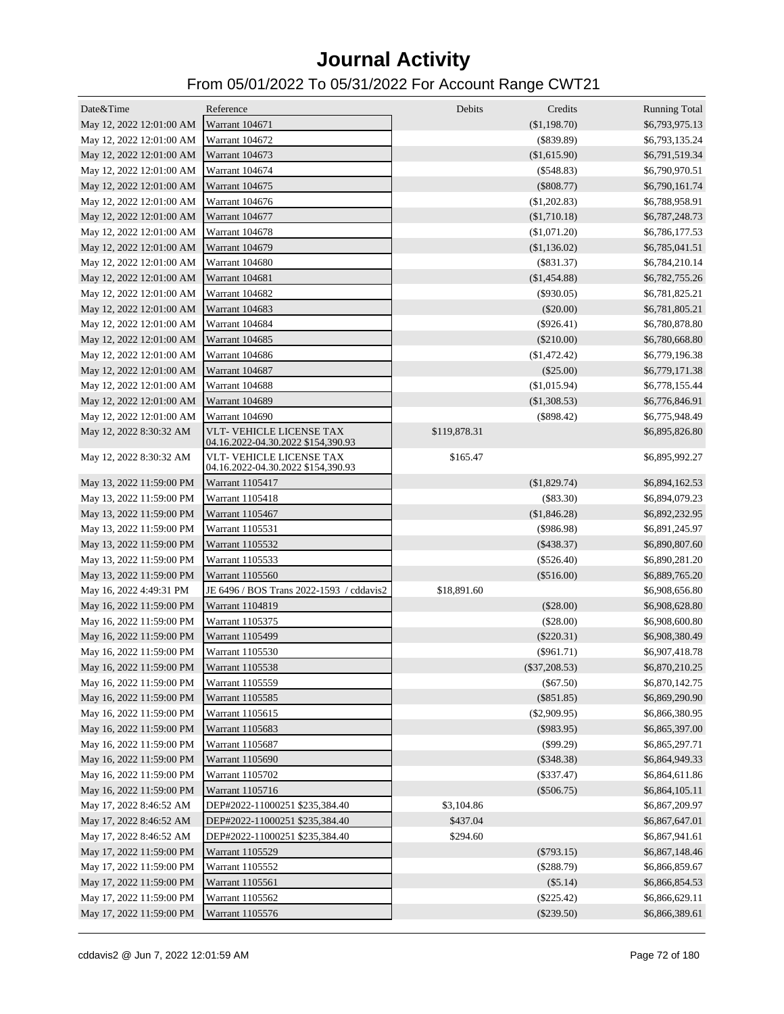| Date&Time                               | Reference                                                             | Debits       | Credits         | <b>Running Total</b> |
|-----------------------------------------|-----------------------------------------------------------------------|--------------|-----------------|----------------------|
| May 12, 2022 12:01:00 AM Warrant 104671 |                                                                       |              | (\$1,198.70)    | \$6,793,975.13       |
| May 12, 2022 12:01:00 AM                | Warrant 104672                                                        |              | $(\$839.89)$    | \$6,793,135.24       |
| May 12, 2022 12:01:00 AM                | Warrant 104673                                                        |              | (\$1,615.90)    | \$6,791,519.34       |
| May 12, 2022 12:01:00 AM                | <b>Warrant 104674</b>                                                 |              | $(\$548.83)$    | \$6,790,970.51       |
| May 12, 2022 12:01:00 AM                | Warrant 104675                                                        |              | $(\$808.77)$    | \$6,790,161.74       |
| May 12, 2022 12:01:00 AM                | Warrant 104676                                                        |              | $(\$1,202.83)$  | \$6,788,958.91       |
| May 12, 2022 12:01:00 AM                | Warrant 104677                                                        |              | $(\$1,710.18)$  | \$6,787,248.73       |
| May 12, 2022 12:01:00 AM                | <b>Warrant 104678</b>                                                 |              | $(\$1,071.20)$  | \$6,786,177.53       |
| May 12, 2022 12:01:00 AM                | Warrant 104679                                                        |              | (\$1,136.02)    | \$6,785,041.51       |
| May 12, 2022 12:01:00 AM                | Warrant 104680                                                        |              | $(\$831.37)$    | \$6,784,210.14       |
| May 12, 2022 12:01:00 AM                | Warrant 104681                                                        |              | $(\$1,454.88)$  | \$6,782,755.26       |
| May 12, 2022 12:01:00 AM                | Warrant 104682                                                        |              | $(\$930.05)$    | \$6,781,825.21       |
| May 12, 2022 12:01:00 AM                | Warrant 104683                                                        |              | $(\$20.00)$     | \$6,781,805.21       |
| May 12, 2022 12:01:00 AM                | Warrant 104684                                                        |              | $(\$926.41)$    | \$6,780,878.80       |
| May 12, 2022 12:01:00 AM                | Warrant 104685                                                        |              | $(\$210.00)$    | \$6,780,668.80       |
| May 12, 2022 12:01:00 AM                | <b>Warrant 104686</b>                                                 |              | $(\$1,472.42)$  | \$6,779,196.38       |
| May 12, 2022 12:01:00 AM                | Warrant 104687                                                        |              | $(\$25.00)$     | \$6,779,171.38       |
| May 12, 2022 12:01:00 AM                | Warrant 104688                                                        |              |                 |                      |
|                                         |                                                                       |              | $(\$1,015.94)$  | \$6,778,155.44       |
| May 12, 2022 12:01:00 AM                | Warrant 104689                                                        |              | (\$1,308.53)    | \$6,776,846.91       |
| May 12, 2022 12:01:00 AM                | Warrant 104690                                                        |              | $(\$898.42)$    | \$6,775,948.49       |
| May 12, 2022 8:30:32 AM                 | <b>VLT- VEHICLE LICENSE TAX</b><br>04.16.2022-04.30.2022 \$154,390.93 | \$119,878.31 |                 | \$6,895,826.80       |
| May 12, 2022 8:30:32 AM                 | <b>VLT- VEHICLE LICENSE TAX</b><br>04.16.2022-04.30.2022 \$154,390.93 | \$165.47     |                 | \$6,895,992.27       |
| May 13, 2022 11:59:00 PM                | Warrant 1105417                                                       |              | (\$1,829.74)    | \$6,894,162.53       |
| May 13, 2022 11:59:00 PM                | Warrant 1105418                                                       |              | $(\$83.30)$     | \$6,894,079.23       |
| May 13, 2022 11:59:00 PM                | Warrant 1105467                                                       |              | (\$1,846.28)    | \$6,892,232.95       |
| May 13, 2022 11:59:00 PM                | Warrant 1105531                                                       |              | $($ \$986.98)   | \$6,891,245.97       |
| May 13, 2022 11:59:00 PM                | Warrant 1105532                                                       |              | $(\$438.37)$    | \$6,890,807.60       |
| May 13, 2022 11:59:00 PM                | Warrant 1105533                                                       |              | $(\$526.40)$    | \$6,890,281.20       |
| May 13, 2022 11:59:00 PM                | Warrant 1105560                                                       |              | $(\$516.00)$    | \$6,889,765.20       |
| May 16, 2022 4:49:31 PM                 | JE 6496 / BOS Trans 2022-1593 / cddavis2                              | \$18,891.60  |                 | \$6,908,656.80       |
| May 16, 2022 11:59:00 PM                | Warrant 1104819                                                       |              | $(\$28.00)$     | \$6,908,628.80       |
| May 16, 2022 11:59:00 PM                | Warrant 1105375                                                       |              | $(\$28.00)$     | \$6,908,600.80       |
| May 16, 2022 11:59:00 PM                | Warrant 1105499                                                       |              | $(\$220.31)$    | \$6,908,380.49       |
| May 16, 2022 11:59:00 PM                | Warrant 1105530                                                       |              | $(\$961.71)$    | \$6,907,418.78       |
| May 16, 2022 11:59:00 PM                | Warrant 1105538                                                       |              | $(\$37,208.53)$ | \$6,870,210.25       |
| May 16, 2022 11:59:00 PM                | Warrant 1105559                                                       |              | $(\$67.50)$     | \$6,870,142.75       |
| May 16, 2022 11:59:00 PM                | Warrant 1105585                                                       |              | $(\$851.85)$    | \$6,869,290.90       |
| May 16, 2022 11:59:00 PM                | Warrant 1105615                                                       |              | $(\$2,909.95)$  | \$6,866,380.95       |
| May 16, 2022 11:59:00 PM                | Warrant 1105683                                                       |              | $(\$983.95)$    | \$6,865,397.00       |
| May 16, 2022 11:59:00 PM                | Warrant 1105687                                                       |              | $(\$99.29)$     | \$6,865,297.71       |
| May 16, 2022 11:59:00 PM                | Warrant 1105690                                                       |              | $(\$348.38)$    | \$6,864,949.33       |
| May 16, 2022 11:59:00 PM                | Warrant 1105702                                                       |              | $(\$337.47)$    | \$6,864,611.86       |
| May 16, 2022 11:59:00 PM                | Warrant 1105716                                                       |              | $(\$506.75)$    | \$6,864,105.11       |
| May 17, 2022 8:46:52 AM                 | DEP#2022-11000251 \$235,384.40                                        | \$3,104.86   |                 | \$6,867,209.97       |
| May 17, 2022 8:46:52 AM                 | DEP#2022-11000251 \$235,384.40                                        | \$437.04     |                 | \$6,867,647.01       |
| May 17, 2022 8:46:52 AM                 | DEP#2022-11000251 \$235,384.40                                        | \$294.60     |                 | \$6,867,941.61       |
| May 17, 2022 11:59:00 PM                | Warrant 1105529                                                       |              | $(\$793.15)$    | \$6,867,148.46       |
| May 17, 2022 11:59:00 PM                | Warrant 1105552                                                       |              | $(\$288.79)$    | \$6,866,859.67       |
| May 17, 2022 11:59:00 PM                | Warrant 1105561                                                       |              | $(\$5.14)$      | \$6,866,854.53       |
| May 17, 2022 11:59:00 PM                | Warrant 1105562                                                       |              | $(\$225.42)$    | \$6,866,629.11       |
| May 17, 2022 11:59:00 PM                | Warrant 1105576                                                       |              | $(\$239.50)$    | \$6,866,389.61       |
|                                         |                                                                       |              |                 |                      |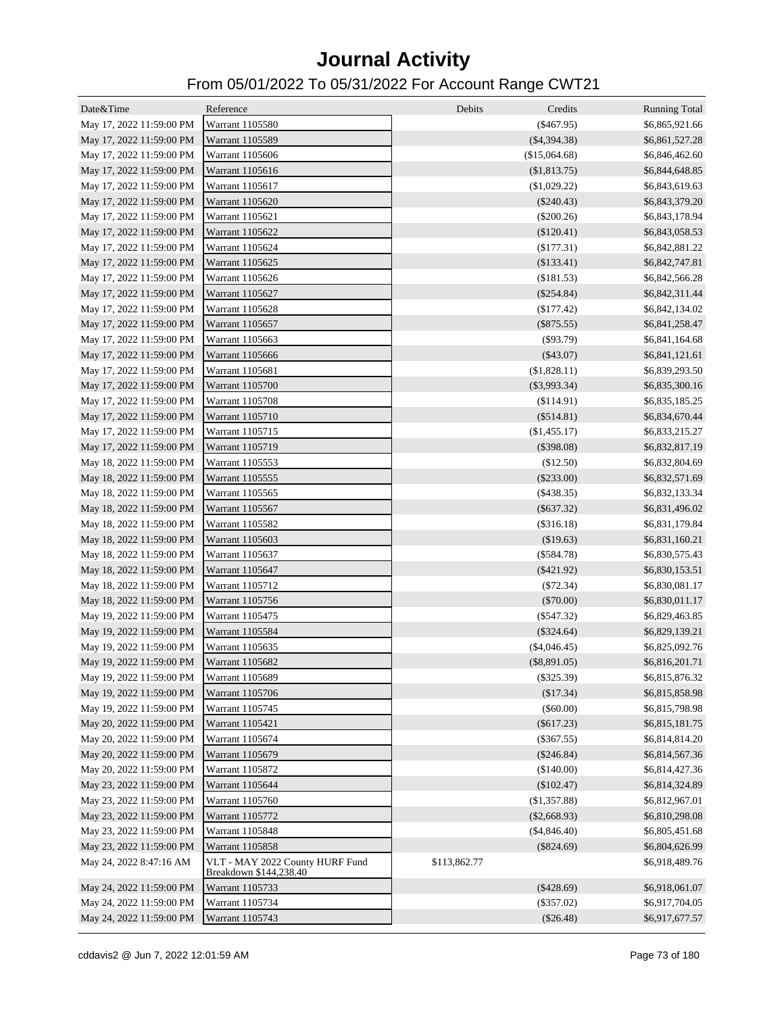| Date&Time                | Reference                                                 | Debits<br>Credits | <b>Running Total</b> |
|--------------------------|-----------------------------------------------------------|-------------------|----------------------|
| May 17, 2022 11:59:00 PM | Warrant 1105580                                           | $(\$467.95)$      | \$6,865,921.66       |
| May 17, 2022 11:59:00 PM | Warrant 1105589                                           | $(\$4,394.38)$    | \$6,861,527.28       |
| May 17, 2022 11:59:00 PM | Warrant 1105606                                           | (\$15,064.68)     | \$6,846,462.60       |
| May 17, 2022 11:59:00 PM | Warrant 1105616                                           | (\$1,813.75)      | \$6,844,648.85       |
| May 17, 2022 11:59:00 PM | Warrant 1105617                                           |                   |                      |
|                          |                                                           | (\$1,029.22)      | \$6,843,619.63       |
| May 17, 2022 11:59:00 PM | Warrant 1105620                                           | $(\$240.43)$      | \$6,843,379.20       |
| May 17, 2022 11:59:00 PM | Warrant 1105621                                           | $(\$200.26)$      | \$6,843,178.94       |
| May 17, 2022 11:59:00 PM | Warrant 1105622                                           | $(\$120.41)$      | \$6,843,058.53       |
| May 17, 2022 11:59:00 PM | Warrant 1105624                                           | (\$177.31)        | \$6,842,881.22       |
| May 17, 2022 11:59:00 PM | Warrant 1105625                                           | $(\$133.41)$      | \$6,842,747.81       |
| May 17, 2022 11:59:00 PM | Warrant 1105626                                           | (\$181.53)        | \$6,842,566.28       |
| May 17, 2022 11:59:00 PM | Warrant 1105627                                           | $(\$254.84)$      | \$6,842,311.44       |
| May 17, 2022 11:59:00 PM | Warrant 1105628                                           | $(\$177.42)$      | \$6,842,134.02       |
| May 17, 2022 11:59:00 PM | Warrant 1105657                                           | $(\$875.55)$      | \$6,841,258.47       |
| May 17, 2022 11:59:00 PM | Warrant 1105663                                           | (\$93.79)         | \$6,841,164.68       |
| May 17, 2022 11:59:00 PM | Warrant 1105666                                           | $(\$43.07)$       | \$6,841,121.61       |
| May 17, 2022 11:59:00 PM | Warrant 1105681                                           | (\$1,828.11)      | \$6,839,293.50       |
| May 17, 2022 11:59:00 PM | Warrant 1105700                                           | $(\$3,993.34)$    | \$6,835,300.16       |
| May 17, 2022 11:59:00 PM | Warrant 1105708                                           | (\$114.91)        | \$6,835,185.25       |
| May 17, 2022 11:59:00 PM | Warrant 1105710                                           | $(\$514.81)$      | \$6,834,670.44       |
| May 17, 2022 11:59:00 PM | Warrant 1105715                                           | (\$1,455.17)      | \$6,833,215.27       |
| May 17, 2022 11:59:00 PM | Warrant 1105719                                           | $(\$398.08)$      | \$6,832,817.19       |
| May 18, 2022 11:59:00 PM | Warrant 1105553                                           | (\$12.50)         | \$6,832,804.69       |
| May 18, 2022 11:59:00 PM | Warrant 1105555                                           | $(\$233.00)$      | \$6,832,571.69       |
| May 18, 2022 11:59:00 PM | Warrant 1105565                                           | $(\$438.35)$      | \$6,832,133.34       |
| May 18, 2022 11:59:00 PM | Warrant 1105567                                           | $(\$637.32)$      | \$6,831,496.02       |
| May 18, 2022 11:59:00 PM | Warrant 1105582                                           | (\$316.18)        | \$6,831,179.84       |
| May 18, 2022 11:59:00 PM | Warrant 1105603                                           | \$19.63)          | \$6,831,160.21       |
| May 18, 2022 11:59:00 PM | Warrant 1105637                                           | $(\$584.78)$      | \$6,830,575.43       |
| May 18, 2022 11:59:00 PM | Warrant 1105647                                           | $(\$421.92)$      | \$6,830,153.51       |
|                          |                                                           |                   |                      |
| May 18, 2022 11:59:00 PM | Warrant 1105712                                           | (S72.34)          | \$6,830,081.17       |
| May 18, 2022 11:59:00 PM | Warrant 1105756                                           | $(\$70.00)$       | \$6,830,011.17       |
| May 19, 2022 11:59:00 PM | Warrant 1105475                                           | $(\$547.32)$      | \$6,829,463.85       |
| May 19, 2022 11:59:00 PM | Warrant 1105584                                           | $(\$324.64)$      | \$6,829,139.21       |
| May 19, 2022 11:59:00 PM | Warrant 1105635                                           | $(\$4,046.45)$    | \$6,825,092.76       |
| May 19, 2022 11:59:00 PM | Warrant 1105682                                           | $(\$8,891.05)$    | \$6,816,201.71       |
| May 19, 2022 11:59:00 PM | Warrant 1105689                                           | $(\$325.39)$      | \$6,815,876.32       |
| May 19, 2022 11:59:00 PM | Warrant 1105706                                           | (\$17.34)         | \$6,815,858.98       |
| May 19, 2022 11:59:00 PM | Warrant 1105745                                           | (\$60.00)         | \$6,815,798.98       |
| May 20, 2022 11:59:00 PM | Warrant 1105421                                           | $(\$617.23)$      | \$6,815,181.75       |
| May 20, 2022 11:59:00 PM | Warrant 1105674                                           | $(\$367.55)$      | \$6,814,814.20       |
| May 20, 2022 11:59:00 PM | Warrant 1105679                                           | $(\$246.84)$      | \$6,814,567.36       |
| May 20, 2022 11:59:00 PM | Warrant 1105872                                           | (\$140.00)        | \$6,814,427.36       |
| May 23, 2022 11:59:00 PM | Warrant 1105644                                           | $(\$102.47)$      | \$6,814,324.89       |
| May 23, 2022 11:59:00 PM | Warrant 1105760                                           | (\$1,357.88)      | \$6,812,967.01       |
| May 23, 2022 11:59:00 PM | Warrant 1105772                                           | $(\$2,668.93)$    | \$6,810,298.08       |
| May 23, 2022 11:59:00 PM | Warrant 1105848                                           | (\$4,846.40)      | \$6,805,451.68       |
| May 23, 2022 11:59:00 PM | Warrant 1105858                                           | $(\$824.69)$      | \$6,804,626.99       |
| May 24, 2022 8:47:16 AM  | VLT - MAY 2022 County HURF Fund<br>Breakdown \$144,238.40 | \$113,862.77      | \$6,918,489.76       |
| May 24, 2022 11:59:00 PM | Warrant 1105733                                           | $(\$428.69)$      | \$6,918,061.07       |
| May 24, 2022 11:59:00 PM | Warrant 1105734                                           | $(\$357.02)$      | \$6,917,704.05       |
| May 24, 2022 11:59:00 PM | Warrant 1105743                                           | $(\$26.48)$       | \$6,917,677.57       |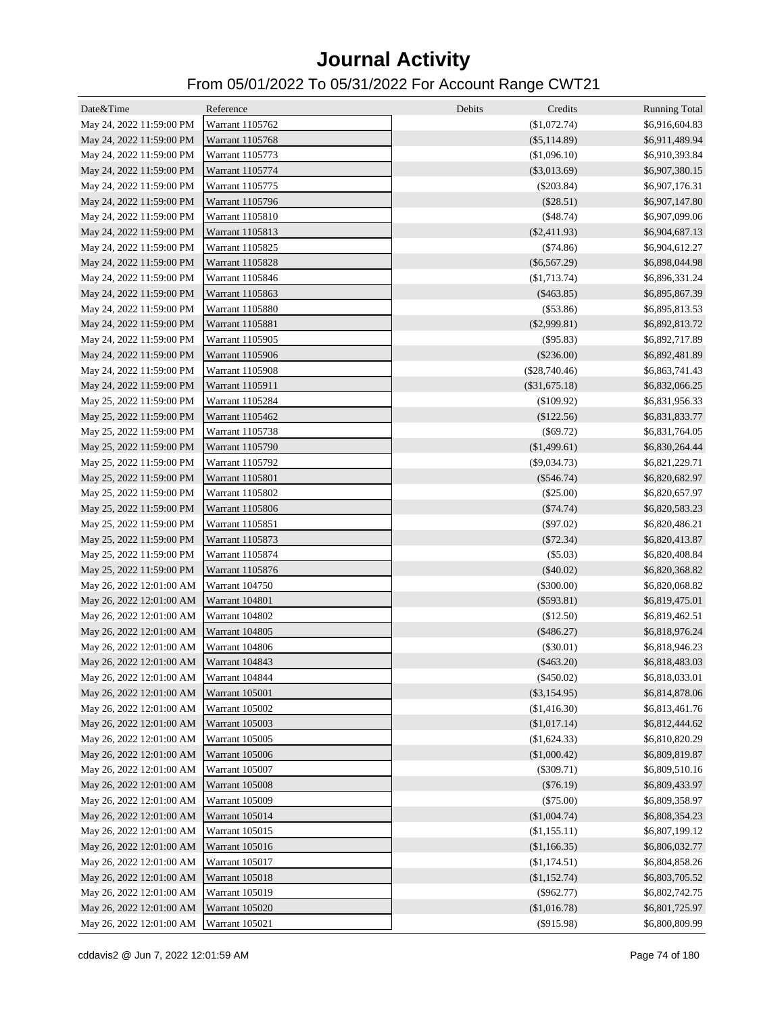| Date&Time                               | Reference             | Debits<br>Credits | <b>Running Total</b> |
|-----------------------------------------|-----------------------|-------------------|----------------------|
| May 24, 2022 11:59:00 PM                | Warrant 1105762       | (\$1,072.74)      | \$6,916,604.83       |
| May 24, 2022 11:59:00 PM                | Warrant 1105768       | $(\$5,114.89)$    | \$6,911,489.94       |
| May 24, 2022 11:59:00 PM                | Warrant 1105773       | (\$1,096.10)      | \$6,910,393.84       |
| May 24, 2022 11:59:00 PM                | Warrant 1105774       | $(\$3,013.69)$    | \$6,907,380.15       |
| May 24, 2022 11:59:00 PM                | Warrant 1105775       | $(\$203.84)$      | \$6,907,176.31       |
| May 24, 2022 11:59:00 PM                | Warrant 1105796       | $(\$28.51)$       | \$6,907,147.80       |
| May 24, 2022 11:59:00 PM                | Warrant 1105810       | $(\$48.74)$       | \$6,907,099.06       |
| May 24, 2022 11:59:00 PM                | Warrant 1105813       | $(\$2,411.93)$    | \$6,904,687.13       |
| May 24, 2022 11:59:00 PM                | Warrant 1105825       | ( \$74.86)        | \$6,904,612.27       |
| May 24, 2022 11:59:00 PM                | Warrant 1105828       | $(\$6,567.29)$    | \$6,898,044.98       |
| May 24, 2022 11:59:00 PM                | Warrant 1105846       | (\$1,713.74)      | \$6,896,331.24       |
| May 24, 2022 11:59:00 PM                | Warrant 1105863       | $(\$463.85)$      | \$6,895,867.39       |
| May 24, 2022 11:59:00 PM                | Warrant 1105880       | (\$53.86)         | \$6,895,813.53       |
| May 24, 2022 11:59:00 PM                | Warrant 1105881       | $(\$2,999.81)$    | \$6,892,813.72       |
| May 24, 2022 11:59:00 PM                | Warrant 1105905       | (\$95.83)         | \$6,892,717.89       |
| May 24, 2022 11:59:00 PM                | Warrant 1105906       | (\$236.00)        | \$6,892,481.89       |
| May 24, 2022 11:59:00 PM                | Warrant 1105908       | $(\$28,740.46)$   | \$6,863,741.43       |
| May 24, 2022 11:59:00 PM                | Warrant 1105911       | $(\$31,675.18)$   | \$6,832,066.25       |
| May 25, 2022 11:59:00 PM                | Warrant 1105284       | (\$109.92)        | \$6,831,956.33       |
| May 25, 2022 11:59:00 PM                | Warrant 1105462       | (\$122.56)        | \$6,831,833.77       |
| May 25, 2022 11:59:00 PM                | Warrant 1105738       | (\$69.72)         | \$6,831,764.05       |
| May 25, 2022 11:59:00 PM                | Warrant 1105790       | (\$1,499.61)      | \$6,830,264.44       |
| May 25, 2022 11:59:00 PM                | Warrant 1105792       | $(\$9,034.73)$    | \$6,821,229.71       |
| May 25, 2022 11:59:00 PM                | Warrant 1105801       | $(\$546.74)$      | \$6,820,682.97       |
| May 25, 2022 11:59:00 PM                | Warrant 1105802       | $(\$25.00)$       | \$6,820,657.97       |
| May 25, 2022 11:59:00 PM                | Warrant 1105806       | $(\$74.74)$       | \$6,820,583.23       |
| May 25, 2022 11:59:00 PM                | Warrant 1105851       | $(\$97.02)$       | \$6,820,486.21       |
| May 25, 2022 11:59:00 PM                | Warrant 1105873       | (\$72.34)         | \$6,820,413.87       |
| May 25, 2022 11:59:00 PM                | Warrant 1105874       | (\$5.03)          | \$6,820,408.84       |
| May 25, 2022 11:59:00 PM                | Warrant 1105876       | $(\$40.02)$       | \$6,820,368.82       |
| May 26, 2022 12:01:00 AM                | Warrant 104750        | $(\$300.00)$      | \$6,820,068.82       |
| May 26, 2022 12:01:00 AM                | Warrant 104801        | $(\$593.81)$      | \$6,819,475.01       |
| May 26, 2022 12:01:00 AM                | Warrant 104802        | (\$12.50)         | \$6,819,462.51       |
| May 26, 2022 12:01:00 AM                | <b>Warrant 104805</b> | $(\$486.27)$      | \$6,818,976.24       |
| May 26, 2022 12:01:00 AM                | Warrant 104806        | $(\$30.01)$       | \$6,818,946.23       |
| May 26, 2022 12:01:00 AM Warrant 104843 |                       | $(\$463.20)$      | \$6,818,483.03       |
| May 26, 2022 12:01:00 AM                | Warrant 104844        | $(\$450.02)$      | \$6,818,033.01       |
| May 26, 2022 12:01:00 AM                | Warrant 105001        | $(\$3,154.95)$    | \$6,814,878.06       |
| May 26, 2022 12:01:00 AM                | <b>Warrant 105002</b> | (\$1,416.30)      | \$6,813,461.76       |
| May 26, 2022 12:01:00 AM                | <b>Warrant 105003</b> | (\$1,017.14)      | \$6,812,444.62       |
| May 26, 2022 12:01:00 AM                | Warrant 105005        | $(\$1,624.33)$    | \$6,810,820.29       |
| May 26, 2022 12:01:00 AM                | Warrant 105006        | (\$1,000.42)      | \$6,809,819.87       |
| May 26, 2022 12:01:00 AM                | Warrant 105007        | $(\$309.71)$      | \$6,809,510.16       |
| May 26, 2022 12:01:00 AM                | <b>Warrant 105008</b> | $(\$76.19)$       | \$6,809,433.97       |
| May 26, 2022 12:01:00 AM                | <b>Warrant 105009</b> | $(\$75.00)$       | \$6,809,358.97       |
| May 26, 2022 12:01:00 AM                | Warrant 105014        | (\$1,004.74)      | \$6,808,354.23       |
| May 26, 2022 12:01:00 AM                | Warrant 105015        | (\$1,155.11)      | \$6,807,199.12       |
| May 26, 2022 12:01:00 AM                | Warrant 105016        | (\$1,166.35)      | \$6,806,032.77       |
| May 26, 2022 12:01:00 AM                | Warrant 105017        | (\$1,174.51)      | \$6,804,858.26       |
| May 26, 2022 12:01:00 AM                | Warrant 105018        | (\$1,152.74)      | \$6,803,705.52       |
| May 26, 2022 12:01:00 AM                | Warrant 105019        | $(\$962.77)$      | \$6,802,742.75       |
| May 26, 2022 12:01:00 AM                | Warrant 105020        | (\$1,016.78)      | \$6,801,725.97       |
| May 26, 2022 12:01:00 AM                | Warrant 105021        | $(\$915.98)$      | \$6,800,809.99       |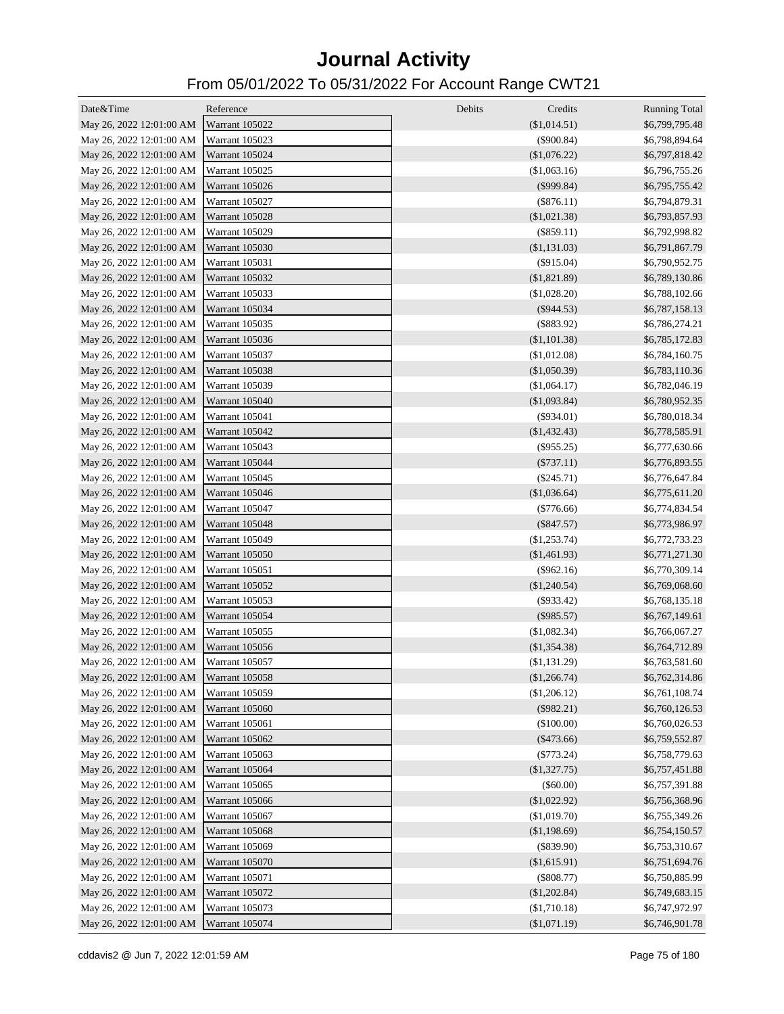| Date&Time                               | Reference             | Debits<br>Credits | <b>Running Total</b> |
|-----------------------------------------|-----------------------|-------------------|----------------------|
| May 26, 2022 12:01:00 AM Warrant 105022 |                       | (\$1,014.51)      | \$6,799,795.48       |
| May 26, 2022 12:01:00 AM                | Warrant 105023        | $(\$900.84)$      | \$6,798,894.64       |
| May 26, 2022 12:01:00 AM                | Warrant 105024        | (\$1,076.22)      | \$6,797,818.42       |
| May 26, 2022 12:01:00 AM                | Warrant 105025        | (\$1,063.16)      | \$6,796,755.26       |
| May 26, 2022 12:01:00 AM                | Warrant 105026        | $(\$999.84)$      | \$6,795,755.42       |
| May 26, 2022 12:01:00 AM                | Warrant 105027        | $(\$876.11)$      | \$6,794,879.31       |
| May 26, 2022 12:01:00 AM                | Warrant 105028        | $(\$1,021.38)$    | \$6,793,857.93       |
| May 26, 2022 12:01:00 AM                | Warrant 105029        | $(\$859.11)$      | \$6,792,998.82       |
| May 26, 2022 12:01:00 AM                | Warrant 105030        | (\$1,131.03)      | \$6,791,867.79       |
| May 26, 2022 12:01:00 AM                | Warrant 105031        | $(\$915.04)$      | \$6,790,952.75       |
| May 26, 2022 12:01:00 AM                | Warrant 105032        | $(\$1,821.89)$    | \$6,789,130.86       |
| May 26, 2022 12:01:00 AM                | Warrant 105033        | (\$1,028.20)      | \$6,788,102.66       |
| May 26, 2022 12:01:00 AM                | Warrant 105034        | $(\$944.53)$      | \$6,787,158.13       |
| May 26, 2022 12:01:00 AM                | Warrant 105035        | $(\$883.92)$      | \$6,786,274.21       |
| May 26, 2022 12:01:00 AM                | Warrant 105036        | (\$1,101.38)      | \$6,785,172.83       |
| May 26, 2022 12:01:00 AM                | Warrant 105037        | (\$1,012.08)      | \$6,784,160.75       |
| May 26, 2022 12:01:00 AM                | Warrant 105038        | (\$1,050.39)      | \$6,783,110.36       |
| May 26, 2022 12:01:00 AM                | <b>Warrant 105039</b> | (\$1,064.17)      | \$6,782,046.19       |
| May 26, 2022 12:01:00 AM                | Warrant 105040        | $(\$1,093.84)$    | \$6,780,952.35       |
| May 26, 2022 12:01:00 AM                | Warrant 105041        | $(\$934.01)$      | \$6,780,018.34       |
| May 26, 2022 12:01:00 AM                | Warrant 105042        | $(\$1,432.43)$    | \$6,778,585.91       |
| May 26, 2022 12:01:00 AM                | Warrant 105043        | $(\$955.25)$      | \$6,777,630.66       |
| May 26, 2022 12:01:00 AM                | Warrant 105044        | $(\$737.11)$      | \$6,776,893.55       |
| May 26, 2022 12:01:00 AM                | Warrant 105045        | $(\$245.71)$      | \$6,776,647.84       |
| May 26, 2022 12:01:00 AM                | Warrant 105046        | (\$1,036.64)      | \$6,775,611.20       |
| May 26, 2022 12:01:00 AM                | Warrant 105047        | $(\$776.66)$      | \$6,774,834.54       |
| May 26, 2022 12:01:00 AM                | Warrant 105048        | $(\$847.57)$      | \$6,773,986.97       |
| May 26, 2022 12:01:00 AM                | Warrant 105049        | (\$1,253.74)      | \$6,772,733.23       |
| May 26, 2022 12:01:00 AM                | Warrant 105050        | $(\$1,461.93)$    | \$6,771,271.30       |
| May 26, 2022 12:01:00 AM                | Warrant 105051        | $(\$962.16)$      | \$6,770,309.14       |
| May 26, 2022 12:01:00 AM                | Warrant 105052        | $(\$1,240.54)$    | \$6,769,068.60       |
| May 26, 2022 12:01:00 AM                | Warrant 105053        | $(\$933.42)$      | \$6,768,135.18       |
| May 26, 2022 12:01:00 AM                | <b>Warrant 105054</b> | $(\$985.57)$      | \$6,767,149.61       |
| May 26, 2022 12:01:00 AM                | Warrant 105055        | (\$1,082.34)      | \$6,766,067.27       |
| May 26, 2022 12:01:00 AM                | Warrant 105056        | (\$1,354.38)      | \$6,764,712.89       |
| May 26, 2022 12:01:00 AM Warrant 105057 |                       | $(\$1,131.29)$    | \$6,763,581.60       |
| May 26, 2022 12:01:00 AM                | <b>Warrant 105058</b> | (\$1,266.74)      | \$6,762,314.86       |
| May 26, 2022 12:01:00 AM                | Warrant 105059        | (\$1,206.12)      | \$6,761,108.74       |
| May 26, 2022 12:01:00 AM                | <b>Warrant 105060</b> | $(\$982.21)$      | \$6,760,126.53       |
| May 26, 2022 12:01:00 AM                | Warrant 105061        | (\$100.00)        | \$6,760,026.53       |
| May 26, 2022 12:01:00 AM                | Warrant 105062        | $(\$473.66)$      | \$6,759,552.87       |
| May 26, 2022 12:01:00 AM                | Warrant 105063        | $(\$773.24)$      | \$6,758,779.63       |
| May 26, 2022 12:01:00 AM                | Warrant 105064        | (\$1,327.75)      | \$6,757,451.88       |
| May 26, 2022 12:01:00 AM                | Warrant 105065        | (\$60.00)         | \$6,757,391.88       |
| May 26, 2022 12:01:00 AM                | <b>Warrant 105066</b> | (\$1,022.92)      | \$6,756,368.96       |
| May 26, 2022 12:01:00 AM                | Warrant 105067        | (\$1,019.70)      | \$6,755,349.26       |
| May 26, 2022 12:01:00 AM                | <b>Warrant 105068</b> | (\$1,198.69)      | \$6,754,150.57       |
| May 26, 2022 12:01:00 AM                | Warrant 105069        | $(\$839.90)$      | \$6,753,310.67       |
| May 26, 2022 12:01:00 AM                | Warrant 105070        | (\$1,615.91)      | \$6,751,694.76       |
| May 26, 2022 12:01:00 AM                | Warrant 105071        | $(\$808.77)$      | \$6,750,885.99       |
| May 26, 2022 12:01:00 AM                | Warrant 105072        | (\$1,202.84)      | \$6,749,683.15       |
| May 26, 2022 12:01:00 AM                | Warrant 105073        | (\$1,710.18)      | \$6,747,972.97       |
| May 26, 2022 12:01:00 AM                | Warrant 105074        | (\$1,071.19)      | \$6,746,901.78       |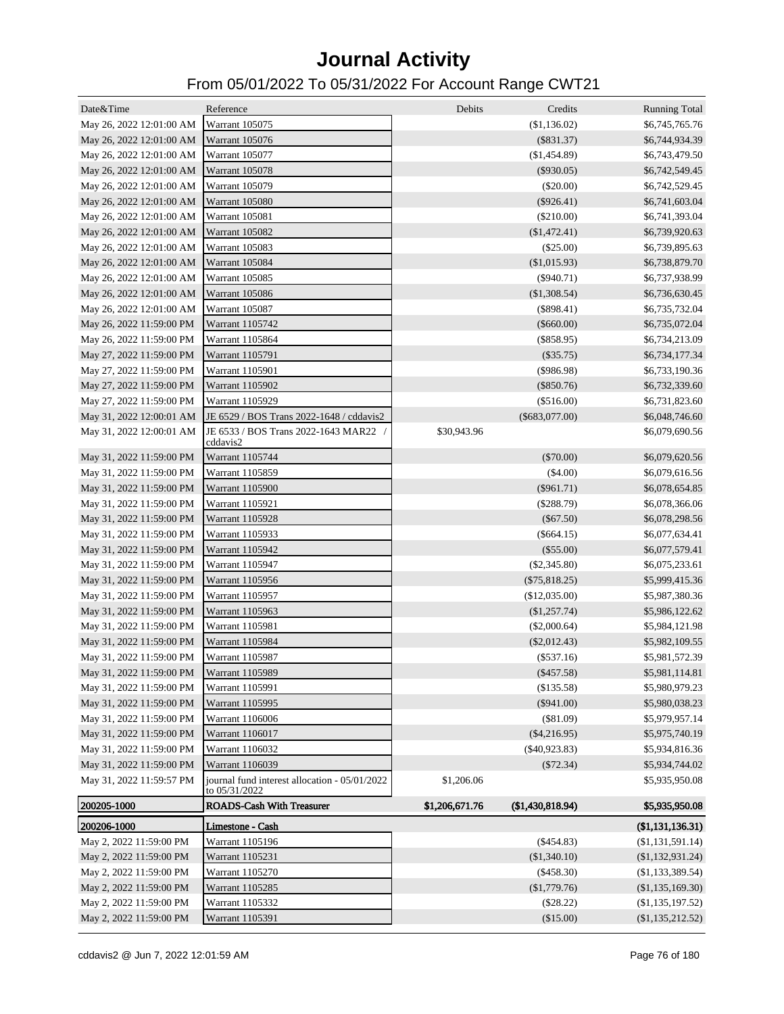| Date&Time                               | Reference                                                      | Debits         | Credits          | <b>Running Total</b>             |
|-----------------------------------------|----------------------------------------------------------------|----------------|------------------|----------------------------------|
| May 26, 2022 12:01:00 AM Warrant 105075 |                                                                |                | (\$1,136.02)     | \$6,745,765.76                   |
| May 26, 2022 12:01:00 AM Warrant 105076 |                                                                |                | $(\$831.37)$     | \$6,744,934.39                   |
| May 26, 2022 12:01:00 AM Warrant 105077 |                                                                |                | (\$1,454.89)     | \$6,743,479.50                   |
| May 26, 2022 12:01:00 AM Warrant 105078 |                                                                |                | $($ \$930.05)    | \$6,742,549.45                   |
| May 26, 2022 12:01:00 AM                | Warrant 105079                                                 |                | $(\$20.00)$      | \$6,742,529.45                   |
| May 26, 2022 12:01:00 AM Warrant 105080 |                                                                |                | $(\$926.41)$     |                                  |
|                                         |                                                                |                |                  | \$6,741,603.04                   |
| May 26, 2022 12:01:00 AM                | Warrant 105081                                                 |                | $(\$210.00)$     | \$6,741,393.04                   |
| May 26, 2022 12:01:00 AM                | Warrant 105082                                                 |                | (\$1,472.41)     | \$6,739,920.63                   |
| May 26, 2022 12:01:00 AM                | Warrant 105083                                                 |                | $(\$25.00)$      | \$6,739,895.63                   |
| May 26, 2022 12:01:00 AM                | Warrant 105084                                                 |                | (\$1,015.93)     | \$6,738,879.70                   |
| May 26, 2022 12:01:00 AM                | Warrant 105085                                                 |                | $(\$940.71)$     | \$6,737,938.99                   |
| May 26, 2022 12:01:00 AM                | Warrant 105086                                                 |                | (\$1,308.54)     | \$6,736,630.45                   |
| May 26, 2022 12:01:00 AM                | Warrant 105087                                                 |                | $(\$898.41)$     | \$6,735,732.04                   |
| May 26, 2022 11:59:00 PM                | Warrant 1105742                                                |                | $(\$660.00)$     | \$6,735,072.04                   |
| May 26, 2022 11:59:00 PM                | Warrant 1105864                                                |                | $(\$858.95)$     | \$6,734,213.09                   |
| May 27, 2022 11:59:00 PM                | Warrant 1105791                                                |                | $(\$35.75)$      | \$6,734,177.34                   |
| May 27, 2022 11:59:00 PM                | Warrant 1105901                                                |                | (\$986.98)       | \$6,733,190.36                   |
| May 27, 2022 11:59:00 PM                | Warrant 1105902                                                |                | $(\$850.76)$     | \$6,732,339.60                   |
| May 27, 2022 11:59:00 PM                | Warrant 1105929                                                |                | $(\$516.00)$     | \$6,731,823.60                   |
| May 31, 2022 12:00:01 AM                | JE 6529 / BOS Trans 2022-1648 / cddavis2                       |                | $(\$683,077.00)$ | \$6,048,746.60                   |
| May 31, 2022 12:00:01 AM                | JE 6533 / BOS Trans 2022-1643 MAR22 /<br>cddavis2              | \$30,943.96    |                  | \$6,079,690.56                   |
| May 31, 2022 11:59:00 PM                | Warrant 1105744                                                |                | $(\$70.00)$      | \$6,079,620.56                   |
| May 31, 2022 11:59:00 PM                | Warrant 1105859                                                |                | $(\$4.00)$       | \$6,079,616.56                   |
| May 31, 2022 11:59:00 PM                | Warrant 1105900                                                |                | $(\$961.71)$     | \$6,078,654.85                   |
| May 31, 2022 11:59:00 PM                | Warrant 1105921                                                |                | $(\$288.79)$     | \$6,078,366.06                   |
| May 31, 2022 11:59:00 PM                | Warrant 1105928                                                |                | $(\$67.50)$      | \$6,078,298.56                   |
| May 31, 2022 11:59:00 PM                | Warrant 1105933                                                |                | $(\$664.15)$     | \$6,077,634.41                   |
| May 31, 2022 11:59:00 PM                | Warrant 1105942                                                |                | $(\$55.00)$      | \$6,077,579.41                   |
| May 31, 2022 11:59:00 PM                | Warrant 1105947                                                |                | $(\$2,345.80)$   | \$6,075,233.61                   |
| May 31, 2022 11:59:00 PM                | Warrant 1105956                                                |                | $(\$75,818.25)$  | \$5,999,415.36                   |
| May 31, 2022 11:59:00 PM                | Warrant 1105957                                                |                | (\$12,035.00)    | \$5,987,380.36                   |
| May 31, 2022 11:59:00 PM                | Warrant 1105963                                                |                | (\$1,257.74)     | \$5,986,122.62                   |
| May 31, 2022 11:59:00 PM                | Warrant 1105981                                                |                | $(\$2,000.64)$   | \$5,984,121.98                   |
| May 31, 2022 11:59:00 PM                | Warrant 1105984                                                |                | $(\$2,012.43)$   | \$5,982,109.55                   |
| May 31, 2022 11:59:00 PM                | <b>Warrant 1105987</b>                                         |                | $(\$537.16)$     | \$5,981,572.39                   |
| May 31, 2022 11:59:00 PM                |                                                                |                | $(\$457.58)$     |                                  |
| May 31, 2022 11:59:00 PM                | Warrant 1105989                                                |                |                  | \$5,981,114.81<br>\$5,980,979.23 |
|                                         | Warrant 1105991                                                |                | $(\$135.58)$     |                                  |
| May 31, 2022 11:59:00 PM                | Warrant 1105995                                                |                | $(\$941.00)$     | \$5,980,038.23                   |
| May 31, 2022 11:59:00 PM                | Warrant 1106006                                                |                | (\$81.09)        | \$5,979,957.14                   |
| May 31, 2022 11:59:00 PM                | Warrant 1106017                                                |                | $(\$4,216.95)$   | \$5,975,740.19                   |
| May 31, 2022 11:59:00 PM                | Warrant 1106032                                                |                | $(\$40,923.83)$  | \$5,934,816.36                   |
| May 31, 2022 11:59:00 PM                | Warrant 1106039                                                |                | (\$72.34)        | \$5,934,744.02                   |
| May 31, 2022 11:59:57 PM                | journal fund interest allocation - 05/01/2022<br>to 05/31/2022 | \$1,206.06     |                  | \$5,935,950.08                   |
| 200205-1000                             | <b>ROADS-Cash With Treasurer</b>                               | \$1,206,671.76 | (\$1,430,818.94) | \$5,935,950.08                   |
| 200206-1000                             | Limestone - Cash                                               |                |                  | (\$1,131,136.31)                 |
| May 2, 2022 11:59:00 PM                 | Warrant 1105196                                                |                | $(\$454.83)$     | (\$1,131,591.14)                 |
| May 2, 2022 11:59:00 PM                 | Warrant 1105231                                                |                | (\$1,340.10)     | (\$1,132,931.24)                 |
| May 2, 2022 11:59:00 PM                 | Warrant 1105270                                                |                | $(\$458.30)$     | (\$1,133,389.54)                 |
| May 2, 2022 11:59:00 PM                 | Warrant 1105285                                                |                | (\$1,779.76)     | (\$1,135,169.30)                 |
| May 2, 2022 11:59:00 PM                 | Warrant 1105332                                                |                | $(\$28.22)$      | (\$1,135,197.52)                 |
| May 2, 2022 11:59:00 PM                 | Warrant 1105391                                                |                | (\$15.00)        | $(\$1,135,212.52)$               |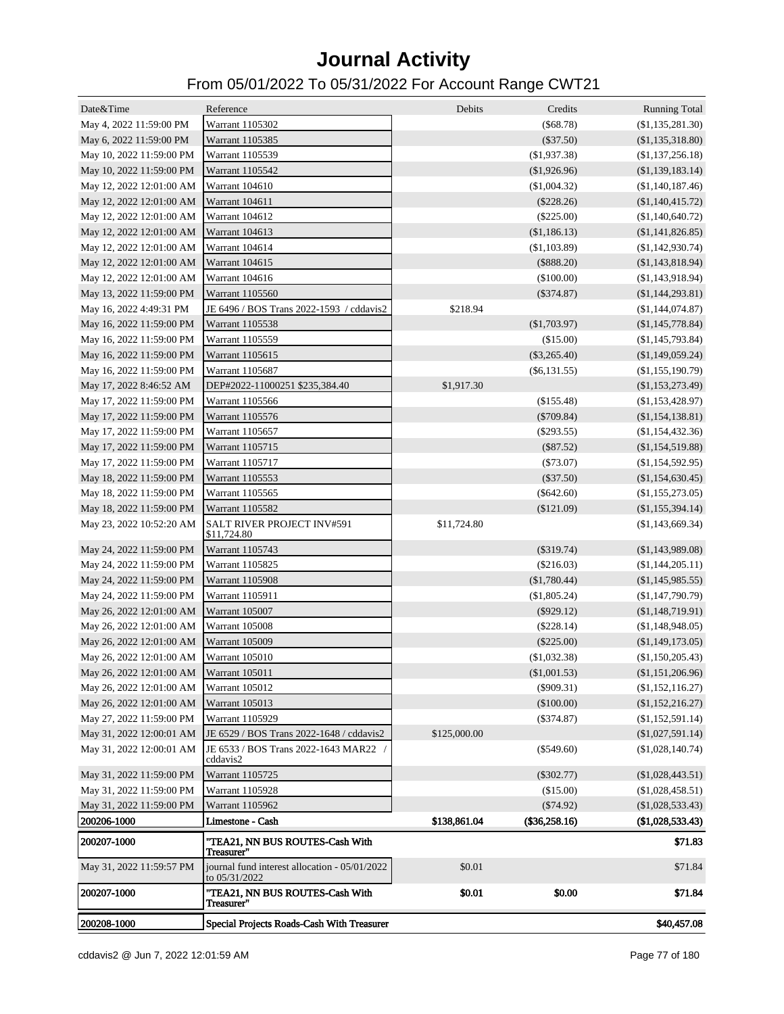| Date&Time                               | Reference                                                      | Debits       | Credits         | <b>Running Total</b> |
|-----------------------------------------|----------------------------------------------------------------|--------------|-----------------|----------------------|
| May 4, 2022 11:59:00 PM                 | Warrant 1105302                                                |              | (\$68.78)       | (\$1,135,281.30)     |
| May 6, 2022 11:59:00 PM                 | Warrant 1105385                                                |              | $(\$37.50)$     | (\$1,135,318.80)     |
| May 10, 2022 11:59:00 PM                | Warrant 1105539                                                |              | (\$1,937.38)    | (\$1,137,256.18)     |
| May 10, 2022 11:59:00 PM                | Warrant 1105542                                                |              | (\$1,926.96)    | (\$1,139,183.14)     |
| May 12, 2022 12:01:00 AM                | Warrant 104610                                                 |              | $(\$1,004.32)$  | (\$1,140,187.46)     |
| May 12, 2022 12:01:00 AM                | Warrant 104611                                                 |              | $(\$228.26)$    | (\$1,140,415.72)     |
| May 12, 2022 12:01:00 AM                | Warrant 104612                                                 |              | $(\$225.00)$    | (\$1,140,640.72)     |
| May 12, 2022 12:01:00 AM                | Warrant 104613                                                 |              | (\$1,186.13)    | (\$1,141,826.85)     |
| May 12, 2022 12:01:00 AM                | <b>Warrant 104614</b>                                          |              | (\$1,103.89)    | (\$1,142,930.74)     |
| May 12, 2022 12:01:00 AM                | <b>Warrant 104615</b>                                          |              | $(\$888.20)$    | (\$1,143,818.94)     |
| May 12, 2022 12:01:00 AM                | Warrant 104616                                                 |              | (\$100.00)      | (\$1,143,918.94)     |
| May 13, 2022 11:59:00 PM                | Warrant 1105560                                                |              | $(\$374.87)$    | (\$1,144,293.81)     |
| May 16, 2022 4:49:31 PM                 | JE 6496 / BOS Trans 2022-1593 / cddavis2                       | \$218.94     |                 | (\$1,144,074.87)     |
| May 16, 2022 11:59:00 PM                | Warrant 1105538                                                |              | $(\$1,703.97)$  | (\$1,145,778.84)     |
| May 16, 2022 11:59:00 PM                | Warrant 1105559                                                |              | (\$15.00)       | (\$1,145,793.84)     |
| May 16, 2022 11:59:00 PM                | Warrant 1105615                                                |              | $(\$3,265.40)$  | (\$1,149,059.24)     |
| May 16, 2022 11:59:00 PM                | Warrant 1105687                                                |              | $(\$6,131.55)$  | (\$1,155,190.79)     |
| May 17, 2022 8:46:52 AM                 | DEP#2022-11000251 \$235,384.40                                 | \$1,917.30   |                 | (\$1,153,273.49)     |
| May 17, 2022 11:59:00 PM                | Warrant 1105566                                                |              | $(\$155.48)$    | (\$1,153,428.97)     |
| May 17, 2022 11:59:00 PM                | Warrant 1105576                                                |              | $(\$709.84)$    | (\$1,154,138.81)     |
| May 17, 2022 11:59:00 PM                | Warrant 1105657                                                |              | $(\$293.55)$    | (\$1,154,432.36)     |
| May 17, 2022 11:59:00 PM                | Warrant 1105715                                                |              | $(\$87.52)$     | (\$1,154,519.88)     |
| May 17, 2022 11:59:00 PM                | Warrant 1105717                                                |              | $(\$73.07)$     | (\$1,154,592.95)     |
| May 18, 2022 11:59:00 PM                | Warrant 1105553                                                |              | $(\$37.50)$     | (\$1,154,630.45)     |
| May 18, 2022 11:59:00 PM                | Warrant 1105565                                                |              | $(\$642.60)$    | (\$1,155,273.05)     |
| May 18, 2022 11:59:00 PM                | Warrant 1105582                                                |              | $(\$121.09)$    | (\$1,155,394.14)     |
| May 23, 2022 10:52:20 AM                | SALT RIVER PROJECT INV#591<br>\$11,724.80                      | \$11,724.80  |                 | (\$1,143,669.34)     |
| May 24, 2022 11:59:00 PM                | Warrant 1105743                                                |              | $(\$319.74)$    | (\$1,143,989.08)     |
| May 24, 2022 11:59:00 PM                | Warrant 1105825                                                |              | $(\$216.03)$    | (\$1,144,205.11)     |
| May 24, 2022 11:59:00 PM                | <b>Warrant 1105908</b>                                         |              | $(\$1,780.44)$  | (\$1,145,985.55)     |
| May 24, 2022 11:59:00 PM                | Warrant 1105911                                                |              | (\$1,805.24)    | (\$1,147,790.79)     |
| May 26, 2022 12:01:00 AM                | Warrant 105007                                                 |              | $(\$929.12)$    | (\$1,148,719.91)     |
| May 26, 2022 12:01:00 AM                | Warrant 105008                                                 |              | $(\$228.14)$    | (\$1,148,948.05)     |
| May 26, 2022 12:01:00 AM                | <b>Warrant 105009</b>                                          |              | $(\$225.00)$    | (\$1,149,173.05)     |
| May 26, 2022 12:01:00 AM Warrant 105010 |                                                                |              | (\$1,032.38)    | (\$1,150,205.43)     |
| May 26, 2022 12:01:00 AM Warrant 105011 |                                                                |              | (\$1,001.53)    | (\$1,151,206.96)     |
| May 26, 2022 12:01:00 AM Warrant 105012 |                                                                |              | $(\$909.31)$    | (\$1,152,116.27)     |
| May 26, 2022 12:01:00 AM                | <b>Warrant 105013</b>                                          |              | (\$100.00)      | (\$1,152,216.27)     |
| May 27, 2022 11:59:00 PM                | Warrant 1105929                                                |              | $(\$374.87)$    | (\$1,152,591.14)     |
| May 31, 2022 12:00:01 AM                | JE 6529 / BOS Trans 2022-1648 / cddavis2                       | \$125,000.00 |                 | (\$1,027,591.14)     |
| May 31, 2022 12:00:01 AM                | JE 6533 / BOS Trans 2022-1643 MAR22 /<br>cddavis2              |              | $(\$549.60)$    | (\$1,028,140.74)     |
| May 31, 2022 11:59:00 PM                | Warrant 1105725                                                |              | $(\$302.77)$    | $(\$1,028,443.51)$   |
| May 31, 2022 11:59:00 PM                | Warrant 1105928                                                |              | (\$15.00)       | (\$1,028,458.51)     |
| May 31, 2022 11:59:00 PM                | Warrant 1105962                                                |              | $(\$74.92)$     | (\$1,028,533.43)     |
| 200206-1000                             | Limestone - Cash                                               | \$138,861.04 | $(\$36,258.16)$ | (\$1,028,533.43)     |
| 200207-1000                             | "TEA21, NN BUS ROUTES-Cash With<br>Treasurer"                  |              |                 | \$71.83              |
| May 31, 2022 11:59:57 PM                | journal fund interest allocation - 05/01/2022<br>to 05/31/2022 | \$0.01       |                 | \$71.84              |
| 200207-1000                             | "TEA21, NN BUS ROUTES-Cash With<br>Treasurer"                  | \$0.01       | \$0.00          | \$71.84              |
| 200208-1000                             | Special Projects Roads-Cash With Treasurer                     |              |                 | \$40,457.08          |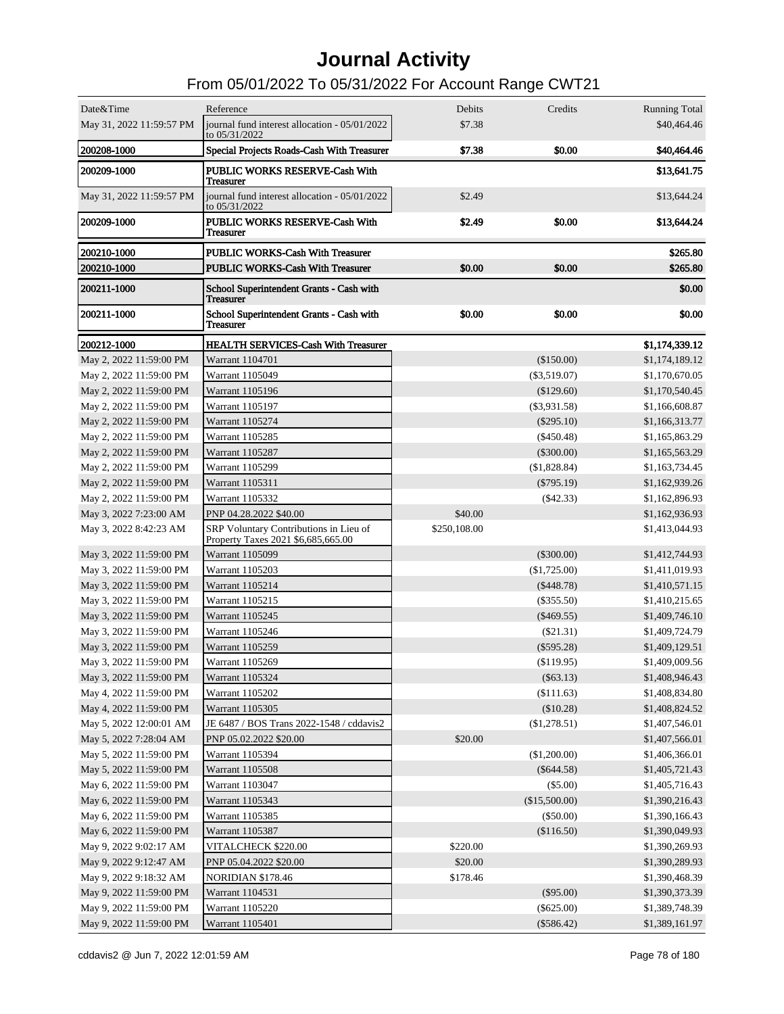| May 31, 2022 11:59:57 PM<br>journal fund interest allocation - 05/01/2022<br>\$7.38<br>\$40,464.46<br>to 05/31/2022<br>\$0.00<br><b>200208-1000</b><br>Special Projects Roads-Cash With Treasurer<br>\$7.38<br>\$40,464.46<br>200209-1000<br>PUBLIC WORKS RESERVE-Cash With<br>\$13,641.75<br><b>Treasurer</b><br>May 31, 2022 11:59:57 PM<br>journal fund interest allocation - 05/01/2022<br>\$2.49<br>\$13,644.24<br>to 05/31/2022<br>200209-1000<br>PUBLIC WORKS RESERVE-Cash With<br>\$2.49<br>\$0.00<br>\$13,644.24<br><b>Treasurer</b><br>\$265.80<br>200210-1000<br><b>PUBLIC WORKS-Cash With Treasurer</b><br>\$0.00<br>\$265.80<br>200210-1000<br><b>PUBLIC WORKS-Cash With Treasurer</b><br>\$0.00<br>\$0.00<br>200211-1000<br>School Superintendent Grants - Cash with<br><b>Treasurer</b><br>200211-1000<br>\$0.00<br>\$0.00<br>\$0.00<br>School Superintendent Grants - Cash with<br><b>Treasurer</b><br>200212-1000<br><b>HEALTH SERVICES-Cash With Treasurer</b><br>\$1,174,339.12<br>May 2, 2022 11:59:00 PM<br>Warrant 1104701<br>$(\$150.00)$<br>\$1,174,189.12<br>\$1,170,670.05<br>May 2, 2022 11:59:00 PM<br>Warrant 1105049<br>$(\$3,519.07)$<br>May 2, 2022 11:59:00 PM<br>Warrant 1105196<br>(\$129.60)<br>\$1,170,540.45<br>May 2, 2022 11:59:00 PM<br>Warrant 1105197<br>$(\$3,931.58)$<br>\$1,166,608.87<br>May 2, 2022 11:59:00 PM<br>Warrant 1105274<br>$(\$295.10)$<br>\$1,166,313.77<br>May 2, 2022 11:59:00 PM<br>Warrant 1105285<br>$(\$450.48)$<br>\$1,165,863.29<br>May 2, 2022 11:59:00 PM<br>Warrant 1105287<br>$(\$300.00)$<br>\$1,165,563.29<br>May 2, 2022 11:59:00 PM<br>Warrant 1105299<br>(\$1,828.84)<br>\$1,163,734.45<br>May 2, 2022 11:59:00 PM<br>Warrant 1105311<br>$(\$795.19)$<br>\$1,162,939.26<br>May 2, 2022 11:59:00 PM<br>Warrant 1105332<br>$(\$42.33)$<br>\$1,162,896.93<br>\$40.00<br>May 3, 2022 7:23:00 AM<br>PNP 04.28.2022 \$40.00<br>\$1,162,936.93<br>SRP Voluntary Contributions in Lieu of<br>\$250,108.00<br>May 3, 2022 8:42:23 AM<br>\$1,413,044.93<br>Property Taxes 2021 \$6,685,665.00<br>May 3, 2022 11:59:00 PM<br>Warrant 1105099<br>$(\$300.00)$<br>\$1,412,744.93<br>May 3, 2022 11:59:00 PM<br>Warrant 1105203<br>(\$1,725.00)<br>\$1,411,019.93<br>May 3, 2022 11:59:00 PM<br>Warrant 1105214<br>$(\$448.78)$<br>\$1,410,571.15<br>May 3, 2022 11:59:00 PM<br>Warrant 1105215<br>\$1,410,215.65<br>$(\$355.50)$<br>May 3, 2022 11:59:00 PM<br>Warrant 1105245<br>$(\$469.55)$<br>\$1,409,746.10<br>May 3, 2022 11:59:00 PM<br>Warrant 1105246<br>$(\$21.31)$<br>\$1,409,724.79<br>May 3, 2022 11:59:00 PM<br>Warrant 1105259<br>$(\$595.28)$<br>\$1,409,129.51<br>May 3, 2022 11:59:00 PM<br>Warrant 1105269<br>(\$119.95)<br>\$1,409,009.56<br>May 3, 2022 11:59:00 PM<br>Warrant 1105324<br>$(\$63.13)$<br>\$1,408,946.43<br>May 4, 2022 11:59:00 PM<br>Warrant 1105202<br>(\$111.63)<br>\$1,408,834.80<br>May 4, 2022 11:59:00 PM<br>Warrant 1105305<br>(\$10.28)<br>\$1,408,824.52<br>May 5, 2022 12:00:01 AM<br>JE 6487 / BOS Trans 2022-1548 / cddavis2<br>(\$1,278.51)<br>\$1,407,546.01<br>\$20.00<br>May 5, 2022 7:28:04 AM<br>PNP 05.02.2022 \$20.00<br>\$1,407,566.01<br>(\$1,200.00)<br>May 5, 2022 11:59:00 PM<br>Warrant 1105394<br>\$1,406,366.01<br>May 5, 2022 11:59:00 PM<br>Warrant 1105508<br>$(\$644.58)$<br>\$1,405,721.43<br>May 6, 2022 11:59:00 PM<br>Warrant 1103047<br>$(\$5.00)$<br>\$1,405,716.43<br>(\$15,500.00)<br>May 6, 2022 11:59:00 PM<br>Warrant 1105343<br>\$1,390,216.43<br>May 6, 2022 11:59:00 PM<br>Warrant 1105385<br>$(\$50.00)$<br>\$1,390,166.43<br>May 6, 2022 11:59:00 PM<br>Warrant 1105387<br>(\$116.50)<br>\$1,390,049.93<br>VITALCHECK \$220.00<br>\$220.00<br>May 9, 2022 9:02:17 AM<br>\$1,390,269.93<br>\$20.00<br>May 9, 2022 9:12:47 AM<br>PNP 05.04.2022 \$20.00<br>\$1,390,289.93<br>\$178.46<br>May 9, 2022 9:18:32 AM<br><b>NORIDIAN \$178.46</b><br>\$1,390,468.39<br>May 9, 2022 11:59:00 PM<br>$(\$95.00)$<br>Warrant 1104531<br>\$1,390,373.39<br>May 9, 2022 11:59:00 PM<br>Warrant 1105220<br>$(\$625.00)$<br>\$1,389,748.39<br>May 9, 2022 11:59:00 PM<br>Warrant 1105401<br>$(\$586.42)$<br>\$1,389,161.97 | Date&Time | Reference | Debits | Credits | <b>Running Total</b> |
|------------------------------------------------------------------------------------------------------------------------------------------------------------------------------------------------------------------------------------------------------------------------------------------------------------------------------------------------------------------------------------------------------------------------------------------------------------------------------------------------------------------------------------------------------------------------------------------------------------------------------------------------------------------------------------------------------------------------------------------------------------------------------------------------------------------------------------------------------------------------------------------------------------------------------------------------------------------------------------------------------------------------------------------------------------------------------------------------------------------------------------------------------------------------------------------------------------------------------------------------------------------------------------------------------------------------------------------------------------------------------------------------------------------------------------------------------------------------------------------------------------------------------------------------------------------------------------------------------------------------------------------------------------------------------------------------------------------------------------------------------------------------------------------------------------------------------------------------------------------------------------------------------------------------------------------------------------------------------------------------------------------------------------------------------------------------------------------------------------------------------------------------------------------------------------------------------------------------------------------------------------------------------------------------------------------------------------------------------------------------------------------------------------------------------------------------------------------------------------------------------------------------------------------------------------------------------------------------------------------------------------------------------------------------------------------------------------------------------------------------------------------------------------------------------------------------------------------------------------------------------------------------------------------------------------------------------------------------------------------------------------------------------------------------------------------------------------------------------------------------------------------------------------------------------------------------------------------------------------------------------------------------------------------------------------------------------------------------------------------------------------------------------------------------------------------------------------------------------------------------------------------------------------------------------------------------------------------------------------------------------------------------------------------------------------------------------------------------------------------------------------------------------------------------------------------------------------------------------------------------------------------------------------------------------------------------------------------------------------------------------------------------------------------------------------------------------------------------------------------------------------------------------------------|-----------|-----------|--------|---------|----------------------|
|                                                                                                                                                                                                                                                                                                                                                                                                                                                                                                                                                                                                                                                                                                                                                                                                                                                                                                                                                                                                                                                                                                                                                                                                                                                                                                                                                                                                                                                                                                                                                                                                                                                                                                                                                                                                                                                                                                                                                                                                                                                                                                                                                                                                                                                                                                                                                                                                                                                                                                                                                                                                                                                                                                                                                                                                                                                                                                                                                                                                                                                                                                                                                                                                                                                                                                                                                                                                                                                                                                                                                                                                                                                                                                                                                                                                                                                                                                                                                                                                                                                                                                                                                                  |           |           |        |         |                      |
|                                                                                                                                                                                                                                                                                                                                                                                                                                                                                                                                                                                                                                                                                                                                                                                                                                                                                                                                                                                                                                                                                                                                                                                                                                                                                                                                                                                                                                                                                                                                                                                                                                                                                                                                                                                                                                                                                                                                                                                                                                                                                                                                                                                                                                                                                                                                                                                                                                                                                                                                                                                                                                                                                                                                                                                                                                                                                                                                                                                                                                                                                                                                                                                                                                                                                                                                                                                                                                                                                                                                                                                                                                                                                                                                                                                                                                                                                                                                                                                                                                                                                                                                                                  |           |           |        |         |                      |
|                                                                                                                                                                                                                                                                                                                                                                                                                                                                                                                                                                                                                                                                                                                                                                                                                                                                                                                                                                                                                                                                                                                                                                                                                                                                                                                                                                                                                                                                                                                                                                                                                                                                                                                                                                                                                                                                                                                                                                                                                                                                                                                                                                                                                                                                                                                                                                                                                                                                                                                                                                                                                                                                                                                                                                                                                                                                                                                                                                                                                                                                                                                                                                                                                                                                                                                                                                                                                                                                                                                                                                                                                                                                                                                                                                                                                                                                                                                                                                                                                                                                                                                                                                  |           |           |        |         |                      |
|                                                                                                                                                                                                                                                                                                                                                                                                                                                                                                                                                                                                                                                                                                                                                                                                                                                                                                                                                                                                                                                                                                                                                                                                                                                                                                                                                                                                                                                                                                                                                                                                                                                                                                                                                                                                                                                                                                                                                                                                                                                                                                                                                                                                                                                                                                                                                                                                                                                                                                                                                                                                                                                                                                                                                                                                                                                                                                                                                                                                                                                                                                                                                                                                                                                                                                                                                                                                                                                                                                                                                                                                                                                                                                                                                                                                                                                                                                                                                                                                                                                                                                                                                                  |           |           |        |         |                      |
|                                                                                                                                                                                                                                                                                                                                                                                                                                                                                                                                                                                                                                                                                                                                                                                                                                                                                                                                                                                                                                                                                                                                                                                                                                                                                                                                                                                                                                                                                                                                                                                                                                                                                                                                                                                                                                                                                                                                                                                                                                                                                                                                                                                                                                                                                                                                                                                                                                                                                                                                                                                                                                                                                                                                                                                                                                                                                                                                                                                                                                                                                                                                                                                                                                                                                                                                                                                                                                                                                                                                                                                                                                                                                                                                                                                                                                                                                                                                                                                                                                                                                                                                                                  |           |           |        |         |                      |
|                                                                                                                                                                                                                                                                                                                                                                                                                                                                                                                                                                                                                                                                                                                                                                                                                                                                                                                                                                                                                                                                                                                                                                                                                                                                                                                                                                                                                                                                                                                                                                                                                                                                                                                                                                                                                                                                                                                                                                                                                                                                                                                                                                                                                                                                                                                                                                                                                                                                                                                                                                                                                                                                                                                                                                                                                                                                                                                                                                                                                                                                                                                                                                                                                                                                                                                                                                                                                                                                                                                                                                                                                                                                                                                                                                                                                                                                                                                                                                                                                                                                                                                                                                  |           |           |        |         |                      |
|                                                                                                                                                                                                                                                                                                                                                                                                                                                                                                                                                                                                                                                                                                                                                                                                                                                                                                                                                                                                                                                                                                                                                                                                                                                                                                                                                                                                                                                                                                                                                                                                                                                                                                                                                                                                                                                                                                                                                                                                                                                                                                                                                                                                                                                                                                                                                                                                                                                                                                                                                                                                                                                                                                                                                                                                                                                                                                                                                                                                                                                                                                                                                                                                                                                                                                                                                                                                                                                                                                                                                                                                                                                                                                                                                                                                                                                                                                                                                                                                                                                                                                                                                                  |           |           |        |         |                      |
|                                                                                                                                                                                                                                                                                                                                                                                                                                                                                                                                                                                                                                                                                                                                                                                                                                                                                                                                                                                                                                                                                                                                                                                                                                                                                                                                                                                                                                                                                                                                                                                                                                                                                                                                                                                                                                                                                                                                                                                                                                                                                                                                                                                                                                                                                                                                                                                                                                                                                                                                                                                                                                                                                                                                                                                                                                                                                                                                                                                                                                                                                                                                                                                                                                                                                                                                                                                                                                                                                                                                                                                                                                                                                                                                                                                                                                                                                                                                                                                                                                                                                                                                                                  |           |           |        |         |                      |
|                                                                                                                                                                                                                                                                                                                                                                                                                                                                                                                                                                                                                                                                                                                                                                                                                                                                                                                                                                                                                                                                                                                                                                                                                                                                                                                                                                                                                                                                                                                                                                                                                                                                                                                                                                                                                                                                                                                                                                                                                                                                                                                                                                                                                                                                                                                                                                                                                                                                                                                                                                                                                                                                                                                                                                                                                                                                                                                                                                                                                                                                                                                                                                                                                                                                                                                                                                                                                                                                                                                                                                                                                                                                                                                                                                                                                                                                                                                                                                                                                                                                                                                                                                  |           |           |        |         |                      |
|                                                                                                                                                                                                                                                                                                                                                                                                                                                                                                                                                                                                                                                                                                                                                                                                                                                                                                                                                                                                                                                                                                                                                                                                                                                                                                                                                                                                                                                                                                                                                                                                                                                                                                                                                                                                                                                                                                                                                                                                                                                                                                                                                                                                                                                                                                                                                                                                                                                                                                                                                                                                                                                                                                                                                                                                                                                                                                                                                                                                                                                                                                                                                                                                                                                                                                                                                                                                                                                                                                                                                                                                                                                                                                                                                                                                                                                                                                                                                                                                                                                                                                                                                                  |           |           |        |         |                      |
|                                                                                                                                                                                                                                                                                                                                                                                                                                                                                                                                                                                                                                                                                                                                                                                                                                                                                                                                                                                                                                                                                                                                                                                                                                                                                                                                                                                                                                                                                                                                                                                                                                                                                                                                                                                                                                                                                                                                                                                                                                                                                                                                                                                                                                                                                                                                                                                                                                                                                                                                                                                                                                                                                                                                                                                                                                                                                                                                                                                                                                                                                                                                                                                                                                                                                                                                                                                                                                                                                                                                                                                                                                                                                                                                                                                                                                                                                                                                                                                                                                                                                                                                                                  |           |           |        |         |                      |
|                                                                                                                                                                                                                                                                                                                                                                                                                                                                                                                                                                                                                                                                                                                                                                                                                                                                                                                                                                                                                                                                                                                                                                                                                                                                                                                                                                                                                                                                                                                                                                                                                                                                                                                                                                                                                                                                                                                                                                                                                                                                                                                                                                                                                                                                                                                                                                                                                                                                                                                                                                                                                                                                                                                                                                                                                                                                                                                                                                                                                                                                                                                                                                                                                                                                                                                                                                                                                                                                                                                                                                                                                                                                                                                                                                                                                                                                                                                                                                                                                                                                                                                                                                  |           |           |        |         |                      |
|                                                                                                                                                                                                                                                                                                                                                                                                                                                                                                                                                                                                                                                                                                                                                                                                                                                                                                                                                                                                                                                                                                                                                                                                                                                                                                                                                                                                                                                                                                                                                                                                                                                                                                                                                                                                                                                                                                                                                                                                                                                                                                                                                                                                                                                                                                                                                                                                                                                                                                                                                                                                                                                                                                                                                                                                                                                                                                                                                                                                                                                                                                                                                                                                                                                                                                                                                                                                                                                                                                                                                                                                                                                                                                                                                                                                                                                                                                                                                                                                                                                                                                                                                                  |           |           |        |         |                      |
|                                                                                                                                                                                                                                                                                                                                                                                                                                                                                                                                                                                                                                                                                                                                                                                                                                                                                                                                                                                                                                                                                                                                                                                                                                                                                                                                                                                                                                                                                                                                                                                                                                                                                                                                                                                                                                                                                                                                                                                                                                                                                                                                                                                                                                                                                                                                                                                                                                                                                                                                                                                                                                                                                                                                                                                                                                                                                                                                                                                                                                                                                                                                                                                                                                                                                                                                                                                                                                                                                                                                                                                                                                                                                                                                                                                                                                                                                                                                                                                                                                                                                                                                                                  |           |           |        |         |                      |
|                                                                                                                                                                                                                                                                                                                                                                                                                                                                                                                                                                                                                                                                                                                                                                                                                                                                                                                                                                                                                                                                                                                                                                                                                                                                                                                                                                                                                                                                                                                                                                                                                                                                                                                                                                                                                                                                                                                                                                                                                                                                                                                                                                                                                                                                                                                                                                                                                                                                                                                                                                                                                                                                                                                                                                                                                                                                                                                                                                                                                                                                                                                                                                                                                                                                                                                                                                                                                                                                                                                                                                                                                                                                                                                                                                                                                                                                                                                                                                                                                                                                                                                                                                  |           |           |        |         |                      |
|                                                                                                                                                                                                                                                                                                                                                                                                                                                                                                                                                                                                                                                                                                                                                                                                                                                                                                                                                                                                                                                                                                                                                                                                                                                                                                                                                                                                                                                                                                                                                                                                                                                                                                                                                                                                                                                                                                                                                                                                                                                                                                                                                                                                                                                                                                                                                                                                                                                                                                                                                                                                                                                                                                                                                                                                                                                                                                                                                                                                                                                                                                                                                                                                                                                                                                                                                                                                                                                                                                                                                                                                                                                                                                                                                                                                                                                                                                                                                                                                                                                                                                                                                                  |           |           |        |         |                      |
|                                                                                                                                                                                                                                                                                                                                                                                                                                                                                                                                                                                                                                                                                                                                                                                                                                                                                                                                                                                                                                                                                                                                                                                                                                                                                                                                                                                                                                                                                                                                                                                                                                                                                                                                                                                                                                                                                                                                                                                                                                                                                                                                                                                                                                                                                                                                                                                                                                                                                                                                                                                                                                                                                                                                                                                                                                                                                                                                                                                                                                                                                                                                                                                                                                                                                                                                                                                                                                                                                                                                                                                                                                                                                                                                                                                                                                                                                                                                                                                                                                                                                                                                                                  |           |           |        |         |                      |
|                                                                                                                                                                                                                                                                                                                                                                                                                                                                                                                                                                                                                                                                                                                                                                                                                                                                                                                                                                                                                                                                                                                                                                                                                                                                                                                                                                                                                                                                                                                                                                                                                                                                                                                                                                                                                                                                                                                                                                                                                                                                                                                                                                                                                                                                                                                                                                                                                                                                                                                                                                                                                                                                                                                                                                                                                                                                                                                                                                                                                                                                                                                                                                                                                                                                                                                                                                                                                                                                                                                                                                                                                                                                                                                                                                                                                                                                                                                                                                                                                                                                                                                                                                  |           |           |        |         |                      |
|                                                                                                                                                                                                                                                                                                                                                                                                                                                                                                                                                                                                                                                                                                                                                                                                                                                                                                                                                                                                                                                                                                                                                                                                                                                                                                                                                                                                                                                                                                                                                                                                                                                                                                                                                                                                                                                                                                                                                                                                                                                                                                                                                                                                                                                                                                                                                                                                                                                                                                                                                                                                                                                                                                                                                                                                                                                                                                                                                                                                                                                                                                                                                                                                                                                                                                                                                                                                                                                                                                                                                                                                                                                                                                                                                                                                                                                                                                                                                                                                                                                                                                                                                                  |           |           |        |         |                      |
|                                                                                                                                                                                                                                                                                                                                                                                                                                                                                                                                                                                                                                                                                                                                                                                                                                                                                                                                                                                                                                                                                                                                                                                                                                                                                                                                                                                                                                                                                                                                                                                                                                                                                                                                                                                                                                                                                                                                                                                                                                                                                                                                                                                                                                                                                                                                                                                                                                                                                                                                                                                                                                                                                                                                                                                                                                                                                                                                                                                                                                                                                                                                                                                                                                                                                                                                                                                                                                                                                                                                                                                                                                                                                                                                                                                                                                                                                                                                                                                                                                                                                                                                                                  |           |           |        |         |                      |
|                                                                                                                                                                                                                                                                                                                                                                                                                                                                                                                                                                                                                                                                                                                                                                                                                                                                                                                                                                                                                                                                                                                                                                                                                                                                                                                                                                                                                                                                                                                                                                                                                                                                                                                                                                                                                                                                                                                                                                                                                                                                                                                                                                                                                                                                                                                                                                                                                                                                                                                                                                                                                                                                                                                                                                                                                                                                                                                                                                                                                                                                                                                                                                                                                                                                                                                                                                                                                                                                                                                                                                                                                                                                                                                                                                                                                                                                                                                                                                                                                                                                                                                                                                  |           |           |        |         |                      |
|                                                                                                                                                                                                                                                                                                                                                                                                                                                                                                                                                                                                                                                                                                                                                                                                                                                                                                                                                                                                                                                                                                                                                                                                                                                                                                                                                                                                                                                                                                                                                                                                                                                                                                                                                                                                                                                                                                                                                                                                                                                                                                                                                                                                                                                                                                                                                                                                                                                                                                                                                                                                                                                                                                                                                                                                                                                                                                                                                                                                                                                                                                                                                                                                                                                                                                                                                                                                                                                                                                                                                                                                                                                                                                                                                                                                                                                                                                                                                                                                                                                                                                                                                                  |           |           |        |         |                      |
|                                                                                                                                                                                                                                                                                                                                                                                                                                                                                                                                                                                                                                                                                                                                                                                                                                                                                                                                                                                                                                                                                                                                                                                                                                                                                                                                                                                                                                                                                                                                                                                                                                                                                                                                                                                                                                                                                                                                                                                                                                                                                                                                                                                                                                                                                                                                                                                                                                                                                                                                                                                                                                                                                                                                                                                                                                                                                                                                                                                                                                                                                                                                                                                                                                                                                                                                                                                                                                                                                                                                                                                                                                                                                                                                                                                                                                                                                                                                                                                                                                                                                                                                                                  |           |           |        |         |                      |
|                                                                                                                                                                                                                                                                                                                                                                                                                                                                                                                                                                                                                                                                                                                                                                                                                                                                                                                                                                                                                                                                                                                                                                                                                                                                                                                                                                                                                                                                                                                                                                                                                                                                                                                                                                                                                                                                                                                                                                                                                                                                                                                                                                                                                                                                                                                                                                                                                                                                                                                                                                                                                                                                                                                                                                                                                                                                                                                                                                                                                                                                                                                                                                                                                                                                                                                                                                                                                                                                                                                                                                                                                                                                                                                                                                                                                                                                                                                                                                                                                                                                                                                                                                  |           |           |        |         |                      |
|                                                                                                                                                                                                                                                                                                                                                                                                                                                                                                                                                                                                                                                                                                                                                                                                                                                                                                                                                                                                                                                                                                                                                                                                                                                                                                                                                                                                                                                                                                                                                                                                                                                                                                                                                                                                                                                                                                                                                                                                                                                                                                                                                                                                                                                                                                                                                                                                                                                                                                                                                                                                                                                                                                                                                                                                                                                                                                                                                                                                                                                                                                                                                                                                                                                                                                                                                                                                                                                                                                                                                                                                                                                                                                                                                                                                                                                                                                                                                                                                                                                                                                                                                                  |           |           |        |         |                      |
|                                                                                                                                                                                                                                                                                                                                                                                                                                                                                                                                                                                                                                                                                                                                                                                                                                                                                                                                                                                                                                                                                                                                                                                                                                                                                                                                                                                                                                                                                                                                                                                                                                                                                                                                                                                                                                                                                                                                                                                                                                                                                                                                                                                                                                                                                                                                                                                                                                                                                                                                                                                                                                                                                                                                                                                                                                                                                                                                                                                                                                                                                                                                                                                                                                                                                                                                                                                                                                                                                                                                                                                                                                                                                                                                                                                                                                                                                                                                                                                                                                                                                                                                                                  |           |           |        |         |                      |
|                                                                                                                                                                                                                                                                                                                                                                                                                                                                                                                                                                                                                                                                                                                                                                                                                                                                                                                                                                                                                                                                                                                                                                                                                                                                                                                                                                                                                                                                                                                                                                                                                                                                                                                                                                                                                                                                                                                                                                                                                                                                                                                                                                                                                                                                                                                                                                                                                                                                                                                                                                                                                                                                                                                                                                                                                                                                                                                                                                                                                                                                                                                                                                                                                                                                                                                                                                                                                                                                                                                                                                                                                                                                                                                                                                                                                                                                                                                                                                                                                                                                                                                                                                  |           |           |        |         |                      |
|                                                                                                                                                                                                                                                                                                                                                                                                                                                                                                                                                                                                                                                                                                                                                                                                                                                                                                                                                                                                                                                                                                                                                                                                                                                                                                                                                                                                                                                                                                                                                                                                                                                                                                                                                                                                                                                                                                                                                                                                                                                                                                                                                                                                                                                                                                                                                                                                                                                                                                                                                                                                                                                                                                                                                                                                                                                                                                                                                                                                                                                                                                                                                                                                                                                                                                                                                                                                                                                                                                                                                                                                                                                                                                                                                                                                                                                                                                                                                                                                                                                                                                                                                                  |           |           |        |         |                      |
|                                                                                                                                                                                                                                                                                                                                                                                                                                                                                                                                                                                                                                                                                                                                                                                                                                                                                                                                                                                                                                                                                                                                                                                                                                                                                                                                                                                                                                                                                                                                                                                                                                                                                                                                                                                                                                                                                                                                                                                                                                                                                                                                                                                                                                                                                                                                                                                                                                                                                                                                                                                                                                                                                                                                                                                                                                                                                                                                                                                                                                                                                                                                                                                                                                                                                                                                                                                                                                                                                                                                                                                                                                                                                                                                                                                                                                                                                                                                                                                                                                                                                                                                                                  |           |           |        |         |                      |
|                                                                                                                                                                                                                                                                                                                                                                                                                                                                                                                                                                                                                                                                                                                                                                                                                                                                                                                                                                                                                                                                                                                                                                                                                                                                                                                                                                                                                                                                                                                                                                                                                                                                                                                                                                                                                                                                                                                                                                                                                                                                                                                                                                                                                                                                                                                                                                                                                                                                                                                                                                                                                                                                                                                                                                                                                                                                                                                                                                                                                                                                                                                                                                                                                                                                                                                                                                                                                                                                                                                                                                                                                                                                                                                                                                                                                                                                                                                                                                                                                                                                                                                                                                  |           |           |        |         |                      |
|                                                                                                                                                                                                                                                                                                                                                                                                                                                                                                                                                                                                                                                                                                                                                                                                                                                                                                                                                                                                                                                                                                                                                                                                                                                                                                                                                                                                                                                                                                                                                                                                                                                                                                                                                                                                                                                                                                                                                                                                                                                                                                                                                                                                                                                                                                                                                                                                                                                                                                                                                                                                                                                                                                                                                                                                                                                                                                                                                                                                                                                                                                                                                                                                                                                                                                                                                                                                                                                                                                                                                                                                                                                                                                                                                                                                                                                                                                                                                                                                                                                                                                                                                                  |           |           |        |         |                      |
|                                                                                                                                                                                                                                                                                                                                                                                                                                                                                                                                                                                                                                                                                                                                                                                                                                                                                                                                                                                                                                                                                                                                                                                                                                                                                                                                                                                                                                                                                                                                                                                                                                                                                                                                                                                                                                                                                                                                                                                                                                                                                                                                                                                                                                                                                                                                                                                                                                                                                                                                                                                                                                                                                                                                                                                                                                                                                                                                                                                                                                                                                                                                                                                                                                                                                                                                                                                                                                                                                                                                                                                                                                                                                                                                                                                                                                                                                                                                                                                                                                                                                                                                                                  |           |           |        |         |                      |
|                                                                                                                                                                                                                                                                                                                                                                                                                                                                                                                                                                                                                                                                                                                                                                                                                                                                                                                                                                                                                                                                                                                                                                                                                                                                                                                                                                                                                                                                                                                                                                                                                                                                                                                                                                                                                                                                                                                                                                                                                                                                                                                                                                                                                                                                                                                                                                                                                                                                                                                                                                                                                                                                                                                                                                                                                                                                                                                                                                                                                                                                                                                                                                                                                                                                                                                                                                                                                                                                                                                                                                                                                                                                                                                                                                                                                                                                                                                                                                                                                                                                                                                                                                  |           |           |        |         |                      |
|                                                                                                                                                                                                                                                                                                                                                                                                                                                                                                                                                                                                                                                                                                                                                                                                                                                                                                                                                                                                                                                                                                                                                                                                                                                                                                                                                                                                                                                                                                                                                                                                                                                                                                                                                                                                                                                                                                                                                                                                                                                                                                                                                                                                                                                                                                                                                                                                                                                                                                                                                                                                                                                                                                                                                                                                                                                                                                                                                                                                                                                                                                                                                                                                                                                                                                                                                                                                                                                                                                                                                                                                                                                                                                                                                                                                                                                                                                                                                                                                                                                                                                                                                                  |           |           |        |         |                      |
|                                                                                                                                                                                                                                                                                                                                                                                                                                                                                                                                                                                                                                                                                                                                                                                                                                                                                                                                                                                                                                                                                                                                                                                                                                                                                                                                                                                                                                                                                                                                                                                                                                                                                                                                                                                                                                                                                                                                                                                                                                                                                                                                                                                                                                                                                                                                                                                                                                                                                                                                                                                                                                                                                                                                                                                                                                                                                                                                                                                                                                                                                                                                                                                                                                                                                                                                                                                                                                                                                                                                                                                                                                                                                                                                                                                                                                                                                                                                                                                                                                                                                                                                                                  |           |           |        |         |                      |
|                                                                                                                                                                                                                                                                                                                                                                                                                                                                                                                                                                                                                                                                                                                                                                                                                                                                                                                                                                                                                                                                                                                                                                                                                                                                                                                                                                                                                                                                                                                                                                                                                                                                                                                                                                                                                                                                                                                                                                                                                                                                                                                                                                                                                                                                                                                                                                                                                                                                                                                                                                                                                                                                                                                                                                                                                                                                                                                                                                                                                                                                                                                                                                                                                                                                                                                                                                                                                                                                                                                                                                                                                                                                                                                                                                                                                                                                                                                                                                                                                                                                                                                                                                  |           |           |        |         |                      |
|                                                                                                                                                                                                                                                                                                                                                                                                                                                                                                                                                                                                                                                                                                                                                                                                                                                                                                                                                                                                                                                                                                                                                                                                                                                                                                                                                                                                                                                                                                                                                                                                                                                                                                                                                                                                                                                                                                                                                                                                                                                                                                                                                                                                                                                                                                                                                                                                                                                                                                                                                                                                                                                                                                                                                                                                                                                                                                                                                                                                                                                                                                                                                                                                                                                                                                                                                                                                                                                                                                                                                                                                                                                                                                                                                                                                                                                                                                                                                                                                                                                                                                                                                                  |           |           |        |         |                      |
|                                                                                                                                                                                                                                                                                                                                                                                                                                                                                                                                                                                                                                                                                                                                                                                                                                                                                                                                                                                                                                                                                                                                                                                                                                                                                                                                                                                                                                                                                                                                                                                                                                                                                                                                                                                                                                                                                                                                                                                                                                                                                                                                                                                                                                                                                                                                                                                                                                                                                                                                                                                                                                                                                                                                                                                                                                                                                                                                                                                                                                                                                                                                                                                                                                                                                                                                                                                                                                                                                                                                                                                                                                                                                                                                                                                                                                                                                                                                                                                                                                                                                                                                                                  |           |           |        |         |                      |
|                                                                                                                                                                                                                                                                                                                                                                                                                                                                                                                                                                                                                                                                                                                                                                                                                                                                                                                                                                                                                                                                                                                                                                                                                                                                                                                                                                                                                                                                                                                                                                                                                                                                                                                                                                                                                                                                                                                                                                                                                                                                                                                                                                                                                                                                                                                                                                                                                                                                                                                                                                                                                                                                                                                                                                                                                                                                                                                                                                                                                                                                                                                                                                                                                                                                                                                                                                                                                                                                                                                                                                                                                                                                                                                                                                                                                                                                                                                                                                                                                                                                                                                                                                  |           |           |        |         |                      |
|                                                                                                                                                                                                                                                                                                                                                                                                                                                                                                                                                                                                                                                                                                                                                                                                                                                                                                                                                                                                                                                                                                                                                                                                                                                                                                                                                                                                                                                                                                                                                                                                                                                                                                                                                                                                                                                                                                                                                                                                                                                                                                                                                                                                                                                                                                                                                                                                                                                                                                                                                                                                                                                                                                                                                                                                                                                                                                                                                                                                                                                                                                                                                                                                                                                                                                                                                                                                                                                                                                                                                                                                                                                                                                                                                                                                                                                                                                                                                                                                                                                                                                                                                                  |           |           |        |         |                      |
|                                                                                                                                                                                                                                                                                                                                                                                                                                                                                                                                                                                                                                                                                                                                                                                                                                                                                                                                                                                                                                                                                                                                                                                                                                                                                                                                                                                                                                                                                                                                                                                                                                                                                                                                                                                                                                                                                                                                                                                                                                                                                                                                                                                                                                                                                                                                                                                                                                                                                                                                                                                                                                                                                                                                                                                                                                                                                                                                                                                                                                                                                                                                                                                                                                                                                                                                                                                                                                                                                                                                                                                                                                                                                                                                                                                                                                                                                                                                                                                                                                                                                                                                                                  |           |           |        |         |                      |
|                                                                                                                                                                                                                                                                                                                                                                                                                                                                                                                                                                                                                                                                                                                                                                                                                                                                                                                                                                                                                                                                                                                                                                                                                                                                                                                                                                                                                                                                                                                                                                                                                                                                                                                                                                                                                                                                                                                                                                                                                                                                                                                                                                                                                                                                                                                                                                                                                                                                                                                                                                                                                                                                                                                                                                                                                                                                                                                                                                                                                                                                                                                                                                                                                                                                                                                                                                                                                                                                                                                                                                                                                                                                                                                                                                                                                                                                                                                                                                                                                                                                                                                                                                  |           |           |        |         |                      |
|                                                                                                                                                                                                                                                                                                                                                                                                                                                                                                                                                                                                                                                                                                                                                                                                                                                                                                                                                                                                                                                                                                                                                                                                                                                                                                                                                                                                                                                                                                                                                                                                                                                                                                                                                                                                                                                                                                                                                                                                                                                                                                                                                                                                                                                                                                                                                                                                                                                                                                                                                                                                                                                                                                                                                                                                                                                                                                                                                                                                                                                                                                                                                                                                                                                                                                                                                                                                                                                                                                                                                                                                                                                                                                                                                                                                                                                                                                                                                                                                                                                                                                                                                                  |           |           |        |         |                      |
|                                                                                                                                                                                                                                                                                                                                                                                                                                                                                                                                                                                                                                                                                                                                                                                                                                                                                                                                                                                                                                                                                                                                                                                                                                                                                                                                                                                                                                                                                                                                                                                                                                                                                                                                                                                                                                                                                                                                                                                                                                                                                                                                                                                                                                                                                                                                                                                                                                                                                                                                                                                                                                                                                                                                                                                                                                                                                                                                                                                                                                                                                                                                                                                                                                                                                                                                                                                                                                                                                                                                                                                                                                                                                                                                                                                                                                                                                                                                                                                                                                                                                                                                                                  |           |           |        |         |                      |
|                                                                                                                                                                                                                                                                                                                                                                                                                                                                                                                                                                                                                                                                                                                                                                                                                                                                                                                                                                                                                                                                                                                                                                                                                                                                                                                                                                                                                                                                                                                                                                                                                                                                                                                                                                                                                                                                                                                                                                                                                                                                                                                                                                                                                                                                                                                                                                                                                                                                                                                                                                                                                                                                                                                                                                                                                                                                                                                                                                                                                                                                                                                                                                                                                                                                                                                                                                                                                                                                                                                                                                                                                                                                                                                                                                                                                                                                                                                                                                                                                                                                                                                                                                  |           |           |        |         |                      |
|                                                                                                                                                                                                                                                                                                                                                                                                                                                                                                                                                                                                                                                                                                                                                                                                                                                                                                                                                                                                                                                                                                                                                                                                                                                                                                                                                                                                                                                                                                                                                                                                                                                                                                                                                                                                                                                                                                                                                                                                                                                                                                                                                                                                                                                                                                                                                                                                                                                                                                                                                                                                                                                                                                                                                                                                                                                                                                                                                                                                                                                                                                                                                                                                                                                                                                                                                                                                                                                                                                                                                                                                                                                                                                                                                                                                                                                                                                                                                                                                                                                                                                                                                                  |           |           |        |         |                      |
|                                                                                                                                                                                                                                                                                                                                                                                                                                                                                                                                                                                                                                                                                                                                                                                                                                                                                                                                                                                                                                                                                                                                                                                                                                                                                                                                                                                                                                                                                                                                                                                                                                                                                                                                                                                                                                                                                                                                                                                                                                                                                                                                                                                                                                                                                                                                                                                                                                                                                                                                                                                                                                                                                                                                                                                                                                                                                                                                                                                                                                                                                                                                                                                                                                                                                                                                                                                                                                                                                                                                                                                                                                                                                                                                                                                                                                                                                                                                                                                                                                                                                                                                                                  |           |           |        |         |                      |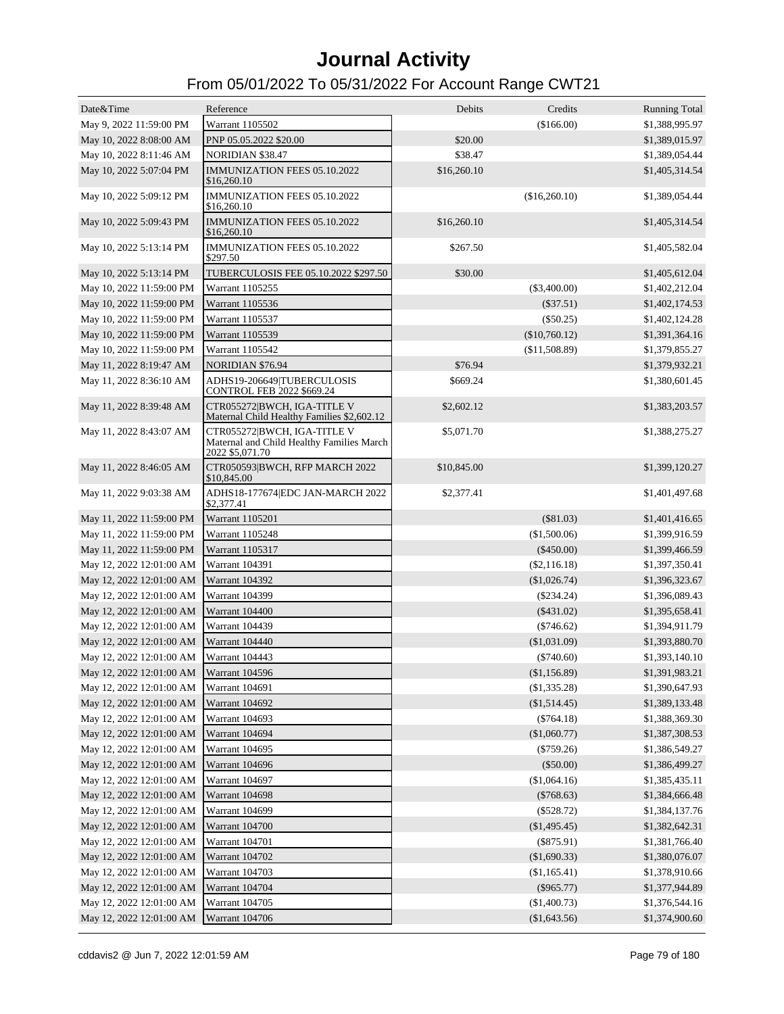| Date&Time                | Reference                                                                                   | Debits      | Credits        | <b>Running Total</b> |
|--------------------------|---------------------------------------------------------------------------------------------|-------------|----------------|----------------------|
| May 9, 2022 11:59:00 PM  | Warrant 1105502                                                                             |             | (\$166.00)     | \$1,388,995.97       |
| May 10, 2022 8:08:00 AM  | PNP 05.05.2022 \$20.00                                                                      | \$20.00     |                | \$1,389,015.97       |
| May 10, 2022 8:11:46 AM  | NORIDIAN \$38.47                                                                            | \$38.47     |                | \$1,389,054.44       |
| May 10, 2022 5:07:04 PM  | IMMUNIZATION FEES 05.10.2022<br>\$16,260.10                                                 | \$16,260.10 |                | \$1,405,314.54       |
| May 10, 2022 5:09:12 PM  | IMMUNIZATION FEES 05.10.2022<br>\$16,260.10                                                 |             | (\$16,260.10)  | \$1,389,054.44       |
| May 10, 2022 5:09:43 PM  | <b>IMMUNIZATION FEES 05.10.2022</b><br>\$16,260.10                                          | \$16,260.10 |                | \$1,405,314.54       |
| May 10, 2022 5:13:14 PM  | IMMUNIZATION FEES 05.10.2022<br>\$297.50                                                    | \$267.50    |                | \$1,405,582.04       |
| May 10, 2022 5:13:14 PM  | TUBERCULOSIS FEE 05.10.2022 \$297.50                                                        | \$30.00     |                | \$1,405,612.04       |
| May 10, 2022 11:59:00 PM | Warrant 1105255                                                                             |             | (\$3,400.00)   | \$1,402,212.04       |
| May 10, 2022 11:59:00 PM | Warrant 1105536                                                                             |             | $(\$37.51)$    | \$1,402,174.53       |
| May 10, 2022 11:59:00 PM | Warrant 1105537                                                                             |             | $(\$50.25)$    | \$1,402,124.28       |
| May 10, 2022 11:59:00 PM | Warrant 1105539                                                                             |             | (\$10,760.12)  | \$1,391,364.16       |
| May 10, 2022 11:59:00 PM | Warrant 1105542                                                                             |             | (\$11,508.89)  | \$1,379,855.27       |
| May 11, 2022 8:19:47 AM  | <b>NORIDIAN \$76.94</b>                                                                     | \$76.94     |                | \$1,379,932.21       |
| May 11, 2022 8:36:10 AM  | ADHS19-206649 TUBERCULOSIS<br><b>CONTROL FEB 2022 \$669.24</b>                              | \$669.24    |                | \$1,380,601.45       |
| May 11, 2022 8:39:48 AM  | CTR055272 BWCH, IGA-TITLE V<br>Maternal Child Healthy Families \$2,602.12                   | \$2,602.12  |                | \$1,383,203.57       |
| May 11, 2022 8:43:07 AM  | CTR055272 BWCH, IGA-TITLE V<br>Maternal and Child Healthy Families March<br>2022 \$5,071.70 | \$5,071.70  |                | \$1,388,275.27       |
| May 11, 2022 8:46:05 AM  | CTR050593 BWCH, RFP MARCH 2022<br>\$10,845.00                                               | \$10,845.00 |                | \$1,399,120.27       |
| May 11, 2022 9:03:38 AM  | ADHS18-177674 EDC JAN-MARCH 2022<br>\$2,377.41                                              | \$2,377.41  |                | \$1,401,497.68       |
| May 11, 2022 11:59:00 PM | Warrant 1105201                                                                             |             | $(\$81.03)$    | \$1,401,416.65       |
| May 11, 2022 11:59:00 PM | Warrant 1105248                                                                             |             | (\$1,500.06)   | \$1,399,916.59       |
| May 11, 2022 11:59:00 PM | Warrant 1105317                                                                             |             | $(\$450.00)$   | \$1,399,466.59       |
| May 12, 2022 12:01:00 AM | <b>Warrant 104391</b>                                                                       |             | $(\$2,116.18)$ | \$1,397,350.41       |
| May 12, 2022 12:01:00 AM | <b>Warrant 104392</b>                                                                       |             | (\$1,026.74)   | \$1,396,323.67       |
| May 12, 2022 12:01:00 AM | <b>Warrant 104399</b>                                                                       |             | $(\$234.24)$   | \$1,396,089.43       |
| May 12, 2022 12:01:00 AM | Warrant 104400                                                                              |             | $(\$431.02)$   | \$1,395,658.41       |
| May 12, 2022 12:01:00 AM | Warrant 104439                                                                              |             | $(\$746.62)$   | \$1,394,911.79       |
| May 12, 2022 12:01:00 AM | Warrant 104440                                                                              |             | $(\$1,031.09)$ | \$1,393,880.70       |
| May 12, 2022 12:01:00 AM | <b>Warrant 104443</b>                                                                       |             | $(\$740.60)$   | \$1,393,140.10       |
| May 12, 2022 12:01:00 AM | Warrant 104596                                                                              |             | (\$1,156.89)   | \$1,391,983.21       |
| May 12, 2022 12:01:00 AM | <b>Warrant 104691</b>                                                                       |             | $(\$1,335.28)$ | \$1,390,647.93       |
| May 12, 2022 12:01:00 AM | Warrant 104692                                                                              |             | $(\$1,514.45)$ | \$1,389,133.48       |
| May 12, 2022 12:01:00 AM | Warrant 104693                                                                              |             | $(\$764.18)$   | \$1,388,369.30       |
| May 12, 2022 12:01:00 AM | Warrant 104694                                                                              |             | $(\$1,060.77)$ | \$1,387,308.53       |
| May 12, 2022 12:01:00 AM | Warrant 104695                                                                              |             | $(\$759.26)$   | \$1,386,549.27       |
| May 12, 2022 12:01:00 AM | Warrant 104696                                                                              |             | $(\$50.00)$    | \$1,386,499.27       |
| May 12, 2022 12:01:00 AM | Warrant 104697                                                                              |             | (\$1,064.16)   | \$1,385,435.11       |
| May 12, 2022 12:01:00 AM | <b>Warrant 104698</b>                                                                       |             | $(\$768.63)$   | \$1,384,666.48       |
| May 12, 2022 12:01:00 AM | Warrant 104699                                                                              |             | $(\$528.72)$   | \$1,384,137.76       |
| May 12, 2022 12:01:00 AM | Warrant 104700                                                                              |             | $(\$1,495.45)$ | \$1,382,642.31       |
| May 12, 2022 12:01:00 AM | Warrant 104701                                                                              |             | $(\$875.91)$   | \$1,381,766.40       |
| May 12, 2022 12:01:00 AM | Warrant 104702                                                                              |             | (\$1,690.33)   | \$1,380,076.07       |
| May 12, 2022 12:01:00 AM | Warrant 104703                                                                              |             | (\$1,165.41)   | \$1,378,910.66       |
| May 12, 2022 12:01:00 AM | Warrant 104704                                                                              |             | $(\$965.77)$   | \$1,377,944.89       |
| May 12, 2022 12:01:00 AM | Warrant 104705                                                                              |             | (\$1,400.73)   | \$1,376,544.16       |
| May 12, 2022 12:01:00 AM | Warrant 104706                                                                              |             | (\$1,643.56)   | \$1,374,900.60       |
|                          |                                                                                             |             |                |                      |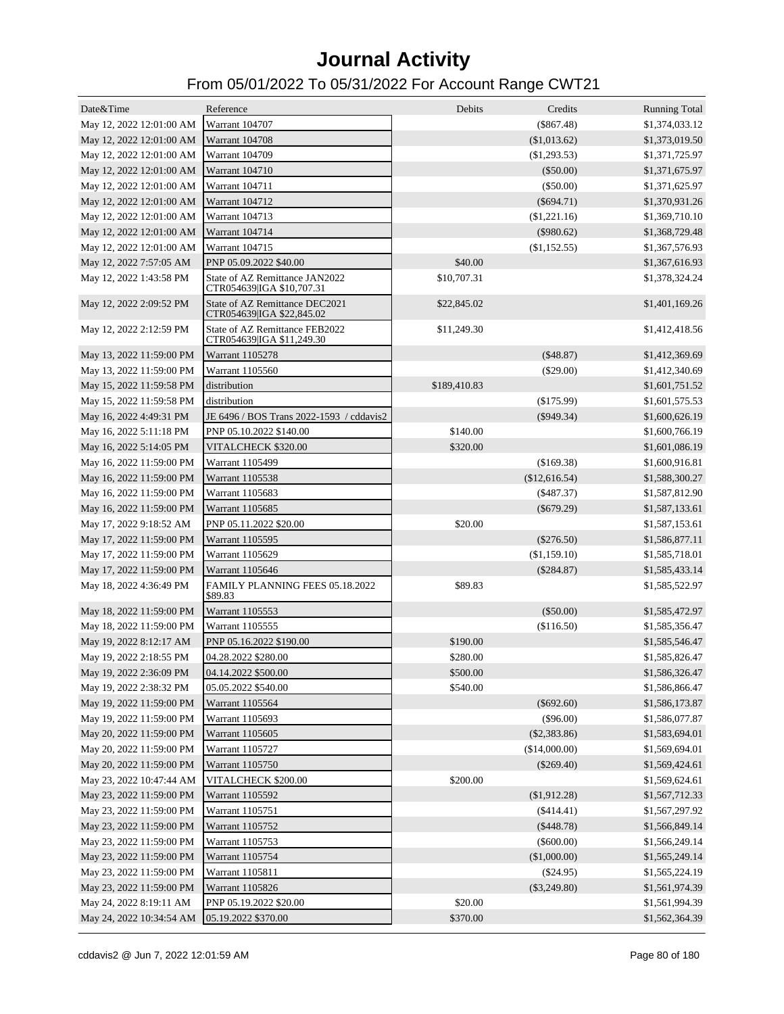| Date&Time                | Reference                                                   | Debits       | Credits        | <b>Running Total</b> |
|--------------------------|-------------------------------------------------------------|--------------|----------------|----------------------|
| May 12, 2022 12:01:00 AM | Warrant 104707                                              |              | $(\$867.48)$   | \$1,374,033.12       |
| May 12, 2022 12:01:00 AM | <b>Warrant 104708</b>                                       |              | (\$1,013.62)   | \$1,373,019.50       |
| May 12, 2022 12:01:00 AM | Warrant 104709                                              |              | (\$1,293.53)   | \$1,371,725.97       |
| May 12, 2022 12:01:00 AM | <b>Warrant 104710</b>                                       |              | $(\$50.00)$    | \$1,371,675.97       |
| May 12, 2022 12:01:00 AM | Warrant 104711                                              |              | (\$50.00)      | \$1,371,625.97       |
| May 12, 2022 12:01:00 AM | <b>Warrant 104712</b>                                       |              | $(\$694.71)$   | \$1,370,931.26       |
| May 12, 2022 12:01:00 AM | Warrant 104713                                              |              | (\$1,221.16)   | \$1,369,710.10       |
| May 12, 2022 12:01:00 AM | <b>Warrant 104714</b>                                       |              | $(\$980.62)$   | \$1,368,729.48       |
| May 12, 2022 12:01:00 AM | Warrant 104715                                              |              | (\$1,152.55)   | \$1,367,576.93       |
| May 12, 2022 7:57:05 AM  | PNP 05.09.2022 \$40.00                                      | \$40.00      |                | \$1,367,616.93       |
| May 12, 2022 1:43:58 PM  | State of AZ Remittance JAN2022                              | \$10,707.31  |                | \$1,378,324.24       |
| May 12, 2022 2:09:52 PM  | CTR054639 IGA \$10,707.31<br>State of AZ Remittance DEC2021 | \$22,845.02  |                | \$1,401,169.26       |
| May 12, 2022 2:12:59 PM  | CTR054639 IGA \$22,845.02<br>State of AZ Remittance FEB2022 | \$11,249.30  |                | \$1,412,418.56       |
|                          | CTR054639 IGA \$11,249.30                                   |              |                |                      |
| May 13, 2022 11:59:00 PM | Warrant 1105278                                             |              | (\$48.87)      | \$1,412,369.69       |
| May 13, 2022 11:59:00 PM | Warrant 1105560                                             |              | $(\$29.00)$    | \$1,412,340.69       |
| May 15, 2022 11:59:58 PM | distribution                                                | \$189,410.83 |                | \$1,601,751.52       |
| May 15, 2022 11:59:58 PM | distribution                                                |              | $(\$175.99)$   | \$1,601,575.53       |
| May 16, 2022 4:49:31 PM  | JE 6496 / BOS Trans 2022-1593 / cddavis2                    |              | $($ \$949.34)  | \$1,600,626.19       |
| May 16, 2022 5:11:18 PM  | PNP 05.10.2022 \$140.00                                     | \$140.00     |                | \$1,600,766.19       |
| May 16, 2022 5:14:05 PM  | VITALCHECK \$320.00                                         | \$320.00     |                | \$1,601,086.19       |
| May 16, 2022 11:59:00 PM | Warrant 1105499                                             |              | (\$169.38)     | \$1,600,916.81       |
| May 16, 2022 11:59:00 PM | Warrant 1105538                                             |              | (\$12,616.54)  | \$1,588,300.27       |
| May 16, 2022 11:59:00 PM | Warrant 1105683                                             |              | $(\$487.37)$   | \$1,587,812.90       |
| May 16, 2022 11:59:00 PM | Warrant 1105685                                             |              | $(\$679.29)$   | \$1,587,133.61       |
| May 17, 2022 9:18:52 AM  | PNP 05.11.2022 \$20.00                                      | \$20.00      |                | \$1,587,153.61       |
| May 17, 2022 11:59:00 PM | Warrant 1105595                                             |              | $(\$276.50)$   | \$1,586,877.11       |
| May 17, 2022 11:59:00 PM | Warrant 1105629                                             |              | (\$1,159.10)   | \$1,585,718.01       |
| May 17, 2022 11:59:00 PM | Warrant 1105646                                             |              | $(\$284.87)$   | \$1,585,433.14       |
| May 18, 2022 4:36:49 PM  | FAMILY PLANNING FEES 05.18.2022<br>\$89.83                  | \$89.83      |                | \$1,585,522.97       |
| May 18, 2022 11:59:00 PM | Warrant 1105553                                             |              | $(\$50.00)$    | \$1,585,472.97       |
| May 18, 2022 11:59:00 PM | Warrant 1105555                                             |              | (\$116.50)     | \$1,585,356.47       |
| May 19, 2022 8:12:17 AM  | PNP 05.16.2022 \$190.00                                     | \$190.00     |                | \$1,585,546.47       |
| May 19, 2022 2:18:55 PM  | 04.28.2022 \$280.00                                         | \$280.00     |                | \$1,585,826.47       |
| May 19, 2022 2:36:09 PM  | 04.14.2022 \$500.00                                         | \$500.00     |                | \$1,586,326.47       |
| May 19, 2022 2:38:32 PM  | 05.05.2022 \$540.00                                         | \$540.00     |                | \$1,586,866.47       |
| May 19, 2022 11:59:00 PM | Warrant 1105564                                             |              | $(\$692.60)$   | \$1,586,173.87       |
| May 19, 2022 11:59:00 PM | Warrant 1105693                                             |              | $(\$96.00)$    | \$1,586,077.87       |
| May 20, 2022 11:59:00 PM | Warrant 1105605                                             |              | (\$2,383.86)   | \$1,583,694.01       |
| May 20, 2022 11:59:00 PM | Warrant 1105727                                             |              | (\$14,000.00)  | \$1,569,694.01       |
| May 20, 2022 11:59:00 PM | Warrant 1105750                                             |              | $(\$269.40)$   | \$1,569,424.61       |
| May 23, 2022 10:47:44 AM | VITALCHECK \$200.00                                         | \$200.00     |                | \$1,569,624.61       |
| May 23, 2022 11:59:00 PM | Warrant 1105592                                             |              | (\$1,912.28)   | \$1,567,712.33       |
| May 23, 2022 11:59:00 PM | Warrant 1105751                                             |              | $(\$414.41)$   | \$1,567,297.92       |
| May 23, 2022 11:59:00 PM | Warrant 1105752                                             |              | (\$448.78)     | \$1,566,849.14       |
| May 23, 2022 11:59:00 PM | Warrant 1105753                                             |              | $(\$600.00)$   | \$1,566,249.14       |
| May 23, 2022 11:59:00 PM | Warrant 1105754                                             |              | (\$1,000.00)   | \$1,565,249.14       |
| May 23, 2022 11:59:00 PM | Warrant 1105811                                             |              | $(\$24.95)$    | \$1,565,224.19       |
| May 23, 2022 11:59:00 PM | Warrant 1105826                                             |              | $(\$3,249.80)$ | \$1,561,974.39       |
| May 24, 2022 8:19:11 AM  | PNP 05.19.2022 \$20.00                                      | \$20.00      |                | \$1,561,994.39       |
| May 24, 2022 10:34:54 AM | 05.19.2022 \$370.00                                         | \$370.00     |                | \$1,562,364.39       |
|                          |                                                             |              |                |                      |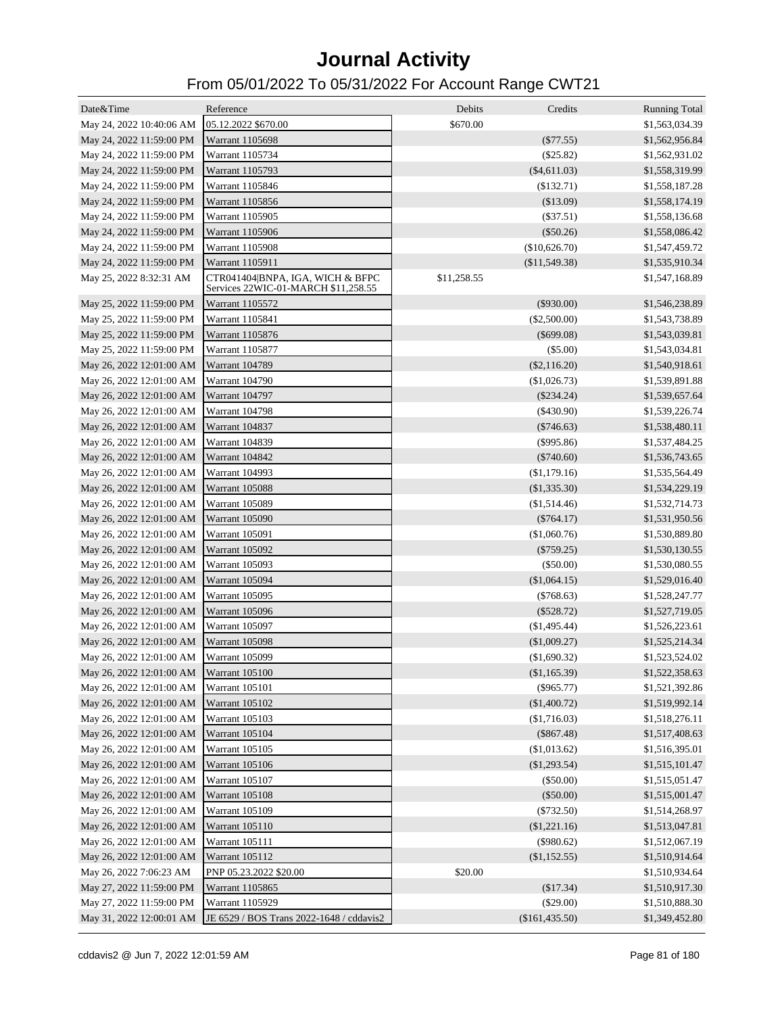| Date&Time                               | Reference                                                               | Debits      | Credits        | <b>Running Total</b> |
|-----------------------------------------|-------------------------------------------------------------------------|-------------|----------------|----------------------|
| May 24, 2022 10:40:06 AM                | 05.12.2022 \$670.00                                                     | \$670.00    |                | \$1,563,034.39       |
| May 24, 2022 11:59:00 PM                | Warrant 1105698                                                         |             | $(\$77.55)$    | \$1,562,956.84       |
| May 24, 2022 11:59:00 PM                | Warrant 1105734                                                         |             | (\$25.82)      | \$1,562,931.02       |
|                                         | Warrant 1105793                                                         |             | $(\$4,611.03)$ | \$1,558,319.99       |
| May 24, 2022 11:59:00 PM                |                                                                         |             |                |                      |
| May 24, 2022 11:59:00 PM                | Warrant 1105846                                                         |             | (\$132.71)     | \$1,558,187.28       |
| May 24, 2022 11:59:00 PM                | Warrant 1105856                                                         |             | (\$13.09)      | \$1,558,174.19       |
| May 24, 2022 11:59:00 PM                | Warrant 1105905                                                         |             | $(\$37.51)$    | \$1,558,136.68       |
| May 24, 2022 11:59:00 PM                | Warrant 1105906                                                         |             | $(\$50.26)$    | \$1,558,086.42       |
| May 24, 2022 11:59:00 PM                | Warrant 1105908                                                         |             | (\$10,626.70)  | \$1,547,459.72       |
| May 24, 2022 11:59:00 PM                | Warrant 1105911                                                         |             | (\$11,549.38)  | \$1,535,910.34       |
| May 25, 2022 8:32:31 AM                 | CTR041404 BNPA, IGA, WICH & BFPC<br>Services 22WIC-01-MARCH \$11,258.55 | \$11,258.55 |                | \$1,547,168.89       |
| May 25, 2022 11:59:00 PM                | Warrant 1105572                                                         |             | $(\$930.00)$   | \$1,546,238.89       |
| May 25, 2022 11:59:00 PM                | Warrant 1105841                                                         |             | $(\$2,500.00)$ | \$1,543,738.89       |
| May 25, 2022 11:59:00 PM                | Warrant 1105876                                                         |             | $(\$699.08)$   | \$1,543,039.81       |
| May 25, 2022 11:59:00 PM                | Warrant 1105877                                                         |             | $(\$5.00)$     | \$1,543,034.81       |
| May 26, 2022 12:01:00 AM                | <b>Warrant 104789</b>                                                   |             | $(\$2,116.20)$ | \$1,540,918.61       |
| May 26, 2022 12:01:00 AM                | <b>Warrant 104790</b>                                                   |             | (\$1,026.73)   | \$1,539,891.88       |
| May 26, 2022 12:01:00 AM                | <b>Warrant 104797</b>                                                   |             | $(\$234.24)$   | \$1,539,657.64       |
| May 26, 2022 12:01:00 AM                | <b>Warrant 104798</b>                                                   |             | $(\$430.90)$   | \$1,539,226.74       |
| May 26, 2022 12:01:00 AM                | <b>Warrant 104837</b>                                                   |             | $(\$746.63)$   | \$1,538,480.11       |
| May 26, 2022 12:01:00 AM                | <b>Warrant 104839</b>                                                   |             | $(\$995.86)$   | \$1,537,484.25       |
| May 26, 2022 12:01:00 AM                | Warrant 104842                                                          |             | $(\$740.60)$   | \$1,536,743.65       |
| May 26, 2022 12:01:00 AM                | Warrant 104993                                                          |             | (\$1,179.16)   | \$1,535,564.49       |
| May 26, 2022 12:01:00 AM                | Warrant 105088                                                          |             | (\$1,335.30)   | \$1,534,229.19       |
| May 26, 2022 12:01:00 AM                | Warrant 105089                                                          |             | (\$1,514.46)   | \$1,532,714.73       |
| May 26, 2022 12:01:00 AM                | Warrant 105090                                                          |             | $(\$764.17)$   | \$1,531,950.56       |
| May 26, 2022 12:01:00 AM                | <b>Warrant 105091</b>                                                   |             | (\$1,060.76)   | \$1,530,889.80       |
| May 26, 2022 12:01:00 AM                | Warrant 105092                                                          |             | $(\$759.25)$   | \$1,530,130.55       |
| May 26, 2022 12:01:00 AM                | Warrant 105093                                                          |             | $(\$50.00)$    | \$1,530,080.55       |
| May 26, 2022 12:01:00 AM                | Warrant 105094                                                          |             | (\$1,064.15)   | \$1,529,016.40       |
| May 26, 2022 12:01:00 AM                | Warrant 105095                                                          |             | $(\$768.63)$   | \$1,528,247.77       |
| May 26, 2022 12:01:00 AM                | Warrant 105096                                                          |             | $(\$528.72)$   |                      |
|                                         |                                                                         |             |                | \$1,527,719.05       |
| May 26, 2022 12:01:00 AM                | Warrant 105097                                                          |             | (\$1,495.44)   | \$1,526,223.61       |
| May 26, 2022 12:01:00 AM                | Warrant 105098                                                          |             | (\$1,009.27)   | \$1,525,214.34       |
| May 26, 2022 12:01:00 AM Warrant 105099 |                                                                         |             | (\$1,690.32)   | \$1,523,524.02       |
| May 26, 2022 12:01:00 AM Warrant 105100 |                                                                         |             | (\$1,165.39)   | \$1,522,358.63       |
| May 26, 2022 12:01:00 AM Warrant 105101 |                                                                         |             | $(\$965.77)$   | \$1,521,392.86       |
| May 26, 2022 12:01:00 AM Warrant 105102 |                                                                         |             | (\$1,400.72)   | \$1,519,992.14       |
| May 26, 2022 12:01:00 AM Warrant 105103 |                                                                         |             | (\$1,716.03)   | \$1,518,276.11       |
| May 26, 2022 12:01:00 AM Warrant 105104 |                                                                         |             | $(\$867.48)$   | \$1,517,408.63       |
| May 26, 2022 12:01:00 AM                | <b>Warrant 105105</b>                                                   |             | (\$1,013.62)   | \$1,516,395.01       |
| May 26, 2022 12:01:00 AM                | <b>Warrant 105106</b>                                                   |             | (\$1,293.54)   | \$1,515,101.47       |
| May 26, 2022 12:01:00 AM                | Warrant 105107                                                          |             | $(\$50.00)$    | \$1,515,051.47       |
| May 26, 2022 12:01:00 AM                | <b>Warrant 105108</b>                                                   |             | (\$50.00)      | \$1,515,001.47       |
| May 26, 2022 12:01:00 AM                | Warrant 105109                                                          |             | $(\$732.50)$   | \$1,514,268.97       |
| May 26, 2022 12:01:00 AM                | Warrant 105110                                                          |             | (\$1,221.16)   | \$1,513,047.81       |
| May 26, 2022 12:01:00 AM                | Warrant 105111                                                          |             | $(\$980.62)$   | \$1,512,067.19       |
| May 26, 2022 12:01:00 AM                | <b>Warrant 105112</b>                                                   |             | (\$1,152.55)   | \$1,510,914.64       |
| May 26, 2022 7:06:23 AM                 | PNP 05.23.2022 \$20.00                                                  | \$20.00     |                | \$1,510,934.64       |
| May 27, 2022 11:59:00 PM                | Warrant 1105865                                                         |             | (\$17.34)      | \$1,510,917.30       |
| May 27, 2022 11:59:00 PM                | Warrant 1105929                                                         |             | $(\$29.00)$    | \$1,510,888.30       |
| May 31, 2022 12:00:01 AM                | JE 6529 / BOS Trans 2022-1648 / cddavis2                                |             | (\$161,435.50) | \$1,349,452.80       |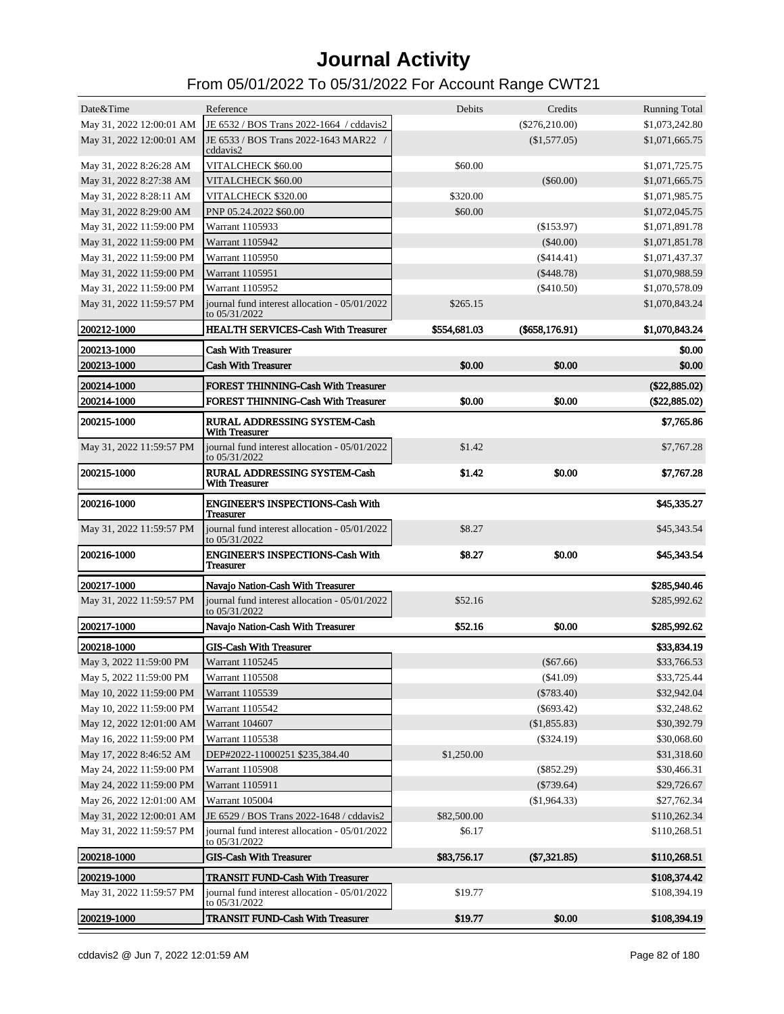| 200219-1000                                        | <b>TRANSIT FUND-Cash With Treasurer</b>                        | \$19.77       | \$0.00           | \$108,394.19                     |
|----------------------------------------------------|----------------------------------------------------------------|---------------|------------------|----------------------------------|
| May 31, 2022 11:59:57 PM                           | journal fund interest allocation - 05/01/2022<br>to 05/31/2022 | \$19.77       |                  | \$108,394.19                     |
| 200219-1000                                        | <b>TRANSIT FUND-Cash With Treasurer</b>                        |               |                  | \$108,374.42                     |
| 200218-1000                                        | <b>GIS-Cash With Treasurer</b>                                 | \$83,756.17   | $(\$7,321.85)$   | \$110,268.51                     |
|                                                    | to 05/31/2022                                                  |               |                  |                                  |
| May 31, 2022 11:59:57 PM                           | journal fund interest allocation - 05/01/2022                  | \$6.17        |                  | \$110,268.51                     |
| May 31, 2022 12:00:01 AM                           | JE 6529 / BOS Trans 2022-1648 / cddavis2                       | \$82,500.00   |                  | \$110,262.34                     |
| May 26, 2022 12:01:00 AM                           | Warrant 105004                                                 |               | (\$1,964.33)     | \$27,762.34                      |
| May 24, 2022 11:59:00 PM                           | Warrant 1105911                                                |               | $(\$739.64)$     | \$29,726.67                      |
| May 24, 2022 11:59:00 PM                           | Warrant 1105908                                                |               | $(\$852.29)$     | \$30,466.31                      |
| May 17, 2022 8:46:52 AM                            | DEP#2022-11000251 \$235,384.40                                 | \$1,250.00    |                  | \$31,318.60                      |
| May 16, 2022 11:59:00 PM                           | Warrant 1105538                                                |               | $(\$324.19)$     | \$30,068.60                      |
| May 12, 2022 12:01:00 AM                           | Warrant 104607                                                 |               | (\$1,855.83)     | \$30,392.79                      |
| May 10, 2022 11:59:00 PM                           | Warrant 1105542                                                |               | $(\$693.42)$     | \$32,248.62                      |
| May 10, 2022 11:59:00 PM                           | Warrant 1105539                                                |               | $(\$783.40)$     | \$32,942.04                      |
| May 5, 2022 11:59:00 PM                            | Warrant 1105508                                                |               | (\$41.09)        | \$33,725.44                      |
| May 3, 2022 11:59:00 PM                            | Warrant 1105245                                                |               | $(\$67.66)$      | \$33,766.53                      |
| 200218-1000                                        | <b>GIS-Cash With Treasurer</b>                                 |               |                  | \$33,834.19                      |
| 200217-1000                                        | Navajo Nation-Cash With Treasurer                              | \$52.16       | \$0.00           | \$285,992.62                     |
| May 31, 2022 11:59:57 PM                           | journal fund interest allocation - 05/01/2022<br>to 05/31/2022 | \$52.16       |                  | \$285,992.62                     |
| 200217-1000                                        | Navajo Nation-Cash With Treasurer                              |               |                  | \$285,940.46                     |
| 200216-1000                                        | <b>ENGINEER'S INSPECTIONS-Cash With</b><br><b>Treasurer</b>    | \$8.27        | \$0.00           | \$45,343.54                      |
| May 31, 2022 11:59:57 PM                           | journal fund interest allocation - 05/01/2022<br>to 05/31/2022 | \$8.27        |                  | \$45,343.54                      |
| 200216-1000                                        | <b>ENGINEER'S INSPECTIONS-Cash With</b><br><b>Treasurer</b>    |               |                  | \$45,335.27                      |
| 200215-1000                                        | <b>RURAL ADDRESSING SYSTEM-Cash</b><br><b>With Treasurer</b>   | \$1.42        | \$0.00           | \$7,767.28                       |
| May 31, 2022 11:59:57 PM                           | journal fund interest allocation - 05/01/2022<br>to 05/31/2022 | \$1.42        |                  | \$7,767.28                       |
| 200215-1000                                        | <b>RURAL ADDRESSING SYSTEM-Cash</b><br><b>With Treasurer</b>   |               |                  | \$7,765.86                       |
| 200214-1000                                        | <b>FOREST THINNING-Cash With Treasurer</b>                     | \$0.00        | \$0.00           | (\$22,885.02)                    |
| 200214-1000                                        | <b>FOREST THINNING-Cash With Treasurer</b>                     |               |                  | (\$22,885.02)                    |
| 200213-1000                                        | <b>Cash With Treasurer</b>                                     | \$0.00        | \$0.00           | \$0.00                           |
| 200213-1000                                        | <b>Cash With Treasurer</b>                                     |               |                  | \$0.00                           |
| 200212-1000                                        | <b>HEALTH SERVICES-Cash With Treasurer</b>                     | \$554,681.03  | $(\$658,176.91)$ | \$1,070,843.24                   |
|                                                    | to 05/31/2022                                                  |               |                  |                                  |
| May 31, 2022 11:59:57 PM                           | journal fund interest allocation - 05/01/2022                  | \$265.15      |                  | \$1,070,843.24                   |
| May 31, 2022 11:59:00 PM                           | Warrant 1105952                                                |               | $(\$410.50)$     | \$1,070,578.09                   |
| May 31, 2022 11:59:00 PM                           | Warrant 1105951                                                |               | $(\$448.78)$     | \$1,070,988.59                   |
| May 31, 2022 11:59:00 PM                           | Warrant 1105950                                                |               | $(\$414.41)$     | \$1,071,437.37                   |
| May 31, 2022 11:59:00 PM                           | Warrant 1105942                                                |               | $(\$40.00)$      | \$1,071,851.78                   |
| May 31, 2022 11:59:00 PM                           | Warrant 1105933                                                |               | (\$153.97)       | \$1,071,891.78                   |
| May 31, 2022 8:29:00 AM                            | PNP 05.24.2022 \$60.00                                         | \$60.00       |                  | \$1,072,045.75                   |
| May 31, 2022 8:28:11 AM                            | VITALCHECK \$60.00<br>VITALCHECK \$320.00                      | \$320.00      |                  | \$1,071,665.75<br>\$1,071,985.75 |
| May 31, 2022 8:26:28 AM<br>May 31, 2022 8:27:38 AM | VITALCHECK \$60.00                                             | \$60.00       | (\$60.00)        | \$1,071,725.75                   |
|                                                    | cddavis2                                                       |               |                  |                                  |
| May 31, 2022 12:00:01 AM                           | JE 6533 / BOS Trans 2022-1643 MAR22 /                          |               | $(\$1,577.05)$   | \$1,071,665.75                   |
| May 31, 2022 12:00:01 AM                           | JE 6532 / BOS Trans 2022-1664 / cddavis2                       |               | $(\$276,210.00)$ | \$1,073,242.80                   |
| Date&Time                                          | Reference                                                      | <b>Debits</b> | Credits          | <b>Running Total</b>             |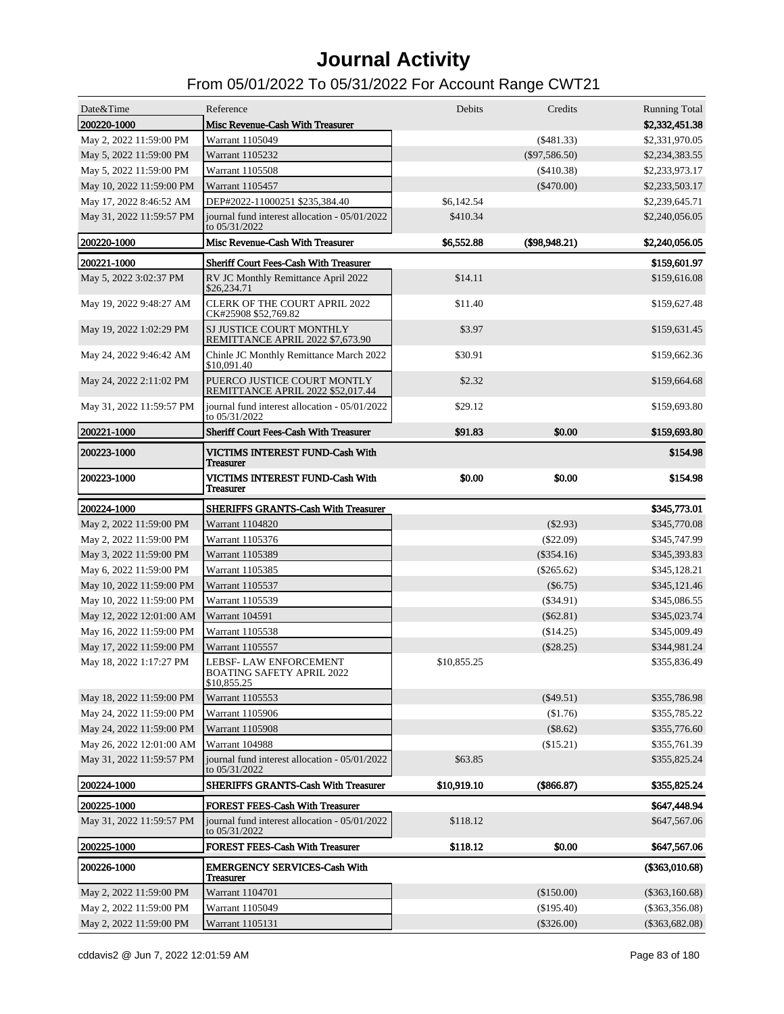| Date&Time                | Reference                                                          | Debits      | Credits          | <b>Running Total</b> |
|--------------------------|--------------------------------------------------------------------|-------------|------------------|----------------------|
| 200220-1000              | Misc Revenue-Cash With Treasurer                                   |             |                  | \$2,332,451.38       |
| May 2, 2022 11:59:00 PM  | Warrant 1105049                                                    |             | $(\$481.33)$     | \$2,331,970.05       |
| May 5, 2022 11:59:00 PM  | Warrant 1105232                                                    |             | $(\$97,586.50)$  | \$2,234,383.55       |
| May 5, 2022 11:59:00 PM  | Warrant 1105508                                                    |             | $(\$410.38)$     | \$2,233,973.17       |
| May 10, 2022 11:59:00 PM | Warrant 1105457                                                    |             | $(\$470.00)$     | \$2,233,503.17       |
| May 17, 2022 8:46:52 AM  | DEP#2022-11000251 \$235,384.40                                     | \$6,142.54  |                  | \$2,239,645.71       |
| May 31, 2022 11:59:57 PM | journal fund interest allocation - 05/01/2022<br>to 05/31/2022     | \$410.34    |                  | \$2,240,056.05       |
| 200220-1000              | Misc Revenue-Cash With Treasurer                                   | \$6,552.88  | $($ \$98,948.21) | \$2,240,056.05       |
| 200221-1000              | <b>Sheriff Court Fees-Cash With Treasurer</b>                      |             |                  | \$159,601.97         |
| May 5, 2022 3:02:37 PM   | RV JC Monthly Remittance April 2022<br>\$26,234.71                 | \$14.11     |                  | \$159,616.08         |
| May 19, 2022 9:48:27 AM  | <b>CLERK OF THE COURT APRIL 2022</b><br>CK#25908 \$52,769.82       | \$11.40     |                  | \$159,627.48         |
| May 19, 2022 1:02:29 PM  | SJ JUSTICE COURT MONTHLY<br>REMITTANCE APRIL 2022 \$7,673.90       | \$3.97      |                  | \$159,631.45         |
| May 24, 2022 9:46:42 AM  | Chinle JC Monthly Remittance March 2022<br>\$10,091.40             | \$30.91     |                  | \$159,662.36         |
| May 24, 2022 2:11:02 PM  | PUERCO JUSTICE COURT MONTLY<br>REMITTANCE APRIL 2022 \$52,017.44   | \$2.32      |                  | \$159,664.68         |
| May 31, 2022 11:59:57 PM | journal fund interest allocation - 05/01/2022<br>to 05/31/2022     | \$29.12     |                  | \$159,693.80         |
| 200221-1000              | <b>Sheriff Court Fees-Cash With Treasurer</b>                      | \$91.83     | \$0.00           | \$159,693.80         |
| 200223-1000              | VICTIMS INTEREST FUND-Cash With<br><b>Treasurer</b>                |             |                  | \$154.98             |
| <b>200223-1000</b>       | VICTIMS INTEREST FUND-Cash With<br><b>Treasurer</b>                | \$0.00      | \$0.00           | \$154.98             |
| 200224-1000              | <b>SHERIFFS GRANTS-Cash With Treasurer</b>                         |             |                  | \$345,773.01         |
| May 2, 2022 11:59:00 PM  | Warrant 1104820                                                    |             | $(\$2.93)$       | \$345,770.08         |
| May 2, 2022 11:59:00 PM  | Warrant 1105376                                                    |             | $(\$22.09)$      | \$345,747.99         |
| May 3, 2022 11:59:00 PM  | Warrant 1105389                                                    |             | $(\$354.16)$     | \$345,393.83         |
| May 6, 2022 11:59:00 PM  | Warrant 1105385                                                    |             | $(\$265.62)$     | \$345,128.21         |
| May 10, 2022 11:59:00 PM | Warrant 1105537                                                    |             | $(\$6.75)$       | \$345,121.46         |
| May 10, 2022 11:59:00 PM | Warrant 1105539                                                    |             | $(\$34.91)$      | \$345,086.55         |
| May 12, 2022 12:01:00 AM | <b>Warrant 104591</b>                                              |             | $(\$62.81)$      | \$345,023.74         |
| May 16, 2022 11:59:00 PM | Warrant 1105538                                                    |             | (\$14.25)        | \$345,009.49         |
| May 17, 2022 11:59:00 PM | Warrant 1105557                                                    |             | $(\$28.25)$      | \$344,981.24         |
| May 18, 2022 1:17:27 PM  | LEBSF- LAW ENFORCEMENT<br>BOATING SAFETY APRIL 2022<br>\$10,855.25 | \$10,855.25 |                  | \$355,836.49         |
| May 18, 2022 11:59:00 PM | Warrant 1105553                                                    |             | $(\$49.51)$      | \$355,786.98         |
| May 24, 2022 11:59:00 PM | Warrant 1105906                                                    |             | (\$1.76)         | \$355,785.22         |
| May 24, 2022 11:59:00 PM | Warrant 1105908                                                    |             | $(\$8.62)$       | \$355,776.60         |
| May 26, 2022 12:01:00 AM | Warrant 104988                                                     |             | (\$15.21)        | \$355,761.39         |
| May 31, 2022 11:59:57 PM | journal fund interest allocation - 05/01/2022<br>to 05/31/2022     | \$63.85     |                  | \$355,825.24         |
| <b>200224-1000</b>       | SHERIFFS GRANTS-Cash With Treasurer                                | \$10,919.10 | (\$866.87)       | \$355,825.24         |
| <b>200225-1000</b>       | <b>FOREST FEES-Cash With Treasurer</b>                             |             |                  | \$647,448.94         |
| May 31, 2022 11:59:57 PM | journal fund interest allocation - 05/01/2022<br>to 05/31/2022     | \$118.12    |                  | \$647,567.06         |
| <b>200225-1000</b>       | <b>FOREST FEES-Cash With Treasurer</b>                             | \$118.12    | \$0.00           | \$647,567.06         |
| 200226-1000              | <b>EMERGENCY SERVICES-Cash With</b><br><b>Treasurer</b>            |             |                  | (\$363,010.68)       |
| May 2, 2022 11:59:00 PM  |                                                                    |             |                  |                      |
|                          | Warrant 1104701                                                    |             | (\$150.00)       | $(\$363,160.68)$     |
| May 2, 2022 11:59:00 PM  | Warrant 1105049                                                    |             | (\$195.40)       | $(\$363,356.08)$     |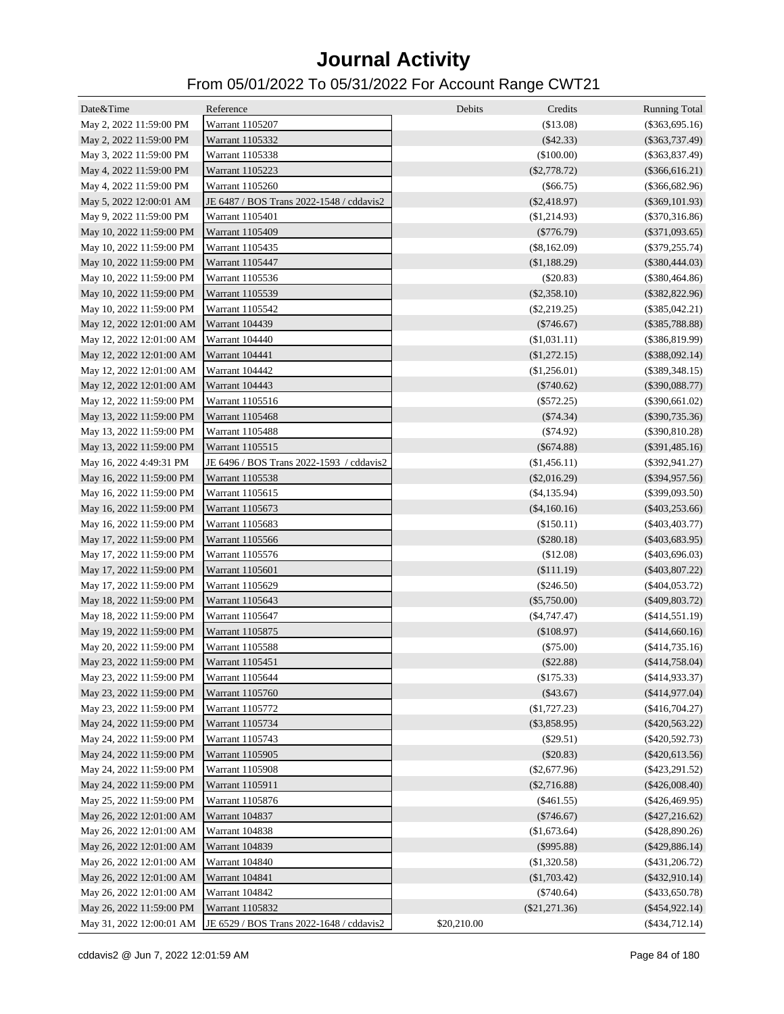| Date&Time                | Reference                                | Debits<br>Credits |                                          |
|--------------------------|------------------------------------------|-------------------|------------------------------------------|
| May 2, 2022 11:59:00 PM  | Warrant 1105207                          | (\$13.08)         | <b>Running Total</b><br>$(\$363,695.16)$ |
| May 2, 2022 11:59:00 PM  | Warrant 1105332                          | $(\$42.33)$       | $(\$363,737.49)$                         |
| May 3, 2022 11:59:00 PM  | Warrant 1105338                          | (\$100.00)        | $(\$363,837.49)$                         |
|                          | Warrant 1105223                          | $(\$2,778.72)$    | $(\$366,616.21)$                         |
| May 4, 2022 11:59:00 PM  | Warrant 1105260                          |                   |                                          |
| May 4, 2022 11:59:00 PM  |                                          | (\$66.75)         | $(\$366,682.96)$                         |
| May 5, 2022 12:00:01 AM  | JE 6487 / BOS Trans 2022-1548 / cddavis2 | $(\$2,418.97)$    | $(\$369, 101.93)$                        |
| May 9, 2022 11:59:00 PM  | Warrant 1105401                          | (\$1,214.93)      | $(\$370,316.86)$                         |
| May 10, 2022 11:59:00 PM | Warrant 1105409                          | $(\$776.79)$      | $(\$371,093.65)$                         |
| May 10, 2022 11:59:00 PM | Warrant 1105435                          | $(\$8,162.09)$    | $(\$379,255.74)$                         |
| May 10, 2022 11:59:00 PM | Warrant 1105447                          | (\$1,188.29)      | $(\$380,444.03)$                         |
| May 10, 2022 11:59:00 PM | Warrant 1105536                          | (\$20.83)         | $(\$380,464.86)$                         |
| May 10, 2022 11:59:00 PM | Warrant 1105539                          | $(\$2,358.10)$    | $(\$382,822.96)$                         |
| May 10, 2022 11:59:00 PM | Warrant 1105542                          | $(\$2,219.25)$    | $(\$385,042.21)$                         |
| May 12, 2022 12:01:00 AM | <b>Warrant 104439</b>                    | $(\$746.67)$      | $(\$385,788.88)$                         |
| May 12, 2022 12:01:00 AM | Warrant 104440                           | (\$1,031.11)      | $(\$386,819.99)$                         |
| May 12, 2022 12:01:00 AM | Warrant 104441                           | (\$1,272.15)      | $(\$388,092.14)$                         |
| May 12, 2022 12:01:00 AM | Warrant 104442                           | (\$1,256.01)      | $(\$389,348.15)$                         |
| May 12, 2022 12:01:00 AM | Warrant 104443                           | $(\$740.62)$      | $(\$390,088.77)$                         |
| May 12, 2022 11:59:00 PM | Warrant 1105516                          | $(\$572.25)$      | $(\$390,661.02)$                         |
| May 13, 2022 11:59:00 PM | Warrant 1105468                          | (\$74.34)         | $(\$390,735.36)$                         |
| May 13, 2022 11:59:00 PM | Warrant 1105488                          | (\$74.92)         | $(\$390,810.28)$                         |
| May 13, 2022 11:59:00 PM | Warrant 1105515                          | $(\$674.88)$      | $(\$391,485.16)$                         |
| May 16, 2022 4:49:31 PM  | JE 6496 / BOS Trans 2022-1593 / cddavis2 | (\$1,456.11)      | $(\$392,941.27)$                         |
| May 16, 2022 11:59:00 PM | Warrant 1105538                          | $(\$2,016.29)$    | $(\$394,957.56)$                         |
| May 16, 2022 11:59:00 PM | Warrant 1105615                          | $(\$4,135.94)$    | $(\$399,093.50)$                         |
| May 16, 2022 11:59:00 PM | Warrant 1105673                          | $(\$4,160.16)$    | $(\$403,253.66)$                         |
| May 16, 2022 11:59:00 PM | Warrant 1105683                          | (\$150.11)        | $(\$403,403.77)$                         |
| May 17, 2022 11:59:00 PM | Warrant 1105566                          | $(\$280.18)$      | $(\$403,683.95)$                         |
| May 17, 2022 11:59:00 PM | Warrant 1105576                          | (\$12.08)         | $(\$403,696.03)$                         |
| May 17, 2022 11:59:00 PM | Warrant 1105601                          | (\$111.19)        | $(\$403,807.22)$                         |
| May 17, 2022 11:59:00 PM | Warrant 1105629                          | $(\$246.50)$      | $(\$404,053.72)$                         |
| May 18, 2022 11:59:00 PM | Warrant 1105643                          | $(\$5,750.00)$    | $(\$409,803.72)$                         |
| May 18, 2022 11:59:00 PM | Warrant 1105647                          | $(\$4,747.47)$    | $(\$414,551.19)$                         |
| May 19, 2022 11:59:00 PM | Warrant 1105875                          | (\$108.97)        | (\$414,660.16)                           |
| May 20, 2022 11:59:00 PM | Warrant 1105588                          | (\$75.00)         | (\$414,735.16)                           |
| May 23, 2022 11:59:00 PM | Warrant 1105451                          | (\$22.88)         | $(\$414,758.04)$                         |
| May 23, 2022 11:59:00 PM | Warrant 1105644                          | (\$175.33)        | $(\$414,933.37)$                         |
| May 23, 2022 11:59:00 PM | Warrant 1105760                          | (\$43.67)         | (\$414,977.04)                           |
| May 23, 2022 11:59:00 PM | Warrant 1105772                          | (\$1,727.23)      | $(\$416,704.27)$                         |
| May 24, 2022 11:59:00 PM | Warrant 1105734                          | $(\$3,858.95)$    | $(\$420,563.22)$                         |
| May 24, 2022 11:59:00 PM | Warrant 1105743                          | (\$29.51)         | $(\$420,592.73)$                         |
| May 24, 2022 11:59:00 PM | Warrant 1105905                          | (\$20.83)         | $(\$420,613.56)$                         |
| May 24, 2022 11:59:00 PM | Warrant 1105908                          | $(\$2,677.96)$    | $(\$423,291.52)$                         |
| May 24, 2022 11:59:00 PM | Warrant 1105911                          | $(\$2,716.88)$    | $(\$426,008.40)$                         |
| May 25, 2022 11:59:00 PM | Warrant 1105876                          | $(\$461.55)$      | $(\$426,469.95)$                         |
| May 26, 2022 12:01:00 AM | Warrant 104837                           | $(\$746.67)$      | $(\$427,216.62)$                         |
| May 26, 2022 12:01:00 AM | Warrant 104838                           | (\$1,673.64)      | $(\$428,890.26)$                         |
|                          |                                          |                   |                                          |
| May 26, 2022 12:01:00 AM | Warrant 104839                           | $(\$995.88)$      | $(\$429,886.14)$                         |
| May 26, 2022 12:01:00 AM | Warrant 104840                           | (\$1,320.58)      | $(\$431,206.72)$                         |
| May 26, 2022 12:01:00 AM | Warrant 104841                           | (\$1,703.42)      | $(\$432,910.14)$                         |
| May 26, 2022 12:01:00 AM | Warrant 104842                           | $(\$740.64)$      | $(\$433,650.78)$                         |
| May 26, 2022 11:59:00 PM | Warrant 1105832                          | $(\$21,271.36)$   | $(\$454,922.14)$                         |
| May 31, 2022 12:00:01 AM | JE 6529 / BOS Trans 2022-1648 / cddavis2 | \$20,210.00       | $(\$434,712.14)$                         |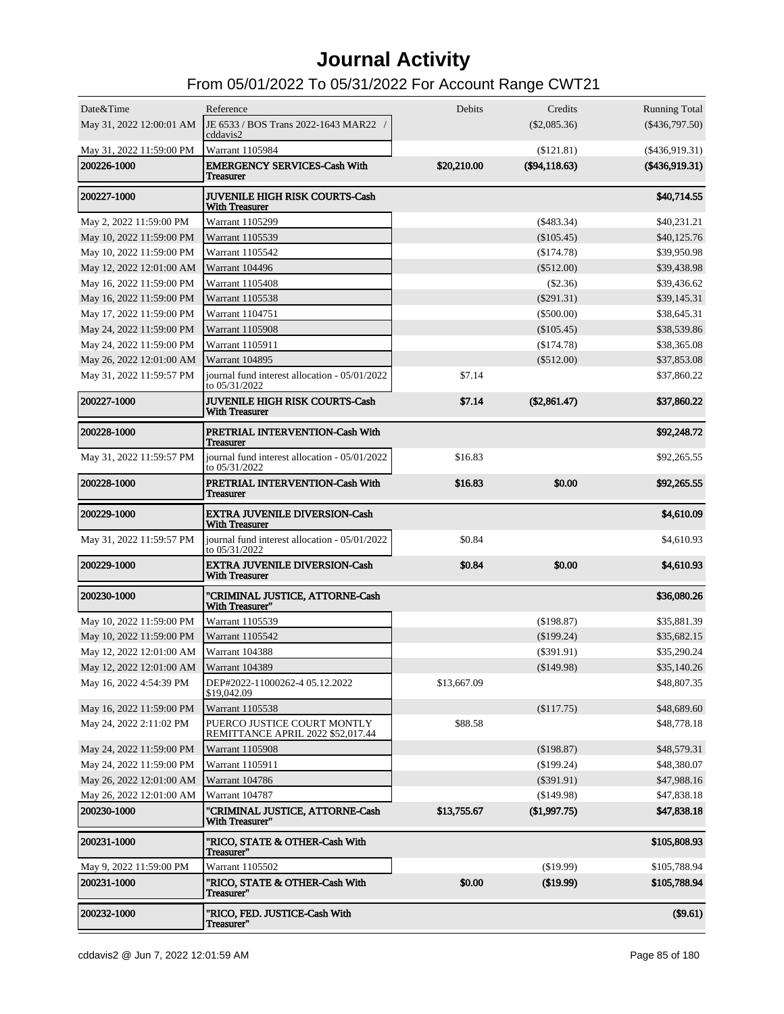| Date&Time<br>May 31, 2022 12:00:01 AM   | Reference<br>JE 6533 / BOS Trans 2022-1643 MAR22 /<br>cddavis2             | Debits      | Credits<br>$(\$2,085.36)$     | <b>Running Total</b><br>$(\$436,797.50)$ |
|-----------------------------------------|----------------------------------------------------------------------------|-------------|-------------------------------|------------------------------------------|
| May 31, 2022 11:59:00 PM<br>200226-1000 | Warrant 1105984<br><b>EMERGENCY SERVICES-Cash With</b><br><b>Treasurer</b> | \$20,210.00 | (\$121.81)<br>$(\$94,118.63)$ | $(\$436,919.31)$<br>$(\$436,919.31)$     |
| 200227-1000                             | <b>JUVENILE HIGH RISK COURTS-Cash</b><br><b>With Treasurer</b>             |             |                               | \$40,714.55                              |
| May 2, 2022 11:59:00 PM                 | Warrant 1105299                                                            |             | $(\$483.34)$                  | \$40,231.21                              |
| May 10, 2022 11:59:00 PM                | Warrant 1105539                                                            |             | $(\$105.45)$                  | \$40,125.76                              |
| May 10, 2022 11:59:00 PM                | Warrant 1105542                                                            |             | (\$174.78)                    | \$39,950.98                              |
| May 12, 2022 12:01:00 AM                | Warrant 104496                                                             |             | $(\$512.00)$                  | \$39,438.98                              |
| May 16, 2022 11:59:00 PM                | Warrant 1105408                                                            |             | $(\$2.36)$                    | \$39,436.62                              |
| May 16, 2022 11:59:00 PM                | Warrant 1105538                                                            |             | $(\$291.31)$                  | \$39,145.31                              |
| May 17, 2022 11:59:00 PM                | Warrant 1104751                                                            |             | $(\$500.00)$                  | \$38,645.31                              |
| May 24, 2022 11:59:00 PM                | <b>Warrant 1105908</b>                                                     |             | $(\$105.45)$                  | \$38,539.86                              |
| May 24, 2022 11:59:00 PM                | Warrant 1105911                                                            |             | (\$174.78)                    | \$38,365.08                              |
| May 26, 2022 12:01:00 AM                | <b>Warrant 104895</b>                                                      |             | $(\$512.00)$                  | \$37,853.08                              |
| May 31, 2022 11:59:57 PM                | journal fund interest allocation - 05/01/2022<br>to 05/31/2022             | \$7.14      |                               | \$37,860.22                              |
| 200227-1000                             | <b>JUVENILE HIGH RISK COURTS-Cash</b><br><b>With Treasurer</b>             | \$7.14      | (\$2,861.47)                  | \$37,860.22                              |
| 200228-1000                             | PRETRIAL INTERVENTION-Cash With<br><b>Treasurer</b>                        |             |                               | \$92,248.72                              |
| May 31, 2022 11:59:57 PM                | journal fund interest allocation - 05/01/2022<br>to 05/31/2022             | \$16.83     |                               | \$92,265.55                              |
| 200228-1000                             | PRETRIAL INTERVENTION-Cash With<br><b>Treasurer</b>                        | \$16.83     | \$0.00                        | \$92,265.55                              |
| 200229-1000                             | <b>EXTRA JUVENILE DIVERSION-Cash</b><br><b>With Treasurer</b>              |             |                               | \$4,610.09                               |
| May 31, 2022 11:59:57 PM                | journal fund interest allocation - 05/01/2022<br>to 05/31/2022             | \$0.84      |                               | \$4,610.93                               |
| <b>200229-1000</b>                      | <b>EXTRA JUVENILE DIVERSION-Cash</b><br><b>With Treasurer</b>              | \$0.84      | \$0.00                        | \$4,610.93                               |
| 200230-1000                             | "CRIMINAL JUSTICE, ATTORNE-Cash<br>With Treasurer"                         |             |                               | \$36,080.26                              |
| May 10, 2022 11:59:00 PM                | Warrant 1105539                                                            |             | (\$198.87)                    | \$35,881.39                              |
| May 10, 2022 11:59:00 PM                | Warrant 1105542                                                            |             | $(\$199.24)$                  | \$35,682.15                              |
| May 12, 2022 12:01:00 AM                | Warrant 104388                                                             |             | $(\$391.91)$                  | \$35,290.24                              |
| May 12, 2022 12:01:00 AM                | Warrant 104389                                                             |             | (\$149.98)                    | \$35,140.26                              |
| May 16, 2022 4:54:39 PM                 | DEP#2022-11000262-4 05.12.2022<br>\$19,042.09                              | \$13,667.09 |                               | \$48,807.35                              |
| May 16, 2022 11:59:00 PM                | Warrant 1105538                                                            |             | (\$117.75)                    | \$48,689.60                              |
| May 24, 2022 2:11:02 PM                 | PUERCO JUSTICE COURT MONTLY<br>REMITTANCE APRIL 2022 \$52,017.44           | \$88.58     |                               | \$48,778.18                              |
| May 24, 2022 11:59:00 PM                | Warrant 1105908                                                            |             | (\$198.87)                    | \$48,579.31                              |
| May 24, 2022 11:59:00 PM                | Warrant 1105911                                                            |             | $(\$199.24)$                  | \$48,380.07                              |
| May 26, 2022 12:01:00 AM                | Warrant 104786                                                             |             | $(\$391.91)$                  | \$47,988.16                              |
| May 26, 2022 12:01:00 AM                | Warrant 104787                                                             |             | (\$149.98)                    | \$47,838.18                              |
| 200230-1000                             | "CRIMINAL JUSTICE, ATTORNE-Cash<br>With Treasurer"                         | \$13,755.67 | (\$1,997.75)                  | \$47,838.18                              |
| 200231-1000                             | "RICO, STATE & OTHER-Cash With<br>Treasurer"                               |             |                               | \$105,808.93                             |
| May 9, 2022 11:59:00 PM                 | Warrant 1105502                                                            |             | (\$19.99)                     | \$105,788.94                             |
| 200231-1000                             | "RICO, STATE & OTHER-Cash With<br>Treasurer"                               | \$0.00      | (\$19.99)                     | \$105,788.94                             |
| 200232-1000                             | "RICO, FED. JUSTICE-Cash With<br>Treasurer"                                |             |                               | (\$9.61)                                 |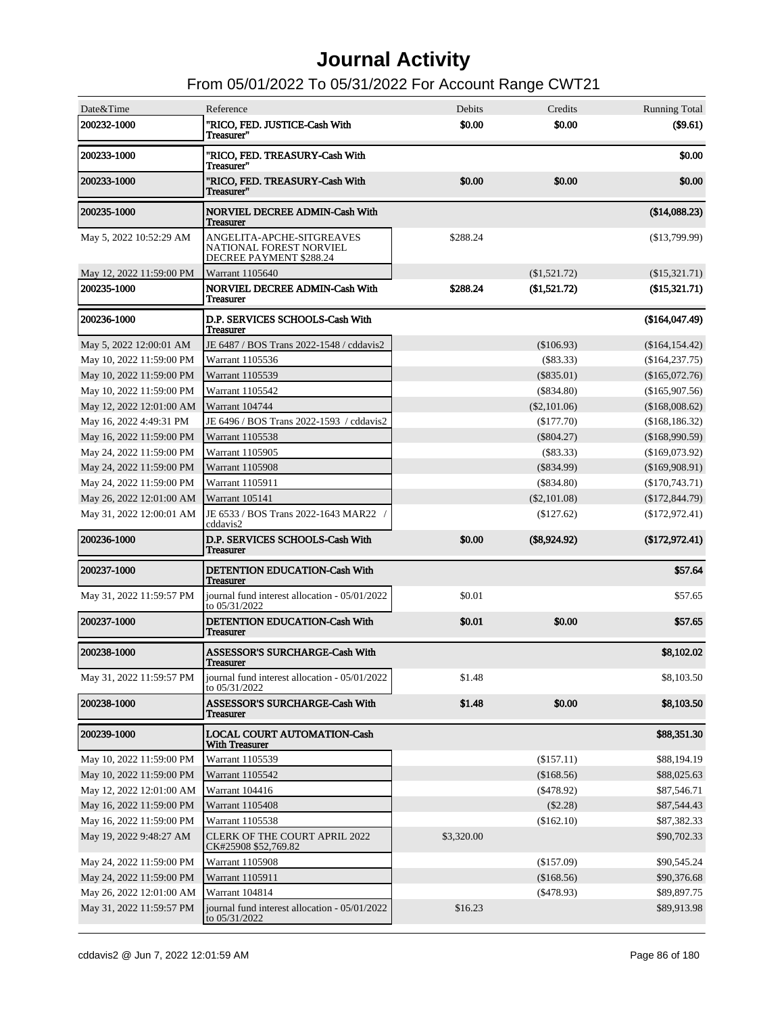| Date&Time                | Reference                                                                       | <b>Debits</b> | Credits        | <b>Running Total</b> |
|--------------------------|---------------------------------------------------------------------------------|---------------|----------------|----------------------|
| 200232-1000              | "RICO, FED. JUSTICE-Cash With<br>Treasurer"                                     | \$0.00        | \$0.00         | (\$9.61)             |
| 200233-1000              | "RICO, FED. TREASURY-Cash With<br>Treasurer"                                    |               |                | \$0.00               |
| 200233-1000              | "RICO, FED. TREASURY-Cash With<br>Treasurer"                                    | \$0.00        | \$0.00         | \$0.00               |
| 200235-1000              | <b>NORVIEL DECREE ADMIN-Cash With</b><br><b>Treasurer</b>                       |               |                | (\$14,088.23)        |
| May 5, 2022 10:52:29 AM  | ANGELITA-APCHE-SITGREAVES<br>NATIONAL FOREST NORVIEL<br>DECREE PAYMENT \$288.24 | \$288.24      |                | (\$13,799.99)        |
| May 12, 2022 11:59:00 PM | Warrant 1105640                                                                 |               | (\$1,521.72)   | $(\$15,321.71)$      |
| 200235-1000              | <b>NORVIEL DECREE ADMIN-Cash With</b><br><b>Treasurer</b>                       | \$288.24      | (\$1,521.72)   | (\$15,321.71)        |
| 200236-1000              | D.P. SERVICES SCHOOLS-Cash With<br><b>Treasurer</b>                             |               |                | (\$164,047.49)       |
| May 5, 2022 12:00:01 AM  | JE 6487 / BOS Trans 2022-1548 / cddavis2                                        |               | (\$106.93)     | (\$164, 154.42)      |
| May 10, 2022 11:59:00 PM | Warrant 1105536                                                                 |               | (S83.33)       | (\$164, 237.75)      |
| May 10, 2022 11:59:00 PM | Warrant 1105539                                                                 |               | $(\$835.01)$   | (\$165,072.76)       |
| May 10, 2022 11:59:00 PM | Warrant 1105542                                                                 |               | $(\$834.80)$   | (\$165,907.56)       |
| May 12, 2022 12:01:00 AM | <b>Warrant 104744</b>                                                           |               | $(\$2,101.06)$ | (\$168,008.62)       |
| May 16, 2022 4:49:31 PM  | JE 6496 / BOS Trans 2022-1593 / cddavis2                                        |               | (\$177.70)     | (\$168, 186.32)      |
| May 16, 2022 11:59:00 PM | Warrant 1105538                                                                 |               | $(\$804.27)$   | (\$168,990.59)       |
| May 24, 2022 11:59:00 PM | Warrant 1105905                                                                 |               | (S83.33)       | (\$169,073.92)       |
| May 24, 2022 11:59:00 PM | <b>Warrant 1105908</b>                                                          |               | $(\$834.99)$   | (\$169,908.91)       |
| May 24, 2022 11:59:00 PM | Warrant 1105911                                                                 |               | $(\$834.80)$   | (\$170,743.71)       |
| May 26, 2022 12:01:00 AM | Warrant 105141                                                                  |               | $(\$2,101.08)$ | (\$172,844.79)       |
| May 31, 2022 12:00:01 AM | JE 6533 / BOS Trans 2022-1643 MAR22 /<br>cddavis2                               |               | $(\$127.62)$   | (\$172,972.41)       |
| 200236-1000              | D.P. SERVICES SCHOOLS-Cash With<br><b>Treasurer</b>                             | \$0.00        | $(\$8,924.92)$ | (\$172,972.41)       |
| 200237-1000              | DETENTION EDUCATION-Cash With<br><b>Treasurer</b>                               |               |                | \$57.64              |
| May 31, 2022 11:59:57 PM | journal fund interest allocation - 05/01/2022<br>to 05/31/2022                  | \$0.01        |                | \$57.65              |
| 200237-1000              | DETENTION EDUCATION-Cash With<br><b>Treasurer</b>                               | \$0.01        | \$0.00         | \$57.65              |
| 200238-1000              | <b>ASSESSOR'S SURCHARGE-Cash With</b><br><b>Treasurer</b>                       |               |                | \$8,102.02           |
| May 31, 2022 11:59:57 PM | journal fund interest allocation - 05/01/2022<br>to 05/31/2022                  | \$1.48        |                | \$8,103.50           |
| 200238-1000              | <b>ASSESSOR'S SURCHARGE-Cash With</b><br>Treasurer                              | \$1.48        | \$0.00         | \$8,103.50           |
| 200239-1000              | <b>LOCAL COURT AUTOMATION-Cash</b><br><b>With Treasurer</b>                     |               |                | \$88,351.30          |
| May 10, 2022 11:59:00 PM | Warrant 1105539                                                                 |               | (\$157.11)     | \$88,194.19          |
| May 10, 2022 11:59:00 PM | Warrant 1105542                                                                 |               | (\$168.56)     | \$88,025.63          |
| May 12, 2022 12:01:00 AM | Warrant 104416                                                                  |               | $(\$478.92)$   | \$87,546.71          |
| May 16, 2022 11:59:00 PM | Warrant 1105408                                                                 |               | $(\$2.28)$     | \$87,544.43          |
| May 16, 2022 11:59:00 PM | Warrant 1105538                                                                 |               | (\$162.10)     | \$87,382.33          |
| May 19, 2022 9:48:27 AM  | <b>CLERK OF THE COURT APRIL 2022</b><br>CK#25908 \$52,769.82                    | \$3,320.00    |                | \$90,702.33          |
| May 24, 2022 11:59:00 PM | Warrant 1105908                                                                 |               | $(\$157.09)$   | \$90,545.24          |
| May 24, 2022 11:59:00 PM | Warrant 1105911                                                                 |               | (\$168.56)     | \$90,376.68          |
| May 26, 2022 12:01:00 AM | Warrant 104814                                                                  |               | $(\$478.93)$   | \$89,897.75          |
| May 31, 2022 11:59:57 PM | journal fund interest allocation - 05/01/2022<br>to 05/31/2022                  | \$16.23       |                | \$89,913.98          |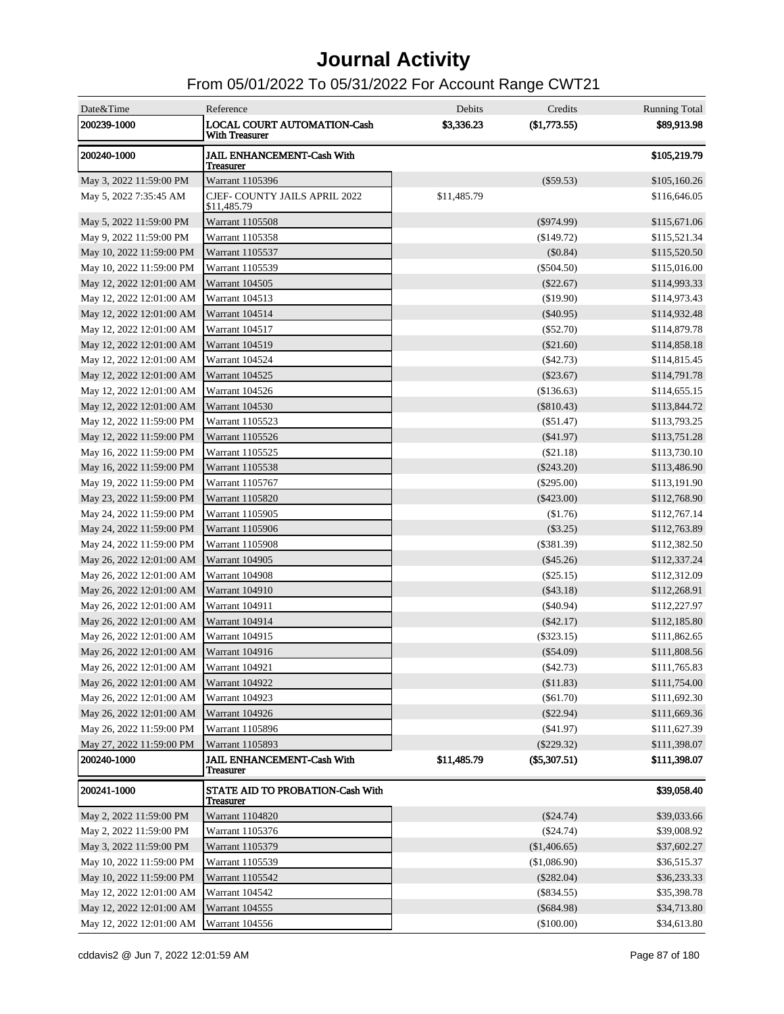| Date&Time                               | Reference                                                   | Debits      | Credits        | <b>Running Total</b> |
|-----------------------------------------|-------------------------------------------------------------|-------------|----------------|----------------------|
| 200239-1000                             | <b>LOCAL COURT AUTOMATION-Cash</b><br><b>With Treasurer</b> | \$3,336.23  | $(\$1,773.55)$ | \$89,913.98          |
| 200240-1000                             | <b>JAIL ENHANCEMENT-Cash With</b><br><b>Treasurer</b>       |             |                | \$105,219.79         |
| May 3, 2022 11:59:00 PM                 | Warrant 1105396                                             |             | $(\$59.53)$    | \$105,160.26         |
| May 5, 2022 7:35:45 AM                  | <b>CJEF- COUNTY JAILS APRIL 2022</b><br>\$11,485.79         | \$11,485.79 |                | \$116,646.05         |
| May 5, 2022 11:59:00 PM                 | Warrant 1105508                                             |             | $(\$974.99)$   | \$115,671.06         |
| May 9, 2022 11:59:00 PM                 | Warrant 1105358                                             |             | $(\$149.72)$   | \$115,521.34         |
| May 10, 2022 11:59:00 PM                | Warrant 1105537                                             |             | (\$0.84)       | \$115,520.50         |
| May 10, 2022 11:59:00 PM                | Warrant 1105539                                             |             | $(\$504.50)$   | \$115,016.00         |
| May 12, 2022 12:01:00 AM                | Warrant 104505                                              |             | $(\$22.67)$    | \$114,993.33         |
| May 12, 2022 12:01:00 AM                | Warrant 104513                                              |             | (\$19.90)      | \$114,973.43         |
| May 12, 2022 12:01:00 AM                | Warrant 104514                                              |             | $(\$40.95)$    | \$114,932.48         |
| May 12, 2022 12:01:00 AM                | Warrant 104517                                              |             | (\$52.70)      | \$114,879.78         |
| May 12, 2022 12:01:00 AM                | Warrant 104519                                              |             | (\$21.60)      | \$114,858.18         |
| May 12, 2022 12:01:00 AM                | Warrant 104524                                              |             | (\$42.73)      | \$114,815.45         |
| May 12, 2022 12:01:00 AM                | Warrant 104525                                              |             | $(\$23.67)$    | \$114,791.78         |
| May 12, 2022 12:01:00 AM                | Warrant 104526                                              |             | (\$136.63)     | \$114,655.15         |
| May 12, 2022 12:01:00 AM                | Warrant 104530                                              |             | $(\$810.43)$   | \$113,844.72         |
| May 12, 2022 11:59:00 PM                | Warrant 1105523                                             |             | (\$51.47)      | \$113,793.25         |
| May 12, 2022 11:59:00 PM                | Warrant 1105526                                             |             | $(\$41.97)$    | \$113,751.28         |
| May 16, 2022 11:59:00 PM                | Warrant 1105525                                             |             | (\$21.18)      | \$113,730.10         |
| May 16, 2022 11:59:00 PM                | Warrant 1105538                                             |             | $(\$243.20)$   | \$113,486.90         |
| May 19, 2022 11:59:00 PM                | Warrant 1105767                                             |             | $(\$295.00)$   | \$113,191.90         |
| May 23, 2022 11:59:00 PM                | Warrant 1105820                                             |             | $(\$423.00)$   | \$112,768.90         |
| May 24, 2022 11:59:00 PM                | Warrant 1105905                                             |             | (\$1.76)       | \$112,767.14         |
| May 24, 2022 11:59:00 PM                | Warrant 1105906                                             |             | (\$3.25)       | \$112,763.89         |
| May 24, 2022 11:59:00 PM                | <b>Warrant 1105908</b>                                      |             | (\$381.39)     | \$112,382.50         |
| May 26, 2022 12:01:00 AM                | <b>Warrant 104905</b>                                       |             | $(\$45.26)$    | \$112,337.24         |
| May 26, 2022 12:01:00 AM                | Warrant 104908                                              |             | (\$25.15)      | \$112,312.09         |
| May 26, 2022 12:01:00 AM                | Warrant 104910                                              |             | $(\$43.18)$    | \$112,268.91         |
| May 26, 2022 12:01:00 AM                | Warrant 104911                                              |             | (\$40.94)      | \$112,227.97         |
| May 26, 2022 12:01:00 AM                | Warrant 104914                                              |             | $(\$42.17)$    | \$112,185.80         |
| May 26, 2022 12:01:00 AM                | Warrant 104915                                              |             | $(\$323.15)$   | \$111,862.65         |
| May 26, 2022 12:01:00 AM                | <b>Warrant 104916</b>                                       |             | $(\$54.09)$    | \$111,808.56         |
| May 26, 2022 12:01:00 AM                | <b>Warrant 104921</b>                                       |             | ( \$42.73)     | \$111,765.83         |
| May 26, 2022 12:01:00 AM Warrant 104922 |                                                             |             | (\$11.83)      | \$111,754.00         |
| May 26, 2022 12:01:00 AM                | Warrant 104923                                              |             | $(\$61.70)$    | \$111,692.30         |
| May 26, 2022 12:01:00 AM                | Warrant 104926                                              |             | $(\$22.94)$    | \$111,669.36         |
| May 26, 2022 11:59:00 PM                | Warrant 1105896                                             |             | $(\$41.97)$    | \$111,627.39         |
| May 27, 2022 11:59:00 PM                | Warrant 1105893                                             |             | $(\$229.32)$   | \$111,398.07         |
| 200240-1000                             | JAIL ENHANCEMENT-Cash With<br><b>Treasurer</b>              | \$11,485.79 | (\$5,307.51)   | \$111,398.07         |
| 200241-1000                             | <b>STATE AID TO PROBATION-Cash With</b><br><b>Treasurer</b> |             |                | \$39,058.40          |
| May 2, 2022 11:59:00 PM                 | Warrant 1104820                                             |             | $(\$24.74)$    | \$39,033.66          |
| May 2, 2022 11:59:00 PM                 | Warrant 1105376                                             |             | $(\$24.74)$    | \$39,008.92          |
| May 3, 2022 11:59:00 PM                 | Warrant 1105379                                             |             | (\$1,406.65)   | \$37,602.27          |
| May 10, 2022 11:59:00 PM                | Warrant 1105539                                             |             | (\$1,086.90)   | \$36,515.37          |
| May 10, 2022 11:59:00 PM                | Warrant 1105542                                             |             | $(\$282.04)$   | \$36,233.33          |
| May 12, 2022 12:01:00 AM                | Warrant 104542                                              |             | $(\$834.55)$   | \$35,398.78          |
| May 12, 2022 12:01:00 AM                | Warrant 104555                                              |             | $(\$684.98)$   | \$34,713.80          |
| May 12, 2022 12:01:00 AM                | Warrant 104556                                              |             | $(\$100.00)$   | \$34,613.80          |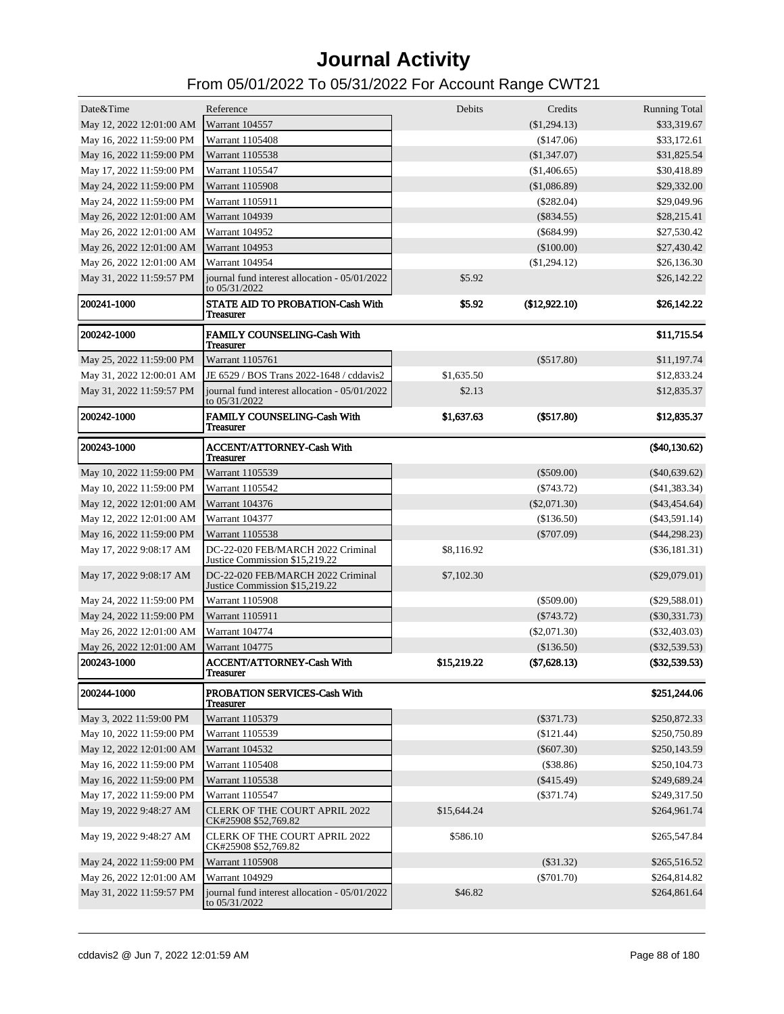| Date&Time                | Reference                                                           | Debits      | Credits        | <b>Running Total</b> |
|--------------------------|---------------------------------------------------------------------|-------------|----------------|----------------------|
| May 12, 2022 12:01:00 AM | Warrant 104557                                                      |             | (\$1,294.13)   | \$33,319.67          |
| May 16, 2022 11:59:00 PM | Warrant 1105408                                                     |             | (\$147.06)     | \$33,172.61          |
| May 16, 2022 11:59:00 PM | Warrant 1105538                                                     |             | (\$1,347.07)   | \$31,825.54          |
| May 17, 2022 11:59:00 PM | Warrant 1105547                                                     |             | (\$1,406.65)   | \$30,418.89          |
| May 24, 2022 11:59:00 PM | Warrant 1105908                                                     |             | (\$1,086.89)   | \$29,332.00          |
| May 24, 2022 11:59:00 PM | Warrant 1105911                                                     |             | $(\$282.04)$   | \$29,049.96          |
| May 26, 2022 12:01:00 AM | <b>Warrant 104939</b>                                               |             | $(\$834.55)$   | \$28,215.41          |
| May 26, 2022 12:01:00 AM | Warrant 104952                                                      |             | $(\$684.99)$   | \$27,530.42          |
| May 26, 2022 12:01:00 AM | Warrant 104953                                                      |             | (\$100.00)     | \$27,430.42          |
| May 26, 2022 12:01:00 AM | Warrant 104954                                                      |             | (\$1,294.12)   | \$26,136.30          |
| May 31, 2022 11:59:57 PM | journal fund interest allocation - 05/01/2022<br>to 05/31/2022      | \$5.92      |                | \$26,142.22          |
| 200241-1000              | STATE AID TO PROBATION-Cash With<br><b>Treasurer</b>                | \$5.92      | (\$12,922.10)  | \$26,142.22          |
| 200242-1000              | <b>FAMILY COUNSELING-Cash With</b><br><b>Treasurer</b>              |             |                | \$11,715.54          |
| May 25, 2022 11:59:00 PM | Warrant 1105761                                                     |             | $(\$517.80)$   | \$11,197.74          |
| May 31, 2022 12:00:01 AM | JE 6529 / BOS Trans 2022-1648 / cddavis2                            | \$1,635.50  |                | \$12,833.24          |
| May 31, 2022 11:59:57 PM | journal fund interest allocation - 05/01/2022<br>to 05/31/2022      | \$2.13      |                | \$12,835.37          |
| 200242-1000              | FAMILY COUNSELING-Cash With<br>Treasurer                            | \$1,637.63  | (\$517.80)     | \$12,835.37          |
| 200243-1000              | <b>ACCENT/ATTORNEY-Cash With</b><br>Treasurer                       |             |                | (\$40,130.62)        |
| May 10, 2022 11:59:00 PM | Warrant 1105539                                                     |             | $(\$509.00)$   | $(\$40,639.62)$      |
| May 10, 2022 11:59:00 PM | Warrant 1105542                                                     |             | $(\$743.72)$   | $($ \$41,383.34 $)$  |
| May 12, 2022 12:01:00 AM | Warrant 104376                                                      |             | $(\$2,071.30)$ | $(\$43,454.64)$      |
| May 12, 2022 12:01:00 AM | Warrant 104377                                                      |             | (\$136.50)     | $($ \$43,591.14 $)$  |
| May 16, 2022 11:59:00 PM | Warrant 1105538                                                     |             | $(\$707.09)$   | $(\$44,298.23)$      |
| May 17, 2022 9:08:17 AM  | DC-22-020 FEB/MARCH 2022 Criminal<br>Justice Commission \$15,219.22 | \$8,116.92  |                | $(\$36,181.31)$      |
| May 17, 2022 9:08:17 AM  | DC-22-020 FEB/MARCH 2022 Criminal<br>Justice Commission \$15,219.22 | \$7,102.30  |                | $(\$29,079.01)$      |
| May 24, 2022 11:59:00 PM | Warrant 1105908                                                     |             | $(\$509.00)$   | $(\$29,588.01)$      |
| May 24, 2022 11:59:00 PM | Warrant 1105911                                                     |             | $(\$743.72)$   | $(\$30,331.73)$      |
| May 26, 2022 12:01:00 AM | Warrant 104774                                                      |             | $(\$2,071.30)$ | $(\$32,403.03)$      |
| May 26, 2022 12:01:00 AM | Warrant 104775                                                      |             | (\$136.50)     | $(\$32,539.53)$      |
| 200243-1000              | <b>ACCENT/ATTORNEY-Cash With</b><br>1 reasurer                      | \$15,219.22 | (\$7,628.13)   | (\$32,539.53)        |
| 200244-1000              | PROBATION SERVICES-Cash With<br>Treasurer                           |             |                | \$251,244.06         |
| May 3, 2022 11:59:00 PM  | Warrant 1105379                                                     |             | $(\$371.73)$   | \$250,872.33         |
| May 10, 2022 11:59:00 PM | Warrant 1105539                                                     |             | $(\$121.44)$   | \$250,750.89         |
| May 12, 2022 12:01:00 AM | Warrant 104532                                                      |             | $(\$607.30)$   | \$250,143.59         |
| May 16, 2022 11:59:00 PM | Warrant 1105408                                                     |             | (\$38.86)      | \$250,104.73         |
| May 16, 2022 11:59:00 PM | Warrant 1105538                                                     |             | $(\$415.49)$   | \$249,689.24         |
| May 17, 2022 11:59:00 PM | Warrant 1105547                                                     |             | $(\$371.74)$   | \$249,317.50         |
| May 19, 2022 9:48:27 AM  | <b>CLERK OF THE COURT APRIL 2022</b><br>CK#25908 \$52,769.82        | \$15,644.24 |                | \$264,961.74         |
| May 19, 2022 9:48:27 AM  | <b>CLERK OF THE COURT APRIL 2022</b><br>CK#25908 \$52,769.82        | \$586.10    |                | \$265,547.84         |
| May 24, 2022 11:59:00 PM | Warrant 1105908                                                     |             | $(\$31.32)$    | \$265,516.52         |
| May 26, 2022 12:01:00 AM | Warrant 104929                                                      |             | $(\$701.70)$   | \$264,814.82         |
| May 31, 2022 11:59:57 PM | journal fund interest allocation - 05/01/2022<br>to 05/31/2022      | \$46.82     |                | \$264,861.64         |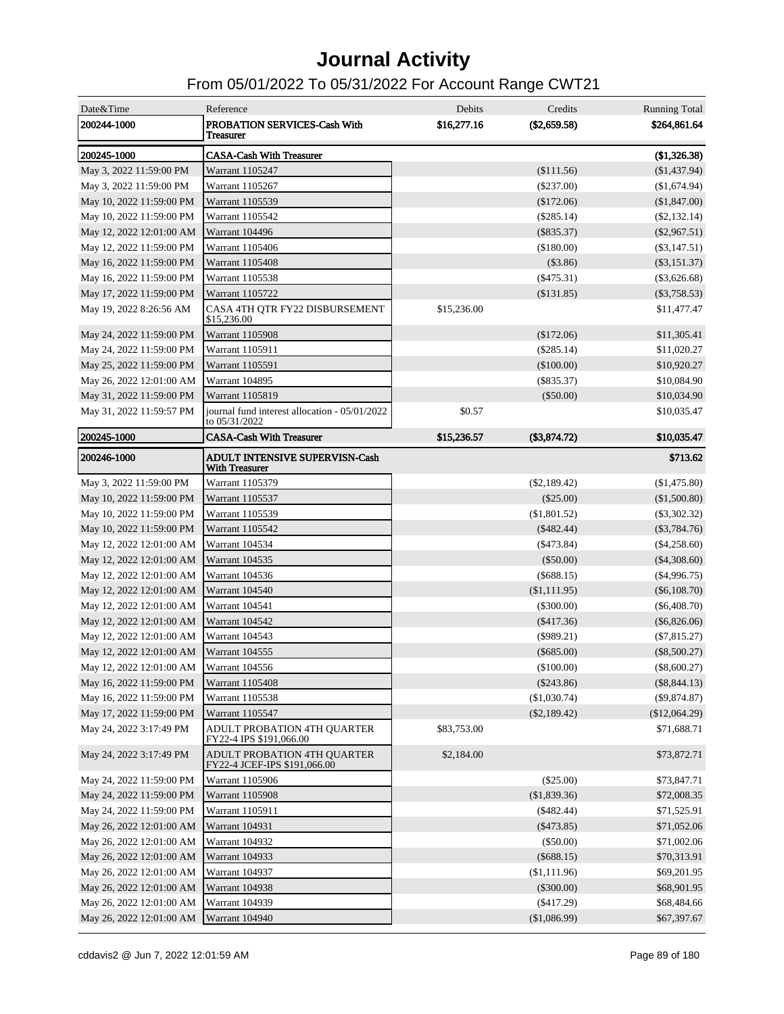| Date&Time                | Reference                                                      | Debits      | Credits        | <b>Running Total</b> |
|--------------------------|----------------------------------------------------------------|-------------|----------------|----------------------|
| 200244-1000              | PROBATION SERVICES-Cash With<br>Treasurer                      | \$16,277.16 | $(\$2,659.58)$ | \$264,861.64         |
| 200245-1000              | <b>CASA-Cash With Treasurer</b>                                |             |                | (\$1,326.38)         |
| May 3, 2022 11:59:00 PM  | Warrant 1105247                                                |             | (\$111.56)     | (\$1,437.94)         |
| May 3, 2022 11:59:00 PM  | Warrant 1105267                                                |             | $(\$237.00)$   | (\$1,674.94)         |
| May 10, 2022 11:59:00 PM | Warrant 1105539                                                |             | $(\$172.06)$   | (\$1,847.00)         |
| May 10, 2022 11:59:00 PM | Warrant 1105542                                                |             | $(\$285.14)$   | $(\$2,132.14)$       |
| May 12, 2022 12:01:00 AM | Warrant 104496                                                 |             | $(\$835.37)$   | $(\$2,967.51)$       |
| May 12, 2022 11:59:00 PM | Warrant 1105406                                                |             | (\$180.00)     | $(\$3,147.51)$       |
| May 16, 2022 11:59:00 PM | <b>Warrant 1105408</b>                                         |             | $(\$3.86)$     | $(\$3,151.37)$       |
| May 16, 2022 11:59:00 PM | Warrant 1105538                                                |             | $(\$475.31)$   | $(\$3,626.68)$       |
| May 17, 2022 11:59:00 PM | Warrant 1105722                                                |             | (\$131.85)     | $(\$3,758.53)$       |
| May 19, 2022 8:26:56 AM  | CASA 4TH QTR FY22 DISBURSEMENT<br>\$15,236.00                  | \$15,236.00 |                | \$11,477.47          |
| May 24, 2022 11:59:00 PM | <b>Warrant 1105908</b>                                         |             | (\$172.06)     | \$11,305.41          |
| May 24, 2022 11:59:00 PM | Warrant 1105911                                                |             | $(\$285.14)$   | \$11,020.27          |
| May 25, 2022 11:59:00 PM | Warrant 1105591                                                |             | $(\$100.00)$   | \$10,920.27          |
| May 26, 2022 12:01:00 AM | Warrant 104895                                                 |             | $(\$835.37)$   | \$10,084.90          |
| May 31, 2022 11:59:00 PM | Warrant 1105819                                                |             | $(\$50.00)$    | \$10,034.90          |
| May 31, 2022 11:59:57 PM | journal fund interest allocation - 05/01/2022<br>to 05/31/2022 | \$0.57      |                | \$10,035.47          |
| 200245-1000              | <b>CASA-Cash With Treasurer</b>                                | \$15,236.57 | (\$3,874.72)   | \$10,035.47          |
| 200246-1000              | <b>ADULT INTENSIVE SUPERVISN-Cash</b><br><b>With Treasurer</b> |             |                | \$713.62             |
| May 3, 2022 11:59:00 PM  | Warrant 1105379                                                |             | $(\$2,189.42)$ | (\$1,475.80)         |
| May 10, 2022 11:59:00 PM | Warrant 1105537                                                |             | $(\$25.00)$    | (\$1,500.80)         |
| May 10, 2022 11:59:00 PM | Warrant 1105539                                                |             | $(\$1,801.52)$ | $(\$3,302.32)$       |
| May 10, 2022 11:59:00 PM | Warrant 1105542                                                |             | $(\$482.44)$   | $(\$3,784.76)$       |
| May 12, 2022 12:01:00 AM | Warrant 104534                                                 |             | $(\$473.84)$   | $(\$4,258.60)$       |
| May 12, 2022 12:01:00 AM | Warrant 104535                                                 |             | (\$50.00)      | $(\$4,308.60)$       |
| May 12, 2022 12:01:00 AM | Warrant 104536                                                 |             | $(\$688.15)$   | $(\$4,996.75)$       |
| May 12, 2022 12:01:00 AM | Warrant 104540                                                 |             | (\$1,111.95)   | $(\$6,108.70)$       |
| May 12, 2022 12:01:00 AM | Warrant 104541                                                 |             | $(\$300.00)$   | $(\$6,408.70)$       |
| May 12, 2022 12:01:00 AM | Warrant 104542                                                 |             | $(\$417.36)$   | $(\$6,826.06)$       |
| May 12, 2022 12:01:00 AM | Warrant 104543                                                 |             | $(\$989.21)$   | $(\$7,815.27)$       |
| May 12, 2022 12:01:00 AM | Warrant 104555                                                 |             | $(\$685.00)$   | $(\$8,500.27)$       |
| May 12, 2022 12:01:00 AM | Warrant 104556                                                 |             | $(\$100.00)$   | $(\$8,600.27)$       |
| May 16, 2022 11:59:00 PM | Warrant 1105408                                                |             | $(\$243.86)$   | $(\$8,844.13)$       |
| May 16, 2022 11:59:00 PM | Warrant 1105538                                                |             | (\$1,030.74)   | $(\$9,874.87)$       |
| May 17, 2022 11:59:00 PM | Warrant 1105547                                                |             | (\$2,189.42)   | (\$12,064.29)        |
| May 24, 2022 3:17:49 PM  | ADULT PROBATION 4TH QUARTER<br>FY22-4 IPS \$191,066.00         | \$83,753.00 |                | \$71,688.71          |
| May 24, 2022 3:17:49 PM  | ADULT PROBATION 4TH QUARTER<br>FY22-4 JCEF-IPS \$191,066.00    | \$2,184.00  |                | \$73,872.71          |
| May 24, 2022 11:59:00 PM | Warrant 1105906                                                |             | $(\$25.00)$    | \$73,847.71          |
| May 24, 2022 11:59:00 PM | Warrant 1105908                                                |             | (\$1,839.36)   | \$72,008.35          |
| May 24, 2022 11:59:00 PM | Warrant 1105911                                                |             | $(\$482.44)$   | \$71,525.91          |
| May 26, 2022 12:01:00 AM | Warrant 104931                                                 |             | $(\$473.85)$   | \$71,052.06          |
| May 26, 2022 12:01:00 AM | Warrant 104932                                                 |             | $(\$50.00)$    | \$71,002.06          |
| May 26, 2022 12:01:00 AM | Warrant 104933                                                 |             | $(\$688.15)$   | \$70,313.91          |
| May 26, 2022 12:01:00 AM | Warrant 104937                                                 |             | (\$1,111.96)   | \$69,201.95          |
| May 26, 2022 12:01:00 AM | Warrant 104938                                                 |             | $(\$300.00)$   | \$68,901.95          |
| May 26, 2022 12:01:00 AM | Warrant 104939                                                 |             | $(\$417.29)$   | \$68,484.66          |
| May 26, 2022 12:01:00 AM | Warrant 104940                                                 |             | (\$1,086.99)   | \$67,397.67          |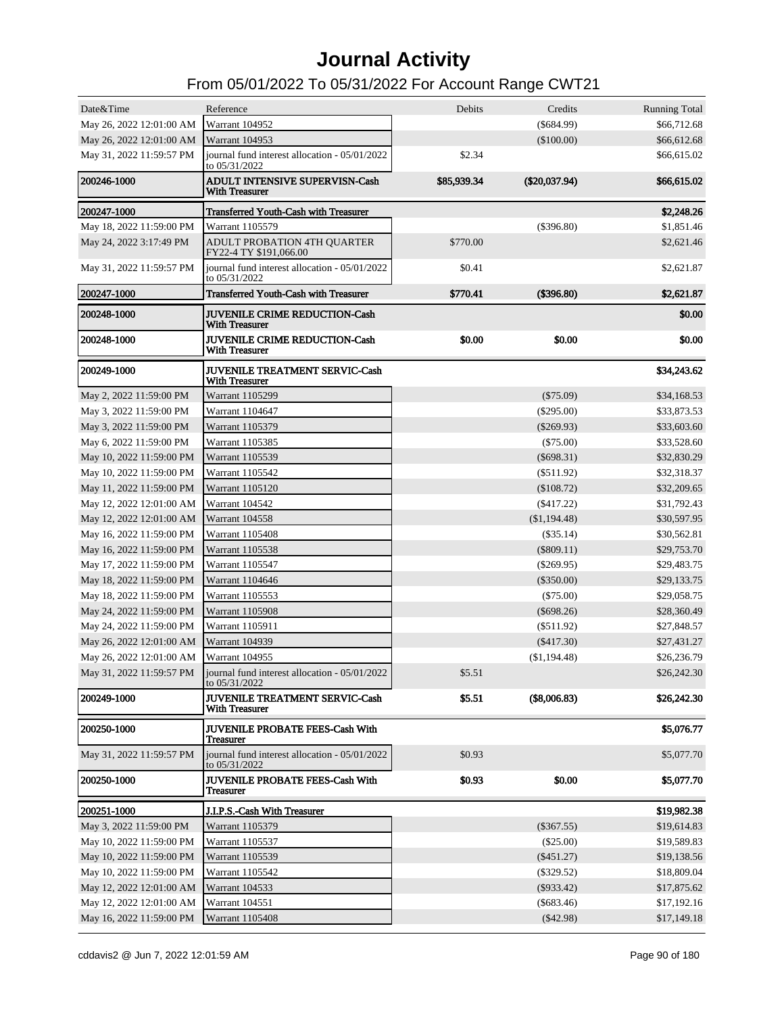| Date&Time                | Reference                                                      | Debits      | Credits         | <b>Running Total</b> |
|--------------------------|----------------------------------------------------------------|-------------|-----------------|----------------------|
| May 26, 2022 12:01:00 AM | Warrant 104952                                                 |             | $(\$684.99)$    | \$66,712.68          |
| May 26, 2022 12:01:00 AM | Warrant 104953                                                 |             | (\$100.00)      | \$66,612.68          |
| May 31, 2022 11:59:57 PM | journal fund interest allocation - 05/01/2022                  | \$2.34      |                 | \$66,615.02          |
|                          | to 05/31/2022                                                  |             |                 |                      |
| 200246-1000              | <b>ADULT INTENSIVE SUPERVISN-Cash</b><br><b>With Treasurer</b> | \$85,939.34 | $(\$20,037.94)$ | \$66,615.02          |
| 200247-1000              | <b>Transferred Youth-Cash with Treasurer</b>                   |             |                 | \$2,248.26           |
| May 18, 2022 11:59:00 PM | Warrant 1105579                                                |             | $(\$396.80)$    | \$1,851.46           |
| May 24, 2022 3:17:49 PM  | ADULT PROBATION 4TH QUARTER<br>FY22-4 TY \$191,066.00          | \$770.00    |                 | \$2,621.46           |
| May 31, 2022 11:59:57 PM | journal fund interest allocation - 05/01/2022<br>to 05/31/2022 | \$0.41      |                 | \$2,621.87           |
| 200247-1000              | <b>Transferred Youth-Cash with Treasurer</b>                   | \$770.41    | (\$396.80)      | \$2,621.87           |
| 200248-1000              | <b>JUVENILE CRIME REDUCTION-Cash</b><br><b>With Treasurer</b>  |             |                 | \$0.00               |
| 200248-1000              | <b>JUVENILE CRIME REDUCTION-Cash</b><br><b>With Treasurer</b>  | \$0.00      | \$0.00          | \$0.00               |
| 200249-1000              | <b>JUVENILE TREATMENT SERVIC-Cash</b><br><b>With Treasurer</b> |             |                 | \$34,243.62          |
| May 2, 2022 11:59:00 PM  | <b>Warrant 1105299</b>                                         |             | $(\$75.09)$     | \$34,168.53          |
| May 3, 2022 11:59:00 PM  | Warrant 1104647                                                |             | $(\$295.00)$    | \$33,873.53          |
| May 3, 2022 11:59:00 PM  | Warrant 1105379                                                |             | $(\$269.93)$    | \$33,603.60          |
| May 6, 2022 11:59:00 PM  | Warrant 1105385                                                |             | $(\$75.00)$     | \$33,528.60          |
| May 10, 2022 11:59:00 PM | Warrant 1105539                                                |             | $(\$698.31)$    | \$32,830.29          |
| May 10, 2022 11:59:00 PM | Warrant 1105542                                                |             | $(\$511.92)$    | \$32,318.37          |
| May 11, 2022 11:59:00 PM | Warrant 1105120                                                |             | (\$108.72)      | \$32,209.65          |
| May 12, 2022 12:01:00 AM | Warrant 104542                                                 |             | $(\$417.22)$    | \$31,792.43          |
| May 12, 2022 12:01:00 AM | Warrant 104558                                                 |             | $(\$1,194.48)$  | \$30,597.95          |
| May 16, 2022 11:59:00 PM | Warrant 1105408                                                |             | $(\$35.14)$     | \$30,562.81          |
| May 16, 2022 11:59:00 PM | Warrant 1105538                                                |             | $(\$809.11)$    | \$29,753.70          |
| May 17, 2022 11:59:00 PM | Warrant 1105547                                                |             | $(\$269.95)$    | \$29,483.75          |
| May 18, 2022 11:59:00 PM | Warrant 1104646                                                |             | $(\$350.00)$    | \$29,133.75          |
| May 18, 2022 11:59:00 PM | Warrant 1105553                                                |             | $(\$75.00)$     | \$29,058.75          |
| May 24, 2022 11:59:00 PM | <b>Warrant 1105908</b>                                         |             | $(\$698.26)$    | \$28,360.49          |
| May 24, 2022 11:59:00 PM | Warrant 1105911                                                |             | $(\$511.92)$    | \$27,848.57          |
| May 26, 2022 12:01:00 AM | <b>Warrant 104939</b>                                          |             | $(\$417.30)$    | \$27,431.27          |
| May 26, 2022 12:01:00 AM | Warrant 104955                                                 |             | (\$1,194.48)    | \$26,236.79          |
| May 31, 2022 11:59:57 PM | journal fund interest allocation - 05/01/2022<br>to 05/31/2022 | \$5.51      |                 | \$26,242.30          |
| 200249-1000              | JUVENILE TREATMENT SERVIC-Cash<br><b>With Treasurer</b>        | \$5.51      | (\$8,006.83)    | \$26,242.30          |
| 200250-1000              | <b>JUVENILE PROBATE FEES-Cash With</b><br><b>Treasurer</b>     |             |                 | \$5,076.77           |
| May 31, 2022 11:59:57 PM | journal fund interest allocation - 05/01/2022<br>to 05/31/2022 | \$0.93      |                 | \$5,077.70           |
| 200250-1000              | <b>JUVENILE PROBATE FEES-Cash With</b><br><b>Treasurer</b>     | \$0.93      | \$0.00          | \$5,077.70           |
| <b>200251-1000</b>       | J.I.P.S.-Cash With Treasurer                                   |             |                 | \$19,982.38          |
| May 3, 2022 11:59:00 PM  | Warrant 1105379                                                |             | $(\$367.55)$    | \$19,614.83          |
| May 10, 2022 11:59:00 PM | Warrant 1105537                                                |             | (\$25.00)       | \$19,589.83          |
| May 10, 2022 11:59:00 PM | Warrant 1105539                                                |             | $(\$451.27)$    | \$19,138.56          |
| May 10, 2022 11:59:00 PM | Warrant 1105542                                                |             | $(\$329.52)$    | \$18,809.04          |
| May 12, 2022 12:01:00 AM | Warrant 104533                                                 |             | $(\$933.42)$    | \$17,875.62          |
| May 12, 2022 12:01:00 AM | Warrant 104551                                                 |             | $(\$683.46)$    | \$17,192.16          |
| May 16, 2022 11:59:00 PM | Warrant 1105408                                                |             | $(\$42.98)$     | \$17,149.18          |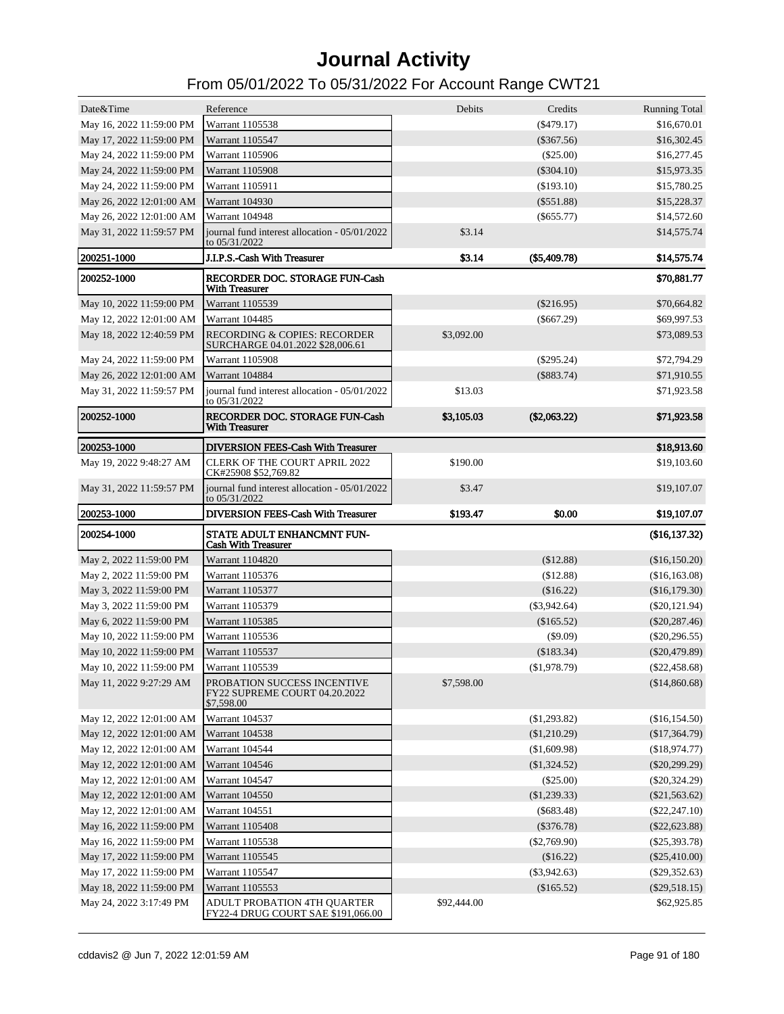| Date&Time                                            | Reference                                                                   | Debits     | Credits                       | <b>Running Total</b>                |
|------------------------------------------------------|-----------------------------------------------------------------------------|------------|-------------------------------|-------------------------------------|
| May 16, 2022 11:59:00 PM                             | Warrant 1105538                                                             |            | $(\$479.17)$                  | \$16,670.01                         |
| May 17, 2022 11:59:00 PM                             | Warrant 1105547                                                             |            | $(\$367.56)$                  | \$16,302.45                         |
| May 24, 2022 11:59:00 PM                             | Warrant 1105906                                                             |            | $(\$25.00)$                   | \$16,277.45                         |
| May 24, 2022 11:59:00 PM                             | <b>Warrant 1105908</b>                                                      |            | $(\$304.10)$                  | \$15,973.35                         |
| May 24, 2022 11:59:00 PM                             | Warrant 1105911                                                             |            | $(\$193.10)$                  | \$15,780.25                         |
| May 26, 2022 12:01:00 AM                             | <b>Warrant 104930</b>                                                       |            | $(\$551.88)$                  | \$15,228.37                         |
| May 26, 2022 12:01:00 AM                             | Warrant 104948                                                              |            | $(\$655.77)$                  | \$14,572.60                         |
| May 31, 2022 11:59:57 PM                             | journal fund interest allocation - 05/01/2022<br>to 05/31/2022              | \$3.14     |                               | \$14,575.74                         |
| 200251-1000                                          | J.I.P.S.-Cash With Treasurer                                                | \$3.14     | (\$5,409.78)                  | \$14,575.74                         |
| 200252-1000                                          | RECORDER DOC. STORAGE FUN-Cash<br><b>With Treasurer</b>                     |            |                               | \$70,881.77                         |
| May 10, 2022 11:59:00 PM                             | Warrant 1105539                                                             |            | $(\$216.95)$                  | \$70,664.82                         |
| May 12, 2022 12:01:00 AM                             | Warrant 104485                                                              |            | $(\$667.29)$                  | \$69,997.53                         |
| May 18, 2022 12:40:59 PM                             | <b>RECORDING &amp; COPIES: RECORDER</b><br>SURCHARGE 04.01.2022 \$28,006.61 | \$3,092.00 |                               | \$73,089.53                         |
| May 24, 2022 11:59:00 PM                             | <b>Warrant 1105908</b>                                                      |            | $(\$295.24)$                  | \$72,794.29                         |
| May 26, 2022 12:01:00 AM                             | Warrant 104884                                                              |            | $(\$883.74)$                  | \$71,910.55                         |
| May 31, 2022 11:59:57 PM                             | journal fund interest allocation - 05/01/2022<br>to 05/31/2022              | \$13.03    |                               | \$71,923.58                         |
| 200252-1000                                          | RECORDER DOC. STORAGE FUN-Cash<br><b>With Treasurer</b>                     | \$3,105.03 | $(\$2,063.22)$                | \$71,923.58                         |
| 200253-1000                                          | <b>DIVERSION FEES-Cash With Treasurer</b>                                   |            |                               | \$18,913.60                         |
| May 19, 2022 9:48:27 AM                              | <b>CLERK OF THE COURT APRIL 2022</b><br>CK#25908 \$52,769.82                | \$190.00   |                               | \$19,103.60                         |
| May 31, 2022 11:59:57 PM                             | journal fund interest allocation - 05/01/2022<br>to 05/31/2022              | \$3.47     |                               | \$19,107.07                         |
|                                                      |                                                                             |            |                               |                                     |
| 200253-1000                                          | DIVERSION FEES-Cash With Treasurer                                          | \$193.47   | \$0.00                        | \$19,107.07                         |
|                                                      |                                                                             |            |                               |                                     |
| 200254-1000                                          | STATE ADULT ENHANCMNT FUN-<br><b>Cash With Treasurer</b>                    |            |                               | (\$16,137.32)                       |
| May 2, 2022 11:59:00 PM                              | Warrant 1104820                                                             |            | (\$12.88)                     | (\$16,150.20)                       |
| May 2, 2022 11:59:00 PM                              | Warrant 1105376                                                             |            | (\$12.88)                     | (\$16,163.08)                       |
| May 3, 2022 11:59:00 PM                              | Warrant 1105377                                                             |            | (\$16.22)                     | (\$16,179.30)                       |
| May 3, 2022 11:59:00 PM                              | Warrant 1105379                                                             |            | $(\$3,942.64)$                | $(\$20,121.94)$                     |
| May 6, 2022 11:59:00 PM                              | Warrant 1105385                                                             |            | $(\$165.52)$                  | $(\$20,287.46)$                     |
| May 10, 2022 11:59:00 PM                             | Warrant 1105536                                                             |            | $(\$9.09)$                    | $(\$20,296.55)$                     |
| May 10, 2022 11:59:00 PM                             | Warrant 1105537                                                             |            | (\$183.34)                    | $(\$20,479.89)$                     |
| May 10, 2022 11:59:00 PM                             | Warrant 1105539                                                             |            | (\$1,978.79)                  | $(\$22,458.68)$                     |
| May 11, 2022 9:27:29 AM                              | PROBATION SUCCESS INCENTIVE<br>FY22 SUPREME COURT 04.20.2022<br>\$7,598.00  | \$7,598.00 |                               | (\$14,860.68)                       |
| May 12, 2022 12:01:00 AM                             | Warrant 104537                                                              |            | $(\$1,293.82)$                | (\$16,154.50)                       |
| May 12, 2022 12:01:00 AM                             | Warrant 104538                                                              |            | (\$1,210.29)                  | (\$17,364.79)                       |
|                                                      | Warrant 104544                                                              |            | (\$1,609.98)                  |                                     |
| May 12, 2022 12:01:00 AM                             | Warrant 104546                                                              |            |                               | (\$18,974.77)                       |
| May 12, 2022 12:01:00 AM                             | Warrant 104547                                                              |            | $(\$1,324.52)$<br>$(\$25.00)$ | $(\$20,299.29)$                     |
| May 12, 2022 12:01:00 AM                             | Warrant 104550                                                              |            |                               | $(\$20,324.29)$                     |
| May 12, 2022 12:01:00 AM<br>May 12, 2022 12:01:00 AM | Warrant 104551                                                              |            | (\$1,239.33)<br>$(\$683.48)$  | $(\$21,563.62)$<br>$(\$22, 247.10)$ |
| May 16, 2022 11:59:00 PM                             | Warrant 1105408                                                             |            | $(\$376.78)$                  | $(\$22,623.88)$                     |
| May 16, 2022 11:59:00 PM                             | Warrant 1105538                                                             |            | $(\$2,769.90)$                | $(\$25,393.78)$                     |
|                                                      | Warrant 1105545                                                             |            | (\$16.22)                     |                                     |
| May 17, 2022 11:59:00 PM                             | Warrant 1105547                                                             |            | $(\$3,942.63)$                | $(\$25,410.00)$                     |
| May 17, 2022 11:59:00 PM<br>May 18, 2022 11:59:00 PM | Warrant 1105553                                                             |            | (\$165.52)                    | $(\$29,352.63)$<br>$(\$29,518.15)$  |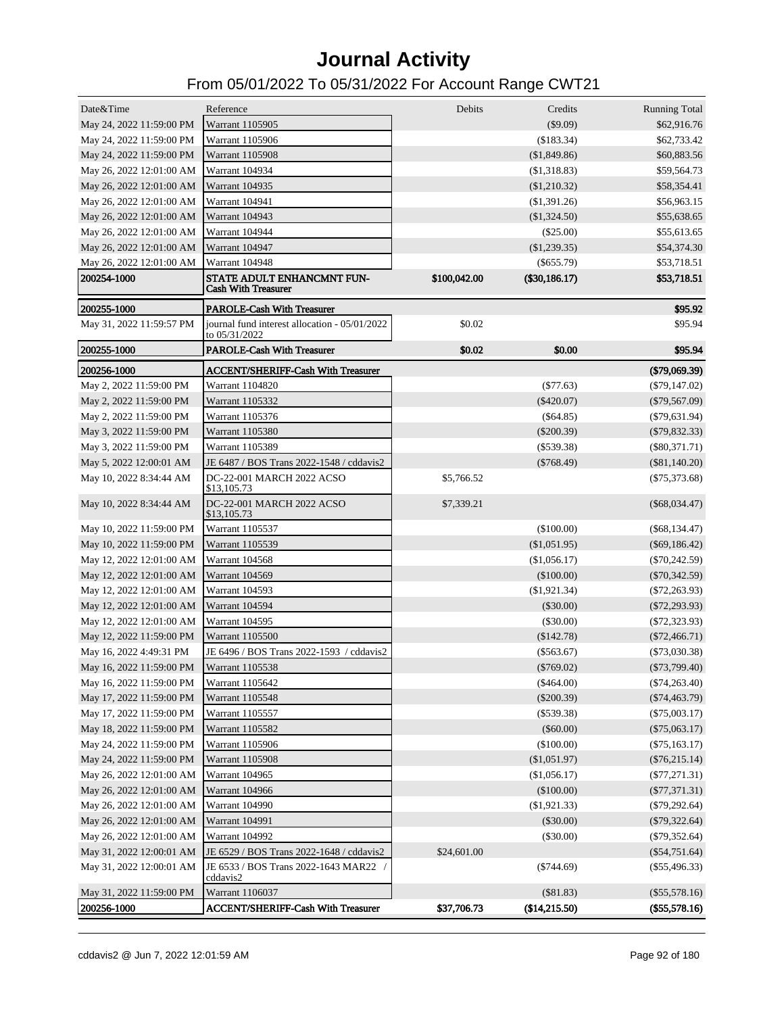| Date&Time                | Reference                                                      | Debits       | Credits        | <b>Running Total</b> |
|--------------------------|----------------------------------------------------------------|--------------|----------------|----------------------|
| May 24, 2022 11:59:00 PM | Warrant 1105905                                                |              | (\$9.09)       | \$62,916.76          |
| May 24, 2022 11:59:00 PM | Warrant 1105906                                                |              | (\$183.34)     | \$62,733.42          |
| May 24, 2022 11:59:00 PM | Warrant 1105908                                                |              | (\$1,849.86)   | \$60,883.56          |
| May 26, 2022 12:01:00 AM | Warrant 104934                                                 |              | (\$1,318.83)   | \$59,564.73          |
| May 26, 2022 12:01:00 AM | Warrant 104935                                                 |              | (\$1,210.32)   | \$58,354.41          |
| May 26, 2022 12:01:00 AM | Warrant 104941                                                 |              | (\$1,391.26)   | \$56,963.15          |
| May 26, 2022 12:01:00 AM | <b>Warrant 104943</b>                                          |              | (\$1,324.50)   | \$55,638.65          |
| May 26, 2022 12:01:00 AM | Warrant 104944                                                 |              | (\$25.00)      | \$55,613.65          |
| May 26, 2022 12:01:00 AM | Warrant 104947                                                 |              | $(\$1,239.35)$ | \$54,374.30          |
| May 26, 2022 12:01:00 AM | Warrant 104948                                                 |              | $(\$655.79)$   | \$53,718.51          |
| 200254-1000              | STATE ADULT ENHANCMNT FUN-<br><b>Cash With Treasurer</b>       | \$100,042.00 | (\$30,186.17)  | \$53,718.51          |
| 200255-1000              | <b>PAROLE-Cash With Treasurer</b>                              |              |                | \$95.92              |
| May 31, 2022 11:59:57 PM | journal fund interest allocation - 05/01/2022<br>to 05/31/2022 | \$0.02       |                | \$95.94              |
| 200255-1000              | <b>PAROLE-Cash With Treasurer</b>                              | \$0.02       | \$0.00         | \$95.94              |
| 200256-1000              | <b>ACCENT/SHERIFF-Cash With Treasurer</b>                      |              |                | (\$79,069.39)        |
| May 2, 2022 11:59:00 PM  | Warrant 1104820                                                |              | $(\$77.63)$    | $(\$79,147.02)$      |
| May 2, 2022 11:59:00 PM  | Warrant 1105332                                                |              | $(\$420.07)$   | $(\$79,567.09)$      |
| May 2, 2022 11:59:00 PM  | Warrant 1105376                                                |              | $(\$64.85)$    | $($ \$79,631.94 $)$  |
| May 3, 2022 11:59:00 PM  | Warrant 1105380                                                |              | $(\$200.39)$   | $(\$79,832.33)$      |
| May 3, 2022 11:59:00 PM  | Warrant 1105389                                                |              | $(\$539.38)$   | $(\$80,371.71)$      |
| May 5, 2022 12:00:01 AM  | JE 6487 / BOS Trans 2022-1548 / cddavis2                       |              | $(\$768.49)$   | $(\$81,140.20)$      |
| May 10, 2022 8:34:44 AM  | DC-22-001 MARCH 2022 ACSO<br>\$13,105.73                       | \$5,766.52   |                | $($ \$75,373.68 $)$  |
| May 10, 2022 8:34:44 AM  | DC-22-001 MARCH 2022 ACSO<br>\$13,105.73                       | \$7,339.21   |                | $(\$68,034.47)$      |
| May 10, 2022 11:59:00 PM | Warrant 1105537                                                |              | $(\$100.00)$   | $(\$68,134.47)$      |
| May 10, 2022 11:59:00 PM | Warrant 1105539                                                |              | (\$1,051.95)   | $(\$69,186.42)$      |
| May 12, 2022 12:01:00 AM | Warrant 104568                                                 |              | (\$1,056.17)   | $(\$70,242.59)$      |
| May 12, 2022 12:01:00 AM | Warrant 104569                                                 |              | (\$100.00)     | $(\$70,342.59)$      |
| May 12, 2022 12:01:00 AM | Warrant 104593                                                 |              | (\$1,921.34)   | $($ \$72,263.93 $)$  |
| May 12, 2022 12:01:00 AM | Warrant 104594                                                 |              | $(\$30.00)$    | $(\$72, 293.93)$     |
| May 12, 2022 12:01:00 AM | Warrant 104595                                                 |              | $(\$30.00)$    | $($ \$72,323.93 $)$  |
| May 12, 2022 11:59:00 PM | Warrant 1105500                                                |              | $(\$142.78)$   | $(\$72,466.71)$      |
| May 16, 2022 4:49:31 PM  | JE 6496 / BOS Trans 2022-1593 / cddavis2                       |              | $(\$563.67)$   | $(\$73,030.38)$      |
| May 16, 2022 11:59:00 PM | Warrant 1105538                                                |              | $(\$769.02)$   | $(\$73,799.40)$      |
| May 16, 2022 11:59:00 PM | Warrant 1105642                                                |              | $(\$464.00)$   | $(\$74,263.40)$      |
| May 17, 2022 11:59:00 PM | Warrant 1105548                                                |              | $(\$200.39)$   | $(\$74,463.79)$      |
| May 17, 2022 11:59:00 PM | Warrant 1105557                                                |              | $(\$539.38)$   | $(\$75,003.17)$      |
| May 18, 2022 11:59:00 PM | Warrant 1105582                                                |              | $(\$60.00)$    | $(\$75,063.17)$      |
| May 24, 2022 11:59:00 PM | Warrant 1105906                                                |              | (\$100.00)     | $(\$75,163.17)$      |
| May 24, 2022 11:59:00 PM | Warrant 1105908                                                |              | (\$1,051.97)   | $(\$76,215.14)$      |
| May 26, 2022 12:01:00 AM | Warrant 104965                                                 |              | (\$1,056.17)   | $($ \$77,271.31 $)$  |
| May 26, 2022 12:01:00 AM | Warrant 104966                                                 |              | (\$100.00)     | $(\$77,371.31)$      |
| May 26, 2022 12:01:00 AM | Warrant 104990                                                 |              | (\$1,921.33)   | $(\$79,292.64)$      |
| May 26, 2022 12:01:00 AM | Warrant 104991                                                 |              | (\$30.00)      | $(\$79,322.64)$      |
| May 26, 2022 12:01:00 AM | Warrant 104992                                                 |              | (\$30.00)      | $(\$79,352.64)$      |
| May 31, 2022 12:00:01 AM | JE 6529 / BOS Trans 2022-1648 / cddavis2                       | \$24,601.00  |                | $(\$54,751.64)$      |
| May 31, 2022 12:00:01 AM | JE 6533 / BOS Trans 2022-1643 MAR22 /<br>cddavis2              |              | $(\$744.69)$   | $(\$55,496.33)$      |
| May 31, 2022 11:59:00 PM | Warrant 1106037                                                |              | (\$81.83)      | $(\$55,578.16)$      |
| 200256-1000              | <b>ACCENT/SHERIFF-Cash With Treasurer</b>                      | \$37,706.73  | (\$14,215.50)  | (\$55,578.16)        |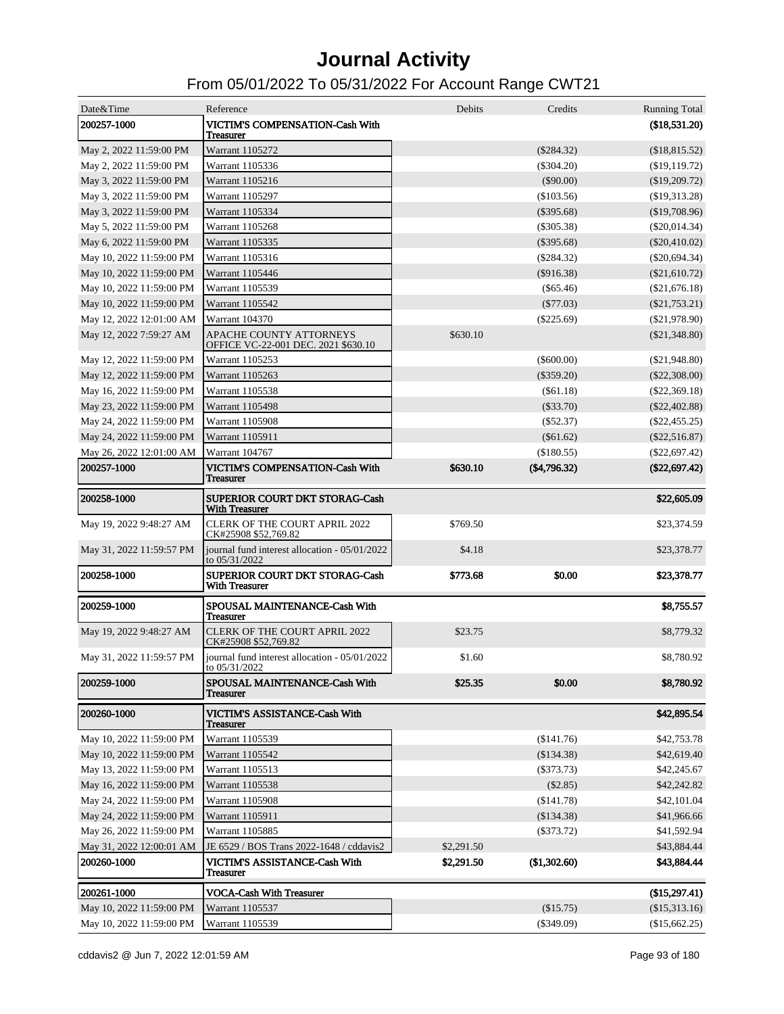| Date&Time                | Reference                                                      | Debits     | Credits         | <b>Running Total</b> |
|--------------------------|----------------------------------------------------------------|------------|-----------------|----------------------|
| 200257-1000              | VICTIM'S COMPENSATION-Cash With<br>Treasurer                   |            |                 | (\$18,531.20)        |
| May 2, 2022 11:59:00 PM  | Warrant 1105272                                                |            | $(\$284.32)$    | (\$18,815.52)        |
| May 2, 2022 11:59:00 PM  | Warrant 1105336                                                |            | $(\$304.20)$    | (\$19,119.72)        |
| May 3, 2022 11:59:00 PM  | Warrant 1105216                                                |            | $(\$90.00)$     | (\$19,209.72)        |
| May 3, 2022 11:59:00 PM  | Warrant 1105297                                                |            | $(\$103.56)$    | (\$19,313.28)        |
| May 3, 2022 11:59:00 PM  | Warrant 1105334                                                |            | $(\$395.68)$    | (\$19,708.96)        |
| May 5, 2022 11:59:00 PM  | Warrant 1105268                                                |            | $(\$305.38)$    | $(\$20,014.34)$      |
| May 6, 2022 11:59:00 PM  | Warrant 1105335                                                |            | $(\$395.68)$    | $(\$20,410.02)$      |
| May 10, 2022 11:59:00 PM | Warrant 1105316                                                |            | $(\$284.32)$    | $(\$20,694.34)$      |
| May 10, 2022 11:59:00 PM | Warrant 1105446                                                |            | $(\$916.38)$    | (\$21,610.72)        |
| May 10, 2022 11:59:00 PM | Warrant 1105539                                                |            | $($ \$65.46 $)$ | $(\$21,676.18)$      |
| May 10, 2022 11:59:00 PM | Warrant 1105542                                                |            | $(\$77.03)$     | $(\$21,753.21)$      |
| May 12, 2022 12:01:00 AM | Warrant 104370                                                 |            | $(\$225.69)$    | $(\$21,978.90)$      |
| May 12, 2022 7:59:27 AM  | APACHE COUNTY ATTORNEYS<br>OFFICE VC-22-001 DEC. 2021 \$630.10 | \$630.10   |                 | $(\$21,348.80)$      |
| May 12, 2022 11:59:00 PM | Warrant 1105253                                                |            | $(\$600.00)$    | (S21,948.80)         |
| May 12, 2022 11:59:00 PM | Warrant 1105263                                                |            | $(\$359.20)$    | $(\$22,308.00)$      |
| May 16, 2022 11:59:00 PM | Warrant 1105538                                                |            | (S61.18)        | $(\$22,369.18)$      |
| May 23, 2022 11:59:00 PM | <b>Warrant 1105498</b>                                         |            | $(\$33.70)$     | $(\$22,402.88)$      |
| May 24, 2022 11:59:00 PM | <b>Warrant 1105908</b>                                         |            | (S52.37)        | $(\$22,455.25)$      |
| May 24, 2022 11:59:00 PM | Warrant 1105911                                                |            | $(\$61.62)$     | $(\$22,516.87)$      |
| May 26, 2022 12:01:00 AM | Warrant 104767                                                 |            | (\$180.55)      | $(\$22,697.42)$      |
| 200257-1000              | <b>VICTIM'S COMPENSATION-Cash With</b><br>Treasurer            | \$630.10   | (\$4,796.32)    | (\$22,697.42)        |
| 200258-1000              | SUPERIOR COURT DKT STORAG-Cash<br><b>With Treasurer</b>        |            |                 | \$22,605.09          |
| May 19, 2022 9:48:27 AM  | <b>CLERK OF THE COURT APRIL 2022</b><br>CK#25908 \$52,769.82   | \$769.50   |                 | \$23,374.59          |
| May 31, 2022 11:59:57 PM | journal fund interest allocation - 05/01/2022<br>to 05/31/2022 | \$4.18     |                 | \$23,378.77          |
| 200258-1000              | SUPERIOR COURT DKT STORAG-Cash<br><b>With Treasurer</b>        | \$773.68   | \$0.00          | \$23,378.77          |
| 200259-1000              | <b>SPOUSAL MAINTENANCE-Cash With</b><br><b>Treasurer</b>       |            |                 | \$8,755.57           |
| May 19, 2022 9:48:27 AM  | <b>CLERK OF THE COURT APRIL 2022</b><br>CK#25908 \$52,769.82   | \$23.75    |                 | \$8,779.32           |
| May 31, 2022 11:59:57 PM | journal fund interest allocation - 05/01/2022<br>to 05/31/2022 | \$1.60     |                 | \$8,780.92           |
| 200259-1000              | SPOUSAL MAINTENANCE-Cash With<br><b>Treasurer</b>              | \$25.35    | \$0.00          | \$8,780.92           |
| 200260-1000              | VICTIM'S ASSISTANCE-Cash With<br>Treasurer                     |            |                 | \$42,895.54          |
| May 10, 2022 11:59:00 PM | Warrant 1105539                                                |            | (\$141.76)      | \$42,753.78          |
| May 10, 2022 11:59:00 PM | Warrant 1105542                                                |            | (\$134.38)      | \$42,619.40          |
| May 13, 2022 11:59:00 PM | Warrant 1105513                                                |            | $(\$373.73)$    | \$42,245.67          |
| May 16, 2022 11:59:00 PM | Warrant 1105538                                                |            | (\$2.85)        | \$42,242.82          |
| May 24, 2022 11:59:00 PM | Warrant 1105908                                                |            | (\$141.78)      | \$42,101.04          |
| May 24, 2022 11:59:00 PM | Warrant 1105911                                                |            | (\$134.38)      | \$41,966.66          |
| May 26, 2022 11:59:00 PM | Warrant 1105885                                                |            | $(\$373.72)$    | \$41,592.94          |
| May 31, 2022 12:00:01 AM | JE 6529 / BOS Trans 2022-1648 / cddavis2                       | \$2,291.50 |                 | \$43,884.44          |
| 200260-1000              | VICTIM'S ASSISTANCE-Cash With<br>Treasurer                     | \$2,291.50 | (\$1,302.60)    | \$43,884.44          |
| 200261-1000              | <b>VOCA-Cash With Treasurer</b>                                |            |                 | (\$15,297.41)        |
| May 10, 2022 11:59:00 PM | Warrant 1105537                                                |            | (\$15.75)       | (\$15,313.16)        |
| May 10, 2022 11:59:00 PM | Warrant 1105539                                                |            | $(\$349.09)$    | (\$15,662.25)        |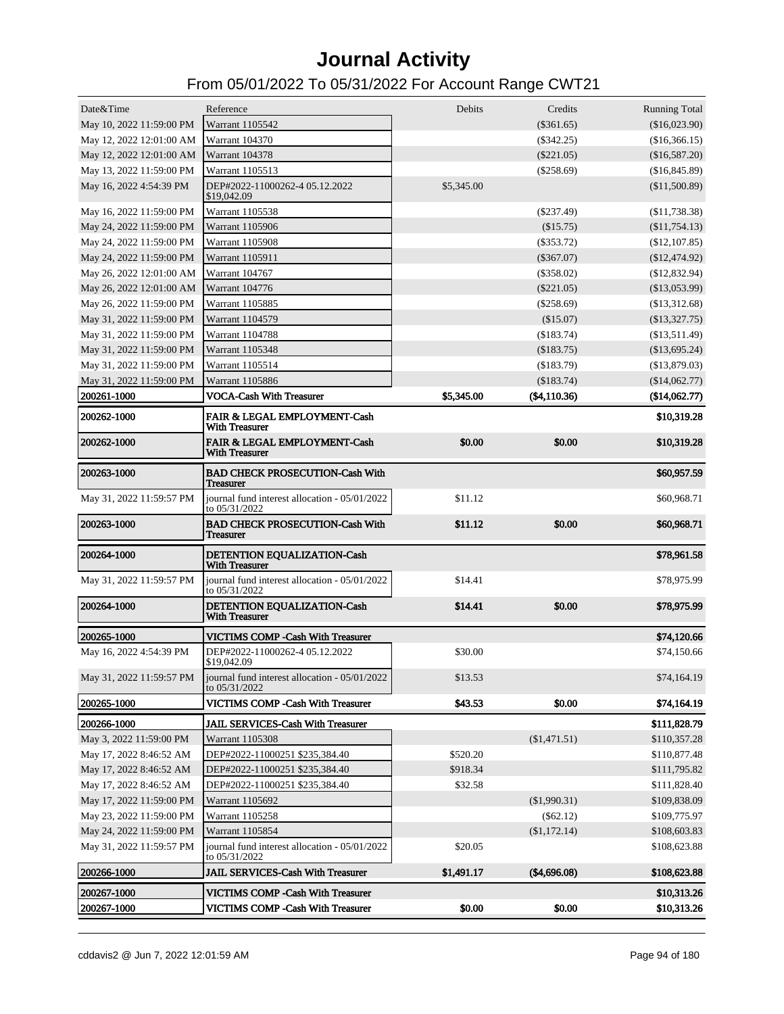| Debits<br>Date&Time<br>Reference<br>Credits<br><b>Running Total</b><br>$(\$361.65)$<br>May 10, 2022 11:59:00 PM<br>Warrant 1105542<br>(\$16,023.90)<br>May 12, 2022 12:01:00 AM<br><b>Warrant 104370</b><br>$(\$342.25)$<br>(\$16,366.15)<br>May 12, 2022 12:01:00 AM<br>Warrant 104378<br>$(\$221.05)$<br>(\$16,587.20)<br>May 13, 2022 11:59:00 PM<br>Warrant 1105513<br>$(\$258.69)$<br>(\$16,845.89)<br>May 16, 2022 4:54:39 PM<br>DEP#2022-11000262-4 05.12.2022<br>\$5,345.00<br>(\$11,500.89)<br>\$19,042.09<br>Warrant 1105538<br>$(\$237.49)$<br>(\$11,738.38)<br>May 16, 2022 11:59:00 PM<br>May 24, 2022 11:59:00 PM<br><b>Warrant 1105906</b><br>(\$15.75)<br>(\$11,754.13)<br>May 24, 2022 11:59:00 PM<br>Warrant 1105908<br>$(\$353.72)$<br>(\$12,107.85)<br>May 24, 2022 11:59:00 PM<br>Warrant 1105911<br>$(\$367.07)$<br>$(\$12,474.92)$<br>May 26, 2022 12:01:00 AM<br>Warrant 104767<br>$(\$358.02)$<br>$(\$12,832.94)$<br>May 26, 2022 12:01:00 AM<br>Warrant 104776<br>$(\$221.05)$<br>(\$13,053.99)<br>May 26, 2022 11:59:00 PM<br>Warrant 1105885<br>$(\$258.69)$<br>(\$13,312.68)<br>May 31, 2022 11:59:00 PM<br>Warrant 1104579<br>(\$15.07)<br>(\$13,327.75)<br>May 31, 2022 11:59:00 PM<br>Warrant 1104788<br>(\$183.74)<br>(\$13,511.49)<br>May 31, 2022 11:59:00 PM<br>Warrant 1105348<br>(\$183.75)<br>(\$13,695.24)<br>May 31, 2022 11:59:00 PM<br>Warrant 1105514<br>(\$183.79)<br>(\$13,879.03)<br>May 31, 2022 11:59:00 PM<br>Warrant 1105886<br>(\$183.74)<br>(\$14,062.77)<br><b>VOCA-Cash With Treasurer</b><br>\$5,345.00<br>200261-1000<br>(\$4,110.36)<br>(\$14,062.77)<br>200262-1000<br>FAIR & LEGAL EMPLOYMENT-Cash<br>\$10,319.28<br><b>With Treasurer</b><br>FAIR & LEGAL EMPLOYMENT-Cash<br>\$0.00<br>\$0.00<br><b>200262-1000</b><br>\$10,319.28<br><b>With Treasurer</b><br>\$60,957.59<br>200263-1000<br><b>BAD CHECK PROSECUTION-Cash With</b><br><b>Treasurer</b><br>journal fund interest allocation - 05/01/2022<br>\$11.12<br>\$60,968.71<br>May 31, 2022 11:59:57 PM<br>to 05/31/2022<br>200263-1000<br><b>BAD CHECK PROSECUTION-Cash With</b><br>\$11.12<br>\$0.00<br>\$60,968.71<br><b>Treasurer</b><br>200264-1000<br>\$78,961.58<br>DETENTION EQUALIZATION-Cash<br><b>With Treasurer</b><br>journal fund interest allocation - 05/01/2022<br>\$14.41<br>\$78,975.99<br>May 31, 2022 11:59:57 PM<br>to 05/31/2022<br>200264-1000<br>DETENTION EOUALIZATION-Cash<br>\$14.41<br>\$0.00<br>\$78,975.99<br><b>With Treasurer</b><br>200265-1000<br>VICTIMS COMP - Cash With Treasurer<br>\$74,120.66<br>May 16, 2022 4:54:39 PM<br>DEP#2022-11000262-4 05.12.2022<br>\$30.00<br>\$74,150.66<br>\$19,042.09<br>May 31, 2022 11:59:57 PM<br>journal fund interest allocation - 05/01/2022<br>\$13.53<br>\$74,164.19<br>to 05/31/2022<br>VICTIMS COMP -Cash With Treasurer<br>\$43.53<br>\$0.00<br>200265-1000<br>\$74,164.19<br>JAIL SERVICES-Cash With Treasurer<br>\$111,828.79<br>200266-1000<br>(\$1,471.51)<br>May 3, 2022 11:59:00 PM<br>Warrant 1105308<br>\$110,357.28<br>\$520.20<br>May 17, 2022 8:46:52 AM<br>DEP#2022-11000251 \$235,384.40<br>\$110,877.48<br>\$918.34<br>May 17, 2022 8:46:52 AM<br>DEP#2022-11000251 \$235,384.40<br>\$111,795.82<br>\$32.58<br>May 17, 2022 8:46:52 AM<br>DEP#2022-11000251 \$235,384.40<br>\$111,828.40<br>May 17, 2022 11:59:00 PM<br>(\$1,990.31)<br>Warrant 1105692<br>\$109,838.09<br>$(\$62.12)$<br>May 23, 2022 11:59:00 PM<br>Warrant 1105258<br>\$109,775.97<br>May 24, 2022 11:59:00 PM<br>(\$1,172.14)<br>Warrant 1105854<br>\$108,603.83<br>\$20.05<br>May 31, 2022 11:59:57 PM<br>journal fund interest allocation - 05/01/2022<br>\$108,623.88<br>to 05/31/2022<br>JAIL SERVICES-Cash With Treasurer<br>200266-1000<br>\$1,491.17<br>(\$4,696.08)<br>\$108,623.88<br>200267-1000<br>VICTIMS COMP -Cash With Treasurer<br>\$10,313.26<br>\$0.00<br>200267-1000<br>VICTIMS COMP -Cash With Treasurer<br>\$0.00<br>\$10,313.26 |  |  |  |
|-----------------------------------------------------------------------------------------------------------------------------------------------------------------------------------------------------------------------------------------------------------------------------------------------------------------------------------------------------------------------------------------------------------------------------------------------------------------------------------------------------------------------------------------------------------------------------------------------------------------------------------------------------------------------------------------------------------------------------------------------------------------------------------------------------------------------------------------------------------------------------------------------------------------------------------------------------------------------------------------------------------------------------------------------------------------------------------------------------------------------------------------------------------------------------------------------------------------------------------------------------------------------------------------------------------------------------------------------------------------------------------------------------------------------------------------------------------------------------------------------------------------------------------------------------------------------------------------------------------------------------------------------------------------------------------------------------------------------------------------------------------------------------------------------------------------------------------------------------------------------------------------------------------------------------------------------------------------------------------------------------------------------------------------------------------------------------------------------------------------------------------------------------------------------------------------------------------------------------------------------------------------------------------------------------------------------------------------------------------------------------------------------------------------------------------------------------------------------------------------------------------------------------------------------------------------------------------------------------------------------------------------------------------------------------------------------------------------------------------------------------------------------------------------------------------------------------------------------------------------------------------------------------------------------------------------------------------------------------------------------------------------------------------------------------------------------------------------------------------------------------------------------------------------------------------------------------------------------------------------------------------------------------------------------------------------------------------------------------------------------------------------------------------------------------------------------------------------------------------------------------------------------------------------------------------------------------------------------------------------------------------------------------------------------------------------------------------------------------------------------------------------------------------------------------------------------------------------------------------------------------------------------------------------------------------------------|--|--|--|
|                                                                                                                                                                                                                                                                                                                                                                                                                                                                                                                                                                                                                                                                                                                                                                                                                                                                                                                                                                                                                                                                                                                                                                                                                                                                                                                                                                                                                                                                                                                                                                                                                                                                                                                                                                                                                                                                                                                                                                                                                                                                                                                                                                                                                                                                                                                                                                                                                                                                                                                                                                                                                                                                                                                                                                                                                                                                                                                                                                                                                                                                                                                                                                                                                                                                                                                                                                                                                                                                                                                                                                                                                                                                                                                                                                                                                                                                                                                                               |  |  |  |
|                                                                                                                                                                                                                                                                                                                                                                                                                                                                                                                                                                                                                                                                                                                                                                                                                                                                                                                                                                                                                                                                                                                                                                                                                                                                                                                                                                                                                                                                                                                                                                                                                                                                                                                                                                                                                                                                                                                                                                                                                                                                                                                                                                                                                                                                                                                                                                                                                                                                                                                                                                                                                                                                                                                                                                                                                                                                                                                                                                                                                                                                                                                                                                                                                                                                                                                                                                                                                                                                                                                                                                                                                                                                                                                                                                                                                                                                                                                                               |  |  |  |
|                                                                                                                                                                                                                                                                                                                                                                                                                                                                                                                                                                                                                                                                                                                                                                                                                                                                                                                                                                                                                                                                                                                                                                                                                                                                                                                                                                                                                                                                                                                                                                                                                                                                                                                                                                                                                                                                                                                                                                                                                                                                                                                                                                                                                                                                                                                                                                                                                                                                                                                                                                                                                                                                                                                                                                                                                                                                                                                                                                                                                                                                                                                                                                                                                                                                                                                                                                                                                                                                                                                                                                                                                                                                                                                                                                                                                                                                                                                                               |  |  |  |
|                                                                                                                                                                                                                                                                                                                                                                                                                                                                                                                                                                                                                                                                                                                                                                                                                                                                                                                                                                                                                                                                                                                                                                                                                                                                                                                                                                                                                                                                                                                                                                                                                                                                                                                                                                                                                                                                                                                                                                                                                                                                                                                                                                                                                                                                                                                                                                                                                                                                                                                                                                                                                                                                                                                                                                                                                                                                                                                                                                                                                                                                                                                                                                                                                                                                                                                                                                                                                                                                                                                                                                                                                                                                                                                                                                                                                                                                                                                                               |  |  |  |
|                                                                                                                                                                                                                                                                                                                                                                                                                                                                                                                                                                                                                                                                                                                                                                                                                                                                                                                                                                                                                                                                                                                                                                                                                                                                                                                                                                                                                                                                                                                                                                                                                                                                                                                                                                                                                                                                                                                                                                                                                                                                                                                                                                                                                                                                                                                                                                                                                                                                                                                                                                                                                                                                                                                                                                                                                                                                                                                                                                                                                                                                                                                                                                                                                                                                                                                                                                                                                                                                                                                                                                                                                                                                                                                                                                                                                                                                                                                                               |  |  |  |
|                                                                                                                                                                                                                                                                                                                                                                                                                                                                                                                                                                                                                                                                                                                                                                                                                                                                                                                                                                                                                                                                                                                                                                                                                                                                                                                                                                                                                                                                                                                                                                                                                                                                                                                                                                                                                                                                                                                                                                                                                                                                                                                                                                                                                                                                                                                                                                                                                                                                                                                                                                                                                                                                                                                                                                                                                                                                                                                                                                                                                                                                                                                                                                                                                                                                                                                                                                                                                                                                                                                                                                                                                                                                                                                                                                                                                                                                                                                                               |  |  |  |
|                                                                                                                                                                                                                                                                                                                                                                                                                                                                                                                                                                                                                                                                                                                                                                                                                                                                                                                                                                                                                                                                                                                                                                                                                                                                                                                                                                                                                                                                                                                                                                                                                                                                                                                                                                                                                                                                                                                                                                                                                                                                                                                                                                                                                                                                                                                                                                                                                                                                                                                                                                                                                                                                                                                                                                                                                                                                                                                                                                                                                                                                                                                                                                                                                                                                                                                                                                                                                                                                                                                                                                                                                                                                                                                                                                                                                                                                                                                                               |  |  |  |
|                                                                                                                                                                                                                                                                                                                                                                                                                                                                                                                                                                                                                                                                                                                                                                                                                                                                                                                                                                                                                                                                                                                                                                                                                                                                                                                                                                                                                                                                                                                                                                                                                                                                                                                                                                                                                                                                                                                                                                                                                                                                                                                                                                                                                                                                                                                                                                                                                                                                                                                                                                                                                                                                                                                                                                                                                                                                                                                                                                                                                                                                                                                                                                                                                                                                                                                                                                                                                                                                                                                                                                                                                                                                                                                                                                                                                                                                                                                                               |  |  |  |
|                                                                                                                                                                                                                                                                                                                                                                                                                                                                                                                                                                                                                                                                                                                                                                                                                                                                                                                                                                                                                                                                                                                                                                                                                                                                                                                                                                                                                                                                                                                                                                                                                                                                                                                                                                                                                                                                                                                                                                                                                                                                                                                                                                                                                                                                                                                                                                                                                                                                                                                                                                                                                                                                                                                                                                                                                                                                                                                                                                                                                                                                                                                                                                                                                                                                                                                                                                                                                                                                                                                                                                                                                                                                                                                                                                                                                                                                                                                                               |  |  |  |
|                                                                                                                                                                                                                                                                                                                                                                                                                                                                                                                                                                                                                                                                                                                                                                                                                                                                                                                                                                                                                                                                                                                                                                                                                                                                                                                                                                                                                                                                                                                                                                                                                                                                                                                                                                                                                                                                                                                                                                                                                                                                                                                                                                                                                                                                                                                                                                                                                                                                                                                                                                                                                                                                                                                                                                                                                                                                                                                                                                                                                                                                                                                                                                                                                                                                                                                                                                                                                                                                                                                                                                                                                                                                                                                                                                                                                                                                                                                                               |  |  |  |
|                                                                                                                                                                                                                                                                                                                                                                                                                                                                                                                                                                                                                                                                                                                                                                                                                                                                                                                                                                                                                                                                                                                                                                                                                                                                                                                                                                                                                                                                                                                                                                                                                                                                                                                                                                                                                                                                                                                                                                                                                                                                                                                                                                                                                                                                                                                                                                                                                                                                                                                                                                                                                                                                                                                                                                                                                                                                                                                                                                                                                                                                                                                                                                                                                                                                                                                                                                                                                                                                                                                                                                                                                                                                                                                                                                                                                                                                                                                                               |  |  |  |
|                                                                                                                                                                                                                                                                                                                                                                                                                                                                                                                                                                                                                                                                                                                                                                                                                                                                                                                                                                                                                                                                                                                                                                                                                                                                                                                                                                                                                                                                                                                                                                                                                                                                                                                                                                                                                                                                                                                                                                                                                                                                                                                                                                                                                                                                                                                                                                                                                                                                                                                                                                                                                                                                                                                                                                                                                                                                                                                                                                                                                                                                                                                                                                                                                                                                                                                                                                                                                                                                                                                                                                                                                                                                                                                                                                                                                                                                                                                                               |  |  |  |
|                                                                                                                                                                                                                                                                                                                                                                                                                                                                                                                                                                                                                                                                                                                                                                                                                                                                                                                                                                                                                                                                                                                                                                                                                                                                                                                                                                                                                                                                                                                                                                                                                                                                                                                                                                                                                                                                                                                                                                                                                                                                                                                                                                                                                                                                                                                                                                                                                                                                                                                                                                                                                                                                                                                                                                                                                                                                                                                                                                                                                                                                                                                                                                                                                                                                                                                                                                                                                                                                                                                                                                                                                                                                                                                                                                                                                                                                                                                                               |  |  |  |
|                                                                                                                                                                                                                                                                                                                                                                                                                                                                                                                                                                                                                                                                                                                                                                                                                                                                                                                                                                                                                                                                                                                                                                                                                                                                                                                                                                                                                                                                                                                                                                                                                                                                                                                                                                                                                                                                                                                                                                                                                                                                                                                                                                                                                                                                                                                                                                                                                                                                                                                                                                                                                                                                                                                                                                                                                                                                                                                                                                                                                                                                                                                                                                                                                                                                                                                                                                                                                                                                                                                                                                                                                                                                                                                                                                                                                                                                                                                                               |  |  |  |
|                                                                                                                                                                                                                                                                                                                                                                                                                                                                                                                                                                                                                                                                                                                                                                                                                                                                                                                                                                                                                                                                                                                                                                                                                                                                                                                                                                                                                                                                                                                                                                                                                                                                                                                                                                                                                                                                                                                                                                                                                                                                                                                                                                                                                                                                                                                                                                                                                                                                                                                                                                                                                                                                                                                                                                                                                                                                                                                                                                                                                                                                                                                                                                                                                                                                                                                                                                                                                                                                                                                                                                                                                                                                                                                                                                                                                                                                                                                                               |  |  |  |
|                                                                                                                                                                                                                                                                                                                                                                                                                                                                                                                                                                                                                                                                                                                                                                                                                                                                                                                                                                                                                                                                                                                                                                                                                                                                                                                                                                                                                                                                                                                                                                                                                                                                                                                                                                                                                                                                                                                                                                                                                                                                                                                                                                                                                                                                                                                                                                                                                                                                                                                                                                                                                                                                                                                                                                                                                                                                                                                                                                                                                                                                                                                                                                                                                                                                                                                                                                                                                                                                                                                                                                                                                                                                                                                                                                                                                                                                                                                                               |  |  |  |
|                                                                                                                                                                                                                                                                                                                                                                                                                                                                                                                                                                                                                                                                                                                                                                                                                                                                                                                                                                                                                                                                                                                                                                                                                                                                                                                                                                                                                                                                                                                                                                                                                                                                                                                                                                                                                                                                                                                                                                                                                                                                                                                                                                                                                                                                                                                                                                                                                                                                                                                                                                                                                                                                                                                                                                                                                                                                                                                                                                                                                                                                                                                                                                                                                                                                                                                                                                                                                                                                                                                                                                                                                                                                                                                                                                                                                                                                                                                                               |  |  |  |
|                                                                                                                                                                                                                                                                                                                                                                                                                                                                                                                                                                                                                                                                                                                                                                                                                                                                                                                                                                                                                                                                                                                                                                                                                                                                                                                                                                                                                                                                                                                                                                                                                                                                                                                                                                                                                                                                                                                                                                                                                                                                                                                                                                                                                                                                                                                                                                                                                                                                                                                                                                                                                                                                                                                                                                                                                                                                                                                                                                                                                                                                                                                                                                                                                                                                                                                                                                                                                                                                                                                                                                                                                                                                                                                                                                                                                                                                                                                                               |  |  |  |
|                                                                                                                                                                                                                                                                                                                                                                                                                                                                                                                                                                                                                                                                                                                                                                                                                                                                                                                                                                                                                                                                                                                                                                                                                                                                                                                                                                                                                                                                                                                                                                                                                                                                                                                                                                                                                                                                                                                                                                                                                                                                                                                                                                                                                                                                                                                                                                                                                                                                                                                                                                                                                                                                                                                                                                                                                                                                                                                                                                                                                                                                                                                                                                                                                                                                                                                                                                                                                                                                                                                                                                                                                                                                                                                                                                                                                                                                                                                                               |  |  |  |
|                                                                                                                                                                                                                                                                                                                                                                                                                                                                                                                                                                                                                                                                                                                                                                                                                                                                                                                                                                                                                                                                                                                                                                                                                                                                                                                                                                                                                                                                                                                                                                                                                                                                                                                                                                                                                                                                                                                                                                                                                                                                                                                                                                                                                                                                                                                                                                                                                                                                                                                                                                                                                                                                                                                                                                                                                                                                                                                                                                                                                                                                                                                                                                                                                                                                                                                                                                                                                                                                                                                                                                                                                                                                                                                                                                                                                                                                                                                                               |  |  |  |
|                                                                                                                                                                                                                                                                                                                                                                                                                                                                                                                                                                                                                                                                                                                                                                                                                                                                                                                                                                                                                                                                                                                                                                                                                                                                                                                                                                                                                                                                                                                                                                                                                                                                                                                                                                                                                                                                                                                                                                                                                                                                                                                                                                                                                                                                                                                                                                                                                                                                                                                                                                                                                                                                                                                                                                                                                                                                                                                                                                                                                                                                                                                                                                                                                                                                                                                                                                                                                                                                                                                                                                                                                                                                                                                                                                                                                                                                                                                                               |  |  |  |
|                                                                                                                                                                                                                                                                                                                                                                                                                                                                                                                                                                                                                                                                                                                                                                                                                                                                                                                                                                                                                                                                                                                                                                                                                                                                                                                                                                                                                                                                                                                                                                                                                                                                                                                                                                                                                                                                                                                                                                                                                                                                                                                                                                                                                                                                                                                                                                                                                                                                                                                                                                                                                                                                                                                                                                                                                                                                                                                                                                                                                                                                                                                                                                                                                                                                                                                                                                                                                                                                                                                                                                                                                                                                                                                                                                                                                                                                                                                                               |  |  |  |
|                                                                                                                                                                                                                                                                                                                                                                                                                                                                                                                                                                                                                                                                                                                                                                                                                                                                                                                                                                                                                                                                                                                                                                                                                                                                                                                                                                                                                                                                                                                                                                                                                                                                                                                                                                                                                                                                                                                                                                                                                                                                                                                                                                                                                                                                                                                                                                                                                                                                                                                                                                                                                                                                                                                                                                                                                                                                                                                                                                                                                                                                                                                                                                                                                                                                                                                                                                                                                                                                                                                                                                                                                                                                                                                                                                                                                                                                                                                                               |  |  |  |
|                                                                                                                                                                                                                                                                                                                                                                                                                                                                                                                                                                                                                                                                                                                                                                                                                                                                                                                                                                                                                                                                                                                                                                                                                                                                                                                                                                                                                                                                                                                                                                                                                                                                                                                                                                                                                                                                                                                                                                                                                                                                                                                                                                                                                                                                                                                                                                                                                                                                                                                                                                                                                                                                                                                                                                                                                                                                                                                                                                                                                                                                                                                                                                                                                                                                                                                                                                                                                                                                                                                                                                                                                                                                                                                                                                                                                                                                                                                                               |  |  |  |
|                                                                                                                                                                                                                                                                                                                                                                                                                                                                                                                                                                                                                                                                                                                                                                                                                                                                                                                                                                                                                                                                                                                                                                                                                                                                                                                                                                                                                                                                                                                                                                                                                                                                                                                                                                                                                                                                                                                                                                                                                                                                                                                                                                                                                                                                                                                                                                                                                                                                                                                                                                                                                                                                                                                                                                                                                                                                                                                                                                                                                                                                                                                                                                                                                                                                                                                                                                                                                                                                                                                                                                                                                                                                                                                                                                                                                                                                                                                                               |  |  |  |
|                                                                                                                                                                                                                                                                                                                                                                                                                                                                                                                                                                                                                                                                                                                                                                                                                                                                                                                                                                                                                                                                                                                                                                                                                                                                                                                                                                                                                                                                                                                                                                                                                                                                                                                                                                                                                                                                                                                                                                                                                                                                                                                                                                                                                                                                                                                                                                                                                                                                                                                                                                                                                                                                                                                                                                                                                                                                                                                                                                                                                                                                                                                                                                                                                                                                                                                                                                                                                                                                                                                                                                                                                                                                                                                                                                                                                                                                                                                                               |  |  |  |
|                                                                                                                                                                                                                                                                                                                                                                                                                                                                                                                                                                                                                                                                                                                                                                                                                                                                                                                                                                                                                                                                                                                                                                                                                                                                                                                                                                                                                                                                                                                                                                                                                                                                                                                                                                                                                                                                                                                                                                                                                                                                                                                                                                                                                                                                                                                                                                                                                                                                                                                                                                                                                                                                                                                                                                                                                                                                                                                                                                                                                                                                                                                                                                                                                                                                                                                                                                                                                                                                                                                                                                                                                                                                                                                                                                                                                                                                                                                                               |  |  |  |
|                                                                                                                                                                                                                                                                                                                                                                                                                                                                                                                                                                                                                                                                                                                                                                                                                                                                                                                                                                                                                                                                                                                                                                                                                                                                                                                                                                                                                                                                                                                                                                                                                                                                                                                                                                                                                                                                                                                                                                                                                                                                                                                                                                                                                                                                                                                                                                                                                                                                                                                                                                                                                                                                                                                                                                                                                                                                                                                                                                                                                                                                                                                                                                                                                                                                                                                                                                                                                                                                                                                                                                                                                                                                                                                                                                                                                                                                                                                                               |  |  |  |
|                                                                                                                                                                                                                                                                                                                                                                                                                                                                                                                                                                                                                                                                                                                                                                                                                                                                                                                                                                                                                                                                                                                                                                                                                                                                                                                                                                                                                                                                                                                                                                                                                                                                                                                                                                                                                                                                                                                                                                                                                                                                                                                                                                                                                                                                                                                                                                                                                                                                                                                                                                                                                                                                                                                                                                                                                                                                                                                                                                                                                                                                                                                                                                                                                                                                                                                                                                                                                                                                                                                                                                                                                                                                                                                                                                                                                                                                                                                                               |  |  |  |
|                                                                                                                                                                                                                                                                                                                                                                                                                                                                                                                                                                                                                                                                                                                                                                                                                                                                                                                                                                                                                                                                                                                                                                                                                                                                                                                                                                                                                                                                                                                                                                                                                                                                                                                                                                                                                                                                                                                                                                                                                                                                                                                                                                                                                                                                                                                                                                                                                                                                                                                                                                                                                                                                                                                                                                                                                                                                                                                                                                                                                                                                                                                                                                                                                                                                                                                                                                                                                                                                                                                                                                                                                                                                                                                                                                                                                                                                                                                                               |  |  |  |
|                                                                                                                                                                                                                                                                                                                                                                                                                                                                                                                                                                                                                                                                                                                                                                                                                                                                                                                                                                                                                                                                                                                                                                                                                                                                                                                                                                                                                                                                                                                                                                                                                                                                                                                                                                                                                                                                                                                                                                                                                                                                                                                                                                                                                                                                                                                                                                                                                                                                                                                                                                                                                                                                                                                                                                                                                                                                                                                                                                                                                                                                                                                                                                                                                                                                                                                                                                                                                                                                                                                                                                                                                                                                                                                                                                                                                                                                                                                                               |  |  |  |
|                                                                                                                                                                                                                                                                                                                                                                                                                                                                                                                                                                                                                                                                                                                                                                                                                                                                                                                                                                                                                                                                                                                                                                                                                                                                                                                                                                                                                                                                                                                                                                                                                                                                                                                                                                                                                                                                                                                                                                                                                                                                                                                                                                                                                                                                                                                                                                                                                                                                                                                                                                                                                                                                                                                                                                                                                                                                                                                                                                                                                                                                                                                                                                                                                                                                                                                                                                                                                                                                                                                                                                                                                                                                                                                                                                                                                                                                                                                                               |  |  |  |
|                                                                                                                                                                                                                                                                                                                                                                                                                                                                                                                                                                                                                                                                                                                                                                                                                                                                                                                                                                                                                                                                                                                                                                                                                                                                                                                                                                                                                                                                                                                                                                                                                                                                                                                                                                                                                                                                                                                                                                                                                                                                                                                                                                                                                                                                                                                                                                                                                                                                                                                                                                                                                                                                                                                                                                                                                                                                                                                                                                                                                                                                                                                                                                                                                                                                                                                                                                                                                                                                                                                                                                                                                                                                                                                                                                                                                                                                                                                                               |  |  |  |
|                                                                                                                                                                                                                                                                                                                                                                                                                                                                                                                                                                                                                                                                                                                                                                                                                                                                                                                                                                                                                                                                                                                                                                                                                                                                                                                                                                                                                                                                                                                                                                                                                                                                                                                                                                                                                                                                                                                                                                                                                                                                                                                                                                                                                                                                                                                                                                                                                                                                                                                                                                                                                                                                                                                                                                                                                                                                                                                                                                                                                                                                                                                                                                                                                                                                                                                                                                                                                                                                                                                                                                                                                                                                                                                                                                                                                                                                                                                                               |  |  |  |
|                                                                                                                                                                                                                                                                                                                                                                                                                                                                                                                                                                                                                                                                                                                                                                                                                                                                                                                                                                                                                                                                                                                                                                                                                                                                                                                                                                                                                                                                                                                                                                                                                                                                                                                                                                                                                                                                                                                                                                                                                                                                                                                                                                                                                                                                                                                                                                                                                                                                                                                                                                                                                                                                                                                                                                                                                                                                                                                                                                                                                                                                                                                                                                                                                                                                                                                                                                                                                                                                                                                                                                                                                                                                                                                                                                                                                                                                                                                                               |  |  |  |
|                                                                                                                                                                                                                                                                                                                                                                                                                                                                                                                                                                                                                                                                                                                                                                                                                                                                                                                                                                                                                                                                                                                                                                                                                                                                                                                                                                                                                                                                                                                                                                                                                                                                                                                                                                                                                                                                                                                                                                                                                                                                                                                                                                                                                                                                                                                                                                                                                                                                                                                                                                                                                                                                                                                                                                                                                                                                                                                                                                                                                                                                                                                                                                                                                                                                                                                                                                                                                                                                                                                                                                                                                                                                                                                                                                                                                                                                                                                                               |  |  |  |
|                                                                                                                                                                                                                                                                                                                                                                                                                                                                                                                                                                                                                                                                                                                                                                                                                                                                                                                                                                                                                                                                                                                                                                                                                                                                                                                                                                                                                                                                                                                                                                                                                                                                                                                                                                                                                                                                                                                                                                                                                                                                                                                                                                                                                                                                                                                                                                                                                                                                                                                                                                                                                                                                                                                                                                                                                                                                                                                                                                                                                                                                                                                                                                                                                                                                                                                                                                                                                                                                                                                                                                                                                                                                                                                                                                                                                                                                                                                                               |  |  |  |
|                                                                                                                                                                                                                                                                                                                                                                                                                                                                                                                                                                                                                                                                                                                                                                                                                                                                                                                                                                                                                                                                                                                                                                                                                                                                                                                                                                                                                                                                                                                                                                                                                                                                                                                                                                                                                                                                                                                                                                                                                                                                                                                                                                                                                                                                                                                                                                                                                                                                                                                                                                                                                                                                                                                                                                                                                                                                                                                                                                                                                                                                                                                                                                                                                                                                                                                                                                                                                                                                                                                                                                                                                                                                                                                                                                                                                                                                                                                                               |  |  |  |
|                                                                                                                                                                                                                                                                                                                                                                                                                                                                                                                                                                                                                                                                                                                                                                                                                                                                                                                                                                                                                                                                                                                                                                                                                                                                                                                                                                                                                                                                                                                                                                                                                                                                                                                                                                                                                                                                                                                                                                                                                                                                                                                                                                                                                                                                                                                                                                                                                                                                                                                                                                                                                                                                                                                                                                                                                                                                                                                                                                                                                                                                                                                                                                                                                                                                                                                                                                                                                                                                                                                                                                                                                                                                                                                                                                                                                                                                                                                                               |  |  |  |
|                                                                                                                                                                                                                                                                                                                                                                                                                                                                                                                                                                                                                                                                                                                                                                                                                                                                                                                                                                                                                                                                                                                                                                                                                                                                                                                                                                                                                                                                                                                                                                                                                                                                                                                                                                                                                                                                                                                                                                                                                                                                                                                                                                                                                                                                                                                                                                                                                                                                                                                                                                                                                                                                                                                                                                                                                                                                                                                                                                                                                                                                                                                                                                                                                                                                                                                                                                                                                                                                                                                                                                                                                                                                                                                                                                                                                                                                                                                                               |  |  |  |
|                                                                                                                                                                                                                                                                                                                                                                                                                                                                                                                                                                                                                                                                                                                                                                                                                                                                                                                                                                                                                                                                                                                                                                                                                                                                                                                                                                                                                                                                                                                                                                                                                                                                                                                                                                                                                                                                                                                                                                                                                                                                                                                                                                                                                                                                                                                                                                                                                                                                                                                                                                                                                                                                                                                                                                                                                                                                                                                                                                                                                                                                                                                                                                                                                                                                                                                                                                                                                                                                                                                                                                                                                                                                                                                                                                                                                                                                                                                                               |  |  |  |
|                                                                                                                                                                                                                                                                                                                                                                                                                                                                                                                                                                                                                                                                                                                                                                                                                                                                                                                                                                                                                                                                                                                                                                                                                                                                                                                                                                                                                                                                                                                                                                                                                                                                                                                                                                                                                                                                                                                                                                                                                                                                                                                                                                                                                                                                                                                                                                                                                                                                                                                                                                                                                                                                                                                                                                                                                                                                                                                                                                                                                                                                                                                                                                                                                                                                                                                                                                                                                                                                                                                                                                                                                                                                                                                                                                                                                                                                                                                                               |  |  |  |
|                                                                                                                                                                                                                                                                                                                                                                                                                                                                                                                                                                                                                                                                                                                                                                                                                                                                                                                                                                                                                                                                                                                                                                                                                                                                                                                                                                                                                                                                                                                                                                                                                                                                                                                                                                                                                                                                                                                                                                                                                                                                                                                                                                                                                                                                                                                                                                                                                                                                                                                                                                                                                                                                                                                                                                                                                                                                                                                                                                                                                                                                                                                                                                                                                                                                                                                                                                                                                                                                                                                                                                                                                                                                                                                                                                                                                                                                                                                                               |  |  |  |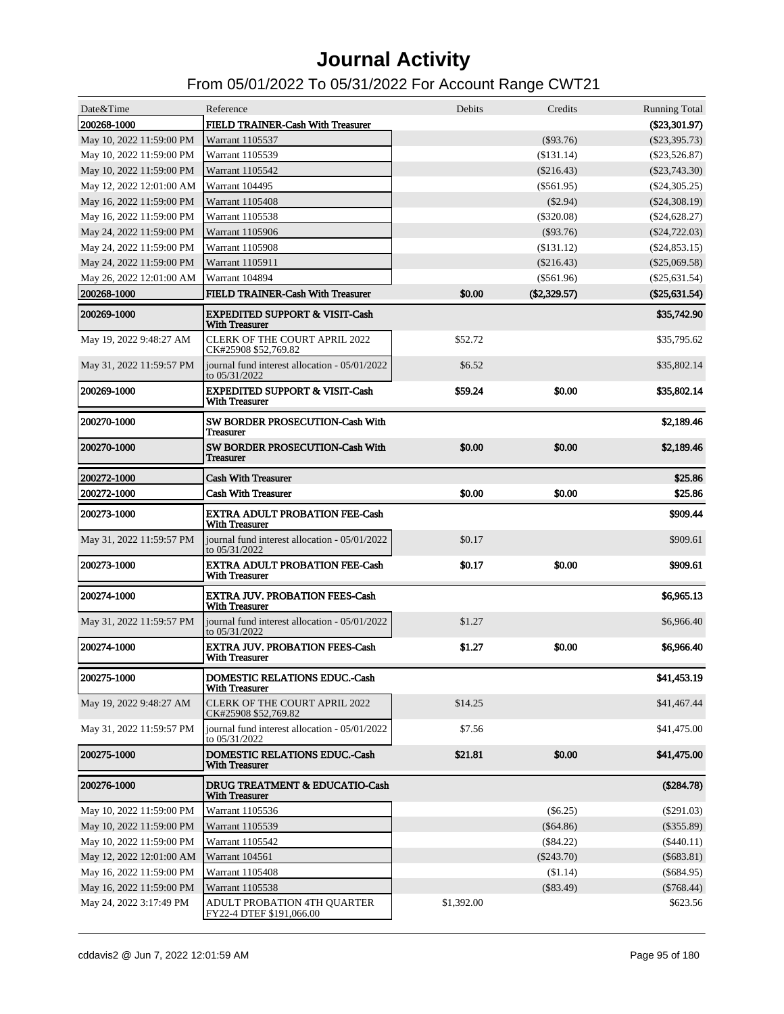| Date&Time                | Reference                                                          | Debits  | Credits        | <b>Running Total</b>         |
|--------------------------|--------------------------------------------------------------------|---------|----------------|------------------------------|
| 200268-1000              | FIELD TRAINER-Cash With Treasurer                                  |         |                | $(\$23,301.97)$              |
| May 10, 2022 11:59:00 PM | Warrant 1105537                                                    |         | $(\$93.76)$    | $(\$23,395.73)$              |
| May 10, 2022 11:59:00 PM | Warrant 1105539                                                    |         | (\$131.14)     | $(\$23,526.87)$              |
| May 10, 2022 11:59:00 PM | Warrant 1105542                                                    |         | $(\$216.43)$   | $(\$23,743.30)$              |
| May 12, 2022 12:01:00 AM | Warrant 104495                                                     |         | $(\$561.95)$   | $(\$24,305.25)$              |
| May 16, 2022 11:59:00 PM | <b>Warrant 1105408</b>                                             |         | $(\$2.94)$     | $(\$24,308.19)$              |
| May 16, 2022 11:59:00 PM | Warrant 1105538                                                    |         | $(\$320.08)$   | (\$24,628.27)                |
| May 24, 2022 11:59:00 PM | Warrant 1105906                                                    |         | $(\$93.76)$    | $(\$24,722.03)$              |
| May 24, 2022 11:59:00 PM | Warrant 1105908                                                    |         | (\$131.12)     | $(\$24,853.15)$              |
| May 24, 2022 11:59:00 PM | Warrant 1105911                                                    |         | $(\$216.43)$   | $(\$25,069.58)$              |
| May 26, 2022 12:01:00 AM | Warrant 104894                                                     |         | $(\$561.96)$   | $(\$25,631.54)$              |
| 200268-1000              | FIELD TRAINER-Cash With Treasurer                                  | \$0.00  | $(\$2,329.57)$ | $(\$25,631.54)$              |
| 200269-1000              | <b>EXPEDITED SUPPORT &amp; VISIT-Cash</b><br><b>With Treasurer</b> |         |                | \$35,742.90                  |
| May 19, 2022 9:48:27 AM  | <b>CLERK OF THE COURT APRIL 2022</b><br>CK#25908 \$52,769.82       | \$52.72 |                | \$35,795.62                  |
| May 31, 2022 11:59:57 PM | journal fund interest allocation - 05/01/2022<br>to 05/31/2022     | \$6.52  |                | \$35,802.14                  |
| 200269-1000              | <b>EXPEDITED SUPPORT &amp; VISIT-Cash</b><br><b>With Treasurer</b> | \$59.24 | \$0.00         | \$35,802.14                  |
| 200270-1000              | SW BORDER PROSECUTION-Cash With<br><b>Treasurer</b>                |         |                | \$2,189.46                   |
| 200270-1000              | SW BORDER PROSECUTION-Cash With<br><b>Treasurer</b>                | \$0.00  | \$0.00         | \$2,189.46                   |
| 200272-1000              | <b>Cash With Treasurer</b>                                         |         |                | \$25.86                      |
| 200272-1000              | <b>Cash With Treasurer</b>                                         | \$0.00  | \$0.00         | \$25.86                      |
|                          |                                                                    |         |                | \$909.44                     |
| 200273-1000              | <b>EXTRA ADULT PROBATION FEE-Cash</b><br><b>With Treasurer</b>     |         |                |                              |
| May 31, 2022 11:59:57 PM | journal fund interest allocation - 05/01/2022<br>to $05/31/2022$   | \$0.17  |                | \$909.61                     |
| <b>200273-1000</b>       | <b>EXTRA ADULT PROBATION FEE-Cash</b><br><b>With Treasurer</b>     | \$0.17  | \$0.00         | \$909.61                     |
| 200274-1000              | <b>EXTRA JUV. PROBATION FEES-Cash</b><br><b>With Treasurer</b>     |         |                | \$6,965.13                   |
| May 31, 2022 11:59:57 PM | journal fund interest allocation - 05/01/2022<br>to 05/31/2022     | \$1.27  |                | \$6,966.40                   |
| <b>200274-1000</b>       | <b>EXTRA JUV. PROBATION FEES-Cash</b><br><b>With Treasurer</b>     | \$1.27  | \$0.00         | \$6,966.40                   |
| <b>200275-1000</b>       | DOMESTIC RELATIONS EDUC.-Cash<br><b>With Treasurer</b>             |         |                | \$41,453.19                  |
| May 19, 2022 9:48:27 AM  | <b>CLERK OF THE COURT APRIL 2022</b><br>CK#25908 \$52,769.82       | \$14.25 |                | \$41,467.44                  |
| May 31, 2022 11:59:57 PM | journal fund interest allocation - 05/01/2022<br>to 05/31/2022     | \$7.56  |                | \$41,475.00                  |
| 200275-1000              | DOMESTIC RELATIONS EDUC.-Cash<br><b>With Treasurer</b>             | \$21.81 | \$0.00         | \$41,475.00                  |
| 200276-1000              | DRUG TREATMENT & EDUCATIO-Cash<br><b>With Treasurer</b>            |         |                | (\$284.78)                   |
| May 10, 2022 11:59:00 PM | Warrant 1105536                                                    |         | $(\$6.25)$     | $(\$291.03)$                 |
| May 10, 2022 11:59:00 PM | Warrant 1105539                                                    |         | (\$64.86)      | $(\$355.89)$                 |
| May 10, 2022 11:59:00 PM | Warrant 1105542                                                    |         | $(\$84.22)$    | $(\$440.11)$                 |
| May 12, 2022 12:01:00 AM | Warrant 104561                                                     |         | $(\$243.70)$   | $(\$683.81)$                 |
| May 16, 2022 11:59:00 PM |                                                                    |         |                |                              |
|                          | Warrant 1105408                                                    |         | (\$1.14)       |                              |
| May 16, 2022 11:59:00 PM | Warrant 1105538                                                    |         | $(\$83.49)$    | $(\$684.95)$<br>$(\$768.44)$ |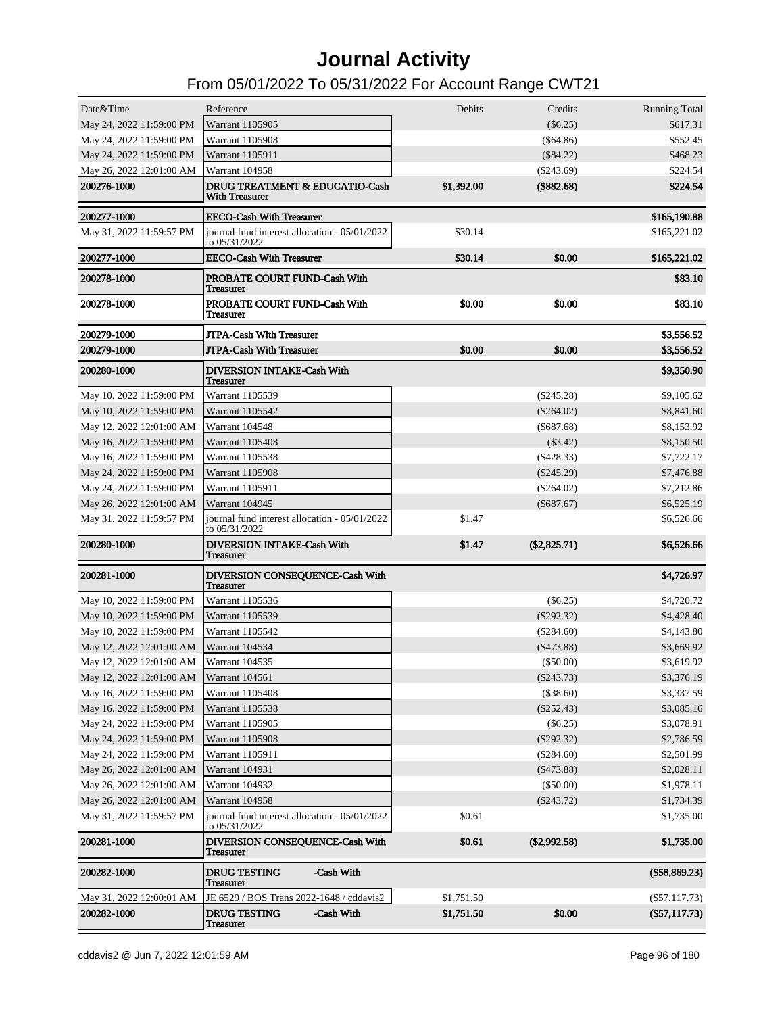| Date&Time                               | Reference                                                          | Debits     | Credits        | <b>Running Total</b> |
|-----------------------------------------|--------------------------------------------------------------------|------------|----------------|----------------------|
| May 24, 2022 11:59:00 PM                | Warrant 1105905                                                    |            | $(\$6.25)$     | \$617.31             |
| May 24, 2022 11:59:00 PM                | <b>Warrant 1105908</b>                                             |            | $(\$64.86)$    | \$552.45             |
| May 24, 2022 11:59:00 PM                | Warrant 1105911                                                    |            | $(\$84.22)$    | \$468.23             |
| May 26, 2022 12:01:00 AM                | Warrant 104958                                                     |            | $(\$243.69)$   | \$224.54             |
| 200276-1000                             | <b>DRUG TREATMENT &amp; EDUCATIO-Cash</b><br><b>With Treasurer</b> | \$1,392.00 | (\$882.68)     | \$224.54             |
| 200277-1000                             | <b>EECO-Cash With Treasurer</b>                                    |            |                | \$165,190.88         |
| May 31, 2022 11:59:57 PM                | journal fund interest allocation - 05/01/2022<br>to 05/31/2022     | \$30.14    |                | \$165,221.02         |
| 200277-1000                             | <b>EECO-Cash With Treasurer</b>                                    | \$30.14    | \$0.00         | \$165,221.02         |
| 200278-1000                             | PROBATE COURT FUND-Cash With<br>Treasurer                          |            |                | \$83.10              |
| 200278-1000                             | PROBATE COURT FUND-Cash With<br><b>Treasurer</b>                   | \$0.00     | \$0.00         | \$83.10              |
| 200279-1000                             | <b>JTPA-Cash With Treasurer</b>                                    |            |                | \$3,556.52           |
| 200279-1000                             | <b>JTPA-Cash With Treasurer</b>                                    | \$0.00     | \$0.00         | \$3,556.52           |
| 200280-1000                             | <b>DIVERSION INTAKE-Cash With</b><br><b>Treasurer</b>              |            |                | \$9,350.90           |
| May 10, 2022 11:59:00 PM                | Warrant 1105539                                                    |            | $(\$245.28)$   | \$9,105.62           |
| May 10, 2022 11:59:00 PM                | Warrant 1105542                                                    |            | $(\$264.02)$   | \$8,841.60           |
| May 12, 2022 12:01:00 AM                | Warrant 104548                                                     |            | $(\$687.68)$   | \$8,153.92           |
| May 16, 2022 11:59:00 PM                | <b>Warrant 1105408</b>                                             |            | $(\$3.42)$     | \$8,150.50           |
| May 16, 2022 11:59:00 PM                | Warrant 1105538                                                    |            | $(\$428.33)$   | \$7,722.17           |
| May 24, 2022 11:59:00 PM                | <b>Warrant 1105908</b>                                             |            | $(\$245.29)$   | \$7,476.88           |
| May 24, 2022 11:59:00 PM                | Warrant 1105911                                                    |            | $(\$264.02)$   | \$7,212.86           |
| May 26, 2022 12:01:00 AM                | Warrant 104945                                                     |            | $(\$687.67)$   | \$6,525.19           |
| May 31, 2022 11:59:57 PM                | journal fund interest allocation - 05/01/2022<br>to 05/31/2022     | \$1.47     |                | \$6,526.66           |
| 200280-1000                             | <b>DIVERSION INTAKE-Cash With</b><br><b>Treasurer</b>              | \$1.47     | (\$2,825.71)   | \$6,526.66           |
| 200281-1000                             | DIVERSION CONSEQUENCE-Cash With<br><b>Treasurer</b>                |            |                | \$4,726.97           |
| May 10, 2022 11:59:00 PM                | Warrant 1105536                                                    |            | $(\$6.25)$     | \$4,720.72           |
| May 10, 2022 11:59:00 PM                | Warrant 1105539                                                    |            | $(\$292.32)$   | \$4,428.40           |
| May 10, 2022 11:59:00 PM                | Warrant 1105542                                                    |            | $(\$284.60)$   | \$4,143.80           |
| May 12, 2022 12:01:00 AM                | Warrant 104534                                                     |            | $(\$473.88)$   | \$3,669.92           |
| May 12, 2022 12:01:00 AM                | Warrant 104535                                                     |            | $(\$50.00)$    | \$3,619.92           |
| May 12, 2022 12:01:00 AM Warrant 104561 |                                                                    |            | $(\$243.73)$   | \$3,376.19           |
| May 16, 2022 11:59:00 PM                | Warrant 1105408                                                    |            | (\$38.60)      | \$3,337.59           |
| May 16, 2022 11:59:00 PM                | Warrant 1105538                                                    |            | $(\$252.43)$   | \$3,085.16           |
| May 24, 2022 11:59:00 PM                | Warrant 1105905                                                    |            | $(\$6.25)$     | \$3,078.91           |
| May 24, 2022 11:59:00 PM                | Warrant 1105908                                                    |            | $(\$292.32)$   | \$2,786.59           |
| May 24, 2022 11:59:00 PM                | Warrant 1105911                                                    |            | $(\$284.60)$   | \$2,501.99           |
| May 26, 2022 12:01:00 AM                | Warrant 104931                                                     |            | $(\$473.88)$   | \$2,028.11           |
| May 26, 2022 12:01:00 AM                | Warrant 104932                                                     |            | (\$50.00)      | \$1,978.11           |
| May 26, 2022 12:01:00 AM                | Warrant 104958                                                     |            | $(\$243.72)$   | \$1,734.39           |
| May 31, 2022 11:59:57 PM                | journal fund interest allocation - 05/01/2022<br>to 05/31/2022     | \$0.61     |                | \$1,735.00           |
| 200281-1000                             | <b>DIVERSION CONSEQUENCE-Cash With</b><br><b>Treasurer</b>         | \$0.61     | $(\$2,992.58)$ | \$1,735.00           |
| 200282-1000                             | <b>DRUG TESTING</b><br>-Cash With<br><b>Treasurer</b>              |            |                | (\$58,869.23)        |
| May 31, 2022 12:00:01 AM                | JE 6529 / BOS Trans 2022-1648 / cddavis2                           | \$1,751.50 |                | $(\$57,117.73)$      |
| 200282-1000                             | <b>DRUG TESTING</b><br>-Cash With<br>Treasurer                     | \$1,751.50 | \$0.00         | (\$57,117.73)        |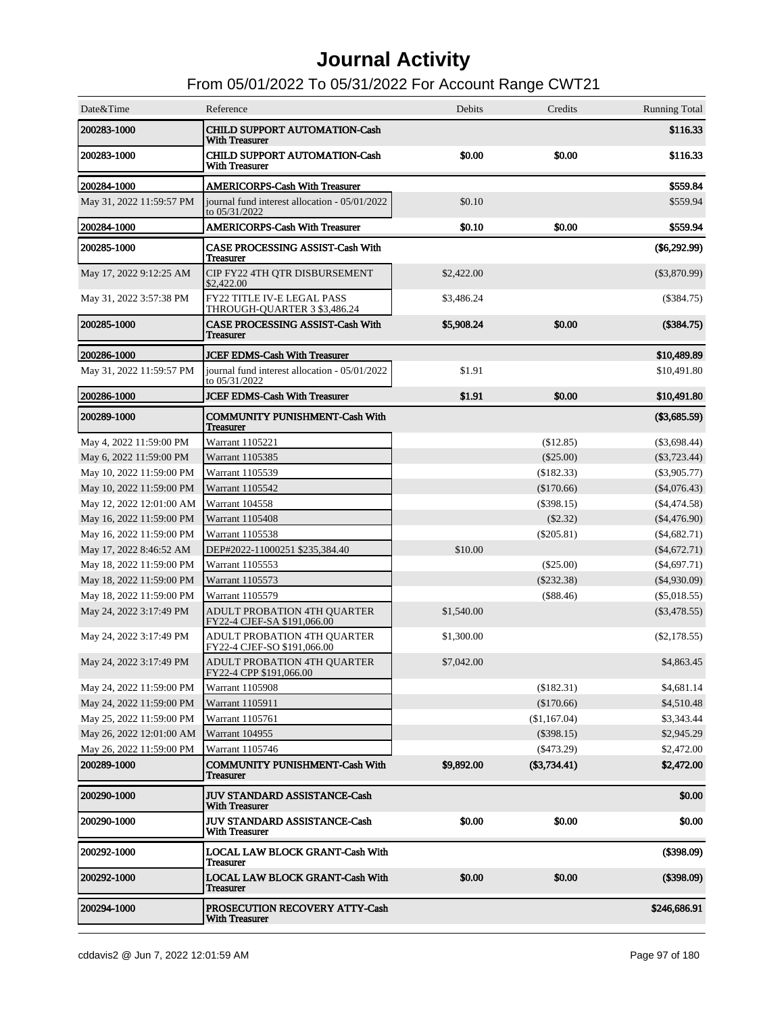| Date&Time                | Reference                                                         | Debits     | Credits        | <b>Running Total</b> |
|--------------------------|-------------------------------------------------------------------|------------|----------------|----------------------|
| 200283-1000              | <b>CHILD SUPPORT AUTOMATION-Cash</b><br><b>With Treasurer</b>     |            |                | \$116.33             |
| <b>200283-1000</b>       | <b>CHILD SUPPORT AUTOMATION-Cash</b><br><b>With Treasurer</b>     | \$0.00     | \$0.00         | \$116.33             |
| 200284-1000              | <b>AMERICORPS-Cash With Treasurer</b>                             |            |                | \$559.84             |
| May 31, 2022 11:59:57 PM | journal fund interest allocation - 05/01/2022<br>to 05/31/2022    | \$0.10     |                | \$559.94             |
| 200284-1000              | <b>AMERICORPS-Cash With Treasurer</b>                             | \$0.10     | \$0.00         | \$559.94             |
| 200285-1000              | <b>CASE PROCESSING ASSIST-Cash With</b><br><b>Treasurer</b>       |            |                | $(\$6,292.99)$       |
| May 17, 2022 9:12:25 AM  | CIP FY22 4TH QTR DISBURSEMENT<br>\$2,422.00                       | \$2,422.00 |                | $(\$3,870.99)$       |
| May 31, 2022 3:57:38 PM  | FY22 TITLE IV-E LEGAL PASS<br>THROUGH-QUARTER 3 \$3,486.24        | \$3,486.24 |                | $(\$384.75)$         |
| 200285-1000              | <b>CASE PROCESSING ASSIST-Cash With</b><br><b>Treasurer</b>       | \$5,908.24 | \$0.00         | (\$384.75)           |
| 200286-1000              | <b>JCEF EDMS-Cash With Treasurer</b>                              |            |                | \$10,489.89          |
| May 31, 2022 11:59:57 PM | iournal fund interest allocation - 05/01/2022<br>to 05/31/2022    | \$1.91     |                | \$10,491.80          |
| 200286-1000              | <b>JCEF EDMS-Cash With Treasurer</b>                              | \$1.91     | \$0.00         | \$10,491.80          |
| 200289-1000              | <b>COMMUNITY PUNISHMENT-Cash With</b><br><b>Treasurer</b>         |            |                | (\$3,685.59)         |
| May 4, 2022 11:59:00 PM  | Warrant 1105221                                                   |            | (\$12.85)      | $(\$3,698.44)$       |
| May 6, 2022 11:59:00 PM  | Warrant 1105385                                                   |            | (\$25.00)      | $(\$3,723.44)$       |
| May 10, 2022 11:59:00 PM | Warrant 1105539                                                   |            | (\$182.33)     | $(\$3,905.77)$       |
| May 10, 2022 11:59:00 PM | Warrant 1105542                                                   |            | (\$170.66)     | $(\$4,076.43)$       |
| May 12, 2022 12:01:00 AM | Warrant 104558                                                    |            | $(\$398.15)$   | $(\$4,474.58)$       |
| May 16, 2022 11:59:00 PM | <b>Warrant 1105408</b>                                            |            | $(\$2.32)$     | $(\$4,476.90)$       |
| May 16, 2022 11:59:00 PM | Warrant 1105538                                                   |            | $(\$205.81)$   | $(\$4,682.71)$       |
| May 17, 2022 8:46:52 AM  | DEP#2022-11000251 \$235,384.40                                    | \$10.00    |                | $(\$4,672.71)$       |
| May 18, 2022 11:59:00 PM | Warrant 1105553                                                   |            | $(\$25.00)$    | $(\$4,697.71)$       |
| May 18, 2022 11:59:00 PM | Warrant 1105573                                                   |            | $(\$232.38)$   | $(\$4,930.09)$       |
| May 18, 2022 11:59:00 PM | Warrant 1105579                                                   |            | (\$88.46)      | $(\$5,018.55)$       |
| May 24, 2022 3:17:49 PM  | <b>ADULT PROBATION 4TH QUARTER</b><br>FY22-4 CJEF-SA \$191,066.00 | \$1,540.00 |                | $(\$3,478.55)$       |
| May 24, 2022 3:17:49 PM  | ADULT PROBATION 4TH QUARTER<br>FY22-4 CJEF-SO \$191,066.00        | \$1,300.00 |                | $(\$2,178.55)$       |
| May 24, 2022 3:17:49 PM  | <b>ADULT PROBATION 4TH QUARTER</b><br>FY22-4 CPP \$191,066.00     | \$7,042.00 |                | \$4,863.45           |
| May 24, 2022 11:59:00 PM | Warrant 1105908                                                   |            | (\$182.31)     | \$4,681.14           |
| May 24, 2022 11:59:00 PM | Warrant 1105911                                                   |            | (\$170.66)     | \$4,510.48           |
| May 25, 2022 11:59:00 PM | Warrant 1105761                                                   |            | (\$1,167.04)   | \$3,343.44           |
| May 26, 2022 12:01:00 AM | Warrant 104955                                                    |            | $(\$398.15)$   | \$2,945.29           |
| May 26, 2022 11:59:00 PM | Warrant 1105746                                                   |            | $(\$473.29)$   | \$2,472.00           |
| 200289-1000              | <b>COMMUNITY PUNISHMENT-Cash With</b><br><b>Treasurer</b>         | \$9,892.00 | $(\$3,734.41)$ | \$2,472.00           |
| 200290-1000              | <b>JUV STANDARD ASSISTANCE-Cash</b><br><b>With Treasurer</b>      |            |                | \$0.00               |
| <b>200290-1000</b>       | <b>JUV STANDARD ASSISTANCE-Cash</b><br><b>With Treasurer</b>      | \$0.00     | \$0.00         | \$0.00               |
| <b>200292-1000</b>       | <b>LOCAL LAW BLOCK GRANT-Cash With</b><br><b>Treasurer</b>        |            |                | (\$398.09)           |
| 200292-1000              | <b>LOCAL LAW BLOCK GRANT-Cash With</b><br><b>Treasurer</b>        | \$0.00     | \$0.00         | (\$398.09)           |
| 200294-1000              | PROSECUTION RECOVERY ATTY-Cash<br><b>With Treasurer</b>           |            |                | \$246,686.91         |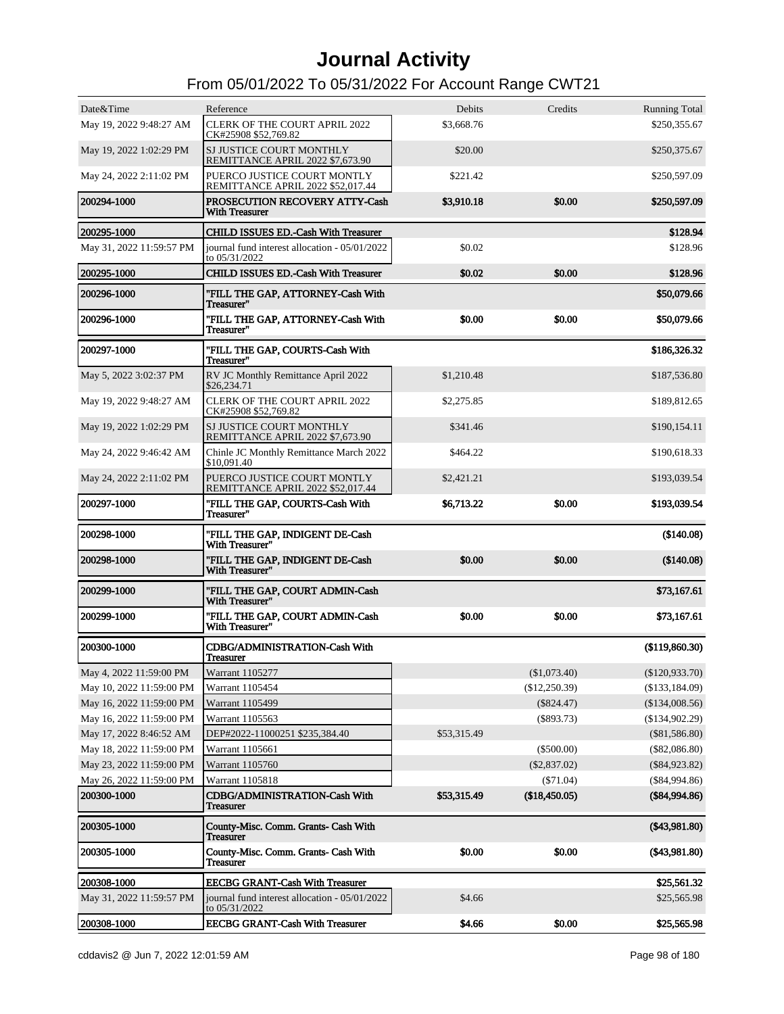| Date&Time                | Reference                                                        | Debits      | Credits        | <b>Running Total</b> |
|--------------------------|------------------------------------------------------------------|-------------|----------------|----------------------|
| May 19, 2022 9:48:27 AM  | <b>CLERK OF THE COURT APRIL 2022</b><br>CK#25908 \$52,769.82     | \$3,668.76  |                | \$250,355.67         |
| May 19, 2022 1:02:29 PM  | SJ JUSTICE COURT MONTHLY<br>REMITTANCE APRIL 2022 \$7,673.90     | \$20.00     |                | \$250,375.67         |
| May 24, 2022 2:11:02 PM  | PUERCO JUSTICE COURT MONTLY<br>REMITTANCE APRIL 2022 \$52,017.44 | \$221.42    |                | \$250,597.09         |
| 200294-1000              | PROSECUTION RECOVERY ATTY-Cash<br><b>With Treasurer</b>          | \$3,910.18  | \$0.00         | \$250,597.09         |
| 200295-1000              | <b>CHILD ISSUES ED.-Cash With Treasurer</b>                      |             |                | \$128.94             |
| May 31, 2022 11:59:57 PM | journal fund interest allocation - 05/01/2022<br>to 05/31/2022   | \$0.02      |                | \$128.96             |
| 200295-1000              | CHILD ISSUES ED.-Cash With Treasurer                             | \$0.02      | \$0.00         | \$128.96             |
| 200296-1000              | "FILL THE GAP, ATTORNEY-Cash With<br>Treasurer"                  |             |                | \$50,079.66          |
| 200296-1000              | "FILL THE GAP, ATTORNEY-Cash With<br>Treasurer"                  | \$0.00      | \$0.00         | \$50,079.66          |
| <b>200297-1000</b>       | "FILL THE GAP, COURTS-Cash With<br>Treasurer"                    |             |                | \$186,326.32         |
| May 5, 2022 3:02:37 PM   | RV JC Monthly Remittance April 2022<br>\$26,234.71               | \$1,210.48  |                | \$187,536.80         |
| May 19, 2022 9:48:27 AM  | <b>CLERK OF THE COURT APRIL 2022</b><br>CK#25908 \$52,769.82     | \$2,275.85  |                | \$189,812.65         |
| May 19, 2022 1:02:29 PM  | SJ JUSTICE COURT MONTHLY<br>REMITTANCE APRIL 2022 \$7,673.90     | \$341.46    |                | \$190,154.11         |
| May 24, 2022 9:46:42 AM  | Chinle JC Monthly Remittance March 2022<br>\$10,091.40           | \$464.22    |                | \$190,618.33         |
| May 24, 2022 2:11:02 PM  | PUERCO JUSTICE COURT MONTLY<br>REMITTANCE APRIL 2022 \$52,017.44 | \$2,421.21  |                | \$193,039.54         |
| <b>200297-1000</b>       | "FILL THE GAP, COURTS-Cash With<br>Treasurer"                    | \$6,713.22  | \$0.00         | \$193,039.54         |
| 200298-1000              | "FILL THE GAP, INDIGENT DE-Cash<br>With Treasurer"               |             |                | (\$140.08)           |
| 200298-1000              | "FILL THE GAP, INDIGENT DE-Cash<br>With Treasurer"               | \$0.00      | \$0.00         | (\$140.08)           |
| 200299-1000              | "FILL THE GAP, COURT ADMIN-Cash<br>With Treasurer"               |             |                | \$73,167.61          |
| <b>200299-1000</b>       | "FILL THE GAP, COURT ADMIN-Cash<br>With Treasurer"               | \$0.00      | \$0.00         | \$73,167.61          |
| 200300-1000              | <b>CDBG/ADMINISTRATION-Cash With</b><br><b>Treasurer</b>         |             |                | (\$119,860.30)       |
| May 4, 2022 11:59:00 PM  | Warrant 1105277                                                  |             | (\$1,073.40)   | $(\$120,933.70)$     |
| May 10, 2022 11:59:00 PM | Warrant 1105454                                                  |             | (\$12,250.39)  | (\$133,184.09)       |
| May 16, 2022 11:59:00 PM | <b>Warrant 1105499</b>                                           |             | $(\$824.47)$   | (\$134,008.56)       |
| May 16, 2022 11:59:00 PM | Warrant 1105563                                                  |             | $(\$893.73)$   | (\$134,902.29)       |
| May 17, 2022 8:46:52 AM  | DEP#2022-11000251 \$235,384.40                                   | \$53,315.49 |                | $(\$81,586.80)$      |
| May 18, 2022 11:59:00 PM | Warrant 1105661                                                  |             | $(\$500.00)$   | $(\$82,086.80)$      |
| May 23, 2022 11:59:00 PM | Warrant 1105760                                                  |             | $(\$2,837.02)$ | $(\$84,923.82)$      |
| May 26, 2022 11:59:00 PM | Warrant 1105818                                                  |             | $(\$71.04)$    | (\$84,994.86)        |
| 200300-1000              | <b>CDBG/ADMINISTRATION-Cash With</b><br>Treasurer                | \$53,315.49 | (\$18,450.05)  | (\$84,994.86)        |
| 200305-1000              | County-Misc. Comm. Grants- Cash With<br><b>Treasurer</b>         |             |                | (\$43,981.80)        |
| 200305-1000              | County-Misc. Comm. Grants- Cash With<br><b>Treasurer</b>         | \$0.00      | \$0.00         | (\$43,981.80)        |
| 200308-1000              | <b>EECBG GRANT-Cash With Treasurer</b>                           |             |                | \$25,561.32          |
| May 31, 2022 11:59:57 PM | journal fund interest allocation - 05/01/2022<br>to 05/31/2022   | \$4.66      |                | \$25,565.98          |
| 200308-1000              | <b>EECBG GRANT-Cash With Treasurer</b>                           | \$4.66      | \$0.00         | \$25,565.98          |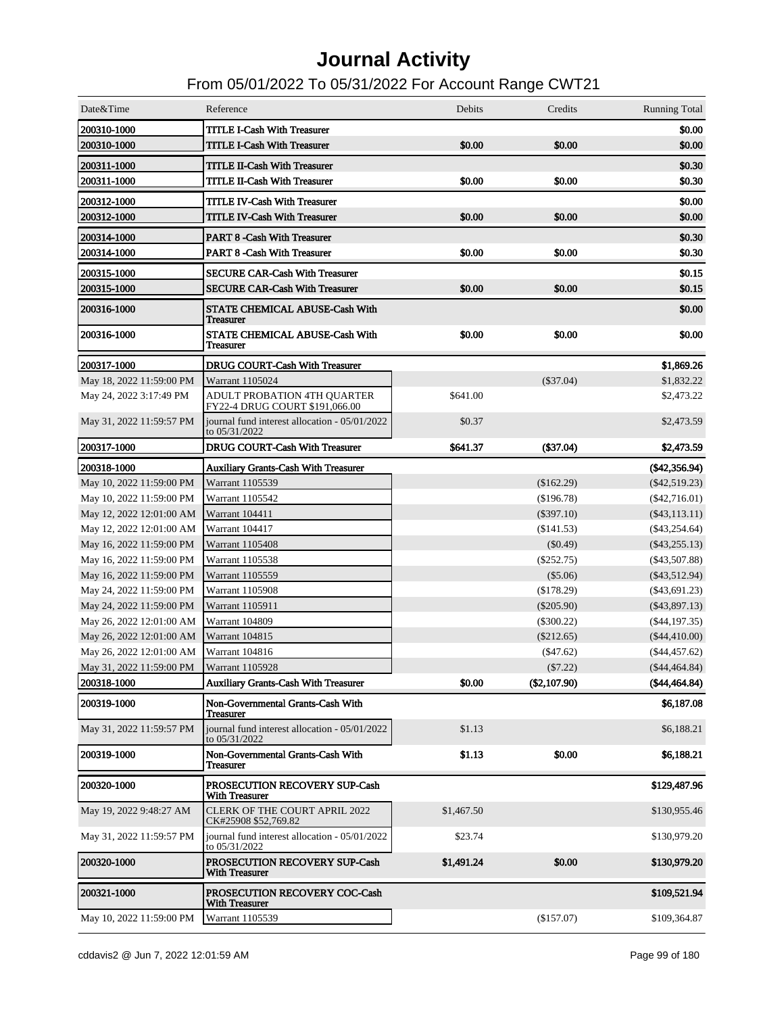| Date&Time                | Reference                                                      | Debits     | Credits        | <b>Running Total</b> |
|--------------------------|----------------------------------------------------------------|------------|----------------|----------------------|
| 200310-1000              | <b>TITLE I-Cash With Treasurer</b>                             |            |                | \$0.00               |
| 200310-1000              | <b>TITLE I-Cash With Treasurer</b>                             | \$0.00     | \$0.00         | \$0.00               |
| 200311-1000              | <b>TITLE II-Cash With Treasurer</b>                            |            |                | \$0.30               |
| <b>200311-1000</b>       | <b>TITLE II-Cash With Treasurer</b>                            | \$0.00     | \$0.00         | \$0.30               |
| 200312-1000              | <b>TITLE IV-Cash With Treasurer</b>                            |            |                | \$0.00               |
| 200312-1000              | <b>TITLE IV-Cash With Treasurer</b>                            | \$0.00     | \$0.00         | \$0.00               |
|                          |                                                                |            |                |                      |
| 200314-1000              | <b>PART 8 -Cash With Treasurer</b>                             |            |                | \$0.30               |
| 200314-1000              | <b>PART 8 -Cash With Treasurer</b>                             | \$0.00     | \$0.00         | \$0.30               |
| 200315-1000              | <b>SECURE CAR-Cash With Treasurer</b>                          |            |                | \$0.15               |
| 200315-1000              | <b>SECURE CAR-Cash With Treasurer</b>                          | \$0.00     | \$0.00         | \$0.15               |
| 200316-1000              | STATE CHEMICAL ABUSE-Cash With<br>Treasurer                    |            |                | \$0.00               |
| 200316-1000              | <b>STATE CHEMICAL ABUSE-Cash With</b><br><b>Treasurer</b>      | \$0.00     | \$0.00         | \$0.00               |
| <b>200317-1000</b>       | DRUG COURT-Cash With Treasurer                                 |            |                | \$1,869.26           |
| May 18, 2022 11:59:00 PM | Warrant 1105024                                                |            | (\$37.04)      | \$1,832.22           |
| May 24, 2022 3:17:49 PM  | ADULT PROBATION 4TH OUARTER<br>FY22-4 DRUG COURT \$191,066.00  | \$641.00   |                | \$2,473.22           |
| May 31, 2022 11:59:57 PM | journal fund interest allocation - 05/01/2022<br>to 05/31/2022 | \$0.37     |                | \$2,473.59           |
| <b>200317-1000</b>       | DRUG COURT-Cash With Treasurer                                 | \$641.37   | (\$37.04)      | \$2,473.59           |
| 200318-1000              | <b>Auxiliary Grants-Cash With Treasurer</b>                    |            |                | $(*42,356.94)$       |
| May 10, 2022 11:59:00 PM | Warrant 1105539                                                |            | (\$162.29)     | $(\$42,519.23)$      |
| May 10, 2022 11:59:00 PM | Warrant 1105542                                                |            | (\$196.78)     | $(\$42,716.01)$      |
| May 12, 2022 12:01:00 AM | Warrant 104411                                                 |            | $(\$397.10)$   | $(\$43,113.11)$      |
| May 12, 2022 12:01:00 AM | Warrant 104417                                                 |            | (\$141.53)     | $(\$43,254.64)$      |
| May 16, 2022 11:59:00 PM | Warrant 1105408                                                |            | $(\$0.49)$     | $(\$43,255.13)$      |
| May 16, 2022 11:59:00 PM | Warrant 1105538                                                |            | $(\$252.75)$   | $($ \$43,507.88 $)$  |
| May 16, 2022 11:59:00 PM | Warrant 1105559                                                |            | $(\$5.06)$     | $(\$43,512.94)$      |
| May 24, 2022 11:59:00 PM | Warrant 1105908                                                |            | (\$178.29)     | $($ \$43,691.23 $)$  |
| May 24, 2022 11:59:00 PM | Warrant 1105911                                                |            | $(\$205.90)$   | $(\$43,897.13)$      |
| May 26, 2022 12:01:00 AM | Warrant 104809                                                 |            | $(\$300.22)$   | $($ \$44,197.35 $)$  |
| May 26, 2022 12:01:00 AM | <b>Warrant 104815</b>                                          |            | $(\$212.65)$   | $(\$44,410.00)$      |
| May 26, 2022 12:01:00 AM | <b>Warrant 104816</b>                                          |            | $(\$47.62)$    | $(\$44,457.62)$      |
| May 31, 2022 11:59:00 PM | Warrant 1105928                                                |            | (S7.22)        | (S44, 464, 84)       |
| 200318-1000              | <b>Auxiliary Grants-Cash With Treasurer</b>                    | \$0.00     | $(\$2,107.90)$ | $(*44,464.84)$       |
| 200319-1000              | Non-Governmental Grants-Cash With<br>Treasurer                 |            |                | \$6,187.08           |
| May 31, 2022 11:59:57 PM | journal fund interest allocation - 05/01/2022<br>to 05/31/2022 | \$1.13     |                | \$6,188.21           |
| 200319-1000              | Non-Governmental Grants-Cash With<br>Treasurer                 | \$1.13     | \$0.00         | \$6,188.21           |
| 200320-1000              | PROSECUTION RECOVERY SUP-Cash<br><b>With Treasurer</b>         |            |                | \$129,487.96         |
| May 19, 2022 9:48:27 AM  | CLERK OF THE COURT APRIL 2022<br>CK#25908 \$52,769.82          | \$1,467.50 |                | \$130,955.46         |
| May 31, 2022 11:59:57 PM | journal fund interest allocation - 05/01/2022<br>to 05/31/2022 | \$23.74    |                | \$130,979.20         |
| 200320-1000              | PROSECUTION RECOVERY SUP-Cash<br><b>With Treasurer</b>         | \$1,491.24 | \$0.00         | \$130,979.20         |
| 200321-1000              | PROSECUTION RECOVERY COC-Cash<br><b>With Treasurer</b>         |            |                | \$109,521.94         |
| May 10, 2022 11:59:00 PM | Warrant 1105539                                                |            | (\$157.07)     | \$109,364.87         |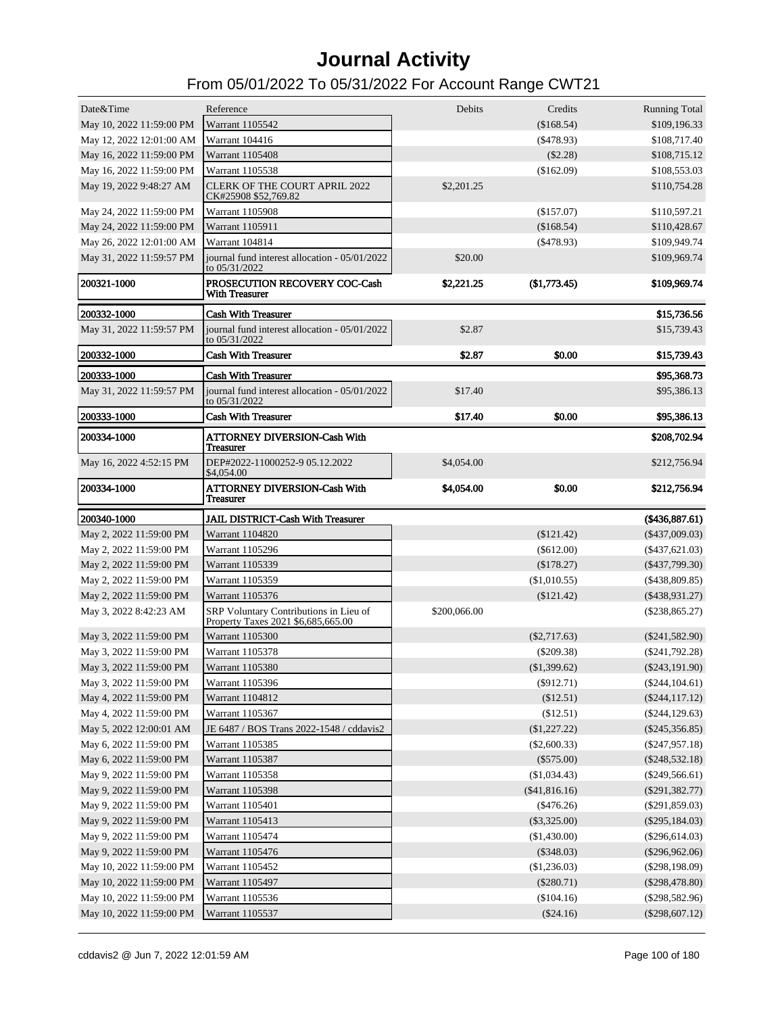| Date&Time                                            | Reference                                                                    | Debits       | Credits                 | <b>Running Total</b>                 |
|------------------------------------------------------|------------------------------------------------------------------------------|--------------|-------------------------|--------------------------------------|
| May 10, 2022 11:59:00 PM                             | Warrant 1105542                                                              |              | (\$168.54)              | \$109,196.33                         |
| May 12, 2022 12:01:00 AM                             | Warrant 104416                                                               |              | $(\$478.93)$            | \$108,717.40                         |
| May 16, 2022 11:59:00 PM                             | Warrant 1105408                                                              |              | $(\$2.28)$              | \$108,715.12                         |
| May 16, 2022 11:59:00 PM                             | Warrant 1105538                                                              |              | $(\$162.09)$            | \$108,553.03                         |
| May 19, 2022 9:48:27 AM                              | <b>CLERK OF THE COURT APRIL 2022</b><br>CK#25908 \$52,769.82                 | \$2,201.25   |                         | \$110,754.28                         |
| May 24, 2022 11:59:00 PM                             | Warrant 1105908                                                              |              | (\$157.07)              | \$110,597.21                         |
| May 24, 2022 11:59:00 PM                             | Warrant 1105911                                                              |              | (\$168.54)              | \$110,428.67                         |
| May 26, 2022 12:01:00 AM                             | Warrant 104814                                                               |              | $(\$478.93)$            | \$109,949.74                         |
| May 31, 2022 11:59:57 PM                             | journal fund interest allocation - 05/01/2022<br>to 05/31/2022               | \$20.00      |                         | \$109,969.74                         |
| 200321-1000                                          | PROSECUTION RECOVERY COC-Cash<br><b>With Treasurer</b>                       | \$2,221.25   | (\$1,773.45)            | \$109,969.74                         |
| 200332-1000                                          | <b>Cash With Treasurer</b>                                                   |              |                         | \$15,736.56                          |
| May 31, 2022 11:59:57 PM                             | journal fund interest allocation - 05/01/2022<br>to $05/31/2022$             | \$2.87       |                         | \$15,739.43                          |
| <b>200332-1000</b>                                   | <b>Cash With Treasurer</b>                                                   | \$2.87       | \$0.00                  | \$15,739.43                          |
| 200333-1000                                          | <b>Cash With Treasurer</b>                                                   |              |                         | \$95,368.73                          |
| May 31, 2022 11:59:57 PM                             | journal fund interest allocation - 05/01/2022<br>to 05/31/2022               | \$17.40      |                         | \$95,386.13                          |
| <b>200333-1000</b>                                   | <b>Cash With Treasurer</b>                                                   | \$17.40      | \$0.00                  | \$95,386.13                          |
| 200334-1000                                          | <b>ATTORNEY DIVERSION-Cash With</b><br><b>Treasurer</b>                      |              |                         | \$208,702.94                         |
| May 16, 2022 4:52:15 PM                              | DEP#2022-11000252-9 05.12.2022<br>\$4,054.00                                 | \$4,054.00   |                         | \$212,756.94                         |
| 200334-1000                                          | <b>ATTORNEY DIVERSION-Cash With</b><br><b>Treasurer</b>                      | \$4,054.00   | \$0.00                  | \$212,756.94                         |
|                                                      |                                                                              |              |                         |                                      |
| 200340-1000                                          | <b>JAIL DISTRICT-Cash With Treasurer</b>                                     |              |                         | $(*436,887.61)$                      |
| May 2, 2022 11:59:00 PM                              | Warrant 1104820                                                              |              | $(\$121.42)$            | $(\$437,009.03)$                     |
| May 2, 2022 11:59:00 PM                              | Warrant 1105296                                                              |              | $(\$612.00)$            | $(\$437,621.03)$                     |
| May 2, 2022 11:59:00 PM                              | Warrant 1105339                                                              |              | (\$178.27)              | $(\$437,799.30)$                     |
| May 2, 2022 11:59:00 PM                              | Warrant 1105359                                                              |              | (\$1,010.55)            | $($ \$438,809.85)                    |
| May 2, 2022 11:59:00 PM                              | Warrant 1105376                                                              |              | (\$121.42)              | $(\$438,931.27)$                     |
| May 3, 2022 8:42:23 AM                               | SRP Voluntary Contributions in Lieu of<br>Property Taxes 2021 \$6,685,665.00 | \$200,066.00 |                         | $(\$238,865.27)$                     |
| May 3, 2022 11:59:00 PM                              | Warrant 1105300                                                              |              | $(\$2,717.63)$          | $(\$241,582.90)$                     |
| May 3, 2022 11:59:00 PM                              | Warrant 1105378                                                              |              | $(\$209.38)$            | $(\$241,792.28)$                     |
| May 3, 2022 11:59:00 PM                              | Warrant 1105380                                                              |              | (\$1,399.62)            | $(\$243,191.90)$                     |
| May 3, 2022 11:59:00 PM                              | Warrant 1105396                                                              |              | $(\$912.71)$            | $(\$244, 104.61)$                    |
| May 4, 2022 11:59:00 PM                              | Warrant 1104812                                                              |              | (\$12.51)               | $(\$244, 117.12)$                    |
| May 4, 2022 11:59:00 PM                              | Warrant 1105367                                                              |              | (\$12.51)               | $(\$244, 129.63)$                    |
| May 5, 2022 12:00:01 AM                              | JE 6487 / BOS Trans 2022-1548 / cddavis2                                     |              | (\$1,227.22)            | $(\$245,356.85)$                     |
| May 6, 2022 11:59:00 PM                              | Warrant 1105385                                                              |              | $(\$2,600.33)$          | $(\$247,957.18)$                     |
| May 6, 2022 11:59:00 PM                              | Warrant 1105387                                                              |              | $(\$575.00)$            | $(\$248,532.18)$                     |
| May 9, 2022 11:59:00 PM                              | Warrant 1105358                                                              |              | (\$1,034.43)            | $(\$249,566.61)$                     |
| May 9, 2022 11:59:00 PM                              | Warrant 1105398                                                              |              | (\$41,816.16)           | $(\$291,382.77)$                     |
| May 9, 2022 11:59:00 PM                              | Warrant 1105401                                                              |              | $(\$476.26)$            | $(\$291,859.03)$                     |
| May 9, 2022 11:59:00 PM                              | Warrant 1105413                                                              |              | $(\$3,325.00)$          | $(\$295,184.03)$                     |
| May 9, 2022 11:59:00 PM                              | Warrant 1105474                                                              |              | (\$1,430.00)            | $(\$296,614.03)$                     |
| May 9, 2022 11:59:00 PM                              | Warrant 1105476                                                              |              | $(\$348.03)$            | $(\$296,962.06)$                     |
| May 10, 2022 11:59:00 PM                             | Warrant 1105452                                                              |              | (\$1,236.03)            | $(\$298,198.09)$                     |
| May 10, 2022 11:59:00 PM                             | Warrant 1105497                                                              |              | $(\$280.71)$            | $(\$298,478.80)$                     |
| May 10, 2022 11:59:00 PM<br>May 10, 2022 11:59:00 PM | Warrant 1105536<br>Warrant 1105537                                           |              | (\$104.16)<br>(\$24.16) | $(\$298,582.96)$<br>$(\$298,607.12)$ |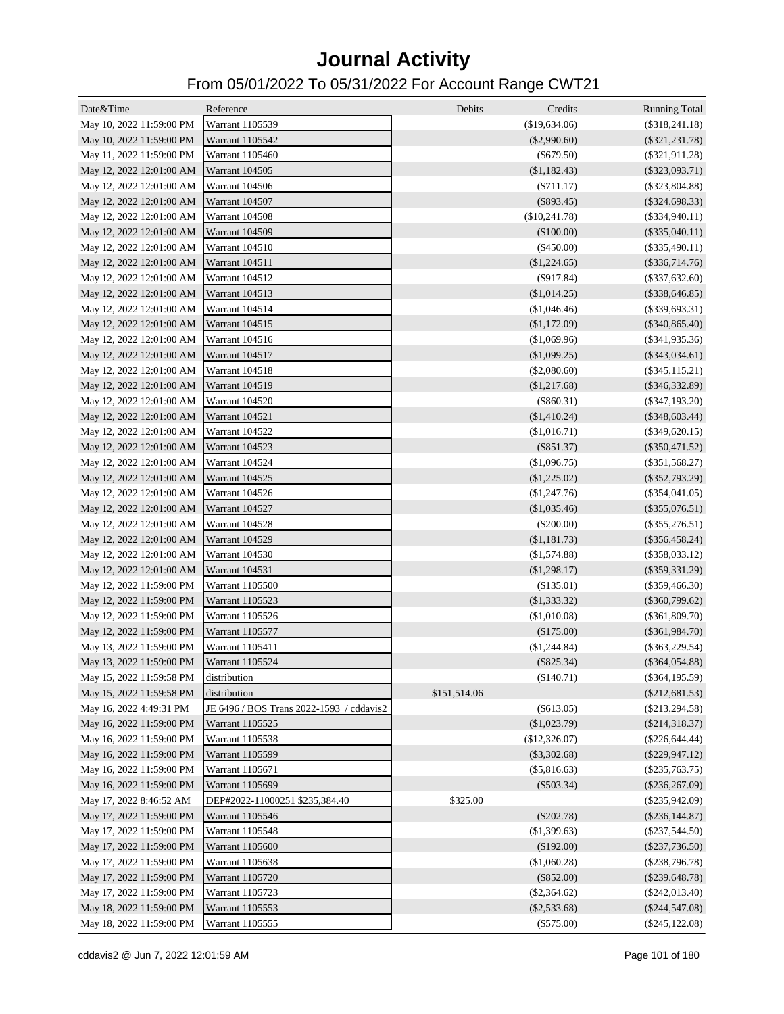| Date&Time                | Reference                                | Debits       | Credits        | <b>Running Total</b> |
|--------------------------|------------------------------------------|--------------|----------------|----------------------|
| May 10, 2022 11:59:00 PM | Warrant 1105539                          |              | (\$19,634.06)  | $(\$318,241.18)$     |
| May 10, 2022 11:59:00 PM | Warrant 1105542                          |              | $(\$2,990.60)$ | $(\$321,231.78)$     |
| May 11, 2022 11:59:00 PM | Warrant 1105460                          |              | $(\$679.50)$   | $(\$321,911.28)$     |
| May 12, 2022 12:01:00 AM | Warrant 104505                           |              | (\$1,182.43)   | $(\$323,093.71)$     |
| May 12, 2022 12:01:00 AM | Warrant 104506                           |              | $(\$711.17)$   | $(\$323,804.88)$     |
| May 12, 2022 12:01:00 AM | Warrant 104507                           |              | $(\$893.45)$   | $(\$324,698.33)$     |
| May 12, 2022 12:01:00 AM | Warrant 104508                           |              | (\$10,241.78)  | $(\$334,940.11)$     |
| May 12, 2022 12:01:00 AM | Warrant 104509                           |              | $(\$100.00)$   | $(\$335,040.11)$     |
| May 12, 2022 12:01:00 AM | Warrant 104510                           |              | $(\$450.00)$   | $(\$335,490.11)$     |
| May 12, 2022 12:01:00 AM | Warrant 104511                           |              | (\$1,224.65)   | $(\$336,714.76)$     |
| May 12, 2022 12:01:00 AM | Warrant 104512                           |              | $(\$917.84)$   | $(\$337,632.60)$     |
| May 12, 2022 12:01:00 AM | Warrant 104513                           |              | (\$1,014.25)   | $(\$338,646.85)$     |
| May 12, 2022 12:01:00 AM | Warrant 104514                           |              | (\$1,046.46)   | $(\$339,693.31)$     |
| May 12, 2022 12:01:00 AM | Warrant 104515                           |              | (\$1,172.09)   | $(\$340,865.40)$     |
| May 12, 2022 12:01:00 AM | Warrant 104516                           |              | (\$1,069.96)   | $(\$341,935.36)$     |
| May 12, 2022 12:01:00 AM | Warrant 104517                           |              | (\$1,099.25)   | $(\$343,034.61)$     |
| May 12, 2022 12:01:00 AM | Warrant 104518                           |              | $(\$2,080.60)$ | $(\$345,115.21)$     |
| May 12, 2022 12:01:00 AM | Warrant 104519                           |              | (\$1,217.68)   | $(\$346,332.89)$     |
| May 12, 2022 12:01:00 AM | Warrant 104520                           |              | $(\$860.31)$   | $(\$347,193.20)$     |
| May 12, 2022 12:01:00 AM | Warrant 104521                           |              | (\$1,410.24)   | $(\$348,603.44)$     |
| May 12, 2022 12:01:00 AM | Warrant 104522                           |              | (\$1,016.71)   | $(\$349,620.15)$     |
| May 12, 2022 12:01:00 AM | Warrant 104523                           |              | $(\$851.37)$   | $(\$350,471.52)$     |
| May 12, 2022 12:01:00 AM | Warrant 104524                           |              | (\$1,096.75)   | $(\$351,568.27)$     |
| May 12, 2022 12:01:00 AM | Warrant 104525                           |              | (\$1,225.02)   | $(\$352,793.29)$     |
| May 12, 2022 12:01:00 AM | Warrant 104526                           |              | (\$1,247.76)   | $(\$354,041.05)$     |
| May 12, 2022 12:01:00 AM | Warrant 104527                           |              | (\$1,035.46)   | $(\$355,076.51)$     |
| May 12, 2022 12:01:00 AM | Warrant 104528                           |              | $(\$200.00)$   | $(\$355,276.51)$     |
| May 12, 2022 12:01:00 AM | Warrant 104529                           |              | (\$1,181.73)   | $(\$356,458.24)$     |
| May 12, 2022 12:01:00 AM | Warrant 104530                           |              | (\$1,574.88)   | $(\$358,033.12)$     |
| May 12, 2022 12:01:00 AM | Warrant 104531                           |              | (\$1,298.17)   | $(\$359,331.29)$     |
| May 12, 2022 11:59:00 PM | Warrant 1105500                          |              | $(\$135.01)$   | $(\$359,466.30)$     |
| May 12, 2022 11:59:00 PM | Warrant 1105523                          |              | (\$1,333.32)   | $(\$360,799.62)$     |
| May 12, 2022 11:59:00 PM | Warrant 1105526                          |              | (\$1,010.08)   | $(\$361,809.70)$     |
| May 12, 2022 11:59:00 PM | Warrant 1105577                          |              | $(\$175.00)$   | $(\$361,984.70)$     |
| May 13, 2022 11:59:00 PM | Warrant 1105411                          |              | (\$1,244.84)   | $(\$363,229.54)$     |
| May 13, 2022 11:59:00 PM | Warrant 1105524                          |              | $(\$825.34)$   | $(\$364,054.88)$     |
| May 15, 2022 11:59:58 PM | distribution                             |              | (\$140.71)     | $(\$364, 195.59)$    |
| May 15, 2022 11:59:58 PM | distribution                             | \$151,514.06 |                | $(\$212,681.53)$     |
| May 16, 2022 4:49:31 PM  | JE 6496 / BOS Trans 2022-1593 / cddavis2 |              | $(\$613.05)$   | $(\$213,294.58)$     |
| May 16, 2022 11:59:00 PM | Warrant 1105525                          |              | (\$1,023.79)   | $(\$214,318.37)$     |
| May 16, 2022 11:59:00 PM | Warrant 1105538                          |              | (\$12,326.07)  | $(\$226,644.44)$     |
| May 16, 2022 11:59:00 PM | Warrant 1105599                          |              | $(\$3,302.68)$ | $(\$229,947.12)$     |
| May 16, 2022 11:59:00 PM | Warrant 1105671                          |              | $(\$5,816.63)$ | $(\$235,763.75)$     |
| May 16, 2022 11:59:00 PM | Warrant 1105699                          |              | $(\$503.34)$   | $(\$236,267.09)$     |
| May 17, 2022 8:46:52 AM  | DEP#2022-11000251 \$235,384.40           | \$325.00     |                | $(\$235,942.09)$     |
| May 17, 2022 11:59:00 PM | Warrant 1105546                          |              | $(\$202.78)$   | $(\$236, 144.87)$    |
| May 17, 2022 11:59:00 PM | Warrant 1105548                          |              | (\$1,399.63)   | $(\$237,544.50)$     |
| May 17, 2022 11:59:00 PM | Warrant 1105600                          |              | (\$192.00)     | $(\$237,736.50)$     |
| May 17, 2022 11:59:00 PM | Warrant 1105638                          |              | (\$1,060.28)   | $(\$238,796.78)$     |
| May 17, 2022 11:59:00 PM | Warrant 1105720                          |              | $(\$852.00)$   | $(\$239,648.78)$     |
| May 17, 2022 11:59:00 PM | Warrant 1105723                          |              | $(\$2,364.62)$ | $(\$242,013.40)$     |
| May 18, 2022 11:59:00 PM | Warrant 1105553                          |              | $(\$2,533.68)$ | $(\$244,547.08)$     |
| May 18, 2022 11:59:00 PM | Warrant 1105555                          |              | $(\$575.00)$   | $(\$245, 122.08)$    |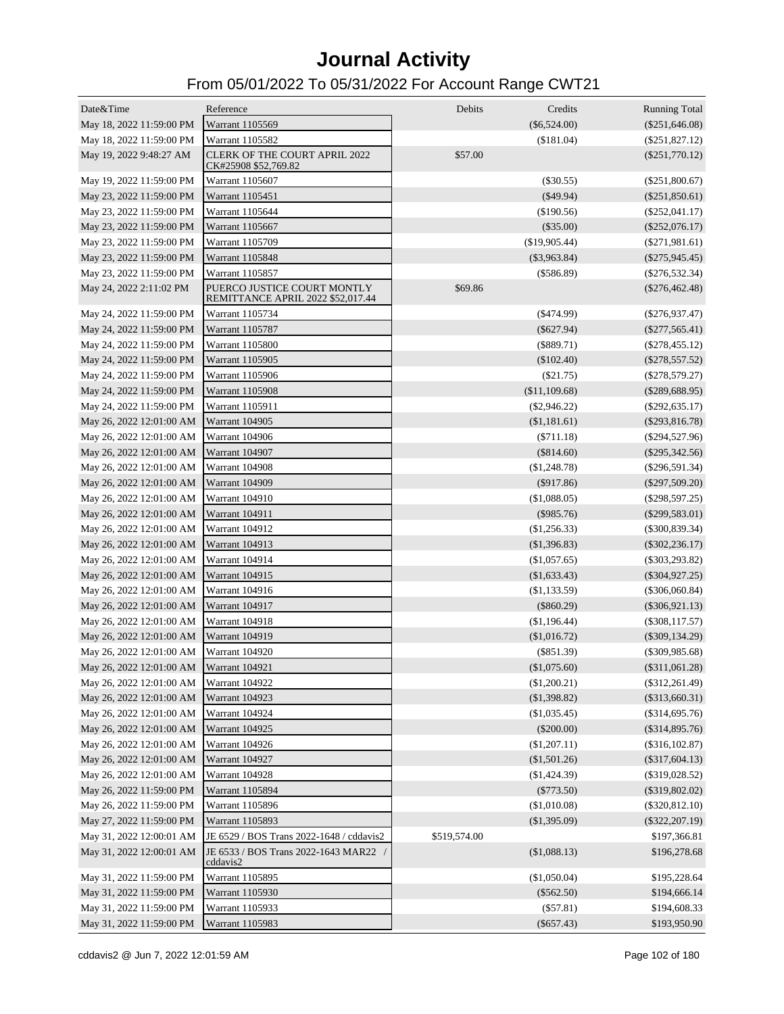| Date&Time                               | Reference                                                        | Debits       | Credits          | <b>Running Total</b> |
|-----------------------------------------|------------------------------------------------------------------|--------------|------------------|----------------------|
| May 18, 2022 11:59:00 PM                | Warrant 1105569                                                  |              | $(\$6,524.00)$   | $(\$251,646.08)$     |
| May 18, 2022 11:59:00 PM                | Warrant 1105582                                                  |              | (\$181.04)       | $(\$251,827.12)$     |
| May 19, 2022 9:48:27 AM                 | <b>CLERK OF THE COURT APRIL 2022</b><br>CK#25908 \$52,769.82     | \$57.00      |                  | $(\$251,770.12)$     |
| May 19, 2022 11:59:00 PM                | Warrant 1105607                                                  |              | $(\$30.55)$      | $(\$251,800.67)$     |
| May 23, 2022 11:59:00 PM                | Warrant 1105451                                                  |              | $(\$49.94)$      | $(\$251,850.61)$     |
| May 23, 2022 11:59:00 PM                | Warrant 1105644                                                  |              | $(\$190.56)$     | $(\$252,041.17)$     |
| May 23, 2022 11:59:00 PM                | Warrant 1105667                                                  |              | $(\$35.00)$      | $(\$252,076.17)$     |
| May 23, 2022 11:59:00 PM                | Warrant 1105709                                                  |              | (\$19,905.44)    | $(\$271,981.61)$     |
| May 23, 2022 11:59:00 PM                | Warrant 1105848                                                  |              | $(\$3,963.84)$   | $(\$275,945.45)$     |
| May 23, 2022 11:59:00 PM                | Warrant 1105857                                                  |              | $(\$586.89)$     | $(\$276,532.34)$     |
| May 24, 2022 2:11:02 PM                 | PUERCO JUSTICE COURT MONTLY<br>REMITTANCE APRIL 2022 \$52,017.44 | \$69.86      |                  | $(\$276,462.48)$     |
| May 24, 2022 11:59:00 PM                | Warrant 1105734                                                  |              | $($ \$474.99 $)$ | $(\$276,937.47)$     |
| May 24, 2022 11:59:00 PM                | Warrant 1105787                                                  |              | $(\$627.94)$     | $(\$277,565.41)$     |
| May 24, 2022 11:59:00 PM                | Warrant 1105800                                                  |              | $(\$889.71)$     | $(\$278,455.12)$     |
| May 24, 2022 11:59:00 PM                | Warrant 1105905                                                  |              | $(\$102.40)$     | $(\$278,557.52)$     |
| May 24, 2022 11:59:00 PM                | Warrant 1105906                                                  |              | $(\$21.75)$      | $(\$278,579.27)$     |
| May 24, 2022 11:59:00 PM                | <b>Warrant 1105908</b>                                           |              | (\$11,109.68)    | $(\$289,688.95)$     |
| May 24, 2022 11:59:00 PM                | Warrant 1105911                                                  |              | $(\$2,946.22)$   | $(\$292,635.17)$     |
| May 26, 2022 12:01:00 AM                | <b>Warrant 104905</b>                                            |              | (\$1,181.61)     | $(\$293,816.78)$     |
| May 26, 2022 12:01:00 AM                | <b>Warrant 104906</b>                                            |              | $(\$711.18)$     | (\$294,527.96)       |
| May 26, 2022 12:01:00 AM                | <b>Warrant 104907</b>                                            |              | $(\$814.60)$     | $(\$295,342.56)$     |
| May 26, 2022 12:01:00 AM                | Warrant 104908                                                   |              | (\$1,248.78)     | $(\$296,591.34)$     |
| May 26, 2022 12:01:00 AM                | <b>Warrant 104909</b>                                            |              | $($ \$917.86 $)$ | $(\$297,509.20)$     |
| May 26, 2022 12:01:00 AM                | Warrant 104910                                                   |              | (\$1,088.05)     | $(\$298,597.25)$     |
| May 26, 2022 12:01:00 AM                | <b>Warrant 104911</b>                                            |              | $(\$985.76)$     | $(\$299,583.01)$     |
| May 26, 2022 12:01:00 AM                | <b>Warrant 104912</b>                                            |              | $(\$1,256.33)$   | $(\$300,839.34)$     |
| May 26, 2022 12:01:00 AM                | <b>Warrant 104913</b>                                            |              | (\$1,396.83)     | $(\$302,236.17)$     |
| May 26, 2022 12:01:00 AM                | Warrant 104914                                                   |              | (\$1,057.65)     | $(\$303,293.82)$     |
| May 26, 2022 12:01:00 AM                | Warrant 104915                                                   |              | (\$1,633.43)     | $(\$304,927.25)$     |
| May 26, 2022 12:01:00 AM                | Warrant 104916                                                   |              | $(\$1,133.59)$   | $(\$306,060.84)$     |
| May 26, 2022 12:01:00 AM                | <b>Warrant 104917</b>                                            |              | $(\$860.29)$     | $(\$306,921.13)$     |
| May 26, 2022 12:01:00 AM                | Warrant 104918                                                   |              | (\$1,196.44)     | $($ \$308,117.57 $)$ |
| May 26, 2022 12:01:00 AM                | <b>Warrant 104919</b>                                            |              | (\$1,016.72)     | $(\$309,134.29)$     |
| May 26, 2022 12:01:00 AM                | <b>Warrant 104920</b>                                            |              | $(\$851.39)$     | $($ \$309,985.68)    |
| May 26, 2022 12:01:00 AM                | Warrant 104921                                                   |              | (\$1,075.60)     | $(\$311,061.28)$     |
| May 26, 2022 12:01:00 AM Warrant 104922 |                                                                  |              | (\$1,200.21)     | $(\$312,261.49)$     |
| May 26, 2022 12:01:00 AM                | Warrant 104923                                                   |              | (\$1,398.82)     | $(\$313,660.31)$     |
| May 26, 2022 12:01:00 AM                | Warrant 104924                                                   |              | (\$1,035.45)     | $(\$314,695.76)$     |
| May 26, 2022 12:01:00 AM                | Warrant 104925                                                   |              | $(\$200.00)$     | $(\$314,895.76)$     |
| May 26, 2022 12:01:00 AM                | Warrant 104926                                                   |              | (\$1,207.11)     | $(\$316, 102.87)$    |
| May 26, 2022 12:01:00 AM                | Warrant 104927                                                   |              | (\$1,501.26)     | $(\$317,604.13)$     |
| May 26, 2022 12:01:00 AM                | Warrant 104928                                                   |              | $(\$1,424.39)$   | $(\$319,028.52)$     |
| May 26, 2022 11:59:00 PM                | Warrant 1105894                                                  |              | $(\$773.50)$     | $(\$319,802.02)$     |
| May 26, 2022 11:59:00 PM                | Warrant 1105896                                                  |              | (\$1,010.08)     | $(\$320,812.10)$     |
| May 27, 2022 11:59:00 PM                | Warrant 1105893                                                  |              | (\$1,395.09)     | $(\$322, 207.19)$    |
| May 31, 2022 12:00:01 AM                | JE 6529 / BOS Trans 2022-1648 / cddavis2                         | \$519,574.00 |                  | \$197,366.81         |
| May 31, 2022 12:00:01 AM                | JE 6533 / BOS Trans 2022-1643 MAR22 /                            |              | (\$1,088.13)     | \$196,278.68         |
|                                         | cddavis2                                                         |              |                  |                      |
| May 31, 2022 11:59:00 PM                | Warrant 1105895                                                  |              | (\$1,050.04)     | \$195,228.64         |
| May 31, 2022 11:59:00 PM                | Warrant 1105930                                                  |              | $(\$562.50)$     | \$194,666.14         |
| May 31, 2022 11:59:00 PM                | Warrant 1105933                                                  |              | (\$57.81)        | \$194,608.33         |
| May 31, 2022 11:59:00 PM                | Warrant 1105983                                                  |              | $(\$657.43)$     | \$193,950.90         |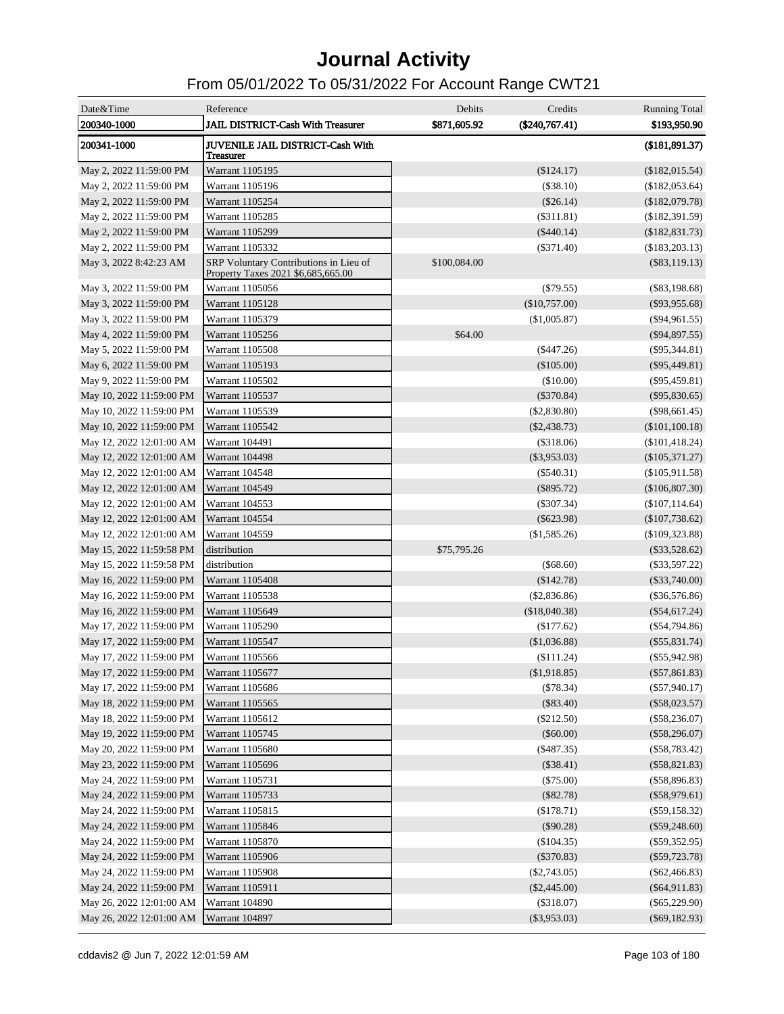| Date&Time<br>200340-1000 | Reference<br>JAIL DISTRICT-Cash With Treasurer                               | Debits<br>\$871,605.92 | Credits<br>$(\$240,767.41)$ | <b>Running Total</b><br>\$193,950.90 |
|--------------------------|------------------------------------------------------------------------------|------------------------|-----------------------------|--------------------------------------|
| 200341-1000              | JUVENILE JAIL DISTRICT-Cash With<br>Treasurer                                |                        |                             | (\$181,891.37)                       |
| May 2, 2022 11:59:00 PM  | Warrant 1105195                                                              |                        | (\$124.17)                  | (\$182,015.54)                       |
| May 2, 2022 11:59:00 PM  | Warrant 1105196                                                              |                        | (\$38.10)                   | (\$182,053.64)                       |
| May 2, 2022 11:59:00 PM  | Warrant 1105254                                                              |                        | $(\$26.14)$                 | (\$182,079.78)                       |
| May 2, 2022 11:59:00 PM  | Warrant 1105285                                                              |                        | $(\$311.81)$                | (\$182,391.59)                       |
| May 2, 2022 11:59:00 PM  | Warrant 1105299                                                              |                        | $(\$440.14)$                | (\$182,831.73)                       |
| May 2, 2022 11:59:00 PM  | Warrant 1105332                                                              |                        | $(\$371.40)$                | (\$183,203.13)                       |
| May 3, 2022 8:42:23 AM   | SRP Voluntary Contributions in Lieu of<br>Property Taxes 2021 \$6,685,665.00 | \$100,084.00           |                             | $(\$83,119.13)$                      |
| May 3, 2022 11:59:00 PM  | Warrant 1105056                                                              |                        | (\$79.55)                   | $(\$83,198.68)$                      |
| May 3, 2022 11:59:00 PM  | Warrant 1105128                                                              |                        | $(\$10,757.00)$             | $(\$93,955.68)$                      |
| May 3, 2022 11:59:00 PM  | Warrant 1105379                                                              |                        | (\$1,005.87)                | $(\$94,961.55)$                      |
| May 4, 2022 11:59:00 PM  | Warrant 1105256                                                              | \$64.00                |                             | $(\$94,897.55)$                      |
| May 5, 2022 11:59:00 PM  | Warrant 1105508                                                              |                        | $(\$447.26)$                | $(\$95,344.81)$                      |
| May 6, 2022 11:59:00 PM  | Warrant 1105193                                                              |                        | (\$105.00)                  | $(\$95,449.81)$                      |
| May 9, 2022 11:59:00 PM  | Warrant 1105502                                                              |                        | (\$10.00)                   | $(\$95,459.81)$                      |
| May 10, 2022 11:59:00 PM | Warrant 1105537                                                              |                        | $(\$370.84)$                | $(\$95,830.65)$                      |
| May 10, 2022 11:59:00 PM | Warrant 1105539                                                              |                        | $(\$2,830.80)$              | $(\$98,661.45)$                      |
| May 10, 2022 11:59:00 PM | Warrant 1105542                                                              |                        | $(\$2,438.73)$              | (\$101,100.18)                       |
| May 12, 2022 12:01:00 AM | Warrant 104491                                                               |                        | $(\$318.06)$                | $(\$101,418.24)$                     |
| May 12, 2022 12:01:00 AM | Warrant 104498                                                               |                        | $(\$3,953.03)$              | $(\$105,371.27)$                     |
| May 12, 2022 12:01:00 AM | Warrant 104548                                                               |                        | $(\$540.31)$                | $(\$105,911.58)$                     |
| May 12, 2022 12:01:00 AM | Warrant 104549                                                               |                        | $(\$895.72)$                | (\$106,807.30)                       |
| May 12, 2022 12:01:00 AM | Warrant 104553                                                               |                        | $(\$307.34)$                | $(\$107, 114.64)$                    |
| May 12, 2022 12:01:00 AM | Warrant 104554                                                               |                        | $(\$623.98)$                | $(\$107,738.62)$                     |
| May 12, 2022 12:01:00 AM | Warrant 104559                                                               |                        | (\$1,585.26)                | $(\$109,323.88)$                     |
| May 15, 2022 11:59:58 PM | distribution                                                                 | \$75,795.26            |                             | $(\$33,528.62)$                      |
| May 15, 2022 11:59:58 PM | distribution                                                                 |                        | $(\$68.60)$                 | $(\$33,597.22)$                      |
| May 16, 2022 11:59:00 PM | <b>Warrant 1105408</b>                                                       |                        | $(\$142.78)$                | $(\$33,740.00)$                      |
| May 16, 2022 11:59:00 PM | Warrant 1105538                                                              |                        | (\$2,836.86)                | $(\$36,576.86)$                      |
| May 16, 2022 11:59:00 PM | Warrant 1105649                                                              |                        | (\$18,040.38)               | $(\$54,617.24)$                      |
| May 17, 2022 11:59:00 PM | Warrant 1105290                                                              |                        | $(\$177.62)$                | $(\$54,794.86)$                      |
| May 17, 2022 11:59:00 PM | Warrant 1105547                                                              |                        | (\$1,036.88)                | $(\$55,831.74)$                      |
| May 17, 2022 11:59:00 PM | Warrant 1105566                                                              |                        | (\$111.24)                  | $(\$55,942.98)$                      |
| May 17, 2022 11:59:00 PM | Warrant 1105677                                                              |                        | (\$1,918.85)                | $(\$57,861.83)$                      |
| May 17, 2022 11:59:00 PM | Warrant 1105686                                                              |                        | (\$78.34)                   | $(\$57,940.17)$                      |
| May 18, 2022 11:59:00 PM | Warrant 1105565                                                              |                        | (\$83.40)                   | $(\$58,023.57)$                      |
| May 18, 2022 11:59:00 PM | Warrant 1105612                                                              |                        | $(\$212.50)$                | $(\$58,236.07)$                      |
| May 19, 2022 11:59:00 PM | Warrant 1105745                                                              |                        | (\$60.00)                   | $(\$58,296.07)$                      |
| May 20, 2022 11:59:00 PM | Warrant 1105680                                                              |                        | $(\$487.35)$                | $(\$58,783.42)$                      |
| May 23, 2022 11:59:00 PM | Warrant 1105696                                                              |                        | (\$38.41)                   | $(\$58,821.83)$                      |
| May 24, 2022 11:59:00 PM | Warrant 1105731                                                              |                        | $(\$75.00)$                 | (\$58,896.83)                        |
| May 24, 2022 11:59:00 PM | Warrant 1105733                                                              |                        | (\$82.78)                   | $(\$58,979.61)$                      |
| May 24, 2022 11:59:00 PM | Warrant 1105815                                                              |                        | (\$178.71)                  | $(\$59,158.32)$                      |
| May 24, 2022 11:59:00 PM | Warrant 1105846                                                              |                        | $(\$90.28)$                 | $(\$59,248.60)$                      |
| May 24, 2022 11:59:00 PM | Warrant 1105870                                                              |                        | $(\$104.35)$                | $(\$59,352.95)$                      |
| May 24, 2022 11:59:00 PM | Warrant 1105906                                                              |                        | $(\$370.83)$                | $(\$59,723.78)$                      |
| May 24, 2022 11:59:00 PM | Warrant 1105908                                                              |                        | $(\$2,743.05)$              | $(\$62,466.83)$                      |
| May 24, 2022 11:59:00 PM | Warrant 1105911                                                              |                        | $(\$2,445.00)$              | $(\$64,911.83)$                      |
| May 26, 2022 12:01:00 AM | Warrant 104890                                                               |                        | $(\$318.07)$                | $(\$65,229.90)$                      |
| May 26, 2022 12:01:00 AM | Warrant 104897                                                               |                        | $(\$3,953.03)$              | $(\$69,182.93)$                      |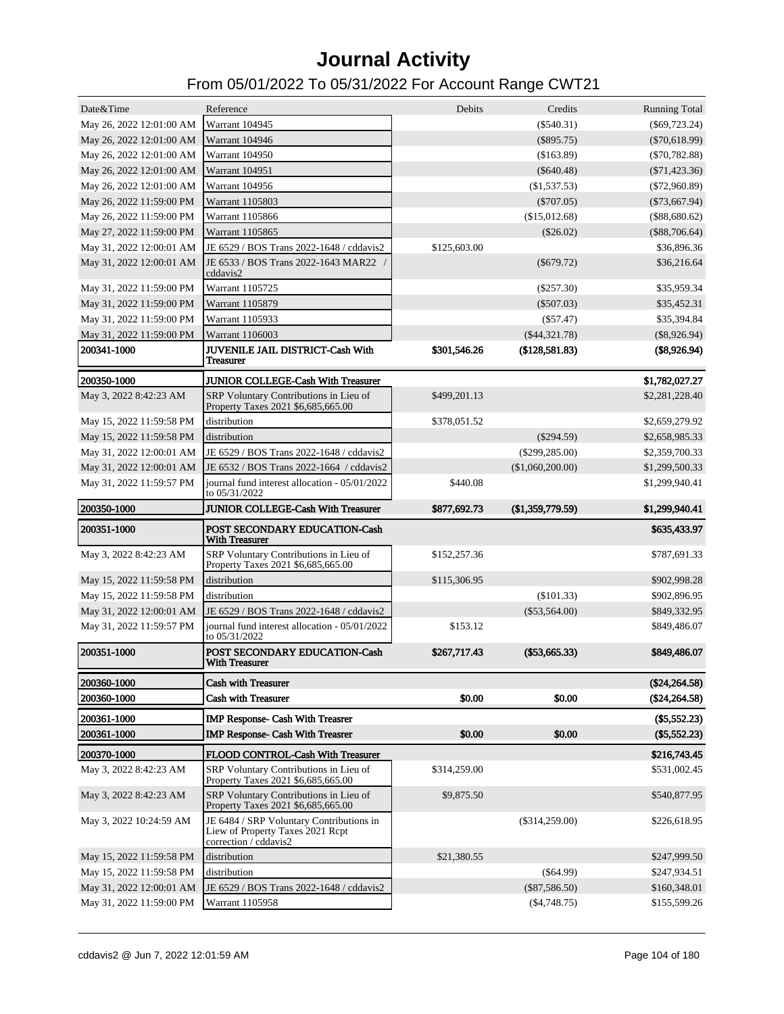| Date&Time                             | Reference                                                                                                         | Debits       | Credits           | <b>Running Total</b>         |
|---------------------------------------|-------------------------------------------------------------------------------------------------------------------|--------------|-------------------|------------------------------|
| May 26, 2022 12:01:00 AM              | <b>Warrant 104945</b>                                                                                             |              | $(\$540.31)$      | $(\$69,723.24)$              |
| May 26, 2022 12:01:00 AM              | Warrant 104946                                                                                                    |              | $(\$895.75)$      | $(\$70,618.99)$              |
| May 26, 2022 12:01:00 AM              | <b>Warrant 104950</b>                                                                                             |              | (\$163.89)        | $(\$70,782.88)$              |
| May 26, 2022 12:01:00 AM              | <b>Warrant 104951</b>                                                                                             |              | $(\$640.48)$      | $(\$71,423.36)$              |
| May 26, 2022 12:01:00 AM              | Warrant 104956                                                                                                    |              | (\$1,537.53)      | $(\$72,960.89)$              |
| May 26, 2022 11:59:00 PM              | Warrant 1105803                                                                                                   |              | $(\$707.05)$      | $(\$73,667.94)$              |
| May 26, 2022 11:59:00 PM              | Warrant 1105866                                                                                                   |              | (\$15,012.68)     | (\$88,680.62)                |
| May 27, 2022 11:59:00 PM              | Warrant 1105865                                                                                                   |              | $(\$26.02)$       | $(\$88,706.64)$              |
| May 31, 2022 12:00:01 AM              | JE 6529 / BOS Trans 2022-1648 / cddavis2                                                                          | \$125,603.00 |                   | \$36,896.36                  |
| May 31, 2022 12:00:01 AM              | JE 6533 / BOS Trans 2022-1643 MAR22 /<br>cddavis2                                                                 |              | $(\$679.72)$      | \$36,216.64                  |
| May 31, 2022 11:59:00 PM              | Warrant 1105725                                                                                                   |              | $(\$257.30)$      | \$35,959.34                  |
| May 31, 2022 11:59:00 PM              | Warrant 1105879                                                                                                   |              | $(\$507.03)$      | \$35,452.31                  |
| May 31, 2022 11:59:00 PM              | Warrant 1105933                                                                                                   |              | $(\$57.47)$       | \$35,394.84                  |
| May 31, 2022 11:59:00 PM              | Warrant 1106003                                                                                                   |              | $(\$44,321.78)$   | $(\$8,926.94)$               |
| 200341-1000                           | JUVENILE JAIL DISTRICT-Cash With<br><b>Treasurer</b>                                                              | \$301,546.26 | (\$128,581.83)    | (\$8,926.94)                 |
| 200350-1000                           | <b>JUNIOR COLLEGE-Cash With Treasurer</b>                                                                         |              |                   | \$1,782,027.27               |
| May 3, 2022 8:42:23 AM                | SRP Voluntary Contributions in Lieu of<br>Property Taxes 2021 \$6,685,665.00                                      | \$499,201.13 |                   | \$2,281,228.40               |
| May 15, 2022 11:59:58 PM              | distribution                                                                                                      | \$378,051.52 |                   | \$2,659,279.92               |
| May 15, 2022 11:59:58 PM              | distribution                                                                                                      |              | $(\$294.59)$      | \$2,658,985.33               |
| May 31, 2022 12:00:01 AM              | JE 6529 / BOS Trans 2022-1648 / cddavis2                                                                          |              | $(\$299, 285.00)$ | \$2,359,700.33               |
| May 31, 2022 12:00:01 AM              | JE 6532 / BOS Trans 2022-1664 / cddavis2                                                                          |              | (\$1,060,200.00)  | \$1,299,500.33               |
| May 31, 2022 11:59:57 PM              | journal fund interest allocation - 05/01/2022<br>to 05/31/2022                                                    | \$440.08     |                   | \$1,299,940.41               |
| 200350-1000                           | <b>JUNIOR COLLEGE-Cash With Treasurer</b>                                                                         | \$877,692.73 | (\$1,359,779.59)  | \$1,299,940.41               |
|                                       |                                                                                                                   |              |                   |                              |
| 200351-1000                           | <b>POST SECONDARY EDUCATION-Cash</b><br><b>With Treasurer</b>                                                     |              |                   | \$635,433.97                 |
| May 3, 2022 8:42:23 AM                | SRP Voluntary Contributions in Lieu of<br>Property Taxes 2021 \$6,685,665.00                                      | \$152,257.36 |                   | \$787,691.33                 |
| May 15, 2022 11:59:58 PM              | distribution                                                                                                      | \$115,306.95 |                   | \$902,998.28                 |
| May 15, 2022 11:59:58 PM              | distribution                                                                                                      |              | (\$101.33)        | \$902,896.95                 |
| May 31, 2022 12:00:01 AM              | JE 6529 / BOS Trans 2022-1648 / cddavis2                                                                          |              | $(\$53,564.00)$   | \$849,332.95                 |
| May 31, 2022 11:59:57 PM              | journal fund interest allocation - 05/01/2022<br>to 05/31/2022                                                    | \$153.12     |                   | \$849,486.07                 |
| 200351-1000                           | <b>POST SECONDARY EDUCATION-Cash</b><br><b>With Treasurer</b>                                                     | \$267,717.43 | $(\$53,665.33)$   | \$849,486.07                 |
| 200360-1000                           | <b>Cash with Treasurer</b>                                                                                        |              |                   | $(\$24,264.58)$              |
| 200360-1000                           | <b>Cash with Treasurer</b>                                                                                        | \$0.00       | \$0.00            | (\$24,264.58)                |
| 200361-1000                           |                                                                                                                   |              |                   | $(\$5,552.23)$               |
| 200361-1000                           | <b>IMP Response- Cash With Treasrer</b><br><b>IMP Response- Cash With Treasrer</b>                                | \$0.00       | \$0.00            | $(\$5,552.23)$               |
|                                       |                                                                                                                   |              |                   |                              |
| 200370-1000<br>May 3, 2022 8:42:23 AM | FLOOD CONTROL-Cash With Treasurer<br>SRP Voluntary Contributions in Lieu of<br>Property Taxes 2021 \$6,685,665.00 | \$314,259.00 |                   | \$216,743.45<br>\$531,002.45 |
| May 3, 2022 8:42:23 AM                | SRP Voluntary Contributions in Lieu of<br>Property Taxes 2021 \$6,685,665.00                                      | \$9,875.50   |                   | \$540,877.95                 |
| May 3, 2022 10:24:59 AM               | JE 6484 / SRP Voluntary Contributions in<br>Liew of Property Taxes 2021 Rept<br>correction / cddavis2             |              | $(\$314,259.00)$  | \$226,618.95                 |
| May 15, 2022 11:59:58 PM              | distribution                                                                                                      | \$21,380.55  |                   | \$247,999.50                 |
| May 15, 2022 11:59:58 PM              | distribution                                                                                                      |              | $(\$64.99)$       | \$247,934.51                 |
| May 31, 2022 12:00:01 AM              | JE 6529 / BOS Trans 2022-1648 / cddavis2                                                                          |              | $(\$87,586.50)$   | \$160,348.01                 |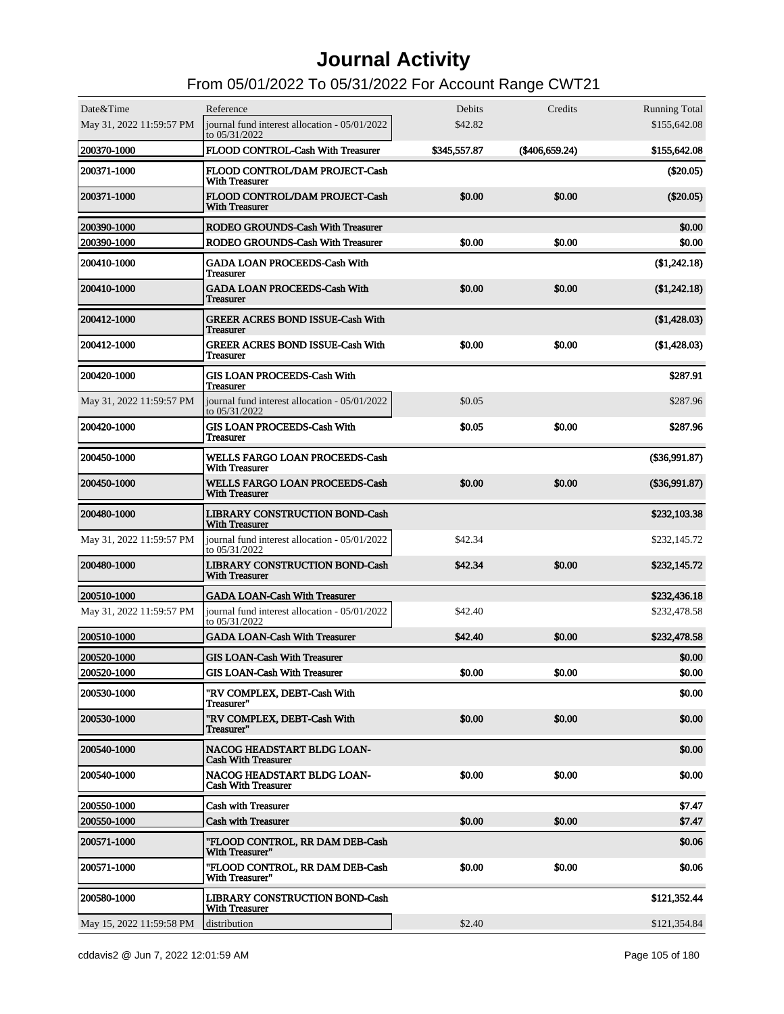| Date&Time                | Reference                                                      | Debits       | Credits        | <b>Running Total</b> |
|--------------------------|----------------------------------------------------------------|--------------|----------------|----------------------|
| May 31, 2022 11:59:57 PM | journal fund interest allocation - 05/01/2022<br>to 05/31/2022 | \$42.82      |                | \$155,642.08         |
| 200370-1000              | FLOOD CONTROL-Cash With Treasurer                              | \$345,557.87 | (\$406,659.24) | \$155,642.08         |
| 200371-1000              | FLOOD CONTROL/DAM PROJECT-Cash<br><b>With Treasurer</b>        |              |                | $(\$20.05)$          |
| 200371-1000              | FLOOD CONTROL/DAM PROJECT-Cash<br><b>With Treasurer</b>        | \$0.00       | \$0.00         | $(\$20.05)$          |
| 200390-1000              | RODEO GROUNDS-Cash With Treasurer                              |              |                | \$0.00               |
| 200390-1000              | RODEO GROUNDS-Cash With Treasurer                              | \$0.00       | \$0.00         | \$0.00               |
| 200410-1000              | <b>GADA LOAN PROCEEDS-Cash With</b><br>Treasurer               |              |                | (\$1,242.18)         |
| 200410-1000              | <b>GADA LOAN PROCEEDS-Cash With</b><br><b>Treasurer</b>        | \$0.00       | \$0.00         | (\$1,242.18)         |
| 200412-1000              | <b>GREER ACRES BOND ISSUE-Cash With</b><br>Treasurer           |              |                | (\$1,428.03)         |
| 200412-1000              | <b>GREER ACRES BOND ISSUE-Cash With</b><br>Treasurer           | \$0.00       | \$0.00         | (\$1,428.03)         |
| 200420-1000              | <b>GIS LOAN PROCEEDS-Cash With</b><br>Treasurer                |              |                | \$287.91             |
| May 31, 2022 11:59:57 PM | journal fund interest allocation - 05/01/2022<br>to 05/31/2022 | \$0.05       |                | \$287.96             |
| 200420-1000              | <b>GIS LOAN PROCEEDS-Cash With</b><br><b>Treasurer</b>         | \$0.05       | \$0.00         | \$287.96             |
| 200450-1000              | <b>WELLS FARGO LOAN PROCEEDS-Cash</b><br><b>With Treasurer</b> |              |                | $(\$36,991.87)$      |
| 200450-1000              | <b>WELLS FARGO LOAN PROCEEDS-Cash</b><br><b>With Treasurer</b> | \$0.00       | \$0.00         | $(\$36,991.87)$      |
| 200480-1000              | <b>LIBRARY CONSTRUCTION BOND-Cash</b><br><b>With Treasurer</b> |              |                | \$232,103.38         |
| May 31, 2022 11:59:57 PM | journal fund interest allocation - 05/01/2022<br>to 05/31/2022 | \$42.34      |                | \$232,145.72         |
| 200480-1000              | <b>LIBRARY CONSTRUCTION BOND-Cash</b><br><b>With Treasurer</b> | \$42.34      | \$0.00         | \$232,145.72         |
| 200510-1000              | <b>GADA LOAN-Cash With Treasurer</b>                           |              |                | \$232,436.18         |
| May 31, 2022 11:59:57 PM | journal fund interest allocation - 05/01/2022<br>to 05/31/2022 | \$42.40      |                | \$232,478.58         |
| 200510-1000              | <b>GADA LOAN-Cash With Treasurer</b>                           | \$42.40      | \$0.00         | \$232,478.58         |
| 200520-1000              | <b>GIS LOAN-Cash With Treasurer</b>                            |              |                | \$0.00               |
| 200520-1000              | <b>GIS LOAN-Cash With Treasurer</b>                            | \$0.00       | \$0.00         | \$0.00               |
| 200530-1000              | "RV COMPLEX, DEBT-Cash With<br>Treasurer"                      |              |                | \$0.00               |
| 200530-1000              | "RV COMPLEX, DEBT-Cash With<br>Treasurer"                      | \$0.00       | \$0.00         | \$0.00               |
| 200540-1000              | NACOG HEADSTART BLDG LOAN-<br><b>Cash With Treasurer</b>       |              |                | \$0.00               |
| 200540-1000              | NACOG HEADSTART BLDG LOAN-<br><b>Cash With Treasurer</b>       | \$0.00       | \$0.00         | \$0.00               |
| 200550-1000              | <b>Cash with Treasurer</b>                                     |              |                | \$7.47               |
| 200550-1000              | <b>Cash with Treasurer</b>                                     | \$0.00       | \$0.00         | \$7.47               |
| 200571-1000              | "FLOOD CONTROL, RR DAM DEB-Cash<br>With Treasurer"             |              |                | \$0.06               |
| 200571-1000              | "FLOOD CONTROL, RR DAM DEB-Cash<br>With Treasurer"             | \$0.00       | \$0.00         | \$0.06               |
| 200580-1000              | <b>LIBRARY CONSTRUCTION BOND-Cash</b><br><b>With Treasurer</b> |              |                | \$121,352.44         |
| May 15, 2022 11:59:58 PM | distribution                                                   | \$2.40       |                | \$121,354.84         |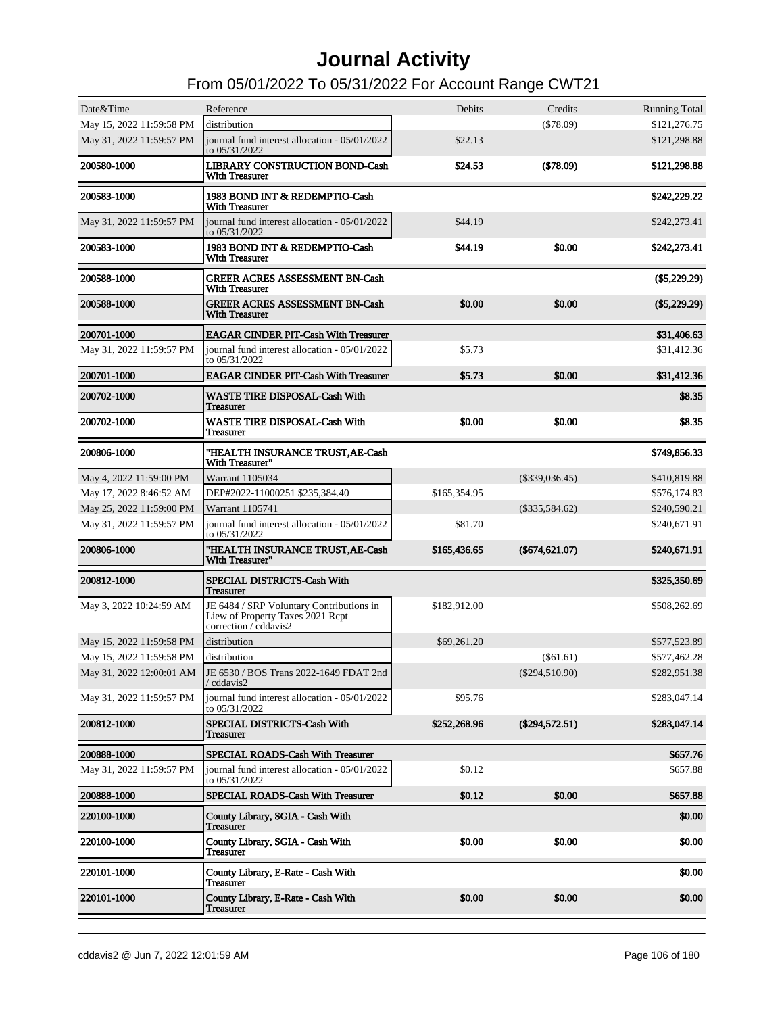| Date&Time                | Reference                                                                                             | Debits       | Credits          | <b>Running Total</b> |
|--------------------------|-------------------------------------------------------------------------------------------------------|--------------|------------------|----------------------|
| May 15, 2022 11:59:58 PM | distribution                                                                                          |              | (\$78.09)        | \$121,276.75         |
| May 31, 2022 11:59:57 PM | journal fund interest allocation - 05/01/2022<br>to 05/31/2022                                        | \$22.13      |                  | \$121,298.88         |
| 200580-1000              | <b>LIBRARY CONSTRUCTION BOND-Cash</b><br><b>With Treasurer</b>                                        | \$24.53      | $(\$78.09)$      | \$121,298.88         |
| 200583-1000              | 1983 BOND INT & REDEMPTIO-Cash<br><b>With Treasurer</b>                                               |              |                  | \$242,229.22         |
| May 31, 2022 11:59:57 PM | journal fund interest allocation - 05/01/2022<br>to 05/31/2022                                        | \$44.19      |                  | \$242,273.41         |
| 200583-1000              | 1983 BOND INT & REDEMPTIO-Cash<br><b>With Treasurer</b>                                               | \$44.19      | \$0.00           | \$242,273.41         |
| 200588-1000              | <b>GREER ACRES ASSESSMENT BN-Cash</b><br><b>With Treasurer</b>                                        |              |                  | $(\$5,229.29)$       |
| 200588-1000              | <b>GREER ACRES ASSESSMENT BN-Cash</b><br><b>With Treasurer</b>                                        | \$0.00       | \$0.00           | $(\$5,229.29)$       |
| 200701-1000              | <b>EAGAR CINDER PIT-Cash With Treasurer</b>                                                           |              |                  | \$31,406.63          |
| May 31, 2022 11:59:57 PM | iournal fund interest allocation - 05/01/2022<br>to 05/31/2022                                        | \$5.73       |                  | \$31,412.36          |
| 200701-1000              | <b>EAGAR CINDER PIT-Cash With Treasurer</b>                                                           | \$5.73       | \$0.00           | \$31,412.36          |
| 200702-1000              | <b>WASTE TIRE DISPOSAL-Cash With</b><br><b>Treasurer</b>                                              |              |                  | \$8.35               |
| 200702-1000              | <b>WASTE TIRE DISPOSAL-Cash With</b><br><b>Treasurer</b>                                              | \$0.00       | \$0.00           | \$8.35               |
| 200806-1000              | "HEALTH INSURANCE TRUST, AE-Cash<br>With Treasurer"                                                   |              |                  | \$749,856.33         |
| May 4, 2022 11:59:00 PM  | Warrant 1105034                                                                                       |              | $(\$339,036.45)$ | \$410,819.88         |
| May 17, 2022 8:46:52 AM  | DEP#2022-11000251 \$235,384.40                                                                        | \$165,354.95 |                  | \$576,174.83         |
| May 25, 2022 11:59:00 PM | Warrant 1105741                                                                                       |              | $(\$335,584.62)$ | \$240,590.21         |
| May 31, 2022 11:59:57 PM | journal fund interest allocation - 05/01/2022<br>to 05/31/2022                                        | \$81.70      |                  | \$240,671.91         |
| 200806-1000              | "HEALTH INSURANCE TRUST, AE-Cash<br>With Treasurer"                                                   | \$165,436.65 | $(\$674,621.07)$ | \$240,671.91         |
| 200812-1000              | SPECIAL DISTRICTS-Cash With<br><b>Treasurer</b>                                                       |              |                  | \$325,350.69         |
| May 3, 2022 10:24:59 AM  | JE 6484 / SRP Voluntary Contributions in<br>Liew of Property Taxes 2021 Rept<br>correction / cddavis2 | \$182,912.00 |                  | \$508,262.69         |
| May 15, 2022 11:59:58 PM | distribution                                                                                          | \$69,261.20  |                  | \$577,523.89         |
| May 15, 2022 11:59:58 PM | distribution                                                                                          |              | $(\$61.61)$      | \$577,462.28         |
| May 31, 2022 12:00:01 AM | JE 6530 / BOS Trans 2022-1649 FDAT 2nd<br>/ cddavis2                                                  |              | $(\$294,510.90)$ | \$282,951.38         |
| May 31, 2022 11:59:57 PM | journal fund interest allocation - 05/01/2022<br>to 05/31/2022                                        | \$95.76      |                  | \$283,047.14         |
| 200812-1000              | SPECIAL DISTRICTS-Cash With<br><b>Treasurer</b>                                                       | \$252,268.96 | $(\$294,572.51)$ | \$283,047.14         |
| 200888-1000              | SPECIAL ROADS-Cash With Treasurer                                                                     |              |                  | \$657.76             |
| May 31, 2022 11:59:57 PM | journal fund interest allocation - 05/01/2022<br>to 05/31/2022                                        | \$0.12       |                  | \$657.88             |
| 200888-1000              | SPECIAL ROADS-Cash With Treasurer                                                                     | \$0.12       | \$0.00           | \$657.88             |
| 220100-1000              | County Library, SGIA - Cash With<br><b>Treasurer</b>                                                  |              |                  | \$0.00               |
| 220100-1000              | County Library, SGIA - Cash With<br><b>Treasurer</b>                                                  | \$0.00       | \$0.00           | \$0.00               |
| 220101-1000              | County Library, E-Rate - Cash With<br><b>Treasurer</b>                                                |              |                  | \$0.00               |
| 220101-1000              | County Library, E-Rate - Cash With<br>Treasurer                                                       | \$0.00       | \$0.00           | \$0.00               |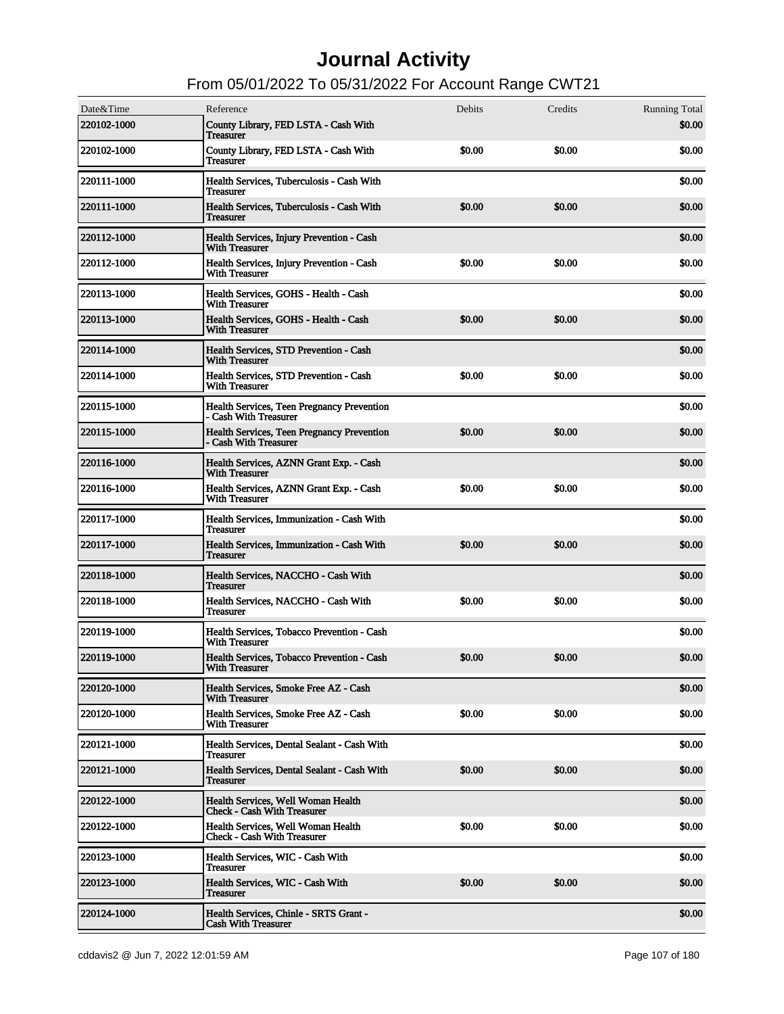| Date&Time<br>220102-1000 | Reference<br>County Library, FED LSTA - Cash With<br><b>Treasurer</b>      | Debits | Credits | <b>Running Total</b><br>\$0.00 |
|--------------------------|----------------------------------------------------------------------------|--------|---------|--------------------------------|
| <b>220102-1000</b>       | County Library, FED LSTA - Cash With<br><b>Treasurer</b>                   | \$0.00 | \$0.00  | \$0.00                         |
| <b>220111-1000</b>       | Health Services, Tuberculosis - Cash With<br><b>Treasurer</b>              |        |         | \$0.00                         |
| <b>220111-1000</b>       | Health Services, Tuberculosis - Cash With<br><b>Treasurer</b>              | \$0.00 | \$0.00  | \$0.00                         |
| 220112-1000              | Health Services, Injury Prevention - Cash<br><b>With Treasurer</b>         |        |         | \$0.00                         |
| 220112-1000              | Health Services, Injury Prevention - Cash<br><b>With Treasurer</b>         | \$0.00 | \$0.00  | \$0.00                         |
| 220113-1000              | Health Services, GOHS - Health - Cash<br><b>With Treasurer</b>             |        |         | \$0.00                         |
| <b>220113-1000</b>       | Health Services, GOHS - Health - Cash<br><b>With Treasurer</b>             | \$0.00 | \$0.00  | \$0.00                         |
| 220114-1000              | Health Services, STD Prevention - Cash<br><b>With Treasurer</b>            |        |         | \$0.00                         |
| <b>220114-1000</b>       | Health Services, STD Prevention - Cash<br><b>With Treasurer</b>            | \$0.00 | \$0.00  | \$0.00                         |
| 220115-1000              | <b>Health Services, Teen Pregnancy Prevention</b><br>- Cash With Treasurer |        |         | \$0.00                         |
| <b>220115-1000</b>       | Health Services, Teen Pregnancy Prevention<br>- Cash With Treasurer        | \$0.00 | \$0.00  | \$0.00                         |
| 220116-1000              | Health Services, AZNN Grant Exp. - Cash<br><b>With Treasurer</b>           |        |         | \$0.00                         |
| 220116-1000              | Health Services, AZNN Grant Exp. - Cash<br><b>With Treasurer</b>           | \$0.00 | \$0.00  | \$0.00                         |
| 220117-1000              | Health Services, Immunization - Cash With<br><b>Treasurer</b>              |        |         | \$0.00                         |
| <b>220117-1000</b>       | Health Services, Immunization - Cash With<br><b>Treasurer</b>              | \$0.00 | \$0.00  | \$0.00                         |
| 220118-1000              | Health Services, NACCHO - Cash With<br><b>Treasurer</b>                    |        |         | \$0.00                         |
| 220118-1000              | Health Services, NACCHO - Cash With<br><b>Treasurer</b>                    | \$0.00 | \$0.00  | \$0.00                         |
| 220119-1000              | Health Services, Tobacco Prevention - Cash<br><b>With Treasurer</b>        |        |         | \$0.00                         |
| <b>220119-1000</b>       | Health Services, Tobacco Prevention - Cash<br>With Treasurer               | \$0.00 | \$0.00  | \$0.00                         |
| 220120-1000              | Health Services, Smoke Free AZ - Cash<br><b>With Treasurer</b>             |        |         | \$0.00                         |
| <b>220120-1000</b>       | Health Services, Smoke Free AZ - Cash<br><b>With Treasurer</b>             | \$0.00 | \$0.00  | \$0.00                         |
| <b>220121-1000</b>       | Health Services, Dental Sealant - Cash With<br><b>Treasurer</b>            |        |         | \$0.00                         |
| <b>220121-1000</b>       | Health Services, Dental Sealant - Cash With<br><b>Treasurer</b>            | \$0.00 | \$0.00  | \$0.00                         |
| 220122-1000              | Health Services, Well Woman Health<br><b>Check - Cash With Treasurer</b>   |        |         | \$0.00                         |
| <b>220122-1000</b>       | Health Services, Well Woman Health<br><b>Check - Cash With Treasurer</b>   | \$0.00 | \$0.00  | \$0.00                         |
| <b>220123-1000</b>       | Health Services, WIC - Cash With<br>Treasurer                              |        |         | \$0.00                         |
| <b>220123-1000</b>       | Health Services, WIC - Cash With<br><b>Treasurer</b>                       | \$0.00 | \$0.00  | \$0.00                         |
| 220124-1000              | Health Services, Chinle - SRTS Grant -<br><b>Cash With Treasurer</b>       |        |         | \$0.00                         |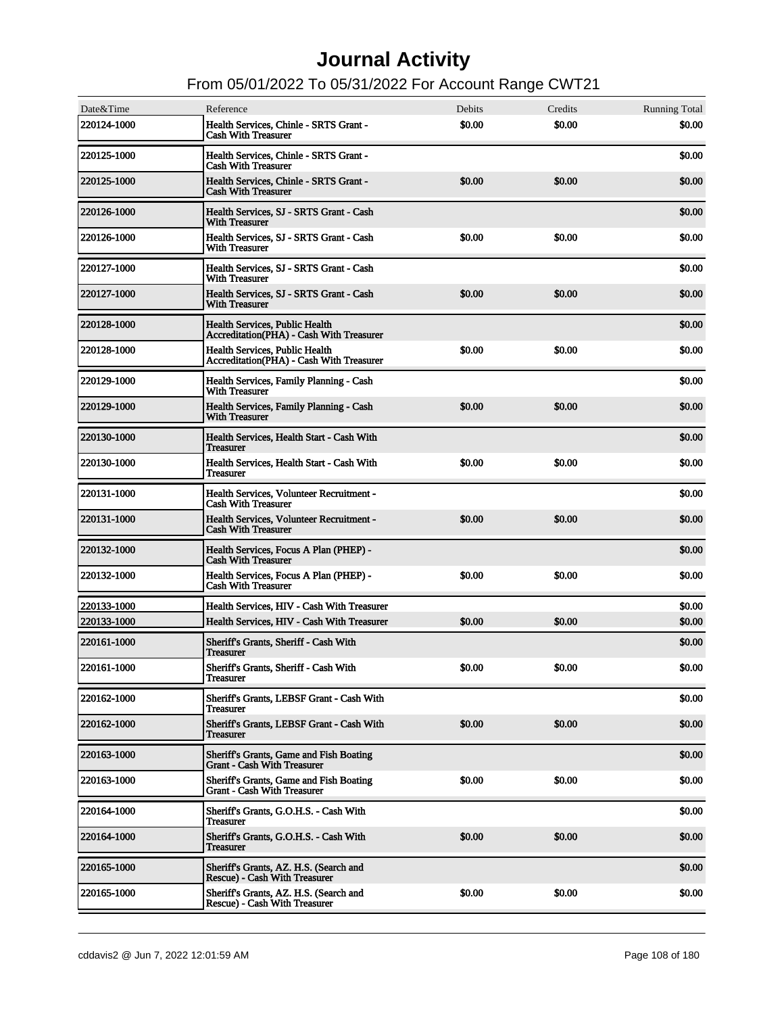| Date&Time          | Reference                                                                     | Debits | Credits | <b>Running Total</b> |
|--------------------|-------------------------------------------------------------------------------|--------|---------|----------------------|
| 220124-1000        | Health Services, Chinle - SRTS Grant -<br><b>Cash With Treasurer</b>          | \$0.00 | \$0.00  | \$0.00               |
| 220125-1000        | Health Services, Chinle - SRTS Grant -<br><b>Cash With Treasurer</b>          |        |         | \$0.00               |
| 220125-1000        | Health Services, Chinle - SRTS Grant -<br><b>Cash With Treasurer</b>          | \$0.00 | \$0.00  | \$0.00               |
| 220126-1000        | Health Services, SJ - SRTS Grant - Cash<br><b>With Treasurer</b>              |        |         | \$0.00               |
| 220126-1000        | Health Services, SJ - SRTS Grant - Cash<br><b>With Treasurer</b>              | \$0.00 | \$0.00  | \$0.00               |
| 220127-1000        | Health Services, SJ - SRTS Grant - Cash<br><b>With Treasurer</b>              |        |         | \$0.00               |
| 220127-1000        | Health Services, SJ - SRTS Grant - Cash<br><b>With Treasurer</b>              | \$0.00 | \$0.00  | \$0.00               |
| 220128-1000        | Health Services, Public Health<br>Accreditation(PHA) - Cash With Treasurer    |        |         | \$0.00               |
| 220128-1000        | Health Services, Public Health<br>Accreditation(PHA) - Cash With Treasurer    | \$0.00 | \$0.00  | \$0.00               |
| 220129-1000        | Health Services, Family Planning - Cash<br><b>With Treasurer</b>              |        |         | \$0.00               |
| 220129-1000        | Health Services, Family Planning - Cash<br><b>With Treasurer</b>              | \$0.00 | \$0.00  | \$0.00               |
| 220130-1000        | Health Services, Health Start - Cash With<br>Treasurer                        |        |         | \$0.00               |
| 220130-1000        | Health Services, Health Start - Cash With<br>Treasurer                        | \$0.00 | \$0.00  | \$0.00               |
| 220131-1000        | Health Services, Volunteer Recruitment -<br><b>Cash With Treasurer</b>        |        |         | \$0.00               |
| 220131-1000        | Health Services, Volunteer Recruitment -<br><b>Cash With Treasurer</b>        | \$0.00 | \$0.00  | \$0.00               |
| 220132-1000        | Health Services, Focus A Plan (PHEP) -<br><b>Cash With Treasurer</b>          |        |         | \$0.00               |
| 220132-1000        | Health Services, Focus A Plan (PHEP) -<br><b>Cash With Treasurer</b>          | \$0.00 | \$0.00  | \$0.00               |
| 220133-1000        | Health Services, HIV - Cash With Treasurer                                    |        |         | \$0.00               |
| 220133-1000        | Health Services, HIV - Cash With Treasurer                                    | \$0.00 | \$0.00  | \$0.00               |
| 220161-1000        | Sheriff's Grants, Sheriff - Cash With<br><b>Treasurer</b>                     |        |         | \$0.00               |
| <b>220161-1000</b> | Sheriff's Grants. Sheriff - Cash With<br><b>Treasurer</b>                     | \$0.00 | \$0.00  | \$0.00               |
| 220162-1000        | Sheriff's Grants, LEBSF Grant - Cash With<br><b>Treasurer</b>                 |        |         | \$0.00               |
| 220162-1000        | Sheriff's Grants, LEBSF Grant - Cash With<br><b>Treasurer</b>                 | \$0.00 | \$0.00  | \$0.00               |
| 220163-1000        | Sheriff's Grants, Game and Fish Boating<br><b>Grant - Cash With Treasurer</b> |        |         | \$0.00               |
| 220163-1000        | Sheriff's Grants, Game and Fish Boating<br><b>Grant - Cash With Treasurer</b> | \$0.00 | \$0.00  | \$0.00               |
| 220164-1000        | Sheriff's Grants, G.O.H.S. - Cash With<br><b>Treasurer</b>                    |        |         | \$0.00               |
| 220164-1000        | Sheriff's Grants, G.O.H.S. - Cash With<br>Treasurer                           | \$0.00 | \$0.00  | \$0.00               |
| 220165-1000        | Sheriff's Grants, AZ. H.S. (Search and<br>Rescue) - Cash With Treasurer       |        |         | \$0.00               |
| 220165-1000        | Sheriff's Grants, AZ. H.S. (Search and<br>Rescue) - Cash With Treasurer       | \$0.00 | \$0.00  | \$0.00               |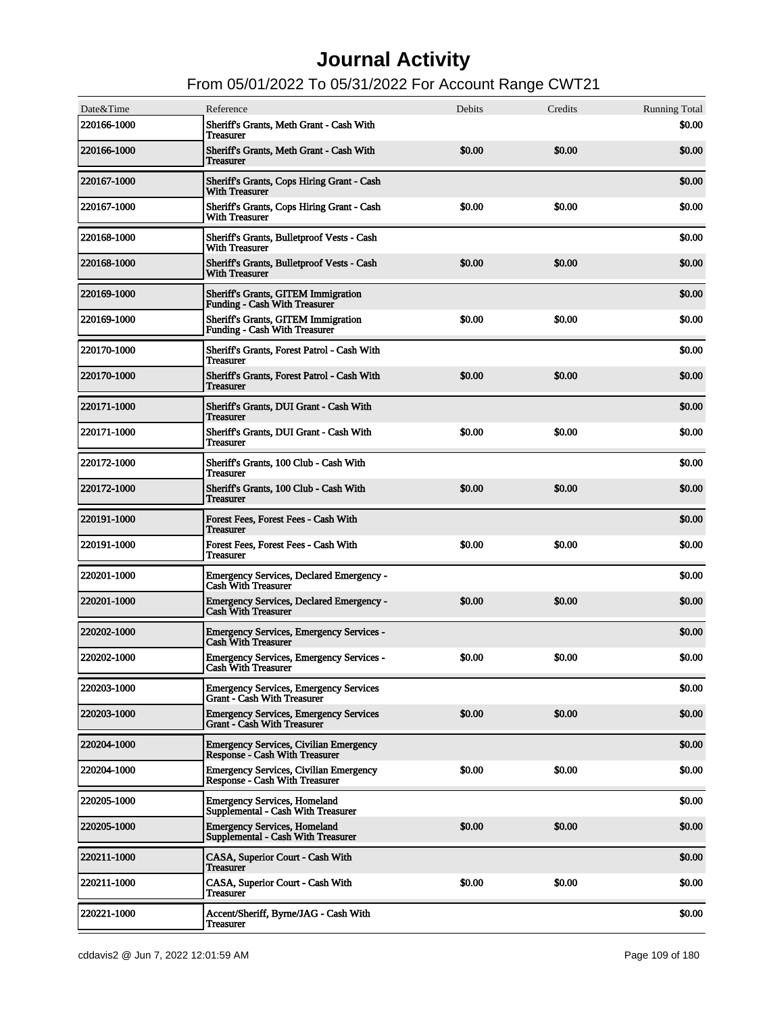| Date&Time<br>220166-1000 | Reference<br>Sheriff's Grants, Meth Grant - Cash With                                  | Debits | Credits | <b>Running Total</b><br>\$0.00 |
|--------------------------|----------------------------------------------------------------------------------------|--------|---------|--------------------------------|
|                          | <b>Treasurer</b>                                                                       |        |         |                                |
| 220166-1000              | Sheriff's Grants, Meth Grant - Cash With<br><b>Treasurer</b>                           | \$0.00 | \$0.00  | \$0.00                         |
| 220167-1000              | Sheriff's Grants, Cops Hiring Grant - Cash<br><b>With Treasurer</b>                    |        |         | \$0.00                         |
| <b>220167-1000</b>       | Sheriff's Grants, Cops Hiring Grant - Cash<br><b>With Treasurer</b>                    | \$0.00 | \$0.00  | \$0.00                         |
| 220168-1000              | Sheriff's Grants, Bulletproof Vests - Cash<br><b>With Treasurer</b>                    |        |         | \$0.00                         |
| 220168-1000              | Sheriff's Grants, Bulletproof Vests - Cash<br><b>With Treasurer</b>                    | \$0.00 | \$0.00  | \$0.00                         |
| 220169-1000              | <b>Sheriff's Grants, GITEM Immigration</b><br><b>Funding - Cash With Treasurer</b>     |        |         | \$0.00                         |
| <b>220169-1000</b>       | <b>Sheriff's Grants, GITEM Immigration</b><br><b>Funding - Cash With Treasurer</b>     | \$0.00 | \$0.00  | \$0.00                         |
| <b>220170-1000</b>       | Sheriff's Grants, Forest Patrol - Cash With<br><b>Treasurer</b>                        |        |         | \$0.00                         |
| 220170-1000              | Sheriff's Grants, Forest Patrol - Cash With<br><b>Treasurer</b>                        | \$0.00 | \$0.00  | \$0.00                         |
| 220171-1000              | Sheriff's Grants, DUI Grant - Cash With<br><b>Treasurer</b>                            |        |         | \$0.00                         |
| <b>220171-1000</b>       | Sheriff's Grants, DUI Grant - Cash With<br><b>Treasurer</b>                            | \$0.00 | \$0.00  | \$0.00                         |
| 220172-1000              | Sheriff's Grants, 100 Club - Cash With<br><b>Treasurer</b>                             |        |         | \$0.00                         |
| <b>220172-1000</b>       | Sheriff's Grants, 100 Club - Cash With<br><b>Treasurer</b>                             | \$0.00 | \$0.00  | \$0.00                         |
| 220191-1000              | Forest Fees, Forest Fees - Cash With<br><b>Treasurer</b>                               |        |         | \$0.00                         |
| <b>220191-1000</b>       | Forest Fees, Forest Fees - Cash With<br><b>Treasurer</b>                               | \$0.00 | \$0.00  | \$0.00                         |
| 220201-1000              | <b>Emergency Services, Declared Emergency -</b><br><b>Cash With Treasurer</b>          |        |         | \$0.00                         |
| <b>220201-1000</b>       | Emergency Services, Declared Emergency -<br><b>Cash With Treasurer</b>                 | \$0.00 | \$0.00  | \$0.00                         |
| 220202-1000              | <b>Emergency Services, Emergency Services -</b><br><b>Cash With Treasurer</b>          |        |         | \$0.00                         |
| <b>220202-1000</b>       | Emergency Services, Emergency Services -<br><b>Cash With Treasurer</b>                 | \$0.00 | \$0.00  | \$0.00                         |
| 220203-1000              | <b>Emergency Services, Emergency Services</b><br><b>Grant - Cash With Treasurer</b>    |        |         | \$0.00                         |
| <b>220203-1000</b>       | <b>Emergency Services, Emergency Services</b><br><b>Grant - Cash With Treasurer</b>    | \$0.00 | \$0.00  | \$0.00                         |
| 220204-1000              | <b>Emergency Services, Civilian Emergency</b><br><b>Response - Cash With Treasurer</b> |        |         | \$0.00                         |
| 220204-1000              | <b>Emergency Services, Civilian Emergency</b><br><b>Response - Cash With Treasurer</b> | \$0.00 | \$0.00  | \$0.00                         |
| <b>220205-1000</b>       | <b>Emergency Services, Homeland</b><br>Supplemental - Cash With Treasurer              |        |         | \$0.00                         |
| <b>220205-1000</b>       | <b>Emergency Services, Homeland</b><br><b>Supplemental - Cash With Treasurer</b>       | \$0.00 | \$0.00  | \$0.00                         |
| 220211-1000              | CASA, Superior Court - Cash With<br><b>Treasurer</b>                                   |        |         | \$0.00                         |
| <b>220211-1000</b>       | CASA, Superior Court - Cash With<br><b>Treasurer</b>                                   | \$0.00 | \$0.00  | \$0.00                         |
| <b>220221-1000</b>       | Accent/Sheriff, Byrne/JAG - Cash With<br>Treasurer                                     |        |         | \$0.00                         |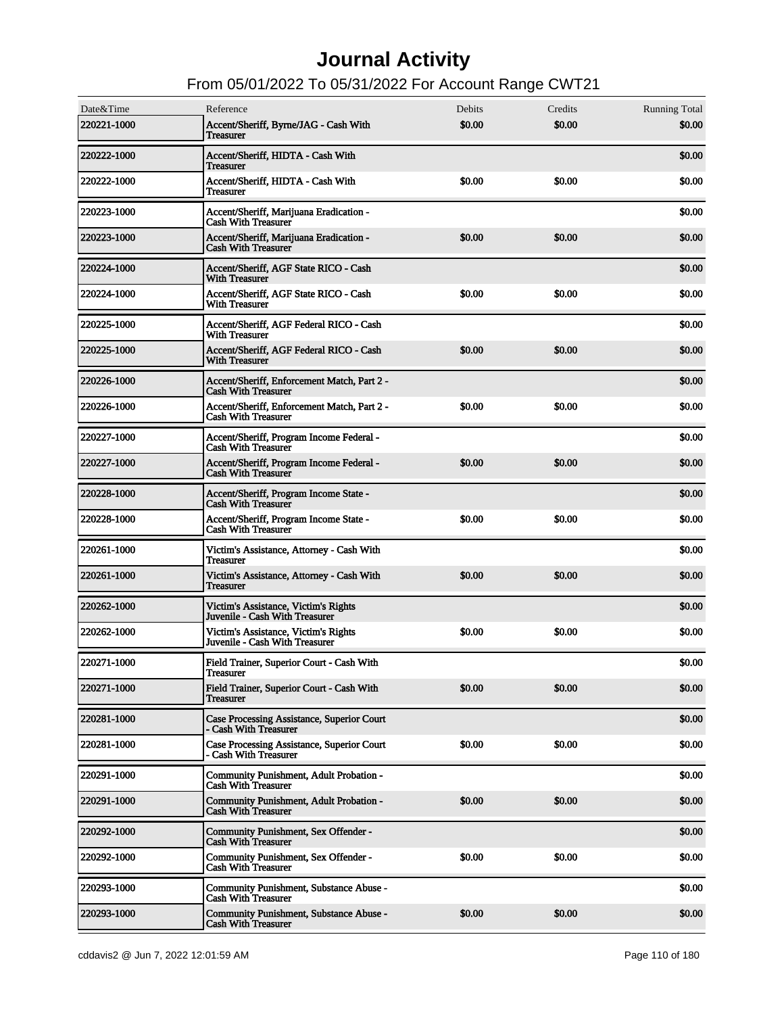| Date&Time   | Reference                                                                 | Debits | Credits | <b>Running Total</b> |
|-------------|---------------------------------------------------------------------------|--------|---------|----------------------|
| 220221-1000 | Accent/Sheriff, Byrne/JAG - Cash With<br><b>Treasurer</b>                 | \$0.00 | \$0.00  | \$0.00               |
| 220222-1000 | Accent/Sheriff, HIDTA - Cash With<br><b>Treasurer</b>                     |        |         | \$0.00               |
| 220222-1000 | Accent/Sheriff, HIDTA - Cash With<br><b>Treasurer</b>                     | \$0.00 | \$0.00  | \$0.00               |
| 220223-1000 | Accent/Sheriff, Marijuana Eradication -<br><b>Cash With Treasurer</b>     |        |         | \$0.00               |
| 220223-1000 | Accent/Sheriff, Marijuana Eradication -<br><b>Cash With Treasurer</b>     | \$0.00 | \$0.00  | \$0.00               |
| 220224-1000 | Accent/Sheriff. AGF State RICO - Cash<br><b>With Treasurer</b>            |        |         | \$0.00               |
| 220224-1000 | Accent/Sheriff, AGF State RICO - Cash<br><b>With Treasurer</b>            | \$0.00 | \$0.00  | \$0.00               |
| 220225-1000 | Accent/Sheriff, AGF Federal RICO - Cash<br><b>With Treasurer</b>          |        |         | \$0.00               |
| 220225-1000 | Accent/Sheriff, AGF Federal RICO - Cash<br><b>With Treasurer</b>          | \$0.00 | \$0.00  | \$0.00               |
| 220226-1000 | Accent/Sheriff, Enforcement Match, Part 2 -<br><b>Cash With Treasurer</b> |        |         | \$0.00               |
| 220226-1000 | Accent/Sheriff, Enforcement Match, Part 2 -<br><b>Cash With Treasurer</b> | \$0.00 | \$0.00  | \$0.00               |
| 220227-1000 | Accent/Sheriff, Program Income Federal -<br><b>Cash With Treasurer</b>    |        |         | \$0.00               |
| 220227-1000 | Accent/Sheriff, Program Income Federal -<br><b>Cash With Treasurer</b>    | \$0.00 | \$0.00  | \$0.00               |
| 220228-1000 | Accent/Sheriff, Program Income State -<br><b>Cash With Treasurer</b>      |        |         | \$0.00               |
| 220228-1000 | Accent/Sheriff, Program Income State -<br><b>Cash With Treasurer</b>      | \$0.00 | \$0.00  | \$0.00               |
| 220261-1000 | Victim's Assistance, Attorney - Cash With<br><b>Treasurer</b>             |        |         | \$0.00               |
| 220261-1000 | Victim's Assistance, Attorney - Cash With<br><b>Treasurer</b>             | \$0.00 | \$0.00  | \$0.00               |
| 220262-1000 | Victim's Assistance, Victim's Rights<br>Juvenile - Cash With Treasurer    |        |         | \$0.00               |
| 220262-1000 | Victim's Assistance, Victim's Rights<br>Juvenile - Cash With Treasurer    | \$0.00 | \$0.00  | \$0.00               |
| 220271-1000 | Field Trainer, Superior Court - Cash With<br>1 reasurer                   |        |         | \$0.00               |
| 220271-1000 | Field Trainer, Superior Court - Cash With<br><b>Treasurer</b>             | \$0.00 | \$0.00  | \$0.00               |
| 220281-1000 | Case Processing Assistance, Superior Court<br>- Cash With Treasurer       |        |         | \$0.00               |
| 220281-1000 | Case Processing Assistance, Superior Court<br>- Cash With Treasurer       | \$0.00 | \$0.00  | \$0.00               |
| 220291-1000 | Community Punishment, Adult Probation -<br><b>Cash With Treasurer</b>     |        |         | \$0.00               |
| 220291-1000 | Community Punishment, Adult Probation -<br><b>Cash With Treasurer</b>     | \$0.00 | \$0.00  | \$0.00               |
| 220292-1000 | Community Punishment, Sex Offender -<br><b>Cash With Treasurer</b>        |        |         | \$0.00               |
| 220292-1000 | Community Punishment, Sex Offender -<br><b>Cash With Treasurer</b>        | \$0.00 | \$0.00  | \$0.00               |
| 220293-1000 | Community Punishment, Substance Abuse -<br><b>Cash With Treasurer</b>     |        |         | \$0.00               |
| 220293-1000 | Community Punishment, Substance Abuse -<br><b>Cash With Treasurer</b>     | \$0.00 | \$0.00  | \$0.00               |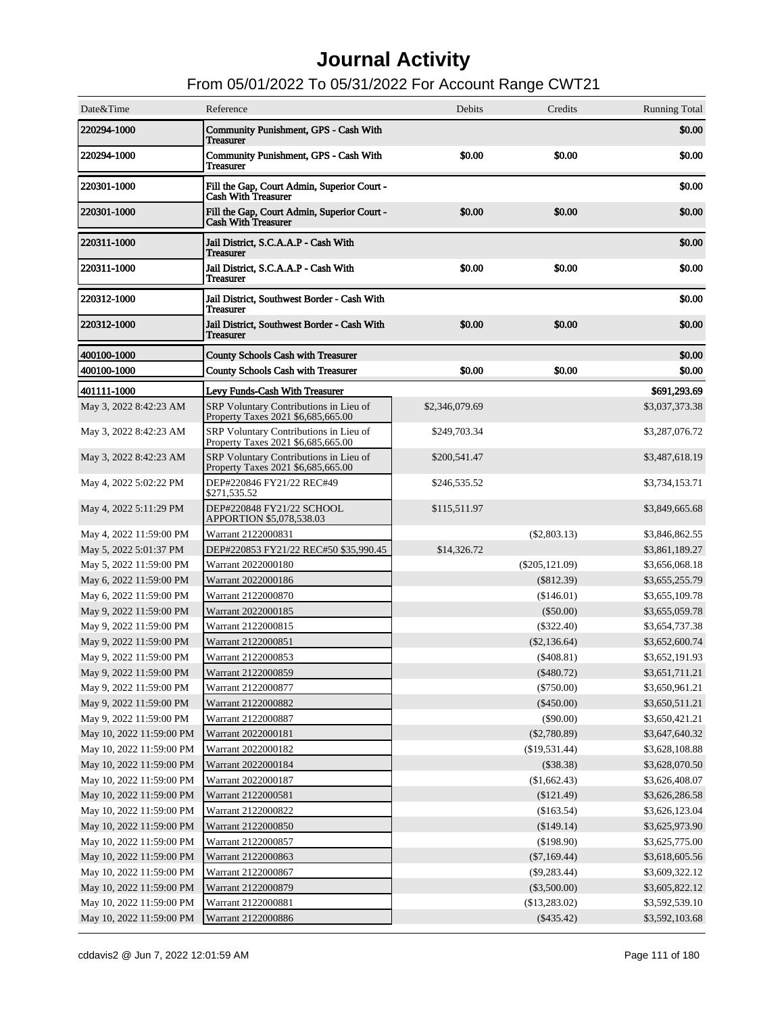| Date&Time                | Reference                                                                    | Debits         | Credits          | <b>Running Total</b> |
|--------------------------|------------------------------------------------------------------------------|----------------|------------------|----------------------|
| 220294-1000              | <b>Community Punishment, GPS - Cash With</b><br><b>Treasurer</b>             |                |                  | \$0.00               |
| 220294-1000              | Community Punishment, GPS - Cash With<br><b>Treasurer</b>                    | \$0.00         | \$0.00           | \$0.00               |
| 220301-1000              | Fill the Gap, Court Admin, Superior Court -<br><b>Cash With Treasurer</b>    |                |                  | \$0.00               |
| 220301-1000              | Fill the Gap, Court Admin, Superior Court -<br><b>Cash With Treasurer</b>    | \$0.00         | \$0.00           | \$0.00               |
| 220311-1000              | Jail District, S.C.A.A.P - Cash With<br><b>Treasurer</b>                     |                |                  | \$0.00               |
| 220311-1000              | Jail District, S.C.A.A.P - Cash With<br><b>Treasurer</b>                     | \$0.00         | \$0.00           | \$0.00               |
| 220312-1000              | Jail District, Southwest Border - Cash With<br><b>Treasurer</b>              |                |                  | \$0.00               |
| 220312-1000              | Jail District, Southwest Border - Cash With<br><b>Treasurer</b>              | \$0.00         | \$0.00           | \$0.00               |
| 400100-1000              | <b>County Schools Cash with Treasurer</b>                                    |                |                  | \$0.00               |
| 400100-1000              | <b>County Schools Cash with Treasurer</b>                                    | \$0.00         | \$0.00           | \$0.00               |
| 401111-1000              | Levy Funds-Cash With Treasurer                                               |                |                  | \$691,293.69         |
| May 3, 2022 8:42:23 AM   | SRP Voluntary Contributions in Lieu of<br>Property Taxes 2021 \$6,685,665.00 | \$2,346,079.69 |                  | \$3,037,373.38       |
| May 3, 2022 8:42:23 AM   | SRP Voluntary Contributions in Lieu of<br>Property Taxes 2021 \$6,685,665.00 | \$249,703.34   |                  | \$3,287,076.72       |
| May 3, 2022 8:42:23 AM   | SRP Voluntary Contributions in Lieu of<br>Property Taxes 2021 \$6,685,665.00 | \$200,541.47   |                  | \$3,487,618.19       |
| May 4, 2022 5:02:22 PM   | DEP#220846 FY21/22 REC#49<br>\$271,535.52                                    | \$246,535.52   |                  | \$3,734,153.71       |
| May 4, 2022 5:11:29 PM   | DEP#220848 FY21/22 SCHOOL<br>APPORTION \$5,078,538.03                        | \$115,511.97   |                  | \$3,849,665.68       |
| May 4, 2022 11:59:00 PM  | Warrant 2122000831                                                           |                | $(\$2,803.13)$   | \$3,846,862.55       |
| May 5, 2022 5:01:37 PM   | DEP#220853 FY21/22 REC#50 \$35,990.45                                        | \$14,326.72    |                  | \$3,861,189.27       |
| May 5, 2022 11:59:00 PM  | Warrant 2022000180                                                           |                | $(\$205,121.09)$ | \$3,656,068.18       |
| May 6, 2022 11:59:00 PM  | Warrant 2022000186                                                           |                | $(\$812.39)$     | \$3,655,255.79       |
| May 6, 2022 11:59:00 PM  | Warrant 2122000870                                                           |                | (\$146.01)       | \$3,655,109.78       |
| May 9, 2022 11:59:00 PM  | Warrant 2022000185                                                           |                | $(\$50.00)$      | \$3,655,059.78       |
| May 9, 2022 11:59:00 PM  | Warrant 2122000815                                                           |                | $(\$322.40)$     | \$3,654,737.38       |
| May 9, 2022 11:59:00 PM  | Warrant 2122000851                                                           |                | $(\$2,136.64)$   | \$3,652,600.74       |
| May 9, 2022 11:59:00 PM  | Warrant 2122000853                                                           |                | $(\$408.81)$     | \$3,652,191.93       |
| May 9, 2022 11:59:00 PM  | Warrant 2122000859                                                           |                | (\$480.72)       | \$3,651,711.21       |
| May 9, 2022 11:59:00 PM  | Warrant 2122000877                                                           |                | $(\$750.00)$     | \$3,650,961.21       |
| May 9, 2022 11:59:00 PM  | Warrant 2122000882                                                           |                | $(\$450.00)$     | \$3,650,511.21       |
| May 9, 2022 11:59:00 PM  | Warrant 2122000887                                                           |                | $(\$90.00)$      | \$3,650,421.21       |
| May 10, 2022 11:59:00 PM | Warrant 2022000181                                                           |                | $(\$2,780.89)$   | \$3,647,640.32       |
| May 10, 2022 11:59:00 PM | Warrant 2022000182                                                           |                | (\$19,531.44)    | \$3,628,108.88       |
| May 10, 2022 11:59:00 PM | Warrant 2022000184                                                           |                | $(\$38.38)$      | \$3,628,070.50       |
| May 10, 2022 11:59:00 PM | Warrant 2022000187                                                           |                | (\$1,662.43)     | \$3,626,408.07       |
| May 10, 2022 11:59:00 PM | Warrant 2122000581                                                           |                | $(\$121.49)$     | \$3,626,286.58       |
| May 10, 2022 11:59:00 PM | Warrant 2122000822                                                           |                | (\$163.54)       | \$3,626,123.04       |
| May 10, 2022 11:59:00 PM | Warrant 2122000850                                                           |                | (\$149.14)       | \$3,625,973.90       |
| May 10, 2022 11:59:00 PM | Warrant 2122000857                                                           |                | (\$198.90)       | \$3,625,775.00       |
| May 10, 2022 11:59:00 PM | Warrant 2122000863                                                           |                | $(\$7,169.44)$   | \$3,618,605.56       |
| May 10, 2022 11:59:00 PM | Warrant 2122000867                                                           |                | $(\$9,283.44)$   | \$3,609,322.12       |
| May 10, 2022 11:59:00 PM | Warrant 2122000879                                                           |                | $(\$3,500.00)$   | \$3,605,822.12       |
| May 10, 2022 11:59:00 PM | Warrant 2122000881                                                           |                | (\$13,283.02)    | \$3,592,539.10       |
| May 10, 2022 11:59:00 PM | Warrant 2122000886                                                           |                | $(\$435.42)$     | \$3,592,103.68       |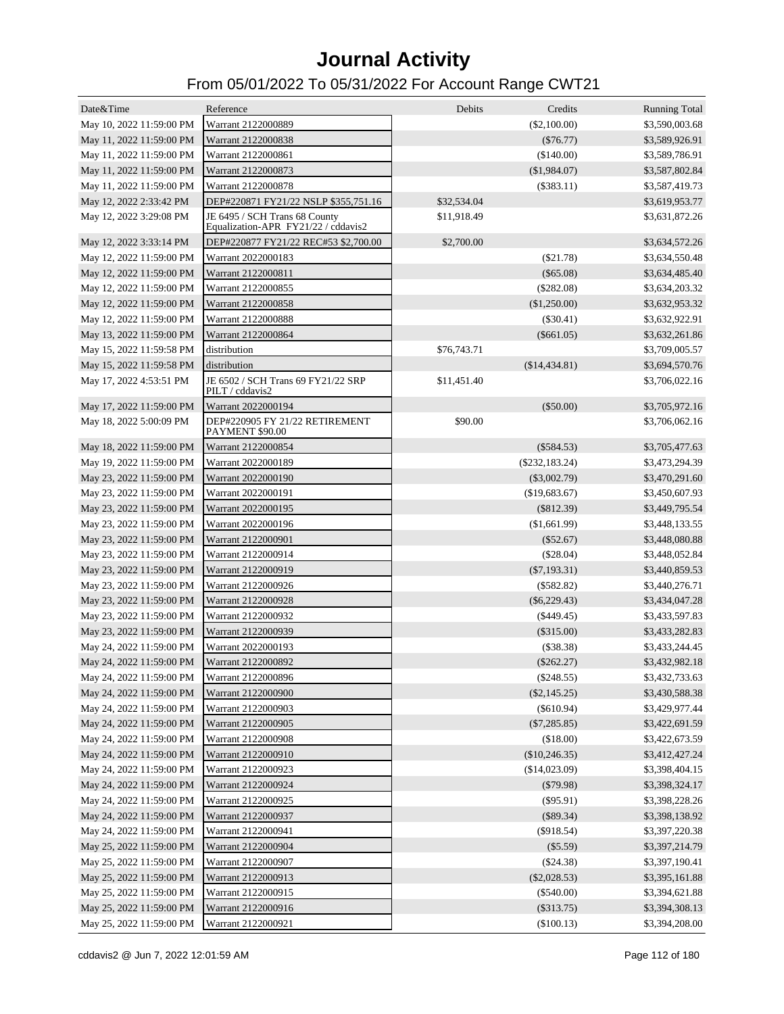| Date&Time                | Reference                                                            | Debits      | Credits           | <b>Running Total</b> |
|--------------------------|----------------------------------------------------------------------|-------------|-------------------|----------------------|
| May 10, 2022 11:59:00 PM | Warrant 2122000889                                                   |             | (\$2,100.00)      | \$3,590,003.68       |
| May 11, 2022 11:59:00 PM | Warrant 2122000838                                                   |             | $(\$76.77)$       | \$3,589,926.91       |
| May 11, 2022 11:59:00 PM | Warrant 2122000861                                                   |             | (\$140.00)        | \$3,589,786.91       |
| May 11, 2022 11:59:00 PM | Warrant 2122000873                                                   |             | (\$1,984.07)      | \$3,587,802.84       |
| May 11, 2022 11:59:00 PM | Warrant 2122000878                                                   |             | $(\$383.11)$      | \$3,587,419.73       |
| May 12, 2022 2:33:42 PM  | DEP#220871 FY21/22 NSLP \$355,751.16                                 | \$32,534.04 |                   | \$3,619,953.77       |
| May 12, 2022 3:29:08 PM  | JE 6495 / SCH Trans 68 County<br>Equalization-APR FY21/22 / cddavis2 | \$11,918.49 |                   | \$3,631,872.26       |
| May 12, 2022 3:33:14 PM  | DEP#220877 FY21/22 REC#53 \$2,700.00                                 | \$2,700.00  |                   | \$3,634,572.26       |
| May 12, 2022 11:59:00 PM | Warrant 2022000183                                                   |             | $(\$21.78)$       | \$3,634,550.48       |
| May 12, 2022 11:59:00 PM | Warrant 2122000811                                                   |             | $(\$65.08)$       | \$3,634,485.40       |
| May 12, 2022 11:59:00 PM | Warrant 2122000855                                                   |             | $(\$282.08)$      | \$3,634,203.32       |
| May 12, 2022 11:59:00 PM | Warrant 2122000858                                                   |             | (\$1,250.00)      | \$3,632,953.32       |
| May 12, 2022 11:59:00 PM | Warrant 2122000888                                                   |             | $(\$30.41)$       | \$3,632,922.91       |
| May 13, 2022 11:59:00 PM | Warrant 2122000864                                                   |             | $(\$661.05)$      | \$3,632,261.86       |
| May 15, 2022 11:59:58 PM | distribution                                                         | \$76,743.71 |                   | \$3,709,005.57       |
| May 15, 2022 11:59:58 PM | distribution                                                         |             | (\$14,434.81)     | \$3,694,570.76       |
| May 17, 2022 4:53:51 PM  | JE 6502 / SCH Trans 69 FY21/22 SRP<br>PILT / cddavis2                | \$11,451.40 |                   | \$3,706,022.16       |
| May 17, 2022 11:59:00 PM | Warrant 2022000194                                                   |             | $(\$50.00)$       | \$3,705,972.16       |
| May 18, 2022 5:00:09 PM  | DEP#220905 FY 21/22 RETIREMENT<br>PAYMENT \$90.00                    | \$90.00     |                   | \$3,706,062.16       |
| May 18, 2022 11:59:00 PM | Warrant 2122000854                                                   |             | $(\$584.53)$      | \$3,705,477.63       |
| May 19, 2022 11:59:00 PM | Warrant 2022000189                                                   |             | $(\$232, 183.24)$ | \$3,473,294.39       |
| May 23, 2022 11:59:00 PM | Warrant 2022000190                                                   |             | $(\$3,002.79)$    | \$3,470,291.60       |
| May 23, 2022 11:59:00 PM | Warrant 2022000191                                                   |             | (\$19,683.67)     | \$3,450,607.93       |
| May 23, 2022 11:59:00 PM | Warrant 2022000195                                                   |             | $(\$812.39)$      | \$3,449,795.54       |
| May 23, 2022 11:59:00 PM | Warrant 2022000196                                                   |             | (\$1,661.99)      | \$3,448,133.55       |
| May 23, 2022 11:59:00 PM | Warrant 2122000901                                                   |             | $(\$52.67)$       | \$3,448,080.88       |
| May 23, 2022 11:59:00 PM | Warrant 2122000914                                                   |             | $(\$28.04)$       | \$3,448,052.84       |
| May 23, 2022 11:59:00 PM | Warrant 2122000919                                                   |             | $(\$7,193.31)$    | \$3,440,859.53       |
| May 23, 2022 11:59:00 PM | Warrant 2122000926                                                   |             | $(\$582.82)$      | \$3,440,276.71       |
| May 23, 2022 11:59:00 PM | Warrant 2122000928                                                   |             | $(\$6,229.43)$    | \$3,434,047.28       |
| May 23, 2022 11:59:00 PM | Warrant 2122000932                                                   |             | $(\$449.45)$      | \$3,433,597.83       |
| May 23, 2022 11:59:00 PM | Warrant 2122000939                                                   |             | $(\$315.00)$      | \$3,433,282.83       |
| May 24, 2022 11:59:00 PM | Warrant 2022000193                                                   |             | $(\$38.38)$       | \$3,433,244.45       |
| May 24, 2022 11:59:00 PM | Warrant 2122000892                                                   |             | $(\$262.27)$      | \$3,432,982.18       |
| May 24, 2022 11:59:00 PM | Warrant 2122000896                                                   |             | $(\$248.55)$      | \$3,432,733.63       |
| May 24, 2022 11:59:00 PM | Warrant 2122000900                                                   |             | $(\$2,145.25)$    | \$3,430,588.38       |
| May 24, 2022 11:59:00 PM | Warrant 2122000903                                                   |             | $(\$610.94)$      | \$3,429,977.44       |
| May 24, 2022 11:59:00 PM | Warrant 2122000905                                                   |             | $(\$7,285.85)$    | \$3,422,691.59       |
| May 24, 2022 11:59:00 PM | Warrant 2122000908                                                   |             | (\$18.00)         | \$3,422,673.59       |
| May 24, 2022 11:59:00 PM | Warrant 2122000910                                                   |             | (\$10,246.35)     | \$3,412,427.24       |
| May 24, 2022 11:59:00 PM | Warrant 2122000923                                                   |             | (\$14,023.09)     | \$3,398,404.15       |
| May 24, 2022 11:59:00 PM | Warrant 2122000924                                                   |             | $(\$79.98)$       | \$3,398,324.17       |
| May 24, 2022 11:59:00 PM | Warrant 2122000925                                                   |             | $(\$95.91)$       | \$3,398,228.26       |
| May 24, 2022 11:59:00 PM | Warrant 2122000937                                                   |             | (\$89.34)         | \$3,398,138.92       |
| May 24, 2022 11:59:00 PM | Warrant 2122000941                                                   |             | $(\$918.54)$      | \$3,397,220.38       |
| May 25, 2022 11:59:00 PM | Warrant 2122000904                                                   |             | $(\$5.59)$        | \$3,397,214.79       |
| May 25, 2022 11:59:00 PM | Warrant 2122000907                                                   |             | (\$24.38)         | \$3,397,190.41       |
| May 25, 2022 11:59:00 PM | Warrant 2122000913                                                   |             | $(\$2,028.53)$    | \$3,395,161.88       |
| May 25, 2022 11:59:00 PM | Warrant 2122000915                                                   |             | $(\$540.00)$      | \$3,394,621.88       |
| May 25, 2022 11:59:00 PM | Warrant 2122000916                                                   |             | $(\$313.75)$      | \$3,394,308.13       |
| May 25, 2022 11:59:00 PM | Warrant 2122000921                                                   |             | (\$100.13)        | \$3,394,208.00       |
|                          |                                                                      |             |                   |                      |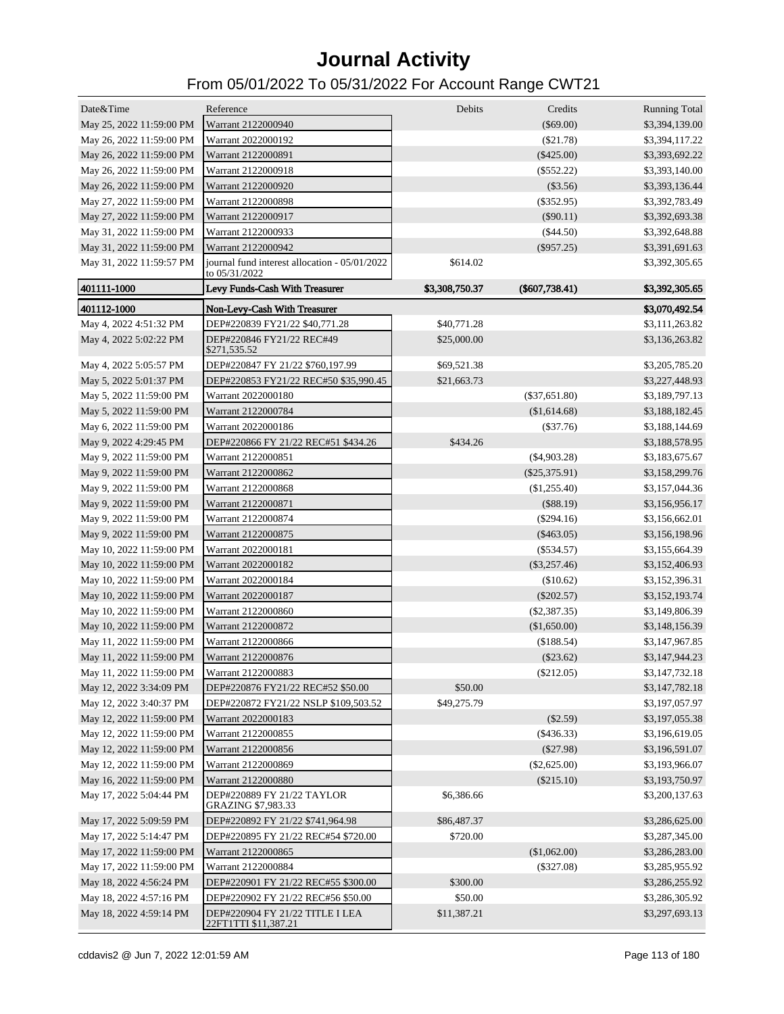| Date&Time                | Reference                                               | Debits         | Credits          | <b>Running Total</b> |
|--------------------------|---------------------------------------------------------|----------------|------------------|----------------------|
| May 25, 2022 11:59:00 PM | Warrant 2122000940                                      |                | $(\$69.00)$      | \$3,394,139.00       |
| May 26, 2022 11:59:00 PM | Warrant 2022000192                                      |                | $(\$21.78)$      | \$3,394,117.22       |
| May 26, 2022 11:59:00 PM | Warrant 2122000891                                      |                | $(\$425.00)$     | \$3,393,692.22       |
| May 26, 2022 11:59:00 PM | Warrant 2122000918                                      |                | $(\$552.22)$     | \$3,393,140.00       |
| May 26, 2022 11:59:00 PM | Warrant 2122000920                                      |                | $(\$3.56)$       | \$3,393,136.44       |
| May 27, 2022 11:59:00 PM | Warrant 2122000898                                      |                | $(\$352.95)$     | \$3,392,783.49       |
| May 27, 2022 11:59:00 PM | Warrant 2122000917                                      |                | (\$90.11)        | \$3,392,693.38       |
| May 31, 2022 11:59:00 PM | Warrant 2122000933                                      |                | (\$44.50)        | \$3,392,648.88       |
| May 31, 2022 11:59:00 PM | Warrant 2122000942                                      |                | $(\$957.25)$     | \$3,391,691.63       |
| May 31, 2022 11:59:57 PM | journal fund interest allocation - 05/01/2022           | \$614.02       |                  | \$3,392,305.65       |
|                          | to 05/31/2022                                           |                |                  |                      |
| 401111-1000              | Levy Funds-Cash With Treasurer                          | \$3,308,750.37 | $(\$607,738.41)$ | \$3,392,305.65       |
| 401112-1000              | Non-Levy-Cash With Treasurer                            |                |                  | \$3,070,492.54       |
| May 4, 2022 4:51:32 PM   | DEP#220839 FY21/22 \$40,771.28                          | \$40,771.28    |                  | \$3,111,263.82       |
| May 4, 2022 5:02:22 PM   | DEP#220846 FY21/22 REC#49<br>\$271,535.52               | \$25,000.00    |                  | \$3,136,263.82       |
| May 4, 2022 5:05:57 PM   | DEP#220847 FY 21/22 \$760,197.99                        | \$69,521.38    |                  | \$3,205,785.20       |
| May 5, 2022 5:01:37 PM   | DEP#220853 FY21/22 REC#50 \$35,990.45                   | \$21,663.73    |                  | \$3,227,448.93       |
| May 5, 2022 11:59:00 PM  | Warrant 2022000180                                      |                | $(\$37,651.80)$  | \$3,189,797.13       |
| May 5, 2022 11:59:00 PM  | Warrant 2122000784                                      |                | (\$1,614.68)     | \$3,188,182.45       |
| May 6, 2022 11:59:00 PM  | Warrant 2022000186                                      |                | $(\$37.76)$      | \$3,188,144.69       |
| May 9, 2022 4:29:45 PM   | DEP#220866 FY 21/22 REC#51 \$434.26                     | \$434.26       |                  | \$3,188,578.95       |
| May 9, 2022 11:59:00 PM  | Warrant 2122000851                                      |                | ( \$4,903.28)    | \$3,183,675.67       |
| May 9, 2022 11:59:00 PM  | Warrant 2122000862                                      |                | $(\$25,375.91)$  | \$3,158,299.76       |
| May 9, 2022 11:59:00 PM  | Warrant 2122000868                                      |                | (\$1,255.40)     | \$3,157,044.36       |
| May 9, 2022 11:59:00 PM  | Warrant 2122000871                                      |                | (\$88.19)        | \$3,156,956.17       |
| May 9, 2022 11:59:00 PM  | Warrant 2122000874                                      |                | $(\$294.16)$     | \$3,156,662.01       |
| May 9, 2022 11:59:00 PM  | Warrant 2122000875                                      |                | $(\$463.05)$     | \$3,156,198.96       |
| May 10, 2022 11:59:00 PM | Warrant 2022000181                                      |                | $(\$534.57)$     | \$3,155,664.39       |
| May 10, 2022 11:59:00 PM | Warrant 2022000182                                      |                | $(\$3,257.46)$   | \$3,152,406.93       |
| May 10, 2022 11:59:00 PM | Warrant 2022000184                                      |                | (\$10.62)        | \$3,152,396.31       |
| May 10, 2022 11:59:00 PM | Warrant 2022000187                                      |                | $(\$202.57)$     | \$3,152,193.74       |
| May 10, 2022 11:59:00 PM | Warrant 2122000860                                      |                | $(\$2,387.35)$   | \$3,149,806.39       |
| May 10, 2022 11:59:00 PM | Warrant 2122000872                                      |                | (\$1,650.00)     | \$3,148,156.39       |
| May 11, 2022 11:59:00 PM | Warrant 2122000866                                      |                | (\$188.54)       | \$3,147,967.85       |
| May 11, 2022 11:59:00 PM | Warrant 2122000876                                      |                | $(\$23.62)$      | \$3,147,944.23       |
| May 11, 2022 11:59:00 PM | Warrant 2122000883                                      |                | $(\$212.05)$     | \$3,147,732.18       |
| May 12, 2022 3:34:09 PM  | DEP#220876 FY21/22 REC#52 \$50.00                       | \$50.00        |                  | \$3,147,782.18       |
| May 12, 2022 3:40:37 PM  | DEP#220872 FY21/22 NSLP \$109,503.52                    | \$49,275.79    |                  | \$3,197,057.97       |
| May 12, 2022 11:59:00 PM | Warrant 2022000183                                      |                | (\$2.59)         | \$3,197,055.38       |
| May 12, 2022 11:59:00 PM | Warrant 2122000855                                      |                | $(\$436.33)$     | \$3,196,619.05       |
| May 12, 2022 11:59:00 PM | Warrant 2122000856                                      |                | $(\$27.98)$      | \$3,196,591.07       |
| May 12, 2022 11:59:00 PM | Warrant 2122000869                                      |                | $(\$2,625.00)$   | \$3,193,966.07       |
| May 16, 2022 11:59:00 PM | Warrant 2122000880                                      |                | $(\$215.10)$     | \$3,193,750.97       |
| May 17, 2022 5:04:44 PM  | DEP#220889 FY 21/22 TAYLOR<br>GRAZING \$7,983.33        | \$6,386.66     |                  | \$3,200,137.63       |
| May 17, 2022 5:09:59 PM  | DEP#220892 FY 21/22 \$741,964.98                        | \$86,487.37    |                  | \$3,286,625.00       |
| May 17, 2022 5:14:47 PM  | DEP#220895 FY 21/22 REC#54 \$720.00                     | \$720.00       |                  | \$3,287,345.00       |
| May 17, 2022 11:59:00 PM | Warrant 2122000865                                      |                | (\$1,062.00)     | \$3,286,283.00       |
| May 17, 2022 11:59:00 PM | Warrant 2122000884                                      |                | $(\$327.08)$     | \$3,285,955.92       |
| May 18, 2022 4:56:24 PM  | DEP#220901 FY 21/22 REC#55 \$300.00                     | \$300.00       |                  | \$3,286,255.92       |
| May 18, 2022 4:57:16 PM  | DEP#220902 FY 21/22 REC#56 \$50.00                      | \$50.00        |                  | \$3,286,305.92       |
| May 18, 2022 4:59:14 PM  | DEP#220904 FY 21/22 TITLE I LEA<br>22FT1TTI \$11,387.21 | \$11,387.21    |                  | \$3,297,693.13       |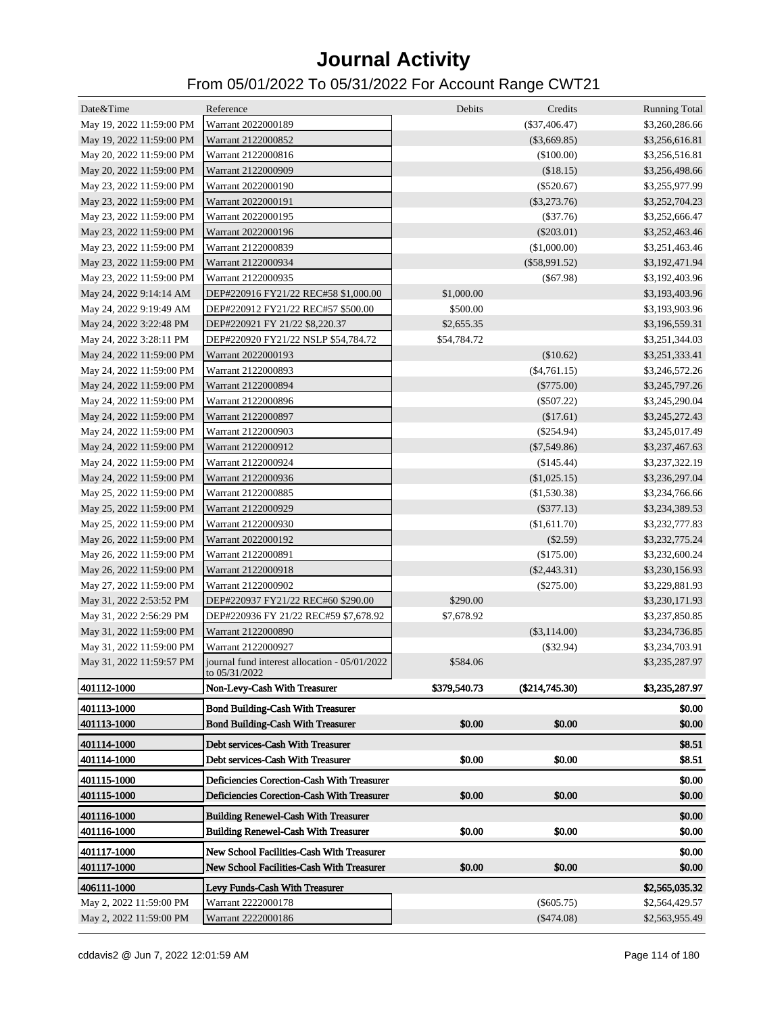| Date&Time                | Reference                                                      | Debits       | Credits          | <b>Running Total</b> |
|--------------------------|----------------------------------------------------------------|--------------|------------------|----------------------|
| May 19, 2022 11:59:00 PM | Warrant 2022000189                                             |              | $(\$37,406.47)$  | \$3,260,286.66       |
| May 19, 2022 11:59:00 PM | Warrant 2122000852                                             |              | $(\$3,669.85)$   | \$3,256,616.81       |
| May 20, 2022 11:59:00 PM | Warrant 2122000816                                             |              | $(\$100.00)$     | \$3,256,516.81       |
| May 20, 2022 11:59:00 PM | Warrant 2122000909                                             |              | (\$18.15)        | \$3,256,498.66       |
| May 23, 2022 11:59:00 PM | Warrant 2022000190                                             |              | $(\$520.67)$     | \$3,255,977.99       |
| May 23, 2022 11:59:00 PM | Warrant 2022000191                                             |              | $(\$3,273.76)$   | \$3,252,704.23       |
| May 23, 2022 11:59:00 PM | Warrant 2022000195                                             |              | $(\$37.76)$      | \$3,252,666.47       |
| May 23, 2022 11:59:00 PM | Warrant 2022000196                                             |              | $(\$203.01)$     | \$3,252,463.46       |
| May 23, 2022 11:59:00 PM | Warrant 2122000839                                             |              | (\$1,000.00)     | \$3,251,463.46       |
| May 23, 2022 11:59:00 PM | Warrant 2122000934                                             |              | $(\$58,991.52)$  | \$3,192,471.94       |
| May 23, 2022 11:59:00 PM | Warrant 2122000935                                             |              | $(\$67.98)$      | \$3,192,403.96       |
| May 24, 2022 9:14:14 AM  | DEP#220916 FY21/22 REC#58 \$1,000.00                           | \$1,000.00   |                  | \$3,193,403.96       |
| May 24, 2022 9:19:49 AM  | DEP#220912 FY21/22 REC#57 \$500.00                             | \$500.00     |                  | \$3,193,903.96       |
| May 24, 2022 3:22:48 PM  | DEP#220921 FY 21/22 \$8,220.37                                 | \$2,655.35   |                  | \$3,196,559.31       |
| May 24, 2022 3:28:11 PM  | DEP#220920 FY21/22 NSLP \$54,784.72                            | \$54,784.72  |                  | \$3,251,344.03       |
| May 24, 2022 11:59:00 PM | Warrant 2022000193                                             |              | (\$10.62)        | \$3,251,333.41       |
| May 24, 2022 11:59:00 PM | Warrant 2122000893                                             |              | $(\$4,761.15)$   | \$3,246,572.26       |
| May 24, 2022 11:59:00 PM | Warrant 2122000894                                             |              | $(\$775.00)$     | \$3,245,797.26       |
| May 24, 2022 11:59:00 PM | Warrant 2122000896                                             |              | $(\$507.22)$     | \$3,245,290.04       |
| May 24, 2022 11:59:00 PM | Warrant 2122000897                                             |              | (\$17.61)        | \$3,245,272.43       |
| May 24, 2022 11:59:00 PM | Warrant 2122000903                                             |              | $(\$254.94)$     | \$3,245,017.49       |
| May 24, 2022 11:59:00 PM | Warrant 2122000912                                             |              | $(\$7,549.86)$   | \$3,237,467.63       |
| May 24, 2022 11:59:00 PM | Warrant 2122000924                                             |              | $(\$145.44)$     | \$3,237,322.19       |
| May 24, 2022 11:59:00 PM | Warrant 2122000936                                             |              | $(\$1,025.15)$   |                      |
|                          | Warrant 2122000885                                             |              |                  | \$3,236,297.04       |
| May 25, 2022 11:59:00 PM |                                                                |              | (\$1,530.38)     | \$3,234,766.66       |
| May 25, 2022 11:59:00 PM | Warrant 2122000929                                             |              | $(\$377.13)$     | \$3,234,389.53       |
| May 25, 2022 11:59:00 PM | Warrant 2122000930                                             |              | (\$1,611.70)     | \$3,232,777.83       |
| May 26, 2022 11:59:00 PM | Warrant 2022000192                                             |              | $(\$2.59)$       | \$3,232,775.24       |
| May 26, 2022 11:59:00 PM | Warrant 2122000891                                             |              | (\$175.00)       | \$3,232,600.24       |
| May 26, 2022 11:59:00 PM | Warrant 2122000918                                             |              | $(\$2,443.31)$   | \$3,230,156.93       |
| May 27, 2022 11:59:00 PM | Warrant 2122000902                                             |              | $(\$275.00)$     | \$3,229,881.93       |
| May 31, 2022 2:53:52 PM  | DEP#220937 FY21/22 REC#60 \$290.00                             | \$290.00     |                  | \$3,230,171.93       |
| May 31, 2022 2:56:29 PM  | DEP#220936 FY 21/22 REC#59 \$7,678.92                          | \$7,678.92   |                  | \$3,237,850.85       |
| May 31, 2022 11:59:00 PM | Warrant 2122000890                                             |              | $(\$3,114.00)$   | \$3,234,736.85       |
| May 31, 2022 11:59:00 PM | Warrant 2122000927                                             |              | $(\$32.94)$      | \$3,234,703.91       |
| May 31, 2022 11:59:57 PM | journal fund interest allocation - 05/01/2022<br>to 05/31/2022 | \$584.06     |                  | \$3,235,287.97       |
| 401112-1000              | Non-Levy-Cash With Treasurer                                   | \$379,540.73 | $(\$214,745.30)$ | \$3,235,287.97       |
| 401113-1000              | <b>Bond Building-Cash With Treasurer</b>                       |              |                  | \$0.00               |
| 401113-1000              | <b>Bond Building-Cash With Treasurer</b>                       | \$0.00       | \$0.00           | \$0.00               |
| 401114-1000              | Debt services-Cash With Treasurer                              |              |                  | \$8.51               |
| 401114-1000              | Debt services-Cash With Treasurer                              | \$0.00       | \$0.00           | \$8.51               |
|                          |                                                                |              |                  |                      |
| 401115-1000              | Deficiencies Corection-Cash With Treasurer                     |              |                  | \$0.00               |
| 401115-1000              | Deficiencies Corection-Cash With Treasurer                     | \$0.00       | \$0.00           | \$0.00               |
| 401116-1000              | <b>Building Renewel-Cash With Treasurer</b>                    |              |                  | \$0.00               |
| 401116-1000              | <b>Building Renewel-Cash With Treasurer</b>                    | \$0.00       | \$0.00           | \$0.00               |
| 401117-1000              | New School Facilities-Cash With Treasurer                      |              |                  | \$0.00               |
| 401117-1000              | New School Facilities-Cash With Treasurer                      | \$0.00       | \$0.00           | \$0.00               |
| 406111-1000              |                                                                |              |                  |                      |
|                          | Levy Funds-Cash With Treasurer<br>Warrant 2222000178           |              |                  | \$2,565,035.32       |
| May 2, 2022 11:59:00 PM  | Warrant 2222000186                                             |              | $(\$605.75)$     | \$2,564,429.57       |
| May 2, 2022 11:59:00 PM  |                                                                |              | $(\$474.08)$     | \$2,563,955.49       |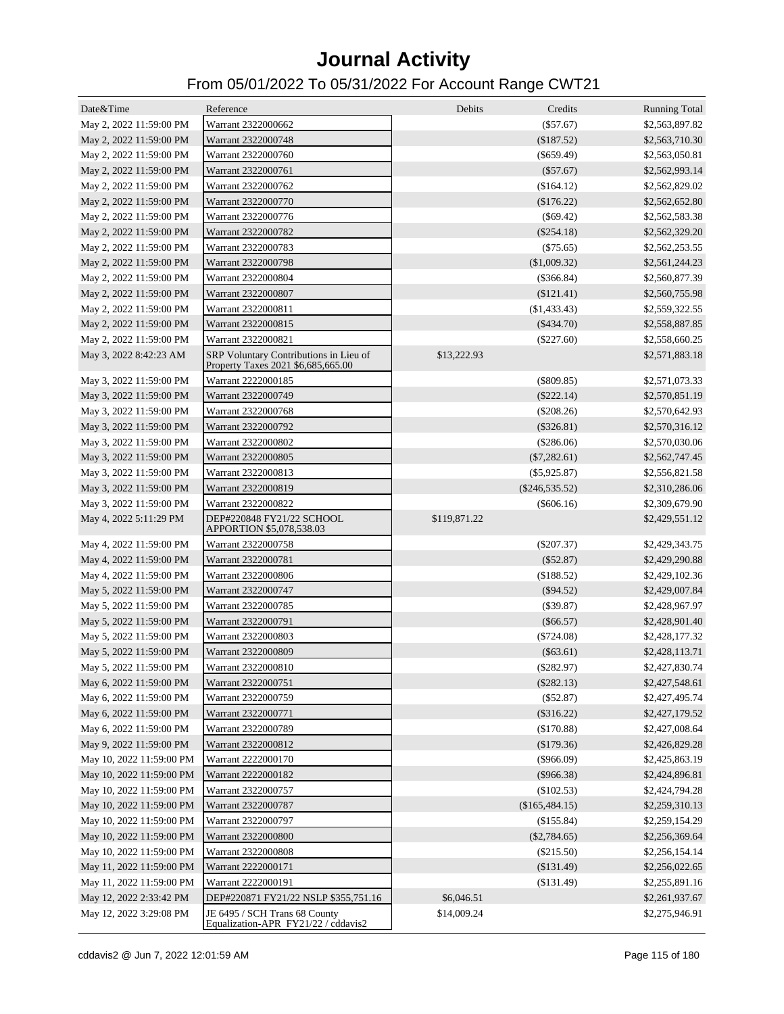| Date&Time                | Reference                                                                    | Debits       | Credits          | <b>Running Total</b> |
|--------------------------|------------------------------------------------------------------------------|--------------|------------------|----------------------|
| May 2, 2022 11:59:00 PM  | Warrant 2322000662                                                           |              | $(\$57.67)$      | \$2,563,897.82       |
| May 2, 2022 11:59:00 PM  | Warrant 2322000748                                                           |              | (\$187.52)       | \$2,563,710.30       |
| May 2, 2022 11:59:00 PM  | Warrant 2322000760                                                           |              | $(\$659.49)$     | \$2,563,050.81       |
| May 2, 2022 11:59:00 PM  | Warrant 2322000761                                                           |              | $(\$57.67)$      | \$2,562,993.14       |
| May 2, 2022 11:59:00 PM  | Warrant 2322000762                                                           |              | (\$164.12)       | \$2,562,829.02       |
| May 2, 2022 11:59:00 PM  | Warrant 2322000770                                                           |              | (\$176.22)       | \$2,562,652.80       |
| May 2, 2022 11:59:00 PM  | Warrant 2322000776                                                           |              | $(\$69.42)$      | \$2,562,583.38       |
| May 2, 2022 11:59:00 PM  | Warrant 2322000782                                                           |              | $(\$254.18)$     | \$2,562,329.20       |
| May 2, 2022 11:59:00 PM  | Warrant 2322000783                                                           |              | $(\$75.65)$      | \$2,562,253.55       |
| May 2, 2022 11:59:00 PM  | Warrant 2322000798                                                           |              | (\$1,009.32)     | \$2,561,244.23       |
| May 2, 2022 11:59:00 PM  | Warrant 2322000804                                                           |              | $(\$366.84)$     | \$2,560,877.39       |
| May 2, 2022 11:59:00 PM  | Warrant 2322000807                                                           |              | $(\$121.41)$     | \$2,560,755.98       |
| May 2, 2022 11:59:00 PM  | Warrant 2322000811                                                           |              | $(\$1,433.43)$   | \$2,559,322.55       |
| May 2, 2022 11:59:00 PM  | Warrant 2322000815                                                           |              | $(\$434.70)$     | \$2,558,887.85       |
| May 2, 2022 11:59:00 PM  | Warrant 2322000821                                                           |              | $(\$227.60)$     | \$2,558,660.25       |
| May 3, 2022 8:42:23 AM   | SRP Voluntary Contributions in Lieu of<br>Property Taxes 2021 \$6,685,665.00 | \$13,222.93  |                  | \$2,571,883.18       |
| May 3, 2022 11:59:00 PM  | Warrant 2222000185                                                           |              | $(\$809.85)$     | \$2,571,073.33       |
| May 3, 2022 11:59:00 PM  | Warrant 2322000749                                                           |              | $(\$222.14)$     | \$2,570,851.19       |
| May 3, 2022 11:59:00 PM  | Warrant 2322000768                                                           |              | $(\$208.26)$     | \$2,570,642.93       |
| May 3, 2022 11:59:00 PM  | Warrant 2322000792                                                           |              | $(\$326.81)$     | \$2,570,316.12       |
| May 3, 2022 11:59:00 PM  | Warrant 2322000802                                                           |              | $(\$286.06)$     | \$2,570,030.06       |
| May 3, 2022 11:59:00 PM  | Warrant 2322000805                                                           |              | $(\$7,282.61)$   | \$2,562,747.45       |
| May 3, 2022 11:59:00 PM  | Warrant 2322000813                                                           |              | $(\$5,925.87)$   | \$2,556,821.58       |
| May 3, 2022 11:59:00 PM  | Warrant 2322000819                                                           |              | $(\$246,535.52)$ | \$2,310,286.06       |
| May 3, 2022 11:59:00 PM  | Warrant 2322000822                                                           |              | $(\$606.16)$     | \$2,309,679.90       |
| May 4, 2022 5:11:29 PM   | DEP#220848 FY21/22 SCHOOL<br>APPORTION \$5,078,538.03                        | \$119,871.22 |                  | \$2,429,551.12       |
| May 4, 2022 11:59:00 PM  | Warrant 2322000758                                                           |              | $(\$207.37)$     | \$2,429,343.75       |
| May 4, 2022 11:59:00 PM  | Warrant 2322000781                                                           |              | $(\$52.87)$      | \$2,429,290.88       |
| May 4, 2022 11:59:00 PM  | Warrant 2322000806                                                           |              | (\$188.52)       | \$2,429,102.36       |
| May 5, 2022 11:59:00 PM  | Warrant 2322000747                                                           |              | $(\$94.52)$      | \$2,429,007.84       |
| May 5, 2022 11:59:00 PM  | Warrant 2322000785                                                           |              | $(\$39.87)$      | \$2,428,967.97       |
| May 5, 2022 11:59:00 PM  | Warrant 2322000791                                                           |              | $(\$66.57)$      | \$2,428,901.40       |
| May 5, 2022 11:59:00 PM  | Warrant 2322000803                                                           |              | $(\$724.08)$     | \$2,428,177.32       |
| May 5, 2022 11:59:00 PM  | Warrant 2322000809                                                           |              | $(\$63.61)$      | \$2,428,113.71       |
| May 5, 2022 11:59:00 PM  | Warrant 2322000810                                                           |              | $(\$282.97)$     | \$2,427,830.74       |
| May 6, 2022 11:59:00 PM  | Warrant 2322000751                                                           |              | (\$282.13)       | \$2,427,548.61       |
| May 6, 2022 11:59:00 PM  | Warrant 2322000759                                                           |              | $(\$52.87)$      | \$2,427,495.74       |
| May 6, 2022 11:59:00 PM  | Warrant 2322000771                                                           |              | $(\$316.22)$     | \$2,427,179.52       |
| May 6, 2022 11:59:00 PM  | Warrant 2322000789                                                           |              | (\$170.88)       | \$2,427,008.64       |
| May 9, 2022 11:59:00 PM  | Warrant 2322000812                                                           |              | (\$179.36)       | \$2,426,829.28       |
| May 10, 2022 11:59:00 PM | Warrant 2222000170                                                           |              | $(\$966.09)$     | \$2,425,863.19       |
| May 10, 2022 11:59:00 PM | Warrant 2222000182                                                           |              | $(\$966.38)$     | \$2,424,896.81       |
| May 10, 2022 11:59:00 PM | Warrant 2322000757                                                           |              | (\$102.53)       | \$2,424,794.28       |
| May 10, 2022 11:59:00 PM | Warrant 2322000787                                                           |              | (\$165,484.15)   | \$2,259,310.13       |
| May 10, 2022 11:59:00 PM | Warrant 2322000797                                                           |              | (\$155.84)       | \$2,259,154.29       |
| May 10, 2022 11:59:00 PM | Warrant 2322000800                                                           |              | $(\$2,784.65)$   | \$2,256,369.64       |
| May 10, 2022 11:59:00 PM | Warrant 2322000808                                                           |              | $(\$215.50)$     | \$2,256,154.14       |
| May 11, 2022 11:59:00 PM | Warrant 2222000171                                                           |              | (\$131.49)       | \$2,256,022.65       |
| May 11, 2022 11:59:00 PM | Warrant 2222000191                                                           |              | (\$131.49)       | \$2,255,891.16       |
| May 12, 2022 2:33:42 PM  | DEP#220871 FY21/22 NSLP \$355,751.16                                         | \$6,046.51   |                  | \$2,261,937.67       |
| May 12, 2022 3:29:08 PM  | JE 6495 / SCH Trans 68 County<br>Equalization-APR FY21/22 / cddavis2         | \$14,009.24  |                  | \$2,275,946.91       |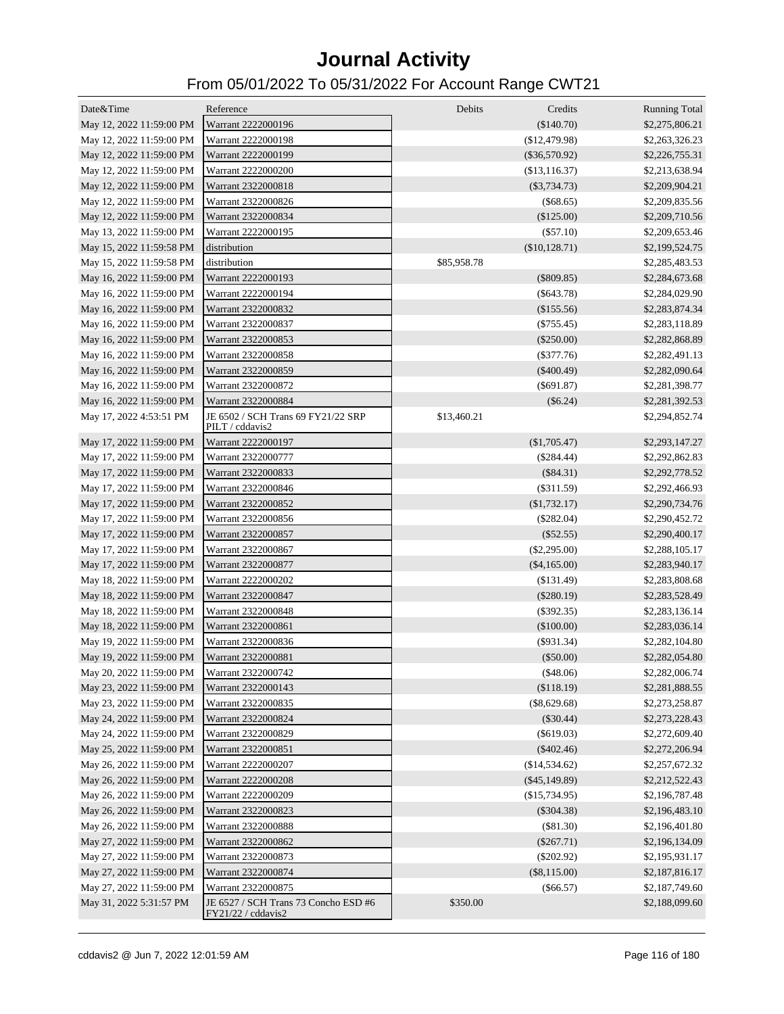| Date&Time                | Reference                                             | Debits<br>Credits | <b>Running Total</b>             |
|--------------------------|-------------------------------------------------------|-------------------|----------------------------------|
| May 12, 2022 11:59:00 PM | Warrant 2222000196                                    | (\$140.70)        | \$2,275,806.21                   |
| May 12, 2022 11:59:00 PM | Warrant 2222000198                                    | (\$12,479.98)     | \$2,263,326.23                   |
| May 12, 2022 11:59:00 PM | Warrant 2222000199                                    | $(\$36,570.92)$   | \$2,226,755.31                   |
| May 12, 2022 11:59:00 PM | Warrant 2222000200                                    | (\$13,116.37)     | \$2,213,638.94                   |
| May 12, 2022 11:59:00 PM | Warrant 2322000818                                    | $(\$3,734.73)$    | \$2,209,904.21                   |
| May 12, 2022 11:59:00 PM | Warrant 2322000826                                    | $(\$68.65)$       | \$2,209,835.56                   |
| May 12, 2022 11:59:00 PM | Warrant 2322000834                                    | $(\$125.00)$      | \$2,209,710.56                   |
| May 13, 2022 11:59:00 PM | Warrant 2222000195                                    | $(\$57.10)$       | \$2,209,653.46                   |
| May 15, 2022 11:59:58 PM | distribution                                          | (\$10,128.71)     | \$2,199,524.75                   |
| May 15, 2022 11:59:58 PM | distribution                                          | \$85,958.78       | \$2,285,483.53                   |
| May 16, 2022 11:59:00 PM | Warrant 2222000193                                    | $(\$809.85)$      | \$2,284,673.68                   |
| May 16, 2022 11:59:00 PM | Warrant 2222000194                                    | $(\$643.78)$      | \$2,284,029.90                   |
| May 16, 2022 11:59:00 PM | Warrant 2322000832                                    | $(\$155.56)$      | \$2,283,874.34                   |
| May 16, 2022 11:59:00 PM | Warrant 2322000837                                    | $(\$755.45)$      | \$2,283,118.89                   |
| May 16, 2022 11:59:00 PM | Warrant 2322000853                                    | $(\$250.00)$      | \$2,282,868.89                   |
| May 16, 2022 11:59:00 PM | Warrant 2322000858                                    | $(\$377.76)$      | \$2,282,491.13                   |
| May 16, 2022 11:59:00 PM | Warrant 2322000859                                    | $(\$400.49)$      | \$2,282,090.64                   |
| May 16, 2022 11:59:00 PM | Warrant 2322000872                                    | $(\$691.87)$      | \$2,281,398.77                   |
| May 16, 2022 11:59:00 PM | Warrant 2322000884                                    | $(\$6.24)$        | \$2,281,392.53                   |
| May 17, 2022 4:53:51 PM  | JE 6502 / SCH Trans 69 FY21/22 SRP<br>PILT / cddavis2 | \$13,460.21       | \$2,294,852.74                   |
| May 17, 2022 11:59:00 PM | Warrant 2222000197                                    | (\$1,705.47)      | \$2,293,147.27                   |
| May 17, 2022 11:59:00 PM | Warrant 2322000777                                    | $(\$284.44)$      | \$2,292,862.83                   |
| May 17, 2022 11:59:00 PM | Warrant 2322000833                                    | $(\$84.31)$       | \$2,292,778.52                   |
| May 17, 2022 11:59:00 PM | Warrant 2322000846                                    | $(\$311.59)$      | \$2,292,466.93                   |
| May 17, 2022 11:59:00 PM | Warrant 2322000852                                    | (\$1,732.17)      | \$2,290,734.76                   |
| May 17, 2022 11:59:00 PM | Warrant 2322000856                                    | $(\$282.04)$      | \$2,290,452.72                   |
| May 17, 2022 11:59:00 PM | Warrant 2322000857                                    | $(\$52.55)$       | \$2,290,400.17                   |
| May 17, 2022 11:59:00 PM | Warrant 2322000867                                    | $(\$2,295.00)$    | \$2,288,105.17                   |
| May 17, 2022 11:59:00 PM | Warrant 2322000877                                    | $(\$4,165.00)$    | \$2,283,940.17                   |
| May 18, 2022 11:59:00 PM | Warrant 2222000202                                    | (\$131.49)        | \$2,283,808.68                   |
| May 18, 2022 11:59:00 PM | Warrant 2322000847                                    | $(\$280.19)$      | \$2,283,528.49                   |
| May 18, 2022 11:59:00 PM | Warrant 2322000848                                    | $(\$392.35)$      | \$2,283,136.14                   |
| May 18, 2022 11:59:00 PM | Warrant 2322000861                                    | $(\$100.00)$      | \$2,283,036.14                   |
| May 19, 2022 11:59:00 PM | Warrant 2322000836                                    | $($ \$931.34 $)$  | \$2,282,104.80                   |
| May 19, 2022 11:59:00 PM | Warrant 2322000881                                    | $(\$50.00)$       | \$2,282,054.80                   |
| May 20, 2022 11:59:00 PM | Warrant 2322000742                                    | (\$48.06)         | \$2,282,006.74                   |
| May 23, 2022 11:59:00 PM | Warrant 2322000143                                    | (\$118.19)        | \$2,281,888.55                   |
| May 23, 2022 11:59:00 PM | Warrant 2322000835                                    | $(\$8,629.68)$    | \$2,273,258.87                   |
| May 24, 2022 11:59:00 PM | Warrant 2322000824                                    | $(\$30.44)$       | \$2,273,228.43                   |
| May 24, 2022 11:59:00 PM | Warrant 2322000829                                    | $(\$619.03)$      | \$2,272,609.40                   |
| May 25, 2022 11:59:00 PM | Warrant 2322000851                                    | $(\$402.46)$      | \$2,272,206.94                   |
| May 26, 2022 11:59:00 PM | Warrant 2222000207                                    | (\$14,534.62)     | \$2,257,672.32                   |
| May 26, 2022 11:59:00 PM | Warrant 2222000208                                    | $(\$45,149.89)$   | \$2,212,522.43                   |
| May 26, 2022 11:59:00 PM | Warrant 2222000209                                    | (\$15,734.95)     | \$2,196,787.48                   |
| May 26, 2022 11:59:00 PM | Warrant 2322000823                                    | $(\$304.38)$      | \$2,196,483.10                   |
| May 26, 2022 11:59:00 PM | Warrant 2322000888                                    | (\$81.30)         | \$2,196,401.80                   |
| May 27, 2022 11:59:00 PM | Warrant 2322000862                                    | $(\$267.71)$      | \$2,196,134.09                   |
| May 27, 2022 11:59:00 PM | Warrant 2322000873                                    | $(\$202.92)$      |                                  |
| May 27, 2022 11:59:00 PM | Warrant 2322000874                                    | $(\$8,115.00)$    | \$2,195,931.17                   |
| May 27, 2022 11:59:00 PM | Warrant 2322000875                                    | $(\$66.57)$       | \$2,187,816.17                   |
| May 31, 2022 5:31:57 PM  | JE 6527 / SCH Trans 73 Concho ESD #6                  | \$350.00          | \$2,187,749.60<br>\$2,188,099.60 |
|                          | FY21/22 / cddavis2                                    |                   |                                  |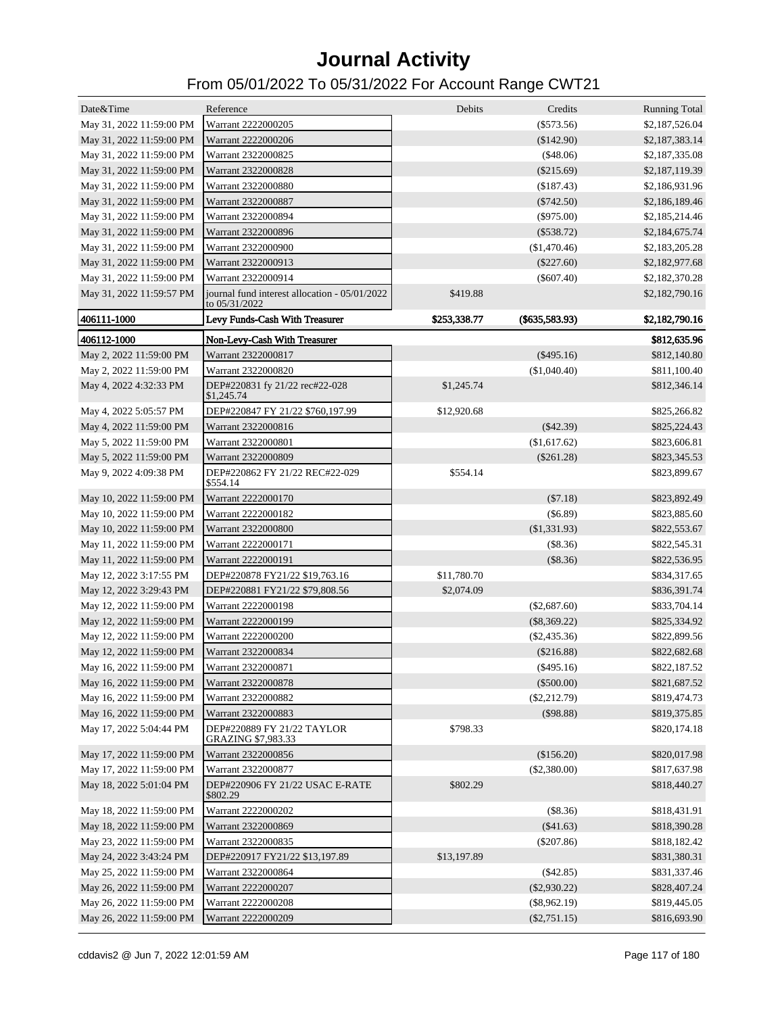| Date&Time                | Reference                                                      | Debits       | Credits          | <b>Running Total</b> |
|--------------------------|----------------------------------------------------------------|--------------|------------------|----------------------|
| May 31, 2022 11:59:00 PM | Warrant 2222000205                                             |              | $(\$573.56)$     | \$2,187,526.04       |
| May 31, 2022 11:59:00 PM | Warrant 2222000206                                             |              | (\$142.90)       | \$2,187,383.14       |
| May 31, 2022 11:59:00 PM | Warrant 2322000825                                             |              | (\$48.06)        | \$2,187,335.08       |
| May 31, 2022 11:59:00 PM | Warrant 2322000828                                             |              | $(\$215.69)$     | \$2,187,119.39       |
| May 31, 2022 11:59:00 PM | Warrant 2322000880                                             |              | (\$187.43)       | \$2,186,931.96       |
| May 31, 2022 11:59:00 PM | Warrant 2322000887                                             |              | $(\$742.50)$     | \$2,186,189.46       |
| May 31, 2022 11:59:00 PM | Warrant 2322000894                                             |              | $(\$975.00)$     | \$2,185,214.46       |
| May 31, 2022 11:59:00 PM | Warrant 2322000896                                             |              | $(\$538.72)$     | \$2,184,675.74       |
| May 31, 2022 11:59:00 PM | Warrant 2322000900                                             |              | $(\$1,470.46)$   | \$2,183,205.28       |
| May 31, 2022 11:59:00 PM | Warrant 2322000913                                             |              | $(\$227.60)$     | \$2,182,977.68       |
| May 31, 2022 11:59:00 PM | Warrant 2322000914                                             |              | $(\$607.40)$     | \$2,182,370.28       |
| May 31, 2022 11:59:57 PM | journal fund interest allocation - 05/01/2022<br>to 05/31/2022 | \$419.88     |                  | \$2,182,790.16       |
| 406111-1000              | Levy Funds-Cash With Treasurer                                 | \$253,338.77 | $(\$635,583.93)$ | \$2,182,790.16       |
| 406112-1000              | Non-Levy-Cash With Treasurer                                   |              |                  | \$812,635.96         |
| May 2, 2022 11:59:00 PM  | Warrant 2322000817                                             |              | $(\$495.16)$     | \$812,140.80         |
| May 2, 2022 11:59:00 PM  | Warrant 2322000820                                             |              | (\$1,040.40)     | \$811,100.40         |
| May 4, 2022 4:32:33 PM   | DEP#220831 fy 21/22 rec#22-028<br>\$1,245.74                   | \$1,245.74   |                  | \$812,346.14         |
| May 4, 2022 5:05:57 PM   | DEP#220847 FY 21/22 \$760,197.99                               | \$12,920.68  |                  | \$825,266.82         |
| May 4, 2022 11:59:00 PM  | Warrant 2322000816                                             |              | $(\$42.39)$      | \$825,224.43         |
| May 5, 2022 11:59:00 PM  | Warrant 2322000801                                             |              | (\$1,617.62)     | \$823,606.81         |
| May 5, 2022 11:59:00 PM  | Warrant 2322000809                                             |              | $(\$261.28)$     | \$823,345.53         |
| May 9, 2022 4:09:38 PM   | DEP#220862 FY 21/22 REC#22-029                                 | \$554.14     |                  | \$823,899.67         |
|                          | \$554.14                                                       |              |                  |                      |
| May 10, 2022 11:59:00 PM | Warrant 2222000170                                             |              | $(\$7.18)$       | \$823,892.49         |
| May 10, 2022 11:59:00 PM | Warrant 2222000182                                             |              | $(\$6.89)$       | \$823,885.60         |
| May 10, 2022 11:59:00 PM | Warrant 2322000800                                             |              | $(\$1,331.93)$   | \$822,553.67         |
| May 11, 2022 11:59:00 PM | Warrant 2222000171                                             |              | (\$8.36)         | \$822,545.31         |
| May 11, 2022 11:59:00 PM | Warrant 2222000191                                             |              | (\$8.36)         | \$822,536.95         |
| May 12, 2022 3:17:55 PM  | DEP#220878 FY21/22 \$19,763.16                                 | \$11,780.70  |                  | \$834,317.65         |
| May 12, 2022 3:29:43 PM  | DEP#220881 FY21/22 \$79,808.56                                 | \$2,074.09   |                  | \$836,391.74         |
| May 12, 2022 11:59:00 PM | Warrant 2222000198                                             |              | $(\$2,687.60)$   | \$833,704.14         |
| May 12, 2022 11:59:00 PM | Warrant 2222000199                                             |              | $(\$8,369.22)$   | \$825,334.92         |
| May 12, 2022 11:59:00 PM | Warrant 2222000200                                             |              | $(\$2,435.36)$   | \$822,899.56         |
| May 12, 2022 11:59:00 PM | Warrant 2322000834                                             |              | $(\$216.88)$     | \$822,682.68         |
| May 16, 2022 11:59:00 PM | Warrant 2322000871                                             |              | $(\$495.16)$     | \$822,187.52         |
| May 16, 2022 11:59:00 PM | Warrant 2322000878                                             |              | $(\$500.00)$     | \$821,687.52         |
| May 16, 2022 11:59:00 PM | Warrant 2322000882                                             |              | $(\$2,212.79)$   | \$819,474.73         |
| May 16, 2022 11:59:00 PM | Warrant 2322000883                                             |              | $($ \$98.88)     | \$819,375.85         |
| May 17, 2022 5:04:44 PM  | DEP#220889 FY 21/22 TAYLOR<br>GRAZING \$7,983.33               | \$798.33     |                  | \$820,174.18         |
| May 17, 2022 11:59:00 PM | Warrant 2322000856                                             |              | (\$156.20)       | \$820,017.98         |
| May 17, 2022 11:59:00 PM | Warrant 2322000877                                             |              | (\$2,380.00)     | \$817,637.98         |
| May 18, 2022 5:01:04 PM  | DEP#220906 FY 21/22 USAC E-RATE<br>\$802.29                    | \$802.29     |                  | \$818,440.27         |
| May 18, 2022 11:59:00 PM | Warrant 2222000202                                             |              | (\$8.36)         | \$818,431.91         |
| May 18, 2022 11:59:00 PM | Warrant 2322000869                                             |              | (\$41.63)        | \$818,390.28         |
| May 23, 2022 11:59:00 PM | Warrant 2322000835                                             |              | $(\$207.86)$     | \$818,182.42         |
| May 24, 2022 3:43:24 PM  | DEP#220917 FY21/22 \$13,197.89                                 | \$13,197.89  |                  | \$831,380.31         |
| May 25, 2022 11:59:00 PM | Warrant 2322000864                                             |              | $(\$42.85)$      | \$831,337.46         |
| May 26, 2022 11:59:00 PM | Warrant 2222000207                                             |              | $(\$2,930.22)$   | \$828,407.24         |
| May 26, 2022 11:59:00 PM | Warrant 2222000208                                             |              | $(\$8,962.19)$   | \$819,445.05         |
| May 26, 2022 11:59:00 PM | Warrant 2222000209                                             |              | $(\$2,751.15)$   | \$816,693.90         |
|                          |                                                                |              |                  |                      |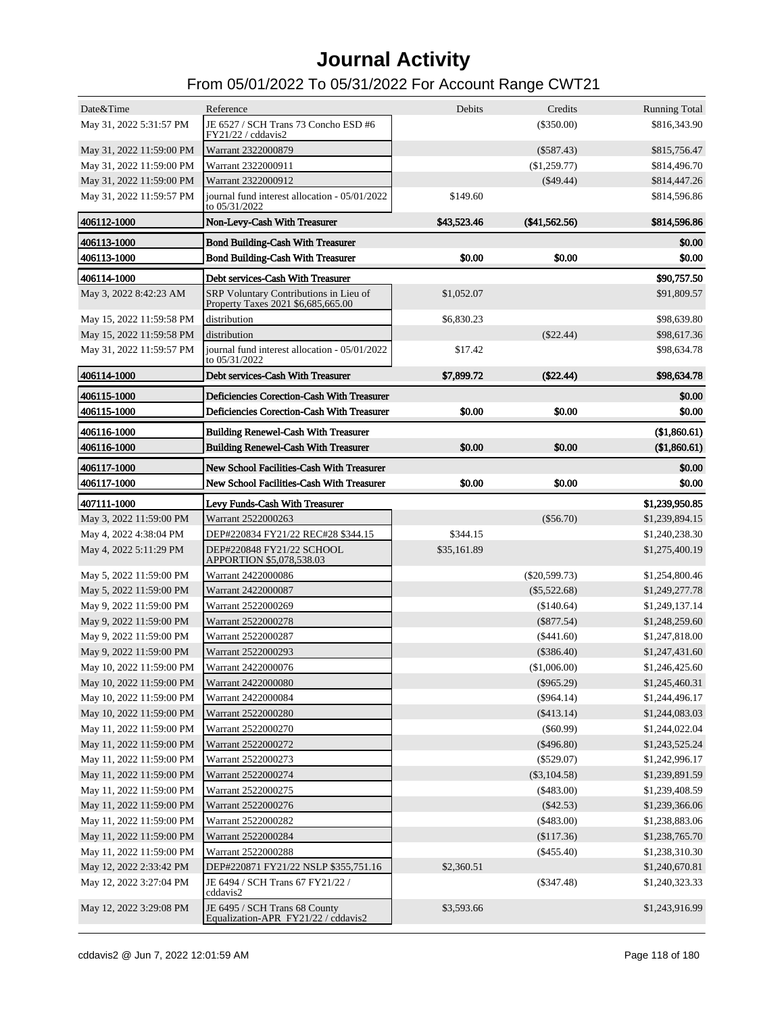| Date&Time                  | Reference                                                                              | Debits      | Credits         | <b>Running Total</b> |
|----------------------------|----------------------------------------------------------------------------------------|-------------|-----------------|----------------------|
| May 31, 2022 5:31:57 PM    | JE 6527 / SCH Trans 73 Concho ESD #6                                                   |             | $(\$350.00)$    | \$816,343.90         |
|                            | FY21/22 / cddavis2                                                                     |             |                 |                      |
| May 31, 2022 11:59:00 PM   | Warrant 2322000879                                                                     |             | $(\$587.43)$    | \$815,756.47         |
| May 31, 2022 11:59:00 PM   | Warrant 2322000911                                                                     |             | $(\$1,259.77)$  | \$814,496.70         |
| May 31, 2022 11:59:00 PM   | Warrant 2322000912                                                                     |             | $(\$49.44)$     | \$814,447.26         |
| May 31, 2022 11:59:57 PM   | journal fund interest allocation - 05/01/2022<br>to 05/31/2022                         | \$149.60    |                 | \$814,596.86         |
| 406112-1000                | Non-Levy-Cash With Treasurer                                                           | \$43,523.46 | $(*41,562.56)$  | \$814,596.86         |
| 406113-1000                | <b>Bond Building-Cash With Treasurer</b>                                               |             |                 | \$0.00               |
| 406113-1000                | <b>Bond Building-Cash With Treasurer</b>                                               | \$0.00      | \$0.00          | \$0.00               |
| 406114-1000                | Debt services-Cash With Treasurer                                                      |             |                 | \$90,757.50          |
| May 3, 2022 8:42:23 AM     | SRP Voluntary Contributions in Lieu of                                                 | \$1,052.07  |                 | \$91,809.57          |
|                            | Property Taxes 2021 \$6,685,665.00                                                     |             |                 |                      |
| May 15, 2022 11:59:58 PM   | distribution                                                                           | \$6,830.23  |                 | \$98,639.80          |
| May 15, 2022 11:59:58 PM   | distribution                                                                           |             | $(\$22.44)$     | \$98,617.36          |
| May 31, 2022 11:59:57 PM   | journal fund interest allocation - 05/01/2022<br>to 05/31/2022                         | \$17.42     |                 | \$98,634.78          |
| 406114-1000                | Debt services-Cash With Treasurer                                                      | \$7,899.72  | $(\$22.44)$     | \$98,634.78          |
| 406115-1000                | Deficiencies Corection-Cash With Treasurer                                             |             |                 | \$0.00               |
| 406115-1000                | Deficiencies Corection-Cash With Treasurer                                             | \$0.00      | \$0.00          | \$0.00               |
| 406116-1000                | <b>Building Renewel-Cash With Treasurer</b>                                            |             |                 | (\$1,860.61)         |
| 406116-1000                | <b>Building Renewel-Cash With Treasurer</b>                                            | \$0.00      | \$0.00          | (\$1,860.61)         |
|                            |                                                                                        |             |                 |                      |
| 406117-1000<br>406117-1000 | New School Facilities-Cash With Treasurer<br>New School Facilities-Cash With Treasurer | \$0.00      | \$0.00          | \$0.00<br>\$0.00     |
|                            |                                                                                        |             |                 |                      |
| 407111-1000                | Levy Funds-Cash With Treasurer                                                         |             |                 | \$1,239,950.85       |
| May 3, 2022 11:59:00 PM    | Warrant 2522000263                                                                     |             | $(\$56.70)$     | \$1,239,894.15       |
| May 4, 2022 4:38:04 PM     | DEP#220834 FY21/22 REC#28 \$344.15                                                     | \$344.15    |                 | \$1,240,238.30       |
| May 4, 2022 5:11:29 PM     | DEP#220848 FY21/22 SCHOOL<br>APPORTION \$5,078,538.03                                  | \$35,161.89 |                 | \$1,275,400.19       |
| May 5, 2022 11:59:00 PM    | Warrant 2422000086                                                                     |             | $(\$20,599.73)$ | \$1,254,800.46       |
| May 5, 2022 11:59:00 PM    | Warrant 2422000087                                                                     |             | $(\$5,522.68)$  | \$1,249,277.78       |
| May 9, 2022 11:59:00 PM    | Warrant 2522000269                                                                     |             | (\$140.64)      | \$1,249,137.14       |
| May 9, 2022 11:59:00 PM    | Warrant 2522000278                                                                     |             | $(\$877.54)$    | \$1,248,259.60       |
| May 9, 2022 11:59:00 PM    | Warrant 2522000287                                                                     |             | $(\$441.60)$    | \$1,247,818.00       |
| May 9, 2022 11:59:00 PM    | Warrant 2522000293                                                                     |             | $(\$386.40)$    | \$1,247,431.60       |
| May 10, 2022 11:59:00 PM   | Warrant 2422000076                                                                     |             | (\$1,006.00)    | \$1,246,425.60       |
| May 10, 2022 11:59:00 PM   | Warrant 2422000080                                                                     |             | $(\$965.29)$    | \$1,245,460.31       |
| May 10, 2022 11:59:00 PM   | Warrant 2422000084                                                                     |             | $(\$964.14)$    | \$1,244,496.17       |
| May 10, 2022 11:59:00 PM   | Warrant 2522000280                                                                     |             | $(\$413.14)$    | \$1,244,083.03       |
| May 11, 2022 11:59:00 PM   | Warrant 2522000270                                                                     |             | $($ \$60.99 $)$ | \$1,244,022.04       |
| May 11, 2022 11:59:00 PM   | Warrant 2522000272                                                                     |             | $(\$496.80)$    | \$1,243,525.24       |
| May 11, 2022 11:59:00 PM   | Warrant 2522000273                                                                     |             | $(\$529.07)$    | \$1,242,996.17       |
| May 11, 2022 11:59:00 PM   | Warrant 2522000274                                                                     |             | $(\$3,104.58)$  | \$1,239,891.59       |
| May 11, 2022 11:59:00 PM   | Warrant 2522000275                                                                     |             | $(\$483.00)$    | \$1,239,408.59       |
| May 11, 2022 11:59:00 PM   | Warrant 2522000276                                                                     |             | $(\$42.53)$     | \$1,239,366.06       |
| May 11, 2022 11:59:00 PM   | Warrant 2522000282                                                                     |             | $(\$483.00)$    | \$1,238,883.06       |
| May 11, 2022 11:59:00 PM   | Warrant 2522000284                                                                     |             | (\$117.36)      | \$1,238,765.70       |
| May 11, 2022 11:59:00 PM   | Warrant 2522000288                                                                     |             | $(\$455.40)$    | \$1,238,310.30       |
| May 12, 2022 2:33:42 PM    | DEP#220871 FY21/22 NSLP \$355,751.16                                                   | \$2,360.51  |                 | \$1,240,670.81       |
| May 12, 2022 3:27:04 PM    | JE 6494 / SCH Trans 67 FY21/22 /<br>cddavis2                                           |             | $(\$347.48)$    | \$1,240,323.33       |
| May 12, 2022 3:29:08 PM    | JE 6495 / SCH Trans 68 County<br>Equalization-APR FY21/22 / cddavis2                   | \$3,593.66  |                 | \$1,243,916.99       |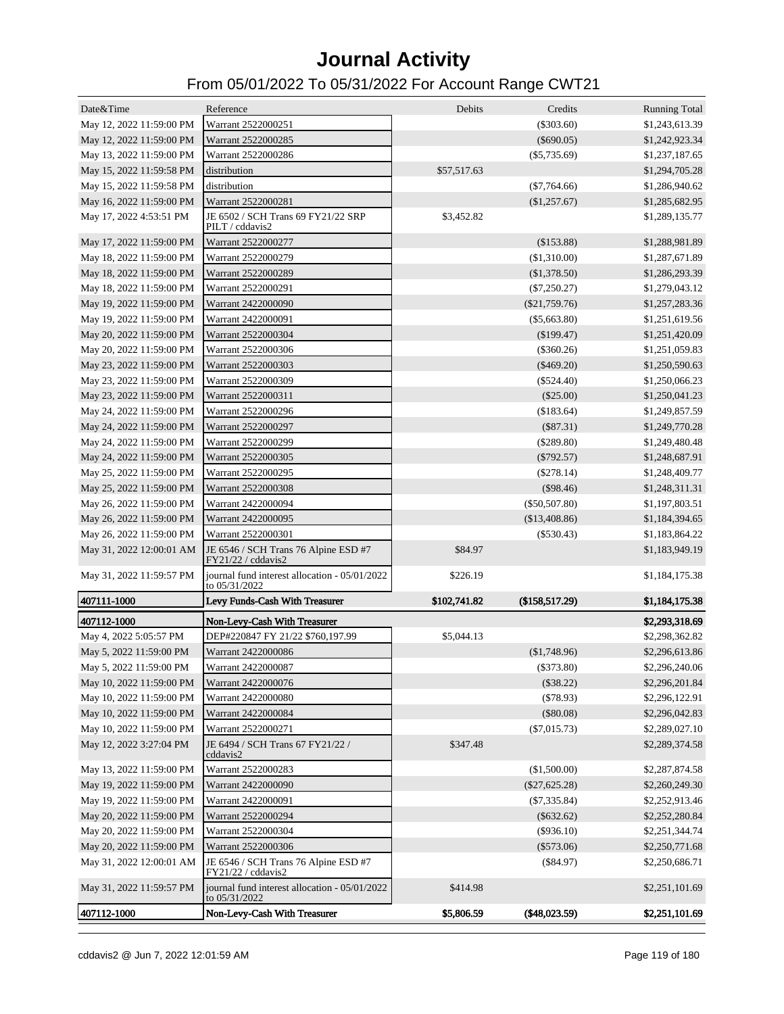| Date&Time                | Reference                                                      | Debits       | Credits         | <b>Running Total</b> |
|--------------------------|----------------------------------------------------------------|--------------|-----------------|----------------------|
| May 12, 2022 11:59:00 PM | Warrant 2522000251                                             |              | $(\$303.60)$    | \$1,243,613.39       |
| May 12, 2022 11:59:00 PM | Warrant 2522000285                                             |              | $(\$690.05)$    | \$1,242,923.34       |
| May 13, 2022 11:59:00 PM | Warrant 2522000286                                             |              | $(\$5,735.69)$  | \$1,237,187.65       |
| May 15, 2022 11:59:58 PM | distribution                                                   | \$57,517.63  |                 | \$1,294,705.28       |
| May 15, 2022 11:59:58 PM | distribution                                                   |              | $(\$7,764.66)$  | \$1,286,940.62       |
| May 16, 2022 11:59:00 PM | Warrant 2522000281                                             |              | (\$1,257.67)    | \$1,285,682.95       |
| May 17, 2022 4:53:51 PM  | JE 6502 / SCH Trans 69 FY21/22 SRP<br>PILT / cddavis2          | \$3,452.82   |                 | \$1,289,135.77       |
| May 17, 2022 11:59:00 PM | Warrant 2522000277                                             |              | (\$153.88)      | \$1,288,981.89       |
| May 18, 2022 11:59:00 PM | Warrant 2522000279                                             |              | (\$1,310.00)    | \$1,287,671.89       |
| May 18, 2022 11:59:00 PM | Warrant 2522000289                                             |              | (\$1,378.50)    | \$1,286,293.39       |
| May 18, 2022 11:59:00 PM | Warrant 2522000291                                             |              | $(\$7,250.27)$  | \$1,279,043.12       |
| May 19, 2022 11:59:00 PM | Warrant 2422000090                                             |              | $(\$21,759.76)$ | \$1,257,283.36       |
| May 19, 2022 11:59:00 PM | Warrant 2422000091                                             |              | $(\$5,663.80)$  | \$1,251,619.56       |
| May 20, 2022 11:59:00 PM | Warrant 2522000304                                             |              | (\$199.47)      | \$1,251,420.09       |
| May 20, 2022 11:59:00 PM | Warrant 2522000306                                             |              | $(\$360.26)$    | \$1,251,059.83       |
| May 23, 2022 11:59:00 PM | Warrant 2522000303                                             |              | $(\$469.20)$    | \$1,250,590.63       |
| May 23, 2022 11:59:00 PM | Warrant 2522000309                                             |              | $(\$524.40)$    | \$1,250,066.23       |
| May 23, 2022 11:59:00 PM | Warrant 2522000311                                             |              | $(\$25.00)$     | \$1,250,041.23       |
| May 24, 2022 11:59:00 PM | Warrant 2522000296                                             |              | (\$183.64)      | \$1,249,857.59       |
| May 24, 2022 11:59:00 PM | Warrant 2522000297                                             |              | (\$87.31)       | \$1,249,770.28       |
| May 24, 2022 11:59:00 PM | Warrant 2522000299                                             |              | $(\$289.80)$    | \$1,249,480.48       |
| May 24, 2022 11:59:00 PM | Warrant 2522000305                                             |              | $(\$792.57)$    | \$1,248,687.91       |
| May 25, 2022 11:59:00 PM | Warrant 2522000295                                             |              | $(\$278.14)$    | \$1,248,409.77       |
| May 25, 2022 11:59:00 PM | Warrant 2522000308                                             |              | (\$98.46)       | \$1,248,311.31       |
| May 26, 2022 11:59:00 PM | Warrant 2422000094                                             |              | $(\$50,507.80)$ | \$1,197,803.51       |
| May 26, 2022 11:59:00 PM | Warrant 2422000095                                             |              | (\$13,408.86)   | \$1,184,394.65       |
| May 26, 2022 11:59:00 PM | Warrant 2522000301                                             |              | $(\$530.43)$    | \$1,183,864.22       |
| May 31, 2022 12:00:01 AM | JE 6546 / SCH Trans 76 Alpine ESD #7<br>FY21/22 / cddavis2     | \$84.97      |                 | \$1,183,949.19       |
| May 31, 2022 11:59:57 PM | journal fund interest allocation - 05/01/2022<br>to 05/31/2022 | \$226.19     |                 | \$1,184,175.38       |
| 407111-1000              | Levy Funds-Cash With Treasurer                                 | \$102,741.82 | (\$158,517.29)  | \$1,184,175.38       |
| 407112-1000              | Non-Levy-Cash With Treasurer                                   |              |                 | \$2,293,318.69       |
| May 4, 2022 5:05:57 PM   | DEP#220847 FY 21/22 \$760,197.99                               | \$5,044.13   |                 | \$2,298,362.82       |
| May 5, 2022 11:59:00 PM  | Warrant 2422000086                                             |              | (\$1,748.96)    | \$2,296,613.86       |
| May 5, 2022 11:59:00 PM  | Warrant 2422000087                                             |              | $(\$373.80)$    | \$2,296,240.06       |
| May 10, 2022 11:59:00 PM | Warrant 2422000076                                             |              | $(\$38.22)$     | \$2,296,201.84       |
| May 10, 2022 11:59:00 PM | Warrant 2422000080                                             |              | $(\$78.93)$     | \$2,296,122.91       |
| May 10, 2022 11:59:00 PM | Warrant 2422000084                                             |              | $(\$80.08)$     | \$2,296,042.83       |
| May 10, 2022 11:59:00 PM | Warrant 2522000271                                             |              | $(\$7,015.73)$  | \$2,289,027.10       |
| May 12, 2022 3:27:04 PM  | JE 6494 / SCH Trans 67 FY21/22 /<br>cddavis2                   | \$347.48     |                 | \$2,289,374.58       |
| May 13, 2022 11:59:00 PM | Warrant 2522000283                                             |              | (\$1,500.00)    | \$2,287,874.58       |
| May 19, 2022 11:59:00 PM | Warrant 2422000090                                             |              | $(\$27,625.28)$ | \$2,260,249.30       |
| May 19, 2022 11:59:00 PM | Warrant 2422000091                                             |              | $(\$7,335.84)$  | \$2,252,913.46       |
| May 20, 2022 11:59:00 PM | Warrant 2522000294                                             |              | $(\$632.62)$    | \$2,252,280.84       |
| May 20, 2022 11:59:00 PM | Warrant 2522000304                                             |              | $(\$936.10)$    | \$2,251,344.74       |
| May 20, 2022 11:59:00 PM | Warrant 2522000306                                             |              | $(\$573.06)$    | \$2,250,771.68       |
| May 31, 2022 12:00:01 AM | JE 6546 / SCH Trans 76 Alpine ESD #7<br>FY21/22 / cddavis2     |              | $(\$84.97)$     | \$2,250,686.71       |
| May 31, 2022 11:59:57 PM | journal fund interest allocation - 05/01/2022<br>to 05/31/2022 | \$414.98     |                 | \$2,251,101.69       |
| 407112-1000              | Non-Levy-Cash With Treasurer                                   | \$5,806.59   | (\$48,023.59)   | \$2,251,101.69       |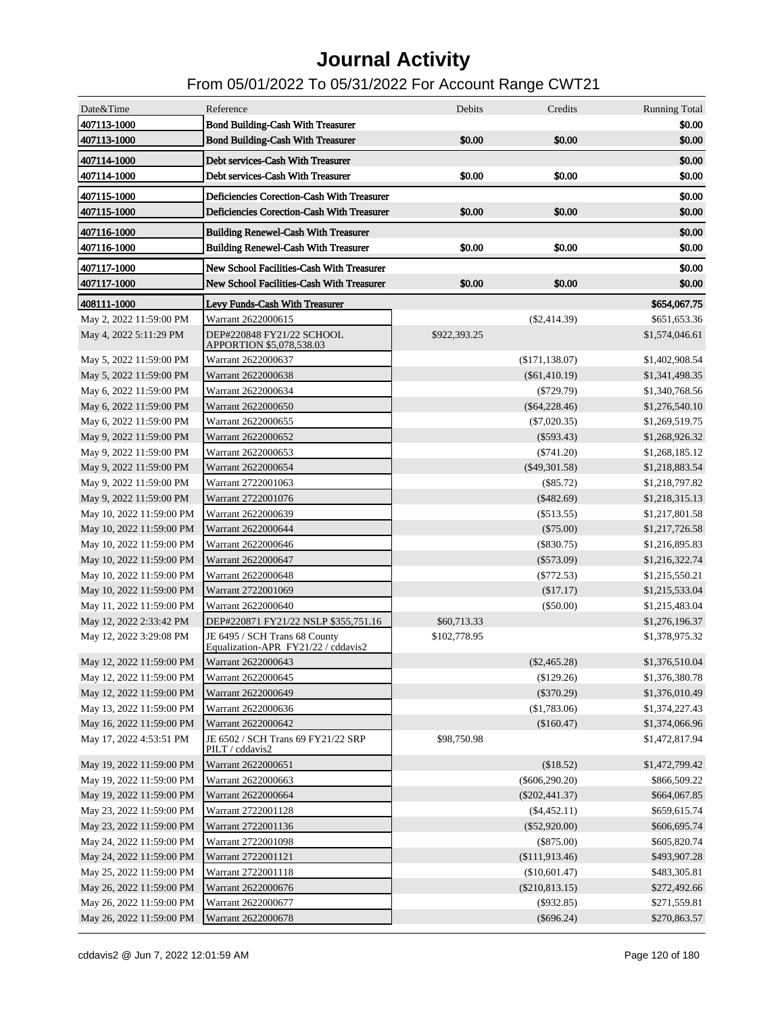| Date&Time                | Reference                                                            | Debits       | Credits          | <b>Running Total</b> |
|--------------------------|----------------------------------------------------------------------|--------------|------------------|----------------------|
| 407113-1000              | <b>Bond Building-Cash With Treasurer</b>                             |              |                  | \$0.00               |
| 407113-1000              | <b>Bond Building-Cash With Treasurer</b>                             | \$0.00       | \$0.00           | \$0.00               |
| 407114-1000              | Debt services-Cash With Treasurer                                    |              |                  | \$0.00               |
| 407114-1000              | Debt services-Cash With Treasurer                                    | \$0.00       | \$0.00           | \$0.00               |
| 407115-1000              | Deficiencies Corection-Cash With Treasurer                           |              |                  | \$0.00               |
| 407115-1000              | Deficiencies Corection-Cash With Treasurer                           | \$0.00       | \$0.00           | \$0.00               |
| 407116-1000              | <b>Building Renewel-Cash With Treasurer</b>                          |              |                  | \$0.00               |
| 407116-1000              | <b>Building Renewel-Cash With Treasurer</b>                          | \$0.00       | \$0.00           | \$0.00               |
| 407117-1000              | New School Facilities-Cash With Treasurer                            |              |                  | \$0.00               |
| 407117-1000              | New School Facilities-Cash With Treasurer                            | \$0.00       | \$0.00           | \$0.00               |
| 408111-1000              | Levy Funds-Cash With Treasurer                                       |              |                  | \$654,067.75         |
| May 2, 2022 11:59:00 PM  | Warrant 2622000615                                                   |              | $(\$2,414.39)$   | \$651,653.36         |
| May 4, 2022 5:11:29 PM   | DEP#220848 FY21/22 SCHOOL                                            | \$922,393.25 |                  | \$1,574,046.61       |
|                          | APPORTION \$5,078,538.03                                             |              |                  |                      |
| May 5, 2022 11:59:00 PM  | Warrant 2622000637                                                   |              | (\$171,138.07)   | \$1,402,908.54       |
| May 5, 2022 11:59:00 PM  | Warrant 2622000638                                                   |              | $(\$61,410.19)$  | \$1,341,498.35       |
| May 6, 2022 11:59:00 PM  | Warrant 2622000634                                                   |              | $(\$729.79)$     | \$1,340,768.56       |
| May 6, 2022 11:59:00 PM  | Warrant 2622000650                                                   |              | $(\$64,228.46)$  | \$1,276,540.10       |
| May 6, 2022 11:59:00 PM  | Warrant 2622000655                                                   |              | $(\$7,020.35)$   | \$1,269,519.75       |
| May 9, 2022 11:59:00 PM  | Warrant 2622000652                                                   |              | $(\$593.43)$     | \$1,268,926.32       |
| May 9, 2022 11:59:00 PM  | Warrant 2622000653                                                   |              | $(\$741.20)$     | \$1,268,185.12       |
| May 9, 2022 11:59:00 PM  | Warrant 2622000654                                                   |              | $(\$49,301.58)$  | \$1,218,883.54       |
| May 9, 2022 11:59:00 PM  | Warrant 2722001063                                                   |              | $(\$85.72)$      | \$1,218,797.82       |
| May 9, 2022 11:59:00 PM  | Warrant 2722001076                                                   |              | $(\$482.69)$     | \$1,218,315.13       |
| May 10, 2022 11:59:00 PM | Warrant 2622000639                                                   |              | $(\$513.55)$     | \$1,217,801.58       |
| May 10, 2022 11:59:00 PM | Warrant 2622000644                                                   |              | $(\$75.00)$      | \$1,217,726.58       |
| May 10, 2022 11:59:00 PM | Warrant 2622000646                                                   |              | $(\$830.75)$     | \$1,216,895.83       |
| May 10, 2022 11:59:00 PM | Warrant 2622000647                                                   |              | $(\$573.09)$     | \$1,216,322.74       |
| May 10, 2022 11:59:00 PM | Warrant 2622000648                                                   |              | (S772.53)        | \$1,215,550.21       |
| May 10, 2022 11:59:00 PM | Warrant 2722001069                                                   |              | (\$17.17)        | \$1,215,533.04       |
| May 11, 2022 11:59:00 PM | Warrant 2622000640                                                   |              | $(\$50.00)$      | \$1,215,483.04       |
| May 12, 2022 2:33:42 PM  | DEP#220871 FY21/22 NSLP \$355,751.16                                 | \$60,713.33  |                  | \$1,276,196.37       |
| May 12, 2022 3:29:08 PM  | JE 6495 / SCH Trans 68 County<br>Equalization-APR FY21/22 / cddavis2 | \$102,778.95 |                  | \$1,378,975.32       |
| May 12, 2022 11:59:00 PM | Warrant 2622000643                                                   |              | $(\$2,465.28)$   | \$1,376,510.04       |
| May 12, 2022 11:59:00 PM | Warrant 2622000645                                                   |              | (\$129.26)       | \$1,376,380.78       |
| May 12, 2022 11:59:00 PM | Warrant 2622000649                                                   |              | $(\$370.29)$     | \$1,376,010.49       |
| May 13, 2022 11:59:00 PM | Warrant 2622000636                                                   |              | (\$1,783.06)     | \$1,374,227.43       |
| May 16, 2022 11:59:00 PM | Warrant 2622000642                                                   |              | (\$160.47)       | \$1,374,066.96       |
| May 17, 2022 4:53:51 PM  | JE 6502 / SCH Trans 69 FY21/22 SRP<br>PILT / cddavis2                | \$98,750.98  |                  | \$1,472,817.94       |
| May 19, 2022 11:59:00 PM | Warrant 2622000651                                                   |              | (\$18.52)        | \$1,472,799.42       |
| May 19, 2022 11:59:00 PM | Warrant 2622000663                                                   |              | $(\$606,290.20)$ | \$866,509.22         |
| May 19, 2022 11:59:00 PM | Warrant 2622000664                                                   |              | $(\$202,441.37)$ | \$664,067.85         |
| May 23, 2022 11:59:00 PM | Warrant 2722001128                                                   |              | $(\$4,452.11)$   | \$659,615.74         |
| May 23, 2022 11:59:00 PM | Warrant 2722001136                                                   |              | $(\$52,920.00)$  | \$606,695.74         |
| May 24, 2022 11:59:00 PM | Warrant 2722001098                                                   |              | $(\$875.00)$     | \$605,820.74         |
| May 24, 2022 11:59:00 PM | Warrant 2722001121                                                   |              | (\$111,913.46)   | \$493,907.28         |
| May 25, 2022 11:59:00 PM | Warrant 2722001118                                                   |              | (\$10,601.47)    | \$483,305.81         |
| May 26, 2022 11:59:00 PM | Warrant 2622000676                                                   |              | $(\$210,813.15)$ | \$272,492.66         |
| May 26, 2022 11:59:00 PM | Warrant 2622000677                                                   |              | $(\$932.85)$     | \$271,559.81         |
| May 26, 2022 11:59:00 PM | Warrant 2622000678                                                   |              | $(\$696.24)$     | \$270,863.57         |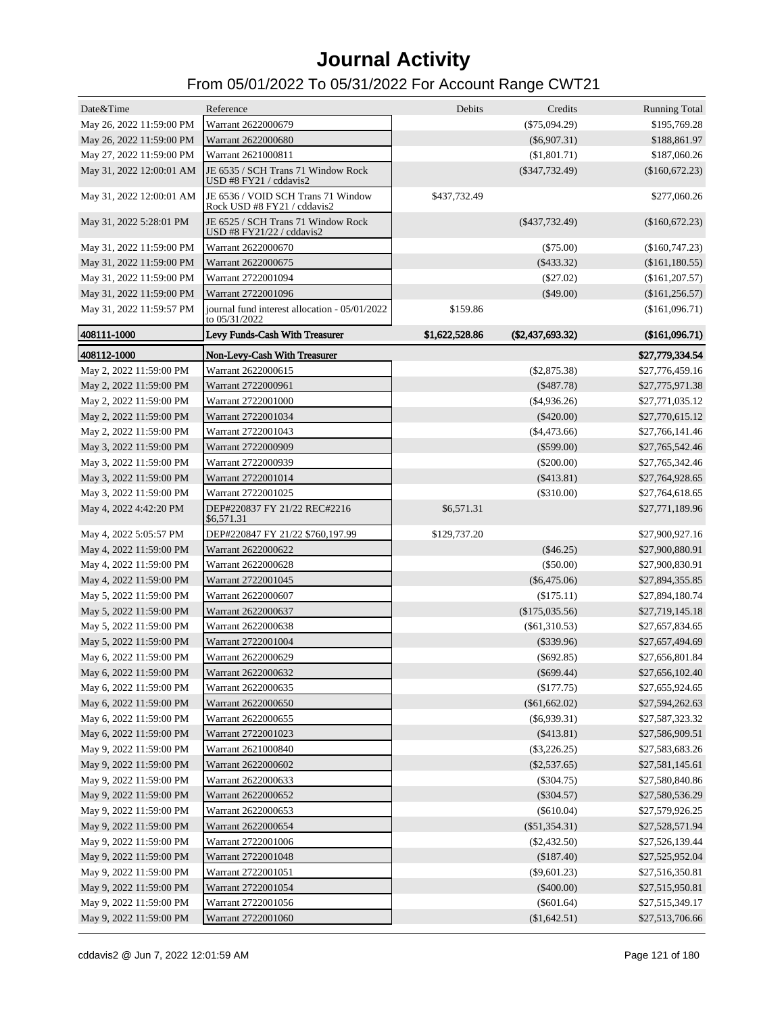| Date&Time                | Reference                                                         | Debits         | Credits                      | <b>Running Total</b> |
|--------------------------|-------------------------------------------------------------------|----------------|------------------------------|----------------------|
| May 26, 2022 11:59:00 PM | Warrant 2622000679                                                |                | $(\$75,094.29)$              | \$195,769.28         |
| May 26, 2022 11:59:00 PM | Warrant 2622000680                                                |                | $(\$6,907.31)$               | \$188,861.97         |
| May 27, 2022 11:59:00 PM | Warrant 2621000811                                                |                | (\$1,801.71)                 | \$187,060.26         |
| May 31, 2022 12:00:01 AM | JE 6535 / SCH Trans 71 Window Rock<br>USD #8 FY21 / cddavis2      |                | $(\$347,732.49)$             | $(\$160,672.23)$     |
| May 31, 2022 12:00:01 AM | JE 6536 / VOID SCH Trans 71 Window<br>Rock USD #8 FY21 / cddavis2 | \$437,732.49   |                              | \$277,060.26         |
| May 31, 2022 5:28:01 PM  | JE 6525 / SCH Trans 71 Window Rock<br>USD #8 FY21/22 / cddavis2   |                | $($ \$437,732.49 $)$         | $(\$160,672.23)$     |
| May 31, 2022 11:59:00 PM | Warrant 2622000670                                                |                | $(\$75.00)$                  | $(\$160,747.23)$     |
| May 31, 2022 11:59:00 PM | Warrant 2622000675                                                |                | $(\$433.32)$                 | (\$161,180.55)       |
| May 31, 2022 11:59:00 PM | Warrant 2722001094                                                |                | $(\$27.02)$                  | (\$161, 207.57)      |
| May 31, 2022 11:59:00 PM | Warrant 2722001096                                                |                | $(\$49.00)$                  | (\$161, 256.57)      |
| May 31, 2022 11:59:57 PM | journal fund interest allocation - 05/01/2022<br>to 05/31/2022    | \$159.86       |                              | (\$161,096.71)       |
| 408111-1000              | Levy Funds-Cash With Treasurer                                    | \$1,622,528.86 | (\$2,437,693.32)             | (\$161,096.71)       |
| 408112-1000              | Non-Levy-Cash With Treasurer                                      |                |                              | \$27,779,334.54      |
| May 2, 2022 11:59:00 PM  | Warrant 2622000615                                                |                | $(\$2,875.38)$               | \$27,776,459.16      |
| May 2, 2022 11:59:00 PM  | Warrant 2722000961                                                |                | $(\$487.78)$                 | \$27,775,971.38      |
| May 2, 2022 11:59:00 PM  | Warrant 2722001000                                                |                | $(\$4,936.26)$               | \$27,771,035.12      |
| May 2, 2022 11:59:00 PM  | Warrant 2722001034                                                |                | $(\$420.00)$                 | \$27,770,615.12      |
| May 2, 2022 11:59:00 PM  | Warrant 2722001043                                                |                | ( \$4,473.66)                | \$27,766,141.46      |
| May 3, 2022 11:59:00 PM  | Warrant 2722000909                                                |                | $(\$599.00)$                 | \$27,765,542.46      |
| May 3, 2022 11:59:00 PM  | Warrant 2722000939                                                |                | $(\$200.00)$                 | \$27,765,342.46      |
| May 3, 2022 11:59:00 PM  | Warrant 2722001014                                                |                | $(\$413.81)$                 | \$27,764,928.65      |
| May 3, 2022 11:59:00 PM  | Warrant 2722001025                                                |                | $(\$310.00)$                 | \$27,764,618.65      |
| May 4, 2022 4:42:20 PM   | DEP#220837 FY 21/22 REC#2216<br>\$6,571.31                        | \$6,571.31     |                              | \$27,771,189.96      |
| May 4, 2022 5:05:57 PM   | DEP#220847 FY 21/22 \$760,197.99                                  | \$129,737.20   |                              | \$27,900,927.16      |
| May 4, 2022 11:59:00 PM  | Warrant 2622000622                                                |                | $(\$46.25)$                  | \$27,900,880.91      |
| May 4, 2022 11:59:00 PM  | Warrant 2622000628                                                |                | $(\$50.00)$                  | \$27,900,830.91      |
| May 4, 2022 11:59:00 PM  | Warrant 2722001045                                                |                | $(\$6,475.06)$               | \$27,894,355.85      |
| May 5, 2022 11:59:00 PM  | Warrant 2622000607                                                |                | (\$175.11)                   | \$27,894,180.74      |
| May 5, 2022 11:59:00 PM  | Warrant 2622000637                                                |                | $(\$175,035.56)$             | \$27,719,145.18      |
| May 5, 2022 11:59:00 PM  | Warrant 2622000638                                                |                | $(\$61,310.53)$              | \$27,657,834.65      |
| May 5, 2022 11:59:00 PM  | Warrant 2722001004                                                |                | $(\$339.96)$                 | \$27,657,494.69      |
| May 6, 2022 11:59:00 PM  | Warrant 2622000629                                                |                |                              | \$27,656,801.84      |
| May 6, 2022 11:59:00 PM  | Warrant 2622000632                                                |                | $(\$692.85)$<br>$(\$699.44)$ | \$27,656,102.40      |
|                          |                                                                   |                |                              |                      |
| May 6, 2022 11:59:00 PM  | Warrant 2622000635                                                |                | (\$177.75)                   | \$27,655,924.65      |
| May 6, 2022 11:59:00 PM  | Warrant 2622000650                                                |                | $(\$61,662.02)$              | \$27,594,262.63      |
| May 6, 2022 11:59:00 PM  | Warrant 2622000655                                                |                | $(\$6,939.31)$               | \$27,587,323.32      |
| May 6, 2022 11:59:00 PM  | Warrant 2722001023                                                |                | $(\$413.81)$                 | \$27,586,909.51      |
| May 9, 2022 11:59:00 PM  | Warrant 2621000840                                                |                | $(\$3,226.25)$               | \$27,583,683.26      |
| May 9, 2022 11:59:00 PM  | Warrant 2622000602                                                |                | $(\$2,537.65)$               | \$27,581,145.61      |
| May 9, 2022 11:59:00 PM  | Warrant 2622000633                                                |                | $(\$304.75)$                 | \$27,580,840.86      |
| May 9, 2022 11:59:00 PM  | Warrant 2622000652                                                |                | $(\$304.57)$                 | \$27,580,536.29      |
| May 9, 2022 11:59:00 PM  | Warrant 2622000653                                                |                | $(\$610.04)$                 | \$27,579,926.25      |
| May 9, 2022 11:59:00 PM  | Warrant 2622000654                                                |                | $(\$51,354.31)$              | \$27,528,571.94      |
| May 9, 2022 11:59:00 PM  | Warrant 2722001006                                                |                | $(\$2,432.50)$               | \$27,526,139.44      |
| May 9, 2022 11:59:00 PM  | Warrant 2722001048                                                |                | (\$187.40)                   | \$27,525,952.04      |
| May 9, 2022 11:59:00 PM  | Warrant 2722001051                                                |                | $(\$9,601.23)$               | \$27,516,350.81      |
| May 9, 2022 11:59:00 PM  | Warrant 2722001054                                                |                | $(\$400.00)$                 | \$27,515,950.81      |
| May 9, 2022 11:59:00 PM  | Warrant 2722001056                                                |                | $(\$601.64)$                 | \$27,515,349.17      |
| May 9, 2022 11:59:00 PM  | Warrant 2722001060                                                |                | (\$1,642.51)                 | \$27,513,706.66      |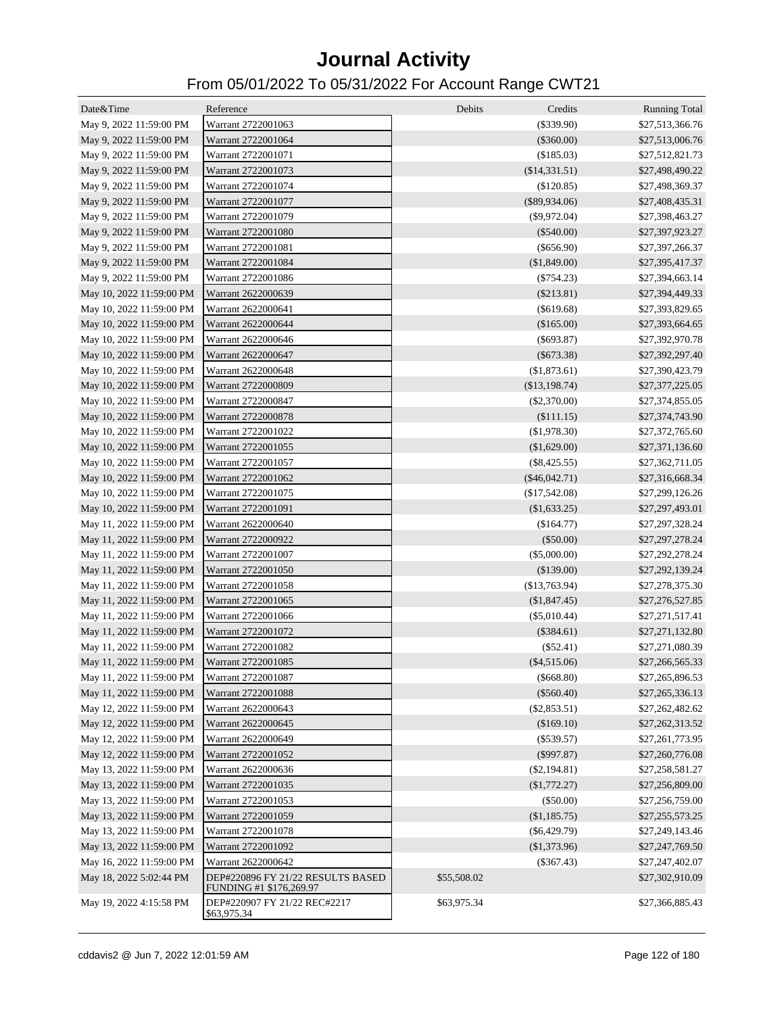| Date&Time                | Reference                                                    | Debits<br>Credits | <b>Running Total</b> |
|--------------------------|--------------------------------------------------------------|-------------------|----------------------|
| May 9, 2022 11:59:00 PM  | Warrant 2722001063                                           | $(\$339.90)$      | \$27,513,366.76      |
| May 9, 2022 11:59:00 PM  | Warrant 2722001064                                           | $(\$360.00)$      | \$27,513,006.76      |
| May 9, 2022 11:59:00 PM  | Warrant 2722001071                                           | (\$185.03)        | \$27,512,821.73      |
| May 9, 2022 11:59:00 PM  | Warrant 2722001073                                           | (\$14,331.51)     | \$27,498,490.22      |
| May 9, 2022 11:59:00 PM  | Warrant 2722001074                                           | $(\$120.85)$      | \$27,498,369.37      |
| May 9, 2022 11:59:00 PM  | Warrant 2722001077                                           | $(\$89,934.06)$   | \$27,408,435.31      |
| May 9, 2022 11:59:00 PM  | Warrant 2722001079                                           | $(\$9,972.04)$    | \$27,398,463.27      |
| May 9, 2022 11:59:00 PM  | Warrant 2722001080                                           | $(\$540.00)$      | \$27,397,923.27      |
| May 9, 2022 11:59:00 PM  | Warrant 2722001081                                           | $(\$656.90)$      | \$27,397,266.37      |
| May 9, 2022 11:59:00 PM  | Warrant 2722001084                                           | (\$1,849.00)      | \$27,395,417.37      |
| May 9, 2022 11:59:00 PM  | Warrant 2722001086                                           | $(\$754.23)$      | \$27,394,663.14      |
| May 10, 2022 11:59:00 PM | Warrant 2622000639                                           | $(\$213.81)$      | \$27,394,449.33      |
| May 10, 2022 11:59:00 PM | Warrant 2622000641                                           | $(\$619.68)$      | \$27,393,829.65      |
| May 10, 2022 11:59:00 PM | Warrant 2622000644                                           | (\$165.00)        | \$27,393,664.65      |
| May 10, 2022 11:59:00 PM | Warrant 2622000646                                           | $(\$693.87)$      | \$27,392,970.78      |
| May 10, 2022 11:59:00 PM | Warrant 2622000647                                           | $($ \$673.38)     | \$27,392,297.40      |
| May 10, 2022 11:59:00 PM | Warrant 2622000648                                           | (\$1,873.61)      | \$27,390,423.79      |
| May 10, 2022 11:59:00 PM | Warrant 2722000809                                           | (\$13,198.74)     | \$27,377,225.05      |
| May 10, 2022 11:59:00 PM | Warrant 2722000847                                           | $(\$2,370.00)$    | \$27,374,855.05      |
| May 10, 2022 11:59:00 PM | Warrant 2722000878                                           | (\$111.15)        | \$27,374,743.90      |
| May 10, 2022 11:59:00 PM | Warrant 2722001022                                           | (\$1,978.30)      | \$27,372,765.60      |
| May 10, 2022 11:59:00 PM | Warrant 2722001055                                           | (\$1,629.00)      | \$27,371,136.60      |
| May 10, 2022 11:59:00 PM | Warrant 2722001057                                           | $(\$8,425.55)$    | \$27,362,711.05      |
| May 10, 2022 11:59:00 PM | Warrant 2722001062                                           | $(\$46,042.71)$   | \$27,316,668.34      |
| May 10, 2022 11:59:00 PM | Warrant 2722001075                                           | (\$17,542.08)     | \$27,299,126.26      |
| May 10, 2022 11:59:00 PM | Warrant 2722001091                                           | (\$1,633.25)      | \$27,297,493.01      |
| May 11, 2022 11:59:00 PM | Warrant 2622000640                                           | (\$164.77)        | \$27,297,328.24      |
| May 11, 2022 11:59:00 PM | Warrant 2722000922                                           | $(\$50.00)$       | \$27,297,278.24      |
| May 11, 2022 11:59:00 PM | Warrant 2722001007                                           | $(\$5,000.00)$    | \$27,292,278.24      |
| May 11, 2022 11:59:00 PM | Warrant 2722001050                                           | (\$139.00)        | \$27,292,139.24      |
| May 11, 2022 11:59:00 PM | Warrant 2722001058                                           | (\$13,763.94)     | \$27,278,375.30      |
| May 11, 2022 11:59:00 PM | Warrant 2722001065                                           | (\$1,847.45)      | \$27,276,527.85      |
| May 11, 2022 11:59:00 PM | Warrant 2722001066                                           | $(\$5,010.44)$    | \$27,271,517.41      |
| May 11, 2022 11:59:00 PM | Warrant 2722001072                                           | $(\$384.61)$      | \$27,271,132.80      |
| May 11, 2022 11:59:00 PM | Warrant 2722001082                                           | $(\$52.41)$       | \$27,271,080.39      |
| May 11, 2022 11:59:00 PM | Warrant 2722001085                                           | $(\$4,515.06)$    | \$27,266,565.33      |
| May 11, 2022 11:59:00 PM | Warrant 2722001087                                           | $(\$668.80)$      | \$27,265,896.53      |
| May 11, 2022 11:59:00 PM | Warrant 2722001088                                           | $(\$560.40)$      | \$27,265,336.13      |
| May 12, 2022 11:59:00 PM | Warrant 2622000643                                           | $(\$2,853.51)$    | \$27,262,482.62      |
| May 12, 2022 11:59:00 PM | Warrant 2622000645                                           | (\$169.10)        | \$27,262,313.52      |
|                          | Warrant 2622000649                                           |                   |                      |
| May 12, 2022 11:59:00 PM |                                                              | $(\$539.57)$      | \$27,261,773.95      |
| May 12, 2022 11:59:00 PM | Warrant 2722001052                                           | $($ \$997.87)     | \$27,260,776.08      |
| May 13, 2022 11:59:00 PM | Warrant 2622000636                                           | $(\$2,194.81)$    | \$27,258,581.27      |
| May 13, 2022 11:59:00 PM | Warrant 2722001035                                           | (\$1,772.27)      | \$27,256,809.00      |
| May 13, 2022 11:59:00 PM | Warrant 2722001053                                           | $(\$50.00)$       | \$27,256,759.00      |
| May 13, 2022 11:59:00 PM | Warrant 2722001059                                           | (\$1,185.75)      | \$27,255,573.25      |
| May 13, 2022 11:59:00 PM | Warrant 2722001078                                           | $(\$6,429.79)$    | \$27,249,143.46      |
| May 13, 2022 11:59:00 PM | Warrant 2722001092                                           | (\$1,373.96)      | \$27,247,769.50      |
| May 16, 2022 11:59:00 PM | Warrant 2622000642                                           | $(\$367.43)$      | \$27,247,402.07      |
| May 18, 2022 5:02:44 PM  | DEP#220896 FY 21/22 RESULTS BASED<br>FUNDING #1 \$176,269.97 | \$55,508.02       | \$27,302,910.09      |
| May 19, 2022 4:15:58 PM  | DEP#220907 FY 21/22 REC#2217<br>\$63,975.34                  | \$63,975.34       | \$27,366,885.43      |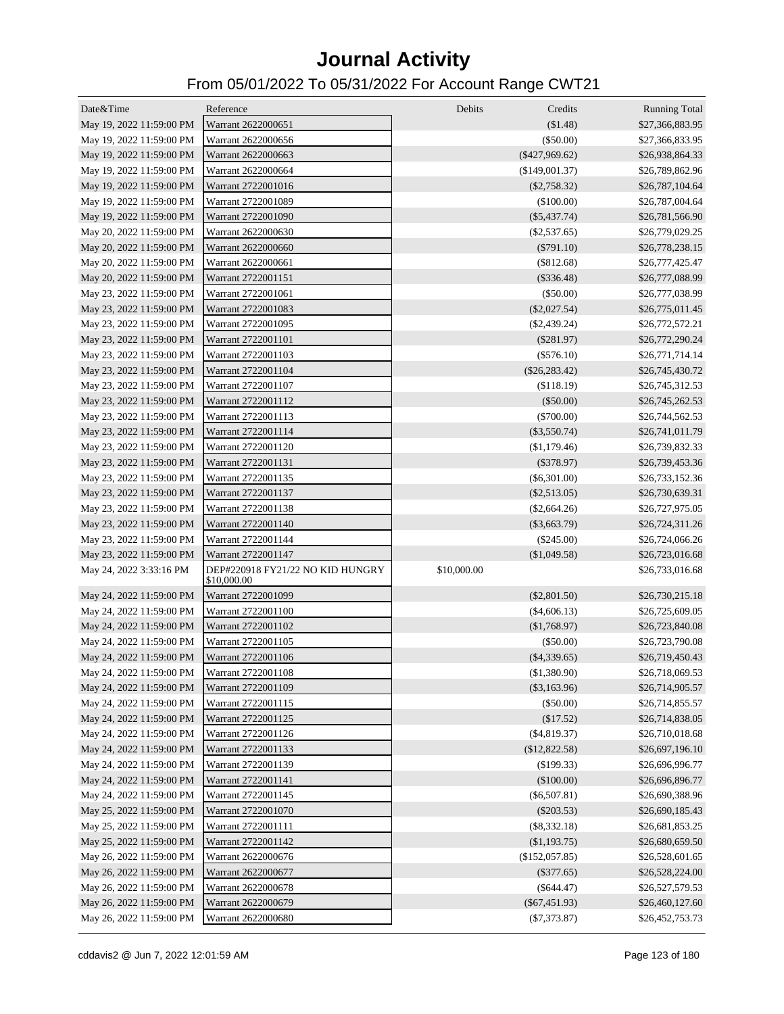| Date&Time                                            | Reference                                       | Debits<br>Credits | <b>Running Total</b>               |
|------------------------------------------------------|-------------------------------------------------|-------------------|------------------------------------|
| May 19, 2022 11:59:00 PM                             | Warrant 2622000651                              | (\$1.48)          | \$27,366,883.95                    |
| May 19, 2022 11:59:00 PM                             | Warrant 2622000656                              | (\$50.00)         | \$27,366,833.95                    |
| May 19, 2022 11:59:00 PM                             | Warrant 2622000663                              | $(\$427,969.62)$  | \$26,938,864.33                    |
| May 19, 2022 11:59:00 PM                             | Warrant 2622000664                              | (\$149,001.37)    | \$26,789,862.96                    |
| May 19, 2022 11:59:00 PM                             | Warrant 2722001016                              | $(\$2,758.32)$    | \$26,787,104.64                    |
| May 19, 2022 11:59:00 PM                             | Warrant 2722001089                              | (\$100.00)        | \$26,787,004.64                    |
| May 19, 2022 11:59:00 PM                             | Warrant 2722001090                              | $(\$5,437.74)$    | \$26,781,566.90                    |
| May 20, 2022 11:59:00 PM                             | Warrant 2622000630                              | $(\$2,537.65)$    | \$26,779,029.25                    |
| May 20, 2022 11:59:00 PM                             | Warrant 2622000660                              | $(\$791.10)$      | \$26,778,238.15                    |
| May 20, 2022 11:59:00 PM                             | Warrant 2622000661                              | (\$812.68)        | \$26,777,425.47                    |
| May 20, 2022 11:59:00 PM                             | Warrant 2722001151                              | $(\$336.48)$      | \$26,777,088.99                    |
| May 23, 2022 11:59:00 PM                             | Warrant 2722001061                              | $(\$50.00)$       | \$26,777,038.99                    |
| May 23, 2022 11:59:00 PM                             | Warrant 2722001083                              | $(\$2,027.54)$    | \$26,775,011.45                    |
| May 23, 2022 11:59:00 PM                             | Warrant 2722001095                              | $(\$2,439.24)$    | \$26,772,572.21                    |
| May 23, 2022 11:59:00 PM                             | Warrant 2722001101                              | (\$281.97)        | \$26,772,290.24                    |
| May 23, 2022 11:59:00 PM                             | Warrant 2722001103                              | $(\$576.10)$      | \$26,771,714.14                    |
| May 23, 2022 11:59:00 PM                             | Warrant 2722001104                              | $(\$26,283.42)$   | \$26,745,430.72                    |
| May 23, 2022 11:59:00 PM                             | Warrant 2722001107                              | (\$118.19)        | \$26,745,312.53                    |
|                                                      | Warrant 2722001112                              | (\$50.00)         | \$26,745,262.53                    |
| May 23, 2022 11:59:00 PM<br>May 23, 2022 11:59:00 PM | Warrant 2722001113                              | $(\$700.00)$      |                                    |
|                                                      |                                                 |                   | \$26,744,562.53<br>\$26,741,011.79 |
| May 23, 2022 11:59:00 PM                             | Warrant 2722001114                              | $(\$3,550.74)$    |                                    |
| May 23, 2022 11:59:00 PM                             | Warrant 2722001120                              | (\$1,179.46)      | \$26,739,832.33                    |
| May 23, 2022 11:59:00 PM                             | Warrant 2722001131                              | $(\$378.97)$      | \$26,739,453.36                    |
| May 23, 2022 11:59:00 PM                             | Warrant 2722001135                              | $(\$6,301.00)$    | \$26,733,152.36                    |
| May 23, 2022 11:59:00 PM                             | Warrant 2722001137                              | $(\$2,513.05)$    | \$26,730,639.31                    |
| May 23, 2022 11:59:00 PM                             | Warrant 2722001138                              | $(\$2,664.26)$    | \$26,727,975.05                    |
| May 23, 2022 11:59:00 PM                             | Warrant 2722001140                              | $(\$3,663.79)$    | \$26,724,311.26                    |
| May 23, 2022 11:59:00 PM                             | Warrant 2722001144                              | $(\$245.00)$      | \$26,724,066.26                    |
| May 23, 2022 11:59:00 PM                             | Warrant 2722001147                              | (\$1,049.58)      | \$26,723,016.68                    |
| May 24, 2022 3:33:16 PM                              | DEP#220918 FY21/22 NO KID HUNGRY<br>\$10,000.00 | \$10,000.00       | \$26,733,016.68                    |
| May 24, 2022 11:59:00 PM                             | Warrant 2722001099                              | $(\$2,801.50)$    | \$26,730,215.18                    |
| May 24, 2022 11:59:00 PM                             | Warrant 2722001100                              | $(\$4,606.13)$    | \$26,725,609.05                    |
| May 24, 2022 11:59:00 PM                             | Warrant 2722001102                              | (\$1,768.97)      | \$26,723,840.08                    |
| May 24, 2022 11:59:00 PM                             | Warrant 2722001105                              | (\$50.00)         | \$26,723,790.08                    |
| May 24, 2022 11:59:00 PM                             | Warrant 2722001106                              | $(\$4,339.65)$    | \$26,719,450.43                    |
| May 24, 2022 11:59:00 PM                             | Warrant 2722001108                              | (\$1,380.90)      | \$26,718,069.53                    |
| May 24, 2022 11:59:00 PM                             | Warrant 2722001109                              | $(\$3,163.96)$    | \$26,714,905.57                    |
| May 24, 2022 11:59:00 PM                             | Warrant 2722001115                              | (\$50.00)         | \$26,714,855.57                    |
| May 24, 2022 11:59:00 PM                             | Warrant 2722001125                              | (\$17.52)         | \$26,714,838.05                    |
| May 24, 2022 11:59:00 PM                             | Warrant 2722001126                              | $(\$4,819.37)$    | \$26,710,018.68                    |
| May 24, 2022 11:59:00 PM                             | Warrant 2722001133                              | (\$12,822.58)     | \$26,697,196.10                    |
| May 24, 2022 11:59:00 PM                             | Warrant 2722001139                              | (\$199.33)        | \$26,696,996.77                    |
| May 24, 2022 11:59:00 PM                             | Warrant 2722001141                              | (\$100.00)        | \$26,696,896.77                    |
| May 24, 2022 11:59:00 PM                             | Warrant 2722001145                              | $(\$6,507.81)$    | \$26,690,388.96                    |
| May 25, 2022 11:59:00 PM                             | Warrant 2722001070                              | $(\$203.53)$      | \$26,690,185.43                    |
| May 25, 2022 11:59:00 PM                             | Warrant 2722001111                              | $(\$8,332.18)$    | \$26,681,853.25                    |
| May 25, 2022 11:59:00 PM                             | Warrant 2722001142                              | (\$1,193.75)      | \$26,680,659.50                    |
| May 26, 2022 11:59:00 PM                             | Warrant 2622000676                              | (\$152,057.85)    | \$26,528,601.65                    |
| May 26, 2022 11:59:00 PM                             | Warrant 2622000677                              | $(\$377.65)$      | \$26,528,224.00                    |
| May 26, 2022 11:59:00 PM                             | Warrant 2622000678                              | $(\$644.47)$      | \$26,527,579.53                    |
| May 26, 2022 11:59:00 PM                             | Warrant 2622000679                              | $(\$67,451.93)$   | \$26,460,127.60                    |
| May 26, 2022 11:59:00 PM                             | Warrant 2622000680                              | $(\$7,373.87)$    | \$26,452,753.73                    |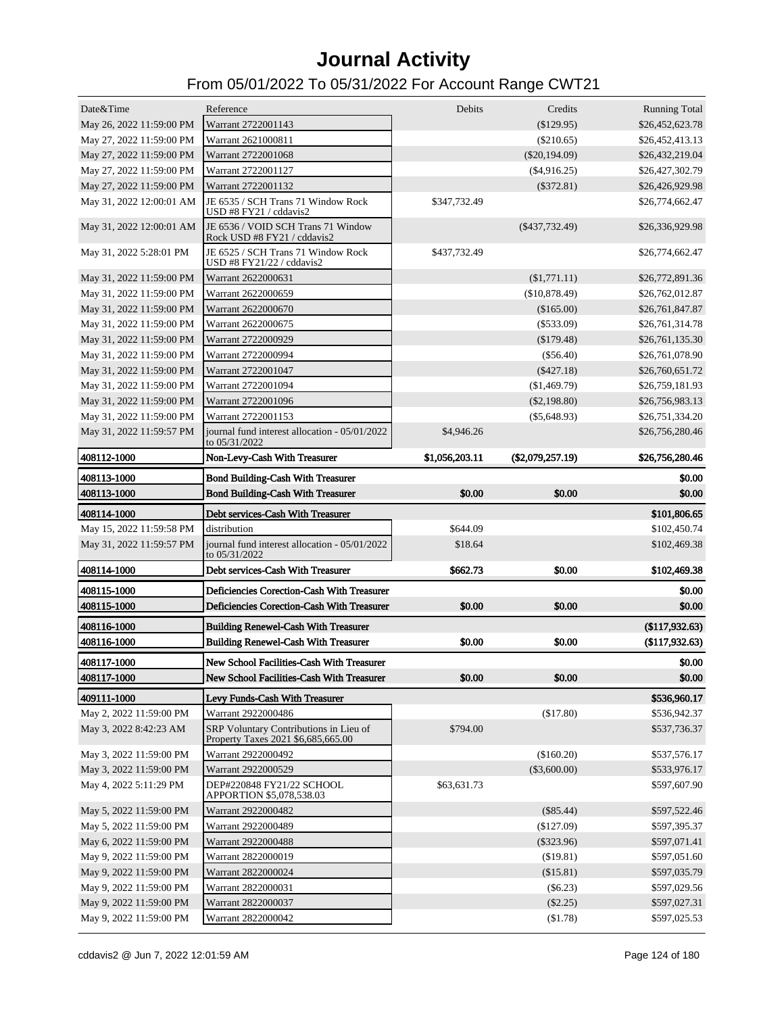| Date&Time                                            | Reference                                                                                  | Debits              | Credits              | <b>Running Total</b>             |
|------------------------------------------------------|--------------------------------------------------------------------------------------------|---------------------|----------------------|----------------------------------|
| May 26, 2022 11:59:00 PM                             | Warrant 2722001143                                                                         |                     | (\$129.95)           | \$26,452,623.78                  |
| May 27, 2022 11:59:00 PM                             | Warrant 2621000811                                                                         |                     | $(\$210.65)$         | \$26,452,413.13                  |
| May 27, 2022 11:59:00 PM                             | Warrant 2722001068                                                                         |                     | $(\$20,194.09)$      | \$26,432,219.04                  |
| May 27, 2022 11:59:00 PM                             | Warrant 2722001127                                                                         |                     | $(\$4,916.25)$       | \$26,427,302.79                  |
| May 27, 2022 11:59:00 PM                             | Warrant 2722001132                                                                         |                     | $(\$372.81)$         | \$26,426,929.98                  |
| May 31, 2022 12:00:01 AM                             | JE 6535 / SCH Trans 71 Window Rock                                                         | \$347,732.49        |                      | \$26,774,662.47                  |
|                                                      | USD #8 FY21 / cddavis2                                                                     |                     |                      |                                  |
| May 31, 2022 12:00:01 AM                             | JE 6536 / VOID SCH Trans 71 Window<br>Rock USD #8 FY21 / cddavis2                          |                     | $(\$437,732.49)$     | \$26,336,929.98                  |
| May 31, 2022 5:28:01 PM                              | JE 6525 / SCH Trans 71 Window Rock<br>USD #8 FY21/22 / cddavis2                            | \$437,732.49        |                      | \$26,774,662.47                  |
| May 31, 2022 11:59:00 PM                             | Warrant 2622000631                                                                         |                     | (\$1,771.11)         | \$26,772,891.36                  |
| May 31, 2022 11:59:00 PM                             | Warrant 2622000659                                                                         |                     | (\$10,878.49)        | \$26,762,012.87                  |
| May 31, 2022 11:59:00 PM                             | Warrant 2622000670                                                                         |                     | (\$165.00)           | \$26,761,847.87                  |
| May 31, 2022 11:59:00 PM                             | Warrant 2622000675                                                                         |                     | $(\$533.09)$         | \$26,761,314.78                  |
| May 31, 2022 11:59:00 PM                             | Warrant 2722000929                                                                         |                     | (\$179.48)           | \$26,761,135.30                  |
| May 31, 2022 11:59:00 PM                             | Warrant 2722000994                                                                         |                     | $(\$56.40)$          | \$26,761,078.90                  |
| May 31, 2022 11:59:00 PM                             | Warrant 2722001047                                                                         |                     | $(\$427.18)$         | \$26,760,651.72                  |
| May 31, 2022 11:59:00 PM                             | Warrant 2722001094                                                                         |                     | (\$1,469.79)         | \$26,759,181.93                  |
| May 31, 2022 11:59:00 PM                             | Warrant 2722001096                                                                         |                     | $(\$2,198.80)$       | \$26,756,983.13                  |
| May 31, 2022 11:59:00 PM                             | Warrant 2722001153                                                                         |                     | $(\$5,648.93)$       | \$26,751,334.20                  |
| May 31, 2022 11:59:57 PM                             | journal fund interest allocation - 05/01/2022<br>to 05/31/2022                             | \$4,946.26          |                      | \$26,756,280.46                  |
| 408112-1000                                          | Non-Levy-Cash With Treasurer                                                               | \$1,056,203.11      | $(\$2,079,257.19)$   | \$26,756,280.46                  |
| 408113-1000                                          | <b>Bond Building-Cash With Treasurer</b>                                                   |                     |                      | \$0.00                           |
| 408113-1000                                          | <b>Bond Building-Cash With Treasurer</b>                                                   | \$0.00              | \$0.00               | \$0.00                           |
|                                                      |                                                                                            |                     |                      |                                  |
|                                                      |                                                                                            |                     |                      |                                  |
| 408114-1000                                          | Debt services-Cash With Treasurer                                                          |                     |                      | \$101,806.65                     |
| May 15, 2022 11:59:58 PM<br>May 31, 2022 11:59:57 PM | distribution<br>journal fund interest allocation - 05/01/2022<br>to 05/31/2022             | \$644.09<br>\$18.64 |                      | \$102,450.74<br>\$102,469.38     |
| 408114-1000                                          | Debt services-Cash With Treasurer                                                          | \$662.73            | \$0.00               | \$102,469.38                     |
| 408115-1000                                          | Deficiencies Corection-Cash With Treasurer                                                 |                     |                      |                                  |
| 408115-1000                                          | Deficiencies Corection-Cash With Treasurer                                                 | \$0.00              | \$0.00               | \$0.00<br>\$0.00                 |
|                                                      |                                                                                            |                     |                      |                                  |
| 408116-1000<br>408116-1000                           | <b>Building Renewel-Cash With Treasurer</b><br><b>Building Renewel-Cash With Treasurer</b> | \$0.00              | \$0.00               | (\$117,932.63)<br>(\$117,932.63) |
|                                                      |                                                                                            |                     |                      |                                  |
| 408117-1000                                          | New School Facilities-Cash With Treasurer<br>New School Facilities-Cash With Treasurer     |                     |                      | \$0.00                           |
| 408117-1000                                          |                                                                                            | \$0.00              | \$0.00               | \$0.00                           |
| 409111-1000                                          | Levy Funds-Cash With Treasurer                                                             |                     |                      | \$536,960.17                     |
| May 2, 2022 11:59:00 PM                              | Warrant 2922000486                                                                         |                     | (\$17.80)            | \$536,942.37                     |
| May 3, 2022 8:42:23 AM                               | SRP Voluntary Contributions in Lieu of<br>Property Taxes 2021 \$6,685,665.00               | \$794.00            |                      | \$537,736.37                     |
| May 3, 2022 11:59:00 PM                              | Warrant 2922000492                                                                         |                     | (\$160.20)           | \$537,576.17                     |
| May 3, 2022 11:59:00 PM                              | Warrant 2922000529                                                                         |                     | $(\$3,600.00)$       | \$533,976.17                     |
| May 4, 2022 5:11:29 PM                               | DEP#220848 FY21/22 SCHOOL<br>APPORTION \$5,078,538.03                                      | \$63,631.73         |                      | \$597,607.90                     |
| May 5, 2022 11:59:00 PM                              | Warrant 2922000482                                                                         |                     | $(\$85.44)$          | \$597,522.46                     |
| May 5, 2022 11:59:00 PM                              | Warrant 2922000489                                                                         |                     | $(\$127.09)$         | \$597,395.37                     |
| May 6, 2022 11:59:00 PM                              | Warrant 2922000488                                                                         |                     | $(\$323.96)$         | \$597,071.41                     |
| May 9, 2022 11:59:00 PM                              | Warrant 2822000019                                                                         |                     | (\$19.81)            | \$597,051.60                     |
| May 9, 2022 11:59:00 PM                              | Warrant 2822000024                                                                         |                     | (\$15.81)            | \$597,035.79                     |
| May 9, 2022 11:59:00 PM                              | Warrant 2822000031                                                                         |                     | $(\$6.23)$           | \$597,029.56                     |
| May 9, 2022 11:59:00 PM<br>May 9, 2022 11:59:00 PM   | Warrant 2822000037<br>Warrant 2822000042                                                   |                     | (\$2.25)<br>(\$1.78) | \$597,027.31                     |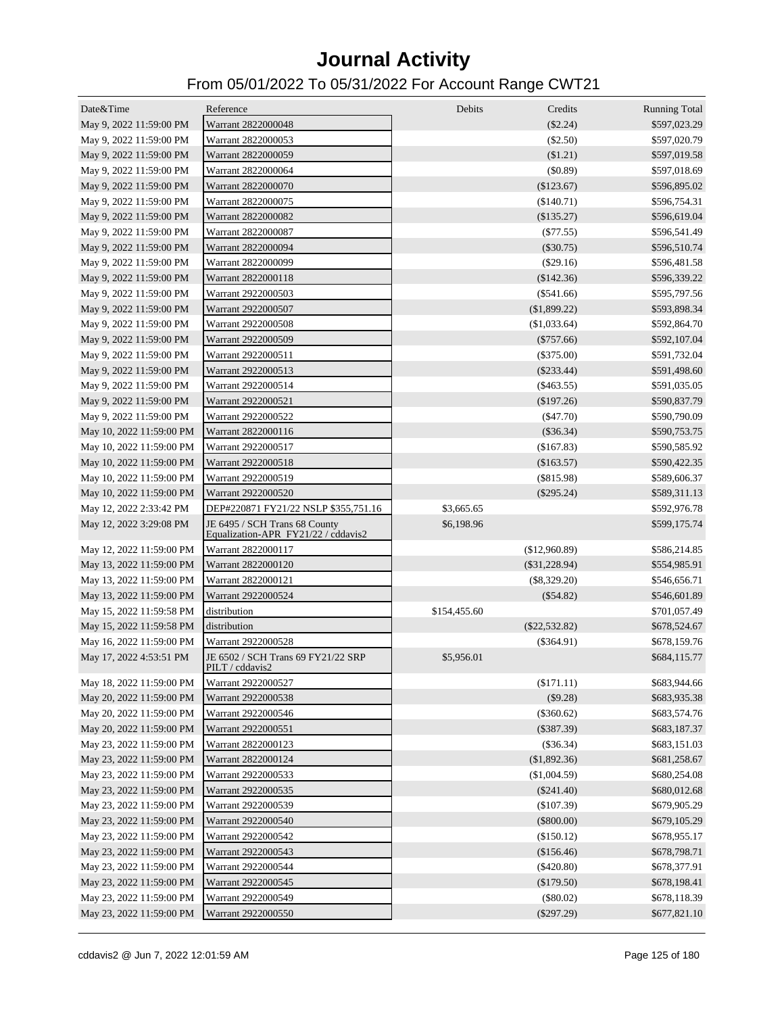| Date&Time                | Reference                                                            | Debits       | Credits         | <b>Running Total</b> |
|--------------------------|----------------------------------------------------------------------|--------------|-----------------|----------------------|
| May 9, 2022 11:59:00 PM  | Warrant 2822000048                                                   |              | $(\$2.24)$      | \$597,023.29         |
| May 9, 2022 11:59:00 PM  | Warrant 2822000053                                                   |              | $(\$2.50)$      | \$597,020.79         |
| May 9, 2022 11:59:00 PM  | Warrant 2822000059                                                   |              | (\$1.21)        | \$597,019.58         |
| May 9, 2022 11:59:00 PM  | Warrant 2822000064                                                   |              | (\$0.89)        | \$597,018.69         |
| May 9, 2022 11:59:00 PM  | Warrant 2822000070                                                   |              | (\$123.67)      | \$596,895.02         |
| May 9, 2022 11:59:00 PM  | Warrant 2822000075                                                   |              | (\$140.71)      | \$596,754.31         |
| May 9, 2022 11:59:00 PM  | Warrant 2822000082                                                   |              | (\$135.27)      | \$596,619.04         |
| May 9, 2022 11:59:00 PM  | Warrant 2822000087                                                   |              | $(\$77.55)$     | \$596,541.49         |
| May 9, 2022 11:59:00 PM  | Warrant 2822000094                                                   |              | $(\$30.75)$     | \$596,510.74         |
| May 9, 2022 11:59:00 PM  | Warrant 2822000099                                                   |              | $(\$29.16)$     | \$596,481.58         |
| May 9, 2022 11:59:00 PM  | Warrant 2822000118                                                   |              | (\$142.36)      | \$596,339.22         |
| May 9, 2022 11:59:00 PM  | Warrant 2922000503                                                   |              | $(\$541.66)$    | \$595,797.56         |
| May 9, 2022 11:59:00 PM  | Warrant 2922000507                                                   |              | (\$1,899.22)    | \$593,898.34         |
| May 9, 2022 11:59:00 PM  | Warrant 2922000508                                                   |              | (\$1,033.64)    | \$592,864.70         |
| May 9, 2022 11:59:00 PM  | Warrant 2922000509                                                   |              | $(\$757.66)$    | \$592,107.04         |
| May 9, 2022 11:59:00 PM  | Warrant 2922000511                                                   |              | $(\$375.00)$    | \$591,732.04         |
| May 9, 2022 11:59:00 PM  | Warrant 2922000513                                                   |              | $(\$233.44)$    | \$591,498.60         |
| May 9, 2022 11:59:00 PM  | Warrant 2922000514                                                   |              | $(\$463.55)$    | \$591,035.05         |
| May 9, 2022 11:59:00 PM  | Warrant 2922000521                                                   |              | (\$197.26)      | \$590,837.79         |
| May 9, 2022 11:59:00 PM  | Warrant 2922000522                                                   |              | $(\$47.70)$     | \$590,790.09         |
| May 10, 2022 11:59:00 PM | Warrant 2822000116                                                   |              | $(\$36.34)$     | \$590,753.75         |
| May 10, 2022 11:59:00 PM | Warrant 2922000517                                                   |              | (\$167.83)      | \$590,585.92         |
| May 10, 2022 11:59:00 PM | Warrant 2922000518                                                   |              | (\$163.57)      | \$590,422.35         |
| May 10, 2022 11:59:00 PM | Warrant 2922000519                                                   |              | $(\$815.98)$    | \$589,606.37         |
| May 10, 2022 11:59:00 PM | Warrant 2922000520                                                   |              | $(\$295.24)$    | \$589,311.13         |
| May 12, 2022 2:33:42 PM  | DEP#220871 FY21/22 NSLP \$355,751.16                                 | \$3,665.65   |                 | \$592,976.78         |
| May 12, 2022 3:29:08 PM  | JE 6495 / SCH Trans 68 County<br>Equalization-APR FY21/22 / cddavis2 | \$6,198.96   |                 | \$599,175.74         |
| May 12, 2022 11:59:00 PM | Warrant 2822000117                                                   |              | (\$12,960.89)   | \$586,214.85         |
| May 13, 2022 11:59:00 PM | Warrant 2822000120                                                   |              | $(\$31,228.94)$ | \$554,985.91         |
| May 13, 2022 11:59:00 PM | Warrant 2822000121                                                   |              | $(\$8,329.20)$  | \$546,656.71         |
| May 13, 2022 11:59:00 PM | Warrant 2922000524                                                   |              | $(\$54.82)$     | \$546,601.89         |
| May 15, 2022 11:59:58 PM | distribution                                                         | \$154,455.60 |                 | \$701,057.49         |
| May 15, 2022 11:59:58 PM | distribution                                                         |              | $(\$22,532.82)$ | \$678,524.67         |
| May 16, 2022 11:59:00 PM | Warrant 2922000528                                                   |              | $(\$364.91)$    | \$678,159.76         |
| May 17, 2022 4:53:51 PM  | JE 6502 / SCH Trans 69 FY21/22 SRP<br>PILT / cddavis2                | \$5,956.01   |                 | \$684,115.77         |
| May 18, 2022 11:59:00 PM | Warrant 2922000527                                                   |              | (\$171.11)      | \$683,944.66         |
| May 20, 2022 11:59:00 PM | Warrant 2922000538                                                   |              | (\$9.28)        | \$683,935.38         |
| May 20, 2022 11:59:00 PM | Warrant 2922000546                                                   |              | $(\$360.62)$    | \$683,574.76         |
| May 20, 2022 11:59:00 PM | Warrant 2922000551                                                   |              | $(\$387.39)$    | \$683,187.37         |
| May 23, 2022 11:59:00 PM | Warrant 2822000123                                                   |              | (\$36.34)       | \$683,151.03         |
| May 23, 2022 11:59:00 PM | Warrant 2822000124                                                   |              | (\$1,892.36)    | \$681,258.67         |
| May 23, 2022 11:59:00 PM | Warrant 2922000533                                                   |              | (\$1,004.59)    | \$680,254.08         |
| May 23, 2022 11:59:00 PM | Warrant 2922000535                                                   |              | $(\$241.40)$    | \$680,012.68         |
| May 23, 2022 11:59:00 PM | Warrant 2922000539                                                   |              | (\$107.39)      | \$679,905.29         |
| May 23, 2022 11:59:00 PM | Warrant 2922000540                                                   |              | $(\$800.00)$    | \$679,105.29         |
| May 23, 2022 11:59:00 PM | Warrant 2922000542                                                   |              | (\$150.12)      | \$678,955.17         |
| May 23, 2022 11:59:00 PM | Warrant 2922000543                                                   |              | (\$156.46)      | \$678,798.71         |
| May 23, 2022 11:59:00 PM | Warrant 2922000544                                                   |              | $(\$420.80)$    | \$678,377.91         |
| May 23, 2022 11:59:00 PM | Warrant 2922000545                                                   |              | (\$179.50)      | \$678,198.41         |
| May 23, 2022 11:59:00 PM | Warrant 2922000549                                                   |              | (\$80.02)       | \$678,118.39         |
| May 23, 2022 11:59:00 PM | Warrant 2922000550                                                   |              | $(\$297.29)$    | \$677,821.10         |
|                          |                                                                      |              |                 |                      |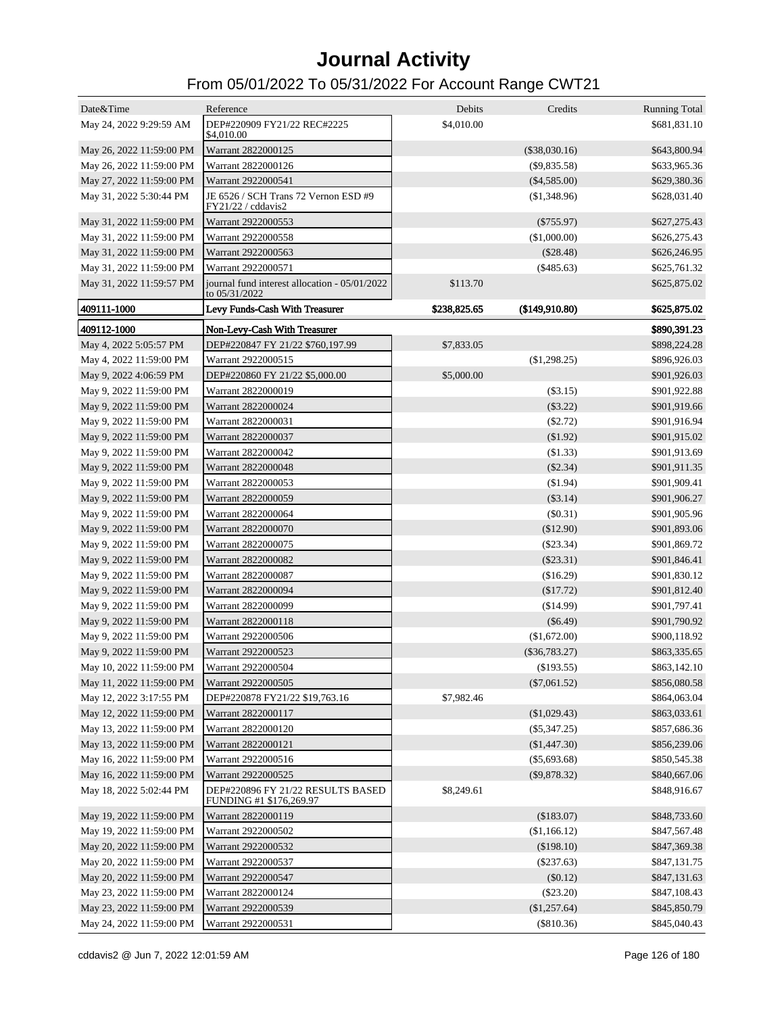| Date&Time                | Reference                                                      | Debits       | Credits         | <b>Running Total</b> |
|--------------------------|----------------------------------------------------------------|--------------|-----------------|----------------------|
| May 24, 2022 9:29:59 AM  | DEP#220909 FY21/22 REC#2225<br>\$4,010.00                      | \$4,010.00   |                 | \$681,831.10         |
| May 26, 2022 11:59:00 PM | Warrant 2822000125                                             |              | $(\$38,030.16)$ | \$643,800.94         |
| May 26, 2022 11:59:00 PM | Warrant 2822000126                                             |              | $(\$9,835.58)$  | \$633,965.36         |
| May 27, 2022 11:59:00 PM | Warrant 2922000541                                             |              | $(\$4,585.00)$  | \$629,380.36         |
| May 31, 2022 5:30:44 PM  | JE 6526 / SCH Trans 72 Vernon ESD #9<br>FY21/22 / cddavis2     |              | (\$1,348.96)    | \$628,031.40         |
| May 31, 2022 11:59:00 PM | Warrant 2922000553                                             |              | $(\$755.97)$    | \$627,275.43         |
| May 31, 2022 11:59:00 PM | Warrant 2922000558                                             |              | (\$1,000.00)    | \$626,275.43         |
| May 31, 2022 11:59:00 PM | Warrant 2922000563                                             |              | $(\$28.48)$     | \$626,246.95         |
| May 31, 2022 11:59:00 PM | Warrant 2922000571                                             |              | $(\$485.63)$    | \$625,761.32         |
| May 31, 2022 11:59:57 PM | journal fund interest allocation - 05/01/2022<br>to 05/31/2022 | \$113.70     |                 | \$625,875.02         |
| 409111-1000              | Levy Funds-Cash With Treasurer                                 | \$238,825.65 | (\$149,910.80)  | \$625,875.02         |
| 409112-1000              | Non-Levy-Cash With Treasurer                                   |              |                 | \$890,391.23         |
| May 4, 2022 5:05:57 PM   | DEP#220847 FY 21/22 \$760,197.99                               | \$7,833.05   |                 | \$898,224.28         |
| May 4, 2022 11:59:00 PM  | Warrant 2922000515                                             |              | (\$1,298.25)    | \$896,926.03         |
| May 9, 2022 4:06:59 PM   | DEP#220860 FY 21/22 \$5,000.00                                 | \$5,000.00   |                 | \$901,926.03         |
| May 9, 2022 11:59:00 PM  | Warrant 2822000019                                             |              | $(\$3.15)$      | \$901,922.88         |
| May 9, 2022 11:59:00 PM  | Warrant 2822000024                                             |              | $(\$3.22)$      | \$901,919.66         |
| May 9, 2022 11:59:00 PM  | Warrant 2822000031                                             |              | $(\$2.72)$      | \$901,916.94         |
| May 9, 2022 11:59:00 PM  | Warrant 2822000037                                             |              | \$1.92)         | \$901,915.02         |
| May 9, 2022 11:59:00 PM  | Warrant 2822000042                                             |              | (\$1.33)        | \$901,913.69         |
| May 9, 2022 11:59:00 PM  | Warrant 2822000048                                             |              | $(\$2.34)$      | \$901,911.35         |
| May 9, 2022 11:59:00 PM  | Warrant 2822000053                                             |              | (\$1.94)        | \$901,909.41         |
| May 9, 2022 11:59:00 PM  | Warrant 2822000059                                             |              | $(\$3.14)$      | \$901,906.27         |
| May 9, 2022 11:59:00 PM  | Warrant 2822000064                                             |              | $(\$0.31)$      | \$901,905.96         |
| May 9, 2022 11:59:00 PM  | Warrant 2822000070                                             |              | (\$12.90)       | \$901,893.06         |
| May 9, 2022 11:59:00 PM  | Warrant 2822000075                                             |              | $(\$23.34)$     | \$901,869.72         |
| May 9, 2022 11:59:00 PM  | Warrant 2822000082                                             |              | $(\$23.31)$     | \$901,846.41         |
| May 9, 2022 11:59:00 PM  | Warrant 2822000087                                             |              | (\$16.29)       | \$901,830.12         |
| May 9, 2022 11:59:00 PM  | Warrant 2822000094                                             |              | (\$17.72)       | \$901,812.40         |
| May 9, 2022 11:59:00 PM  | Warrant 2822000099                                             |              | $(\$14.99)$     | \$901,797.41         |
| May 9, 2022 11:59:00 PM  | Warrant 2822000118                                             |              | $(\$6.49)$      | \$901,790.92         |
| May 9, 2022 11:59:00 PM  | Warrant 2922000506                                             |              | (\$1,672.00)    | \$900,118.92         |
| May 9, 2022 11:59:00 PM  | Warrant 2922000523                                             |              | $(\$36,783.27)$ | \$863,335.65         |
| May 10, 2022 11:59:00 PM | Warrant 2922000504                                             |              | $(\$193.55)$    | \$863,142.10         |
| May 11, 2022 11:59:00 PM | Warrant 2922000505                                             |              | $(\$7,061.52)$  | \$856,080.58         |
| May 12, 2022 3:17:55 PM  | DEP#220878 FY21/22 \$19,763.16                                 | \$7,982.46   |                 | \$864,063.04         |
| May 12, 2022 11:59:00 PM | Warrant 2822000117                                             |              | (\$1,029.43)    | \$863,033.61         |
| May 13, 2022 11:59:00 PM | Warrant 2822000120                                             |              | $(\$5,347.25)$  | \$857,686.36         |
| May 13, 2022 11:59:00 PM | Warrant 2822000121                                             |              | (\$1,447.30)    | \$856,239.06         |
| May 16, 2022 11:59:00 PM | Warrant 2922000516                                             |              | $(\$5,693.68)$  | \$850,545.38         |
| May 16, 2022 11:59:00 PM | Warrant 2922000525                                             |              | $(\$9,878.32)$  | \$840,667.06         |
| May 18, 2022 5:02:44 PM  | DEP#220896 FY 21/22 RESULTS BASED<br>FUNDING #1 \$176,269.97   | \$8,249.61   |                 | \$848,916.67         |
| May 19, 2022 11:59:00 PM | Warrant 2822000119                                             |              | (\$183.07)      | \$848,733.60         |
| May 19, 2022 11:59:00 PM | Warrant 2922000502                                             |              | (\$1,166.12)    | \$847,567.48         |
| May 20, 2022 11:59:00 PM | Warrant 2922000532                                             |              | (\$198.10)      | \$847,369.38         |
| May 20, 2022 11:59:00 PM | Warrant 2922000537                                             |              | $(\$237.63)$    | \$847,131.75         |
| May 20, 2022 11:59:00 PM | Warrant 2922000547                                             |              | (\$0.12)        | \$847,131.63         |
| May 23, 2022 11:59:00 PM | Warrant 2822000124                                             |              | $(\$23.20)$     | \$847,108.43         |
| May 23, 2022 11:59:00 PM | Warrant 2922000539                                             |              | (\$1,257.64)    | \$845,850.79         |
| May 24, 2022 11:59:00 PM | Warrant 2922000531                                             |              | (\$810.36)      | \$845,040.43         |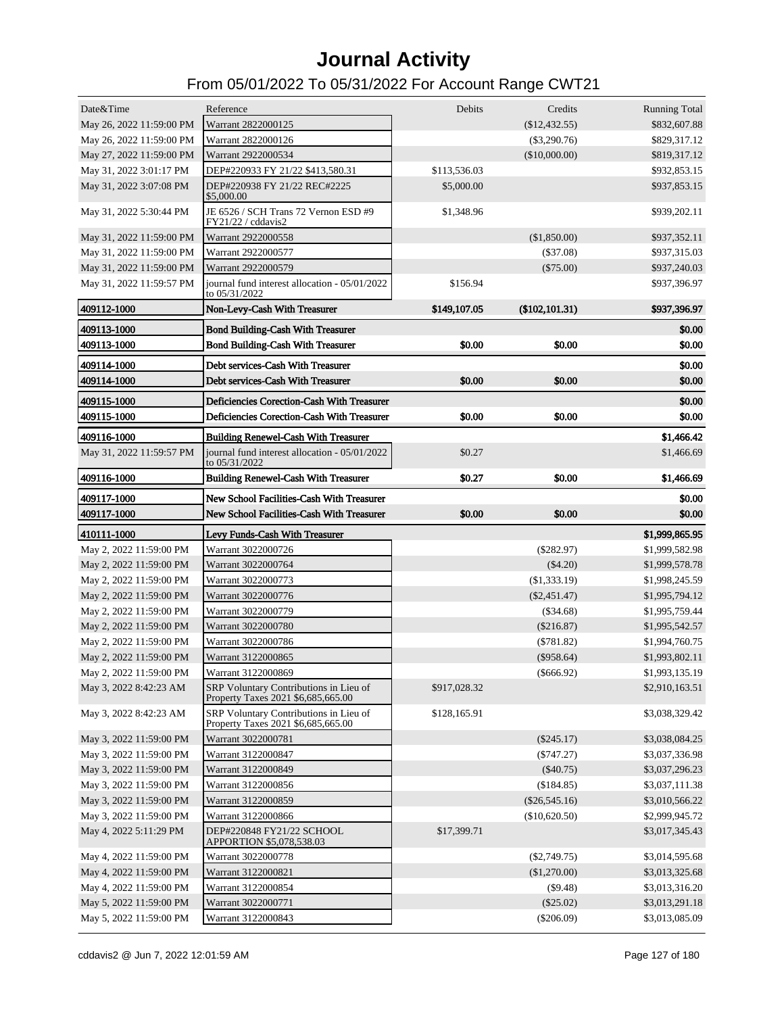| Date&Time                  | Reference                                                                                | Debits       | Credits         | <b>Running Total</b>             |
|----------------------------|------------------------------------------------------------------------------------------|--------------|-----------------|----------------------------------|
| May 26, 2022 11:59:00 PM   | Warrant 2822000125                                                                       |              | $(\$12,432.55)$ | \$832,607.88                     |
| May 26, 2022 11:59:00 PM   | Warrant 2822000126                                                                       |              | $(\$3,290.76)$  | \$829,317.12                     |
| May 27, 2022 11:59:00 PM   | Warrant 2922000534                                                                       |              | (\$10,000.00)   | \$819,317.12                     |
| May 31, 2022 3:01:17 PM    | DEP#220933 FY 21/22 \$413,580.31                                                         | \$113,536.03 |                 | \$932,853.15                     |
| May 31, 2022 3:07:08 PM    | DEP#220938 FY 21/22 REC#2225<br>\$5,000.00                                               | \$5,000.00   |                 | \$937,853.15                     |
| May 31, 2022 5:30:44 PM    | JE 6526 / SCH Trans 72 Vernon ESD #9<br>FY21/22 / cddavis2                               | \$1,348.96   |                 | \$939,202.11                     |
| May 31, 2022 11:59:00 PM   | Warrant 2922000558                                                                       |              | (\$1,850.00)    | \$937,352.11                     |
| May 31, 2022 11:59:00 PM   | Warrant 2922000577                                                                       |              | $(\$37.08)$     | \$937,315.03                     |
| May 31, 2022 11:59:00 PM   | Warrant 2922000579                                                                       |              | $(\$75.00)$     | \$937,240.03                     |
| May 31, 2022 11:59:57 PM   | journal fund interest allocation - 05/01/2022<br>to 05/31/2022                           | \$156.94     |                 | \$937,396.97                     |
| 409112-1000                | Non-Levy-Cash With Treasurer                                                             | \$149,107.05 | (\$102, 101.31) | \$937,396.97                     |
| 409113-1000                | <b>Bond Building-Cash With Treasurer</b>                                                 |              |                 | \$0.00                           |
| 409113-1000                | <b>Bond Building-Cash With Treasurer</b>                                                 | \$0.00       | \$0.00          | \$0.00                           |
| 409114-1000                | Debt services-Cash With Treasurer                                                        |              |                 | \$0.00                           |
| 409114-1000                | Debt services-Cash With Treasurer                                                        | \$0.00       | \$0.00          | \$0.00                           |
|                            |                                                                                          |              |                 |                                  |
| 409115-1000<br>409115-1000 | Deficiencies Corection-Cash With Treasurer<br>Deficiencies Corection-Cash With Treasurer | \$0.00       | \$0.00          | \$0.00<br>\$0.00                 |
|                            |                                                                                          |              |                 |                                  |
| 409116-1000                | <b>Building Renewel-Cash With Treasurer</b>                                              |              |                 | \$1,466.42                       |
| May 31, 2022 11:59:57 PM   | journal fund interest allocation - 05/01/2022<br>to $05/31/2022$                         | \$0.27       |                 | \$1,466.69                       |
| 409116-1000                | <b>Building Renewel-Cash With Treasurer</b>                                              | \$0.27       | \$0.00          | \$1,466.69                       |
| 409117-1000                | New School Facilities-Cash With Treasurer                                                |              |                 | \$0.00                           |
|                            |                                                                                          |              |                 |                                  |
| 409117-1000                | New School Facilities-Cash With Treasurer                                                | \$0.00       | \$0.00          | \$0.00                           |
| 410111-1000                | Levy Funds-Cash With Treasurer                                                           |              |                 |                                  |
| May 2, 2022 11:59:00 PM    | Warrant 3022000726                                                                       |              | $(\$282.97)$    | \$1,999,865.95<br>\$1,999,582.98 |
| May 2, 2022 11:59:00 PM    | Warrant 3022000764                                                                       |              | (\$4.20)        | \$1,999,578.78                   |
| May 2, 2022 11:59:00 PM    | Warrant 3022000773                                                                       |              | (\$1,333.19)    | \$1,998,245.59                   |
| May 2, 2022 11:59:00 PM    | Warrant 3022000776                                                                       |              | $(\$2,451.47)$  | \$1,995,794.12                   |
| May 2, 2022 11:59:00 PM    | Warrant 3022000779                                                                       |              | $(\$34.68)$     | \$1,995,759.44                   |
| May 2, 2022 11:59:00 PM    | Warrant 3022000780                                                                       |              | (\$216.87)      | \$1,995,542.57                   |
| May 2, 2022 11:59:00 PM    | Warrant 3022000786                                                                       |              | $(*781.82)$     | \$1,994,760.75                   |
| May 2, 2022 11:59:00 PM    | Warrant 3122000865                                                                       |              | $(\$958.64)$    | \$1,993,802.11                   |
| May 2, 2022 11:59:00 PM    | Warrant 3122000869                                                                       |              | $(\$666.92)$    | \$1,993,135.19                   |
| May 3, 2022 8:42:23 AM     | SRP Voluntary Contributions in Lieu of<br>Property Taxes 2021 \$6,685,665.00             | \$917,028.32 |                 | \$2,910,163.51                   |
| May 3, 2022 8:42:23 AM     | SRP Voluntary Contributions in Lieu of<br>Property Taxes 2021 \$6,685,665.00             | \$128,165.91 |                 | \$3,038,329.42                   |
| May 3, 2022 11:59:00 PM    | Warrant 3022000781                                                                       |              | $(\$245.17)$    | \$3,038,084.25                   |
| May 3, 2022 11:59:00 PM    | Warrant 3122000847                                                                       |              | $(\$747.27)$    | \$3,037,336.98                   |
| May 3, 2022 11:59:00 PM    | Warrant 3122000849                                                                       |              | $(\$40.75)$     | \$3,037,296.23                   |
| May 3, 2022 11:59:00 PM    | Warrant 3122000856                                                                       |              | (\$184.85)      | \$3,037,111.38                   |
| May 3, 2022 11:59:00 PM    | Warrant 3122000859                                                                       |              | $(\$26,545.16)$ | \$3,010,566.22                   |
| May 3, 2022 11:59:00 PM    | Warrant 3122000866                                                                       |              | (\$10,620.50)   | \$2,999,945.72                   |
| May 4, 2022 5:11:29 PM     | DEP#220848 FY21/22 SCHOOL<br>APPORTION \$5,078,538.03                                    | \$17,399.71  |                 | \$3,017,345.43                   |
| May 4, 2022 11:59:00 PM    | Warrant 3022000778                                                                       |              | $(\$2,749.75)$  | \$3,014,595.68                   |
| May 4, 2022 11:59:00 PM    | Warrant 3122000821                                                                       |              | (\$1,270.00)    | \$3,013,325.68                   |
| May 4, 2022 11:59:00 PM    | Warrant 3122000854                                                                       |              | (\$9.48)        | \$3,013,316.20                   |
| May 5, 2022 11:59:00 PM    | Warrant 3022000771                                                                       |              | $(\$25.02)$     | \$3,013,291.18                   |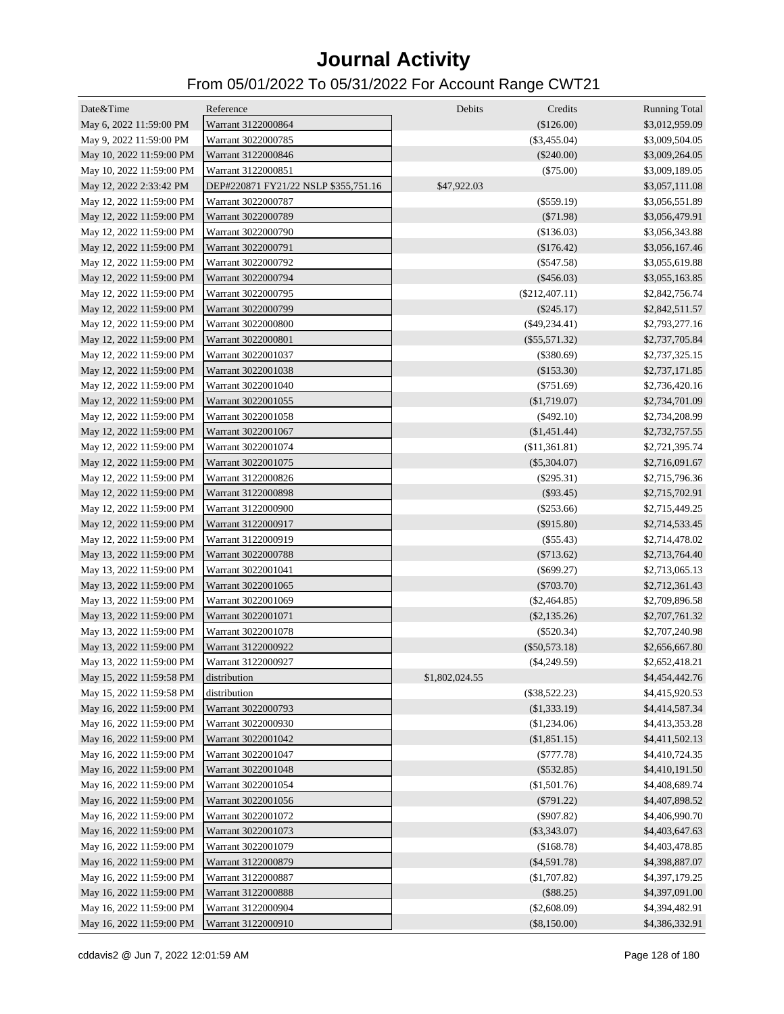| Date&Time                | Reference                            | Debits         | Credits          | <b>Running Total</b> |
|--------------------------|--------------------------------------|----------------|------------------|----------------------|
| May 6, 2022 11:59:00 PM  | Warrant 3122000864                   |                | (\$126.00)       | \$3,012,959.09       |
| May 9, 2022 11:59:00 PM  | Warrant 3022000785                   |                | $(\$3,455.04)$   | \$3,009,504.05       |
| May 10, 2022 11:59:00 PM | Warrant 3122000846                   |                | $(\$240.00)$     | \$3,009,264.05       |
| May 10, 2022 11:59:00 PM | Warrant 3122000851                   |                | $(\$75.00)$      | \$3,009,189.05       |
| May 12, 2022 2:33:42 PM  | DEP#220871 FY21/22 NSLP \$355,751.16 | \$47,922.03    |                  | \$3,057,111.08       |
| May 12, 2022 11:59:00 PM | Warrant 3022000787                   |                | $(\$559.19)$     | \$3,056,551.89       |
| May 12, 2022 11:59:00 PM | Warrant 3022000789                   |                | $(\$71.98)$      | \$3,056,479.91       |
| May 12, 2022 11:59:00 PM | Warrant 3022000790                   |                | (\$136.03)       | \$3,056,343.88       |
| May 12, 2022 11:59:00 PM | Warrant 3022000791                   |                | (\$176.42)       | \$3,056,167.46       |
| May 12, 2022 11:59:00 PM | Warrant 3022000792                   |                | $(\$547.58)$     | \$3,055,619.88       |
| May 12, 2022 11:59:00 PM | Warrant 3022000794                   |                | $(\$456.03)$     | \$3,055,163.85       |
| May 12, 2022 11:59:00 PM | Warrant 3022000795                   |                | $(\$212,407.11)$ | \$2,842,756.74       |
| May 12, 2022 11:59:00 PM | Warrant 3022000799                   |                | $(\$245.17)$     | \$2,842,511.57       |
| May 12, 2022 11:59:00 PM | Warrant 3022000800                   |                | $(\$49,234.41)$  | \$2,793,277.16       |
| May 12, 2022 11:59:00 PM | Warrant 3022000801                   |                | $(\$55,571.32)$  | \$2,737,705.84       |
| May 12, 2022 11:59:00 PM | Warrant 3022001037                   |                | (\$380.69)       | \$2,737,325.15       |
| May 12, 2022 11:59:00 PM | Warrant 3022001038                   |                | (\$153.30)       | \$2,737,171.85       |
| May 12, 2022 11:59:00 PM | Warrant 3022001040                   |                | $(\$751.69)$     | \$2,736,420.16       |
| May 12, 2022 11:59:00 PM | Warrant 3022001055                   |                | (\$1,719.07)     | \$2,734,701.09       |
| May 12, 2022 11:59:00 PM | Warrant 3022001058                   |                | $(\$492.10)$     | \$2,734,208.99       |
| May 12, 2022 11:59:00 PM | Warrant 3022001067                   |                | (\$1,451.44)     | \$2,732,757.55       |
| May 12, 2022 11:59:00 PM | Warrant 3022001074                   |                | (\$11,361.81)    | \$2,721,395.74       |
| May 12, 2022 11:59:00 PM | Warrant 3022001075                   |                | $(\$5,304.07)$   | \$2,716,091.67       |
| May 12, 2022 11:59:00 PM | Warrant 3122000826                   |                | $(\$295.31)$     | \$2,715,796.36       |
| May 12, 2022 11:59:00 PM | Warrant 3122000898                   |                | $(\$93.45)$      | \$2,715,702.91       |
| May 12, 2022 11:59:00 PM | Warrant 3122000900                   |                | $(\$253.66)$     | \$2,715,449.25       |
| May 12, 2022 11:59:00 PM | Warrant 3122000917                   |                | $(\$915.80)$     | \$2,714,533.45       |
| May 12, 2022 11:59:00 PM | Warrant 3122000919                   |                | $(\$55.43)$      | \$2,714,478.02       |
| May 13, 2022 11:59:00 PM | Warrant 3022000788                   |                | $(\$713.62)$     | \$2,713,764.40       |
| May 13, 2022 11:59:00 PM | Warrant 3022001041                   |                | $(\$699.27)$     | \$2,713,065.13       |
| May 13, 2022 11:59:00 PM | Warrant 3022001065                   |                | $(\$703.70)$     | \$2,712,361.43       |
| May 13, 2022 11:59:00 PM | Warrant 3022001069                   |                | $(\$2,464.85)$   | \$2,709,896.58       |
| May 13, 2022 11:59:00 PM | Warrant 3022001071                   |                | $(\$2,135.26)$   | \$2,707,761.32       |
| May 13, 2022 11:59:00 PM | Warrant 3022001078                   |                | $(\$520.34)$     | \$2,707,240.98       |
| May 13, 2022 11:59:00 PM | Warrant 3122000922                   |                | $(\$50,573.18)$  | \$2,656,667.80       |
| May 13, 2022 11:59:00 PM | Warrant 3122000927                   |                | $(\$4,249.59)$   | \$2,652,418.21       |
| May 15, 2022 11:59:58 PM | distribution                         | \$1,802,024.55 |                  | \$4,454,442.76       |
| May 15, 2022 11:59:58 PM | distribution                         |                | $(\$38,522.23)$  | \$4,415,920.53       |
| May 16, 2022 11:59:00 PM | Warrant 3022000793                   |                | (\$1,333.19)     | \$4,414,587.34       |
| May 16, 2022 11:59:00 PM | Warrant 3022000930                   |                | (\$1,234.06)     | \$4,413,353.28       |
| May 16, 2022 11:59:00 PM | Warrant 3022001042                   |                | (\$1,851.15)     | \$4,411,502.13       |
| May 16, 2022 11:59:00 PM | Warrant 3022001047                   |                | $(\$777.78)$     | \$4,410,724.35       |
| May 16, 2022 11:59:00 PM | Warrant 3022001048                   |                | $(\$532.85)$     | \$4,410,191.50       |
| May 16, 2022 11:59:00 PM | Warrant 3022001054                   |                | (\$1,501.76)     | \$4,408,689.74       |
| May 16, 2022 11:59:00 PM | Warrant 3022001056                   |                | $(\$791.22)$     | \$4,407,898.52       |
| May 16, 2022 11:59:00 PM | Warrant 3022001072                   |                | $(\$907.82)$     | \$4,406,990.70       |
| May 16, 2022 11:59:00 PM | Warrant 3022001073                   |                | $(\$3,343.07)$   | \$4,403,647.63       |
| May 16, 2022 11:59:00 PM | Warrant 3022001079                   |                | (\$168.78)       | \$4,403,478.85       |
| May 16, 2022 11:59:00 PM | Warrant 3122000879                   |                | $(\$4,591.78)$   | \$4,398,887.07       |
| May 16, 2022 11:59:00 PM | Warrant 3122000887                   |                | (\$1,707.82)     | \$4,397,179.25       |
| May 16, 2022 11:59:00 PM | Warrant 3122000888                   |                | (\$88.25)        | \$4,397,091.00       |
| May 16, 2022 11:59:00 PM | Warrant 3122000904                   |                | (\$2,608.09)     | \$4,394,482.91       |
| May 16, 2022 11:59:00 PM | Warrant 3122000910                   |                | $(\$8,150.00)$   | \$4,386,332.91       |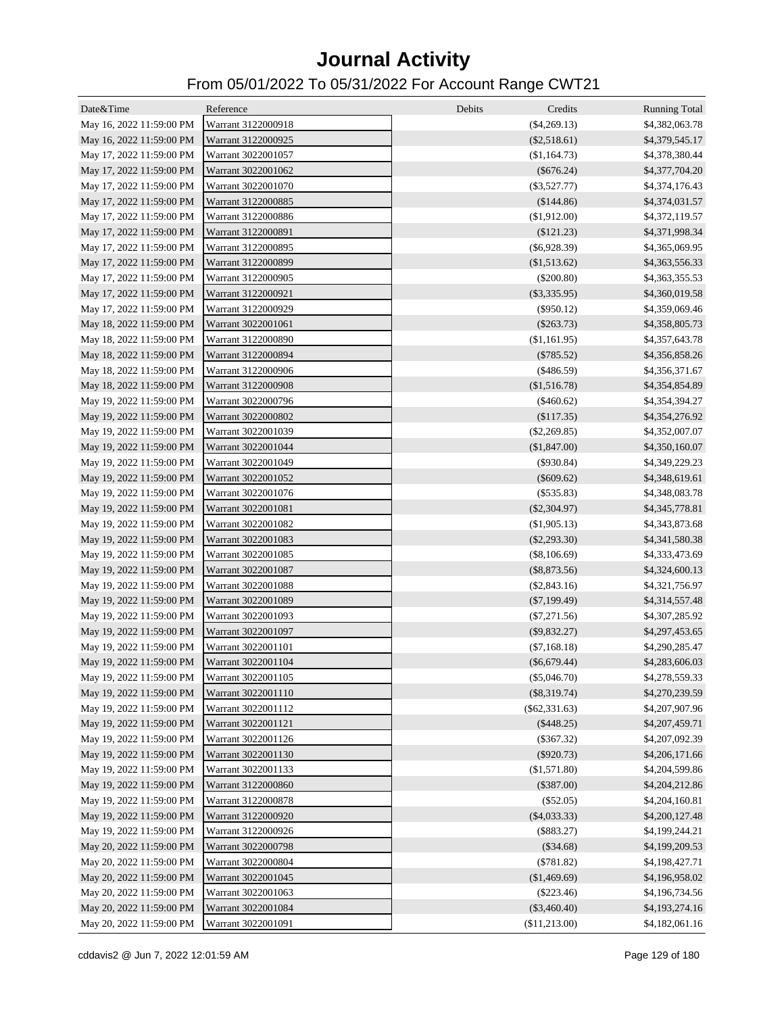| Date&Time                | Reference          | Debits<br>Credits | <b>Running Total</b> |
|--------------------------|--------------------|-------------------|----------------------|
| May 16, 2022 11:59:00 PM | Warrant 3122000918 | $(\$4,269.13)$    | \$4,382,063.78       |
| May 16, 2022 11:59:00 PM | Warrant 3122000925 | $(\$2,518.61)$    | \$4,379,545.17       |
| May 17, 2022 11:59:00 PM | Warrant 3022001057 | (\$1,164.73)      | \$4,378,380.44       |
| May 17, 2022 11:59:00 PM | Warrant 3022001062 | $(\$676.24)$      | \$4,377,704.20       |
| May 17, 2022 11:59:00 PM | Warrant 3022001070 | $(\$3,527.77)$    | \$4,374,176.43       |
| May 17, 2022 11:59:00 PM | Warrant 3122000885 | (\$144.86)        | \$4,374,031.57       |
| May 17, 2022 11:59:00 PM | Warrant 3122000886 | (\$1,912.00)      | \$4,372,119.57       |
| May 17, 2022 11:59:00 PM | Warrant 3122000891 | $(\$121.23)$      | \$4,371,998.34       |
| May 17, 2022 11:59:00 PM | Warrant 3122000895 | $(\$6,928.39)$    | \$4,365,069.95       |
| May 17, 2022 11:59:00 PM | Warrant 3122000899 | (\$1,513.62)      | \$4,363,556.33       |
| May 17, 2022 11:59:00 PM | Warrant 3122000905 | $(\$200.80)$      | \$4,363,355.53       |
| May 17, 2022 11:59:00 PM | Warrant 3122000921 | $(\$3,335.95)$    | \$4,360,019.58       |
| May 17, 2022 11:59:00 PM | Warrant 3122000929 | $(\$950.12)$      | \$4,359,069.46       |
| May 18, 2022 11:59:00 PM | Warrant 3022001061 | $(\$263.73)$      | \$4,358,805.73       |
| May 18, 2022 11:59:00 PM | Warrant 3122000890 | (\$1,161.95)      | \$4,357,643.78       |
| May 18, 2022 11:59:00 PM | Warrant 3122000894 | $(\$785.52)$      | \$4,356,858.26       |
| May 18, 2022 11:59:00 PM | Warrant 3122000906 | $(\$486.59)$      | \$4,356,371.67       |
| May 18, 2022 11:59:00 PM | Warrant 3122000908 | \$1,516.78        | \$4,354,854.89       |
| May 19, 2022 11:59:00 PM | Warrant 3022000796 | $(\$460.62)$      | \$4,354,394.27       |
| May 19, 2022 11:59:00 PM | Warrant 3022000802 | (\$117.35)        | \$4,354,276.92       |
| May 19, 2022 11:59:00 PM | Warrant 3022001039 | $(\$2,269.85)$    | \$4,352,007.07       |
| May 19, 2022 11:59:00 PM | Warrant 3022001044 | (\$1,847.00)      | \$4,350,160.07       |
| May 19, 2022 11:59:00 PM | Warrant 3022001049 | $(\$930.84)$      | \$4,349,229.23       |
| May 19, 2022 11:59:00 PM | Warrant 3022001052 | $(\$609.62)$      | \$4,348,619.61       |
| May 19, 2022 11:59:00 PM | Warrant 3022001076 | $(\$535.83)$      | \$4,348,083.78       |
| May 19, 2022 11:59:00 PM | Warrant 3022001081 | $(\$2,304.97)$    | \$4,345,778.81       |
| May 19, 2022 11:59:00 PM | Warrant 3022001082 | (\$1,905.13)      | \$4,343,873.68       |
| May 19, 2022 11:59:00 PM | Warrant 3022001083 | $(\$2,293.30)$    | \$4,341,580.38       |
| May 19, 2022 11:59:00 PM | Warrant 3022001085 | $(\$8,106.69)$    | \$4,333,473.69       |
| May 19, 2022 11:59:00 PM | Warrant 3022001087 | $(\$8,873.56)$    | \$4,324,600.13       |
| May 19, 2022 11:59:00 PM | Warrant 3022001088 | $(\$2,843.16)$    | \$4,321,756.97       |
| May 19, 2022 11:59:00 PM | Warrant 3022001089 | $(\$7,199.49)$    | \$4,314,557.48       |
| May 19, 2022 11:59:00 PM | Warrant 3022001093 | $(\$7,271.56)$    | \$4,307,285.92       |
| May 19, 2022 11:59:00 PM | Warrant 3022001097 | $(\$9,832.27)$    | \$4,297,453.65       |
| May 19, 2022 11:59:00 PM | Warrant 3022001101 | $(\$7,168.18)$    | \$4,290,285.47       |
| May 19, 2022 11:59:00 PM | Warrant 3022001104 | $(\$6,679.44)$    | \$4,283,606.03       |
| May 19, 2022 11:59:00 PM | Warrant 3022001105 | $(\$5,046.70)$    | \$4,278,559.33       |
| May 19, 2022 11:59:00 PM | Warrant 3022001110 | $(\$8,319.74)$    | \$4,270,239.59       |
| May 19, 2022 11:59:00 PM | Warrant 3022001112 | $(\$62,331.63)$   | \$4,207,907.96       |
| May 19, 2022 11:59:00 PM | Warrant 3022001121 | $(\$448.25)$      | \$4,207,459.71       |
| May 19, 2022 11:59:00 PM | Warrant 3022001126 | $(\$367.32)$      | \$4,207,092.39       |
| May 19, 2022 11:59:00 PM | Warrant 3022001130 | $(\$920.73)$      | \$4,206,171.66       |
| May 19, 2022 11:59:00 PM | Warrant 3022001133 | (\$1,571.80)      | \$4,204,599.86       |
| May 19, 2022 11:59:00 PM | Warrant 3122000860 | $(\$387.00)$      | \$4,204,212.86       |
| May 19, 2022 11:59:00 PM | Warrant 3122000878 | $(\$52.05)$       | \$4,204,160.81       |
| May 19, 2022 11:59:00 PM | Warrant 3122000920 | $(\$4,033.33)$    | \$4,200,127.48       |
| May 19, 2022 11:59:00 PM | Warrant 3122000926 | $(\$883.27)$      | \$4,199,244.21       |
| May 20, 2022 11:59:00 PM | Warrant 3022000798 | $(\$34.68)$       | \$4,199,209.53       |
| May 20, 2022 11:59:00 PM | Warrant 3022000804 | $(\$781.82)$      | \$4,198,427.71       |
| May 20, 2022 11:59:00 PM | Warrant 3022001045 | (\$1,469.69)      | \$4,196,958.02       |
| May 20, 2022 11:59:00 PM | Warrant 3022001063 | $(\$223.46)$      | \$4,196,734.56       |
| May 20, 2022 11:59:00 PM | Warrant 3022001084 | $(\$3,460.40)$    | \$4,193,274.16       |
| May 20, 2022 11:59:00 PM | Warrant 3022001091 | (\$11,213.00)     | \$4,182,061.16       |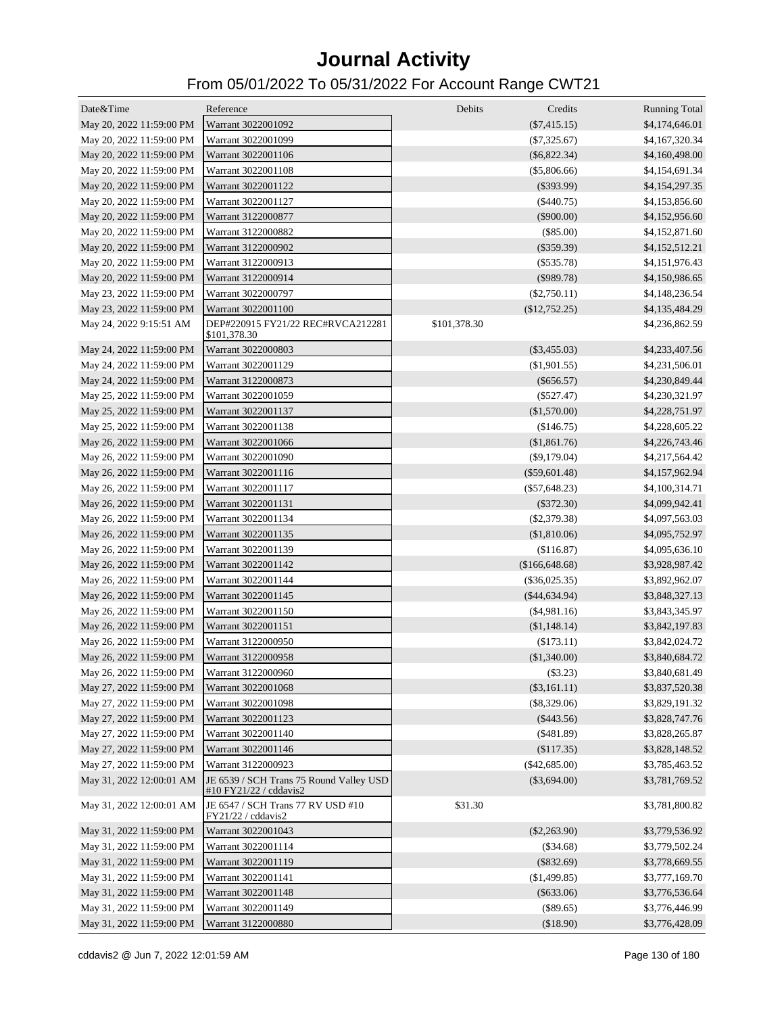| Date&Time                | Reference                                                         | Debits       | Credits                          | <b>Running Total</b> |
|--------------------------|-------------------------------------------------------------------|--------------|----------------------------------|----------------------|
| May 20, 2022 11:59:00 PM | Warrant 3022001092                                                |              | $(\$7,415.15)$                   | \$4,174,646.01       |
| May 20, 2022 11:59:00 PM | Warrant 3022001099                                                |              | $(\$7,325.67)$                   | \$4,167,320.34       |
| May 20, 2022 11:59:00 PM | Warrant 3022001106                                                |              | $(\$6,822.34)$                   | \$4,160,498.00       |
| May 20, 2022 11:59:00 PM | Warrant 3022001108                                                |              | $(\$5,806.66)$                   | \$4,154,691.34       |
| May 20, 2022 11:59:00 PM | Warrant 3022001122                                                |              | $(\$393.99)$                     | \$4,154,297.35       |
| May 20, 2022 11:59:00 PM | Warrant 3022001127                                                |              | $(\$440.75)$                     | \$4,153,856.60       |
| May 20, 2022 11:59:00 PM | Warrant 3122000877                                                |              | $(\$900.00)$                     | \$4,152,956.60       |
| May 20, 2022 11:59:00 PM | Warrant 3122000882                                                |              | $(\$85.00)$                      | \$4,152,871.60       |
| May 20, 2022 11:59:00 PM | Warrant 3122000902                                                |              | $(\$359.39)$                     | \$4,152,512.21       |
| May 20, 2022 11:59:00 PM | Warrant 3122000913                                                |              | $(\$535.78)$                     | \$4,151,976.43       |
| May 20, 2022 11:59:00 PM | Warrant 3122000914                                                |              | $(\$989.78)$                     | \$4,150,986.65       |
| May 23, 2022 11:59:00 PM | Warrant 3022000797                                                |              | $(\$2,750.11)$                   | \$4,148,236.54       |
| May 23, 2022 11:59:00 PM | Warrant 3022001100                                                |              | (\$12,752.25)                    | \$4,135,484.29       |
| May 24, 2022 9:15:51 AM  | DEP#220915 FY21/22 REC#RVCA212281<br>\$101,378.30                 | \$101,378.30 |                                  | \$4,236,862.59       |
| May 24, 2022 11:59:00 PM | Warrant 3022000803                                                |              | $(\$3,455.03)$                   | \$4,233,407.56       |
| May 24, 2022 11:59:00 PM | Warrant 3022001129                                                |              | $(\$1,901.55)$                   | \$4,231,506.01       |
| May 24, 2022 11:59:00 PM | Warrant 3122000873                                                |              | $(\$656.57)$                     | \$4,230,849.44       |
| May 25, 2022 11:59:00 PM | Warrant 3022001059                                                |              | $(\$527.47)$                     | \$4,230,321.97       |
| May 25, 2022 11:59:00 PM | Warrant 3022001137                                                |              | (\$1,570.00)                     | \$4,228,751.97       |
| May 25, 2022 11:59:00 PM | Warrant 3022001138                                                |              | (\$146.75)                       | \$4,228,605.22       |
| May 26, 2022 11:59:00 PM | Warrant 3022001066                                                |              | (\$1,861.76)                     | \$4,226,743.46       |
| May 26, 2022 11:59:00 PM | Warrant 3022001090                                                |              | $(\$9,179.04)$                   | \$4,217,564.42       |
| May 26, 2022 11:59:00 PM | Warrant 3022001116                                                |              | $(\$59,601.48)$                  | \$4,157,962.94       |
| May 26, 2022 11:59:00 PM | Warrant 3022001117                                                |              | $(\$57,648.23)$                  | \$4,100,314.71       |
| May 26, 2022 11:59:00 PM | Warrant 3022001131                                                |              | $(\$372.30)$                     | \$4,099,942.41       |
| May 26, 2022 11:59:00 PM | Warrant 3022001134                                                |              | $(\$2,379.38)$                   | \$4,097,563.03       |
| May 26, 2022 11:59:00 PM | Warrant 3022001135                                                |              | (\$1,810.06)                     | \$4,095,752.97       |
| May 26, 2022 11:59:00 PM | Warrant 3022001139                                                |              | (\$116.87)                       | \$4,095,636.10       |
| May 26, 2022 11:59:00 PM | Warrant 3022001142                                                |              | (\$166, 648.68)                  | \$3,928,987.42       |
| May 26, 2022 11:59:00 PM | Warrant 3022001144                                                |              |                                  |                      |
|                          | Warrant 3022001145                                                |              | $(\$36,025.35)$<br>(\$44,634.94) | \$3,892,962.07       |
| May 26, 2022 11:59:00 PM |                                                                   |              |                                  | \$3,848,327.13       |
| May 26, 2022 11:59:00 PM | Warrant 3022001150                                                |              | $(\$4,981.16)$                   | \$3,843,345.97       |
| May 26, 2022 11:59:00 PM | Warrant 3022001151                                                |              | (\$1,148.14)                     | \$3,842,197.83       |
| May 26, 2022 11:59:00 PM | Warrant 3122000950                                                |              | (\$173.11)                       | \$3,842,024.72       |
| May 26, 2022 11:59:00 PM | Warrant 3122000958                                                |              | (\$1,340.00)                     | \$3,840,684.72       |
| May 26, 2022 11:59:00 PM | Warrant 3122000960                                                |              | (\$3.23)                         | \$3,840,681.49       |
| May 27, 2022 11:59:00 PM | Warrant 3022001068                                                |              | $(\$3,161.11)$                   | \$3,837,520.38       |
| May 27, 2022 11:59:00 PM | Warrant 3022001098                                                |              | $(\$8,329.06)$                   | \$3,829,191.32       |
| May 27, 2022 11:59:00 PM | Warrant 3022001123                                                |              | $(\$443.56)$                     | \$3,828,747.76       |
| May 27, 2022 11:59:00 PM | Warrant 3022001140                                                |              | $(\$481.89)$                     | \$3,828,265.87       |
| May 27, 2022 11:59:00 PM | Warrant 3022001146                                                |              | (\$117.35)                       | \$3,828,148.52       |
| May 27, 2022 11:59:00 PM | Warrant 3122000923                                                |              | $(\$42,685.00)$                  | \$3,785,463.52       |
| May 31, 2022 12:00:01 AM | JE 6539 / SCH Trans 75 Round Valley USD<br>#10 FY21/22 / cddavis2 |              | $(\$3,694.00)$                   | \$3,781,769.52       |
| May 31, 2022 12:00:01 AM | JE 6547 / SCH Trans 77 RV USD #10<br>FY21/22 / cddavis2           | \$31.30      |                                  | \$3,781,800.82       |
| May 31, 2022 11:59:00 PM | Warrant 3022001043                                                |              | $(\$2,263.90)$                   | \$3,779,536.92       |
| May 31, 2022 11:59:00 PM | Warrant 3022001114                                                |              | $(\$34.68)$                      | \$3,779,502.24       |
| May 31, 2022 11:59:00 PM | Warrant 3022001119                                                |              | $(\$832.69)$                     | \$3,778,669.55       |
| May 31, 2022 11:59:00 PM | Warrant 3022001141                                                |              | (\$1,499.85)                     | \$3,777,169.70       |
| May 31, 2022 11:59:00 PM | Warrant 3022001148                                                |              | $(\$633.06)$                     | \$3,776,536.64       |
| May 31, 2022 11:59:00 PM | Warrant 3022001149                                                |              | $(\$89.65)$                      | \$3,776,446.99       |
| May 31, 2022 11:59:00 PM | Warrant 3122000880                                                |              | (\$18.90)                        | \$3,776,428.09       |
|                          |                                                                   |              |                                  |                      |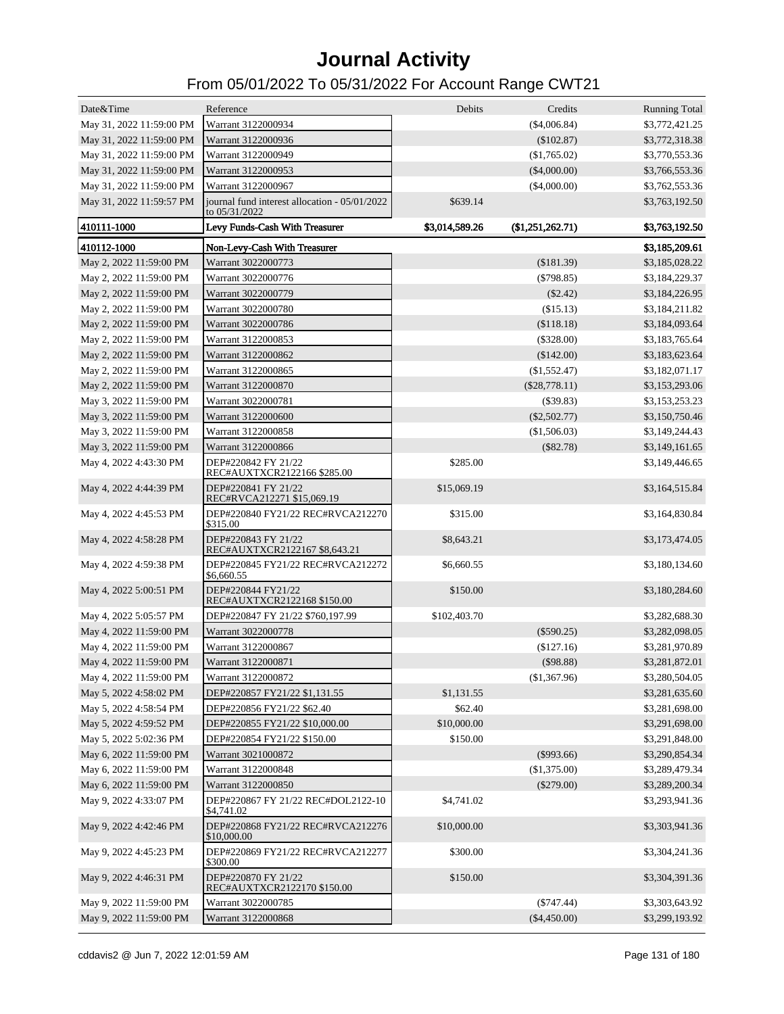| Date&Time                | Reference                                                        | Debits         | Credits          | <b>Running Total</b> |
|--------------------------|------------------------------------------------------------------|----------------|------------------|----------------------|
| May 31, 2022 11:59:00 PM | Warrant 3122000934                                               |                | (\$4,006.84)     | \$3,772,421.25       |
| May 31, 2022 11:59:00 PM | Warrant 3122000936                                               |                | $(\$102.87)$     | \$3,772,318.38       |
| May 31, 2022 11:59:00 PM | Warrant 3122000949                                               |                | $(\$1,765.02)$   | \$3,770,553.36       |
| May 31, 2022 11:59:00 PM | Warrant 3122000953                                               |                | $(\$4,000.00)$   | \$3,766,553.36       |
| May 31, 2022 11:59:00 PM | Warrant 3122000967                                               |                | $(\$4,000.00)$   | \$3,762,553.36       |
| May 31, 2022 11:59:57 PM | journal fund interest allocation - 05/01/2022<br>to $05/31/2022$ | \$639.14       |                  | \$3,763,192.50       |
| 410111-1000              | Levy Funds-Cash With Treasurer                                   | \$3,014,589.26 | (\$1,251,262.71) | \$3,763,192.50       |
| 410112-1000              | Non-Levy-Cash With Treasurer                                     |                |                  | \$3,185,209.61       |
| May 2, 2022 11:59:00 PM  | Warrant 3022000773                                               |                | (\$181.39)       | \$3,185,028.22       |
| May 2, 2022 11:59:00 PM  | Warrant 3022000776                                               |                | $(\$798.85)$     | \$3,184,229.37       |
| May 2, 2022 11:59:00 PM  | Warrant 3022000779                                               |                | $(\$2.42)$       | \$3,184,226.95       |
| May 2, 2022 11:59:00 PM  | Warrant 3022000780                                               |                | (\$15.13)        | \$3,184,211.82       |
| May 2, 2022 11:59:00 PM  | Warrant 3022000786                                               |                | (\$118.18)       | \$3,184,093.64       |
| May 2, 2022 11:59:00 PM  | Warrant 3122000853                                               |                | $(\$328.00)$     | \$3,183,765.64       |
| May 2, 2022 11:59:00 PM  | Warrant 3122000862                                               |                | (\$142.00)       | \$3,183,623.64       |
| May 2, 2022 11:59:00 PM  | Warrant 3122000865                                               |                | (\$1,552.47)     | \$3,182,071.17       |
| May 2, 2022 11:59:00 PM  | Warrant 3122000870                                               |                | (\$28,778.11)    | \$3,153,293.06       |
| May 3, 2022 11:59:00 PM  | Warrant 3022000781                                               |                | $($ \$39.83)     | \$3,153,253.23       |
| May 3, 2022 11:59:00 PM  | Warrant 3122000600                                               |                | $(\$2,502.77)$   | \$3,150,750.46       |
| May 3, 2022 11:59:00 PM  | Warrant 3122000858                                               |                | (\$1,506.03)     | \$3,149,244.43       |
|                          | Warrant 3122000866                                               |                | (\$82.78)        | \$3,149,161.65       |
| May 3, 2022 11:59:00 PM  |                                                                  |                |                  |                      |
| May 4, 2022 4:43:30 PM   | DEP#220842 FY 21/22<br>REC#AUXTXCR2122166 \$285.00               | \$285.00       |                  | \$3,149,446.65       |
| May 4, 2022 4:44:39 PM   | DEP#220841 FY 21/22<br>REC#RVCA212271 \$15,069.19                | \$15,069.19    |                  | \$3,164,515.84       |
| May 4, 2022 4:45:53 PM   | DEP#220840 FY21/22 REC#RVCA212270<br>\$315.00                    | \$315.00       |                  | \$3,164,830.84       |
| May 4, 2022 4:58:28 PM   | DEP#220843 FY 21/22<br>REC#AUXTXCR2122167 \$8,643.21             | \$8,643.21     |                  | \$3,173,474.05       |
| May 4, 2022 4:59:38 PM   | DEP#220845 FY21/22 REC#RVCA212272<br>\$6,660.55                  | \$6,660.55     |                  | \$3,180,134.60       |
| May 4, 2022 5:00:51 PM   | DEP#220844 FY21/22<br>REC#AUXTXCR2122168 \$150.00                | \$150.00       |                  | \$3,180,284.60       |
| May 4, 2022 5:05:57 PM   | DEP#220847 FY 21/22 \$760,197.99                                 | \$102,403.70   |                  | \$3,282,688.30       |
| May 4, 2022 11:59:00 PM  | Warrant 3022000778                                               |                | $(\$590.25)$     | \$3,282,098.05       |
| May 4, 2022 11:59:00 PM  | Warrant 3122000867                                               |                | $(\$127.16)$     | \$3,281,970.89       |
| May 4, 2022 11:59:00 PM  | Warrant 3122000871                                               |                | $($ \$98.88)     | \$3,281,872.01       |
| May 4, 2022 11:59:00 PM  | Warrant 3122000872                                               |                | (\$1,367.96)     | \$3,280,504.05       |
| May 5, 2022 4:58:02 PM   | DEP#220857 FY21/22 \$1,131.55                                    | \$1,131.55     |                  | \$3,281,635.60       |
| May 5, 2022 4:58:54 PM   | DEP#220856 FY21/22 \$62.40                                       | \$62.40        |                  | \$3,281,698.00       |
| May 5, 2022 4:59:52 PM   | DEP#220855 FY21/22 \$10,000.00                                   | \$10,000.00    |                  | \$3,291,698.00       |
| May 5, 2022 5:02:36 PM   | DEP#220854 FY21/22 \$150.00                                      | \$150.00       |                  | \$3,291,848.00       |
| May 6, 2022 11:59:00 PM  | Warrant 3021000872                                               |                | $(\$993.66)$     | \$3,290,854.34       |
| May 6, 2022 11:59:00 PM  | Warrant 3122000848                                               |                | (\$1,375.00)     | \$3,289,479.34       |
| May 6, 2022 11:59:00 PM  | Warrant 3122000850                                               |                | $(\$279.00)$     | \$3,289,200.34       |
| May 9, 2022 4:33:07 PM   | DEP#220867 FY 21/22 REC#DOL2122-10                               | \$4,741.02     |                  | \$3,293,941.36       |
|                          | \$4,741.02                                                       |                |                  |                      |
| May 9, 2022 4:42:46 PM   | DEP#220868 FY21/22 REC#RVCA212276<br>\$10,000.00                 | \$10,000.00    |                  | \$3,303,941.36       |
| May 9, 2022 4:45:23 PM   | DEP#220869 FY21/22 REC#RVCA212277<br>\$300.00                    | \$300.00       |                  | \$3,304,241.36       |
| May 9, 2022 4:46:31 PM   | DEP#220870 FY 21/22<br>REC#AUXTXCR2122170 \$150.00               | \$150.00       |                  | \$3,304,391.36       |
| May 9, 2022 11:59:00 PM  | Warrant 3022000785                                               |                | $(\$747.44)$     | \$3,303,643.92       |
| May 9, 2022 11:59:00 PM  | Warrant 3122000868                                               |                | $(\$4,450.00)$   | \$3,299,193.92       |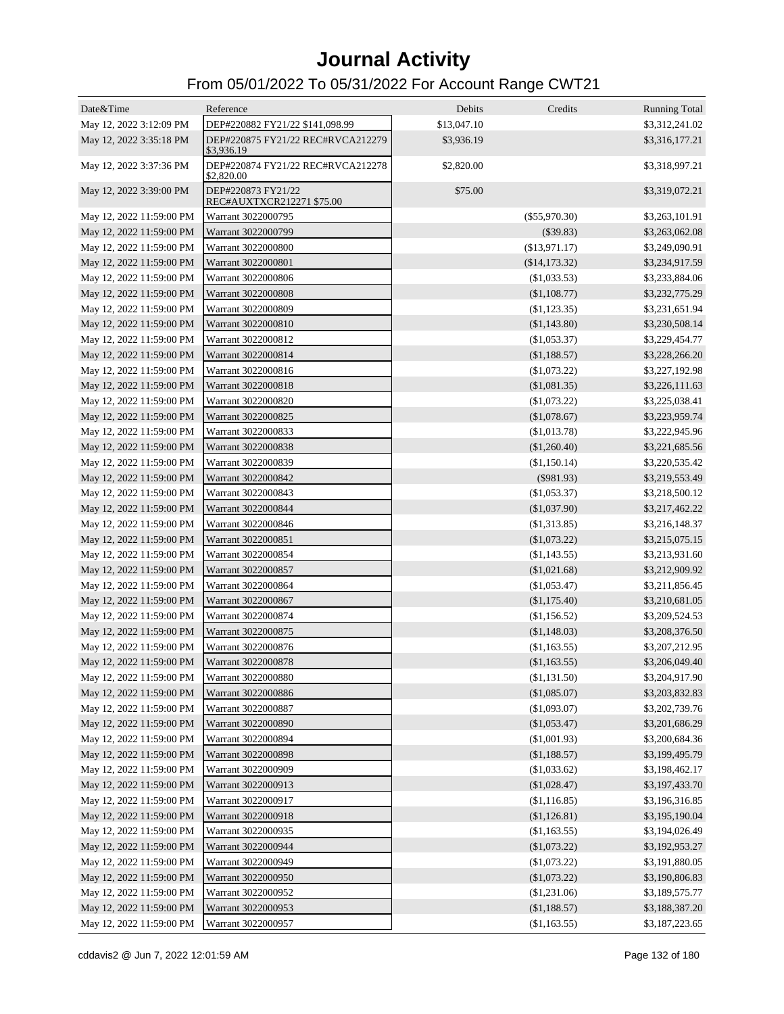| Date&Time                                            | Reference                                       | Debits      | Credits                      | <b>Running Total</b>             |
|------------------------------------------------------|-------------------------------------------------|-------------|------------------------------|----------------------------------|
| May 12, 2022 3:12:09 PM                              | DEP#220882 FY21/22 \$141,098.99                 | \$13,047.10 |                              | \$3,312,241.02                   |
| May 12, 2022 3:35:18 PM                              | DEP#220875 FY21/22 REC#RVCA212279<br>\$3,936.19 | \$3,936.19  |                              | \$3,316,177.21                   |
| May 12, 2022 3:37:36 PM                              | DEP#220874 FY21/22 REC#RVCA212278<br>\$2,820.00 | \$2,820.00  |                              | \$3,318,997.21                   |
| May 12, 2022 3:39:00 PM                              | DEP#220873 FY21/22<br>REC#AUXTXCR212271 \$75.00 | \$75.00     |                              | \$3,319,072.21                   |
| May 12, 2022 11:59:00 PM                             | Warrant 3022000795                              |             | $(\$55,970.30)$              | \$3,263,101.91                   |
| May 12, 2022 11:59:00 PM                             | Warrant 3022000799                              |             | (\$39.83)                    | \$3,263,062.08                   |
| May 12, 2022 11:59:00 PM                             | Warrant 3022000800                              |             | (\$13,971.17)                | \$3,249,090.91                   |
| May 12, 2022 11:59:00 PM                             | Warrant 3022000801                              |             | (\$14,173.32)                | \$3,234,917.59                   |
| May 12, 2022 11:59:00 PM                             | Warrant 3022000806                              |             | (S1,033.53)                  | \$3,233,884.06                   |
| May 12, 2022 11:59:00 PM                             | Warrant 3022000808                              |             | (\$1,108.77)                 | \$3,232,775.29                   |
| May 12, 2022 11:59:00 PM                             | Warrant 3022000809                              |             | (\$1,123.35)                 | \$3,231,651.94                   |
| May 12, 2022 11:59:00 PM                             | Warrant 3022000810                              |             | (\$1,143.80)                 | \$3,230,508.14                   |
| May 12, 2022 11:59:00 PM                             | Warrant 3022000812                              |             | (\$1,053.37)                 | \$3,229,454.77                   |
| May 12, 2022 11:59:00 PM                             | Warrant 3022000814                              |             | (\$1,188.57)                 | \$3,228,266.20                   |
| May 12, 2022 11:59:00 PM                             | Warrant 3022000816                              |             | (\$1,073.22)                 | \$3,227,192.98                   |
| May 12, 2022 11:59:00 PM                             | Warrant 3022000818                              |             | (\$1,081.35)                 | \$3,226,111.63                   |
| May 12, 2022 11:59:00 PM                             | Warrant 3022000820                              |             | (\$1,073.22)                 | \$3,225,038.41                   |
| May 12, 2022 11:59:00 PM                             | Warrant 3022000825                              |             | (\$1,078.67)                 | \$3,223,959.74                   |
| May 12, 2022 11:59:00 PM                             | Warrant 3022000833                              |             | (\$1,013.78)                 | \$3,222,945.96                   |
| May 12, 2022 11:59:00 PM                             | Warrant 3022000838                              |             | (\$1,260.40)                 | \$3,221,685.56                   |
| May 12, 2022 11:59:00 PM                             | Warrant 3022000839                              |             | (\$1,150.14)                 | \$3,220,535.42                   |
| May 12, 2022 11:59:00 PM                             | Warrant 3022000842                              |             | $(\$981.93)$                 | \$3,219,553.49                   |
| May 12, 2022 11:59:00 PM                             | Warrant 3022000843                              |             | (\$1,053.37)                 | \$3,218,500.12                   |
| May 12, 2022 11:59:00 PM                             | Warrant 3022000844                              |             | (\$1,037.90)                 | \$3,217,462.22                   |
| May 12, 2022 11:59:00 PM                             | Warrant 3022000846                              |             | (\$1,313.85)                 | \$3,216,148.37                   |
| May 12, 2022 11:59:00 PM                             | Warrant 3022000851                              |             | (\$1,073.22)                 | \$3,215,075.15                   |
| May 12, 2022 11:59:00 PM                             | Warrant 3022000854                              |             | (\$1,143.55)                 | \$3,213,931.60                   |
| May 12, 2022 11:59:00 PM                             | Warrant 3022000857                              |             | (\$1,021.68)                 | \$3,212,909.92                   |
| May 12, 2022 11:59:00 PM                             | Warrant 3022000864                              |             | (\$1,053.47)                 | \$3,211,856.45                   |
| May 12, 2022 11:59:00 PM                             | Warrant 3022000867                              |             | (\$1,175.40)                 | \$3,210,681.05                   |
| May 12, 2022 11:59:00 PM                             | Warrant 3022000874                              |             | (\$1,156.52)                 | \$3,209,524.53                   |
| May 12, 2022 11:59:00 PM                             | Warrant 3022000875                              |             | (\$1,148.03)                 | \$3,208,376.50                   |
| May 12, 2022 11:59:00 PM                             | Warrant 3022000876                              |             | (\$1,163.55)                 | \$3,207,212.95                   |
| May 12, 2022 11:59:00 PM                             | Warrant 3022000878                              |             | (\$1,163.55)                 | \$3,206,049.40                   |
| May 12, 2022 11:59:00 PM                             | Warrant 3022000880                              |             | (\$1,131.50)                 | \$3,204,917.90                   |
| May 12, 2022 11:59:00 PM                             | Warrant 3022000886                              |             | (\$1,085.07)                 | \$3,203,832.83                   |
|                                                      | Warrant 3022000887                              |             |                              |                                  |
| May 12, 2022 11:59:00 PM<br>May 12, 2022 11:59:00 PM | Warrant 3022000890                              |             | (\$1,093.07)                 | \$3,202,739.76<br>\$3,201,686.29 |
|                                                      | Warrant 3022000894                              |             | (\$1,053.47)<br>(\$1,001.93) |                                  |
| May 12, 2022 11:59:00 PM                             |                                                 |             |                              | \$3,200,684.36                   |
| May 12, 2022 11:59:00 PM                             | Warrant 3022000898                              |             | (\$1,188.57)                 | \$3,199,495.79                   |
| May 12, 2022 11:59:00 PM                             | Warrant 3022000909                              |             | (\$1,033.62)                 | \$3,198,462.17                   |
| May 12, 2022 11:59:00 PM                             | Warrant 3022000913                              |             | (\$1,028.47)                 | \$3,197,433.70                   |
| May 12, 2022 11:59:00 PM                             | Warrant 3022000917                              |             | (\$1,116.85)                 | \$3,196,316.85                   |
| May 12, 2022 11:59:00 PM                             | Warrant 3022000918                              |             | (\$1,126.81)                 | \$3,195,190.04                   |
| May 12, 2022 11:59:00 PM                             | Warrant 3022000935                              |             | (\$1,163.55)                 | \$3,194,026.49                   |
| May 12, 2022 11:59:00 PM                             | Warrant 3022000944                              |             | (\$1,073.22)                 | \$3,192,953.27                   |
| May 12, 2022 11:59:00 PM                             | Warrant 3022000949                              |             | (\$1,073.22)                 | \$3,191,880.05                   |
| May 12, 2022 11:59:00 PM                             | Warrant 3022000950                              |             | (\$1,073.22)                 | \$3,190,806.83                   |
| May 12, 2022 11:59:00 PM                             | Warrant 3022000952                              |             | (\$1,231.06)                 | \$3,189,575.77                   |
| May 12, 2022 11:59:00 PM                             | Warrant 3022000953                              |             | (\$1,188.57)                 | \$3,188,387.20                   |
| May 12, 2022 11:59:00 PM                             | Warrant 3022000957                              |             | (\$1,163.55)                 | \$3,187,223.65                   |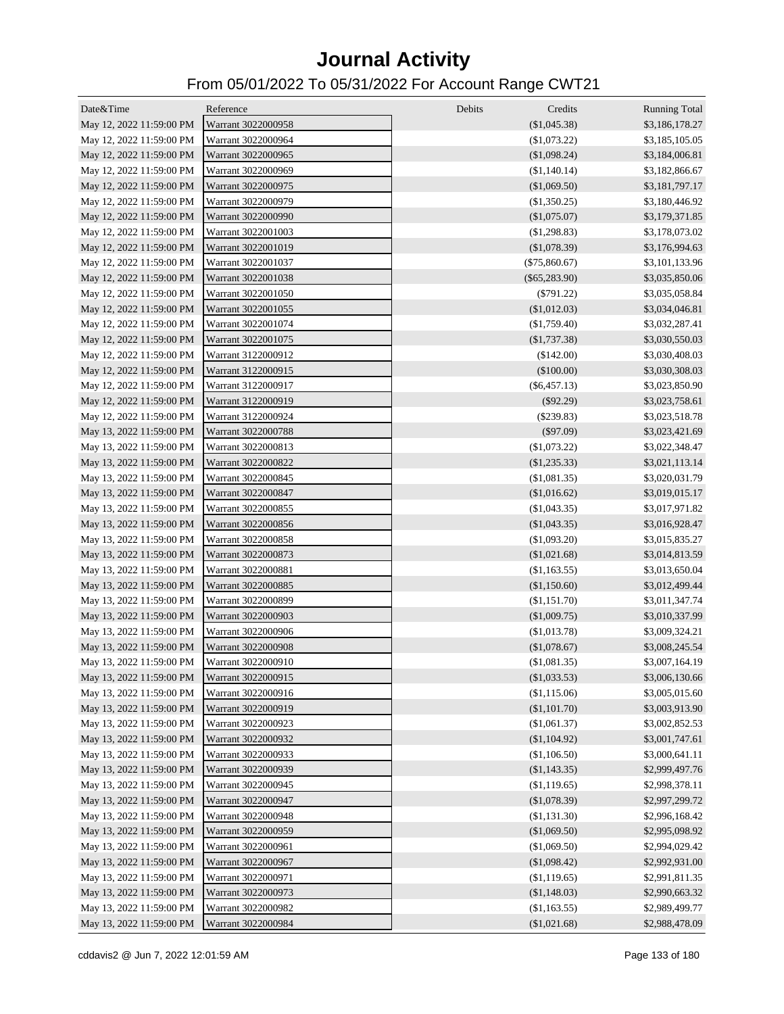| Date&Time                | Reference          | Debits<br>Credits | <b>Running Total</b> |
|--------------------------|--------------------|-------------------|----------------------|
| May 12, 2022 11:59:00 PM | Warrant 3022000958 | $(\$1,045.38)$    | \$3,186,178.27       |
| May 12, 2022 11:59:00 PM | Warrant 3022000964 | (\$1,073.22)      | \$3,185,105.05       |
| May 12, 2022 11:59:00 PM | Warrant 3022000965 | (\$1,098.24)      | \$3,184,006.81       |
| May 12, 2022 11:59:00 PM | Warrant 3022000969 | (\$1,140.14)      | \$3,182,866.67       |
| May 12, 2022 11:59:00 PM | Warrant 3022000975 | (\$1,069.50)      | \$3,181,797.17       |
| May 12, 2022 11:59:00 PM | Warrant 3022000979 | (\$1,350.25)      | \$3,180,446.92       |
| May 12, 2022 11:59:00 PM | Warrant 3022000990 | (\$1,075.07)      | \$3,179,371.85       |
| May 12, 2022 11:59:00 PM | Warrant 3022001003 | (\$1,298.83)      | \$3,178,073.02       |
| May 12, 2022 11:59:00 PM | Warrant 3022001019 | (\$1,078.39)      | \$3,176,994.63       |
| May 12, 2022 11:59:00 PM | Warrant 3022001037 | $(\$75,860.67)$   | \$3,101,133.96       |
| May 12, 2022 11:59:00 PM | Warrant 3022001038 | $(\$65,283.90)$   | \$3,035,850.06       |
| May 12, 2022 11:59:00 PM | Warrant 3022001050 | $(\$791.22)$      | \$3,035,058.84       |
| May 12, 2022 11:59:00 PM | Warrant 3022001055 | (\$1,012.03)      | \$3,034,046.81       |
| May 12, 2022 11:59:00 PM | Warrant 3022001074 | (\$1,759.40)      | \$3,032,287.41       |
| May 12, 2022 11:59:00 PM | Warrant 3022001075 | $(\$1,737.38)$    | \$3,030,550.03       |
| May 12, 2022 11:59:00 PM | Warrant 3122000912 | (\$142.00)        | \$3,030,408.03       |
| May 12, 2022 11:59:00 PM | Warrant 3122000915 | $(\$100.00)$      | \$3,030,308.03       |
| May 12, 2022 11:59:00 PM | Warrant 3122000917 | $(\$6,457.13)$    | \$3,023,850.90       |
| May 12, 2022 11:59:00 PM | Warrant 3122000919 | $(\$92.29)$       | \$3,023,758.61       |
| May 12, 2022 11:59:00 PM | Warrant 3122000924 | $(\$239.83)$      | \$3,023,518.78       |
| May 13, 2022 11:59:00 PM | Warrant 3022000788 | $(\$97.09)$       | \$3,023,421.69       |
| May 13, 2022 11:59:00 PM | Warrant 3022000813 | (\$1,073.22)      | \$3,022,348.47       |
| May 13, 2022 11:59:00 PM | Warrant 3022000822 | $(\$1,235.33)$    | \$3,021,113.14       |
| May 13, 2022 11:59:00 PM | Warrant 3022000845 | (\$1,081.35)      | \$3,020,031.79       |
| May 13, 2022 11:59:00 PM | Warrant 3022000847 | (\$1,016.62)      | \$3,019,015.17       |
| May 13, 2022 11:59:00 PM | Warrant 3022000855 | (\$1,043.35)      | \$3,017,971.82       |
| May 13, 2022 11:59:00 PM | Warrant 3022000856 | (\$1,043.35)      | \$3,016,928.47       |
| May 13, 2022 11:59:00 PM | Warrant 3022000858 | (\$1,093.20)      | \$3,015,835.27       |
| May 13, 2022 11:59:00 PM | Warrant 3022000873 | (\$1,021.68)      | \$3,014,813.59       |
| May 13, 2022 11:59:00 PM | Warrant 3022000881 | (\$1,163.55)      | \$3,013,650.04       |
| May 13, 2022 11:59:00 PM | Warrant 3022000885 | (\$1,150.60)      | \$3,012,499.44       |
| May 13, 2022 11:59:00 PM | Warrant 3022000899 | (\$1,151.70)      | \$3,011,347.74       |
| May 13, 2022 11:59:00 PM | Warrant 3022000903 | (\$1,009.75)      | \$3,010,337.99       |
| May 13, 2022 11:59:00 PM | Warrant 3022000906 | (\$1,013.78)      | \$3,009,324.21       |
| May 13, 2022 11:59:00 PM | Warrant 3022000908 | (\$1,078.67)      | \$3,008,245.54       |
| May 13, 2022 11:59:00 PM | Warrant 3022000910 | (\$1,081.35)      | \$3,007,164.19       |
| May 13, 2022 11:59:00 PM | Warrant 3022000915 | (\$1,033.53)      | \$3,006,130.66       |
| May 13, 2022 11:59:00 PM | Warrant 3022000916 | (\$1,115.06)      | \$3,005,015.60       |
| May 13, 2022 11:59:00 PM | Warrant 3022000919 | (\$1,101.70)      | \$3,003,913.90       |
| May 13, 2022 11:59:00 PM | Warrant 3022000923 | (\$1,061.37)      | \$3,002,852.53       |
| May 13, 2022 11:59:00 PM | Warrant 3022000932 | (\$1,104.92)      | \$3,001,747.61       |
| May 13, 2022 11:59:00 PM | Warrant 3022000933 | (\$1,106.50)      | \$3,000,641.11       |
| May 13, 2022 11:59:00 PM | Warrant 3022000939 | (\$1,143.35)      | \$2,999,497.76       |
| May 13, 2022 11:59:00 PM | Warrant 3022000945 | (\$1,119.65)      | \$2,998,378.11       |
| May 13, 2022 11:59:00 PM | Warrant 3022000947 | (\$1,078.39)      | \$2,997,299.72       |
| May 13, 2022 11:59:00 PM | Warrant 3022000948 | (\$1,131.30)      | \$2,996,168.42       |
| May 13, 2022 11:59:00 PM | Warrant 3022000959 | (\$1,069.50)      | \$2,995,098.92       |
| May 13, 2022 11:59:00 PM | Warrant 3022000961 | (\$1,069.50)      | \$2,994,029.42       |
| May 13, 2022 11:59:00 PM | Warrant 3022000967 | (\$1,098.42)      | \$2,992,931.00       |
| May 13, 2022 11:59:00 PM | Warrant 3022000971 | (\$1,119.65)      | \$2,991,811.35       |
| May 13, 2022 11:59:00 PM | Warrant 3022000973 | (\$1,148.03)      | \$2,990,663.32       |
| May 13, 2022 11:59:00 PM | Warrant 3022000982 | (\$1,163.55)      | \$2,989,499.77       |
| May 13, 2022 11:59:00 PM | Warrant 3022000984 | (\$1,021.68)      | \$2,988,478.09       |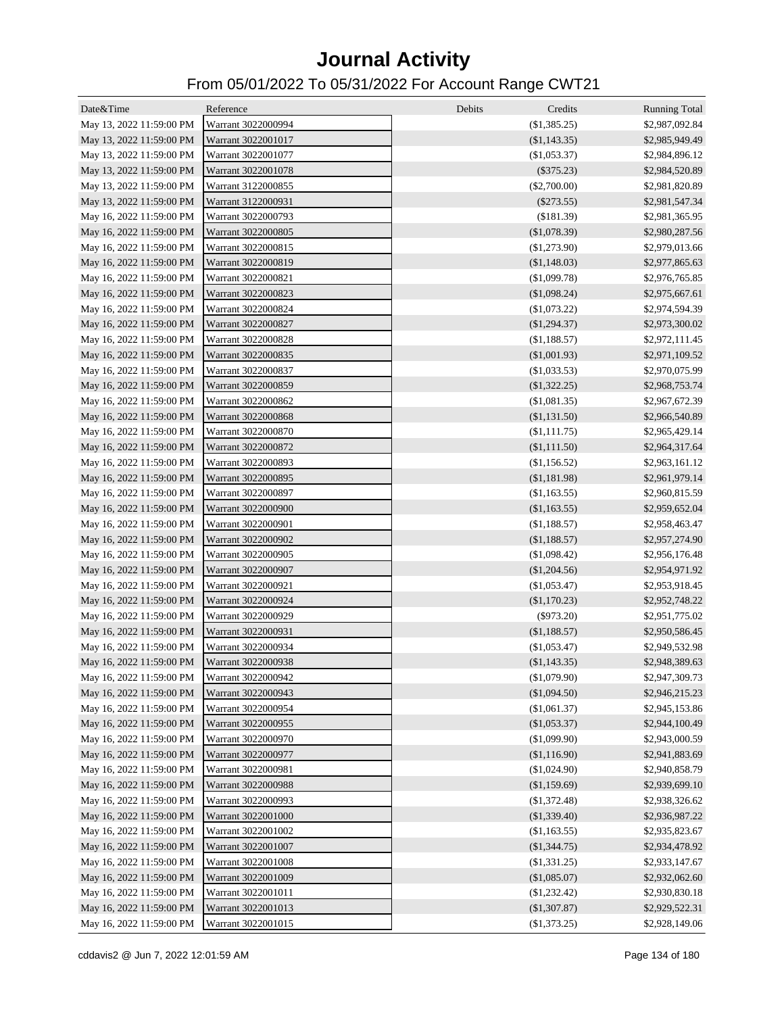| Date&Time                | Reference          | Debits<br>Credits | <b>Running Total</b> |
|--------------------------|--------------------|-------------------|----------------------|
| May 13, 2022 11:59:00 PM | Warrant 3022000994 | (\$1,385.25)      | \$2,987,092.84       |
| May 13, 2022 11:59:00 PM | Warrant 3022001017 | (S1, 143.35)      | \$2,985,949.49       |
| May 13, 2022 11:59:00 PM | Warrant 3022001077 | (\$1,053.37)      | \$2,984,896.12       |
| May 13, 2022 11:59:00 PM | Warrant 3022001078 | $(\$375.23)$      | \$2,984,520.89       |
| May 13, 2022 11:59:00 PM | Warrant 3122000855 | $(\$2,700.00)$    | \$2,981,820.89       |
| May 13, 2022 11:59:00 PM | Warrant 3122000931 | $(\$273.55)$      | \$2,981,547.34       |
| May 16, 2022 11:59:00 PM | Warrant 3022000793 | (\$181.39)        | \$2,981,365.95       |
| May 16, 2022 11:59:00 PM | Warrant 3022000805 | (\$1,078.39)      | \$2,980,287.56       |
| May 16, 2022 11:59:00 PM | Warrant 3022000815 | (\$1,273.90)      | \$2,979,013.66       |
| May 16, 2022 11:59:00 PM | Warrant 3022000819 | (\$1,148.03)      | \$2,977,865.63       |
| May 16, 2022 11:59:00 PM | Warrant 3022000821 | (\$1,099.78)      | \$2,976,765.85       |
| May 16, 2022 11:59:00 PM | Warrant 3022000823 | (\$1,098.24)      | \$2,975,667.61       |
| May 16, 2022 11:59:00 PM | Warrant 3022000824 | (\$1,073.22)      | \$2,974,594.39       |
| May 16, 2022 11:59:00 PM | Warrant 3022000827 | (\$1,294.37)      | \$2,973,300.02       |
| May 16, 2022 11:59:00 PM | Warrant 3022000828 | (\$1,188.57)      | \$2,972,111.45       |
| May 16, 2022 11:59:00 PM | Warrant 3022000835 | (\$1,001.93)      | \$2,971,109.52       |
| May 16, 2022 11:59:00 PM | Warrant 3022000837 | $(\$1,033.53)$    | \$2,970,075.99       |
| May 16, 2022 11:59:00 PM | Warrant 3022000859 | (\$1,322.25)      | \$2,968,753.74       |
| May 16, 2022 11:59:00 PM | Warrant 3022000862 | (\$1,081.35)      | \$2,967,672.39       |
| May 16, 2022 11:59:00 PM | Warrant 3022000868 | (\$1,131.50)      | \$2,966,540.89       |
| May 16, 2022 11:59:00 PM | Warrant 3022000870 | $(\$1,111.75)$    | \$2,965,429.14       |
| May 16, 2022 11:59:00 PM | Warrant 3022000872 | (\$1,111.50)      | \$2,964,317.64       |
| May 16, 2022 11:59:00 PM | Warrant 3022000893 | (\$1,156.52)      | \$2,963,161.12       |
| May 16, 2022 11:59:00 PM | Warrant 3022000895 | (\$1,181.98)      | \$2,961,979.14       |
| May 16, 2022 11:59:00 PM | Warrant 3022000897 | (\$1,163.55)      | \$2,960,815.59       |
| May 16, 2022 11:59:00 PM | Warrant 3022000900 | (\$1,163.55)      | \$2,959,652.04       |
| May 16, 2022 11:59:00 PM | Warrant 3022000901 | (\$1,188.57)      | \$2,958,463.47       |
| May 16, 2022 11:59:00 PM | Warrant 3022000902 | (\$1,188.57)      | \$2,957,274.90       |
| May 16, 2022 11:59:00 PM | Warrant 3022000905 | (\$1,098.42)      | \$2,956,176.48       |
| May 16, 2022 11:59:00 PM | Warrant 3022000907 | (\$1,204.56)      | \$2,954,971.92       |
| May 16, 2022 11:59:00 PM | Warrant 3022000921 | (\$1,053.47)      | \$2,953,918.45       |
| May 16, 2022 11:59:00 PM | Warrant 3022000924 | (\$1,170.23)      | \$2,952,748.22       |
| May 16, 2022 11:59:00 PM | Warrant 3022000929 | $(\$973.20)$      | \$2,951,775.02       |
| May 16, 2022 11:59:00 PM | Warrant 3022000931 | (\$1,188.57)      | \$2,950,586.45       |
| May 16, 2022 11:59:00 PM | Warrant 3022000934 | (\$1,053.47)      | \$2,949,532.98       |
| May 16, 2022 11:59:00 PM | Warrant 3022000938 | $(\$1,143.35)$    | \$2,948,389.63       |
| May 16, 2022 11:59:00 PM | Warrant 3022000942 | (\$1,079.90)      | \$2,947,309.73       |
| May 16, 2022 11:59:00 PM | Warrant 3022000943 | (\$1,094.50)      | \$2,946,215.23       |
| May 16, 2022 11:59:00 PM | Warrant 3022000954 | (\$1,061.37)      | \$2,945,153.86       |
| May 16, 2022 11:59:00 PM | Warrant 3022000955 | (\$1,053.37)      | \$2,944,100.49       |
| May 16, 2022 11:59:00 PM | Warrant 3022000970 | (\$1,099.90)      | \$2,943,000.59       |
| May 16, 2022 11:59:00 PM | Warrant 3022000977 | (\$1,116.90)      | \$2,941,883.69       |
| May 16, 2022 11:59:00 PM | Warrant 3022000981 | (\$1,024.90)      | \$2,940,858.79       |
| May 16, 2022 11:59:00 PM | Warrant 3022000988 | (\$1,159.69)      | \$2,939,699.10       |
| May 16, 2022 11:59:00 PM | Warrant 3022000993 | (\$1,372.48)      | \$2,938,326.62       |
| May 16, 2022 11:59:00 PM | Warrant 3022001000 | (\$1,339.40)      | \$2,936,987.22       |
| May 16, 2022 11:59:00 PM | Warrant 3022001002 | (\$1,163.55)      | \$2,935,823.67       |
| May 16, 2022 11:59:00 PM | Warrant 3022001007 | (\$1,344.75)      | \$2,934,478.92       |
| May 16, 2022 11:59:00 PM | Warrant 3022001008 | (\$1,331.25)      | \$2,933,147.67       |
| May 16, 2022 11:59:00 PM | Warrant 3022001009 | (\$1,085.07)      | \$2,932,062.60       |
| May 16, 2022 11:59:00 PM | Warrant 3022001011 | (\$1,232.42)      | \$2,930,830.18       |
| May 16, 2022 11:59:00 PM | Warrant 3022001013 | (\$1,307.87)      | \$2,929,522.31       |
| May 16, 2022 11:59:00 PM | Warrant 3022001015 | (\$1,373.25)      | \$2,928,149.06       |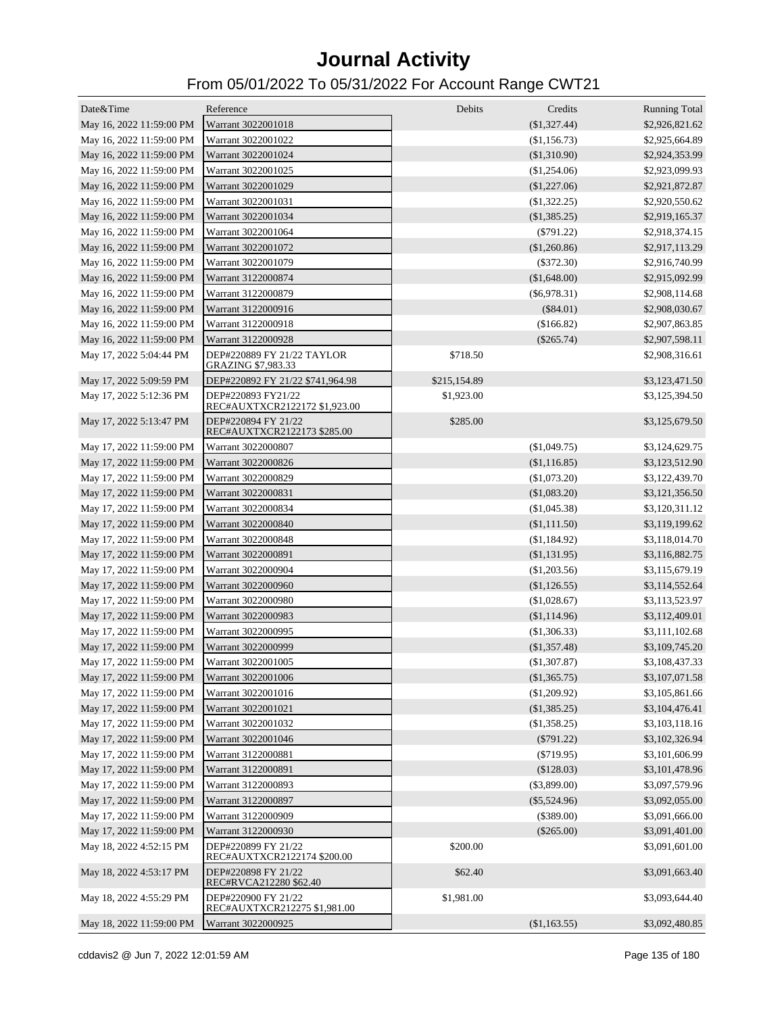| Date&Time                | Reference                                           | Debits       | Credits        | <b>Running Total</b> |
|--------------------------|-----------------------------------------------------|--------------|----------------|----------------------|
| May 16, 2022 11:59:00 PM | Warrant 3022001018                                  |              | (\$1,327.44)   | \$2,926,821.62       |
| May 16, 2022 11:59:00 PM | Warrant 3022001022                                  |              | (\$1,156.73)   | \$2,925,664.89       |
| May 16, 2022 11:59:00 PM | Warrant 3022001024                                  |              | (\$1,310.90)   | \$2,924,353.99       |
| May 16, 2022 11:59:00 PM | Warrant 3022001025                                  |              | (\$1,254.06)   | \$2,923,099.93       |
| May 16, 2022 11:59:00 PM | Warrant 3022001029                                  |              | $(\$1,227.06)$ | \$2,921,872.87       |
| May 16, 2022 11:59:00 PM | Warrant 3022001031                                  |              | (\$1,322.25)   | \$2,920,550.62       |
| May 16, 2022 11:59:00 PM | Warrant 3022001034                                  |              | (\$1,385.25)   | \$2,919,165.37       |
| May 16, 2022 11:59:00 PM | Warrant 3022001064                                  |              | $(\$791.22)$   | \$2,918,374.15       |
| May 16, 2022 11:59:00 PM | Warrant 3022001072                                  |              | (\$1,260.86)   | \$2,917,113.29       |
| May 16, 2022 11:59:00 PM | Warrant 3022001079                                  |              | $(\$372.30)$   | \$2,916,740.99       |
| May 16, 2022 11:59:00 PM | Warrant 3122000874                                  |              | (\$1,648.00)   | \$2,915,092.99       |
| May 16, 2022 11:59:00 PM | Warrant 3122000879                                  |              | $(\$6,978.31)$ | \$2,908,114.68       |
| May 16, 2022 11:59:00 PM | Warrant 3122000916                                  |              | $(\$84.01)$    | \$2,908,030.67       |
| May 16, 2022 11:59:00 PM | Warrant 3122000918                                  |              | (\$166.82)     | \$2,907,863.85       |
| May 16, 2022 11:59:00 PM | Warrant 3122000928                                  |              | $(\$265.74)$   | \$2,907,598.11       |
| May 17, 2022 5:04:44 PM  | DEP#220889 FY 21/22 TAYLOR<br>GRAZING \$7,983.33    | \$718.50     |                | \$2,908,316.61       |
| May 17, 2022 5:09:59 PM  | DEP#220892 FY 21/22 \$741,964.98                    | \$215,154.89 |                | \$3,123,471.50       |
| May 17, 2022 5:12:36 PM  | DEP#220893 FY21/22<br>REC#AUXTXCR2122172 \$1,923.00 | \$1,923.00   |                | \$3,125,394.50       |
| May 17, 2022 5:13:47 PM  | DEP#220894 FY 21/22<br>REC#AUXTXCR2122173 \$285.00  | \$285.00     |                | \$3,125,679.50       |
| May 17, 2022 11:59:00 PM | Warrant 3022000807                                  |              | (\$1,049.75)   | \$3,124,629.75       |
| May 17, 2022 11:59:00 PM | Warrant 3022000826                                  |              | (\$1,116.85)   | \$3,123,512.90       |
| May 17, 2022 11:59:00 PM | Warrant 3022000829                                  |              | (\$1,073.20)   | \$3,122,439.70       |
| May 17, 2022 11:59:00 PM | Warrant 3022000831                                  |              | (\$1,083.20)   | \$3,121,356.50       |
| May 17, 2022 11:59:00 PM | Warrant 3022000834                                  |              | (\$1,045.38)   | \$3,120,311.12       |
| May 17, 2022 11:59:00 PM | Warrant 3022000840                                  |              | (\$1,111.50)   | \$3,119,199.62       |
| May 17, 2022 11:59:00 PM | Warrant 3022000848                                  |              | (\$1,184.92)   | \$3,118,014.70       |
| May 17, 2022 11:59:00 PM | Warrant 3022000891                                  |              | (\$1,131.95)   | \$3,116,882.75       |
| May 17, 2022 11:59:00 PM | Warrant 3022000904                                  |              | (\$1,203.56)   | \$3,115,679.19       |
| May 17, 2022 11:59:00 PM | Warrant 3022000960                                  |              | (\$1,126.55)   | \$3,114,552.64       |
| May 17, 2022 11:59:00 PM | Warrant 3022000980                                  |              | (\$1,028.67)   | \$3,113,523.97       |
| May 17, 2022 11:59:00 PM | Warrant 3022000983                                  |              | (\$1,114.96)   | \$3,112,409.01       |
| May 17, 2022 11:59:00 PM | Warrant 3022000995                                  |              | (\$1,306.33)   | \$3,111,102.68       |
| May 17, 2022 11:59:00 PM | Warrant 3022000999                                  |              | $(\$1,357.48)$ | \$3,109,745.20       |
| May 17, 2022 11:59:00 PM | Warrant 3022001005                                  |              | $(\$1,307.87)$ | \$3,108,437.33       |
| May 17, 2022 11:59:00 PM | Warrant 3022001006                                  |              | (\$1,365.75)   | \$3,107,071.58       |
| May 17, 2022 11:59:00 PM | Warrant 3022001016                                  |              | (\$1,209.92)   | \$3,105,861.66       |
| May 17, 2022 11:59:00 PM | Warrant 3022001021                                  |              | (\$1,385.25)   | \$3,104,476.41       |
| May 17, 2022 11:59:00 PM | Warrant 3022001032                                  |              | (\$1,358.25)   | \$3,103,118.16       |
| May 17, 2022 11:59:00 PM | Warrant 3022001046                                  |              | $(\$791.22)$   | \$3,102,326.94       |
| May 17, 2022 11:59:00 PM | Warrant 3122000881                                  |              | $(\$719.95)$   | \$3,101,606.99       |
| May 17, 2022 11:59:00 PM | Warrant 3122000891                                  |              | (\$128.03)     | \$3,101,478.96       |
| May 17, 2022 11:59:00 PM | Warrant 3122000893                                  |              | $(\$3,899.00)$ | \$3,097,579.96       |
| May 17, 2022 11:59:00 PM | Warrant 3122000897                                  |              | $(\$5,524.96)$ | \$3,092,055.00       |
| May 17, 2022 11:59:00 PM | Warrant 3122000909                                  |              | $(\$389.00)$   | \$3,091,666.00       |
| May 17, 2022 11:59:00 PM | Warrant 3122000930                                  |              | $(\$265.00)$   | \$3,091,401.00       |
| May 18, 2022 4:52:15 PM  | DEP#220899 FY 21/22<br>REC#AUXTXCR2122174 \$200.00  | \$200.00     |                | \$3,091,601.00       |
| May 18, 2022 4:53:17 PM  | DEP#220898 FY 21/22<br>REC#RVCA212280 \$62.40       | \$62.40      |                | \$3,091,663.40       |
| May 18, 2022 4:55:29 PM  | DEP#220900 FY 21/22<br>REC#AUXTXCR212275 \$1,981.00 | \$1,981.00   |                | \$3,093,644.40       |
| May 18, 2022 11:59:00 PM | Warrant 3022000925                                  |              | (\$1,163.55)   | \$3,092,480.85       |
|                          |                                                     |              |                |                      |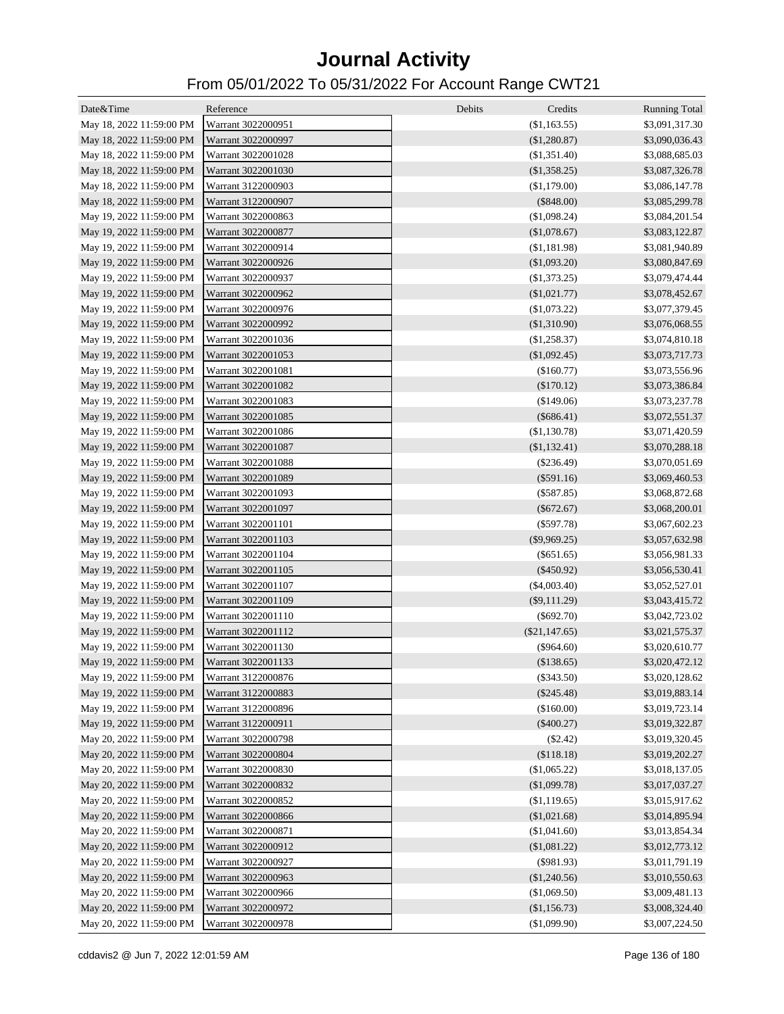| Date&Time                | Reference          | Debits<br>Credits | <b>Running Total</b> |
|--------------------------|--------------------|-------------------|----------------------|
| May 18, 2022 11:59:00 PM | Warrant 3022000951 | (\$1,163.55)      | \$3,091,317.30       |
| May 18, 2022 11:59:00 PM | Warrant 3022000997 | (\$1,280.87)      | \$3,090,036.43       |
| May 18, 2022 11:59:00 PM | Warrant 3022001028 | (\$1,351.40)      | \$3,088,685.03       |
| May 18, 2022 11:59:00 PM | Warrant 3022001030 | (\$1,358.25)      | \$3,087,326.78       |
| May 18, 2022 11:59:00 PM | Warrant 3122000903 | (\$1,179.00)      | \$3,086,147.78       |
| May 18, 2022 11:59:00 PM | Warrant 3122000907 | $(\$848.00)$      | \$3,085,299.78       |
| May 19, 2022 11:59:00 PM | Warrant 3022000863 | (\$1,098.24)      | \$3,084,201.54       |
| May 19, 2022 11:59:00 PM | Warrant 3022000877 | (\$1,078.67)      | \$3,083,122.87       |
| May 19, 2022 11:59:00 PM | Warrant 3022000914 | (\$1,181.98)      | \$3,081,940.89       |
| May 19, 2022 11:59:00 PM | Warrant 3022000926 | (\$1,093.20)      | \$3,080,847.69       |
| May 19, 2022 11:59:00 PM | Warrant 3022000937 | $(\$1,373.25)$    | \$3,079,474.44       |
| May 19, 2022 11:59:00 PM | Warrant 3022000962 | (\$1,021.77)      | \$3,078,452.67       |
| May 19, 2022 11:59:00 PM | Warrant 3022000976 | (\$1,073.22)      | \$3,077,379.45       |
| May 19, 2022 11:59:00 PM | Warrant 3022000992 | (\$1,310.90)      | \$3,076,068.55       |
| May 19, 2022 11:59:00 PM | Warrant 3022001036 | (\$1,258.37)      | \$3,074,810.18       |
| May 19, 2022 11:59:00 PM | Warrant 3022001053 | $(\$1,092.45)$    | \$3,073,717.73       |
| May 19, 2022 11:59:00 PM | Warrant 3022001081 | (\$160.77)        | \$3,073,556.96       |
| May 19, 2022 11:59:00 PM | Warrant 3022001082 | (\$170.12)        | \$3,073,386.84       |
| May 19, 2022 11:59:00 PM | Warrant 3022001083 | (\$149.06)        | \$3,073,237.78       |
| May 19, 2022 11:59:00 PM | Warrant 3022001085 | $(\$686.41)$      | \$3,072,551.37       |
| May 19, 2022 11:59:00 PM | Warrant 3022001086 | (\$1,130.78)      | \$3,071,420.59       |
| May 19, 2022 11:59:00 PM | Warrant 3022001087 | (\$1,132.41)      | \$3,070,288.18       |
| May 19, 2022 11:59:00 PM | Warrant 3022001088 | $(\$236.49)$      | \$3,070,051.69       |
| May 19, 2022 11:59:00 PM | Warrant 3022001089 | $(\$591.16)$      | \$3,069,460.53       |
| May 19, 2022 11:59:00 PM | Warrant 3022001093 | $(\$587.85)$      | \$3,068,872.68       |
| May 19, 2022 11:59:00 PM | Warrant 3022001097 | $(\$672.67)$      | \$3,068,200.01       |
| May 19, 2022 11:59:00 PM | Warrant 3022001101 | $(\$597.78)$      | \$3,067,602.23       |
| May 19, 2022 11:59:00 PM | Warrant 3022001103 | $(\$9,969.25)$    | \$3,057,632.98       |
| May 19, 2022 11:59:00 PM | Warrant 3022001104 | $(\$651.65)$      | \$3,056,981.33       |
| May 19, 2022 11:59:00 PM | Warrant 3022001105 | $(\$450.92)$      | \$3,056,530.41       |
| May 19, 2022 11:59:00 PM | Warrant 3022001107 | $(\$4,003.40)$    | \$3,052,527.01       |
| May 19, 2022 11:59:00 PM | Warrant 3022001109 | $(\$9,111.29)$    | \$3,043,415.72       |
| May 19, 2022 11:59:00 PM | Warrant 3022001110 | $(\$692.70)$      | \$3,042,723.02       |
| May 19, 2022 11:59:00 PM | Warrant 3022001112 | $(\$21,147.65)$   | \$3,021,575.37       |
| May 19, 2022 11:59:00 PM | Warrant 3022001130 | $(\$964.60)$      | \$3,020,610.77       |
| May 19, 2022 11:59:00 PM | Warrant 3022001133 | (\$138.65)        | \$3,020,472.12       |
| May 19, 2022 11:59:00 PM | Warrant 3122000876 | $(\$343.50)$      | \$3,020,128.62       |
| May 19, 2022 11:59:00 PM | Warrant 3122000883 | $(\$245.48)$      | \$3,019,883.14       |
| May 19, 2022 11:59:00 PM | Warrant 3122000896 | (\$160.00)        | \$3,019,723.14       |
| May 19, 2022 11:59:00 PM | Warrant 3122000911 | $(\$400.27)$      | \$3,019,322.87       |
| May 20, 2022 11:59:00 PM | Warrant 3022000798 | $(\$2.42)$        | \$3,019,320.45       |
| May 20, 2022 11:59:00 PM | Warrant 3022000804 | (\$118.18)        | \$3,019,202.27       |
| May 20, 2022 11:59:00 PM | Warrant 3022000830 | (\$1,065.22)      | \$3,018,137.05       |
| May 20, 2022 11:59:00 PM | Warrant 3022000832 | (\$1,099.78)      | \$3,017,037.27       |
| May 20, 2022 11:59:00 PM | Warrant 3022000852 | (\$1,119.65)      | \$3,015,917.62       |
| May 20, 2022 11:59:00 PM | Warrant 3022000866 | (\$1,021.68)      | \$3,014,895.94       |
| May 20, 2022 11:59:00 PM | Warrant 3022000871 | (\$1,041.60)      | \$3,013,854.34       |
| May 20, 2022 11:59:00 PM | Warrant 3022000912 | (\$1,081.22)      | \$3,012,773.12       |
| May 20, 2022 11:59:00 PM | Warrant 3022000927 | $(\$981.93)$      | \$3,011,791.19       |
| May 20, 2022 11:59:00 PM | Warrant 3022000963 | (\$1,240.56)      | \$3,010,550.63       |
| May 20, 2022 11:59:00 PM | Warrant 3022000966 | (\$1,069.50)      | \$3,009,481.13       |
| May 20, 2022 11:59:00 PM | Warrant 3022000972 | (\$1,156.73)      | \$3,008,324.40       |
| May 20, 2022 11:59:00 PM | Warrant 3022000978 | (\$1,099.90)      | \$3,007,224.50       |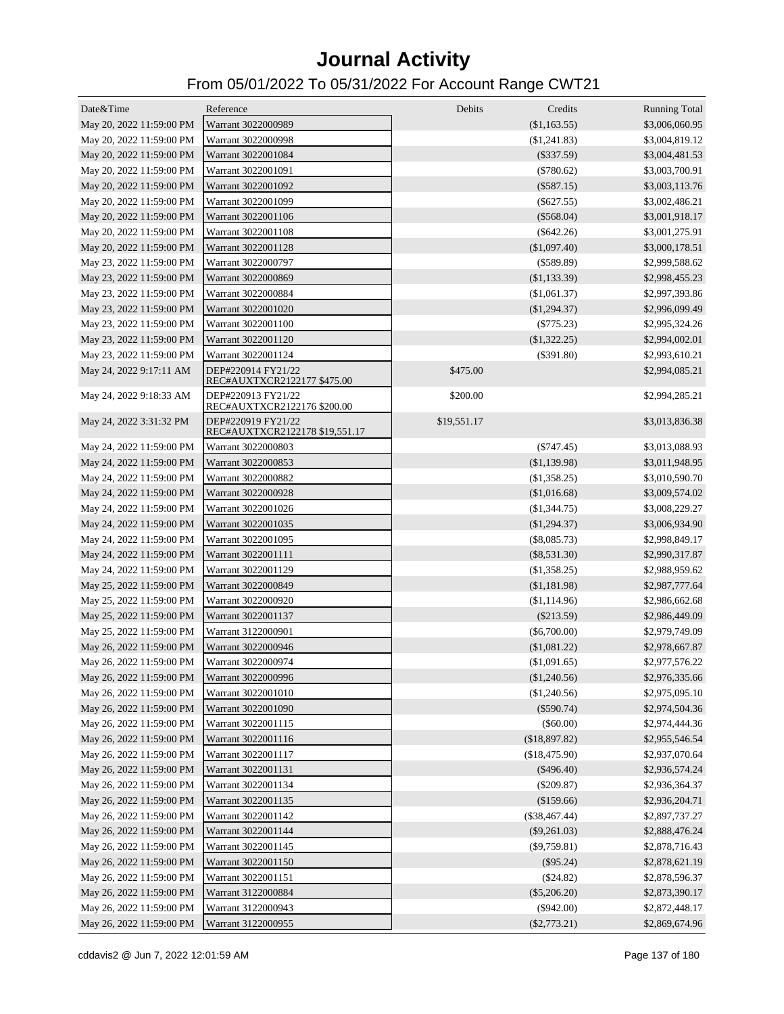| Date&Time                | Reference                                            | Debits      | Credits         | <b>Running Total</b> |
|--------------------------|------------------------------------------------------|-------------|-----------------|----------------------|
| May 20, 2022 11:59:00 PM | Warrant 3022000989                                   |             | (\$1,163.55)    | \$3,006,060.95       |
| May 20, 2022 11:59:00 PM | Warrant 3022000998                                   |             | (\$1,241.83)    | \$3,004,819.12       |
| May 20, 2022 11:59:00 PM | Warrant 3022001084                                   |             | $(\$337.59)$    | \$3,004,481.53       |
| May 20, 2022 11:59:00 PM | Warrant 3022001091                                   |             | $(\$780.62)$    | \$3,003,700.91       |
| May 20, 2022 11:59:00 PM | Warrant 3022001092                                   |             | $(\$587.15)$    | \$3,003,113.76       |
| May 20, 2022 11:59:00 PM | Warrant 3022001099                                   |             | $(\$627.55)$    | \$3,002,486.21       |
| May 20, 2022 11:59:00 PM | Warrant 3022001106                                   |             | $(\$568.04)$    | \$3,001,918.17       |
| May 20, 2022 11:59:00 PM | Warrant 3022001108                                   |             | $(\$642.26)$    | \$3,001,275.91       |
| May 20, 2022 11:59:00 PM | Warrant 3022001128                                   |             | $(\$1,097.40)$  | \$3,000,178.51       |
| May 23, 2022 11:59:00 PM | Warrant 3022000797                                   |             | $($ \$589.89)   | \$2,999,588.62       |
| May 23, 2022 11:59:00 PM | Warrant 3022000869                                   |             | $(\$1,133.39)$  | \$2,998,455.23       |
| May 23, 2022 11:59:00 PM | Warrant 3022000884                                   |             | (\$1,061.37)    | \$2,997,393.86       |
| May 23, 2022 11:59:00 PM | Warrant 3022001020                                   |             | $(\$1,294.37)$  | \$2,996,099.49       |
| May 23, 2022 11:59:00 PM | Warrant 3022001100                                   |             | $(\$775.23)$    | \$2,995,324.26       |
| May 23, 2022 11:59:00 PM | Warrant 3022001120                                   |             | $(\$1,322.25)$  | \$2,994,002.01       |
| May 23, 2022 11:59:00 PM | Warrant 3022001124                                   |             | $(\$391.80)$    | \$2,993,610.21       |
| May 24, 2022 9:17:11 AM  | DEP#220914 FY21/22<br>REC#AUXTXCR2122177 \$475.00    | \$475.00    |                 | \$2,994,085.21       |
| May 24, 2022 9:18:33 AM  | DEP#220913 FY21/22<br>REC#AUXTXCR2122176 \$200.00    | \$200.00    |                 | \$2,994,285.21       |
| May 24, 2022 3:31:32 PM  | DEP#220919 FY21/22<br>REC#AUXTXCR2122178 \$19,551.17 | \$19,551.17 |                 | \$3,013,836.38       |
| May 24, 2022 11:59:00 PM | Warrant 3022000803                                   |             | $(\$747.45)$    | \$3,013,088.93       |
| May 24, 2022 11:59:00 PM | Warrant 3022000853                                   |             | ( \$1,139.98)   | \$3,011,948.95       |
| May 24, 2022 11:59:00 PM | Warrant 3022000882                                   |             | (S1,358.25)     | \$3,010,590.70       |
| May 24, 2022 11:59:00 PM | Warrant 3022000928                                   |             | (\$1,016.68)    | \$3,009,574.02       |
| May 24, 2022 11:59:00 PM | Warrant 3022001026                                   |             | (S1, 344.75)    | \$3,008,229.27       |
| May 24, 2022 11:59:00 PM | Warrant 3022001035                                   |             | (\$1,294.37)    | \$3,006,934.90       |
| May 24, 2022 11:59:00 PM | Warrant 3022001095                                   |             | $(\$8,085.73)$  | \$2,998,849.17       |
| May 24, 2022 11:59:00 PM | Warrant 3022001111                                   |             | $(\$8,531.30)$  | \$2,990,317.87       |
| May 24, 2022 11:59:00 PM | Warrant 3022001129                                   |             | (\$1,358.25)    | \$2,988,959.62       |
| May 25, 2022 11:59:00 PM | Warrant 3022000849                                   |             | (\$1,181.98)    | \$2,987,777.64       |
| May 25, 2022 11:59:00 PM | Warrant 3022000920                                   |             | (\$1,114.96)    | \$2,986,662.68       |
| May 25, 2022 11:59:00 PM | Warrant 3022001137                                   |             | $(\$213.59)$    | \$2,986,449.09       |
| May 25, 2022 11:59:00 PM | Warrant 3122000901                                   |             | $(\$6,700.00)$  | \$2,979,749.09       |
| May 26, 2022 11:59:00 PM | Warrant 3022000946                                   |             | (\$1,081.22)    | \$2,978,667.87       |
| May 26, 2022 11:59:00 PM | Warrant 3022000974                                   |             | (\$1,091.65)    | \$2,977,576.22       |
| May 26, 2022 11:59:00 PM | Warrant 3022000996                                   |             | (\$1,240.56)    | \$2,976,335.66       |
| May 26, 2022 11:59:00 PM | Warrant 3022001010                                   |             | (\$1,240.56)    | \$2,975,095.10       |
| May 26, 2022 11:59:00 PM | Warrant 3022001090                                   |             | $(\$590.74)$    | \$2,974,504.36       |
| May 26, 2022 11:59:00 PM | Warrant 3022001115                                   |             | $(\$60.00)$     | \$2,974,444.36       |
| May 26, 2022 11:59:00 PM | Warrant 3022001116                                   |             | (\$18,897.82)   | \$2,955,546.54       |
| May 26, 2022 11:59:00 PM | Warrant 3022001117                                   |             | (\$18,475.90)   | \$2,937,070.64       |
| May 26, 2022 11:59:00 PM | Warrant 3022001131                                   |             | $(\$496.40)$    | \$2,936,574.24       |
| May 26, 2022 11:59:00 PM | Warrant 3022001134                                   |             | $(\$209.87)$    | \$2,936,364.37       |
| May 26, 2022 11:59:00 PM | Warrant 3022001135                                   |             | (\$159.66)      | \$2,936,204.71       |
| May 26, 2022 11:59:00 PM | Warrant 3022001142                                   |             | $(\$38,467.44)$ | \$2,897,737.27       |
| May 26, 2022 11:59:00 PM | Warrant 3022001144                                   |             | $(\$9,261.03)$  | \$2,888,476.24       |
| May 26, 2022 11:59:00 PM | Warrant 3022001145                                   |             | $(\$9,759.81)$  | \$2,878,716.43       |
| May 26, 2022 11:59:00 PM | Warrant 3022001150                                   |             | $(\$95.24)$     | \$2,878,621.19       |
| May 26, 2022 11:59:00 PM | Warrant 3022001151                                   |             | $(\$24.82)$     | \$2,878,596.37       |
| May 26, 2022 11:59:00 PM | Warrant 3122000884                                   |             | $(\$5,206.20)$  | \$2,873,390.17       |
| May 26, 2022 11:59:00 PM | Warrant 3122000943                                   |             | $(\$942.00)$    | \$2,872,448.17       |
| May 26, 2022 11:59:00 PM | Warrant 3122000955                                   |             | $(\$2,773.21)$  | \$2,869,674.96       |
|                          |                                                      |             |                 |                      |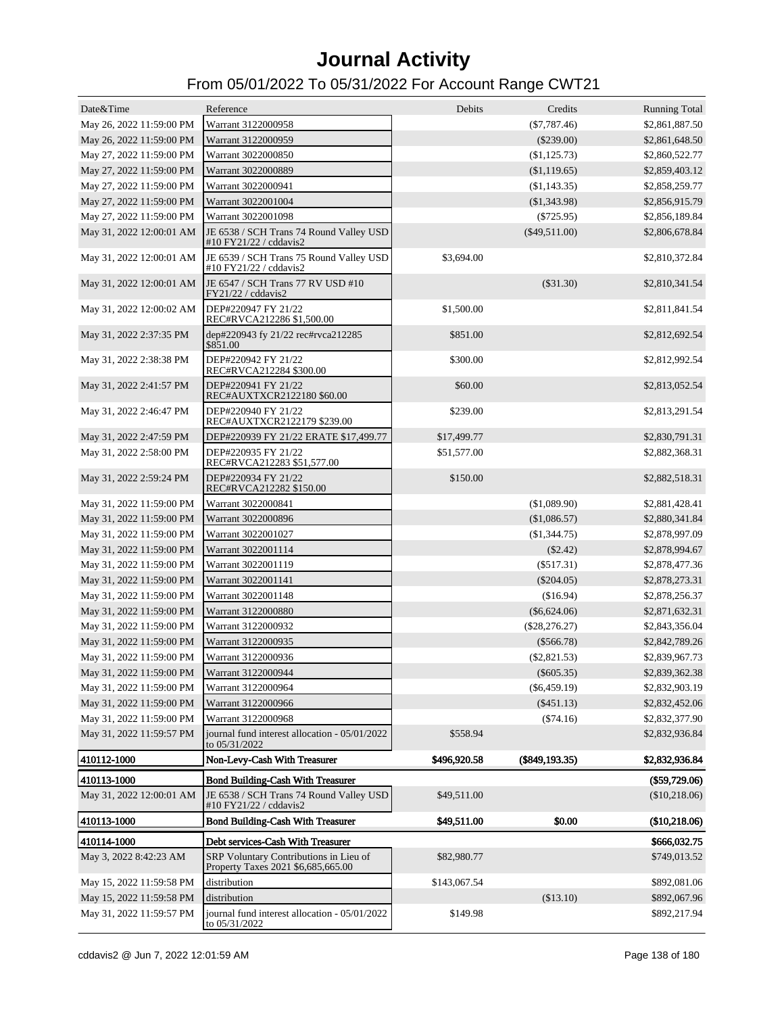| Date&Time                                   | Reference                                                                                  | Debits       | Credits           | <b>Running Total</b> |
|---------------------------------------------|--------------------------------------------------------------------------------------------|--------------|-------------------|----------------------|
| May 26, 2022 11:59:00 PM                    | Warrant 3122000958                                                                         |              | $(\$7,787.46)$    | \$2,861,887.50       |
| May 26, 2022 11:59:00 PM                    | Warrant 3122000959                                                                         |              | $(\$239.00)$      | \$2,861,648.50       |
| May 27, 2022 11:59:00 PM                    | Warrant 3022000850                                                                         |              | (\$1,125.73)      | \$2,860,522.77       |
| May 27, 2022 11:59:00 PM                    | Warrant 3022000889                                                                         |              | (\$1,119.65)      | \$2,859,403.12       |
| May 27, 2022 11:59:00 PM                    | Warrant 3022000941                                                                         |              | (\$1,143.35)      | \$2,858,259.77       |
| May 27, 2022 11:59:00 PM                    | Warrant 3022001004                                                                         |              | (\$1,343.98)      | \$2,856,915.79       |
| May 27, 2022 11:59:00 PM                    | Warrant 3022001098                                                                         |              | $(\$725.95)$      | \$2,856,189.84       |
| May 31, 2022 12:00:01 AM                    | JE 6538 / SCH Trans 74 Round Valley USD<br>#10 FY21/22 / cddavis2                          |              | $(\$49,511.00)$   | \$2,806,678.84       |
|                                             | May 31, 2022 12:00:01 AM JE 6539 / SCH Trans 75 Round Valley USD<br>#10 FY21/22 / cddavis2 | \$3,694.00   |                   | \$2,810,372.84       |
| May 31, 2022 12:00:01 AM                    | JE 6547 / SCH Trans 77 RV USD #10<br>FY21/22 / cddavis2                                    |              | $(\$31.30)$       | \$2,810,341.54       |
| May 31, 2022 12:00:02 AM                    | DEP#220947 FY 21/22<br>REC#RVCA212286 \$1,500.00                                           | \$1,500.00   |                   | \$2,811,841.54       |
| May 31, 2022 2:37:35 PM                     | dep#220943 fy 21/22 rec#rvca212285<br>\$851.00                                             | \$851.00     |                   | \$2,812,692.54       |
| May 31, 2022 2:38:38 PM                     | DEP#220942 FY 21/22<br>REC#RVCA212284 \$300.00                                             | \$300.00     |                   | \$2,812,992.54       |
| May 31, 2022 2:41:57 PM                     | DEP#220941 FY 21/22<br>REC#AUXTXCR2122180 \$60.00                                          | \$60.00      |                   | \$2,813,052.54       |
| May 31, 2022 2:46:47 PM                     | DEP#220940 FY 21/22<br>REC#AUXTXCR2122179 \$239.00                                         | \$239.00     |                   | \$2,813,291.54       |
| May 31, 2022 2:47:59 PM                     | DEP#220939 FY 21/22 ERATE \$17,499.77                                                      | \$17,499.77  |                   | \$2,830,791.31       |
| May 31, 2022 2:58:00 PM                     | DEP#220935 FY 21/22<br>REC#RVCA212283 \$51,577.00                                          | \$51,577.00  |                   | \$2,882,368.31       |
| May 31, 2022 2:59:24 PM                     | DEP#220934 FY 21/22<br>REC#RVCA212282 \$150.00                                             | \$150.00     |                   | \$2,882,518.31       |
| May 31, 2022 11:59:00 PM                    | Warrant 3022000841                                                                         |              | (\$1,089.90)      | \$2,881,428.41       |
| May 31, 2022 11:59:00 PM                    | Warrant 3022000896                                                                         |              | (\$1,086.57)      | \$2,880,341.84       |
| May 31, 2022 11:59:00 PM                    | Warrant 3022001027                                                                         |              | (\$1,344.75)      | \$2,878,997.09       |
| May 31, 2022 11:59:00 PM                    | Warrant 3022001114                                                                         |              | $(\$2.42)$        | \$2,878,994.67       |
| May 31, 2022 11:59:00 PM                    | Warrant 3022001119                                                                         |              | $(\$517.31)$      | \$2,878,477.36       |
| May 31, 2022 11:59:00 PM                    | Warrant 3022001141                                                                         |              | $(\$204.05)$      | \$2,878,273.31       |
| May 31, 2022 11:59:00 PM                    | Warrant 3022001148                                                                         |              | (\$16.94)         | \$2,878,256.37       |
| May 31, 2022 11:59:00 PM                    | Warrant 3122000880                                                                         |              | $(\$6,624.06)$    | \$2,871,632.31       |
| May 31, 2022 11:59:00 PM                    | Warrant 3122000932                                                                         |              | $(\$28,276.27)$   | \$2,843,356.04       |
| May 31, 2022 11:59:00 PM                    | Warrant 3122000935                                                                         |              | $(\$566.78)$      | \$2,842,789.26       |
| May 31, 2022 11:59:00 PM                    | Warrant 3122000936                                                                         |              | (\$2,821.53)      | \$2,839,967.73       |
| May 31, 2022 11:59:00 PM Warrant 3122000944 |                                                                                            |              | $(\$605.35)$      | \$2,839,362.38       |
| May 31, 2022 11:59:00 PM                    | Warrant 3122000964                                                                         |              | $(\$6,459.19)$    | \$2,832,903.19       |
| May 31, 2022 11:59:00 PM                    | Warrant 3122000966                                                                         |              | (\$451.13)        | \$2,832,452.06       |
| May 31, 2022 11:59:00 PM                    | Warrant 3122000968                                                                         |              | $(\$74.16)$       | \$2,832,377.90       |
| May 31, 2022 11:59:57 PM                    | journal fund interest allocation - 05/01/2022<br>to 05/31/2022                             | \$558.94     |                   | \$2,832,936.84       |
| 410112-1000                                 | Non-Levy-Cash With Treasurer                                                               | \$496,920.58 | $(\$849, 193.35)$ | \$2,832,936.84       |
| 410113-1000                                 | <b>Bond Building-Cash With Treasurer</b>                                                   |              |                   | (\$59,729.06)        |
| May 31, 2022 12:00:01 AM                    | JE 6538 / SCH Trans 74 Round Valley USD<br>#10 FY21/22 / cddavis2                          | \$49,511.00  |                   | (\$10,218.06)        |
| 410113-1000                                 | <b>Bond Building-Cash With Treasurer</b>                                                   | \$49,511.00  | \$0.00            | (\$10,218.06)        |
| 410114-1000                                 | Debt services-Cash With Treasurer                                                          |              |                   | \$666,032.75         |
| May 3, 2022 8:42:23 AM                      | SRP Voluntary Contributions in Lieu of<br>Property Taxes 2021 \$6,685,665.00               | \$82,980.77  |                   | \$749,013.52         |
| May 15, 2022 11:59:58 PM                    | distribution                                                                               | \$143,067.54 |                   | \$892,081.06         |
| May 15, 2022 11:59:58 PM                    | distribution                                                                               |              | (\$13.10)         | \$892,067.96         |
| May 31, 2022 11:59:57 PM                    | journal fund interest allocation - 05/01/2022<br>to 05/31/2022                             | \$149.98     |                   | \$892,217.94         |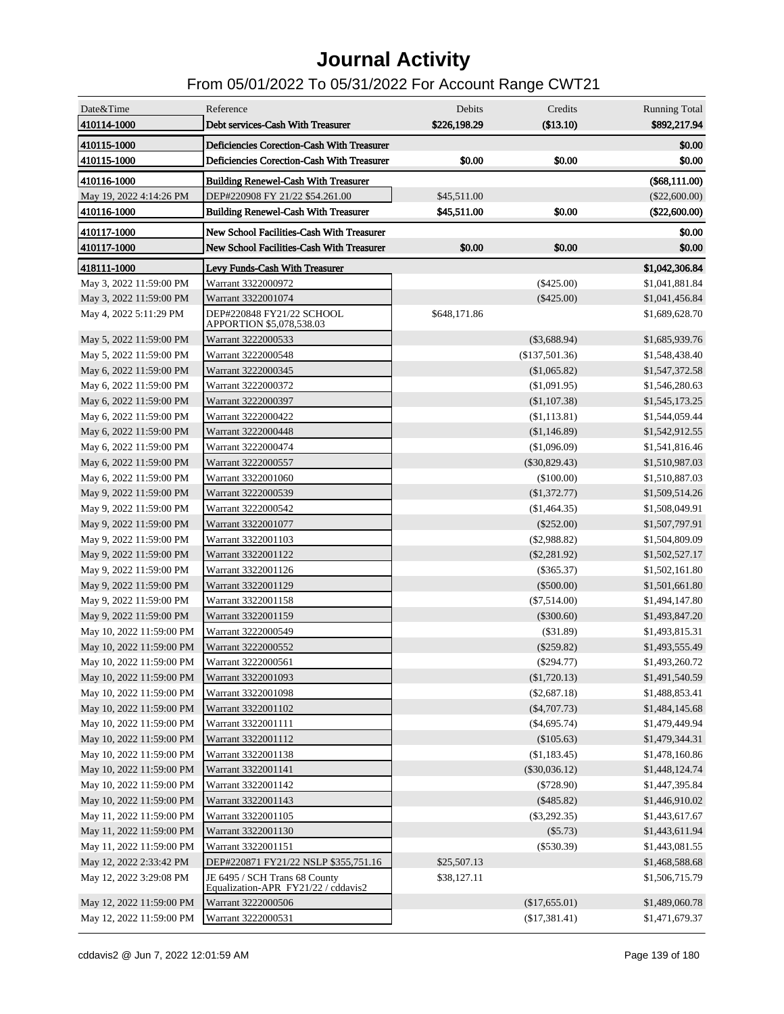| Date&Time                | Reference                                                            | Debits       | Credits         | <b>Running Total</b> |
|--------------------------|----------------------------------------------------------------------|--------------|-----------------|----------------------|
| 410114-1000              | Debt services-Cash With Treasurer                                    | \$226,198.29 | (\$13.10)       | \$892,217.94         |
| 410115-1000              | Deficiencies Corection-Cash With Treasurer                           |              |                 | \$0.00               |
| 410115-1000              | Deficiencies Corection-Cash With Treasurer                           | \$0.00       | \$0.00          | \$0.00               |
| 410116-1000              | <b>Building Renewel-Cash With Treasurer</b>                          |              |                 | (\$68,111.00)        |
| May 19, 2022 4:14:26 PM  | DEP#220908 FY 21/22 \$54.261.00                                      | \$45,511.00  |                 | $(\$22,600.00)$      |
| 410116-1000              | <b>Building Renewel-Cash With Treasurer</b>                          | \$45,511.00  | \$0.00          | (\$22,600.00)        |
| 410117-1000              | New School Facilities-Cash With Treasurer                            |              |                 | \$0.00               |
| 410117-1000              | New School Facilities-Cash With Treasurer                            | \$0.00       | \$0.00          | \$0.00               |
| 418111-1000              | Levy Funds-Cash With Treasurer                                       |              |                 | \$1,042,306.84       |
| May 3, 2022 11:59:00 PM  | Warrant 3322000972                                                   |              | $(\$425.00)$    | \$1,041,881.84       |
| May 3, 2022 11:59:00 PM  | Warrant 3322001074                                                   |              | $(\$425.00)$    | \$1,041,456.84       |
| May 4, 2022 5:11:29 PM   | DEP#220848 FY21/22 SCHOOL<br>APPORTION \$5,078,538.03                | \$648,171.86 |                 | \$1,689,628.70       |
| May 5, 2022 11:59:00 PM  | Warrant 3222000533                                                   |              | $(\$3,688.94)$  | \$1,685,939.76       |
| May 5, 2022 11:59:00 PM  | Warrant 3222000548                                                   |              | (\$137,501.36)  | \$1,548,438.40       |
| May 6, 2022 11:59:00 PM  | Warrant 3222000345                                                   |              | $(\$1,065.82)$  | \$1,547,372.58       |
| May 6, 2022 11:59:00 PM  | Warrant 3222000372                                                   |              | (\$1,091.95)    | \$1,546,280.63       |
| May 6, 2022 11:59:00 PM  | Warrant 3222000397                                                   |              | (\$1,107.38)    | \$1,545,173.25       |
| May 6, 2022 11:59:00 PM  | Warrant 3222000422                                                   |              | (\$1,113.81)    | \$1,544,059.44       |
| May 6, 2022 11:59:00 PM  | Warrant 3222000448                                                   |              | (\$1,146.89)    | \$1,542,912.55       |
| May 6, 2022 11:59:00 PM  | Warrant 3222000474                                                   |              | (\$1,096.09)    | \$1,541,816.46       |
| May 6, 2022 11:59:00 PM  | Warrant 3222000557                                                   |              | $(\$30,829.43)$ | \$1,510,987.03       |
| May 6, 2022 11:59:00 PM  | Warrant 3322001060                                                   |              | $(\$100.00)$    | \$1,510,887.03       |
| May 9, 2022 11:59:00 PM  | Warrant 3222000539                                                   |              | (\$1,372.77)    | \$1,509,514.26       |
| May 9, 2022 11:59:00 PM  | Warrant 3222000542                                                   |              | (\$1,464.35)    | \$1,508,049.91       |
| May 9, 2022 11:59:00 PM  | Warrant 3322001077                                                   |              | $(\$252.00)$    | \$1,507,797.91       |
| May 9, 2022 11:59:00 PM  | Warrant 3322001103                                                   |              | (\$2,988.82)    | \$1,504,809.09       |
| May 9, 2022 11:59:00 PM  | Warrant 3322001122                                                   |              | $(\$2,281.92)$  | \$1,502,527.17       |
| May 9, 2022 11:59:00 PM  | Warrant 3322001126                                                   |              | $(\$365.37)$    | \$1,502,161.80       |
| May 9, 2022 11:59:00 PM  | Warrant 3322001129                                                   |              | $(\$500.00)$    | \$1,501,661.80       |
| May 9, 2022 11:59:00 PM  | Warrant 3322001158                                                   |              | $(\$7,514.00)$  | \$1,494,147.80       |
| May 9, 2022 11:59:00 PM  | Warrant 3322001159                                                   |              | $(\$300.60)$    | \$1,493,847.20       |
| May 10, 2022 11:59:00 PM | Warrant 3222000549                                                   |              | (\$31.89)       | \$1,493,815.31       |
| May 10, 2022 11:59:00 PM | Warrant 3222000552                                                   |              | $(\$259.82)$    | \$1,493,555.49       |
| May 10, 2022 11:59:00 PM | Warrant 3222000561                                                   |              | $(\$294.77)$    | \$1,493,260.72       |
| May 10, 2022 11:59:00 PM | Warrant 3322001093                                                   |              | (\$1,720.13)    | \$1,491,540.59       |
| May 10, 2022 11:59:00 PM | Warrant 3322001098                                                   |              | $(\$2,687.18)$  | \$1,488,853.41       |
| May 10, 2022 11:59:00 PM | Warrant 3322001102                                                   |              | $(\$4,707.73)$  | \$1,484,145.68       |
| May 10, 2022 11:59:00 PM | Warrant 3322001111                                                   |              | (\$4,695.74)    | \$1,479,449.94       |
| May 10, 2022 11:59:00 PM | Warrant 3322001112                                                   |              | $(\$105.63)$    | \$1,479,344.31       |
| May 10, 2022 11:59:00 PM | Warrant 3322001138                                                   |              | (\$1,183.45)    | \$1,478,160.86       |
| May 10, 2022 11:59:00 PM | Warrant 3322001141                                                   |              | $(\$30,036.12)$ | \$1,448,124.74       |
| May 10, 2022 11:59:00 PM | Warrant 3322001142                                                   |              | $(\$728.90)$    | \$1,447,395.84       |
| May 10, 2022 11:59:00 PM | Warrant 3322001143                                                   |              | $(\$485.82)$    | \$1,446,910.02       |
| May 11, 2022 11:59:00 PM | Warrant 3322001105                                                   |              | $(\$3,292.35)$  | \$1,443,617.67       |
| May 11, 2022 11:59:00 PM | Warrant 3322001130                                                   |              | (\$5.73)        | \$1,443,611.94       |
| May 11, 2022 11:59:00 PM | Warrant 3322001151                                                   |              | $(\$530.39)$    | \$1,443,081.55       |
| May 12, 2022 2:33:42 PM  | DEP#220871 FY21/22 NSLP \$355,751.16                                 | \$25,507.13  |                 | \$1,468,588.68       |
| May 12, 2022 3:29:08 PM  | JE 6495 / SCH Trans 68 County<br>Equalization-APR FY21/22 / cddavis2 | \$38,127.11  |                 | \$1,506,715.79       |
| May 12, 2022 11:59:00 PM | Warrant 3222000506                                                   |              | (\$17,655.01)   | \$1,489,060.78       |
| May 12, 2022 11:59:00 PM | Warrant 3222000531                                                   |              | (\$17,381.41)   | \$1,471,679.37       |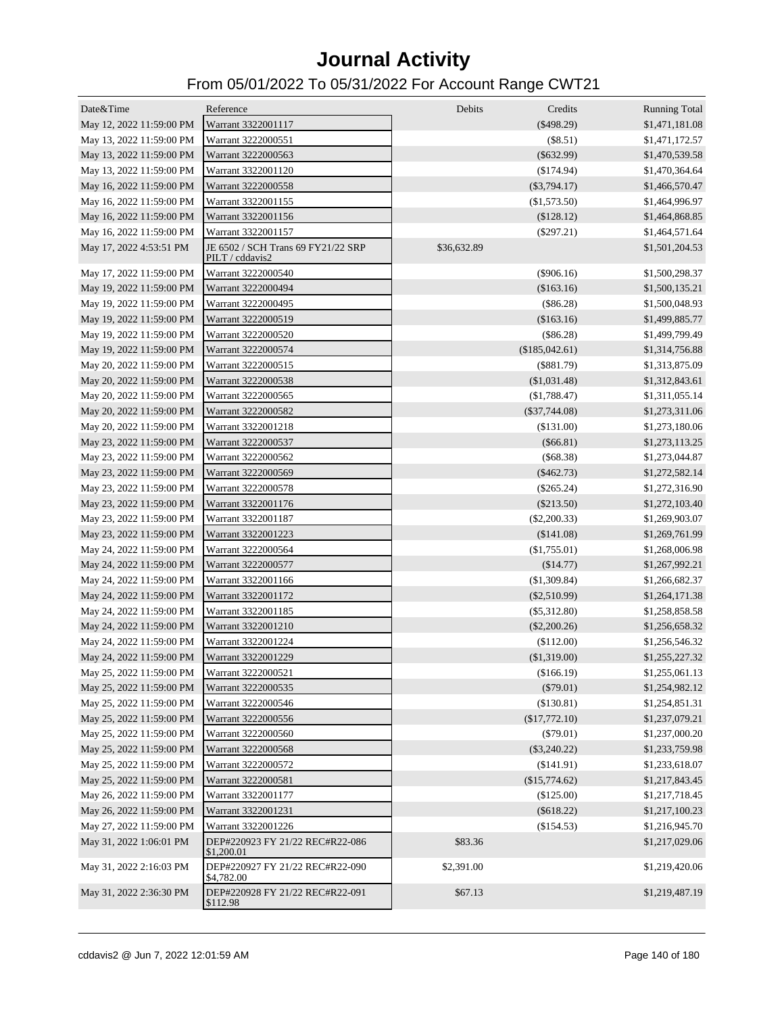| Date&Time                | Reference                                             | Debits<br>Credits           | <b>Running Total</b> |
|--------------------------|-------------------------------------------------------|-----------------------------|----------------------|
| May 12, 2022 11:59:00 PM | Warrant 3322001117                                    | $(\$498.29)$                | \$1,471,181.08       |
| May 13, 2022 11:59:00 PM | Warrant 3222000551                                    | (\$8.51)                    | \$1,471,172.57       |
| May 13, 2022 11:59:00 PM | Warrant 3222000563                                    | $(\$632.99)$                | \$1,470,539.58       |
| May 13, 2022 11:59:00 PM | Warrant 3322001120                                    | $(\$174.94)$                | \$1,470,364.64       |
| May 16, 2022 11:59:00 PM | Warrant 3222000558                                    | $(\$3,794.17)$              | \$1,466,570.47       |
| May 16, 2022 11:59:00 PM | Warrant 3322001155                                    | $(\$1,573.50)$              | \$1,464,996.97       |
| May 16, 2022 11:59:00 PM | Warrant 3322001156                                    | $(\$128.12)$                | \$1,464,868.85       |
| May 16, 2022 11:59:00 PM | Warrant 3322001157                                    | $(\$297.21)$                | \$1,464,571.64       |
| May 17, 2022 4:53:51 PM  | JE 6502 / SCH Trans 69 FY21/22 SRP<br>PILT / cddavis2 | \$36,632.89                 | \$1,501,204.53       |
| May 17, 2022 11:59:00 PM | Warrant 3222000540                                    | (\$906.16)                  | \$1,500,298.37       |
| May 19, 2022 11:59:00 PM | Warrant 3222000494                                    | $(\$163.16)$                | \$1,500,135.21       |
| May 19, 2022 11:59:00 PM | Warrant 3222000495                                    | $(\$86.28)$                 | \$1,500,048.93       |
| May 19, 2022 11:59:00 PM | Warrant 3222000519                                    | (\$163.16)                  | \$1,499,885.77       |
| May 19, 2022 11:59:00 PM | Warrant 3222000520                                    | $(\$86.28)$                 | \$1,499,799.49       |
| May 19, 2022 11:59:00 PM | Warrant 3222000574                                    | (\$185,042.61)              | \$1,314,756.88       |
| May 20, 2022 11:59:00 PM | Warrant 3222000515                                    | $(\$881.79)$                | \$1,313,875.09       |
| May 20, 2022 11:59:00 PM | Warrant 3222000538                                    | (\$1,031.48)                | \$1,312,843.61       |
| May 20, 2022 11:59:00 PM | Warrant 3222000565                                    | (\$1,788.47)                | \$1,311,055.14       |
| May 20, 2022 11:59:00 PM | Warrant 3222000582                                    | $(\$37,744.08)$             | \$1,273,311.06       |
| May 20, 2022 11:59:00 PM | Warrant 3322001218                                    | (\$131.00)                  | \$1,273,180.06       |
| May 23, 2022 11:59:00 PM | Warrant 3222000537                                    | ( \$66.81)                  | \$1,273,113.25       |
| May 23, 2022 11:59:00 PM | Warrant 3222000562                                    | $(\$68.38)$                 | \$1,273,044.87       |
| May 23, 2022 11:59:00 PM | Warrant 3222000569                                    | $(\$462.73)$                | \$1,272,582.14       |
| May 23, 2022 11:59:00 PM | Warrant 3222000578                                    | $(\$265.24)$                | \$1,272,316.90       |
| May 23, 2022 11:59:00 PM | Warrant 3322001176                                    | $(\$213.50)$                | \$1,272,103.40       |
| May 23, 2022 11:59:00 PM | Warrant 3322001187                                    | $(\$2,200.33)$              | \$1,269,903.07       |
| May 23, 2022 11:59:00 PM | Warrant 3322001223                                    | (\$141.08)                  | \$1,269,761.99       |
| May 24, 2022 11:59:00 PM | Warrant 3222000564                                    | (\$1,755.01)                | \$1,268,006.98       |
| May 24, 2022 11:59:00 PM | Warrant 3222000577                                    | (\$14.77)                   | \$1,267,992.21       |
| May 24, 2022 11:59:00 PM | Warrant 3322001166                                    | (\$1,309.84)                | \$1,266,682.37       |
| May 24, 2022 11:59:00 PM | Warrant 3322001172                                    | $(\$2,510.99)$              | \$1,264,171.38       |
| May 24, 2022 11:59:00 PM | Warrant 3322001185                                    | $(\$5,312.80)$              | \$1,258,858.58       |
| May 24, 2022 11:59:00 PM | Warrant 3322001210                                    | $(\$2,200.26)$              | \$1,256,658.32       |
| May 24, 2022 11:59:00 PM | Warrant 3322001224                                    | (\$112.00)                  | \$1,256,546.32       |
| May 24, 2022 11:59:00 PM | Warrant 3322001229                                    | (\$1,319.00)                | \$1,255,227.32       |
| May 25, 2022 11:59:00 PM | Warrant 3222000521                                    | (\$166.19)                  | \$1,255,061.13       |
| May 25, 2022 11:59:00 PM | Warrant 3222000535                                    | $(\$79.01)$                 | \$1,254,982.12       |
| May 25, 2022 11:59:00 PM | Warrant 3222000546                                    | (\$130.81)                  | \$1,254,851.31       |
| May 25, 2022 11:59:00 PM | Warrant 3222000556                                    | (\$17,772.10)               | \$1,237,079.21       |
| May 25, 2022 11:59:00 PM | Warrant 3222000560                                    | $(\$79.01)$                 | \$1,237,000.20       |
| May 25, 2022 11:59:00 PM | Warrant 3222000568                                    | $(\$3,240.22)$              | \$1,233,759.98       |
| May 25, 2022 11:59:00 PM | Warrant 3222000572                                    | (\$141.91)                  |                      |
|                          | Warrant 3222000581                                    |                             | \$1,233,618.07       |
| May 25, 2022 11:59:00 PM |                                                       | (\$15,774.62)<br>(\$125.00) | \$1,217,843.45       |
| May 26, 2022 11:59:00 PM | Warrant 3322001177                                    |                             | \$1,217,718.45       |
| May 26, 2022 11:59:00 PM | Warrant 3322001231                                    | $(\$618.22)$                | \$1,217,100.23       |
| May 27, 2022 11:59:00 PM | Warrant 3322001226                                    | (\$154.53)                  | \$1,216,945.70       |
| May 31, 2022 1:06:01 PM  | DEP#220923 FY 21/22 REC#R22-086<br>\$1,200.01         | \$83.36                     | \$1,217,029.06       |
| May 31, 2022 2:16:03 PM  | DEP#220927 FY 21/22 REC#R22-090<br>\$4,782.00         | \$2,391.00                  | \$1,219,420.06       |
| May 31, 2022 2:36:30 PM  | DEP#220928 FY 21/22 REC#R22-091<br>\$112.98           | \$67.13                     | \$1,219,487.19       |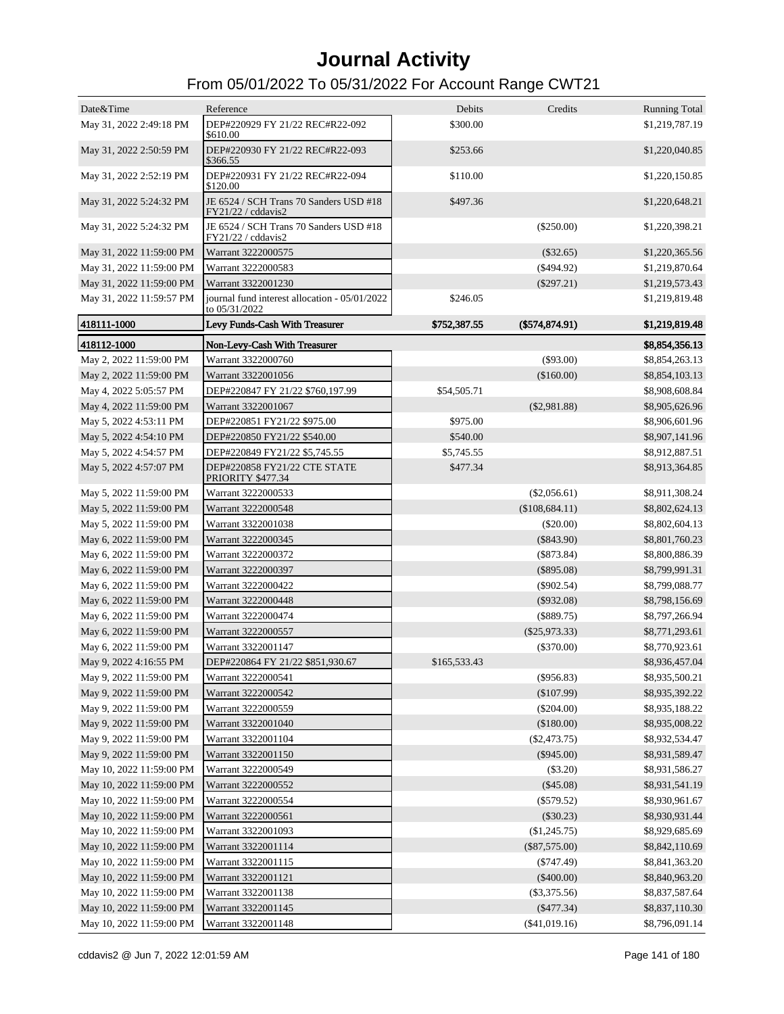| Date&Time                | Reference                                                    | Debits       | Credits         | <b>Running Total</b> |
|--------------------------|--------------------------------------------------------------|--------------|-----------------|----------------------|
| May 31, 2022 2:49:18 PM  | DEP#220929 FY 21/22 REC#R22-092<br>\$610.00                  | \$300.00     |                 | \$1,219,787.19       |
| May 31, 2022 2:50:59 PM  | DEP#220930 FY 21/22 REC#R22-093<br>\$366.55                  | \$253.66     |                 | \$1,220,040.85       |
| May 31, 2022 2:52:19 PM  | DEP#220931 FY 21/22 REC#R22-094<br>\$120.00                  | \$110.00     |                 | \$1,220,150.85       |
| May 31, 2022 5:24:32 PM  | JE 6524 / SCH Trans 70 Sanders USD #18<br>FY21/22 / cddavis2 | \$497.36     |                 | \$1,220,648.21       |
| May 31, 2022 5:24:32 PM  | JE 6524 / SCH Trans 70 Sanders USD #18<br>FY21/22 / cddavis2 |              | $(\$250.00)$    | \$1,220,398.21       |
| May 31, 2022 11:59:00 PM | Warrant 3222000575                                           |              | $(\$32.65)$     | \$1,220,365.56       |
| May 31, 2022 11:59:00 PM | Warrant 3222000583                                           |              | $(\$494.92)$    | \$1,219,870.64       |
| May 31, 2022 11:59:00 PM | Warrant 3322001230                                           |              | $(\$297.21)$    | \$1,219,573.43       |
| May 31, 2022 11:59:57 PM | journal fund interest allocation - 05/01/2022                | \$246.05     |                 | \$1,219,819.48       |
|                          | to 05/31/2022                                                |              |                 |                      |
| 418111-1000              | Levy Funds-Cash With Treasurer                               | \$752,387.55 | (\$574,874.91)  | \$1,219,819.48       |
| 418112-1000              | Non-Levy-Cash With Treasurer                                 |              |                 | \$8,854,356.13       |
| May 2, 2022 11:59:00 PM  | Warrant 3322000760                                           |              | $(\$93.00)$     | \$8,854,263.13       |
| May 2, 2022 11:59:00 PM  | Warrant 3322001056                                           |              | (\$160.00)      | \$8,854,103.13       |
| May 4, 2022 5:05:57 PM   | DEP#220847 FY 21/22 \$760.197.99                             | \$54,505.71  |                 | \$8,908,608.84       |
| May 4, 2022 11:59:00 PM  | Warrant 3322001067                                           |              | $(\$2,981.88)$  | \$8,905,626.96       |
| May 5, 2022 4:53:11 PM   | DEP#220851 FY21/22 \$975.00                                  | \$975.00     |                 | \$8,906,601.96       |
| May 5, 2022 4:54:10 PM   | DEP#220850 FY21/22 \$540.00                                  | \$540.00     |                 | \$8,907,141.96       |
| May 5, 2022 4:54:57 PM   | DEP#220849 FY21/22 \$5,745.55                                | \$5,745.55   |                 | \$8,912,887.51       |
| May 5, 2022 4:57:07 PM   | DEP#220858 FY21/22 CTE STATE<br>PRIORITY \$477.34            | \$477.34     |                 | \$8,913,364.85       |
| May 5, 2022 11:59:00 PM  | Warrant 3222000533                                           |              | $(\$2,056.61)$  | \$8,911,308.24       |
| May 5, 2022 11:59:00 PM  | Warrant 3222000548                                           |              | (\$108,684.11)  | \$8,802,624.13       |
| May 5, 2022 11:59:00 PM  | Warrant 3322001038                                           |              | $(\$20.00)$     | \$8,802,604.13       |
| May 6, 2022 11:59:00 PM  | Warrant 3222000345                                           |              | $(\$843.90)$    | \$8,801,760.23       |
| May 6, 2022 11:59:00 PM  | Warrant 3222000372                                           |              | (\$873.84)      | \$8,800,886.39       |
| May 6, 2022 11:59:00 PM  | Warrant 3222000397                                           |              | $(\$895.08)$    | \$8,799,991.31       |
| May 6, 2022 11:59:00 PM  | Warrant 3222000422                                           |              | $(\$902.54)$    | \$8,799,088.77       |
| May 6, 2022 11:59:00 PM  | Warrant 3222000448                                           |              | $(\$932.08)$    | \$8,798,156.69       |
| May 6, 2022 11:59:00 PM  | Warrant 3222000474                                           |              | (\$889.75)      | \$8,797,266.94       |
| May 6, 2022 11:59:00 PM  | Warrant 3222000557                                           |              | $(\$25,973.33)$ | \$8,771,293.61       |
| May 6, 2022 11:59:00 PM  | Warrant 3322001147                                           |              | $(\$370.00)$    | \$8,770,923.61       |
| May 9, 2022 4:16:55 PM   | DEP#220864 FY 21/22 \$851,930.67                             | \$165,533.43 |                 | \$8,936,457.04       |
| May 9, 2022 11:59:00 PM  | Warrant 3222000541                                           |              | $(\$956.83)$    | \$8,935,500.21       |
| May 9, 2022 11:59:00 PM  | Warrant 3222000542                                           |              | (\$107.99)      | \$8,935,392.22       |
| May 9, 2022 11:59:00 PM  | Warrant 3222000559                                           |              | $(\$204.00)$    | \$8,935,188.22       |
| May 9, 2022 11:59:00 PM  | Warrant 3322001040                                           |              | (\$180.00)      | \$8,935,008.22       |
| May 9, 2022 11:59:00 PM  | Warrant 3322001104                                           |              | $(\$2,473.75)$  | \$8,932,534.47       |
| May 9, 2022 11:59:00 PM  | Warrant 3322001150                                           |              | $(\$945.00)$    | \$8,931,589.47       |
| May 10, 2022 11:59:00 PM | Warrant 3222000549                                           |              | (\$3.20)        | \$8,931,586.27       |
| May 10, 2022 11:59:00 PM | Warrant 3222000552                                           |              | (\$45.08)       | \$8,931,541.19       |
| May 10, 2022 11:59:00 PM | Warrant 3222000554                                           |              | $(\$579.52)$    | \$8,930,961.67       |
| May 10, 2022 11:59:00 PM | Warrant 3222000561                                           |              | (\$30.23)       | \$8,930,931.44       |
| May 10, 2022 11:59:00 PM | Warrant 3322001093                                           |              | (\$1,245.75)    | \$8,929,685.69       |
| May 10, 2022 11:59:00 PM | Warrant 3322001114                                           |              | $(\$87,575.00)$ | \$8,842,110.69       |
| May 10, 2022 11:59:00 PM | Warrant 3322001115                                           |              | $(\$747.49)$    | \$8,841,363.20       |
| May 10, 2022 11:59:00 PM | Warrant 3322001121                                           |              | $(\$400.00)$    | \$8,840,963.20       |
| May 10, 2022 11:59:00 PM | Warrant 3322001138                                           |              | $(\$3,375.56)$  | \$8,837,587.64       |
| May 10, 2022 11:59:00 PM | Warrant 3322001145                                           |              | $(\$477.34)$    | \$8,837,110.30       |
| May 10, 2022 11:59:00 PM | Warrant 3322001148                                           |              | (\$41,019.16)   | \$8,796,091.14       |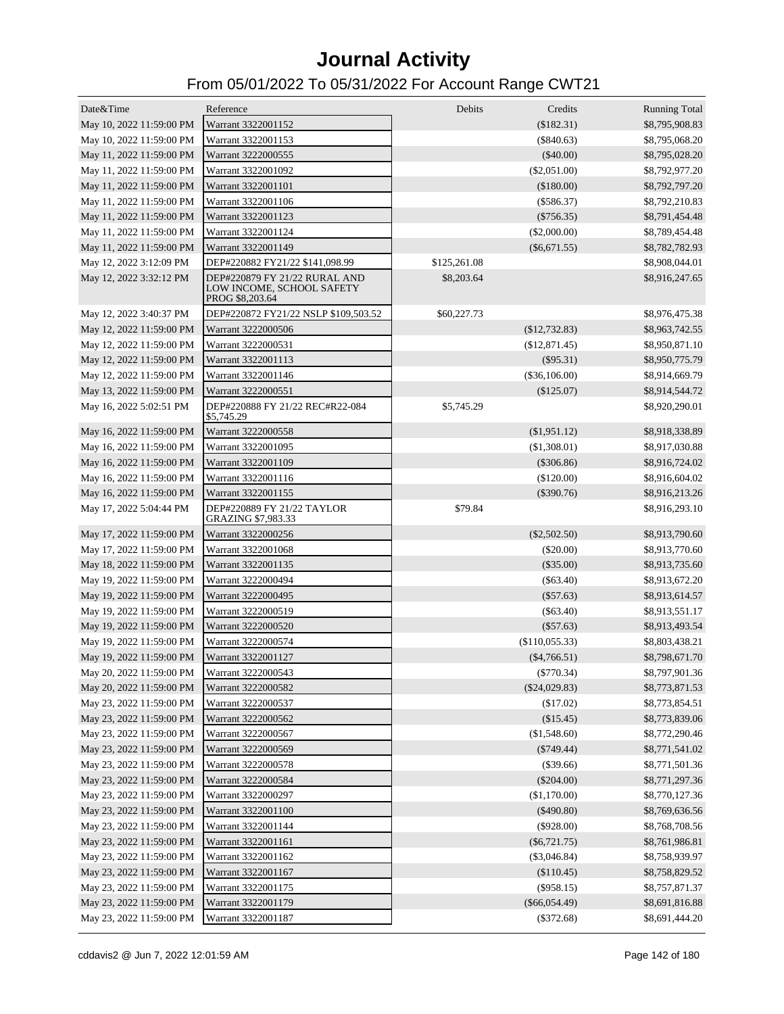| Date&Time                | Reference                                                                     | Debits       | Credits<br>(\$182.31) | <b>Running Total</b> |
|--------------------------|-------------------------------------------------------------------------------|--------------|-----------------------|----------------------|
| May 10, 2022 11:59:00 PM | Warrant 3322001152                                                            |              |                       | \$8,795,908.83       |
| May 10, 2022 11:59:00 PM | Warrant 3322001153                                                            |              | $(\$840.63)$          | \$8,795,068.20       |
| May 11, 2022 11:59:00 PM | Warrant 3222000555                                                            |              | $(\$40.00)$           | \$8,795,028.20       |
| May 11, 2022 11:59:00 PM | Warrant 3322001092                                                            |              | $(\$2,051.00)$        | \$8,792,977.20       |
| May 11, 2022 11:59:00 PM | Warrant 3322001101                                                            |              | (\$180.00)            | \$8,792,797.20       |
| May 11, 2022 11:59:00 PM | Warrant 3322001106                                                            |              | $(\$586.37)$          | \$8,792,210.83       |
| May 11, 2022 11:59:00 PM | Warrant 3322001123                                                            |              | $(\$756.35)$          | \$8,791,454.48       |
| May 11, 2022 11:59:00 PM | Warrant 3322001124                                                            |              | $(\$2,000.00)$        | \$8,789,454.48       |
| May 11, 2022 11:59:00 PM | Warrant 3322001149                                                            |              | $(\$6,671.55)$        | \$8,782,782.93       |
| May 12, 2022 3:12:09 PM  | DEP#220882 FY21/22 \$141,098.99                                               | \$125,261.08 |                       | \$8,908,044.01       |
| May 12, 2022 3:32:12 PM  | DEP#220879 FY 21/22 RURAL AND<br>LOW INCOME, SCHOOL SAFETY<br>PROG \$8,203.64 | \$8,203.64   |                       | \$8,916,247.65       |
| May 12, 2022 3:40:37 PM  | DEP#220872 FY21/22 NSLP \$109,503.52                                          | \$60,227.73  |                       | \$8,976,475.38       |
| May 12, 2022 11:59:00 PM | Warrant 3222000506                                                            |              | (\$12,732.83)         | \$8,963,742.55       |
| May 12, 2022 11:59:00 PM | Warrant 3222000531                                                            |              | (\$12,871.45)         | \$8,950,871.10       |
| May 12, 2022 11:59:00 PM | Warrant 3322001113                                                            |              | $(\$95.31)$           | \$8,950,775.79       |
| May 12, 2022 11:59:00 PM | Warrant 3322001146                                                            |              | $(\$36,106.00)$       | \$8,914,669.79       |
| May 13, 2022 11:59:00 PM | Warrant 3222000551                                                            |              | $(\$125.07)$          | \$8,914,544.72       |
| May 16, 2022 5:02:51 PM  | DEP#220888 FY 21/22 REC#R22-084<br>\$5,745.29                                 | \$5,745.29   |                       | \$8,920,290.01       |
| May 16, 2022 11:59:00 PM | Warrant 3222000558                                                            |              | $(\$1,951.12)$        | \$8,918,338.89       |
| May 16, 2022 11:59:00 PM | Warrant 3322001095                                                            |              | (\$1,308.01)          | \$8,917,030.88       |
| May 16, 2022 11:59:00 PM | Warrant 3322001109                                                            |              | $(\$306.86)$          | \$8,916,724.02       |
| May 16, 2022 11:59:00 PM | Warrant 3322001116                                                            |              | $(\$120.00)$          | \$8,916,604.02       |
| May 16, 2022 11:59:00 PM | Warrant 3322001155                                                            |              | $(\$390.76)$          | \$8,916,213.26       |
| May 17, 2022 5:04:44 PM  | DEP#220889 FY 21/22 TAYLOR<br>GRAZING \$7,983.33                              | \$79.84      |                       | \$8,916,293.10       |
| May 17, 2022 11:59:00 PM | Warrant 3322000256                                                            |              | $(\$2,502.50)$        | \$8,913,790.60       |
| May 17, 2022 11:59:00 PM | Warrant 3322001068                                                            |              | $(\$20.00)$           | \$8,913,770.60       |
| May 18, 2022 11:59:00 PM | Warrant 3322001135                                                            |              | $(\$35.00)$           | \$8,913,735.60       |
| May 19, 2022 11:59:00 PM | Warrant 3222000494                                                            |              | $(\$63.40)$           | \$8,913,672.20       |
| May 19, 2022 11:59:00 PM | Warrant 3222000495                                                            |              | $(\$57.63)$           | \$8,913,614.57       |
| May 19, 2022 11:59:00 PM | Warrant 3222000519                                                            |              | $(\$63.40)$           | \$8,913,551.17       |
| May 19, 2022 11:59:00 PM | Warrant 3222000520                                                            |              | $(\$57.63)$           | \$8,913,493.54       |
| May 19, 2022 11:59:00 PM | Warrant 3222000574                                                            |              | (\$110,055.33)        | \$8,803,438.21       |
| May 19, 2022 11:59:00 PM | Warrant 3322001127                                                            |              | $(\$4,766.51)$        | \$8,798,671.70       |
| May 20, 2022 11:59:00 PM | Warrant 3222000543                                                            |              | $(\$770.34)$          | \$8,797,901.36       |
| May 20, 2022 11:59:00 PM | Warrant 3222000582                                                            |              | $(\$24,029.83)$       | \$8,773,871.53       |
| May 23, 2022 11:59:00 PM | Warrant 3222000537                                                            |              | (\$17.02)             | \$8,773,854.51       |
| May 23, 2022 11:59:00 PM | Warrant 3222000562                                                            |              | (\$15.45)             | \$8,773,839.06       |
| May 23, 2022 11:59:00 PM | Warrant 3222000567                                                            |              | (\$1,548.60)          | \$8,772,290.46       |
| May 23, 2022 11:59:00 PM | Warrant 3222000569                                                            |              | $(\$749.44)$          | \$8,771,541.02       |
| May 23, 2022 11:59:00 PM | Warrant 3222000578                                                            |              | (\$39.66)             | \$8,771,501.36       |
| May 23, 2022 11:59:00 PM | Warrant 3222000584                                                            |              | $(\$204.00)$          | \$8,771,297.36       |
| May 23, 2022 11:59:00 PM | Warrant 3322000297                                                            |              | (\$1,170.00)          |                      |
|                          |                                                                               |              |                       | \$8,770,127.36       |
| May 23, 2022 11:59:00 PM | Warrant 3322001100                                                            |              | $(\$490.80)$          | \$8,769,636.56       |
| May 23, 2022 11:59:00 PM | Warrant 3322001144                                                            |              | $(\$928.00)$          | \$8,768,708.56       |
| May 23, 2022 11:59:00 PM | Warrant 3322001161                                                            |              | $(\$6,721.75)$        | \$8,761,986.81       |
| May 23, 2022 11:59:00 PM | Warrant 3322001162                                                            |              | $(\$3,046.84)$        | \$8,758,939.97       |
| May 23, 2022 11:59:00 PM | Warrant 3322001167                                                            |              | (\$110.45)            | \$8,758,829.52       |
| May 23, 2022 11:59:00 PM | Warrant 3322001175                                                            |              | $(\$958.15)$          | \$8,757,871.37       |
| May 23, 2022 11:59:00 PM | Warrant 3322001179                                                            |              | $(\$66,054.49)$       | \$8,691,816.88       |
| May 23, 2022 11:59:00 PM | Warrant 3322001187                                                            |              | $(\$372.68)$          | \$8,691,444.20       |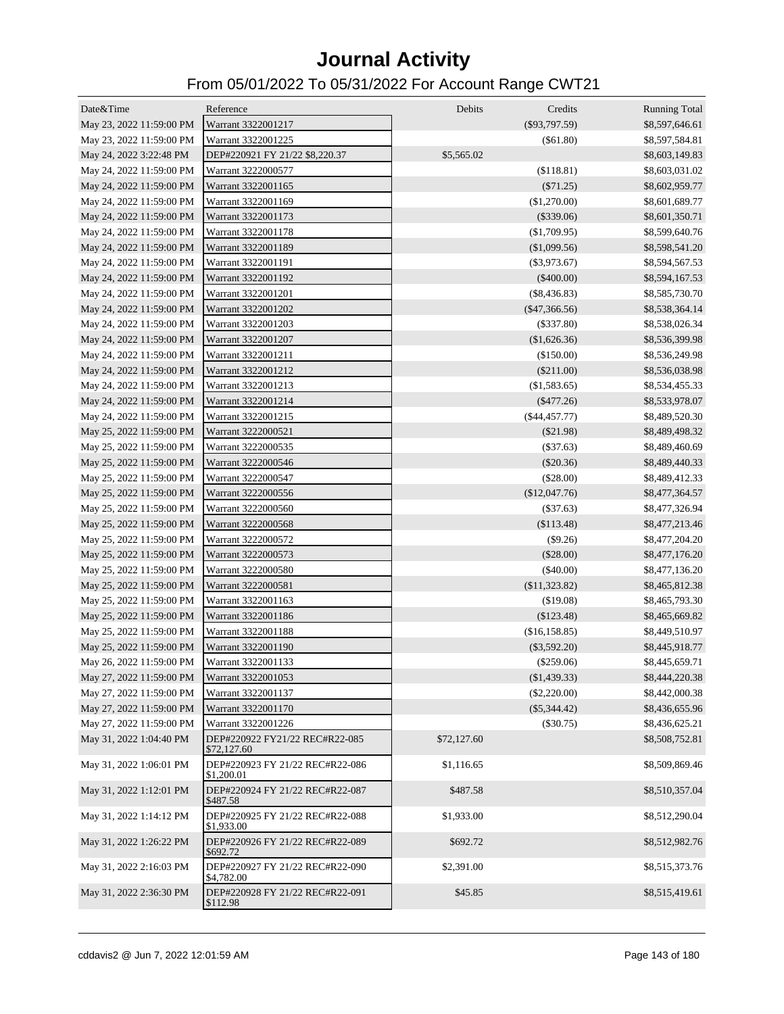| Date&Time                | Reference                                     | Debits      | Credits<br><b>Running Total</b>   |
|--------------------------|-----------------------------------------------|-------------|-----------------------------------|
| May 23, 2022 11:59:00 PM | Warrant 3322001217                            |             | $(\$93,797.59)$<br>\$8,597,646.61 |
| May 23, 2022 11:59:00 PM | Warrant 3322001225                            |             | $($ \$61.80)<br>\$8,597,584.81    |
| May 24, 2022 3:22:48 PM  | DEP#220921 FY 21/22 \$8,220.37                | \$5,565.02  | \$8,603,149.83                    |
| May 24, 2022 11:59:00 PM | Warrant 3222000577                            |             | (\$118.81)<br>\$8,603,031.02      |
| May 24, 2022 11:59:00 PM | Warrant 3322001165                            |             | (\$71.25)<br>\$8,602,959.77       |
| May 24, 2022 11:59:00 PM | Warrant 3322001169                            |             | (\$1,270.00)<br>\$8,601,689.77    |
| May 24, 2022 11:59:00 PM | Warrant 3322001173                            |             | $(\$339.06)$<br>\$8,601,350.71    |
| May 24, 2022 11:59:00 PM | Warrant 3322001178                            |             | (\$1,709.95)<br>\$8,599,640.76    |
| May 24, 2022 11:59:00 PM | Warrant 3322001189                            |             | (\$1,099.56)<br>\$8,598,541.20    |
| May 24, 2022 11:59:00 PM | Warrant 3322001191                            |             | $(\$3,973.67)$<br>\$8,594,567.53  |
| May 24, 2022 11:59:00 PM | Warrant 3322001192                            |             | $(\$400.00)$<br>\$8,594,167.53    |
| May 24, 2022 11:59:00 PM | Warrant 3322001201                            |             | $(\$8,436.83)$<br>\$8,585,730.70  |
| May 24, 2022 11:59:00 PM | Warrant 3322001202                            |             | $(\$47,366.56)$<br>\$8,538,364.14 |
| May 24, 2022 11:59:00 PM | Warrant 3322001203                            |             | $(\$337.80)$<br>\$8,538,026.34    |
| May 24, 2022 11:59:00 PM | Warrant 3322001207                            |             | (\$1,626.36)<br>\$8,536,399.98    |
| May 24, 2022 11:59:00 PM | Warrant 3322001211                            |             | (\$150.00)<br>\$8,536,249.98      |
| May 24, 2022 11:59:00 PM | Warrant 3322001212                            |             | $(\$211.00)$<br>\$8,536,038.98    |
| May 24, 2022 11:59:00 PM | Warrant 3322001213                            |             | (\$1,583.65)<br>\$8,534,455.33    |
| May 24, 2022 11:59:00 PM | Warrant 3322001214                            |             | $(\$477.26)$<br>\$8,533,978.07    |
| May 24, 2022 11:59:00 PM | Warrant 3322001215                            |             | $(\$44,457.77)$<br>\$8,489,520.30 |
| May 25, 2022 11:59:00 PM | Warrant 3222000521                            |             | (\$21.98)<br>\$8,489,498.32       |
| May 25, 2022 11:59:00 PM | Warrant 3222000535                            |             | (\$37.63)<br>\$8,489,460.69       |
| May 25, 2022 11:59:00 PM | Warrant 3222000546                            |             | (\$20.36)<br>\$8,489,440.33       |
| May 25, 2022 11:59:00 PM | Warrant 3222000547                            |             | (\$28.00)<br>\$8,489,412.33       |
| May 25, 2022 11:59:00 PM | Warrant 3222000556                            |             | (\$12,047.76)<br>\$8,477,364.57   |
| May 25, 2022 11:59:00 PM | Warrant 3222000560                            |             | (\$37.63)<br>\$8,477,326.94       |
| May 25, 2022 11:59:00 PM | Warrant 3222000568                            |             | (\$113.48)<br>\$8,477,213.46      |
| May 25, 2022 11:59:00 PM | Warrant 3222000572                            |             | (\$9.26)<br>\$8,477,204.20        |
| May 25, 2022 11:59:00 PM | Warrant 3222000573                            |             | (\$28.00)<br>\$8,477,176.20       |
| May 25, 2022 11:59:00 PM | Warrant 3222000580                            |             | (\$40.00)<br>\$8,477,136.20       |
| May 25, 2022 11:59:00 PM | Warrant 3222000581                            |             | (\$11,323.82)<br>\$8,465,812.38   |
| May 25, 2022 11:59:00 PM | Warrant 3322001163                            |             | (\$19.08)<br>\$8,465,793.30       |
| May 25, 2022 11:59:00 PM | Warrant 3322001186                            |             | (\$123.48)<br>\$8,465,669.82      |
| May 25, 2022 11:59:00 PM | Warrant 3322001188                            |             | (\$16,158.85)<br>\$8,449,510.97   |
| May 25, 2022 11:59:00 PM | Warrant 3322001190                            |             | $(\$3,592.20)$<br>\$8,445,918.77  |
| May 26, 2022 11:59:00 PM | Warrant 3322001133                            |             | $(\$259.06)$<br>\$8,445,659.71    |
| May 27, 2022 11:59:00 PM | Warrant 3322001053                            |             | (\$1,439.33)<br>\$8,444,220.38    |
| May 27, 2022 11:59:00 PM | Warrant 3322001137                            |             | (\$2,220.00)<br>\$8,442,000.38    |
| May 27, 2022 11:59:00 PM | Warrant 3322001170                            |             | $(\$5,344.42)$<br>\$8,436,655.96  |
| May 27, 2022 11:59:00 PM | Warrant 3322001226                            |             | $(\$30.75)$<br>\$8,436,625.21     |
| May 31, 2022 1:04:40 PM  | DEP#220922 FY21/22 REC#R22-085<br>\$72,127.60 | \$72,127.60 | \$8,508,752.81                    |
| May 31, 2022 1:06:01 PM  | DEP#220923 FY 21/22 REC#R22-086<br>\$1,200.01 | \$1,116.65  | \$8,509,869.46                    |
| May 31, 2022 1:12:01 PM  | DEP#220924 FY 21/22 REC#R22-087<br>\$487.58   | \$487.58    | \$8,510,357.04                    |
| May 31, 2022 1:14:12 PM  | DEP#220925 FY 21/22 REC#R22-088<br>\$1,933.00 | \$1,933.00  | \$8,512,290.04                    |
| May 31, 2022 1:26:22 PM  | DEP#220926 FY 21/22 REC#R22-089<br>\$692.72   | \$692.72    | \$8,512,982.76                    |
| May 31, 2022 2:16:03 PM  | DEP#220927 FY 21/22 REC#R22-090<br>\$4,782.00 | \$2,391.00  | \$8,515,373.76                    |
| May 31, 2022 2:36:30 PM  | DEP#220928 FY 21/22 REC#R22-091<br>\$112.98   | \$45.85     | \$8,515,419.61                    |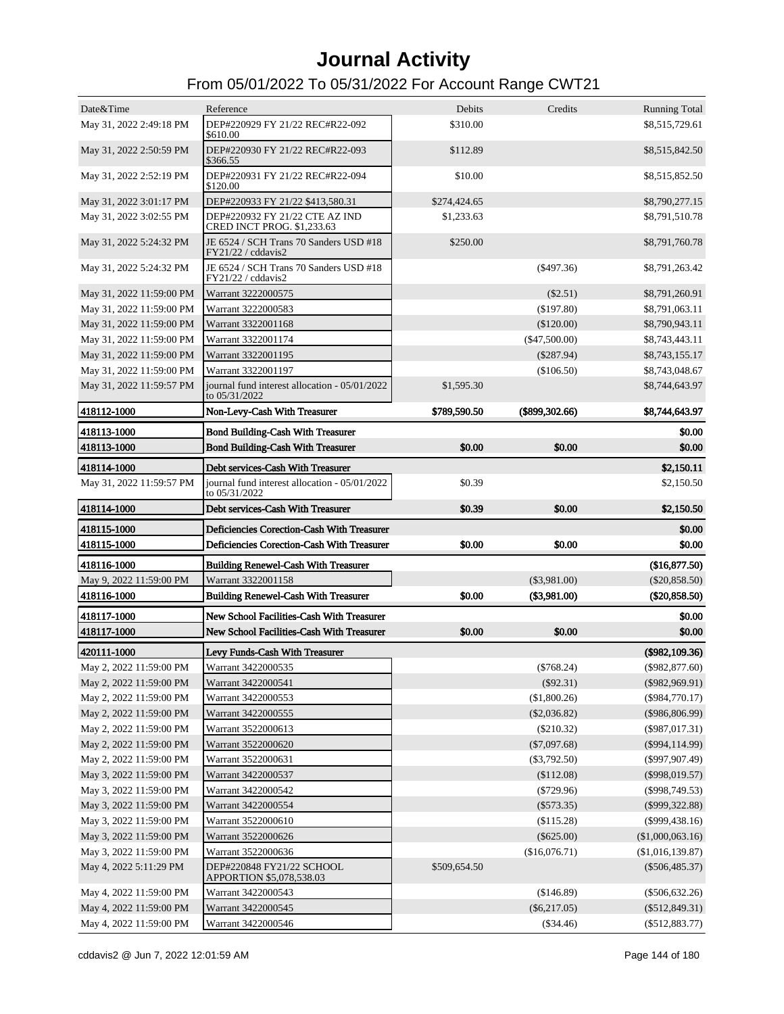| Date&Time                                          | Reference                                                      | Debits       | Credits                       | <b>Running Total</b>                 |
|----------------------------------------------------|----------------------------------------------------------------|--------------|-------------------------------|--------------------------------------|
| May 31, 2022 2:49:18 PM                            | DEP#220929 FY 21/22 REC#R22-092                                | \$310.00     |                               | \$8,515,729.61                       |
|                                                    | \$610.00                                                       |              |                               |                                      |
| May 31, 2022 2:50:59 PM                            | DEP#220930 FY 21/22 REC#R22-093<br>\$366.55                    | \$112.89     |                               | \$8,515,842.50                       |
| May 31, 2022 2:52:19 PM                            | DEP#220931 FY 21/22 REC#R22-094<br>\$120.00                    | \$10.00      |                               | \$8,515,852.50                       |
| May 31, 2022 3:01:17 PM                            | DEP#220933 FY 21/22 \$413,580.31                               | \$274,424.65 |                               | \$8,790,277.15                       |
| May 31, 2022 3:02:55 PM                            | DEP#220932 FY 21/22 CTE AZ IND<br>CRED INCT PROG. \$1,233.63   | \$1,233.63   |                               | \$8,791,510.78                       |
| May 31, 2022 5:24:32 PM                            | JE 6524 / SCH Trans 70 Sanders USD #18<br>FY21/22 / cddavis2   | \$250.00     |                               | \$8,791,760.78                       |
| May 31, 2022 5:24:32 PM                            | JE 6524 / SCH Trans 70 Sanders USD #18<br>FY21/22 / cddavis2   |              | $($ \$497.36)                 | \$8,791,263.42                       |
| May 31, 2022 11:59:00 PM                           | Warrant 3222000575                                             |              | $(\$2.51)$                    | \$8,791,260.91                       |
| May 31, 2022 11:59:00 PM                           | Warrant 3222000583                                             |              | (\$197.80)                    | \$8,791,063.11                       |
| May 31, 2022 11:59:00 PM                           | Warrant 3322001168                                             |              | $(\$120.00)$                  | \$8,790,943.11                       |
| May 31, 2022 11:59:00 PM                           | Warrant 3322001174                                             |              | $(\$47,500.00)$               | \$8,743,443.11                       |
| May 31, 2022 11:59:00 PM                           | Warrant 3322001195                                             |              | $(\$287.94)$                  | \$8,743,155.17                       |
| May 31, 2022 11:59:00 PM                           | Warrant 3322001197                                             |              | (\$106.50)                    | \$8,743,048.67                       |
| May 31, 2022 11:59:57 PM                           | journal fund interest allocation - 05/01/2022<br>to 05/31/2022 | \$1,595.30   |                               | \$8,744,643.97                       |
| 418112-1000                                        | Non-Levy-Cash With Treasurer                                   | \$789,590.50 | $(\$899,302.66)$              | \$8,744,643.97                       |
| 418113-1000                                        | <b>Bond Building-Cash With Treasurer</b>                       |              |                               | \$0.00                               |
| 418113-1000                                        | <b>Bond Building-Cash With Treasurer</b>                       | \$0.00       | \$0.00                        | \$0.00                               |
| 418114-1000                                        | Debt services-Cash With Treasurer                              |              |                               | \$2,150.11                           |
| May 31, 2022 11:59:57 PM                           | journal fund interest allocation - 05/01/2022<br>to 05/31/2022 | \$0.39       |                               | \$2,150.50                           |
| 418114-1000                                        | Debt services-Cash With Treasurer                              | \$0.39       | \$0.00                        | \$2,150.50                           |
| 418115-1000                                        | Deficiencies Corection-Cash With Treasurer                     |              |                               | \$0.00                               |
| 418115-1000                                        | Deficiencies Corection-Cash With Treasurer                     | \$0.00       | \$0.00                        | \$0.00                               |
| 418116-1000                                        | <b>Building Renewel-Cash With Treasurer</b>                    |              |                               | (\$16,877.50)                        |
| May 9, 2022 11:59:00 PM                            | Warrant 3322001158                                             |              | $(\$3,981.00)$                | $(\$20,858.50)$                      |
| 418116-1000                                        | <b>Building Renewel-Cash With Treasurer</b>                    | \$0.00       | $(\$3,981.00)$                | $(\$20,858.50)$                      |
| 418117-1000                                        | New School Facilities-Cash With Treasurer                      |              |                               | \$0.00                               |
| 418117-1000                                        | New School Facilities-Cash With Treasurer                      | \$0.00       | \$0.00                        | \$0.00                               |
| 420111-1000                                        | Levy Funds-Cash With Treasurer                                 |              |                               | (\$982,109.36)                       |
| May 2, 2022 11:59:00 PM                            | Warrant 3422000535                                             |              |                               | $(\$982,877.60)$                     |
| May 2, 2022 11:59:00 PM                            |                                                                |              |                               |                                      |
|                                                    |                                                                |              | $(\$768.24)$                  |                                      |
|                                                    | Warrant 3422000541                                             |              | $(\$92.31)$                   | $(\$982,969.91)$                     |
| May 2, 2022 11:59:00 PM                            | Warrant 3422000553                                             |              | (\$1,800.26)                  | $(\$984,770.17)$                     |
| May 2, 2022 11:59:00 PM                            | Warrant 3422000555                                             |              | $(\$2,036.82)$                | (\$986,806.99)                       |
| May 2, 2022 11:59:00 PM                            | Warrant 3522000613                                             |              | $(\$210.32)$                  | $(\$987,017.31)$                     |
| May 2, 2022 11:59:00 PM                            | Warrant 3522000620                                             |              | $(\$7,097.68)$                | $(\$994,114.99)$                     |
| May 2, 2022 11:59:00 PM                            | Warrant 3522000631                                             |              | $(\$3,792.50)$                | $(\$997,907.49)$                     |
| May 3, 2022 11:59:00 PM                            | Warrant 3422000537<br>Warrant 3422000542                       |              | (\$112.08)                    | $(\$998,019.57)$                     |
| May 3, 2022 11:59:00 PM<br>May 3, 2022 11:59:00 PM | Warrant 3422000554                                             |              | $(\$729.96)$<br>$(\$573.35)$  | $(\$998,749.53)$<br>$(\$999,322.88)$ |
|                                                    | Warrant 3522000610                                             |              |                               |                                      |
| May 3, 2022 11:59:00 PM                            | Warrant 3522000626                                             |              | (\$115.28)                    | $(\$999,438.16)$                     |
| May 3, 2022 11:59:00 PM                            | Warrant 3522000636                                             |              | $(\$625.00)$<br>(\$16,076.71) | (\$1,000,063.16)                     |
| May 3, 2022 11:59:00 PM<br>May 4, 2022 5:11:29 PM  | DEP#220848 FY21/22 SCHOOL<br>APPORTION \$5,078,538.03          | \$509,654.50 |                               | (\$1,016,139.87)<br>$(\$506,485.37)$ |
| May 4, 2022 11:59:00 PM                            | Warrant 3422000543                                             |              | (\$146.89)                    | $(\$506,632.26)$                     |
| May 4, 2022 11:59:00 PM                            | Warrant 3422000545                                             |              | $(\$6,217.05)$                | $(\$512,849.31)$                     |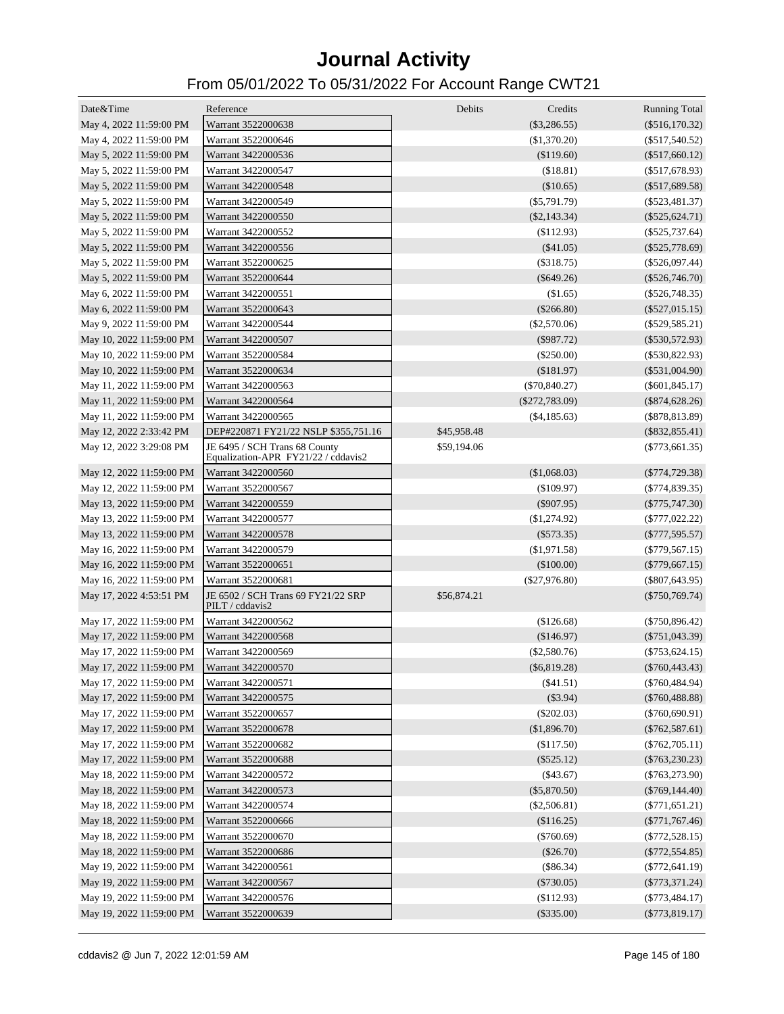| Date&Time                | Reference                                                            | <b>Debits</b> | Credits          | <b>Running Total</b> |
|--------------------------|----------------------------------------------------------------------|---------------|------------------|----------------------|
| May 4, 2022 11:59:00 PM  | Warrant 3522000638                                                   |               | $(\$3,286.55)$   | $(\$516,170.32)$     |
| May 4, 2022 11:59:00 PM  | Warrant 3522000646                                                   |               | (\$1,370.20)     | $(\$517,540.52)$     |
| May 5, 2022 11:59:00 PM  | Warrant 3422000536                                                   |               | (\$119.60)       | $(\$517,660.12)$     |
| May 5, 2022 11:59:00 PM  | Warrant 3422000547                                                   |               | (\$18.81)        | $(\$517,678.93)$     |
| May 5, 2022 11:59:00 PM  | Warrant 3422000548                                                   |               | (\$10.65)        | $(\$517,689.58)$     |
| May 5, 2022 11:59:00 PM  | Warrant 3422000549                                                   |               | $(\$5,791.79)$   | $(\$523,481.37)$     |
| May 5, 2022 11:59:00 PM  | Warrant 3422000550                                                   |               | $(\$2,143.34)$   | $(\$525,624.71)$     |
| May 5, 2022 11:59:00 PM  | Warrant 3422000552                                                   |               | (\$112.93)       | $(\$525,737.64)$     |
| May 5, 2022 11:59:00 PM  | Warrant 3422000556                                                   |               | $(\$41.05)$      | $(\$525,778.69)$     |
| May 5, 2022 11:59:00 PM  | Warrant 3522000625                                                   |               | $(\$318.75)$     | $(\$526,097.44)$     |
| May 5, 2022 11:59:00 PM  | Warrant 3522000644                                                   |               | $(\$649.26)$     | $(\$526,746.70)$     |
| May 6, 2022 11:59:00 PM  | Warrant 3422000551                                                   |               | (\$1.65)         | $(\$526,748.35)$     |
| May 6, 2022 11:59:00 PM  | Warrant 3522000643                                                   |               | $(\$266.80)$     | $(\$527,015.15)$     |
| May 9, 2022 11:59:00 PM  | Warrant 3422000544                                                   |               | $(\$2,570.06)$   | $(\$529,585.21)$     |
| May 10, 2022 11:59:00 PM | Warrant 3422000507                                                   |               | $(\$987.72)$     | $(\$530,572.93)$     |
| May 10, 2022 11:59:00 PM | Warrant 3522000584                                                   |               | $(\$250.00)$     | $(\$530,822.93)$     |
| May 10, 2022 11:59:00 PM | Warrant 3522000634                                                   |               | (\$181.97)       | $(\$531,004.90)$     |
| May 11, 2022 11:59:00 PM | Warrant 3422000563                                                   |               | $(\$70,840.27)$  | $(\$601,845.17)$     |
| May 11, 2022 11:59:00 PM | Warrant 3422000564                                                   |               | $(\$272,783.09)$ | $(\$874,628.26)$     |
| May 11, 2022 11:59:00 PM | Warrant 3422000565                                                   |               | $(\$4,185.63)$   | $(\$878,813.89)$     |
| May 12, 2022 2:33:42 PM  | DEP#220871 FY21/22 NSLP \$355,751.16                                 | \$45,958.48   |                  | $(\$832, 855.41)$    |
| May 12, 2022 3:29:08 PM  | JE 6495 / SCH Trans 68 County<br>Equalization-APR FY21/22 / cddavis2 | \$59,194.06   |                  | $(\$773,661.35)$     |
| May 12, 2022 11:59:00 PM | Warrant 3422000560                                                   |               | (\$1,068.03)     | $(\$774,729.38)$     |
| May 12, 2022 11:59:00 PM | Warrant 3522000567                                                   |               | $(\$109.97)$     | $(\$774,839.35)$     |
| May 13, 2022 11:59:00 PM | Warrant 3422000559                                                   |               | $(\$907.95)$     | $(\$775,747.30)$     |
| May 13, 2022 11:59:00 PM | Warrant 3422000577                                                   |               | (\$1,274.92)     | $(\$777,022.22)$     |
| May 13, 2022 11:59:00 PM | Warrant 3422000578                                                   |               | $(\$573.35)$     | $(\$777,595.57)$     |
| May 16, 2022 11:59:00 PM | Warrant 3422000579                                                   |               | (\$1,971.58)     | $(\$779,567.15)$     |
| May 16, 2022 11:59:00 PM | Warrant 3522000651                                                   |               | $(\$100.00)$     | $(\$779,667.15)$     |
| May 16, 2022 11:59:00 PM | Warrant 3522000681                                                   |               | $(\$27,976.80)$  | $(\$807,643.95)$     |
| May 17, 2022 4:53:51 PM  | JE 6502 / SCH Trans 69 FY21/22 SRP<br>PILT / cddavis2                | \$56,874.21   |                  | $(\$750,769.74)$     |
| May 17, 2022 11:59:00 PM | Warrant 3422000562                                                   |               | (\$126.68)       | $(\$750,896.42)$     |
| May 17, 2022 11:59:00 PM | Warrant 3422000568                                                   |               | (\$146.97)       | $(\$751,043.39)$     |
| May 17, 2022 11:59:00 PM | Warrant 3422000569                                                   |               | $(\$2,580.76)$   | $(\$753,624.15)$     |
| May 17, 2022 11:59:00 PM | Warrant 3422000570                                                   |               | $(\$6,819.28)$   | $(\$760,443.43)$     |
| May 17, 2022 11:59:00 PM | Warrant 3422000571                                                   |               | (\$41.51)        | $(\$760,484.94)$     |
| May 17, 2022 11:59:00 PM | Warrant 3422000575                                                   |               | (\$3.94)         | $(\$760,488.88)$     |
| May 17, 2022 11:59:00 PM | Warrant 3522000657                                                   |               | $(\$202.03)$     | $(\$760,690.91)$     |
| May 17, 2022 11:59:00 PM | Warrant 3522000678                                                   |               | (\$1,896.70)     | $(\$762,587.61)$     |
| May 17, 2022 11:59:00 PM | Warrant 3522000682                                                   |               | (\$117.50)       | $(\$762,705.11)$     |
| May 17, 2022 11:59:00 PM | Warrant 3522000688                                                   |               | $(\$525.12)$     | $(\$763,230.23)$     |
| May 18, 2022 11:59:00 PM | Warrant 3422000572                                                   |               | (\$43.67)        | $(\$763,273.90)$     |
| May 18, 2022 11:59:00 PM | Warrant 3422000573                                                   |               | $(\$5,870.50)$   | $(\$769, 144.40)$    |
| May 18, 2022 11:59:00 PM | Warrant 3422000574                                                   |               | $(\$2,506.81)$   | $(\$771,651.21)$     |
| May 18, 2022 11:59:00 PM | Warrant 3522000666                                                   |               | (\$116.25)       | $(\$771,767.46)$     |
| May 18, 2022 11:59:00 PM | Warrant 3522000670                                                   |               | $(\$760.69)$     | $(\$772,528.15)$     |
| May 18, 2022 11:59:00 PM | Warrant 3522000686                                                   |               | $(\$26.70)$      | $(\$772,554.85)$     |
| May 19, 2022 11:59:00 PM | Warrant 3422000561                                                   |               | (\$86.34)        | $(\$772,641.19)$     |
| May 19, 2022 11:59:00 PM | Warrant 3422000567                                                   |               | $(\$730.05)$     | $(\$773,371.24)$     |
| May 19, 2022 11:59:00 PM | Warrant 3422000576                                                   |               | (\$112.93)       | $(\$773,484.17)$     |
| May 19, 2022 11:59:00 PM | Warrant 3522000639                                                   |               | $(\$335.00)$     | $(\$773,819.17)$     |
|                          |                                                                      |               |                  |                      |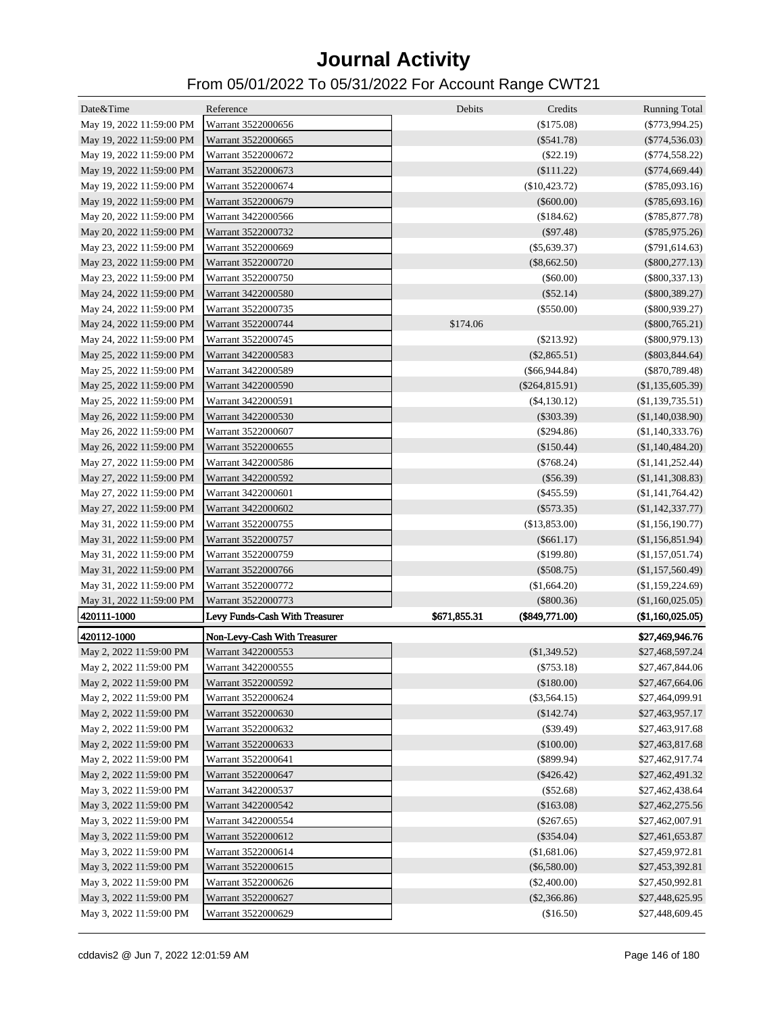| Date&Time                | Reference                      | Debits<br>Credits                | <b>Running Total</b> |
|--------------------------|--------------------------------|----------------------------------|----------------------|
| May 19, 2022 11:59:00 PM | Warrant 3522000656             | (\$175.08)                       | $(\$773,994.25)$     |
| May 19, 2022 11:59:00 PM | Warrant 3522000665             | $(\$541.78)$                     | $(\$774,536.03)$     |
| May 19, 2022 11:59:00 PM | Warrant 3522000672             | (\$22.19)                        | $(\$774,558.22)$     |
| May 19, 2022 11:59:00 PM | Warrant 3522000673             | (\$111.22)                       | $(\$774,669.44)$     |
| May 19, 2022 11:59:00 PM | Warrant 3522000674             | $(\$10,423.72)$                  | $(\$785,093.16)$     |
| May 19, 2022 11:59:00 PM | Warrant 3522000679             | $(\$600.00)$                     | $(\$785,693.16)$     |
| May 20, 2022 11:59:00 PM | Warrant 3422000566             | (\$184.62)                       | $(\$785,877.78)$     |
| May 20, 2022 11:59:00 PM | Warrant 3522000732             | (\$97.48)                        | $(\$785,975.26)$     |
| May 23, 2022 11:59:00 PM | Warrant 3522000669             | $(\$5,639.37)$                   | $(\$791,614.63)$     |
| May 23, 2022 11:59:00 PM | Warrant 3522000720             | $(\$8,662.50)$                   | $(\$800,277.13)$     |
| May 23, 2022 11:59:00 PM | Warrant 3522000750             | (\$60.00)                        | $(\$800,337.13)$     |
| May 24, 2022 11:59:00 PM | Warrant 3422000580             | (\$52.14)                        | $(\$800,389.27)$     |
| May 24, 2022 11:59:00 PM | Warrant 3522000735             | $(\$550.00)$                     | $(\$800,939.27)$     |
| May 24, 2022 11:59:00 PM | Warrant 3522000744             | \$174.06                         | $(\$800,765.21)$     |
| May 24, 2022 11:59:00 PM | Warrant 3522000745             | $(\$213.92)$                     | $(\$800,979.13)$     |
| May 25, 2022 11:59:00 PM | Warrant 3422000583             | $(\$2,865.51)$                   | $(\$803, 844.64)$    |
| May 25, 2022 11:59:00 PM | Warrant 3422000589             | $(\$66,944.84)$                  | $(\$870,789.48)$     |
| May 25, 2022 11:59:00 PM | Warrant 3422000590             | $(\$264, 815.91)$                | (\$1,135,605.39)     |
| May 25, 2022 11:59:00 PM | Warrant 3422000591             | $(\$4,130.12)$                   | $(\$1,139,735.51)$   |
| May 26, 2022 11:59:00 PM | Warrant 3422000530             | $(\$303.39)$                     | (\$1,140,038.90)     |
| May 26, 2022 11:59:00 PM | Warrant 3522000607             | $(\$294.86)$                     | (\$1,140,333.76)     |
| May 26, 2022 11:59:00 PM | Warrant 3522000655             | (\$150.44)                       | (\$1,140,484.20)     |
| May 27, 2022 11:59:00 PM | Warrant 3422000586             | $(\$768.24)$                     | (\$1,141,252.44)     |
| May 27, 2022 11:59:00 PM | Warrant 3422000592             | (\$56.39)                        | (\$1,141,308.83)     |
| May 27, 2022 11:59:00 PM | Warrant 3422000601             | $(\$455.59)$                     | (\$1,141,764.42)     |
| May 27, 2022 11:59:00 PM | Warrant 3422000602             | $(\$573.35)$                     | $(\$1,142,337.77)$   |
| May 31, 2022 11:59:00 PM | Warrant 3522000755             | (\$13,853.00)                    | (\$1,156,190.77)     |
| May 31, 2022 11:59:00 PM | Warrant 3522000757             | $(\$661.17)$                     | (\$1,156,851.94)     |
| May 31, 2022 11:59:00 PM | Warrant 3522000759             | (\$199.80)                       | (\$1,157,051.74)     |
| May 31, 2022 11:59:00 PM | Warrant 3522000766             | $(\$508.75)$                     | (\$1,157,560.49)     |
| May 31, 2022 11:59:00 PM | Warrant 3522000772             | (\$1,664.20)                     | (\$1,159,224.69)     |
| May 31, 2022 11:59:00 PM | Warrant 3522000773             | $(\$800.36)$                     | (\$1,160,025.05)     |
| 420111-1000              | Levy Funds-Cash With Treasurer | \$671,855.31<br>$(\$849,771.00)$ | (\$1,160,025.05)     |
|                          |                                |                                  |                      |
| 420112-1000              | Non-Levy-Cash With Treasurer   |                                  | \$27,469,946.76      |
| May 2, 2022 11:59:00 PM  | Warrant 3422000553             | (\$1,349.52)                     | \$27,468,597.24      |
| May 2, 2022 11:59:00 PM  | Warrant 3422000555             | $(\$753.18)$                     | \$27,467,844.06      |
| May 2, 2022 11:59:00 PM  | Warrant 3522000592             | (\$180.00)                       | \$27,467,664.06      |
| May 2, 2022 11:59:00 PM  | Warrant 3522000624             | $(\$3,564.15)$                   | \$27,464,099.91      |
| May 2, 2022 11:59:00 PM  | Warrant 3522000630             | (\$142.74)                       | \$27,463,957.17      |
| May 2, 2022 11:59:00 PM  | Warrant 3522000632             | $(\$39.49)$                      | \$27,463,917.68      |
| May 2, 2022 11:59:00 PM  | Warrant 3522000633             | (\$100.00)                       | \$27,463,817.68      |
| May 2, 2022 11:59:00 PM  | Warrant 3522000641             | $(\$899.94)$                     | \$27,462,917.74      |
| May 2, 2022 11:59:00 PM  | Warrant 3522000647             | $(\$426.42)$                     | \$27,462,491.32      |
| May 3, 2022 11:59:00 PM  | Warrant 3422000537             | $(\$52.68)$                      | \$27,462,438.64      |
| May 3, 2022 11:59:00 PM  | Warrant 3422000542             | (\$163.08)                       | \$27,462,275.56      |
| May 3, 2022 11:59:00 PM  | Warrant 3422000554             | $(\$267.65)$                     | \$27,462,007.91      |
| May 3, 2022 11:59:00 PM  | Warrant 3522000612             | $(\$354.04)$                     | \$27,461,653.87      |
| May 3, 2022 11:59:00 PM  | Warrant 3522000614             | (\$1,681.06)                     | \$27,459,972.81      |
| May 3, 2022 11:59:00 PM  | Warrant 3522000615             | $(\$6,580.00)$                   | \$27,453,392.81      |
| May 3, 2022 11:59:00 PM  | Warrant 3522000626             | $(\$2,400.00)$                   | \$27,450,992.81      |
| May 3, 2022 11:59:00 PM  | Warrant 3522000627             | $(\$2,366.86)$                   | \$27,448,625.95      |
| May 3, 2022 11:59:00 PM  | Warrant 3522000629             | (\$16.50)                        | \$27,448,609.45      |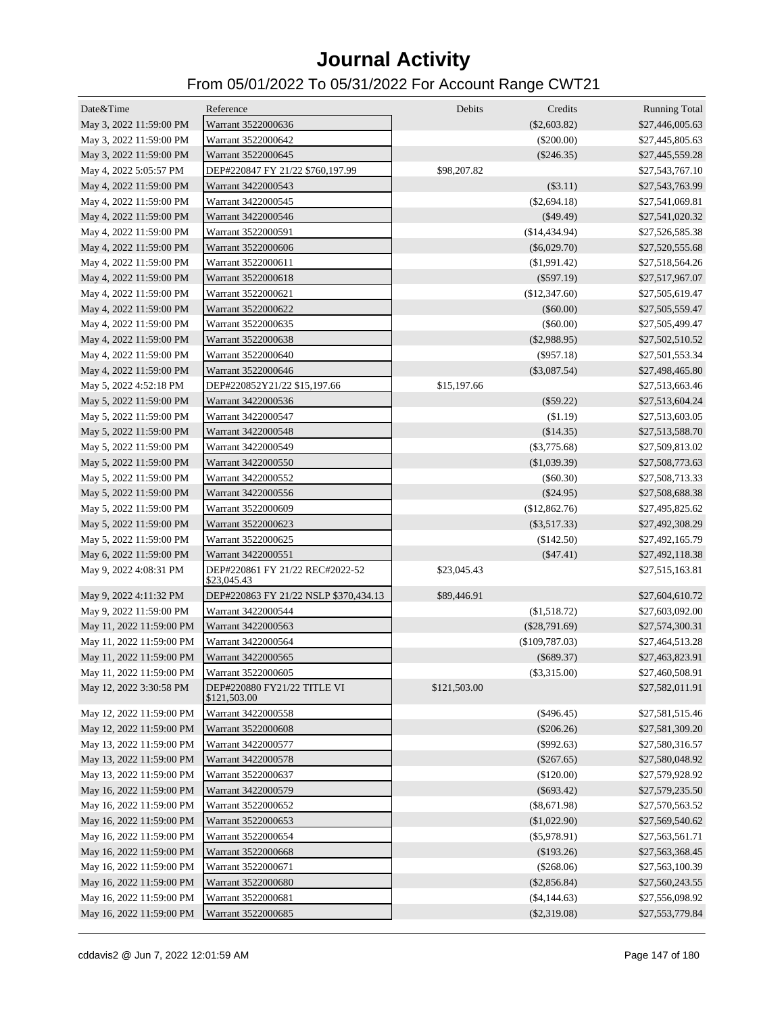| Date&Time                | Reference                                      | Debits       | Credits         | <b>Running Total</b> |
|--------------------------|------------------------------------------------|--------------|-----------------|----------------------|
| May 3, 2022 11:59:00 PM  | Warrant 3522000636                             |              | $(\$2,603.82)$  | \$27,446,005.63      |
| May 3, 2022 11:59:00 PM  | Warrant 3522000642                             |              | $(\$200.00)$    | \$27,445,805.63      |
| May 3, 2022 11:59:00 PM  | Warrant 3522000645                             |              | $(\$246.35)$    | \$27,445,559.28      |
| May 4, 2022 5:05:57 PM   | DEP#220847 FY 21/22 \$760,197.99               | \$98,207.82  |                 | \$27,543,767.10      |
| May 4, 2022 11:59:00 PM  | Warrant 3422000543                             |              | (\$3.11)        | \$27,543,763.99      |
| May 4, 2022 11:59:00 PM  | Warrant 3422000545                             |              | (\$2,694.18)    | \$27,541,069.81      |
| May 4, 2022 11:59:00 PM  | Warrant 3422000546                             |              | $(\$49.49)$     | \$27,541,020.32      |
| May 4, 2022 11:59:00 PM  | Warrant 3522000591                             |              | (\$14,434.94)   | \$27,526,585.38      |
| May 4, 2022 11:59:00 PM  | Warrant 3522000606                             |              | $(\$6,029.70)$  | \$27,520,555.68      |
| May 4, 2022 11:59:00 PM  | Warrant 3522000611                             |              | $(\$1,991.42)$  | \$27,518,564.26      |
| May 4, 2022 11:59:00 PM  | Warrant 3522000618                             |              | $(\$597.19)$    | \$27,517,967.07      |
| May 4, 2022 11:59:00 PM  | Warrant 3522000621                             |              | (\$12,347.60)   | \$27,505,619.47      |
| May 4, 2022 11:59:00 PM  | Warrant 3522000622                             |              | $(\$60.00)$     | \$27,505,559.47      |
| May 4, 2022 11:59:00 PM  | Warrant 3522000635                             |              | $(\$60.00)$     | \$27,505,499.47      |
| May 4, 2022 11:59:00 PM  | Warrant 3522000638                             |              | $(\$2,988.95)$  | \$27,502,510.52      |
| May 4, 2022 11:59:00 PM  | Warrant 3522000640                             |              | $(\$957.18)$    | \$27,501,553.34      |
| May 4, 2022 11:59:00 PM  | Warrant 3522000646                             |              | $(\$3,087.54)$  | \$27,498,465.80      |
| May 5, 2022 4:52:18 PM   | DEP#220852Y21/22 \$15,197.66                   | \$15,197.66  |                 | \$27,513,663.46      |
| May 5, 2022 11:59:00 PM  | Warrant 3422000536                             |              | $(\$59.22)$     | \$27,513,604.24      |
| May 5, 2022 11:59:00 PM  | Warrant 3422000547                             |              | (\$1.19)        | \$27,513,603.05      |
| May 5, 2022 11:59:00 PM  | Warrant 3422000548                             |              | (\$14.35)       | \$27,513,588.70      |
| May 5, 2022 11:59:00 PM  | Warrant 3422000549                             |              | $(\$3,775.68)$  | \$27,509,813.02      |
| May 5, 2022 11:59:00 PM  | Warrant 3422000550                             |              | (\$1,039.39)    | \$27,508,773.63      |
| May 5, 2022 11:59:00 PM  | Warrant 3422000552                             |              | $(\$60.30)$     | \$27,508,713.33      |
| May 5, 2022 11:59:00 PM  | Warrant 3422000556                             |              | $(\$24.95)$     | \$27,508,688.38      |
| May 5, 2022 11:59:00 PM  | Warrant 3522000609                             |              | (\$12,862.76)   | \$27,495,825.62      |
| May 5, 2022 11:59:00 PM  | Warrant 3522000623                             |              | $(\$3,517.33)$  | \$27,492,308.29      |
| May 5, 2022 11:59:00 PM  | Warrant 3522000625                             |              | (\$142.50)      | \$27,492,165.79      |
| May 6, 2022 11:59:00 PM  | Warrant 3422000551                             |              | $(\$47.41)$     | \$27,492,118.38      |
| May 9, 2022 4:08:31 PM   | DEP#220861 FY 21/22 REC#2022-52<br>\$23,045.43 | \$23,045.43  |                 | \$27,515,163.81      |
| May 9, 2022 4:11:32 PM   | DEP#220863 FY 21/22 NSLP \$370,434.13          | \$89,446.91  |                 | \$27,604,610.72      |
| May 9, 2022 11:59:00 PM  | Warrant 3422000544                             |              | (\$1,518.72)    | \$27,603,092.00      |
| May 11, 2022 11:59:00 PM | Warrant 3422000563                             |              | $(\$28,791.69)$ | \$27,574,300.31      |
| May 11, 2022 11:59:00 PM | Warrant 3422000564                             |              | (\$109,787.03)  | \$27,464,513.28      |
| May 11, 2022 11:59:00 PM | Warrant 3422000565                             |              | $(\$689.37)$    | \$27,463,823.91      |
| May 11, 2022 11:59:00 PM | Warrant 3522000605                             |              | $(\$3,315.00)$  | \$27,460,508.91      |
| May 12, 2022 3:30:58 PM  | DEP#220880 FY21/22 TITLE VI<br>\$121,503.00    | \$121,503.00 |                 | \$27,582,011.91      |
| May 12, 2022 11:59:00 PM | Warrant 3422000558                             |              | $(\$496.45)$    | \$27,581,515.46      |
| May 12, 2022 11:59:00 PM | Warrant 3522000608                             |              | $(\$206.26)$    | \$27,581,309.20      |
| May 13, 2022 11:59:00 PM | Warrant 3422000577                             |              | $(\$992.63)$    | \$27,580,316.57      |
| May 13, 2022 11:59:00 PM | Warrant 3422000578                             |              | $(\$267.65)$    | \$27,580,048.92      |
| May 13, 2022 11:59:00 PM | Warrant 3522000637                             |              | (\$120.00)      | \$27,579,928.92      |
| May 16, 2022 11:59:00 PM | Warrant 3422000579                             |              | $(\$693.42)$    | \$27,579,235.50      |
| May 16, 2022 11:59:00 PM | Warrant 3522000652                             |              | $(\$8,671.98)$  | \$27,570,563.52      |
| May 16, 2022 11:59:00 PM | Warrant 3522000653                             |              | (\$1,022.90)    | \$27,569,540.62      |
| May 16, 2022 11:59:00 PM | Warrant 3522000654                             |              | $(\$5,978.91)$  | \$27,563,561.71      |
| May 16, 2022 11:59:00 PM | Warrant 3522000668                             |              | (\$193.26)      | \$27,563,368.45      |
| May 16, 2022 11:59:00 PM | Warrant 3522000671                             |              | $(\$268.06)$    | \$27,563,100.39      |
| May 16, 2022 11:59:00 PM | Warrant 3522000680                             |              | $(\$2,856.84)$  | \$27,560,243.55      |
| May 16, 2022 11:59:00 PM | Warrant 3522000681                             |              | $(\$4,144.63)$  | \$27,556,098.92      |
| May 16, 2022 11:59:00 PM | Warrant 3522000685                             |              | $(\$2,319.08)$  | \$27,553,779.84      |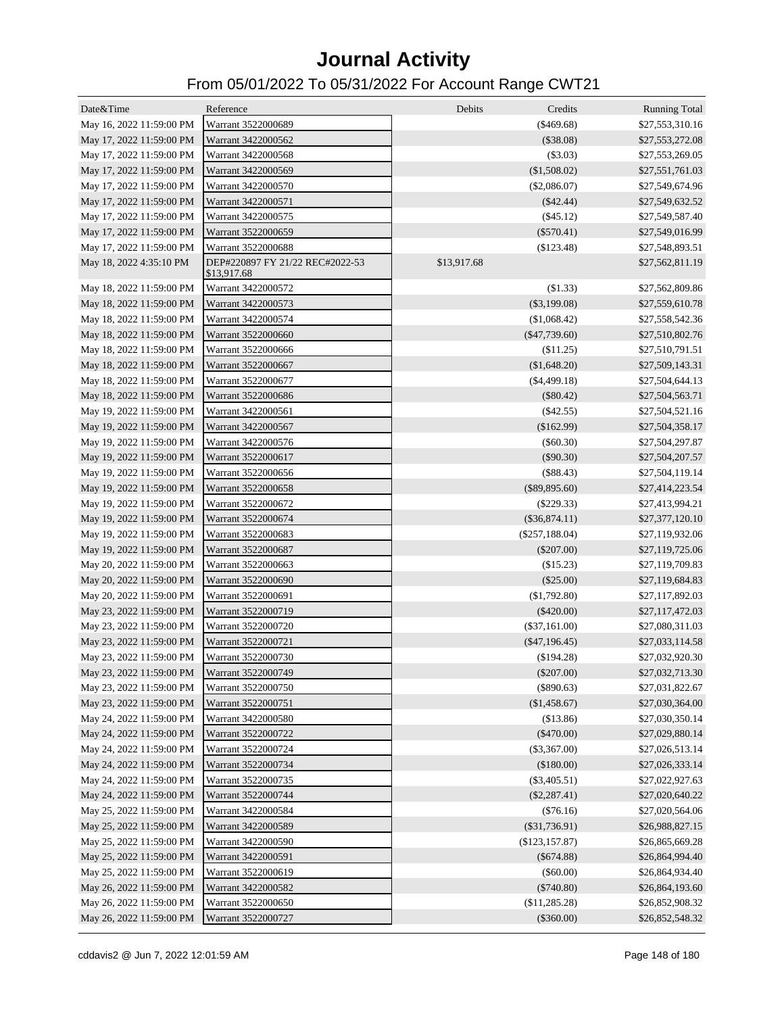| Date&Time                                   | Reference                                      | Debits<br>Credits | <b>Running Total</b> |
|---------------------------------------------|------------------------------------------------|-------------------|----------------------|
| May 16, 2022 11:59:00 PM                    | Warrant 3522000689                             | (\$469.68)        | \$27,553,310.16      |
| May 17, 2022 11:59:00 PM                    | Warrant 3422000562                             | (\$38.08)         | \$27,553,272.08      |
| May 17, 2022 11:59:00 PM                    | Warrant 3422000568                             | $(\$3.03)$        | \$27,553,269.05      |
| May 17, 2022 11:59:00 PM                    | Warrant 3422000569                             | (\$1,508.02)      | \$27,551,761.03      |
|                                             | Warrant 3422000570                             |                   |                      |
| May 17, 2022 11:59:00 PM                    |                                                | $(\$2,086.07)$    | \$27,549,674.96      |
| May 17, 2022 11:59:00 PM                    | Warrant 3422000571                             | $(\$42.44)$       | \$27,549,632.52      |
| May 17, 2022 11:59:00 PM                    | Warrant 3422000575                             | $(\$45.12)$       | \$27,549,587.40      |
| May 17, 2022 11:59:00 PM                    | Warrant 3522000659                             | $(\$570.41)$      | \$27,549,016.99      |
| May 17, 2022 11:59:00 PM                    | Warrant 3522000688                             | (\$123.48)        | \$27,548,893.51      |
| May 18, 2022 4:35:10 PM                     | DEP#220897 FY 21/22 REC#2022-53<br>\$13,917.68 | \$13,917.68       | \$27,562,811.19      |
| May 18, 2022 11:59:00 PM                    | Warrant 3422000572                             | (\$1.33)          | \$27,562,809.86      |
| May 18, 2022 11:59:00 PM                    | Warrant 3422000573                             | $(\$3,199.08)$    | \$27,559,610.78      |
| May 18, 2022 11:59:00 PM                    | Warrant 3422000574                             | (\$1,068.42)      | \$27,558,542.36      |
| May 18, 2022 11:59:00 PM                    | Warrant 3522000660                             | $(\$47,739.60)$   | \$27,510,802.76      |
| May 18, 2022 11:59:00 PM                    | Warrant 3522000666                             | (\$11.25)         | \$27,510,791.51      |
| May 18, 2022 11:59:00 PM                    | Warrant 3522000667                             | (\$1,648.20)      | \$27,509,143.31      |
| May 18, 2022 11:59:00 PM                    | Warrant 3522000677                             | $(\$4,499.18)$    | \$27,504,644.13      |
| May 18, 2022 11:59:00 PM                    | Warrant 3522000686                             | $(\$80.42)$       | \$27,504,563.71      |
| May 19, 2022 11:59:00 PM                    | Warrant 3422000561                             | $(\$42.55)$       | \$27,504,521.16      |
| May 19, 2022 11:59:00 PM                    | Warrant 3422000567                             | (\$162.99)        | \$27,504,358.17      |
| May 19, 2022 11:59:00 PM                    | Warrant 3422000576                             | $(\$60.30)$       | \$27,504,297.87      |
| May 19, 2022 11:59:00 PM                    | Warrant 3522000617                             | $(\$90.30)$       | \$27,504,207.57      |
| May 19, 2022 11:59:00 PM                    | Warrant 3522000656                             | $(\$88.43)$       | \$27,504,119.14      |
| May 19, 2022 11:59:00 PM                    | Warrant 3522000658                             | $(\$89,895.60)$   | \$27,414,223.54      |
| May 19, 2022 11:59:00 PM                    | Warrant 3522000672                             | $(\$229.33)$      | \$27,413,994.21      |
| May 19, 2022 11:59:00 PM                    | Warrant 3522000674                             | $(\$36,874.11)$   | \$27,377,120.10      |
| May 19, 2022 11:59:00 PM                    | Warrant 3522000683                             | $(\$257,188.04)$  | \$27,119,932.06      |
| May 19, 2022 11:59:00 PM                    | Warrant 3522000687                             | $(\$207.00)$      | \$27,119,725.06      |
| May 20, 2022 11:59:00 PM                    | Warrant 3522000663                             | (\$15.23)         | \$27,119,709.83      |
| May 20, 2022 11:59:00 PM                    | Warrant 3522000690                             | $(\$25.00)$       | \$27,119,684.83      |
| May 20, 2022 11:59:00 PM                    | Warrant 3522000691                             | $(\$1,792.80)$    |                      |
|                                             | Warrant 3522000719                             |                   | \$27,117,892.03      |
| May 23, 2022 11:59:00 PM                    |                                                | $(\$420.00)$      | \$27,117,472.03      |
| May 23, 2022 11:59:00 PM                    | Warrant 3522000720                             | $(\$37,161.00)$   | \$27,080,311.03      |
| May 23, 2022 11:59:00 PM                    | Warrant 3522000721                             | $(\$47,196.45)$   | \$27,033,114.58      |
| May 23, 2022 11:59:00 PM                    | Warrant 3522000730                             | $(\$194.28)$      | \$27,032,920.30      |
| May 23, 2022 11:59:00 PM Warrant 3522000749 |                                                | $(\$207.00)$      | \$27,032,713.30      |
| May 23, 2022 11:59:00 PM                    | Warrant 3522000750                             | $(\$890.63)$      | \$27,031,822.67      |
| May 23, 2022 11:59:00 PM                    | Warrant 3522000751                             | (\$1,458.67)      | \$27,030,364.00      |
| May 24, 2022 11:59:00 PM                    | Warrant 3422000580                             | (\$13.86)         | \$27,030,350.14      |
| May 24, 2022 11:59:00 PM                    | Warrant 3522000722                             | $(\$470.00)$      | \$27,029,880.14      |
| May 24, 2022 11:59:00 PM                    | Warrant 3522000724                             | $(\$3,367.00)$    | \$27,026,513.14      |
| May 24, 2022 11:59:00 PM                    | Warrant 3522000734                             | (\$180.00)        | \$27,026,333.14      |
| May 24, 2022 11:59:00 PM                    | Warrant 3522000735                             | $(\$3,405.51)$    | \$27,022,927.63      |
| May 24, 2022 11:59:00 PM                    | Warrant 3522000744                             | $(\$2,287.41)$    | \$27,020,640.22      |
| May 25, 2022 11:59:00 PM                    | Warrant 3422000584                             | (\$76.16)         | \$27,020,564.06      |
| May 25, 2022 11:59:00 PM                    | Warrant 3422000589                             | $(\$31,736.91)$   | \$26,988,827.15      |
| May 25, 2022 11:59:00 PM                    | Warrant 3422000590                             | (\$123, 157.87)   | \$26,865,669.28      |
| May 25, 2022 11:59:00 PM                    | Warrant 3422000591                             | $(\$674.88)$      | \$26,864,994.40      |
| May 25, 2022 11:59:00 PM                    | Warrant 3522000619                             | $(\$60.00)$       | \$26,864,934.40      |
| May 26, 2022 11:59:00 PM                    | Warrant 3422000582                             | $(\$740.80)$      | \$26,864,193.60      |
| May 26, 2022 11:59:00 PM                    | Warrant 3522000650                             | (\$11,285.28)     | \$26,852,908.32      |
| May 26, 2022 11:59:00 PM                    | Warrant 3522000727                             | $(\$360.00)$      | \$26,852,548.32      |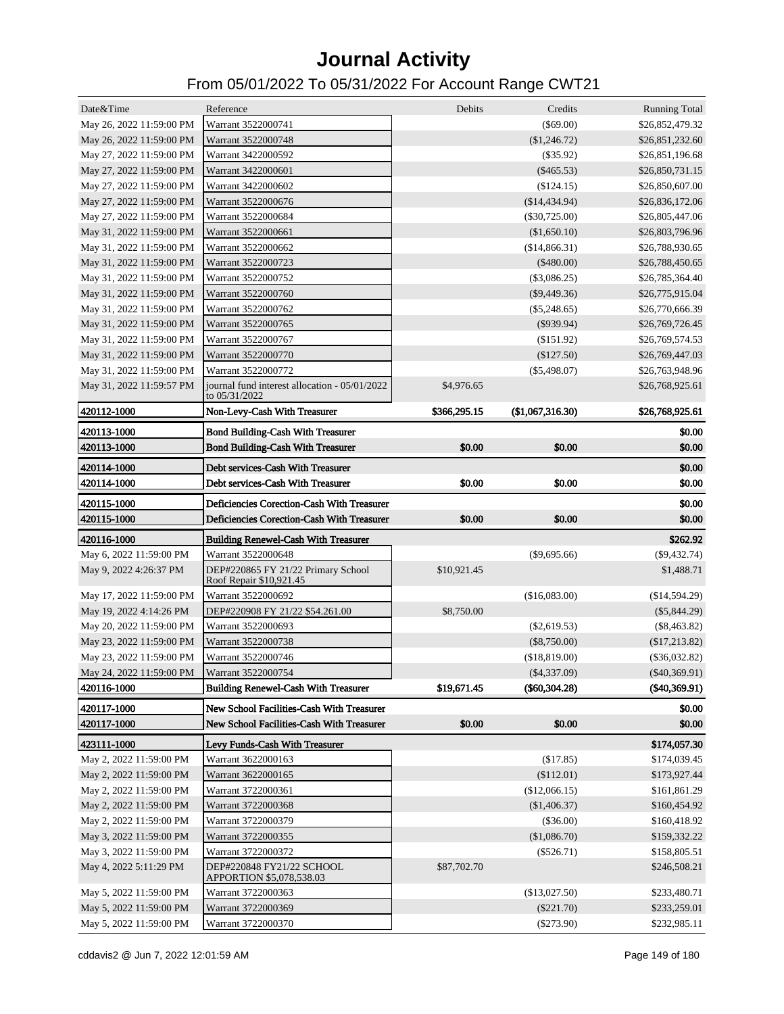| Date&Time                                   | Reference                                                                              | Debits       | Credits          | <b>Running Total</b> |
|---------------------------------------------|----------------------------------------------------------------------------------------|--------------|------------------|----------------------|
| May 26, 2022 11:59:00 PM                    | Warrant 3522000741                                                                     |              | $(\$69.00)$      | \$26,852,479.32      |
| May 26, 2022 11:59:00 PM                    | Warrant 3522000748                                                                     |              | (\$1,246.72)     | \$26,851,232.60      |
| May 27, 2022 11:59:00 PM                    | Warrant 3422000592                                                                     |              | $(\$35.92)$      | \$26,851,196.68      |
| May 27, 2022 11:59:00 PM                    | Warrant 3422000601                                                                     |              | $(\$465.53)$     | \$26,850,731.15      |
| May 27, 2022 11:59:00 PM                    | Warrant 3422000602                                                                     |              | (\$124.15)       | \$26,850,607.00      |
| May 27, 2022 11:59:00 PM                    | Warrant 3522000676                                                                     |              | $(\$14,434.94)$  | \$26,836,172.06      |
| May 27, 2022 11:59:00 PM                    | Warrant 3522000684                                                                     |              | $(\$30,725.00)$  | \$26,805,447.06      |
| May 31, 2022 11:59:00 PM                    | Warrant 3522000661                                                                     |              | (\$1,650.10)     | \$26,803,796.96      |
| May 31, 2022 11:59:00 PM                    | Warrant 3522000662                                                                     |              | (\$14,866.31)    | \$26,788,930.65      |
| May 31, 2022 11:59:00 PM                    | Warrant 3522000723                                                                     |              | ( \$480.00)      | \$26,788,450.65      |
| May 31, 2022 11:59:00 PM                    | Warrant 3522000752                                                                     |              | $(\$3,086.25)$   | \$26,785,364.40      |
| May 31, 2022 11:59:00 PM                    | Warrant 3522000760                                                                     |              | $(\$9,449.36)$   | \$26,775,915.04      |
| May 31, 2022 11:59:00 PM                    | Warrant 3522000762                                                                     |              | $(\$5,248.65)$   | \$26,770,666.39      |
| May 31, 2022 11:59:00 PM                    | Warrant 3522000765                                                                     |              | $(\$939.94)$     | \$26,769,726.45      |
| May 31, 2022 11:59:00 PM                    | Warrant 3522000767                                                                     |              | (\$151.92)       | \$26,769,574.53      |
| May 31, 2022 11:59:00 PM                    | Warrant 3522000770                                                                     |              | $(\$127.50)$     | \$26,769,447.03      |
| May 31, 2022 11:59:00 PM                    | Warrant 3522000772                                                                     |              | $(\$5,498.07)$   | \$26,763,948.96      |
| May 31, 2022 11:59:57 PM                    | journal fund interest allocation - 05/01/2022<br>to 05/31/2022                         | \$4,976.65   |                  | \$26,768,925.61      |
| 420112-1000                                 | Non-Levy-Cash With Treasurer                                                           | \$366,295.15 | (\$1,067,316.30) | \$26,768,925.61      |
| 420113-1000                                 | <b>Bond Building-Cash With Treasurer</b>                                               |              |                  | \$0.00               |
| 420113-1000                                 | <b>Bond Building-Cash With Treasurer</b>                                               | \$0.00       | \$0.00           | \$0.00               |
| 420114-1000                                 | Debt services-Cash With Treasurer                                                      |              |                  | \$0.00               |
| 420114-1000                                 | Debt services-Cash With Treasurer                                                      | \$0.00       | \$0.00           | \$0.00               |
|                                             | Deficiencies Corection-Cash With Treasurer                                             |              |                  |                      |
| 420115-1000                                 |                                                                                        |              |                  | \$0.00               |
|                                             |                                                                                        |              |                  |                      |
| 420115-1000                                 | Deficiencies Corection-Cash With Treasurer                                             | \$0.00       | \$0.00           | \$0.00               |
| 420116-1000                                 | <b>Building Renewel-Cash With Treasurer</b>                                            |              |                  | \$262.92             |
| May 6, 2022 11:59:00 PM                     | Warrant 3522000648                                                                     |              | $(\$9,695.66)$   | $(\$9,432.74)$       |
| May 9, 2022 4:26:37 PM                      | DEP#220865 FY 21/22 Primary School<br>Roof Repair \$10,921.45                          | \$10,921.45  |                  | \$1,488.71           |
| May 17, 2022 11:59:00 PM                    | Warrant 3522000692                                                                     |              | (\$16,083.00)    | (\$14,594.29)        |
| May 19, 2022 4:14:26 PM                     | DEP#220908 FY 21/22 \$54.261.00                                                        | \$8,750.00   |                  | $(\$5,844.29)$       |
| May 20, 2022 11:59:00 PM                    | Warrant 3522000693                                                                     |              | $(\$2,619.53)$   | $(\$8,463.82)$       |
| May 23, 2022 11:59:00 PM                    | Warrant 3522000738                                                                     |              | $(\$8,750.00)$   | $(\$17,213.82)$      |
| May 23, 2022 11:59:00 PM                    | Warrant 3522000746                                                                     |              | (\$18,819.00)    | $(\$36,032.82)$      |
| May 24, 2022 11:59:00 PM Warrant 3522000754 |                                                                                        |              | $(\$4,337.09)$   | $(\$40,369.91)$      |
| 420116-1000                                 | <b>Building Renewel-Cash With Treasurer</b>                                            | \$19,671.45  | $(\$60,304.28)$  | (\$40,369.91)        |
|                                             |                                                                                        |              |                  |                      |
| 420117-1000<br>420117-1000                  | New School Facilities-Cash With Treasurer<br>New School Facilities-Cash With Treasurer | \$0.00       | \$0.00           | \$0.00<br>\$0.00     |
| 423111-1000                                 | Levy Funds-Cash With Treasurer                                                         |              |                  | \$174,057.30         |
| May 2, 2022 11:59:00 PM                     | Warrant 3622000163                                                                     |              | (\$17.85)        | \$174,039.45         |
| May 2, 2022 11:59:00 PM                     | Warrant 3622000165                                                                     |              | (\$112.01)       | \$173,927.44         |
| May 2, 2022 11:59:00 PM                     | Warrant 3722000361                                                                     |              | (\$12,066.15)    | \$161,861.29         |
| May 2, 2022 11:59:00 PM                     | Warrant 3722000368                                                                     |              | (\$1,406.37)     | \$160,454.92         |
| May 2, 2022 11:59:00 PM                     | Warrant 3722000379                                                                     |              | (\$36.00)        | \$160,418.92         |
| May 3, 2022 11:59:00 PM                     | Warrant 3722000355                                                                     |              | (\$1,086.70)     | \$159,332.22         |
| May 3, 2022 11:59:00 PM                     | Warrant 3722000372                                                                     |              | $(\$526.71)$     | \$158,805.51         |
| May 4, 2022 5:11:29 PM                      | DEP#220848 FY21/22 SCHOOL<br>APPORTION \$5,078,538.03                                  | \$87,702.70  |                  | \$246,508.21         |
| May 5, 2022 11:59:00 PM                     | Warrant 3722000363                                                                     |              | (\$13,027.50)    | \$233,480.71         |
| May 5, 2022 11:59:00 PM                     | Warrant 3722000369                                                                     |              | $(\$221.70)$     | \$233,259.01         |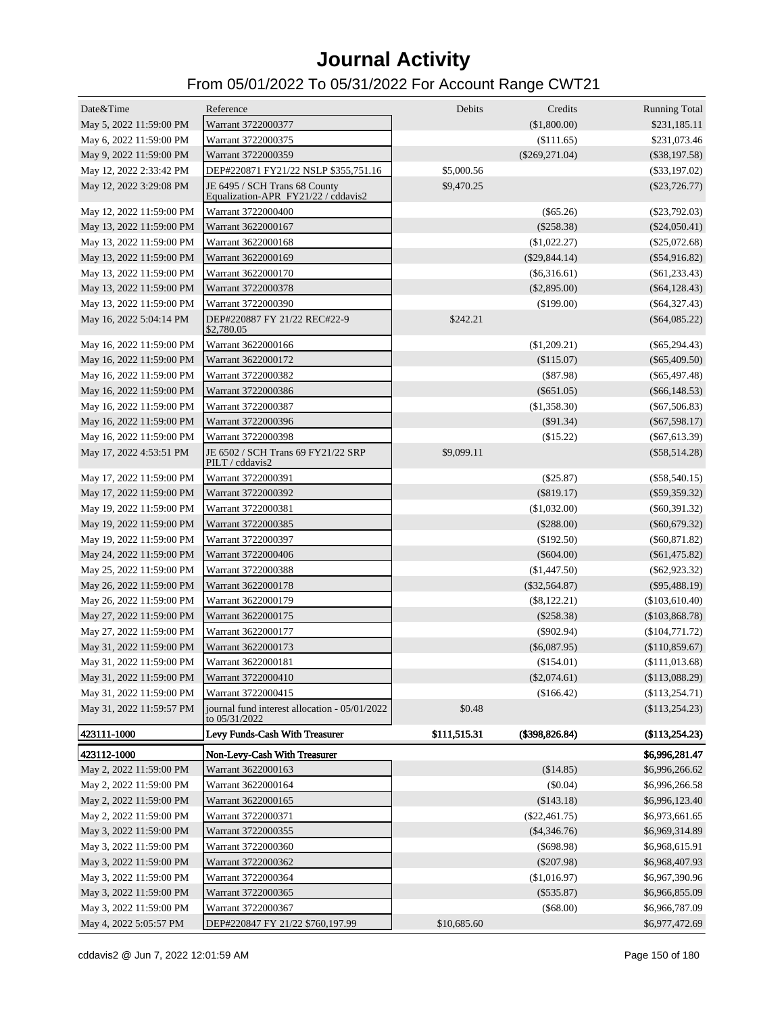| Date&Time                | Reference                                                            | Debits       | Credits          | <b>Running Total</b> |
|--------------------------|----------------------------------------------------------------------|--------------|------------------|----------------------|
| May 5, 2022 11:59:00 PM  | Warrant 3722000377                                                   |              | (\$1,800.00)     | \$231,185.11         |
| May 6, 2022 11:59:00 PM  | Warrant 3722000375                                                   |              | (\$111.65)       | \$231,073.46         |
| May 9, 2022 11:59:00 PM  | Warrant 3722000359                                                   |              | $(\$269,271.04)$ | $(\$38,197.58)$      |
| May 12, 2022 2:33:42 PM  | DEP#220871 FY21/22 NSLP \$355,751.16                                 | \$5,000.56   |                  | $(\$33,197.02)$      |
| May 12, 2022 3:29:08 PM  | JE 6495 / SCH Trans 68 County<br>Equalization-APR FY21/22 / cddavis2 | \$9,470.25   |                  | $(\$23,726.77)$      |
| May 12, 2022 11:59:00 PM | Warrant 3722000400                                                   |              | $(\$65.26)$      | $(\$23,792.03)$      |
| May 13, 2022 11:59:00 PM | Warrant 3622000167                                                   |              | $(\$258.38)$     | $(\$24,050.41)$      |
| May 13, 2022 11:59:00 PM | Warrant 3622000168                                                   |              | (\$1,022.27)     | $(\$25,072.68)$      |
| May 13, 2022 11:59:00 PM | Warrant 3622000169                                                   |              | $(\$29,844.14)$  | $(\$54,916.82)$      |
| May 13, 2022 11:59:00 PM | Warrant 3622000170                                                   |              | $(\$6,316.61)$   | $(\$61,233.43)$      |
| May 13, 2022 11:59:00 PM | Warrant 3722000378                                                   |              | $(\$2,895.00)$   | $(\$64,128.43)$      |
| May 13, 2022 11:59:00 PM | Warrant 3722000390                                                   |              | $(\$199.00)$     | $(\$64,327.43)$      |
| May 16, 2022 5:04:14 PM  | DEP#220887 FY 21/22 REC#22-9<br>\$2,780.05                           | \$242.21     |                  | $(\$64,085.22)$      |
| May 16, 2022 11:59:00 PM | Warrant 3622000166                                                   |              | (\$1,209.21)     | $(\$65,294.43)$      |
| May 16, 2022 11:59:00 PM | Warrant 3622000172                                                   |              | $(\$115.07)$     | $(\$65,409.50)$      |
| May 16, 2022 11:59:00 PM | Warrant 3722000382                                                   |              | $($ \$87.98)     | $(\$65,497.48)$      |
| May 16, 2022 11:59:00 PM | Warrant 3722000386                                                   |              | $(\$651.05)$     | $(\$66,148.53)$      |
| May 16, 2022 11:59:00 PM | Warrant 3722000387                                                   |              | (\$1,358.30)     | (S67, 506.83)        |
| May 16, 2022 11:59:00 PM | Warrant 3722000396                                                   |              | $(\$91.34)$      | $(\$67,598.17)$      |
| May 16, 2022 11:59:00 PM | Warrant 3722000398                                                   |              | (\$15.22)        | $(\$67,613.39)$      |
| May 17, 2022 4:53:51 PM  | JE 6502 / SCH Trans 69 FY21/22 SRP<br>PILT / cddavis2                | \$9,099.11   |                  | $(\$58,514.28)$      |
| May 17, 2022 11:59:00 PM | Warrant 3722000391                                                   |              | (\$25.87)        | $(\$58,540.15)$      |
| May 17, 2022 11:59:00 PM | Warrant 3722000392                                                   |              | $(\$819.17)$     | $(\$59,359.32)$      |
| May 19, 2022 11:59:00 PM | Warrant 3722000381                                                   |              | (\$1,032.00)     | $(\$60,391.32)$      |
| May 19, 2022 11:59:00 PM | Warrant 3722000385                                                   |              | $(\$288.00)$     | $(\$60,679.32)$      |
| May 19, 2022 11:59:00 PM | Warrant 3722000397                                                   |              | $(\$192.50)$     | $(\$60,871.82)$      |
| May 24, 2022 11:59:00 PM | Warrant 3722000406                                                   |              | $(\$604.00)$     | $(\$61,475.82)$      |
| May 25, 2022 11:59:00 PM | Warrant 3722000388                                                   |              | $(\$1,447.50)$   | $(\$62,923.32)$      |
| May 26, 2022 11:59:00 PM | Warrant 3622000178                                                   |              | $(\$32,564.87)$  | $(\$95,488.19)$      |
| May 26, 2022 11:59:00 PM | Warrant 3622000179                                                   |              | $(\$8,122.21)$   | (\$103,610.40)       |
| May 27, 2022 11:59:00 PM | Warrant 3622000175                                                   |              | $(\$258.38)$     | (\$103,868.78)       |
| May 27, 2022 11:59:00 PM | Warrant 3622000177                                                   |              | $(\$902.94)$     | (\$104,771.72)       |
| May 31, 2022 11:59:00 PM | Warrant 3622000173                                                   |              | $(\$6,087.95)$   | (\$110,859.67)       |
| May 31, 2022 11:59:00 PM | Warrant 3622000181                                                   |              | $(\$154.01)$     | (\$111,013.68)       |
| May 31, 2022 11:59:00 PM | Warrant 3722000410                                                   |              | $(\$2,074.61)$   | (\$113,088.29)       |
| May 31, 2022 11:59:00 PM | Warrant 3722000415                                                   |              | (\$166.42)       | (\$113,254.71)       |
| May 31, 2022 11:59:57 PM | journal fund interest allocation - 05/01/2022<br>to 05/31/2022       | \$0.48       |                  | (\$113,254.23)       |
| 423111-1000              | Levy Funds-Cash With Treasurer                                       | \$111,515.31 | (\$398,826.84)   | (\$113,254.23)       |
| 423112-1000              | Non-Levy-Cash With Treasurer                                         |              |                  | \$6,996,281.47       |
| May 2, 2022 11:59:00 PM  | Warrant 3622000163                                                   |              | (\$14.85)        | \$6,996,266.62       |
| May 2, 2022 11:59:00 PM  | Warrant 3622000164                                                   |              | (\$0.04)         | \$6,996,266.58       |
| May 2, 2022 11:59:00 PM  | Warrant 3622000165                                                   |              | (\$143.18)       | \$6,996,123.40       |
| May 2, 2022 11:59:00 PM  | Warrant 3722000371                                                   |              | $(\$22,461.75)$  | \$6,973,661.65       |
| May 3, 2022 11:59:00 PM  | Warrant 3722000355                                                   |              | $(\$4,346.76)$   | \$6,969,314.89       |
| May 3, 2022 11:59:00 PM  | Warrant 3722000360                                                   |              | $(\$698.98)$     | \$6,968,615.91       |
| May 3, 2022 11:59:00 PM  | Warrant 3722000362                                                   |              | $(\$207.98)$     | \$6,968,407.93       |
| May 3, 2022 11:59:00 PM  | Warrant 3722000364                                                   |              | (\$1,016.97)     | \$6,967,390.96       |
| May 3, 2022 11:59:00 PM  | Warrant 3722000365                                                   |              | $(\$535.87)$     | \$6,966,855.09       |
| May 3, 2022 11:59:00 PM  | Warrant 3722000367                                                   |              | (\$68.00)        | \$6,966,787.09       |
| May 4, 2022 5:05:57 PM   | DEP#220847 FY 21/22 \$760,197.99                                     | \$10,685.60  |                  | \$6,977,472.69       |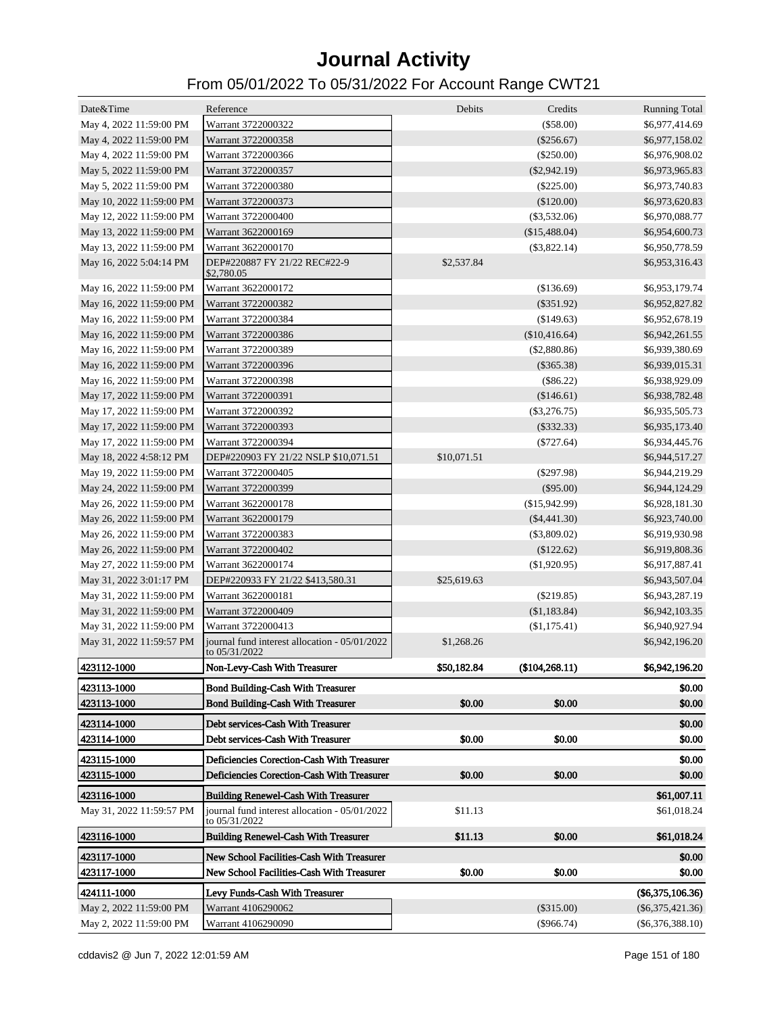| Date&Time                | Reference                                                      | Debits      | Credits         | <b>Running Total</b> |
|--------------------------|----------------------------------------------------------------|-------------|-----------------|----------------------|
| May 4, 2022 11:59:00 PM  | Warrant 3722000322                                             |             | (\$58.00)       | \$6,977,414.69       |
| May 4, 2022 11:59:00 PM  | Warrant 3722000358                                             |             | $(\$256.67)$    | \$6,977,158.02       |
| May 4, 2022 11:59:00 PM  | Warrant 3722000366                                             |             | $(\$250.00)$    | \$6,976,908.02       |
| May 5, 2022 11:59:00 PM  | Warrant 3722000357                                             |             | $(\$2,942.19)$  | \$6,973,965.83       |
| May 5, 2022 11:59:00 PM  | Warrant 3722000380                                             |             | $(\$225.00)$    | \$6,973,740.83       |
| May 10, 2022 11:59:00 PM | Warrant 3722000373                                             |             | (\$120.00)      | \$6,973,620.83       |
| May 12, 2022 11:59:00 PM | Warrant 3722000400                                             |             | $(\$3,532.06)$  | \$6,970,088.77       |
| May 13, 2022 11:59:00 PM | Warrant 3622000169                                             |             | (\$15,488.04)   | \$6,954,600.73       |
| May 13, 2022 11:59:00 PM | Warrant 3622000170                                             |             | $(\$3,822.14)$  | \$6,950,778.59       |
| May 16, 2022 5:04:14 PM  | DEP#220887 FY 21/22 REC#22-9<br>\$2,780.05                     | \$2,537.84  |                 | \$6,953,316.43       |
| May 16, 2022 11:59:00 PM | Warrant 3622000172                                             |             | (\$136.69)      | \$6,953,179.74       |
| May 16, 2022 11:59:00 PM | Warrant 3722000382                                             |             | $(\$351.92)$    | \$6,952,827.82       |
| May 16, 2022 11:59:00 PM | Warrant 3722000384                                             |             | (\$149.63)      | \$6,952,678.19       |
| May 16, 2022 11:59:00 PM | Warrant 3722000386                                             |             | $(\$10,416.64)$ | \$6,942,261.55       |
| May 16, 2022 11:59:00 PM | Warrant 3722000389                                             |             | $(\$2,880.86)$  | \$6,939,380.69       |
| May 16, 2022 11:59:00 PM | Warrant 3722000396                                             |             | $(\$365.38)$    | \$6,939,015.31       |
| May 16, 2022 11:59:00 PM | Warrant 3722000398                                             |             | $(\$86.22)$     | \$6,938,929.09       |
| May 17, 2022 11:59:00 PM | Warrant 3722000391                                             |             | (\$146.61)      | \$6,938,782.48       |
| May 17, 2022 11:59:00 PM | Warrant 3722000392                                             |             | $(\$3,276.75)$  | \$6,935,505.73       |
| May 17, 2022 11:59:00 PM | Warrant 3722000393                                             |             | $(\$332.33)$    | \$6,935,173.40       |
| May 17, 2022 11:59:00 PM | Warrant 3722000394                                             |             | $(\$727.64)$    | \$6,934,445.76       |
| May 18, 2022 4:58:12 PM  | DEP#220903 FY 21/22 NSLP \$10,071.51                           | \$10,071.51 |                 | \$6,944,517.27       |
| May 19, 2022 11:59:00 PM | Warrant 3722000405                                             |             | $(\$297.98)$    | \$6,944,219.29       |
| May 24, 2022 11:59:00 PM | Warrant 3722000399                                             |             | $(\$95.00)$     | \$6,944,124.29       |
| May 26, 2022 11:59:00 PM | Warrant 3622000178                                             |             | (\$15,942.99)   | \$6,928,181.30       |
| May 26, 2022 11:59:00 PM | Warrant 3622000179                                             |             | $(\$4,441.30)$  | \$6,923,740.00       |
| May 26, 2022 11:59:00 PM | Warrant 3722000383                                             |             | $(\$3,809.02)$  | \$6,919,930.98       |
| May 26, 2022 11:59:00 PM | Warrant 3722000402                                             |             | (\$122.62)      | \$6,919,808.36       |
| May 27, 2022 11:59:00 PM | Warrant 3622000174                                             |             | $(\$1,920.95)$  | \$6,917,887.41       |
| May 31, 2022 3:01:17 PM  | DEP#220933 FY 21/22 \$413,580.31                               | \$25,619.63 |                 | \$6,943,507.04       |
| May 31, 2022 11:59:00 PM | Warrant 3622000181                                             |             | $(\$219.85)$    | \$6,943,287.19       |
| May 31, 2022 11:59:00 PM | Warrant 3722000409                                             |             | (\$1,183.84)    | \$6,942,103.35       |
| May 31, 2022 11:59:00 PM | Warrant 3722000413                                             |             | (\$1,175.41)    | \$6,940,927.94       |
| May 31, 2022 11:59:57 PM | journal fund interest allocation - 05/01/2022<br>to 05/31/2022 | \$1,268.26  |                 | \$6,942,196.20       |
| 423112-1000              | Non-Levy-Cash With Treasurer                                   | \$50,182.84 | (\$104, 268.11) | \$6,942,196.20       |
| 423113-1000              | <b>Bond Building-Cash With Treasurer</b>                       |             |                 | \$0.00               |
| 423113-1000              | <b>Bond Building-Cash With Treasurer</b>                       | \$0.00      | \$0.00          | \$0.00               |
| 423114-1000              | Debt services-Cash With Treasurer                              |             |                 | \$0.00               |
| 423114-1000              | Debt services-Cash With Treasurer                              | \$0.00      | \$0.00          | \$0.00               |
| 423115-1000              | Deficiencies Corection-Cash With Treasurer                     |             |                 | \$0.00               |
| 423115-1000              | Deficiencies Corection-Cash With Treasurer                     | \$0.00      | \$0.00          | \$0.00               |
|                          |                                                                |             |                 |                      |
| 423116-1000              | <b>Building Renewel-Cash With Treasurer</b>                    |             |                 | \$61,007.11          |
| May 31, 2022 11:59:57 PM | journal fund interest allocation - 05/01/2022<br>to 05/31/2022 | \$11.13     |                 | \$61,018.24          |
| 423116-1000              | <b>Building Renewel-Cash With Treasurer</b>                    | \$11.13     | \$0.00          | \$61,018.24          |
| 423117-1000              | New School Facilities-Cash With Treasurer                      |             |                 | \$0.00               |
| 423117-1000              | New School Facilities-Cash With Treasurer                      | \$0.00      | \$0.00          | \$0.00               |
| 424111-1000              | Levy Funds-Cash With Treasurer                                 |             |                 | $(\$6,375,106.36)$   |
| May 2, 2022 11:59:00 PM  | Warrant 4106290062                                             |             | $(\$315.00)$    | $(\$6,375,421.36)$   |
| May 2, 2022 11:59:00 PM  | Warrant 4106290090                                             |             | $(\$966.74)$    | $(\$6,376,388.10)$   |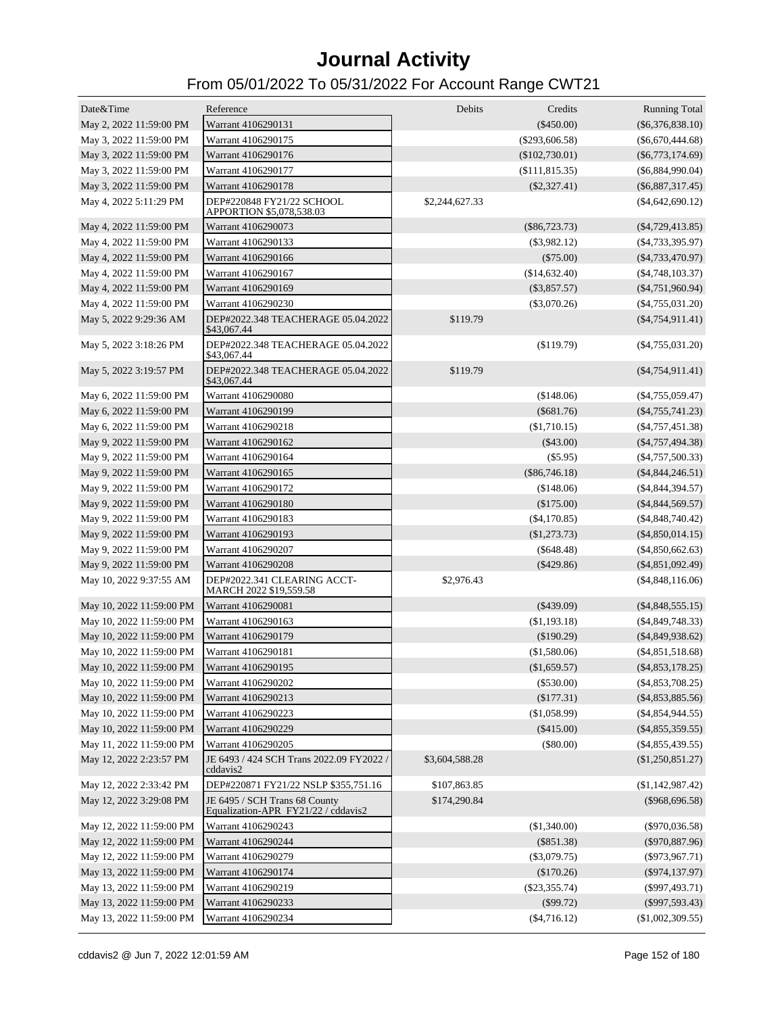| Date&Time                | Reference                                                            | Debits         | Credits          | <b>Running Total</b> |
|--------------------------|----------------------------------------------------------------------|----------------|------------------|----------------------|
| May 2, 2022 11:59:00 PM  | Warrant 4106290131                                                   |                | $(\$450.00)$     | $(\$6,376,838.10)$   |
| May 3, 2022 11:59:00 PM  | Warrant 4106290175                                                   |                | (\$293,606.58)   | $(\$6,670,444.68)$   |
| May 3, 2022 11:59:00 PM  | Warrant 4106290176                                                   |                | $(\$102,730.01)$ | $(\$6,773,174.69)$   |
| May 3, 2022 11:59:00 PM  | Warrant 4106290177                                                   |                | (\$111, 815.35)  | $(\$6,884,990.04)$   |
| May 3, 2022 11:59:00 PM  | Warrant 4106290178                                                   |                | $(\$2,327.41)$   | $(\$6,887,317.45)$   |
| May 4, 2022 5:11:29 PM   | DEP#220848 FY21/22 SCHOOL<br>APPORTION \$5,078,538.03                | \$2,244,627.33 |                  | $(\$4,642,690.12)$   |
| May 4, 2022 11:59:00 PM  | Warrant 4106290073                                                   |                | $(\$86,723.73)$  | $(\$4,729,413.85)$   |
| May 4, 2022 11:59:00 PM  | Warrant 4106290133                                                   |                | $(\$3,982.12)$   | $($ \$4,733,395.97)  |
| May 4, 2022 11:59:00 PM  | Warrant 4106290166                                                   |                | $(\$75.00)$      | $(\$4,733,470.97)$   |
| May 4, 2022 11:59:00 PM  | Warrant 4106290167                                                   |                | (\$14,632.40)    | $(\$4,748,103.37)$   |
| May 4, 2022 11:59:00 PM  | Warrant 4106290169                                                   |                | $(\$3,857.57)$   | $(\$4,751,960.94)$   |
| May 4, 2022 11:59:00 PM  | Warrant 4106290230                                                   |                | $(\$3,070.26)$   | $(\$4,755,031.20)$   |
| May 5, 2022 9:29:36 AM   | DEP#2022.348 TEACHERAGE 05.04.2022<br>\$43,067.44                    | \$119.79       |                  | $(\$4,754,911.41)$   |
| May 5, 2022 3:18:26 PM   | DEP#2022.348 TEACHERAGE 05.04.2022<br>\$43,067.44                    |                | (\$119.79)       | $(\$4,755,031.20)$   |
| May 5, 2022 3:19:57 PM   | DEP#2022.348 TEACHERAGE 05.04.2022<br>\$43,067.44                    | \$119.79       |                  | $(\$4,754,911.41)$   |
| May 6, 2022 11:59:00 PM  | Warrant 4106290080                                                   |                | (\$148.06)       | $(\$4,755,059.47)$   |
| May 6, 2022 11:59:00 PM  | Warrant 4106290199                                                   |                | $(\$681.76)$     | $(\$4,755,741.23)$   |
| May 6, 2022 11:59:00 PM  | Warrant 4106290218                                                   |                | (\$1,710.15)     | $(\$4,757,451.38)$   |
| May 9, 2022 11:59:00 PM  | Warrant 4106290162                                                   |                | $(\$43.00)$      | $(\$4,757,494.38)$   |
| May 9, 2022 11:59:00 PM  | Warrant 4106290164                                                   |                | $(\$5.95)$       | $(\$4,757,500.33)$   |
| May 9, 2022 11:59:00 PM  | Warrant 4106290165                                                   |                | $(\$86,746.18)$  | $(\$4,844,246.51)$   |
| May 9, 2022 11:59:00 PM  | Warrant 4106290172                                                   |                | (\$148.06)       | $(\$4,844,394.57)$   |
| May 9, 2022 11:59:00 PM  | Warrant 4106290180                                                   |                | $(\$175.00)$     | $(\$4,844,569.57)$   |
| May 9, 2022 11:59:00 PM  | Warrant 4106290183                                                   |                | $(\$4,170.85)$   | $(\$4,848,740.42)$   |
| May 9, 2022 11:59:00 PM  | Warrant 4106290193                                                   |                | (\$1,273.73)     | $(\$4,850,014.15)$   |
| May 9, 2022 11:59:00 PM  | Warrant 4106290207                                                   |                | $(\$648.48)$     | $(\$4,850,662.63)$   |
| May 9, 2022 11:59:00 PM  | Warrant 4106290208                                                   |                | $(\$429.86)$     | $(\$4,851,092.49)$   |
| May 10, 2022 9:37:55 AM  | DEP#2022.341 CLEARING ACCT-<br>MARCH 2022 \$19,559.58                | \$2,976.43     |                  | (\$4,848,116.06)     |
| May 10, 2022 11:59:00 PM | Warrant 4106290081                                                   |                | $(\$439.09)$     | $(\$4,848,555.15)$   |
| May 10, 2022 11:59:00 PM | Warrant 4106290163                                                   |                | (\$1,193.18)     | $(\$4,849,748.33)$   |
| May 10, 2022 11:59:00 PM | Warrant 4106290179                                                   |                | (\$190.29)       | $(\$4,849,938.62)$   |
| May 10, 2022 11:59:00 PM | Warrant 4106290181                                                   |                | (\$1,580.06)     | $(\$4,851,518.68)$   |
| May 10, 2022 11:59:00 PM | Warrant 4106290195                                                   |                | (\$1,659.57)     | $(\$4,853,178.25)$   |
| May 10, 2022 11:59:00 PM | Warrant 4106290202                                                   |                | $(\$530.00)$     | $(\$4,853,708.25)$   |
| May 10, 2022 11:59:00 PM | Warrant 4106290213                                                   |                | (\$177.31)       | $(\$4,853,885.56)$   |
| May 10, 2022 11:59:00 PM | Warrant 4106290223                                                   |                | (\$1,058.99)     | $(\$4,854,944.55)$   |
| May 10, 2022 11:59:00 PM | Warrant 4106290229                                                   |                | (\$415.00)       | $(\$4,855,359.55)$   |
| May 11, 2022 11:59:00 PM | Warrant 4106290205                                                   |                | (\$80.00)        | $(\$4,855,439.55)$   |
| May 12, 2022 2:23:57 PM  | JE 6493 / 424 SCH Trans 2022.09 FY2022 /<br>cddavis2                 | \$3,604,588.28 |                  | (\$1,250,851.27)     |
| May 12, 2022 2:33:42 PM  | DEP#220871 FY21/22 NSLP \$355,751.16                                 | \$107,863.85   |                  | $(\$1,142,987.42)$   |
| May 12, 2022 3:29:08 PM  | JE 6495 / SCH Trans 68 County<br>Equalization-APR FY21/22 / cddavis2 | \$174,290.84   |                  | $(\$968,696.58)$     |
| May 12, 2022 11:59:00 PM | Warrant 4106290243                                                   |                | (\$1,340.00)     | $(\$970,036.58)$     |
| May 12, 2022 11:59:00 PM | Warrant 4106290244                                                   |                | $(\$851.38)$     | $(\$970,887.96)$     |
| May 12, 2022 11:59:00 PM | Warrant 4106290279                                                   |                | $(\$3,079.75)$   | $($ \$973,967.71)    |
| May 13, 2022 11:59:00 PM | Warrant 4106290174                                                   |                | (\$170.26)       | $(\$974,137.97)$     |
| May 13, 2022 11:59:00 PM | Warrant 4106290219                                                   |                | $(\$23,355.74)$  | $(\$997,493.71)$     |
| May 13, 2022 11:59:00 PM | Warrant 4106290233                                                   |                | (\$99.72)        | $(\$997,593.43)$     |
| May 13, 2022 11:59:00 PM | Warrant 4106290234                                                   |                | $(\$4,716.12)$   | (\$1,002,309.55)     |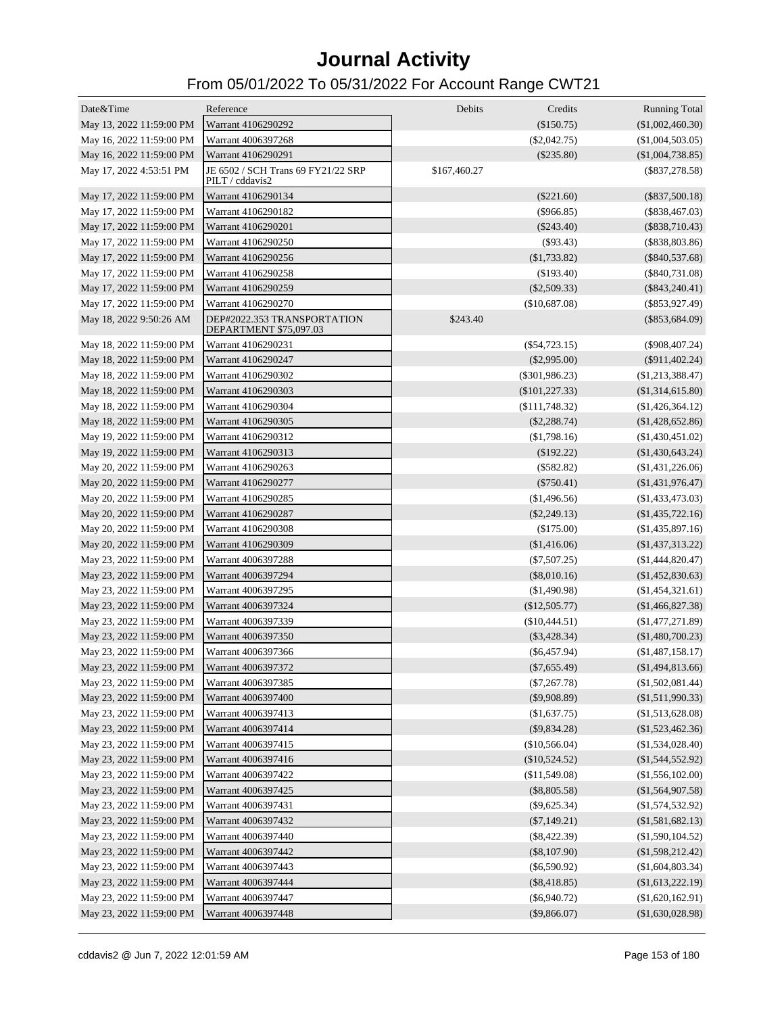| Date&Time                | Reference                                             | Debits       | Credits              | <b>Running Total</b> |
|--------------------------|-------------------------------------------------------|--------------|----------------------|----------------------|
| May 13, 2022 11:59:00 PM | Warrant 4106290292                                    |              | $(\$150.75)$         | (\$1,002,460.30)     |
| May 16, 2022 11:59:00 PM | Warrant 4006397268                                    |              | $(\$2,042.75)$       | $(\$1,004,503.05)$   |
| May 16, 2022 11:59:00 PM | Warrant 4106290291                                    |              | $(\$235.80)$         | (\$1,004,738.85)     |
| May 17, 2022 4:53:51 PM  | JE 6502 / SCH Trans 69 FY21/22 SRP<br>PILT / cddavis2 | \$167,460.27 |                      | $(\$837,278.58)$     |
| May 17, 2022 11:59:00 PM | Warrant 4106290134                                    |              | $(\$221.60)$         | $(\$837,500.18)$     |
| May 17, 2022 11:59:00 PM | Warrant 4106290182                                    |              | $(\$966.85)$         | $(\$838,467.03)$     |
| May 17, 2022 11:59:00 PM | Warrant 4106290201                                    |              | $(\$243.40)$         | $(\$838,710.43)$     |
| May 17, 2022 11:59:00 PM | Warrant 4106290250                                    |              | $(\$93.43)$          | $(\$838,803.86)$     |
| May 17, 2022 11:59:00 PM | Warrant 4106290256                                    |              | (\$1,733.82)         | $(\$840,537.68)$     |
| May 17, 2022 11:59:00 PM | Warrant 4106290258                                    |              | $(\$193.40)$         | $(\$840,731.08)$     |
| May 17, 2022 11:59:00 PM | Warrant 4106290259                                    |              | $(\$2,509.33)$       | $(\$843,240.41)$     |
| May 17, 2022 11:59:00 PM | Warrant 4106290270                                    |              | (\$10,687.08)        | $(\$853,927.49)$     |
| May 18, 2022 9:50:26 AM  | DEP#2022.353 TRANSPORTATION<br>DEPARTMENT \$75,097.03 | \$243.40     |                      | $(\$853,684.09)$     |
| May 18, 2022 11:59:00 PM | Warrant 4106290231                                    |              | $(\$54,723.15)$      | $(\$908,407.24)$     |
| May 18, 2022 11:59:00 PM | Warrant 4106290247                                    |              | $(\$2,995.00)$       | $(\$911,402.24)$     |
| May 18, 2022 11:59:00 PM | Warrant 4106290302                                    |              | $(\$301,986.23)$     | (\$1,213,388.47)     |
| May 18, 2022 11:59:00 PM | Warrant 4106290303                                    |              | (\$101, 227.33)      | (\$1,314,615.80)     |
| May 18, 2022 11:59:00 PM | Warrant 4106290304                                    |              | $($ \$111,748.32 $)$ | (\$1,426,364.12)     |
| May 18, 2022 11:59:00 PM | Warrant 4106290305                                    |              | $(\$2,288.74)$       | (\$1,428,652.86)     |
| May 19, 2022 11:59:00 PM | Warrant 4106290312                                    |              | (\$1,798.16)         | (\$1,430,451.02)     |
| May 19, 2022 11:59:00 PM | Warrant 4106290313                                    |              | $(\$192.22)$         | (\$1,430,643.24)     |
| May 20, 2022 11:59:00 PM | Warrant 4106290263                                    |              | $(\$582.82)$         | (\$1,431,226.06)     |
| May 20, 2022 11:59:00 PM | Warrant 4106290277                                    |              | $(\$750.41)$         | (\$1,431,976.47)     |
| May 20, 2022 11:59:00 PM | Warrant 4106290285                                    |              | (\$1,496.56)         | (\$1,433,473.03)     |
| May 20, 2022 11:59:00 PM | Warrant 4106290287                                    |              | $(\$2,249.13)$       | (\$1,435,722.16)     |
| May 20, 2022 11:59:00 PM | Warrant 4106290308                                    |              | (\$175.00)           | (\$1,435,897.16)     |
| May 20, 2022 11:59:00 PM | Warrant 4106290309                                    |              | (\$1,416.06)         | (\$1,437,313.22)     |
| May 23, 2022 11:59:00 PM | Warrant 4006397288                                    |              | $(\$7,507.25)$       | (\$1,444,820.47)     |
| May 23, 2022 11:59:00 PM | Warrant 4006397294                                    |              | $(\$8,010.16)$       | (\$1,452,830.63)     |
| May 23, 2022 11:59:00 PM | Warrant 4006397295                                    |              | $(\$1,490.98)$       | (\$1,454,321.61)     |
| May 23, 2022 11:59:00 PM | Warrant 4006397324                                    |              | (\$12,505.77)        | (\$1,466,827.38)     |
| May 23, 2022 11:59:00 PM | Warrant 4006397339                                    |              | (\$10,444.51)        | (\$1,477,271.89)     |
| May 23, 2022 11:59:00 PM | Warrant 4006397350                                    |              | $(\$3,428.34)$       | (\$1,480,700.23)     |
| May 23, 2022 11:59:00 PM | Warrant 4006397366                                    |              | $(\$6,457.94)$       | (\$1,487,158.17)     |
| May 23, 2022 11:59:00 PM | Warrant 4006397372                                    |              | $(\$7,655.49)$       | (\$1,494,813.66)     |
| May 23, 2022 11:59:00 PM | Warrant 4006397385                                    |              | ( \$7,267.78)        | (\$1,502,081.44)     |
| May 23, 2022 11:59:00 PM | Warrant 4006397400                                    |              | $(\$9,908.89)$       | (\$1,511,990.33)     |
| May 23, 2022 11:59:00 PM | Warrant 4006397413                                    |              | $(\$1,637.75)$       | (\$1,513,628.08)     |
| May 23, 2022 11:59:00 PM | Warrant 4006397414                                    |              | $(\$9,834.28)$       | (\$1,523,462.36)     |
| May 23, 2022 11:59:00 PM | Warrant 4006397415                                    |              | (\$10,566.04)        | (\$1,534,028.40)     |
| May 23, 2022 11:59:00 PM | Warrant 4006397416                                    |              | $(\$10,524.52)$      | (\$1,544,552.92)     |
| May 23, 2022 11:59:00 PM | Warrant 4006397422                                    |              | (\$11,549.08)        | (\$1,556,102.00)     |
| May 23, 2022 11:59:00 PM | Warrant 4006397425                                    |              | $(\$8,805.58)$       | (\$1,564,907.58)     |
| May 23, 2022 11:59:00 PM | Warrant 4006397431                                    |              | $(\$9,625.34)$       | (\$1,574,532.92)     |
| May 23, 2022 11:59:00 PM | Warrant 4006397432                                    |              | $(\$7,149.21)$       | (\$1,581,682.13)     |
| May 23, 2022 11:59:00 PM | Warrant 4006397440                                    |              | $(\$8,422.39)$       | (\$1,590,104.52)     |
| May 23, 2022 11:59:00 PM | Warrant 4006397442                                    |              | $(\$8,107.90)$       | (\$1,598,212.42)     |
| May 23, 2022 11:59:00 PM | Warrant 4006397443                                    |              | $(\$6,590.92)$       | (\$1,604,803.34)     |
| May 23, 2022 11:59:00 PM | Warrant 4006397444                                    |              | $(\$8,418.85)$       | (\$1,613,222.19)     |
| May 23, 2022 11:59:00 PM | Warrant 4006397447                                    |              | $(\$6,940.72)$       | (\$1,620,162.91)     |
| May 23, 2022 11:59:00 PM | Warrant 4006397448                                    |              | $(\$9,866.07)$       | (\$1,630,028.98)     |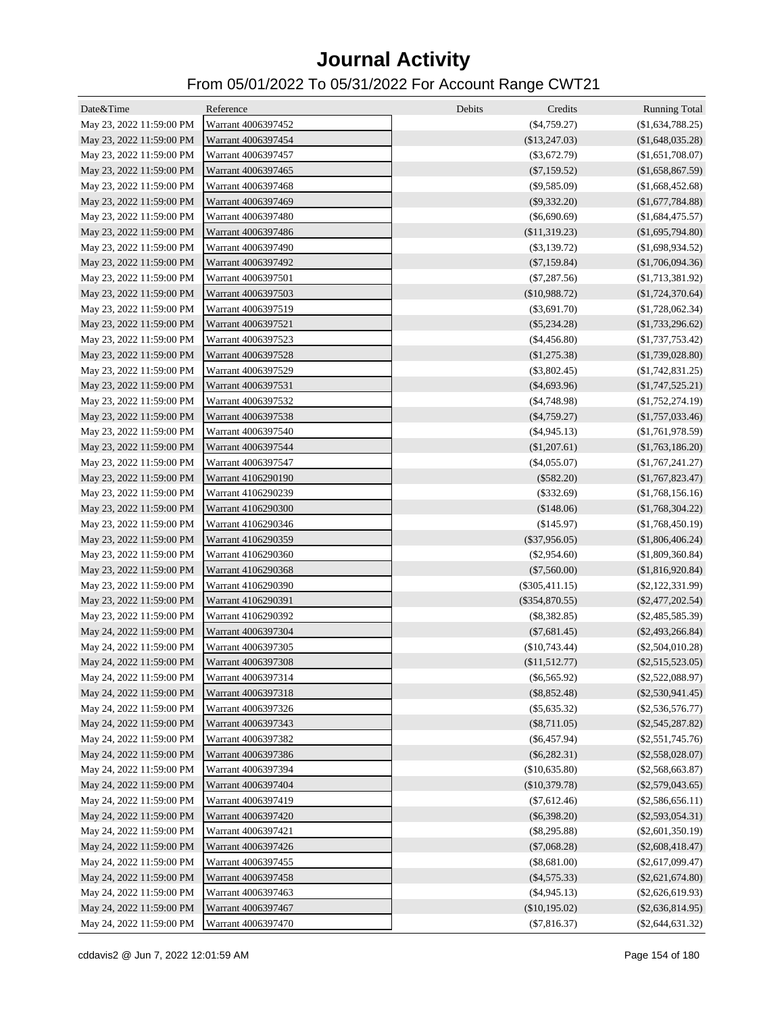| Date&Time                | Reference          | Debits<br>Credits | <b>Running Total</b> |
|--------------------------|--------------------|-------------------|----------------------|
| May 23, 2022 11:59:00 PM | Warrant 4006397452 | (\$4,759.27)      | (\$1,634,788.25)     |
| May 23, 2022 11:59:00 PM | Warrant 4006397454 | $(\$13,247.03)$   | (\$1,648,035.28)     |
| May 23, 2022 11:59:00 PM | Warrant 4006397457 | $(\$3,672.79)$    | (\$1,651,708.07)     |
| May 23, 2022 11:59:00 PM | Warrant 4006397465 | $(\$7,159.52)$    | (\$1,658,867.59)     |
| May 23, 2022 11:59:00 PM | Warrant 4006397468 | $(\$9,585.09)$    | (\$1,668,452.68)     |
| May 23, 2022 11:59:00 PM | Warrant 4006397469 | $(\$9,332.20)$    | (\$1,677,784.88)     |
| May 23, 2022 11:59:00 PM | Warrant 4006397480 | $(\$6,690.69)$    | $(\$1,684,475.57)$   |
| May 23, 2022 11:59:00 PM | Warrant 4006397486 | (\$11,319.23)     | (\$1,695,794.80)     |
| May 23, 2022 11:59:00 PM | Warrant 4006397490 | $(\$3,139.72)$    | (\$1,698,934.52)     |
| May 23, 2022 11:59:00 PM | Warrant 4006397492 | $(\$7,159.84)$    | (\$1,706,094.36)     |
| May 23, 2022 11:59:00 PM | Warrant 4006397501 | $(\$7,287.56)$    | (\$1,713,381.92)     |
| May 23, 2022 11:59:00 PM | Warrant 4006397503 | (\$10,988.72)     | (\$1,724,370.64)     |
| May 23, 2022 11:59:00 PM | Warrant 4006397519 | $(\$3,691.70)$    | (\$1,728,062.34)     |
| May 23, 2022 11:59:00 PM | Warrant 4006397521 | $(\$5,234.28)$    | (\$1,733,296.62)     |
| May 23, 2022 11:59:00 PM | Warrant 4006397523 | $(\$4,456.80)$    | $(\$1,737,753.42)$   |
| May 23, 2022 11:59:00 PM | Warrant 4006397528 | (\$1,275.38)      | (\$1,739,028.80)     |
| May 23, 2022 11:59:00 PM | Warrant 4006397529 | $(\$3,802.45)$    | (\$1,742,831.25)     |
| May 23, 2022 11:59:00 PM | Warrant 4006397531 | $(\$4,693.96)$    | $(\$1,747,525.21)$   |
| May 23, 2022 11:59:00 PM | Warrant 4006397532 | (S4,748.98)       | $(\$1,752,274.19)$   |
| May 23, 2022 11:59:00 PM | Warrant 4006397538 | $(\$4,759.27)$    | (\$1,757,033.46)     |
| May 23, 2022 11:59:00 PM | Warrant 4006397540 | $(\$4,945.13)$    | (\$1,761,978.59)     |
| May 23, 2022 11:59:00 PM | Warrant 4006397544 | (\$1,207.61)      | (\$1,763,186.20)     |
| May 23, 2022 11:59:00 PM | Warrant 4006397547 | $(\$4,055.07)$    | (\$1,767,241.27)     |
| May 23, 2022 11:59:00 PM | Warrant 4106290190 | $(\$582.20)$      | (\$1,767,823.47)     |
| May 23, 2022 11:59:00 PM | Warrant 4106290239 | $(\$332.69)$      | (\$1,768,156.16)     |
| May 23, 2022 11:59:00 PM | Warrant 4106290300 | (\$148.06)        | (\$1,768,304.22)     |
| May 23, 2022 11:59:00 PM | Warrant 4106290346 | (\$145.97)        | (\$1,768,450.19)     |
| May 23, 2022 11:59:00 PM | Warrant 4106290359 | $(\$37,956.05)$   | (\$1,806,406.24)     |
| May 23, 2022 11:59:00 PM | Warrant 4106290360 | $(\$2,954.60)$    | (\$1,809,360.84)     |
| May 23, 2022 11:59:00 PM | Warrant 4106290368 | $(\$7,560.00)$    | (\$1,816,920.84)     |
| May 23, 2022 11:59:00 PM | Warrant 4106290390 | $(\$305,411.15)$  | $(\$2,122,331.99)$   |
| May 23, 2022 11:59:00 PM | Warrant 4106290391 | $(\$354,870.55)$  | $(\$2,477,202.54)$   |
| May 23, 2022 11:59:00 PM | Warrant 4106290392 | $(\$8,382.85)$    | $(\$2,485,585.39)$   |
| May 24, 2022 11:59:00 PM | Warrant 4006397304 | $(\$7,681.45)$    | $(\$2,493,266.84)$   |
| May 24, 2022 11:59:00 PM | Warrant 4006397305 | $(\$10,743.44)$   | $(\$2,504,010.28)$   |
| May 24, 2022 11:59:00 PM | Warrant 4006397308 | (\$11,512.77)     | $(\$2,515,523.05)$   |
| May 24, 2022 11:59:00 PM | Warrant 4006397314 | $(\$6,565.92)$    | $(\$2,522,088.97)$   |
| May 24, 2022 11:59:00 PM | Warrant 4006397318 | $(\$8,852.48)$    | $(\$2,530,941.45)$   |
| May 24, 2022 11:59:00 PM | Warrant 4006397326 | $(\$5,635.32)$    | $(\$2,536,576.77)$   |
| May 24, 2022 11:59:00 PM | Warrant 4006397343 | $(\$8,711.05)$    | $(\$2,545,287.82)$   |
| May 24, 2022 11:59:00 PM | Warrant 4006397382 | $(\$6,457.94)$    | $(\$2,551,745.76)$   |
| May 24, 2022 11:59:00 PM | Warrant 4006397386 | $(\$6,282.31)$    | $(\$2,558,028.07)$   |
| May 24, 2022 11:59:00 PM | Warrant 4006397394 | (\$10,635.80)     | $(\$2,568,663.87)$   |
| May 24, 2022 11:59:00 PM | Warrant 4006397404 | (\$10,379.78)     | $(\$2,579,043.65)$   |
| May 24, 2022 11:59:00 PM | Warrant 4006397419 | $(\$7,612.46)$    | $(\$2,586,656.11)$   |
| May 24, 2022 11:59:00 PM | Warrant 4006397420 | $(\$6,398.20)$    | $(\$2,593,054.31)$   |
| May 24, 2022 11:59:00 PM | Warrant 4006397421 | $(\$8,295.88)$    | $(\$2,601,350.19)$   |
| May 24, 2022 11:59:00 PM | Warrant 4006397426 | $(\$7,068.28)$    | $(\$2,608,418.47)$   |
| May 24, 2022 11:59:00 PM | Warrant 4006397455 | $(\$8,681.00)$    | $(\$2,617,099.47)$   |
| May 24, 2022 11:59:00 PM | Warrant 4006397458 | $(\$4,575.33)$    | $(\$2,621,674.80)$   |
| May 24, 2022 11:59:00 PM | Warrant 4006397463 | $(\$4,945.13)$    | $(\$2,626,619.93)$   |
| May 24, 2022 11:59:00 PM | Warrant 4006397467 | (\$10,195.02)     | $(\$2,636,814.95)$   |
| May 24, 2022 11:59:00 PM | Warrant 4006397470 | $(\$7,816.37)$    | $(\$2,644,631.32)$   |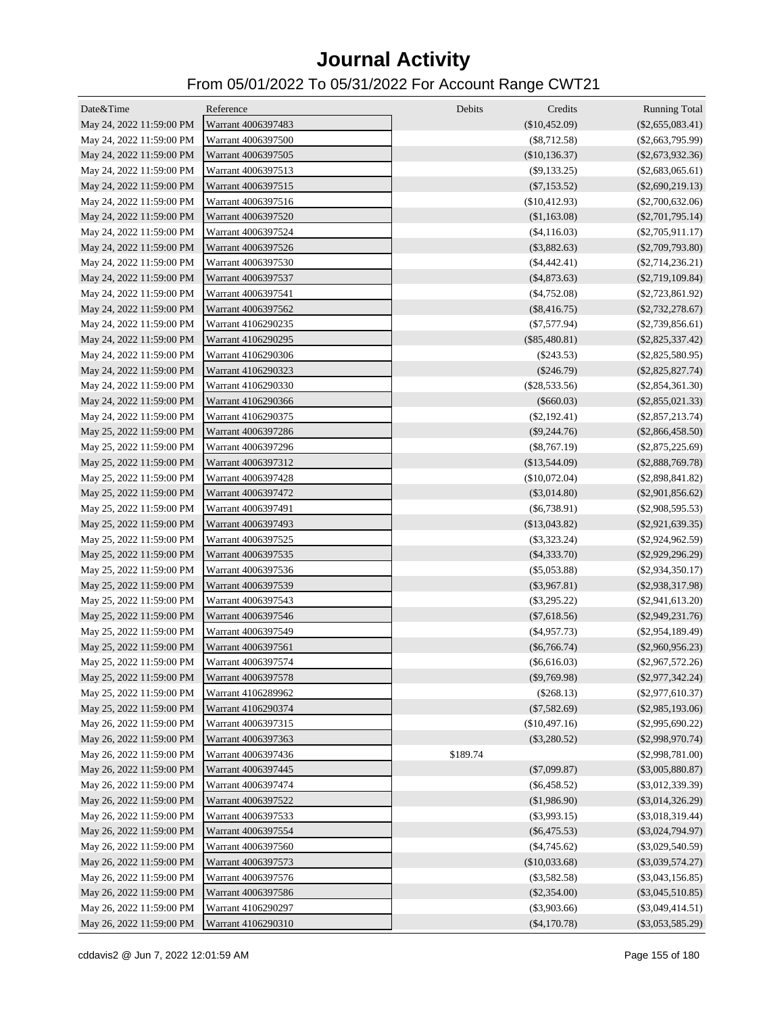| Date&Time                | Reference          | Debits   | Credits            | <b>Running Total</b> |
|--------------------------|--------------------|----------|--------------------|----------------------|
| May 24, 2022 11:59:00 PM | Warrant 4006397483 |          | $(\$10,452.09)$    | $(\$2,655,083.41)$   |
| May 24, 2022 11:59:00 PM | Warrant 4006397500 |          | $(\$8,712.58)$     | $(\$2,663,795.99)$   |
| May 24, 2022 11:59:00 PM | Warrant 4006397505 |          | $(\$10,136.37)$    | $(\$2,673,932.36)$   |
| May 24, 2022 11:59:00 PM | Warrant 4006397513 |          | (S9, 133.25)       | $(\$2,683,065.61)$   |
| May 24, 2022 11:59:00 PM | Warrant 4006397515 |          | $(\$7,153.52)$     | $(\$2,690,219.13)$   |
| May 24, 2022 11:59:00 PM | Warrant 4006397516 |          | (\$10,412.93)      | $(\$2,700,632.06)$   |
| May 24, 2022 11:59:00 PM | Warrant 4006397520 |          | (\$1,163.08)       | $(\$2,701,795.14)$   |
| May 24, 2022 11:59:00 PM | Warrant 4006397524 |          | (\$4,116.03)       | $(\$2,705,911.17)$   |
| May 24, 2022 11:59:00 PM | Warrant 4006397526 |          | $(\$3,882.63)$     | $(\$2,709,793.80)$   |
| May 24, 2022 11:59:00 PM | Warrant 4006397530 |          | $(\$4,442.41)$     | $(\$2,714,236.21)$   |
| May 24, 2022 11:59:00 PM | Warrant 4006397537 |          | $(\$4,873.63)$     | $(\$2,719,109.84)$   |
| May 24, 2022 11:59:00 PM | Warrant 4006397541 |          | ( \$4,752.08)      | $(\$2,723,861.92)$   |
| May 24, 2022 11:59:00 PM | Warrant 4006397562 |          | $(\$8,416.75)$     | $(\$2,732,278.67)$   |
| May 24, 2022 11:59:00 PM | Warrant 4106290235 |          | $(\$7,577.94)$     | $(\$2,739,856.61)$   |
| May 24, 2022 11:59:00 PM | Warrant 4106290295 |          | $(\$85,480.81)$    | $(\$2,825,337.42)$   |
| May 24, 2022 11:59:00 PM | Warrant 4106290306 |          | $(\$243.53)$       | $(\$2,825,580.95)$   |
| May 24, 2022 11:59:00 PM | Warrant 4106290323 |          | $(\$246.79)$       | $(\$2,825,827.74)$   |
| May 24, 2022 11:59:00 PM | Warrant 4106290330 |          | $(\$28,533.56)$    | $(\$2,854,361.30)$   |
| May 24, 2022 11:59:00 PM | Warrant 4106290366 |          | $(\$660.03)$       | $(\$2,855,021.33)$   |
| May 24, 2022 11:59:00 PM | Warrant 4106290375 |          | $(\$2,192.41)$     | $(\$2,857,213.74)$   |
| May 25, 2022 11:59:00 PM | Warrant 4006397286 |          | $(\$9,244.76)$     | $(\$2,866,458.50)$   |
| May 25, 2022 11:59:00 PM | Warrant 4006397296 |          | $(\$8,767.19)$     | $(\$2,875,225.69)$   |
| May 25, 2022 11:59:00 PM | Warrant 4006397312 |          | $(\$13,544.09)$    | $(\$2,888,769.78)$   |
| May 25, 2022 11:59:00 PM | Warrant 4006397428 |          | (\$10,072.04)      | $(\$2,898,841.82)$   |
| May 25, 2022 11:59:00 PM | Warrant 4006397472 |          | $(\$3,014.80)$     | $(\$2,901,856.62)$   |
| May 25, 2022 11:59:00 PM | Warrant 4006397491 |          | $($ \$6,738.91)    | $(\$2,908,595.53)$   |
| May 25, 2022 11:59:00 PM | Warrant 4006397493 |          | $(\$13,043.82)$    | $(\$2,921,639.35)$   |
| May 25, 2022 11:59:00 PM | Warrant 4006397525 |          | $(\$3,323.24)$     | $(\$2,924,962.59)$   |
| May 25, 2022 11:59:00 PM | Warrant 4006397535 |          | $(\$4,333.70)$     | $(\$2,929,296.29)$   |
| May 25, 2022 11:59:00 PM | Warrant 4006397536 |          | $(\$5,053.88)$     | $(\$2,934,350.17)$   |
| May 25, 2022 11:59:00 PM | Warrant 4006397539 |          | $(\$3,967.81)$     | $(\$2,938,317.98)$   |
| May 25, 2022 11:59:00 PM | Warrant 4006397543 |          | $(\$3,295.22)$     | $(\$2,941,613.20)$   |
| May 25, 2022 11:59:00 PM | Warrant 4006397546 |          | $(\$7,618.56)$     | $(\$2,949,231.76)$   |
| May 25, 2022 11:59:00 PM | Warrant 4006397549 |          | $($ \$4,957.73 $)$ | $(\$2,954,189.49)$   |
| May 25, 2022 11:59:00 PM | Warrant 4006397561 |          | $(\$6,766.74)$     | $(\$2,960,956.23)$   |
| May 25, 2022 11:59:00 PM | Warrant 4006397574 |          | (\$6,616.03)       | $(\$2,967,572.26)$   |
| May 25, 2022 11:59:00 PM | Warrant 4006397578 |          | $(\$9,769.98)$     | $(\$2,977,342.24)$   |
| May 25, 2022 11:59:00 PM | Warrant 4106289962 |          | $(\$268.13)$       | $(\$2,977,610.37)$   |
| May 25, 2022 11:59:00 PM | Warrant 4106290374 |          | $(\$7,582.69)$     | $(\$2,985,193.06)$   |
| May 26, 2022 11:59:00 PM | Warrant 4006397315 |          | (\$10,497.16)      | $(\$2,995,690.22)$   |
| May 26, 2022 11:59:00 PM | Warrant 4006397363 |          | $(\$3,280.52)$     | $(\$2,998,970.74)$   |
| May 26, 2022 11:59:00 PM | Warrant 4006397436 | \$189.74 |                    | $(\$2,998,781.00)$   |
| May 26, 2022 11:59:00 PM | Warrant 4006397445 |          | $(\$7,099.87)$     | $(\$3,005,880.87)$   |
| May 26, 2022 11:59:00 PM | Warrant 4006397474 |          | $(\$6,458.52)$     | $(\$3,012,339.39)$   |
| May 26, 2022 11:59:00 PM | Warrant 4006397522 |          | (\$1,986.90)       | $(\$3,014,326.29)$   |
| May 26, 2022 11:59:00 PM | Warrant 4006397533 |          | $(\$3,993.15)$     | $(\$3,018,319.44)$   |
| May 26, 2022 11:59:00 PM | Warrant 4006397554 |          | $(\$6,475.53)$     | $(\$3,024,794.97)$   |
| May 26, 2022 11:59:00 PM | Warrant 4006397560 |          | $(\$4,745.62)$     | $(\$3,029,540.59)$   |
| May 26, 2022 11:59:00 PM | Warrant 4006397573 |          | (\$10,033.68)      | $(\$3,039,574.27)$   |
| May 26, 2022 11:59:00 PM | Warrant 4006397576 |          | $(\$3,582.58)$     | $(\$3,043,156.85)$   |
| May 26, 2022 11:59:00 PM | Warrant 4006397586 |          | $(\$2,354.00)$     | $(\$3,045,510.85)$   |
| May 26, 2022 11:59:00 PM | Warrant 4106290297 |          | $(\$3,903.66)$     | $(\$3,049,414.51)$   |
| May 26, 2022 11:59:00 PM | Warrant 4106290310 |          | $(\$4,170.78)$     | $(\$3,053,585.29)$   |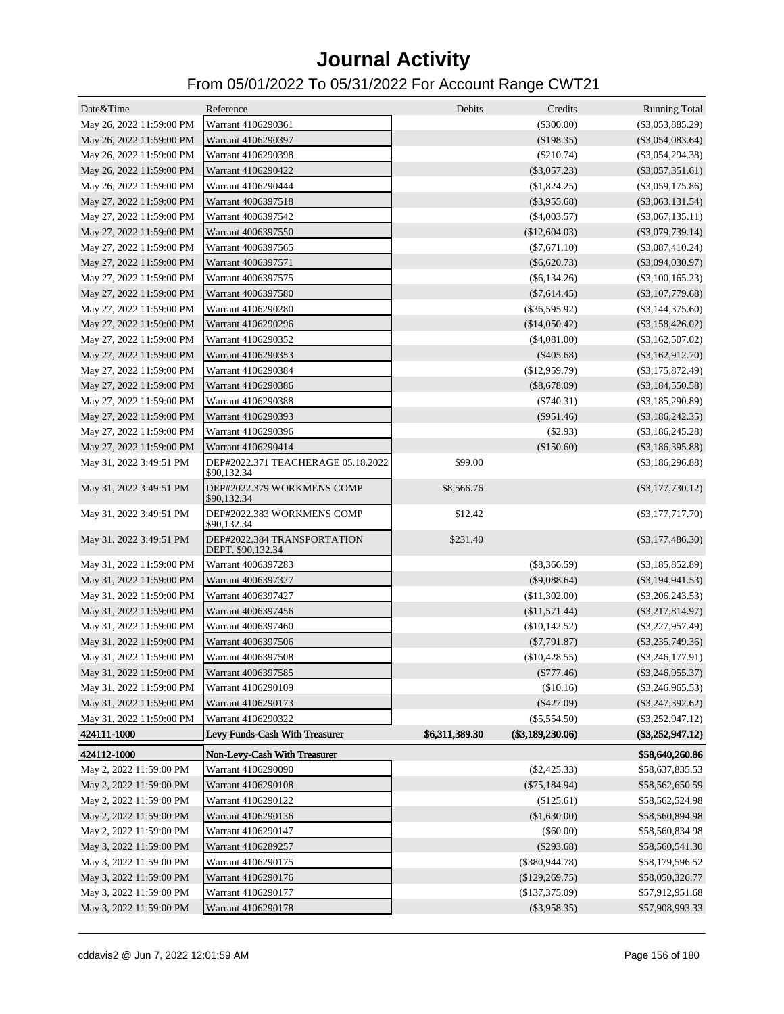| Date&Time                | Reference                                         | Debits         | Credits          | <b>Running Total</b> |
|--------------------------|---------------------------------------------------|----------------|------------------|----------------------|
| May 26, 2022 11:59:00 PM | Warrant 4106290361                                |                | $(\$300.00)$     | $(\$3,053,885.29)$   |
| May 26, 2022 11:59:00 PM | Warrant 4106290397                                |                | $(\$198.35)$     | $(\$3,054,083.64)$   |
| May 26, 2022 11:59:00 PM | Warrant 4106290398                                |                | $(\$210.74)$     | $(\$3,054,294.38)$   |
| May 26, 2022 11:59:00 PM | Warrant 4106290422                                |                | $(\$3,057.23)$   | $(\$3,057,351.61)$   |
| May 26, 2022 11:59:00 PM | Warrant 4106290444                                |                | (\$1,824.25)     | $(\$3,059,175.86)$   |
| May 27, 2022 11:59:00 PM | Warrant 4006397518                                |                | $(\$3,955.68)$   | $(\$3,063,131.54)$   |
| May 27, 2022 11:59:00 PM | Warrant 4006397542                                |                | $(\$4,003.57)$   | $(\$3,067,135.11)$   |
| May 27, 2022 11:59:00 PM | Warrant 4006397550                                |                | (\$12,604.03)    | $(\$3,079,739.14)$   |
| May 27, 2022 11:59:00 PM | Warrant 4006397565                                |                | $(\$7,671.10)$   | $(\$3,087,410.24)$   |
| May 27, 2022 11:59:00 PM | Warrant 4006397571                                |                | $(\$6,620.73)$   | $(\$3,094,030.97)$   |
| May 27, 2022 11:59:00 PM | Warrant 4006397575                                |                | (S6, 134.26)     | $(\$3,100,165.23)$   |
| May 27, 2022 11:59:00 PM | Warrant 4006397580                                |                | $(\$7,614.45)$   | $(\$3,107,779.68)$   |
| May 27, 2022 11:59:00 PM | Warrant 4106290280                                |                | $(\$36,595.92)$  | $(\$3,144,375.60)$   |
| May 27, 2022 11:59:00 PM | Warrant 4106290296                                |                | $(\$14,050.42)$  | $(\$3,158,426.02)$   |
| May 27, 2022 11:59:00 PM | Warrant 4106290352                                |                | (\$4,081.00)     | $(\$3,162,507.02)$   |
| May 27, 2022 11:59:00 PM | Warrant 4106290353                                |                | $(\$405.68)$     | $(\$3,162,912.70)$   |
| May 27, 2022 11:59:00 PM | Warrant 4106290384                                |                | (\$12,959.79)    | $(\$3,175,872.49)$   |
| May 27, 2022 11:59:00 PM | Warrant 4106290386                                |                | $(\$8,678.09)$   | $(\$3,184,550.58)$   |
| May 27, 2022 11:59:00 PM | Warrant 4106290388                                |                | $(\$740.31)$     | $(\$3,185,290.89)$   |
| May 27, 2022 11:59:00 PM | Warrant 4106290393                                |                | $(\$951.46)$     | $(\$3,186,242.35)$   |
| May 27, 2022 11:59:00 PM | Warrant 4106290396                                |                | $(\$2.93)$       | $(\$3,186,245.28)$   |
| May 27, 2022 11:59:00 PM | Warrant 4106290414                                |                | (\$150.60)       | $(\$3,186,395.88)$   |
| May 31, 2022 3:49:51 PM  | DEP#2022.371 TEACHERAGE 05.18.2022<br>\$90,132.34 | \$99.00        |                  | $(\$3,186,296.88)$   |
| May 31, 2022 3:49:51 PM  | DEP#2022.379 WORKMENS COMP<br>\$90,132.34         | \$8,566.76     |                  | $(\$3,177,730.12)$   |
| May 31, 2022 3:49:51 PM  | DEP#2022.383 WORKMENS COMP<br>\$90,132.34         | \$12.42        |                  | $(\$3,177,717.70)$   |
| May 31, 2022 3:49:51 PM  | DEP#2022.384 TRANSPORTATION<br>DEPT. \$90,132.34  | \$231.40       |                  | $(\$3,177,486.30)$   |
| May 31, 2022 11:59:00 PM | Warrant 4006397283                                |                | $(\$8,366.59)$   | $(\$3,185,852.89)$   |
| May 31, 2022 11:59:00 PM | Warrant 4006397327                                |                | $(\$9,088.64)$   | $(\$3,194,941.53)$   |
| May 31, 2022 11:59:00 PM | Warrant 4006397427                                |                | ( \$11,302.00)   | $(\$3,206,243.53)$   |
| May 31, 2022 11:59:00 PM | Warrant 4006397456                                |                | (\$11,571.44)    | $(\$3,217,814.97)$   |
| May 31, 2022 11:59:00 PM | Warrant 4006397460                                |                | (\$10,142.52)    | $(\$3,227,957.49)$   |
| May 31, 2022 11:59:00 PM | Warrant 4006397506                                |                | $(\$7,791.87)$   | $(\$3,235,749.36)$   |
| May 31, 2022 11:59:00 PM | Warrant 4006397508                                |                | $(\$10,428.55)$  | $(\$3,246,177.91)$   |
| May 31, 2022 11:59:00 PM | Warrant 4006397585                                |                | $(\$777.46)$     | $(\$3,246,955.37)$   |
| May 31, 2022 11:59:00 PM | Warrant 4106290109                                |                | (\$10.16)        | $(\$3,246,965.53)$   |
| May 31, 2022 11:59:00 PM | Warrant 4106290173                                |                | $(\$427.09)$     | $(\$3,247,392.62)$   |
| May 31, 2022 11:59:00 PM | Warrant 4106290322                                |                | $(\$5,554.50)$   | $(\$3,252,947.12)$   |
| 424111-1000              | Levy Funds-Cash With Treasurer                    | \$6,311,389.30 | (\$3,189,230.06) | $(\$3,252,947.12)$   |
| 424112-1000              | Non-Levy-Cash With Treasurer                      |                |                  | \$58,640,260.86      |
| May 2, 2022 11:59:00 PM  | Warrant 4106290090                                |                | $(\$2,425.33)$   | \$58,637,835.53      |
| May 2, 2022 11:59:00 PM  | Warrant 4106290108                                |                | $(\$75,184.94)$  | \$58,562,650.59      |
| May 2, 2022 11:59:00 PM  | Warrant 4106290122                                |                | $(\$125.61)$     | \$58,562,524.98      |
| May 2, 2022 11:59:00 PM  | Warrant 4106290136                                |                | (\$1,630.00)     | \$58,560,894.98      |
| May 2, 2022 11:59:00 PM  | Warrant 4106290147                                |                | (\$60.00)        | \$58,560,834.98      |
| May 3, 2022 11:59:00 PM  | Warrant 4106289257                                |                | $(\$293.68)$     | \$58,560,541.30      |
| May 3, 2022 11:59:00 PM  | Warrant 4106290175                                |                | $(\$380,944.78)$ | \$58,179,596.52      |
| May 3, 2022 11:59:00 PM  | Warrant 4106290176                                |                | (\$129,269.75)   | \$58,050,326.77      |
| May 3, 2022 11:59:00 PM  | Warrant 4106290177                                |                | (\$137,375.09)   | \$57,912,951.68      |
| May 3, 2022 11:59:00 PM  | Warrant 4106290178                                |                | $(\$3,958.35)$   | \$57,908,993.33      |
|                          |                                                   |                |                  |                      |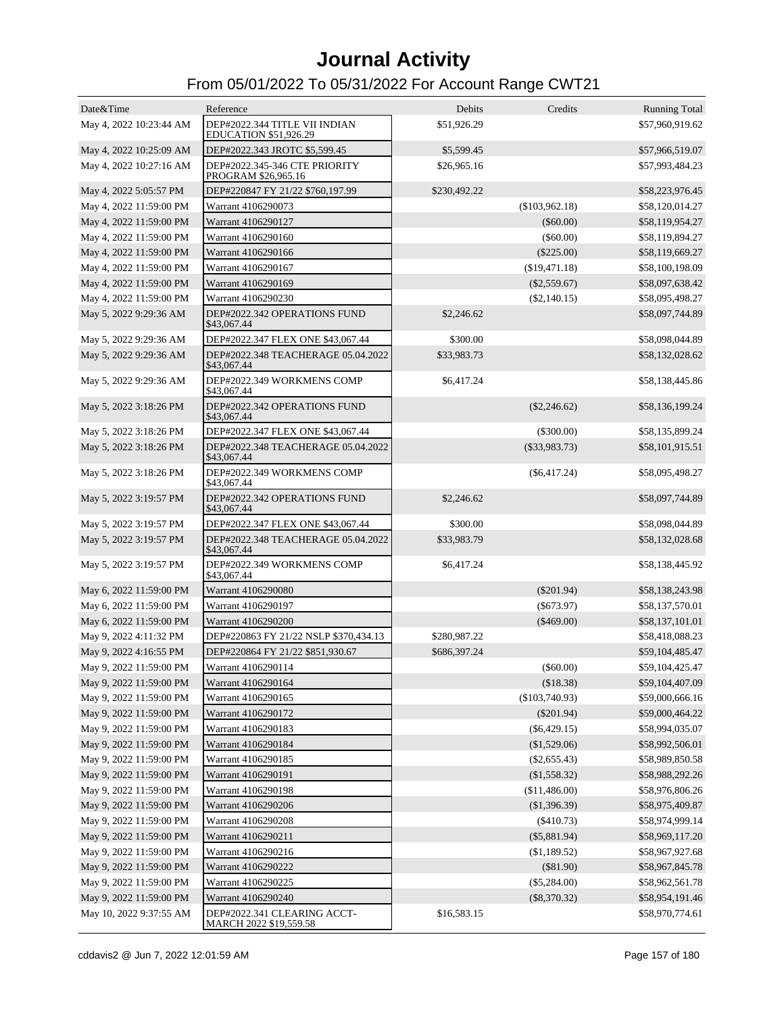| Date&Time               | Reference                                                     | Debits       | Credits         | <b>Running Total</b> |
|-------------------------|---------------------------------------------------------------|--------------|-----------------|----------------------|
| May 4, 2022 10:23:44 AM | DEP#2022.344 TITLE VII INDIAN<br><b>EDUCATION \$51,926.29</b> | \$51,926.29  |                 | \$57,960,919.62      |
| May 4, 2022 10:25:09 AM | DEP#2022.343 JROTC \$5,599.45                                 | \$5,599.45   |                 | \$57,966,519.07      |
| May 4, 2022 10:27:16 AM | DEP#2022.345-346 CTE PRIORITY<br>PROGRAM \$26,965.16          | \$26,965.16  |                 | \$57,993,484.23      |
| May 4, 2022 5:05:57 PM  | DEP#220847 FY 21/22 \$760,197.99                              | \$230,492.22 |                 | \$58,223,976.45      |
| May 4, 2022 11:59:00 PM | Warrant 4106290073                                            |              | (\$103,962.18)  | \$58,120,014.27      |
| May 4, 2022 11:59:00 PM | Warrant 4106290127                                            |              | $(\$60.00)$     | \$58,119,954.27      |
| May 4, 2022 11:59:00 PM | Warrant 4106290160                                            |              | $(\$60.00)$     | \$58,119,894.27      |
| May 4, 2022 11:59:00 PM | Warrant 4106290166                                            |              | $(\$225.00)$    | \$58,119,669.27      |
| May 4, 2022 11:59:00 PM | Warrant 4106290167                                            |              | (\$19,471.18)   | \$58,100,198.09      |
| May 4, 2022 11:59:00 PM | Warrant 4106290169                                            |              | $(\$2,559.67)$  | \$58,097,638.42      |
| May 4, 2022 11:59:00 PM | Warrant 4106290230                                            |              | $(\$2,140.15)$  | \$58,095,498.27      |
| May 5, 2022 9:29:36 AM  | DEP#2022.342 OPERATIONS FUND<br>\$43,067.44                   | \$2,246.62   |                 | \$58,097,744.89      |
| May 5, 2022 9:29:36 AM  | DEP#2022.347 FLEX ONE \$43,067.44                             | \$300.00     |                 | \$58,098,044.89      |
| May 5, 2022 9:29:36 AM  | DEP#2022.348 TEACHERAGE 05.04.2022<br>\$43,067.44             | \$33,983.73  |                 | \$58,132,028.62      |
| May 5, 2022 9:29:36 AM  | DEP#2022.349 WORKMENS COMP<br>\$43,067.44                     | \$6,417.24   |                 | \$58,138,445.86      |
| May 5, 2022 3:18:26 PM  | DEP#2022.342 OPERATIONS FUND<br>\$43,067.44                   |              | $(\$2,246.62)$  | \$58,136,199.24      |
| May 5, 2022 3:18:26 PM  | DEP#2022.347 FLEX ONE \$43,067.44                             |              | $(\$300.00)$    | \$58,135,899.24      |
| May 5, 2022 3:18:26 PM  | DEP#2022.348 TEACHERAGE 05.04.2022<br>\$43,067.44             |              | $(\$33,983.73)$ | \$58,101,915.51      |
| May 5, 2022 3:18:26 PM  | DEP#2022.349 WORKMENS COMP<br>\$43,067.44                     |              | $(\$6,417.24)$  | \$58,095,498.27      |
| May 5, 2022 3:19:57 PM  | DEP#2022.342 OPERATIONS FUND<br>\$43,067.44                   | \$2,246.62   |                 | \$58,097,744.89      |
| May 5, 2022 3:19:57 PM  | DEP#2022.347 FLEX ONE \$43,067.44                             | \$300.00     |                 | \$58,098,044.89      |
| May 5, 2022 3:19:57 PM  | DEP#2022.348 TEACHERAGE 05.04.2022<br>\$43,067.44             | \$33,983.79  |                 | \$58,132,028.68      |
| May 5, 2022 3:19:57 PM  | DEP#2022.349 WORKMENS COMP<br>\$43,067.44                     | \$6,417.24   |                 | \$58,138,445.92      |
| May 6, 2022 11:59:00 PM | Warrant 4106290080                                            |              | $(\$201.94)$    | \$58,138,243.98      |
| May 6, 2022 11:59:00 PM | Warrant 4106290197                                            |              | ( \$673.97)     | \$58,137,570.01      |
| May 6, 2022 11:59:00 PM | Warrant 4106290200                                            |              | $(\$469.00)$    | \$58,137,101.01      |
| May 9, 2022 4:11:32 PM  | DEP#220863 FY 21/22 NSLP \$370,434.13                         | \$280,987.22 |                 | \$58,418,088.23      |
| May 9, 2022 4:16:55 PM  | DEP#220864 FY 21/22 \$851,930.67                              | \$686,397.24 |                 | \$59,104,485.47      |
| May 9, 2022 11:59:00 PM | Warrant 4106290114                                            |              | $(\$60.00)$     | \$59,104,425.47      |
| May 9, 2022 11:59:00 PM | Warrant 4106290164                                            |              | (\$18.38)       | \$59,104,407.09      |
| May 9, 2022 11:59:00 PM | Warrant 4106290165                                            |              | (\$103,740.93)  | \$59,000,666.16      |
| May 9, 2022 11:59:00 PM | Warrant 4106290172                                            |              | $(\$201.94)$    | \$59,000,464.22      |
| May 9, 2022 11:59:00 PM | Warrant 4106290183                                            |              | $(\$6,429.15)$  | \$58,994,035.07      |
| May 9, 2022 11:59:00 PM | Warrant 4106290184                                            |              | (\$1,529.06)    | \$58,992,506.01      |
| May 9, 2022 11:59:00 PM | Warrant 4106290185                                            |              | $(\$2,655.43)$  | \$58,989,850.58      |
| May 9, 2022 11:59:00 PM | Warrant 4106290191                                            |              | (\$1,558.32)    | \$58,988,292.26      |
| May 9, 2022 11:59:00 PM | Warrant 4106290198                                            |              | (\$11,486.00)   | \$58,976,806.26      |
| May 9, 2022 11:59:00 PM | Warrant 4106290206                                            |              | (\$1,396.39)    | \$58,975,409.87      |
| May 9, 2022 11:59:00 PM | Warrant 4106290208                                            |              | $(\$410.73)$    | \$58,974,999.14      |
| May 9, 2022 11:59:00 PM | Warrant 4106290211                                            |              | $(\$5,881.94)$  | \$58,969,117.20      |
| May 9, 2022 11:59:00 PM | Warrant 4106290216                                            |              | (\$1,189.52)    | \$58,967,927.68      |
| May 9, 2022 11:59:00 PM | Warrant 4106290222                                            |              | (\$81.90)       | \$58,967,845.78      |
| May 9, 2022 11:59:00 PM | Warrant 4106290225                                            |              | $(\$5,284.00)$  | \$58,962,561.78      |
| May 9, 2022 11:59:00 PM | Warrant 4106290240                                            |              | $(\$8,370.32)$  | \$58,954,191.46      |
| May 10, 2022 9:37:55 AM | DEP#2022.341 CLEARING ACCT-<br>MARCH 2022 \$19,559.58         | \$16,583.15  |                 | \$58,970,774.61      |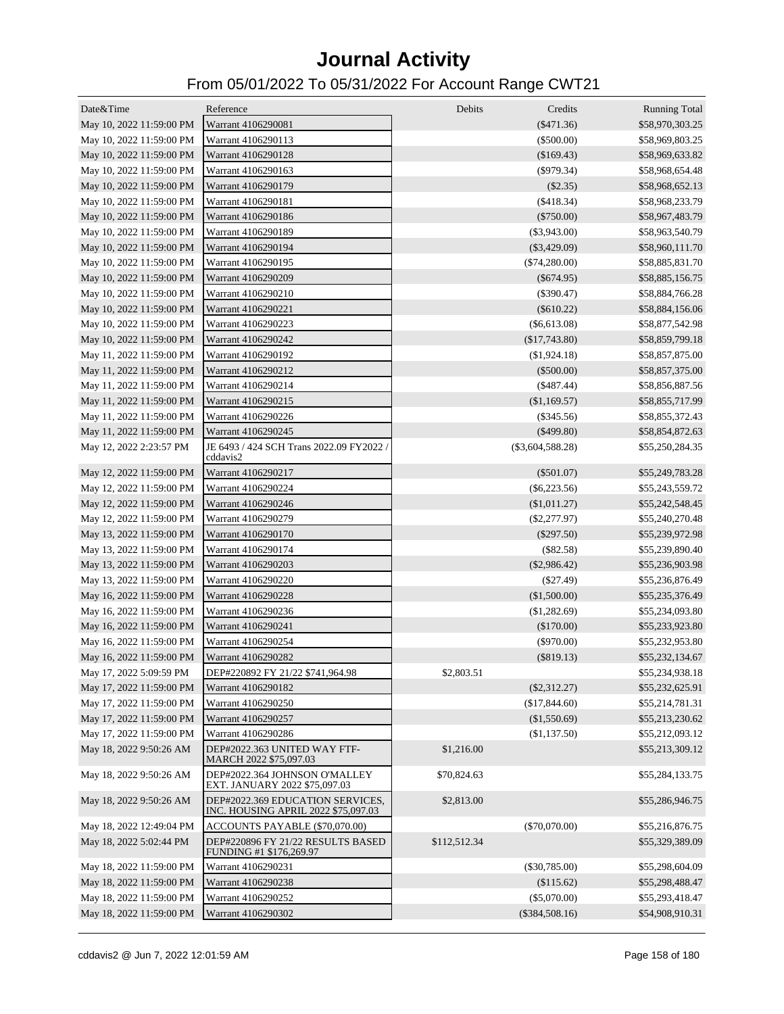| Date&Time                | Reference                                                               | Debits       | Credits            | <b>Running Total</b> |
|--------------------------|-------------------------------------------------------------------------|--------------|--------------------|----------------------|
| May 10, 2022 11:59:00 PM | Warrant 4106290081                                                      |              | $(\$471.36)$       | \$58,970,303.25      |
| May 10, 2022 11:59:00 PM | Warrant 4106290113                                                      |              | $(\$500.00)$       | \$58,969,803.25      |
| May 10, 2022 11:59:00 PM | Warrant 4106290128                                                      |              | (\$169.43)         | \$58,969,633.82      |
| May 10, 2022 11:59:00 PM | Warrant 4106290163                                                      |              | $(\$979.34)$       | \$58,968,654.48      |
| May 10, 2022 11:59:00 PM | Warrant 4106290179                                                      |              | $(\$2.35)$         | \$58,968,652.13      |
| May 10, 2022 11:59:00 PM | Warrant 4106290181                                                      |              | $(\$418.34)$       | \$58,968,233.79      |
| May 10, 2022 11:59:00 PM | Warrant 4106290186                                                      |              | $(\$750.00)$       | \$58,967,483.79      |
| May 10, 2022 11:59:00 PM | Warrant 4106290189                                                      |              | $(\$3,943.00)$     | \$58,963,540.79      |
| May 10, 2022 11:59:00 PM | Warrant 4106290194                                                      |              | $(\$3,429.09)$     | \$58,960,111.70      |
| May 10, 2022 11:59:00 PM | Warrant 4106290195                                                      |              | $(\$74,280.00)$    | \$58,885,831.70      |
| May 10, 2022 11:59:00 PM | Warrant 4106290209                                                      |              | $(\$674.95)$       | \$58,885,156.75      |
| May 10, 2022 11:59:00 PM | Warrant 4106290210                                                      |              | $(\$390.47)$       | \$58,884,766.28      |
| May 10, 2022 11:59:00 PM | Warrant 4106290221                                                      |              | $(\$610.22)$       | \$58,884,156.06      |
| May 10, 2022 11:59:00 PM | Warrant 4106290223                                                      |              | $(\$6,613.08)$     | \$58,877,542.98      |
| May 10, 2022 11:59:00 PM | Warrant 4106290242                                                      |              | $(\$17,743.80)$    | \$58,859,799.18      |
| May 11, 2022 11:59:00 PM | Warrant 4106290192                                                      |              | $(\$1,924.18)$     | \$58,857,875.00      |
| May 11, 2022 11:59:00 PM | Warrant 4106290212                                                      |              | $(\$500.00)$       | \$58,857,375.00      |
| May 11, 2022 11:59:00 PM | Warrant 4106290214                                                      |              | $(\$487.44)$       | \$58,856,887.56      |
| May 11, 2022 11:59:00 PM | Warrant 4106290215                                                      |              | (\$1,169.57)       | \$58,855,717.99      |
| May 11, 2022 11:59:00 PM | Warrant 4106290226                                                      |              | $(\$345.56)$       | \$58,855,372.43      |
| May 11, 2022 11:59:00 PM | Warrant 4106290245                                                      |              | $(\$499.80)$       | \$58,854,872.63      |
| May 12, 2022 2:23:57 PM  | JE 6493 / 424 SCH Trans 2022.09 FY2022 /<br>cddavis2                    |              | $(\$3,604,588.28)$ | \$55,250,284.35      |
| May 12, 2022 11:59:00 PM | Warrant 4106290217                                                      |              | $(\$501.07)$       | \$55,249,783.28      |
| May 12, 2022 11:59:00 PM | Warrant 4106290224                                                      |              | $(\$6,223.56)$     | \$55,243,559.72      |
| May 12, 2022 11:59:00 PM | Warrant 4106290246                                                      |              | (\$1,011.27)       | \$55,242,548.45      |
| May 12, 2022 11:59:00 PM | Warrant 4106290279                                                      |              | $(\$2,277.97)$     | \$55,240,270.48      |
| May 13, 2022 11:59:00 PM | Warrant 4106290170                                                      |              | $(\$297.50)$       | \$55,239,972.98      |
| May 13, 2022 11:59:00 PM | Warrant 4106290174                                                      |              | $(\$82.58)$        | \$55,239,890.40      |
| May 13, 2022 11:59:00 PM | Warrant 4106290203                                                      |              | $(\$2,986.42)$     | \$55,236,903.98      |
| May 13, 2022 11:59:00 PM | Warrant 4106290220                                                      |              | $(\$27.49)$        | \$55,236,876.49      |
| May 16, 2022 11:59:00 PM | Warrant 4106290228                                                      |              | (\$1,500.00)       | \$55,235,376.49      |
| May 16, 2022 11:59:00 PM | Warrant 4106290236                                                      |              | $(\$1,282.69)$     | \$55,234,093.80      |
| May 16, 2022 11:59:00 PM | Warrant 4106290241                                                      |              | (\$170.00)         | \$55,233,923.80      |
| May 16, 2022 11:59:00 PM | Warrant 4106290254                                                      |              | $(\$970.00)$       | \$55,232,953.80      |
| May 16, 2022 11:59:00 PM | Warrant 4106290282                                                      |              | $(\$819.13)$       | \$55,232,134.67      |
| May 17, 2022 5:09:59 PM  | DEP#220892 FY 21/22 \$741,964.98                                        | \$2,803.51   |                    | \$55,234,938.18      |
| May 17, 2022 11:59:00 PM | Warrant 4106290182                                                      |              | $(\$2,312.27)$     | \$55,232,625.91      |
| May 17, 2022 11:59:00 PM | Warrant 4106290250                                                      |              | (\$17,844.60)      | \$55,214,781.31      |
| May 17, 2022 11:59:00 PM | Warrant 4106290257                                                      |              | (\$1,550.69)       | \$55,213,230.62      |
| May 17, 2022 11:59:00 PM | Warrant 4106290286                                                      |              | (\$1,137.50)       | \$55,212,093.12      |
| May 18, 2022 9:50:26 AM  | DEP#2022.363 UNITED WAY FTF-<br>MARCH 2022 \$75,097.03                  | \$1,216.00   |                    | \$55,213,309.12      |
| May 18, 2022 9:50:26 AM  | DEP#2022.364 JOHNSON O'MALLEY<br>EXT. JANUARY 2022 \$75,097.03          | \$70,824.63  |                    | \$55,284,133.75      |
| May 18, 2022 9:50:26 AM  | DEP#2022.369 EDUCATION SERVICES,<br>INC. HOUSING APRIL 2022 \$75,097.03 | \$2,813.00   |                    | \$55,286,946.75      |
| May 18, 2022 12:49:04 PM | ACCOUNTS PAYABLE (\$70,070.00)                                          |              | $(\$70,070.00)$    | \$55,216,876.75      |
| May 18, 2022 5:02:44 PM  | DEP#220896 FY 21/22 RESULTS BASED<br>FUNDING #1 \$176,269.97            | \$112,512.34 |                    | \$55,329,389.09      |
| May 18, 2022 11:59:00 PM | Warrant 4106290231                                                      |              | $(\$30,785.00)$    | \$55,298,604.09      |
| May 18, 2022 11:59:00 PM | Warrant 4106290238                                                      |              | (\$115.62)         | \$55,298,488.47      |
| May 18, 2022 11:59:00 PM | Warrant 4106290252                                                      |              | $(\$5,070.00)$     | \$55,293,418.47      |
| May 18, 2022 11:59:00 PM | Warrant 4106290302                                                      |              | $(\$384,508.16)$   | \$54,908,910.31      |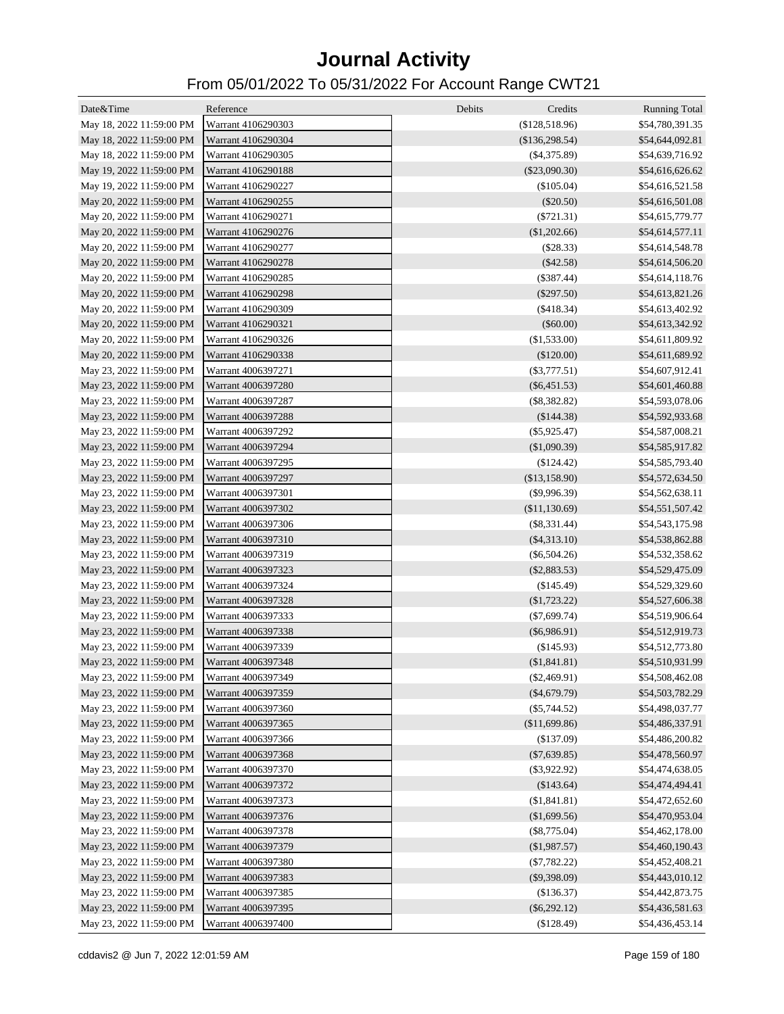| Date&Time                | Reference          | Debits | Credits            | <b>Running Total</b> |
|--------------------------|--------------------|--------|--------------------|----------------------|
| May 18, 2022 11:59:00 PM | Warrant 4106290303 |        | (\$128,518.96)     | \$54,780,391.35      |
| May 18, 2022 11:59:00 PM | Warrant 4106290304 |        | (\$136,298.54)     | \$54,644,092.81      |
| May 18, 2022 11:59:00 PM | Warrant 4106290305 |        | $($ \$4,375.89 $)$ | \$54,639,716.92      |
| May 19, 2022 11:59:00 PM | Warrant 4106290188 |        | $(\$23,090.30)$    | \$54,616,626.62      |
| May 19, 2022 11:59:00 PM | Warrant 4106290227 |        | (\$105.04)         | \$54,616,521.58      |
| May 20, 2022 11:59:00 PM | Warrant 4106290255 |        | $(\$20.50)$        | \$54,616,501.08      |
| May 20, 2022 11:59:00 PM | Warrant 4106290271 |        | $(\$721.31)$       | \$54,615,779.77      |
| May 20, 2022 11:59:00 PM | Warrant 4106290276 |        | (\$1,202.66)       | \$54,614,577.11      |
| May 20, 2022 11:59:00 PM | Warrant 4106290277 |        | (\$28.33)          | \$54,614,548.78      |
| May 20, 2022 11:59:00 PM | Warrant 4106290278 |        | (\$42.58)          | \$54,614,506.20      |
| May 20, 2022 11:59:00 PM | Warrant 4106290285 |        | $(\$387.44)$       | \$54,614,118.76      |
| May 20, 2022 11:59:00 PM | Warrant 4106290298 |        | $(\$297.50)$       | \$54,613,821.26      |
| May 20, 2022 11:59:00 PM | Warrant 4106290309 |        | $(\$418.34)$       | \$54,613,402.92      |
| May 20, 2022 11:59:00 PM | Warrant 4106290321 |        | $(\$60.00)$        | \$54,613,342.92      |
| May 20, 2022 11:59:00 PM | Warrant 4106290326 |        | (\$1,533.00)       | \$54,611,809.92      |
| May 20, 2022 11:59:00 PM | Warrant 4106290338 |        | $(\$120.00)$       | \$54,611,689.92      |
| May 23, 2022 11:59:00 PM | Warrant 4006397271 |        | $(\$3,777.51)$     | \$54,607,912.41      |
| May 23, 2022 11:59:00 PM | Warrant 4006397280 |        | $(\$6,451.53)$     | \$54,601,460.88      |
| May 23, 2022 11:59:00 PM | Warrant 4006397287 |        | $(\$8,382.82)$     | \$54,593,078.06      |
| May 23, 2022 11:59:00 PM | Warrant 4006397288 |        | (\$144.38)         | \$54,592,933.68      |
| May 23, 2022 11:59:00 PM | Warrant 4006397292 |        | $(\$5,925.47)$     | \$54,587,008.21      |
| May 23, 2022 11:59:00 PM | Warrant 4006397294 |        | (\$1,090.39)       | \$54,585,917.82      |
| May 23, 2022 11:59:00 PM | Warrant 4006397295 |        | $(\$124.42)$       | \$54,585,793.40      |
| May 23, 2022 11:59:00 PM | Warrant 4006397297 |        | (\$13,158.90)      | \$54,572,634.50      |
| May 23, 2022 11:59:00 PM | Warrant 4006397301 |        | $(\$9,996.39)$     | \$54,562,638.11      |
| May 23, 2022 11:59:00 PM | Warrant 4006397302 |        | (\$11,130.69)      | \$54,551,507.42      |
| May 23, 2022 11:59:00 PM | Warrant 4006397306 |        | $(\$8,331.44)$     | \$54,543,175.98      |
| May 23, 2022 11:59:00 PM | Warrant 4006397310 |        | $(\$4,313.10)$     | \$54,538,862.88      |
| May 23, 2022 11:59:00 PM | Warrant 4006397319 |        | $(\$6,504.26)$     | \$54,532,358.62      |
| May 23, 2022 11:59:00 PM | Warrant 4006397323 |        | $(\$2,883.53)$     | \$54,529,475.09      |
| May 23, 2022 11:59:00 PM | Warrant 4006397324 |        | $(\$145.49)$       | \$54,529,329.60      |
| May 23, 2022 11:59:00 PM | Warrant 4006397328 |        | (\$1,723.22)       | \$54,527,606.38      |
| May 23, 2022 11:59:00 PM | Warrant 4006397333 |        | $(\$7,699.74)$     | \$54,519,906.64      |
| May 23, 2022 11:59:00 PM | Warrant 4006397338 |        | $(\$6,986.91)$     | \$54,512,919.73      |
| May 23, 2022 11:59:00 PM | Warrant 4006397339 |        | (\$145.93)         | \$54,512,773.80      |
| May 23, 2022 11:59:00 PM | Warrant 4006397348 |        | (\$1,841.81)       | \$54,510,931.99      |
| May 23, 2022 11:59:00 PM | Warrant 4006397349 |        | $(\$2,469.91)$     | \$54,508,462.08      |
| May 23, 2022 11:59:00 PM | Warrant 4006397359 |        | $(\$4,679.79)$     | \$54,503,782.29      |
| May 23, 2022 11:59:00 PM | Warrant 4006397360 |        | $(\$5,744.52)$     | \$54,498,037.77      |
| May 23, 2022 11:59:00 PM | Warrant 4006397365 |        | (\$11,699.86)      | \$54,486,337.91      |
| May 23, 2022 11:59:00 PM | Warrant 4006397366 |        | (\$137.09)         | \$54,486,200.82      |
| May 23, 2022 11:59:00 PM | Warrant 4006397368 |        | $(\$7,639.85)$     | \$54,478,560.97      |
| May 23, 2022 11:59:00 PM | Warrant 4006397370 |        | $(\$3,922.92)$     | \$54,474,638.05      |
| May 23, 2022 11:59:00 PM | Warrant 4006397372 |        | (\$143.64)         | \$54,474,494.41      |
| May 23, 2022 11:59:00 PM | Warrant 4006397373 |        | (\$1,841.81)       | \$54,472,652.60      |
| May 23, 2022 11:59:00 PM | Warrant 4006397376 |        | (\$1,699.56)       | \$54,470,953.04      |
| May 23, 2022 11:59:00 PM | Warrant 4006397378 |        | $(\$8,775.04)$     | \$54,462,178.00      |
| May 23, 2022 11:59:00 PM | Warrant 4006397379 |        | (\$1,987.57)       | \$54,460,190.43      |
| May 23, 2022 11:59:00 PM | Warrant 4006397380 |        | $(\$7,782.22)$     | \$54,452,408.21      |
| May 23, 2022 11:59:00 PM | Warrant 4006397383 |        | $(\$9,398.09)$     | \$54,443,010.12      |
| May 23, 2022 11:59:00 PM | Warrant 4006397385 |        | (\$136.37)         | \$54,442,873.75      |
| May 23, 2022 11:59:00 PM | Warrant 4006397395 |        | $(\$6,292.12)$     | \$54,436,581.63      |
| May 23, 2022 11:59:00 PM | Warrant 4006397400 |        | (\$128.49)         | \$54,436,453.14      |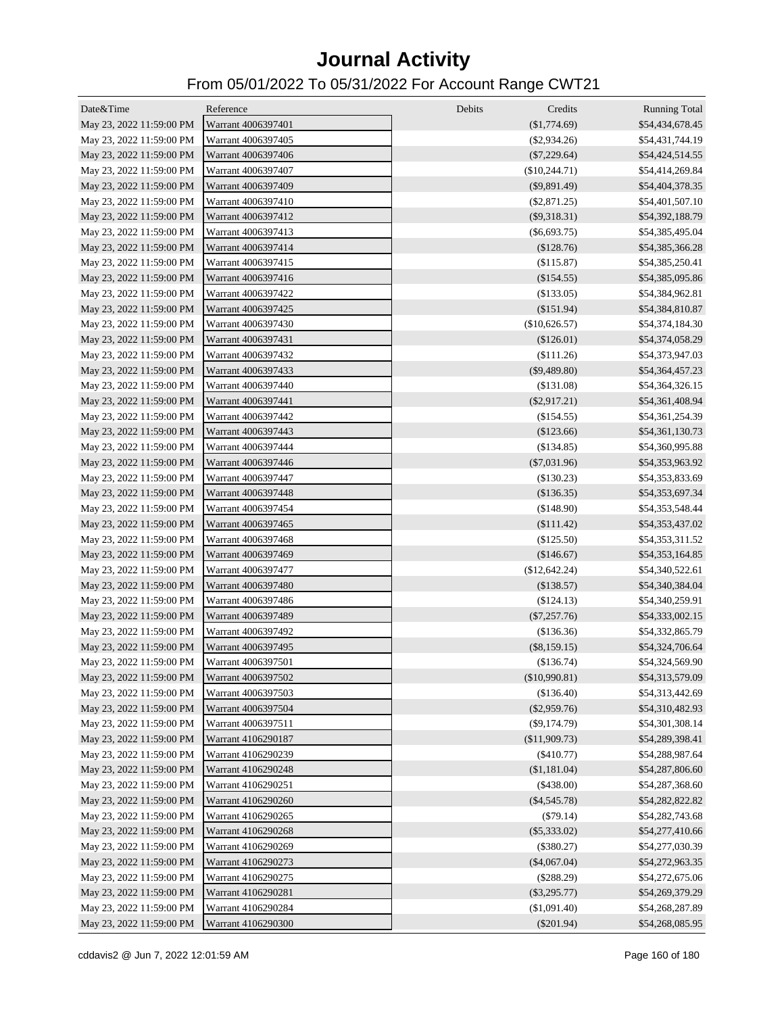| Date&Time                | Reference          | Debits<br>Credits | <b>Running Total</b> |
|--------------------------|--------------------|-------------------|----------------------|
| May 23, 2022 11:59:00 PM | Warrant 4006397401 | $(\$1,774.69)$    | \$54,434,678.45      |
| May 23, 2022 11:59:00 PM | Warrant 4006397405 | $(\$2,934.26)$    | \$54,431,744.19      |
| May 23, 2022 11:59:00 PM | Warrant 4006397406 | $(\$7,229.64)$    | \$54,424,514.55      |
| May 23, 2022 11:59:00 PM | Warrant 4006397407 | $(\$10,244.71)$   | \$54,414,269.84      |
| May 23, 2022 11:59:00 PM | Warrant 4006397409 | $(\$9,891.49)$    | \$54,404,378.35      |
|                          | Warrant 4006397410 |                   | \$54,401,507.10      |
| May 23, 2022 11:59:00 PM |                    | $(\$2,871.25)$    |                      |
| May 23, 2022 11:59:00 PM | Warrant 4006397412 | $(\$9,318.31)$    | \$54,392,188.79      |
| May 23, 2022 11:59:00 PM | Warrant 4006397413 | $(\$6,693.75)$    | \$54,385,495.04      |
| May 23, 2022 11:59:00 PM | Warrant 4006397414 | (\$128.76)        | \$54,385,366.28      |
| May 23, 2022 11:59:00 PM | Warrant 4006397415 | (\$115.87)        | \$54,385,250.41      |
| May 23, 2022 11:59:00 PM | Warrant 4006397416 | (\$154.55)        | \$54,385,095.86      |
| May 23, 2022 11:59:00 PM | Warrant 4006397422 | (\$133.05)        | \$54,384,962.81      |
| May 23, 2022 11:59:00 PM | Warrant 4006397425 | (\$151.94)        | \$54,384,810.87      |
| May 23, 2022 11:59:00 PM | Warrant 4006397430 | (\$10,626.57)     | \$54,374,184.30      |
| May 23, 2022 11:59:00 PM | Warrant 4006397431 | $(\$126.01)$      | \$54,374,058.29      |
| May 23, 2022 11:59:00 PM | Warrant 4006397432 | (\$111.26)        | \$54,373,947.03      |
| May 23, 2022 11:59:00 PM | Warrant 4006397433 | $(\$9,489.80)$    | \$54,364,457.23      |
| May 23, 2022 11:59:00 PM | Warrant 4006397440 | (\$131.08)        | \$54,364,326.15      |
| May 23, 2022 11:59:00 PM | Warrant 4006397441 | $(\$2,917.21)$    | \$54,361,408.94      |
| May 23, 2022 11:59:00 PM | Warrant 4006397442 | (\$154.55)        | \$54,361,254.39      |
| May 23, 2022 11:59:00 PM | Warrant 4006397443 | $(\$123.66)$      | \$54,361,130.73      |
| May 23, 2022 11:59:00 PM | Warrant 4006397444 | (\$134.85)        | \$54,360,995.88      |
| May 23, 2022 11:59:00 PM | Warrant 4006397446 | $(\$7,031.96)$    | \$54,353,963.92      |
| May 23, 2022 11:59:00 PM | Warrant 4006397447 | (\$130.23)        | \$54,353,833.69      |
| May 23, 2022 11:59:00 PM | Warrant 4006397448 | (\$136.35)        | \$54,353,697.34      |
| May 23, 2022 11:59:00 PM | Warrant 4006397454 | (\$148.90)        | \$54,353,548.44      |
| May 23, 2022 11:59:00 PM | Warrant 4006397465 | \$111.42)         | \$54,353,437.02      |
| May 23, 2022 11:59:00 PM | Warrant 4006397468 | (\$125.50)        | \$54,353,311.52      |
| May 23, 2022 11:59:00 PM | Warrant 4006397469 | $(\$146.67)$      | \$54,353,164.85      |
| May 23, 2022 11:59:00 PM | Warrant 4006397477 | (\$12,642.24)     | \$54,340,522.61      |
| May 23, 2022 11:59:00 PM | Warrant 4006397480 | $(\$138.57)$      | \$54,340,384.04      |
| May 23, 2022 11:59:00 PM | Warrant 4006397486 | (\$124.13)        | \$54,340,259.91      |
| May 23, 2022 11:59:00 PM | Warrant 4006397489 | $(\$7,257.76)$    | \$54,333,002.15      |
| May 23, 2022 11:59:00 PM | Warrant 4006397492 |                   |                      |
|                          |                    | (\$136.36)        | \$54,332,865.79      |
| May 23, 2022 11:59:00 PM | Warrant 4006397495 | $(\$8,159.15)$    | \$54,324,706.64      |
| May 23, 2022 11:59:00 PM | Warrant 4006397501 | (\$136.74)        | \$54,324,569.90      |
| May 23, 2022 11:59:00 PM | Warrant 4006397502 | $(\$10,990.81)$   | \$54,313,579.09      |
| May 23, 2022 11:59:00 PM | Warrant 4006397503 | (\$136.40)        | \$54,313,442.69      |
| May 23, 2022 11:59:00 PM | Warrant 4006397504 | $(\$2,959.76)$    | \$54,310,482.93      |
| May 23, 2022 11:59:00 PM | Warrant 4006397511 | $(\$9,174.79)$    | \$54,301,308.14      |
| May 23, 2022 11:59:00 PM | Warrant 4106290187 | (\$11,909.73)     | \$54,289,398.41      |
| May 23, 2022 11:59:00 PM | Warrant 4106290239 | $(\$410.77)$      | \$54,288,987.64      |
| May 23, 2022 11:59:00 PM | Warrant 4106290248 | (\$1,181.04)      | \$54,287,806.60      |
| May 23, 2022 11:59:00 PM | Warrant 4106290251 | $(\$438.00)$      | \$54,287,368.60      |
| May 23, 2022 11:59:00 PM | Warrant 4106290260 | $(\$4,545.78)$    | \$54,282,822.82      |
| May 23, 2022 11:59:00 PM | Warrant 4106290265 | $(\$79.14)$       | \$54,282,743.68      |
| May 23, 2022 11:59:00 PM | Warrant 4106290268 | $(\$5,333.02)$    | \$54,277,410.66      |
| May 23, 2022 11:59:00 PM | Warrant 4106290269 | $(\$380.27)$      | \$54,277,030.39      |
| May 23, 2022 11:59:00 PM | Warrant 4106290273 | $(\$4,067.04)$    | \$54,272,963.35      |
| May 23, 2022 11:59:00 PM | Warrant 4106290275 | $(\$288.29)$      | \$54,272,675.06      |
| May 23, 2022 11:59:00 PM | Warrant 4106290281 | $(\$3,295.77)$    | \$54,269,379.29      |
| May 23, 2022 11:59:00 PM | Warrant 4106290284 | (\$1,091.40)      | \$54,268,287.89      |
| May 23, 2022 11:59:00 PM | Warrant 4106290300 | $(\$201.94)$      | \$54,268,085.95      |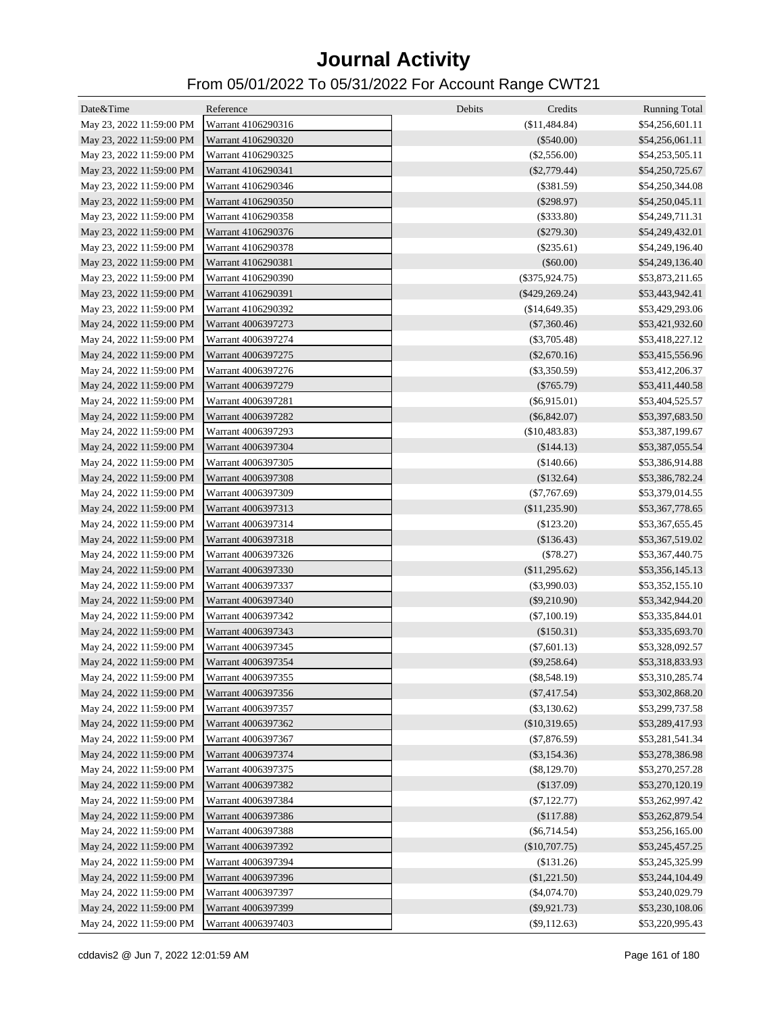| Date&Time                | Reference          | Debits<br>Credits | <b>Running Total</b> |
|--------------------------|--------------------|-------------------|----------------------|
| May 23, 2022 11:59:00 PM | Warrant 4106290316 | (\$11,484.84)     | \$54,256,601.11      |
| May 23, 2022 11:59:00 PM | Warrant 4106290320 | $(\$540.00)$      | \$54,256,061.11      |
| May 23, 2022 11:59:00 PM | Warrant 4106290325 | $(\$2,556.00)$    | \$54,253,505.11      |
| May 23, 2022 11:59:00 PM | Warrant 4106290341 | $(\$2,779.44)$    | \$54,250,725.67      |
| May 23, 2022 11:59:00 PM | Warrant 4106290346 | $(\$381.59)$      | \$54,250,344.08      |
| May 23, 2022 11:59:00 PM | Warrant 4106290350 | $(\$298.97)$      | \$54,250,045.11      |
| May 23, 2022 11:59:00 PM | Warrant 4106290358 | $(\$333.80)$      | \$54,249,711.31      |
| May 23, 2022 11:59:00 PM | Warrant 4106290376 | $(\$279.30)$      | \$54,249,432.01      |
| May 23, 2022 11:59:00 PM | Warrant 4106290378 | $(\$235.61)$      | \$54,249,196.40      |
| May 23, 2022 11:59:00 PM | Warrant 4106290381 | $(\$60.00)$       | \$54,249,136.40      |
| May 23, 2022 11:59:00 PM | Warrant 4106290390 | $(\$375,924.75)$  | \$53,873,211.65      |
| May 23, 2022 11:59:00 PM | Warrant 4106290391 | $(\$429,269.24)$  | \$53,443,942.41      |
| May 23, 2022 11:59:00 PM | Warrant 4106290392 | (\$14,649.35)     | \$53,429,293.06      |
| May 24, 2022 11:59:00 PM | Warrant 4006397273 | $(\$7,360.46)$    | \$53,421,932.60      |
| May 24, 2022 11:59:00 PM | Warrant 4006397274 | $(\$3,705.48)$    | \$53,418,227.12      |
| May 24, 2022 11:59:00 PM | Warrant 4006397275 | $(\$2,670.16)$    | \$53,415,556.96      |
| May 24, 2022 11:59:00 PM | Warrant 4006397276 | $(\$3,350.59)$    | \$53,412,206.37      |
| May 24, 2022 11:59:00 PM | Warrant 4006397279 | $(\$765.79)$      | \$53,411,440.58      |
| May 24, 2022 11:59:00 PM | Warrant 4006397281 | $(\$6,915.01)$    | \$53,404,525.57      |
| May 24, 2022 11:59:00 PM | Warrant 4006397282 | $(\$6,842.07)$    | \$53,397,683.50      |
| May 24, 2022 11:59:00 PM | Warrant 4006397293 | (\$10,483.83)     | \$53,387,199.67      |
| May 24, 2022 11:59:00 PM | Warrant 4006397304 | (\$144.13)        | \$53,387,055.54      |
| May 24, 2022 11:59:00 PM | Warrant 4006397305 | (\$140.66)        | \$53,386,914.88      |
| May 24, 2022 11:59:00 PM | Warrant 4006397308 | (\$132.64)        | \$53,386,782.24      |
| May 24, 2022 11:59:00 PM | Warrant 4006397309 | $(\$7,767.69)$    | \$53,379,014.55      |
| May 24, 2022 11:59:00 PM | Warrant 4006397313 | (\$11,235.90)     | \$53,367,778.65      |
| May 24, 2022 11:59:00 PM | Warrant 4006397314 | (\$123.20)        | \$53,367,655.45      |
| May 24, 2022 11:59:00 PM | Warrant 4006397318 | (\$136.43)        | \$53,367,519.02      |
| May 24, 2022 11:59:00 PM | Warrant 4006397326 | $(\$78.27)$       | \$53,367,440.75      |
| May 24, 2022 11:59:00 PM | Warrant 4006397330 | (\$11,295.62)     | \$53,356,145.13      |
| May 24, 2022 11:59:00 PM | Warrant 4006397337 | $(\$3,990.03)$    | \$53,352,155.10      |
| May 24, 2022 11:59:00 PM | Warrant 4006397340 | $(\$9,210.90)$    | \$53,342,944.20      |
| May 24, 2022 11:59:00 PM | Warrant 4006397342 | $(\$7,100.19)$    | \$53,335,844.01      |
| May 24, 2022 11:59:00 PM | Warrant 4006397343 | $(\$150.31)$      | \$53,335,693.70      |
| May 24, 2022 11:59:00 PM | Warrant 4006397345 | $(\$7,601.13)$    | \$53,328,092.57      |
| May 24, 2022 11:59:00 PM | Warrant 4006397354 | $(\$9,258.64)$    | \$53,318,833.93      |
| May 24, 2022 11:59:00 PM | Warrant 4006397355 | $(\$8,548.19)$    | \$53,310,285.74      |
| May 24, 2022 11:59:00 PM | Warrant 4006397356 | $(\$7,417.54)$    | \$53,302,868.20      |
| May 24, 2022 11:59:00 PM | Warrant 4006397357 | $(\$3,130.62)$    | \$53,299,737.58      |
| May 24, 2022 11:59:00 PM | Warrant 4006397362 | $(\$10,319.65)$   | \$53,289,417.93      |
| May 24, 2022 11:59:00 PM | Warrant 4006397367 | $(\$7,876.59)$    | \$53,281,541.34      |
| May 24, 2022 11:59:00 PM | Warrant 4006397374 | $(\$3,154.36)$    | \$53,278,386.98      |
| May 24, 2022 11:59:00 PM | Warrant 4006397375 | $(\$8,129.70)$    | \$53,270,257.28      |
| May 24, 2022 11:59:00 PM | Warrant 4006397382 | (\$137.09)        | \$53,270,120.19      |
| May 24, 2022 11:59:00 PM | Warrant 4006397384 | $(\$7,122.77)$    | \$53,262,997.42      |
| May 24, 2022 11:59:00 PM | Warrant 4006397386 | (\$117.88)        | \$53,262,879.54      |
| May 24, 2022 11:59:00 PM | Warrant 4006397388 | $(\$6,714.54)$    | \$53,256,165.00      |
| May 24, 2022 11:59:00 PM | Warrant 4006397392 | $(\$10,707.75)$   | \$53,245,457.25      |
| May 24, 2022 11:59:00 PM | Warrant 4006397394 | (\$131.26)        | \$53,245,325.99      |
| May 24, 2022 11:59:00 PM | Warrant 4006397396 | (\$1,221.50)      | \$53,244,104.49      |
| May 24, 2022 11:59:00 PM | Warrant 4006397397 | $(\$4,074.70)$    | \$53,240,029.79      |
| May 24, 2022 11:59:00 PM | Warrant 4006397399 | $(\$9,921.73)$    | \$53,230,108.06      |
| May 24, 2022 11:59:00 PM | Warrant 4006397403 | $(\$9,112.63)$    | \$53,220,995.43      |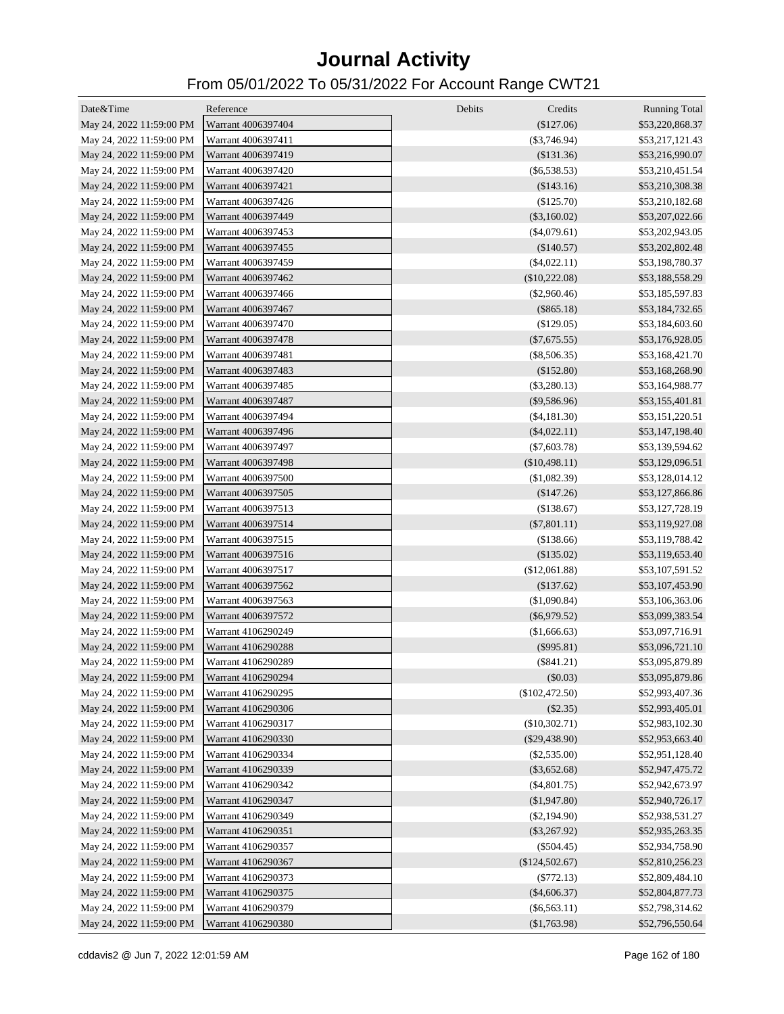| Date&Time                | Reference          | Debits<br>Credits | <b>Running Total</b> |
|--------------------------|--------------------|-------------------|----------------------|
| May 24, 2022 11:59:00 PM | Warrant 4006397404 | (\$127.06)        | \$53,220,868.37      |
| May 24, 2022 11:59:00 PM | Warrant 4006397411 | $(\$3,746.94)$    | \$53,217,121.43      |
| May 24, 2022 11:59:00 PM | Warrant 4006397419 | (\$131.36)        | \$53,216,990.07      |
| May 24, 2022 11:59:00 PM | Warrant 4006397420 | (S6, 538.53)      | \$53,210,451.54      |
| May 24, 2022 11:59:00 PM | Warrant 4006397421 | (\$143.16)        | \$53,210,308.38      |
| May 24, 2022 11:59:00 PM | Warrant 4006397426 | (\$125.70)        | \$53,210,182.68      |
| May 24, 2022 11:59:00 PM | Warrant 4006397449 | $(\$3,160.02)$    | \$53,207,022.66      |
| May 24, 2022 11:59:00 PM | Warrant 4006397453 | $(\$4,079.61)$    | \$53,202,943.05      |
| May 24, 2022 11:59:00 PM | Warrant 4006397455 | (\$140.57)        | \$53,202,802.48      |
| May 24, 2022 11:59:00 PM | Warrant 4006397459 | $(\$4,022.11)$    | \$53,198,780.37      |
| May 24, 2022 11:59:00 PM | Warrant 4006397462 | $(\$10,222.08)$   | \$53,188,558.29      |
| May 24, 2022 11:59:00 PM | Warrant 4006397466 | $(\$2,960.46)$    | \$53,185,597.83      |
| May 24, 2022 11:59:00 PM | Warrant 4006397467 | $(\$865.18)$      | \$53,184,732.65      |
| May 24, 2022 11:59:00 PM | Warrant 4006397470 | $(\$129.05)$      | \$53,184,603.60      |
| May 24, 2022 11:59:00 PM | Warrant 4006397478 | $(\$7,675.55)$    | \$53,176,928.05      |
| May 24, 2022 11:59:00 PM | Warrant 4006397481 | $(\$8,506.35)$    | \$53,168,421.70      |
| May 24, 2022 11:59:00 PM | Warrant 4006397483 | (\$152.80)        | \$53,168,268.90      |
| May 24, 2022 11:59:00 PM | Warrant 4006397485 | $(\$3,280.13)$    | \$53,164,988.77      |
| May 24, 2022 11:59:00 PM | Warrant 4006397487 | $(\$9,586.96)$    | \$53,155,401.81      |
| May 24, 2022 11:59:00 PM | Warrant 4006397494 | $(\$4,181.30)$    | \$53,151,220.51      |
| May 24, 2022 11:59:00 PM | Warrant 4006397496 | $(\$4,022.11)$    | \$53,147,198.40      |
| May 24, 2022 11:59:00 PM | Warrant 4006397497 | $(\$7,603.78)$    | \$53,139,594.62      |
| May 24, 2022 11:59:00 PM | Warrant 4006397498 | $(\$10,498.11)$   | \$53,129,096.51      |
| May 24, 2022 11:59:00 PM | Warrant 4006397500 | (\$1,082.39)      | \$53,128,014.12      |
| May 24, 2022 11:59:00 PM | Warrant 4006397505 | (\$147.26)        | \$53,127,866.86      |
| May 24, 2022 11:59:00 PM | Warrant 4006397513 | (\$138.67)        | \$53,127,728.19      |
| May 24, 2022 11:59:00 PM | Warrant 4006397514 | $(\$7,801.11)$    | \$53,119,927.08      |
| May 24, 2022 11:59:00 PM | Warrant 4006397515 | (\$138.66)        | \$53,119,788.42      |
| May 24, 2022 11:59:00 PM | Warrant 4006397516 | (\$135.02)        | \$53,119,653.40      |
| May 24, 2022 11:59:00 PM | Warrant 4006397517 | (\$12,061.88)     | \$53,107,591.52      |
| May 24, 2022 11:59:00 PM | Warrant 4006397562 | (\$137.62)        | \$53,107,453.90      |
| May 24, 2022 11:59:00 PM | Warrant 4006397563 | (\$1,090.84)      | \$53,106,363.06      |
| May 24, 2022 11:59:00 PM | Warrant 4006397572 | $(\$6,979.52)$    | \$53,099,383.54      |
| May 24, 2022 11:59:00 PM | Warrant 4106290249 | (\$1,666.63)      | \$53,097,716.91      |
| May 24, 2022 11:59:00 PM | Warrant 4106290288 | $(\$995.81)$      | \$53,096,721.10      |
| May 24, 2022 11:59:00 PM | Warrant 4106290289 | $(\$841.21)$      | \$53,095,879.89      |
| May 24, 2022 11:59:00 PM | Warrant 4106290294 | (\$0.03)          | \$53,095,879.86      |
| May 24, 2022 11:59:00 PM | Warrant 4106290295 | $(\$102,472.50)$  | \$52,993,407.36      |
| May 24, 2022 11:59:00 PM | Warrant 4106290306 | $(\$2.35)$        | \$52,993,405.01      |
| May 24, 2022 11:59:00 PM | Warrant 4106290317 | (\$10,302.71)     | \$52,983,102.30      |
| May 24, 2022 11:59:00 PM | Warrant 4106290330 | $(\$29,438.90)$   | \$52,953,663.40      |
| May 24, 2022 11:59:00 PM | Warrant 4106290334 | $(\$2,535.00)$    | \$52,951,128.40      |
| May 24, 2022 11:59:00 PM | Warrant 4106290339 | $(\$3,652.68)$    | \$52,947,475.72      |
| May 24, 2022 11:59:00 PM | Warrant 4106290342 | $(\$4,801.75)$    | \$52,942,673.97      |
| May 24, 2022 11:59:00 PM | Warrant 4106290347 | (\$1,947.80)      | \$52,940,726.17      |
| May 24, 2022 11:59:00 PM | Warrant 4106290349 | $(\$2,194.90)$    | \$52,938,531.27      |
| May 24, 2022 11:59:00 PM | Warrant 4106290351 | $(\$3,267.92)$    | \$52,935,263.35      |
| May 24, 2022 11:59:00 PM | Warrant 4106290357 | $(\$504.45)$      | \$52,934,758.90      |
| May 24, 2022 11:59:00 PM | Warrant 4106290367 | (\$124,502.67)    | \$52,810,256.23      |
| May 24, 2022 11:59:00 PM | Warrant 4106290373 | $(\$772.13)$      | \$52,809,484.10      |
| May 24, 2022 11:59:00 PM | Warrant 4106290375 | $(\$4,606.37)$    | \$52,804,877.73      |
| May 24, 2022 11:59:00 PM | Warrant 4106290379 | $(\$6,563.11)$    | \$52,798,314.62      |
| May 24, 2022 11:59:00 PM | Warrant 4106290380 | (\$1,763.98)      | \$52,796,550.64      |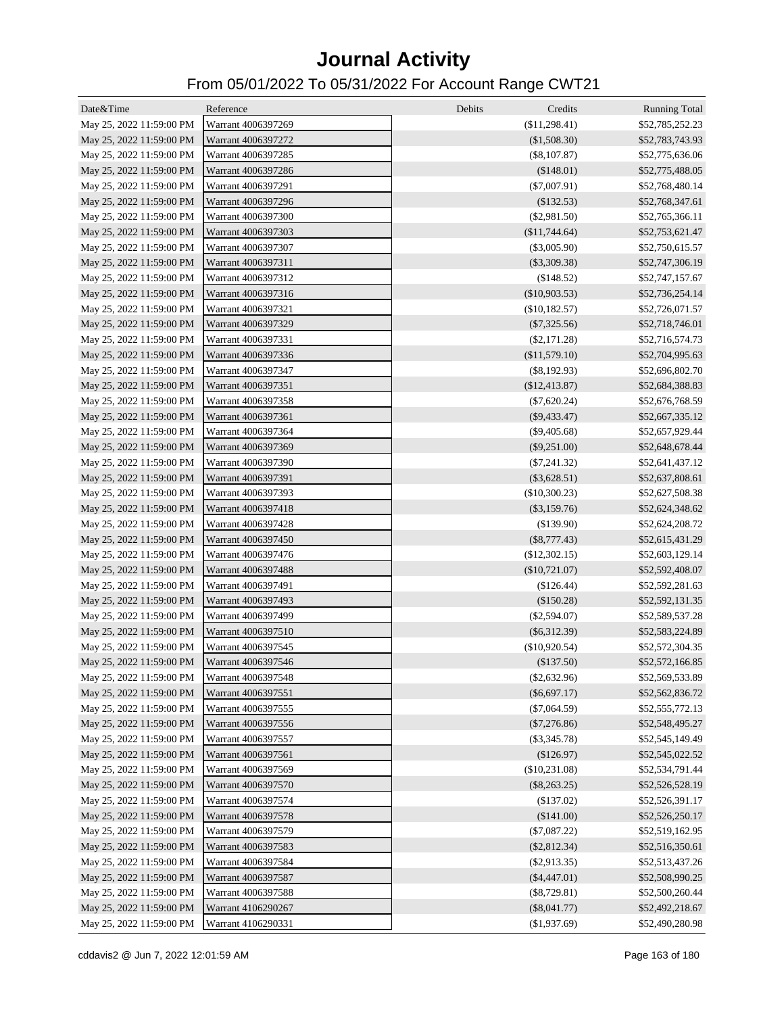| Date&Time                | Reference          | Debits<br>Credits | <b>Running Total</b> |
|--------------------------|--------------------|-------------------|----------------------|
| May 25, 2022 11:59:00 PM | Warrant 4006397269 | (\$11,298.41)     | \$52,785,252.23      |
| May 25, 2022 11:59:00 PM | Warrant 4006397272 | (\$1,508.30)      | \$52,783,743.93      |
| May 25, 2022 11:59:00 PM | Warrant 4006397285 | $(\$8,107.87)$    | \$52,775,636.06      |
| May 25, 2022 11:59:00 PM | Warrant 4006397286 | (\$148.01)        | \$52,775,488.05      |
| May 25, 2022 11:59:00 PM | Warrant 4006397291 | $(\$7,007.91)$    | \$52,768,480.14      |
| May 25, 2022 11:59:00 PM | Warrant 4006397296 | (\$132.53)        | \$52,768,347.61      |
| May 25, 2022 11:59:00 PM | Warrant 4006397300 | $(\$2,981.50)$    | \$52,765,366.11      |
| May 25, 2022 11:59:00 PM | Warrant 4006397303 | (\$11,744.64)     | \$52,753,621.47      |
| May 25, 2022 11:59:00 PM | Warrant 4006397307 | $(\$3,005.90)$    | \$52,750,615.57      |
| May 25, 2022 11:59:00 PM | Warrant 4006397311 | $(\$3,309.38)$    | \$52,747,306.19      |
| May 25, 2022 11:59:00 PM | Warrant 4006397312 | (\$148.52)        | \$52,747,157.67      |
| May 25, 2022 11:59:00 PM | Warrant 4006397316 | $(\$10,903.53)$   | \$52,736,254.14      |
| May 25, 2022 11:59:00 PM | Warrant 4006397321 | (\$10,182.57)     | \$52,726,071.57      |
| May 25, 2022 11:59:00 PM | Warrant 4006397329 | $(\$7,325.56)$    | \$52,718,746.01      |
| May 25, 2022 11:59:00 PM | Warrant 4006397331 | $(\$2,171.28)$    | \$52,716,574.73      |
| May 25, 2022 11:59:00 PM | Warrant 4006397336 | (\$11,579.10)     | \$52,704,995.63      |
| May 25, 2022 11:59:00 PM | Warrant 4006397347 | $(\$8,192.93)$    | \$52,696,802.70      |
| May 25, 2022 11:59:00 PM | Warrant 4006397351 | (\$12,413.87)     | \$52,684,388.83      |
| May 25, 2022 11:59:00 PM | Warrant 4006397358 | $(\$7,620.24)$    | \$52,676,768.59      |
| May 25, 2022 11:59:00 PM | Warrant 4006397361 | $(\$9,433.47)$    | \$52,667,335.12      |
| May 25, 2022 11:59:00 PM | Warrant 4006397364 | $(\$9,405.68)$    | \$52,657,929.44      |
| May 25, 2022 11:59:00 PM | Warrant 4006397369 | $(\$9,251.00)$    | \$52,648,678.44      |
| May 25, 2022 11:59:00 PM | Warrant 4006397390 | $(\$7,241.32)$    | \$52,641,437.12      |
| May 25, 2022 11:59:00 PM | Warrant 4006397391 | $(\$3,628.51)$    | \$52,637,808.61      |
| May 25, 2022 11:59:00 PM | Warrant 4006397393 | (\$10,300.23)     | \$52,627,508.38      |
| May 25, 2022 11:59:00 PM | Warrant 4006397418 | $(\$3,159.76)$    | \$52,624,348.62      |
| May 25, 2022 11:59:00 PM | Warrant 4006397428 | (\$139.90)        | \$52,624,208.72      |
| May 25, 2022 11:59:00 PM | Warrant 4006397450 | $(\$8,777.43)$    | \$52,615,431.29      |
| May 25, 2022 11:59:00 PM | Warrant 4006397476 | (\$12,302.15)     | \$52,603,129.14      |
| May 25, 2022 11:59:00 PM | Warrant 4006397488 | $(\$10,721.07)$   | \$52,592,408.07      |
| May 25, 2022 11:59:00 PM | Warrant 4006397491 | (\$126.44)        | \$52,592,281.63      |
| May 25, 2022 11:59:00 PM | Warrant 4006397493 | (\$150.28)        | \$52,592,131.35      |
| May 25, 2022 11:59:00 PM | Warrant 4006397499 | $(\$2,594.07)$    | \$52,589,537.28      |
| May 25, 2022 11:59:00 PM | Warrant 4006397510 | $(\$6,312.39)$    | \$52,583,224.89      |
| May 25, 2022 11:59:00 PM | Warrant 4006397545 | (\$10,920.54)     | \$52,572,304.35      |
| May 25, 2022 11:59:00 PM | Warrant 4006397546 | (\$137.50)        | \$52,572,166.85      |
| May 25, 2022 11:59:00 PM | Warrant 4006397548 | $(\$2,632.96)$    | \$52,569,533.89      |
| May 25, 2022 11:59:00 PM | Warrant 4006397551 | $(\$6,697.17)$    | \$52,562,836.72      |
| May 25, 2022 11:59:00 PM | Warrant 4006397555 | $(\$7,064.59)$    | \$52,555,772.13      |
| May 25, 2022 11:59:00 PM | Warrant 4006397556 | $(\$7,276.86)$    | \$52,548,495.27      |
| May 25, 2022 11:59:00 PM | Warrant 4006397557 | $(\$3,345.78)$    | \$52,545,149.49      |
| May 25, 2022 11:59:00 PM | Warrant 4006397561 | (\$126.97)        | \$52,545,022.52      |
| May 25, 2022 11:59:00 PM | Warrant 4006397569 | (\$10,231.08)     | \$52,534,791.44      |
| May 25, 2022 11:59:00 PM | Warrant 4006397570 | $(\$8,263.25)$    | \$52,526,528.19      |
| May 25, 2022 11:59:00 PM | Warrant 4006397574 | (\$137.02)        | \$52,526,391.17      |
| May 25, 2022 11:59:00 PM | Warrant 4006397578 | (\$141.00)        | \$52,526,250.17      |
| May 25, 2022 11:59:00 PM | Warrant 4006397579 | $(\$7,087.22)$    | \$52,519,162.95      |
| May 25, 2022 11:59:00 PM | Warrant 4006397583 | $(\$2,812.34)$    | \$52,516,350.61      |
| May 25, 2022 11:59:00 PM | Warrant 4006397584 | $(\$2,913.35)$    | \$52,513,437.26      |
| May 25, 2022 11:59:00 PM | Warrant 4006397587 | $(\$4,447.01)$    | \$52,508,990.25      |
| May 25, 2022 11:59:00 PM | Warrant 4006397588 | $(\$8,729.81)$    | \$52,500,260.44      |
| May 25, 2022 11:59:00 PM | Warrant 4106290267 | $(\$8,041.77)$    | \$52,492,218.67      |
| May 25, 2022 11:59:00 PM | Warrant 4106290331 | (\$1,937.69)      | \$52,490,280.98      |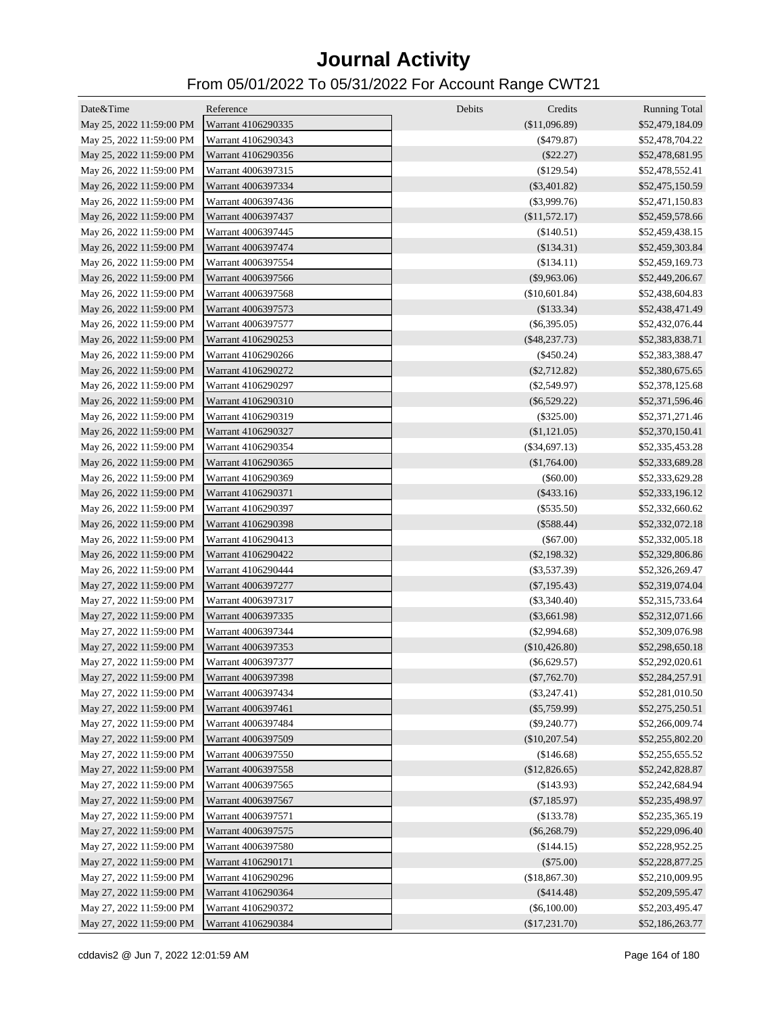| Date&Time                | Reference          | Debits<br>Credits | <b>Running Total</b> |
|--------------------------|--------------------|-------------------|----------------------|
| May 25, 2022 11:59:00 PM | Warrant 4106290335 | (\$11,096.89)     | \$52,479,184.09      |
| May 25, 2022 11:59:00 PM | Warrant 4106290343 | $(\$479.87)$      | \$52,478,704.22      |
| May 25, 2022 11:59:00 PM | Warrant 4106290356 | $(\$22.27)$       | \$52,478,681.95      |
| May 26, 2022 11:59:00 PM | Warrant 4006397315 | $(\$129.54)$      | \$52,478,552.41      |
| May 26, 2022 11:59:00 PM | Warrant 4006397334 | $(\$3,401.82)$    | \$52,475,150.59      |
| May 26, 2022 11:59:00 PM | Warrant 4006397436 | $(\$3,999.76)$    | \$52,471,150.83      |
| May 26, 2022 11:59:00 PM | Warrant 4006397437 | (\$11,572.17)     | \$52,459,578.66      |
| May 26, 2022 11:59:00 PM | Warrant 4006397445 | (\$140.51)        | \$52,459,438.15      |
| May 26, 2022 11:59:00 PM | Warrant 4006397474 | $(\$134.31)$      | \$52,459,303.84      |
| May 26, 2022 11:59:00 PM | Warrant 4006397554 | (\$134.11)        | \$52,459,169.73      |
| May 26, 2022 11:59:00 PM | Warrant 4006397566 | $(\$9,963.06)$    | \$52,449,206.67      |
| May 26, 2022 11:59:00 PM | Warrant 4006397568 | (\$10,601.84)     | \$52,438,604.83      |
| May 26, 2022 11:59:00 PM | Warrant 4006397573 | (\$133.34)        | \$52,438,471.49      |
| May 26, 2022 11:59:00 PM | Warrant 4006397577 | $(\$6,395.05)$    | \$52,432,076.44      |
| May 26, 2022 11:59:00 PM | Warrant 4106290253 | $(\$48,237.73)$   | \$52,383,838.71      |
| May 26, 2022 11:59:00 PM | Warrant 4106290266 | $(\$450.24)$      | \$52,383,388.47      |
| May 26, 2022 11:59:00 PM | Warrant 4106290272 | $(\$2,712.82)$    | \$52,380,675.65      |
| May 26, 2022 11:59:00 PM | Warrant 4106290297 | $(\$2,549.97)$    | \$52,378,125.68      |
| May 26, 2022 11:59:00 PM | Warrant 4106290310 | $(\$6,529.22)$    | \$52,371,596.46      |
| May 26, 2022 11:59:00 PM | Warrant 4106290319 | $(\$325.00)$      | \$52,371,271.46      |
| May 26, 2022 11:59:00 PM | Warrant 4106290327 | (\$1,121.05)      | \$52,370,150.41      |
| May 26, 2022 11:59:00 PM | Warrant 4106290354 | $(\$34,697.13)$   | \$52,335,453.28      |
| May 26, 2022 11:59:00 PM | Warrant 4106290365 | $(\$1,764.00)$    | \$52,333,689.28      |
| May 26, 2022 11:59:00 PM | Warrant 4106290369 | $(\$60.00)$       | \$52,333,629.28      |
| May 26, 2022 11:59:00 PM | Warrant 4106290371 | $(\$433.16)$      | \$52,333,196.12      |
| May 26, 2022 11:59:00 PM | Warrant 4106290397 | $(\$535.50)$      | \$52,332,660.62      |
| May 26, 2022 11:59:00 PM | Warrant 4106290398 | $(\$588.44)$      | \$52,332,072.18      |
| May 26, 2022 11:59:00 PM | Warrant 4106290413 | $(\$67.00)$       | \$52,332,005.18      |
| May 26, 2022 11:59:00 PM | Warrant 4106290422 | $(\$2,198.32)$    | \$52,329,806.86      |
| May 26, 2022 11:59:00 PM | Warrant 4106290444 | $(\$3,537.39)$    | \$52,326,269.47      |
| May 27, 2022 11:59:00 PM | Warrant 4006397277 | $(\$7,195.43)$    | \$52,319,074.04      |
| May 27, 2022 11:59:00 PM | Warrant 4006397317 | $(\$3,340.40)$    | \$52,315,733.64      |
| May 27, 2022 11:59:00 PM | Warrant 4006397335 | $(\$3,661.98)$    | \$52,312,071.66      |
| May 27, 2022 11:59:00 PM | Warrant 4006397344 | $(\$2,994.68)$    | \$52,309,076.98      |
| May 27, 2022 11:59:00 PM | Warrant 4006397353 | (\$10,426.80)     | \$52,298,650.18      |
| May 27, 2022 11:59:00 PM | Warrant 4006397377 | $(\$6,629.57)$    | \$52,292,020.61      |
| May 27, 2022 11:59:00 PM | Warrant 4006397398 | $(\$7,762.70)$    | \$52,284,257.91      |
| May 27, 2022 11:59:00 PM | Warrant 4006397434 | $(\$3,247.41)$    | \$52,281,010.50      |
| May 27, 2022 11:59:00 PM | Warrant 4006397461 | $(\$5,759.99)$    | \$52,275,250.51      |
| May 27, 2022 11:59:00 PM | Warrant 4006397484 | $(\$9,240.77)$    | \$52,266,009.74      |
| May 27, 2022 11:59:00 PM | Warrant 4006397509 | $(\$10,207.54)$   | \$52,255,802.20      |
| May 27, 2022 11:59:00 PM | Warrant 4006397550 | (\$146.68)        | \$52,255,655.52      |
| May 27, 2022 11:59:00 PM | Warrant 4006397558 | (\$12,826.65)     | \$52,242,828.87      |
| May 27, 2022 11:59:00 PM | Warrant 4006397565 | (\$143.93)        | \$52,242,684.94      |
| May 27, 2022 11:59:00 PM | Warrant 4006397567 | $(\$7,185.97)$    | \$52,235,498.97      |
| May 27, 2022 11:59:00 PM | Warrant 4006397571 | (\$133.78)        | \$52,235,365.19      |
| May 27, 2022 11:59:00 PM | Warrant 4006397575 | $(\$6,268.79)$    | \$52,229,096.40      |
| May 27, 2022 11:59:00 PM | Warrant 4006397580 | (\$144.15)        | \$52,228,952.25      |
| May 27, 2022 11:59:00 PM | Warrant 4106290171 | $(\$75.00)$       | \$52,228,877.25      |
| May 27, 2022 11:59:00 PM | Warrant 4106290296 | (\$18,867.30)     | \$52,210,009.95      |
| May 27, 2022 11:59:00 PM | Warrant 4106290364 | $(\$414.48)$      | \$52,209,595.47      |
| May 27, 2022 11:59:00 PM | Warrant 4106290372 | $(\$6,100.00)$    | \$52,203,495.47      |
| May 27, 2022 11:59:00 PM | Warrant 4106290384 | (\$17,231.70)     | \$52,186,263.77      |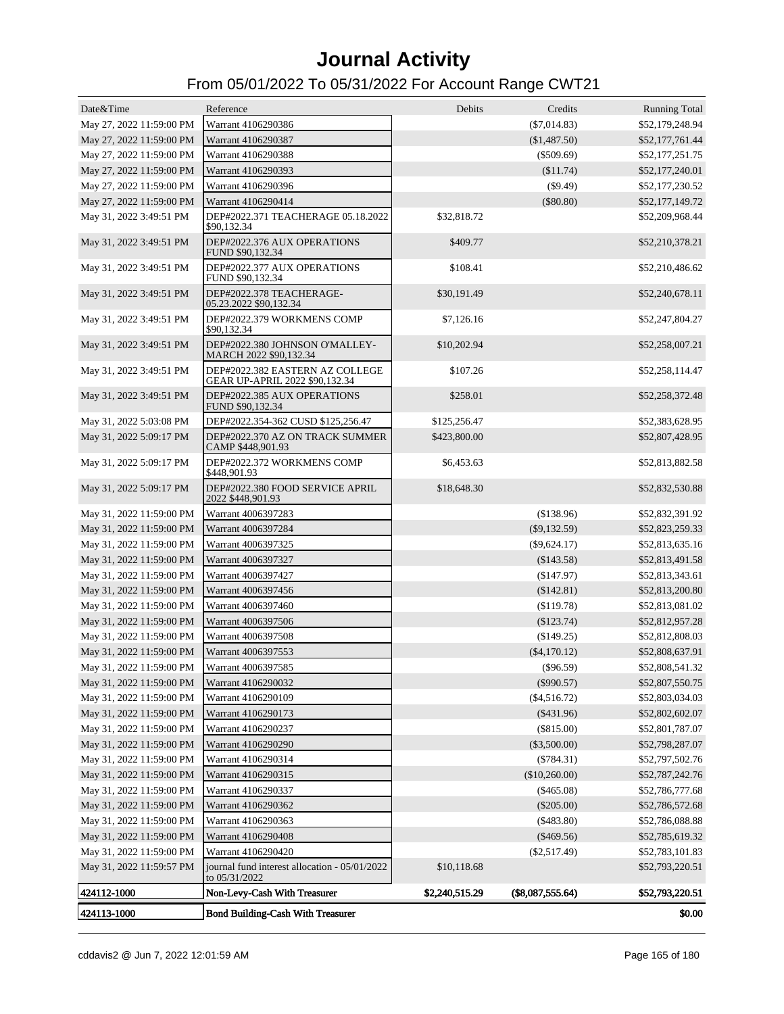| Date&Time                | Reference                                                         | Debits         | Credits          | <b>Running Total</b> |
|--------------------------|-------------------------------------------------------------------|----------------|------------------|----------------------|
| May 27, 2022 11:59:00 PM | Warrant 4106290386                                                |                | $(\$7,014.83)$   | \$52,179,248.94      |
| May 27, 2022 11:59:00 PM | Warrant 4106290387                                                |                | (\$1,487.50)     | \$52,177,761.44      |
| May 27, 2022 11:59:00 PM | Warrant 4106290388                                                |                | $(\$509.69)$     | \$52,177,251.75      |
| May 27, 2022 11:59:00 PM | Warrant 4106290393                                                |                | (\$11.74)        | \$52,177,240.01      |
| May 27, 2022 11:59:00 PM | Warrant 4106290396                                                |                | $(\$9.49)$       | \$52,177,230.52      |
| May 27, 2022 11:59:00 PM | Warrant 4106290414                                                |                | $(\$80.80)$      | \$52,177,149.72      |
| May 31, 2022 3:49:51 PM  | DEP#2022.371 TEACHERAGE 05.18.2022<br>\$90,132.34                 | \$32,818.72    |                  | \$52,209,968.44      |
| May 31, 2022 3:49:51 PM  | DEP#2022.376 AUX OPERATIONS<br>FUND \$90,132.34                   | \$409.77       |                  | \$52,210,378.21      |
| May 31, 2022 3:49:51 PM  | DEP#2022.377 AUX OPERATIONS<br>FUND \$90,132.34                   | \$108.41       |                  | \$52,210,486.62      |
| May 31, 2022 3:49:51 PM  | DEP#2022.378 TEACHERAGE-<br>05.23.2022 \$90,132.34                | \$30,191.49    |                  | \$52,240,678.11      |
| May 31, 2022 3:49:51 PM  | DEP#2022.379 WORKMENS COMP<br>\$90,132.34                         | \$7,126.16     |                  | \$52,247,804.27      |
| May 31, 2022 3:49:51 PM  | DEP#2022.380 JOHNSON O'MALLEY-<br>MARCH 2022 \$90,132.34          | \$10,202.94    |                  | \$52,258,007.21      |
| May 31, 2022 3:49:51 PM  | DEP#2022.382 EASTERN AZ COLLEGE<br>GEAR UP-APRIL 2022 \$90,132.34 | \$107.26       |                  | \$52,258,114.47      |
| May 31, 2022 3:49:51 PM  | DEP#2022.385 AUX OPERATIONS<br>FUND \$90,132.34                   | \$258.01       |                  | \$52,258,372.48      |
| May 31, 2022 5:03:08 PM  | DEP#2022.354-362 CUSD \$125,256.47                                | \$125,256.47   |                  | \$52,383,628.95      |
| May 31, 2022 5:09:17 PM  | DEP#2022.370 AZ ON TRACK SUMMER<br>CAMP \$448,901.93              | \$423,800.00   |                  | \$52,807,428.95      |
| May 31, 2022 5:09:17 PM  | DEP#2022.372 WORKMENS COMP<br>\$448,901.93                        | \$6,453.63     |                  | \$52,813,882.58      |
| May 31, 2022 5:09:17 PM  | DEP#2022.380 FOOD SERVICE APRIL<br>2022 \$448,901.93              | \$18,648.30    |                  | \$52,832,530.88      |
| May 31, 2022 11:59:00 PM | Warrant 4006397283                                                |                | (\$138.96)       | \$52,832,391.92      |
| May 31, 2022 11:59:00 PM | Warrant 4006397284                                                |                | $(\$9,132.59)$   | \$52,823,259.33      |
| May 31, 2022 11:59:00 PM | Warrant 4006397325                                                |                | $(\$9,624.17)$   | \$52,813,635.16      |
| May 31, 2022 11:59:00 PM | Warrant 4006397327                                                |                | (\$143.58)       | \$52,813,491.58      |
| May 31, 2022 11:59:00 PM | Warrant 4006397427                                                |                | (\$147.97)       | \$52,813,343.61      |
| May 31, 2022 11:59:00 PM | Warrant 4006397456                                                |                | (\$142.81)       | \$52,813,200.80      |
| May 31, 2022 11:59:00 PM | Warrant 4006397460                                                |                | (\$119.78)       | \$52,813,081.02      |
| May 31, 2022 11:59:00 PM | Warrant 4006397506                                                |                | $(\$123.74)$     | \$52,812,957.28      |
| May 31, 2022 11:59:00 PM | Warrant 4006397508                                                |                | (\$149.25)       | \$52,812,808.03      |
| May 31, 2022 11:59:00 PM | Warrant 4006397553                                                |                | $(\$4,170.12)$   | \$52,808,637.91      |
| May 31, 2022 11:59:00 PM | Warrant 4006397585                                                |                | $(\$96.59)$      | \$52,808,541.32      |
| May 31, 2022 11:59:00 PM | Warrant 4106290032                                                |                | $(\$990.57)$     | \$52,807,550.75      |
| May 31, 2022 11:59:00 PM | Warrant 4106290109                                                |                | $(\$4,516.72)$   | \$52,803,034.03      |
| May 31, 2022 11:59:00 PM | Warrant 4106290173                                                |                | ( \$431.96)      | \$52,802,602.07      |
| May 31, 2022 11:59:00 PM | Warrant 4106290237                                                |                | $(\$815.00)$     | \$52,801,787.07      |
| May 31, 2022 11:59:00 PM | Warrant 4106290290                                                |                | $(\$3,500.00)$   | \$52,798,287.07      |
| May 31, 2022 11:59:00 PM | Warrant 4106290314                                                |                | $(\$784.31)$     | \$52,797,502.76      |
| May 31, 2022 11:59:00 PM | Warrant 4106290315                                                |                | (\$10,260.00)    | \$52,787,242.76      |
| May 31, 2022 11:59:00 PM | Warrant 4106290337                                                |                | $(\$465.08)$     | \$52,786,777.68      |
| May 31, 2022 11:59:00 PM | Warrant 4106290362                                                |                | $(\$205.00)$     | \$52,786,572.68      |
| May 31, 2022 11:59:00 PM | Warrant 4106290363                                                |                | $(\$483.80)$     | \$52,786,088.88      |
| May 31, 2022 11:59:00 PM | Warrant 4106290408                                                |                | $(\$469.56)$     | \$52,785,619.32      |
| May 31, 2022 11:59:00 PM | Warrant 4106290420                                                |                | $(\$2,517.49)$   | \$52,783,101.83      |
| May 31, 2022 11:59:57 PM | journal fund interest allocation - 05/01/2022<br>to 05/31/2022    | \$10,118.68    |                  | \$52,793,220.51      |
| 424112-1000              | Non-Levy-Cash With Treasurer                                      | \$2,240,515.29 | (\$8,087,555.64) | \$52,793,220.51      |
| 424113-1000              | <b>Bond Building-Cash With Treasurer</b>                          |                |                  | \$0.00               |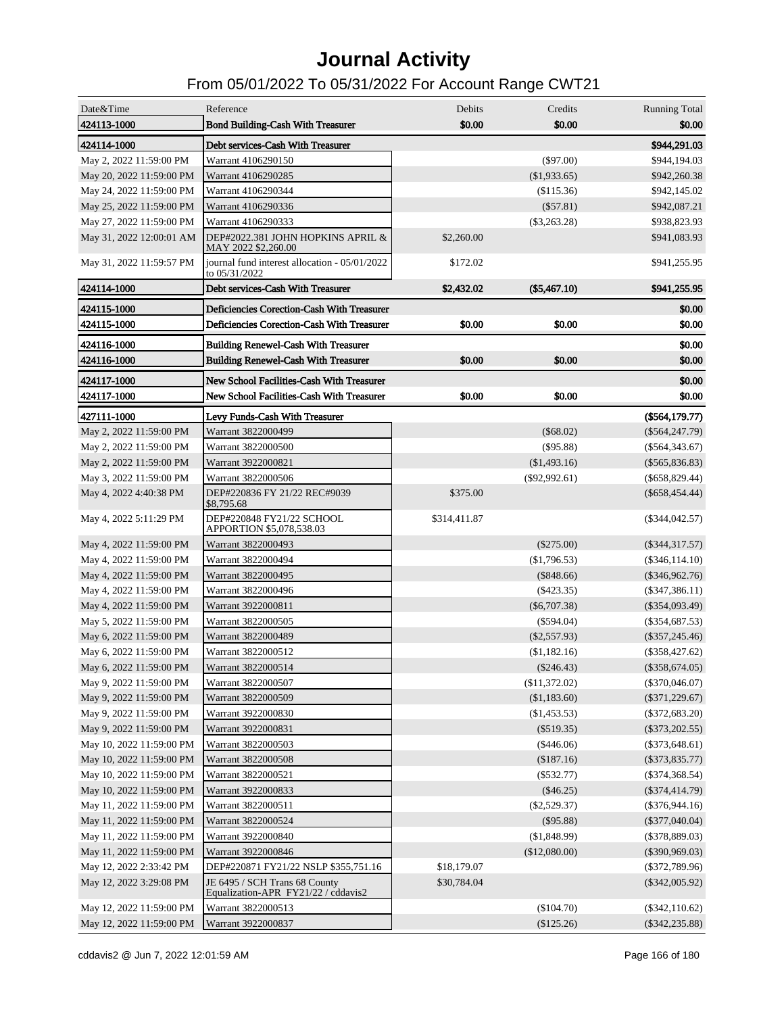| \$0.00<br>\$0.00<br>424113-1000<br>\$0.00<br><b>Bond Building-Cash With Treasurer</b><br>424114-1000<br>Debt services-Cash With Treasurer<br>\$944,291.03<br>Warrant 4106290150<br>May 2, 2022 11:59:00 PM<br>$(\$97.00)$<br>\$944,194.03<br>May 20, 2022 11:59:00 PM<br>Warrant 4106290285<br>$(\$1,933.65)$<br>\$942,260.38<br>May 24, 2022 11:59:00 PM<br>Warrant 4106290344<br>(\$115.36)<br>\$942,145.02<br>May 25, 2022 11:59:00 PM<br>Warrant 4106290336<br>$(\$57.81)$<br>\$942,087.21<br>Warrant 4106290333<br>May 27, 2022 11:59:00 PM<br>$(\$3,263.28)$<br>\$938,823.93<br>DEP#2022.381 JOHN HOPKINS APRIL &<br>May 31, 2022 12:00:01 AM<br>\$2,260.00<br>\$941,083.93<br>MAY 2022 \$2,260.00<br>May 31, 2022 11:59:57 PM<br>journal fund interest allocation - 05/01/2022<br>\$172.02<br>\$941,255.95<br>to 05/31/2022<br>424114-1000<br>Debt services-Cash With Treasurer<br>\$2,432.02<br>$(\$5,467.10)$<br>\$941,255.95<br>424115-1000<br>Deficiencies Corection-Cash With Treasurer<br>\$0.00<br>Deficiencies Corection-Cash With Treasurer<br>\$0.00<br>\$0.00<br>\$0.00<br>424115-1000<br>424116-1000<br><b>Building Renewel-Cash With Treasurer</b><br>\$0.00<br>\$0.00<br>\$0.00<br>424116-1000<br><b>Building Renewel-Cash With Treasurer</b><br>\$0.00<br>424117-1000<br>New School Facilities-Cash With Treasurer<br>\$0.00<br>\$0.00<br>\$0.00<br>424117-1000<br>New School Facilities-Cash With Treasurer<br>\$0.00<br>427111-1000<br>Levy Funds-Cash With Treasurer<br>(\$564,179.77)<br>May 2, 2022 11:59:00 PM<br>Warrant 3822000499<br>$(\$68.02)$<br>$(\$564, 247.79)$<br>May 2, 2022 11:59:00 PM<br>Warrant 3822000500<br>$(\$95.88)$<br>$(\$564,343.67)$<br>May 2, 2022 11:59:00 PM<br>Warrant 3922000821<br>(\$1,493.16)<br>$(\$565,836.83)$<br>May 3, 2022 11:59:00 PM<br>Warrant 3822000506<br>$(\$92,992.61)$<br>$($ \$658,829.44)<br>May 4, 2022 4:40:38 PM<br>DEP#220836 FY 21/22 REC#9039<br>\$375.00<br>$(\$658,454.44)$<br>\$8,795.68<br>May 4, 2022 5:11:29 PM<br>DEP#220848 FY21/22 SCHOOL<br>\$314,411.87<br>$(\$344,042.57)$<br>APPORTION \$5,078,538.03<br>May 4, 2022 11:59:00 PM<br>Warrant 3822000493<br>$(\$275.00)$<br>$(\$344,317.57)$<br>Warrant 3822000494<br>May 4, 2022 11:59:00 PM<br>(\$1,796.53)<br>$(\$346,114.10)$<br>Warrant 3822000495<br>May 4, 2022 11:59:00 PM<br>(\$848.66)<br>$(\$346,962.76)$<br>Warrant 3822000496<br>May 4, 2022 11:59:00 PM<br>$(\$423.35)$<br>$(\$347,386.11)$<br>Warrant 3922000811<br>May 4, 2022 11:59:00 PM<br>$(\$6,707.38)$<br>$(\$354,093.49)$<br>Warrant 3822000505<br>May 5, 2022 11:59:00 PM<br>$(\$594.04)$<br>$(\$354,687.53)$<br>Warrant 3822000489<br>May 6, 2022 11:59:00 PM<br>$(\$2,557.93)$<br>$(\$357,245.46)$<br>Warrant 3822000512<br>May 6, 2022 11:59:00 PM<br>(\$1,182.16)<br>$(\$358,427.62)$<br>Warrant 3822000514<br>$(\$358,674.05)$<br>May 6, 2022 11:59:00 PM<br>$(\$246.43)$<br>May 9, 2022 11:59:00 PM<br>Warrant 3822000507<br>(\$11,372.02)<br>$(\$370,046.07)$<br>May 9, 2022 11:59:00 PM<br>Warrant 3822000509<br>(\$1,183.60)<br>$(\$371,229.67)$<br>May 9, 2022 11:59:00 PM<br>Warrant 3922000830<br>(\$1,453.53)<br>$(\$372,683.20)$<br>Warrant 3922000831<br>May 9, 2022 11:59:00 PM<br>$(\$519.35)$<br>$(\$373,202.55)$<br>May 10, 2022 11:59:00 PM<br>Warrant 3822000503<br>$(\$446.06)$<br>(\$373,648.61)<br>May 10, 2022 11:59:00 PM<br>Warrant 3822000508<br>(\$187.16)<br>$(\$373,835.77)$<br>May 10, 2022 11:59:00 PM<br>Warrant 3822000521<br>$(\$532.77)$<br>$(\$374,368.54)$<br>May 10, 2022 11:59:00 PM<br>Warrant 3922000833<br>$(\$46.25)$<br>$(\$374,414.79)$<br>May 11, 2022 11:59:00 PM<br>Warrant 3822000511<br>$(\$2,529.37)$<br>$(\$376,944.16)$<br>May 11, 2022 11:59:00 PM<br>Warrant 3822000524<br>$(\$95.88)$<br>$(\$377,040.04)$<br>May 11, 2022 11:59:00 PM<br>Warrant 3922000840<br>(\$1,848.99)<br>$(\$378,889.03)$<br>May 11, 2022 11:59:00 PM<br>Warrant 3922000846<br>(\$12,080.00)<br>$(\$390,969.03)$<br>May 12, 2022 2:33:42 PM<br>DEP#220871 FY21/22 NSLP \$355,751.16<br>\$18,179.07<br>$(\$372,789.96)$<br>May 12, 2022 3:29:08 PM<br>JE 6495 / SCH Trans 68 County<br>\$30,784.04<br>$(\$342,005.92)$<br>Equalization-APR FY21/22 / cddavis2<br>Warrant 3822000513<br>$(\$104.70)$<br>$(\$342,110.62)$<br>May 12, 2022 11:59:00 PM<br>May 12, 2022 11:59:00 PM<br>Warrant 3922000837<br>(\$125.26)<br>$(\$342, 235.88)$ | Date&Time | Reference | Debits | Credits | <b>Running Total</b> |
|-----------------------------------------------------------------------------------------------------------------------------------------------------------------------------------------------------------------------------------------------------------------------------------------------------------------------------------------------------------------------------------------------------------------------------------------------------------------------------------------------------------------------------------------------------------------------------------------------------------------------------------------------------------------------------------------------------------------------------------------------------------------------------------------------------------------------------------------------------------------------------------------------------------------------------------------------------------------------------------------------------------------------------------------------------------------------------------------------------------------------------------------------------------------------------------------------------------------------------------------------------------------------------------------------------------------------------------------------------------------------------------------------------------------------------------------------------------------------------------------------------------------------------------------------------------------------------------------------------------------------------------------------------------------------------------------------------------------------------------------------------------------------------------------------------------------------------------------------------------------------------------------------------------------------------------------------------------------------------------------------------------------------------------------------------------------------------------------------------------------------------------------------------------------------------------------------------------------------------------------------------------------------------------------------------------------------------------------------------------------------------------------------------------------------------------------------------------------------------------------------------------------------------------------------------------------------------------------------------------------------------------------------------------------------------------------------------------------------------------------------------------------------------------------------------------------------------------------------------------------------------------------------------------------------------------------------------------------------------------------------------------------------------------------------------------------------------------------------------------------------------------------------------------------------------------------------------------------------------------------------------------------------------------------------------------------------------------------------------------------------------------------------------------------------------------------------------------------------------------------------------------------------------------------------------------------------------------------------------------------------------------------------------------------------------------------------------------------------------------------------------------------------------------------------------------------------------------------------------------------------------------------------------------------------------------------------------------------------------------------------------------------------------------------------------------------------------------------------------------------------------------------------------------------------------------------------------------------------------------------------------------------------------------------------------------------------------------------------------------------------------------------------|-----------|-----------|--------|---------|----------------------|
|                                                                                                                                                                                                                                                                                                                                                                                                                                                                                                                                                                                                                                                                                                                                                                                                                                                                                                                                                                                                                                                                                                                                                                                                                                                                                                                                                                                                                                                                                                                                                                                                                                                                                                                                                                                                                                                                                                                                                                                                                                                                                                                                                                                                                                                                                                                                                                                                                                                                                                                                                                                                                                                                                                                                                                                                                                                                                                                                                                                                                                                                                                                                                                                                                                                                                                                                                                                                                                                                                                                                                                                                                                                                                                                                                                                                                                                                                                                                                                                                                                                                                                                                                                                                                                                                                                                                                                                               |           |           |        |         |                      |
|                                                                                                                                                                                                                                                                                                                                                                                                                                                                                                                                                                                                                                                                                                                                                                                                                                                                                                                                                                                                                                                                                                                                                                                                                                                                                                                                                                                                                                                                                                                                                                                                                                                                                                                                                                                                                                                                                                                                                                                                                                                                                                                                                                                                                                                                                                                                                                                                                                                                                                                                                                                                                                                                                                                                                                                                                                                                                                                                                                                                                                                                                                                                                                                                                                                                                                                                                                                                                                                                                                                                                                                                                                                                                                                                                                                                                                                                                                                                                                                                                                                                                                                                                                                                                                                                                                                                                                                               |           |           |        |         |                      |
|                                                                                                                                                                                                                                                                                                                                                                                                                                                                                                                                                                                                                                                                                                                                                                                                                                                                                                                                                                                                                                                                                                                                                                                                                                                                                                                                                                                                                                                                                                                                                                                                                                                                                                                                                                                                                                                                                                                                                                                                                                                                                                                                                                                                                                                                                                                                                                                                                                                                                                                                                                                                                                                                                                                                                                                                                                                                                                                                                                                                                                                                                                                                                                                                                                                                                                                                                                                                                                                                                                                                                                                                                                                                                                                                                                                                                                                                                                                                                                                                                                                                                                                                                                                                                                                                                                                                                                                               |           |           |        |         |                      |
|                                                                                                                                                                                                                                                                                                                                                                                                                                                                                                                                                                                                                                                                                                                                                                                                                                                                                                                                                                                                                                                                                                                                                                                                                                                                                                                                                                                                                                                                                                                                                                                                                                                                                                                                                                                                                                                                                                                                                                                                                                                                                                                                                                                                                                                                                                                                                                                                                                                                                                                                                                                                                                                                                                                                                                                                                                                                                                                                                                                                                                                                                                                                                                                                                                                                                                                                                                                                                                                                                                                                                                                                                                                                                                                                                                                                                                                                                                                                                                                                                                                                                                                                                                                                                                                                                                                                                                                               |           |           |        |         |                      |
|                                                                                                                                                                                                                                                                                                                                                                                                                                                                                                                                                                                                                                                                                                                                                                                                                                                                                                                                                                                                                                                                                                                                                                                                                                                                                                                                                                                                                                                                                                                                                                                                                                                                                                                                                                                                                                                                                                                                                                                                                                                                                                                                                                                                                                                                                                                                                                                                                                                                                                                                                                                                                                                                                                                                                                                                                                                                                                                                                                                                                                                                                                                                                                                                                                                                                                                                                                                                                                                                                                                                                                                                                                                                                                                                                                                                                                                                                                                                                                                                                                                                                                                                                                                                                                                                                                                                                                                               |           |           |        |         |                      |
|                                                                                                                                                                                                                                                                                                                                                                                                                                                                                                                                                                                                                                                                                                                                                                                                                                                                                                                                                                                                                                                                                                                                                                                                                                                                                                                                                                                                                                                                                                                                                                                                                                                                                                                                                                                                                                                                                                                                                                                                                                                                                                                                                                                                                                                                                                                                                                                                                                                                                                                                                                                                                                                                                                                                                                                                                                                                                                                                                                                                                                                                                                                                                                                                                                                                                                                                                                                                                                                                                                                                                                                                                                                                                                                                                                                                                                                                                                                                                                                                                                                                                                                                                                                                                                                                                                                                                                                               |           |           |        |         |                      |
|                                                                                                                                                                                                                                                                                                                                                                                                                                                                                                                                                                                                                                                                                                                                                                                                                                                                                                                                                                                                                                                                                                                                                                                                                                                                                                                                                                                                                                                                                                                                                                                                                                                                                                                                                                                                                                                                                                                                                                                                                                                                                                                                                                                                                                                                                                                                                                                                                                                                                                                                                                                                                                                                                                                                                                                                                                                                                                                                                                                                                                                                                                                                                                                                                                                                                                                                                                                                                                                                                                                                                                                                                                                                                                                                                                                                                                                                                                                                                                                                                                                                                                                                                                                                                                                                                                                                                                                               |           |           |        |         |                      |
|                                                                                                                                                                                                                                                                                                                                                                                                                                                                                                                                                                                                                                                                                                                                                                                                                                                                                                                                                                                                                                                                                                                                                                                                                                                                                                                                                                                                                                                                                                                                                                                                                                                                                                                                                                                                                                                                                                                                                                                                                                                                                                                                                                                                                                                                                                                                                                                                                                                                                                                                                                                                                                                                                                                                                                                                                                                                                                                                                                                                                                                                                                                                                                                                                                                                                                                                                                                                                                                                                                                                                                                                                                                                                                                                                                                                                                                                                                                                                                                                                                                                                                                                                                                                                                                                                                                                                                                               |           |           |        |         |                      |
|                                                                                                                                                                                                                                                                                                                                                                                                                                                                                                                                                                                                                                                                                                                                                                                                                                                                                                                                                                                                                                                                                                                                                                                                                                                                                                                                                                                                                                                                                                                                                                                                                                                                                                                                                                                                                                                                                                                                                                                                                                                                                                                                                                                                                                                                                                                                                                                                                                                                                                                                                                                                                                                                                                                                                                                                                                                                                                                                                                                                                                                                                                                                                                                                                                                                                                                                                                                                                                                                                                                                                                                                                                                                                                                                                                                                                                                                                                                                                                                                                                                                                                                                                                                                                                                                                                                                                                                               |           |           |        |         |                      |
|                                                                                                                                                                                                                                                                                                                                                                                                                                                                                                                                                                                                                                                                                                                                                                                                                                                                                                                                                                                                                                                                                                                                                                                                                                                                                                                                                                                                                                                                                                                                                                                                                                                                                                                                                                                                                                                                                                                                                                                                                                                                                                                                                                                                                                                                                                                                                                                                                                                                                                                                                                                                                                                                                                                                                                                                                                                                                                                                                                                                                                                                                                                                                                                                                                                                                                                                                                                                                                                                                                                                                                                                                                                                                                                                                                                                                                                                                                                                                                                                                                                                                                                                                                                                                                                                                                                                                                                               |           |           |        |         |                      |
|                                                                                                                                                                                                                                                                                                                                                                                                                                                                                                                                                                                                                                                                                                                                                                                                                                                                                                                                                                                                                                                                                                                                                                                                                                                                                                                                                                                                                                                                                                                                                                                                                                                                                                                                                                                                                                                                                                                                                                                                                                                                                                                                                                                                                                                                                                                                                                                                                                                                                                                                                                                                                                                                                                                                                                                                                                                                                                                                                                                                                                                                                                                                                                                                                                                                                                                                                                                                                                                                                                                                                                                                                                                                                                                                                                                                                                                                                                                                                                                                                                                                                                                                                                                                                                                                                                                                                                                               |           |           |        |         |                      |
|                                                                                                                                                                                                                                                                                                                                                                                                                                                                                                                                                                                                                                                                                                                                                                                                                                                                                                                                                                                                                                                                                                                                                                                                                                                                                                                                                                                                                                                                                                                                                                                                                                                                                                                                                                                                                                                                                                                                                                                                                                                                                                                                                                                                                                                                                                                                                                                                                                                                                                                                                                                                                                                                                                                                                                                                                                                                                                                                                                                                                                                                                                                                                                                                                                                                                                                                                                                                                                                                                                                                                                                                                                                                                                                                                                                                                                                                                                                                                                                                                                                                                                                                                                                                                                                                                                                                                                                               |           |           |        |         |                      |
|                                                                                                                                                                                                                                                                                                                                                                                                                                                                                                                                                                                                                                                                                                                                                                                                                                                                                                                                                                                                                                                                                                                                                                                                                                                                                                                                                                                                                                                                                                                                                                                                                                                                                                                                                                                                                                                                                                                                                                                                                                                                                                                                                                                                                                                                                                                                                                                                                                                                                                                                                                                                                                                                                                                                                                                                                                                                                                                                                                                                                                                                                                                                                                                                                                                                                                                                                                                                                                                                                                                                                                                                                                                                                                                                                                                                                                                                                                                                                                                                                                                                                                                                                                                                                                                                                                                                                                                               |           |           |        |         |                      |
|                                                                                                                                                                                                                                                                                                                                                                                                                                                                                                                                                                                                                                                                                                                                                                                                                                                                                                                                                                                                                                                                                                                                                                                                                                                                                                                                                                                                                                                                                                                                                                                                                                                                                                                                                                                                                                                                                                                                                                                                                                                                                                                                                                                                                                                                                                                                                                                                                                                                                                                                                                                                                                                                                                                                                                                                                                                                                                                                                                                                                                                                                                                                                                                                                                                                                                                                                                                                                                                                                                                                                                                                                                                                                                                                                                                                                                                                                                                                                                                                                                                                                                                                                                                                                                                                                                                                                                                               |           |           |        |         |                      |
|                                                                                                                                                                                                                                                                                                                                                                                                                                                                                                                                                                                                                                                                                                                                                                                                                                                                                                                                                                                                                                                                                                                                                                                                                                                                                                                                                                                                                                                                                                                                                                                                                                                                                                                                                                                                                                                                                                                                                                                                                                                                                                                                                                                                                                                                                                                                                                                                                                                                                                                                                                                                                                                                                                                                                                                                                                                                                                                                                                                                                                                                                                                                                                                                                                                                                                                                                                                                                                                                                                                                                                                                                                                                                                                                                                                                                                                                                                                                                                                                                                                                                                                                                                                                                                                                                                                                                                                               |           |           |        |         |                      |
|                                                                                                                                                                                                                                                                                                                                                                                                                                                                                                                                                                                                                                                                                                                                                                                                                                                                                                                                                                                                                                                                                                                                                                                                                                                                                                                                                                                                                                                                                                                                                                                                                                                                                                                                                                                                                                                                                                                                                                                                                                                                                                                                                                                                                                                                                                                                                                                                                                                                                                                                                                                                                                                                                                                                                                                                                                                                                                                                                                                                                                                                                                                                                                                                                                                                                                                                                                                                                                                                                                                                                                                                                                                                                                                                                                                                                                                                                                                                                                                                                                                                                                                                                                                                                                                                                                                                                                                               |           |           |        |         |                      |
|                                                                                                                                                                                                                                                                                                                                                                                                                                                                                                                                                                                                                                                                                                                                                                                                                                                                                                                                                                                                                                                                                                                                                                                                                                                                                                                                                                                                                                                                                                                                                                                                                                                                                                                                                                                                                                                                                                                                                                                                                                                                                                                                                                                                                                                                                                                                                                                                                                                                                                                                                                                                                                                                                                                                                                                                                                                                                                                                                                                                                                                                                                                                                                                                                                                                                                                                                                                                                                                                                                                                                                                                                                                                                                                                                                                                                                                                                                                                                                                                                                                                                                                                                                                                                                                                                                                                                                                               |           |           |        |         |                      |
|                                                                                                                                                                                                                                                                                                                                                                                                                                                                                                                                                                                                                                                                                                                                                                                                                                                                                                                                                                                                                                                                                                                                                                                                                                                                                                                                                                                                                                                                                                                                                                                                                                                                                                                                                                                                                                                                                                                                                                                                                                                                                                                                                                                                                                                                                                                                                                                                                                                                                                                                                                                                                                                                                                                                                                                                                                                                                                                                                                                                                                                                                                                                                                                                                                                                                                                                                                                                                                                                                                                                                                                                                                                                                                                                                                                                                                                                                                                                                                                                                                                                                                                                                                                                                                                                                                                                                                                               |           |           |        |         |                      |
|                                                                                                                                                                                                                                                                                                                                                                                                                                                                                                                                                                                                                                                                                                                                                                                                                                                                                                                                                                                                                                                                                                                                                                                                                                                                                                                                                                                                                                                                                                                                                                                                                                                                                                                                                                                                                                                                                                                                                                                                                                                                                                                                                                                                                                                                                                                                                                                                                                                                                                                                                                                                                                                                                                                                                                                                                                                                                                                                                                                                                                                                                                                                                                                                                                                                                                                                                                                                                                                                                                                                                                                                                                                                                                                                                                                                                                                                                                                                                                                                                                                                                                                                                                                                                                                                                                                                                                                               |           |           |        |         |                      |
|                                                                                                                                                                                                                                                                                                                                                                                                                                                                                                                                                                                                                                                                                                                                                                                                                                                                                                                                                                                                                                                                                                                                                                                                                                                                                                                                                                                                                                                                                                                                                                                                                                                                                                                                                                                                                                                                                                                                                                                                                                                                                                                                                                                                                                                                                                                                                                                                                                                                                                                                                                                                                                                                                                                                                                                                                                                                                                                                                                                                                                                                                                                                                                                                                                                                                                                                                                                                                                                                                                                                                                                                                                                                                                                                                                                                                                                                                                                                                                                                                                                                                                                                                                                                                                                                                                                                                                                               |           |           |        |         |                      |
|                                                                                                                                                                                                                                                                                                                                                                                                                                                                                                                                                                                                                                                                                                                                                                                                                                                                                                                                                                                                                                                                                                                                                                                                                                                                                                                                                                                                                                                                                                                                                                                                                                                                                                                                                                                                                                                                                                                                                                                                                                                                                                                                                                                                                                                                                                                                                                                                                                                                                                                                                                                                                                                                                                                                                                                                                                                                                                                                                                                                                                                                                                                                                                                                                                                                                                                                                                                                                                                                                                                                                                                                                                                                                                                                                                                                                                                                                                                                                                                                                                                                                                                                                                                                                                                                                                                                                                                               |           |           |        |         |                      |
|                                                                                                                                                                                                                                                                                                                                                                                                                                                                                                                                                                                                                                                                                                                                                                                                                                                                                                                                                                                                                                                                                                                                                                                                                                                                                                                                                                                                                                                                                                                                                                                                                                                                                                                                                                                                                                                                                                                                                                                                                                                                                                                                                                                                                                                                                                                                                                                                                                                                                                                                                                                                                                                                                                                                                                                                                                                                                                                                                                                                                                                                                                                                                                                                                                                                                                                                                                                                                                                                                                                                                                                                                                                                                                                                                                                                                                                                                                                                                                                                                                                                                                                                                                                                                                                                                                                                                                                               |           |           |        |         |                      |
|                                                                                                                                                                                                                                                                                                                                                                                                                                                                                                                                                                                                                                                                                                                                                                                                                                                                                                                                                                                                                                                                                                                                                                                                                                                                                                                                                                                                                                                                                                                                                                                                                                                                                                                                                                                                                                                                                                                                                                                                                                                                                                                                                                                                                                                                                                                                                                                                                                                                                                                                                                                                                                                                                                                                                                                                                                                                                                                                                                                                                                                                                                                                                                                                                                                                                                                                                                                                                                                                                                                                                                                                                                                                                                                                                                                                                                                                                                                                                                                                                                                                                                                                                                                                                                                                                                                                                                                               |           |           |        |         |                      |
|                                                                                                                                                                                                                                                                                                                                                                                                                                                                                                                                                                                                                                                                                                                                                                                                                                                                                                                                                                                                                                                                                                                                                                                                                                                                                                                                                                                                                                                                                                                                                                                                                                                                                                                                                                                                                                                                                                                                                                                                                                                                                                                                                                                                                                                                                                                                                                                                                                                                                                                                                                                                                                                                                                                                                                                                                                                                                                                                                                                                                                                                                                                                                                                                                                                                                                                                                                                                                                                                                                                                                                                                                                                                                                                                                                                                                                                                                                                                                                                                                                                                                                                                                                                                                                                                                                                                                                                               |           |           |        |         |                      |
|                                                                                                                                                                                                                                                                                                                                                                                                                                                                                                                                                                                                                                                                                                                                                                                                                                                                                                                                                                                                                                                                                                                                                                                                                                                                                                                                                                                                                                                                                                                                                                                                                                                                                                                                                                                                                                                                                                                                                                                                                                                                                                                                                                                                                                                                                                                                                                                                                                                                                                                                                                                                                                                                                                                                                                                                                                                                                                                                                                                                                                                                                                                                                                                                                                                                                                                                                                                                                                                                                                                                                                                                                                                                                                                                                                                                                                                                                                                                                                                                                                                                                                                                                                                                                                                                                                                                                                                               |           |           |        |         |                      |
|                                                                                                                                                                                                                                                                                                                                                                                                                                                                                                                                                                                                                                                                                                                                                                                                                                                                                                                                                                                                                                                                                                                                                                                                                                                                                                                                                                                                                                                                                                                                                                                                                                                                                                                                                                                                                                                                                                                                                                                                                                                                                                                                                                                                                                                                                                                                                                                                                                                                                                                                                                                                                                                                                                                                                                                                                                                                                                                                                                                                                                                                                                                                                                                                                                                                                                                                                                                                                                                                                                                                                                                                                                                                                                                                                                                                                                                                                                                                                                                                                                                                                                                                                                                                                                                                                                                                                                                               |           |           |        |         |                      |
|                                                                                                                                                                                                                                                                                                                                                                                                                                                                                                                                                                                                                                                                                                                                                                                                                                                                                                                                                                                                                                                                                                                                                                                                                                                                                                                                                                                                                                                                                                                                                                                                                                                                                                                                                                                                                                                                                                                                                                                                                                                                                                                                                                                                                                                                                                                                                                                                                                                                                                                                                                                                                                                                                                                                                                                                                                                                                                                                                                                                                                                                                                                                                                                                                                                                                                                                                                                                                                                                                                                                                                                                                                                                                                                                                                                                                                                                                                                                                                                                                                                                                                                                                                                                                                                                                                                                                                                               |           |           |        |         |                      |
|                                                                                                                                                                                                                                                                                                                                                                                                                                                                                                                                                                                                                                                                                                                                                                                                                                                                                                                                                                                                                                                                                                                                                                                                                                                                                                                                                                                                                                                                                                                                                                                                                                                                                                                                                                                                                                                                                                                                                                                                                                                                                                                                                                                                                                                                                                                                                                                                                                                                                                                                                                                                                                                                                                                                                                                                                                                                                                                                                                                                                                                                                                                                                                                                                                                                                                                                                                                                                                                                                                                                                                                                                                                                                                                                                                                                                                                                                                                                                                                                                                                                                                                                                                                                                                                                                                                                                                                               |           |           |        |         |                      |
|                                                                                                                                                                                                                                                                                                                                                                                                                                                                                                                                                                                                                                                                                                                                                                                                                                                                                                                                                                                                                                                                                                                                                                                                                                                                                                                                                                                                                                                                                                                                                                                                                                                                                                                                                                                                                                                                                                                                                                                                                                                                                                                                                                                                                                                                                                                                                                                                                                                                                                                                                                                                                                                                                                                                                                                                                                                                                                                                                                                                                                                                                                                                                                                                                                                                                                                                                                                                                                                                                                                                                                                                                                                                                                                                                                                                                                                                                                                                                                                                                                                                                                                                                                                                                                                                                                                                                                                               |           |           |        |         |                      |
|                                                                                                                                                                                                                                                                                                                                                                                                                                                                                                                                                                                                                                                                                                                                                                                                                                                                                                                                                                                                                                                                                                                                                                                                                                                                                                                                                                                                                                                                                                                                                                                                                                                                                                                                                                                                                                                                                                                                                                                                                                                                                                                                                                                                                                                                                                                                                                                                                                                                                                                                                                                                                                                                                                                                                                                                                                                                                                                                                                                                                                                                                                                                                                                                                                                                                                                                                                                                                                                                                                                                                                                                                                                                                                                                                                                                                                                                                                                                                                                                                                                                                                                                                                                                                                                                                                                                                                                               |           |           |        |         |                      |
|                                                                                                                                                                                                                                                                                                                                                                                                                                                                                                                                                                                                                                                                                                                                                                                                                                                                                                                                                                                                                                                                                                                                                                                                                                                                                                                                                                                                                                                                                                                                                                                                                                                                                                                                                                                                                                                                                                                                                                                                                                                                                                                                                                                                                                                                                                                                                                                                                                                                                                                                                                                                                                                                                                                                                                                                                                                                                                                                                                                                                                                                                                                                                                                                                                                                                                                                                                                                                                                                                                                                                                                                                                                                                                                                                                                                                                                                                                                                                                                                                                                                                                                                                                                                                                                                                                                                                                                               |           |           |        |         |                      |
|                                                                                                                                                                                                                                                                                                                                                                                                                                                                                                                                                                                                                                                                                                                                                                                                                                                                                                                                                                                                                                                                                                                                                                                                                                                                                                                                                                                                                                                                                                                                                                                                                                                                                                                                                                                                                                                                                                                                                                                                                                                                                                                                                                                                                                                                                                                                                                                                                                                                                                                                                                                                                                                                                                                                                                                                                                                                                                                                                                                                                                                                                                                                                                                                                                                                                                                                                                                                                                                                                                                                                                                                                                                                                                                                                                                                                                                                                                                                                                                                                                                                                                                                                                                                                                                                                                                                                                                               |           |           |        |         |                      |
|                                                                                                                                                                                                                                                                                                                                                                                                                                                                                                                                                                                                                                                                                                                                                                                                                                                                                                                                                                                                                                                                                                                                                                                                                                                                                                                                                                                                                                                                                                                                                                                                                                                                                                                                                                                                                                                                                                                                                                                                                                                                                                                                                                                                                                                                                                                                                                                                                                                                                                                                                                                                                                                                                                                                                                                                                                                                                                                                                                                                                                                                                                                                                                                                                                                                                                                                                                                                                                                                                                                                                                                                                                                                                                                                                                                                                                                                                                                                                                                                                                                                                                                                                                                                                                                                                                                                                                                               |           |           |        |         |                      |
|                                                                                                                                                                                                                                                                                                                                                                                                                                                                                                                                                                                                                                                                                                                                                                                                                                                                                                                                                                                                                                                                                                                                                                                                                                                                                                                                                                                                                                                                                                                                                                                                                                                                                                                                                                                                                                                                                                                                                                                                                                                                                                                                                                                                                                                                                                                                                                                                                                                                                                                                                                                                                                                                                                                                                                                                                                                                                                                                                                                                                                                                                                                                                                                                                                                                                                                                                                                                                                                                                                                                                                                                                                                                                                                                                                                                                                                                                                                                                                                                                                                                                                                                                                                                                                                                                                                                                                                               |           |           |        |         |                      |
|                                                                                                                                                                                                                                                                                                                                                                                                                                                                                                                                                                                                                                                                                                                                                                                                                                                                                                                                                                                                                                                                                                                                                                                                                                                                                                                                                                                                                                                                                                                                                                                                                                                                                                                                                                                                                                                                                                                                                                                                                                                                                                                                                                                                                                                                                                                                                                                                                                                                                                                                                                                                                                                                                                                                                                                                                                                                                                                                                                                                                                                                                                                                                                                                                                                                                                                                                                                                                                                                                                                                                                                                                                                                                                                                                                                                                                                                                                                                                                                                                                                                                                                                                                                                                                                                                                                                                                                               |           |           |        |         |                      |
|                                                                                                                                                                                                                                                                                                                                                                                                                                                                                                                                                                                                                                                                                                                                                                                                                                                                                                                                                                                                                                                                                                                                                                                                                                                                                                                                                                                                                                                                                                                                                                                                                                                                                                                                                                                                                                                                                                                                                                                                                                                                                                                                                                                                                                                                                                                                                                                                                                                                                                                                                                                                                                                                                                                                                                                                                                                                                                                                                                                                                                                                                                                                                                                                                                                                                                                                                                                                                                                                                                                                                                                                                                                                                                                                                                                                                                                                                                                                                                                                                                                                                                                                                                                                                                                                                                                                                                                               |           |           |        |         |                      |
|                                                                                                                                                                                                                                                                                                                                                                                                                                                                                                                                                                                                                                                                                                                                                                                                                                                                                                                                                                                                                                                                                                                                                                                                                                                                                                                                                                                                                                                                                                                                                                                                                                                                                                                                                                                                                                                                                                                                                                                                                                                                                                                                                                                                                                                                                                                                                                                                                                                                                                                                                                                                                                                                                                                                                                                                                                                                                                                                                                                                                                                                                                                                                                                                                                                                                                                                                                                                                                                                                                                                                                                                                                                                                                                                                                                                                                                                                                                                                                                                                                                                                                                                                                                                                                                                                                                                                                                               |           |           |        |         |                      |
|                                                                                                                                                                                                                                                                                                                                                                                                                                                                                                                                                                                                                                                                                                                                                                                                                                                                                                                                                                                                                                                                                                                                                                                                                                                                                                                                                                                                                                                                                                                                                                                                                                                                                                                                                                                                                                                                                                                                                                                                                                                                                                                                                                                                                                                                                                                                                                                                                                                                                                                                                                                                                                                                                                                                                                                                                                                                                                                                                                                                                                                                                                                                                                                                                                                                                                                                                                                                                                                                                                                                                                                                                                                                                                                                                                                                                                                                                                                                                                                                                                                                                                                                                                                                                                                                                                                                                                                               |           |           |        |         |                      |
|                                                                                                                                                                                                                                                                                                                                                                                                                                                                                                                                                                                                                                                                                                                                                                                                                                                                                                                                                                                                                                                                                                                                                                                                                                                                                                                                                                                                                                                                                                                                                                                                                                                                                                                                                                                                                                                                                                                                                                                                                                                                                                                                                                                                                                                                                                                                                                                                                                                                                                                                                                                                                                                                                                                                                                                                                                                                                                                                                                                                                                                                                                                                                                                                                                                                                                                                                                                                                                                                                                                                                                                                                                                                                                                                                                                                                                                                                                                                                                                                                                                                                                                                                                                                                                                                                                                                                                                               |           |           |        |         |                      |
|                                                                                                                                                                                                                                                                                                                                                                                                                                                                                                                                                                                                                                                                                                                                                                                                                                                                                                                                                                                                                                                                                                                                                                                                                                                                                                                                                                                                                                                                                                                                                                                                                                                                                                                                                                                                                                                                                                                                                                                                                                                                                                                                                                                                                                                                                                                                                                                                                                                                                                                                                                                                                                                                                                                                                                                                                                                                                                                                                                                                                                                                                                                                                                                                                                                                                                                                                                                                                                                                                                                                                                                                                                                                                                                                                                                                                                                                                                                                                                                                                                                                                                                                                                                                                                                                                                                                                                                               |           |           |        |         |                      |
|                                                                                                                                                                                                                                                                                                                                                                                                                                                                                                                                                                                                                                                                                                                                                                                                                                                                                                                                                                                                                                                                                                                                                                                                                                                                                                                                                                                                                                                                                                                                                                                                                                                                                                                                                                                                                                                                                                                                                                                                                                                                                                                                                                                                                                                                                                                                                                                                                                                                                                                                                                                                                                                                                                                                                                                                                                                                                                                                                                                                                                                                                                                                                                                                                                                                                                                                                                                                                                                                                                                                                                                                                                                                                                                                                                                                                                                                                                                                                                                                                                                                                                                                                                                                                                                                                                                                                                                               |           |           |        |         |                      |
|                                                                                                                                                                                                                                                                                                                                                                                                                                                                                                                                                                                                                                                                                                                                                                                                                                                                                                                                                                                                                                                                                                                                                                                                                                                                                                                                                                                                                                                                                                                                                                                                                                                                                                                                                                                                                                                                                                                                                                                                                                                                                                                                                                                                                                                                                                                                                                                                                                                                                                                                                                                                                                                                                                                                                                                                                                                                                                                                                                                                                                                                                                                                                                                                                                                                                                                                                                                                                                                                                                                                                                                                                                                                                                                                                                                                                                                                                                                                                                                                                                                                                                                                                                                                                                                                                                                                                                                               |           |           |        |         |                      |
|                                                                                                                                                                                                                                                                                                                                                                                                                                                                                                                                                                                                                                                                                                                                                                                                                                                                                                                                                                                                                                                                                                                                                                                                                                                                                                                                                                                                                                                                                                                                                                                                                                                                                                                                                                                                                                                                                                                                                                                                                                                                                                                                                                                                                                                                                                                                                                                                                                                                                                                                                                                                                                                                                                                                                                                                                                                                                                                                                                                                                                                                                                                                                                                                                                                                                                                                                                                                                                                                                                                                                                                                                                                                                                                                                                                                                                                                                                                                                                                                                                                                                                                                                                                                                                                                                                                                                                                               |           |           |        |         |                      |
|                                                                                                                                                                                                                                                                                                                                                                                                                                                                                                                                                                                                                                                                                                                                                                                                                                                                                                                                                                                                                                                                                                                                                                                                                                                                                                                                                                                                                                                                                                                                                                                                                                                                                                                                                                                                                                                                                                                                                                                                                                                                                                                                                                                                                                                                                                                                                                                                                                                                                                                                                                                                                                                                                                                                                                                                                                                                                                                                                                                                                                                                                                                                                                                                                                                                                                                                                                                                                                                                                                                                                                                                                                                                                                                                                                                                                                                                                                                                                                                                                                                                                                                                                                                                                                                                                                                                                                                               |           |           |        |         |                      |
|                                                                                                                                                                                                                                                                                                                                                                                                                                                                                                                                                                                                                                                                                                                                                                                                                                                                                                                                                                                                                                                                                                                                                                                                                                                                                                                                                                                                                                                                                                                                                                                                                                                                                                                                                                                                                                                                                                                                                                                                                                                                                                                                                                                                                                                                                                                                                                                                                                                                                                                                                                                                                                                                                                                                                                                                                                                                                                                                                                                                                                                                                                                                                                                                                                                                                                                                                                                                                                                                                                                                                                                                                                                                                                                                                                                                                                                                                                                                                                                                                                                                                                                                                                                                                                                                                                                                                                                               |           |           |        |         |                      |
|                                                                                                                                                                                                                                                                                                                                                                                                                                                                                                                                                                                                                                                                                                                                                                                                                                                                                                                                                                                                                                                                                                                                                                                                                                                                                                                                                                                                                                                                                                                                                                                                                                                                                                                                                                                                                                                                                                                                                                                                                                                                                                                                                                                                                                                                                                                                                                                                                                                                                                                                                                                                                                                                                                                                                                                                                                                                                                                                                                                                                                                                                                                                                                                                                                                                                                                                                                                                                                                                                                                                                                                                                                                                                                                                                                                                                                                                                                                                                                                                                                                                                                                                                                                                                                                                                                                                                                                               |           |           |        |         |                      |
|                                                                                                                                                                                                                                                                                                                                                                                                                                                                                                                                                                                                                                                                                                                                                                                                                                                                                                                                                                                                                                                                                                                                                                                                                                                                                                                                                                                                                                                                                                                                                                                                                                                                                                                                                                                                                                                                                                                                                                                                                                                                                                                                                                                                                                                                                                                                                                                                                                                                                                                                                                                                                                                                                                                                                                                                                                                                                                                                                                                                                                                                                                                                                                                                                                                                                                                                                                                                                                                                                                                                                                                                                                                                                                                                                                                                                                                                                                                                                                                                                                                                                                                                                                                                                                                                                                                                                                                               |           |           |        |         |                      |
|                                                                                                                                                                                                                                                                                                                                                                                                                                                                                                                                                                                                                                                                                                                                                                                                                                                                                                                                                                                                                                                                                                                                                                                                                                                                                                                                                                                                                                                                                                                                                                                                                                                                                                                                                                                                                                                                                                                                                                                                                                                                                                                                                                                                                                                                                                                                                                                                                                                                                                                                                                                                                                                                                                                                                                                                                                                                                                                                                                                                                                                                                                                                                                                                                                                                                                                                                                                                                                                                                                                                                                                                                                                                                                                                                                                                                                                                                                                                                                                                                                                                                                                                                                                                                                                                                                                                                                                               |           |           |        |         |                      |
|                                                                                                                                                                                                                                                                                                                                                                                                                                                                                                                                                                                                                                                                                                                                                                                                                                                                                                                                                                                                                                                                                                                                                                                                                                                                                                                                                                                                                                                                                                                                                                                                                                                                                                                                                                                                                                                                                                                                                                                                                                                                                                                                                                                                                                                                                                                                                                                                                                                                                                                                                                                                                                                                                                                                                                                                                                                                                                                                                                                                                                                                                                                                                                                                                                                                                                                                                                                                                                                                                                                                                                                                                                                                                                                                                                                                                                                                                                                                                                                                                                                                                                                                                                                                                                                                                                                                                                                               |           |           |        |         |                      |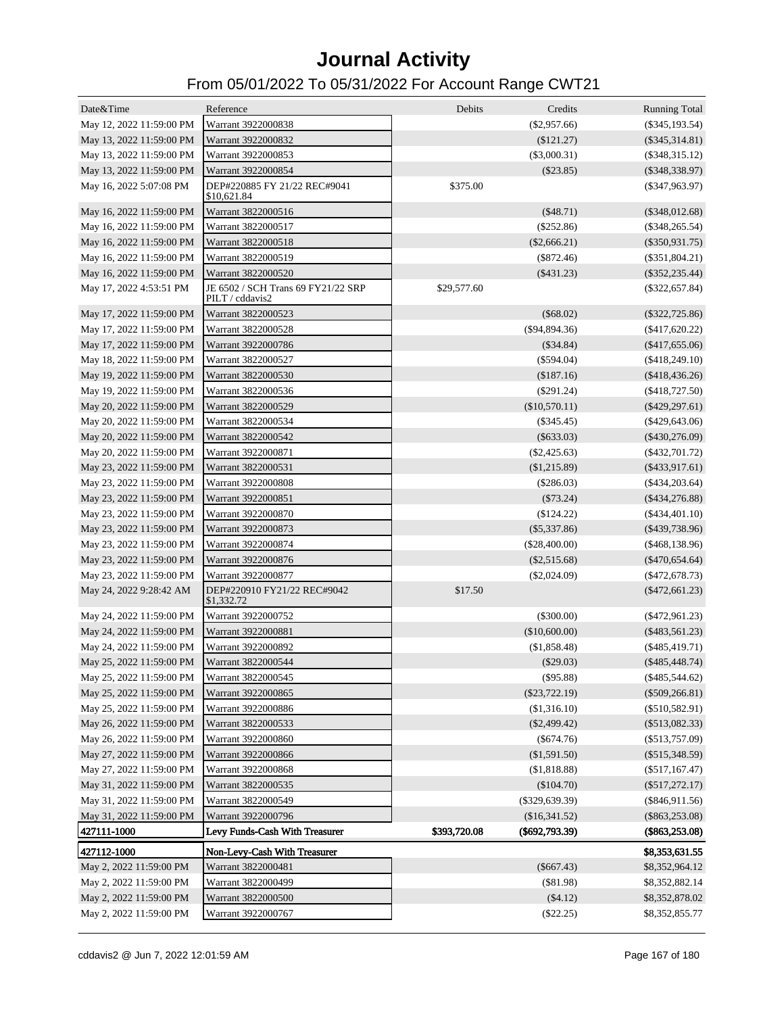| Date&Time                | Reference                                             | Debits       | Credits          | <b>Running Total</b> |
|--------------------------|-------------------------------------------------------|--------------|------------------|----------------------|
| May 12, 2022 11:59:00 PM | Warrant 3922000838                                    |              | $(\$2,957.66)$   | $(\$345, 193.54)$    |
| May 13, 2022 11:59:00 PM | Warrant 3922000832                                    |              | $(\$121.27)$     | $(\$345,314.81)$     |
| May 13, 2022 11:59:00 PM | Warrant 3922000853                                    |              | $(\$3,000.31)$   | $(\$348,315.12)$     |
| May 13, 2022 11:59:00 PM | Warrant 3922000854                                    |              | $(\$23.85)$      | $(\$348,338.97)$     |
| May 16, 2022 5:07:08 PM  | DEP#220885 FY 21/22 REC#9041<br>\$10,621.84           | \$375.00     |                  | $(\$347,963.97)$     |
| May 16, 2022 11:59:00 PM | Warrant 3822000516                                    |              | $(\$48.71)$      | $(\$348,012.68)$     |
| May 16, 2022 11:59:00 PM | Warrant 3822000517                                    |              | $(\$252.86)$     | $(\$348,265.54)$     |
| May 16, 2022 11:59:00 PM | Warrant 3822000518                                    |              | $(\$2,666.21)$   | $(\$350,931.75)$     |
| May 16, 2022 11:59:00 PM | Warrant 3822000519                                    |              | $(\$872.46)$     | $(\$351,804.21)$     |
| May 16, 2022 11:59:00 PM | Warrant 3822000520                                    |              | ( \$431.23)      | $(\$352, 235.44)$    |
| May 17, 2022 4:53:51 PM  | JE 6502 / SCH Trans 69 FY21/22 SRP<br>PILT / cddavis2 | \$29,577.60  |                  | $(\$322,657.84)$     |
| May 17, 2022 11:59:00 PM | Warrant 3822000523                                    |              | $(\$68.02)$      | $(\$322,725.86)$     |
| May 17, 2022 11:59:00 PM | Warrant 3822000528                                    |              | $(\$94,894.36)$  | $(\$417,620.22)$     |
| May 17, 2022 11:59:00 PM | Warrant 3922000786                                    |              | $(\$34.84)$      | $(\$417,655.06)$     |
| May 18, 2022 11:59:00 PM | Warrant 3822000527                                    |              | $(\$594.04)$     | $(\$418,249.10)$     |
| May 19, 2022 11:59:00 PM | Warrant 3822000530                                    |              | (\$187.16)       | $(\$418,436.26)$     |
| May 19, 2022 11:59:00 PM | Warrant 3822000536                                    |              | $(\$291.24)$     | $(\$418,727.50)$     |
| May 20, 2022 11:59:00 PM | Warrant 3822000529                                    |              | (\$10,570.11)    | $(\$429, 297.61)$    |
| May 20, 2022 11:59:00 PM | Warrant 3822000534                                    |              | $(\$345.45)$     | $(\$429,643.06)$     |
| May 20, 2022 11:59:00 PM | Warrant 3822000542                                    |              | $(\$633.03)$     | $(\$430,276.09)$     |
| May 20, 2022 11:59:00 PM | Warrant 3922000871                                    |              | $(\$2,425.63)$   | $(\$432,701.72)$     |
| May 23, 2022 11:59:00 PM | Warrant 3822000531                                    |              | $(\$1,215.89)$   | $(\$433,917.61)$     |
| May 23, 2022 11:59:00 PM | Warrant 3922000808                                    |              | $(\$286.03)$     | $(\$434,203.64)$     |
| May 23, 2022 11:59:00 PM | Warrant 3922000851                                    |              | $(\$73.24)$      | $(\$434,276.88)$     |
| May 23, 2022 11:59:00 PM | Warrant 3922000870                                    |              | $(\$124.22)$     | $(\$434,401.10)$     |
| May 23, 2022 11:59:00 PM | Warrant 3922000873                                    |              | $(\$5,337.86)$   | $(\$439,738.96)$     |
| May 23, 2022 11:59:00 PM | Warrant 3922000874                                    |              | $(\$28,400.00)$  | $(\$468,138.96)$     |
| May 23, 2022 11:59:00 PM | Warrant 3922000876                                    |              | $(\$2,515.68)$   | $(\$470,654.64)$     |
| May 23, 2022 11:59:00 PM | Warrant 3922000877                                    |              | $(\$2,024.09)$   | $(*472,678.73)$      |
| May 24, 2022 9:28:42 AM  | DEP#220910 FY21/22 REC#9042<br>\$1,332.72             | \$17.50      |                  | $(\$472,661.23)$     |
| May 24, 2022 11:59:00 PM | Warrant 3922000752                                    |              | $(\$300.00)$     | $(\$472,961.23)$     |
| May 24, 2022 11:59:00 PM | Warrant 3922000881                                    |              | (\$10,600.00)    | $(\$483,561.23)$     |
| May 24, 2022 11:59:00 PM | Warrant 3922000892                                    |              | (\$1,858.48)     | $(\$485,419.71)$     |
| May 25, 2022 11:59:00 PM | Warrant 3822000544                                    |              | $(\$29.03)$      | $(\$485,448.74)$     |
| May 25, 2022 11:59:00 PM | Warrant 3822000545                                    |              | (\$95.88)        | $(\$485,544.62)$     |
| May 25, 2022 11:59:00 PM | Warrant 3922000865                                    |              | $(\$23,722.19)$  | $(\$509,266.81)$     |
| May 25, 2022 11:59:00 PM | Warrant 3922000886                                    |              | (\$1,316.10)     | $(\$510,582.91)$     |
| May 26, 2022 11:59:00 PM | Warrant 3822000533                                    |              | $(\$2,499.42)$   | $(\$513,082.33)$     |
| May 26, 2022 11:59:00 PM | Warrant 3922000860                                    |              | $(\$674.76)$     | $(\$513,757.09)$     |
| May 27, 2022 11:59:00 PM | Warrant 3922000866                                    |              | (\$1,591.50)     | $(\$515,348.59)$     |
| May 27, 2022 11:59:00 PM | Warrant 3922000868                                    |              | (\$1,818.88)     | $(\$517,167.47)$     |
| May 31, 2022 11:59:00 PM | Warrant 3822000535                                    |              | (\$104.70)       | $(\$517,272.17)$     |
| May 31, 2022 11:59:00 PM | Warrant 3822000549                                    |              | $(\$329,639.39)$ | $(\$846,911.56)$     |
| May 31, 2022 11:59:00 PM | Warrant 3922000796                                    |              | (\$16,341.52)    | $(\$863,253.08)$     |
| 427111-1000              | Levy Funds-Cash With Treasurer                        | \$393,720.08 | $(\$692,793.39)$ | $(\$863,253.08)$     |
| 427112-1000              | Non-Levy-Cash With Treasurer                          |              |                  | \$8,353,631.55       |
| May 2, 2022 11:59:00 PM  | Warrant 3822000481                                    |              | $(\$667.43)$     | \$8,352,964.12       |
| May 2, 2022 11:59:00 PM  | Warrant 3822000499                                    |              | $(\$81.98)$      | \$8,352,882.14       |
| May 2, 2022 11:59:00 PM  | Warrant 3822000500                                    |              | (\$4.12)         | \$8,352,878.02       |
| May 2, 2022 11:59:00 PM  | Warrant 3922000767                                    |              | $(\$22.25)$      | \$8,352,855.77       |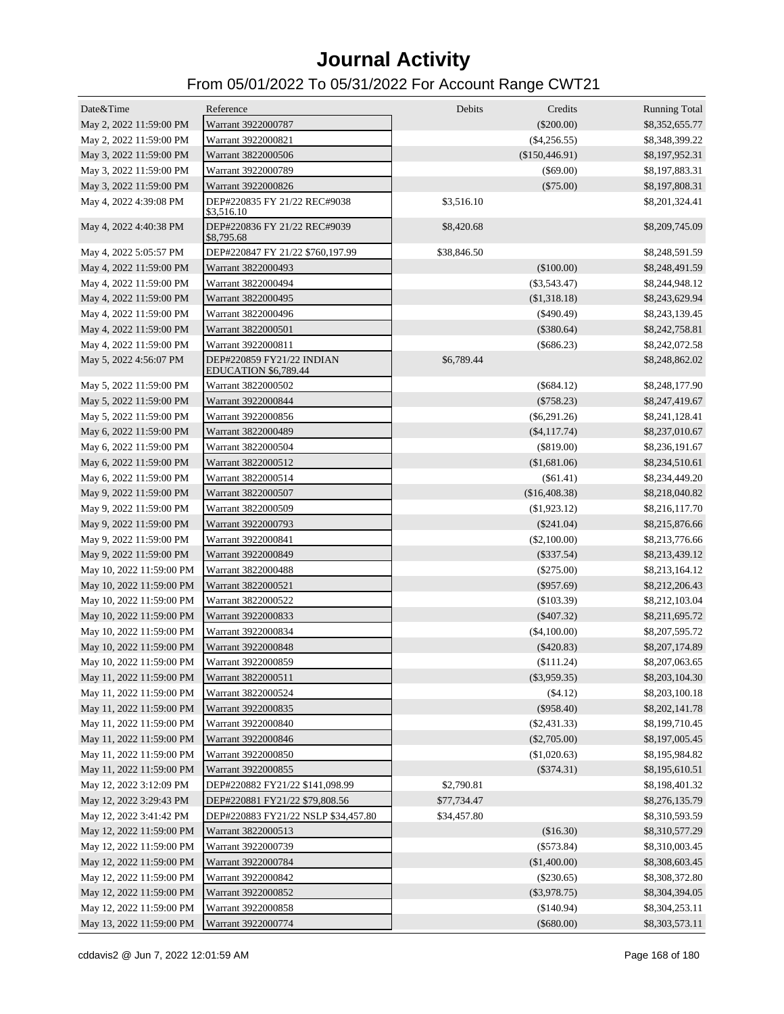| Date&Time                | Reference                                                | Debits      | Credits        | <b>Running Total</b> |
|--------------------------|----------------------------------------------------------|-------------|----------------|----------------------|
| May 2, 2022 11:59:00 PM  | Warrant 3922000787                                       |             | $(\$200.00)$   | \$8,352,655.77       |
| May 2, 2022 11:59:00 PM  | Warrant 3922000821                                       |             | $(\$4,256.55)$ | \$8,348,399.22       |
| May 3, 2022 11:59:00 PM  | Warrant 3822000506                                       |             | (\$150,446.91) | \$8,197,952.31       |
| May 3, 2022 11:59:00 PM  | Warrant 3922000789                                       |             | $(\$69.00)$    | \$8,197,883.31       |
| May 3, 2022 11:59:00 PM  | Warrant 3922000826                                       |             | $(\$75.00)$    | \$8,197,808.31       |
| May 4, 2022 4:39:08 PM   | DEP#220835 FY 21/22 REC#9038<br>\$3,516.10               | \$3,516.10  |                | \$8,201,324.41       |
| May 4, 2022 4:40:38 PM   | DEP#220836 FY 21/22 REC#9039<br>\$8,795.68               | \$8,420.68  |                | \$8,209,745.09       |
| May 4, 2022 5:05:57 PM   | DEP#220847 FY 21/22 \$760,197.99                         | \$38,846.50 |                | \$8,248,591.59       |
| May 4, 2022 11:59:00 PM  | Warrant 3822000493                                       |             | (\$100.00)     | \$8,248,491.59       |
| May 4, 2022 11:59:00 PM  | Warrant 3822000494                                       |             | $(\$3,543.47)$ | \$8,244,948.12       |
| May 4, 2022 11:59:00 PM  | Warrant 3822000495                                       |             | (\$1,318.18)   | \$8,243,629.94       |
| May 4, 2022 11:59:00 PM  | Warrant 3822000496                                       |             | $(\$490.49)$   | \$8,243,139.45       |
| May 4, 2022 11:59:00 PM  | Warrant 3822000501                                       |             | $(\$380.64)$   | \$8,242,758.81       |
| May 4, 2022 11:59:00 PM  | Warrant 3922000811                                       |             | $(\$686.23)$   | \$8,242,072.58       |
| May 5, 2022 4:56:07 PM   | DEP#220859 FY21/22 INDIAN<br><b>EDUCATION \$6,789.44</b> | \$6,789.44  |                | \$8,248,862.02       |
| May 5, 2022 11:59:00 PM  | Warrant 3822000502                                       |             | $(\$684.12)$   | \$8,248,177.90       |
| May 5, 2022 11:59:00 PM  | Warrant 3922000844                                       |             | $(\$758.23)$   | \$8,247,419.67       |
| May 5, 2022 11:59:00 PM  | Warrant 3922000856                                       |             | $(\$6,291.26)$ | \$8,241,128.41       |
| May 6, 2022 11:59:00 PM  | Warrant 3822000489                                       |             | $(\$4,117.74)$ | \$8,237,010.67       |
| May 6, 2022 11:59:00 PM  | Warrant 3822000504                                       |             | $(\$819.00)$   | \$8,236,191.67       |
| May 6, 2022 11:59:00 PM  | Warrant 3822000512                                       |             | (\$1,681.06)   | \$8,234,510.61       |
| May 6, 2022 11:59:00 PM  | Warrant 3822000514                                       |             | $(\$61.41)$    | \$8,234,449.20       |
| May 9, 2022 11:59:00 PM  | Warrant 3822000507                                       |             | (\$16,408.38)  | \$8,218,040.82       |
| May 9, 2022 11:59:00 PM  | Warrant 3822000509                                       |             | (\$1,923.12)   | \$8,216,117.70       |
| May 9, 2022 11:59:00 PM  | Warrant 3922000793                                       |             | $(\$241.04)$   | \$8,215,876.66       |
| May 9, 2022 11:59:00 PM  | Warrant 3922000841                                       |             | $(\$2,100.00)$ | \$8,213,776.66       |
| May 9, 2022 11:59:00 PM  | Warrant 3922000849                                       |             | $(\$337.54)$   | \$8,213,439.12       |
| May 10, 2022 11:59:00 PM | Warrant 3822000488                                       |             | $(\$275.00)$   | \$8,213,164.12       |
| May 10, 2022 11:59:00 PM | Warrant 3822000521                                       |             | $(\$957.69)$   | \$8,212,206.43       |
| May 10, 2022 11:59:00 PM | Warrant 3822000522                                       |             | $(\$103.39)$   | \$8,212,103.04       |
| May 10, 2022 11:59:00 PM | Warrant 3922000833                                       |             | $(\$407.32)$   | \$8,211,695.72       |
| May 10, 2022 11:59:00 PM | Warrant 3922000834                                       |             | (\$4,100.00)   | \$8,207,595.72       |
| May 10, 2022 11:59:00 PM | Warrant 3922000848                                       |             | $(\$420.83)$   | \$8,207,174.89       |
| May 10, 2022 11:59:00 PM | Warrant 3922000859                                       |             | (\$111.24)     | \$8,207,063.65       |
| May 11, 2022 11:59:00 PM | Warrant 3822000511                                       |             | $(\$3,959.35)$ | \$8,203,104.30       |
| May 11, 2022 11:59:00 PM | Warrant 3822000524                                       |             | (\$4.12)       | \$8,203,100.18       |
| May 11, 2022 11:59:00 PM | Warrant 3922000835                                       |             | (\$958.40)     | \$8,202,141.78       |
| May 11, 2022 11:59:00 PM | Warrant 3922000840                                       |             | $(\$2,431.33)$ | \$8,199,710.45       |
| May 11, 2022 11:59:00 PM | Warrant 3922000846                                       |             | $(\$2,705.00)$ | \$8,197,005.45       |
| May 11, 2022 11:59:00 PM |                                                          |             |                | \$8,195,984.82       |
|                          | Warrant 3922000850                                       |             | (\$1,020.63)   |                      |
| May 11, 2022 11:59:00 PM | Warrant 3922000855                                       |             | $(\$374.31)$   | \$8,195,610.51       |
| May 12, 2022 3:12:09 PM  | DEP#220882 FY21/22 \$141,098.99                          | \$2,790.81  |                | \$8,198,401.32       |
| May 12, 2022 3:29:43 PM  | DEP#220881 FY21/22 \$79,808.56                           | \$77,734.47 |                | \$8,276,135.79       |
| May 12, 2022 3:41:42 PM  | DEP#220883 FY21/22 NSLP \$34,457.80                      | \$34,457.80 |                | \$8,310,593.59       |
| May 12, 2022 11:59:00 PM | Warrant 3822000513                                       |             | (\$16.30)      | \$8,310,577.29       |
| May 12, 2022 11:59:00 PM | Warrant 3922000739                                       |             | $(\$573.84)$   | \$8,310,003.45       |
| May 12, 2022 11:59:00 PM | Warrant 3922000784                                       |             | (\$1,400.00)   | \$8,308,603.45       |
| May 12, 2022 11:59:00 PM | Warrant 3922000842                                       |             | $(\$230.65)$   | \$8,308,372.80       |
| May 12, 2022 11:59:00 PM | Warrant 3922000852                                       |             | $(\$3,978.75)$ | \$8,304,394.05       |
| May 12, 2022 11:59:00 PM | Warrant 3922000858                                       |             | (\$140.94)     | \$8,304,253.11       |
| May 13, 2022 11:59:00 PM | Warrant 3922000774                                       |             | $(\$680.00)$   | \$8,303,573.11       |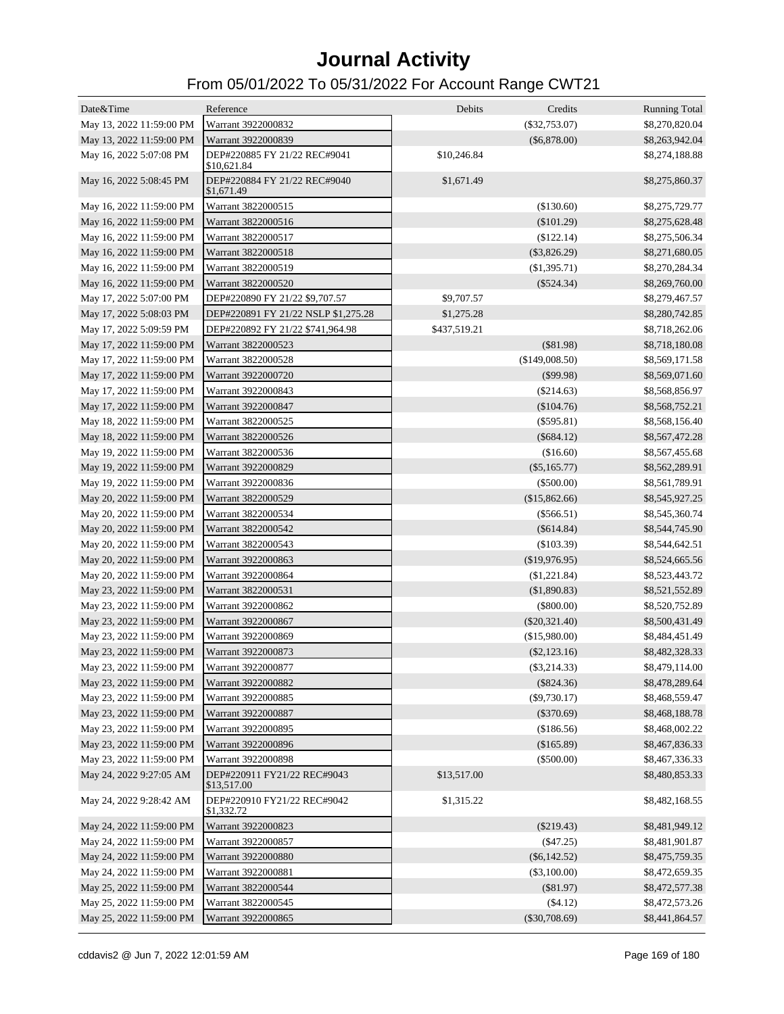| Date&Time                                           | Reference                                         | Debits       | Credits         | <b>Running Total</b>             |
|-----------------------------------------------------|---------------------------------------------------|--------------|-----------------|----------------------------------|
| May 13, 2022 11:59:00 PM                            | Warrant 3922000832                                |              | $(\$32,753.07)$ | \$8,270,820.04                   |
| May 13, 2022 11:59:00 PM                            | Warrant 3922000839                                |              | $(\$6,878.00)$  | \$8,263,942.04                   |
| May 16, 2022 5:07:08 PM                             | DEP#220885 FY 21/22 REC#9041<br>\$10,621.84       | \$10,246.84  |                 | \$8,274,188.88                   |
| May 16, 2022 5:08:45 PM                             | DEP#220884 FY 21/22 REC#9040<br>\$1,671.49        | \$1,671.49   |                 | \$8,275,860.37                   |
| May 16, 2022 11:59:00 PM                            | Warrant 3822000515                                |              | (\$130.60)      | \$8,275,729.77                   |
| May 16, 2022 11:59:00 PM                            | Warrant 3822000516                                |              | $(\$101.29)$    | \$8,275,628.48                   |
| May 16, 2022 11:59:00 PM                            | Warrant 3822000517                                |              | (\$122.14)      | \$8,275,506.34                   |
| May 16, 2022 11:59:00 PM                            | Warrant 3822000518                                |              | $(\$3,826.29)$  | \$8,271,680.05                   |
| May 16, 2022 11:59:00 PM                            | Warrant 3822000519                                |              | (\$1,395.71)    | \$8,270,284.34                   |
| May 16, 2022 11:59:00 PM                            | Warrant 3822000520                                |              | $(\$524.34)$    | \$8,269,760.00                   |
| May 17, 2022 5:07:00 PM                             | DEP#220890 FY 21/22 \$9,707.57                    | \$9,707.57   |                 | \$8,279,467.57                   |
| May 17, 2022 5:08:03 PM                             | DEP#220891 FY 21/22 NSLP \$1,275.28               | \$1,275.28   |                 | \$8,280,742.85                   |
| May 17, 2022 5:09:59 PM                             | DEP#220892 FY 21/22 \$741,964.98                  | \$437,519.21 |                 | \$8,718,262.06                   |
| May 17, 2022 11:59:00 PM                            | Warrant 3822000523                                |              | $($ \$81.98)    | \$8,718,180.08                   |
| May 17, 2022 11:59:00 PM                            | Warrant 3822000528                                |              | (\$149,008.50)  | \$8,569,171.58                   |
| May 17, 2022 11:59:00 PM                            | Warrant 3922000720                                |              | $(\$99.98)$     | \$8,569,071.60                   |
| May 17, 2022 11:59:00 PM                            | Warrant 3922000843                                |              | $(\$214.63)$    | \$8,568,856.97                   |
| May 17, 2022 11:59:00 PM                            | Warrant 3922000847                                |              | $(\$104.76)$    | \$8,568,752.21                   |
| May 18, 2022 11:59:00 PM                            | Warrant 3822000525                                |              | $($ \$595.81)   | \$8,568,156.40                   |
| May 18, 2022 11:59:00 PM                            | Warrant 3822000526                                |              | $(\$684.12)$    | \$8,567,472.28                   |
| May 19, 2022 11:59:00 PM                            | Warrant 3822000536                                |              | (\$16.60)       | \$8,567,455.68                   |
| May 19, 2022 11:59:00 PM                            | Warrant 3922000829                                |              | $(\$5,165.77)$  | \$8,562,289.91                   |
| May 19, 2022 11:59:00 PM                            | Warrant 3922000836                                |              | $(\$500.00)$    | \$8,561,789.91                   |
| May 20, 2022 11:59:00 PM                            | Warrant 3822000529                                |              | (\$15,862.66)   | \$8,545,927.25                   |
| May 20, 2022 11:59:00 PM                            | Warrant 3822000534                                |              | $(\$566.51)$    | \$8,545,360.74                   |
| May 20, 2022 11:59:00 PM                            | Warrant 3822000542                                |              | $(\$614.84)$    | \$8,544,745.90                   |
| May 20, 2022 11:59:00 PM                            | Warrant 3822000543                                |              | (\$103.39)      | \$8,544,642.51                   |
| May 20, 2022 11:59:00 PM                            | Warrant 3922000863                                |              | $(\$19,976.95)$ | \$8,524,665.56                   |
| May 20, 2022 11:59:00 PM                            | Warrant 3922000864                                |              | (\$1,221.84)    | \$8,523,443.72                   |
| May 23, 2022 11:59:00 PM                            | Warrant 3822000531                                |              | (\$1,890.83)    | \$8,521,552.89                   |
| May 23, 2022 11:59:00 PM                            | Warrant 3922000862                                |              | $(\$800.00)$    | \$8,520,752.89                   |
| May 23, 2022 11:59:00 PM                            | Warrant 3922000867                                |              | $(\$20,321.40)$ | \$8,500,431.49                   |
| May 23, 2022 11:59:00 PM                            | Warrant 3922000869                                |              | (\$15,980.00)   | \$8,484,451.49                   |
| May 23, 2022 11:59:00 PM                            | Warrant 3922000873                                |              | $(\$2,123.16)$  | \$8,482,328.33                   |
| May 23, 2022 11:59:00 PM                            | Warrant 3922000877                                |              | $(\$3,214.33)$  | \$8,479,114.00                   |
| May 23, 2022 11:59:00 PM                            | Warrant 3922000882                                |              | $(\$824.36)$    | \$8,478,289.64                   |
| May 23, 2022 11:59:00 PM                            | Warrant 3922000885                                |              | $(\$9,730.17)$  | \$8,468,559.47                   |
| May 23, 2022 11:59:00 PM                            | Warrant 3922000887                                |              | $(\$370.69)$    |                                  |
| May 23, 2022 11:59:00 PM                            | Warrant 3922000895                                |              |                 | \$8,468,188.78                   |
|                                                     | Warrant 3922000896                                |              | (\$186.56)      | \$8,468,002.22                   |
| May 23, 2022 11:59:00 PM                            |                                                   |              | (\$165.89)      | \$8,467,836.33                   |
| May 23, 2022 11:59:00 PM<br>May 24, 2022 9:27:05 AM | Warrant 3922000898<br>DEP#220911 FY21/22 REC#9043 | \$13,517.00  | $(\$500.00)$    | \$8,467,336.33<br>\$8,480,853.33 |
|                                                     | \$13,517.00                                       |              |                 |                                  |
| May 24, 2022 9:28:42 AM                             | DEP#220910 FY21/22 REC#9042<br>\$1,332.72         | \$1,315.22   |                 | \$8,482,168.55                   |
| May 24, 2022 11:59:00 PM                            | Warrant 3922000823                                |              | $(\$219.43)$    | \$8,481,949.12                   |
| May 24, 2022 11:59:00 PM                            | Warrant 3922000857                                |              | (\$47.25)       | \$8,481,901.87                   |
| May 24, 2022 11:59:00 PM                            | Warrant 3922000880                                |              | $(\$6,142.52)$  | \$8,475,759.35                   |
| May 24, 2022 11:59:00 PM                            | Warrant 3922000881                                |              | $(\$3,100.00)$  | \$8,472,659.35                   |
| May 25, 2022 11:59:00 PM                            | Warrant 3822000544                                |              | (\$81.97)       | \$8,472,577.38                   |
| May 25, 2022 11:59:00 PM                            | Warrant 3822000545                                |              | (\$4.12)        | \$8,472,573.26                   |
| May 25, 2022 11:59:00 PM                            | Warrant 3922000865                                |              | $(\$30,708.69)$ | \$8,441,864.57                   |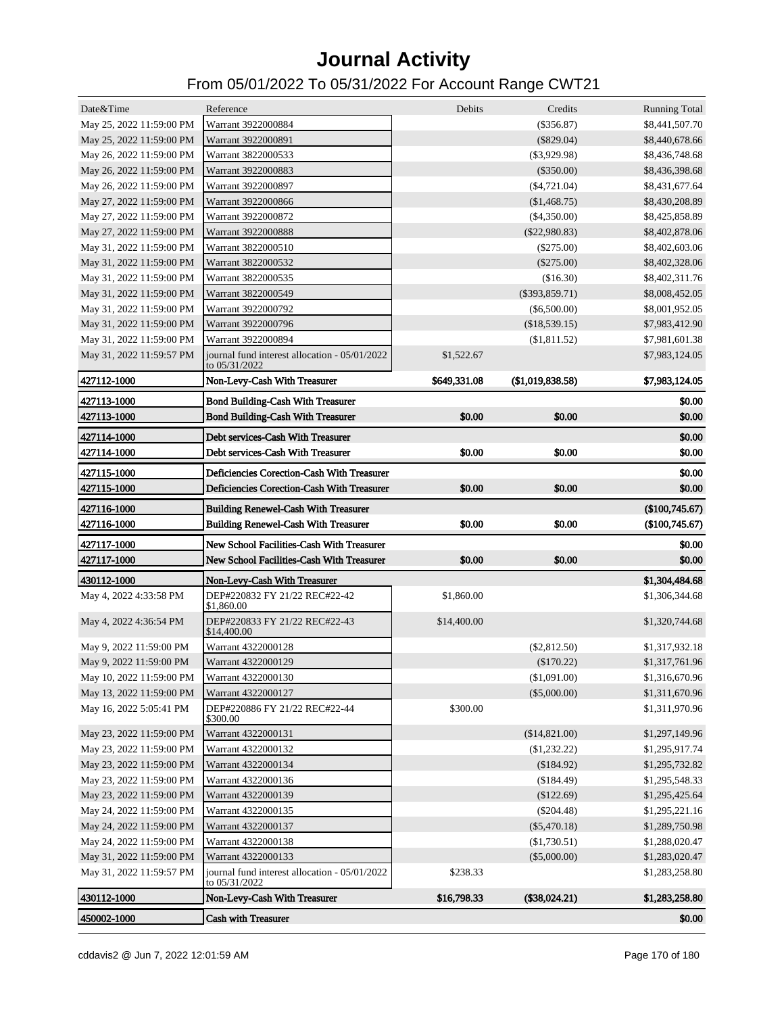| $(\$356.87)$<br>May 25, 2022 11:59:00 PM<br>Warrant 3922000884<br>\$8,441,507.70<br>May 25, 2022 11:59:00 PM<br>Warrant 3922000891<br>$(\$829.04)$<br>\$8,440,678.66<br>May 26, 2022 11:59:00 PM<br>Warrant 3822000533<br>$(\$3,929.98)$<br>\$8,436,748.68<br>May 26, 2022 11:59:00 PM<br>Warrant 3922000883<br>$(\$350.00)$<br>\$8,436,398.68<br>May 26, 2022 11:59:00 PM<br>Warrant 3922000897<br>$(\$4,721.04)$<br>\$8,431,677.64<br>May 27, 2022 11:59:00 PM<br>Warrant 3922000866<br>\$8,430,208.89<br>(\$1,468.75)<br>May 27, 2022 11:59:00 PM<br>Warrant 3922000872<br>$(\$4,350.00)$<br>\$8,425,858.89<br>May 27, 2022 11:59:00 PM<br>Warrant 3922000888<br>$(\$22,980.83)$<br>\$8,402,878.06<br>May 31, 2022 11:59:00 PM<br>Warrant 3822000510<br>$(\$275.00)$<br>\$8,402,603.06<br>May 31, 2022 11:59:00 PM<br>Warrant 3822000532<br>$(\$275.00)$<br>\$8,402,328.06<br>May 31, 2022 11:59:00 PM<br>Warrant 3822000535<br>(\$16.30)<br>\$8,402,311.76<br>May 31, 2022 11:59:00 PM<br>Warrant 3822000549<br>$(\$393,859.71)$<br>\$8,008,452.05<br>May 31, 2022 11:59:00 PM<br>Warrant 3922000792<br>$(\$6,500.00)$<br>\$8,001,952.05<br>May 31, 2022 11:59:00 PM<br>Warrant 3922000796<br>(\$18,539.15)<br>\$7,983,412.90<br>Warrant 3922000894<br>May 31, 2022 11:59:00 PM<br>(\$1,811.52)<br>\$7,981,601.38<br>May 31, 2022 11:59:57 PM<br>journal fund interest allocation - 05/01/2022<br>\$1,522.67<br>\$7,983,124.05<br>to 05/31/2022<br>427112-1000<br>Non-Levy-Cash With Treasurer<br>\$649,331.08<br>(\$1,019,838.58)<br>\$7,983,124.05<br>427113-1000<br>\$0.00<br><b>Bond Building-Cash With Treasurer</b><br>427113-1000<br><b>Bond Building-Cash With Treasurer</b><br>\$0.00<br>\$0.00<br>\$0.00<br>427114-1000<br>Debt services-Cash With Treasurer<br>\$0.00<br>\$0.00<br>\$0.00<br>427114-1000<br>Debt services-Cash With Treasurer<br>\$0.00<br>Deficiencies Corection-Cash With Treasurer<br>\$0.00<br>427115-1000<br>\$0.00<br>\$0.00<br>427115-1000<br>Deficiencies Corection-Cash With Treasurer<br>\$0.00<br>(\$100,745.67)<br>427116-1000<br><b>Building Renewel-Cash With Treasurer</b><br>427116-1000<br>\$0.00<br>\$0.00<br>(\$100,745.67)<br><b>Building Renewel-Cash With Treasurer</b><br>427117-1000<br>New School Facilities-Cash With Treasurer<br>\$0.00<br>\$0.00<br>\$0.00<br>\$0.00<br>427117-1000<br>New School Facilities-Cash With Treasurer<br>430112-1000<br>\$1,304,484.68<br>Non-Levy-Cash With Treasurer<br>May 4, 2022 4:33:58 PM<br>DEP#220832 FY 21/22 REC#22-42<br>\$1,860.00<br>\$1,306,344.68<br>\$1,860.00<br>May 4, 2022 4:36:54 PM<br>DEP#220833 FY 21/22 REC#22-43<br>\$14,400.00<br>\$1,320,744.68<br>\$14,400.00<br>May 9, 2022 11:59:00 PM<br>Warrant 4322000128<br>$(\$2,812.50)$<br>\$1,317,932.18<br>May 9, 2022 11:59:00 PM<br>Warrant 4322000129<br>$(\$170.22)$<br>\$1,317,761.96<br>May 10, 2022 11:59:00 PM<br>Warrant 4322000130<br>(\$1,091.00)<br>\$1,316,670.96<br>May 13, 2022 11:59:00 PM<br>Warrant 4322000127<br>$(\$5,000.00)$<br>\$1,311,670.96<br>\$300.00<br>May 16, 2022 5:05:41 PM<br>DEP#220886 FY 21/22 REC#22-44<br>\$1,311,970.96<br>\$300.00<br>May 23, 2022 11:59:00 PM<br>Warrant 4322000131<br>(\$14,821.00)<br>\$1,297,149.96<br>May 23, 2022 11:59:00 PM<br>Warrant 4322000132<br>(\$1,232.22)<br>\$1,295,917.74<br>May 23, 2022 11:59:00 PM<br>Warrant 4322000134<br>(\$184.92)<br>\$1,295,732.82<br>May 23, 2022 11:59:00 PM<br>Warrant 4322000136<br>(\$184.49)<br>\$1,295,548.33<br>May 23, 2022 11:59:00 PM<br>Warrant 4322000139<br>(\$122.69)<br>\$1,295,425.64<br>May 24, 2022 11:59:00 PM<br>Warrant 4322000135<br>$(\$204.48)$<br>\$1,295,221.16<br>May 24, 2022 11:59:00 PM<br>Warrant 4322000137<br>$(\$5,470.18)$<br>\$1,289,750.98<br>May 24, 2022 11:59:00 PM<br>Warrant 4322000138<br>(\$1,730.51)<br>\$1,288,020.47<br>May 31, 2022 11:59:00 PM<br>Warrant 4322000133<br>$(\$5,000.00)$<br>\$1,283,020.47<br>May 31, 2022 11:59:57 PM<br>journal fund interest allocation - 05/01/2022<br>\$238.33<br>\$1,283,258.80<br>to 05/31/2022<br>Non-Levy-Cash With Treasurer<br>430112-1000<br>\$16,798.33<br>(\$38,024.21)<br>\$1,283,258.80<br>450002-1000<br><b>Cash with Treasurer</b><br>\$0.00 |           |           |        |         |                      |
|------------------------------------------------------------------------------------------------------------------------------------------------------------------------------------------------------------------------------------------------------------------------------------------------------------------------------------------------------------------------------------------------------------------------------------------------------------------------------------------------------------------------------------------------------------------------------------------------------------------------------------------------------------------------------------------------------------------------------------------------------------------------------------------------------------------------------------------------------------------------------------------------------------------------------------------------------------------------------------------------------------------------------------------------------------------------------------------------------------------------------------------------------------------------------------------------------------------------------------------------------------------------------------------------------------------------------------------------------------------------------------------------------------------------------------------------------------------------------------------------------------------------------------------------------------------------------------------------------------------------------------------------------------------------------------------------------------------------------------------------------------------------------------------------------------------------------------------------------------------------------------------------------------------------------------------------------------------------------------------------------------------------------------------------------------------------------------------------------------------------------------------------------------------------------------------------------------------------------------------------------------------------------------------------------------------------------------------------------------------------------------------------------------------------------------------------------------------------------------------------------------------------------------------------------------------------------------------------------------------------------------------------------------------------------------------------------------------------------------------------------------------------------------------------------------------------------------------------------------------------------------------------------------------------------------------------------------------------------------------------------------------------------------------------------------------------------------------------------------------------------------------------------------------------------------------------------------------------------------------------------------------------------------------------------------------------------------------------------------------------------------------------------------------------------------------------------------------------------------------------------------------------------------------------------------------------------------------------------------------------------------------------------------------------------------------------------------------------------------------------------------------------------------------------------------------------------------------------------------------------------------------------------------------------------------------------------------------------------------------------------------------------------------------------------------------------------------------------------------------------------------------------------------------------------------------------------------------|-----------|-----------|--------|---------|----------------------|
|                                                                                                                                                                                                                                                                                                                                                                                                                                                                                                                                                                                                                                                                                                                                                                                                                                                                                                                                                                                                                                                                                                                                                                                                                                                                                                                                                                                                                                                                                                                                                                                                                                                                                                                                                                                                                                                                                                                                                                                                                                                                                                                                                                                                                                                                                                                                                                                                                                                                                                                                                                                                                                                                                                                                                                                                                                                                                                                                                                                                                                                                                                                                                                                                                                                                                                                                                                                                                                                                                                                                                                                                                                                                                                                                                                                                                                                                                                                                                                                                                                                                                                                                                                                                                  | Date&Time | Reference | Debits | Credits | <b>Running Total</b> |
|                                                                                                                                                                                                                                                                                                                                                                                                                                                                                                                                                                                                                                                                                                                                                                                                                                                                                                                                                                                                                                                                                                                                                                                                                                                                                                                                                                                                                                                                                                                                                                                                                                                                                                                                                                                                                                                                                                                                                                                                                                                                                                                                                                                                                                                                                                                                                                                                                                                                                                                                                                                                                                                                                                                                                                                                                                                                                                                                                                                                                                                                                                                                                                                                                                                                                                                                                                                                                                                                                                                                                                                                                                                                                                                                                                                                                                                                                                                                                                                                                                                                                                                                                                                                                  |           |           |        |         |                      |
|                                                                                                                                                                                                                                                                                                                                                                                                                                                                                                                                                                                                                                                                                                                                                                                                                                                                                                                                                                                                                                                                                                                                                                                                                                                                                                                                                                                                                                                                                                                                                                                                                                                                                                                                                                                                                                                                                                                                                                                                                                                                                                                                                                                                                                                                                                                                                                                                                                                                                                                                                                                                                                                                                                                                                                                                                                                                                                                                                                                                                                                                                                                                                                                                                                                                                                                                                                                                                                                                                                                                                                                                                                                                                                                                                                                                                                                                                                                                                                                                                                                                                                                                                                                                                  |           |           |        |         |                      |
|                                                                                                                                                                                                                                                                                                                                                                                                                                                                                                                                                                                                                                                                                                                                                                                                                                                                                                                                                                                                                                                                                                                                                                                                                                                                                                                                                                                                                                                                                                                                                                                                                                                                                                                                                                                                                                                                                                                                                                                                                                                                                                                                                                                                                                                                                                                                                                                                                                                                                                                                                                                                                                                                                                                                                                                                                                                                                                                                                                                                                                                                                                                                                                                                                                                                                                                                                                                                                                                                                                                                                                                                                                                                                                                                                                                                                                                                                                                                                                                                                                                                                                                                                                                                                  |           |           |        |         |                      |
|                                                                                                                                                                                                                                                                                                                                                                                                                                                                                                                                                                                                                                                                                                                                                                                                                                                                                                                                                                                                                                                                                                                                                                                                                                                                                                                                                                                                                                                                                                                                                                                                                                                                                                                                                                                                                                                                                                                                                                                                                                                                                                                                                                                                                                                                                                                                                                                                                                                                                                                                                                                                                                                                                                                                                                                                                                                                                                                                                                                                                                                                                                                                                                                                                                                                                                                                                                                                                                                                                                                                                                                                                                                                                                                                                                                                                                                                                                                                                                                                                                                                                                                                                                                                                  |           |           |        |         |                      |
|                                                                                                                                                                                                                                                                                                                                                                                                                                                                                                                                                                                                                                                                                                                                                                                                                                                                                                                                                                                                                                                                                                                                                                                                                                                                                                                                                                                                                                                                                                                                                                                                                                                                                                                                                                                                                                                                                                                                                                                                                                                                                                                                                                                                                                                                                                                                                                                                                                                                                                                                                                                                                                                                                                                                                                                                                                                                                                                                                                                                                                                                                                                                                                                                                                                                                                                                                                                                                                                                                                                                                                                                                                                                                                                                                                                                                                                                                                                                                                                                                                                                                                                                                                                                                  |           |           |        |         |                      |
|                                                                                                                                                                                                                                                                                                                                                                                                                                                                                                                                                                                                                                                                                                                                                                                                                                                                                                                                                                                                                                                                                                                                                                                                                                                                                                                                                                                                                                                                                                                                                                                                                                                                                                                                                                                                                                                                                                                                                                                                                                                                                                                                                                                                                                                                                                                                                                                                                                                                                                                                                                                                                                                                                                                                                                                                                                                                                                                                                                                                                                                                                                                                                                                                                                                                                                                                                                                                                                                                                                                                                                                                                                                                                                                                                                                                                                                                                                                                                                                                                                                                                                                                                                                                                  |           |           |        |         |                      |
|                                                                                                                                                                                                                                                                                                                                                                                                                                                                                                                                                                                                                                                                                                                                                                                                                                                                                                                                                                                                                                                                                                                                                                                                                                                                                                                                                                                                                                                                                                                                                                                                                                                                                                                                                                                                                                                                                                                                                                                                                                                                                                                                                                                                                                                                                                                                                                                                                                                                                                                                                                                                                                                                                                                                                                                                                                                                                                                                                                                                                                                                                                                                                                                                                                                                                                                                                                                                                                                                                                                                                                                                                                                                                                                                                                                                                                                                                                                                                                                                                                                                                                                                                                                                                  |           |           |        |         |                      |
|                                                                                                                                                                                                                                                                                                                                                                                                                                                                                                                                                                                                                                                                                                                                                                                                                                                                                                                                                                                                                                                                                                                                                                                                                                                                                                                                                                                                                                                                                                                                                                                                                                                                                                                                                                                                                                                                                                                                                                                                                                                                                                                                                                                                                                                                                                                                                                                                                                                                                                                                                                                                                                                                                                                                                                                                                                                                                                                                                                                                                                                                                                                                                                                                                                                                                                                                                                                                                                                                                                                                                                                                                                                                                                                                                                                                                                                                                                                                                                                                                                                                                                                                                                                                                  |           |           |        |         |                      |
|                                                                                                                                                                                                                                                                                                                                                                                                                                                                                                                                                                                                                                                                                                                                                                                                                                                                                                                                                                                                                                                                                                                                                                                                                                                                                                                                                                                                                                                                                                                                                                                                                                                                                                                                                                                                                                                                                                                                                                                                                                                                                                                                                                                                                                                                                                                                                                                                                                                                                                                                                                                                                                                                                                                                                                                                                                                                                                                                                                                                                                                                                                                                                                                                                                                                                                                                                                                                                                                                                                                                                                                                                                                                                                                                                                                                                                                                                                                                                                                                                                                                                                                                                                                                                  |           |           |        |         |                      |
|                                                                                                                                                                                                                                                                                                                                                                                                                                                                                                                                                                                                                                                                                                                                                                                                                                                                                                                                                                                                                                                                                                                                                                                                                                                                                                                                                                                                                                                                                                                                                                                                                                                                                                                                                                                                                                                                                                                                                                                                                                                                                                                                                                                                                                                                                                                                                                                                                                                                                                                                                                                                                                                                                                                                                                                                                                                                                                                                                                                                                                                                                                                                                                                                                                                                                                                                                                                                                                                                                                                                                                                                                                                                                                                                                                                                                                                                                                                                                                                                                                                                                                                                                                                                                  |           |           |        |         |                      |
|                                                                                                                                                                                                                                                                                                                                                                                                                                                                                                                                                                                                                                                                                                                                                                                                                                                                                                                                                                                                                                                                                                                                                                                                                                                                                                                                                                                                                                                                                                                                                                                                                                                                                                                                                                                                                                                                                                                                                                                                                                                                                                                                                                                                                                                                                                                                                                                                                                                                                                                                                                                                                                                                                                                                                                                                                                                                                                                                                                                                                                                                                                                                                                                                                                                                                                                                                                                                                                                                                                                                                                                                                                                                                                                                                                                                                                                                                                                                                                                                                                                                                                                                                                                                                  |           |           |        |         |                      |
|                                                                                                                                                                                                                                                                                                                                                                                                                                                                                                                                                                                                                                                                                                                                                                                                                                                                                                                                                                                                                                                                                                                                                                                                                                                                                                                                                                                                                                                                                                                                                                                                                                                                                                                                                                                                                                                                                                                                                                                                                                                                                                                                                                                                                                                                                                                                                                                                                                                                                                                                                                                                                                                                                                                                                                                                                                                                                                                                                                                                                                                                                                                                                                                                                                                                                                                                                                                                                                                                                                                                                                                                                                                                                                                                                                                                                                                                                                                                                                                                                                                                                                                                                                                                                  |           |           |        |         |                      |
|                                                                                                                                                                                                                                                                                                                                                                                                                                                                                                                                                                                                                                                                                                                                                                                                                                                                                                                                                                                                                                                                                                                                                                                                                                                                                                                                                                                                                                                                                                                                                                                                                                                                                                                                                                                                                                                                                                                                                                                                                                                                                                                                                                                                                                                                                                                                                                                                                                                                                                                                                                                                                                                                                                                                                                                                                                                                                                                                                                                                                                                                                                                                                                                                                                                                                                                                                                                                                                                                                                                                                                                                                                                                                                                                                                                                                                                                                                                                                                                                                                                                                                                                                                                                                  |           |           |        |         |                      |
|                                                                                                                                                                                                                                                                                                                                                                                                                                                                                                                                                                                                                                                                                                                                                                                                                                                                                                                                                                                                                                                                                                                                                                                                                                                                                                                                                                                                                                                                                                                                                                                                                                                                                                                                                                                                                                                                                                                                                                                                                                                                                                                                                                                                                                                                                                                                                                                                                                                                                                                                                                                                                                                                                                                                                                                                                                                                                                                                                                                                                                                                                                                                                                                                                                                                                                                                                                                                                                                                                                                                                                                                                                                                                                                                                                                                                                                                                                                                                                                                                                                                                                                                                                                                                  |           |           |        |         |                      |
|                                                                                                                                                                                                                                                                                                                                                                                                                                                                                                                                                                                                                                                                                                                                                                                                                                                                                                                                                                                                                                                                                                                                                                                                                                                                                                                                                                                                                                                                                                                                                                                                                                                                                                                                                                                                                                                                                                                                                                                                                                                                                                                                                                                                                                                                                                                                                                                                                                                                                                                                                                                                                                                                                                                                                                                                                                                                                                                                                                                                                                                                                                                                                                                                                                                                                                                                                                                                                                                                                                                                                                                                                                                                                                                                                                                                                                                                                                                                                                                                                                                                                                                                                                                                                  |           |           |        |         |                      |
|                                                                                                                                                                                                                                                                                                                                                                                                                                                                                                                                                                                                                                                                                                                                                                                                                                                                                                                                                                                                                                                                                                                                                                                                                                                                                                                                                                                                                                                                                                                                                                                                                                                                                                                                                                                                                                                                                                                                                                                                                                                                                                                                                                                                                                                                                                                                                                                                                                                                                                                                                                                                                                                                                                                                                                                                                                                                                                                                                                                                                                                                                                                                                                                                                                                                                                                                                                                                                                                                                                                                                                                                                                                                                                                                                                                                                                                                                                                                                                                                                                                                                                                                                                                                                  |           |           |        |         |                      |
|                                                                                                                                                                                                                                                                                                                                                                                                                                                                                                                                                                                                                                                                                                                                                                                                                                                                                                                                                                                                                                                                                                                                                                                                                                                                                                                                                                                                                                                                                                                                                                                                                                                                                                                                                                                                                                                                                                                                                                                                                                                                                                                                                                                                                                                                                                                                                                                                                                                                                                                                                                                                                                                                                                                                                                                                                                                                                                                                                                                                                                                                                                                                                                                                                                                                                                                                                                                                                                                                                                                                                                                                                                                                                                                                                                                                                                                                                                                                                                                                                                                                                                                                                                                                                  |           |           |        |         |                      |
|                                                                                                                                                                                                                                                                                                                                                                                                                                                                                                                                                                                                                                                                                                                                                                                                                                                                                                                                                                                                                                                                                                                                                                                                                                                                                                                                                                                                                                                                                                                                                                                                                                                                                                                                                                                                                                                                                                                                                                                                                                                                                                                                                                                                                                                                                                                                                                                                                                                                                                                                                                                                                                                                                                                                                                                                                                                                                                                                                                                                                                                                                                                                                                                                                                                                                                                                                                                                                                                                                                                                                                                                                                                                                                                                                                                                                                                                                                                                                                                                                                                                                                                                                                                                                  |           |           |        |         |                      |
|                                                                                                                                                                                                                                                                                                                                                                                                                                                                                                                                                                                                                                                                                                                                                                                                                                                                                                                                                                                                                                                                                                                                                                                                                                                                                                                                                                                                                                                                                                                                                                                                                                                                                                                                                                                                                                                                                                                                                                                                                                                                                                                                                                                                                                                                                                                                                                                                                                                                                                                                                                                                                                                                                                                                                                                                                                                                                                                                                                                                                                                                                                                                                                                                                                                                                                                                                                                                                                                                                                                                                                                                                                                                                                                                                                                                                                                                                                                                                                                                                                                                                                                                                                                                                  |           |           |        |         |                      |
|                                                                                                                                                                                                                                                                                                                                                                                                                                                                                                                                                                                                                                                                                                                                                                                                                                                                                                                                                                                                                                                                                                                                                                                                                                                                                                                                                                                                                                                                                                                                                                                                                                                                                                                                                                                                                                                                                                                                                                                                                                                                                                                                                                                                                                                                                                                                                                                                                                                                                                                                                                                                                                                                                                                                                                                                                                                                                                                                                                                                                                                                                                                                                                                                                                                                                                                                                                                                                                                                                                                                                                                                                                                                                                                                                                                                                                                                                                                                                                                                                                                                                                                                                                                                                  |           |           |        |         |                      |
|                                                                                                                                                                                                                                                                                                                                                                                                                                                                                                                                                                                                                                                                                                                                                                                                                                                                                                                                                                                                                                                                                                                                                                                                                                                                                                                                                                                                                                                                                                                                                                                                                                                                                                                                                                                                                                                                                                                                                                                                                                                                                                                                                                                                                                                                                                                                                                                                                                                                                                                                                                                                                                                                                                                                                                                                                                                                                                                                                                                                                                                                                                                                                                                                                                                                                                                                                                                                                                                                                                                                                                                                                                                                                                                                                                                                                                                                                                                                                                                                                                                                                                                                                                                                                  |           |           |        |         |                      |
|                                                                                                                                                                                                                                                                                                                                                                                                                                                                                                                                                                                                                                                                                                                                                                                                                                                                                                                                                                                                                                                                                                                                                                                                                                                                                                                                                                                                                                                                                                                                                                                                                                                                                                                                                                                                                                                                                                                                                                                                                                                                                                                                                                                                                                                                                                                                                                                                                                                                                                                                                                                                                                                                                                                                                                                                                                                                                                                                                                                                                                                                                                                                                                                                                                                                                                                                                                                                                                                                                                                                                                                                                                                                                                                                                                                                                                                                                                                                                                                                                                                                                                                                                                                                                  |           |           |        |         |                      |
|                                                                                                                                                                                                                                                                                                                                                                                                                                                                                                                                                                                                                                                                                                                                                                                                                                                                                                                                                                                                                                                                                                                                                                                                                                                                                                                                                                                                                                                                                                                                                                                                                                                                                                                                                                                                                                                                                                                                                                                                                                                                                                                                                                                                                                                                                                                                                                                                                                                                                                                                                                                                                                                                                                                                                                                                                                                                                                                                                                                                                                                                                                                                                                                                                                                                                                                                                                                                                                                                                                                                                                                                                                                                                                                                                                                                                                                                                                                                                                                                                                                                                                                                                                                                                  |           |           |        |         |                      |
|                                                                                                                                                                                                                                                                                                                                                                                                                                                                                                                                                                                                                                                                                                                                                                                                                                                                                                                                                                                                                                                                                                                                                                                                                                                                                                                                                                                                                                                                                                                                                                                                                                                                                                                                                                                                                                                                                                                                                                                                                                                                                                                                                                                                                                                                                                                                                                                                                                                                                                                                                                                                                                                                                                                                                                                                                                                                                                                                                                                                                                                                                                                                                                                                                                                                                                                                                                                                                                                                                                                                                                                                                                                                                                                                                                                                                                                                                                                                                                                                                                                                                                                                                                                                                  |           |           |        |         |                      |
|                                                                                                                                                                                                                                                                                                                                                                                                                                                                                                                                                                                                                                                                                                                                                                                                                                                                                                                                                                                                                                                                                                                                                                                                                                                                                                                                                                                                                                                                                                                                                                                                                                                                                                                                                                                                                                                                                                                                                                                                                                                                                                                                                                                                                                                                                                                                                                                                                                                                                                                                                                                                                                                                                                                                                                                                                                                                                                                                                                                                                                                                                                                                                                                                                                                                                                                                                                                                                                                                                                                                                                                                                                                                                                                                                                                                                                                                                                                                                                                                                                                                                                                                                                                                                  |           |           |        |         |                      |
|                                                                                                                                                                                                                                                                                                                                                                                                                                                                                                                                                                                                                                                                                                                                                                                                                                                                                                                                                                                                                                                                                                                                                                                                                                                                                                                                                                                                                                                                                                                                                                                                                                                                                                                                                                                                                                                                                                                                                                                                                                                                                                                                                                                                                                                                                                                                                                                                                                                                                                                                                                                                                                                                                                                                                                                                                                                                                                                                                                                                                                                                                                                                                                                                                                                                                                                                                                                                                                                                                                                                                                                                                                                                                                                                                                                                                                                                                                                                                                                                                                                                                                                                                                                                                  |           |           |        |         |                      |
|                                                                                                                                                                                                                                                                                                                                                                                                                                                                                                                                                                                                                                                                                                                                                                                                                                                                                                                                                                                                                                                                                                                                                                                                                                                                                                                                                                                                                                                                                                                                                                                                                                                                                                                                                                                                                                                                                                                                                                                                                                                                                                                                                                                                                                                                                                                                                                                                                                                                                                                                                                                                                                                                                                                                                                                                                                                                                                                                                                                                                                                                                                                                                                                                                                                                                                                                                                                                                                                                                                                                                                                                                                                                                                                                                                                                                                                                                                                                                                                                                                                                                                                                                                                                                  |           |           |        |         |                      |
|                                                                                                                                                                                                                                                                                                                                                                                                                                                                                                                                                                                                                                                                                                                                                                                                                                                                                                                                                                                                                                                                                                                                                                                                                                                                                                                                                                                                                                                                                                                                                                                                                                                                                                                                                                                                                                                                                                                                                                                                                                                                                                                                                                                                                                                                                                                                                                                                                                                                                                                                                                                                                                                                                                                                                                                                                                                                                                                                                                                                                                                                                                                                                                                                                                                                                                                                                                                                                                                                                                                                                                                                                                                                                                                                                                                                                                                                                                                                                                                                                                                                                                                                                                                                                  |           |           |        |         |                      |
|                                                                                                                                                                                                                                                                                                                                                                                                                                                                                                                                                                                                                                                                                                                                                                                                                                                                                                                                                                                                                                                                                                                                                                                                                                                                                                                                                                                                                                                                                                                                                                                                                                                                                                                                                                                                                                                                                                                                                                                                                                                                                                                                                                                                                                                                                                                                                                                                                                                                                                                                                                                                                                                                                                                                                                                                                                                                                                                                                                                                                                                                                                                                                                                                                                                                                                                                                                                                                                                                                                                                                                                                                                                                                                                                                                                                                                                                                                                                                                                                                                                                                                                                                                                                                  |           |           |        |         |                      |
|                                                                                                                                                                                                                                                                                                                                                                                                                                                                                                                                                                                                                                                                                                                                                                                                                                                                                                                                                                                                                                                                                                                                                                                                                                                                                                                                                                                                                                                                                                                                                                                                                                                                                                                                                                                                                                                                                                                                                                                                                                                                                                                                                                                                                                                                                                                                                                                                                                                                                                                                                                                                                                                                                                                                                                                                                                                                                                                                                                                                                                                                                                                                                                                                                                                                                                                                                                                                                                                                                                                                                                                                                                                                                                                                                                                                                                                                                                                                                                                                                                                                                                                                                                                                                  |           |           |        |         |                      |
|                                                                                                                                                                                                                                                                                                                                                                                                                                                                                                                                                                                                                                                                                                                                                                                                                                                                                                                                                                                                                                                                                                                                                                                                                                                                                                                                                                                                                                                                                                                                                                                                                                                                                                                                                                                                                                                                                                                                                                                                                                                                                                                                                                                                                                                                                                                                                                                                                                                                                                                                                                                                                                                                                                                                                                                                                                                                                                                                                                                                                                                                                                                                                                                                                                                                                                                                                                                                                                                                                                                                                                                                                                                                                                                                                                                                                                                                                                                                                                                                                                                                                                                                                                                                                  |           |           |        |         |                      |
|                                                                                                                                                                                                                                                                                                                                                                                                                                                                                                                                                                                                                                                                                                                                                                                                                                                                                                                                                                                                                                                                                                                                                                                                                                                                                                                                                                                                                                                                                                                                                                                                                                                                                                                                                                                                                                                                                                                                                                                                                                                                                                                                                                                                                                                                                                                                                                                                                                                                                                                                                                                                                                                                                                                                                                                                                                                                                                                                                                                                                                                                                                                                                                                                                                                                                                                                                                                                                                                                                                                                                                                                                                                                                                                                                                                                                                                                                                                                                                                                                                                                                                                                                                                                                  |           |           |        |         |                      |
|                                                                                                                                                                                                                                                                                                                                                                                                                                                                                                                                                                                                                                                                                                                                                                                                                                                                                                                                                                                                                                                                                                                                                                                                                                                                                                                                                                                                                                                                                                                                                                                                                                                                                                                                                                                                                                                                                                                                                                                                                                                                                                                                                                                                                                                                                                                                                                                                                                                                                                                                                                                                                                                                                                                                                                                                                                                                                                                                                                                                                                                                                                                                                                                                                                                                                                                                                                                                                                                                                                                                                                                                                                                                                                                                                                                                                                                                                                                                                                                                                                                                                                                                                                                                                  |           |           |        |         |                      |
|                                                                                                                                                                                                                                                                                                                                                                                                                                                                                                                                                                                                                                                                                                                                                                                                                                                                                                                                                                                                                                                                                                                                                                                                                                                                                                                                                                                                                                                                                                                                                                                                                                                                                                                                                                                                                                                                                                                                                                                                                                                                                                                                                                                                                                                                                                                                                                                                                                                                                                                                                                                                                                                                                                                                                                                                                                                                                                                                                                                                                                                                                                                                                                                                                                                                                                                                                                                                                                                                                                                                                                                                                                                                                                                                                                                                                                                                                                                                                                                                                                                                                                                                                                                                                  |           |           |        |         |                      |
|                                                                                                                                                                                                                                                                                                                                                                                                                                                                                                                                                                                                                                                                                                                                                                                                                                                                                                                                                                                                                                                                                                                                                                                                                                                                                                                                                                                                                                                                                                                                                                                                                                                                                                                                                                                                                                                                                                                                                                                                                                                                                                                                                                                                                                                                                                                                                                                                                                                                                                                                                                                                                                                                                                                                                                                                                                                                                                                                                                                                                                                                                                                                                                                                                                                                                                                                                                                                                                                                                                                                                                                                                                                                                                                                                                                                                                                                                                                                                                                                                                                                                                                                                                                                                  |           |           |        |         |                      |
|                                                                                                                                                                                                                                                                                                                                                                                                                                                                                                                                                                                                                                                                                                                                                                                                                                                                                                                                                                                                                                                                                                                                                                                                                                                                                                                                                                                                                                                                                                                                                                                                                                                                                                                                                                                                                                                                                                                                                                                                                                                                                                                                                                                                                                                                                                                                                                                                                                                                                                                                                                                                                                                                                                                                                                                                                                                                                                                                                                                                                                                                                                                                                                                                                                                                                                                                                                                                                                                                                                                                                                                                                                                                                                                                                                                                                                                                                                                                                                                                                                                                                                                                                                                                                  |           |           |        |         |                      |
|                                                                                                                                                                                                                                                                                                                                                                                                                                                                                                                                                                                                                                                                                                                                                                                                                                                                                                                                                                                                                                                                                                                                                                                                                                                                                                                                                                                                                                                                                                                                                                                                                                                                                                                                                                                                                                                                                                                                                                                                                                                                                                                                                                                                                                                                                                                                                                                                                                                                                                                                                                                                                                                                                                                                                                                                                                                                                                                                                                                                                                                                                                                                                                                                                                                                                                                                                                                                                                                                                                                                                                                                                                                                                                                                                                                                                                                                                                                                                                                                                                                                                                                                                                                                                  |           |           |        |         |                      |
|                                                                                                                                                                                                                                                                                                                                                                                                                                                                                                                                                                                                                                                                                                                                                                                                                                                                                                                                                                                                                                                                                                                                                                                                                                                                                                                                                                                                                                                                                                                                                                                                                                                                                                                                                                                                                                                                                                                                                                                                                                                                                                                                                                                                                                                                                                                                                                                                                                                                                                                                                                                                                                                                                                                                                                                                                                                                                                                                                                                                                                                                                                                                                                                                                                                                                                                                                                                                                                                                                                                                                                                                                                                                                                                                                                                                                                                                                                                                                                                                                                                                                                                                                                                                                  |           |           |        |         |                      |
|                                                                                                                                                                                                                                                                                                                                                                                                                                                                                                                                                                                                                                                                                                                                                                                                                                                                                                                                                                                                                                                                                                                                                                                                                                                                                                                                                                                                                                                                                                                                                                                                                                                                                                                                                                                                                                                                                                                                                                                                                                                                                                                                                                                                                                                                                                                                                                                                                                                                                                                                                                                                                                                                                                                                                                                                                                                                                                                                                                                                                                                                                                                                                                                                                                                                                                                                                                                                                                                                                                                                                                                                                                                                                                                                                                                                                                                                                                                                                                                                                                                                                                                                                                                                                  |           |           |        |         |                      |
|                                                                                                                                                                                                                                                                                                                                                                                                                                                                                                                                                                                                                                                                                                                                                                                                                                                                                                                                                                                                                                                                                                                                                                                                                                                                                                                                                                                                                                                                                                                                                                                                                                                                                                                                                                                                                                                                                                                                                                                                                                                                                                                                                                                                                                                                                                                                                                                                                                                                                                                                                                                                                                                                                                                                                                                                                                                                                                                                                                                                                                                                                                                                                                                                                                                                                                                                                                                                                                                                                                                                                                                                                                                                                                                                                                                                                                                                                                                                                                                                                                                                                                                                                                                                                  |           |           |        |         |                      |
|                                                                                                                                                                                                                                                                                                                                                                                                                                                                                                                                                                                                                                                                                                                                                                                                                                                                                                                                                                                                                                                                                                                                                                                                                                                                                                                                                                                                                                                                                                                                                                                                                                                                                                                                                                                                                                                                                                                                                                                                                                                                                                                                                                                                                                                                                                                                                                                                                                                                                                                                                                                                                                                                                                                                                                                                                                                                                                                                                                                                                                                                                                                                                                                                                                                                                                                                                                                                                                                                                                                                                                                                                                                                                                                                                                                                                                                                                                                                                                                                                                                                                                                                                                                                                  |           |           |        |         |                      |
|                                                                                                                                                                                                                                                                                                                                                                                                                                                                                                                                                                                                                                                                                                                                                                                                                                                                                                                                                                                                                                                                                                                                                                                                                                                                                                                                                                                                                                                                                                                                                                                                                                                                                                                                                                                                                                                                                                                                                                                                                                                                                                                                                                                                                                                                                                                                                                                                                                                                                                                                                                                                                                                                                                                                                                                                                                                                                                                                                                                                                                                                                                                                                                                                                                                                                                                                                                                                                                                                                                                                                                                                                                                                                                                                                                                                                                                                                                                                                                                                                                                                                                                                                                                                                  |           |           |        |         |                      |
|                                                                                                                                                                                                                                                                                                                                                                                                                                                                                                                                                                                                                                                                                                                                                                                                                                                                                                                                                                                                                                                                                                                                                                                                                                                                                                                                                                                                                                                                                                                                                                                                                                                                                                                                                                                                                                                                                                                                                                                                                                                                                                                                                                                                                                                                                                                                                                                                                                                                                                                                                                                                                                                                                                                                                                                                                                                                                                                                                                                                                                                                                                                                                                                                                                                                                                                                                                                                                                                                                                                                                                                                                                                                                                                                                                                                                                                                                                                                                                                                                                                                                                                                                                                                                  |           |           |        |         |                      |
|                                                                                                                                                                                                                                                                                                                                                                                                                                                                                                                                                                                                                                                                                                                                                                                                                                                                                                                                                                                                                                                                                                                                                                                                                                                                                                                                                                                                                                                                                                                                                                                                                                                                                                                                                                                                                                                                                                                                                                                                                                                                                                                                                                                                                                                                                                                                                                                                                                                                                                                                                                                                                                                                                                                                                                                                                                                                                                                                                                                                                                                                                                                                                                                                                                                                                                                                                                                                                                                                                                                                                                                                                                                                                                                                                                                                                                                                                                                                                                                                                                                                                                                                                                                                                  |           |           |        |         |                      |
|                                                                                                                                                                                                                                                                                                                                                                                                                                                                                                                                                                                                                                                                                                                                                                                                                                                                                                                                                                                                                                                                                                                                                                                                                                                                                                                                                                                                                                                                                                                                                                                                                                                                                                                                                                                                                                                                                                                                                                                                                                                                                                                                                                                                                                                                                                                                                                                                                                                                                                                                                                                                                                                                                                                                                                                                                                                                                                                                                                                                                                                                                                                                                                                                                                                                                                                                                                                                                                                                                                                                                                                                                                                                                                                                                                                                                                                                                                                                                                                                                                                                                                                                                                                                                  |           |           |        |         |                      |
|                                                                                                                                                                                                                                                                                                                                                                                                                                                                                                                                                                                                                                                                                                                                                                                                                                                                                                                                                                                                                                                                                                                                                                                                                                                                                                                                                                                                                                                                                                                                                                                                                                                                                                                                                                                                                                                                                                                                                                                                                                                                                                                                                                                                                                                                                                                                                                                                                                                                                                                                                                                                                                                                                                                                                                                                                                                                                                                                                                                                                                                                                                                                                                                                                                                                                                                                                                                                                                                                                                                                                                                                                                                                                                                                                                                                                                                                                                                                                                                                                                                                                                                                                                                                                  |           |           |        |         |                      |
|                                                                                                                                                                                                                                                                                                                                                                                                                                                                                                                                                                                                                                                                                                                                                                                                                                                                                                                                                                                                                                                                                                                                                                                                                                                                                                                                                                                                                                                                                                                                                                                                                                                                                                                                                                                                                                                                                                                                                                                                                                                                                                                                                                                                                                                                                                                                                                                                                                                                                                                                                                                                                                                                                                                                                                                                                                                                                                                                                                                                                                                                                                                                                                                                                                                                                                                                                                                                                                                                                                                                                                                                                                                                                                                                                                                                                                                                                                                                                                                                                                                                                                                                                                                                                  |           |           |        |         |                      |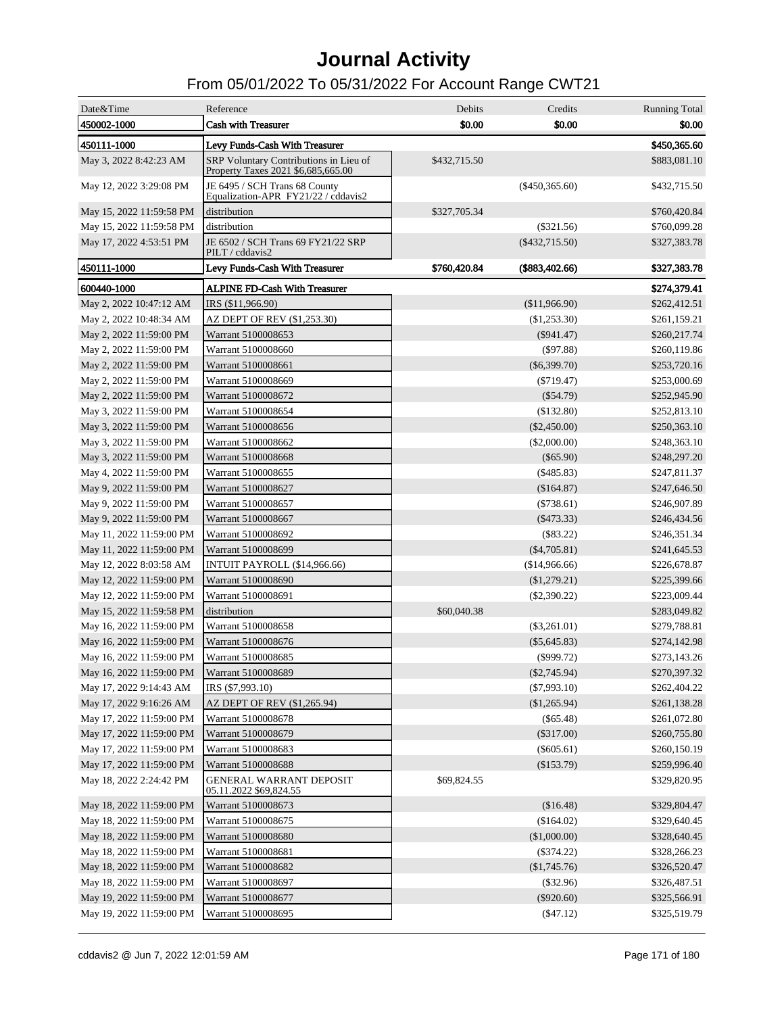| Date&Time                | Reference                                                                    | Debits       | Credits          | <b>Running Total</b> |
|--------------------------|------------------------------------------------------------------------------|--------------|------------------|----------------------|
| 450002-1000              | <b>Cash with Treasurer</b>                                                   | \$0.00       | \$0.00           | \$0.00               |
| 450111-1000              | Levy Funds-Cash With Treasurer                                               |              |                  | \$450,365.60         |
| May 3, 2022 8:42:23 AM   | SRP Voluntary Contributions in Lieu of<br>Property Taxes 2021 \$6,685,665.00 | \$432,715.50 |                  | \$883,081.10         |
| May 12, 2022 3:29:08 PM  | JE 6495 / SCH Trans 68 County<br>Equalization-APR FY21/22 / cddavis2         |              | ( \$450, 365.60) | \$432,715.50         |
| May 15, 2022 11:59:58 PM | distribution                                                                 | \$327,705.34 |                  | \$760,420.84         |
| May 15, 2022 11:59:58 PM | distribution                                                                 |              | $(\$321.56)$     | \$760,099.28         |
| May 17, 2022 4:53:51 PM  | JE 6502 / SCH Trans 69 FY21/22 SRP<br>PILT / cddavis2                        |              | $(\$432,715.50)$ | \$327,383.78         |
| 450111-1000              | Levy Funds-Cash With Treasurer                                               | \$760,420.84 | (\$883,402.66)   | \$327,383.78         |
| 600440-1000              | <b>ALPINE FD-Cash With Treasurer</b>                                         |              |                  | \$274,379.41         |
| May 2, 2022 10:47:12 AM  | IRS (\$11,966.90)                                                            |              | (\$11,966.90)    | \$262,412.51         |
| May 2, 2022 10:48:34 AM  | AZ DEPT OF REV (\$1,253.30)                                                  |              | (\$1,253.30)     | \$261,159.21         |
| May 2, 2022 11:59:00 PM  | Warrant 5100008653                                                           |              | $(\$941.47)$     | \$260,217.74         |
| May 2, 2022 11:59:00 PM  | Warrant 5100008660                                                           |              | $($ \$97.88)     | \$260,119.86         |
| May 2, 2022 11:59:00 PM  | Warrant 5100008661                                                           |              | $(\$6,399.70)$   | \$253,720.16         |
| May 2, 2022 11:59:00 PM  | Warrant 5100008669                                                           |              | $(\$719.47)$     | \$253,000.69         |
| May 2, 2022 11:59:00 PM  | Warrant 5100008672                                                           |              | $(\$54.79)$      | \$252,945.90         |
| May 3, 2022 11:59:00 PM  | Warrant 5100008654                                                           |              | (\$132.80)       | \$252,813.10         |
| May 3, 2022 11:59:00 PM  | Warrant 5100008656                                                           |              | (\$2,450.00)     | \$250,363.10         |
| May 3, 2022 11:59:00 PM  | Warrant 5100008662                                                           |              | $(\$2,000.00)$   | \$248,363.10         |
| May 3, 2022 11:59:00 PM  | Warrant 5100008668                                                           |              | $(\$65.90)$      | \$248,297.20         |
| May 4, 2022 11:59:00 PM  | Warrant 5100008655                                                           |              | (\$485.83)       | \$247,811.37         |
| May 9, 2022 11:59:00 PM  | Warrant 5100008627                                                           |              | (\$164.87)       | \$247,646.50         |
| May 9, 2022 11:59:00 PM  | Warrant 5100008657                                                           |              | $(\$738.61)$     | \$246,907.89         |
| May 9, 2022 11:59:00 PM  | Warrant 5100008667                                                           |              | $(\$473.33)$     | \$246,434.56         |
| May 11, 2022 11:59:00 PM | Warrant 5100008692                                                           |              | $(\$83.22)$      | \$246,351.34         |
| May 11, 2022 11:59:00 PM | Warrant 5100008699                                                           |              | $(\$4,705.81)$   | \$241,645.53         |
| May 12, 2022 8:03:58 AM  | INTUIT PAYROLL (\$14,966.66)                                                 |              | (\$14,966.66)    | \$226,678.87         |
| May 12, 2022 11:59:00 PM | Warrant 5100008690                                                           |              | (\$1,279.21)     | \$225,399.66         |
| May 12, 2022 11:59:00 PM | Warrant 5100008691                                                           |              | $(\$2,390.22)$   | \$223,009.44         |
| May 15, 2022 11:59:58 PM | distribution                                                                 | \$60,040.38  |                  | \$283,049.82         |
| May 16, 2022 11:59:00 PM | Warrant 5100008658                                                           |              | $(\$3,261.01)$   | \$279,788.81         |
| May 16, 2022 11:59:00 PM | Warrant 5100008676                                                           |              | $(\$5,645.83)$   | \$274,142.98         |
| May 16, 2022 11:59:00 PM | Warrant 5100008685                                                           |              | $(\$999.72)$     | \$273,143.26         |
| May 16, 2022 11:59:00 PM | Warrant 5100008689                                                           |              | $(\$2,745.94)$   | \$270,397.32         |
| May 17, 2022 9:14:43 AM  | IRS (\$7,993.10)                                                             |              | $(\$7,993.10)$   | \$262,404.22         |
| May 17, 2022 9:16:26 AM  | AZ DEPT OF REV (\$1,265.94)                                                  |              | (\$1,265.94)     | \$261,138.28         |
| May 17, 2022 11:59:00 PM | Warrant 5100008678                                                           |              | $(\$65.48)$      | \$261,072.80         |
| May 17, 2022 11:59:00 PM | Warrant 5100008679                                                           |              | $(\$317.00)$     | \$260,755.80         |
| May 17, 2022 11:59:00 PM | Warrant 5100008683                                                           |              | $(\$605.61)$     | \$260,150.19         |
| May 17, 2022 11:59:00 PM | Warrant 5100008688                                                           |              | $(\$153.79)$     | \$259,996.40         |
| May 18, 2022 2:24:42 PM  | <b>GENERAL WARRANT DEPOSIT</b><br>05.11.2022 \$69,824.55                     | \$69,824.55  |                  | \$329,820.95         |
| May 18, 2022 11:59:00 PM | Warrant 5100008673                                                           |              | (\$16.48)        | \$329,804.47         |
| May 18, 2022 11:59:00 PM | Warrant 5100008675                                                           |              | (\$164.02)       | \$329,640.45         |
| May 18, 2022 11:59:00 PM | Warrant 5100008680                                                           |              | (\$1,000.00)     | \$328,640.45         |
| May 18, 2022 11:59:00 PM | Warrant 5100008681                                                           |              | $(\$374.22)$     | \$328,266.23         |
| May 18, 2022 11:59:00 PM | Warrant 5100008682                                                           |              | (\$1,745.76)     | \$326,520.47         |
| May 18, 2022 11:59:00 PM | Warrant 5100008697                                                           |              | $(\$32.96)$      | \$326,487.51         |
| May 19, 2022 11:59:00 PM | Warrant 5100008677                                                           |              | $(\$920.60)$     | \$325,566.91         |
| May 19, 2022 11:59:00 PM | Warrant 5100008695                                                           |              | ( \$47.12)       | \$325,519.79         |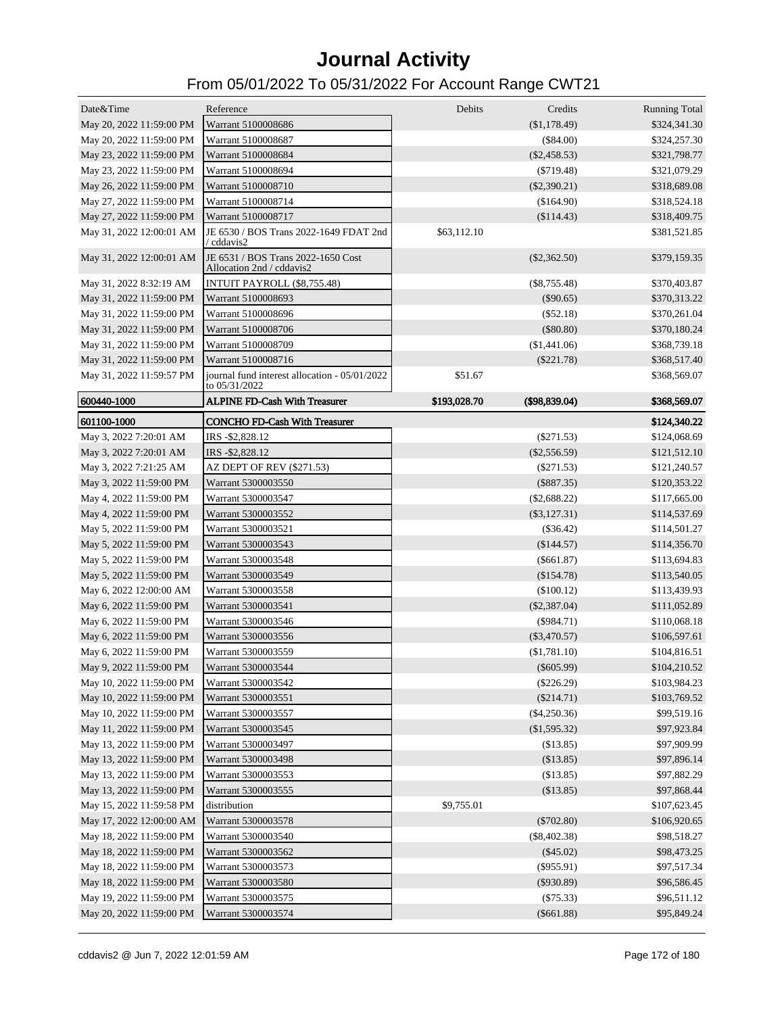| Date&Time                | Reference                                                       | Debits       | Credits        | <b>Running Total</b> |
|--------------------------|-----------------------------------------------------------------|--------------|----------------|----------------------|
| May 20, 2022 11:59:00 PM | Warrant 5100008686                                              |              | (\$1,178.49)   | \$324,341.30         |
| May 20, 2022 11:59:00 PM | Warrant 5100008687                                              |              | $(\$84.00)$    | \$324,257.30         |
| May 23, 2022 11:59:00 PM | Warrant 5100008684                                              |              | $(\$2,458.53)$ | \$321,798.77         |
| May 23, 2022 11:59:00 PM | Warrant 5100008694                                              |              | $(\$719.48)$   | \$321,079.29         |
| May 26, 2022 11:59:00 PM | Warrant 5100008710                                              |              | $(\$2,390.21)$ | \$318,689.08         |
| May 27, 2022 11:59:00 PM | Warrant 5100008714                                              |              | (\$164.90)     | \$318,524.18         |
| May 27, 2022 11:59:00 PM | Warrant 5100008717                                              |              | (\$114.43)     | \$318,409.75         |
| May 31, 2022 12:00:01 AM | JE 6530 / BOS Trans 2022-1649 FDAT 2nd<br>/ cddavis2            | \$63,112.10  |                | \$381,521.85         |
| May 31, 2022 12:00:01 AM | JE 6531 / BOS Trans 2022-1650 Cost<br>Allocation 2nd / cddavis2 |              | $(\$2,362.50)$ | \$379,159.35         |
| May 31, 2022 8:32:19 AM  | INTUIT PAYROLL (\$8,755.48)                                     |              | $(\$8,755.48)$ | \$370,403.87         |
| May 31, 2022 11:59:00 PM | Warrant 5100008693                                              |              | $(\$90.65)$    | \$370,313.22         |
| May 31, 2022 11:59:00 PM | Warrant 5100008696                                              |              | $(\$52.18)$    | \$370,261.04         |
| May 31, 2022 11:59:00 PM | Warrant 5100008706                                              |              | $(\$80.80)$    | \$370,180.24         |
| May 31, 2022 11:59:00 PM | Warrant 5100008709                                              |              | (\$1,441.06)   | \$368,739.18         |
| May 31, 2022 11:59:00 PM | Warrant 5100008716                                              |              | $(\$221.78)$   | \$368,517.40         |
| May 31, 2022 11:59:57 PM | journal fund interest allocation - 05/01/2022<br>to 05/31/2022  | \$51.67      |                | \$368,569.07         |
| 600440-1000              | <b>ALPINE FD-Cash With Treasurer</b>                            | \$193,028.70 | (\$98,839.04)  | \$368,569.07         |
| 601100-1000              | <b>CONCHO FD-Cash With Treasurer</b>                            |              |                | \$124,340.22         |
| May 3, 2022 7:20:01 AM   | IRS -\$2,828.12                                                 |              | $(\$271.53)$   | \$124,068.69         |
| May 3, 2022 7:20:01 AM   | IRS -\$2,828.12                                                 |              | $(\$2,556.59)$ | \$121,512.10         |
| May 3, 2022 7:21:25 AM   | AZ DEPT OF REV (\$271.53)                                       |              | $(\$271.53)$   | \$121,240.57         |
| May 3, 2022 11:59:00 PM  | Warrant 5300003550                                              |              | $(\$887.35)$   | \$120,353.22         |
| May 4, 2022 11:59:00 PM  | Warrant 5300003547                                              |              | $(\$2,688.22)$ | \$117,665.00         |
| May 4, 2022 11:59:00 PM  | Warrant 5300003552                                              |              | $(\$3,127.31)$ | \$114,537.69         |
| May 5, 2022 11:59:00 PM  | Warrant 5300003521                                              |              | $(\$36.42)$    | \$114,501.27         |
| May 5, 2022 11:59:00 PM  | Warrant 5300003543                                              |              | (\$144.57)     | \$114,356.70         |
|                          | Warrant 5300003548                                              |              | $(\$661.87)$   |                      |
| May 5, 2022 11:59:00 PM  |                                                                 |              |                | \$113,694.83         |
| May 5, 2022 11:59:00 PM  | Warrant 5300003549                                              |              | (\$154.78)     | \$113,540.05         |
| May 6, 2022 12:00:00 AM  | Warrant 5300003558                                              |              | $(\$100.12)$   | \$113,439.93         |
| May 6, 2022 11:59:00 PM  | Warrant 5300003541                                              |              | $(\$2,387.04)$ | \$111,052.89         |
| May 6, 2022 11:59:00 PM  | Warrant 5300003546                                              |              | $(\$984.71)$   | \$110,068.18         |
| May 6, 2022 11:59:00 PM  | Warrant 5300003556                                              |              | $(\$3,470.57)$ | \$106,597.61         |
| May 6, 2022 11:59:00 PM  | Warrant 5300003559                                              |              | (\$1,781.10)   | \$104,816.51         |
| May 9, 2022 11:59:00 PM  | Warrant 5300003544                                              |              | $(\$605.99)$   | \$104,210.52         |
| May 10, 2022 11:59:00 PM | Warrant 5300003542                                              |              | $(\$226.29)$   | \$103,984.23         |
| May 10, 2022 11:59:00 PM | Warrant 5300003551                                              |              | $(\$214.71)$   | \$103,769.52         |
| May 10, 2022 11:59:00 PM | Warrant 5300003557                                              |              | $(\$4,250.36)$ | \$99,519.16          |
| May 11, 2022 11:59:00 PM | Warrant 5300003545                                              |              | (\$1,595.32)   | \$97,923.84          |
| May 13, 2022 11:59:00 PM | Warrant 5300003497                                              |              | (\$13.85)      | \$97,909.99          |
| May 13, 2022 11:59:00 PM | Warrant 5300003498                                              |              | (\$13.85)      | \$97,896.14          |
| May 13, 2022 11:59:00 PM | Warrant 5300003553                                              |              | (\$13.85)      | \$97,882.29          |
| May 13, 2022 11:59:00 PM | Warrant 5300003555                                              |              | (\$13.85)      | \$97,868.44          |
| May 15, 2022 11:59:58 PM | distribution                                                    | \$9,755.01   |                | \$107,623.45         |
| May 17, 2022 12:00:00 AM | Warrant 5300003578                                              |              | $(\$702.80)$   | \$106,920.65         |
| May 18, 2022 11:59:00 PM | Warrant 5300003540                                              |              | $(\$8,402.38)$ | \$98,518.27          |
| May 18, 2022 11:59:00 PM | Warrant 5300003562                                              |              | $(\$45.02)$    | \$98,473.25          |
| May 18, 2022 11:59:00 PM | Warrant 5300003573                                              |              | $(\$955.91)$   | \$97,517.34          |
| May 18, 2022 11:59:00 PM | Warrant 5300003580                                              |              | $(\$930.89)$   | \$96,586.45          |
| May 19, 2022 11:59:00 PM | Warrant 5300003575                                              |              | (\$75.33)      | \$96,511.12          |
| May 20, 2022 11:59:00 PM | Warrant 5300003574                                              |              | $(\$661.88)$   | \$95,849.24          |
|                          |                                                                 |              |                |                      |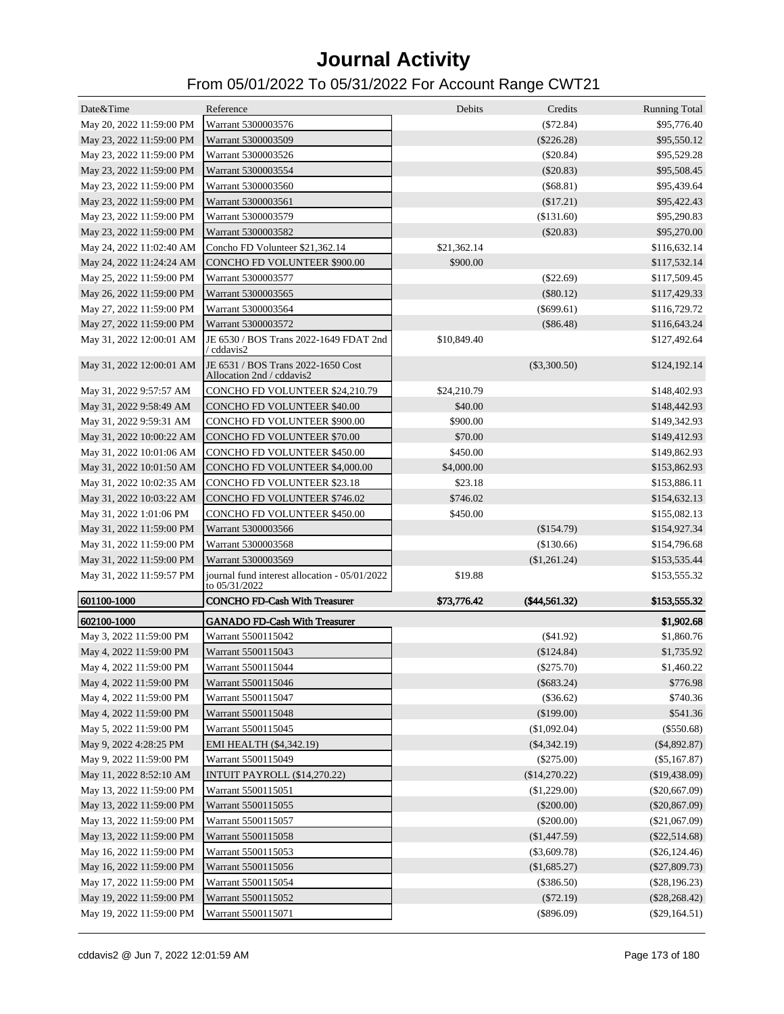| Date&Time                | Reference                                                                                | Debits      | Credits        | <b>Running Total</b> |
|--------------------------|------------------------------------------------------------------------------------------|-------------|----------------|----------------------|
| May 20, 2022 11:59:00 PM | Warrant 5300003576                                                                       |             | (\$72.84)      | \$95,776.40          |
| May 23, 2022 11:59:00 PM | Warrant 5300003509                                                                       |             | $(\$226.28)$   | \$95,550.12          |
| May 23, 2022 11:59:00 PM | Warrant 5300003526                                                                       |             | $(\$20.84)$    | \$95,529.28          |
| May 23, 2022 11:59:00 PM | Warrant 5300003554                                                                       |             | $(\$20.83)$    | \$95,508.45          |
| May 23, 2022 11:59:00 PM | Warrant 5300003560                                                                       |             | $(\$68.81)$    | \$95,439.64          |
| May 23, 2022 11:59:00 PM | Warrant 5300003561                                                                       |             | (\$17.21)      | \$95,422.43          |
| May 23, 2022 11:59:00 PM | Warrant 5300003579                                                                       |             | (\$131.60)     | \$95,290.83          |
| May 23, 2022 11:59:00 PM | Warrant 5300003582                                                                       |             | $(\$20.83)$    | \$95,270.00          |
| May 24, 2022 11:02:40 AM | Concho FD Volunteer \$21,362.14                                                          | \$21,362.14 |                | \$116,632.14         |
| May 24, 2022 11:24:24 AM | CONCHO FD VOLUNTEER \$900.00                                                             | \$900.00    |                | \$117,532.14         |
| May 25, 2022 11:59:00 PM | Warrant 5300003577                                                                       |             | $(\$22.69)$    | \$117,509.45         |
| May 26, 2022 11:59:00 PM | Warrant 5300003565                                                                       |             | $(\$80.12)$    | \$117,429.33         |
| May 27, 2022 11:59:00 PM | Warrant 5300003564                                                                       |             | $(\$699.61)$   | \$116,729.72         |
| May 27, 2022 11:59:00 PM | Warrant 5300003572                                                                       |             | $(\$86.48)$    | \$116,643.24         |
| May 31, 2022 12:00:01 AM | JE 6530 / BOS Trans 2022-1649 FDAT 2nd<br>/ cddavis2                                     | \$10,849.40 |                | \$127,492.64         |
|                          | May 31, 2022 12:00:01 AM JE 6531 / BOS Trans 2022-1650 Cost<br>Allocation 2nd / cddavis2 |             | $(\$3,300.50)$ | \$124,192.14         |
| May 31, 2022 9:57:57 AM  | CONCHO FD VOLUNTEER \$24,210.79                                                          | \$24,210.79 |                | \$148,402.93         |
| May 31, 2022 9:58:49 AM  | <b>CONCHO FD VOLUNTEER \$40.00</b>                                                       | \$40.00     |                | \$148,442.93         |
| May 31, 2022 9:59:31 AM  | <b>CONCHO FD VOLUNTEER \$900.00</b>                                                      | \$900.00    |                | \$149,342.93         |
| May 31, 2022 10:00:22 AM | <b>CONCHO FD VOLUNTEER \$70.00</b>                                                       | \$70.00     |                | \$149,412.93         |
| May 31, 2022 10:01:06 AM | CONCHO FD VOLUNTEER \$450.00                                                             | \$450.00    |                | \$149,862.93         |
| May 31, 2022 10:01:50 AM | <b>CONCHO FD VOLUNTEER \$4,000.00</b>                                                    | \$4,000.00  |                | \$153,862.93         |
| May 31, 2022 10:02:35 AM | <b>CONCHO FD VOLUNTEER \$23.18</b>                                                       | \$23.18     |                | \$153,886.11         |
| May 31, 2022 10:03:22 AM | <b>CONCHO FD VOLUNTEER \$746.02</b>                                                      | \$746.02    |                | \$154,632.13         |
| May 31, 2022 1:01:06 PM  | <b>CONCHO FD VOLUNTEER \$450.00</b>                                                      | \$450.00    |                | \$155,082.13         |
| May 31, 2022 11:59:00 PM | Warrant 5300003566                                                                       |             | (\$154.79)     | \$154,927.34         |
| May 31, 2022 11:59:00 PM | Warrant 5300003568                                                                       |             | (\$130.66)     | \$154,796.68         |
| May 31, 2022 11:59:00 PM | Warrant 5300003569                                                                       |             | (\$1,261.24)   | \$153,535.44         |
| May 31, 2022 11:59:57 PM | journal fund interest allocation - 05/01/2022<br>to 05/31/2022                           | \$19.88     |                | \$153,555.32         |
| 601100-1000              | <b>CONCHO FD-Cash With Treasurer</b>                                                     | \$73,776.42 | (\$44,561.32)  | \$153,555.32         |
| 602100-1000              | <b>GANADO FD-Cash With Treasurer</b>                                                     |             |                | \$1,902.68           |
| May 3, 2022 11:59:00 PM  | Warrant 5500115042                                                                       |             | $(\$41.92)$    | \$1,860.76           |
| May 4, 2022 11:59:00 PM  | Warrant 5500115043                                                                       |             | $(\$124.84)$   | \$1,735.92           |
| May 4, 2022 11:59:00 PM  | Warrant 5500115044                                                                       |             | $(\$275.70)$   | \$1,460.22           |
| May 4, 2022 11:59:00 PM  | Warrant 5500115046                                                                       |             | $(\$683.24)$   | \$776.98             |
| May 4, 2022 11:59:00 PM  | Warrant 5500115047                                                                       |             | (\$36.62)      | \$740.36             |
| May 4, 2022 11:59:00 PM  | Warrant 5500115048                                                                       |             | $(\$199.00)$   | \$541.36             |
| May 5, 2022 11:59:00 PM  | Warrant 5500115045                                                                       |             | (\$1,092.04)   | $(\$550.68)$         |
| May 9, 2022 4:28:25 PM   | EMI HEALTH (\$4,342.19)                                                                  |             | $(\$4,342.19)$ | $(\$4,892.87)$       |
| May 9, 2022 11:59:00 PM  | Warrant 5500115049                                                                       |             | $(\$275.00)$   | $(\$5,167.87)$       |
| May 11, 2022 8:52:10 AM  | INTUIT PAYROLL (\$14,270.22)                                                             |             | (\$14,270.22)  | (\$19,438.09)        |
| May 13, 2022 11:59:00 PM | Warrant 5500115051                                                                       |             | (\$1,229.00)   | $(\$20,667.09)$      |
| May 13, 2022 11:59:00 PM | Warrant 5500115055                                                                       |             | $(\$200.00)$   | $(\$20,867.09)$      |
| May 13, 2022 11:59:00 PM | Warrant 5500115057                                                                       |             | $(\$200.00)$   | (\$21,067.09)        |
| May 13, 2022 11:59:00 PM | Warrant 5500115058                                                                       |             | (\$1,447.59)   | $(\$22,514.68)$      |
| May 16, 2022 11:59:00 PM | Warrant 5500115053                                                                       |             | $(\$3,609.78)$ | $(\$26,124.46)$      |
| May 16, 2022 11:59:00 PM | Warrant 5500115056                                                                       |             | (\$1,685.27)   | $(\$27,809.73)$      |
| May 17, 2022 11:59:00 PM | Warrant 5500115054                                                                       |             | $(\$386.50)$   | (\$28,196.23)        |
| May 19, 2022 11:59:00 PM | Warrant 5500115052                                                                       |             | $(\$72.19)$    | $(\$28,268.42)$      |
| May 19, 2022 11:59:00 PM | Warrant 5500115071                                                                       |             | $(\$896.09)$   | $(\$29,164.51)$      |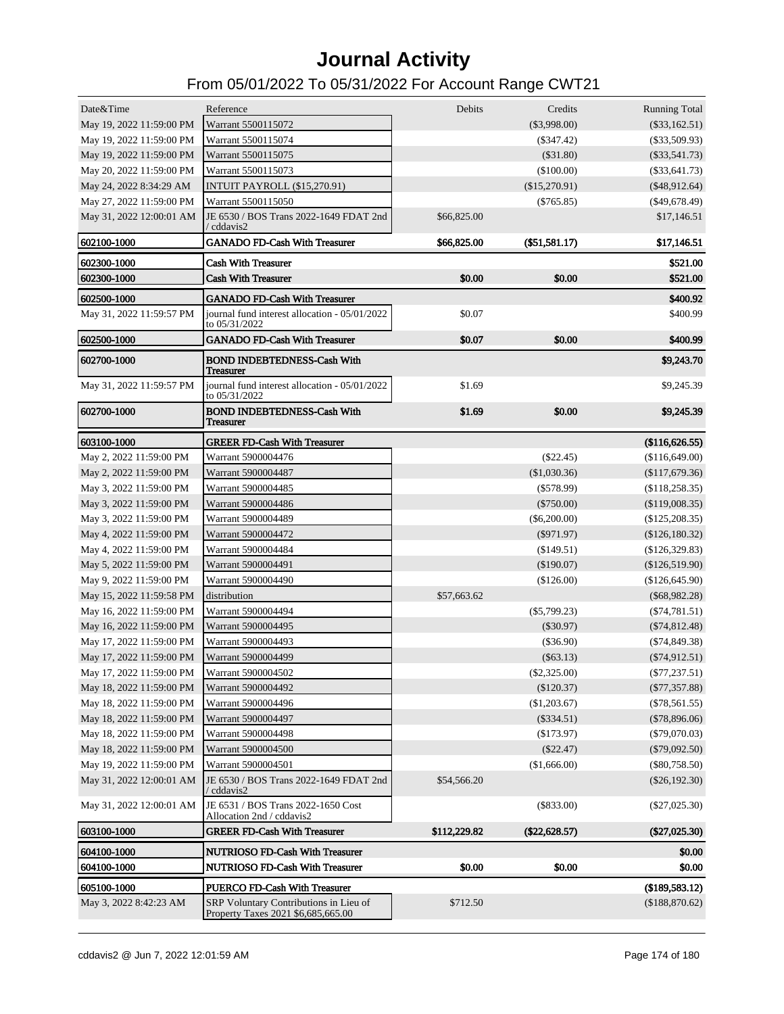| Date&Time                | Reference                                                                    | Debits       | Credits         | <b>Running Total</b> |
|--------------------------|------------------------------------------------------------------------------|--------------|-----------------|----------------------|
| May 19, 2022 11:59:00 PM | Warrant 5500115072                                                           |              | $(\$3,998.00)$  | $(\$33,162.51)$      |
| May 19, 2022 11:59:00 PM | Warrant 5500115074                                                           |              | $(\$347.42)$    | (\$33,509.93)        |
| May 19, 2022 11:59:00 PM | Warrant 5500115075                                                           |              | $(\$31.80)$     | $(\$33,541.73)$      |
| May 20, 2022 11:59:00 PM | Warrant 5500115073                                                           |              | (\$100.00)      | (\$33,641.73)        |
| May 24, 2022 8:34:29 AM  | <b>INTUIT PAYROLL (\$15,270.91)</b>                                          |              | (\$15,270.91)   | $(\$48,912.64)$      |
| May 27, 2022 11:59:00 PM | Warrant 5500115050                                                           |              | $(\$765.85)$    | $($ \$49,678.49 $)$  |
| May 31, 2022 12:00:01 AM | JE 6530 / BOS Trans 2022-1649 FDAT 2nd<br>/ cddavis2                         | \$66,825.00  |                 | \$17,146.51          |
| 602100-1000              | <b>GANADO FD-Cash With Treasurer</b>                                         | \$66,825.00  | $(\$51,581.17)$ | \$17,146.51          |
| 602300-1000              | <b>Cash With Treasurer</b>                                                   |              |                 | \$521.00             |
| 602300-1000              | <b>Cash With Treasurer</b>                                                   | \$0.00       | \$0.00          | \$521.00             |
| 602500-1000              | <b>GANADO FD-Cash With Treasurer</b>                                         |              |                 | \$400.92             |
| May 31, 2022 11:59:57 PM | journal fund interest allocation - 05/01/2022<br>to 05/31/2022               | \$0.07       |                 | \$400.99             |
| 602500-1000              | <b>GANADO FD-Cash With Treasurer</b>                                         | \$0.07       | \$0.00          | \$400.99             |
| 602700-1000              | <b>BOND INDEBTEDNESS-Cash With</b><br>Treasurer                              |              |                 | \$9,243.70           |
| May 31, 2022 11:59:57 PM | journal fund interest allocation - 05/01/2022<br>to 05/31/2022               | \$1.69       |                 | \$9,245.39           |
| 602700-1000              | <b>BOND INDEBTEDNESS-Cash With</b><br>Treasurer                              | \$1.69       | \$0.00          | \$9,245.39           |
| 603100-1000              | <b>GREER FD-Cash With Treasurer</b>                                          |              |                 | (\$116,626.55)       |
| May 2, 2022 11:59:00 PM  | Warrant 5900004476                                                           |              | $(\$22.45)$     | (\$116,649.00)       |
| May 2, 2022 11:59:00 PM  | Warrant 5900004487                                                           |              | $(\$1,030.36)$  | (\$117,679.36)       |
| May 3, 2022 11:59:00 PM  | Warrant 5900004485                                                           |              | $(\$578.99)$    | (\$118,258.35)       |
| May 3, 2022 11:59:00 PM  | Warrant 5900004486                                                           |              | $(\$750.00)$    | (\$119,008.35)       |
| May 3, 2022 11:59:00 PM  | Warrant 5900004489                                                           |              | $(\$6,200.00)$  | (\$125,208.35)       |
| May 4, 2022 11:59:00 PM  | Warrant 5900004472                                                           |              | $(\$971.97)$    | (\$126,180.32)       |
| May 4, 2022 11:59:00 PM  | Warrant 5900004484                                                           |              | (\$149.51)      | (\$126,329.83)       |
| May 5, 2022 11:59:00 PM  | Warrant 5900004491                                                           |              | (\$190.07)      | (\$126,519.90)       |
| May 9, 2022 11:59:00 PM  | Warrant 5900004490                                                           |              | (\$126.00)      | $(\$126,645.90)$     |
| May 15, 2022 11:59:58 PM | distribution                                                                 | \$57,663.62  |                 | $(\$68,982.28)$      |
| May 16, 2022 11:59:00 PM | Warrant 5900004494                                                           |              | $(\$5,799.23)$  | $(\$74,781.51)$      |
| May 16, 2022 11:59:00 PM | Warrant 5900004495                                                           |              | $(\$30.97)$     | $(\$74,812.48)$      |
| May 17, 2022 11:59:00 PM | Warrant 5900004493                                                           |              | (\$36.90)       | $(\$74,849.38)$      |
| May 17, 2022 11:59:00 PM | Warrant 5900004499                                                           |              | $(\$63.13)$     | $(\$74,912.51)$      |
| May 17, 2022 11:59:00 PM | Warrant 5900004502                                                           |              | $(\$2,325.00)$  | $(\$77, 237.51)$     |
| May 18, 2022 11:59:00 PM | Warrant 5900004492                                                           |              | $(\$120.37)$    | $(\$77,357.88)$      |
| May 18, 2022 11:59:00 PM | Warrant 5900004496                                                           |              | (\$1,203.67)    | $(\$78,561.55)$      |
| May 18, 2022 11:59:00 PM | Warrant 5900004497                                                           |              | $(\$334.51)$    | $(\$78,896.06)$      |
| May 18, 2022 11:59:00 PM | Warrant 5900004498                                                           |              | $(\$173.97)$    | $(\$79,070.03)$      |
| May 18, 2022 11:59:00 PM | Warrant 5900004500                                                           |              | $(\$22.47)$     | $(\$79,092.50)$      |
| May 19, 2022 11:59:00 PM | Warrant 5900004501                                                           |              | (\$1,666.00)    | $(\$80,758.50)$      |
| May 31, 2022 12:00:01 AM | JE 6530 / BOS Trans 2022-1649 FDAT 2nd<br>/ cddavis2                         | \$54,566.20  |                 | $(\$26,192.30)$      |
| May 31, 2022 12:00:01 AM | JE 6531 / BOS Trans 2022-1650 Cost<br>Allocation 2nd / cddavis2              |              | $(\$833.00)$    | $(\$27,025.30)$      |
| 603100-1000              | <b>GREER FD-Cash With Treasurer</b>                                          | \$112,229.82 | $(\$22,628.57)$ | $(\$27,025.30)$      |
| 604100-1000              | <b>NUTRIOSO FD-Cash With Treasurer</b>                                       |              |                 | \$0.00               |
| 604100-1000              | <b>NUTRIOSO FD-Cash With Treasurer</b>                                       | \$0.00       | \$0.00          | \$0.00               |
| 605100-1000              | <b>PUERCO FD-Cash With Treasurer</b>                                         |              |                 | (\$189,583.12)       |
| May 3, 2022 8:42:23 AM   | SRP Voluntary Contributions in Lieu of<br>Property Taxes 2021 \$6,685,665.00 | \$712.50     |                 | (\$188,870.62)       |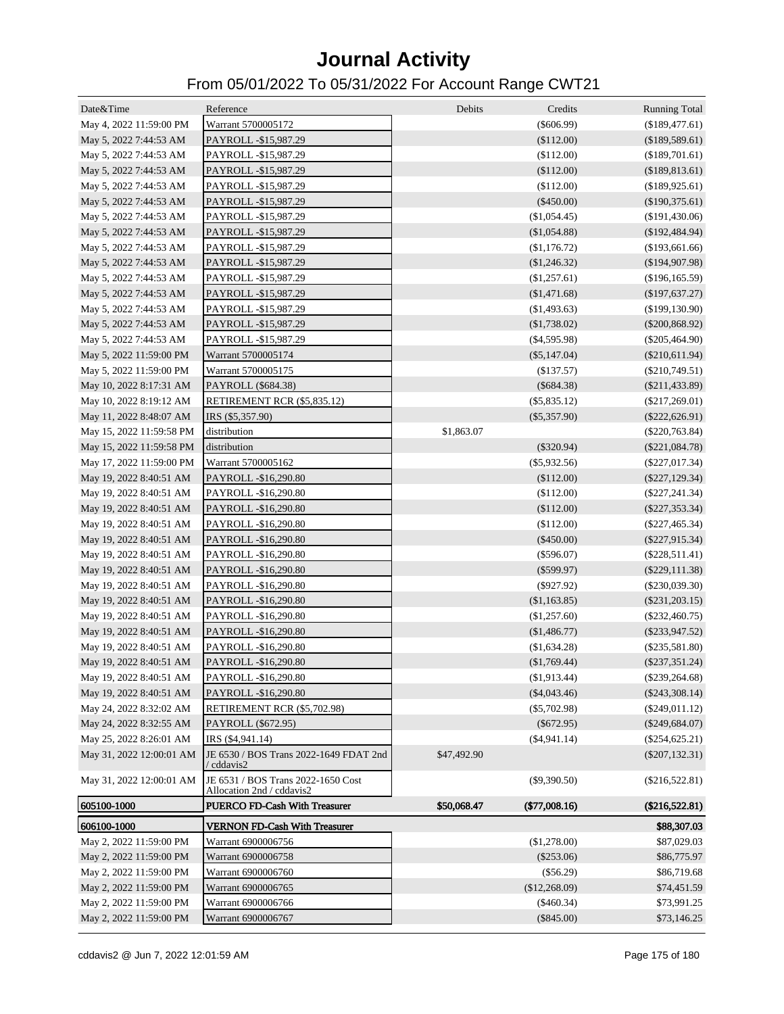| Date&Time                | Reference                                                       | Debits      | Credits         | <b>Running Total</b> |
|--------------------------|-----------------------------------------------------------------|-------------|-----------------|----------------------|
| May 4, 2022 11:59:00 PM  | Warrant 5700005172                                              |             | $(\$606.99)$    | (\$189,477.61)       |
| May 5, 2022 7:44:53 AM   | PAYROLL -\$15,987.29                                            |             | (\$112.00)      | (\$189,589.61)       |
| May 5, 2022 7:44:53 AM   | PAYROLL -\$15,987.29                                            |             | (\$112.00)      | (\$189,701.61)       |
| May 5, 2022 7:44:53 AM   | PAYROLL -\$15,987.29                                            |             | (\$112.00)      | (\$189,813.61)       |
| May 5, 2022 7:44:53 AM   | PAYROLL -\$15,987.29                                            |             | (\$112.00)      | (\$189,925.61)       |
| May 5, 2022 7:44:53 AM   | PAYROLL -\$15,987.29                                            |             | $(\$450.00)$    | $(\$190,375.61)$     |
| May 5, 2022 7:44:53 AM   | PAYROLL -\$15,987.29                                            |             | (\$1,054.45)    | (\$191,430.06)       |
| May 5, 2022 7:44:53 AM   | PAYROLL -\$15,987.29                                            |             | (\$1,054.88)    | $(\$192,484.94)$     |
| May 5, 2022 7:44:53 AM   | PAYROLL -\$15,987.29                                            |             | $(\$1,176.72)$  | (\$193,661.66)       |
| May 5, 2022 7:44:53 AM   | PAYROLL -\$15,987.29                                            |             | (\$1,246.32)    | (\$194,907.98)       |
| May 5, 2022 7:44:53 AM   | PAYROLL -\$15,987.29                                            |             | (\$1,257.61)    | (\$196, 165.59)      |
| May 5, 2022 7:44:53 AM   | PAYROLL -\$15,987.29                                            |             | (\$1,471.68)    | (\$197,637.27)       |
| May 5, 2022 7:44:53 AM   | PAYROLL -\$15,987.29                                            |             | (\$1,493.63)    | (\$199, 130.90)      |
| May 5, 2022 7:44:53 AM   | PAYROLL -\$15,987.29                                            |             | (\$1,738.02)    | $(\$200,868.92)$     |
| May 5, 2022 7:44:53 AM   | PAYROLL -\$15,987.29                                            |             | $(\$4,595.98)$  | $(\$205,464.90)$     |
| May 5, 2022 11:59:00 PM  | Warrant 5700005174                                              |             | $(\$5,147.04)$  | $(\$210,611.94)$     |
| May 5, 2022 11:59:00 PM  | Warrant 5700005175                                              |             | (\$137.57)      | $(\$210,749.51)$     |
| May 10, 2022 8:17:31 AM  | PAYROLL (\$684.38)                                              |             | $(\$684.38)$    | $(\$211,433.89)$     |
| May 10, 2022 8:19:12 AM  | RETIREMENT RCR (\$5,835.12)                                     |             | $(\$5,835.12)$  | $(\$217,269.01)$     |
| May 11, 2022 8:48:07 AM  | IRS (\$5,357.90)                                                |             | $(\$5,357.90)$  | $(\$222,626.91)$     |
| May 15, 2022 11:59:58 PM | distribution                                                    | \$1,863.07  |                 | $(\$220,763.84)$     |
| May 15, 2022 11:59:58 PM | distribution                                                    |             | $(\$320.94)$    | $(\$221,084.78)$     |
| May 17, 2022 11:59:00 PM | Warrant 5700005162                                              |             | $(\$5,932.56)$  | $(\$227,017.34)$     |
| May 19, 2022 8:40:51 AM  | PAYROLL -\$16,290.80                                            |             | (\$112.00)      | $(\$227, 129.34)$    |
| May 19, 2022 8:40:51 AM  | PAYROLL -\$16,290.80                                            |             | (\$112.00)      | $(\$227, 241.34)$    |
| May 19, 2022 8:40:51 AM  | PAYROLL -\$16,290.80                                            |             | (\$112.00)      | $(\$227,353.34)$     |
| May 19, 2022 8:40:51 AM  | PAYROLL -\$16,290.80                                            |             | (\$112.00)      | $(\$227,465.34)$     |
| May 19, 2022 8:40:51 AM  | PAYROLL -\$16,290.80                                            |             | $(\$450.00)$    | $(\$227,915.34)$     |
| May 19, 2022 8:40:51 AM  | PAYROLL -\$16,290.80                                            |             | $(\$596.07)$    | $(\$228,511.41)$     |
|                          |                                                                 |             | $(\$599.97)$    | $(\$229,111.38)$     |
| May 19, 2022 8:40:51 AM  | PAYROLL -\$16,290.80                                            |             | $(\$927.92)$    | $(\$230,039.30)$     |
| May 19, 2022 8:40:51 AM  | PAYROLL -\$16,290.80                                            |             | (\$1,163.85)    | $(\$231,203.15)$     |
| May 19, 2022 8:40:51 AM  | PAYROLL -\$16,290.80                                            |             |                 |                      |
| May 19, 2022 8:40:51 AM  | PAYROLL -\$16,290.80                                            |             | (\$1,257.60)    | $(\$232,460.75)$     |
| May 19, 2022 8:40:51 AM  | PAYROLL -\$16,290.80                                            |             | (\$1,486.77)    | $(\$233,947.52)$     |
| May 19, 2022 8:40:51 AM  | PAYROLL -\$16,290.80                                            |             | (\$1,634.28)    | $(\$235,581.80)$     |
| May 19, 2022 8:40:51 AM  | PAYROLL -\$16,290.80                                            |             | (\$1,769.44)    | $(\$237,351.24)$     |
| May 19, 2022 8:40:51 AM  | PAYROLL -\$16,290.80                                            |             | (\$1,913.44)    | $(\$239,264.68)$     |
| May 19, 2022 8:40:51 AM  | PAYROLL -\$16,290.80                                            |             | $(\$4,043.46)$  | $(\$243,308.14)$     |
| May 24, 2022 8:32:02 AM  | RETIREMENT RCR (\$5,702.98)                                     |             | $(\$5,702.98)$  | $(\$249,011.12)$     |
| May 24, 2022 8:32:55 AM  | PAYROLL (\$672.95)                                              |             | $(\$672.95)$    | $(\$249,684.07)$     |
| May 25, 2022 8:26:01 AM  | IRS (\$4,941.14)                                                |             | $(\$4,941.14)$  | $(\$254,625.21)$     |
| May 31, 2022 12:00:01 AM | JE 6530 / BOS Trans 2022-1649 FDAT 2nd<br>/ cddavis2            | \$47,492.90 |                 | $(\$207, 132.31)$    |
| May 31, 2022 12:00:01 AM | JE 6531 / BOS Trans 2022-1650 Cost<br>Allocation 2nd / cddavis2 |             | $(\$9,390.50)$  | $(\$216,522.81)$     |
| 605100-1000              | <b>PUERCO FD-Cash With Treasurer</b>                            | \$50,068.47 | $(\$77,008.16)$ | $(\$216,522.81)$     |
| 606100-1000              | <b>VERNON FD-Cash With Treasurer</b>                            |             |                 | \$88,307.03          |
| May 2, 2022 11:59:00 PM  | Warrant 6900006756                                              |             | (\$1,278.00)    | \$87,029.03          |
| May 2, 2022 11:59:00 PM  | Warrant 6900006758                                              |             | $(\$253.06)$    | \$86,775.97          |
| May 2, 2022 11:59:00 PM  | Warrant 6900006760                                              |             | (\$56.29)       | \$86,719.68          |
| May 2, 2022 11:59:00 PM  | Warrant 6900006765                                              |             | (\$12,268.09)   | \$74,451.59          |
| May 2, 2022 11:59:00 PM  | Warrant 6900006766                                              |             | $(\$460.34)$    | \$73,991.25          |
| May 2, 2022 11:59:00 PM  | Warrant 6900006767                                              |             | $(\$845.00)$    | \$73,146.25          |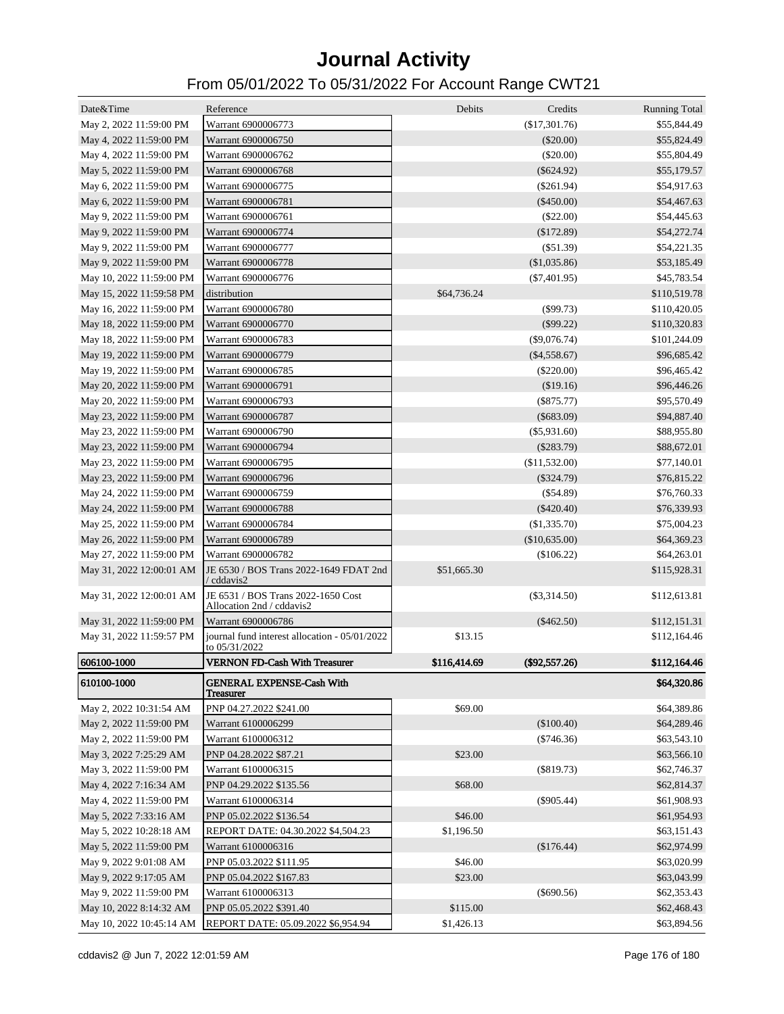| Date&Time                | Reference                                                       | <b>Debits</b> | Credits         | <b>Running Total</b> |
|--------------------------|-----------------------------------------------------------------|---------------|-----------------|----------------------|
| May 2, 2022 11:59:00 PM  | Warrant 6900006773                                              |               | (\$17,301.76)   | \$55,844.49          |
| May 4, 2022 11:59:00 PM  | Warrant 6900006750                                              |               | $(\$20.00)$     | \$55,824.49          |
| May 4, 2022 11:59:00 PM  | Warrant 6900006762                                              |               | $(\$20.00)$     | \$55,804.49          |
| May 5, 2022 11:59:00 PM  | Warrant 6900006768                                              |               | $(\$624.92)$    | \$55,179.57          |
| May 6, 2022 11:59:00 PM  | Warrant 6900006775                                              |               | $(\$261.94)$    | \$54,917.63          |
| May 6, 2022 11:59:00 PM  | Warrant 6900006781                                              |               | $(\$450.00)$    | \$54,467.63          |
| May 9, 2022 11:59:00 PM  | Warrant 6900006761                                              |               | $(\$22.00)$     | \$54,445.63          |
| May 9, 2022 11:59:00 PM  | Warrant 6900006774                                              |               | (\$172.89)      | \$54,272.74          |
| May 9, 2022 11:59:00 PM  | Warrant 6900006777                                              |               | (\$51.39)       | \$54,221.35          |
| May 9, 2022 11:59:00 PM  | Warrant 6900006778                                              |               | (\$1,035.86)    | \$53,185.49          |
| May 10, 2022 11:59:00 PM | Warrant 6900006776                                              |               | $(\$7,401.95)$  | \$45,783.54          |
| May 15, 2022 11:59:58 PM | distribution                                                    | \$64,736.24   |                 | \$110,519.78         |
| May 16, 2022 11:59:00 PM | Warrant 6900006780                                              |               | $(\$99.73)$     | \$110,420.05         |
| May 18, 2022 11:59:00 PM | Warrant 6900006770                                              |               | (\$99.22)       | \$110,320.83         |
| May 18, 2022 11:59:00 PM | Warrant 6900006783                                              |               | $(\$9,076.74)$  | \$101,244.09         |
| May 19, 2022 11:59:00 PM | Warrant 6900006779                                              |               | $(\$4,558.67)$  | \$96,685.42          |
| May 19, 2022 11:59:00 PM | Warrant 6900006785                                              |               | $(\$220.00)$    | \$96,465.42          |
| May 20, 2022 11:59:00 PM | Warrant 6900006791                                              |               | (\$19.16)       | \$96,446.26          |
| May 20, 2022 11:59:00 PM | Warrant 6900006793                                              |               | $(\$875.77)$    | \$95,570.49          |
| May 23, 2022 11:59:00 PM | Warrant 6900006787                                              |               | $(\$683.09)$    | \$94,887.40          |
| May 23, 2022 11:59:00 PM | Warrant 6900006790                                              |               | $(\$5,931.60)$  | \$88,955.80          |
| May 23, 2022 11:59:00 PM | Warrant 6900006794                                              |               | $(\$283.79)$    | \$88,672.01          |
| May 23, 2022 11:59:00 PM | Warrant 6900006795                                              |               | (\$11,532.00)   | \$77,140.01          |
| May 23, 2022 11:59:00 PM | Warrant 6900006796                                              |               | $(\$324.79)$    | \$76,815.22          |
| May 24, 2022 11:59:00 PM | Warrant 6900006759                                              |               | $(\$54.89)$     | \$76,760.33          |
| May 24, 2022 11:59:00 PM | Warrant 6900006788                                              |               | $(\$420.40)$    | \$76,339.93          |
| May 25, 2022 11:59:00 PM | Warrant 6900006784                                              |               | (\$1,335.70)    | \$75,004.23          |
| May 26, 2022 11:59:00 PM | Warrant 6900006789                                              |               | (\$10,635.00)   | \$64,369.23          |
|                          | Warrant 6900006782                                              |               | (\$106.22)      |                      |
| May 27, 2022 11:59:00 PM | JE 6530 / BOS Trans 2022-1649 FDAT 2nd                          |               |                 | \$64,263.01          |
| May 31, 2022 12:00:01 AM | / cddavis2                                                      | \$51,665.30   |                 | \$115,928.31         |
| May 31, 2022 12:00:01 AM | JE 6531 / BOS Trans 2022-1650 Cost<br>Allocation 2nd / cddavis2 |               | $(\$3,314.50)$  | \$112,613.81         |
| May 31, 2022 11:59:00 PM | Warrant 6900006786                                              |               | $(\$462.50)$    | \$112,151.31         |
| May 31, 2022 11:59:57 PM | journal fund interest allocation - 05/01/2022<br>to 05/31/2022  | \$13.15       |                 | \$112,164.46         |
| 606100-1000              | <b>VERNON FD-Cash With Treasurer</b>                            | \$116,414.69  | $(\$92,557.26)$ | \$112,164.46         |
| 610100-1000              | <b>GENERAL EXPENSE-Cash With</b><br><b>Treasurer</b>            |               |                 | \$64,320.86          |
| May 2, 2022 10:31:54 AM  | PNP 04.27.2022 \$241.00                                         | \$69.00       |                 | \$64,389.86          |
| May 2, 2022 11:59:00 PM  | Warrant 6100006299                                              |               | (\$100.40)      | \$64,289.46          |
| May 2, 2022 11:59:00 PM  | Warrant 6100006312                                              |               | $(\$746.36)$    | \$63,543.10          |
| May 3, 2022 7:25:29 AM   | PNP 04.28.2022 \$87.21                                          | \$23.00       |                 | \$63,566.10          |
| May 3, 2022 11:59:00 PM  | Warrant 6100006315                                              |               | $(\$819.73)$    | \$62,746.37          |
| May 4, 2022 7:16:34 AM   | PNP 04.29.2022 \$135.56                                         | \$68.00       |                 | \$62,814.37          |
| May 4, 2022 11:59:00 PM  | Warrant 6100006314                                              |               | $(\$905.44)$    | \$61,908.93          |
| May 5, 2022 7:33:16 AM   | PNP 05.02.2022 \$136.54                                         | \$46.00       |                 | \$61,954.93          |
| May 5, 2022 10:28:18 AM  | REPORT DATE: 04.30.2022 \$4,504.23                              | \$1,196.50    |                 | \$63,151.43          |
| May 5, 2022 11:59:00 PM  | Warrant 6100006316                                              |               | (\$176.44)      | \$62,974.99          |
|                          |                                                                 | \$46.00       |                 |                      |
| May 9, 2022 9:01:08 AM   | PNP 05.03.2022 \$111.95                                         |               |                 | \$63,020.99          |
| May 9, 2022 9:17:05 AM   | PNP 05.04.2022 \$167.83                                         | \$23.00       |                 | \$63,043.99          |
| May 9, 2022 11:59:00 PM  | Warrant 6100006313                                              |               | $(\$690.56)$    | \$62,353.43          |
| May 10, 2022 8:14:32 AM  | PNP 05.05.2022 \$391.40                                         | \$115.00      |                 | \$62,468.43          |
| May 10, 2022 10:45:14 AM | REPORT DATE: 05.09.2022 \$6,954.94                              | \$1,426.13    |                 | \$63,894.56          |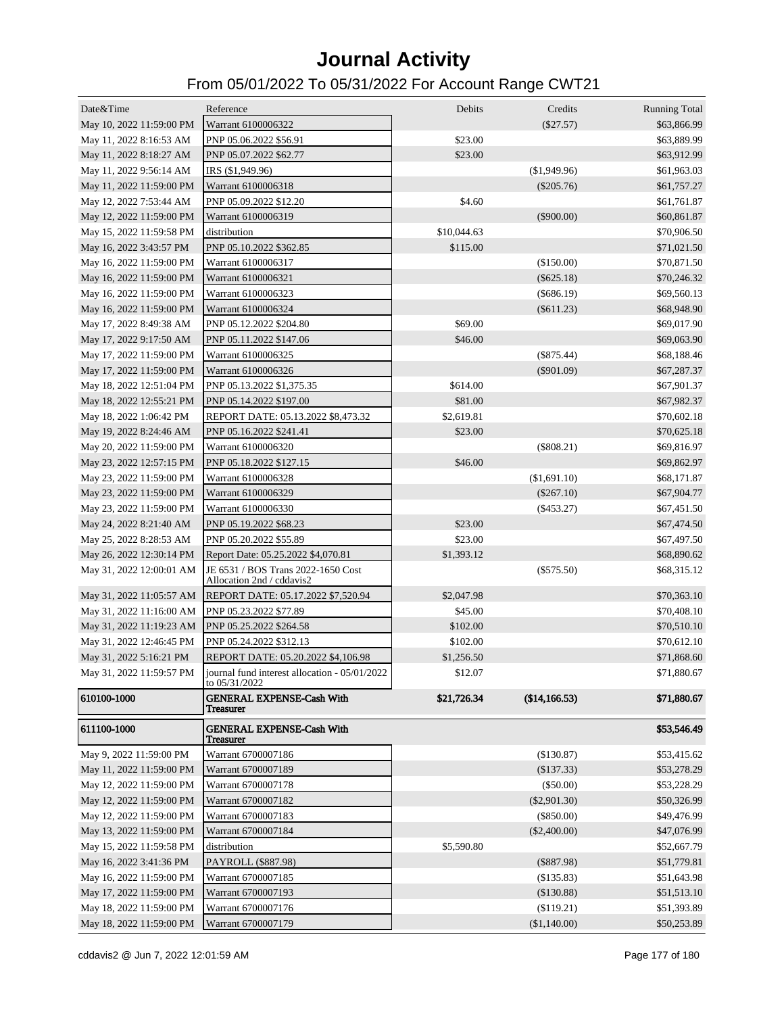| Date&Time                                        | Reference<br>Warrant 6100006322                                                         | Debits      | Credits<br>$(\$27.57)$ | <b>Running Total</b><br>\$63,866.99 |
|--------------------------------------------------|-----------------------------------------------------------------------------------------|-------------|------------------------|-------------------------------------|
| May 10, 2022 11:59:00 PM                         | PNP 05.06.2022 \$56.91                                                                  | \$23.00     |                        |                                     |
| May 11, 2022 8:16:53 AM                          |                                                                                         | \$23.00     |                        | \$63,889.99                         |
| May 11, 2022 8:18:27 AM                          | PNP 05.07.2022 \$62.77                                                                  |             |                        | \$63,912.99                         |
| May 11, 2022 9:56:14 AM                          | IRS (\$1,949.96)                                                                        |             | (\$1,949.96)           | \$61,963.03                         |
| May 11, 2022 11:59:00 PM                         | Warrant 6100006318                                                                      |             | $(\$205.76)$           | \$61,757.27                         |
| May 12, 2022 7:53:44 AM                          | PNP 05.09.2022 \$12.20                                                                  | \$4.60      |                        | \$61,761.87                         |
| May 12, 2022 11:59:00 PM                         | Warrant 6100006319                                                                      |             | $(\$900.00)$           | \$60,861.87                         |
| May 15, 2022 11:59:58 PM                         | distribution                                                                            | \$10,044.63 |                        | \$70,906.50                         |
| May 16, 2022 3:43:57 PM                          | PNP 05.10.2022 \$362.85                                                                 | \$115.00    |                        | \$71,021.50                         |
| May 16, 2022 11:59:00 PM                         | Warrant 6100006317                                                                      |             | (\$150.00)             | \$70,871.50                         |
| May 16, 2022 11:59:00 PM                         | Warrant 6100006321                                                                      |             | $(\$625.18)$           | \$70,246.32                         |
| May 16, 2022 11:59:00 PM                         | Warrant 6100006323                                                                      |             | $(\$686.19)$           | \$69,560.13                         |
| May 16, 2022 11:59:00 PM                         | Warrant 6100006324                                                                      |             | $(\$611.23)$           | \$68,948.90                         |
| May 17, 2022 8:49:38 AM                          | PNP 05.12.2022 \$204.80                                                                 | \$69.00     |                        | \$69,017.90                         |
| May 17, 2022 9:17:50 AM                          | PNP 05.11.2022 \$147.06                                                                 | \$46.00     |                        | \$69,063.90                         |
| May 17, 2022 11:59:00 PM                         | Warrant 6100006325                                                                      |             | $(\$875.44)$           | \$68,188.46                         |
| May 17, 2022 11:59:00 PM                         | Warrant 6100006326                                                                      |             | $(\$901.09)$           | \$67,287.37                         |
| May 18, 2022 12:51:04 PM                         | PNP 05.13.2022 \$1,375.35                                                               | \$614.00    |                        | \$67,901.37                         |
| May 18, 2022 12:55:21 PM                         | PNP 05.14.2022 \$197.00                                                                 | \$81.00     |                        | \$67,982.37                         |
| May 18, 2022 1:06:42 PM                          | REPORT DATE: 05.13.2022 \$8,473.32                                                      | \$2,619.81  |                        | \$70,602.18                         |
| May 19, 2022 8:24:46 AM                          | PNP 05.16.2022 \$241.41                                                                 | \$23.00     |                        | \$70,625.18                         |
| May 20, 2022 11:59:00 PM                         | Warrant 6100006320                                                                      |             | (\$808.21)             | \$69,816.97                         |
| May 23, 2022 12:57:15 PM                         | PNP 05.18.2022 \$127.15                                                                 | \$46.00     |                        | \$69,862.97                         |
| May 23, 2022 11:59:00 PM                         | Warrant 6100006328                                                                      |             | (\$1,691.10)           | \$68,171.87                         |
| May 23, 2022 11:59:00 PM                         | Warrant 6100006329                                                                      |             | $(\$267.10)$           | \$67,904.77                         |
| May 23, 2022 11:59:00 PM                         | Warrant 6100006330                                                                      |             | $(\$453.27)$           | \$67,451.50                         |
| May 24, 2022 8:21:40 AM                          | PNP 05.19.2022 \$68.23                                                                  | \$23.00     |                        | \$67,474.50                         |
| May 25, 2022 8:28:53 AM                          | PNP 05.20.2022 \$55.89                                                                  | \$23.00     |                        | \$67,497.50                         |
| May 26, 2022 12:30:14 PM                         | Report Date: 05.25.2022 \$4,070.81                                                      | \$1,393.12  |                        | \$68,890.62                         |
| May 31, 2022 12:00:01 AM                         | JE 6531 / BOS Trans 2022-1650 Cost<br>Allocation 2nd / cddavis2                         |             | $(\$575.50)$           | \$68,315.12                         |
|                                                  | May 31, 2022 11:05:57 AM REPORT DATE: 05.17.2022 \$7,520.94                             | \$2,047.98  |                        | \$70,363.10                         |
| May 31, 2022 11:16:00 AM PNP 05.23.2022 \$77.89  |                                                                                         | \$45.00     |                        | \$70,408.10                         |
| May 31, 2022 11:19:23 AM PNP 05.25.2022 \$264.58 |                                                                                         | \$102.00    |                        | \$70,510.10                         |
| May 31, 2022 12:46:45 PM                         | PNP 05.24.2022 \$312.13                                                                 | \$102.00    |                        | \$70,612.10                         |
| May 31, 2022 5:16:21 PM                          | REPORT DATE: 05.20.2022 \$4,106.98                                                      | \$1,256.50  |                        | \$71,868.60                         |
|                                                  | May 31, 2022 11:59:57 PM journal fund interest allocation - 05/01/2022<br>to 05/31/2022 | \$12.07     |                        | \$71,880.67                         |
| 610100-1000                                      | <b>GENERAL EXPENSE-Cash With</b><br><b>Treasurer</b>                                    | \$21,726.34 | (\$14,166.53)          | \$71,880.67                         |
| 611100-1000                                      | <b>GENERAL EXPENSE-Cash With</b><br><b>Treasurer</b>                                    |             |                        | \$53,546.49                         |
| May 9, 2022 11:59:00 PM                          | Warrant 6700007186                                                                      |             | (\$130.87)             | \$53,415.62                         |
| May 11, 2022 11:59:00 PM                         | Warrant 6700007189                                                                      |             | (\$137.33)             | \$53,278.29                         |
| May 12, 2022 11:59:00 PM                         | Warrant 6700007178                                                                      |             | (\$50.00)              | \$53,228.29                         |
| May 12, 2022 11:59:00 PM                         | Warrant 6700007182                                                                      |             | $(\$2,901.30)$         | \$50,326.99                         |
| May 12, 2022 11:59:00 PM                         | Warrant 6700007183                                                                      |             | $(\$850.00)$           | \$49,476.99                         |
| May 13, 2022 11:59:00 PM                         | Warrant 6700007184                                                                      |             | $(\$2,400.00)$         | \$47,076.99                         |
| May 15, 2022 11:59:58 PM                         | distribution                                                                            | \$5,590.80  |                        | \$52,667.79                         |
| May 16, 2022 3:41:36 PM                          | PAYROLL (\$887.98)                                                                      |             | (\$887.98)             | \$51,779.81                         |
| May 16, 2022 11:59:00 PM                         | Warrant 6700007185                                                                      |             | (\$135.83)             | \$51,643.98                         |
| May 17, 2022 11:59:00 PM                         | Warrant 6700007193                                                                      |             | (\$130.88)             | \$51,513.10                         |
| May 18, 2022 11:59:00 PM                         | Warrant 6700007176                                                                      |             | (\$119.21)             | \$51,393.89                         |
| May 18, 2022 11:59:00 PM                         | Warrant 6700007179                                                                      |             | (\$1,140.00)           | \$50,253.89                         |
|                                                  |                                                                                         |             |                        |                                     |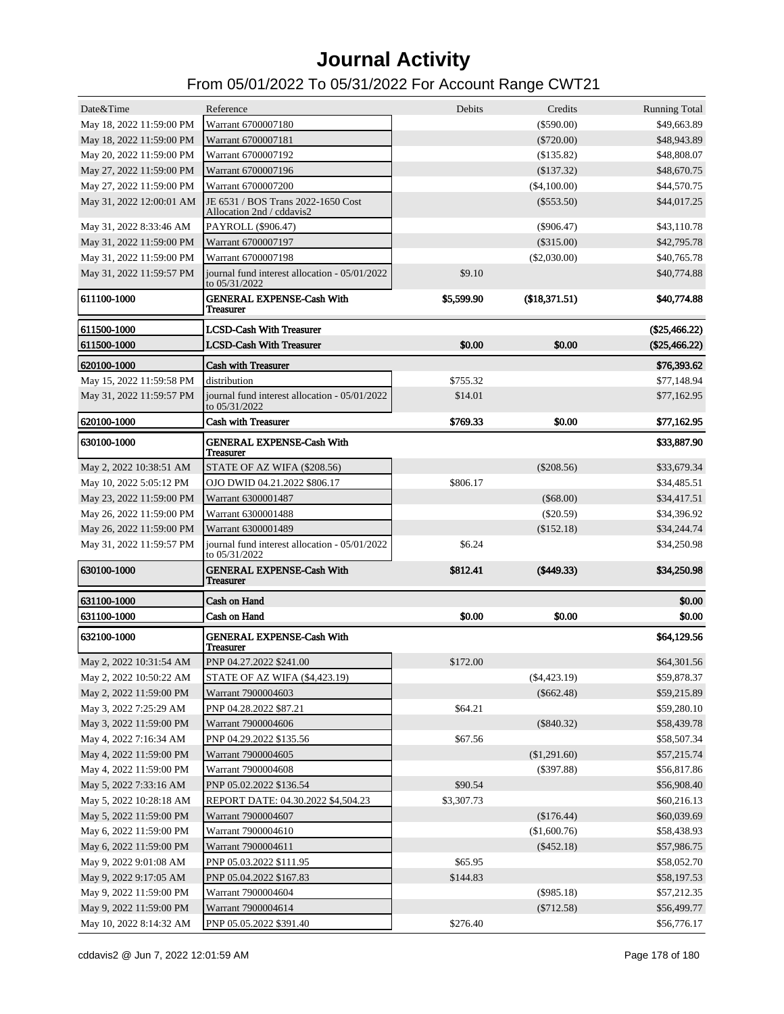| Date&Time                | Reference                                                       | <b>Debits</b> | Credits        | <b>Running Total</b> |
|--------------------------|-----------------------------------------------------------------|---------------|----------------|----------------------|
| May 18, 2022 11:59:00 PM | Warrant 6700007180                                              |               | $(\$590.00)$   | \$49,663.89          |
| May 18, 2022 11:59:00 PM | Warrant 6700007181                                              |               | $(\$720.00)$   | \$48,943.89          |
| May 20, 2022 11:59:00 PM | Warrant 6700007192                                              |               | (S135.82)      | \$48,808.07          |
| May 27, 2022 11:59:00 PM | Warrant 6700007196                                              |               | (\$137.32)     | \$48,670.75          |
| May 27, 2022 11:59:00 PM | Warrant 6700007200                                              |               | (\$4,100.00)   | \$44,570.75          |
| May 31, 2022 12:00:01 AM | JE 6531 / BOS Trans 2022-1650 Cost<br>Allocation 2nd / cddavis2 |               | $(\$553.50)$   | \$44,017.25          |
| May 31, 2022 8:33:46 AM  | PAYROLL (\$906.47)                                              |               | $(\$906.47)$   | \$43,110.78          |
| May 31, 2022 11:59:00 PM | Warrant 6700007197                                              |               | $(\$315.00)$   | \$42,795.78          |
| May 31, 2022 11:59:00 PM | Warrant 6700007198                                              |               | (\$2,030.00)   | \$40,765.78          |
| May 31, 2022 11:59:57 PM | journal fund interest allocation - 05/01/2022<br>to 05/31/2022  | \$9.10        |                | \$40,774.88          |
| 611100-1000              | <b>GENERAL EXPENSE-Cash With</b><br><b>Treasurer</b>            | \$5,599.90    | (\$18,371.51)  | \$40,774.88          |
| 611500-1000              | <b>LCSD-Cash With Treasurer</b>                                 |               |                | $(\$25,466.22)$      |
| 611500-1000              | <b>LCSD-Cash With Treasurer</b>                                 | \$0.00        | \$0.00         | $(\$25,466.22)$      |
| 620100-1000              | <b>Cash with Treasurer</b>                                      |               |                | \$76,393.62          |
| May 15, 2022 11:59:58 PM | distribution                                                    | \$755.32      |                | \$77,148.94          |
| May 31, 2022 11:59:57 PM | journal fund interest allocation - 05/01/2022                   | \$14.01       |                | \$77,162.95          |
|                          | to 05/31/2022                                                   |               |                |                      |
| 620100-1000              | <b>Cash with Treasurer</b>                                      | \$769.33      | \$0.00         | \$77,162.95          |
| 630100-1000              | <b>GENERAL EXPENSE-Cash With</b><br><b>Treasurer</b>            |               |                | \$33,887.90          |
| May 2, 2022 10:38:51 AM  | STATE OF AZ WIFA (\$208.56)                                     |               | $(\$208.56)$   | \$33,679.34          |
| May 10, 2022 5:05:12 PM  | OJO DWID 04.21.2022 \$806.17                                    | \$806.17      |                | \$34,485.51          |
| May 23, 2022 11:59:00 PM | Warrant 6300001487                                              |               | $(\$68.00)$    | \$34,417.51          |
| May 26, 2022 11:59:00 PM | Warrant 6300001488                                              |               | $(\$20.59)$    | \$34,396.92          |
| May 26, 2022 11:59:00 PM | Warrant 6300001489                                              |               | (\$152.18)     | \$34,244.74          |
| May 31, 2022 11:59:57 PM | journal fund interest allocation - 05/01/2022<br>to 05/31/2022  | \$6.24        |                | \$34,250.98          |
| 630100-1000              | <b>GENERAL EXPENSE-Cash With</b><br><b>Treasurer</b>            | \$812.41      | (\$449.33)     | \$34,250.98          |
| 631100-1000              | <b>Cash on Hand</b>                                             |               |                | \$0.00               |
| 631100-1000              | <b>Cash on Hand</b>                                             | \$0.00        | \$0.00         | \$0.00               |
| 632100-1000              | <b>GENERAL EXPENSE-Cash With</b><br><b>Treasurer</b>            |               |                | \$64,129.56          |
| May 2, 2022 10:31:54 AM  | PNP 04.27.2022 \$241.00                                         | \$172.00      |                | \$64,301.56          |
| May 2, 2022 10:50:22 AM  | STATE OF AZ WIFA (\$4,423.19)                                   |               | $(\$4,423.19)$ | \$59,878.37          |
| May 2, 2022 11:59:00 PM  | Warrant 7900004603                                              |               | $(\$662.48)$   | \$59,215.89          |
| May 3, 2022 7:25:29 AM   | PNP 04.28.2022 \$87.21                                          | \$64.21       |                | \$59,280.10          |
| May 3, 2022 11:59:00 PM  | Warrant 7900004606                                              |               | (\$840.32)     | \$58,439.78          |
| May 4, 2022 7:16:34 AM   | PNP 04.29.2022 \$135.56                                         | \$67.56       |                | \$58,507.34          |
| May 4, 2022 11:59:00 PM  | Warrant 7900004605                                              |               | (\$1,291.60)   | \$57,215.74          |
| May 4, 2022 11:59:00 PM  | Warrant 7900004608                                              |               | $(\$397.88)$   | \$56,817.86          |
| May 5, 2022 7:33:16 AM   | PNP 05.02.2022 \$136.54                                         | \$90.54       |                | \$56,908.40          |
| May 5, 2022 10:28:18 AM  | REPORT DATE: 04.30.2022 \$4,504.23                              | \$3,307.73    |                | \$60,216.13          |
| May 5, 2022 11:59:00 PM  | Warrant 7900004607                                              |               | (\$176.44)     | \$60,039.69          |
| May 6, 2022 11:59:00 PM  | Warrant 7900004610                                              |               | (\$1,600.76)   | \$58,438.93          |
| May 6, 2022 11:59:00 PM  | Warrant 7900004611                                              |               | (\$452.18)     | \$57,986.75          |
| May 9, 2022 9:01:08 AM   | PNP 05.03.2022 \$111.95                                         | \$65.95       |                | \$58,052.70          |
| May 9, 2022 9:17:05 AM   | PNP 05.04.2022 \$167.83                                         | \$144.83      |                | \$58,197.53          |
| May 9, 2022 11:59:00 PM  | Warrant 7900004604                                              |               | (\$985.18)     | \$57,212.35          |
| May 9, 2022 11:59:00 PM  |                                                                 |               |                |                      |
|                          | Warrant 7900004614                                              |               | $(\$712.58)$   | \$56,499.77          |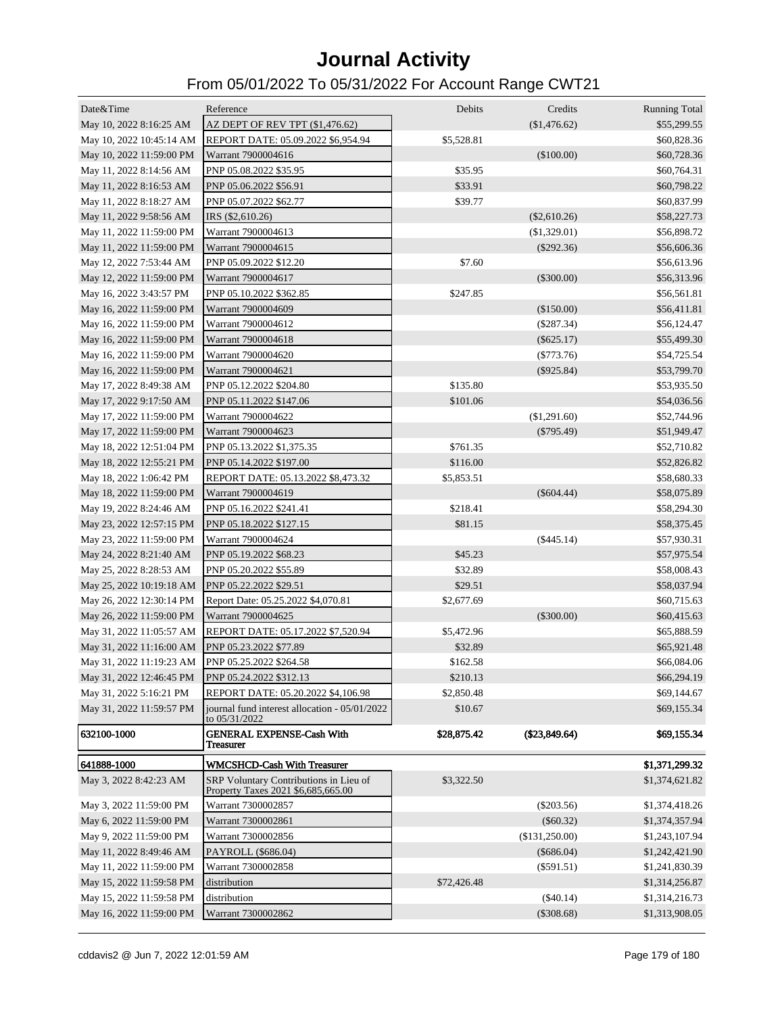| Date&Time                | Reference                                                                    | Debits      | Credits        | <b>Running Total</b> |
|--------------------------|------------------------------------------------------------------------------|-------------|----------------|----------------------|
| May 10, 2022 8:16:25 AM  | AZ DEPT OF REV TPT (\$1,476.62)                                              |             | (\$1,476.62)   | \$55,299.55          |
| May 10, 2022 10:45:14 AM | REPORT DATE: 05.09.2022 \$6,954.94                                           | \$5,528.81  |                | \$60,828.36          |
| May 10, 2022 11:59:00 PM | Warrant 7900004616                                                           |             | (\$100.00)     | \$60,728.36          |
| May 11, 2022 8:14:56 AM  | PNP 05.08.2022 \$35.95                                                       | \$35.95     |                | \$60,764.31          |
| May 11, 2022 8:16:53 AM  | PNP 05.06.2022 \$56.91                                                       | \$33.91     |                | \$60,798.22          |
| May 11, 2022 8:18:27 AM  | PNP 05.07.2022 \$62.77                                                       | \$39.77     |                | \$60,837.99          |
| May 11, 2022 9:58:56 AM  | IRS (\$2,610.26)                                                             |             | $(\$2,610.26)$ | \$58,227.73          |
| May 11, 2022 11:59:00 PM | Warrant 7900004613                                                           |             | (\$1,329.01)   | \$56,898.72          |
| May 11, 2022 11:59:00 PM | Warrant 7900004615                                                           |             | $(\$292.36)$   | \$56,606.36          |
| May 12, 2022 7:53:44 AM  | PNP 05.09.2022 \$12.20                                                       | \$7.60      |                | \$56,613.96          |
| May 12, 2022 11:59:00 PM | Warrant 7900004617                                                           |             | $(\$300.00)$   | \$56,313.96          |
| May 16, 2022 3:43:57 PM  | PNP 05.10.2022 \$362.85                                                      | \$247.85    |                | \$56,561.81          |
| May 16, 2022 11:59:00 PM | Warrant 7900004609                                                           |             | (\$150.00)     | \$56,411.81          |
| May 16, 2022 11:59:00 PM | Warrant 7900004612                                                           |             | $(\$287.34)$   | \$56,124.47          |
| May 16, 2022 11:59:00 PM | Warrant 7900004618                                                           |             | $(\$625.17)$   | \$55,499.30          |
| May 16, 2022 11:59:00 PM | Warrant 7900004620                                                           |             | $(\$773.76)$   | \$54,725.54          |
| May 16, 2022 11:59:00 PM | Warrant 7900004621                                                           |             | $(\$925.84)$   | \$53,799.70          |
| May 17, 2022 8:49:38 AM  | PNP 05.12.2022 \$204.80                                                      | \$135.80    |                | \$53,935.50          |
| May 17, 2022 9:17:50 AM  | PNP 05.11.2022 \$147.06                                                      | \$101.06    |                | \$54,036.56          |
| May 17, 2022 11:59:00 PM | Warrant 7900004622                                                           |             | (\$1,291.60)   | \$52,744.96          |
| May 17, 2022 11:59:00 PM | Warrant 7900004623                                                           |             | $(\$795.49)$   | \$51,949.47          |
| May 18, 2022 12:51:04 PM | PNP 05.13.2022 \$1,375.35                                                    | \$761.35    |                | \$52,710.82          |
| May 18, 2022 12:55:21 PM | PNP 05.14.2022 \$197.00                                                      | \$116.00    |                | \$52,826.82          |
| May 18, 2022 1:06:42 PM  | REPORT DATE: 05.13.2022 \$8,473.32                                           | \$5,853.51  |                | \$58,680.33          |
| May 18, 2022 11:59:00 PM | Warrant 7900004619                                                           |             | $(\$604.44)$   | \$58,075.89          |
| May 19, 2022 8:24:46 AM  | PNP 05.16.2022 \$241.41                                                      | \$218.41    |                | \$58,294.30          |
| May 23, 2022 12:57:15 PM | PNP 05.18.2022 \$127.15                                                      | \$81.15     |                | \$58,375.45          |
| May 23, 2022 11:59:00 PM | Warrant 7900004624                                                           |             | (\$445.14)     | \$57,930.31          |
| May 24, 2022 8:21:40 AM  | PNP 05.19.2022 \$68.23                                                       | \$45.23     |                | \$57,975.54          |
| May 25, 2022 8:28:53 AM  | PNP 05.20.2022 \$55.89                                                       | \$32.89     |                | \$58,008.43          |
| May 25, 2022 10:19:18 AM | PNP 05.22.2022 \$29.51                                                       | \$29.51     |                | \$58,037.94          |
| May 26, 2022 12:30:14 PM | Report Date: 05.25.2022 \$4,070.81                                           | \$2,677.69  |                | \$60,715.63          |
| May 26, 2022 11:59:00 PM | Warrant 7900004625                                                           |             | $(\$300.00)$   | \$60,415.63          |
| May 31, 2022 11:05:57 AM | REPORT DATE: 05.17.2022 \$7,520.94                                           | \$5,472.96  |                | \$65,888.59          |
| May 31, 2022 11:16:00 AM | PNP 05.23.2022 \$77.89                                                       | \$32.89     |                | \$65,921.48          |
| May 31, 2022 11:19:23 AM | PNP 05.25.2022 \$264.58                                                      | \$162.58    |                | \$66,084.06          |
| May 31, 2022 12:46:45 PM | PNP 05.24.2022 \$312.13                                                      | \$210.13    |                | \$66,294.19          |
| May 31, 2022 5:16:21 PM  | REPORT DATE: 05.20.2022 \$4,106.98                                           | \$2,850.48  |                | \$69,144.67          |
| May 31, 2022 11:59:57 PM | journal fund interest allocation - 05/01/2022<br>to 05/31/2022               | \$10.67     |                | \$69,155.34          |
| 632100-1000              | <b>GENERAL EXPENSE-Cash With</b><br><b>Treasurer</b>                         | \$28,875.42 | (\$23,849.64)  | \$69,155.34          |
| 641888-1000              | <b>WMCSHCD-Cash With Treasurer</b>                                           |             |                | \$1,371,299.32       |
| May 3, 2022 8:42:23 AM   | SRP Voluntary Contributions in Lieu of<br>Property Taxes 2021 \$6,685,665.00 | \$3,322.50  |                | \$1,374,621.82       |
| May 3, 2022 11:59:00 PM  | Warrant 7300002857                                                           |             | $(\$203.56)$   | \$1,374,418.26       |
| May 6, 2022 11:59:00 PM  | Warrant 7300002861                                                           |             | $(\$60.32)$    | \$1,374,357.94       |
| May 9, 2022 11:59:00 PM  | Warrant 7300002856                                                           |             | (\$131,250.00) | \$1,243,107.94       |
| May 11, 2022 8:49:46 AM  | PAYROLL (\$686.04)                                                           |             | $(\$686.04)$   | \$1,242,421.90       |
| May 11, 2022 11:59:00 PM | Warrant 7300002858                                                           |             | $(\$591.51)$   | \$1,241,830.39       |
| May 15, 2022 11:59:58 PM | distribution                                                                 | \$72,426.48 |                | \$1,314,256.87       |
| May 15, 2022 11:59:58 PM | distribution                                                                 |             | $(\$40.14)$    | \$1,314,216.73       |
| May 16, 2022 11:59:00 PM | Warrant 7300002862                                                           |             | $(\$308.68)$   | \$1,313,908.05       |
|                          |                                                                              |             |                |                      |